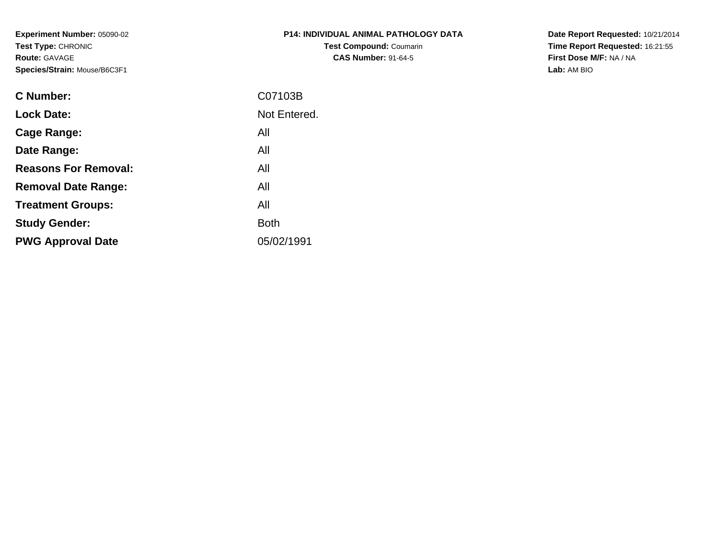**Experiment Number:** 05090-02**Test Type:** CHRONIC**Route:** GAVAGE**Species/Strain:** Mouse/B6C3F1

| <b>P14: INDIVIDUAL ANIMAL PATHOLOGY DATA</b> |  |
|----------------------------------------------|--|
| <b>Test Compound: Coumarin</b>               |  |
| <b>CAS Number: 91-64-5</b>                   |  |

**Date Report Requested:** 10/21/2014 **Time Report Requested:** 16:21:55**First Dose M/F:** NA / NA**Lab:** AM BIO

| C Number:                   | C07103B      |
|-----------------------------|--------------|
| <b>Lock Date:</b>           | Not Entered. |
| Cage Range:                 | All          |
| Date Range:                 | All          |
| <b>Reasons For Removal:</b> | All          |
| <b>Removal Date Range:</b>  | All          |
| <b>Treatment Groups:</b>    | All          |
| <b>Study Gender:</b>        | <b>Both</b>  |
| <b>PWG Approval Date</b>    | 05/02/1991   |
|                             |              |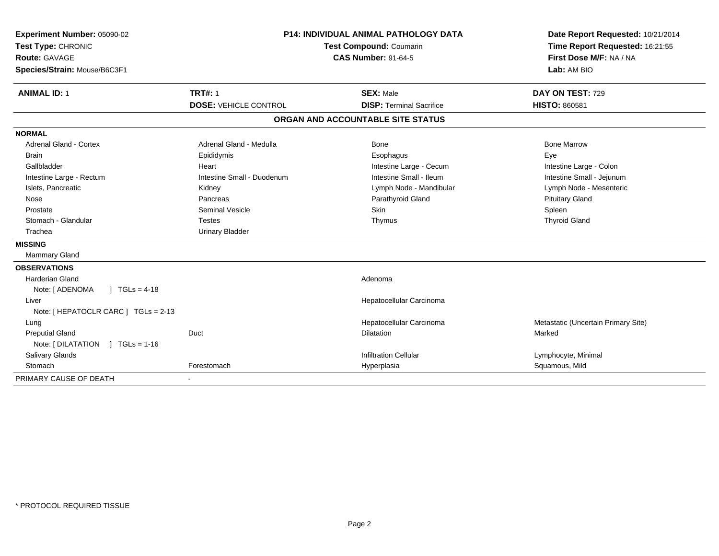| Experiment Number: 05090-02           | <b>P14: INDIVIDUAL ANIMAL PATHOLOGY DATA</b><br>Test Compound: Coumarin<br><b>CAS Number: 91-64-5</b> |                                   | Date Report Requested: 10/21/2014   |
|---------------------------------------|-------------------------------------------------------------------------------------------------------|-----------------------------------|-------------------------------------|
| Test Type: CHRONIC                    |                                                                                                       |                                   | Time Report Requested: 16:21:55     |
| <b>Route: GAVAGE</b>                  |                                                                                                       |                                   | First Dose M/F: NA / NA             |
| Species/Strain: Mouse/B6C3F1          |                                                                                                       | Lab: AM BIO                       |                                     |
| <b>ANIMAL ID: 1</b>                   | <b>TRT#: 1</b>                                                                                        | <b>SEX: Male</b>                  | DAY ON TEST: 729                    |
|                                       | <b>DOSE: VEHICLE CONTROL</b>                                                                          | <b>DISP: Terminal Sacrifice</b>   | <b>HISTO: 860581</b>                |
|                                       |                                                                                                       | ORGAN AND ACCOUNTABLE SITE STATUS |                                     |
| <b>NORMAL</b>                         |                                                                                                       |                                   |                                     |
| Adrenal Gland - Cortex                | Adrenal Gland - Medulla                                                                               | Bone                              | <b>Bone Marrow</b>                  |
| <b>Brain</b>                          | Epididymis                                                                                            | Esophagus                         | Eye                                 |
| Gallbladder                           | Heart                                                                                                 | Intestine Large - Cecum           | Intestine Large - Colon             |
| Intestine Large - Rectum              | Intestine Small - Duodenum                                                                            | Intestine Small - Ileum           | Intestine Small - Jejunum           |
| Islets, Pancreatic                    | Kidney                                                                                                | Lymph Node - Mandibular           | Lymph Node - Mesenteric             |
| Nose                                  | Pancreas                                                                                              | Parathyroid Gland                 | <b>Pituitary Gland</b>              |
| Prostate                              | <b>Seminal Vesicle</b>                                                                                | Skin                              | Spleen                              |
| Stomach - Glandular                   | <b>Testes</b>                                                                                         | Thymus                            | <b>Thyroid Gland</b>                |
| Trachea                               | <b>Urinary Bladder</b>                                                                                |                                   |                                     |
| <b>MISSING</b>                        |                                                                                                       |                                   |                                     |
| <b>Mammary Gland</b>                  |                                                                                                       |                                   |                                     |
| <b>OBSERVATIONS</b>                   |                                                                                                       |                                   |                                     |
| <b>Harderian Gland</b>                |                                                                                                       | Adenoma                           |                                     |
| ] $TGLs = 4-18$<br>Note: [ ADENOMA    |                                                                                                       |                                   |                                     |
| Liver                                 |                                                                                                       | Hepatocellular Carcinoma          |                                     |
| Note: [ HEPATOCLR CARC ] TGLs = 2-13  |                                                                                                       |                                   |                                     |
| Lung                                  |                                                                                                       | Hepatocellular Carcinoma          | Metastatic (Uncertain Primary Site) |
| <b>Preputial Gland</b>                | Duct                                                                                                  | <b>Dilatation</b>                 | Marked                              |
| Note: [ DILATATION<br>$1 TGLs = 1-16$ |                                                                                                       |                                   |                                     |
| Salivary Glands                       |                                                                                                       | <b>Infiltration Cellular</b>      | Lymphocyte, Minimal                 |
| Stomach                               | Forestomach                                                                                           | Hyperplasia                       | Squamous, Mild                      |
| PRIMARY CAUSE OF DEATH                |                                                                                                       |                                   |                                     |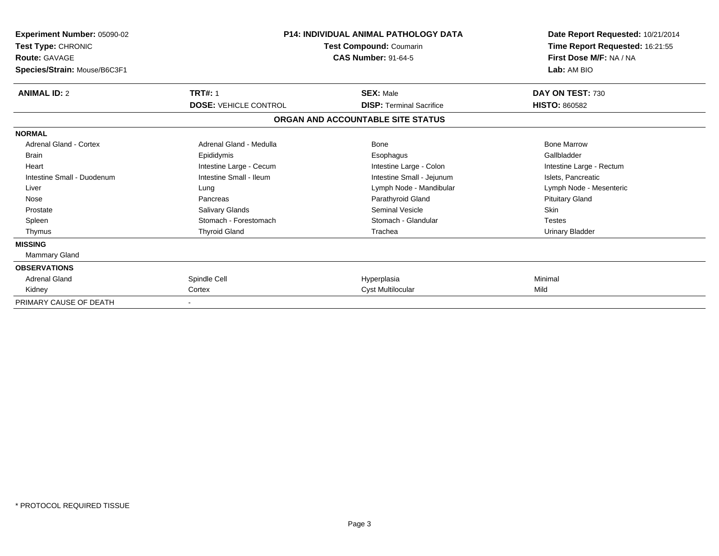| <b>Experiment Number: 05090-02</b><br>Test Type: CHRONIC<br><b>Route: GAVAGE</b><br>Species/Strain: Mouse/B6C3F1 | <b>P14: INDIVIDUAL ANIMAL PATHOLOGY DATA</b><br>Test Compound: Coumarin<br><b>CAS Number: 91-64-5</b> |                                   | Date Report Requested: 10/21/2014<br>Time Report Requested: 16:21:55<br>First Dose M/F: NA / NA<br>Lab: AM BIO |
|------------------------------------------------------------------------------------------------------------------|-------------------------------------------------------------------------------------------------------|-----------------------------------|----------------------------------------------------------------------------------------------------------------|
| <b>ANIMAL ID: 2</b>                                                                                              | <b>TRT#: 1</b>                                                                                        | <b>SEX: Male</b>                  | DAY ON TEST: 730                                                                                               |
|                                                                                                                  | <b>DOSE: VEHICLE CONTROL</b>                                                                          | <b>DISP:</b> Terminal Sacrifice   | <b>HISTO: 860582</b>                                                                                           |
|                                                                                                                  |                                                                                                       | ORGAN AND ACCOUNTABLE SITE STATUS |                                                                                                                |
| <b>NORMAL</b>                                                                                                    |                                                                                                       |                                   |                                                                                                                |
| <b>Adrenal Gland - Cortex</b>                                                                                    | Adrenal Gland - Medulla                                                                               | <b>Bone</b>                       | <b>Bone Marrow</b>                                                                                             |
| <b>Brain</b>                                                                                                     | Epididymis                                                                                            | Esophagus                         | Gallbladder                                                                                                    |
| Heart                                                                                                            | Intestine Large - Cecum                                                                               | Intestine Large - Colon           | Intestine Large - Rectum                                                                                       |
| Intestine Small - Duodenum                                                                                       | Intestine Small - Ileum                                                                               | Intestine Small - Jejunum         | Islets, Pancreatic                                                                                             |
| Liver                                                                                                            | Lung                                                                                                  | Lymph Node - Mandibular           | Lymph Node - Mesenteric                                                                                        |
| Nose                                                                                                             | Pancreas                                                                                              | Parathyroid Gland                 | <b>Pituitary Gland</b>                                                                                         |
| Prostate                                                                                                         | <b>Salivary Glands</b>                                                                                | Seminal Vesicle                   | <b>Skin</b>                                                                                                    |
| Spleen                                                                                                           | Stomach - Forestomach                                                                                 | Stomach - Glandular               | <b>Testes</b>                                                                                                  |
| Thymus                                                                                                           | <b>Thyroid Gland</b>                                                                                  | Trachea                           | <b>Urinary Bladder</b>                                                                                         |
| <b>MISSING</b>                                                                                                   |                                                                                                       |                                   |                                                                                                                |
| <b>Mammary Gland</b>                                                                                             |                                                                                                       |                                   |                                                                                                                |
| <b>OBSERVATIONS</b>                                                                                              |                                                                                                       |                                   |                                                                                                                |
| <b>Adrenal Gland</b>                                                                                             | Spindle Cell                                                                                          | Hyperplasia                       | Minimal                                                                                                        |
| Kidney                                                                                                           | Cortex                                                                                                | Cyst Multilocular                 | Mild                                                                                                           |
| PRIMARY CAUSE OF DEATH                                                                                           |                                                                                                       |                                   |                                                                                                                |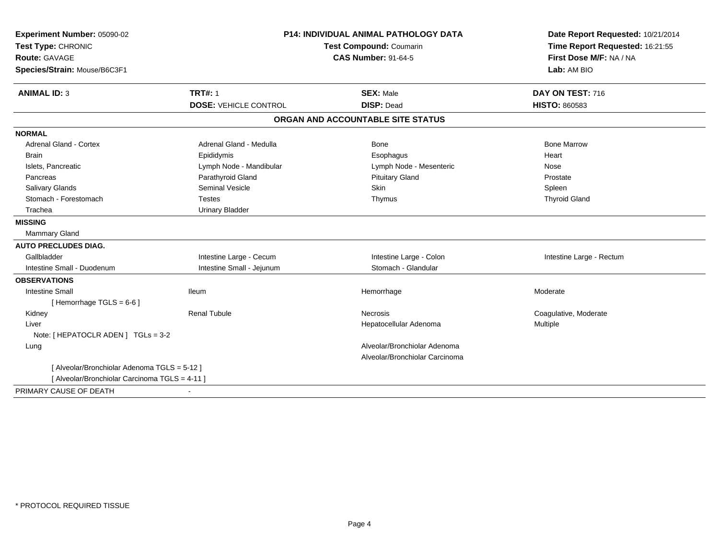| Experiment Number: 05090-02                    | <b>P14: INDIVIDUAL ANIMAL PATHOLOGY DATA</b><br>Test Compound: Coumarin<br><b>CAS Number: 91-64-5</b> |                                   | Date Report Requested: 10/21/2014                          |
|------------------------------------------------|-------------------------------------------------------------------------------------------------------|-----------------------------------|------------------------------------------------------------|
| Test Type: CHRONIC                             |                                                                                                       |                                   | Time Report Requested: 16:21:55<br>First Dose M/F: NA / NA |
| <b>Route: GAVAGE</b>                           |                                                                                                       |                                   |                                                            |
| Species/Strain: Mouse/B6C3F1                   |                                                                                                       |                                   | Lab: AM BIO                                                |
| <b>ANIMAL ID: 3</b>                            | <b>TRT#: 1</b>                                                                                        | <b>SEX: Male</b>                  | DAY ON TEST: 716                                           |
|                                                | <b>DOSE: VEHICLE CONTROL</b>                                                                          | <b>DISP: Dead</b>                 | <b>HISTO: 860583</b>                                       |
|                                                |                                                                                                       | ORGAN AND ACCOUNTABLE SITE STATUS |                                                            |
| <b>NORMAL</b>                                  |                                                                                                       |                                   |                                                            |
| <b>Adrenal Gland - Cortex</b>                  | Adrenal Gland - Medulla                                                                               | Bone                              | <b>Bone Marrow</b>                                         |
| <b>Brain</b>                                   | Epididymis                                                                                            | Esophagus                         | Heart                                                      |
| Islets, Pancreatic                             | Lymph Node - Mandibular                                                                               | Lymph Node - Mesenteric           | Nose                                                       |
| Pancreas                                       | Parathyroid Gland                                                                                     | <b>Pituitary Gland</b>            | Prostate                                                   |
| Salivary Glands                                | <b>Seminal Vesicle</b>                                                                                | Skin                              | Spleen                                                     |
| Stomach - Forestomach                          | <b>Testes</b>                                                                                         | Thymus                            | <b>Thyroid Gland</b>                                       |
| Trachea                                        | <b>Urinary Bladder</b>                                                                                |                                   |                                                            |
| <b>MISSING</b>                                 |                                                                                                       |                                   |                                                            |
| Mammary Gland                                  |                                                                                                       |                                   |                                                            |
| <b>AUTO PRECLUDES DIAG.</b>                    |                                                                                                       |                                   |                                                            |
| Gallbladder                                    | Intestine Large - Cecum                                                                               | Intestine Large - Colon           | Intestine Large - Rectum                                   |
| Intestine Small - Duodenum                     | Intestine Small - Jejunum                                                                             | Stomach - Glandular               |                                                            |
| <b>OBSERVATIONS</b>                            |                                                                                                       |                                   |                                                            |
| <b>Intestine Small</b>                         | <b>Ileum</b>                                                                                          | Hemorrhage                        | Moderate                                                   |
| [Hemorrhage TGLS = $6-6$ ]                     |                                                                                                       |                                   |                                                            |
| Kidney                                         | <b>Renal Tubule</b>                                                                                   | Necrosis                          | Coagulative, Moderate                                      |
| Liver                                          |                                                                                                       | Hepatocellular Adenoma            | <b>Multiple</b>                                            |
| Note: [ HEPATOCLR ADEN ] TGLs = 3-2            |                                                                                                       |                                   |                                                            |
| Lung                                           |                                                                                                       | Alveolar/Bronchiolar Adenoma      |                                                            |
|                                                |                                                                                                       | Alveolar/Bronchiolar Carcinoma    |                                                            |
| [ Alveolar/Bronchiolar Adenoma TGLS = 5-12 ]   |                                                                                                       |                                   |                                                            |
| [ Alveolar/Bronchiolar Carcinoma TGLS = 4-11 ] |                                                                                                       |                                   |                                                            |
| PRIMARY CAUSE OF DEATH                         |                                                                                                       |                                   |                                                            |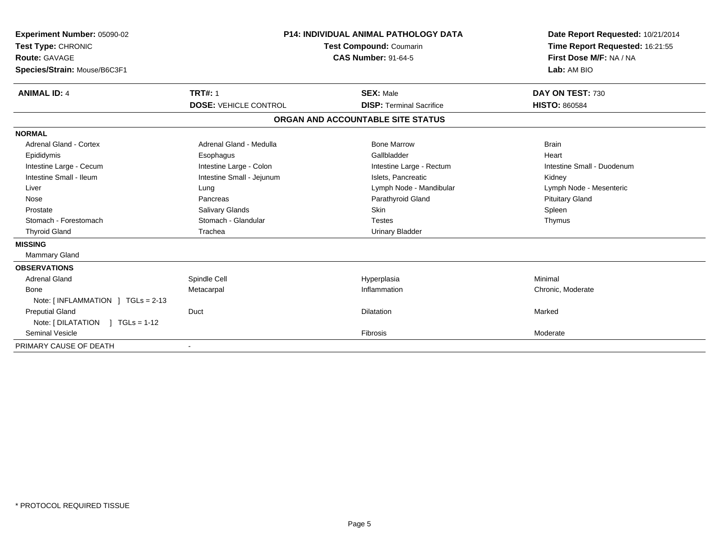| Experiment Number: 05090-02<br>Test Type: CHRONIC<br>Route: GAVAGE<br>Species/Strain: Mouse/B6C3F1 |                                                | <b>P14: INDIVIDUAL ANIMAL PATHOLOGY DATA</b><br>Test Compound: Coumarin<br><b>CAS Number: 91-64-5</b> | Date Report Requested: 10/21/2014<br>Time Report Requested: 16:21:55<br>First Dose M/F: NA / NA<br>Lab: AM BIO |
|----------------------------------------------------------------------------------------------------|------------------------------------------------|-------------------------------------------------------------------------------------------------------|----------------------------------------------------------------------------------------------------------------|
| <b>ANIMAL ID: 4</b>                                                                                | <b>TRT#: 1</b><br><b>DOSE: VEHICLE CONTROL</b> | <b>SEX: Male</b><br><b>DISP: Terminal Sacrifice</b>                                                   | DAY ON TEST: 730<br><b>HISTO: 860584</b>                                                                       |
|                                                                                                    |                                                |                                                                                                       |                                                                                                                |
|                                                                                                    |                                                | ORGAN AND ACCOUNTABLE SITE STATUS                                                                     |                                                                                                                |
| <b>NORMAL</b>                                                                                      |                                                |                                                                                                       |                                                                                                                |
| <b>Adrenal Gland - Cortex</b>                                                                      | Adrenal Gland - Medulla                        | <b>Bone Marrow</b>                                                                                    | <b>Brain</b>                                                                                                   |
| Epididymis                                                                                         | Esophagus                                      | Gallbladder                                                                                           | Heart                                                                                                          |
| Intestine Large - Cecum                                                                            | Intestine Large - Colon                        | Intestine Large - Rectum                                                                              | Intestine Small - Duodenum                                                                                     |
| Intestine Small - Ileum                                                                            | Intestine Small - Jejunum                      | Islets. Pancreatic                                                                                    | Kidney                                                                                                         |
| Liver                                                                                              | Lung                                           | Lymph Node - Mandibular                                                                               | Lymph Node - Mesenteric                                                                                        |
| Nose                                                                                               | Pancreas                                       | Parathyroid Gland                                                                                     | <b>Pituitary Gland</b>                                                                                         |
| Prostate                                                                                           | Salivary Glands                                | Skin                                                                                                  | Spleen                                                                                                         |
| Stomach - Forestomach                                                                              | Stomach - Glandular                            | <b>Testes</b>                                                                                         | Thymus                                                                                                         |
| <b>Thyroid Gland</b>                                                                               | Trachea                                        | <b>Urinary Bladder</b>                                                                                |                                                                                                                |
| <b>MISSING</b>                                                                                     |                                                |                                                                                                       |                                                                                                                |
| <b>Mammary Gland</b>                                                                               |                                                |                                                                                                       |                                                                                                                |
| <b>OBSERVATIONS</b>                                                                                |                                                |                                                                                                       |                                                                                                                |
| <b>Adrenal Gland</b>                                                                               | Spindle Cell                                   | Hyperplasia                                                                                           | Minimal                                                                                                        |
| Bone                                                                                               | Metacarpal                                     | Inflammation                                                                                          | Chronic, Moderate                                                                                              |
| Note: [INFLAMMATION ] TGLs = 2-13                                                                  |                                                |                                                                                                       |                                                                                                                |
| <b>Preputial Gland</b>                                                                             | Duct                                           | <b>Dilatation</b>                                                                                     | Marked                                                                                                         |
| Note: $[DILATATION] TGLs = 1-12$                                                                   |                                                |                                                                                                       |                                                                                                                |
| <b>Seminal Vesicle</b>                                                                             |                                                | Fibrosis                                                                                              | Moderate                                                                                                       |
| PRIMARY CAUSE OF DEATH                                                                             |                                                |                                                                                                       |                                                                                                                |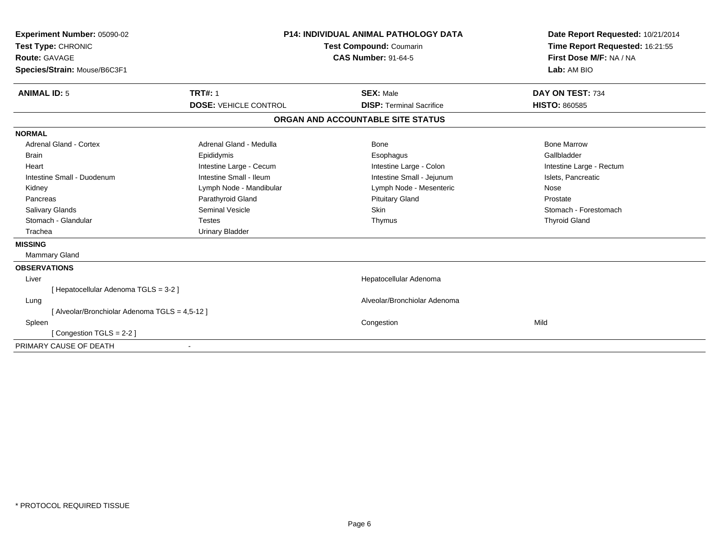| Experiment Number: 05090-02                    | <b>P14: INDIVIDUAL ANIMAL PATHOLOGY DATA</b><br>Test Compound: Coumarin<br><b>CAS Number: 91-64-5</b> |                                   | Date Report Requested: 10/21/2014 |
|------------------------------------------------|-------------------------------------------------------------------------------------------------------|-----------------------------------|-----------------------------------|
| Test Type: CHRONIC                             |                                                                                                       |                                   | Time Report Requested: 16:21:55   |
| Route: GAVAGE                                  |                                                                                                       |                                   | First Dose M/F: NA / NA           |
| Species/Strain: Mouse/B6C3F1                   |                                                                                                       |                                   | Lab: AM BIO                       |
| <b>ANIMAL ID: 5</b>                            | <b>TRT#: 1</b>                                                                                        | <b>SEX: Male</b>                  | DAY ON TEST: 734                  |
|                                                | <b>DOSE: VEHICLE CONTROL</b>                                                                          | <b>DISP: Terminal Sacrifice</b>   | <b>HISTO: 860585</b>              |
|                                                |                                                                                                       | ORGAN AND ACCOUNTABLE SITE STATUS |                                   |
| <b>NORMAL</b>                                  |                                                                                                       |                                   |                                   |
| <b>Adrenal Gland - Cortex</b>                  | Adrenal Gland - Medulla                                                                               | Bone                              | <b>Bone Marrow</b>                |
| Brain                                          | Epididymis                                                                                            | Esophagus                         | Gallbladder                       |
| Heart                                          | Intestine Large - Cecum                                                                               | Intestine Large - Colon           | Intestine Large - Rectum          |
| Intestine Small - Duodenum                     | Intestine Small - Ileum                                                                               | Intestine Small - Jejunum         | Islets, Pancreatic                |
| Kidney                                         | Lymph Node - Mandibular                                                                               | Lymph Node - Mesenteric           | Nose                              |
| Pancreas                                       | Parathyroid Gland                                                                                     | <b>Pituitary Gland</b>            | Prostate                          |
| <b>Salivary Glands</b>                         | <b>Seminal Vesicle</b>                                                                                | Skin                              | Stomach - Forestomach             |
| Stomach - Glandular                            | <b>Testes</b>                                                                                         | Thymus                            | <b>Thyroid Gland</b>              |
| Trachea                                        | <b>Urinary Bladder</b>                                                                                |                                   |                                   |
| <b>MISSING</b>                                 |                                                                                                       |                                   |                                   |
| <b>Mammary Gland</b>                           |                                                                                                       |                                   |                                   |
| <b>OBSERVATIONS</b>                            |                                                                                                       |                                   |                                   |
| Liver                                          |                                                                                                       | Hepatocellular Adenoma            |                                   |
| [Hepatocellular Adenoma TGLS = 3-2]            |                                                                                                       |                                   |                                   |
| Lung                                           |                                                                                                       | Alveolar/Bronchiolar Adenoma      |                                   |
| [ Alveolar/Bronchiolar Adenoma TGLS = 4,5-12 ] |                                                                                                       |                                   |                                   |
| Spleen                                         |                                                                                                       | Congestion                        | Mild                              |
| [Congestion TGLS = 2-2]                        |                                                                                                       |                                   |                                   |
| PRIMARY CAUSE OF DEATH                         |                                                                                                       |                                   |                                   |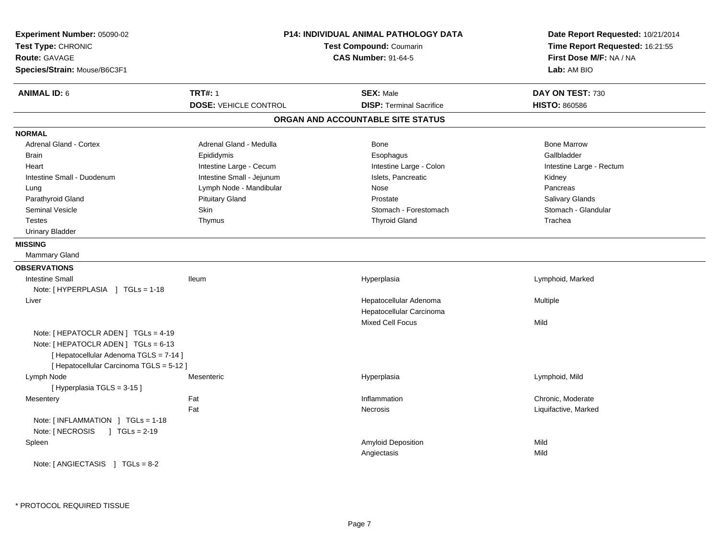| Experiment Number: 05090-02<br>Test Type: CHRONIC<br><b>Route: GAVAGE</b><br>Species/Strain: Mouse/B6C3F1                                                          |                              | <b>P14: INDIVIDUAL ANIMAL PATHOLOGY DATA</b><br>Test Compound: Coumarin<br><b>CAS Number: 91-64-5</b> | Date Report Requested: 10/21/2014<br>Time Report Requested: 16:21:55<br>First Dose M/F: NA / NA<br>Lab: AM BIO |
|--------------------------------------------------------------------------------------------------------------------------------------------------------------------|------------------------------|-------------------------------------------------------------------------------------------------------|----------------------------------------------------------------------------------------------------------------|
| <b>ANIMAL ID: 6</b>                                                                                                                                                | <b>TRT#: 1</b>               | <b>SEX: Male</b>                                                                                      | DAY ON TEST: 730                                                                                               |
|                                                                                                                                                                    | <b>DOSE: VEHICLE CONTROL</b> | <b>DISP: Terminal Sacrifice</b>                                                                       | <b>HISTO: 860586</b>                                                                                           |
|                                                                                                                                                                    |                              | ORGAN AND ACCOUNTABLE SITE STATUS                                                                     |                                                                                                                |
| <b>NORMAL</b>                                                                                                                                                      |                              |                                                                                                       |                                                                                                                |
| Adrenal Gland - Cortex                                                                                                                                             | Adrenal Gland - Medulla      | Bone                                                                                                  | <b>Bone Marrow</b>                                                                                             |
| <b>Brain</b>                                                                                                                                                       | Epididymis                   | Esophagus                                                                                             | Gallbladder                                                                                                    |
| Heart                                                                                                                                                              | Intestine Large - Cecum      | Intestine Large - Colon                                                                               | Intestine Large - Rectum                                                                                       |
| Intestine Small - Duodenum                                                                                                                                         | Intestine Small - Jejunum    | Islets, Pancreatic                                                                                    | Kidney                                                                                                         |
| Lung                                                                                                                                                               | Lymph Node - Mandibular      | Nose                                                                                                  | Pancreas                                                                                                       |
| Parathyroid Gland                                                                                                                                                  | <b>Pituitary Gland</b>       | Prostate                                                                                              | Salivary Glands                                                                                                |
| <b>Seminal Vesicle</b>                                                                                                                                             | Skin                         | Stomach - Forestomach                                                                                 | Stomach - Glandular                                                                                            |
| <b>Testes</b>                                                                                                                                                      | Thymus                       | <b>Thyroid Gland</b>                                                                                  | Trachea                                                                                                        |
| <b>Urinary Bladder</b>                                                                                                                                             |                              |                                                                                                       |                                                                                                                |
| <b>MISSING</b>                                                                                                                                                     |                              |                                                                                                       |                                                                                                                |
| Mammary Gland                                                                                                                                                      |                              |                                                                                                       |                                                                                                                |
| <b>OBSERVATIONS</b>                                                                                                                                                |                              |                                                                                                       |                                                                                                                |
| <b>Intestine Small</b>                                                                                                                                             | lleum                        | Hyperplasia                                                                                           | Lymphoid, Marked                                                                                               |
| Note: [HYPERPLASIA ] TGLs = 1-18                                                                                                                                   |                              |                                                                                                       |                                                                                                                |
| Liver                                                                                                                                                              |                              | Hepatocellular Adenoma                                                                                | Multiple                                                                                                       |
|                                                                                                                                                                    |                              | Hepatocellular Carcinoma                                                                              |                                                                                                                |
|                                                                                                                                                                    |                              | <b>Mixed Cell Focus</b>                                                                               | Mild                                                                                                           |
| Note: [ HEPATOCLR ADEN ] TGLs = 4-19<br>Note: [ HEPATOCLR ADEN ] TGLs = 6-13<br>[ Hepatocellular Adenoma TGLS = 7-14 ]<br>[ Hepatocellular Carcinoma TGLS = 5-12 ] |                              |                                                                                                       |                                                                                                                |
| Lymph Node                                                                                                                                                         | Mesenteric                   | Hyperplasia                                                                                           | Lymphoid, Mild                                                                                                 |
| [Hyperplasia TGLS = 3-15]                                                                                                                                          |                              |                                                                                                       |                                                                                                                |
| Mesentery                                                                                                                                                          | Fat                          | Inflammation                                                                                          | Chronic, Moderate                                                                                              |
|                                                                                                                                                                    | Fat                          | Necrosis                                                                                              | Liquifactive, Marked                                                                                           |
| Note: [INFLAMMATION ] TGLs = 1-18<br>Note: [ NECROSIS<br>$\sqrt{1}$ TGLs = 2-19                                                                                    |                              |                                                                                                       |                                                                                                                |
| Spleen                                                                                                                                                             |                              | Amyloid Deposition                                                                                    | Mild                                                                                                           |
|                                                                                                                                                                    |                              | Angiectasis                                                                                           | Mild                                                                                                           |
| Note: $[AMGIECTASIS]$ TGLs = 8-2                                                                                                                                   |                              |                                                                                                       |                                                                                                                |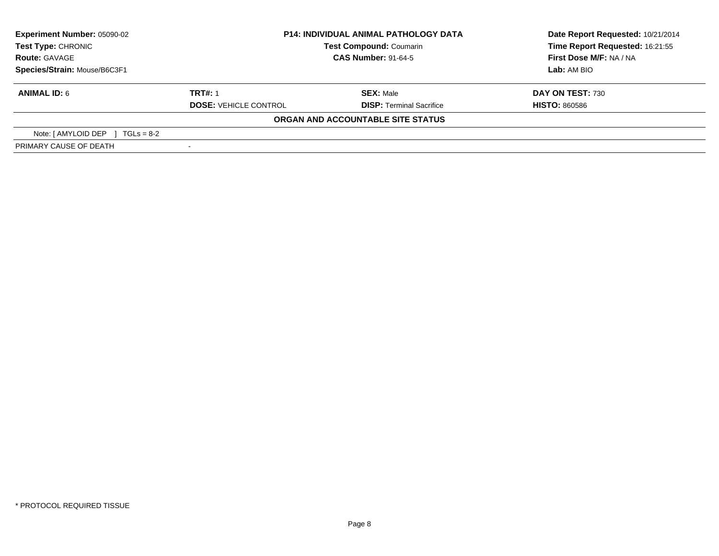| Experiment Number: 05090-02         | <b>P14: INDIVIDUAL ANIMAL PATHOLOGY DATA</b><br><b>Test Compound: Coumarin</b><br><b>CAS Number: 91-64-5</b> |                                   | Date Report Requested: 10/21/2014 |
|-------------------------------------|--------------------------------------------------------------------------------------------------------------|-----------------------------------|-----------------------------------|
| <b>Test Type: CHRONIC</b>           |                                                                                                              |                                   | Time Report Requested: 16:21:55   |
| <b>Route: GAVAGE</b>                |                                                                                                              |                                   |                                   |
| Species/Strain: Mouse/B6C3F1        |                                                                                                              |                                   | Lab: AM BIO                       |
| <b>ANIMAL ID: 6</b>                 | <b>TRT#: 1</b>                                                                                               | <b>SEX: Male</b>                  | DAY ON TEST: 730                  |
|                                     | <b>DOSE: VEHICLE CONTROL</b>                                                                                 | <b>DISP: Terminal Sacrifice</b>   | <b>HISTO: 860586</b>              |
|                                     |                                                                                                              | ORGAN AND ACCOUNTABLE SITE STATUS |                                   |
| Note: [ AMYLOID DEP<br>$TGLs = 8-2$ |                                                                                                              |                                   |                                   |
| PRIMARY CAUSE OF DEATH              |                                                                                                              |                                   |                                   |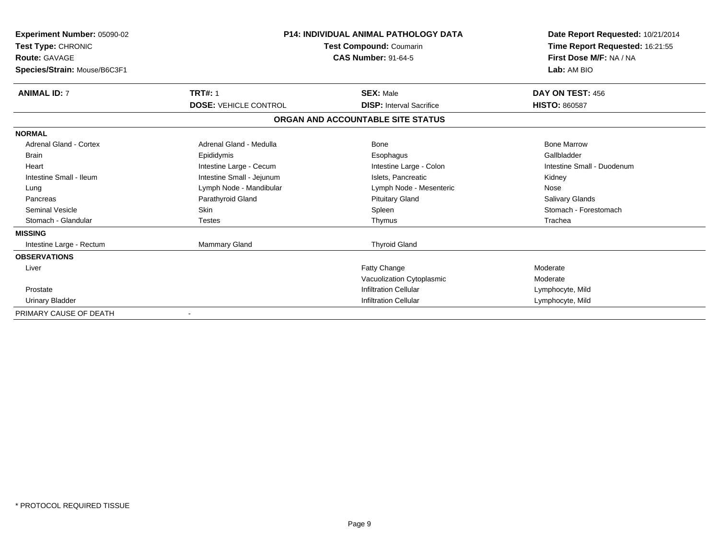| <b>Experiment Number: 05090-02</b><br>Test Type: CHRONIC<br><b>Route: GAVAGE</b><br>Species/Strain: Mouse/B6C3F1 | <b>P14: INDIVIDUAL ANIMAL PATHOLOGY DATA</b><br>Test Compound: Coumarin<br><b>CAS Number: 91-64-5</b> |                                   | Date Report Requested: 10/21/2014<br>Time Report Requested: 16:21:55<br>First Dose M/F: NA / NA<br>Lab: AM BIO |
|------------------------------------------------------------------------------------------------------------------|-------------------------------------------------------------------------------------------------------|-----------------------------------|----------------------------------------------------------------------------------------------------------------|
| <b>ANIMAL ID: 7</b>                                                                                              | <b>TRT#: 1</b>                                                                                        | <b>SEX: Male</b>                  | DAY ON TEST: 456                                                                                               |
|                                                                                                                  | <b>DOSE: VEHICLE CONTROL</b>                                                                          | <b>DISP:</b> Interval Sacrifice   | <b>HISTO: 860587</b>                                                                                           |
|                                                                                                                  |                                                                                                       | ORGAN AND ACCOUNTABLE SITE STATUS |                                                                                                                |
| <b>NORMAL</b>                                                                                                    |                                                                                                       |                                   |                                                                                                                |
| <b>Adrenal Gland - Cortex</b>                                                                                    | Adrenal Gland - Medulla                                                                               | Bone                              | <b>Bone Marrow</b>                                                                                             |
| <b>Brain</b>                                                                                                     | Epididymis                                                                                            | Esophagus                         | Gallbladder                                                                                                    |
| Heart                                                                                                            | Intestine Large - Cecum                                                                               | Intestine Large - Colon           | Intestine Small - Duodenum                                                                                     |
| Intestine Small - Ileum                                                                                          | Intestine Small - Jejunum                                                                             | Islets. Pancreatic                | Kidney                                                                                                         |
| Lung                                                                                                             | Lymph Node - Mandibular                                                                               | Lymph Node - Mesenteric           | Nose                                                                                                           |
| Pancreas                                                                                                         | Parathyroid Gland                                                                                     | <b>Pituitary Gland</b>            | <b>Salivary Glands</b>                                                                                         |
| <b>Seminal Vesicle</b>                                                                                           | <b>Skin</b>                                                                                           | Spleen                            | Stomach - Forestomach                                                                                          |
| Stomach - Glandular                                                                                              | <b>Testes</b>                                                                                         | Thymus                            | Trachea                                                                                                        |
| <b>MISSING</b>                                                                                                   |                                                                                                       |                                   |                                                                                                                |
| Intestine Large - Rectum                                                                                         | Mammary Gland                                                                                         | <b>Thyroid Gland</b>              |                                                                                                                |
| <b>OBSERVATIONS</b>                                                                                              |                                                                                                       |                                   |                                                                                                                |
| Liver                                                                                                            |                                                                                                       | <b>Fatty Change</b>               | Moderate                                                                                                       |
|                                                                                                                  |                                                                                                       | Vacuolization Cytoplasmic         | Moderate                                                                                                       |
| Prostate                                                                                                         |                                                                                                       | <b>Infiltration Cellular</b>      | Lymphocyte, Mild                                                                                               |
| <b>Urinary Bladder</b>                                                                                           |                                                                                                       | <b>Infiltration Cellular</b>      | Lymphocyte, Mild                                                                                               |
| PRIMARY CAUSE OF DEATH                                                                                           |                                                                                                       |                                   |                                                                                                                |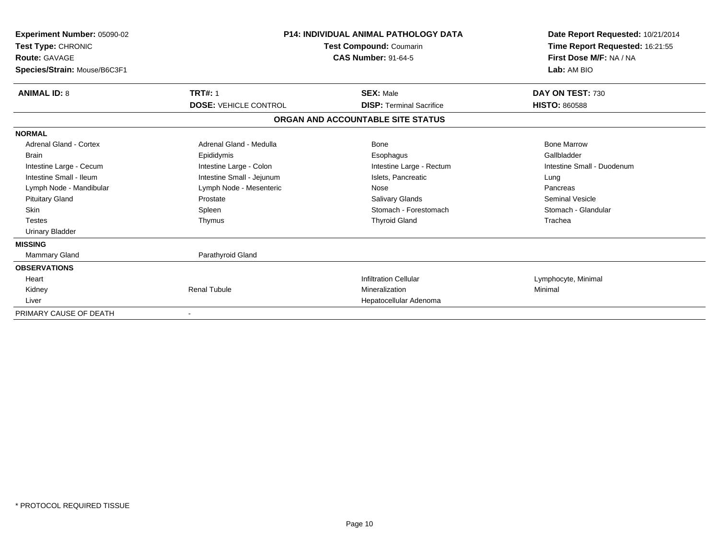| Experiment Number: 05090-02<br>Test Type: CHRONIC<br>Route: GAVAGE<br>Species/Strain: Mouse/B6C3F1 |                              | <b>P14: INDIVIDUAL ANIMAL PATHOLOGY DATA</b><br>Test Compound: Coumarin<br><b>CAS Number: 91-64-5</b> | Date Report Requested: 10/21/2014<br>Time Report Requested: 16:21:55<br>First Dose M/F: NA / NA<br>Lab: AM BIO |
|----------------------------------------------------------------------------------------------------|------------------------------|-------------------------------------------------------------------------------------------------------|----------------------------------------------------------------------------------------------------------------|
| <b>ANIMAL ID: 8</b>                                                                                | <b>TRT#: 1</b>               | <b>SEX: Male</b>                                                                                      | DAY ON TEST: 730                                                                                               |
|                                                                                                    | <b>DOSE: VEHICLE CONTROL</b> | <b>DISP: Terminal Sacrifice</b>                                                                       | <b>HISTO: 860588</b>                                                                                           |
|                                                                                                    |                              | ORGAN AND ACCOUNTABLE SITE STATUS                                                                     |                                                                                                                |
| <b>NORMAL</b>                                                                                      |                              |                                                                                                       |                                                                                                                |
| <b>Adrenal Gland - Cortex</b>                                                                      | Adrenal Gland - Medulla      | <b>Bone</b>                                                                                           | <b>Bone Marrow</b>                                                                                             |
| <b>Brain</b>                                                                                       | Epididymis                   | Esophagus                                                                                             | Gallbladder                                                                                                    |
| Intestine Large - Cecum                                                                            | Intestine Large - Colon      | Intestine Large - Rectum                                                                              | Intestine Small - Duodenum                                                                                     |
| Intestine Small - Ileum                                                                            | Intestine Small - Jejunum    | Islets, Pancreatic                                                                                    | Lung                                                                                                           |
| Lymph Node - Mandibular                                                                            | Lymph Node - Mesenteric      | Nose                                                                                                  | Pancreas                                                                                                       |
| <b>Pituitary Gland</b>                                                                             | Prostate                     | Salivary Glands                                                                                       | <b>Seminal Vesicle</b>                                                                                         |
| Skin                                                                                               | Spleen                       | Stomach - Forestomach                                                                                 | Stomach - Glandular                                                                                            |
| <b>Testes</b>                                                                                      | Thymus                       | <b>Thyroid Gland</b>                                                                                  | Trachea                                                                                                        |
| <b>Urinary Bladder</b>                                                                             |                              |                                                                                                       |                                                                                                                |
| <b>MISSING</b>                                                                                     |                              |                                                                                                       |                                                                                                                |
| Mammary Gland                                                                                      | Parathyroid Gland            |                                                                                                       |                                                                                                                |
| <b>OBSERVATIONS</b>                                                                                |                              |                                                                                                       |                                                                                                                |
| Heart                                                                                              |                              | <b>Infiltration Cellular</b>                                                                          | Lymphocyte, Minimal                                                                                            |
| Kidney                                                                                             | <b>Renal Tubule</b>          | Mineralization                                                                                        | Minimal                                                                                                        |
| Liver                                                                                              |                              | Hepatocellular Adenoma                                                                                |                                                                                                                |
| PRIMARY CAUSE OF DEATH                                                                             |                              |                                                                                                       |                                                                                                                |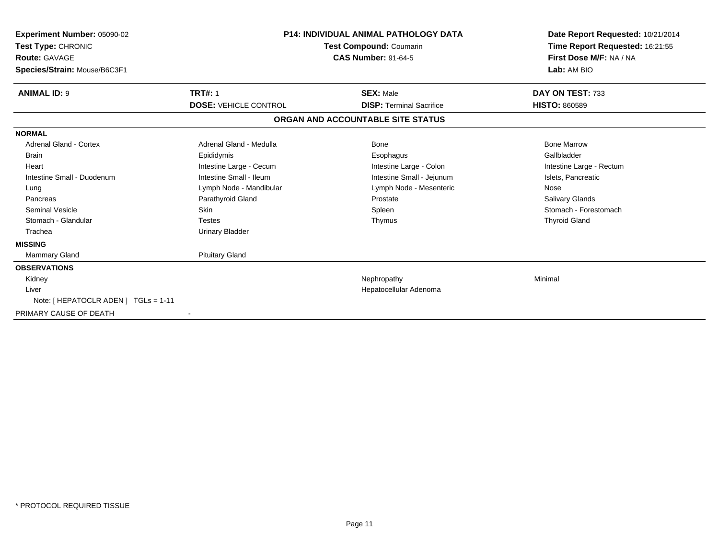| Experiment Number: 05090-02<br><b>Test Type: CHRONIC</b><br><b>Route: GAVAGE</b><br>Species/Strain: Mouse/B6C3F1 | <b>P14: INDIVIDUAL ANIMAL PATHOLOGY DATA</b><br>Test Compound: Coumarin<br><b>CAS Number: 91-64-5</b> |                                   | Lab: AM BIO              |  | Date Report Requested: 10/21/2014<br>Time Report Requested: 16:21:55<br>First Dose M/F: NA / NA |
|------------------------------------------------------------------------------------------------------------------|-------------------------------------------------------------------------------------------------------|-----------------------------------|--------------------------|--|-------------------------------------------------------------------------------------------------|
| <b>ANIMAL ID: 9</b>                                                                                              | <b>TRT#: 1</b>                                                                                        | <b>SEX: Male</b>                  | DAY ON TEST: 733         |  |                                                                                                 |
|                                                                                                                  | <b>DOSE: VEHICLE CONTROL</b>                                                                          | <b>DISP: Terminal Sacrifice</b>   | <b>HISTO: 860589</b>     |  |                                                                                                 |
|                                                                                                                  |                                                                                                       | ORGAN AND ACCOUNTABLE SITE STATUS |                          |  |                                                                                                 |
| <b>NORMAL</b>                                                                                                    |                                                                                                       |                                   |                          |  |                                                                                                 |
| <b>Adrenal Gland - Cortex</b>                                                                                    | Adrenal Gland - Medulla                                                                               | Bone                              | <b>Bone Marrow</b>       |  |                                                                                                 |
| <b>Brain</b>                                                                                                     | Epididymis                                                                                            | Esophagus                         | Gallbladder              |  |                                                                                                 |
| Heart                                                                                                            | Intestine Large - Cecum                                                                               | Intestine Large - Colon           | Intestine Large - Rectum |  |                                                                                                 |
| Intestine Small - Duodenum                                                                                       | Intestine Small - Ileum                                                                               | Intestine Small - Jejunum         | Islets, Pancreatic       |  |                                                                                                 |
| Lung                                                                                                             | Lymph Node - Mandibular                                                                               | Lymph Node - Mesenteric           | Nose                     |  |                                                                                                 |
| Pancreas                                                                                                         | Parathyroid Gland                                                                                     | Prostate                          | <b>Salivary Glands</b>   |  |                                                                                                 |
| <b>Seminal Vesicle</b>                                                                                           | Skin                                                                                                  | Spleen                            | Stomach - Forestomach    |  |                                                                                                 |
| Stomach - Glandular                                                                                              | <b>Testes</b>                                                                                         | Thymus                            | <b>Thyroid Gland</b>     |  |                                                                                                 |
| Trachea                                                                                                          | <b>Urinary Bladder</b>                                                                                |                                   |                          |  |                                                                                                 |
| <b>MISSING</b>                                                                                                   |                                                                                                       |                                   |                          |  |                                                                                                 |
| <b>Mammary Gland</b>                                                                                             | <b>Pituitary Gland</b>                                                                                |                                   |                          |  |                                                                                                 |
| <b>OBSERVATIONS</b>                                                                                              |                                                                                                       |                                   |                          |  |                                                                                                 |
| Kidney                                                                                                           |                                                                                                       | Nephropathy                       | Minimal                  |  |                                                                                                 |
| Liver                                                                                                            |                                                                                                       | Hepatocellular Adenoma            |                          |  |                                                                                                 |
| Note: [ HEPATOCLR ADEN ] TGLs = 1-11                                                                             |                                                                                                       |                                   |                          |  |                                                                                                 |
| PRIMARY CAUSE OF DEATH                                                                                           |                                                                                                       |                                   |                          |  |                                                                                                 |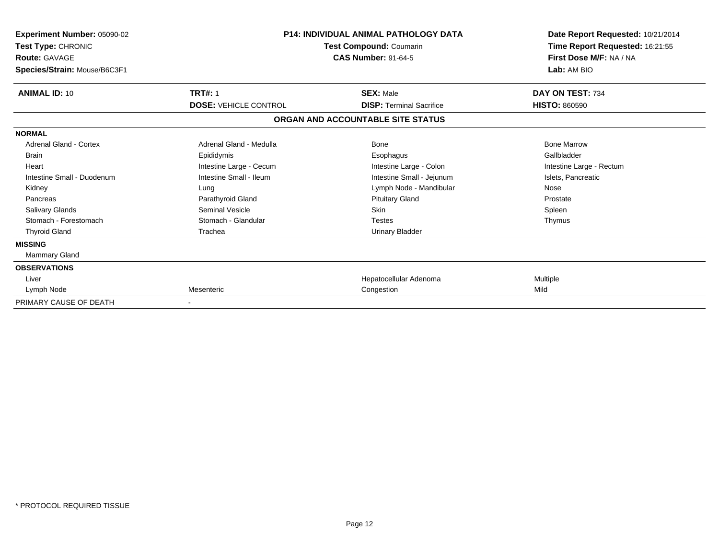| Experiment Number: 05090-02<br>Test Type: CHRONIC<br><b>Route: GAVAGE</b><br>Species/Strain: Mouse/B6C3F1 | <b>P14: INDIVIDUAL ANIMAL PATHOLOGY DATA</b><br><b>Test Compound: Coumarin</b><br><b>CAS Number: 91-64-5</b> |                                   | Date Report Requested: 10/21/2014<br>Time Report Requested: 16:21:55<br>First Dose M/F: NA / NA<br>Lab: AM BIO |  |
|-----------------------------------------------------------------------------------------------------------|--------------------------------------------------------------------------------------------------------------|-----------------------------------|----------------------------------------------------------------------------------------------------------------|--|
| <b>ANIMAL ID: 10</b>                                                                                      | <b>TRT#: 1</b>                                                                                               | <b>SEX: Male</b>                  | DAY ON TEST: 734                                                                                               |  |
|                                                                                                           | <b>DOSE: VEHICLE CONTROL</b>                                                                                 | <b>DISP: Terminal Sacrifice</b>   | <b>HISTO: 860590</b>                                                                                           |  |
|                                                                                                           |                                                                                                              | ORGAN AND ACCOUNTABLE SITE STATUS |                                                                                                                |  |
| <b>NORMAL</b>                                                                                             |                                                                                                              |                                   |                                                                                                                |  |
| <b>Adrenal Gland - Cortex</b>                                                                             | Adrenal Gland - Medulla                                                                                      | Bone                              | <b>Bone Marrow</b>                                                                                             |  |
| <b>Brain</b>                                                                                              | Epididymis                                                                                                   | Esophagus                         | Gallbladder                                                                                                    |  |
| Heart                                                                                                     | Intestine Large - Cecum                                                                                      | Intestine Large - Colon           | Intestine Large - Rectum                                                                                       |  |
| Intestine Small - Duodenum                                                                                | Intestine Small - Ileum                                                                                      | Intestine Small - Jejunum         | Islets, Pancreatic                                                                                             |  |
| Kidney                                                                                                    | Lung                                                                                                         | Lymph Node - Mandibular           | Nose                                                                                                           |  |
| Pancreas                                                                                                  | Parathyroid Gland                                                                                            | <b>Pituitary Gland</b>            | Prostate                                                                                                       |  |
| <b>Salivary Glands</b>                                                                                    | <b>Seminal Vesicle</b>                                                                                       | <b>Skin</b>                       | Spleen                                                                                                         |  |
| Stomach - Forestomach                                                                                     | Stomach - Glandular                                                                                          | <b>Testes</b>                     | Thymus                                                                                                         |  |
| <b>Thyroid Gland</b>                                                                                      | Trachea                                                                                                      | <b>Urinary Bladder</b>            |                                                                                                                |  |
| <b>MISSING</b>                                                                                            |                                                                                                              |                                   |                                                                                                                |  |
| Mammary Gland                                                                                             |                                                                                                              |                                   |                                                                                                                |  |
| <b>OBSERVATIONS</b>                                                                                       |                                                                                                              |                                   |                                                                                                                |  |
| Liver                                                                                                     |                                                                                                              | Hepatocellular Adenoma            | Multiple                                                                                                       |  |
| Lymph Node                                                                                                | Mesenteric                                                                                                   | Congestion                        | Mild                                                                                                           |  |
| PRIMARY CAUSE OF DEATH                                                                                    |                                                                                                              |                                   |                                                                                                                |  |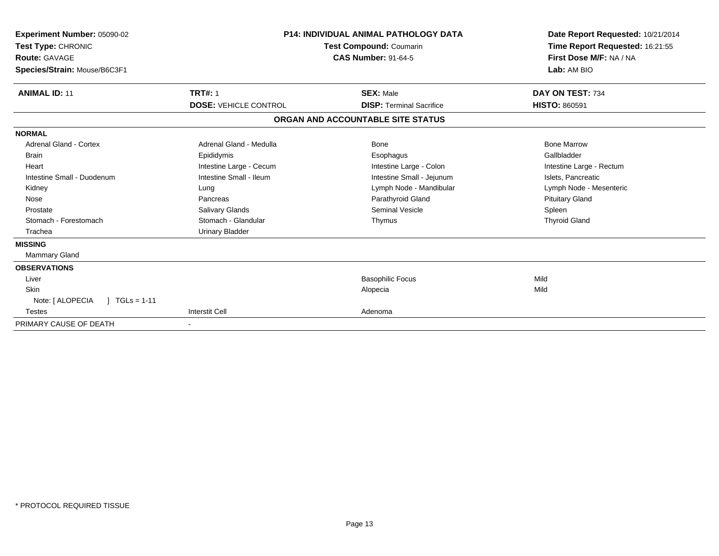| <b>Experiment Number: 05090-02</b><br>Test Type: CHRONIC<br><b>Route: GAVAGE</b><br>Species/Strain: Mouse/B6C3F1 | <b>P14: INDIVIDUAL ANIMAL PATHOLOGY DATA</b><br><b>Test Compound: Coumarin</b><br><b>CAS Number: 91-64-5</b> |                                   | Date Report Requested: 10/21/2014<br>Time Report Requested: 16:21:55<br>First Dose M/F: NA / NA<br>Lab: AM BIO |
|------------------------------------------------------------------------------------------------------------------|--------------------------------------------------------------------------------------------------------------|-----------------------------------|----------------------------------------------------------------------------------------------------------------|
| <b>ANIMAL ID: 11</b>                                                                                             | <b>TRT#: 1</b>                                                                                               | <b>SEX: Male</b>                  | DAY ON TEST: 734                                                                                               |
|                                                                                                                  | <b>DOSE: VEHICLE CONTROL</b>                                                                                 | <b>DISP: Terminal Sacrifice</b>   | <b>HISTO: 860591</b>                                                                                           |
|                                                                                                                  |                                                                                                              | ORGAN AND ACCOUNTABLE SITE STATUS |                                                                                                                |
| <b>NORMAL</b>                                                                                                    |                                                                                                              |                                   |                                                                                                                |
| Adrenal Gland - Cortex                                                                                           | Adrenal Gland - Medulla                                                                                      | Bone                              | <b>Bone Marrow</b>                                                                                             |
| <b>Brain</b>                                                                                                     | Epididymis                                                                                                   | Esophagus                         | Gallbladder                                                                                                    |
| Heart                                                                                                            | Intestine Large - Cecum                                                                                      | Intestine Large - Colon           | Intestine Large - Rectum                                                                                       |
| Intestine Small - Duodenum                                                                                       | Intestine Small - Ileum                                                                                      | Intestine Small - Jejunum         | Islets, Pancreatic                                                                                             |
| Kidney                                                                                                           | Lung                                                                                                         | Lymph Node - Mandibular           | Lymph Node - Mesenteric                                                                                        |
| Nose                                                                                                             | Pancreas                                                                                                     | Parathyroid Gland                 | <b>Pituitary Gland</b>                                                                                         |
| Prostate                                                                                                         | <b>Salivary Glands</b>                                                                                       | Seminal Vesicle                   | Spleen                                                                                                         |
| Stomach - Forestomach                                                                                            | Stomach - Glandular                                                                                          | Thymus                            | <b>Thyroid Gland</b>                                                                                           |
| Trachea                                                                                                          | Urinary Bladder                                                                                              |                                   |                                                                                                                |
| <b>MISSING</b>                                                                                                   |                                                                                                              |                                   |                                                                                                                |
| <b>Mammary Gland</b>                                                                                             |                                                                                                              |                                   |                                                                                                                |
| <b>OBSERVATIONS</b>                                                                                              |                                                                                                              |                                   |                                                                                                                |
| Liver                                                                                                            |                                                                                                              | <b>Basophilic Focus</b>           | Mild                                                                                                           |
| Skin                                                                                                             |                                                                                                              | Alopecia                          | Mild                                                                                                           |
| Note: [ ALOPECIA<br>$1 TGLs = 1-11$                                                                              |                                                                                                              |                                   |                                                                                                                |
| <b>Testes</b>                                                                                                    | <b>Interstit Cell</b>                                                                                        | Adenoma                           |                                                                                                                |
| PRIMARY CAUSE OF DEATH                                                                                           |                                                                                                              |                                   |                                                                                                                |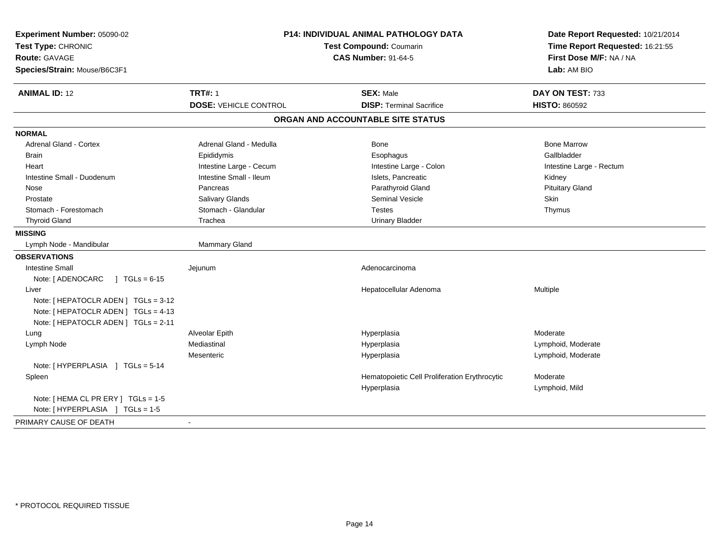| Experiment Number: 05090-02<br>Test Type: CHRONIC<br><b>Route: GAVAGE</b><br>Species/Strain: Mouse/B6C3F1 | P14: INDIVIDUAL ANIMAL PATHOLOGY DATA<br>Test Compound: Coumarin<br><b>CAS Number: 91-64-5</b> |                                               | Date Report Requested: 10/21/2014<br>Time Report Requested: 16:21:55<br>First Dose M/F: NA / NA<br>Lab: AM BIO |  |
|-----------------------------------------------------------------------------------------------------------|------------------------------------------------------------------------------------------------|-----------------------------------------------|----------------------------------------------------------------------------------------------------------------|--|
| <b>ANIMAL ID: 12</b>                                                                                      | <b>TRT#: 1</b>                                                                                 | <b>SEX: Male</b>                              | DAY ON TEST: 733                                                                                               |  |
|                                                                                                           | <b>DOSE: VEHICLE CONTROL</b>                                                                   | <b>DISP: Terminal Sacrifice</b>               | <b>HISTO: 860592</b>                                                                                           |  |
|                                                                                                           |                                                                                                | ORGAN AND ACCOUNTABLE SITE STATUS             |                                                                                                                |  |
| <b>NORMAL</b>                                                                                             |                                                                                                |                                               |                                                                                                                |  |
| <b>Adrenal Gland - Cortex</b>                                                                             | Adrenal Gland - Medulla                                                                        | Bone                                          | <b>Bone Marrow</b>                                                                                             |  |
| <b>Brain</b>                                                                                              | Epididymis                                                                                     | Esophagus                                     | Gallbladder                                                                                                    |  |
| Heart                                                                                                     | Intestine Large - Cecum                                                                        | Intestine Large - Colon                       | Intestine Large - Rectum                                                                                       |  |
| Intestine Small - Duodenum                                                                                | Intestine Small - Ileum                                                                        | Islets, Pancreatic                            | Kidney                                                                                                         |  |
| Nose                                                                                                      | Pancreas                                                                                       | Parathyroid Gland                             | <b>Pituitary Gland</b>                                                                                         |  |
| Prostate                                                                                                  | Salivary Glands                                                                                | <b>Seminal Vesicle</b>                        | Skin                                                                                                           |  |
| Stomach - Forestomach                                                                                     | Stomach - Glandular                                                                            | <b>Testes</b>                                 | Thymus                                                                                                         |  |
| <b>Thyroid Gland</b>                                                                                      | Trachea                                                                                        | <b>Urinary Bladder</b>                        |                                                                                                                |  |
| <b>MISSING</b>                                                                                            |                                                                                                |                                               |                                                                                                                |  |
| Lymph Node - Mandibular                                                                                   | Mammary Gland                                                                                  |                                               |                                                                                                                |  |
| <b>OBSERVATIONS</b>                                                                                       |                                                                                                |                                               |                                                                                                                |  |
| <b>Intestine Small</b>                                                                                    | Jejunum                                                                                        | Adenocarcinoma                                |                                                                                                                |  |
| $\sqrt{1 + 1}$ TGLs = 6-15<br>Note: [ ADENOCARC                                                           |                                                                                                |                                               |                                                                                                                |  |
| Liver                                                                                                     |                                                                                                | Hepatocellular Adenoma                        | Multiple                                                                                                       |  |
| Note: [ HEPATOCLR ADEN ] TGLs = 3-12                                                                      |                                                                                                |                                               |                                                                                                                |  |
| Note: [ HEPATOCLR ADEN ] TGLs = 4-13                                                                      |                                                                                                |                                               |                                                                                                                |  |
| Note: [ HEPATOCLR ADEN ] TGLs = 2-11                                                                      |                                                                                                |                                               |                                                                                                                |  |
| Lung                                                                                                      | Alveolar Epith                                                                                 | Hyperplasia                                   | Moderate                                                                                                       |  |
| Lymph Node                                                                                                | Mediastinal                                                                                    | Hyperplasia                                   | Lymphoid, Moderate                                                                                             |  |
|                                                                                                           | Mesenteric                                                                                     | Hyperplasia                                   | Lymphoid, Moderate                                                                                             |  |
| Note: [HYPERPLASIA ] TGLs = 5-14                                                                          |                                                                                                |                                               |                                                                                                                |  |
| Spleen                                                                                                    |                                                                                                | Hematopoietic Cell Proliferation Erythrocytic | Moderate                                                                                                       |  |
|                                                                                                           |                                                                                                | Hyperplasia                                   | Lymphoid, Mild                                                                                                 |  |
| Note: [ HEMA CL PR ERY ] TGLs = 1-5                                                                       |                                                                                                |                                               |                                                                                                                |  |
| Note: [HYPERPLASIA ] TGLs = 1-5                                                                           |                                                                                                |                                               |                                                                                                                |  |
| PRIMARY CAUSE OF DEATH                                                                                    | $\blacksquare$                                                                                 |                                               |                                                                                                                |  |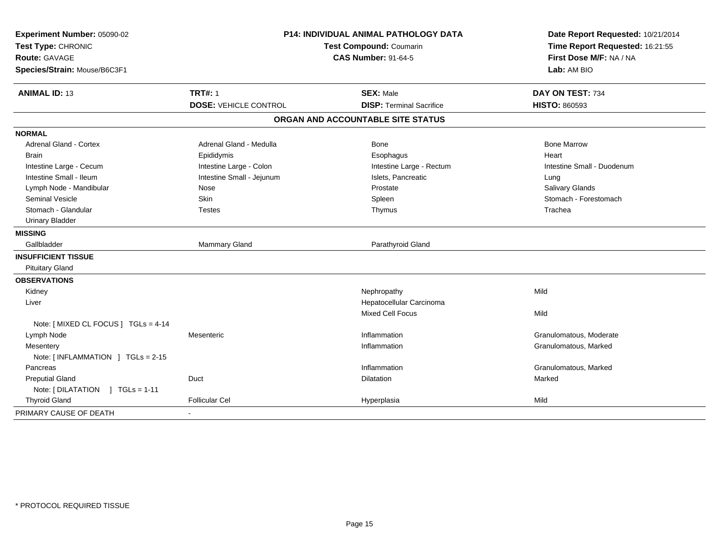| Experiment Number: 05090-02<br>Test Type: CHRONIC<br><b>Route: GAVAGE</b><br>Species/Strain: Mouse/B6C3F1 | P14: INDIVIDUAL ANIMAL PATHOLOGY DATA<br>Test Compound: Coumarin<br><b>CAS Number: 91-64-5</b> |                                   | Date Report Requested: 10/21/2014<br>Time Report Requested: 16:21:55<br>First Dose M/F: NA / NA<br>Lab: AM BIO |
|-----------------------------------------------------------------------------------------------------------|------------------------------------------------------------------------------------------------|-----------------------------------|----------------------------------------------------------------------------------------------------------------|
| <b>ANIMAL ID: 13</b>                                                                                      | <b>TRT#: 1</b>                                                                                 | <b>SEX: Male</b>                  | DAY ON TEST: 734                                                                                               |
|                                                                                                           | <b>DOSE: VEHICLE CONTROL</b>                                                                   | <b>DISP: Terminal Sacrifice</b>   | <b>HISTO: 860593</b>                                                                                           |
|                                                                                                           |                                                                                                | ORGAN AND ACCOUNTABLE SITE STATUS |                                                                                                                |
| <b>NORMAL</b>                                                                                             |                                                                                                |                                   |                                                                                                                |
| <b>Adrenal Gland - Cortex</b>                                                                             | Adrenal Gland - Medulla                                                                        | <b>Bone</b>                       | <b>Bone Marrow</b>                                                                                             |
| <b>Brain</b>                                                                                              | Epididymis                                                                                     | Esophagus                         | Heart                                                                                                          |
| Intestine Large - Cecum                                                                                   | Intestine Large - Colon                                                                        | Intestine Large - Rectum          | Intestine Small - Duodenum                                                                                     |
| Intestine Small - Ileum                                                                                   | Intestine Small - Jejunum                                                                      | Islets, Pancreatic                | Lung                                                                                                           |
| Lymph Node - Mandibular                                                                                   | Nose                                                                                           | Prostate                          | Salivary Glands                                                                                                |
| Seminal Vesicle                                                                                           | Skin                                                                                           | Spleen                            | Stomach - Forestomach                                                                                          |
| Stomach - Glandular                                                                                       | Testes                                                                                         | Thymus                            | Trachea                                                                                                        |
| <b>Urinary Bladder</b>                                                                                    |                                                                                                |                                   |                                                                                                                |
| <b>MISSING</b>                                                                                            |                                                                                                |                                   |                                                                                                                |
| Gallbladder                                                                                               | Mammary Gland                                                                                  | Parathyroid Gland                 |                                                                                                                |
| <b>INSUFFICIENT TISSUE</b>                                                                                |                                                                                                |                                   |                                                                                                                |
| <b>Pituitary Gland</b>                                                                                    |                                                                                                |                                   |                                                                                                                |
| <b>OBSERVATIONS</b>                                                                                       |                                                                                                |                                   |                                                                                                                |
| Kidney                                                                                                    |                                                                                                | Nephropathy                       | Mild                                                                                                           |
| Liver                                                                                                     |                                                                                                | Hepatocellular Carcinoma          |                                                                                                                |
|                                                                                                           |                                                                                                | Mixed Cell Focus                  | Mild                                                                                                           |
| Note: [ MIXED CL FOCUS ] TGLs = 4-14                                                                      |                                                                                                |                                   |                                                                                                                |
| Lymph Node                                                                                                | Mesenteric                                                                                     | Inflammation                      | Granulomatous, Moderate                                                                                        |
| Mesentery                                                                                                 |                                                                                                | Inflammation                      | Granulomatous, Marked                                                                                          |
| Note: [INFLAMMATION ] TGLs = 2-15                                                                         |                                                                                                |                                   |                                                                                                                |
| Pancreas                                                                                                  |                                                                                                | Inflammation                      | Granulomatous, Marked                                                                                          |
| <b>Preputial Gland</b>                                                                                    | Duct                                                                                           | <b>Dilatation</b>                 | Marked                                                                                                         |
| Note: [DILATATION ] TGLs = 1-11                                                                           |                                                                                                |                                   |                                                                                                                |
| <b>Thyroid Gland</b>                                                                                      | <b>Follicular Cel</b>                                                                          | Hyperplasia                       | Mild                                                                                                           |
| PRIMARY CAUSE OF DEATH                                                                                    |                                                                                                |                                   |                                                                                                                |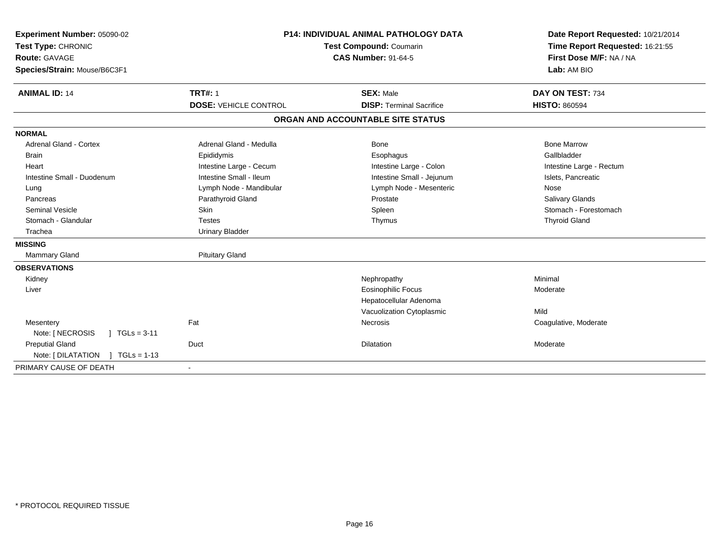| Experiment Number: 05090-02                              | <b>P14: INDIVIDUAL ANIMAL PATHOLOGY DATA</b><br>Test Compound: Coumarin |                                   | Date Report Requested: 10/21/2014 |
|----------------------------------------------------------|-------------------------------------------------------------------------|-----------------------------------|-----------------------------------|
| Test Type: CHRONIC                                       |                                                                         |                                   | Time Report Requested: 16:21:55   |
| <b>Route: GAVAGE</b>                                     |                                                                         | <b>CAS Number: 91-64-5</b>        | First Dose M/F: NA / NA           |
| Species/Strain: Mouse/B6C3F1                             |                                                                         |                                   | Lab: AM BIO                       |
| <b>ANIMAL ID: 14</b>                                     | <b>TRT#: 1</b>                                                          | <b>SEX: Male</b>                  | DAY ON TEST: 734                  |
|                                                          | <b>DOSE: VEHICLE CONTROL</b>                                            | <b>DISP: Terminal Sacrifice</b>   | <b>HISTO: 860594</b>              |
|                                                          |                                                                         | ORGAN AND ACCOUNTABLE SITE STATUS |                                   |
| <b>NORMAL</b>                                            |                                                                         |                                   |                                   |
| <b>Adrenal Gland - Cortex</b>                            | Adrenal Gland - Medulla                                                 | Bone                              | <b>Bone Marrow</b>                |
| <b>Brain</b>                                             | Epididymis                                                              | Esophagus                         | Gallbladder                       |
| Heart                                                    | Intestine Large - Cecum                                                 | Intestine Large - Colon           | Intestine Large - Rectum          |
| Intestine Small - Duodenum                               | Intestine Small - Ileum                                                 | Intestine Small - Jejunum         | Islets, Pancreatic                |
| Lung                                                     | Lymph Node - Mandibular                                                 | Lymph Node - Mesenteric           | Nose                              |
| Pancreas                                                 | Parathyroid Gland                                                       | Prostate                          | Salivary Glands                   |
| <b>Seminal Vesicle</b>                                   | <b>Skin</b>                                                             | Spleen                            | Stomach - Forestomach             |
| Stomach - Glandular                                      | <b>Testes</b>                                                           | Thymus                            | <b>Thyroid Gland</b>              |
| Trachea                                                  | <b>Urinary Bladder</b>                                                  |                                   |                                   |
| <b>MISSING</b>                                           |                                                                         |                                   |                                   |
| <b>Mammary Gland</b>                                     | <b>Pituitary Gland</b>                                                  |                                   |                                   |
| <b>OBSERVATIONS</b>                                      |                                                                         |                                   |                                   |
| Kidney                                                   |                                                                         | Nephropathy                       | Minimal                           |
| Liver                                                    |                                                                         | <b>Eosinophilic Focus</b>         | Moderate                          |
|                                                          |                                                                         | Hepatocellular Adenoma            |                                   |
|                                                          |                                                                         | Vacuolization Cytoplasmic         | Mild                              |
| Mesentery<br>Note: [ NECROSIS<br>$1 \text{ TGLs} = 3-11$ | Fat                                                                     | Necrosis                          | Coagulative, Moderate             |
| <b>Preputial Gland</b>                                   | Duct                                                                    | <b>Dilatation</b>                 | Moderate                          |
| Note: [DILATATION ] TGLs = 1-13                          |                                                                         |                                   |                                   |
| PRIMARY CAUSE OF DEATH                                   |                                                                         |                                   |                                   |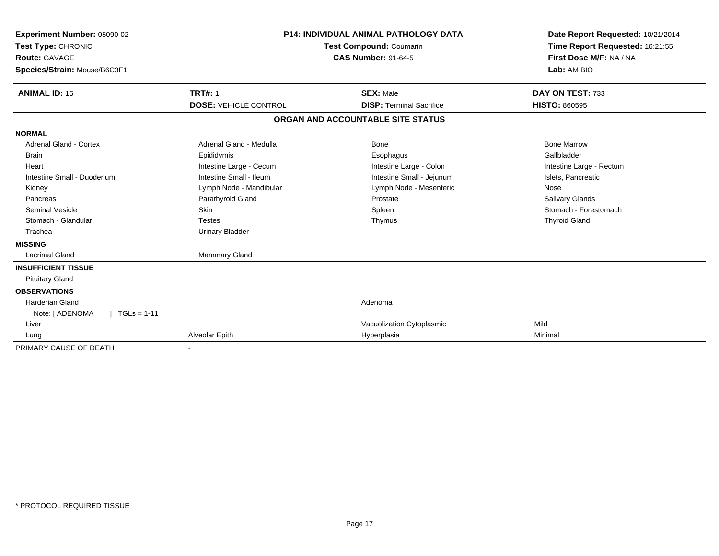| <b>Experiment Number: 05090-02</b><br>Test Type: CHRONIC<br><b>Route: GAVAGE</b><br>Species/Strain: Mouse/B6C3F1<br><b>ANIMAL ID: 15</b> | <b>TRT#: 1</b>               | <b>P14: INDIVIDUAL ANIMAL PATHOLOGY DATA</b><br>Test Compound: Coumarin<br><b>CAS Number: 91-64-5</b><br><b>SEX: Male</b> | Date Report Requested: 10/21/2014<br>Time Report Requested: 16:21:55<br>First Dose M/F: NA / NA<br>Lab: AM BIO<br>DAY ON TEST: 733 |
|------------------------------------------------------------------------------------------------------------------------------------------|------------------------------|---------------------------------------------------------------------------------------------------------------------------|------------------------------------------------------------------------------------------------------------------------------------|
|                                                                                                                                          | <b>DOSE: VEHICLE CONTROL</b> | <b>DISP: Terminal Sacrifice</b>                                                                                           | <b>HISTO: 860595</b>                                                                                                               |
|                                                                                                                                          |                              | ORGAN AND ACCOUNTABLE SITE STATUS                                                                                         |                                                                                                                                    |
| <b>NORMAL</b>                                                                                                                            |                              |                                                                                                                           |                                                                                                                                    |
| <b>Adrenal Gland - Cortex</b>                                                                                                            | Adrenal Gland - Medulla      | Bone                                                                                                                      | <b>Bone Marrow</b>                                                                                                                 |
| Brain                                                                                                                                    | Epididymis                   | Esophagus                                                                                                                 | Gallbladder                                                                                                                        |
| Heart                                                                                                                                    | Intestine Large - Cecum      | Intestine Large - Colon                                                                                                   | Intestine Large - Rectum                                                                                                           |
| Intestine Small - Duodenum                                                                                                               | Intestine Small - Ileum      | Intestine Small - Jejunum                                                                                                 | Islets, Pancreatic                                                                                                                 |
| Kidney                                                                                                                                   | Lymph Node - Mandibular      | Lymph Node - Mesenteric                                                                                                   | Nose                                                                                                                               |
| Pancreas                                                                                                                                 | Parathyroid Gland            | Prostate                                                                                                                  | <b>Salivary Glands</b>                                                                                                             |
| <b>Seminal Vesicle</b>                                                                                                                   | Skin                         | Spleen                                                                                                                    | Stomach - Forestomach                                                                                                              |
| Stomach - Glandular                                                                                                                      | <b>Testes</b>                | Thymus                                                                                                                    | <b>Thyroid Gland</b>                                                                                                               |
| Trachea                                                                                                                                  | <b>Urinary Bladder</b>       |                                                                                                                           |                                                                                                                                    |
| <b>MISSING</b>                                                                                                                           |                              |                                                                                                                           |                                                                                                                                    |
| <b>Lacrimal Gland</b>                                                                                                                    | <b>Mammary Gland</b>         |                                                                                                                           |                                                                                                                                    |
| <b>INSUFFICIENT TISSUE</b>                                                                                                               |                              |                                                                                                                           |                                                                                                                                    |
| <b>Pituitary Gland</b>                                                                                                                   |                              |                                                                                                                           |                                                                                                                                    |
| <b>OBSERVATIONS</b>                                                                                                                      |                              |                                                                                                                           |                                                                                                                                    |
| <b>Harderian Gland</b>                                                                                                                   |                              | Adenoma                                                                                                                   |                                                                                                                                    |
| Note: [ ADENOMA<br>$TGLS = 1-11$                                                                                                         |                              |                                                                                                                           |                                                                                                                                    |
| Liver                                                                                                                                    |                              | Vacuolization Cytoplasmic                                                                                                 | Mild                                                                                                                               |
| Lung                                                                                                                                     | Alveolar Epith               | Hyperplasia                                                                                                               | Minimal                                                                                                                            |
| PRIMARY CAUSE OF DEATH                                                                                                                   |                              |                                                                                                                           |                                                                                                                                    |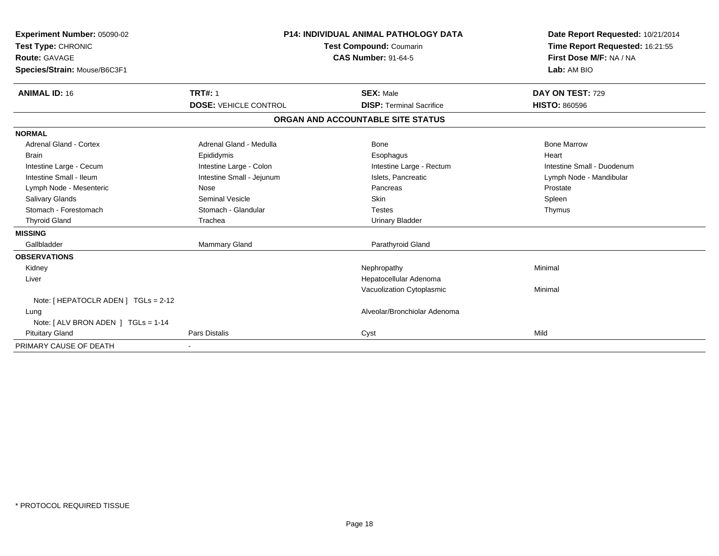| Experiment Number: 05090-02              |                              | <b>P14: INDIVIDUAL ANIMAL PATHOLOGY DATA</b> | Date Report Requested: 10/21/2014<br>Time Report Requested: 16:21:55 |
|------------------------------------------|------------------------------|----------------------------------------------|----------------------------------------------------------------------|
| Test Type: CHRONIC                       | Test Compound: Coumarin      |                                              |                                                                      |
| <b>Route: GAVAGE</b>                     |                              | <b>CAS Number: 91-64-5</b>                   | First Dose M/F: NA / NA                                              |
| Species/Strain: Mouse/B6C3F1             |                              |                                              | Lab: AM BIO                                                          |
| <b>ANIMAL ID: 16</b>                     | <b>TRT#: 1</b>               | <b>SEX: Male</b>                             | DAY ON TEST: 729                                                     |
|                                          | <b>DOSE: VEHICLE CONTROL</b> | <b>DISP: Terminal Sacrifice</b>              | <b>HISTO: 860596</b>                                                 |
|                                          |                              | ORGAN AND ACCOUNTABLE SITE STATUS            |                                                                      |
| <b>NORMAL</b>                            |                              |                                              |                                                                      |
| Adrenal Gland - Cortex                   | Adrenal Gland - Medulla      | Bone                                         | <b>Bone Marrow</b>                                                   |
| <b>Brain</b>                             | Epididymis                   | Esophagus                                    | Heart                                                                |
| Intestine Large - Cecum                  | Intestine Large - Colon      | Intestine Large - Rectum                     | Intestine Small - Duodenum                                           |
| Intestine Small - Ileum                  | Intestine Small - Jejunum    | Islets. Pancreatic                           | Lymph Node - Mandibular                                              |
| Lymph Node - Mesenteric                  | Nose                         | Pancreas                                     | Prostate                                                             |
| <b>Salivary Glands</b>                   | <b>Seminal Vesicle</b>       | <b>Skin</b>                                  | Spleen                                                               |
| Stomach - Forestomach                    | Stomach - Glandular          | <b>Testes</b>                                | Thymus                                                               |
| <b>Thyroid Gland</b>                     | Trachea                      | <b>Urinary Bladder</b>                       |                                                                      |
| <b>MISSING</b>                           |                              |                                              |                                                                      |
| Gallbladder                              | Mammary Gland                | Parathyroid Gland                            |                                                                      |
| <b>OBSERVATIONS</b>                      |                              |                                              |                                                                      |
| Kidney                                   |                              | Nephropathy                                  | Minimal                                                              |
| Liver                                    |                              | Hepatocellular Adenoma                       |                                                                      |
|                                          |                              | Vacuolization Cytoplasmic                    | Minimal                                                              |
| Note: $[$ HEPATOCLR ADEN $]$ TGLs = 2-12 |                              |                                              |                                                                      |
| Lung                                     |                              | Alveolar/Bronchiolar Adenoma                 |                                                                      |
| Note: $[ALV$ BRON ADEN $]$ TGLs = 1-14   |                              |                                              |                                                                      |
| <b>Pituitary Gland</b>                   | <b>Pars Distalis</b>         | Cyst                                         | Mild                                                                 |
| PRIMARY CAUSE OF DEATH                   |                              |                                              |                                                                      |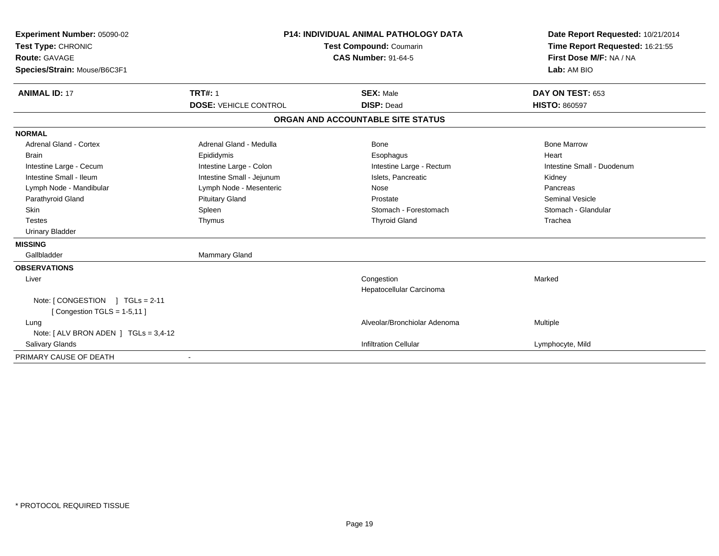| Experiment Number: 05090-02                                      | <b>P14: INDIVIDUAL ANIMAL PATHOLOGY DATA</b><br><b>Test Compound: Coumarin</b><br><b>CAS Number: 91-64-5</b> |                                   | Date Report Requested: 10/21/2014                          |
|------------------------------------------------------------------|--------------------------------------------------------------------------------------------------------------|-----------------------------------|------------------------------------------------------------|
| Test Type: CHRONIC                                               |                                                                                                              |                                   | Time Report Requested: 16:21:55<br>First Dose M/F: NA / NA |
| <b>Route: GAVAGE</b>                                             |                                                                                                              |                                   |                                                            |
| Species/Strain: Mouse/B6C3F1                                     |                                                                                                              |                                   | Lab: AM BIO                                                |
| <b>ANIMAL ID: 17</b>                                             | <b>TRT#: 1</b>                                                                                               | <b>SEX: Male</b>                  | DAY ON TEST: 653                                           |
|                                                                  | <b>DOSE: VEHICLE CONTROL</b>                                                                                 | <b>DISP: Dead</b>                 | <b>HISTO: 860597</b>                                       |
|                                                                  |                                                                                                              | ORGAN AND ACCOUNTABLE SITE STATUS |                                                            |
| <b>NORMAL</b>                                                    |                                                                                                              |                                   |                                                            |
| <b>Adrenal Gland - Cortex</b>                                    | Adrenal Gland - Medulla                                                                                      | Bone                              | <b>Bone Marrow</b>                                         |
| <b>Brain</b>                                                     | Epididymis                                                                                                   | Esophagus                         | Heart                                                      |
| Intestine Large - Cecum                                          | Intestine Large - Colon                                                                                      | Intestine Large - Rectum          | Intestine Small - Duodenum                                 |
| Intestine Small - Ileum                                          | Intestine Small - Jejunum                                                                                    | Islets, Pancreatic                | Kidney                                                     |
| Lymph Node - Mandibular                                          | Lymph Node - Mesenteric                                                                                      | Nose                              | Pancreas                                                   |
| Parathyroid Gland                                                | <b>Pituitary Gland</b>                                                                                       | Prostate                          | <b>Seminal Vesicle</b>                                     |
| <b>Skin</b>                                                      | Spleen                                                                                                       | Stomach - Forestomach             | Stomach - Glandular                                        |
| <b>Testes</b>                                                    | Thymus                                                                                                       | <b>Thyroid Gland</b>              | Trachea                                                    |
| <b>Urinary Bladder</b>                                           |                                                                                                              |                                   |                                                            |
| <b>MISSING</b>                                                   |                                                                                                              |                                   |                                                            |
| Gallbladder                                                      | Mammary Gland                                                                                                |                                   |                                                            |
| <b>OBSERVATIONS</b>                                              |                                                                                                              |                                   |                                                            |
| Liver                                                            |                                                                                                              | Congestion                        | Marked                                                     |
|                                                                  |                                                                                                              | Hepatocellular Carcinoma          |                                                            |
| Note: [CONGESTION ] TGLs = 2-11<br>[Congestion TGLS = $1-5,11$ ] |                                                                                                              |                                   |                                                            |
| Lung                                                             |                                                                                                              | Alveolar/Bronchiolar Adenoma      | Multiple                                                   |
| Note: $[ALV$ BRON ADEN $]$ TGLs = 3,4-12                         |                                                                                                              |                                   |                                                            |
| <b>Salivary Glands</b>                                           |                                                                                                              | <b>Infiltration Cellular</b>      | Lymphocyte, Mild                                           |
| PRIMARY CAUSE OF DEATH                                           |                                                                                                              |                                   |                                                            |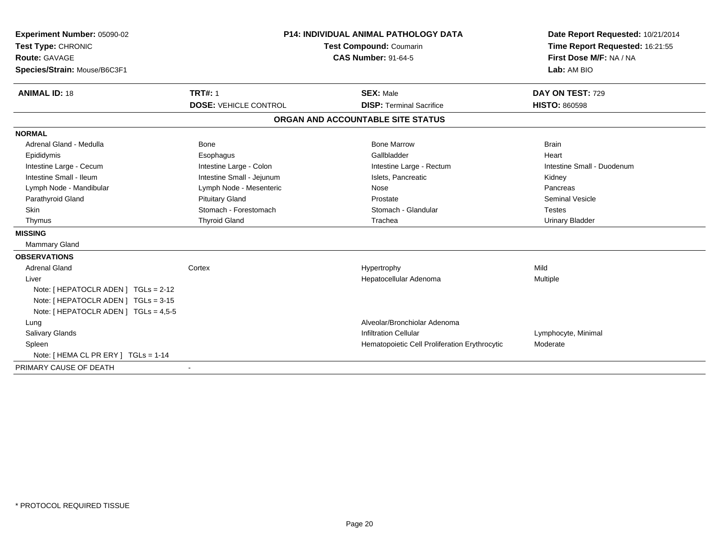| Experiment Number: 05090-02           | <b>P14: INDIVIDUAL ANIMAL PATHOLOGY DATA</b> |                                               | Date Report Requested: 10/21/2014                          |
|---------------------------------------|----------------------------------------------|-----------------------------------------------|------------------------------------------------------------|
| Test Type: CHRONIC                    |                                              | Test Compound: Coumarin                       | Time Report Requested: 16:21:55<br>First Dose M/F: NA / NA |
| <b>Route: GAVAGE</b>                  |                                              | <b>CAS Number: 91-64-5</b>                    |                                                            |
| Species/Strain: Mouse/B6C3F1          |                                              |                                               | Lab: AM BIO                                                |
| <b>ANIMAL ID: 18</b>                  | <b>TRT#: 1</b>                               | <b>SEX: Male</b>                              | DAY ON TEST: 729                                           |
|                                       | <b>DOSE: VEHICLE CONTROL</b>                 | <b>DISP: Terminal Sacrifice</b>               | <b>HISTO: 860598</b>                                       |
|                                       |                                              | ORGAN AND ACCOUNTABLE SITE STATUS             |                                                            |
| <b>NORMAL</b>                         |                                              |                                               |                                                            |
| Adrenal Gland - Medulla               | <b>Bone</b>                                  | <b>Bone Marrow</b>                            | <b>Brain</b>                                               |
| Epididymis                            | Esophagus                                    | Gallbladder                                   | Heart                                                      |
| Intestine Large - Cecum               | Intestine Large - Colon                      | Intestine Large - Rectum                      | Intestine Small - Duodenum                                 |
| Intestine Small - Ileum               | Intestine Small - Jejunum                    | Islets, Pancreatic                            | Kidney                                                     |
| Lymph Node - Mandibular               | Lymph Node - Mesenteric                      | Nose                                          | Pancreas                                                   |
| Parathyroid Gland                     | <b>Pituitary Gland</b>                       | Prostate                                      | <b>Seminal Vesicle</b>                                     |
| <b>Skin</b>                           | Stomach - Forestomach                        | Stomach - Glandular                           | <b>Testes</b>                                              |
| Thymus                                | <b>Thyroid Gland</b>                         | Trachea                                       | <b>Urinary Bladder</b>                                     |
| <b>MISSING</b>                        |                                              |                                               |                                                            |
| <b>Mammary Gland</b>                  |                                              |                                               |                                                            |
| <b>OBSERVATIONS</b>                   |                                              |                                               |                                                            |
| <b>Adrenal Gland</b>                  | Cortex                                       | Hypertrophy                                   | Mild                                                       |
| Liver                                 |                                              | Hepatocellular Adenoma                        | Multiple                                                   |
| Note: [ HEPATOCLR ADEN ] TGLs = 2-12  |                                              |                                               |                                                            |
| Note: [ HEPATOCLR ADEN ] TGLs = 3-15  |                                              |                                               |                                                            |
| Note: [ HEPATOCLR ADEN ] TGLs = 4,5-5 |                                              |                                               |                                                            |
| Lung                                  |                                              | Alveolar/Bronchiolar Adenoma                  |                                                            |
| Salivary Glands                       |                                              | <b>Infiltration Cellular</b>                  | Lymphocyte, Minimal                                        |
| Spleen                                |                                              | Hematopoietic Cell Proliferation Erythrocytic | Moderate                                                   |
| Note: [ HEMA CL PR ERY ] TGLs = 1-14  |                                              |                                               |                                                            |
| PRIMARY CAUSE OF DEATH                |                                              |                                               |                                                            |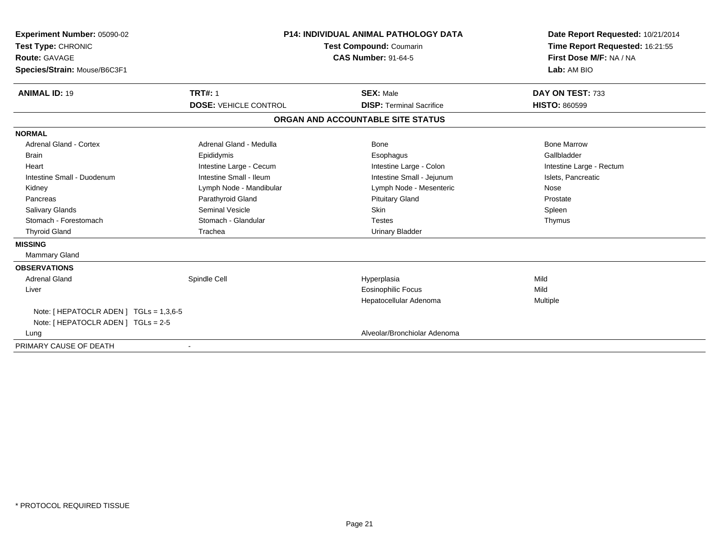| <b>Experiment Number: 05090-02</b><br>Test Type: CHRONIC<br><b>Route: GAVAGE</b><br>Species/Strain: Mouse/B6C3F1 | <b>P14: INDIVIDUAL ANIMAL PATHOLOGY DATA</b><br>Test Compound: Coumarin<br><b>CAS Number: 91-64-5</b> |                                                     | Date Report Requested: 10/21/2014<br>Time Report Requested: 16:21:55<br>First Dose M/F: NA / NA<br>Lab: AM BIO |
|------------------------------------------------------------------------------------------------------------------|-------------------------------------------------------------------------------------------------------|-----------------------------------------------------|----------------------------------------------------------------------------------------------------------------|
| <b>ANIMAL ID: 19</b>                                                                                             | <b>TRT#: 1</b><br><b>DOSE: VEHICLE CONTROL</b>                                                        | <b>SEX: Male</b><br><b>DISP: Terminal Sacrifice</b> | DAY ON TEST: 733<br><b>HISTO: 860599</b>                                                                       |
|                                                                                                                  |                                                                                                       | ORGAN AND ACCOUNTABLE SITE STATUS                   |                                                                                                                |
| <b>NORMAL</b>                                                                                                    |                                                                                                       |                                                     |                                                                                                                |
| <b>Adrenal Gland - Cortex</b>                                                                                    | Adrenal Gland - Medulla                                                                               | Bone                                                | <b>Bone Marrow</b>                                                                                             |
| <b>Brain</b>                                                                                                     | Epididymis                                                                                            | Esophagus                                           | Gallbladder                                                                                                    |
| Heart                                                                                                            | Intestine Large - Cecum                                                                               | Intestine Large - Colon                             | Intestine Large - Rectum                                                                                       |
| Intestine Small - Duodenum                                                                                       | Intestine Small - Ileum                                                                               | Intestine Small - Jejunum                           | Islets, Pancreatic                                                                                             |
| Kidney                                                                                                           | Lymph Node - Mandibular                                                                               | Lymph Node - Mesenteric                             | Nose                                                                                                           |
| Pancreas                                                                                                         | Parathyroid Gland                                                                                     | <b>Pituitary Gland</b>                              | Prostate                                                                                                       |
| <b>Salivary Glands</b>                                                                                           | Seminal Vesicle                                                                                       | Skin                                                | Spleen                                                                                                         |
| Stomach - Forestomach                                                                                            | Stomach - Glandular                                                                                   | <b>Testes</b>                                       | Thymus                                                                                                         |
| <b>Thyroid Gland</b>                                                                                             | Trachea                                                                                               | <b>Urinary Bladder</b>                              |                                                                                                                |
| <b>MISSING</b>                                                                                                   |                                                                                                       |                                                     |                                                                                                                |
| <b>Mammary Gland</b>                                                                                             |                                                                                                       |                                                     |                                                                                                                |
| <b>OBSERVATIONS</b>                                                                                              |                                                                                                       |                                                     |                                                                                                                |
| <b>Adrenal Gland</b>                                                                                             | Spindle Cell                                                                                          | Hyperplasia                                         | Mild                                                                                                           |
| Liver                                                                                                            |                                                                                                       | <b>Eosinophilic Focus</b>                           | Mild                                                                                                           |
|                                                                                                                  |                                                                                                       | Hepatocellular Adenoma                              | Multiple                                                                                                       |
| Note: $[$ HEPATOCLR ADEN $]$ TGLs = 1,3,6-5                                                                      |                                                                                                       |                                                     |                                                                                                                |
| Note: [ HEPATOCLR ADEN ] TGLs = 2-5                                                                              |                                                                                                       |                                                     |                                                                                                                |
| Lung                                                                                                             |                                                                                                       | Alveolar/Bronchiolar Adenoma                        |                                                                                                                |
| PRIMARY CAUSE OF DEATH                                                                                           |                                                                                                       |                                                     |                                                                                                                |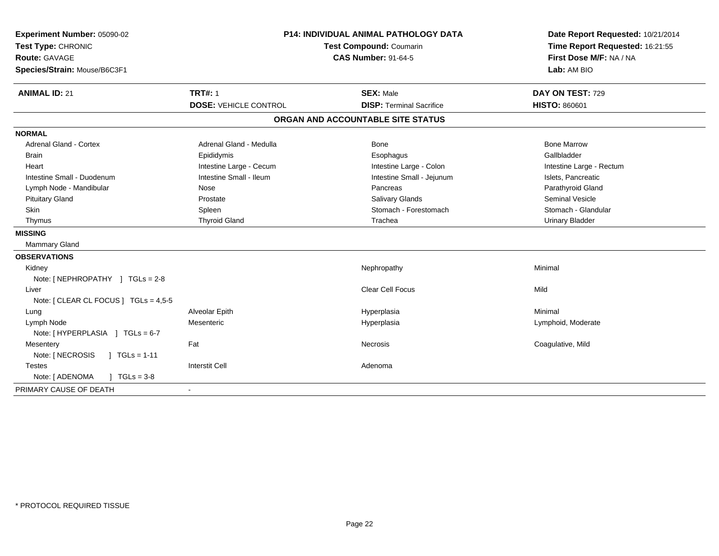| Experiment Number: 05090-02<br>Test Type: CHRONIC<br>Route: GAVAGE<br>Species/Strain: Mouse/B6C3F1 | <b>P14: INDIVIDUAL ANIMAL PATHOLOGY DATA</b><br>Test Compound: Coumarin<br><b>CAS Number: 91-64-5</b> |                                   | Date Report Requested: 10/21/2014<br>Time Report Requested: 16:21:55<br>First Dose M/F: NA / NA<br>Lab: AM BIO |
|----------------------------------------------------------------------------------------------------|-------------------------------------------------------------------------------------------------------|-----------------------------------|----------------------------------------------------------------------------------------------------------------|
| <b>ANIMAL ID: 21</b>                                                                               | <b>TRT#: 1</b>                                                                                        | <b>SEX: Male</b>                  | DAY ON TEST: 729                                                                                               |
|                                                                                                    | <b>DOSE: VEHICLE CONTROL</b>                                                                          | <b>DISP: Terminal Sacrifice</b>   | <b>HISTO: 860601</b>                                                                                           |
|                                                                                                    |                                                                                                       | ORGAN AND ACCOUNTABLE SITE STATUS |                                                                                                                |
| <b>NORMAL</b>                                                                                      |                                                                                                       |                                   |                                                                                                                |
| <b>Adrenal Gland - Cortex</b>                                                                      | Adrenal Gland - Medulla                                                                               | Bone                              | <b>Bone Marrow</b>                                                                                             |
| <b>Brain</b>                                                                                       | Epididymis                                                                                            | Esophagus                         | Gallbladder                                                                                                    |
| Heart                                                                                              | Intestine Large - Cecum                                                                               | Intestine Large - Colon           | Intestine Large - Rectum                                                                                       |
| Intestine Small - Duodenum                                                                         | Intestine Small - Ileum                                                                               | Intestine Small - Jejunum         | Islets, Pancreatic                                                                                             |
| Lymph Node - Mandibular                                                                            | Nose                                                                                                  | Pancreas                          | Parathyroid Gland                                                                                              |
| <b>Pituitary Gland</b>                                                                             | Prostate                                                                                              | Salivary Glands                   | Seminal Vesicle                                                                                                |
| Skin                                                                                               | Spleen                                                                                                | Stomach - Forestomach             | Stomach - Glandular                                                                                            |
| Thymus                                                                                             | <b>Thyroid Gland</b>                                                                                  | Trachea                           | <b>Urinary Bladder</b>                                                                                         |
| <b>MISSING</b>                                                                                     |                                                                                                       |                                   |                                                                                                                |
| Mammary Gland                                                                                      |                                                                                                       |                                   |                                                                                                                |
| <b>OBSERVATIONS</b>                                                                                |                                                                                                       |                                   |                                                                                                                |
| Kidney                                                                                             |                                                                                                       | Nephropathy                       | Minimal                                                                                                        |
| Note: [NEPHROPATHY ] TGLs = 2-8                                                                    |                                                                                                       |                                   |                                                                                                                |
| Liver                                                                                              |                                                                                                       | Clear Cell Focus                  | Mild                                                                                                           |
| Note: [ CLEAR CL FOCUS ] TGLs = 4,5-5                                                              |                                                                                                       |                                   |                                                                                                                |
| Lung                                                                                               | Alveolar Epith                                                                                        | Hyperplasia                       | Minimal                                                                                                        |
| Lymph Node                                                                                         | Mesenteric                                                                                            | Hyperplasia                       | Lymphoid, Moderate                                                                                             |
| Note: [HYPERPLASIA ] TGLs = 6-7                                                                    |                                                                                                       |                                   |                                                                                                                |
| Mesentery                                                                                          | Fat                                                                                                   | Necrosis                          | Coagulative, Mild                                                                                              |
| Note: [ NECROSIS<br>$1 TGLs = 1-11$                                                                |                                                                                                       |                                   |                                                                                                                |
| <b>Testes</b>                                                                                      | <b>Interstit Cell</b>                                                                                 | Adenoma                           |                                                                                                                |
| Note: [ ADENOMA<br>$1 TGLs = 3-8$                                                                  |                                                                                                       |                                   |                                                                                                                |
| PRIMARY CAUSE OF DEATH                                                                             | $\sim$                                                                                                |                                   |                                                                                                                |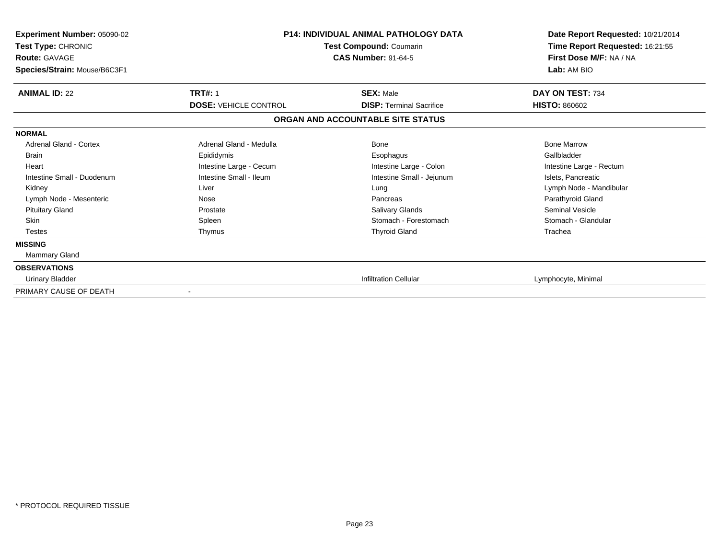| Experiment Number: 05090-02<br>Test Type: CHRONIC<br><b>Route: GAVAGE</b><br>Species/Strain: Mouse/B6C3F1 | <b>P14: INDIVIDUAL ANIMAL PATHOLOGY DATA</b><br>Test Compound: Coumarin<br><b>CAS Number: 91-64-5</b> |                                   | Date Report Requested: 10/21/2014<br>Time Report Requested: 16:21:55<br>First Dose M/F: NA / NA<br>Lab: AM BIO |
|-----------------------------------------------------------------------------------------------------------|-------------------------------------------------------------------------------------------------------|-----------------------------------|----------------------------------------------------------------------------------------------------------------|
| <b>ANIMAL ID: 22</b>                                                                                      | <b>TRT#: 1</b>                                                                                        | <b>SEX: Male</b>                  | DAY ON TEST: 734                                                                                               |
|                                                                                                           | <b>DOSE: VEHICLE CONTROL</b>                                                                          | <b>DISP: Terminal Sacrifice</b>   | <b>HISTO: 860602</b>                                                                                           |
|                                                                                                           |                                                                                                       | ORGAN AND ACCOUNTABLE SITE STATUS |                                                                                                                |
| <b>NORMAL</b>                                                                                             |                                                                                                       |                                   |                                                                                                                |
| Adrenal Gland - Cortex                                                                                    | Adrenal Gland - Medulla                                                                               | <b>Bone</b>                       | <b>Bone Marrow</b>                                                                                             |
| Brain                                                                                                     | Epididymis                                                                                            | Esophagus                         | Gallbladder                                                                                                    |
| Heart                                                                                                     | Intestine Large - Cecum                                                                               | Intestine Large - Colon           | Intestine Large - Rectum                                                                                       |
| Intestine Small - Duodenum                                                                                | Intestine Small - Ileum                                                                               | Intestine Small - Jejunum         | Islets, Pancreatic                                                                                             |
| Kidney                                                                                                    | Liver                                                                                                 | Lung                              | Lymph Node - Mandibular                                                                                        |
| Lymph Node - Mesenteric                                                                                   | Nose                                                                                                  | Pancreas                          | Parathyroid Gland                                                                                              |
| <b>Pituitary Gland</b>                                                                                    | Prostate                                                                                              | Salivary Glands                   | <b>Seminal Vesicle</b>                                                                                         |
| <b>Skin</b>                                                                                               | Spleen                                                                                                | Stomach - Forestomach             | Stomach - Glandular                                                                                            |
| <b>Testes</b>                                                                                             | Thymus                                                                                                | <b>Thyroid Gland</b>              | Trachea                                                                                                        |
| <b>MISSING</b>                                                                                            |                                                                                                       |                                   |                                                                                                                |
| Mammary Gland                                                                                             |                                                                                                       |                                   |                                                                                                                |
| <b>OBSERVATIONS</b>                                                                                       |                                                                                                       |                                   |                                                                                                                |
| <b>Urinary Bladder</b>                                                                                    |                                                                                                       | <b>Infiltration Cellular</b>      | Lymphocyte, Minimal                                                                                            |
| PRIMARY CAUSE OF DEATH                                                                                    | $\overline{\phantom{a}}$                                                                              |                                   |                                                                                                                |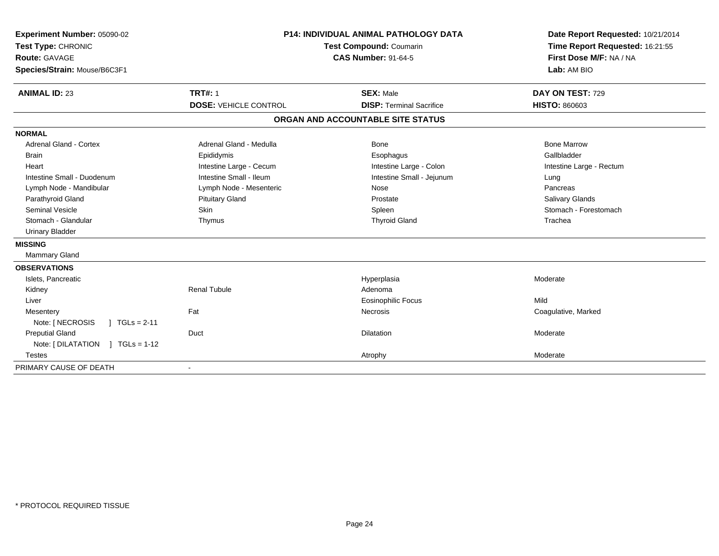| Experiment Number: 05090-02<br>Test Type: CHRONIC<br><b>Route: GAVAGE</b><br>Species/Strain: Mouse/B6C3F1 | <b>P14: INDIVIDUAL ANIMAL PATHOLOGY DATA</b><br>Test Compound: Coumarin<br><b>CAS Number: 91-64-5</b> |                                                     | Date Report Requested: 10/21/2014<br>Time Report Requested: 16:21:55<br>First Dose M/F: NA / NA<br>Lab: AM BIO |  |
|-----------------------------------------------------------------------------------------------------------|-------------------------------------------------------------------------------------------------------|-----------------------------------------------------|----------------------------------------------------------------------------------------------------------------|--|
| <b>ANIMAL ID: 23</b>                                                                                      | <b>TRT#: 1</b><br><b>DOSE: VEHICLE CONTROL</b>                                                        | <b>SEX: Male</b><br><b>DISP: Terminal Sacrifice</b> | DAY ON TEST: 729<br><b>HISTO: 860603</b>                                                                       |  |
|                                                                                                           |                                                                                                       | ORGAN AND ACCOUNTABLE SITE STATUS                   |                                                                                                                |  |
| <b>NORMAL</b>                                                                                             |                                                                                                       |                                                     |                                                                                                                |  |
| <b>Adrenal Gland - Cortex</b>                                                                             | Adrenal Gland - Medulla                                                                               | Bone                                                | <b>Bone Marrow</b>                                                                                             |  |
| <b>Brain</b>                                                                                              | Epididymis                                                                                            | Esophagus                                           | Gallbladder                                                                                                    |  |
| Heart                                                                                                     | Intestine Large - Cecum                                                                               | Intestine Large - Colon                             | Intestine Large - Rectum                                                                                       |  |
| Intestine Small - Duodenum                                                                                | Intestine Small - Ileum                                                                               | Intestine Small - Jejunum                           | Lung                                                                                                           |  |
| Lymph Node - Mandibular                                                                                   | Lymph Node - Mesenteric                                                                               | Nose                                                | Pancreas                                                                                                       |  |
| Parathyroid Gland                                                                                         | <b>Pituitary Gland</b>                                                                                | Prostate                                            | Salivary Glands                                                                                                |  |
| <b>Seminal Vesicle</b>                                                                                    | Skin                                                                                                  | Spleen                                              | Stomach - Forestomach                                                                                          |  |
| Stomach - Glandular                                                                                       | Thymus                                                                                                | <b>Thyroid Gland</b>                                | Trachea                                                                                                        |  |
| <b>Urinary Bladder</b>                                                                                    |                                                                                                       |                                                     |                                                                                                                |  |
| <b>MISSING</b>                                                                                            |                                                                                                       |                                                     |                                                                                                                |  |
| <b>Mammary Gland</b>                                                                                      |                                                                                                       |                                                     |                                                                                                                |  |
| <b>OBSERVATIONS</b>                                                                                       |                                                                                                       |                                                     |                                                                                                                |  |
| Islets, Pancreatic                                                                                        |                                                                                                       | Hyperplasia                                         | Moderate                                                                                                       |  |
| Kidney                                                                                                    | <b>Renal Tubule</b>                                                                                   | Adenoma                                             |                                                                                                                |  |
| Liver                                                                                                     |                                                                                                       | Eosinophilic Focus                                  | Mild                                                                                                           |  |
| Mesentery                                                                                                 | Fat                                                                                                   | Necrosis                                            | Coagulative, Marked                                                                                            |  |
| Note: [ NECROSIS<br>$1 TGLs = 2-11$                                                                       |                                                                                                       |                                                     |                                                                                                                |  |
| <b>Preputial Gland</b>                                                                                    | Duct                                                                                                  | <b>Dilatation</b>                                   | Moderate                                                                                                       |  |
| Note: [DILATATION ] TGLs = 1-12                                                                           |                                                                                                       |                                                     |                                                                                                                |  |
| <b>Testes</b>                                                                                             |                                                                                                       | Atrophy                                             | Moderate                                                                                                       |  |
| PRIMARY CAUSE OF DEATH                                                                                    |                                                                                                       |                                                     |                                                                                                                |  |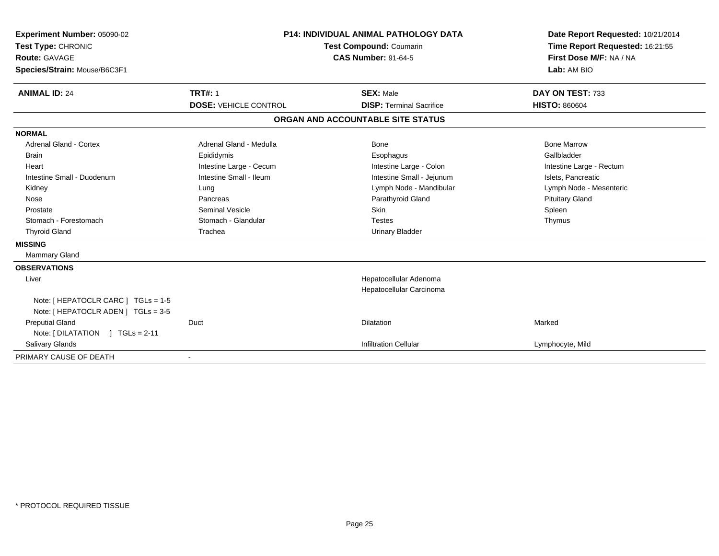| Experiment Number: 05090-02<br>Test Type: CHRONIC<br><b>Route: GAVAGE</b><br>Species/Strain: Mouse/B6C3F1<br><b>ANIMAL ID: 24</b>                                                                      | <b>P14: INDIVIDUAL ANIMAL PATHOLOGY DATA</b><br><b>Test Compound: Coumarin</b><br><b>CAS Number: 91-64-5</b><br><b>TRT#: 1</b><br><b>SEX: Male</b><br><b>DOSE: VEHICLE CONTROL</b><br><b>DISP: Terminal Sacrifice</b> |                                                                                                                                                                                     | Date Report Requested: 10/21/2014<br>Time Report Requested: 16:21:55<br>First Dose M/F: NA / NA<br>Lab: AM BIO<br>DAY ON TEST: 733<br><b>HISTO: 860604</b>   |
|--------------------------------------------------------------------------------------------------------------------------------------------------------------------------------------------------------|-----------------------------------------------------------------------------------------------------------------------------------------------------------------------------------------------------------------------|-------------------------------------------------------------------------------------------------------------------------------------------------------------------------------------|--------------------------------------------------------------------------------------------------------------------------------------------------------------|
|                                                                                                                                                                                                        |                                                                                                                                                                                                                       | ORGAN AND ACCOUNTABLE SITE STATUS                                                                                                                                                   |                                                                                                                                                              |
| <b>NORMAL</b><br><b>Adrenal Gland - Cortex</b><br><b>Brain</b><br>Heart<br>Intestine Small - Duodenum<br>Kidney<br>Nose<br>Prostate<br>Stomach - Forestomach<br><b>Thyroid Gland</b><br><b>MISSING</b> | Adrenal Gland - Medulla<br>Epididymis<br>Intestine Large - Cecum<br>Intestine Small - Ileum<br>Lung<br>Pancreas<br><b>Seminal Vesicle</b><br>Stomach - Glandular<br>Trachea                                           | Bone<br>Esophagus<br>Intestine Large - Colon<br>Intestine Small - Jejunum<br>Lymph Node - Mandibular<br>Parathyroid Gland<br><b>Skin</b><br><b>Testes</b><br><b>Urinary Bladder</b> | <b>Bone Marrow</b><br>Gallbladder<br>Intestine Large - Rectum<br>Islets, Pancreatic<br>Lymph Node - Mesenteric<br><b>Pituitary Gland</b><br>Spleen<br>Thymus |
| <b>Mammary Gland</b>                                                                                                                                                                                   |                                                                                                                                                                                                                       |                                                                                                                                                                                     |                                                                                                                                                              |
| <b>OBSERVATIONS</b><br>Liver<br>Note: [ HEPATOCLR CARC ] TGLs = 1-5<br>Note: [ HEPATOCLR ADEN ] TGLs = 3-5                                                                                             |                                                                                                                                                                                                                       | Hepatocellular Adenoma<br>Hepatocellular Carcinoma                                                                                                                                  |                                                                                                                                                              |
| <b>Preputial Gland</b><br>Note: $[ DILATATION ] TGLs = 2-11$                                                                                                                                           | Duct                                                                                                                                                                                                                  | Dilatation                                                                                                                                                                          | Marked                                                                                                                                                       |
| <b>Salivary Glands</b><br>PRIMARY CAUSE OF DEATH                                                                                                                                                       |                                                                                                                                                                                                                       | <b>Infiltration Cellular</b>                                                                                                                                                        | Lymphocyte, Mild                                                                                                                                             |
|                                                                                                                                                                                                        |                                                                                                                                                                                                                       |                                                                                                                                                                                     |                                                                                                                                                              |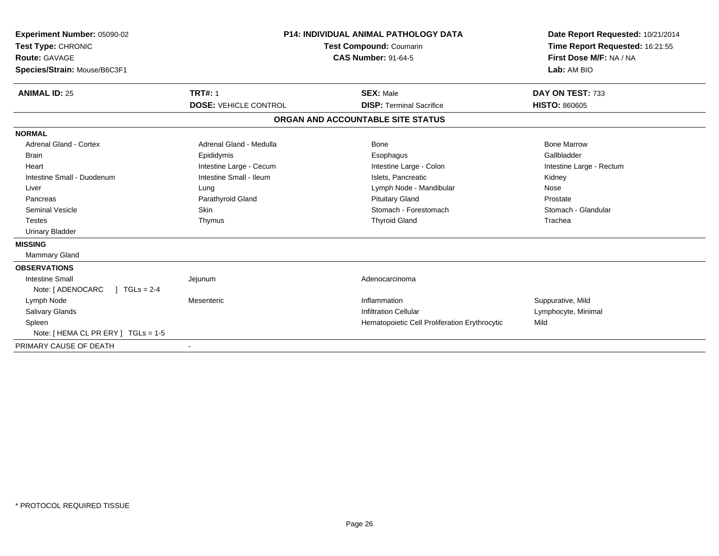| Experiment Number: 05090-02<br>Test Type: CHRONIC<br>Route: GAVAGE<br>Species/Strain: Mouse/B6C3F1 | <b>P14: INDIVIDUAL ANIMAL PATHOLOGY DATA</b><br><b>Test Compound: Coumarin</b><br><b>CAS Number: 91-64-5</b> |                                               | Date Report Requested: 10/21/2014<br>Time Report Requested: 16:21:55<br>First Dose M/F: NA / NA<br>Lab: AM BIO |
|----------------------------------------------------------------------------------------------------|--------------------------------------------------------------------------------------------------------------|-----------------------------------------------|----------------------------------------------------------------------------------------------------------------|
| <b>ANIMAL ID: 25</b>                                                                               | <b>TRT#: 1</b>                                                                                               | <b>SEX: Male</b>                              | DAY ON TEST: 733                                                                                               |
|                                                                                                    | <b>DOSE: VEHICLE CONTROL</b>                                                                                 | <b>DISP: Terminal Sacrifice</b>               | <b>HISTO: 860605</b>                                                                                           |
|                                                                                                    |                                                                                                              | ORGAN AND ACCOUNTABLE SITE STATUS             |                                                                                                                |
| <b>NORMAL</b>                                                                                      |                                                                                                              |                                               |                                                                                                                |
| <b>Adrenal Gland - Cortex</b>                                                                      | Adrenal Gland - Medulla                                                                                      | Bone                                          | <b>Bone Marrow</b>                                                                                             |
| <b>Brain</b>                                                                                       | Epididymis                                                                                                   | Esophagus                                     | Gallbladder                                                                                                    |
| Heart                                                                                              | Intestine Large - Cecum                                                                                      | Intestine Large - Colon                       | Intestine Large - Rectum                                                                                       |
| Intestine Small - Duodenum                                                                         | Intestine Small - Ileum                                                                                      | Islets. Pancreatic                            | Kidney                                                                                                         |
| Liver                                                                                              | Lung                                                                                                         | Lymph Node - Mandibular                       | Nose                                                                                                           |
| Pancreas                                                                                           | Parathyroid Gland                                                                                            | <b>Pituitary Gland</b>                        | Prostate                                                                                                       |
| <b>Seminal Vesicle</b>                                                                             | Skin                                                                                                         | Stomach - Forestomach                         | Stomach - Glandular                                                                                            |
| <b>Testes</b>                                                                                      | Thymus                                                                                                       | <b>Thyroid Gland</b>                          | Trachea                                                                                                        |
| <b>Urinary Bladder</b>                                                                             |                                                                                                              |                                               |                                                                                                                |
| <b>MISSING</b>                                                                                     |                                                                                                              |                                               |                                                                                                                |
| Mammary Gland                                                                                      |                                                                                                              |                                               |                                                                                                                |
| <b>OBSERVATIONS</b>                                                                                |                                                                                                              |                                               |                                                                                                                |
| <b>Intestine Small</b>                                                                             | Jejunum                                                                                                      | Adenocarcinoma                                |                                                                                                                |
| $1 TGLs = 2-4$<br>Note: [ ADENOCARC                                                                |                                                                                                              |                                               |                                                                                                                |
| Lymph Node                                                                                         | Mesenteric                                                                                                   | Inflammation                                  | Suppurative, Mild                                                                                              |
| Salivary Glands                                                                                    |                                                                                                              | <b>Infiltration Cellular</b>                  | Lymphocyte, Minimal                                                                                            |
| Spleen                                                                                             |                                                                                                              | Hematopoietic Cell Proliferation Erythrocytic | Mild                                                                                                           |
| Note: [ HEMA CL PR ERY ] TGLs = 1-5                                                                |                                                                                                              |                                               |                                                                                                                |
| PRIMARY CAUSE OF DEATH                                                                             |                                                                                                              |                                               |                                                                                                                |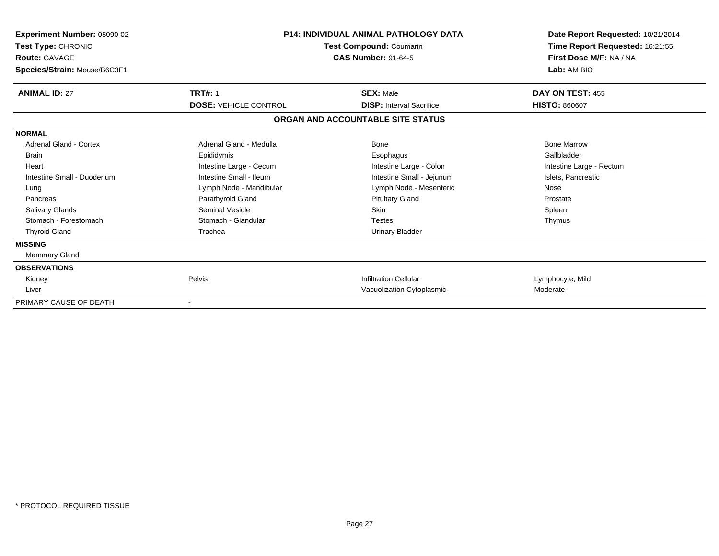| Experiment Number: 05090-02<br>Test Type: CHRONIC<br><b>Route: GAVAGE</b><br>Species/Strain: Mouse/B6C3F1 | <b>P14: INDIVIDUAL ANIMAL PATHOLOGY DATA</b><br>Test Compound: Coumarin<br><b>CAS Number: 91-64-5</b> |                                   | Date Report Requested: 10/21/2014<br>Time Report Requested: 16:21:55<br>First Dose M/F: NA / NA<br>Lab: AM BIO |
|-----------------------------------------------------------------------------------------------------------|-------------------------------------------------------------------------------------------------------|-----------------------------------|----------------------------------------------------------------------------------------------------------------|
| <b>ANIMAL ID: 27</b>                                                                                      | <b>TRT#: 1</b>                                                                                        | <b>SEX: Male</b>                  | DAY ON TEST: 455                                                                                               |
|                                                                                                           | <b>DOSE: VEHICLE CONTROL</b>                                                                          | <b>DISP:</b> Interval Sacrifice   | <b>HISTO: 860607</b>                                                                                           |
|                                                                                                           |                                                                                                       | ORGAN AND ACCOUNTABLE SITE STATUS |                                                                                                                |
| <b>NORMAL</b>                                                                                             |                                                                                                       |                                   |                                                                                                                |
| Adrenal Gland - Cortex                                                                                    | Adrenal Gland - Medulla                                                                               | Bone                              | <b>Bone Marrow</b>                                                                                             |
| <b>Brain</b>                                                                                              | Epididymis                                                                                            | Esophagus                         | Gallbladder                                                                                                    |
| Heart                                                                                                     | Intestine Large - Cecum                                                                               | Intestine Large - Colon           | Intestine Large - Rectum                                                                                       |
| Intestine Small - Duodenum                                                                                | Intestine Small - Ileum                                                                               | Intestine Small - Jejunum         | Islets, Pancreatic                                                                                             |
| Lung                                                                                                      | Lymph Node - Mandibular                                                                               | Lymph Node - Mesenteric           | Nose                                                                                                           |
| Pancreas                                                                                                  | Parathyroid Gland                                                                                     | <b>Pituitary Gland</b>            | Prostate                                                                                                       |
| <b>Salivary Glands</b>                                                                                    | Seminal Vesicle                                                                                       | <b>Skin</b>                       | Spleen                                                                                                         |
| Stomach - Forestomach                                                                                     | Stomach - Glandular                                                                                   | Testes                            | Thymus                                                                                                         |
| <b>Thyroid Gland</b>                                                                                      | Trachea                                                                                               | <b>Urinary Bladder</b>            |                                                                                                                |
| <b>MISSING</b>                                                                                            |                                                                                                       |                                   |                                                                                                                |
| Mammary Gland                                                                                             |                                                                                                       |                                   |                                                                                                                |
| <b>OBSERVATIONS</b>                                                                                       |                                                                                                       |                                   |                                                                                                                |
| Kidney                                                                                                    | Pelvis                                                                                                | <b>Infiltration Cellular</b>      | Lymphocyte, Mild                                                                                               |
| Liver                                                                                                     |                                                                                                       | Vacuolization Cytoplasmic         | Moderate                                                                                                       |
| PRIMARY CAUSE OF DEATH                                                                                    |                                                                                                       |                                   |                                                                                                                |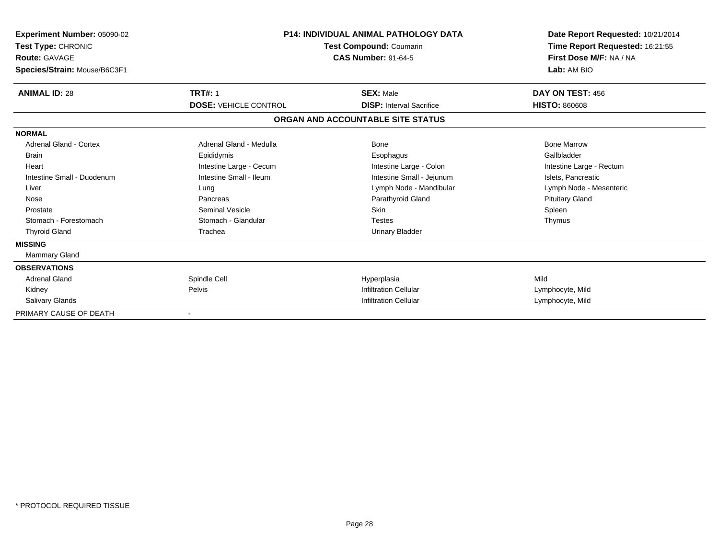| <b>Experiment Number: 05090-02</b><br>Test Type: CHRONIC<br><b>Route: GAVAGE</b><br>Species/Strain: Mouse/B6C3F1 | P14: INDIVIDUAL ANIMAL PATHOLOGY DATA<br>Test Compound: Coumarin<br><b>CAS Number: 91-64-5</b> |                                   | Date Report Requested: 10/21/2014<br>Time Report Requested: 16:21:55<br>First Dose M/F: NA / NA<br>Lab: AM BIO |
|------------------------------------------------------------------------------------------------------------------|------------------------------------------------------------------------------------------------|-----------------------------------|----------------------------------------------------------------------------------------------------------------|
| <b>ANIMAL ID: 28</b>                                                                                             | <b>TRT#: 1</b>                                                                                 | <b>SEX: Male</b>                  | DAY ON TEST: 456                                                                                               |
|                                                                                                                  | <b>DOSE: VEHICLE CONTROL</b>                                                                   | <b>DISP:</b> Interval Sacrifice   | <b>HISTO: 860608</b>                                                                                           |
|                                                                                                                  |                                                                                                | ORGAN AND ACCOUNTABLE SITE STATUS |                                                                                                                |
| <b>NORMAL</b>                                                                                                    |                                                                                                |                                   |                                                                                                                |
| <b>Adrenal Gland - Cortex</b>                                                                                    | Adrenal Gland - Medulla                                                                        | <b>Bone</b>                       | <b>Bone Marrow</b>                                                                                             |
| Brain                                                                                                            | Epididymis                                                                                     | Esophagus                         | Gallbladder                                                                                                    |
| Heart                                                                                                            | Intestine Large - Cecum                                                                        | Intestine Large - Colon           | Intestine Large - Rectum                                                                                       |
| Intestine Small - Duodenum                                                                                       | Intestine Small - Ileum                                                                        | Intestine Small - Jejunum         | Islets, Pancreatic                                                                                             |
| Liver                                                                                                            | Lung                                                                                           | Lymph Node - Mandibular           | Lymph Node - Mesenteric                                                                                        |
| Nose                                                                                                             | Pancreas                                                                                       | Parathyroid Gland                 | <b>Pituitary Gland</b>                                                                                         |
| Prostate                                                                                                         | <b>Seminal Vesicle</b>                                                                         | Skin                              | Spleen                                                                                                         |
| Stomach - Forestomach                                                                                            | Stomach - Glandular                                                                            | Testes                            | Thymus                                                                                                         |
| <b>Thyroid Gland</b>                                                                                             | Trachea                                                                                        | <b>Urinary Bladder</b>            |                                                                                                                |
| <b>MISSING</b>                                                                                                   |                                                                                                |                                   |                                                                                                                |
| <b>Mammary Gland</b>                                                                                             |                                                                                                |                                   |                                                                                                                |
| <b>OBSERVATIONS</b>                                                                                              |                                                                                                |                                   |                                                                                                                |
| <b>Adrenal Gland</b>                                                                                             | Spindle Cell                                                                                   | Hyperplasia                       | Mild                                                                                                           |
| Kidney                                                                                                           | Pelvis                                                                                         | <b>Infiltration Cellular</b>      | Lymphocyte, Mild                                                                                               |
| <b>Salivary Glands</b>                                                                                           |                                                                                                | <b>Infiltration Cellular</b>      | Lymphocyte, Mild                                                                                               |
| PRIMARY CAUSE OF DEATH                                                                                           | $\overline{\phantom{a}}$                                                                       |                                   |                                                                                                                |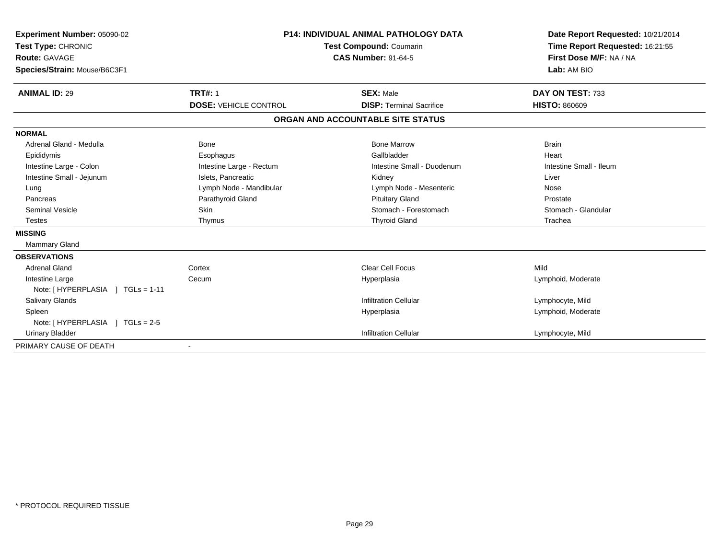| Experiment Number: 05090-02<br>Test Type: CHRONIC<br><b>Route: GAVAGE</b><br>Species/Strain: Mouse/B6C3F1 | <b>P14: INDIVIDUAL ANIMAL PATHOLOGY DATA</b><br><b>Test Compound: Coumarin</b><br><b>CAS Number: 91-64-5</b> |                                   | Date Report Requested: 10/21/2014<br>Time Report Requested: 16:21:55<br>First Dose M/F: NA / NA<br>Lab: AM BIO |  |
|-----------------------------------------------------------------------------------------------------------|--------------------------------------------------------------------------------------------------------------|-----------------------------------|----------------------------------------------------------------------------------------------------------------|--|
| <b>ANIMAL ID: 29</b>                                                                                      | <b>TRT#: 1</b>                                                                                               | <b>SEX: Male</b>                  | DAY ON TEST: 733                                                                                               |  |
|                                                                                                           | <b>DOSE: VEHICLE CONTROL</b>                                                                                 | <b>DISP: Terminal Sacrifice</b>   | <b>HISTO: 860609</b>                                                                                           |  |
|                                                                                                           |                                                                                                              | ORGAN AND ACCOUNTABLE SITE STATUS |                                                                                                                |  |
| <b>NORMAL</b>                                                                                             |                                                                                                              |                                   |                                                                                                                |  |
| Adrenal Gland - Medulla                                                                                   | <b>Bone</b>                                                                                                  | <b>Bone Marrow</b>                | <b>Brain</b>                                                                                                   |  |
| Epididymis                                                                                                | Esophagus                                                                                                    | Gallbladder                       | Heart                                                                                                          |  |
| Intestine Large - Colon                                                                                   | Intestine Large - Rectum                                                                                     | Intestine Small - Duodenum        | Intestine Small - Ileum                                                                                        |  |
| Intestine Small - Jejunum                                                                                 | Islets, Pancreatic                                                                                           | Kidney                            | Liver                                                                                                          |  |
| Lung                                                                                                      | Lymph Node - Mandibular                                                                                      | Lymph Node - Mesenteric           | Nose                                                                                                           |  |
| Pancreas                                                                                                  | Parathyroid Gland                                                                                            | <b>Pituitary Gland</b>            | Prostate                                                                                                       |  |
| <b>Seminal Vesicle</b>                                                                                    | <b>Skin</b>                                                                                                  | Stomach - Forestomach             | Stomach - Glandular                                                                                            |  |
| <b>Testes</b>                                                                                             | Thymus                                                                                                       | <b>Thyroid Gland</b>              | Trachea                                                                                                        |  |
| <b>MISSING</b>                                                                                            |                                                                                                              |                                   |                                                                                                                |  |
| Mammary Gland                                                                                             |                                                                                                              |                                   |                                                                                                                |  |
| <b>OBSERVATIONS</b>                                                                                       |                                                                                                              |                                   |                                                                                                                |  |
| <b>Adrenal Gland</b>                                                                                      | Cortex                                                                                                       | Clear Cell Focus                  | Mild                                                                                                           |  |
| Intestine Large                                                                                           | Cecum                                                                                                        | Hyperplasia                       | Lymphoid, Moderate                                                                                             |  |
| Note: [HYPERPLASIA ] TGLs = 1-11                                                                          |                                                                                                              |                                   |                                                                                                                |  |
| <b>Salivary Glands</b>                                                                                    |                                                                                                              | <b>Infiltration Cellular</b>      | Lymphocyte, Mild                                                                                               |  |
| Spleen                                                                                                    |                                                                                                              | Hyperplasia                       | Lymphoid, Moderate                                                                                             |  |
| Note: [HYPERPLASIA ] TGLs = 2-5                                                                           |                                                                                                              |                                   |                                                                                                                |  |
| <b>Urinary Bladder</b>                                                                                    |                                                                                                              | <b>Infiltration Cellular</b>      | Lymphocyte, Mild                                                                                               |  |
| PRIMARY CAUSE OF DEATH                                                                                    |                                                                                                              |                                   |                                                                                                                |  |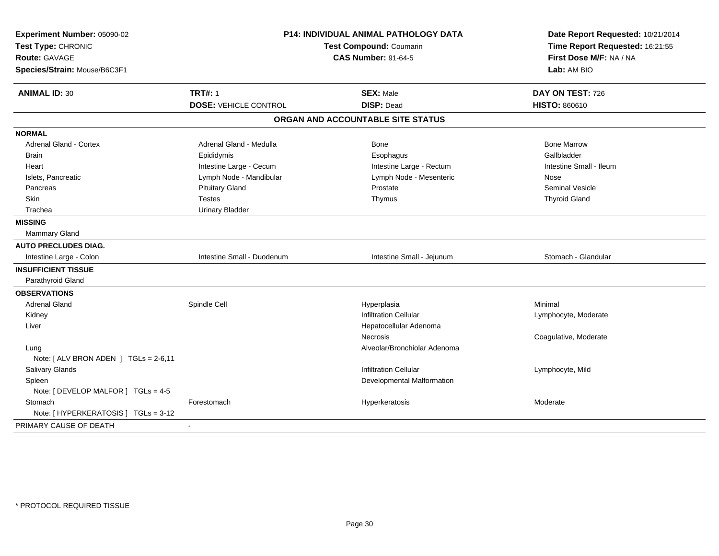| Experiment Number: 05090-02<br>Test Type: CHRONIC<br>Route: GAVAGE<br>Species/Strain: Mouse/B6C3F1 | <b>P14: INDIVIDUAL ANIMAL PATHOLOGY DATA</b><br><b>Test Compound: Coumarin</b><br><b>CAS Number: 91-64-5</b> |                                   | Date Report Requested: 10/21/2014<br>Time Report Requested: 16:21:55<br>First Dose M/F: NA / NA<br>Lab: AM BIO |
|----------------------------------------------------------------------------------------------------|--------------------------------------------------------------------------------------------------------------|-----------------------------------|----------------------------------------------------------------------------------------------------------------|
| <b>ANIMAL ID: 30</b>                                                                               | <b>TRT#: 1</b>                                                                                               | <b>SEX: Male</b>                  | DAY ON TEST: 726                                                                                               |
|                                                                                                    | <b>DOSE: VEHICLE CONTROL</b>                                                                                 | <b>DISP: Dead</b>                 | <b>HISTO: 860610</b>                                                                                           |
|                                                                                                    |                                                                                                              | ORGAN AND ACCOUNTABLE SITE STATUS |                                                                                                                |
| <b>NORMAL</b>                                                                                      |                                                                                                              |                                   |                                                                                                                |
| Adrenal Gland - Cortex                                                                             | Adrenal Gland - Medulla                                                                                      | <b>Bone</b>                       | <b>Bone Marrow</b>                                                                                             |
| <b>Brain</b>                                                                                       | Epididymis                                                                                                   | Esophagus                         | Gallbladder                                                                                                    |
| Heart                                                                                              | Intestine Large - Cecum                                                                                      | Intestine Large - Rectum          | Intestine Small - Ileum                                                                                        |
| Islets, Pancreatic                                                                                 | Lymph Node - Mandibular                                                                                      | Lymph Node - Mesenteric           | Nose                                                                                                           |
| Pancreas                                                                                           | <b>Pituitary Gland</b>                                                                                       | Prostate                          | <b>Seminal Vesicle</b>                                                                                         |
| Skin                                                                                               | <b>Testes</b>                                                                                                | Thymus                            | <b>Thyroid Gland</b>                                                                                           |
| Trachea                                                                                            | <b>Urinary Bladder</b>                                                                                       |                                   |                                                                                                                |
| <b>MISSING</b>                                                                                     |                                                                                                              |                                   |                                                                                                                |
| Mammary Gland                                                                                      |                                                                                                              |                                   |                                                                                                                |
| <b>AUTO PRECLUDES DIAG.</b>                                                                        |                                                                                                              |                                   |                                                                                                                |
| Intestine Large - Colon                                                                            | Intestine Small - Duodenum                                                                                   | Intestine Small - Jejunum         | Stomach - Glandular                                                                                            |
| <b>INSUFFICIENT TISSUE</b>                                                                         |                                                                                                              |                                   |                                                                                                                |
| Parathyroid Gland                                                                                  |                                                                                                              |                                   |                                                                                                                |
| <b>OBSERVATIONS</b>                                                                                |                                                                                                              |                                   |                                                                                                                |
| <b>Adrenal Gland</b>                                                                               | Spindle Cell                                                                                                 | Hyperplasia                       | Minimal                                                                                                        |
| Kidney                                                                                             |                                                                                                              | <b>Infiltration Cellular</b>      | Lymphocyte, Moderate                                                                                           |
| Liver                                                                                              |                                                                                                              | Hepatocellular Adenoma            |                                                                                                                |
|                                                                                                    |                                                                                                              | Necrosis                          | Coagulative, Moderate                                                                                          |
| Lung                                                                                               |                                                                                                              | Alveolar/Bronchiolar Adenoma      |                                                                                                                |
| Note: [ ALV BRON ADEN ] TGLs = 2-6,11                                                              |                                                                                                              |                                   |                                                                                                                |
| Salivary Glands                                                                                    |                                                                                                              | <b>Infiltration Cellular</b>      | Lymphocyte, Mild                                                                                               |
| Spleen                                                                                             |                                                                                                              | Developmental Malformation        |                                                                                                                |
| Note: [ DEVELOP MALFOR ] TGLs = 4-5                                                                |                                                                                                              |                                   |                                                                                                                |
| Stomach                                                                                            | Forestomach                                                                                                  | Hyperkeratosis                    | Moderate                                                                                                       |
| Note: [ HYPERKERATOSIS ] TGLs = 3-12                                                               |                                                                                                              |                                   |                                                                                                                |
| PRIMARY CAUSE OF DEATH                                                                             |                                                                                                              |                                   |                                                                                                                |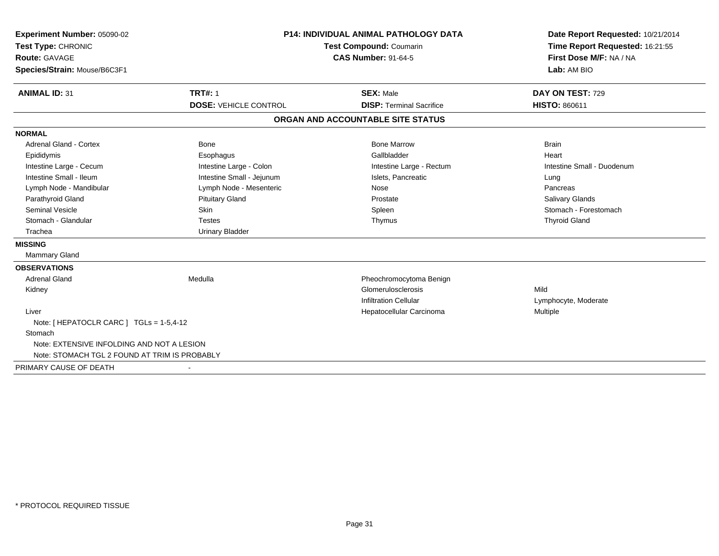| Experiment Number: 05090-02                   |                                | <b>P14: INDIVIDUAL ANIMAL PATHOLOGY DATA</b> |                                                                      |
|-----------------------------------------------|--------------------------------|----------------------------------------------|----------------------------------------------------------------------|
| Test Type: CHRONIC                            | <b>Test Compound: Coumarin</b> |                                              | Date Report Requested: 10/21/2014<br>Time Report Requested: 16:21:55 |
| <b>Route: GAVAGE</b>                          |                                | <b>CAS Number: 91-64-5</b>                   |                                                                      |
| Species/Strain: Mouse/B6C3F1                  |                                |                                              | Lab: AM BIO                                                          |
| <b>ANIMAL ID: 31</b>                          | <b>TRT#: 1</b>                 | <b>SEX: Male</b>                             | DAY ON TEST: 729                                                     |
|                                               | <b>DOSE: VEHICLE CONTROL</b>   | <b>DISP: Terminal Sacrifice</b>              | <b>HISTO: 860611</b>                                                 |
|                                               |                                | ORGAN AND ACCOUNTABLE SITE STATUS            |                                                                      |
| <b>NORMAL</b>                                 |                                |                                              |                                                                      |
| <b>Adrenal Gland - Cortex</b>                 | <b>Bone</b>                    | <b>Bone Marrow</b>                           | <b>Brain</b>                                                         |
| Epididymis                                    | Esophagus                      | Gallbladder                                  | Heart                                                                |
| Intestine Large - Cecum                       | Intestine Large - Colon        | Intestine Large - Rectum                     | Intestine Small - Duodenum                                           |
| Intestine Small - Ileum                       | Intestine Small - Jejunum      | Islets. Pancreatic                           | Lung                                                                 |
| Lymph Node - Mandibular                       | Lymph Node - Mesenteric        | Nose                                         | Pancreas                                                             |
| Parathyroid Gland                             | <b>Pituitary Gland</b>         | Prostate                                     | <b>Salivary Glands</b>                                               |
| <b>Seminal Vesicle</b>                        | Skin                           | Spleen                                       | Stomach - Forestomach                                                |
| Stomach - Glandular                           | <b>Testes</b>                  | Thymus                                       | <b>Thyroid Gland</b>                                                 |
| Trachea                                       | <b>Urinary Bladder</b>         |                                              |                                                                      |
| <b>MISSING</b>                                |                                |                                              |                                                                      |
| <b>Mammary Gland</b>                          |                                |                                              |                                                                      |
| <b>OBSERVATIONS</b>                           |                                |                                              |                                                                      |
| <b>Adrenal Gland</b>                          | Medulla                        | Pheochromocytoma Benign                      |                                                                      |
| Kidney                                        |                                | Glomerulosclerosis                           | Mild                                                                 |
|                                               |                                | <b>Infiltration Cellular</b>                 | Lymphocyte, Moderate                                                 |
| Liver                                         |                                | Hepatocellular Carcinoma                     | Multiple                                                             |
| Note: [ HEPATOCLR CARC ] TGLs = 1-5,4-12      |                                |                                              |                                                                      |
| Stomach                                       |                                |                                              |                                                                      |
| Note: EXTENSIVE INFOLDING AND NOT A LESION    |                                |                                              |                                                                      |
| Note: STOMACH TGL 2 FOUND AT TRIM IS PROBABLY |                                |                                              |                                                                      |
| PRIMARY CAUSE OF DEATH                        |                                |                                              |                                                                      |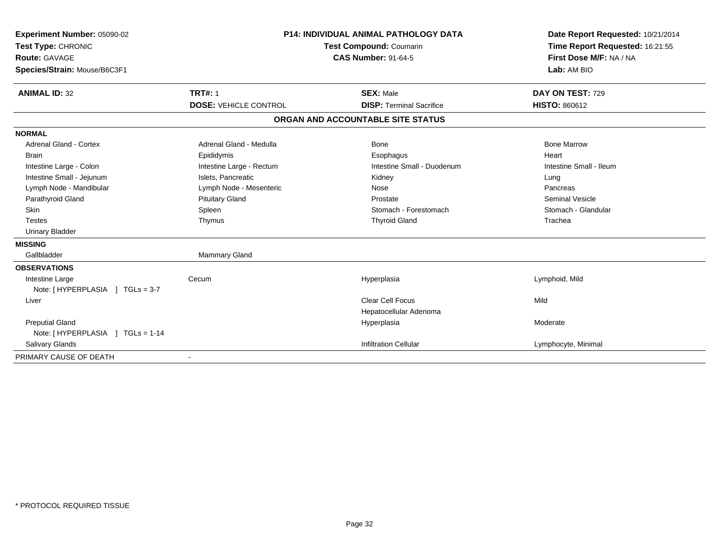| Experiment Number: 05090-02      | <b>P14: INDIVIDUAL ANIMAL PATHOLOGY DATA</b><br>Test Compound: Coumarin<br><b>CAS Number: 91-64-5</b> |                                   | Date Report Requested: 10/21/2014 |
|----------------------------------|-------------------------------------------------------------------------------------------------------|-----------------------------------|-----------------------------------|
| Test Type: CHRONIC               |                                                                                                       |                                   | Time Report Requested: 16:21:55   |
| Route: GAVAGE                    |                                                                                                       |                                   | First Dose M/F: NA / NA           |
| Species/Strain: Mouse/B6C3F1     |                                                                                                       |                                   | Lab: AM BIO                       |
|                                  |                                                                                                       |                                   |                                   |
| <b>ANIMAL ID: 32</b>             | <b>TRT#: 1</b>                                                                                        | <b>SEX: Male</b>                  | DAY ON TEST: 729                  |
|                                  | <b>DOSE: VEHICLE CONTROL</b>                                                                          | <b>DISP: Terminal Sacrifice</b>   | <b>HISTO: 860612</b>              |
|                                  |                                                                                                       | ORGAN AND ACCOUNTABLE SITE STATUS |                                   |
| <b>NORMAL</b>                    |                                                                                                       |                                   |                                   |
| <b>Adrenal Gland - Cortex</b>    | Adrenal Gland - Medulla                                                                               | Bone                              | <b>Bone Marrow</b>                |
| <b>Brain</b>                     | Epididymis                                                                                            | Esophagus                         | Heart                             |
| Intestine Large - Colon          | Intestine Large - Rectum                                                                              | Intestine Small - Duodenum        | Intestine Small - Ileum           |
| Intestine Small - Jejunum        | Islets, Pancreatic                                                                                    | Kidney                            | Lung                              |
| Lymph Node - Mandibular          | Lymph Node - Mesenteric                                                                               | Nose                              | Pancreas                          |
| Parathyroid Gland                | <b>Pituitary Gland</b>                                                                                | Prostate                          | <b>Seminal Vesicle</b>            |
| Skin                             | Spleen                                                                                                | Stomach - Forestomach             | Stomach - Glandular               |
| <b>Testes</b>                    | Thymus                                                                                                | <b>Thyroid Gland</b>              | Trachea                           |
| <b>Urinary Bladder</b>           |                                                                                                       |                                   |                                   |
| <b>MISSING</b>                   |                                                                                                       |                                   |                                   |
| Gallbladder                      | Mammary Gland                                                                                         |                                   |                                   |
| <b>OBSERVATIONS</b>              |                                                                                                       |                                   |                                   |
| Intestine Large                  | Cecum                                                                                                 | Hyperplasia                       | Lymphoid, Mild                    |
| Note: [HYPERPLASIA ] TGLs = 3-7  |                                                                                                       |                                   |                                   |
| Liver                            |                                                                                                       | <b>Clear Cell Focus</b>           | Mild                              |
|                                  |                                                                                                       | Hepatocellular Adenoma            |                                   |
| <b>Preputial Gland</b>           |                                                                                                       | Hyperplasia                       | Moderate                          |
| Note: [HYPERPLASIA ] TGLs = 1-14 |                                                                                                       |                                   |                                   |
| Salivary Glands                  |                                                                                                       | <b>Infiltration Cellular</b>      | Lymphocyte, Minimal               |
| PRIMARY CAUSE OF DEATH           |                                                                                                       |                                   |                                   |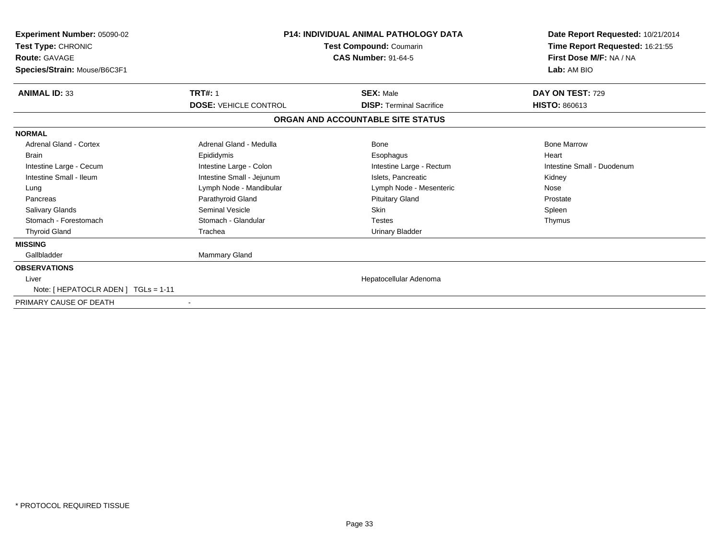| <b>Experiment Number: 05090-02</b><br>Test Type: CHRONIC<br><b>Route: GAVAGE</b><br>Species/Strain: Mouse/B6C3F1 | <b>P14: INDIVIDUAL ANIMAL PATHOLOGY DATA</b><br>Test Compound: Coumarin<br><b>CAS Number: 91-64-5</b> |                                   | Date Report Requested: 10/21/2014<br>Time Report Requested: 16:21:55<br>First Dose M/F: NA / NA<br>Lab: AM BIO |
|------------------------------------------------------------------------------------------------------------------|-------------------------------------------------------------------------------------------------------|-----------------------------------|----------------------------------------------------------------------------------------------------------------|
| <b>ANIMAL ID: 33</b>                                                                                             | <b>TRT#: 1</b>                                                                                        | <b>SEX: Male</b>                  | DAY ON TEST: 729                                                                                               |
|                                                                                                                  | <b>DOSE: VEHICLE CONTROL</b>                                                                          | <b>DISP: Terminal Sacrifice</b>   | <b>HISTO: 860613</b>                                                                                           |
|                                                                                                                  |                                                                                                       | ORGAN AND ACCOUNTABLE SITE STATUS |                                                                                                                |
| <b>NORMAL</b>                                                                                                    |                                                                                                       |                                   |                                                                                                                |
| <b>Adrenal Gland - Cortex</b>                                                                                    | Adrenal Gland - Medulla                                                                               | Bone                              | <b>Bone Marrow</b>                                                                                             |
| <b>Brain</b>                                                                                                     | Epididymis                                                                                            | Esophagus                         | Heart                                                                                                          |
| Intestine Large - Cecum                                                                                          | Intestine Large - Colon                                                                               | Intestine Large - Rectum          | Intestine Small - Duodenum                                                                                     |
| Intestine Small - Ileum                                                                                          | Intestine Small - Jejunum                                                                             | Islets. Pancreatic                | Kidney                                                                                                         |
| Lung                                                                                                             | Lymph Node - Mandibular                                                                               | Lymph Node - Mesenteric           | Nose                                                                                                           |
| Pancreas                                                                                                         | Parathyroid Gland                                                                                     | <b>Pituitary Gland</b>            | Prostate                                                                                                       |
| <b>Salivary Glands</b>                                                                                           | Seminal Vesicle                                                                                       | Skin                              | Spleen                                                                                                         |
| Stomach - Forestomach                                                                                            | Stomach - Glandular                                                                                   | <b>Testes</b>                     | Thymus                                                                                                         |
| <b>Thyroid Gland</b>                                                                                             | Trachea                                                                                               | <b>Urinary Bladder</b>            |                                                                                                                |
| <b>MISSING</b>                                                                                                   |                                                                                                       |                                   |                                                                                                                |
| Gallbladder                                                                                                      | <b>Mammary Gland</b>                                                                                  |                                   |                                                                                                                |
| <b>OBSERVATIONS</b>                                                                                              |                                                                                                       |                                   |                                                                                                                |
| Liver                                                                                                            |                                                                                                       | Hepatocellular Adenoma            |                                                                                                                |
| Note: [ HEPATOCLR ADEN ] TGLs = 1-11                                                                             |                                                                                                       |                                   |                                                                                                                |
| PRIMARY CAUSE OF DEATH                                                                                           |                                                                                                       |                                   |                                                                                                                |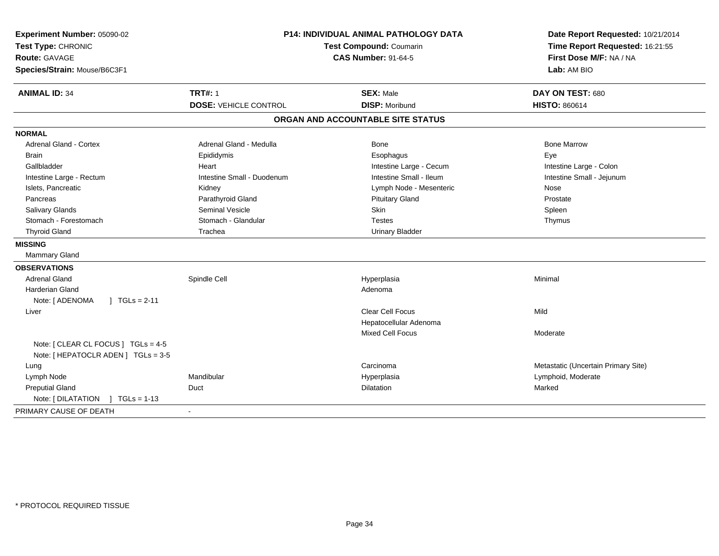| Experiment Number: 05090-02<br>Test Type: CHRONIC<br><b>Route: GAVAGE</b><br>Species/Strain: Mouse/B6C3F1 | <b>P14: INDIVIDUAL ANIMAL PATHOLOGY DATA</b><br>Test Compound: Coumarin<br><b>CAS Number: 91-64-5</b> |                                           | Date Report Requested: 10/21/2014<br>Time Report Requested: 16:21:55<br>First Dose M/F: NA / NA<br>Lab: AM BIO |  |
|-----------------------------------------------------------------------------------------------------------|-------------------------------------------------------------------------------------------------------|-------------------------------------------|----------------------------------------------------------------------------------------------------------------|--|
| <b>ANIMAL ID: 34</b>                                                                                      | <b>TRT#: 1</b><br><b>DOSE: VEHICLE CONTROL</b>                                                        | <b>SEX: Male</b><br><b>DISP: Moribund</b> | DAY ON TEST: 680<br><b>HISTO: 860614</b>                                                                       |  |
|                                                                                                           |                                                                                                       | ORGAN AND ACCOUNTABLE SITE STATUS         |                                                                                                                |  |
| <b>NORMAL</b>                                                                                             |                                                                                                       |                                           |                                                                                                                |  |
| <b>Adrenal Gland - Cortex</b>                                                                             | Adrenal Gland - Medulla                                                                               | <b>Bone</b>                               | <b>Bone Marrow</b>                                                                                             |  |
| <b>Brain</b>                                                                                              | Epididymis                                                                                            | Esophagus                                 | Eye                                                                                                            |  |
| Gallbladder                                                                                               | Heart                                                                                                 | Intestine Large - Cecum                   | Intestine Large - Colon                                                                                        |  |
| Intestine Large - Rectum                                                                                  | Intestine Small - Duodenum                                                                            | Intestine Small - Ileum                   | Intestine Small - Jejunum                                                                                      |  |
| Islets, Pancreatic                                                                                        | Kidney                                                                                                | Lymph Node - Mesenteric                   | Nose                                                                                                           |  |
| Pancreas                                                                                                  | Parathyroid Gland                                                                                     | <b>Pituitary Gland</b>                    | Prostate                                                                                                       |  |
| <b>Salivary Glands</b>                                                                                    | <b>Seminal Vesicle</b>                                                                                | Skin                                      | Spleen                                                                                                         |  |
| Stomach - Forestomach                                                                                     | Stomach - Glandular                                                                                   | <b>Testes</b>                             | Thymus                                                                                                         |  |
| <b>Thyroid Gland</b>                                                                                      | Trachea                                                                                               | <b>Urinary Bladder</b>                    |                                                                                                                |  |
| <b>MISSING</b>                                                                                            |                                                                                                       |                                           |                                                                                                                |  |
| Mammary Gland                                                                                             |                                                                                                       |                                           |                                                                                                                |  |
| <b>OBSERVATIONS</b>                                                                                       |                                                                                                       |                                           |                                                                                                                |  |
| <b>Adrenal Gland</b>                                                                                      | Spindle Cell                                                                                          | Hyperplasia                               | Minimal                                                                                                        |  |
| <b>Harderian Gland</b>                                                                                    |                                                                                                       | Adenoma                                   |                                                                                                                |  |
| Note: [ ADENOMA<br>$1 TGLs = 2-11$                                                                        |                                                                                                       |                                           |                                                                                                                |  |
| Liver                                                                                                     |                                                                                                       | <b>Clear Cell Focus</b>                   | Mild                                                                                                           |  |
|                                                                                                           |                                                                                                       | Hepatocellular Adenoma                    |                                                                                                                |  |
|                                                                                                           |                                                                                                       | <b>Mixed Cell Focus</b>                   | Moderate                                                                                                       |  |
| Note: [ CLEAR CL FOCUS ] TGLs = 4-5<br>Note: [ HEPATOCLR ADEN ] TGLs = 3-5                                |                                                                                                       |                                           |                                                                                                                |  |
| Lung                                                                                                      |                                                                                                       | Carcinoma                                 | Metastatic (Uncertain Primary Site)                                                                            |  |
| Lymph Node                                                                                                | Mandibular                                                                                            | Hyperplasia                               | Lymphoid, Moderate                                                                                             |  |
| <b>Preputial Gland</b>                                                                                    | Duct                                                                                                  | Dilatation                                | Marked                                                                                                         |  |
| Note: [DILATATION ] TGLs = 1-13                                                                           |                                                                                                       |                                           |                                                                                                                |  |
| PRIMARY CAUSE OF DEATH                                                                                    |                                                                                                       |                                           |                                                                                                                |  |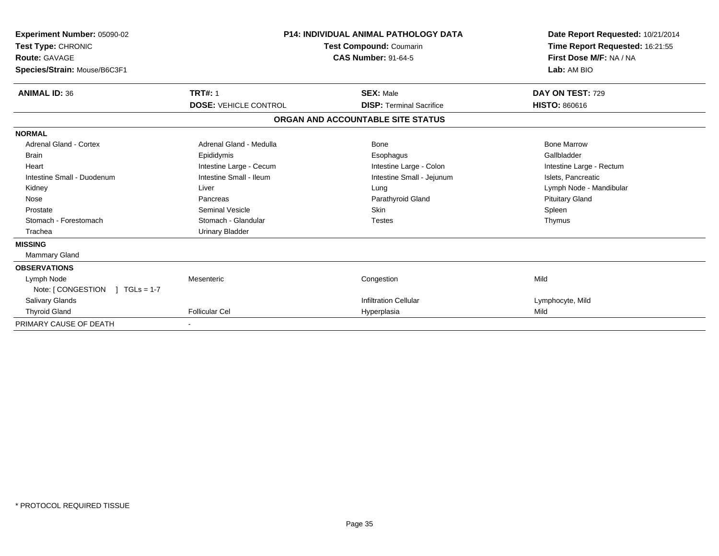| Experiment Number: 05090-02<br>Test Type: CHRONIC<br><b>Route: GAVAGE</b><br>Species/Strain: Mouse/B6C3F1 | <b>P14: INDIVIDUAL ANIMAL PATHOLOGY DATA</b><br><b>Test Compound: Coumarin</b><br><b>CAS Number: 91-64-5</b> |                                   | Date Report Requested: 10/21/2014<br>Time Report Requested: 16:21:55<br>First Dose M/F: NA / NA<br>Lab: AM BIO |  |
|-----------------------------------------------------------------------------------------------------------|--------------------------------------------------------------------------------------------------------------|-----------------------------------|----------------------------------------------------------------------------------------------------------------|--|
| <b>ANIMAL ID: 36</b>                                                                                      | <b>TRT#: 1</b>                                                                                               | <b>SEX: Male</b>                  | DAY ON TEST: 729                                                                                               |  |
|                                                                                                           | <b>DOSE: VEHICLE CONTROL</b>                                                                                 | <b>DISP: Terminal Sacrifice</b>   | <b>HISTO: 860616</b>                                                                                           |  |
|                                                                                                           |                                                                                                              | ORGAN AND ACCOUNTABLE SITE STATUS |                                                                                                                |  |
| <b>NORMAL</b>                                                                                             |                                                                                                              |                                   |                                                                                                                |  |
| Adrenal Gland - Cortex                                                                                    | Adrenal Gland - Medulla                                                                                      | Bone                              | <b>Bone Marrow</b>                                                                                             |  |
| Brain                                                                                                     | Epididymis                                                                                                   | Esophagus                         | Gallbladder                                                                                                    |  |
| Heart                                                                                                     | Intestine Large - Cecum                                                                                      | Intestine Large - Colon           | Intestine Large - Rectum                                                                                       |  |
| Intestine Small - Duodenum                                                                                | Intestine Small - Ileum                                                                                      | Intestine Small - Jejunum         | Islets, Pancreatic                                                                                             |  |
| Kidney                                                                                                    | Liver                                                                                                        | Lung                              | Lymph Node - Mandibular                                                                                        |  |
| Nose                                                                                                      | Pancreas                                                                                                     | Parathyroid Gland                 | <b>Pituitary Gland</b>                                                                                         |  |
| Prostate                                                                                                  | <b>Seminal Vesicle</b>                                                                                       | <b>Skin</b>                       | Spleen                                                                                                         |  |
| Stomach - Forestomach                                                                                     | Stomach - Glandular                                                                                          | <b>Testes</b>                     | Thymus                                                                                                         |  |
| Trachea                                                                                                   | <b>Urinary Bladder</b>                                                                                       |                                   |                                                                                                                |  |
| <b>MISSING</b>                                                                                            |                                                                                                              |                                   |                                                                                                                |  |
| <b>Mammary Gland</b>                                                                                      |                                                                                                              |                                   |                                                                                                                |  |
| <b>OBSERVATIONS</b>                                                                                       |                                                                                                              |                                   |                                                                                                                |  |
| Lymph Node                                                                                                | Mesenteric                                                                                                   | Congestion                        | Mild                                                                                                           |  |
| Note: [ CONGESTION<br>$1 TGLs = 1-7$                                                                      |                                                                                                              |                                   |                                                                                                                |  |
| <b>Salivary Glands</b>                                                                                    |                                                                                                              | <b>Infiltration Cellular</b>      | Lymphocyte, Mild                                                                                               |  |
| <b>Thyroid Gland</b>                                                                                      | <b>Follicular Cel</b>                                                                                        | Hyperplasia                       | Mild                                                                                                           |  |
| PRIMARY CAUSE OF DEATH                                                                                    |                                                                                                              |                                   |                                                                                                                |  |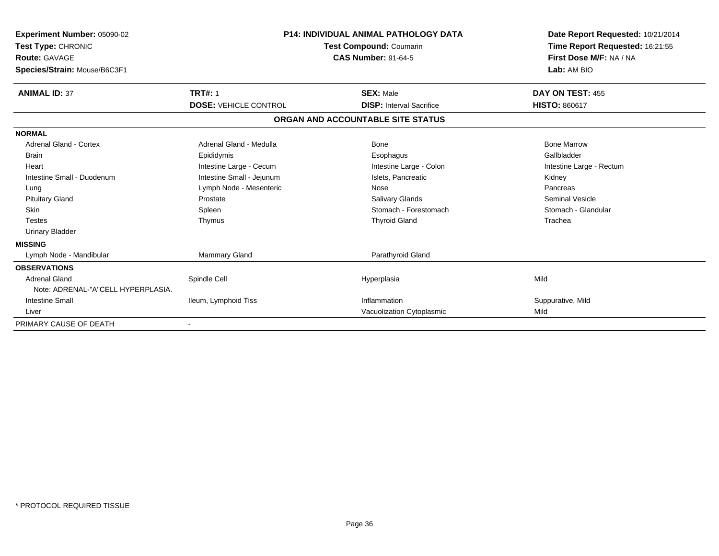| Experiment Number: 05090-02<br>Test Type: CHRONIC<br><b>Route: GAVAGE</b><br>Species/Strain: Mouse/B6C3F1 |                              | <b>P14: INDIVIDUAL ANIMAL PATHOLOGY DATA</b><br>Test Compound: Coumarin<br><b>CAS Number: 91-64-5</b> | Date Report Requested: 10/21/2014<br>Time Report Requested: 16:21:55<br>First Dose M/F: NA / NA<br>Lab: AM BIO |
|-----------------------------------------------------------------------------------------------------------|------------------------------|-------------------------------------------------------------------------------------------------------|----------------------------------------------------------------------------------------------------------------|
| <b>ANIMAL ID: 37</b>                                                                                      | <b>TRT#: 1</b>               | <b>SEX: Male</b>                                                                                      | DAY ON TEST: 455                                                                                               |
|                                                                                                           | <b>DOSE: VEHICLE CONTROL</b> | <b>DISP: Interval Sacrifice</b>                                                                       | <b>HISTO: 860617</b>                                                                                           |
|                                                                                                           |                              | ORGAN AND ACCOUNTABLE SITE STATUS                                                                     |                                                                                                                |
| <b>NORMAL</b>                                                                                             |                              |                                                                                                       |                                                                                                                |
| Adrenal Gland - Cortex                                                                                    | Adrenal Gland - Medulla      | Bone                                                                                                  | <b>Bone Marrow</b>                                                                                             |
| <b>Brain</b>                                                                                              | Epididymis                   | Esophagus                                                                                             | Gallbladder                                                                                                    |
| Heart                                                                                                     | Intestine Large - Cecum      | Intestine Large - Colon                                                                               | Intestine Large - Rectum                                                                                       |
| Intestine Small - Duodenum                                                                                | Intestine Small - Jejunum    | Islets, Pancreatic                                                                                    | Kidney                                                                                                         |
| Lung                                                                                                      | Lymph Node - Mesenteric      | Nose                                                                                                  | Pancreas                                                                                                       |
| <b>Pituitary Gland</b>                                                                                    | Prostate                     | Salivary Glands                                                                                       | <b>Seminal Vesicle</b>                                                                                         |
| Skin                                                                                                      | Spleen                       | Stomach - Forestomach                                                                                 | Stomach - Glandular                                                                                            |
| <b>Testes</b>                                                                                             | Thymus                       | <b>Thyroid Gland</b>                                                                                  | Trachea                                                                                                        |
| <b>Urinary Bladder</b>                                                                                    |                              |                                                                                                       |                                                                                                                |
| <b>MISSING</b>                                                                                            |                              |                                                                                                       |                                                                                                                |
| Lymph Node - Mandibular                                                                                   | <b>Mammary Gland</b>         | Parathyroid Gland                                                                                     |                                                                                                                |
| <b>OBSERVATIONS</b>                                                                                       |                              |                                                                                                       |                                                                                                                |
| <b>Adrenal Gland</b>                                                                                      | Spindle Cell                 | Hyperplasia                                                                                           | Mild                                                                                                           |
| Note: ADRENAL-"A"CELL HYPERPLASIA.                                                                        |                              |                                                                                                       |                                                                                                                |
| <b>Intestine Small</b>                                                                                    | Ileum, Lymphoid Tiss         | Inflammation                                                                                          | Suppurative, Mild                                                                                              |
| Liver                                                                                                     |                              | Vacuolization Cytoplasmic                                                                             | Mild                                                                                                           |
| PRIMARY CAUSE OF DEATH                                                                                    |                              |                                                                                                       |                                                                                                                |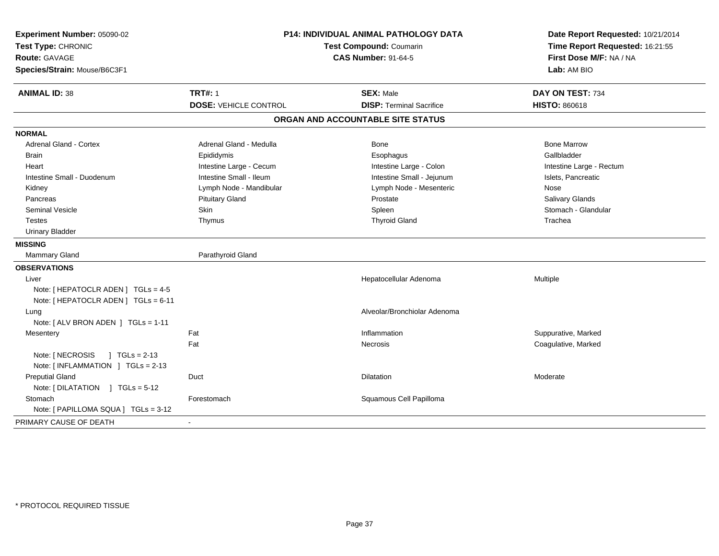| Experiment Number: 05090-02<br>Test Type: CHRONIC<br><b>Route: GAVAGE</b><br>Species/Strain: Mouse/B6C3F1 | <b>P14: INDIVIDUAL ANIMAL PATHOLOGY DATA</b><br>Test Compound: Coumarin<br><b>CAS Number: 91-64-5</b> |                                   | Date Report Requested: 10/21/2014<br>Time Report Requested: 16:21:55<br>First Dose M/F: NA / NA<br>Lab: AM BIO |
|-----------------------------------------------------------------------------------------------------------|-------------------------------------------------------------------------------------------------------|-----------------------------------|----------------------------------------------------------------------------------------------------------------|
| <b>ANIMAL ID: 38</b>                                                                                      | <b>TRT#: 1</b>                                                                                        | <b>SEX: Male</b>                  | DAY ON TEST: 734                                                                                               |
|                                                                                                           | <b>DOSE: VEHICLE CONTROL</b>                                                                          | <b>DISP: Terminal Sacrifice</b>   | <b>HISTO: 860618</b>                                                                                           |
|                                                                                                           |                                                                                                       | ORGAN AND ACCOUNTABLE SITE STATUS |                                                                                                                |
| <b>NORMAL</b>                                                                                             |                                                                                                       |                                   |                                                                                                                |
| Adrenal Gland - Cortex                                                                                    | Adrenal Gland - Medulla                                                                               | Bone                              | <b>Bone Marrow</b>                                                                                             |
| <b>Brain</b>                                                                                              | Epididymis                                                                                            | Esophagus                         | Gallbladder                                                                                                    |
| Heart                                                                                                     | Intestine Large - Cecum                                                                               | Intestine Large - Colon           | Intestine Large - Rectum                                                                                       |
| Intestine Small - Duodenum                                                                                | Intestine Small - Ileum                                                                               | Intestine Small - Jejunum         | Islets, Pancreatic                                                                                             |
| Kidney                                                                                                    | Lymph Node - Mandibular                                                                               | Lymph Node - Mesenteric           | Nose                                                                                                           |
| Pancreas                                                                                                  | <b>Pituitary Gland</b>                                                                                | Prostate                          | Salivary Glands                                                                                                |
| <b>Seminal Vesicle</b>                                                                                    | Skin                                                                                                  | Spleen                            | Stomach - Glandular                                                                                            |
| <b>Testes</b>                                                                                             | Thymus                                                                                                | <b>Thyroid Gland</b>              | Trachea                                                                                                        |
| <b>Urinary Bladder</b>                                                                                    |                                                                                                       |                                   |                                                                                                                |
| <b>MISSING</b>                                                                                            |                                                                                                       |                                   |                                                                                                                |
| <b>Mammary Gland</b>                                                                                      | Parathyroid Gland                                                                                     |                                   |                                                                                                                |
| <b>OBSERVATIONS</b>                                                                                       |                                                                                                       |                                   |                                                                                                                |
| Liver                                                                                                     |                                                                                                       | Hepatocellular Adenoma            | Multiple                                                                                                       |
| Note: [ HEPATOCLR ADEN ] TGLs = 4-5                                                                       |                                                                                                       |                                   |                                                                                                                |
| Note: [ HEPATOCLR ADEN ] TGLs = 6-11                                                                      |                                                                                                       |                                   |                                                                                                                |
| Lung                                                                                                      |                                                                                                       | Alveolar/Bronchiolar Adenoma      |                                                                                                                |
| Note: [ ALV BRON ADEN ] TGLs = 1-11                                                                       |                                                                                                       |                                   |                                                                                                                |
| Mesentery                                                                                                 | Fat                                                                                                   | Inflammation                      | Suppurative, Marked                                                                                            |
|                                                                                                           | Fat                                                                                                   | Necrosis                          | Coagulative, Marked                                                                                            |
| Note: [ NECROSIS<br>$1 TGLs = 2-13$                                                                       |                                                                                                       |                                   |                                                                                                                |
| Note: [INFLAMMATION ] TGLs = 2-13                                                                         |                                                                                                       |                                   |                                                                                                                |
| <b>Preputial Gland</b>                                                                                    | Duct                                                                                                  | <b>Dilatation</b>                 | Moderate                                                                                                       |
| Note: [DILATATION ] TGLs = 5-12                                                                           |                                                                                                       |                                   |                                                                                                                |
| Stomach                                                                                                   | Forestomach                                                                                           | Squamous Cell Papilloma           |                                                                                                                |
| Note: [ PAPILLOMA SQUA ] TGLs = 3-12                                                                      |                                                                                                       |                                   |                                                                                                                |
| PRIMARY CAUSE OF DEATH                                                                                    | $\blacksquare$                                                                                        |                                   |                                                                                                                |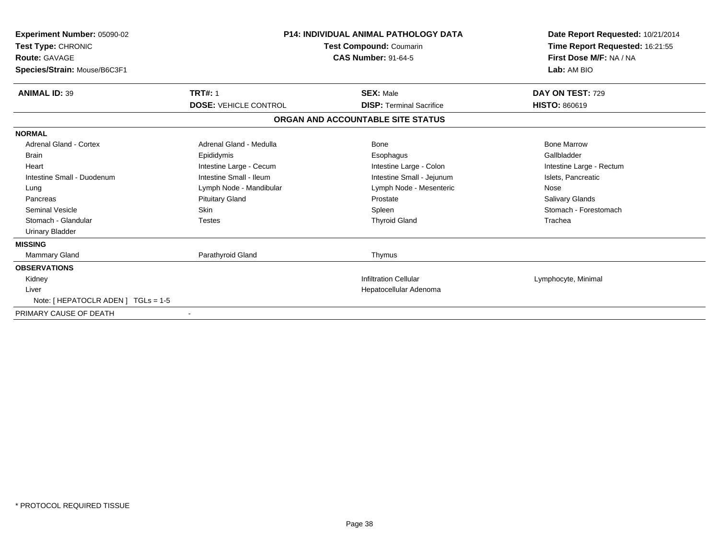| <b>Experiment Number: 05090-02</b><br>Test Type: CHRONIC<br><b>Route: GAVAGE</b><br>Species/Strain: Mouse/B6C3F1 | <b>P14: INDIVIDUAL ANIMAL PATHOLOGY DATA</b><br>Test Compound: Coumarin<br><b>CAS Number: 91-64-5</b> |                                   | Date Report Requested: 10/21/2014<br>Time Report Requested: 16:21:55<br>First Dose M/F: NA / NA<br>Lab: AM BIO |
|------------------------------------------------------------------------------------------------------------------|-------------------------------------------------------------------------------------------------------|-----------------------------------|----------------------------------------------------------------------------------------------------------------|
| <b>ANIMAL ID: 39</b>                                                                                             | <b>TRT#: 1</b>                                                                                        | <b>SEX: Male</b>                  | DAY ON TEST: 729                                                                                               |
|                                                                                                                  | <b>DOSE: VEHICLE CONTROL</b>                                                                          | <b>DISP: Terminal Sacrifice</b>   | <b>HISTO: 860619</b>                                                                                           |
|                                                                                                                  |                                                                                                       | ORGAN AND ACCOUNTABLE SITE STATUS |                                                                                                                |
| <b>NORMAL</b>                                                                                                    |                                                                                                       |                                   |                                                                                                                |
| <b>Adrenal Gland - Cortex</b>                                                                                    | Adrenal Gland - Medulla                                                                               | Bone                              | <b>Bone Marrow</b>                                                                                             |
| <b>Brain</b>                                                                                                     | Epididymis                                                                                            | Esophagus                         | Gallbladder                                                                                                    |
| Heart                                                                                                            | Intestine Large - Cecum                                                                               | Intestine Large - Colon           | Intestine Large - Rectum                                                                                       |
| Intestine Small - Duodenum                                                                                       | Intestine Small - Ileum                                                                               | Intestine Small - Jejunum         | Islets, Pancreatic                                                                                             |
| Lung                                                                                                             | Lymph Node - Mandibular                                                                               | Lymph Node - Mesenteric           | Nose                                                                                                           |
| Pancreas                                                                                                         | <b>Pituitary Gland</b>                                                                                | Prostate                          | <b>Salivary Glands</b>                                                                                         |
| Seminal Vesicle                                                                                                  | <b>Skin</b>                                                                                           | Spleen                            | Stomach - Forestomach                                                                                          |
| Stomach - Glandular                                                                                              | <b>Testes</b>                                                                                         | <b>Thyroid Gland</b>              | Trachea                                                                                                        |
| <b>Urinary Bladder</b>                                                                                           |                                                                                                       |                                   |                                                                                                                |
| <b>MISSING</b>                                                                                                   |                                                                                                       |                                   |                                                                                                                |
| Mammary Gland                                                                                                    | Parathyroid Gland                                                                                     | Thymus                            |                                                                                                                |
| <b>OBSERVATIONS</b>                                                                                              |                                                                                                       |                                   |                                                                                                                |
| Kidney                                                                                                           |                                                                                                       | <b>Infiltration Cellular</b>      | Lymphocyte, Minimal                                                                                            |
| Liver                                                                                                            | Hepatocellular Adenoma                                                                                |                                   |                                                                                                                |
| Note: [ HEPATOCLR ADEN ] TGLs = 1-5                                                                              |                                                                                                       |                                   |                                                                                                                |
| PRIMARY CAUSE OF DEATH                                                                                           |                                                                                                       |                                   |                                                                                                                |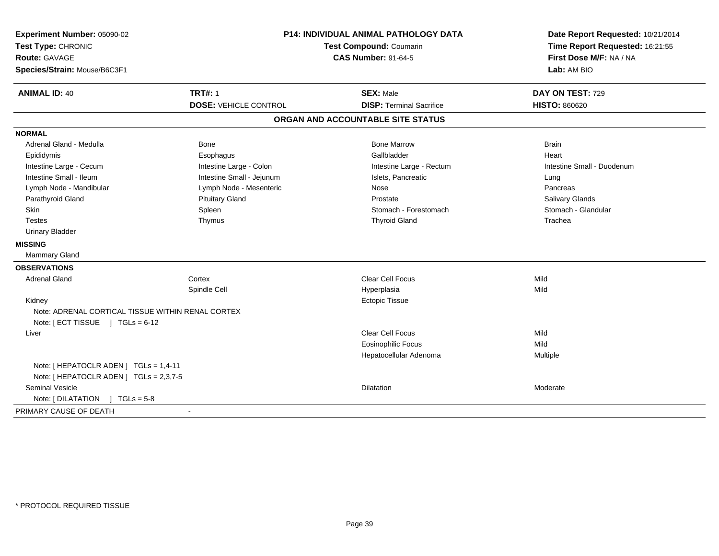| Experiment Number: 05090-02<br>Test Type: CHRONIC    |                              | <b>P14: INDIVIDUAL ANIMAL PATHOLOGY DATA</b><br><b>Test Compound: Coumarin</b> | Date Report Requested: 10/21/2014<br>Time Report Requested: 16:21:55 |
|------------------------------------------------------|------------------------------|--------------------------------------------------------------------------------|----------------------------------------------------------------------|
| <b>Route: GAVAGE</b><br>Species/Strain: Mouse/B6C3F1 | <b>CAS Number: 91-64-5</b>   |                                                                                | First Dose M/F: NA / NA<br>Lab: AM BIO                               |
|                                                      |                              |                                                                                |                                                                      |
| <b>ANIMAL ID: 40</b>                                 | <b>TRT#: 1</b>               | <b>SEX: Male</b>                                                               | DAY ON TEST: 729                                                     |
|                                                      | <b>DOSE: VEHICLE CONTROL</b> | <b>DISP: Terminal Sacrifice</b>                                                | <b>HISTO: 860620</b>                                                 |
|                                                      |                              | ORGAN AND ACCOUNTABLE SITE STATUS                                              |                                                                      |
| <b>NORMAL</b>                                        |                              |                                                                                |                                                                      |
| Adrenal Gland - Medulla                              | <b>Bone</b>                  | <b>Bone Marrow</b>                                                             | <b>Brain</b>                                                         |
| Epididymis                                           | Esophagus                    | Gallbladder                                                                    | Heart                                                                |
| Intestine Large - Cecum                              | Intestine Large - Colon      | Intestine Large - Rectum                                                       | Intestine Small - Duodenum                                           |
| Intestine Small - Ileum                              | Intestine Small - Jejunum    | Islets, Pancreatic                                                             | Lung                                                                 |
| Lymph Node - Mandibular                              | Lymph Node - Mesenteric      | <b>Nose</b>                                                                    | Pancreas                                                             |
| Parathyroid Gland                                    | <b>Pituitary Gland</b>       | Prostate                                                                       | <b>Salivary Glands</b>                                               |
| Skin                                                 | Spleen                       | Stomach - Forestomach                                                          | Stomach - Glandular                                                  |
| <b>Testes</b>                                        | Thymus                       | <b>Thyroid Gland</b>                                                           | Trachea                                                              |
| <b>Urinary Bladder</b>                               |                              |                                                                                |                                                                      |
| <b>MISSING</b>                                       |                              |                                                                                |                                                                      |
| <b>Mammary Gland</b>                                 |                              |                                                                                |                                                                      |
| <b>OBSERVATIONS</b>                                  |                              |                                                                                |                                                                      |
| <b>Adrenal Gland</b>                                 | Cortex                       | Clear Cell Focus                                                               | Mild                                                                 |
|                                                      | Spindle Cell                 | Hyperplasia                                                                    | Mild                                                                 |
| Kidney                                               |                              | <b>Ectopic Tissue</b>                                                          |                                                                      |
| Note: ADRENAL CORTICAL TISSUE WITHIN RENAL CORTEX    |                              |                                                                                |                                                                      |
| Note: [ECT TISSUE ] TGLs = 6-12                      |                              |                                                                                |                                                                      |
| Liver                                                |                              | <b>Clear Cell Focus</b>                                                        | Mild                                                                 |
|                                                      |                              | <b>Eosinophilic Focus</b>                                                      | Mild                                                                 |
|                                                      |                              | Hepatocellular Adenoma                                                         | Multiple                                                             |
| Note: [ HEPATOCLR ADEN ] TGLs = 1,4-11               |                              |                                                                                |                                                                      |
| Note: [ HEPATOCLR ADEN ] TGLs = 2,3,7-5              |                              |                                                                                |                                                                      |
| <b>Seminal Vesicle</b>                               |                              | <b>Dilatation</b>                                                              | Moderate                                                             |
| Note: $[DILATATION] TGLs = 5-8$                      |                              |                                                                                |                                                                      |
| PRIMARY CAUSE OF DEATH                               | $\sim$                       |                                                                                |                                                                      |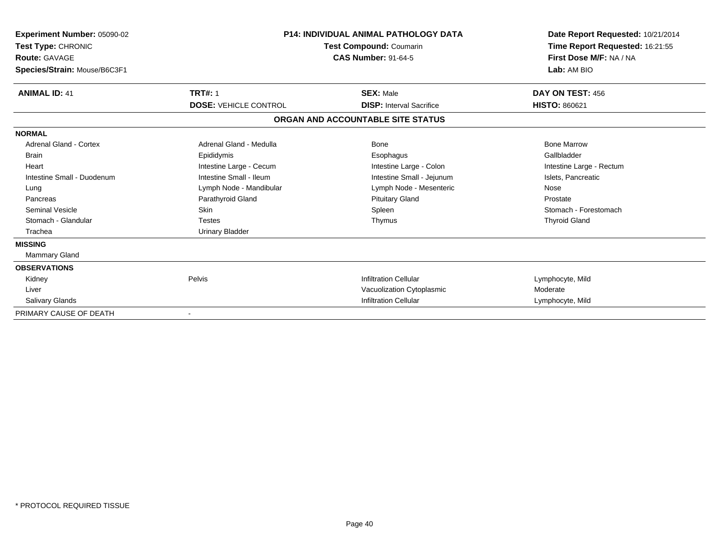| Experiment Number: 05090-02<br>Test Type: CHRONIC<br><b>Route: GAVAGE</b><br>Species/Strain: Mouse/B6C3F1 | <b>P14: INDIVIDUAL ANIMAL PATHOLOGY DATA</b><br><b>Test Compound: Coumarin</b><br><b>CAS Number: 91-64-5</b> |                                   | Date Report Requested: 10/21/2014<br>Time Report Requested: 16:21:55<br>First Dose M/F: NA / NA<br>Lab: AM BIO |  |
|-----------------------------------------------------------------------------------------------------------|--------------------------------------------------------------------------------------------------------------|-----------------------------------|----------------------------------------------------------------------------------------------------------------|--|
| <b>ANIMAL ID: 41</b>                                                                                      | <b>TRT#: 1</b>                                                                                               | <b>SEX: Male</b>                  | DAY ON TEST: 456                                                                                               |  |
|                                                                                                           | <b>DOSE: VEHICLE CONTROL</b>                                                                                 | <b>DISP:</b> Interval Sacrifice   | <b>HISTO: 860621</b>                                                                                           |  |
|                                                                                                           |                                                                                                              | ORGAN AND ACCOUNTABLE SITE STATUS |                                                                                                                |  |
| <b>NORMAL</b>                                                                                             |                                                                                                              |                                   |                                                                                                                |  |
| Adrenal Gland - Cortex                                                                                    | Adrenal Gland - Medulla                                                                                      | Bone                              | <b>Bone Marrow</b>                                                                                             |  |
| <b>Brain</b>                                                                                              | Epididymis                                                                                                   | Esophagus                         | Gallbladder                                                                                                    |  |
| Heart                                                                                                     | Intestine Large - Cecum                                                                                      | Intestine Large - Colon           | Intestine Large - Rectum                                                                                       |  |
| Intestine Small - Duodenum                                                                                | Intestine Small - Ileum                                                                                      | Intestine Small - Jejunum         | Islets, Pancreatic                                                                                             |  |
| Lung                                                                                                      | Lymph Node - Mandibular                                                                                      | Lymph Node - Mesenteric           | Nose                                                                                                           |  |
| Pancreas                                                                                                  | Parathyroid Gland                                                                                            | <b>Pituitary Gland</b>            | Prostate                                                                                                       |  |
| <b>Seminal Vesicle</b>                                                                                    | <b>Skin</b>                                                                                                  | Spleen                            | Stomach - Forestomach                                                                                          |  |
| Stomach - Glandular                                                                                       | <b>Testes</b>                                                                                                | Thymus                            | <b>Thyroid Gland</b>                                                                                           |  |
| Trachea                                                                                                   | <b>Urinary Bladder</b>                                                                                       |                                   |                                                                                                                |  |
| <b>MISSING</b>                                                                                            |                                                                                                              |                                   |                                                                                                                |  |
| Mammary Gland                                                                                             |                                                                                                              |                                   |                                                                                                                |  |
| <b>OBSERVATIONS</b>                                                                                       |                                                                                                              |                                   |                                                                                                                |  |
| Kidney                                                                                                    | Pelvis                                                                                                       | <b>Infiltration Cellular</b>      | Lymphocyte, Mild                                                                                               |  |
| Liver                                                                                                     |                                                                                                              | Vacuolization Cytoplasmic         | Moderate                                                                                                       |  |
| <b>Salivary Glands</b>                                                                                    |                                                                                                              | <b>Infiltration Cellular</b>      | Lymphocyte, Mild                                                                                               |  |
| PRIMARY CAUSE OF DEATH                                                                                    |                                                                                                              |                                   |                                                                                                                |  |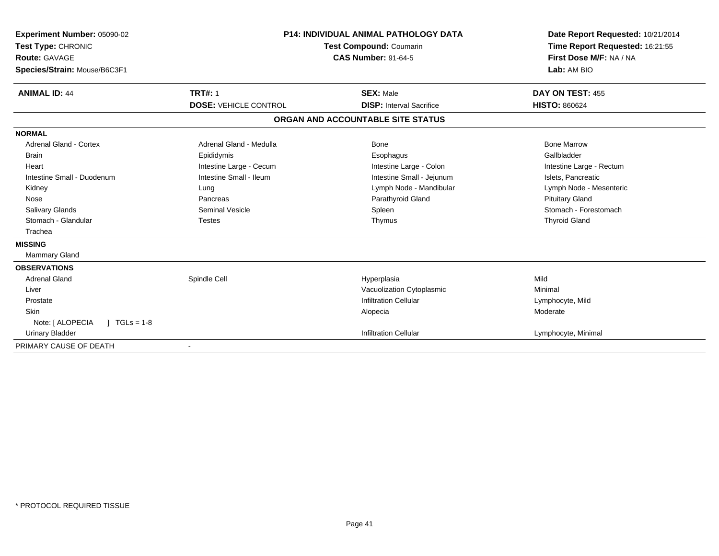| Experiment Number: 05090-02<br>Test Type: CHRONIC<br>Route: GAVAGE<br>Species/Strain: Mouse/B6C3F1<br><b>ANIMAL ID: 44</b> | <b>TRT#: 1</b><br><b>DOSE: VEHICLE CONTROL</b> | <b>P14: INDIVIDUAL ANIMAL PATHOLOGY DATA</b><br>Test Compound: Coumarin<br><b>CAS Number: 91-64-5</b><br><b>SEX: Male</b><br><b>DISP:</b> Interval Sacrifice | Date Report Requested: 10/21/2014<br>Time Report Requested: 16:21:55<br>First Dose M/F: NA / NA<br>Lab: AM BIO<br>DAY ON TEST: 455<br><b>HISTO: 860624</b> |
|----------------------------------------------------------------------------------------------------------------------------|------------------------------------------------|--------------------------------------------------------------------------------------------------------------------------------------------------------------|------------------------------------------------------------------------------------------------------------------------------------------------------------|
|                                                                                                                            |                                                | ORGAN AND ACCOUNTABLE SITE STATUS                                                                                                                            |                                                                                                                                                            |
| <b>NORMAL</b>                                                                                                              |                                                |                                                                                                                                                              |                                                                                                                                                            |
| <b>Adrenal Gland - Cortex</b>                                                                                              | Adrenal Gland - Medulla                        | Bone                                                                                                                                                         | <b>Bone Marrow</b>                                                                                                                                         |
| <b>Brain</b>                                                                                                               | Epididymis                                     | Esophagus                                                                                                                                                    | Gallbladder                                                                                                                                                |
| Heart                                                                                                                      | Intestine Large - Cecum                        | Intestine Large - Colon                                                                                                                                      | Intestine Large - Rectum                                                                                                                                   |
| Intestine Small - Duodenum                                                                                                 | Intestine Small - Ileum                        | Intestine Small - Jejunum                                                                                                                                    | Islets. Pancreatic                                                                                                                                         |
| Kidney                                                                                                                     | Lung                                           | Lymph Node - Mandibular                                                                                                                                      | Lymph Node - Mesenteric                                                                                                                                    |
| Nose                                                                                                                       | Pancreas                                       | Parathyroid Gland                                                                                                                                            | <b>Pituitary Gland</b>                                                                                                                                     |
| <b>Salivary Glands</b>                                                                                                     | <b>Seminal Vesicle</b>                         | Spleen                                                                                                                                                       | Stomach - Forestomach                                                                                                                                      |
| Stomach - Glandular                                                                                                        | <b>Testes</b>                                  | Thymus                                                                                                                                                       | <b>Thyroid Gland</b>                                                                                                                                       |
| Trachea                                                                                                                    |                                                |                                                                                                                                                              |                                                                                                                                                            |
| <b>MISSING</b>                                                                                                             |                                                |                                                                                                                                                              |                                                                                                                                                            |
| Mammary Gland                                                                                                              |                                                |                                                                                                                                                              |                                                                                                                                                            |
| <b>OBSERVATIONS</b>                                                                                                        |                                                |                                                                                                                                                              |                                                                                                                                                            |
| <b>Adrenal Gland</b>                                                                                                       | Spindle Cell                                   | Hyperplasia                                                                                                                                                  | Mild                                                                                                                                                       |
| Liver                                                                                                                      |                                                | Vacuolization Cytoplasmic                                                                                                                                    | Minimal                                                                                                                                                    |
| Prostate                                                                                                                   |                                                | <b>Infiltration Cellular</b>                                                                                                                                 | Lymphocyte, Mild                                                                                                                                           |
| <b>Skin</b>                                                                                                                |                                                | Alopecia                                                                                                                                                     | Moderate                                                                                                                                                   |
| Note: [ ALOPECIA<br>$1 TGLs = 1-8$                                                                                         |                                                |                                                                                                                                                              |                                                                                                                                                            |
| <b>Urinary Bladder</b>                                                                                                     |                                                | <b>Infiltration Cellular</b>                                                                                                                                 | Lymphocyte, Minimal                                                                                                                                        |
| PRIMARY CAUSE OF DEATH                                                                                                     |                                                |                                                                                                                                                              |                                                                                                                                                            |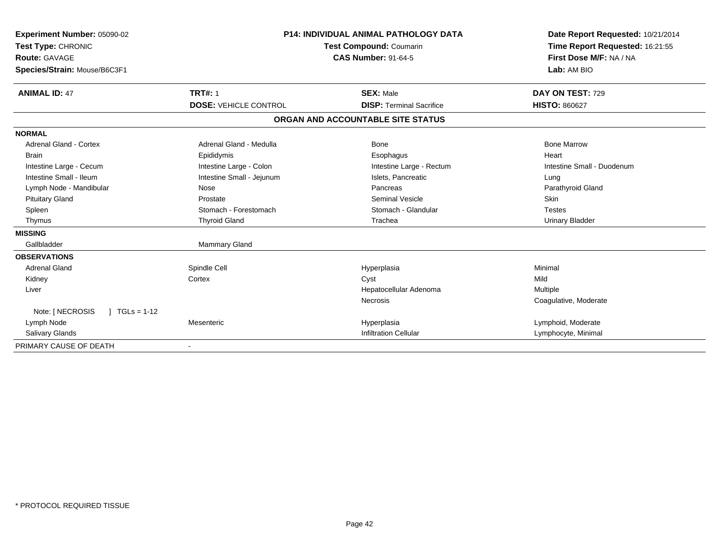| Experiment Number: 05090-02<br>Test Type: CHRONIC<br><b>Route: GAVAGE</b><br>Species/Strain: Mouse/B6C3F1 |                              | <b>P14: INDIVIDUAL ANIMAL PATHOLOGY DATA</b><br>Test Compound: Coumarin<br><b>CAS Number: 91-64-5</b> | Date Report Requested: 10/21/2014<br>Time Report Requested: 16:21:55<br>First Dose M/F: NA / NA<br>Lab: AM BIO |
|-----------------------------------------------------------------------------------------------------------|------------------------------|-------------------------------------------------------------------------------------------------------|----------------------------------------------------------------------------------------------------------------|
| <b>ANIMAL ID: 47</b>                                                                                      | <b>TRT#: 1</b>               | <b>SEX: Male</b>                                                                                      | DAY ON TEST: 729                                                                                               |
|                                                                                                           | <b>DOSE: VEHICLE CONTROL</b> | <b>DISP: Terminal Sacrifice</b>                                                                       | <b>HISTO: 860627</b>                                                                                           |
|                                                                                                           |                              | ORGAN AND ACCOUNTABLE SITE STATUS                                                                     |                                                                                                                |
| <b>NORMAL</b>                                                                                             |                              |                                                                                                       |                                                                                                                |
| <b>Adrenal Gland - Cortex</b>                                                                             | Adrenal Gland - Medulla      | <b>Bone</b>                                                                                           | <b>Bone Marrow</b>                                                                                             |
| <b>Brain</b>                                                                                              | Epididymis                   | Esophagus                                                                                             | Heart                                                                                                          |
| Intestine Large - Cecum                                                                                   | Intestine Large - Colon      | Intestine Large - Rectum                                                                              | Intestine Small - Duodenum                                                                                     |
| Intestine Small - Ileum                                                                                   | Intestine Small - Jejunum    | Islets, Pancreatic                                                                                    | Lung                                                                                                           |
| Lymph Node - Mandibular                                                                                   | Nose                         | Pancreas                                                                                              | Parathyroid Gland                                                                                              |
| <b>Pituitary Gland</b>                                                                                    | Prostate                     | <b>Seminal Vesicle</b>                                                                                | <b>Skin</b>                                                                                                    |
| Spleen                                                                                                    | Stomach - Forestomach        | Stomach - Glandular                                                                                   | <b>Testes</b>                                                                                                  |
| Thymus                                                                                                    | <b>Thyroid Gland</b>         | Trachea                                                                                               | <b>Urinary Bladder</b>                                                                                         |
| <b>MISSING</b>                                                                                            |                              |                                                                                                       |                                                                                                                |
| Gallbladder                                                                                               | Mammary Gland                |                                                                                                       |                                                                                                                |
| <b>OBSERVATIONS</b>                                                                                       |                              |                                                                                                       |                                                                                                                |
| <b>Adrenal Gland</b>                                                                                      | Spindle Cell                 | Hyperplasia                                                                                           | Minimal                                                                                                        |
| Kidney                                                                                                    | Cortex                       | Cyst                                                                                                  | Mild                                                                                                           |
| Liver                                                                                                     |                              | Hepatocellular Adenoma                                                                                | Multiple                                                                                                       |
|                                                                                                           |                              | Necrosis                                                                                              | Coagulative, Moderate                                                                                          |
| Note: [ NECROSIS<br>$1 TGLs = 1-12$                                                                       |                              |                                                                                                       |                                                                                                                |
| Lymph Node                                                                                                | Mesenteric                   | Hyperplasia                                                                                           | Lymphoid, Moderate                                                                                             |
| <b>Salivary Glands</b>                                                                                    |                              | <b>Infiltration Cellular</b>                                                                          | Lymphocyte, Minimal                                                                                            |
| PRIMARY CAUSE OF DEATH                                                                                    |                              |                                                                                                       |                                                                                                                |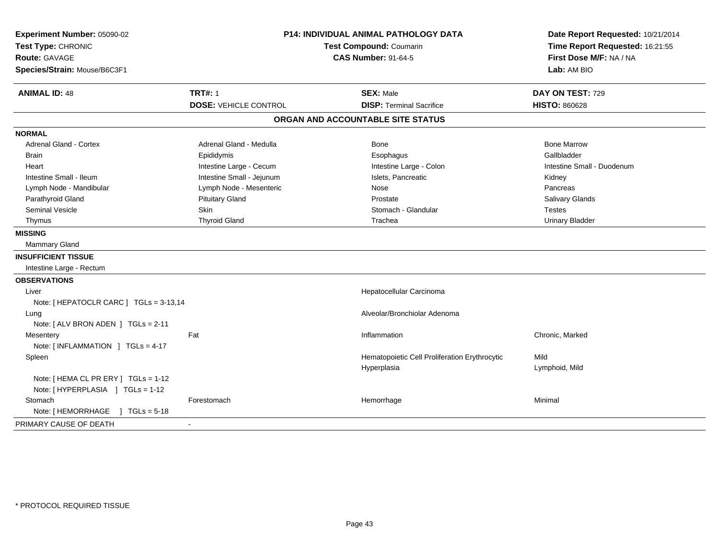| Experiment Number: 05090-02<br>Test Type: CHRONIC<br><b>Route: GAVAGE</b><br>Species/Strain: Mouse/B6C3F1 | P14: INDIVIDUAL ANIMAL PATHOLOGY DATA<br>Test Compound: Coumarin<br><b>CAS Number: 91-64-5</b> |                                   |                                                     | Date Report Requested: 10/21/2014<br>Time Report Requested: 16:21:55<br>First Dose M/F: NA / NA<br>Lab: AM BIO |  |
|-----------------------------------------------------------------------------------------------------------|------------------------------------------------------------------------------------------------|-----------------------------------|-----------------------------------------------------|----------------------------------------------------------------------------------------------------------------|--|
| <b>ANIMAL ID: 48</b>                                                                                      | <b>TRT#: 1</b><br><b>DOSE: VEHICLE CONTROL</b>                                                 |                                   | <b>SEX: Male</b><br><b>DISP: Terminal Sacrifice</b> | DAY ON TEST: 729<br><b>HISTO: 860628</b>                                                                       |  |
|                                                                                                           |                                                                                                |                                   |                                                     |                                                                                                                |  |
|                                                                                                           |                                                                                                | ORGAN AND ACCOUNTABLE SITE STATUS |                                                     |                                                                                                                |  |
| <b>NORMAL</b>                                                                                             |                                                                                                |                                   |                                                     |                                                                                                                |  |
| Adrenal Gland - Cortex                                                                                    | Adrenal Gland - Medulla                                                                        |                                   | Bone                                                | <b>Bone Marrow</b>                                                                                             |  |
| <b>Brain</b>                                                                                              | Epididymis                                                                                     |                                   | Esophagus                                           | Gallbladder                                                                                                    |  |
| Heart                                                                                                     | Intestine Large - Cecum                                                                        |                                   | Intestine Large - Colon                             | Intestine Small - Duodenum                                                                                     |  |
| Intestine Small - Ileum                                                                                   | Intestine Small - Jejunum                                                                      |                                   | Islets, Pancreatic                                  | Kidney                                                                                                         |  |
| Lymph Node - Mandibular                                                                                   | Lymph Node - Mesenteric                                                                        |                                   | Nose                                                | Pancreas                                                                                                       |  |
| Parathyroid Gland                                                                                         | <b>Pituitary Gland</b>                                                                         |                                   | Prostate                                            | Salivary Glands                                                                                                |  |
| <b>Seminal Vesicle</b>                                                                                    | Skin                                                                                           |                                   | Stomach - Glandular                                 | <b>Testes</b>                                                                                                  |  |
| Thymus                                                                                                    | <b>Thyroid Gland</b>                                                                           |                                   | Trachea                                             | <b>Urinary Bladder</b>                                                                                         |  |
| <b>MISSING</b>                                                                                            |                                                                                                |                                   |                                                     |                                                                                                                |  |
| <b>Mammary Gland</b>                                                                                      |                                                                                                |                                   |                                                     |                                                                                                                |  |
| <b>INSUFFICIENT TISSUE</b>                                                                                |                                                                                                |                                   |                                                     |                                                                                                                |  |
| Intestine Large - Rectum                                                                                  |                                                                                                |                                   |                                                     |                                                                                                                |  |
| <b>OBSERVATIONS</b>                                                                                       |                                                                                                |                                   |                                                     |                                                                                                                |  |
| Liver                                                                                                     |                                                                                                |                                   | Hepatocellular Carcinoma                            |                                                                                                                |  |
| Note: [ HEPATOCLR CARC ] TGLs = 3-13,14                                                                   |                                                                                                |                                   |                                                     |                                                                                                                |  |
| Lung                                                                                                      |                                                                                                |                                   | Alveolar/Bronchiolar Adenoma                        |                                                                                                                |  |
| Note: [ ALV BRON ADEN ] TGLs = 2-11                                                                       |                                                                                                |                                   |                                                     |                                                                                                                |  |
| Mesentery                                                                                                 | Fat                                                                                            |                                   | Inflammation                                        | Chronic, Marked                                                                                                |  |
| Note: [INFLAMMATION ] TGLs = 4-17                                                                         |                                                                                                |                                   |                                                     |                                                                                                                |  |
| Spleen                                                                                                    |                                                                                                |                                   | Hematopoietic Cell Proliferation Erythrocytic       | Mild                                                                                                           |  |
|                                                                                                           |                                                                                                |                                   | Hyperplasia                                         | Lymphoid, Mild                                                                                                 |  |
| Note: [ HEMA CL PR ERY ] TGLs = 1-12                                                                      |                                                                                                |                                   |                                                     |                                                                                                                |  |
| Note: [HYPERPLASIA ] TGLs = 1-12                                                                          |                                                                                                |                                   |                                                     |                                                                                                                |  |
| Stomach                                                                                                   | Forestomach                                                                                    |                                   | Hemorrhage                                          | Minimal                                                                                                        |  |
| Note: [HEMORRHAGE ] TGLs = 5-18                                                                           |                                                                                                |                                   |                                                     |                                                                                                                |  |
| PRIMARY CAUSE OF DEATH                                                                                    |                                                                                                |                                   |                                                     |                                                                                                                |  |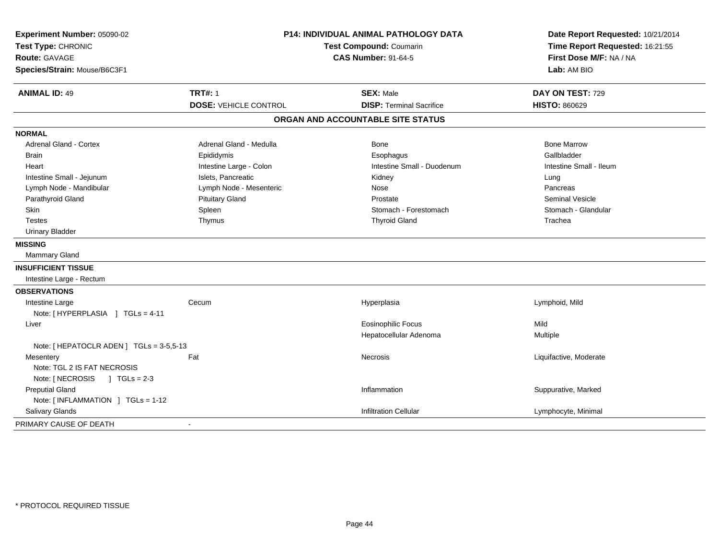| Experiment Number: 05090-02<br>Test Type: CHRONIC<br><b>Route: GAVAGE</b><br>Species/Strain: Mouse/B6C3F1 | <b>P14: INDIVIDUAL ANIMAL PATHOLOGY DATA</b><br>Test Compound: Coumarin<br><b>CAS Number: 91-64-5</b> |                                   | Date Report Requested: 10/21/2014<br>Time Report Requested: 16:21:55<br>First Dose M/F: NA / NA<br>Lab: AM BIO |
|-----------------------------------------------------------------------------------------------------------|-------------------------------------------------------------------------------------------------------|-----------------------------------|----------------------------------------------------------------------------------------------------------------|
| <b>ANIMAL ID: 49</b>                                                                                      | <b>TRT#: 1</b>                                                                                        | <b>SEX: Male</b>                  | DAY ON TEST: 729                                                                                               |
|                                                                                                           | <b>DOSE: VEHICLE CONTROL</b>                                                                          | <b>DISP: Terminal Sacrifice</b>   | <b>HISTO: 860629</b>                                                                                           |
|                                                                                                           |                                                                                                       | ORGAN AND ACCOUNTABLE SITE STATUS |                                                                                                                |
| <b>NORMAL</b>                                                                                             |                                                                                                       |                                   |                                                                                                                |
| Adrenal Gland - Cortex                                                                                    | Adrenal Gland - Medulla                                                                               | Bone                              | <b>Bone Marrow</b>                                                                                             |
| <b>Brain</b>                                                                                              | Epididymis                                                                                            | Esophagus                         | Gallbladder                                                                                                    |
| Heart                                                                                                     | Intestine Large - Colon                                                                               | Intestine Small - Duodenum        | Intestine Small - Ileum                                                                                        |
| Intestine Small - Jejunum                                                                                 | Islets, Pancreatic                                                                                    | Kidney                            | Lung                                                                                                           |
| Lymph Node - Mandibular                                                                                   | Lymph Node - Mesenteric                                                                               | Nose                              | Pancreas                                                                                                       |
| Parathyroid Gland                                                                                         | <b>Pituitary Gland</b>                                                                                | Prostate                          | <b>Seminal Vesicle</b>                                                                                         |
| Skin                                                                                                      | Spleen                                                                                                | Stomach - Forestomach             | Stomach - Glandular                                                                                            |
| <b>Testes</b>                                                                                             | Thymus                                                                                                | <b>Thyroid Gland</b>              | Trachea                                                                                                        |
| <b>Urinary Bladder</b>                                                                                    |                                                                                                       |                                   |                                                                                                                |
| <b>MISSING</b>                                                                                            |                                                                                                       |                                   |                                                                                                                |
| <b>Mammary Gland</b>                                                                                      |                                                                                                       |                                   |                                                                                                                |
| <b>INSUFFICIENT TISSUE</b>                                                                                |                                                                                                       |                                   |                                                                                                                |
| Intestine Large - Rectum                                                                                  |                                                                                                       |                                   |                                                                                                                |
| <b>OBSERVATIONS</b>                                                                                       |                                                                                                       |                                   |                                                                                                                |
| Intestine Large                                                                                           | Cecum                                                                                                 | Hyperplasia                       | Lymphoid, Mild                                                                                                 |
| Note: [HYPERPLASIA ] TGLs = 4-11                                                                          |                                                                                                       |                                   |                                                                                                                |
| Liver                                                                                                     |                                                                                                       | <b>Eosinophilic Focus</b>         | Mild                                                                                                           |
|                                                                                                           |                                                                                                       | Hepatocellular Adenoma            | Multiple                                                                                                       |
| Note: [ HEPATOCLR ADEN ] TGLs = 3-5,5-13                                                                  |                                                                                                       |                                   |                                                                                                                |
| Mesentery                                                                                                 | Fat                                                                                                   | <b>Necrosis</b>                   | Liquifactive, Moderate                                                                                         |
| Note: TGL 2 IS FAT NECROSIS                                                                               |                                                                                                       |                                   |                                                                                                                |
| Note: [ NECROSIS<br>$J \cdot TGLS = 2-3$                                                                  |                                                                                                       |                                   |                                                                                                                |
| <b>Preputial Gland</b>                                                                                    |                                                                                                       | Inflammation                      | Suppurative, Marked                                                                                            |
| Note: [INFLAMMATION ] TGLs = 1-12                                                                         |                                                                                                       |                                   |                                                                                                                |
| Salivary Glands                                                                                           |                                                                                                       | <b>Infiltration Cellular</b>      | Lymphocyte, Minimal                                                                                            |
| PRIMARY CAUSE OF DEATH                                                                                    | ä,                                                                                                    |                                   |                                                                                                                |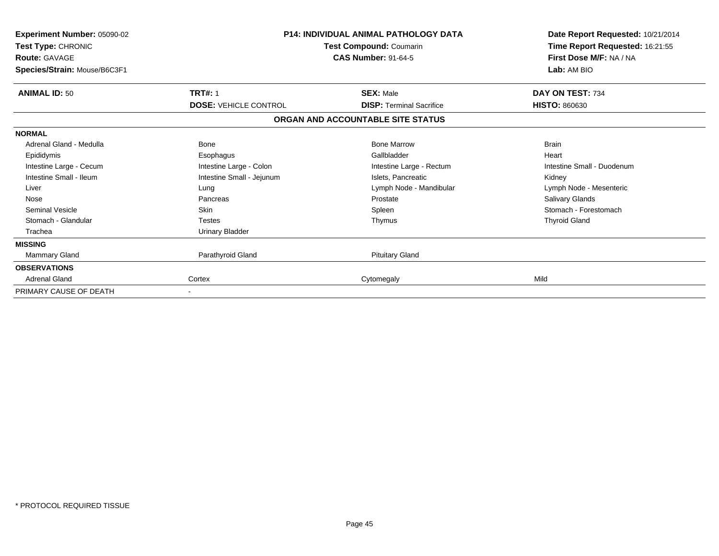| Experiment Number: 05090-02<br>Test Type: CHRONIC<br><b>Route: GAVAGE</b><br>Species/Strain: Mouse/B6C3F1 |                              | <b>P14: INDIVIDUAL ANIMAL PATHOLOGY DATA</b><br>Test Compound: Coumarin<br><b>CAS Number: 91-64-5</b> | Date Report Requested: 10/21/2014<br>Time Report Requested: 16:21:55<br>First Dose M/F: NA / NA<br>Lab: AM BIO |
|-----------------------------------------------------------------------------------------------------------|------------------------------|-------------------------------------------------------------------------------------------------------|----------------------------------------------------------------------------------------------------------------|
| <b>ANIMAL ID: 50</b>                                                                                      | <b>TRT#: 1</b>               | <b>SEX: Male</b>                                                                                      | DAY ON TEST: 734                                                                                               |
|                                                                                                           | <b>DOSE: VEHICLE CONTROL</b> | <b>DISP: Terminal Sacrifice</b>                                                                       | <b>HISTO: 860630</b>                                                                                           |
|                                                                                                           |                              | ORGAN AND ACCOUNTABLE SITE STATUS                                                                     |                                                                                                                |
| <b>NORMAL</b>                                                                                             |                              |                                                                                                       |                                                                                                                |
| Adrenal Gland - Medulla                                                                                   | <b>Bone</b>                  | <b>Bone Marrow</b>                                                                                    | <b>Brain</b>                                                                                                   |
| Epididymis                                                                                                | Esophagus                    | Gallbladder                                                                                           | Heart                                                                                                          |
| Intestine Large - Cecum                                                                                   | Intestine Large - Colon      | Intestine Large - Rectum                                                                              | Intestine Small - Duodenum                                                                                     |
| Intestine Small - Ileum                                                                                   | Intestine Small - Jejunum    | Islets, Pancreatic                                                                                    | Kidney                                                                                                         |
| Liver                                                                                                     | Lung                         | Lymph Node - Mandibular                                                                               | Lymph Node - Mesenteric                                                                                        |
| Nose                                                                                                      | Pancreas                     | Prostate                                                                                              | <b>Salivary Glands</b>                                                                                         |
| Seminal Vesicle                                                                                           | <b>Skin</b>                  | Spleen                                                                                                | Stomach - Forestomach                                                                                          |
| Stomach - Glandular                                                                                       | <b>Testes</b>                | Thymus                                                                                                | <b>Thyroid Gland</b>                                                                                           |
| Trachea                                                                                                   | <b>Urinary Bladder</b>       |                                                                                                       |                                                                                                                |
| <b>MISSING</b>                                                                                            |                              |                                                                                                       |                                                                                                                |
| <b>Mammary Gland</b>                                                                                      | Parathyroid Gland            | <b>Pituitary Gland</b>                                                                                |                                                                                                                |
| <b>OBSERVATIONS</b>                                                                                       |                              |                                                                                                       |                                                                                                                |
| <b>Adrenal Gland</b>                                                                                      | Cortex                       | Cytomegaly                                                                                            | Mild                                                                                                           |
| PRIMARY CAUSE OF DEATH                                                                                    |                              |                                                                                                       |                                                                                                                |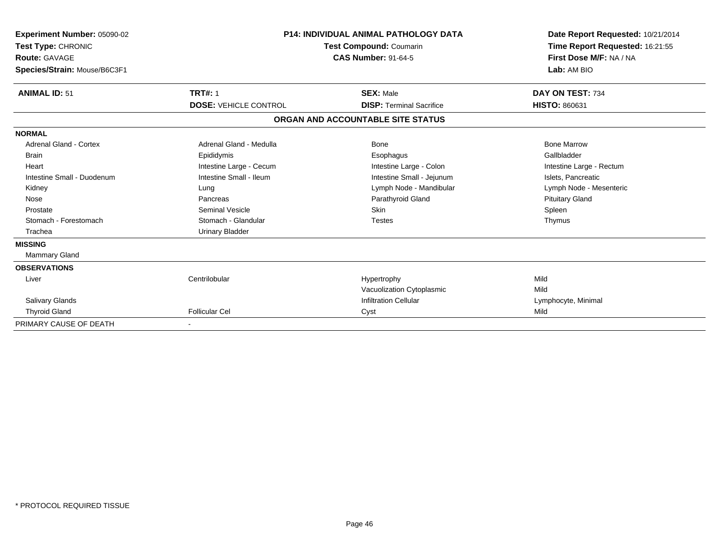| Experiment Number: 05090-02<br>Test Type: CHRONIC<br>Route: GAVAGE<br>Species/Strain: Mouse/B6C3F1 |                              | <b>P14: INDIVIDUAL ANIMAL PATHOLOGY DATA</b><br><b>Test Compound: Coumarin</b><br><b>CAS Number: 91-64-5</b> | Date Report Requested: 10/21/2014<br>Time Report Requested: 16:21:55<br>First Dose M/F: NA / NA<br>Lab: AM BIO |  |
|----------------------------------------------------------------------------------------------------|------------------------------|--------------------------------------------------------------------------------------------------------------|----------------------------------------------------------------------------------------------------------------|--|
| <b>ANIMAL ID: 51</b>                                                                               | <b>TRT#: 1</b>               | <b>SEX: Male</b>                                                                                             | DAY ON TEST: 734                                                                                               |  |
|                                                                                                    | <b>DOSE: VEHICLE CONTROL</b> | <b>DISP: Terminal Sacrifice</b>                                                                              | <b>HISTO: 860631</b>                                                                                           |  |
|                                                                                                    |                              | ORGAN AND ACCOUNTABLE SITE STATUS                                                                            |                                                                                                                |  |
| <b>NORMAL</b>                                                                                      |                              |                                                                                                              |                                                                                                                |  |
| <b>Adrenal Gland - Cortex</b>                                                                      | Adrenal Gland - Medulla      | Bone                                                                                                         | <b>Bone Marrow</b>                                                                                             |  |
| <b>Brain</b>                                                                                       | Epididymis                   | Esophagus                                                                                                    | Gallbladder                                                                                                    |  |
| Heart                                                                                              | Intestine Large - Cecum      | Intestine Large - Colon                                                                                      | Intestine Large - Rectum                                                                                       |  |
| Intestine Small - Duodenum                                                                         | Intestine Small - Ileum      | Intestine Small - Jejunum                                                                                    | Islets, Pancreatic                                                                                             |  |
| Kidney                                                                                             | Lung                         | Lymph Node - Mandibular                                                                                      | Lymph Node - Mesenteric                                                                                        |  |
| Nose                                                                                               | Pancreas                     | Parathyroid Gland                                                                                            | <b>Pituitary Gland</b>                                                                                         |  |
| Prostate                                                                                           | <b>Seminal Vesicle</b>       | <b>Skin</b>                                                                                                  | Spleen                                                                                                         |  |
| Stomach - Forestomach                                                                              | Stomach - Glandular          | <b>Testes</b>                                                                                                | Thymus                                                                                                         |  |
| Trachea                                                                                            | <b>Urinary Bladder</b>       |                                                                                                              |                                                                                                                |  |
| <b>MISSING</b>                                                                                     |                              |                                                                                                              |                                                                                                                |  |
| <b>Mammary Gland</b>                                                                               |                              |                                                                                                              |                                                                                                                |  |
| <b>OBSERVATIONS</b>                                                                                |                              |                                                                                                              |                                                                                                                |  |
| Liver                                                                                              | Centrilobular                | Hypertrophy                                                                                                  | Mild                                                                                                           |  |
|                                                                                                    |                              | Vacuolization Cytoplasmic                                                                                    | Mild                                                                                                           |  |
| <b>Salivary Glands</b>                                                                             |                              | <b>Infiltration Cellular</b>                                                                                 | Lymphocyte, Minimal                                                                                            |  |
| <b>Thyroid Gland</b>                                                                               | <b>Follicular Cel</b>        | Cyst                                                                                                         | Mild                                                                                                           |  |
| PRIMARY CAUSE OF DEATH                                                                             |                              |                                                                                                              |                                                                                                                |  |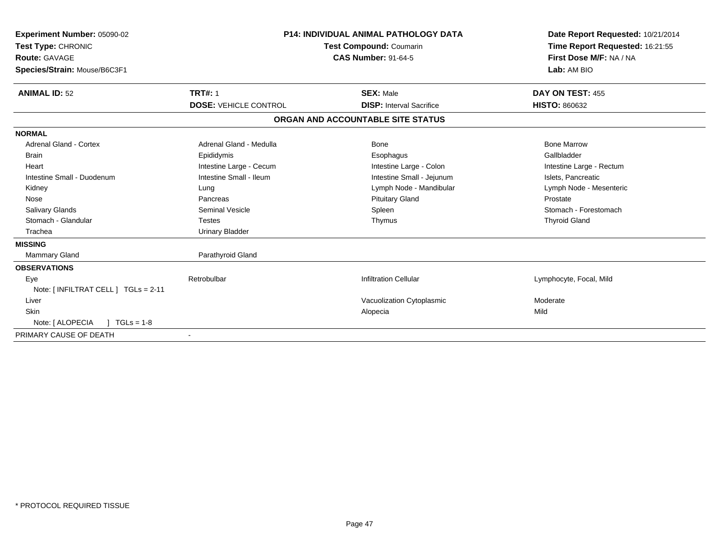| Experiment Number: 05090-02<br>Test Type: CHRONIC<br><b>Route: GAVAGE</b><br>Species/Strain: Mouse/B6C3F1 | <b>P14: INDIVIDUAL ANIMAL PATHOLOGY DATA</b><br>Test Compound: Coumarin<br><b>CAS Number: 91-64-5</b> |                                   | Date Report Requested: 10/21/2014<br>Time Report Requested: 16:21:55<br>First Dose M/F: NA / NA<br>Lab: AM BIO |  |
|-----------------------------------------------------------------------------------------------------------|-------------------------------------------------------------------------------------------------------|-----------------------------------|----------------------------------------------------------------------------------------------------------------|--|
| <b>ANIMAL ID: 52</b>                                                                                      | <b>TRT#: 1</b>                                                                                        | <b>SEX: Male</b>                  | DAY ON TEST: 455                                                                                               |  |
|                                                                                                           | <b>DOSE: VEHICLE CONTROL</b>                                                                          | <b>DISP: Interval Sacrifice</b>   | <b>HISTO: 860632</b>                                                                                           |  |
|                                                                                                           |                                                                                                       | ORGAN AND ACCOUNTABLE SITE STATUS |                                                                                                                |  |
| <b>NORMAL</b>                                                                                             |                                                                                                       |                                   |                                                                                                                |  |
| <b>Adrenal Gland - Cortex</b>                                                                             | Adrenal Gland - Medulla                                                                               | Bone                              | <b>Bone Marrow</b>                                                                                             |  |
| <b>Brain</b>                                                                                              | Epididymis                                                                                            | Esophagus                         | Gallbladder                                                                                                    |  |
| Heart                                                                                                     | Intestine Large - Cecum                                                                               | Intestine Large - Colon           | Intestine Large - Rectum                                                                                       |  |
| Intestine Small - Duodenum                                                                                | Intestine Small - Ileum                                                                               | Intestine Small - Jejunum         | Islets, Pancreatic                                                                                             |  |
| Kidney                                                                                                    | Lung                                                                                                  | Lymph Node - Mandibular           | Lymph Node - Mesenteric                                                                                        |  |
| Nose                                                                                                      | Pancreas                                                                                              | <b>Pituitary Gland</b>            | Prostate                                                                                                       |  |
| <b>Salivary Glands</b>                                                                                    | <b>Seminal Vesicle</b>                                                                                | Spleen                            | Stomach - Forestomach                                                                                          |  |
| Stomach - Glandular                                                                                       | <b>Testes</b>                                                                                         | Thymus                            | <b>Thyroid Gland</b>                                                                                           |  |
| Trachea                                                                                                   | <b>Urinary Bladder</b>                                                                                |                                   |                                                                                                                |  |
| <b>MISSING</b>                                                                                            |                                                                                                       |                                   |                                                                                                                |  |
| Mammary Gland                                                                                             | Parathyroid Gland                                                                                     |                                   |                                                                                                                |  |
| <b>OBSERVATIONS</b>                                                                                       |                                                                                                       |                                   |                                                                                                                |  |
| Eye                                                                                                       | Retrobulbar                                                                                           | <b>Infiltration Cellular</b>      | Lymphocyte, Focal, Mild                                                                                        |  |
| Note: [ INFILTRAT CELL ] TGLs = 2-11                                                                      |                                                                                                       |                                   |                                                                                                                |  |
| Liver                                                                                                     |                                                                                                       | Vacuolization Cytoplasmic         | Moderate                                                                                                       |  |
| <b>Skin</b>                                                                                               |                                                                                                       | Alopecia                          | Mild                                                                                                           |  |
| Note: [ ALOPECIA<br>$1 TGLs = 1-8$                                                                        |                                                                                                       |                                   |                                                                                                                |  |
| PRIMARY CAUSE OF DEATH                                                                                    |                                                                                                       |                                   |                                                                                                                |  |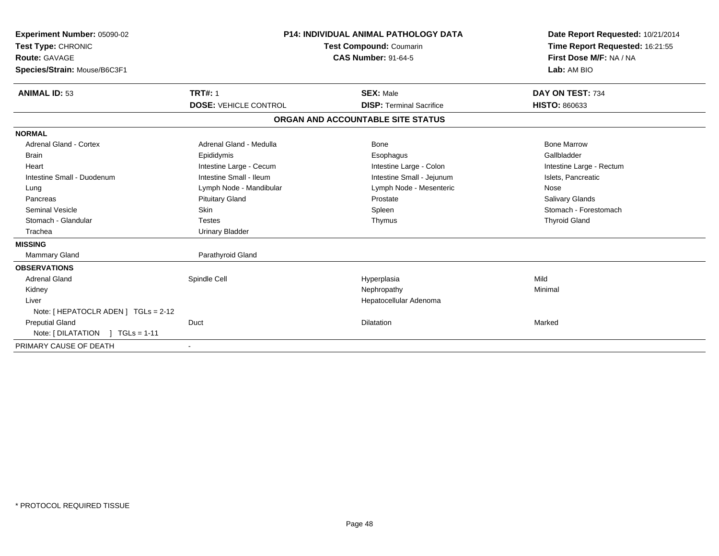| Experiment Number: 05090-02<br>Test Type: CHRONIC<br><b>Route: GAVAGE</b><br>Species/Strain: Mouse/B6C3F1 | <b>P14: INDIVIDUAL ANIMAL PATHOLOGY DATA</b><br><b>Test Compound: Coumarin</b><br><b>CAS Number: 91-64-5</b> |                                                     | Date Report Requested: 10/21/2014<br>Time Report Requested: 16:21:55<br>First Dose M/F: NA / NA<br>Lab: AM BIO |
|-----------------------------------------------------------------------------------------------------------|--------------------------------------------------------------------------------------------------------------|-----------------------------------------------------|----------------------------------------------------------------------------------------------------------------|
| <b>ANIMAL ID: 53</b>                                                                                      | <b>TRT#: 1</b><br><b>DOSE: VEHICLE CONTROL</b>                                                               | <b>SEX: Male</b><br><b>DISP: Terminal Sacrifice</b> | DAY ON TEST: 734<br><b>HISTO: 860633</b>                                                                       |
|                                                                                                           |                                                                                                              |                                                     |                                                                                                                |
|                                                                                                           |                                                                                                              | ORGAN AND ACCOUNTABLE SITE STATUS                   |                                                                                                                |
| <b>NORMAL</b>                                                                                             |                                                                                                              |                                                     |                                                                                                                |
| <b>Adrenal Gland - Cortex</b>                                                                             | Adrenal Gland - Medulla                                                                                      | Bone                                                | <b>Bone Marrow</b>                                                                                             |
| Brain                                                                                                     | Epididymis                                                                                                   | Esophagus                                           | Gallbladder                                                                                                    |
| Heart                                                                                                     | Intestine Large - Cecum                                                                                      | Intestine Large - Colon                             | Intestine Large - Rectum                                                                                       |
| Intestine Small - Duodenum                                                                                | Intestine Small - Ileum                                                                                      | Intestine Small - Jejunum                           | Islets, Pancreatic                                                                                             |
| Lung                                                                                                      | Lymph Node - Mandibular                                                                                      | Lymph Node - Mesenteric                             | Nose                                                                                                           |
| Pancreas                                                                                                  | <b>Pituitary Gland</b>                                                                                       | Prostate                                            | Salivary Glands                                                                                                |
| <b>Seminal Vesicle</b>                                                                                    | <b>Skin</b>                                                                                                  | Spleen                                              | Stomach - Forestomach                                                                                          |
| Stomach - Glandular                                                                                       | <b>Testes</b>                                                                                                | Thymus                                              | <b>Thyroid Gland</b>                                                                                           |
| Trachea                                                                                                   | <b>Urinary Bladder</b>                                                                                       |                                                     |                                                                                                                |
| <b>MISSING</b>                                                                                            |                                                                                                              |                                                     |                                                                                                                |
| Mammary Gland                                                                                             | Parathyroid Gland                                                                                            |                                                     |                                                                                                                |
| <b>OBSERVATIONS</b>                                                                                       |                                                                                                              |                                                     |                                                                                                                |
| <b>Adrenal Gland</b>                                                                                      | Spindle Cell                                                                                                 | Hyperplasia                                         | Mild                                                                                                           |
| Kidney                                                                                                    |                                                                                                              | Nephropathy                                         | Minimal                                                                                                        |
| Liver                                                                                                     |                                                                                                              | Hepatocellular Adenoma                              |                                                                                                                |
| Note: [ HEPATOCLR ADEN ] TGLs = 2-12                                                                      |                                                                                                              |                                                     |                                                                                                                |
| <b>Preputial Gland</b>                                                                                    | Duct                                                                                                         | <b>Dilatation</b>                                   | Marked                                                                                                         |
| Note: $[ DILATATION ] TGLs = 1-11$                                                                        |                                                                                                              |                                                     |                                                                                                                |
| PRIMARY CAUSE OF DEATH                                                                                    |                                                                                                              |                                                     |                                                                                                                |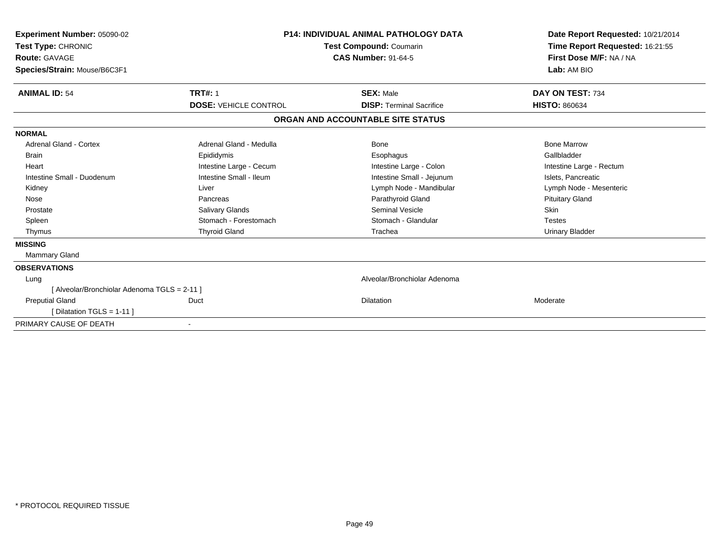| Experiment Number: 05090-02<br>Test Type: CHRONIC<br><b>Route: GAVAGE</b><br>Species/Strain: Mouse/B6C3F1 | <b>P14: INDIVIDUAL ANIMAL PATHOLOGY DATA</b><br><b>Test Compound: Coumarin</b><br><b>CAS Number: 91-64-5</b> |                                   | Date Report Requested: 10/21/2014<br>Time Report Requested: 16:21:55<br>First Dose M/F: NA / NA<br>Lab: AM BIO |  |
|-----------------------------------------------------------------------------------------------------------|--------------------------------------------------------------------------------------------------------------|-----------------------------------|----------------------------------------------------------------------------------------------------------------|--|
| <b>ANIMAL ID: 54</b>                                                                                      | <b>TRT#: 1</b>                                                                                               | <b>SEX: Male</b>                  | DAY ON TEST: 734                                                                                               |  |
|                                                                                                           | <b>DOSE: VEHICLE CONTROL</b>                                                                                 | <b>DISP: Terminal Sacrifice</b>   | <b>HISTO: 860634</b>                                                                                           |  |
|                                                                                                           |                                                                                                              | ORGAN AND ACCOUNTABLE SITE STATUS |                                                                                                                |  |
| <b>NORMAL</b>                                                                                             |                                                                                                              |                                   |                                                                                                                |  |
| Adrenal Gland - Cortex                                                                                    | Adrenal Gland - Medulla                                                                                      | Bone                              | <b>Bone Marrow</b>                                                                                             |  |
| Brain                                                                                                     | Epididymis                                                                                                   | Esophagus                         | Gallbladder                                                                                                    |  |
| Heart                                                                                                     | Intestine Large - Cecum                                                                                      | Intestine Large - Colon           | Intestine Large - Rectum                                                                                       |  |
| Intestine Small - Duodenum                                                                                | Intestine Small - Ileum                                                                                      | Intestine Small - Jejunum         | Islets, Pancreatic                                                                                             |  |
| Kidney                                                                                                    | Liver                                                                                                        | Lymph Node - Mandibular           | Lymph Node - Mesenteric                                                                                        |  |
| Nose                                                                                                      | Pancreas                                                                                                     | Parathyroid Gland                 | <b>Pituitary Gland</b>                                                                                         |  |
| Prostate                                                                                                  | Salivary Glands                                                                                              | <b>Seminal Vesicle</b>            | <b>Skin</b>                                                                                                    |  |
| Spleen                                                                                                    | Stomach - Forestomach                                                                                        | Stomach - Glandular               | <b>Testes</b>                                                                                                  |  |
| Thymus                                                                                                    | <b>Thyroid Gland</b>                                                                                         | Trachea                           | <b>Urinary Bladder</b>                                                                                         |  |
| <b>MISSING</b>                                                                                            |                                                                                                              |                                   |                                                                                                                |  |
| <b>Mammary Gland</b>                                                                                      |                                                                                                              |                                   |                                                                                                                |  |
| <b>OBSERVATIONS</b>                                                                                       |                                                                                                              |                                   |                                                                                                                |  |
| Lung                                                                                                      |                                                                                                              | Alveolar/Bronchiolar Adenoma      |                                                                                                                |  |
| [ Alveolar/Bronchiolar Adenoma TGLS = 2-11 ]                                                              |                                                                                                              |                                   |                                                                                                                |  |
| <b>Preputial Gland</b>                                                                                    | Duct                                                                                                         | <b>Dilatation</b>                 | Moderate                                                                                                       |  |
| [Dilatation TGLS = 1-11]                                                                                  |                                                                                                              |                                   |                                                                                                                |  |
| PRIMARY CAUSE OF DEATH                                                                                    |                                                                                                              |                                   |                                                                                                                |  |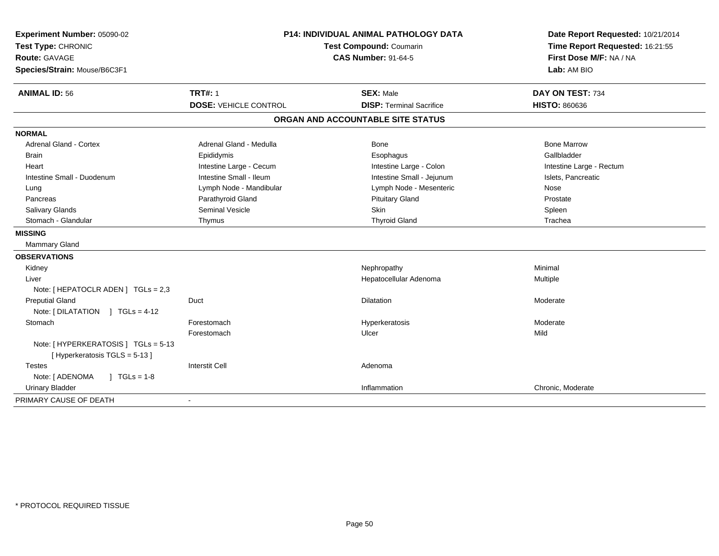| Experiment Number: 05090-02<br>Test Type: CHRONIC<br><b>Route: GAVAGE</b><br>Species/Strain: Mouse/B6C3F1 | <b>P14: INDIVIDUAL ANIMAL PATHOLOGY DATA</b><br>Test Compound: Coumarin<br><b>CAS Number: 91-64-5</b> |                                   | Date Report Requested: 10/21/2014<br>Time Report Requested: 16:21:55<br>First Dose M/F: NA / NA<br>Lab: AM BIO |
|-----------------------------------------------------------------------------------------------------------|-------------------------------------------------------------------------------------------------------|-----------------------------------|----------------------------------------------------------------------------------------------------------------|
| <b>ANIMAL ID: 56</b>                                                                                      | <b>TRT#: 1</b>                                                                                        | <b>SEX: Male</b>                  | DAY ON TEST: 734                                                                                               |
|                                                                                                           | <b>DOSE: VEHICLE CONTROL</b>                                                                          | <b>DISP: Terminal Sacrifice</b>   | <b>HISTO: 860636</b>                                                                                           |
|                                                                                                           |                                                                                                       | ORGAN AND ACCOUNTABLE SITE STATUS |                                                                                                                |
| <b>NORMAL</b>                                                                                             |                                                                                                       |                                   |                                                                                                                |
| Adrenal Gland - Cortex                                                                                    | Adrenal Gland - Medulla                                                                               | Bone                              | <b>Bone Marrow</b>                                                                                             |
| <b>Brain</b>                                                                                              | Epididymis                                                                                            | Esophagus                         | Gallbladder                                                                                                    |
| Heart                                                                                                     | Intestine Large - Cecum                                                                               | Intestine Large - Colon           | Intestine Large - Rectum                                                                                       |
| Intestine Small - Duodenum                                                                                | Intestine Small - Ileum                                                                               | Intestine Small - Jejunum         | Islets, Pancreatic                                                                                             |
| Lung                                                                                                      | Lymph Node - Mandibular                                                                               | Lymph Node - Mesenteric           | Nose                                                                                                           |
| Pancreas                                                                                                  | Parathyroid Gland                                                                                     | <b>Pituitary Gland</b>            | Prostate                                                                                                       |
| <b>Salivary Glands</b>                                                                                    | <b>Seminal Vesicle</b>                                                                                | Skin                              | Spleen                                                                                                         |
| Stomach - Glandular                                                                                       | Thymus                                                                                                | <b>Thyroid Gland</b>              | Trachea                                                                                                        |
| <b>MISSING</b>                                                                                            |                                                                                                       |                                   |                                                                                                                |
| Mammary Gland                                                                                             |                                                                                                       |                                   |                                                                                                                |
| <b>OBSERVATIONS</b>                                                                                       |                                                                                                       |                                   |                                                                                                                |
| Kidney                                                                                                    |                                                                                                       | Nephropathy                       | Minimal                                                                                                        |
| Liver                                                                                                     |                                                                                                       | Hepatocellular Adenoma            | Multiple                                                                                                       |
| Note: [ HEPATOCLR ADEN ] TGLs = 2,3                                                                       |                                                                                                       |                                   |                                                                                                                |
| <b>Preputial Gland</b>                                                                                    | Duct                                                                                                  | <b>Dilatation</b>                 | Moderate                                                                                                       |
| Note: $[DILATATION] TGLs = 4-12$                                                                          |                                                                                                       |                                   |                                                                                                                |
| Stomach                                                                                                   | Forestomach                                                                                           | Hyperkeratosis                    | Moderate                                                                                                       |
|                                                                                                           | Forestomach                                                                                           | Ulcer                             | Mild                                                                                                           |
| Note: [HYPERKERATOSIS] TGLs = 5-13<br>[ Hyperkeratosis TGLS = 5-13 ]                                      |                                                                                                       |                                   |                                                                                                                |
| <b>Testes</b>                                                                                             | <b>Interstit Cell</b>                                                                                 | Adenoma                           |                                                                                                                |
| Note: [ ADENOMA<br>$J \cdot TGLS = 1-8$                                                                   |                                                                                                       |                                   |                                                                                                                |
| <b>Urinary Bladder</b>                                                                                    |                                                                                                       | Inflammation                      | Chronic, Moderate                                                                                              |
| PRIMARY CAUSE OF DEATH                                                                                    | $\blacksquare$                                                                                        |                                   |                                                                                                                |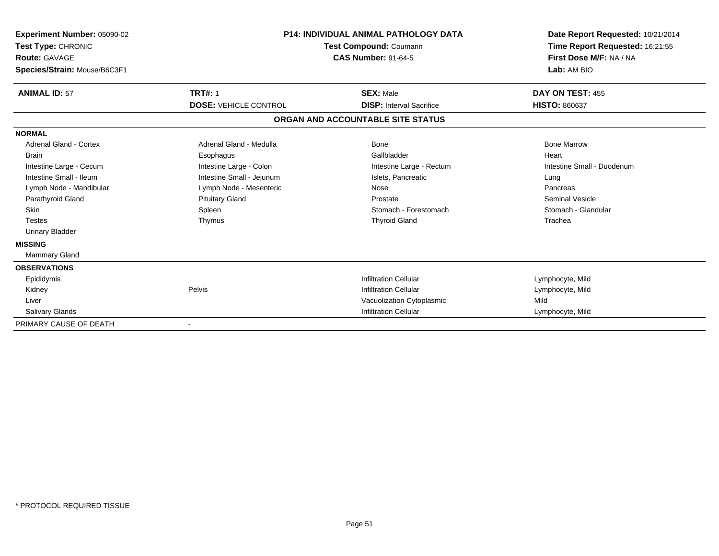| Experiment Number: 05090-02<br>Test Type: CHRONIC<br>Route: GAVAGE<br>Species/Strain: Mouse/B6C3F1 |                              | <b>P14: INDIVIDUAL ANIMAL PATHOLOGY DATA</b><br><b>Test Compound: Coumarin</b><br><b>CAS Number: 91-64-5</b> | Date Report Requested: 10/21/2014<br>Time Report Requested: 16:21:55<br>First Dose M/F: NA / NA<br>Lab: AM BIO |
|----------------------------------------------------------------------------------------------------|------------------------------|--------------------------------------------------------------------------------------------------------------|----------------------------------------------------------------------------------------------------------------|
| <b>ANIMAL ID: 57</b>                                                                               | <b>TRT#: 1</b>               | <b>SEX: Male</b>                                                                                             | DAY ON TEST: 455                                                                                               |
|                                                                                                    | <b>DOSE: VEHICLE CONTROL</b> | <b>DISP:</b> Interval Sacrifice                                                                              | <b>HISTO: 860637</b>                                                                                           |
|                                                                                                    |                              | ORGAN AND ACCOUNTABLE SITE STATUS                                                                            |                                                                                                                |
| <b>NORMAL</b>                                                                                      |                              |                                                                                                              |                                                                                                                |
| <b>Adrenal Gland - Cortex</b>                                                                      | Adrenal Gland - Medulla      | Bone                                                                                                         | <b>Bone Marrow</b>                                                                                             |
| <b>Brain</b>                                                                                       | Esophagus                    | Gallbladder                                                                                                  | Heart                                                                                                          |
| Intestine Large - Cecum                                                                            | Intestine Large - Colon      | Intestine Large - Rectum                                                                                     | Intestine Small - Duodenum                                                                                     |
| Intestine Small - Ileum                                                                            | Intestine Small - Jejunum    | Islets, Pancreatic                                                                                           | Lung                                                                                                           |
| Lymph Node - Mandibular                                                                            | Lymph Node - Mesenteric      | Nose                                                                                                         | Pancreas                                                                                                       |
| Parathyroid Gland                                                                                  | <b>Pituitary Gland</b>       | Prostate                                                                                                     | <b>Seminal Vesicle</b>                                                                                         |
| <b>Skin</b>                                                                                        | Spleen                       | Stomach - Forestomach                                                                                        | Stomach - Glandular                                                                                            |
| <b>Testes</b>                                                                                      | Thymus                       | <b>Thyroid Gland</b>                                                                                         | Trachea                                                                                                        |
| <b>Urinary Bladder</b>                                                                             |                              |                                                                                                              |                                                                                                                |
| <b>MISSING</b>                                                                                     |                              |                                                                                                              |                                                                                                                |
| Mammary Gland                                                                                      |                              |                                                                                                              |                                                                                                                |
| <b>OBSERVATIONS</b>                                                                                |                              |                                                                                                              |                                                                                                                |
| Epididymis                                                                                         |                              | <b>Infiltration Cellular</b>                                                                                 | Lymphocyte, Mild                                                                                               |
| Kidney                                                                                             | Pelvis                       | <b>Infiltration Cellular</b>                                                                                 | Lymphocyte, Mild                                                                                               |
| Liver                                                                                              |                              | Vacuolization Cytoplasmic                                                                                    | Mild                                                                                                           |
| Salivary Glands                                                                                    |                              | <b>Infiltration Cellular</b>                                                                                 | Lymphocyte, Mild                                                                                               |
| PRIMARY CAUSE OF DEATH                                                                             |                              |                                                                                                              |                                                                                                                |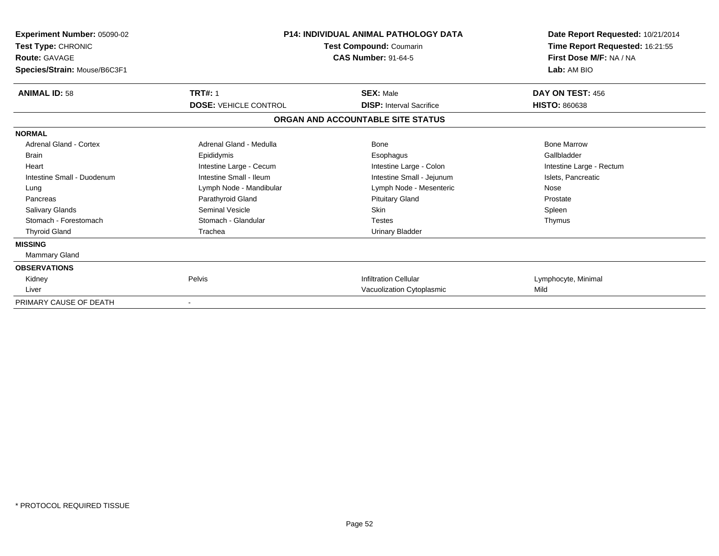| Experiment Number: 05090-02<br>Test Type: CHRONIC<br><b>Route: GAVAGE</b><br>Species/Strain: Mouse/B6C3F1 | <b>P14: INDIVIDUAL ANIMAL PATHOLOGY DATA</b><br>Test Compound: Coumarin<br><b>CAS Number: 91-64-5</b> |                                   | Date Report Requested: 10/21/2014<br>Time Report Requested: 16:21:55<br>First Dose M/F: NA / NA<br>Lab: AM BIO |
|-----------------------------------------------------------------------------------------------------------|-------------------------------------------------------------------------------------------------------|-----------------------------------|----------------------------------------------------------------------------------------------------------------|
| <b>ANIMAL ID: 58</b>                                                                                      | <b>TRT#: 1</b>                                                                                        | <b>SEX: Male</b>                  | DAY ON TEST: 456                                                                                               |
|                                                                                                           | <b>DOSE: VEHICLE CONTROL</b>                                                                          | <b>DISP:</b> Interval Sacrifice   | <b>HISTO: 860638</b>                                                                                           |
|                                                                                                           |                                                                                                       | ORGAN AND ACCOUNTABLE SITE STATUS |                                                                                                                |
| <b>NORMAL</b>                                                                                             |                                                                                                       |                                   |                                                                                                                |
| Adrenal Gland - Cortex                                                                                    | Adrenal Gland - Medulla                                                                               | Bone                              | <b>Bone Marrow</b>                                                                                             |
| <b>Brain</b>                                                                                              | Epididymis                                                                                            | Esophagus                         | Gallbladder                                                                                                    |
| Heart                                                                                                     | Intestine Large - Cecum                                                                               | Intestine Large - Colon           | Intestine Large - Rectum                                                                                       |
| Intestine Small - Duodenum                                                                                | Intestine Small - Ileum                                                                               | Intestine Small - Jejunum         | Islets, Pancreatic                                                                                             |
| Lung                                                                                                      | Lymph Node - Mandibular                                                                               | Lymph Node - Mesenteric           | Nose                                                                                                           |
| Pancreas                                                                                                  | Parathyroid Gland                                                                                     | <b>Pituitary Gland</b>            | Prostate                                                                                                       |
| <b>Salivary Glands</b>                                                                                    | Seminal Vesicle                                                                                       | <b>Skin</b>                       | Spleen                                                                                                         |
| Stomach - Forestomach                                                                                     | Stomach - Glandular                                                                                   | Testes                            | Thymus                                                                                                         |
| <b>Thyroid Gland</b>                                                                                      | Trachea                                                                                               | <b>Urinary Bladder</b>            |                                                                                                                |
| <b>MISSING</b>                                                                                            |                                                                                                       |                                   |                                                                                                                |
| Mammary Gland                                                                                             |                                                                                                       |                                   |                                                                                                                |
| <b>OBSERVATIONS</b>                                                                                       |                                                                                                       |                                   |                                                                                                                |
| Kidney                                                                                                    | Pelvis                                                                                                | <b>Infiltration Cellular</b>      | Lymphocyte, Minimal                                                                                            |
| Liver                                                                                                     |                                                                                                       | Vacuolization Cytoplasmic         | Mild                                                                                                           |
| PRIMARY CAUSE OF DEATH                                                                                    |                                                                                                       |                                   |                                                                                                                |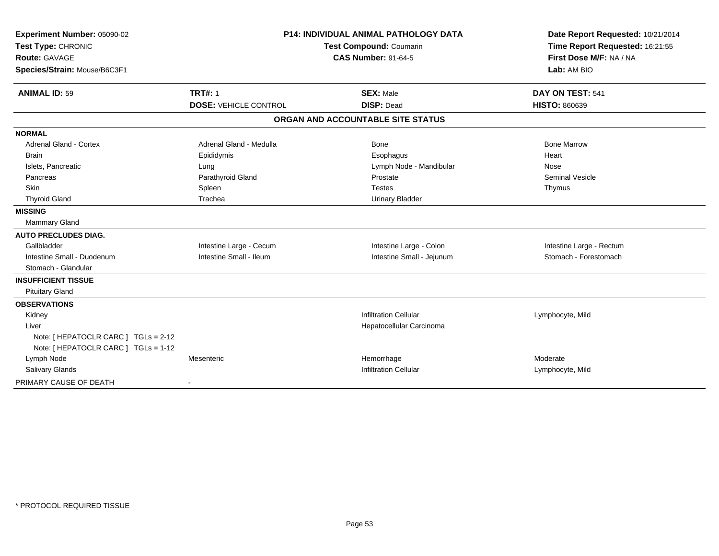| Experiment Number: 05090-02          |                                                       | <b>P14: INDIVIDUAL ANIMAL PATHOLOGY DATA</b> | Date Report Requested: 10/21/2014                          |
|--------------------------------------|-------------------------------------------------------|----------------------------------------------|------------------------------------------------------------|
| Test Type: CHRONIC                   | Test Compound: Coumarin<br><b>CAS Number: 91-64-5</b> |                                              | Time Report Requested: 16:21:55<br>First Dose M/F: NA / NA |
| <b>Route: GAVAGE</b>                 |                                                       |                                              |                                                            |
| Species/Strain: Mouse/B6C3F1         |                                                       |                                              | Lab: AM BIO                                                |
| <b>ANIMAL ID: 59</b>                 | <b>TRT#: 1</b>                                        | <b>SEX: Male</b>                             | DAY ON TEST: 541                                           |
|                                      | <b>DOSE: VEHICLE CONTROL</b>                          | <b>DISP: Dead</b>                            | <b>HISTO: 860639</b>                                       |
|                                      |                                                       | ORGAN AND ACCOUNTABLE SITE STATUS            |                                                            |
| <b>NORMAL</b>                        |                                                       |                                              |                                                            |
| <b>Adrenal Gland - Cortex</b>        | Adrenal Gland - Medulla                               | <b>Bone</b>                                  | <b>Bone Marrow</b>                                         |
| <b>Brain</b>                         | Epididymis                                            | Esophagus                                    | Heart                                                      |
| Islets, Pancreatic                   | Lung                                                  | Lymph Node - Mandibular                      | Nose                                                       |
| Pancreas                             | Parathyroid Gland                                     | Prostate                                     | <b>Seminal Vesicle</b>                                     |
| Skin                                 | Spleen                                                | <b>Testes</b>                                | Thymus                                                     |
| <b>Thyroid Gland</b>                 | Trachea                                               | <b>Urinary Bladder</b>                       |                                                            |
| <b>MISSING</b>                       |                                                       |                                              |                                                            |
| Mammary Gland                        |                                                       |                                              |                                                            |
| <b>AUTO PRECLUDES DIAG.</b>          |                                                       |                                              |                                                            |
| Gallbladder                          | Intestine Large - Cecum                               | Intestine Large - Colon                      | Intestine Large - Rectum                                   |
| Intestine Small - Duodenum           | Intestine Small - Ileum                               | Intestine Small - Jejunum                    | Stomach - Forestomach                                      |
| Stomach - Glandular                  |                                                       |                                              |                                                            |
| <b>INSUFFICIENT TISSUE</b>           |                                                       |                                              |                                                            |
| <b>Pituitary Gland</b>               |                                                       |                                              |                                                            |
| <b>OBSERVATIONS</b>                  |                                                       |                                              |                                                            |
| Kidney                               |                                                       | <b>Infiltration Cellular</b>                 | Lymphocyte, Mild                                           |
| Liver                                |                                                       | Hepatocellular Carcinoma                     |                                                            |
| Note: [ HEPATOCLR CARC ] TGLs = 2-12 |                                                       |                                              |                                                            |
| Note: [ HEPATOCLR CARC ] TGLs = 1-12 |                                                       |                                              |                                                            |
| Lymph Node                           | Mesenteric                                            | Hemorrhage                                   | Moderate                                                   |
| Salivary Glands                      |                                                       | <b>Infiltration Cellular</b>                 | Lymphocyte, Mild                                           |
| PRIMARY CAUSE OF DEATH               |                                                       |                                              |                                                            |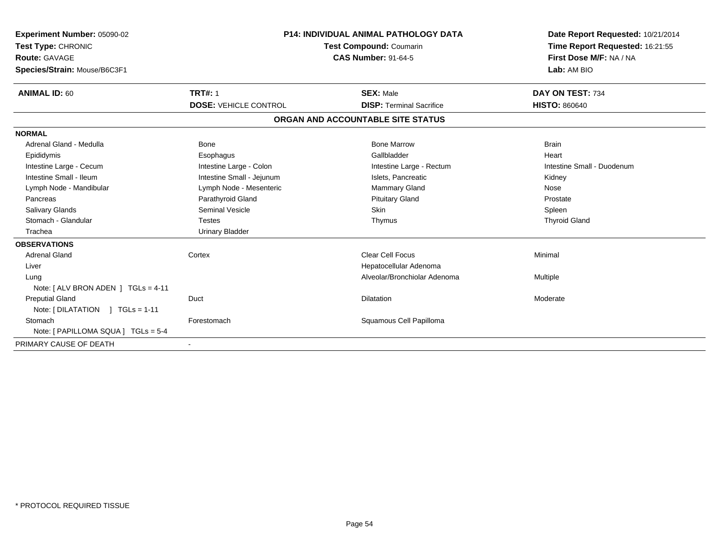| <b>Experiment Number: 05090-02</b><br>Test Type: CHRONIC<br><b>Route: GAVAGE</b><br>Species/Strain: Mouse/B6C3F1 |                              | <b>P14: INDIVIDUAL ANIMAL PATHOLOGY DATA</b><br><b>Test Compound: Coumarin</b><br><b>CAS Number: 91-64-5</b> | Date Report Requested: 10/21/2014<br>Time Report Requested: 16:21:55<br>First Dose M/F: NA / NA<br>Lab: AM BIO |
|------------------------------------------------------------------------------------------------------------------|------------------------------|--------------------------------------------------------------------------------------------------------------|----------------------------------------------------------------------------------------------------------------|
| <b>ANIMAL ID: 60</b>                                                                                             | <b>TRT#: 1</b>               | <b>SEX: Male</b>                                                                                             | DAY ON TEST: 734                                                                                               |
|                                                                                                                  | <b>DOSE: VEHICLE CONTROL</b> | <b>DISP: Terminal Sacrifice</b>                                                                              | <b>HISTO: 860640</b>                                                                                           |
|                                                                                                                  |                              | ORGAN AND ACCOUNTABLE SITE STATUS                                                                            |                                                                                                                |
| <b>NORMAL</b>                                                                                                    |                              |                                                                                                              |                                                                                                                |
| Adrenal Gland - Medulla                                                                                          | Bone                         | <b>Bone Marrow</b>                                                                                           | <b>Brain</b>                                                                                                   |
| Epididymis                                                                                                       | Esophagus                    | Gallbladder                                                                                                  | Heart                                                                                                          |
| Intestine Large - Cecum                                                                                          | Intestine Large - Colon      | Intestine Large - Rectum                                                                                     | Intestine Small - Duodenum                                                                                     |
| Intestine Small - Ileum                                                                                          | Intestine Small - Jejunum    | Islets, Pancreatic                                                                                           | Kidney                                                                                                         |
| Lymph Node - Mandibular                                                                                          | Lymph Node - Mesenteric      | <b>Mammary Gland</b>                                                                                         | Nose                                                                                                           |
| Pancreas                                                                                                         | Parathyroid Gland            | <b>Pituitary Gland</b>                                                                                       | Prostate                                                                                                       |
| Salivary Glands                                                                                                  | Seminal Vesicle              | <b>Skin</b>                                                                                                  | Spleen                                                                                                         |
| Stomach - Glandular                                                                                              | <b>Testes</b>                | Thymus                                                                                                       | <b>Thyroid Gland</b>                                                                                           |
| Trachea                                                                                                          | <b>Urinary Bladder</b>       |                                                                                                              |                                                                                                                |
| <b>OBSERVATIONS</b>                                                                                              |                              |                                                                                                              |                                                                                                                |
| Adrenal Gland                                                                                                    | Cortex                       | Clear Cell Focus                                                                                             | Minimal                                                                                                        |
| Liver                                                                                                            |                              | Hepatocellular Adenoma                                                                                       |                                                                                                                |
| Lung                                                                                                             |                              | Alveolar/Bronchiolar Adenoma                                                                                 | Multiple                                                                                                       |
| Note: $[ALV$ BRON ADEN $]$ TGLs = 4-11                                                                           |                              |                                                                                                              |                                                                                                                |
| <b>Preputial Gland</b>                                                                                           | Duct                         | Dilatation                                                                                                   | Moderate                                                                                                       |
| Note: $[ DILATATION ] TGLs = 1-11$                                                                               |                              |                                                                                                              |                                                                                                                |
| Stomach                                                                                                          | Forestomach                  | Squamous Cell Papilloma                                                                                      |                                                                                                                |
| Note: [ PAPILLOMA SQUA ] TGLs = 5-4                                                                              |                              |                                                                                                              |                                                                                                                |
| PRIMARY CAUSE OF DEATH                                                                                           |                              |                                                                                                              |                                                                                                                |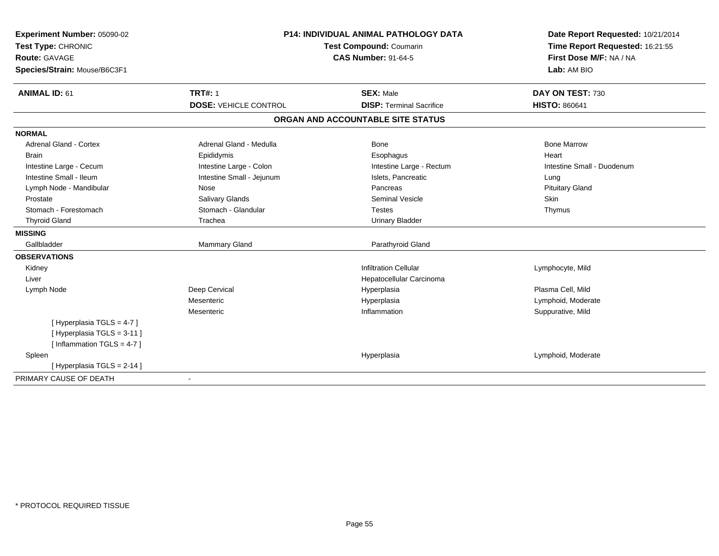| Experiment Number: 05090-02   | <b>P14: INDIVIDUAL ANIMAL PATHOLOGY DATA</b><br>Test Compound: Coumarin |                                   | Date Report Requested: 10/21/2014 |
|-------------------------------|-------------------------------------------------------------------------|-----------------------------------|-----------------------------------|
| Test Type: CHRONIC            |                                                                         |                                   | Time Report Requested: 16:21:55   |
| <b>Route: GAVAGE</b>          |                                                                         | <b>CAS Number: 91-64-5</b>        | First Dose M/F: NA / NA           |
| Species/Strain: Mouse/B6C3F1  |                                                                         |                                   | Lab: AM BIO                       |
| <b>ANIMAL ID: 61</b>          | <b>TRT#: 1</b>                                                          | <b>SEX: Male</b>                  | DAY ON TEST: 730                  |
|                               | <b>DOSE: VEHICLE CONTROL</b>                                            | <b>DISP: Terminal Sacrifice</b>   | <b>HISTO: 860641</b>              |
|                               |                                                                         | ORGAN AND ACCOUNTABLE SITE STATUS |                                   |
| <b>NORMAL</b>                 |                                                                         |                                   |                                   |
| <b>Adrenal Gland - Cortex</b> | Adrenal Gland - Medulla                                                 | <b>Bone</b>                       | <b>Bone Marrow</b>                |
| <b>Brain</b>                  | Epididymis                                                              | Esophagus                         | Heart                             |
| Intestine Large - Cecum       | Intestine Large - Colon                                                 | Intestine Large - Rectum          | Intestine Small - Duodenum        |
| Intestine Small - Ileum       | Intestine Small - Jejunum                                               | Islets, Pancreatic                | Lung                              |
| Lymph Node - Mandibular       | Nose                                                                    | Pancreas                          | <b>Pituitary Gland</b>            |
| Prostate                      | Salivary Glands                                                         | <b>Seminal Vesicle</b>            | Skin                              |
| Stomach - Forestomach         | Stomach - Glandular                                                     | <b>Testes</b>                     | Thymus                            |
| <b>Thyroid Gland</b>          | Trachea                                                                 | <b>Urinary Bladder</b>            |                                   |
| <b>MISSING</b>                |                                                                         |                                   |                                   |
| Gallbladder                   | Mammary Gland                                                           | Parathyroid Gland                 |                                   |
| <b>OBSERVATIONS</b>           |                                                                         |                                   |                                   |
| Kidney                        |                                                                         | <b>Infiltration Cellular</b>      | Lymphocyte, Mild                  |
| Liver                         |                                                                         | Hepatocellular Carcinoma          |                                   |
| Lymph Node                    | Deep Cervical                                                           | Hyperplasia                       | Plasma Cell, Mild                 |
|                               | Mesenteric                                                              | Hyperplasia                       | Lymphoid, Moderate                |
|                               | Mesenteric                                                              | Inflammation                      | Suppurative, Mild                 |
| [Hyperplasia TGLS = 4-7]      |                                                                         |                                   |                                   |
| [Hyperplasia TGLS = 3-11]     |                                                                         |                                   |                                   |
| [Inflammation TGLS = $4-7$ ]  |                                                                         |                                   |                                   |
| Spleen                        |                                                                         | Hyperplasia                       | Lymphoid, Moderate                |
| [Hyperplasia TGLS = 2-14]     |                                                                         |                                   |                                   |
| PRIMARY CAUSE OF DEATH        |                                                                         |                                   |                                   |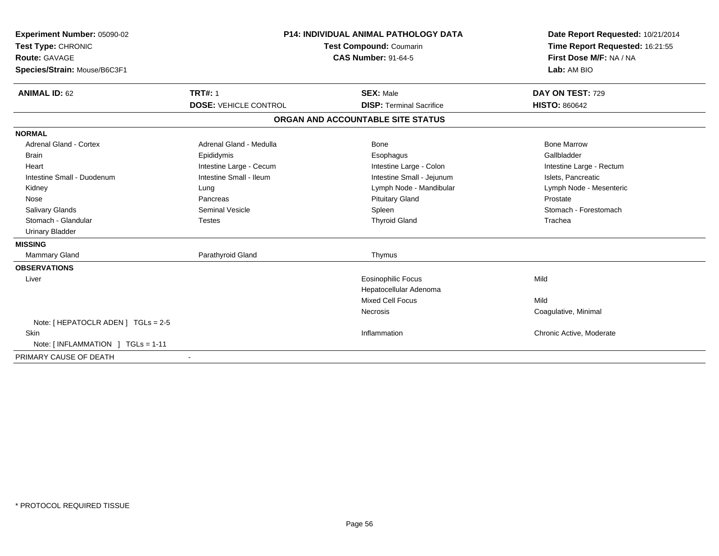| Experiment Number: 05090-02<br>Test Type: CHRONIC<br><b>Route: GAVAGE</b><br>Species/Strain: Mouse/B6C3F1<br><b>ANIMAL ID: 62</b> | <b>TRT#: 1</b>               | <b>P14: INDIVIDUAL ANIMAL PATHOLOGY DATA</b><br>Test Compound: Coumarin<br><b>CAS Number: 91-64-5</b><br><b>SEX: Male</b> | Date Report Requested: 10/21/2014<br>Time Report Requested: 16:21:55<br>First Dose M/F: NA / NA<br>Lab: AM BIO<br>DAY ON TEST: 729 |
|-----------------------------------------------------------------------------------------------------------------------------------|------------------------------|---------------------------------------------------------------------------------------------------------------------------|------------------------------------------------------------------------------------------------------------------------------------|
|                                                                                                                                   | <b>DOSE: VEHICLE CONTROL</b> | <b>DISP: Terminal Sacrifice</b>                                                                                           | <b>HISTO: 860642</b>                                                                                                               |
|                                                                                                                                   |                              | ORGAN AND ACCOUNTABLE SITE STATUS                                                                                         |                                                                                                                                    |
| <b>NORMAL</b>                                                                                                                     |                              |                                                                                                                           |                                                                                                                                    |
| <b>Adrenal Gland - Cortex</b>                                                                                                     | Adrenal Gland - Medulla      | Bone                                                                                                                      | <b>Bone Marrow</b>                                                                                                                 |
| <b>Brain</b>                                                                                                                      | Epididymis                   | Esophagus                                                                                                                 | Gallbladder                                                                                                                        |
| Heart                                                                                                                             | Intestine Large - Cecum      | Intestine Large - Colon                                                                                                   | Intestine Large - Rectum                                                                                                           |
| Intestine Small - Duodenum                                                                                                        | Intestine Small - Ileum      | Intestine Small - Jejunum                                                                                                 | Islets, Pancreatic                                                                                                                 |
| Kidney                                                                                                                            | Lung                         | Lymph Node - Mandibular                                                                                                   | Lymph Node - Mesenteric                                                                                                            |
| Nose                                                                                                                              | Pancreas                     | <b>Pituitary Gland</b>                                                                                                    | Prostate                                                                                                                           |
| <b>Salivary Glands</b>                                                                                                            | Seminal Vesicle              | Spleen                                                                                                                    | Stomach - Forestomach                                                                                                              |
| Stomach - Glandular                                                                                                               | <b>Testes</b>                | <b>Thyroid Gland</b>                                                                                                      | Trachea                                                                                                                            |
| <b>Urinary Bladder</b>                                                                                                            |                              |                                                                                                                           |                                                                                                                                    |
| <b>MISSING</b>                                                                                                                    |                              |                                                                                                                           |                                                                                                                                    |
| Mammary Gland                                                                                                                     | Parathyroid Gland            | Thymus                                                                                                                    |                                                                                                                                    |
| <b>OBSERVATIONS</b>                                                                                                               |                              |                                                                                                                           |                                                                                                                                    |
| Liver                                                                                                                             |                              | Eosinophilic Focus                                                                                                        | Mild                                                                                                                               |
|                                                                                                                                   |                              | Hepatocellular Adenoma                                                                                                    |                                                                                                                                    |
|                                                                                                                                   |                              | Mixed Cell Focus                                                                                                          | Mild                                                                                                                               |
|                                                                                                                                   |                              | Necrosis                                                                                                                  | Coagulative, Minimal                                                                                                               |
| Note: [ HEPATOCLR ADEN ] TGLs = 2-5                                                                                               |                              |                                                                                                                           |                                                                                                                                    |
| <b>Skin</b>                                                                                                                       |                              | Inflammation                                                                                                              | Chronic Active, Moderate                                                                                                           |
| Note: [ INFLAMMATION ] TGLs = 1-11                                                                                                |                              |                                                                                                                           |                                                                                                                                    |
| PRIMARY CAUSE OF DEATH                                                                                                            |                              |                                                                                                                           |                                                                                                                                    |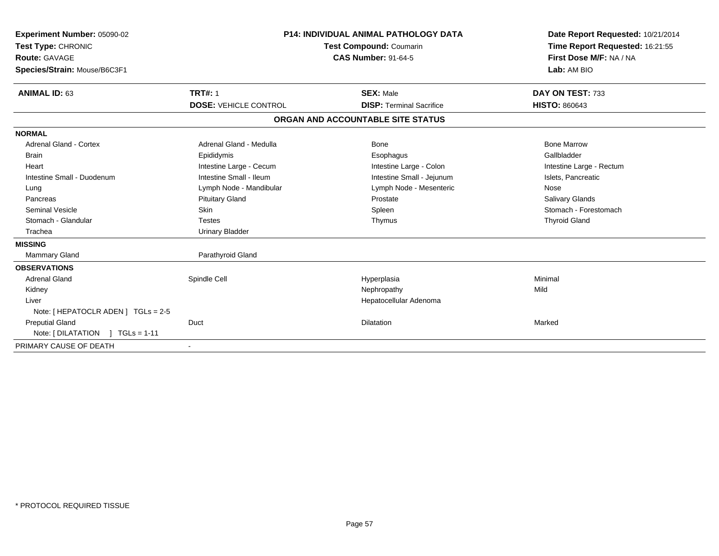| Experiment Number: 05090-02<br>Test Type: CHRONIC<br><b>Route: GAVAGE</b><br>Species/Strain: Mouse/B6C3F1<br><b>ANIMAL ID: 63</b> | <b>TRT#: 1</b>               | <b>P14: INDIVIDUAL ANIMAL PATHOLOGY DATA</b><br><b>Test Compound: Coumarin</b><br><b>CAS Number: 91-64-5</b><br><b>SEX: Male</b> | Date Report Requested: 10/21/2014<br>Time Report Requested: 16:21:55<br>First Dose M/F: NA / NA<br>Lab: AM BIO<br>DAY ON TEST: 733 |
|-----------------------------------------------------------------------------------------------------------------------------------|------------------------------|----------------------------------------------------------------------------------------------------------------------------------|------------------------------------------------------------------------------------------------------------------------------------|
|                                                                                                                                   | <b>DOSE: VEHICLE CONTROL</b> | <b>DISP:</b> Terminal Sacrifice                                                                                                  | <b>HISTO: 860643</b>                                                                                                               |
|                                                                                                                                   |                              | ORGAN AND ACCOUNTABLE SITE STATUS                                                                                                |                                                                                                                                    |
| <b>NORMAL</b>                                                                                                                     |                              |                                                                                                                                  |                                                                                                                                    |
| <b>Adrenal Gland - Cortex</b>                                                                                                     | Adrenal Gland - Medulla      | Bone                                                                                                                             | <b>Bone Marrow</b>                                                                                                                 |
| <b>Brain</b>                                                                                                                      | Epididymis                   | Esophagus                                                                                                                        | Gallbladder                                                                                                                        |
| Heart                                                                                                                             | Intestine Large - Cecum      | Intestine Large - Colon                                                                                                          | Intestine Large - Rectum                                                                                                           |
| Intestine Small - Duodenum                                                                                                        | Intestine Small - Ileum      | Intestine Small - Jejunum                                                                                                        | Islets, Pancreatic                                                                                                                 |
| Lung                                                                                                                              | Lymph Node - Mandibular      | Lymph Node - Mesenteric                                                                                                          | Nose                                                                                                                               |
| Pancreas                                                                                                                          | <b>Pituitary Gland</b>       | Prostate                                                                                                                         | Salivary Glands                                                                                                                    |
| <b>Seminal Vesicle</b>                                                                                                            | Skin                         | Spleen                                                                                                                           | Stomach - Forestomach                                                                                                              |
| Stomach - Glandular                                                                                                               | <b>Testes</b>                | Thymus                                                                                                                           | <b>Thyroid Gland</b>                                                                                                               |
| Trachea                                                                                                                           | <b>Urinary Bladder</b>       |                                                                                                                                  |                                                                                                                                    |
| <b>MISSING</b>                                                                                                                    |                              |                                                                                                                                  |                                                                                                                                    |
| <b>Mammary Gland</b>                                                                                                              | Parathyroid Gland            |                                                                                                                                  |                                                                                                                                    |
| <b>OBSERVATIONS</b>                                                                                                               |                              |                                                                                                                                  |                                                                                                                                    |
| <b>Adrenal Gland</b>                                                                                                              | Spindle Cell                 | Hyperplasia                                                                                                                      | Minimal                                                                                                                            |
| Kidney                                                                                                                            |                              | Nephropathy                                                                                                                      | Mild                                                                                                                               |
| Liver                                                                                                                             |                              | Hepatocellular Adenoma                                                                                                           |                                                                                                                                    |
| Note: [ HEPATOCLR ADEN ] TGLs = 2-5                                                                                               |                              |                                                                                                                                  |                                                                                                                                    |
| <b>Preputial Gland</b>                                                                                                            | Duct                         | <b>Dilatation</b>                                                                                                                | Marked                                                                                                                             |
| Note: [DILATATION ] TGLs = 1-11                                                                                                   |                              |                                                                                                                                  |                                                                                                                                    |
| PRIMARY CAUSE OF DEATH                                                                                                            | $\overline{\phantom{a}}$     |                                                                                                                                  |                                                                                                                                    |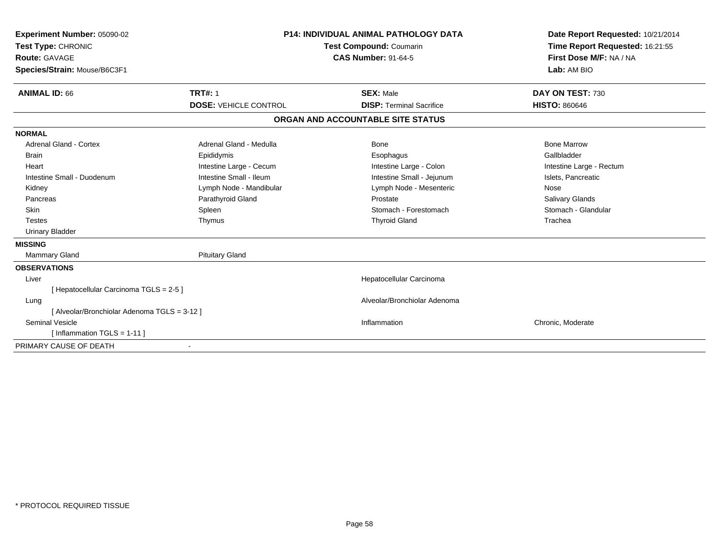| Experiment Number: 05090-02<br>Test Type: CHRONIC<br>Route: GAVAGE |                              | <b>P14: INDIVIDUAL ANIMAL PATHOLOGY DATA</b><br>Test Compound: Coumarin<br><b>CAS Number: 91-64-5</b> | Date Report Requested: 10/21/2014<br>Time Report Requested: 16:21:55<br>First Dose M/F: NA / NA |
|--------------------------------------------------------------------|------------------------------|-------------------------------------------------------------------------------------------------------|-------------------------------------------------------------------------------------------------|
| Species/Strain: Mouse/B6C3F1                                       |                              |                                                                                                       | Lab: AM BIO                                                                                     |
| <b>ANIMAL ID: 66</b>                                               | <b>TRT#: 1</b>               | <b>SEX: Male</b>                                                                                      | DAY ON TEST: 730                                                                                |
|                                                                    | <b>DOSE: VEHICLE CONTROL</b> | <b>DISP: Terminal Sacrifice</b>                                                                       | <b>HISTO: 860646</b>                                                                            |
|                                                                    |                              | ORGAN AND ACCOUNTABLE SITE STATUS                                                                     |                                                                                                 |
| <b>NORMAL</b>                                                      |                              |                                                                                                       |                                                                                                 |
| <b>Adrenal Gland - Cortex</b>                                      | Adrenal Gland - Medulla      | <b>Bone</b>                                                                                           | <b>Bone Marrow</b>                                                                              |
| Brain                                                              | Epididymis                   | Esophagus                                                                                             | Gallbladder                                                                                     |
| Heart                                                              | Intestine Large - Cecum      | Intestine Large - Colon                                                                               | Intestine Large - Rectum                                                                        |
| Intestine Small - Duodenum                                         | Intestine Small - Ileum      | Intestine Small - Jejunum                                                                             | Islets, Pancreatic                                                                              |
| Kidney                                                             | Lymph Node - Mandibular      | Lymph Node - Mesenteric                                                                               | Nose                                                                                            |
| Pancreas                                                           | Parathyroid Gland            | Prostate                                                                                              | Salivary Glands                                                                                 |
| <b>Skin</b>                                                        | Spleen                       | Stomach - Forestomach                                                                                 | Stomach - Glandular                                                                             |
| <b>Testes</b>                                                      | Thymus                       | <b>Thyroid Gland</b>                                                                                  | Trachea                                                                                         |
| <b>Urinary Bladder</b>                                             |                              |                                                                                                       |                                                                                                 |
| <b>MISSING</b>                                                     |                              |                                                                                                       |                                                                                                 |
| <b>Mammary Gland</b>                                               | <b>Pituitary Gland</b>       |                                                                                                       |                                                                                                 |
| <b>OBSERVATIONS</b>                                                |                              |                                                                                                       |                                                                                                 |
| Liver                                                              |                              | Hepatocellular Carcinoma                                                                              |                                                                                                 |
| [Hepatocellular Carcinoma TGLS = 2-5]                              |                              |                                                                                                       |                                                                                                 |
| Lung                                                               |                              | Alveolar/Bronchiolar Adenoma                                                                          |                                                                                                 |
| [Alveolar/Bronchiolar Adenoma TGLS = 3-12]                         |                              |                                                                                                       |                                                                                                 |
| <b>Seminal Vesicle</b>                                             |                              | Inflammation                                                                                          | Chronic, Moderate                                                                               |
| [Inflammation TGLS = $1-11$ ]                                      |                              |                                                                                                       |                                                                                                 |
| PRIMARY CAUSE OF DEATH                                             | $\blacksquare$               |                                                                                                       |                                                                                                 |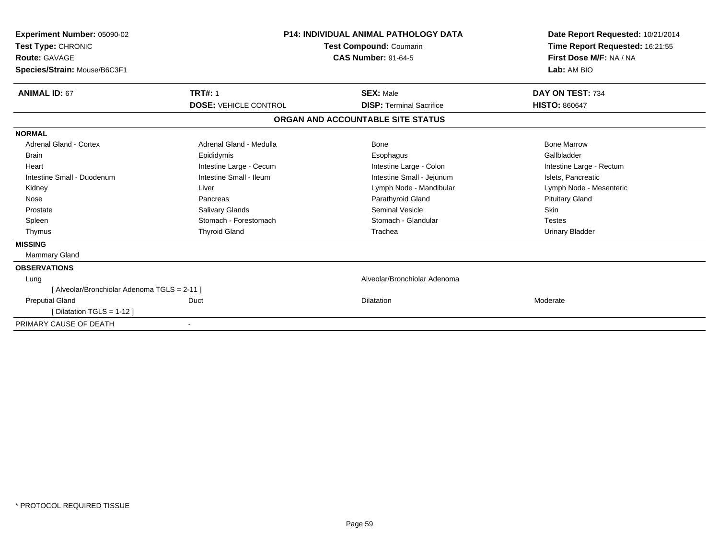| Experiment Number: 05090-02<br>Test Type: CHRONIC<br><b>Route: GAVAGE</b><br>Species/Strain: Mouse/B6C3F1 |                              | <b>P14: INDIVIDUAL ANIMAL PATHOLOGY DATA</b><br><b>Test Compound: Coumarin</b><br><b>CAS Number: 91-64-5</b> | Date Report Requested: 10/21/2014<br>Time Report Requested: 16:21:55<br>First Dose M/F: NA / NA<br>Lab: AM BIO |  |
|-----------------------------------------------------------------------------------------------------------|------------------------------|--------------------------------------------------------------------------------------------------------------|----------------------------------------------------------------------------------------------------------------|--|
| <b>ANIMAL ID: 67</b>                                                                                      | <b>TRT#: 1</b>               | <b>SEX: Male</b>                                                                                             | DAY ON TEST: 734                                                                                               |  |
|                                                                                                           | <b>DOSE: VEHICLE CONTROL</b> | <b>DISP: Terminal Sacrifice</b>                                                                              | <b>HISTO: 860647</b>                                                                                           |  |
|                                                                                                           |                              | ORGAN AND ACCOUNTABLE SITE STATUS                                                                            |                                                                                                                |  |
| <b>NORMAL</b>                                                                                             |                              |                                                                                                              |                                                                                                                |  |
| Adrenal Gland - Cortex                                                                                    | Adrenal Gland - Medulla      | Bone                                                                                                         | <b>Bone Marrow</b>                                                                                             |  |
| Brain                                                                                                     | Epididymis                   | Esophagus                                                                                                    | Gallbladder                                                                                                    |  |
| Heart                                                                                                     | Intestine Large - Cecum      | Intestine Large - Colon                                                                                      | Intestine Large - Rectum                                                                                       |  |
| Intestine Small - Duodenum                                                                                | Intestine Small - Ileum      | Intestine Small - Jejunum                                                                                    | Islets, Pancreatic                                                                                             |  |
| Kidney                                                                                                    | Liver                        | Lymph Node - Mandibular                                                                                      | Lymph Node - Mesenteric                                                                                        |  |
| Nose                                                                                                      | Pancreas                     | Parathyroid Gland                                                                                            | <b>Pituitary Gland</b>                                                                                         |  |
| Prostate                                                                                                  | Salivary Glands              | <b>Seminal Vesicle</b>                                                                                       | <b>Skin</b>                                                                                                    |  |
| Spleen                                                                                                    | Stomach - Forestomach        | Stomach - Glandular                                                                                          | <b>Testes</b>                                                                                                  |  |
| Thymus                                                                                                    | <b>Thyroid Gland</b>         | Trachea                                                                                                      | <b>Urinary Bladder</b>                                                                                         |  |
| <b>MISSING</b>                                                                                            |                              |                                                                                                              |                                                                                                                |  |
| <b>Mammary Gland</b>                                                                                      |                              |                                                                                                              |                                                                                                                |  |
| <b>OBSERVATIONS</b>                                                                                       |                              |                                                                                                              |                                                                                                                |  |
| Lung                                                                                                      |                              | Alveolar/Bronchiolar Adenoma                                                                                 |                                                                                                                |  |
| [ Alveolar/Bronchiolar Adenoma TGLS = 2-11 ]                                                              |                              |                                                                                                              |                                                                                                                |  |
| <b>Preputial Gland</b>                                                                                    | Duct                         | <b>Dilatation</b>                                                                                            | Moderate                                                                                                       |  |
| [Dilatation TGLS = 1-12]                                                                                  |                              |                                                                                                              |                                                                                                                |  |
| PRIMARY CAUSE OF DEATH                                                                                    |                              |                                                                                                              |                                                                                                                |  |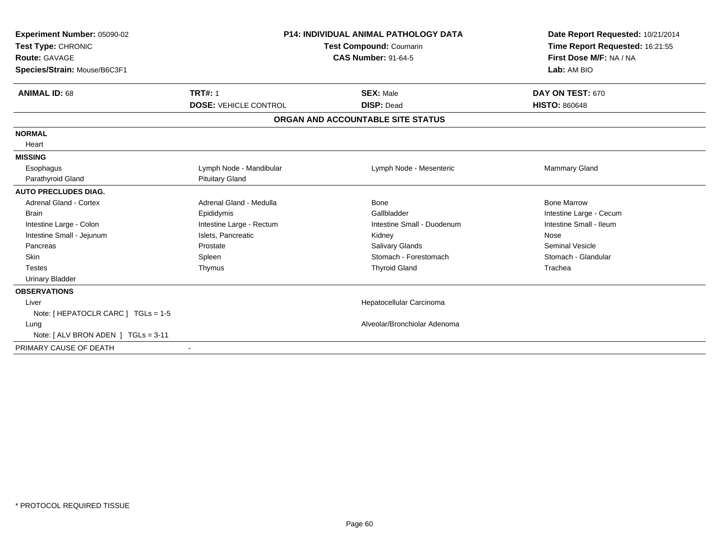| Experiment Number: 05090-02<br>Test Type: CHRONIC<br><b>Route: GAVAGE</b><br>Species/Strain: Mouse/B6C3F1 | <b>P14: INDIVIDUAL ANIMAL PATHOLOGY DATA</b><br><b>Test Compound: Coumarin</b><br><b>CAS Number: 91-64-5</b> |                                   | Date Report Requested: 10/21/2014<br>Time Report Requested: 16:21:55<br>First Dose M/F: NA / NA<br>Lab: AM BIO |
|-----------------------------------------------------------------------------------------------------------|--------------------------------------------------------------------------------------------------------------|-----------------------------------|----------------------------------------------------------------------------------------------------------------|
| <b>ANIMAL ID: 68</b>                                                                                      | <b>TRT#: 1</b>                                                                                               | <b>SEX: Male</b>                  | DAY ON TEST: 670                                                                                               |
|                                                                                                           | <b>DOSE: VEHICLE CONTROL</b>                                                                                 | <b>DISP: Dead</b>                 | <b>HISTO: 860648</b>                                                                                           |
|                                                                                                           |                                                                                                              | ORGAN AND ACCOUNTABLE SITE STATUS |                                                                                                                |
| <b>NORMAL</b>                                                                                             |                                                                                                              |                                   |                                                                                                                |
| Heart                                                                                                     |                                                                                                              |                                   |                                                                                                                |
| <b>MISSING</b>                                                                                            |                                                                                                              |                                   |                                                                                                                |
| Esophagus                                                                                                 | Lymph Node - Mandibular                                                                                      | Lymph Node - Mesenteric           | Mammary Gland                                                                                                  |
| Parathyroid Gland                                                                                         | <b>Pituitary Gland</b>                                                                                       |                                   |                                                                                                                |
| <b>AUTO PRECLUDES DIAG.</b>                                                                               |                                                                                                              |                                   |                                                                                                                |
| <b>Adrenal Gland - Cortex</b>                                                                             | Adrenal Gland - Medulla                                                                                      | Bone                              | <b>Bone Marrow</b>                                                                                             |
| <b>Brain</b>                                                                                              | Epididymis                                                                                                   | Gallbladder                       | Intestine Large - Cecum                                                                                        |
| Intestine Large - Colon                                                                                   | Intestine Large - Rectum                                                                                     | Intestine Small - Duodenum        | Intestine Small - Ileum                                                                                        |
| Intestine Small - Jejunum                                                                                 | Islets, Pancreatic                                                                                           | Kidney                            | Nose                                                                                                           |
| Pancreas                                                                                                  | Prostate                                                                                                     | <b>Salivary Glands</b>            | <b>Seminal Vesicle</b>                                                                                         |
| <b>Skin</b>                                                                                               | Spleen                                                                                                       | Stomach - Forestomach             | Stomach - Glandular                                                                                            |
| <b>Testes</b>                                                                                             | Thymus                                                                                                       | <b>Thyroid Gland</b>              | Trachea                                                                                                        |
| <b>Urinary Bladder</b>                                                                                    |                                                                                                              |                                   |                                                                                                                |
| <b>OBSERVATIONS</b>                                                                                       |                                                                                                              |                                   |                                                                                                                |
| Liver                                                                                                     |                                                                                                              | Hepatocellular Carcinoma          |                                                                                                                |
| Note: [ HEPATOCLR CARC ] TGLs = 1-5                                                                       |                                                                                                              |                                   |                                                                                                                |
| Lung                                                                                                      |                                                                                                              | Alveolar/Bronchiolar Adenoma      |                                                                                                                |
| Note: [ ALV BRON ADEN ] TGLs = 3-11                                                                       |                                                                                                              |                                   |                                                                                                                |
| PRIMARY CAUSE OF DEATH                                                                                    | $\blacksquare$                                                                                               |                                   |                                                                                                                |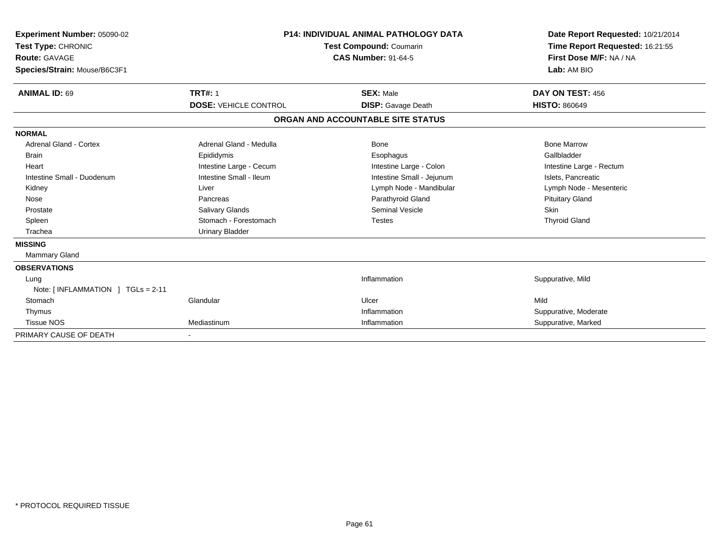| <b>Experiment Number: 05090-02</b><br>Test Type: CHRONIC<br><b>Route: GAVAGE</b><br>Species/Strain: Mouse/B6C3F1 |                              | <b>P14: INDIVIDUAL ANIMAL PATHOLOGY DATA</b><br><b>Test Compound: Coumarin</b><br><b>CAS Number: 91-64-5</b> | Date Report Requested: 10/21/2014<br>Time Report Requested: 16:21:55<br>First Dose M/F: NA / NA<br>Lab: AM BIO |  |
|------------------------------------------------------------------------------------------------------------------|------------------------------|--------------------------------------------------------------------------------------------------------------|----------------------------------------------------------------------------------------------------------------|--|
| <b>ANIMAL ID: 69</b>                                                                                             | <b>TRT#: 1</b>               | <b>SEX: Male</b>                                                                                             | DAY ON TEST: 456                                                                                               |  |
|                                                                                                                  | <b>DOSE: VEHICLE CONTROL</b> | <b>DISP:</b> Gavage Death                                                                                    | <b>HISTO: 860649</b>                                                                                           |  |
|                                                                                                                  |                              | ORGAN AND ACCOUNTABLE SITE STATUS                                                                            |                                                                                                                |  |
| <b>NORMAL</b>                                                                                                    |                              |                                                                                                              |                                                                                                                |  |
| <b>Adrenal Gland - Cortex</b>                                                                                    | Adrenal Gland - Medulla      | <b>Bone</b>                                                                                                  | <b>Bone Marrow</b>                                                                                             |  |
| <b>Brain</b>                                                                                                     | Epididymis                   | Esophagus                                                                                                    | Gallbladder                                                                                                    |  |
| Heart                                                                                                            | Intestine Large - Cecum      | Intestine Large - Colon                                                                                      | Intestine Large - Rectum                                                                                       |  |
| Intestine Small - Duodenum                                                                                       | Intestine Small - Ileum      | Intestine Small - Jejunum                                                                                    | Islets, Pancreatic                                                                                             |  |
| Kidney                                                                                                           | Liver                        | Lymph Node - Mandibular                                                                                      | Lymph Node - Mesenteric                                                                                        |  |
| Nose                                                                                                             | Pancreas                     | Parathyroid Gland                                                                                            | <b>Pituitary Gland</b>                                                                                         |  |
| Prostate                                                                                                         | <b>Salivary Glands</b>       | Seminal Vesicle                                                                                              | <b>Skin</b>                                                                                                    |  |
| Spleen                                                                                                           | Stomach - Forestomach        | <b>Testes</b>                                                                                                | <b>Thyroid Gland</b>                                                                                           |  |
| Trachea                                                                                                          | <b>Urinary Bladder</b>       |                                                                                                              |                                                                                                                |  |
| <b>MISSING</b>                                                                                                   |                              |                                                                                                              |                                                                                                                |  |
| Mammary Gland                                                                                                    |                              |                                                                                                              |                                                                                                                |  |
| <b>OBSERVATIONS</b>                                                                                              |                              |                                                                                                              |                                                                                                                |  |
| Lung                                                                                                             |                              | Inflammation                                                                                                 | Suppurative, Mild                                                                                              |  |
| Note: $[INFLAMMATION] TGLs = 2-11$                                                                               |                              |                                                                                                              |                                                                                                                |  |
| Stomach                                                                                                          | Glandular                    | Ulcer                                                                                                        | Mild                                                                                                           |  |
| Thymus                                                                                                           |                              | Inflammation                                                                                                 | Suppurative, Moderate                                                                                          |  |
| <b>Tissue NOS</b>                                                                                                | Mediastinum                  | Inflammation                                                                                                 | Suppurative, Marked                                                                                            |  |
| PRIMARY CAUSE OF DEATH                                                                                           |                              |                                                                                                              |                                                                                                                |  |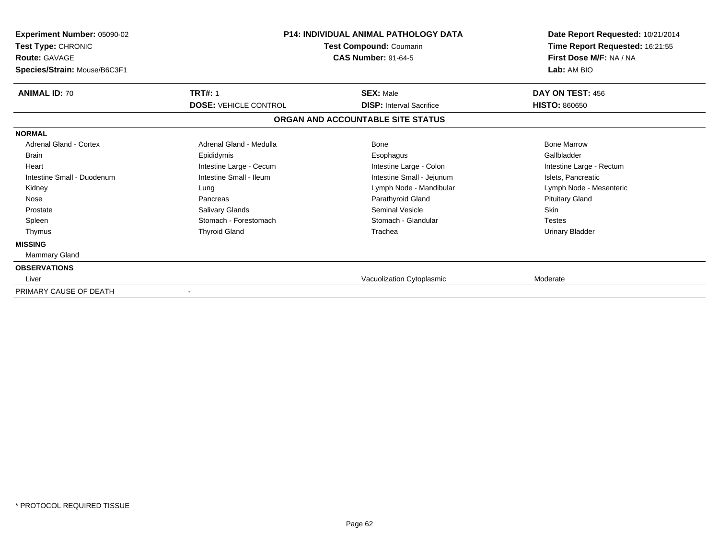| <b>Experiment Number: 05090-02</b><br>Test Type: CHRONIC<br><b>Route: GAVAGE</b><br>Species/Strain: Mouse/B6C3F1 |                              | <b>P14: INDIVIDUAL ANIMAL PATHOLOGY DATA</b><br>Test Compound: Coumarin<br><b>CAS Number: 91-64-5</b> | Date Report Requested: 10/21/2014<br>Time Report Requested: 16:21:55<br>First Dose M/F: NA / NA<br>Lab: AM BIO |
|------------------------------------------------------------------------------------------------------------------|------------------------------|-------------------------------------------------------------------------------------------------------|----------------------------------------------------------------------------------------------------------------|
| <b>ANIMAL ID: 70</b>                                                                                             | <b>TRT#: 1</b>               | <b>SEX: Male</b>                                                                                      | DAY ON TEST: 456                                                                                               |
|                                                                                                                  | <b>DOSE: VEHICLE CONTROL</b> | <b>DISP:</b> Interval Sacrifice                                                                       | <b>HISTO: 860650</b>                                                                                           |
|                                                                                                                  |                              | ORGAN AND ACCOUNTABLE SITE STATUS                                                                     |                                                                                                                |
| <b>NORMAL</b>                                                                                                    |                              |                                                                                                       |                                                                                                                |
| Adrenal Gland - Cortex                                                                                           | Adrenal Gland - Medulla      | <b>Bone</b>                                                                                           | <b>Bone Marrow</b>                                                                                             |
| <b>Brain</b>                                                                                                     | Epididymis                   | Esophagus                                                                                             | Gallbladder                                                                                                    |
| Heart                                                                                                            | Intestine Large - Cecum      | Intestine Large - Colon                                                                               | Intestine Large - Rectum                                                                                       |
| Intestine Small - Duodenum                                                                                       | Intestine Small - Ileum      | Intestine Small - Jejunum                                                                             | Islets, Pancreatic                                                                                             |
| Kidney                                                                                                           | Lung                         | Lymph Node - Mandibular                                                                               | Lymph Node - Mesenteric                                                                                        |
| Nose                                                                                                             | Pancreas                     | Parathyroid Gland                                                                                     | <b>Pituitary Gland</b>                                                                                         |
| Prostate                                                                                                         | Salivary Glands              | Seminal Vesicle                                                                                       | <b>Skin</b>                                                                                                    |
| Spleen                                                                                                           | Stomach - Forestomach        | Stomach - Glandular                                                                                   | <b>Testes</b>                                                                                                  |
| Thymus                                                                                                           | <b>Thyroid Gland</b>         | Trachea                                                                                               | <b>Urinary Bladder</b>                                                                                         |
| <b>MISSING</b>                                                                                                   |                              |                                                                                                       |                                                                                                                |
| <b>Mammary Gland</b>                                                                                             |                              |                                                                                                       |                                                                                                                |
| <b>OBSERVATIONS</b>                                                                                              |                              |                                                                                                       |                                                                                                                |
| Liver                                                                                                            |                              | Vacuolization Cytoplasmic                                                                             | Moderate                                                                                                       |
| PRIMARY CAUSE OF DEATH                                                                                           |                              |                                                                                                       |                                                                                                                |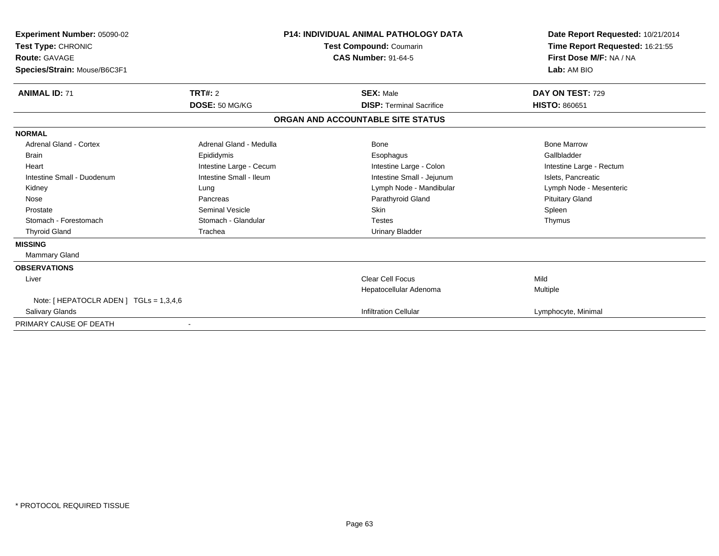| Experiment Number: 05090-02<br>Test Type: CHRONIC<br><b>Route: GAVAGE</b><br>Species/Strain: Mouse/B6C3F1 |                         | <b>P14: INDIVIDUAL ANIMAL PATHOLOGY DATA</b><br><b>Test Compound: Coumarin</b><br><b>CAS Number: 91-64-5</b> | Date Report Requested: 10/21/2014<br>Time Report Requested: 16:21:55<br>First Dose M/F: NA / NA<br>Lab: AM BIO |
|-----------------------------------------------------------------------------------------------------------|-------------------------|--------------------------------------------------------------------------------------------------------------|----------------------------------------------------------------------------------------------------------------|
| <b>ANIMAL ID: 71</b>                                                                                      | <b>TRT#: 2</b>          | <b>SEX: Male</b>                                                                                             | DAY ON TEST: 729                                                                                               |
|                                                                                                           | DOSE: 50 MG/KG          | <b>DISP: Terminal Sacrifice</b>                                                                              | <b>HISTO: 860651</b>                                                                                           |
|                                                                                                           |                         | ORGAN AND ACCOUNTABLE SITE STATUS                                                                            |                                                                                                                |
| <b>NORMAL</b>                                                                                             |                         |                                                                                                              |                                                                                                                |
| <b>Adrenal Gland - Cortex</b>                                                                             | Adrenal Gland - Medulla | <b>Bone</b>                                                                                                  | <b>Bone Marrow</b>                                                                                             |
| Brain                                                                                                     | Epididymis              | Esophagus                                                                                                    | Gallbladder                                                                                                    |
| Heart                                                                                                     | Intestine Large - Cecum | Intestine Large - Colon                                                                                      | Intestine Large - Rectum                                                                                       |
| Intestine Small - Duodenum                                                                                | Intestine Small - Ileum | Intestine Small - Jejunum                                                                                    | Islets, Pancreatic                                                                                             |
| Kidney                                                                                                    | Lung                    | Lymph Node - Mandibular                                                                                      | Lymph Node - Mesenteric                                                                                        |
| Nose                                                                                                      | Pancreas                | Parathyroid Gland                                                                                            | <b>Pituitary Gland</b>                                                                                         |
| Prostate                                                                                                  | <b>Seminal Vesicle</b>  | Skin                                                                                                         | Spleen                                                                                                         |
| Stomach - Forestomach                                                                                     | Stomach - Glandular     | <b>Testes</b>                                                                                                | Thymus                                                                                                         |
| <b>Thyroid Gland</b>                                                                                      | Trachea                 | <b>Urinary Bladder</b>                                                                                       |                                                                                                                |
| <b>MISSING</b>                                                                                            |                         |                                                                                                              |                                                                                                                |
| <b>Mammary Gland</b>                                                                                      |                         |                                                                                                              |                                                                                                                |
| <b>OBSERVATIONS</b>                                                                                       |                         |                                                                                                              |                                                                                                                |
| Liver                                                                                                     |                         | <b>Clear Cell Focus</b>                                                                                      | Mild                                                                                                           |
|                                                                                                           |                         | Hepatocellular Adenoma                                                                                       | Multiple                                                                                                       |
| Note: [ HEPATOCLR ADEN ] TGLs = 1,3,4,6                                                                   |                         |                                                                                                              |                                                                                                                |
| <b>Salivary Glands</b>                                                                                    |                         | <b>Infiltration Cellular</b>                                                                                 | Lymphocyte, Minimal                                                                                            |
| PRIMARY CAUSE OF DEATH                                                                                    |                         |                                                                                                              |                                                                                                                |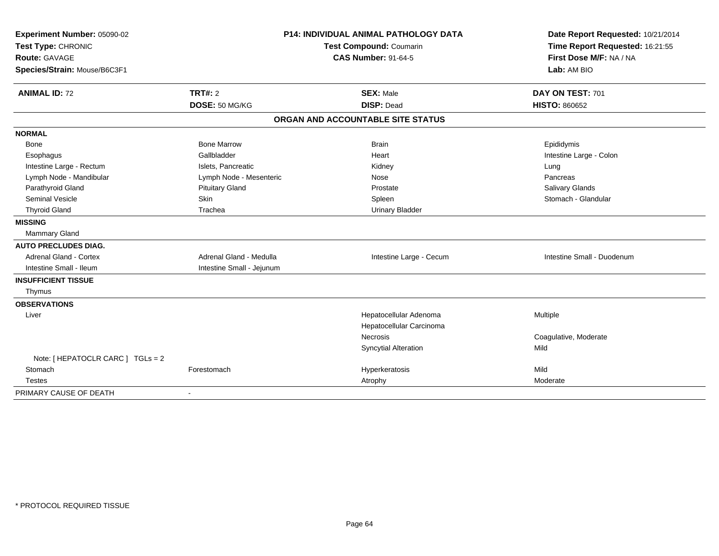| Experiment Number: 05090-02       |                           | <b>P14: INDIVIDUAL ANIMAL PATHOLOGY DATA</b> | Date Report Requested: 10/21/2014 |
|-----------------------------------|---------------------------|----------------------------------------------|-----------------------------------|
| Test Type: CHRONIC                | Test Compound: Coumarin   |                                              | Time Report Requested: 16:21:55   |
| <b>Route: GAVAGE</b>              |                           | <b>CAS Number: 91-64-5</b>                   | First Dose M/F: NA / NA           |
| Species/Strain: Mouse/B6C3F1      |                           |                                              | Lab: AM BIO                       |
| <b>ANIMAL ID: 72</b>              | <b>TRT#: 2</b>            | <b>SEX: Male</b>                             | DAY ON TEST: 701                  |
|                                   | DOSE: 50 MG/KG            | <b>DISP: Dead</b>                            | <b>HISTO: 860652</b>              |
|                                   |                           | ORGAN AND ACCOUNTABLE SITE STATUS            |                                   |
| <b>NORMAL</b>                     |                           |                                              |                                   |
| Bone                              | <b>Bone Marrow</b>        | <b>Brain</b>                                 | Epididymis                        |
| Esophagus                         | Gallbladder               | Heart                                        | Intestine Large - Colon           |
| Intestine Large - Rectum          | Islets, Pancreatic        | Kidney                                       | Lung                              |
| Lymph Node - Mandibular           | Lymph Node - Mesenteric   | Nose                                         | Pancreas                          |
| Parathyroid Gland                 | <b>Pituitary Gland</b>    | Prostate                                     | Salivary Glands                   |
| <b>Seminal Vesicle</b>            | Skin                      | Spleen                                       | Stomach - Glandular               |
| <b>Thyroid Gland</b>              | Trachea                   | <b>Urinary Bladder</b>                       |                                   |
| <b>MISSING</b>                    |                           |                                              |                                   |
| Mammary Gland                     |                           |                                              |                                   |
| <b>AUTO PRECLUDES DIAG.</b>       |                           |                                              |                                   |
| Adrenal Gland - Cortex            | Adrenal Gland - Medulla   | Intestine Large - Cecum                      | Intestine Small - Duodenum        |
| Intestine Small - Ileum           | Intestine Small - Jejunum |                                              |                                   |
| <b>INSUFFICIENT TISSUE</b>        |                           |                                              |                                   |
| Thymus                            |                           |                                              |                                   |
| <b>OBSERVATIONS</b>               |                           |                                              |                                   |
| Liver                             |                           | Hepatocellular Adenoma                       | Multiple                          |
|                                   |                           | Hepatocellular Carcinoma                     |                                   |
|                                   |                           | Necrosis                                     | Coagulative, Moderate             |
|                                   |                           | <b>Syncytial Alteration</b>                  | Mild                              |
| Note: [ HEPATOCLR CARC ] TGLs = 2 |                           |                                              |                                   |
| Stomach                           | Forestomach               | Hyperkeratosis                               | Mild                              |
| <b>Testes</b>                     |                           | Atrophy                                      | Moderate                          |
| PRIMARY CAUSE OF DEATH            |                           |                                              |                                   |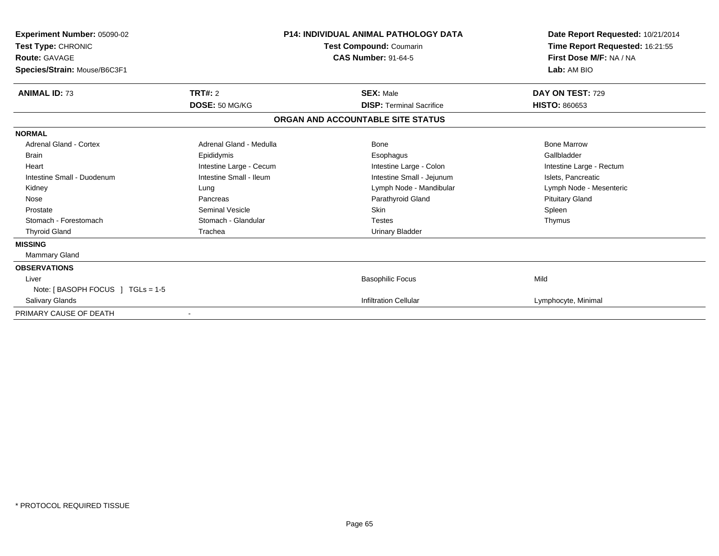| <b>Experiment Number: 05090-02</b><br>Test Type: CHRONIC<br><b>Route: GAVAGE</b><br>Species/Strain: Mouse/B6C3F1 |                         | <b>P14: INDIVIDUAL ANIMAL PATHOLOGY DATA</b><br>Test Compound: Coumarin<br><b>CAS Number: 91-64-5</b> | Date Report Requested: 10/21/2014<br>Time Report Requested: 16:21:55<br>First Dose M/F: NA / NA<br>Lab: AM BIO |
|------------------------------------------------------------------------------------------------------------------|-------------------------|-------------------------------------------------------------------------------------------------------|----------------------------------------------------------------------------------------------------------------|
| <b>ANIMAL ID: 73</b>                                                                                             | TRT#: 2                 | <b>SEX: Male</b>                                                                                      | DAY ON TEST: 729                                                                                               |
|                                                                                                                  | DOSE: 50 MG/KG          | <b>DISP: Terminal Sacrifice</b>                                                                       | <b>HISTO: 860653</b>                                                                                           |
|                                                                                                                  |                         | ORGAN AND ACCOUNTABLE SITE STATUS                                                                     |                                                                                                                |
| <b>NORMAL</b>                                                                                                    |                         |                                                                                                       |                                                                                                                |
| <b>Adrenal Gland - Cortex</b>                                                                                    | Adrenal Gland - Medulla | <b>Bone</b>                                                                                           | <b>Bone Marrow</b>                                                                                             |
| <b>Brain</b>                                                                                                     | Epididymis              | Esophagus                                                                                             | Gallbladder                                                                                                    |
| Heart                                                                                                            | Intestine Large - Cecum | Intestine Large - Colon                                                                               | Intestine Large - Rectum                                                                                       |
| Intestine Small - Duodenum                                                                                       | Intestine Small - Ileum | Intestine Small - Jejunum                                                                             | Islets, Pancreatic                                                                                             |
| Kidney                                                                                                           | Lung                    | Lymph Node - Mandibular                                                                               | Lymph Node - Mesenteric                                                                                        |
| Nose                                                                                                             | Pancreas                | Parathyroid Gland                                                                                     | <b>Pituitary Gland</b>                                                                                         |
| Prostate                                                                                                         | Seminal Vesicle         | <b>Skin</b>                                                                                           | Spleen                                                                                                         |
| Stomach - Forestomach                                                                                            | Stomach - Glandular     | <b>Testes</b>                                                                                         | Thymus                                                                                                         |
| <b>Thyroid Gland</b>                                                                                             | Trachea                 | <b>Urinary Bladder</b>                                                                                |                                                                                                                |
| <b>MISSING</b>                                                                                                   |                         |                                                                                                       |                                                                                                                |
| Mammary Gland                                                                                                    |                         |                                                                                                       |                                                                                                                |
| <b>OBSERVATIONS</b>                                                                                              |                         |                                                                                                       |                                                                                                                |
| Liver                                                                                                            |                         | <b>Basophilic Focus</b>                                                                               | Mild                                                                                                           |
| Note: [BASOPH FOCUS ] TGLs = 1-5                                                                                 |                         |                                                                                                       |                                                                                                                |
| <b>Salivary Glands</b>                                                                                           |                         | <b>Infiltration Cellular</b>                                                                          | Lymphocyte, Minimal                                                                                            |
| PRIMARY CAUSE OF DEATH                                                                                           |                         |                                                                                                       |                                                                                                                |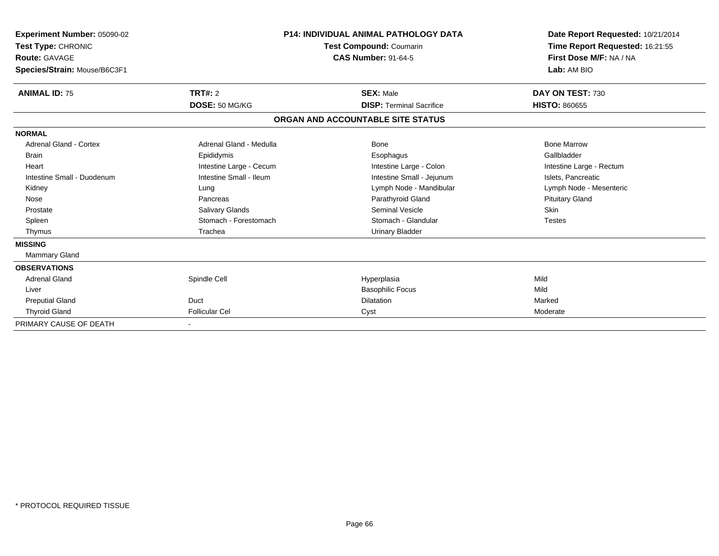| <b>Experiment Number: 05090-02</b><br>Test Type: CHRONIC<br><b>Route: GAVAGE</b><br>Species/Strain: Mouse/B6C3F1 |                         | <b>P14: INDIVIDUAL ANIMAL PATHOLOGY DATA</b><br>Test Compound: Coumarin<br><b>CAS Number: 91-64-5</b> | Date Report Requested: 10/21/2014<br>Time Report Requested: 16:21:55<br>First Dose M/F: NA / NA<br>Lab: AM BIO |
|------------------------------------------------------------------------------------------------------------------|-------------------------|-------------------------------------------------------------------------------------------------------|----------------------------------------------------------------------------------------------------------------|
| <b>ANIMAL ID: 75</b>                                                                                             | TRT#: 2                 | <b>SEX: Male</b>                                                                                      | DAY ON TEST: 730                                                                                               |
|                                                                                                                  | DOSE: 50 MG/KG          | <b>DISP: Terminal Sacrifice</b>                                                                       | <b>HISTO: 860655</b>                                                                                           |
|                                                                                                                  |                         | ORGAN AND ACCOUNTABLE SITE STATUS                                                                     |                                                                                                                |
| <b>NORMAL</b>                                                                                                    |                         |                                                                                                       |                                                                                                                |
| <b>Adrenal Gland - Cortex</b>                                                                                    | Adrenal Gland - Medulla | Bone                                                                                                  | <b>Bone Marrow</b>                                                                                             |
| <b>Brain</b>                                                                                                     | Epididymis              | Esophagus                                                                                             | Gallbladder                                                                                                    |
| Heart                                                                                                            | Intestine Large - Cecum | Intestine Large - Colon                                                                               | Intestine Large - Rectum                                                                                       |
| Intestine Small - Duodenum                                                                                       | Intestine Small - Ileum | Intestine Small - Jejunum                                                                             | Islets, Pancreatic                                                                                             |
| Kidney                                                                                                           | Lung                    | Lymph Node - Mandibular                                                                               | Lymph Node - Mesenteric                                                                                        |
| Nose                                                                                                             | Pancreas                | Parathyroid Gland                                                                                     | <b>Pituitary Gland</b>                                                                                         |
| Prostate                                                                                                         | Salivary Glands         | <b>Seminal Vesicle</b>                                                                                | <b>Skin</b>                                                                                                    |
| Spleen                                                                                                           | Stomach - Forestomach   | Stomach - Glandular                                                                                   | <b>Testes</b>                                                                                                  |
| Thymus                                                                                                           | Trachea                 | <b>Urinary Bladder</b>                                                                                |                                                                                                                |
| <b>MISSING</b>                                                                                                   |                         |                                                                                                       |                                                                                                                |
| Mammary Gland                                                                                                    |                         |                                                                                                       |                                                                                                                |
| <b>OBSERVATIONS</b>                                                                                              |                         |                                                                                                       |                                                                                                                |
| <b>Adrenal Gland</b>                                                                                             | Spindle Cell            | Hyperplasia                                                                                           | Mild                                                                                                           |
| Liver                                                                                                            |                         | <b>Basophilic Focus</b>                                                                               | Mild                                                                                                           |
| <b>Preputial Gland</b>                                                                                           | Duct                    | <b>Dilatation</b>                                                                                     | Marked                                                                                                         |
| <b>Thyroid Gland</b>                                                                                             | <b>Follicular Cel</b>   | Cyst                                                                                                  | Moderate                                                                                                       |
| PRIMARY CAUSE OF DEATH                                                                                           |                         |                                                                                                       |                                                                                                                |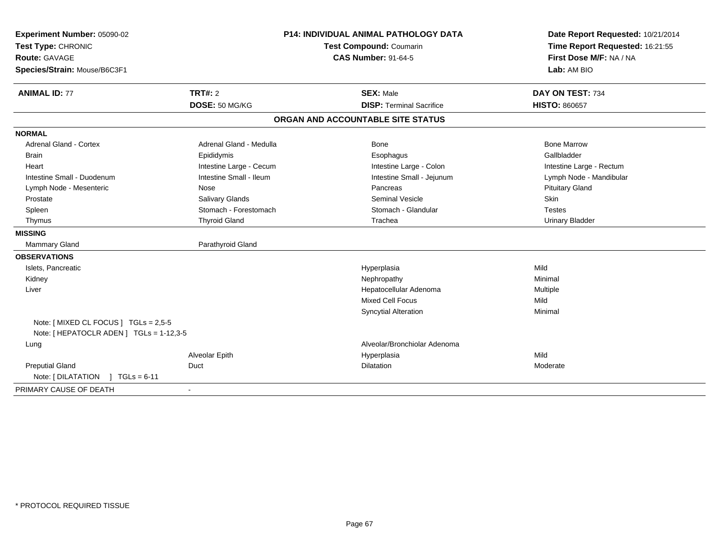| Experiment Number: 05090-02<br>Test Type: CHRONIC<br><b>Route: GAVAGE</b><br>Species/Strain: Mouse/B6C3F1 |                         | P14: INDIVIDUAL ANIMAL PATHOLOGY DATA<br>Test Compound: Coumarin<br><b>CAS Number: 91-64-5</b> | Date Report Requested: 10/21/2014<br>Time Report Requested: 16:21:55<br>First Dose M/F: NA / NA<br>Lab: AM BIO |
|-----------------------------------------------------------------------------------------------------------|-------------------------|------------------------------------------------------------------------------------------------|----------------------------------------------------------------------------------------------------------------|
| <b>ANIMAL ID: 77</b>                                                                                      | TRT#: 2                 | <b>SEX: Male</b>                                                                               | DAY ON TEST: 734                                                                                               |
|                                                                                                           | DOSE: 50 MG/KG          | <b>DISP: Terminal Sacrifice</b>                                                                | <b>HISTO: 860657</b>                                                                                           |
|                                                                                                           |                         | ORGAN AND ACCOUNTABLE SITE STATUS                                                              |                                                                                                                |
| <b>NORMAL</b>                                                                                             |                         |                                                                                                |                                                                                                                |
| Adrenal Gland - Cortex                                                                                    | Adrenal Gland - Medulla | <b>Bone</b>                                                                                    | <b>Bone Marrow</b>                                                                                             |
| <b>Brain</b>                                                                                              | Epididymis              | Esophagus                                                                                      | Gallbladder                                                                                                    |
| Heart                                                                                                     | Intestine Large - Cecum | Intestine Large - Colon                                                                        | Intestine Large - Rectum                                                                                       |
| Intestine Small - Duodenum                                                                                | Intestine Small - Ileum | Intestine Small - Jejunum                                                                      | Lymph Node - Mandibular                                                                                        |
| Lymph Node - Mesenteric                                                                                   | Nose                    | Pancreas                                                                                       | <b>Pituitary Gland</b>                                                                                         |
| Prostate                                                                                                  | Salivary Glands         | <b>Seminal Vesicle</b>                                                                         | Skin                                                                                                           |
| Spleen                                                                                                    | Stomach - Forestomach   | Stomach - Glandular                                                                            | <b>Testes</b>                                                                                                  |
| Thymus                                                                                                    | <b>Thyroid Gland</b>    | Trachea                                                                                        | <b>Urinary Bladder</b>                                                                                         |
| <b>MISSING</b>                                                                                            |                         |                                                                                                |                                                                                                                |
| <b>Mammary Gland</b>                                                                                      | Parathyroid Gland       |                                                                                                |                                                                                                                |
| <b>OBSERVATIONS</b>                                                                                       |                         |                                                                                                |                                                                                                                |
| Islets, Pancreatic                                                                                        |                         | Hyperplasia                                                                                    | Mild                                                                                                           |
| Kidney                                                                                                    |                         | Nephropathy                                                                                    | Minimal                                                                                                        |
| Liver                                                                                                     |                         | Hepatocellular Adenoma                                                                         | Multiple                                                                                                       |
|                                                                                                           |                         | <b>Mixed Cell Focus</b>                                                                        | Mild                                                                                                           |
| Note: [ MIXED CL FOCUS ] TGLs = 2,5-5                                                                     |                         | <b>Syncytial Alteration</b>                                                                    | Minimal                                                                                                        |
| Note: [HEPATOCLR ADEN] TGLs = 1-12,3-5                                                                    |                         |                                                                                                |                                                                                                                |
| Lung                                                                                                      |                         | Alveolar/Bronchiolar Adenoma                                                                   |                                                                                                                |
|                                                                                                           | Alveolar Epith          | Hyperplasia                                                                                    | Mild                                                                                                           |
| <b>Preputial Gland</b>                                                                                    | Duct                    | Dilatation                                                                                     | Moderate                                                                                                       |
| Note: [DILATATION ] TGLs = 6-11                                                                           |                         |                                                                                                |                                                                                                                |
| PRIMARY CAUSE OF DEATH                                                                                    |                         |                                                                                                |                                                                                                                |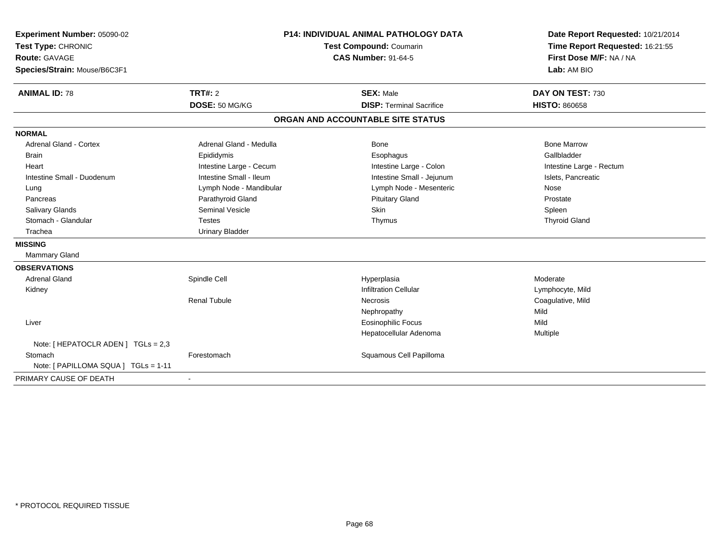| Experiment Number: 05090-02<br>Test Type: CHRONIC<br><b>Route: GAVAGE</b><br>Species/Strain: Mouse/B6C3F1 |                         | P14: INDIVIDUAL ANIMAL PATHOLOGY DATA<br><b>Test Compound: Coumarin</b><br><b>CAS Number: 91-64-5</b> | Date Report Requested: 10/21/2014<br>Time Report Requested: 16:21:55<br>First Dose M/F: NA / NA<br>Lab: AM BIO |
|-----------------------------------------------------------------------------------------------------------|-------------------------|-------------------------------------------------------------------------------------------------------|----------------------------------------------------------------------------------------------------------------|
|                                                                                                           | TRT#: 2                 |                                                                                                       |                                                                                                                |
| <b>ANIMAL ID: 78</b>                                                                                      | DOSE: 50 MG/KG          | <b>SEX: Male</b><br><b>DISP: Terminal Sacrifice</b>                                                   | DAY ON TEST: 730<br><b>HISTO: 860658</b>                                                                       |
|                                                                                                           |                         |                                                                                                       |                                                                                                                |
|                                                                                                           |                         | ORGAN AND ACCOUNTABLE SITE STATUS                                                                     |                                                                                                                |
| <b>NORMAL</b>                                                                                             |                         |                                                                                                       |                                                                                                                |
| <b>Adrenal Gland - Cortex</b>                                                                             | Adrenal Gland - Medulla | <b>Bone</b>                                                                                           | <b>Bone Marrow</b>                                                                                             |
| <b>Brain</b>                                                                                              | Epididymis              | Esophagus                                                                                             | Gallbladder                                                                                                    |
| Heart                                                                                                     | Intestine Large - Cecum | Intestine Large - Colon                                                                               | Intestine Large - Rectum                                                                                       |
| Intestine Small - Duodenum                                                                                | Intestine Small - Ileum | Intestine Small - Jejunum                                                                             | Islets, Pancreatic                                                                                             |
| Lung                                                                                                      | Lymph Node - Mandibular | Lymph Node - Mesenteric                                                                               | Nose                                                                                                           |
| Pancreas                                                                                                  | Parathyroid Gland       | <b>Pituitary Gland</b>                                                                                | Prostate                                                                                                       |
| <b>Salivary Glands</b>                                                                                    | <b>Seminal Vesicle</b>  | Skin                                                                                                  | Spleen                                                                                                         |
| Stomach - Glandular                                                                                       | <b>Testes</b>           | Thymus                                                                                                | <b>Thyroid Gland</b>                                                                                           |
| Trachea                                                                                                   | <b>Urinary Bladder</b>  |                                                                                                       |                                                                                                                |
| <b>MISSING</b>                                                                                            |                         |                                                                                                       |                                                                                                                |
| Mammary Gland                                                                                             |                         |                                                                                                       |                                                                                                                |
| <b>OBSERVATIONS</b>                                                                                       |                         |                                                                                                       |                                                                                                                |
| <b>Adrenal Gland</b>                                                                                      | Spindle Cell            | Hyperplasia                                                                                           | Moderate                                                                                                       |
| Kidney                                                                                                    |                         | <b>Infiltration Cellular</b>                                                                          | Lymphocyte, Mild                                                                                               |
|                                                                                                           | <b>Renal Tubule</b>     | Necrosis                                                                                              | Coagulative, Mild                                                                                              |
|                                                                                                           |                         | Nephropathy                                                                                           | Mild                                                                                                           |
| Liver                                                                                                     |                         | Eosinophilic Focus                                                                                    | Mild                                                                                                           |
|                                                                                                           |                         | Hepatocellular Adenoma                                                                                | Multiple                                                                                                       |
| Note: [ HEPATOCLR ADEN ] TGLs = 2,3                                                                       |                         |                                                                                                       |                                                                                                                |
| Stomach                                                                                                   | Forestomach             | Squamous Cell Papilloma                                                                               |                                                                                                                |
| Note: [ PAPILLOMA SQUA ] TGLs = 1-11                                                                      |                         |                                                                                                       |                                                                                                                |
| PRIMARY CAUSE OF DEATH                                                                                    | $\blacksquare$          |                                                                                                       |                                                                                                                |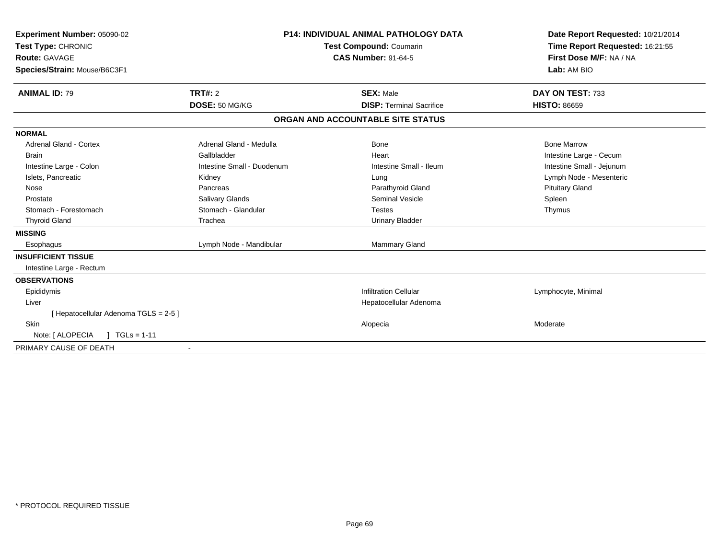| Experiment Number: 05090-02<br>Test Type: CHRONIC<br>Route: GAVAGE<br>Species/Strain: Mouse/B6C3F1                                                                                                                                         |                                                                                                                                                                            | <b>P14: INDIVIDUAL ANIMAL PATHOLOGY DATA</b><br>Test Compound: Coumarin<br><b>CAS Number: 91-64-5</b>                                                       | Date Report Requested: 10/21/2014<br>Time Report Requested: 16:21:55<br>First Dose M/F: NA / NA<br>Lab: AM BIO                                      |
|--------------------------------------------------------------------------------------------------------------------------------------------------------------------------------------------------------------------------------------------|----------------------------------------------------------------------------------------------------------------------------------------------------------------------------|-------------------------------------------------------------------------------------------------------------------------------------------------------------|-----------------------------------------------------------------------------------------------------------------------------------------------------|
| <b>ANIMAL ID: 79</b>                                                                                                                                                                                                                       | TRT#: 2<br>DOSE: 50 MG/KG                                                                                                                                                  | <b>SEX: Male</b><br><b>DISP: Terminal Sacrifice</b>                                                                                                         | DAY ON TEST: 733<br><b>HISTO: 86659</b>                                                                                                             |
|                                                                                                                                                                                                                                            |                                                                                                                                                                            | ORGAN AND ACCOUNTABLE SITE STATUS                                                                                                                           |                                                                                                                                                     |
|                                                                                                                                                                                                                                            |                                                                                                                                                                            |                                                                                                                                                             |                                                                                                                                                     |
| <b>NORMAL</b><br>Adrenal Gland - Cortex<br><b>Brain</b><br>Intestine Large - Colon<br>Islets, Pancreatic<br>Nose<br>Prostate<br>Stomach - Forestomach<br><b>Thyroid Gland</b><br><b>MISSING</b><br>Esophagus<br><b>INSUFFICIENT TISSUE</b> | Adrenal Gland - Medulla<br>Gallbladder<br>Intestine Small - Duodenum<br>Kidney<br>Pancreas<br>Salivary Glands<br>Stomach - Glandular<br>Trachea<br>Lymph Node - Mandibular | Bone<br>Heart<br>Intestine Small - Ileum<br>Lung<br>Parathyroid Gland<br>Seminal Vesicle<br><b>Testes</b><br><b>Urinary Bladder</b><br><b>Mammary Gland</b> | <b>Bone Marrow</b><br>Intestine Large - Cecum<br>Intestine Small - Jejunum<br>Lymph Node - Mesenteric<br><b>Pituitary Gland</b><br>Spleen<br>Thymus |
| Intestine Large - Rectum                                                                                                                                                                                                                   |                                                                                                                                                                            |                                                                                                                                                             |                                                                                                                                                     |
| <b>OBSERVATIONS</b><br>Epididymis<br>Liver<br>[ Hepatocellular Adenoma TGLS = 2-5 ]                                                                                                                                                        |                                                                                                                                                                            | <b>Infiltration Cellular</b><br>Hepatocellular Adenoma                                                                                                      | Lymphocyte, Minimal                                                                                                                                 |
| Skin<br>Note: [ ALOPECIA<br>$1 TGLs = 1-11$<br>PRIMARY CAUSE OF DEATH                                                                                                                                                                      |                                                                                                                                                                            | Alopecia                                                                                                                                                    | Moderate                                                                                                                                            |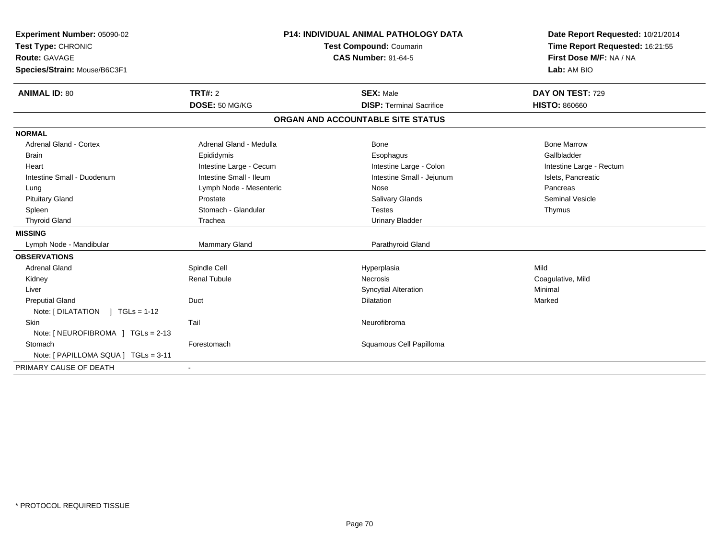| Experiment Number: 05090-02<br>Test Type: CHRONIC<br><b>Route: GAVAGE</b><br>Species/Strain: Mouse/B6C3F1<br><b>ANIMAL ID: 80</b> | P14: INDIVIDUAL ANIMAL PATHOLOGY DATA<br>Test Compound: Coumarin<br><b>CAS Number: 91-64-5</b><br>TRT#: 2<br><b>SEX: Male</b><br>DOSE: 50 MG/KG<br><b>DISP: Terminal Sacrifice</b> |                                   | Date Report Requested: 10/21/2014<br>Time Report Requested: 16:21:55<br>First Dose M/F: NA / NA<br>Lab: AM BIO<br>DAY ON TEST: 729<br><b>HISTO: 860660</b> |
|-----------------------------------------------------------------------------------------------------------------------------------|------------------------------------------------------------------------------------------------------------------------------------------------------------------------------------|-----------------------------------|------------------------------------------------------------------------------------------------------------------------------------------------------------|
|                                                                                                                                   |                                                                                                                                                                                    | ORGAN AND ACCOUNTABLE SITE STATUS |                                                                                                                                                            |
| <b>NORMAL</b>                                                                                                                     |                                                                                                                                                                                    |                                   |                                                                                                                                                            |
| <b>Adrenal Gland - Cortex</b>                                                                                                     | Adrenal Gland - Medulla                                                                                                                                                            | <b>Bone</b>                       | <b>Bone Marrow</b>                                                                                                                                         |
| <b>Brain</b>                                                                                                                      | Epididymis                                                                                                                                                                         | Esophagus                         | Gallbladder                                                                                                                                                |
| Heart                                                                                                                             | Intestine Large - Cecum                                                                                                                                                            | Intestine Large - Colon           | Intestine Large - Rectum                                                                                                                                   |
| Intestine Small - Duodenum                                                                                                        | Intestine Small - Ileum                                                                                                                                                            | Intestine Small - Jejunum         | Islets, Pancreatic                                                                                                                                         |
| Lung                                                                                                                              | Lymph Node - Mesenteric                                                                                                                                                            | Nose                              | Pancreas                                                                                                                                                   |
| <b>Pituitary Gland</b>                                                                                                            | Prostate                                                                                                                                                                           | <b>Salivary Glands</b>            | <b>Seminal Vesicle</b>                                                                                                                                     |
| Spleen                                                                                                                            | Stomach - Glandular                                                                                                                                                                | <b>Testes</b>                     | Thymus                                                                                                                                                     |
| <b>Thyroid Gland</b>                                                                                                              | Trachea                                                                                                                                                                            | <b>Urinary Bladder</b>            |                                                                                                                                                            |
| <b>MISSING</b>                                                                                                                    |                                                                                                                                                                                    |                                   |                                                                                                                                                            |
| Lymph Node - Mandibular                                                                                                           | Mammary Gland                                                                                                                                                                      | Parathyroid Gland                 |                                                                                                                                                            |
| <b>OBSERVATIONS</b>                                                                                                               |                                                                                                                                                                                    |                                   |                                                                                                                                                            |
| <b>Adrenal Gland</b>                                                                                                              | Spindle Cell                                                                                                                                                                       | Hyperplasia                       | Mild                                                                                                                                                       |
| Kidney                                                                                                                            | <b>Renal Tubule</b>                                                                                                                                                                | <b>Necrosis</b>                   | Coagulative, Mild                                                                                                                                          |
| Liver                                                                                                                             |                                                                                                                                                                                    | <b>Syncytial Alteration</b>       | Minimal                                                                                                                                                    |
| <b>Preputial Gland</b>                                                                                                            | Duct                                                                                                                                                                               | <b>Dilatation</b>                 | Marked                                                                                                                                                     |
| Note: $[ DILATATION ] TGLS = 1-12$                                                                                                |                                                                                                                                                                                    |                                   |                                                                                                                                                            |
| <b>Skin</b>                                                                                                                       | Tail                                                                                                                                                                               | Neurofibroma                      |                                                                                                                                                            |
| Note: [ NEUROFIBROMA ] TGLs = 2-13                                                                                                |                                                                                                                                                                                    |                                   |                                                                                                                                                            |
| Stomach                                                                                                                           | Forestomach                                                                                                                                                                        | Squamous Cell Papilloma           |                                                                                                                                                            |
| Note: [ PAPILLOMA SQUA ] TGLs = 3-11                                                                                              |                                                                                                                                                                                    |                                   |                                                                                                                                                            |
| PRIMARY CAUSE OF DEATH                                                                                                            | $\sim$                                                                                                                                                                             |                                   |                                                                                                                                                            |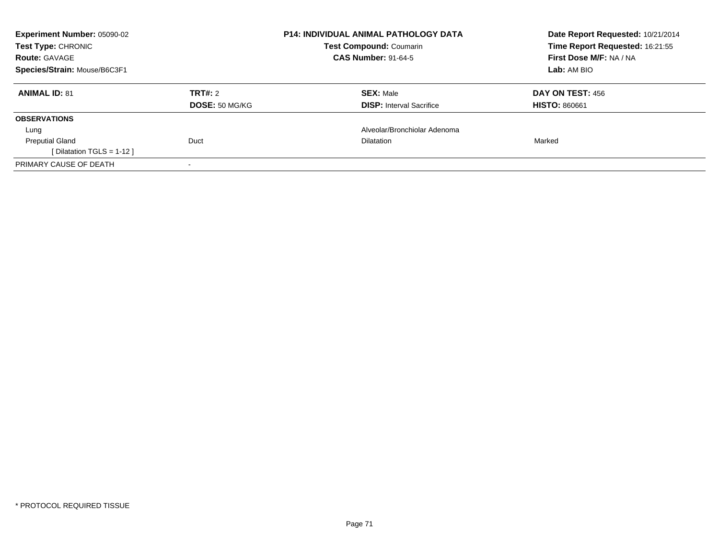| <b>Experiment Number: 05090-02</b><br>Test Type: CHRONIC |                | <b>P14: INDIVIDUAL ANIMAL PATHOLOGY DATA</b><br><b>Test Compound: Coumarin</b> | Date Report Requested: 10/21/2014<br>Time Report Requested: 16:21:55 |
|----------------------------------------------------------|----------------|--------------------------------------------------------------------------------|----------------------------------------------------------------------|
| <b>Route: GAVAGE</b>                                     |                | <b>CAS Number: 91-64-5</b>                                                     | First Dose M/F: NA / NA                                              |
| Species/Strain: Mouse/B6C3F1                             |                |                                                                                | Lab: AM BIO                                                          |
| <b>ANIMAL ID: 81</b>                                     | TRT#: 2        | <b>SEX: Male</b>                                                               | DAY ON TEST: 456                                                     |
|                                                          | DOSE: 50 MG/KG | <b>DISP:</b> Interval Sacrifice                                                | <b>HISTO: 860661</b>                                                 |
| <b>OBSERVATIONS</b>                                      |                |                                                                                |                                                                      |
| Lung                                                     |                | Alveolar/Bronchiolar Adenoma                                                   |                                                                      |
| <b>Preputial Gland</b>                                   | Duct           | <b>Dilatation</b>                                                              | Marked                                                               |
| [ Dilatation TGLS = $1-12$ ]                             |                |                                                                                |                                                                      |
| PRIMARY CAUSE OF DEATH                                   |                |                                                                                |                                                                      |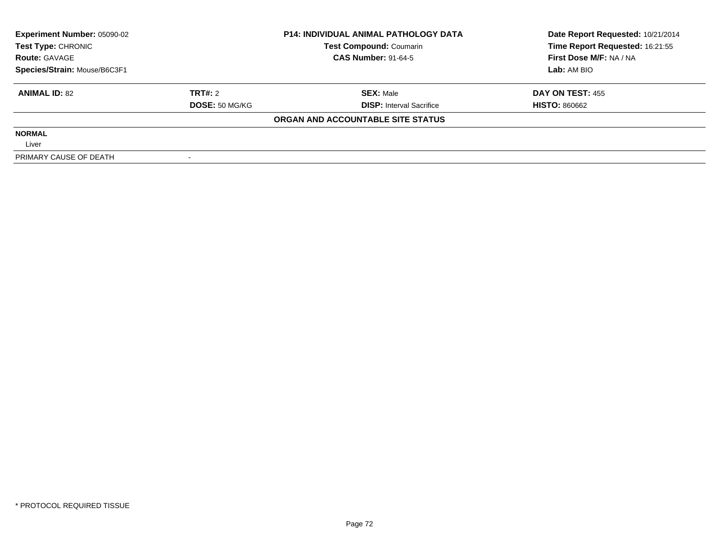| <b>Experiment Number: 05090-02</b><br>Test Type: CHRONIC |                | <b>P14: INDIVIDUAL ANIMAL PATHOLOGY DATA</b> | Date Report Requested: 10/21/2014 |
|----------------------------------------------------------|----------------|----------------------------------------------|-----------------------------------|
|                                                          |                | <b>Test Compound: Coumarin</b>               | Time Report Requested: 16:21:55   |
| <b>Route: GAVAGE</b>                                     |                | <b>CAS Number: 91-64-5</b>                   | First Dose M/F: NA / NA           |
| Species/Strain: Mouse/B6C3F1                             |                |                                              | Lab: AM BIO                       |
| <b>ANIMAL ID: 82</b>                                     | TRT#: 2        | <b>SEX: Male</b>                             | <b>DAY ON TEST: 455</b>           |
|                                                          | DOSE: 50 MG/KG | <b>DISP:</b> Interval Sacrifice              | <b>HISTO: 860662</b>              |
|                                                          |                | ORGAN AND ACCOUNTABLE SITE STATUS            |                                   |
| <b>NORMAL</b>                                            |                |                                              |                                   |
| Liver                                                    |                |                                              |                                   |
| PRIMARY CAUSE OF DEATH                                   |                |                                              |                                   |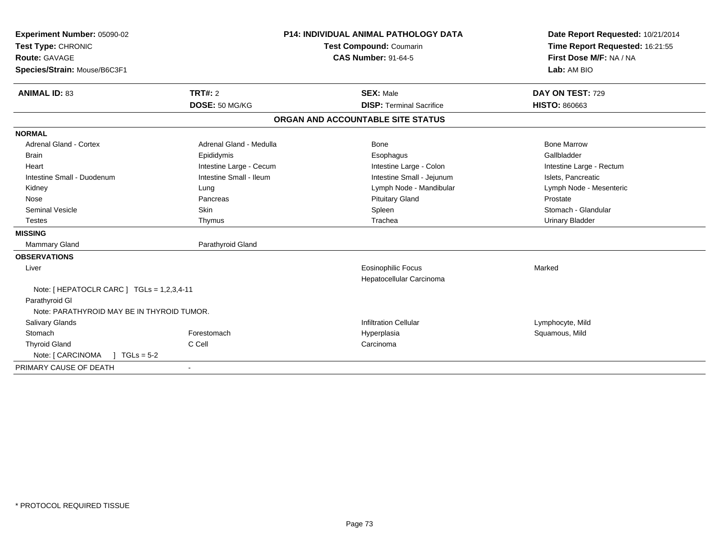| Experiment Number: 05090-02                | <b>P14: INDIVIDUAL ANIMAL PATHOLOGY DATA</b> |                                                       | Date Report Requested: 10/21/2014 |
|--------------------------------------------|----------------------------------------------|-------------------------------------------------------|-----------------------------------|
| Test Type: CHRONIC                         | <b>Test Compound: Coumarin</b>               |                                                       | Time Report Requested: 16:21:55   |
| <b>Route: GAVAGE</b>                       |                                              | <b>CAS Number: 91-64-5</b>                            | First Dose M/F: NA / NA           |
| Species/Strain: Mouse/B6C3F1               |                                              |                                                       | Lab: AM BIO                       |
| <b>ANIMAL ID: 83</b>                       | TRT#: 2                                      | <b>SEX: Male</b>                                      | DAY ON TEST: 729                  |
|                                            | DOSE: 50 MG/KG                               | <b>DISP: Terminal Sacrifice</b>                       | <b>HISTO: 860663</b>              |
|                                            |                                              | ORGAN AND ACCOUNTABLE SITE STATUS                     |                                   |
| <b>NORMAL</b>                              |                                              |                                                       |                                   |
| Adrenal Gland - Cortex                     | Adrenal Gland - Medulla                      | <b>Bone</b>                                           | <b>Bone Marrow</b>                |
| <b>Brain</b>                               | Epididymis                                   | Esophagus                                             | Gallbladder                       |
| Heart                                      | Intestine Large - Cecum                      | Intestine Large - Colon                               | Intestine Large - Rectum          |
| Intestine Small - Duodenum                 | Intestine Small - Ileum                      | Intestine Small - Jejunum                             | Islets, Pancreatic                |
| Kidney                                     | Lung                                         | Lymph Node - Mandibular                               | Lymph Node - Mesenteric           |
| Nose                                       | Pancreas                                     | <b>Pituitary Gland</b>                                | Prostate                          |
| <b>Seminal Vesicle</b>                     | Skin                                         | Spleen                                                | Stomach - Glandular               |
| <b>Testes</b>                              | Thymus                                       | Trachea                                               | <b>Urinary Bladder</b>            |
| <b>MISSING</b>                             |                                              |                                                       |                                   |
| Mammary Gland                              | Parathyroid Gland                            |                                                       |                                   |
| <b>OBSERVATIONS</b>                        |                                              |                                                       |                                   |
| Liver                                      |                                              | <b>Eosinophilic Focus</b><br>Hepatocellular Carcinoma | Marked                            |
| Note: [HEPATOCLR CARC ] TGLs = 1,2,3,4-11  |                                              |                                                       |                                   |
| Parathyroid GI                             |                                              |                                                       |                                   |
| Note: PARATHYROID MAY BE IN THYROID TUMOR. |                                              |                                                       |                                   |
| Salivary Glands                            |                                              | <b>Infiltration Cellular</b>                          | Lymphocyte, Mild                  |
| Stomach                                    | Forestomach                                  | Hyperplasia                                           | Squamous, Mild                    |
| <b>Thyroid Gland</b>                       | C Cell                                       | Carcinoma                                             |                                   |
| Note: [ CARCINOMA<br>$1 TGLs = 5-2$        |                                              |                                                       |                                   |
| PRIMARY CAUSE OF DEATH                     |                                              |                                                       |                                   |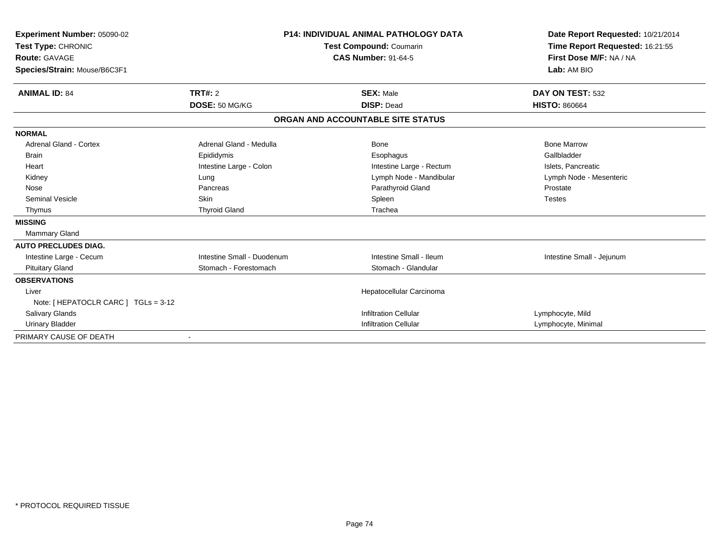| Experiment Number: 05090-02<br>Test Type: CHRONIC<br><b>Route: GAVAGE</b><br>Species/Strain: Mouse/B6C3F1 | <b>P14: INDIVIDUAL ANIMAL PATHOLOGY DATA</b><br>Test Compound: Coumarin<br><b>CAS Number: 91-64-5</b> |                                   | Date Report Requested: 10/21/2014<br>Time Report Requested: 16:21:55<br>First Dose M/F: NA / NA<br>Lab: AM BIO |
|-----------------------------------------------------------------------------------------------------------|-------------------------------------------------------------------------------------------------------|-----------------------------------|----------------------------------------------------------------------------------------------------------------|
| <b>ANIMAL ID: 84</b>                                                                                      | TRT#: 2                                                                                               | <b>SEX: Male</b>                  | DAY ON TEST: 532                                                                                               |
|                                                                                                           | DOSE: 50 MG/KG                                                                                        | <b>DISP: Dead</b>                 | <b>HISTO: 860664</b>                                                                                           |
|                                                                                                           |                                                                                                       | ORGAN AND ACCOUNTABLE SITE STATUS |                                                                                                                |
| <b>NORMAL</b>                                                                                             |                                                                                                       |                                   |                                                                                                                |
| <b>Adrenal Gland - Cortex</b>                                                                             | Adrenal Gland - Medulla                                                                               | Bone                              | <b>Bone Marrow</b>                                                                                             |
| <b>Brain</b>                                                                                              | Epididymis                                                                                            | Esophagus                         | Gallbladder                                                                                                    |
| Heart                                                                                                     | Intestine Large - Colon                                                                               | Intestine Large - Rectum          | Islets, Pancreatic                                                                                             |
| Kidney                                                                                                    | Lung                                                                                                  | Lymph Node - Mandibular           | Lymph Node - Mesenteric                                                                                        |
| Nose                                                                                                      | Pancreas                                                                                              | Parathyroid Gland                 | Prostate                                                                                                       |
| <b>Seminal Vesicle</b>                                                                                    | Skin                                                                                                  | Spleen                            | <b>Testes</b>                                                                                                  |
| Thymus                                                                                                    | <b>Thyroid Gland</b>                                                                                  | Trachea                           |                                                                                                                |
| <b>MISSING</b>                                                                                            |                                                                                                       |                                   |                                                                                                                |
| <b>Mammary Gland</b>                                                                                      |                                                                                                       |                                   |                                                                                                                |
| <b>AUTO PRECLUDES DIAG.</b>                                                                               |                                                                                                       |                                   |                                                                                                                |
| Intestine Large - Cecum                                                                                   | Intestine Small - Duodenum                                                                            | Intestine Small - Ileum           | Intestine Small - Jejunum                                                                                      |
| <b>Pituitary Gland</b>                                                                                    | Stomach - Forestomach                                                                                 | Stomach - Glandular               |                                                                                                                |
| <b>OBSERVATIONS</b>                                                                                       |                                                                                                       |                                   |                                                                                                                |
| Liver                                                                                                     |                                                                                                       | Hepatocellular Carcinoma          |                                                                                                                |
| Note: [ HEPATOCLR CARC ] TGLs = 3-12                                                                      |                                                                                                       |                                   |                                                                                                                |
| <b>Salivary Glands</b>                                                                                    |                                                                                                       | <b>Infiltration Cellular</b>      | Lymphocyte, Mild                                                                                               |
| <b>Urinary Bladder</b>                                                                                    |                                                                                                       | <b>Infiltration Cellular</b>      | Lymphocyte, Minimal                                                                                            |
| PRIMARY CAUSE OF DEATH                                                                                    |                                                                                                       |                                   |                                                                                                                |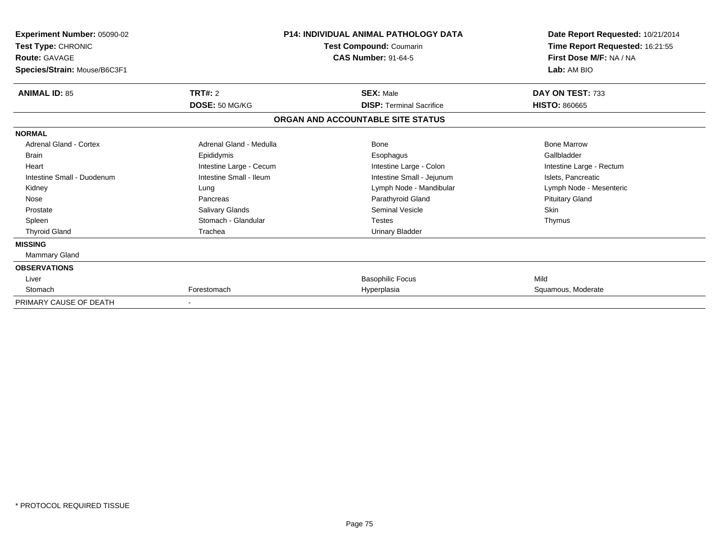| Experiment Number: 05090-02<br>Test Type: CHRONIC<br><b>Route: GAVAGE</b><br>Species/Strain: Mouse/B6C3F1 |                         | <b>P14: INDIVIDUAL ANIMAL PATHOLOGY DATA</b><br>Test Compound: Coumarin<br><b>CAS Number: 91-64-5</b> | Date Report Requested: 10/21/2014<br>Time Report Requested: 16:21:55<br>First Dose M/F: NA / NA<br>Lab: AM BIO |
|-----------------------------------------------------------------------------------------------------------|-------------------------|-------------------------------------------------------------------------------------------------------|----------------------------------------------------------------------------------------------------------------|
| <b>ANIMAL ID: 85</b>                                                                                      | TRT#: 2                 | <b>SEX: Male</b>                                                                                      | DAY ON TEST: 733                                                                                               |
|                                                                                                           | DOSE: 50 MG/KG          | <b>DISP: Terminal Sacrifice</b>                                                                       | <b>HISTO: 860665</b>                                                                                           |
|                                                                                                           |                         | ORGAN AND ACCOUNTABLE SITE STATUS                                                                     |                                                                                                                |
| <b>NORMAL</b>                                                                                             |                         |                                                                                                       |                                                                                                                |
| <b>Adrenal Gland - Cortex</b>                                                                             | Adrenal Gland - Medulla | <b>Bone</b>                                                                                           | <b>Bone Marrow</b>                                                                                             |
| <b>Brain</b>                                                                                              | Epididymis              | Esophagus                                                                                             | Gallbladder                                                                                                    |
| Heart                                                                                                     | Intestine Large - Cecum | Intestine Large - Colon                                                                               | Intestine Large - Rectum                                                                                       |
| Intestine Small - Duodenum                                                                                | Intestine Small - Ileum | Intestine Small - Jejunum                                                                             | Islets, Pancreatic                                                                                             |
| Kidney                                                                                                    | Lung                    | Lymph Node - Mandibular                                                                               | Lymph Node - Mesenteric                                                                                        |
| Nose                                                                                                      | Pancreas                | Parathyroid Gland                                                                                     | <b>Pituitary Gland</b>                                                                                         |
| Prostate                                                                                                  | <b>Salivary Glands</b>  | <b>Seminal Vesicle</b>                                                                                | <b>Skin</b>                                                                                                    |
| Spleen                                                                                                    | Stomach - Glandular     | Testes                                                                                                | Thymus                                                                                                         |
| <b>Thyroid Gland</b>                                                                                      | Trachea                 | <b>Urinary Bladder</b>                                                                                |                                                                                                                |
| <b>MISSING</b>                                                                                            |                         |                                                                                                       |                                                                                                                |
| Mammary Gland                                                                                             |                         |                                                                                                       |                                                                                                                |
| <b>OBSERVATIONS</b>                                                                                       |                         |                                                                                                       |                                                                                                                |
| Liver                                                                                                     |                         | <b>Basophilic Focus</b>                                                                               | Mild                                                                                                           |
| Stomach                                                                                                   | Forestomach             | Hyperplasia                                                                                           | Squamous, Moderate                                                                                             |
| PRIMARY CAUSE OF DEATH                                                                                    |                         |                                                                                                       |                                                                                                                |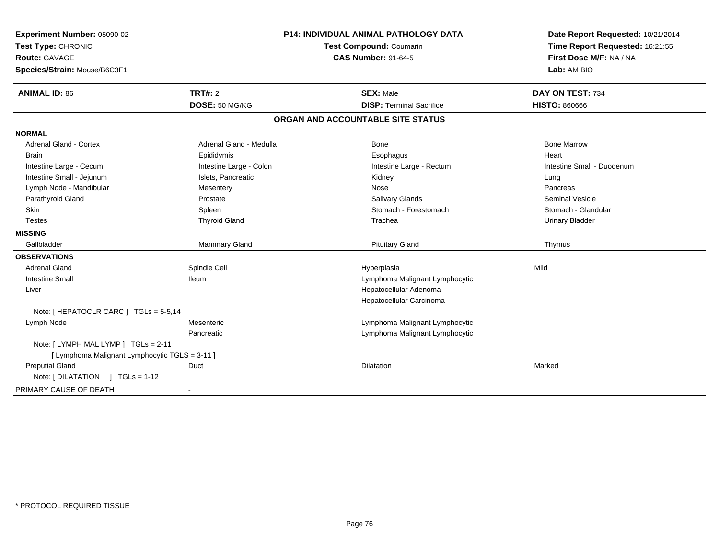| Experiment Number: 05090-02<br>Test Type: CHRONIC<br><b>Route: GAVAGE</b>             |                         | Test Compound: Coumarin<br><b>CAS Number: 91-64-5</b> | Date Report Requested: 10/21/2014<br>Time Report Requested: 16:21:55<br>First Dose M/F: NA / NA |
|---------------------------------------------------------------------------------------|-------------------------|-------------------------------------------------------|-------------------------------------------------------------------------------------------------|
|                                                                                       |                         |                                                       |                                                                                                 |
|                                                                                       |                         |                                                       |                                                                                                 |
| Species/Strain: Mouse/B6C3F1                                                          |                         |                                                       | Lab: AM BIO                                                                                     |
| <b>ANIMAL ID: 86</b><br><b>TRT#: 2</b>                                                |                         | <b>SEX: Male</b>                                      | DAY ON TEST: 734                                                                                |
|                                                                                       | DOSE: 50 MG/KG          | <b>DISP: Terminal Sacrifice</b>                       | <b>HISTO: 860666</b>                                                                            |
|                                                                                       |                         | ORGAN AND ACCOUNTABLE SITE STATUS                     |                                                                                                 |
| <b>NORMAL</b>                                                                         |                         |                                                       |                                                                                                 |
| Adrenal Gland - Cortex                                                                | Adrenal Gland - Medulla | Bone                                                  | <b>Bone Marrow</b>                                                                              |
| <b>Brain</b><br>Epididymis                                                            |                         | Esophagus                                             | Heart                                                                                           |
| Intestine Large - Cecum                                                               | Intestine Large - Colon | Intestine Large - Rectum                              | Intestine Small - Duodenum                                                                      |
| Intestine Small - Jejunum                                                             | Islets, Pancreatic      | Kidney                                                | Lung                                                                                            |
| Lymph Node - Mandibular<br>Mesentery                                                  |                         | Nose                                                  | Pancreas                                                                                        |
| Parathyroid Gland<br>Prostate                                                         |                         | <b>Salivary Glands</b>                                | <b>Seminal Vesicle</b>                                                                          |
| <b>Skin</b><br>Spleen                                                                 |                         | Stomach - Forestomach                                 | Stomach - Glandular                                                                             |
| <b>Testes</b>                                                                         | <b>Thyroid Gland</b>    | Trachea                                               | <b>Urinary Bladder</b>                                                                          |
| <b>MISSING</b>                                                                        |                         |                                                       |                                                                                                 |
| Gallbladder                                                                           | Mammary Gland           | <b>Pituitary Gland</b>                                | Thymus                                                                                          |
| <b>OBSERVATIONS</b>                                                                   |                         |                                                       |                                                                                                 |
| <b>Adrenal Gland</b><br>Spindle Cell                                                  |                         | Hyperplasia                                           | Mild                                                                                            |
| <b>Intestine Small</b><br><b>Ileum</b>                                                |                         | Lymphoma Malignant Lymphocytic                        |                                                                                                 |
| Liver                                                                                 |                         | Hepatocellular Adenoma                                |                                                                                                 |
|                                                                                       |                         | Hepatocellular Carcinoma                              |                                                                                                 |
| Note: [ HEPATOCLR CARC ] TGLs = 5-5,14                                                |                         |                                                       |                                                                                                 |
| Lymph Node<br>Mesenteric                                                              |                         | Lymphoma Malignant Lymphocytic                        |                                                                                                 |
| Pancreatic                                                                            |                         | Lymphoma Malignant Lymphocytic                        |                                                                                                 |
| Note: [LYMPH MAL LYMP ] TGLs = 2-11<br>[ Lymphoma Malignant Lymphocytic TGLS = 3-11 ] |                         |                                                       |                                                                                                 |
| <b>Preputial Gland</b><br>Duct                                                        |                         | <b>Dilatation</b>                                     | Marked                                                                                          |
| Note: [DILATATION ] TGLs = 1-12                                                       |                         |                                                       |                                                                                                 |
| PRIMARY CAUSE OF DEATH                                                                |                         |                                                       |                                                                                                 |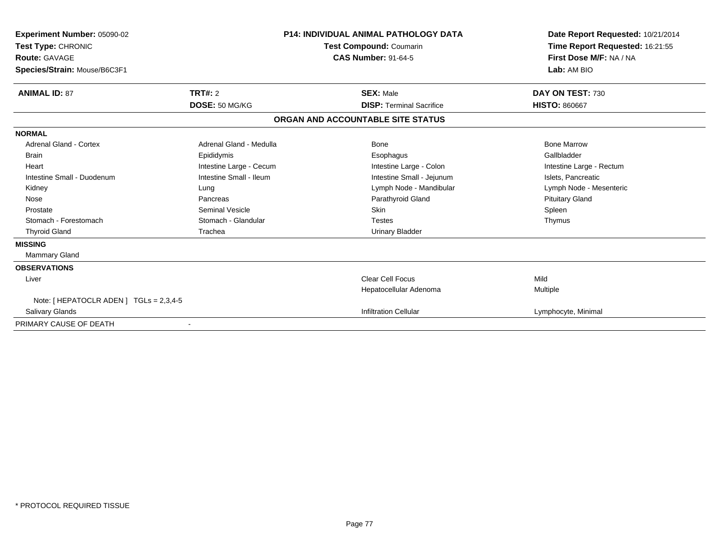| <b>Experiment Number: 05090-02</b><br>Test Type: CHRONIC<br><b>Route: GAVAGE</b><br>Species/Strain: Mouse/B6C3F1 | <b>P14: INDIVIDUAL ANIMAL PATHOLOGY DATA</b><br>Test Compound: Coumarin<br><b>CAS Number: 91-64-5</b> |                                   | Date Report Requested: 10/21/2014<br>Time Report Requested: 16:21:55<br>First Dose M/F: NA / NA<br>Lab: AM BIO |
|------------------------------------------------------------------------------------------------------------------|-------------------------------------------------------------------------------------------------------|-----------------------------------|----------------------------------------------------------------------------------------------------------------|
| <b>ANIMAL ID: 87</b>                                                                                             | TRT#: 2                                                                                               | <b>SEX: Male</b>                  | DAY ON TEST: 730                                                                                               |
|                                                                                                                  | DOSE: 50 MG/KG                                                                                        | <b>DISP: Terminal Sacrifice</b>   | <b>HISTO: 860667</b>                                                                                           |
|                                                                                                                  |                                                                                                       | ORGAN AND ACCOUNTABLE SITE STATUS |                                                                                                                |
| <b>NORMAL</b>                                                                                                    |                                                                                                       |                                   |                                                                                                                |
| Adrenal Gland - Cortex                                                                                           | Adrenal Gland - Medulla                                                                               | Bone                              | <b>Bone Marrow</b>                                                                                             |
| <b>Brain</b>                                                                                                     | Epididymis                                                                                            | Esophagus                         | Gallbladder                                                                                                    |
| Heart                                                                                                            | Intestine Large - Cecum                                                                               | Intestine Large - Colon           | Intestine Large - Rectum                                                                                       |
| Intestine Small - Duodenum                                                                                       | Intestine Small - Ileum                                                                               | Intestine Small - Jejunum         | Islets, Pancreatic                                                                                             |
| Kidney                                                                                                           | Lung                                                                                                  | Lymph Node - Mandibular           | Lymph Node - Mesenteric                                                                                        |
| Nose                                                                                                             | Pancreas                                                                                              | Parathyroid Gland                 | <b>Pituitary Gland</b>                                                                                         |
| Prostate                                                                                                         | <b>Seminal Vesicle</b>                                                                                | Skin                              | Spleen                                                                                                         |
| Stomach - Forestomach                                                                                            | Stomach - Glandular                                                                                   | <b>Testes</b>                     | Thymus                                                                                                         |
| <b>Thyroid Gland</b>                                                                                             | Trachea                                                                                               | <b>Urinary Bladder</b>            |                                                                                                                |
| <b>MISSING</b>                                                                                                   |                                                                                                       |                                   |                                                                                                                |
| <b>Mammary Gland</b>                                                                                             |                                                                                                       |                                   |                                                                                                                |
| <b>OBSERVATIONS</b>                                                                                              |                                                                                                       |                                   |                                                                                                                |
| Liver                                                                                                            |                                                                                                       | <b>Clear Cell Focus</b>           | Mild                                                                                                           |
|                                                                                                                  |                                                                                                       | Hepatocellular Adenoma            | Multiple                                                                                                       |
| Note: [ HEPATOCLR ADEN ] $TGLs = 2,3,4-5$                                                                        |                                                                                                       |                                   |                                                                                                                |
| <b>Salivary Glands</b>                                                                                           |                                                                                                       | <b>Infiltration Cellular</b>      | Lymphocyte, Minimal                                                                                            |
| PRIMARY CAUSE OF DEATH                                                                                           |                                                                                                       |                                   |                                                                                                                |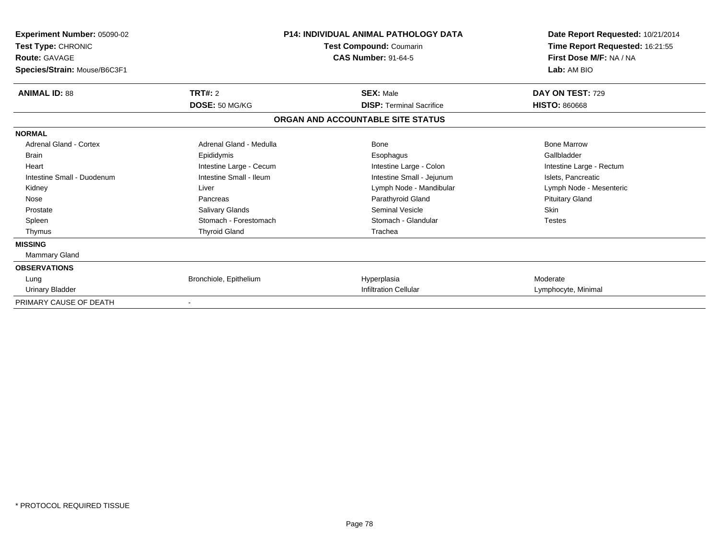| Experiment Number: 05090-02<br>Test Type: CHRONIC<br><b>Route: GAVAGE</b><br>Species/Strain: Mouse/B6C3F1 |                         | <b>P14: INDIVIDUAL ANIMAL PATHOLOGY DATA</b><br><b>Test Compound: Coumarin</b><br><b>CAS Number: 91-64-5</b> | Date Report Requested: 10/21/2014<br>Time Report Requested: 16:21:55<br>First Dose M/F: NA / NA<br>Lab: AM BIO |
|-----------------------------------------------------------------------------------------------------------|-------------------------|--------------------------------------------------------------------------------------------------------------|----------------------------------------------------------------------------------------------------------------|
| <b>ANIMAL ID: 88</b>                                                                                      | <b>TRT#: 2</b>          | <b>SEX: Male</b>                                                                                             | DAY ON TEST: 729                                                                                               |
|                                                                                                           | DOSE: 50 MG/KG          | <b>DISP: Terminal Sacrifice</b>                                                                              | <b>HISTO: 860668</b>                                                                                           |
|                                                                                                           |                         | ORGAN AND ACCOUNTABLE SITE STATUS                                                                            |                                                                                                                |
| <b>NORMAL</b>                                                                                             |                         |                                                                                                              |                                                                                                                |
| Adrenal Gland - Cortex                                                                                    | Adrenal Gland - Medulla | <b>Bone</b>                                                                                                  | <b>Bone Marrow</b>                                                                                             |
| <b>Brain</b>                                                                                              | Epididymis              | Esophagus                                                                                                    | Gallbladder                                                                                                    |
| Heart                                                                                                     | Intestine Large - Cecum | Intestine Large - Colon                                                                                      | Intestine Large - Rectum                                                                                       |
| Intestine Small - Duodenum                                                                                | Intestine Small - Ileum | Intestine Small - Jejunum                                                                                    | Islets, Pancreatic                                                                                             |
| Kidney                                                                                                    | Liver                   | Lymph Node - Mandibular                                                                                      | Lymph Node - Mesenteric                                                                                        |
| Nose                                                                                                      | Pancreas                | Parathyroid Gland                                                                                            | <b>Pituitary Gland</b>                                                                                         |
| Prostate                                                                                                  | Salivary Glands         | Seminal Vesicle                                                                                              | <b>Skin</b>                                                                                                    |
| Spleen                                                                                                    | Stomach - Forestomach   | Stomach - Glandular                                                                                          | <b>Testes</b>                                                                                                  |
| Thymus                                                                                                    | <b>Thyroid Gland</b>    | Trachea                                                                                                      |                                                                                                                |
| <b>MISSING</b>                                                                                            |                         |                                                                                                              |                                                                                                                |
| Mammary Gland                                                                                             |                         |                                                                                                              |                                                                                                                |
| <b>OBSERVATIONS</b>                                                                                       |                         |                                                                                                              |                                                                                                                |
| Lung                                                                                                      | Bronchiole, Epithelium  | Hyperplasia                                                                                                  | Moderate                                                                                                       |
| <b>Urinary Bladder</b>                                                                                    |                         | <b>Infiltration Cellular</b>                                                                                 | Lymphocyte, Minimal                                                                                            |
| PRIMARY CAUSE OF DEATH                                                                                    |                         |                                                                                                              |                                                                                                                |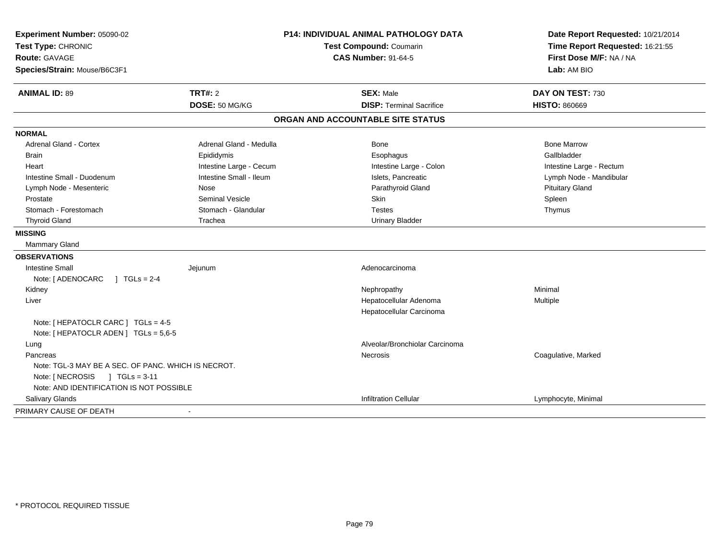| Experiment Number: 05090-02<br>Test Type: CHRONIC<br>Route: GAVAGE |                         | <b>P14: INDIVIDUAL ANIMAL PATHOLOGY DATA</b> | Date Report Requested: 10/21/2014 |
|--------------------------------------------------------------------|-------------------------|----------------------------------------------|-----------------------------------|
|                                                                    |                         | Test Compound: Coumarin                      | Time Report Requested: 16:21:55   |
|                                                                    |                         | <b>CAS Number: 91-64-5</b>                   | First Dose M/F: NA / NA           |
| Species/Strain: Mouse/B6C3F1                                       |                         |                                              | Lab: AM BIO                       |
| <b>ANIMAL ID: 89</b>                                               | <b>TRT#: 2</b>          | <b>SEX: Male</b>                             | DAY ON TEST: 730                  |
|                                                                    | DOSE: 50 MG/KG          | <b>DISP: Terminal Sacrifice</b>              | <b>HISTO: 860669</b>              |
|                                                                    |                         | ORGAN AND ACCOUNTABLE SITE STATUS            |                                   |
| <b>NORMAL</b>                                                      |                         |                                              |                                   |
| <b>Adrenal Gland - Cortex</b>                                      | Adrenal Gland - Medulla | Bone                                         | <b>Bone Marrow</b>                |
| <b>Brain</b>                                                       | Epididymis              | Esophagus                                    | Gallbladder                       |
| Heart                                                              | Intestine Large - Cecum | Intestine Large - Colon                      | Intestine Large - Rectum          |
| Intestine Small - Duodenum                                         | Intestine Small - Ileum | Islets, Pancreatic                           | Lymph Node - Mandibular           |
| Lymph Node - Mesenteric                                            | Nose                    | Parathyroid Gland                            | <b>Pituitary Gland</b>            |
| Prostate                                                           | <b>Seminal Vesicle</b>  | Skin                                         | Spleen                            |
| Stomach - Forestomach                                              | Stomach - Glandular     | <b>Testes</b>                                | Thymus                            |
| <b>Thyroid Gland</b>                                               | Trachea                 | <b>Urinary Bladder</b>                       |                                   |
| <b>MISSING</b>                                                     |                         |                                              |                                   |
| Mammary Gland                                                      |                         |                                              |                                   |
| <b>OBSERVATIONS</b>                                                |                         |                                              |                                   |
| Intestine Small                                                    | Jejunum                 | Adenocarcinoma                               |                                   |
| $1 TGLs = 2-4$<br>Note: [ ADENOCARC                                |                         |                                              |                                   |
| Kidney                                                             |                         | Nephropathy                                  | Minimal                           |
| Liver                                                              |                         | Hepatocellular Adenoma                       | Multiple                          |
|                                                                    |                         | Hepatocellular Carcinoma                     |                                   |
| Note: [ HEPATOCLR CARC ] TGLs = 4-5                                |                         |                                              |                                   |
| Note: [ HEPATOCLR ADEN ] TGLs = 5,6-5                              |                         |                                              |                                   |
| Lung                                                               |                         | Alveolar/Bronchiolar Carcinoma               |                                   |
| Pancreas                                                           |                         | <b>Necrosis</b>                              | Coagulative, Marked               |
| Note: TGL-3 MAY BE A SEC. OF PANC. WHICH IS NECROT.                |                         |                                              |                                   |
| Note: [NECROSIS ] TGLs = 3-11                                      |                         |                                              |                                   |
| Note: AND IDENTIFICATION IS NOT POSSIBLE                           |                         |                                              |                                   |
| Salivary Glands                                                    |                         | <b>Infiltration Cellular</b>                 | Lymphocyte, Minimal               |
| PRIMARY CAUSE OF DEATH                                             | $\blacksquare$          |                                              |                                   |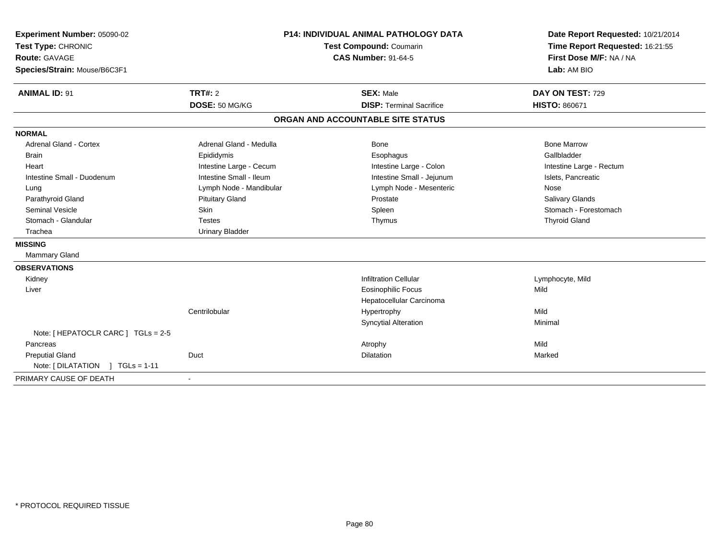| Experiment Number: 05090-02         | <b>P14: INDIVIDUAL ANIMAL PATHOLOGY DATA</b><br>Test Compound: Coumarin |                                   | Date Report Requested: 10/21/2014 |  |
|-------------------------------------|-------------------------------------------------------------------------|-----------------------------------|-----------------------------------|--|
| Test Type: CHRONIC                  |                                                                         |                                   | Time Report Requested: 16:21:55   |  |
| <b>Route: GAVAGE</b>                |                                                                         | <b>CAS Number: 91-64-5</b>        | First Dose M/F: NA / NA           |  |
| Species/Strain: Mouse/B6C3F1        |                                                                         |                                   | Lab: AM BIO                       |  |
|                                     |                                                                         |                                   |                                   |  |
| <b>ANIMAL ID: 91</b>                | TRT#: 2                                                                 | <b>SEX: Male</b>                  | DAY ON TEST: 729                  |  |
|                                     | DOSE: 50 MG/KG                                                          | <b>DISP: Terminal Sacrifice</b>   | <b>HISTO: 860671</b>              |  |
|                                     |                                                                         | ORGAN AND ACCOUNTABLE SITE STATUS |                                   |  |
| <b>NORMAL</b>                       |                                                                         |                                   |                                   |  |
| <b>Adrenal Gland - Cortex</b>       | Adrenal Gland - Medulla                                                 | Bone                              | <b>Bone Marrow</b>                |  |
| <b>Brain</b>                        | Epididymis                                                              | Esophagus                         | Gallbladder                       |  |
| Heart                               | Intestine Large - Cecum                                                 | Intestine Large - Colon           | Intestine Large - Rectum          |  |
| Intestine Small - Duodenum          | Intestine Small - Ileum                                                 | Intestine Small - Jejunum         | Islets, Pancreatic                |  |
| Lung                                | Lymph Node - Mandibular                                                 | Lymph Node - Mesenteric           | Nose                              |  |
| Parathyroid Gland                   | <b>Pituitary Gland</b>                                                  | Prostate                          | Salivary Glands                   |  |
| <b>Seminal Vesicle</b>              | Skin                                                                    | Spleen                            | Stomach - Forestomach             |  |
| Stomach - Glandular                 | <b>Testes</b>                                                           | Thymus                            | <b>Thyroid Gland</b>              |  |
| Trachea                             | <b>Urinary Bladder</b>                                                  |                                   |                                   |  |
| <b>MISSING</b>                      |                                                                         |                                   |                                   |  |
| Mammary Gland                       |                                                                         |                                   |                                   |  |
| <b>OBSERVATIONS</b>                 |                                                                         |                                   |                                   |  |
| Kidney                              |                                                                         | <b>Infiltration Cellular</b>      | Lymphocyte, Mild                  |  |
| Liver                               |                                                                         | <b>Eosinophilic Focus</b>         | Mild                              |  |
|                                     |                                                                         | Hepatocellular Carcinoma          |                                   |  |
|                                     | Centrilobular                                                           | Hypertrophy                       | Mild                              |  |
|                                     |                                                                         | <b>Syncytial Alteration</b>       | Minimal                           |  |
| Note: [ HEPATOCLR CARC ] TGLs = 2-5 |                                                                         |                                   |                                   |  |
| Pancreas                            |                                                                         | Atrophy                           | Mild                              |  |
| <b>Preputial Gland</b>              | Duct                                                                    | <b>Dilatation</b>                 | Marked                            |  |
| Note: [DILATATION ] TGLs = 1-11     |                                                                         |                                   |                                   |  |
| PRIMARY CAUSE OF DEATH              |                                                                         |                                   |                                   |  |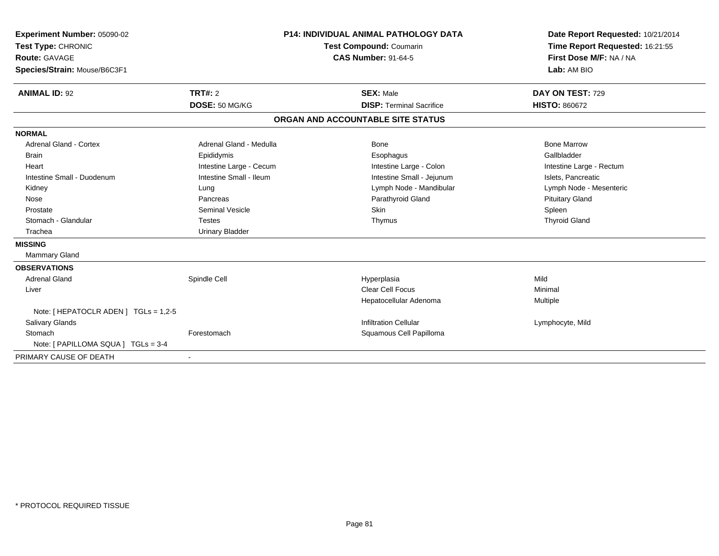| Experiment Number: 05090-02<br>Test Type: CHRONIC<br><b>Route: GAVAGE</b><br>Species/Strain: Mouse/B6C3F1<br><b>ANIMAL ID: 92</b> | <b>P14: INDIVIDUAL ANIMAL PATHOLOGY DATA</b><br>Test Compound: Coumarin<br><b>CAS Number: 91-64-5</b><br><b>TRT#: 2</b><br><b>SEX: Male</b> |                                   | Date Report Requested: 10/21/2014<br>Time Report Requested: 16:21:55<br>First Dose M/F: NA / NA<br>Lab: AM BIO<br>DAY ON TEST: 729<br><b>HISTO: 860672</b> |                          |
|-----------------------------------------------------------------------------------------------------------------------------------|---------------------------------------------------------------------------------------------------------------------------------------------|-----------------------------------|------------------------------------------------------------------------------------------------------------------------------------------------------------|--------------------------|
|                                                                                                                                   | DOSE: 50 MG/KG                                                                                                                              |                                   | <b>DISP: Terminal Sacrifice</b>                                                                                                                            |                          |
|                                                                                                                                   |                                                                                                                                             | ORGAN AND ACCOUNTABLE SITE STATUS |                                                                                                                                                            |                          |
| <b>NORMAL</b>                                                                                                                     |                                                                                                                                             |                                   |                                                                                                                                                            |                          |
| <b>Adrenal Gland - Cortex</b>                                                                                                     | Adrenal Gland - Medulla                                                                                                                     |                                   | Bone                                                                                                                                                       | <b>Bone Marrow</b>       |
| <b>Brain</b>                                                                                                                      | Epididymis                                                                                                                                  |                                   | Esophagus                                                                                                                                                  | Gallbladder              |
| Heart                                                                                                                             | Intestine Large - Cecum                                                                                                                     |                                   | Intestine Large - Colon                                                                                                                                    | Intestine Large - Rectum |
| Intestine Small - Duodenum                                                                                                        | Intestine Small - Ileum                                                                                                                     |                                   | Intestine Small - Jejunum                                                                                                                                  | Islets, Pancreatic       |
| Kidney                                                                                                                            | Lung                                                                                                                                        |                                   | Lymph Node - Mandibular                                                                                                                                    | Lymph Node - Mesenteric  |
| Nose                                                                                                                              | Pancreas                                                                                                                                    |                                   | Parathyroid Gland                                                                                                                                          | <b>Pituitary Gland</b>   |
| Prostate                                                                                                                          | <b>Seminal Vesicle</b>                                                                                                                      |                                   | <b>Skin</b>                                                                                                                                                | Spleen                   |
| Stomach - Glandular                                                                                                               | <b>Testes</b>                                                                                                                               |                                   | Thymus                                                                                                                                                     | <b>Thyroid Gland</b>     |
| Trachea                                                                                                                           | <b>Urinary Bladder</b>                                                                                                                      |                                   |                                                                                                                                                            |                          |
| <b>MISSING</b>                                                                                                                    |                                                                                                                                             |                                   |                                                                                                                                                            |                          |
| Mammary Gland                                                                                                                     |                                                                                                                                             |                                   |                                                                                                                                                            |                          |
| <b>OBSERVATIONS</b>                                                                                                               |                                                                                                                                             |                                   |                                                                                                                                                            |                          |
| <b>Adrenal Gland</b>                                                                                                              | Spindle Cell                                                                                                                                |                                   | Hyperplasia                                                                                                                                                | Mild                     |
| Liver                                                                                                                             |                                                                                                                                             |                                   | <b>Clear Cell Focus</b>                                                                                                                                    | Minimal                  |
|                                                                                                                                   |                                                                                                                                             |                                   | Hepatocellular Adenoma                                                                                                                                     | Multiple                 |
| Note: [ HEPATOCLR ADEN ] TGLs = 1,2-5                                                                                             |                                                                                                                                             |                                   |                                                                                                                                                            |                          |
| <b>Salivary Glands</b>                                                                                                            |                                                                                                                                             |                                   | <b>Infiltration Cellular</b>                                                                                                                               | Lymphocyte, Mild         |
| Stomach                                                                                                                           | Forestomach                                                                                                                                 |                                   | Squamous Cell Papilloma                                                                                                                                    |                          |
| Note: [ PAPILLOMA SQUA ] TGLs = 3-4                                                                                               |                                                                                                                                             |                                   |                                                                                                                                                            |                          |
| PRIMARY CAUSE OF DEATH                                                                                                            |                                                                                                                                             |                                   |                                                                                                                                                            |                          |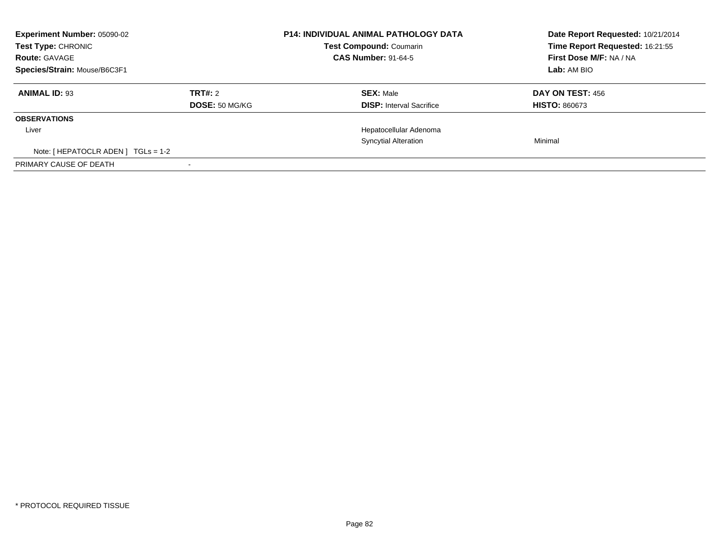| Experiment Number: 05090-02<br><b>Test Type: CHRONIC</b><br><b>Route: GAVAGE</b><br>Species/Strain: Mouse/B6C3F1 |                | <b>P14: INDIVIDUAL ANIMAL PATHOLOGY DATA</b><br><b>Test Compound: Coumarin</b><br><b>CAS Number: 91-64-5</b> | Date Report Requested: 10/21/2014<br>Time Report Requested: 16:21:55<br>First Dose M/F: NA / NA<br>Lab: AM BIO |  |
|------------------------------------------------------------------------------------------------------------------|----------------|--------------------------------------------------------------------------------------------------------------|----------------------------------------------------------------------------------------------------------------|--|
| <b>ANIMAL ID: 93</b>                                                                                             | TRT#: 2        | <b>SEX: Male</b>                                                                                             | DAY ON TEST: 456                                                                                               |  |
|                                                                                                                  | DOSE: 50 MG/KG | <b>DISP:</b> Interval Sacrifice                                                                              | <b>HISTO: 860673</b>                                                                                           |  |
| <b>OBSERVATIONS</b>                                                                                              |                |                                                                                                              |                                                                                                                |  |
| Liver                                                                                                            |                | Hepatocellular Adenoma                                                                                       |                                                                                                                |  |
|                                                                                                                  |                | <b>Syncytial Alteration</b>                                                                                  | Minimal                                                                                                        |  |
| Note: $[$ HEPATOCLR ADEN $]$ TGLs = 1-2                                                                          |                |                                                                                                              |                                                                                                                |  |
| PRIMARY CAUSE OF DEATH                                                                                           |                |                                                                                                              |                                                                                                                |  |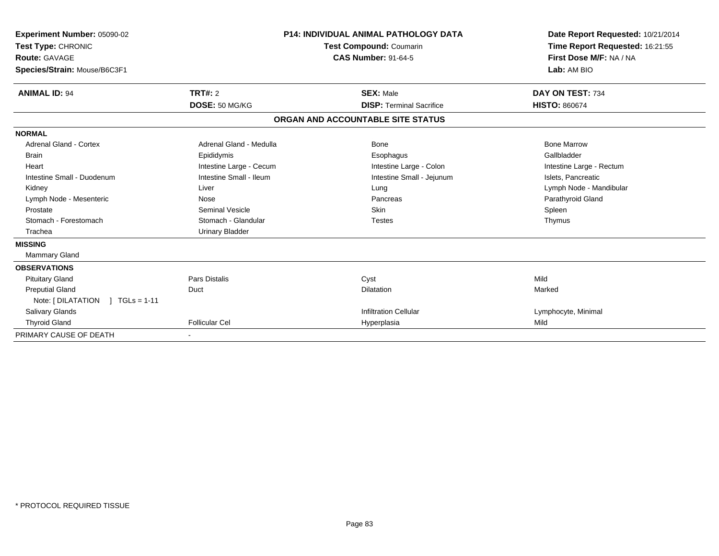| Experiment Number: 05090-02<br>Test Type: CHRONIC<br>Route: GAVAGE<br>Species/Strain: Mouse/B6C3F1 |                         | <b>P14: INDIVIDUAL ANIMAL PATHOLOGY DATA</b><br><b>Test Compound: Coumarin</b><br><b>CAS Number: 91-64-5</b> |  | Date Report Requested: 10/21/2014<br>Time Report Requested: 16:21:55<br>First Dose M/F: NA / NA<br>Lab: AM BIO |
|----------------------------------------------------------------------------------------------------|-------------------------|--------------------------------------------------------------------------------------------------------------|--|----------------------------------------------------------------------------------------------------------------|
| <b>ANIMAL ID: 94</b>                                                                               | <b>TRT#: 2</b>          | <b>SEX: Male</b>                                                                                             |  | DAY ON TEST: 734                                                                                               |
|                                                                                                    | DOSE: 50 MG/KG          | <b>DISP: Terminal Sacrifice</b>                                                                              |  | <b>HISTO: 860674</b>                                                                                           |
|                                                                                                    |                         | ORGAN AND ACCOUNTABLE SITE STATUS                                                                            |  |                                                                                                                |
| <b>NORMAL</b>                                                                                      |                         |                                                                                                              |  |                                                                                                                |
| Adrenal Gland - Cortex                                                                             | Adrenal Gland - Medulla | Bone                                                                                                         |  | <b>Bone Marrow</b>                                                                                             |
| <b>Brain</b>                                                                                       | Epididymis              | Esophagus                                                                                                    |  | Gallbladder                                                                                                    |
| Heart                                                                                              | Intestine Large - Cecum | Intestine Large - Colon                                                                                      |  | Intestine Large - Rectum                                                                                       |
| Intestine Small - Duodenum                                                                         | Intestine Small - Ileum | Intestine Small - Jejunum                                                                                    |  | Islets, Pancreatic                                                                                             |
| Kidney                                                                                             | Liver                   | Lung                                                                                                         |  | Lymph Node - Mandibular                                                                                        |
| Lymph Node - Mesenteric                                                                            | Nose                    | Pancreas                                                                                                     |  | Parathyroid Gland                                                                                              |
| Prostate                                                                                           | <b>Seminal Vesicle</b>  | <b>Skin</b>                                                                                                  |  | Spleen                                                                                                         |
| Stomach - Forestomach                                                                              | Stomach - Glandular     | <b>Testes</b>                                                                                                |  | Thymus                                                                                                         |
| Trachea                                                                                            | <b>Urinary Bladder</b>  |                                                                                                              |  |                                                                                                                |
| <b>MISSING</b>                                                                                     |                         |                                                                                                              |  |                                                                                                                |
| Mammary Gland                                                                                      |                         |                                                                                                              |  |                                                                                                                |
| <b>OBSERVATIONS</b>                                                                                |                         |                                                                                                              |  |                                                                                                                |
| <b>Pituitary Gland</b>                                                                             | <b>Pars Distalis</b>    | Cyst                                                                                                         |  | Mild                                                                                                           |
| <b>Preputial Gland</b>                                                                             | Duct                    | <b>Dilatation</b>                                                                                            |  | Marked                                                                                                         |
| Note: [ DILATATION<br>$1 TGLs = 1-11$                                                              |                         |                                                                                                              |  |                                                                                                                |
| Salivary Glands                                                                                    |                         | <b>Infiltration Cellular</b>                                                                                 |  | Lymphocyte, Minimal                                                                                            |
| <b>Thyroid Gland</b>                                                                               | <b>Follicular Cel</b>   | Hyperplasia                                                                                                  |  | Mild                                                                                                           |
| PRIMARY CAUSE OF DEATH                                                                             |                         |                                                                                                              |  |                                                                                                                |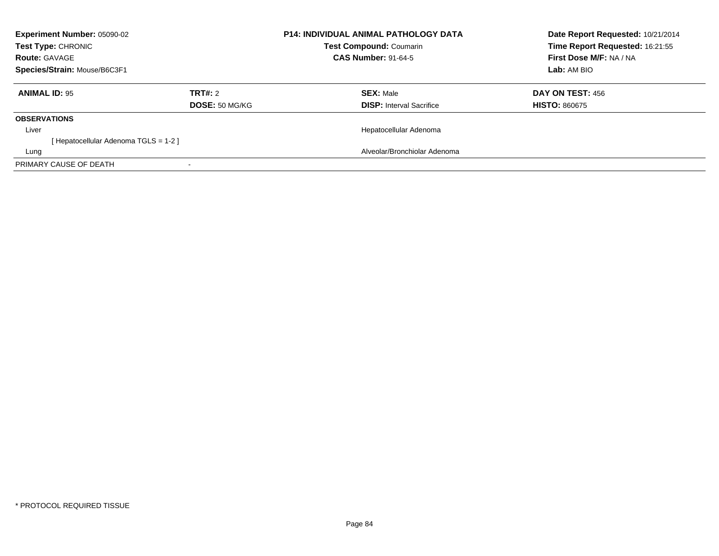| Experiment Number: 05090-02<br><b>Test Type: CHRONIC</b><br><b>Route: GAVAGE</b><br>Species/Strain: Mouse/B6C3F1 |                           | <b>P14: INDIVIDUAL ANIMAL PATHOLOGY DATA</b><br><b>Test Compound: Coumarin</b><br><b>CAS Number: 91-64-5</b> |                                                     | Date Report Requested: 10/21/2014<br>Time Report Requested: 16:21:55<br>First Dose M/F: NA / NA<br>Lab: AM BIO |
|------------------------------------------------------------------------------------------------------------------|---------------------------|--------------------------------------------------------------------------------------------------------------|-----------------------------------------------------|----------------------------------------------------------------------------------------------------------------|
| <b>ANIMAL ID: 95</b>                                                                                             | TRT#: 2<br>DOSE: 50 MG/KG |                                                                                                              | <b>SEX: Male</b><br><b>DISP:</b> Interval Sacrifice | DAY ON TEST: 456<br><b>HISTO: 860675</b>                                                                       |
| <b>OBSERVATIONS</b>                                                                                              |                           |                                                                                                              |                                                     |                                                                                                                |
| Liver<br>[Hepatocellular Adenoma TGLS = 1-2]                                                                     |                           |                                                                                                              | Hepatocellular Adenoma                              |                                                                                                                |
| Lung                                                                                                             |                           |                                                                                                              | Alveolar/Bronchiolar Adenoma                        |                                                                                                                |
| PRIMARY CAUSE OF DEATH                                                                                           |                           |                                                                                                              |                                                     |                                                                                                                |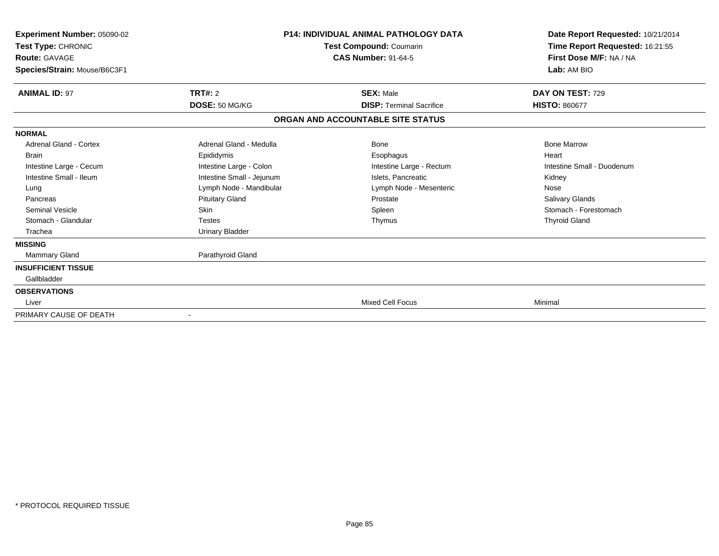| Experiment Number: 05090-02<br>Test Type: CHRONIC<br>Route: GAVAGE<br>Species/Strain: Mouse/B6C3F1 |                                                   | <b>P14: INDIVIDUAL ANIMAL PATHOLOGY DATA</b><br>Test Compound: Coumarin<br><b>CAS Number: 91-64-5</b> | Date Report Requested: 10/21/2014<br>Time Report Requested: 16:21:55<br>First Dose M/F: NA / NA<br>Lab: AM BIO |  |
|----------------------------------------------------------------------------------------------------|---------------------------------------------------|-------------------------------------------------------------------------------------------------------|----------------------------------------------------------------------------------------------------------------|--|
| <b>ANIMAL ID: 97</b>                                                                               | <b>TRT#: 2</b>                                    | <b>SEX: Male</b>                                                                                      | DAY ON TEST: 729                                                                                               |  |
|                                                                                                    | DOSE: 50 MG/KG<br><b>DISP: Terminal Sacrifice</b> |                                                                                                       | <b>HISTO: 860677</b>                                                                                           |  |
|                                                                                                    |                                                   | ORGAN AND ACCOUNTABLE SITE STATUS                                                                     |                                                                                                                |  |
| <b>NORMAL</b>                                                                                      |                                                   |                                                                                                       |                                                                                                                |  |
| <b>Adrenal Gland - Cortex</b>                                                                      | Adrenal Gland - Medulla                           | <b>Bone</b>                                                                                           | <b>Bone Marrow</b>                                                                                             |  |
| <b>Brain</b>                                                                                       | Epididymis                                        | Esophagus                                                                                             | Heart                                                                                                          |  |
| Intestine Large - Cecum                                                                            | Intestine Large - Colon                           | Intestine Large - Rectum                                                                              | Intestine Small - Duodenum                                                                                     |  |
| Intestine Small - Ileum                                                                            | Intestine Small - Jejunum                         | Islets. Pancreatic                                                                                    | Kidney                                                                                                         |  |
| Lung                                                                                               | Lymph Node - Mandibular                           | Lymph Node - Mesenteric                                                                               | Nose                                                                                                           |  |
| Pancreas                                                                                           | <b>Pituitary Gland</b>                            | Prostate                                                                                              | Salivary Glands                                                                                                |  |
| <b>Seminal Vesicle</b>                                                                             | Skin                                              | Spleen                                                                                                | Stomach - Forestomach                                                                                          |  |
| Stomach - Glandular                                                                                | <b>Testes</b>                                     | Thymus                                                                                                | <b>Thyroid Gland</b>                                                                                           |  |
| Trachea                                                                                            | <b>Urinary Bladder</b>                            |                                                                                                       |                                                                                                                |  |
| <b>MISSING</b>                                                                                     |                                                   |                                                                                                       |                                                                                                                |  |
| Mammary Gland                                                                                      | Parathyroid Gland                                 |                                                                                                       |                                                                                                                |  |
| <b>INSUFFICIENT TISSUE</b>                                                                         |                                                   |                                                                                                       |                                                                                                                |  |
| Gallbladder                                                                                        |                                                   |                                                                                                       |                                                                                                                |  |
| <b>OBSERVATIONS</b>                                                                                |                                                   |                                                                                                       |                                                                                                                |  |
| Liver                                                                                              |                                                   | <b>Mixed Cell Focus</b>                                                                               | Minimal                                                                                                        |  |
| PRIMARY CAUSE OF DEATH                                                                             |                                                   |                                                                                                       |                                                                                                                |  |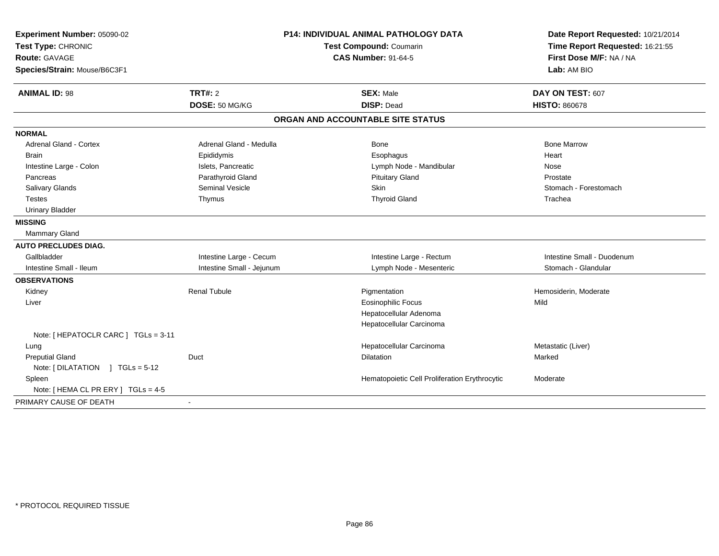| <b>P14: INDIVIDUAL ANIMAL PATHOLOGY DATA</b><br>Experiment Number: 05090-02<br>Test Type: CHRONIC<br>Test Compound: Coumarin<br><b>CAS Number: 91-64-5</b><br>Route: GAVAGE<br>Species/Strain: Mouse/B6C3F1 |                           |                                               | Date Report Requested: 10/21/2014<br>Time Report Requested: 16:21:55<br>First Dose M/F: NA / NA<br>Lab: AM BIO |
|-------------------------------------------------------------------------------------------------------------------------------------------------------------------------------------------------------------|---------------------------|-----------------------------------------------|----------------------------------------------------------------------------------------------------------------|
| <b>ANIMAL ID: 98</b>                                                                                                                                                                                        | TRT#: 2<br>DOSE: 50 MG/KG | <b>SEX: Male</b><br><b>DISP: Dead</b>         | DAY ON TEST: 607<br><b>HISTO: 860678</b>                                                                       |
|                                                                                                                                                                                                             |                           | ORGAN AND ACCOUNTABLE SITE STATUS             |                                                                                                                |
| <b>NORMAL</b>                                                                                                                                                                                               |                           |                                               |                                                                                                                |
| <b>Adrenal Gland - Cortex</b>                                                                                                                                                                               | Adrenal Gland - Medulla   | <b>Bone</b>                                   | <b>Bone Marrow</b>                                                                                             |
| <b>Brain</b>                                                                                                                                                                                                | Epididymis                | Esophagus                                     | Heart                                                                                                          |
| Intestine Large - Colon                                                                                                                                                                                     | Islets, Pancreatic        | Lymph Node - Mandibular                       | <b>Nose</b>                                                                                                    |
| Pancreas                                                                                                                                                                                                    | Parathyroid Gland         | <b>Pituitary Gland</b>                        | Prostate                                                                                                       |
| Salivary Glands                                                                                                                                                                                             | <b>Seminal Vesicle</b>    | Skin                                          | Stomach - Forestomach                                                                                          |
| <b>Testes</b>                                                                                                                                                                                               | Thymus                    | <b>Thyroid Gland</b>                          | Trachea                                                                                                        |
| <b>Urinary Bladder</b>                                                                                                                                                                                      |                           |                                               |                                                                                                                |
| <b>MISSING</b>                                                                                                                                                                                              |                           |                                               |                                                                                                                |
| <b>Mammary Gland</b>                                                                                                                                                                                        |                           |                                               |                                                                                                                |
| <b>AUTO PRECLUDES DIAG.</b>                                                                                                                                                                                 |                           |                                               |                                                                                                                |
| Gallbladder                                                                                                                                                                                                 | Intestine Large - Cecum   | Intestine Large - Rectum                      | Intestine Small - Duodenum                                                                                     |
| Intestine Small - Ileum                                                                                                                                                                                     | Intestine Small - Jejunum | Lymph Node - Mesenteric                       | Stomach - Glandular                                                                                            |
| <b>OBSERVATIONS</b>                                                                                                                                                                                         |                           |                                               |                                                                                                                |
| Kidney                                                                                                                                                                                                      | <b>Renal Tubule</b>       | Pigmentation                                  | Hemosiderin, Moderate                                                                                          |
| Liver                                                                                                                                                                                                       |                           | Eosinophilic Focus                            | Mild                                                                                                           |
|                                                                                                                                                                                                             |                           | Hepatocellular Adenoma                        |                                                                                                                |
|                                                                                                                                                                                                             |                           | Hepatocellular Carcinoma                      |                                                                                                                |
| Note: [ HEPATOCLR CARC ] TGLs = 3-11                                                                                                                                                                        |                           |                                               |                                                                                                                |
| Lung                                                                                                                                                                                                        |                           | Hepatocellular Carcinoma                      | Metastatic (Liver)                                                                                             |
| <b>Preputial Gland</b>                                                                                                                                                                                      | Duct                      | <b>Dilatation</b>                             | Marked                                                                                                         |
| Note: $[DILATATION] TGLs = 5-12$                                                                                                                                                                            |                           |                                               |                                                                                                                |
| Spleen                                                                                                                                                                                                      |                           | Hematopoietic Cell Proliferation Erythrocytic | Moderate                                                                                                       |
| Note: [ HEMA CL PR ERY ] TGLs = 4-5                                                                                                                                                                         |                           |                                               |                                                                                                                |
| PRIMARY CAUSE OF DEATH                                                                                                                                                                                      | $\blacksquare$            |                                               |                                                                                                                |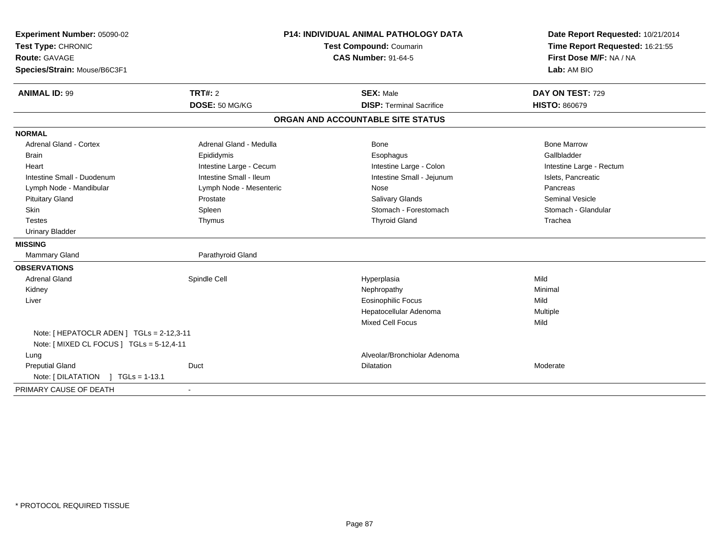| Experiment Number: 05090-02<br>Test Type: CHRONIC |                         | <b>P14: INDIVIDUAL ANIMAL PATHOLOGY DATA</b><br>Test Compound: Coumarin | Date Report Requested: 10/21/2014<br>Time Report Requested: 16:21:55 |  |
|---------------------------------------------------|-------------------------|-------------------------------------------------------------------------|----------------------------------------------------------------------|--|
| Route: GAVAGE                                     |                         | <b>CAS Number: 91-64-5</b>                                              | First Dose M/F: NA / NA                                              |  |
| Species/Strain: Mouse/B6C3F1                      |                         |                                                                         | Lab: AM BIO                                                          |  |
| <b>ANIMAL ID: 99</b>                              | TRT#: 2                 | <b>SEX: Male</b>                                                        | DAY ON TEST: 729                                                     |  |
|                                                   | DOSE: 50 MG/KG          | <b>DISP: Terminal Sacrifice</b>                                         | <b>HISTO: 860679</b>                                                 |  |
|                                                   |                         | ORGAN AND ACCOUNTABLE SITE STATUS                                       |                                                                      |  |
| <b>NORMAL</b>                                     |                         |                                                                         |                                                                      |  |
| <b>Adrenal Gland - Cortex</b>                     | Adrenal Gland - Medulla | Bone                                                                    | <b>Bone Marrow</b>                                                   |  |
| <b>Brain</b>                                      | Epididymis              | Esophagus                                                               | Gallbladder                                                          |  |
| Heart                                             | Intestine Large - Cecum | Intestine Large - Colon                                                 | Intestine Large - Rectum                                             |  |
| Intestine Small - Duodenum                        | Intestine Small - Ileum | Intestine Small - Jejunum                                               | Islets, Pancreatic                                                   |  |
| Lymph Node - Mandibular                           | Lymph Node - Mesenteric | Nose                                                                    | Pancreas                                                             |  |
| <b>Pituitary Gland</b>                            | Prostate                | <b>Salivary Glands</b>                                                  | <b>Seminal Vesicle</b>                                               |  |
| <b>Skin</b>                                       | Spleen                  | Stomach - Forestomach                                                   | Stomach - Glandular                                                  |  |
| <b>Testes</b>                                     | Thymus                  | <b>Thyroid Gland</b>                                                    | Trachea                                                              |  |
| <b>Urinary Bladder</b>                            |                         |                                                                         |                                                                      |  |
| <b>MISSING</b>                                    |                         |                                                                         |                                                                      |  |
| Mammary Gland                                     | Parathyroid Gland       |                                                                         |                                                                      |  |
| <b>OBSERVATIONS</b>                               |                         |                                                                         |                                                                      |  |
| <b>Adrenal Gland</b>                              | Spindle Cell            | Hyperplasia                                                             | Mild                                                                 |  |
| Kidney                                            |                         | Nephropathy                                                             | Minimal                                                              |  |
| Liver                                             |                         | <b>Eosinophilic Focus</b>                                               | Mild                                                                 |  |
|                                                   |                         | Hepatocellular Adenoma                                                  | Multiple                                                             |  |
|                                                   |                         | <b>Mixed Cell Focus</b>                                                 | Mild                                                                 |  |
| Note: [HEPATOCLR ADEN] TGLs = 2-12,3-11           |                         |                                                                         |                                                                      |  |
| Note: [ MIXED CL FOCUS ] TGLs = 5-12,4-11         |                         |                                                                         |                                                                      |  |
| Lung                                              |                         | Alveolar/Bronchiolar Adenoma                                            |                                                                      |  |
| <b>Preputial Gland</b>                            | Duct                    | <b>Dilatation</b>                                                       | Moderate                                                             |  |
| Note: [DILATATION ] TGLs = 1-13.1                 |                         |                                                                         |                                                                      |  |
| PRIMARY CAUSE OF DEATH                            |                         |                                                                         |                                                                      |  |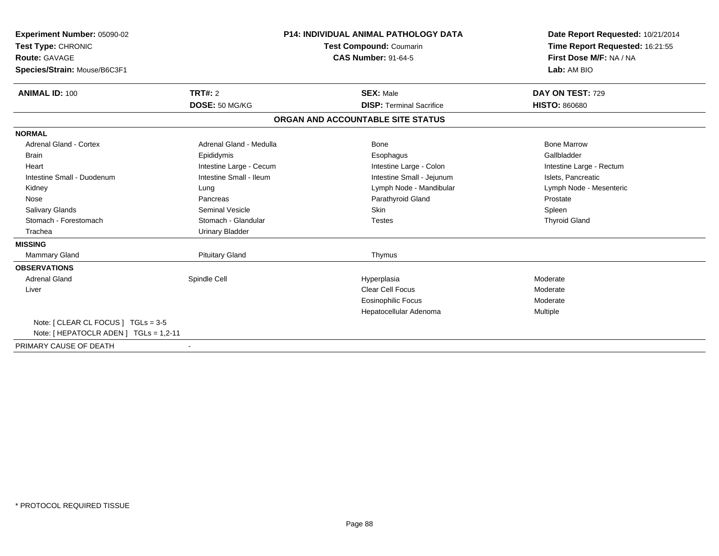| <b>Experiment Number: 05090-02</b><br>Test Type: CHRONIC<br><b>Route: GAVAGE</b><br>Species/Strain: Mouse/B6C3F1 |                         | <b>P14: INDIVIDUAL ANIMAL PATHOLOGY DATA</b><br>Test Compound: Coumarin<br><b>CAS Number: 91-64-5</b> | Date Report Requested: 10/21/2014<br>Time Report Requested: 16:21:55<br>First Dose M/F: NA / NA<br>Lab: AM BIO |  |
|------------------------------------------------------------------------------------------------------------------|-------------------------|-------------------------------------------------------------------------------------------------------|----------------------------------------------------------------------------------------------------------------|--|
|                                                                                                                  |                         |                                                                                                       |                                                                                                                |  |
| <b>ANIMAL ID: 100</b>                                                                                            | <b>TRT#: 2</b>          | <b>SEX: Male</b>                                                                                      | DAY ON TEST: 729                                                                                               |  |
|                                                                                                                  | DOSE: 50 MG/KG          | <b>DISP: Terminal Sacrifice</b>                                                                       | <b>HISTO: 860680</b>                                                                                           |  |
|                                                                                                                  |                         | ORGAN AND ACCOUNTABLE SITE STATUS                                                                     |                                                                                                                |  |
| <b>NORMAL</b>                                                                                                    |                         |                                                                                                       |                                                                                                                |  |
| <b>Adrenal Gland - Cortex</b>                                                                                    | Adrenal Gland - Medulla | Bone                                                                                                  | <b>Bone Marrow</b>                                                                                             |  |
| <b>Brain</b>                                                                                                     | Epididymis              | Esophagus                                                                                             | Gallbladder                                                                                                    |  |
| Heart                                                                                                            | Intestine Large - Cecum | Intestine Large - Colon                                                                               | Intestine Large - Rectum                                                                                       |  |
| Intestine Small - Duodenum                                                                                       | Intestine Small - Ileum | Intestine Small - Jejunum                                                                             | Islets, Pancreatic                                                                                             |  |
| Kidney                                                                                                           | Lung                    | Lymph Node - Mandibular                                                                               | Lymph Node - Mesenteric                                                                                        |  |
| Nose                                                                                                             | Pancreas                | Parathyroid Gland                                                                                     | Prostate                                                                                                       |  |
| <b>Salivary Glands</b>                                                                                           | <b>Seminal Vesicle</b>  | Skin                                                                                                  | Spleen                                                                                                         |  |
| Stomach - Forestomach                                                                                            | Stomach - Glandular     | <b>Testes</b>                                                                                         | <b>Thyroid Gland</b>                                                                                           |  |
| Trachea                                                                                                          | <b>Urinary Bladder</b>  |                                                                                                       |                                                                                                                |  |
| <b>MISSING</b>                                                                                                   |                         |                                                                                                       |                                                                                                                |  |
| Mammary Gland                                                                                                    | <b>Pituitary Gland</b>  | Thymus                                                                                                |                                                                                                                |  |
| <b>OBSERVATIONS</b>                                                                                              |                         |                                                                                                       |                                                                                                                |  |
| <b>Adrenal Gland</b>                                                                                             | Spindle Cell            | Hyperplasia                                                                                           | Moderate                                                                                                       |  |
| Liver                                                                                                            |                         | <b>Clear Cell Focus</b>                                                                               | Moderate                                                                                                       |  |
|                                                                                                                  |                         | Eosinophilic Focus                                                                                    | Moderate                                                                                                       |  |
|                                                                                                                  |                         | Hepatocellular Adenoma                                                                                | Multiple                                                                                                       |  |
| Note: [ CLEAR CL FOCUS ] TGLs = 3-5<br>Note: [ HEPATOCLR ADEN ] TGLs = 1,2-11                                    |                         |                                                                                                       |                                                                                                                |  |
| PRIMARY CAUSE OF DEATH                                                                                           |                         |                                                                                                       |                                                                                                                |  |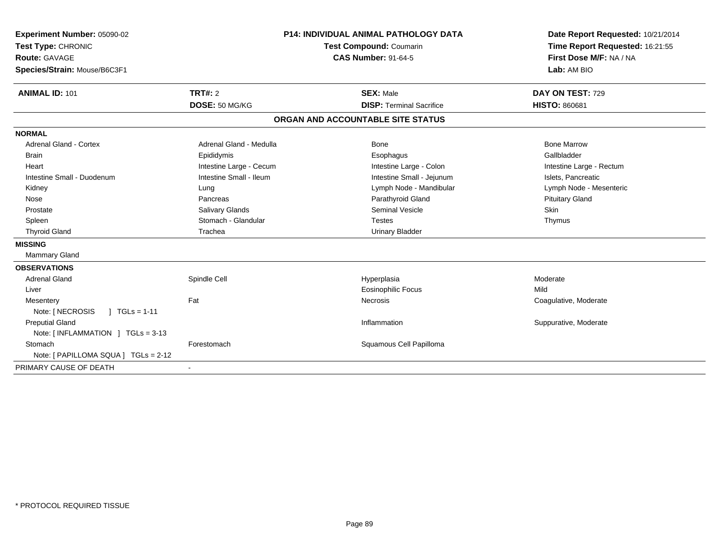| <b>Experiment Number: 05090-02</b><br>Test Type: CHRONIC<br><b>Route: GAVAGE</b><br>Species/Strain: Mouse/B6C3F1 |                                    | <b>P14: INDIVIDUAL ANIMAL PATHOLOGY DATA</b><br><b>Test Compound: Coumarin</b><br><b>CAS Number: 91-64-5</b> | Date Report Requested: 10/21/2014<br>Time Report Requested: 16:21:55<br>First Dose M/F: NA / NA<br>Lab: AM BIO |
|------------------------------------------------------------------------------------------------------------------|------------------------------------|--------------------------------------------------------------------------------------------------------------|----------------------------------------------------------------------------------------------------------------|
| <b>ANIMAL ID: 101</b>                                                                                            | <b>TRT#: 2</b><br><b>SEX: Male</b> |                                                                                                              | DAY ON TEST: 729                                                                                               |
|                                                                                                                  | DOSE: 50 MG/KG                     | <b>DISP: Terminal Sacrifice</b>                                                                              | <b>HISTO: 860681</b>                                                                                           |
|                                                                                                                  |                                    | ORGAN AND ACCOUNTABLE SITE STATUS                                                                            |                                                                                                                |
| <b>NORMAL</b>                                                                                                    |                                    |                                                                                                              |                                                                                                                |
| <b>Adrenal Gland - Cortex</b>                                                                                    | Adrenal Gland - Medulla            | Bone                                                                                                         | <b>Bone Marrow</b>                                                                                             |
| <b>Brain</b>                                                                                                     | Epididymis                         | Esophagus                                                                                                    | Gallbladder                                                                                                    |
| Heart                                                                                                            | Intestine Large - Cecum            | Intestine Large - Colon                                                                                      | Intestine Large - Rectum                                                                                       |
| Intestine Small - Duodenum                                                                                       | Intestine Small - Ileum            | Intestine Small - Jejunum                                                                                    | Islets, Pancreatic                                                                                             |
| Kidney                                                                                                           | Lung                               | Lymph Node - Mandibular                                                                                      | Lymph Node - Mesenteric                                                                                        |
| Nose                                                                                                             | Pancreas                           | Parathyroid Gland                                                                                            | <b>Pituitary Gland</b>                                                                                         |
| Prostate                                                                                                         | Salivary Glands                    | <b>Seminal Vesicle</b>                                                                                       | <b>Skin</b>                                                                                                    |
| Spleen                                                                                                           | Stomach - Glandular                | <b>Testes</b>                                                                                                | Thymus                                                                                                         |
| <b>Thyroid Gland</b>                                                                                             | Trachea                            | <b>Urinary Bladder</b>                                                                                       |                                                                                                                |
| <b>MISSING</b>                                                                                                   |                                    |                                                                                                              |                                                                                                                |
| <b>Mammary Gland</b>                                                                                             |                                    |                                                                                                              |                                                                                                                |
| <b>OBSERVATIONS</b>                                                                                              |                                    |                                                                                                              |                                                                                                                |
| <b>Adrenal Gland</b>                                                                                             | Spindle Cell                       | Hyperplasia                                                                                                  | Moderate                                                                                                       |
| Liver                                                                                                            |                                    | <b>Eosinophilic Focus</b>                                                                                    | Mild                                                                                                           |
| Mesentery                                                                                                        | Fat                                | <b>Necrosis</b>                                                                                              | Coagulative, Moderate                                                                                          |
| Note: [ NECROSIS<br>$\vert$ TGLs = 1-11                                                                          |                                    |                                                                                                              |                                                                                                                |
| <b>Preputial Gland</b>                                                                                           |                                    | Inflammation                                                                                                 | Suppurative, Moderate                                                                                          |
| Note: $[INFLAMMATION] TGLs = 3-13$                                                                               |                                    |                                                                                                              |                                                                                                                |
| Stomach                                                                                                          | Forestomach                        | Squamous Cell Papilloma                                                                                      |                                                                                                                |
| Note: [ PAPILLOMA SQUA ] TGLs = 2-12                                                                             |                                    |                                                                                                              |                                                                                                                |
| PRIMARY CAUSE OF DEATH                                                                                           |                                    |                                                                                                              |                                                                                                                |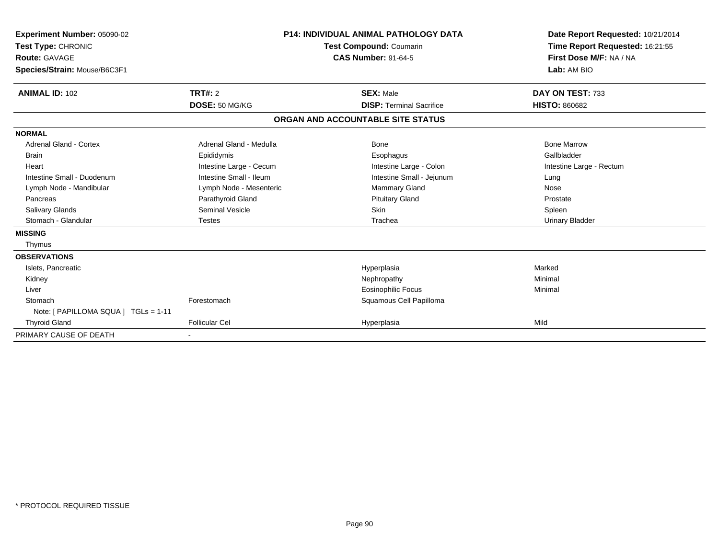| Experiment Number: 05090-02          |                         | <b>P14: INDIVIDUAL ANIMAL PATHOLOGY DATA</b> | Date Report Requested: 10/21/2014 |  |
|--------------------------------------|-------------------------|----------------------------------------------|-----------------------------------|--|
| Test Type: CHRONIC                   |                         | <b>Test Compound: Coumarin</b>               | Time Report Requested: 16:21:55   |  |
| Route: GAVAGE                        |                         | <b>CAS Number: 91-64-5</b>                   | First Dose M/F: NA / NA           |  |
| Species/Strain: Mouse/B6C3F1         |                         |                                              | Lab: AM BIO                       |  |
| <b>ANIMAL ID: 102</b>                | <b>TRT#: 2</b>          | <b>SEX: Male</b>                             | DAY ON TEST: 733                  |  |
|                                      | DOSE: 50 MG/KG          | <b>DISP: Terminal Sacrifice</b>              | <b>HISTO: 860682</b>              |  |
|                                      |                         | ORGAN AND ACCOUNTABLE SITE STATUS            |                                   |  |
| <b>NORMAL</b>                        |                         |                                              |                                   |  |
| <b>Adrenal Gland - Cortex</b>        | Adrenal Gland - Medulla | Bone                                         | <b>Bone Marrow</b>                |  |
| <b>Brain</b>                         | Epididymis              | Esophagus                                    | Gallbladder                       |  |
| Heart                                | Intestine Large - Cecum | Intestine Large - Colon                      | Intestine Large - Rectum          |  |
| Intestine Small - Duodenum           | Intestine Small - Ileum | Intestine Small - Jejunum                    | Lung                              |  |
| Lymph Node - Mandibular              | Lymph Node - Mesenteric | <b>Mammary Gland</b>                         | Nose                              |  |
| Pancreas                             | Parathyroid Gland       | <b>Pituitary Gland</b>                       | Prostate                          |  |
| <b>Salivary Glands</b>               | <b>Seminal Vesicle</b>  | <b>Skin</b>                                  | Spleen                            |  |
| Stomach - Glandular                  | <b>Testes</b>           | Trachea                                      | Urinary Bladder                   |  |
| <b>MISSING</b>                       |                         |                                              |                                   |  |
| Thymus                               |                         |                                              |                                   |  |
| <b>OBSERVATIONS</b>                  |                         |                                              |                                   |  |
| Islets, Pancreatic                   |                         | Hyperplasia                                  | Marked                            |  |
| Kidney                               |                         | Nephropathy                                  | Minimal                           |  |
| Liver                                |                         | <b>Eosinophilic Focus</b>                    | Minimal                           |  |
| Stomach                              | Forestomach             | Squamous Cell Papilloma                      |                                   |  |
| Note: [ PAPILLOMA SQUA ] TGLs = 1-11 |                         |                                              |                                   |  |
| <b>Thyroid Gland</b>                 | <b>Follicular Cel</b>   | Hyperplasia                                  | Mild                              |  |
| PRIMARY CAUSE OF DEATH               |                         |                                              |                                   |  |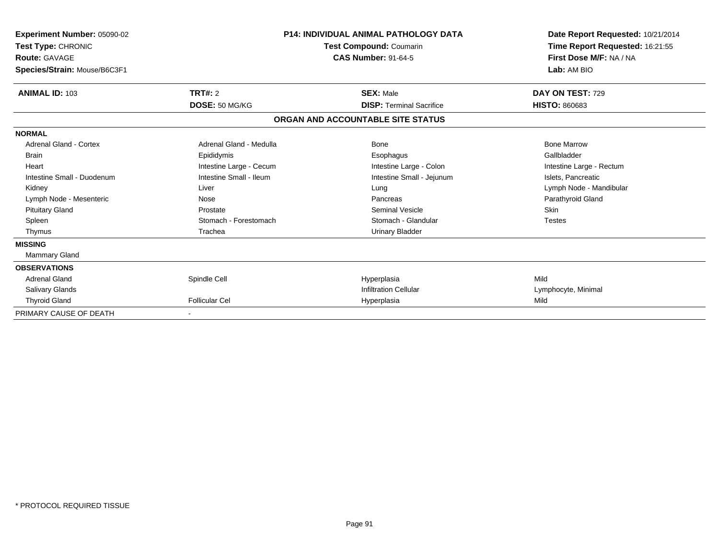| Experiment Number: 05090-02<br>Test Type: CHRONIC<br><b>Route: GAVAGE</b><br>Species/Strain: Mouse/B6C3F1 |                         | <b>P14: INDIVIDUAL ANIMAL PATHOLOGY DATA</b><br><b>Test Compound: Coumarin</b><br><b>CAS Number: 91-64-5</b> | Date Report Requested: 10/21/2014<br>Time Report Requested: 16:21:55<br>First Dose M/F: NA / NA<br>Lab: AM BIO |
|-----------------------------------------------------------------------------------------------------------|-------------------------|--------------------------------------------------------------------------------------------------------------|----------------------------------------------------------------------------------------------------------------|
| <b>ANIMAL ID: 103</b>                                                                                     | TRT#: 2                 | <b>SEX: Male</b>                                                                                             | DAY ON TEST: 729                                                                                               |
|                                                                                                           | DOSE: 50 MG/KG          | <b>DISP: Terminal Sacrifice</b>                                                                              | <b>HISTO: 860683</b>                                                                                           |
|                                                                                                           |                         | ORGAN AND ACCOUNTABLE SITE STATUS                                                                            |                                                                                                                |
| <b>NORMAL</b>                                                                                             |                         |                                                                                                              |                                                                                                                |
| Adrenal Gland - Cortex                                                                                    | Adrenal Gland - Medulla | Bone                                                                                                         | <b>Bone Marrow</b>                                                                                             |
| <b>Brain</b>                                                                                              | Epididymis              | Esophagus                                                                                                    | Gallbladder                                                                                                    |
| Heart                                                                                                     | Intestine Large - Cecum | Intestine Large - Colon                                                                                      | Intestine Large - Rectum                                                                                       |
| Intestine Small - Duodenum                                                                                | Intestine Small - Ileum | Intestine Small - Jejunum                                                                                    | Islets, Pancreatic                                                                                             |
| Kidney                                                                                                    | Liver                   | Lung                                                                                                         | Lymph Node - Mandibular                                                                                        |
| Lymph Node - Mesenteric                                                                                   | Nose                    | Pancreas                                                                                                     | Parathyroid Gland                                                                                              |
| <b>Pituitary Gland</b>                                                                                    | Prostate                | <b>Seminal Vesicle</b>                                                                                       | <b>Skin</b>                                                                                                    |
| Spleen                                                                                                    | Stomach - Forestomach   | Stomach - Glandular                                                                                          | <b>Testes</b>                                                                                                  |
| Thymus                                                                                                    | Trachea                 | <b>Urinary Bladder</b>                                                                                       |                                                                                                                |
| <b>MISSING</b>                                                                                            |                         |                                                                                                              |                                                                                                                |
| Mammary Gland                                                                                             |                         |                                                                                                              |                                                                                                                |
| <b>OBSERVATIONS</b>                                                                                       |                         |                                                                                                              |                                                                                                                |
| <b>Adrenal Gland</b>                                                                                      | Spindle Cell            | Hyperplasia                                                                                                  | Mild                                                                                                           |
| <b>Salivary Glands</b>                                                                                    |                         | <b>Infiltration Cellular</b>                                                                                 | Lymphocyte, Minimal                                                                                            |
| <b>Thyroid Gland</b>                                                                                      | <b>Follicular Cel</b>   | Hyperplasia                                                                                                  | Mild                                                                                                           |
| PRIMARY CAUSE OF DEATH                                                                                    |                         |                                                                                                              |                                                                                                                |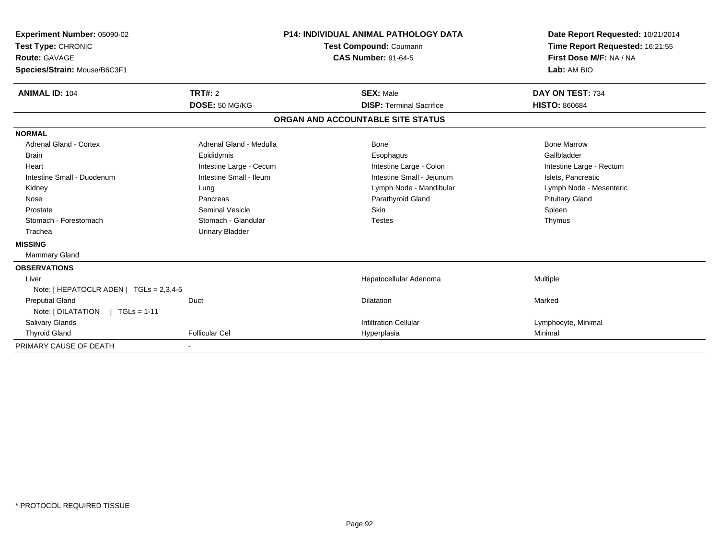| <b>Experiment Number: 05090-02</b><br>Test Type: CHRONIC<br>Route: GAVAGE<br>Species/Strain: Mouse/B6C3F1<br><b>ANIMAL ID: 104</b> | <b>TRT#: 2</b>          | <b>P14: INDIVIDUAL ANIMAL PATHOLOGY DATA</b><br><b>Test Compound: Coumarin</b><br><b>CAS Number: 91-64-5</b><br><b>SEX: Male</b> |                                   | Date Report Requested: 10/21/2014<br>Time Report Requested: 16:21:55<br>First Dose M/F: NA / NA<br>Lab: AM BIO<br>DAY ON TEST: 734 |
|------------------------------------------------------------------------------------------------------------------------------------|-------------------------|----------------------------------------------------------------------------------------------------------------------------------|-----------------------------------|------------------------------------------------------------------------------------------------------------------------------------|
|                                                                                                                                    | DOSE: 50 MG/KG          |                                                                                                                                  | <b>DISP: Terminal Sacrifice</b>   | <b>HISTO: 860684</b>                                                                                                               |
|                                                                                                                                    |                         |                                                                                                                                  | ORGAN AND ACCOUNTABLE SITE STATUS |                                                                                                                                    |
| <b>NORMAL</b>                                                                                                                      |                         |                                                                                                                                  |                                   |                                                                                                                                    |
| <b>Adrenal Gland - Cortex</b>                                                                                                      | Adrenal Gland - Medulla |                                                                                                                                  | Bone                              | <b>Bone Marrow</b>                                                                                                                 |
| <b>Brain</b>                                                                                                                       | Epididymis              |                                                                                                                                  | Esophagus                         | Gallbladder                                                                                                                        |
| Heart                                                                                                                              | Intestine Large - Cecum |                                                                                                                                  | Intestine Large - Colon           | Intestine Large - Rectum                                                                                                           |
| Intestine Small - Duodenum                                                                                                         | Intestine Small - Ileum |                                                                                                                                  | Intestine Small - Jejunum         | Islets, Pancreatic                                                                                                                 |
| Kidney                                                                                                                             | Lung                    |                                                                                                                                  | Lymph Node - Mandibular           | Lymph Node - Mesenteric                                                                                                            |
| Nose                                                                                                                               | Pancreas                |                                                                                                                                  | Parathyroid Gland                 | <b>Pituitary Gland</b>                                                                                                             |
| Prostate                                                                                                                           | <b>Seminal Vesicle</b>  |                                                                                                                                  | Skin                              | Spleen                                                                                                                             |
| Stomach - Forestomach                                                                                                              | Stomach - Glandular     |                                                                                                                                  | <b>Testes</b>                     | Thymus                                                                                                                             |
| Trachea                                                                                                                            | <b>Urinary Bladder</b>  |                                                                                                                                  |                                   |                                                                                                                                    |
| <b>MISSING</b>                                                                                                                     |                         |                                                                                                                                  |                                   |                                                                                                                                    |
| <b>Mammary Gland</b>                                                                                                               |                         |                                                                                                                                  |                                   |                                                                                                                                    |
| <b>OBSERVATIONS</b>                                                                                                                |                         |                                                                                                                                  |                                   |                                                                                                                                    |
| Liver                                                                                                                              |                         |                                                                                                                                  | Hepatocellular Adenoma            | Multiple                                                                                                                           |
| Note: [ HEPATOCLR ADEN ] TGLs = 2,3,4-5                                                                                            |                         |                                                                                                                                  |                                   |                                                                                                                                    |
| <b>Preputial Gland</b>                                                                                                             | Duct                    |                                                                                                                                  | <b>Dilatation</b>                 | Marked                                                                                                                             |
| Note: $[DILATATION] TGLs = 1-11$                                                                                                   |                         |                                                                                                                                  |                                   |                                                                                                                                    |
| Salivary Glands                                                                                                                    |                         |                                                                                                                                  | <b>Infiltration Cellular</b>      | Lymphocyte, Minimal                                                                                                                |
| <b>Thyroid Gland</b>                                                                                                               | <b>Follicular Cel</b>   |                                                                                                                                  | Hyperplasia                       | Minimal                                                                                                                            |
| PRIMARY CAUSE OF DEATH                                                                                                             |                         |                                                                                                                                  |                                   |                                                                                                                                    |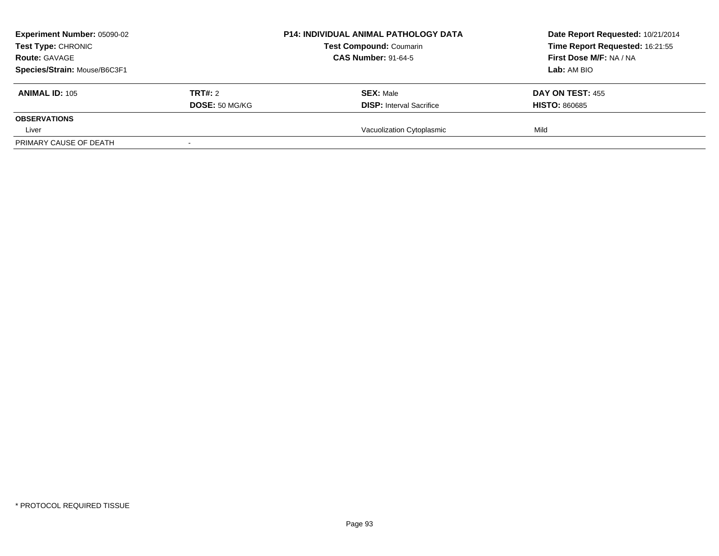| <b>Experiment Number: 05090-02</b><br>Test Type: CHRONIC<br><b>Route: GAVAGE</b> |                       | <b>P14: INDIVIDUAL ANIMAL PATHOLOGY DATA</b><br><b>Test Compound: Coumarin</b><br><b>CAS Number: 91-64-5</b> | Date Report Requested: 10/21/2014<br>Time Report Requested: 16:21:55<br>First Dose M/F: NA / NA |
|----------------------------------------------------------------------------------|-----------------------|--------------------------------------------------------------------------------------------------------------|-------------------------------------------------------------------------------------------------|
| Species/Strain: Mouse/B6C3F1<br><b>ANIMAL ID: 105</b>                            | TRT#: 2               | <b>SEX: Male</b>                                                                                             | Lab: AM BIO<br>DAY ON TEST: 455                                                                 |
|                                                                                  | <b>DOSE: 50 MG/KG</b> | <b>DISP:</b> Interval Sacrifice                                                                              | <b>HISTO: 860685</b>                                                                            |
| <b>OBSERVATIONS</b>                                                              |                       |                                                                                                              |                                                                                                 |
| Liver                                                                            |                       | Vacuolization Cytoplasmic                                                                                    | Mild                                                                                            |
| PRIMARY CAUSE OF DEATH                                                           |                       |                                                                                                              |                                                                                                 |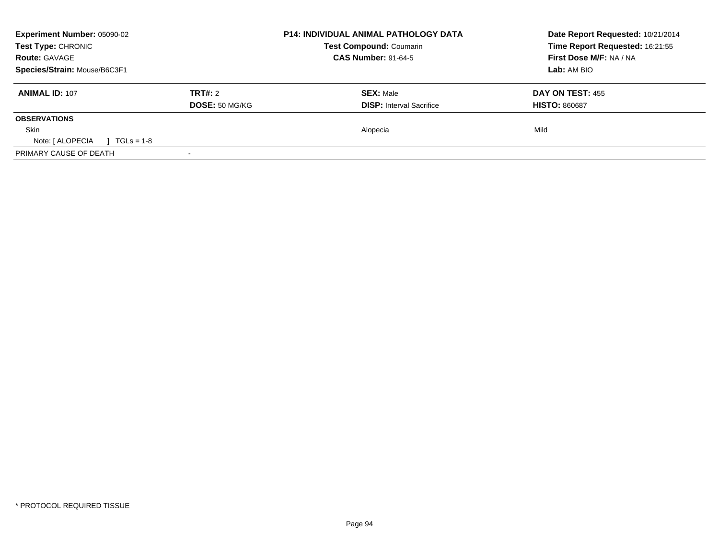| <b>Experiment Number: 05090-02</b><br>Test Type: CHRONIC |                       | <b>P14: INDIVIDUAL ANIMAL PATHOLOGY DATA</b><br><b>Test Compound: Coumarin</b> | Date Report Requested: 10/21/2014<br>Time Report Requested: 16:21:55 |  |
|----------------------------------------------------------|-----------------------|--------------------------------------------------------------------------------|----------------------------------------------------------------------|--|
| <b>Route: GAVAGE</b>                                     |                       | <b>CAS Number: 91-64-5</b>                                                     | First Dose M/F: NA / NA                                              |  |
| Species/Strain: Mouse/B6C3F1                             |                       |                                                                                | Lab: AM BIO                                                          |  |
| <b>ANIMAL ID: 107</b>                                    | TRT#: 2               | <b>SEX: Male</b>                                                               | <b>DAY ON TEST: 455</b>                                              |  |
|                                                          | <b>DOSE: 50 MG/KG</b> | <b>DISP:</b> Interval Sacrifice                                                | <b>HISTO: 860687</b>                                                 |  |
| <b>OBSERVATIONS</b>                                      |                       |                                                                                |                                                                      |  |
| <b>Skin</b>                                              |                       | Alopecia                                                                       | Mild                                                                 |  |
| Note: [ ALOPECIA<br>$1 \text{ TGLs} = 1-8$               |                       |                                                                                |                                                                      |  |
| PRIMARY CAUSE OF DEATH                                   |                       |                                                                                |                                                                      |  |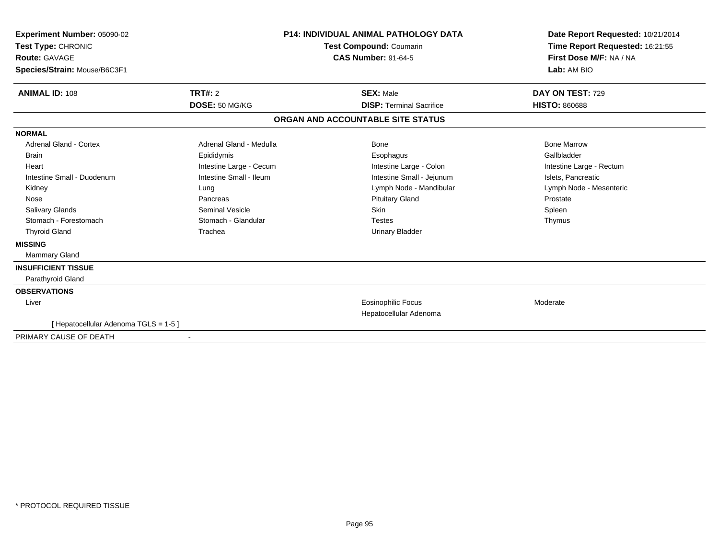| Experiment Number: 05090-02<br>Test Type: CHRONIC<br>Route: GAVAGE<br>Species/Strain: Mouse/B6C3F1                                                                                          |                                                                                                                                                                             | <b>P14: INDIVIDUAL ANIMAL PATHOLOGY DATA</b><br>Test Compound: Coumarin<br><b>CAS Number: 91-64-5</b>                                                                                           | Date Report Requested: 10/21/2014<br>Time Report Requested: 16:21:55<br>First Dose M/F: NA / NA<br>Lab: AM BIO                                 |
|---------------------------------------------------------------------------------------------------------------------------------------------------------------------------------------------|-----------------------------------------------------------------------------------------------------------------------------------------------------------------------------|-------------------------------------------------------------------------------------------------------------------------------------------------------------------------------------------------|------------------------------------------------------------------------------------------------------------------------------------------------|
| TRT#: 2<br><b>ANIMAL ID: 108</b><br><b>SEX: Male</b><br>DOSE: 50 MG/KG                                                                                                                      |                                                                                                                                                                             | <b>DISP: Terminal Sacrifice</b>                                                                                                                                                                 | DAY ON TEST: 729<br><b>HISTO: 860688</b>                                                                                                       |
|                                                                                                                                                                                             |                                                                                                                                                                             | ORGAN AND ACCOUNTABLE SITE STATUS                                                                                                                                                               |                                                                                                                                                |
|                                                                                                                                                                                             |                                                                                                                                                                             |                                                                                                                                                                                                 |                                                                                                                                                |
| <b>NORMAL</b><br><b>Adrenal Gland - Cortex</b><br>Brain<br>Heart<br>Intestine Small - Duodenum<br>Kidney<br>Nose<br><b>Salivary Glands</b><br>Stomach - Forestomach<br><b>Thyroid Gland</b> | Adrenal Gland - Medulla<br>Epididymis<br>Intestine Large - Cecum<br>Intestine Small - Ileum<br>Lung<br>Pancreas<br><b>Seminal Vesicle</b><br>Stomach - Glandular<br>Trachea | <b>Bone</b><br>Esophagus<br>Intestine Large - Colon<br>Intestine Small - Jejunum<br>Lymph Node - Mandibular<br><b>Pituitary Gland</b><br><b>Skin</b><br><b>Testes</b><br><b>Urinary Bladder</b> | <b>Bone Marrow</b><br>Gallbladder<br>Intestine Large - Rectum<br>Islets, Pancreatic<br>Lymph Node - Mesenteric<br>Prostate<br>Spleen<br>Thymus |
| <b>MISSING</b><br>Mammary Gland                                                                                                                                                             |                                                                                                                                                                             |                                                                                                                                                                                                 |                                                                                                                                                |
| <b>INSUFFICIENT TISSUE</b><br>Parathyroid Gland                                                                                                                                             |                                                                                                                                                                             |                                                                                                                                                                                                 |                                                                                                                                                |
| <b>OBSERVATIONS</b><br>Liver                                                                                                                                                                |                                                                                                                                                                             | <b>Eosinophilic Focus</b><br>Hepatocellular Adenoma                                                                                                                                             | Moderate                                                                                                                                       |
| [Hepatocellular Adenoma TGLS = 1-5]<br>PRIMARY CAUSE OF DEATH                                                                                                                               |                                                                                                                                                                             |                                                                                                                                                                                                 |                                                                                                                                                |
|                                                                                                                                                                                             |                                                                                                                                                                             |                                                                                                                                                                                                 |                                                                                                                                                |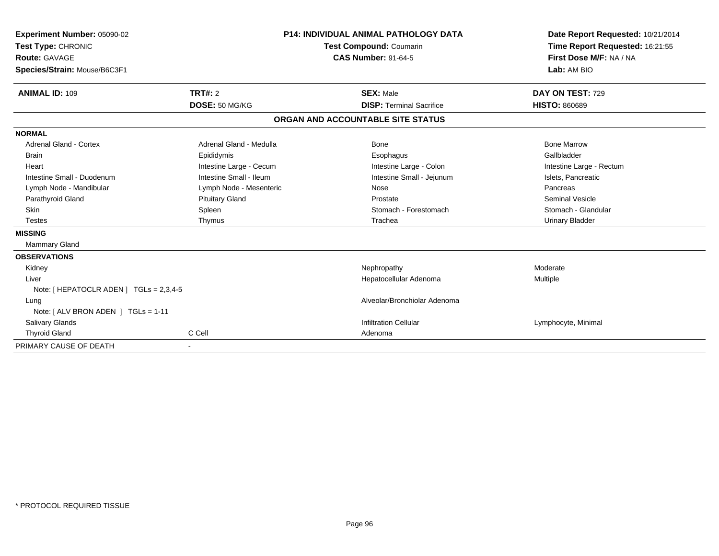| Experiment Number: 05090-02<br>Test Type: CHRONIC<br><b>Route: GAVAGE</b> |                         | <b>P14: INDIVIDUAL ANIMAL PATHOLOGY DATA</b><br><b>Test Compound: Coumarin</b><br><b>CAS Number: 91-64-5</b> |                                   |                        | Date Report Requested: 10/21/2014<br>Time Report Requested: 16:21:55<br>First Dose M/F: NA / NA |
|---------------------------------------------------------------------------|-------------------------|--------------------------------------------------------------------------------------------------------------|-----------------------------------|------------------------|-------------------------------------------------------------------------------------------------|
| Species/Strain: Mouse/B6C3F1                                              |                         |                                                                                                              |                                   | Lab: AM BIO            |                                                                                                 |
| <b>ANIMAL ID: 109</b>                                                     | <b>TRT#: 2</b>          |                                                                                                              | <b>SEX: Male</b>                  | DAY ON TEST: 729       |                                                                                                 |
|                                                                           | DOSE: 50 MG/KG          |                                                                                                              | <b>DISP: Terminal Sacrifice</b>   | <b>HISTO: 860689</b>   |                                                                                                 |
|                                                                           |                         |                                                                                                              | ORGAN AND ACCOUNTABLE SITE STATUS |                        |                                                                                                 |
| <b>NORMAL</b>                                                             |                         |                                                                                                              |                                   |                        |                                                                                                 |
| <b>Adrenal Gland - Cortex</b>                                             | Adrenal Gland - Medulla |                                                                                                              | Bone                              | <b>Bone Marrow</b>     |                                                                                                 |
| <b>Brain</b>                                                              | Epididymis              |                                                                                                              | Esophagus                         | Gallbladder            |                                                                                                 |
| Heart                                                                     | Intestine Large - Cecum |                                                                                                              | Intestine Large - Colon           |                        | Intestine Large - Rectum                                                                        |
| Intestine Small - Duodenum                                                | Intestine Small - Ileum |                                                                                                              | Intestine Small - Jejunum         | Islets, Pancreatic     |                                                                                                 |
| Lymph Node - Mandibular                                                   | Lymph Node - Mesenteric |                                                                                                              | Nose                              | Pancreas               |                                                                                                 |
| Parathyroid Gland                                                         | <b>Pituitary Gland</b>  |                                                                                                              | Prostate                          | <b>Seminal Vesicle</b> |                                                                                                 |
| <b>Skin</b>                                                               | Spleen                  |                                                                                                              | Stomach - Forestomach             |                        | Stomach - Glandular                                                                             |
| <b>Testes</b>                                                             | Thymus                  |                                                                                                              | Trachea                           | <b>Urinary Bladder</b> |                                                                                                 |
| <b>MISSING</b>                                                            |                         |                                                                                                              |                                   |                        |                                                                                                 |
| Mammary Gland                                                             |                         |                                                                                                              |                                   |                        |                                                                                                 |
| <b>OBSERVATIONS</b>                                                       |                         |                                                                                                              |                                   |                        |                                                                                                 |
| Kidney                                                                    |                         |                                                                                                              | Nephropathy                       | Moderate               |                                                                                                 |
| Liver                                                                     |                         |                                                                                                              | Hepatocellular Adenoma            | <b>Multiple</b>        |                                                                                                 |
| Note: [ HEPATOCLR ADEN ] TGLs = 2,3,4-5                                   |                         |                                                                                                              |                                   |                        |                                                                                                 |
| Lung                                                                      |                         |                                                                                                              | Alveolar/Bronchiolar Adenoma      |                        |                                                                                                 |
| Note: [ ALV BRON ADEN ] TGLs = 1-11                                       |                         |                                                                                                              |                                   |                        |                                                                                                 |
| <b>Salivary Glands</b>                                                    |                         |                                                                                                              | <b>Infiltration Cellular</b>      | Lymphocyte, Minimal    |                                                                                                 |
| <b>Thyroid Gland</b>                                                      | C Cell                  |                                                                                                              | Adenoma                           |                        |                                                                                                 |
| PRIMARY CAUSE OF DEATH                                                    |                         |                                                                                                              |                                   |                        |                                                                                                 |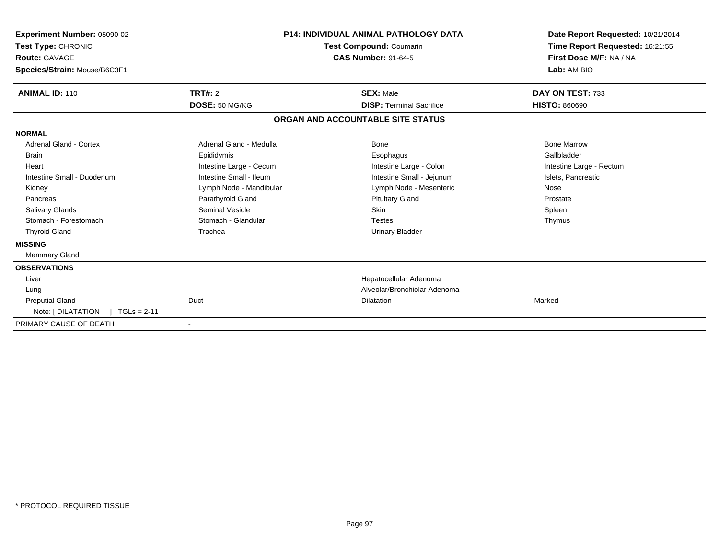| Experiment Number: 05090-02<br>Test Type: CHRONIC<br><b>Route: GAVAGE</b><br>Species/Strain: Mouse/B6C3F1 |                         | <b>P14: INDIVIDUAL ANIMAL PATHOLOGY DATA</b><br>Test Compound: Coumarin<br><b>CAS Number: 91-64-5</b> | Date Report Requested: 10/21/2014<br>Time Report Requested: 16:21:55<br>First Dose M/F: NA / NA<br>Lab: AM BIO |  |
|-----------------------------------------------------------------------------------------------------------|-------------------------|-------------------------------------------------------------------------------------------------------|----------------------------------------------------------------------------------------------------------------|--|
| <b>ANIMAL ID: 110</b>                                                                                     | TRT#: 2                 | <b>SEX: Male</b>                                                                                      | DAY ON TEST: 733                                                                                               |  |
|                                                                                                           | DOSE: 50 MG/KG          | <b>DISP: Terminal Sacrifice</b>                                                                       | <b>HISTO: 860690</b>                                                                                           |  |
|                                                                                                           |                         | ORGAN AND ACCOUNTABLE SITE STATUS                                                                     |                                                                                                                |  |
| <b>NORMAL</b>                                                                                             |                         |                                                                                                       |                                                                                                                |  |
| <b>Adrenal Gland - Cortex</b>                                                                             | Adrenal Gland - Medulla | Bone                                                                                                  | <b>Bone Marrow</b>                                                                                             |  |
| <b>Brain</b>                                                                                              | Epididymis              | Esophagus                                                                                             | Gallbladder                                                                                                    |  |
| Heart                                                                                                     | Intestine Large - Cecum | Intestine Large - Colon                                                                               | Intestine Large - Rectum                                                                                       |  |
| Intestine Small - Duodenum                                                                                | Intestine Small - Ileum | Intestine Small - Jejunum                                                                             | Islets, Pancreatic                                                                                             |  |
| Kidney                                                                                                    | Lymph Node - Mandibular | Lymph Node - Mesenteric                                                                               | Nose                                                                                                           |  |
| Pancreas                                                                                                  | Parathyroid Gland       | <b>Pituitary Gland</b>                                                                                | Prostate                                                                                                       |  |
| <b>Salivary Glands</b>                                                                                    | Seminal Vesicle         | <b>Skin</b>                                                                                           | Spleen                                                                                                         |  |
| Stomach - Forestomach                                                                                     | Stomach - Glandular     | <b>Testes</b>                                                                                         | Thymus                                                                                                         |  |
| <b>Thyroid Gland</b>                                                                                      | Trachea                 | <b>Urinary Bladder</b>                                                                                |                                                                                                                |  |
| <b>MISSING</b>                                                                                            |                         |                                                                                                       |                                                                                                                |  |
| Mammary Gland                                                                                             |                         |                                                                                                       |                                                                                                                |  |
| <b>OBSERVATIONS</b>                                                                                       |                         |                                                                                                       |                                                                                                                |  |
| Liver                                                                                                     |                         | Hepatocellular Adenoma                                                                                |                                                                                                                |  |
| Lung                                                                                                      |                         | Alveolar/Bronchiolar Adenoma                                                                          |                                                                                                                |  |
| <b>Preputial Gland</b>                                                                                    | Duct                    | <b>Dilatation</b>                                                                                     | Marked                                                                                                         |  |
| Note: $[ DILATATION ] TGLs = 2-11$                                                                        |                         |                                                                                                       |                                                                                                                |  |
| PRIMARY CAUSE OF DEATH                                                                                    |                         |                                                                                                       |                                                                                                                |  |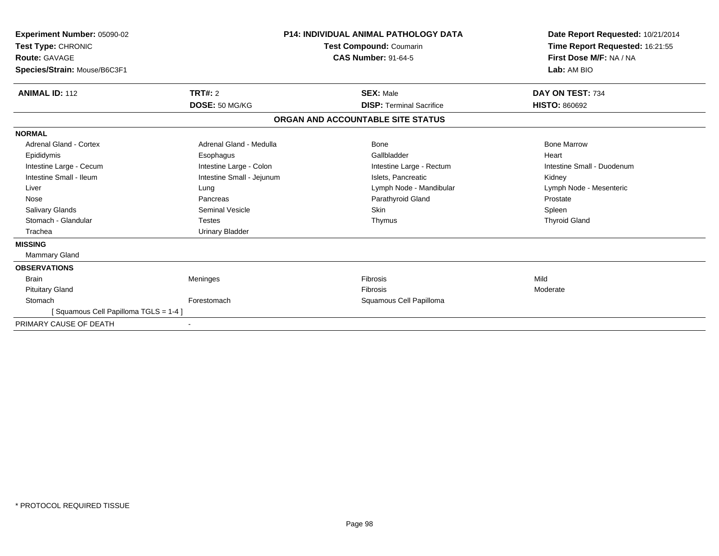| Experiment Number: 05090-02<br>Test Type: CHRONIC<br><b>Route: GAVAGE</b><br>Species/Strain: Mouse/B6C3F1 |                           | <b>P14: INDIVIDUAL ANIMAL PATHOLOGY DATA</b><br>Test Compound: Coumarin<br><b>CAS Number: 91-64-5</b> |                                 | Date Report Requested: 10/21/2014<br>Time Report Requested: 16:21:55<br>First Dose M/F: NA / NA<br>Lab: AM BIO |  |
|-----------------------------------------------------------------------------------------------------------|---------------------------|-------------------------------------------------------------------------------------------------------|---------------------------------|----------------------------------------------------------------------------------------------------------------|--|
| <b>ANIMAL ID: 112</b>                                                                                     | <b>TRT#: 2</b>            | <b>SEX: Male</b>                                                                                      |                                 | DAY ON TEST: 734                                                                                               |  |
|                                                                                                           | DOSE: 50 MG/KG            |                                                                                                       | <b>DISP: Terminal Sacrifice</b> | <b>HISTO: 860692</b>                                                                                           |  |
|                                                                                                           |                           | ORGAN AND ACCOUNTABLE SITE STATUS                                                                     |                                 |                                                                                                                |  |
| <b>NORMAL</b>                                                                                             |                           |                                                                                                       |                                 |                                                                                                                |  |
| <b>Adrenal Gland - Cortex</b>                                                                             | Adrenal Gland - Medulla   | Bone                                                                                                  |                                 | <b>Bone Marrow</b>                                                                                             |  |
| Epididymis                                                                                                | Esophagus                 |                                                                                                       | Gallbladder                     | Heart                                                                                                          |  |
| Intestine Large - Cecum                                                                                   | Intestine Large - Colon   |                                                                                                       | Intestine Large - Rectum        | Intestine Small - Duodenum                                                                                     |  |
| Intestine Small - Ileum                                                                                   | Intestine Small - Jejunum |                                                                                                       | Islets, Pancreatic              | Kidney                                                                                                         |  |
| Liver                                                                                                     | Lung                      |                                                                                                       | Lymph Node - Mandibular         | Lymph Node - Mesenteric                                                                                        |  |
| Nose                                                                                                      | Pancreas                  |                                                                                                       | Parathyroid Gland               | Prostate                                                                                                       |  |
| Salivary Glands                                                                                           | <b>Seminal Vesicle</b>    | Skin                                                                                                  |                                 | Spleen                                                                                                         |  |
| Stomach - Glandular                                                                                       | <b>Testes</b>             |                                                                                                       | Thymus                          | <b>Thyroid Gland</b>                                                                                           |  |
| Trachea                                                                                                   | <b>Urinary Bladder</b>    |                                                                                                       |                                 |                                                                                                                |  |
| <b>MISSING</b>                                                                                            |                           |                                                                                                       |                                 |                                                                                                                |  |
| <b>Mammary Gland</b>                                                                                      |                           |                                                                                                       |                                 |                                                                                                                |  |
| <b>OBSERVATIONS</b>                                                                                       |                           |                                                                                                       |                                 |                                                                                                                |  |
| <b>Brain</b>                                                                                              | Meninges                  | Fibrosis                                                                                              |                                 | Mild                                                                                                           |  |
| <b>Pituitary Gland</b>                                                                                    |                           | Fibrosis                                                                                              |                                 | Moderate                                                                                                       |  |
| Stomach                                                                                                   | Forestomach               |                                                                                                       | Squamous Cell Papilloma         |                                                                                                                |  |
| [Squamous Cell Papilloma TGLS = 1-4]                                                                      |                           |                                                                                                       |                                 |                                                                                                                |  |
| PRIMARY CAUSE OF DEATH                                                                                    |                           |                                                                                                       |                                 |                                                                                                                |  |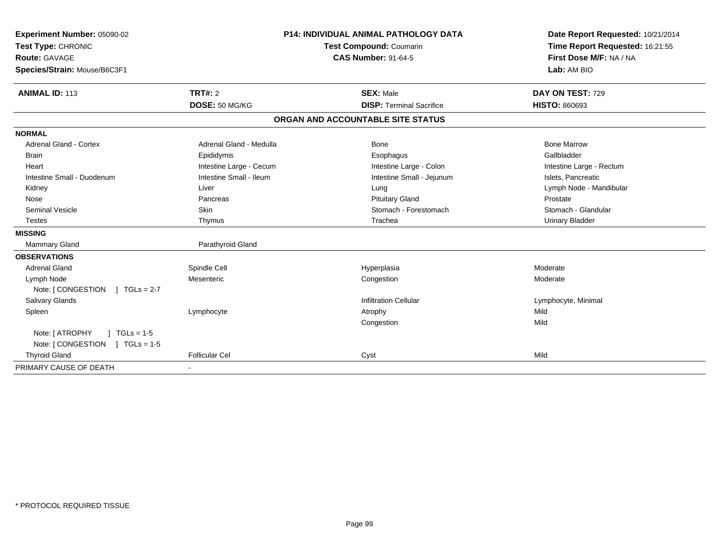| Experiment Number: 05090-02          | <b>P14: INDIVIDUAL ANIMAL PATHOLOGY DATA</b> |                                   | Date Report Requested: 10/21/2014 |
|--------------------------------------|----------------------------------------------|-----------------------------------|-----------------------------------|
| Test Type: CHRONIC                   |                                              | Test Compound: Coumarin           | Time Report Requested: 16:21:55   |
| <b>Route: GAVAGE</b>                 |                                              | <b>CAS Number: 91-64-5</b>        | First Dose M/F: NA / NA           |
| Species/Strain: Mouse/B6C3F1         |                                              |                                   | Lab: AM BIO                       |
| <b>ANIMAL ID: 113</b>                | TRT#: 2                                      | <b>SEX: Male</b>                  | DAY ON TEST: 729                  |
|                                      | DOSE: 50 MG/KG                               | <b>DISP: Terminal Sacrifice</b>   | <b>HISTO: 860693</b>              |
|                                      |                                              | ORGAN AND ACCOUNTABLE SITE STATUS |                                   |
| <b>NORMAL</b>                        |                                              |                                   |                                   |
| Adrenal Gland - Cortex               | Adrenal Gland - Medulla                      | <b>Bone</b>                       | <b>Bone Marrow</b>                |
| <b>Brain</b>                         | Epididymis                                   | Esophagus                         | Gallbladder                       |
| Heart                                | Intestine Large - Cecum                      | Intestine Large - Colon           | Intestine Large - Rectum          |
| Intestine Small - Duodenum           | Intestine Small - Ileum                      | Intestine Small - Jejunum         | Islets, Pancreatic                |
| Kidney                               | Liver                                        | Lung                              | Lymph Node - Mandibular           |
| Nose                                 | Pancreas                                     | <b>Pituitary Gland</b>            | Prostate                          |
| <b>Seminal Vesicle</b>               | <b>Skin</b>                                  | Stomach - Forestomach             | Stomach - Glandular               |
| <b>Testes</b>                        | Thymus                                       | Trachea                           | <b>Urinary Bladder</b>            |
| <b>MISSING</b>                       |                                              |                                   |                                   |
| Mammary Gland                        | Parathyroid Gland                            |                                   |                                   |
| <b>OBSERVATIONS</b>                  |                                              |                                   |                                   |
| <b>Adrenal Gland</b>                 | Spindle Cell                                 | Hyperplasia                       | Moderate                          |
| Lymph Node                           | Mesenteric                                   | Congestion                        | Moderate                          |
| Note: [ CONGESTION<br>$1 TGLs = 2-7$ |                                              |                                   |                                   |
| Salivary Glands                      |                                              | <b>Infiltration Cellular</b>      | Lymphocyte, Minimal               |
| Spleen                               | Lymphocyte                                   | Atrophy                           | Mild                              |
|                                      |                                              | Congestion                        | Mild                              |
| Note: [ ATROPHY<br>$1 TGLs = 1-5$    |                                              |                                   |                                   |
| Note: [CONGESTION ] TGLs = 1-5       |                                              |                                   |                                   |
| <b>Thyroid Gland</b>                 | <b>Follicular Cel</b>                        | Cyst                              | Mild                              |
| PRIMARY CAUSE OF DEATH               |                                              |                                   |                                   |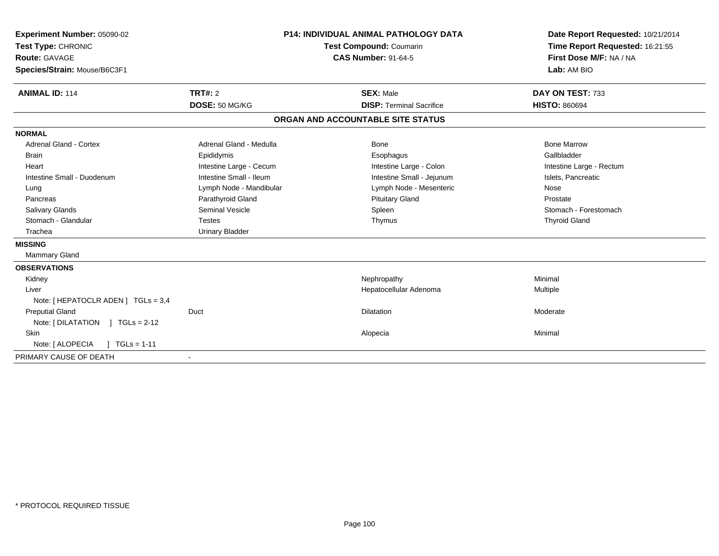| Experiment Number: 05090-02<br>Test Type: CHRONIC<br>Route: GAVAGE<br>Species/Strain: Mouse/B6C3F1<br><b>ANIMAL ID: 114</b> | <b>TRT#: 2</b><br>DOSE: 50 MG/KG | <b>P14: INDIVIDUAL ANIMAL PATHOLOGY DATA</b><br><b>Test Compound: Coumarin</b><br><b>CAS Number: 91-64-5</b><br><b>SEX: Male</b><br><b>DISP: Terminal Sacrifice</b> |                           | Date Report Requested: 10/21/2014<br>Time Report Requested: 16:21:55<br>First Dose M/F: NA / NA<br>Lab: AM BIO<br>DAY ON TEST: 733<br><b>HISTO: 860694</b> |
|-----------------------------------------------------------------------------------------------------------------------------|----------------------------------|---------------------------------------------------------------------------------------------------------------------------------------------------------------------|---------------------------|------------------------------------------------------------------------------------------------------------------------------------------------------------|
|                                                                                                                             |                                  | ORGAN AND ACCOUNTABLE SITE STATUS                                                                                                                                   |                           |                                                                                                                                                            |
| <b>NORMAL</b>                                                                                                               |                                  |                                                                                                                                                                     |                           |                                                                                                                                                            |
| Adrenal Gland - Cortex                                                                                                      | Adrenal Gland - Medulla          |                                                                                                                                                                     | Bone                      | <b>Bone Marrow</b>                                                                                                                                         |
| <b>Brain</b>                                                                                                                | Epididymis                       |                                                                                                                                                                     | Esophagus                 | Gallbladder                                                                                                                                                |
| Heart                                                                                                                       | Intestine Large - Cecum          |                                                                                                                                                                     | Intestine Large - Colon   | Intestine Large - Rectum                                                                                                                                   |
| Intestine Small - Duodenum                                                                                                  | Intestine Small - Ileum          |                                                                                                                                                                     | Intestine Small - Jejunum | Islets, Pancreatic                                                                                                                                         |
| Lung                                                                                                                        | Lymph Node - Mandibular          |                                                                                                                                                                     | Lymph Node - Mesenteric   | Nose                                                                                                                                                       |
| Pancreas                                                                                                                    | Parathyroid Gland                |                                                                                                                                                                     | <b>Pituitary Gland</b>    | Prostate                                                                                                                                                   |
| <b>Salivary Glands</b>                                                                                                      | <b>Seminal Vesicle</b>           |                                                                                                                                                                     | Spleen                    | Stomach - Forestomach                                                                                                                                      |
| Stomach - Glandular                                                                                                         | <b>Testes</b>                    |                                                                                                                                                                     | Thymus                    | <b>Thyroid Gland</b>                                                                                                                                       |
| Trachea                                                                                                                     | <b>Urinary Bladder</b>           |                                                                                                                                                                     |                           |                                                                                                                                                            |
| <b>MISSING</b>                                                                                                              |                                  |                                                                                                                                                                     |                           |                                                                                                                                                            |
| Mammary Gland                                                                                                               |                                  |                                                                                                                                                                     |                           |                                                                                                                                                            |
| <b>OBSERVATIONS</b>                                                                                                         |                                  |                                                                                                                                                                     |                           |                                                                                                                                                            |
| Kidney                                                                                                                      |                                  |                                                                                                                                                                     | Nephropathy               | Minimal                                                                                                                                                    |
| Liver                                                                                                                       |                                  |                                                                                                                                                                     | Hepatocellular Adenoma    | Multiple                                                                                                                                                   |
| Note: $[$ HEPATOCLR ADEN $]$ TGLs = 3,4                                                                                     |                                  |                                                                                                                                                                     |                           |                                                                                                                                                            |
| <b>Preputial Gland</b>                                                                                                      | Duct                             |                                                                                                                                                                     | <b>Dilatation</b>         | Moderate                                                                                                                                                   |
| Note: $[ DILATATION ] TGLs = 2-12$                                                                                          |                                  |                                                                                                                                                                     |                           |                                                                                                                                                            |
| <b>Skin</b>                                                                                                                 |                                  |                                                                                                                                                                     | Alopecia                  | Minimal                                                                                                                                                    |
| Note: [ ALOPECIA<br>$TGLs = 1-11$                                                                                           |                                  |                                                                                                                                                                     |                           |                                                                                                                                                            |
| PRIMARY CAUSE OF DEATH                                                                                                      |                                  |                                                                                                                                                                     |                           |                                                                                                                                                            |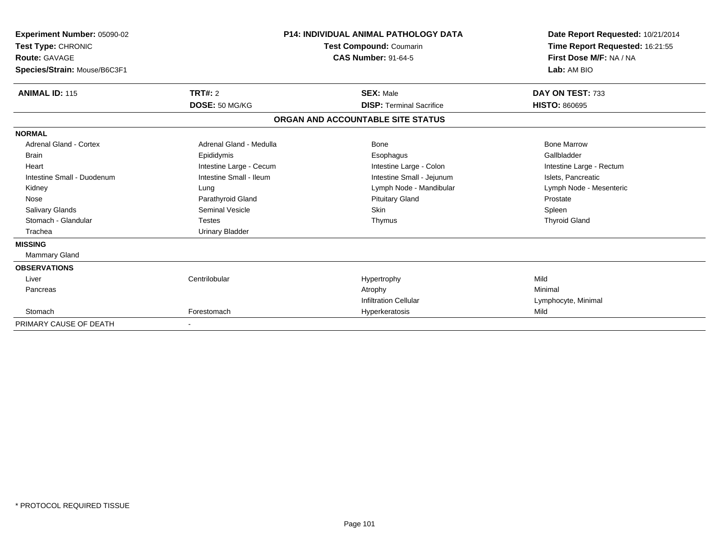| Experiment Number: 05090-02<br>Test Type: CHRONIC<br><b>Route: GAVAGE</b><br>Species/Strain: Mouse/B6C3F1 |                         | <b>P14: INDIVIDUAL ANIMAL PATHOLOGY DATA</b><br><b>Test Compound: Coumarin</b><br><b>CAS Number: 91-64-5</b> | Date Report Requested: 10/21/2014<br>Time Report Requested: 16:21:55<br>First Dose M/F: NA / NA<br>Lab: AM BIO |  |
|-----------------------------------------------------------------------------------------------------------|-------------------------|--------------------------------------------------------------------------------------------------------------|----------------------------------------------------------------------------------------------------------------|--|
| <b>ANIMAL ID: 115</b>                                                                                     | TRT#: 2                 | <b>SEX: Male</b>                                                                                             | DAY ON TEST: 733                                                                                               |  |
|                                                                                                           | DOSE: 50 MG/KG          | <b>DISP: Terminal Sacrifice</b>                                                                              | <b>HISTO: 860695</b>                                                                                           |  |
|                                                                                                           |                         | ORGAN AND ACCOUNTABLE SITE STATUS                                                                            |                                                                                                                |  |
| <b>NORMAL</b>                                                                                             |                         |                                                                                                              |                                                                                                                |  |
| <b>Adrenal Gland - Cortex</b>                                                                             | Adrenal Gland - Medulla | Bone                                                                                                         | <b>Bone Marrow</b>                                                                                             |  |
| Brain                                                                                                     | Epididymis              | Esophagus                                                                                                    | Gallbladder                                                                                                    |  |
| Heart                                                                                                     | Intestine Large - Cecum | Intestine Large - Colon                                                                                      | Intestine Large - Rectum                                                                                       |  |
| Intestine Small - Duodenum                                                                                | Intestine Small - Ileum | Intestine Small - Jejunum                                                                                    | Islets, Pancreatic                                                                                             |  |
| Kidney                                                                                                    | Lung                    | Lymph Node - Mandibular                                                                                      | Lymph Node - Mesenteric                                                                                        |  |
| Nose                                                                                                      | Parathyroid Gland       | <b>Pituitary Gland</b>                                                                                       | Prostate                                                                                                       |  |
| <b>Salivary Glands</b>                                                                                    | <b>Seminal Vesicle</b>  | <b>Skin</b>                                                                                                  | Spleen                                                                                                         |  |
| Stomach - Glandular                                                                                       | <b>Testes</b>           | Thymus                                                                                                       | <b>Thyroid Gland</b>                                                                                           |  |
| Trachea                                                                                                   | <b>Urinary Bladder</b>  |                                                                                                              |                                                                                                                |  |
| <b>MISSING</b>                                                                                            |                         |                                                                                                              |                                                                                                                |  |
| <b>Mammary Gland</b>                                                                                      |                         |                                                                                                              |                                                                                                                |  |
| <b>OBSERVATIONS</b>                                                                                       |                         |                                                                                                              |                                                                                                                |  |
| Liver                                                                                                     | Centrilobular           | Hypertrophy                                                                                                  | Mild                                                                                                           |  |
| Pancreas                                                                                                  |                         | Atrophy                                                                                                      | Minimal                                                                                                        |  |
|                                                                                                           |                         | <b>Infiltration Cellular</b>                                                                                 | Lymphocyte, Minimal                                                                                            |  |
| Stomach                                                                                                   | Forestomach             | Hyperkeratosis                                                                                               | Mild                                                                                                           |  |
| PRIMARY CAUSE OF DEATH                                                                                    |                         |                                                                                                              |                                                                                                                |  |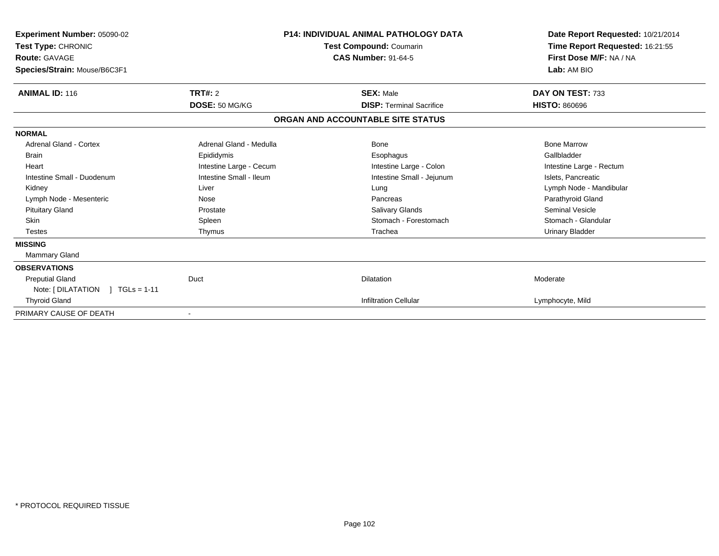| <b>Experiment Number: 05090-02</b><br>Test Type: CHRONIC<br><b>Route: GAVAGE</b><br>Species/Strain: Mouse/B6C3F1 |                         | <b>P14: INDIVIDUAL ANIMAL PATHOLOGY DATA</b><br>Test Compound: Coumarin<br><b>CAS Number: 91-64-5</b> | Date Report Requested: 10/21/2014<br>Time Report Requested: 16:21:55<br>First Dose M/F: NA / NA<br>Lab: AM BIO |
|------------------------------------------------------------------------------------------------------------------|-------------------------|-------------------------------------------------------------------------------------------------------|----------------------------------------------------------------------------------------------------------------|
| <b>ANIMAL ID: 116</b>                                                                                            | TRT#: 2                 | <b>SEX: Male</b>                                                                                      | DAY ON TEST: 733                                                                                               |
|                                                                                                                  | DOSE: 50 MG/KG          | <b>DISP: Terminal Sacrifice</b>                                                                       | <b>HISTO: 860696</b>                                                                                           |
|                                                                                                                  |                         | ORGAN AND ACCOUNTABLE SITE STATUS                                                                     |                                                                                                                |
| <b>NORMAL</b>                                                                                                    |                         |                                                                                                       |                                                                                                                |
| <b>Adrenal Gland - Cortex</b>                                                                                    | Adrenal Gland - Medulla | Bone                                                                                                  | <b>Bone Marrow</b>                                                                                             |
| <b>Brain</b>                                                                                                     | Epididymis              | Esophagus                                                                                             | Gallbladder                                                                                                    |
| Heart                                                                                                            | Intestine Large - Cecum | Intestine Large - Colon                                                                               | Intestine Large - Rectum                                                                                       |
| Intestine Small - Duodenum                                                                                       | Intestine Small - Ileum | Intestine Small - Jejunum                                                                             | Islets, Pancreatic                                                                                             |
| Kidney                                                                                                           | Liver                   | Lung                                                                                                  | Lymph Node - Mandibular                                                                                        |
| Lymph Node - Mesenteric                                                                                          | Nose                    | Pancreas                                                                                              | Parathyroid Gland                                                                                              |
| <b>Pituitary Gland</b>                                                                                           | Prostate                | Salivary Glands                                                                                       | <b>Seminal Vesicle</b>                                                                                         |
| <b>Skin</b>                                                                                                      | Spleen                  | Stomach - Forestomach                                                                                 | Stomach - Glandular                                                                                            |
| <b>Testes</b>                                                                                                    | Thymus                  | Trachea                                                                                               | <b>Urinary Bladder</b>                                                                                         |
| <b>MISSING</b>                                                                                                   |                         |                                                                                                       |                                                                                                                |
| Mammary Gland                                                                                                    |                         |                                                                                                       |                                                                                                                |
| <b>OBSERVATIONS</b>                                                                                              |                         |                                                                                                       |                                                                                                                |
| <b>Preputial Gland</b>                                                                                           | Duct                    | <b>Dilatation</b>                                                                                     | Moderate                                                                                                       |
| Note: [ DILATATION<br>$1 TGLs = 1-11$                                                                            |                         |                                                                                                       |                                                                                                                |
| <b>Thyroid Gland</b>                                                                                             |                         | <b>Infiltration Cellular</b>                                                                          | Lymphocyte, Mild                                                                                               |
| PRIMARY CAUSE OF DEATH                                                                                           |                         |                                                                                                       |                                                                                                                |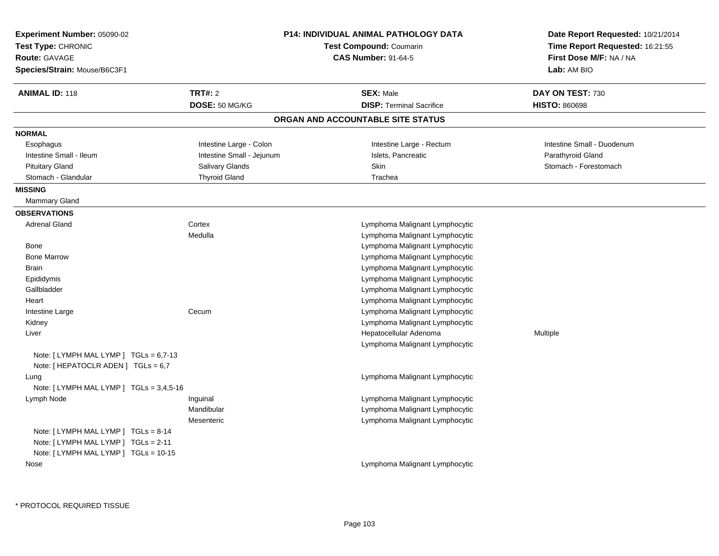| Experiment Number: 05090-02<br>Test Type: CHRONIC<br>Route: GAVAGE<br>Species/Strain: Mouse/B6C3F1                 |                           | <b>P14: INDIVIDUAL ANIMAL PATHOLOGY DATA</b><br><b>Test Compound: Coumarin</b><br><b>CAS Number: 91-64-5</b> | Date Report Requested: 10/21/2014<br>Time Report Requested: 16:21:55<br>First Dose M/F: NA / NA<br>Lab: AM BIO |
|--------------------------------------------------------------------------------------------------------------------|---------------------------|--------------------------------------------------------------------------------------------------------------|----------------------------------------------------------------------------------------------------------------|
| <b>ANIMAL ID: 118</b>                                                                                              | <b>TRT#: 2</b>            | <b>SEX: Male</b>                                                                                             | DAY ON TEST: 730                                                                                               |
|                                                                                                                    | DOSE: 50 MG/KG            | <b>DISP: Terminal Sacrifice</b>                                                                              | <b>HISTO: 860698</b>                                                                                           |
|                                                                                                                    |                           | ORGAN AND ACCOUNTABLE SITE STATUS                                                                            |                                                                                                                |
| <b>NORMAL</b>                                                                                                      |                           |                                                                                                              |                                                                                                                |
| Esophagus                                                                                                          | Intestine Large - Colon   | Intestine Large - Rectum                                                                                     | Intestine Small - Duodenum                                                                                     |
| Intestine Small - Ileum                                                                                            | Intestine Small - Jejunum | Islets, Pancreatic                                                                                           | Parathyroid Gland                                                                                              |
| <b>Pituitary Gland</b>                                                                                             | <b>Salivary Glands</b>    | Skin                                                                                                         | Stomach - Forestomach                                                                                          |
| Stomach - Glandular                                                                                                | <b>Thyroid Gland</b>      | Trachea                                                                                                      |                                                                                                                |
| <b>MISSING</b>                                                                                                     |                           |                                                                                                              |                                                                                                                |
| Mammary Gland                                                                                                      |                           |                                                                                                              |                                                                                                                |
| <b>OBSERVATIONS</b>                                                                                                |                           |                                                                                                              |                                                                                                                |
| <b>Adrenal Gland</b>                                                                                               | Cortex                    | Lymphoma Malignant Lymphocytic                                                                               |                                                                                                                |
|                                                                                                                    | Medulla                   | Lymphoma Malignant Lymphocytic                                                                               |                                                                                                                |
| Bone                                                                                                               |                           | Lymphoma Malignant Lymphocytic                                                                               |                                                                                                                |
| <b>Bone Marrow</b>                                                                                                 |                           | Lymphoma Malignant Lymphocytic                                                                               |                                                                                                                |
| <b>Brain</b>                                                                                                       |                           | Lymphoma Malignant Lymphocytic                                                                               |                                                                                                                |
| Epididymis                                                                                                         |                           | Lymphoma Malignant Lymphocytic                                                                               |                                                                                                                |
| Gallbladder                                                                                                        |                           | Lymphoma Malignant Lymphocytic                                                                               |                                                                                                                |
| Heart                                                                                                              |                           | Lymphoma Malignant Lymphocytic                                                                               |                                                                                                                |
| Intestine Large                                                                                                    | Cecum                     | Lymphoma Malignant Lymphocytic                                                                               |                                                                                                                |
| Kidney                                                                                                             |                           | Lymphoma Malignant Lymphocytic                                                                               |                                                                                                                |
| Liver                                                                                                              |                           | Hepatocellular Adenoma                                                                                       | Multiple                                                                                                       |
|                                                                                                                    |                           | Lymphoma Malignant Lymphocytic                                                                               |                                                                                                                |
| Note: [LYMPH MAL LYMP ] TGLs = 6,7-13<br>Note: [ HEPATOCLR ADEN ] $TGLs = 6,7$                                     |                           |                                                                                                              |                                                                                                                |
| Lung<br>Note: [LYMPH MAL LYMP ] TGLs = 3,4,5-16                                                                    |                           | Lymphoma Malignant Lymphocytic                                                                               |                                                                                                                |
| Lymph Node                                                                                                         | Inguinal                  | Lymphoma Malignant Lymphocytic                                                                               |                                                                                                                |
|                                                                                                                    | Mandibular                | Lymphoma Malignant Lymphocytic                                                                               |                                                                                                                |
|                                                                                                                    | Mesenteric                | Lymphoma Malignant Lymphocytic                                                                               |                                                                                                                |
| Note: [LYMPH MAL LYMP ] TGLs = 8-14<br>Note: [LYMPH MAL LYMP ] TGLs = 2-11<br>Note: [LYMPH MAL LYMP ] TGLs = 10-15 |                           |                                                                                                              |                                                                                                                |
| Nose                                                                                                               |                           | Lymphoma Malignant Lymphocytic                                                                               |                                                                                                                |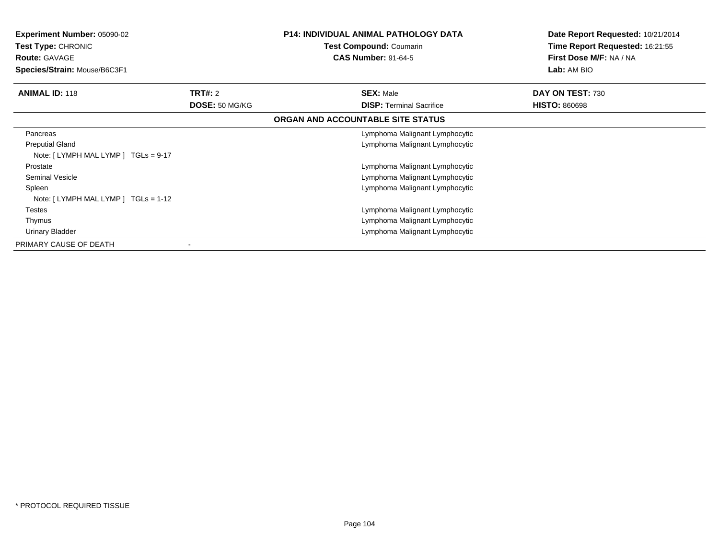| <b>Experiment Number: 05090-02</b><br><b>Test Type: CHRONIC</b><br><b>Route: GAVAGE</b><br>Species/Strain: Mouse/B6C3F1 |                | <b>P14: INDIVIDUAL ANIMAL PATHOLOGY DATA</b><br>Test Compound: Coumarin<br><b>CAS Number: 91-64-5</b> | Date Report Requested: 10/21/2014<br>Time Report Requested: 16:21:55<br>First Dose M/F: NA / NA<br><b>Lab:</b> AM BIO |
|-------------------------------------------------------------------------------------------------------------------------|----------------|-------------------------------------------------------------------------------------------------------|-----------------------------------------------------------------------------------------------------------------------|
| <b>ANIMAL ID: 118</b>                                                                                                   | TRT#: 2        | <b>SEX: Male</b>                                                                                      | DAY ON TEST: 730                                                                                                      |
|                                                                                                                         | DOSE: 50 MG/KG | <b>DISP:</b> Terminal Sacrifice                                                                       | <b>HISTO: 860698</b>                                                                                                  |
|                                                                                                                         |                | ORGAN AND ACCOUNTABLE SITE STATUS                                                                     |                                                                                                                       |
| Pancreas                                                                                                                |                | Lymphoma Malignant Lymphocytic                                                                        |                                                                                                                       |
| <b>Preputial Gland</b><br>Note: $[LYMPH MALLYMP]$ TGLs = 9-17                                                           |                | Lymphoma Malignant Lymphocytic                                                                        |                                                                                                                       |
| Prostate                                                                                                                |                | Lymphoma Malignant Lymphocytic                                                                        |                                                                                                                       |
| <b>Seminal Vesicle</b>                                                                                                  |                | Lymphoma Malignant Lymphocytic                                                                        |                                                                                                                       |
| Spleen<br>Note: [LYMPH MAL LYMP ] TGLs = 1-12                                                                           |                | Lymphoma Malignant Lymphocytic                                                                        |                                                                                                                       |
| Testes                                                                                                                  |                | Lymphoma Malignant Lymphocytic                                                                        |                                                                                                                       |
| Thymus                                                                                                                  |                | Lymphoma Malignant Lymphocytic                                                                        |                                                                                                                       |
| <b>Urinary Bladder</b>                                                                                                  |                | Lymphoma Malignant Lymphocytic                                                                        |                                                                                                                       |
| PRIMARY CAUSE OF DEATH                                                                                                  |                |                                                                                                       |                                                                                                                       |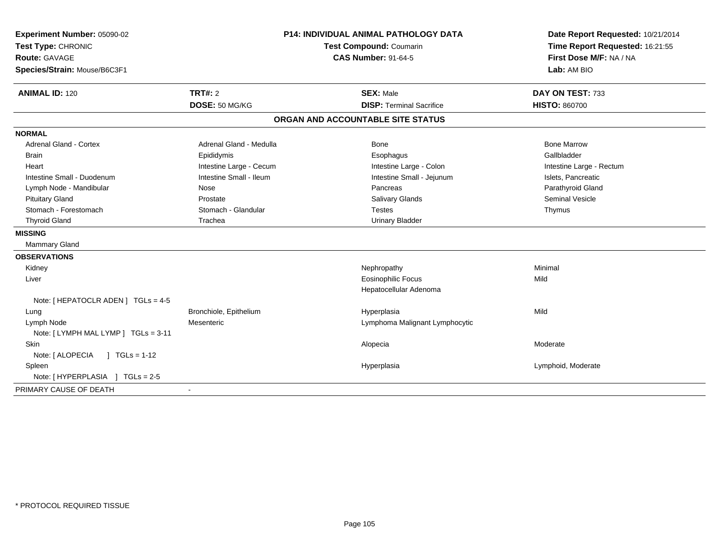| Experiment Number: 05090-02<br>Test Type: CHRONIC<br><b>Route: GAVAGE</b><br>Species/Strain: Mouse/B6C3F1 |                         | <b>P14: INDIVIDUAL ANIMAL PATHOLOGY DATA</b><br>Test Compound: Coumarin<br><b>CAS Number: 91-64-5</b> | Date Report Requested: 10/21/2014<br>Time Report Requested: 16:21:55<br>First Dose M/F: NA / NA<br>Lab: AM BIO |
|-----------------------------------------------------------------------------------------------------------|-------------------------|-------------------------------------------------------------------------------------------------------|----------------------------------------------------------------------------------------------------------------|
| <b>ANIMAL ID: 120</b>                                                                                     | <b>TRT#: 2</b>          | <b>SEX: Male</b>                                                                                      | DAY ON TEST: 733                                                                                               |
|                                                                                                           | DOSE: 50 MG/KG          | <b>DISP: Terminal Sacrifice</b>                                                                       | <b>HISTO: 860700</b>                                                                                           |
|                                                                                                           |                         | ORGAN AND ACCOUNTABLE SITE STATUS                                                                     |                                                                                                                |
| <b>NORMAL</b>                                                                                             |                         |                                                                                                       |                                                                                                                |
| <b>Adrenal Gland - Cortex</b>                                                                             | Adrenal Gland - Medulla | Bone                                                                                                  | <b>Bone Marrow</b>                                                                                             |
| <b>Brain</b>                                                                                              | Epididymis              | Esophagus                                                                                             | Gallbladder                                                                                                    |
| Heart                                                                                                     | Intestine Large - Cecum | Intestine Large - Colon                                                                               | Intestine Large - Rectum                                                                                       |
| Intestine Small - Duodenum                                                                                | Intestine Small - Ileum | Intestine Small - Jejunum                                                                             | Islets, Pancreatic                                                                                             |
| Lymph Node - Mandibular                                                                                   | Nose                    | Pancreas                                                                                              | Parathyroid Gland                                                                                              |
| <b>Pituitary Gland</b>                                                                                    | Prostate                | <b>Salivary Glands</b>                                                                                | Seminal Vesicle                                                                                                |
| Stomach - Forestomach                                                                                     | Stomach - Glandular     | <b>Testes</b>                                                                                         | Thymus                                                                                                         |
| <b>Thyroid Gland</b>                                                                                      | Trachea                 | <b>Urinary Bladder</b>                                                                                |                                                                                                                |
| <b>MISSING</b>                                                                                            |                         |                                                                                                       |                                                                                                                |
| Mammary Gland                                                                                             |                         |                                                                                                       |                                                                                                                |
| <b>OBSERVATIONS</b>                                                                                       |                         |                                                                                                       |                                                                                                                |
| Kidney                                                                                                    |                         | Nephropathy                                                                                           | Minimal                                                                                                        |
| Liver                                                                                                     |                         | <b>Eosinophilic Focus</b>                                                                             | Mild                                                                                                           |
|                                                                                                           |                         | Hepatocellular Adenoma                                                                                |                                                                                                                |
| Note: [ HEPATOCLR ADEN ] TGLs = 4-5                                                                       |                         |                                                                                                       |                                                                                                                |
| Lung                                                                                                      | Bronchiole, Epithelium  | Hyperplasia                                                                                           | Mild                                                                                                           |
| Lymph Node                                                                                                | Mesenteric              | Lymphoma Malignant Lymphocytic                                                                        |                                                                                                                |
| Note: [ LYMPH MAL LYMP ] TGLs = 3-11                                                                      |                         |                                                                                                       |                                                                                                                |
| Skin                                                                                                      |                         | Alopecia                                                                                              | Moderate                                                                                                       |
| Note: [ ALOPECIA<br>$1 TGLs = 1-12$                                                                       |                         |                                                                                                       |                                                                                                                |
| Spleen                                                                                                    |                         | Hyperplasia                                                                                           | Lymphoid, Moderate                                                                                             |
| Note: [HYPERPLASIA ] TGLs = 2-5                                                                           |                         |                                                                                                       |                                                                                                                |
| PRIMARY CAUSE OF DEATH                                                                                    |                         |                                                                                                       |                                                                                                                |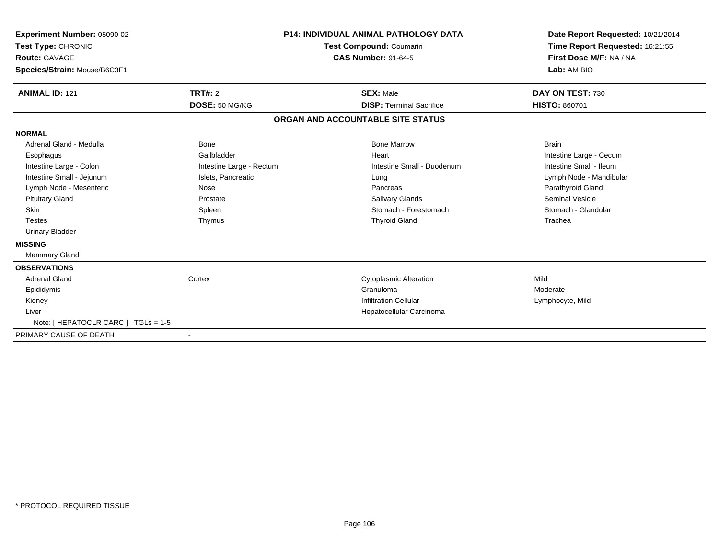| Experiment Number: 05090-02<br>Test Type: CHRONIC<br>Route: GAVAGE<br>Species/Strain: Mouse/B6C3F1 |                          | <b>P14: INDIVIDUAL ANIMAL PATHOLOGY DATA</b><br><b>Test Compound: Coumarin</b><br><b>CAS Number: 91-64-5</b> | Date Report Requested: 10/21/2014<br>Time Report Requested: 16:21:55<br>First Dose M/F: NA / NA<br>Lab: AM BIO |
|----------------------------------------------------------------------------------------------------|--------------------------|--------------------------------------------------------------------------------------------------------------|----------------------------------------------------------------------------------------------------------------|
| <b>ANIMAL ID: 121</b>                                                                              | <b>TRT#: 2</b>           | <b>SEX: Male</b>                                                                                             | DAY ON TEST: 730                                                                                               |
|                                                                                                    | DOSE: 50 MG/KG           | <b>DISP: Terminal Sacrifice</b>                                                                              | <b>HISTO: 860701</b>                                                                                           |
|                                                                                                    |                          | ORGAN AND ACCOUNTABLE SITE STATUS                                                                            |                                                                                                                |
| <b>NORMAL</b>                                                                                      |                          |                                                                                                              |                                                                                                                |
| Adrenal Gland - Medulla                                                                            | Bone                     | <b>Bone Marrow</b>                                                                                           | <b>Brain</b>                                                                                                   |
| Esophagus                                                                                          | Gallbladder              | Heart                                                                                                        | Intestine Large - Cecum                                                                                        |
| Intestine Large - Colon                                                                            | Intestine Large - Rectum | Intestine Small - Duodenum                                                                                   | Intestine Small - Ileum                                                                                        |
| Intestine Small - Jejunum                                                                          | Islets, Pancreatic       | Lung                                                                                                         | Lymph Node - Mandibular                                                                                        |
| Lymph Node - Mesenteric                                                                            | Nose                     | Pancreas                                                                                                     | Parathyroid Gland                                                                                              |
| <b>Pituitary Gland</b>                                                                             | Prostate                 | Salivary Glands                                                                                              | <b>Seminal Vesicle</b>                                                                                         |
| Skin                                                                                               | Spleen                   | Stomach - Forestomach                                                                                        | Stomach - Glandular                                                                                            |
| <b>Testes</b>                                                                                      | Thymus                   | <b>Thyroid Gland</b>                                                                                         | Trachea                                                                                                        |
| <b>Urinary Bladder</b>                                                                             |                          |                                                                                                              |                                                                                                                |
| <b>MISSING</b>                                                                                     |                          |                                                                                                              |                                                                                                                |
| Mammary Gland                                                                                      |                          |                                                                                                              |                                                                                                                |
| <b>OBSERVATIONS</b>                                                                                |                          |                                                                                                              |                                                                                                                |
| <b>Adrenal Gland</b>                                                                               | Cortex                   | <b>Cytoplasmic Alteration</b>                                                                                | Mild                                                                                                           |
| Epididymis                                                                                         |                          | Granuloma                                                                                                    | Moderate                                                                                                       |
| Kidney                                                                                             |                          | <b>Infiltration Cellular</b>                                                                                 | Lymphocyte, Mild                                                                                               |
| Liver                                                                                              |                          | Hepatocellular Carcinoma                                                                                     |                                                                                                                |
| Note: [ HEPATOCLR CARC ] TGLs = 1-5                                                                |                          |                                                                                                              |                                                                                                                |
| PRIMARY CAUSE OF DEATH                                                                             | $\overline{\phantom{a}}$ |                                                                                                              |                                                                                                                |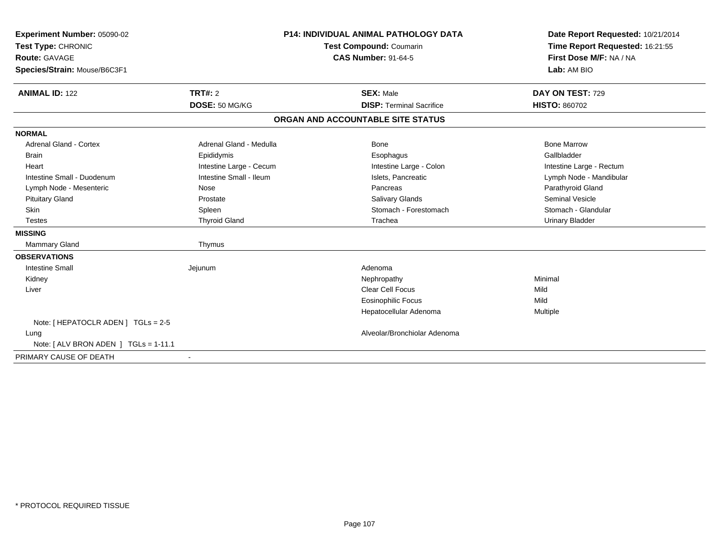| Experiment Number: 05090-02           |                         | <b>P14: INDIVIDUAL ANIMAL PATHOLOGY DATA</b> | Date Report Requested: 10/21/2014 |  |
|---------------------------------------|-------------------------|----------------------------------------------|-----------------------------------|--|
| Test Type: CHRONIC                    |                         | Test Compound: Coumarin                      | Time Report Requested: 16:21:55   |  |
| <b>Route: GAVAGE</b>                  |                         | <b>CAS Number: 91-64-5</b>                   | First Dose M/F: NA / NA           |  |
| Species/Strain: Mouse/B6C3F1          |                         |                                              | Lab: AM BIO                       |  |
| <b>ANIMAL ID: 122</b>                 | TRT#: 2                 | <b>SEX: Male</b>                             | DAY ON TEST: 729                  |  |
|                                       | DOSE: 50 MG/KG          | <b>DISP: Terminal Sacrifice</b>              | <b>HISTO: 860702</b>              |  |
|                                       |                         | ORGAN AND ACCOUNTABLE SITE STATUS            |                                   |  |
| <b>NORMAL</b>                         |                         |                                              |                                   |  |
| <b>Adrenal Gland - Cortex</b>         | Adrenal Gland - Medulla | Bone                                         | <b>Bone Marrow</b>                |  |
| <b>Brain</b>                          | Epididymis              | Esophagus                                    | Gallbladder                       |  |
| Heart                                 | Intestine Large - Cecum | Intestine Large - Colon                      | Intestine Large - Rectum          |  |
| Intestine Small - Duodenum            | Intestine Small - Ileum | Islets, Pancreatic                           | Lymph Node - Mandibular           |  |
| Lymph Node - Mesenteric               | Nose                    | Pancreas                                     | Parathyroid Gland                 |  |
| <b>Pituitary Gland</b>                | Prostate                | <b>Salivary Glands</b>                       | Seminal Vesicle                   |  |
| Skin                                  | Spleen                  | Stomach - Forestomach                        | Stomach - Glandular               |  |
| <b>Testes</b>                         | <b>Thyroid Gland</b>    | Trachea                                      | Urinary Bladder                   |  |
| <b>MISSING</b>                        |                         |                                              |                                   |  |
| <b>Mammary Gland</b>                  | Thymus                  |                                              |                                   |  |
| <b>OBSERVATIONS</b>                   |                         |                                              |                                   |  |
| <b>Intestine Small</b>                | Jejunum                 | Adenoma                                      |                                   |  |
| Kidney                                |                         | Nephropathy                                  | Minimal                           |  |
| Liver                                 |                         | <b>Clear Cell Focus</b>                      | Mild                              |  |
|                                       |                         | Eosinophilic Focus                           | Mild                              |  |
|                                       |                         | Hepatocellular Adenoma                       | Multiple                          |  |
| Note: [ HEPATOCLR ADEN ] TGLs = 2-5   |                         |                                              |                                   |  |
| Lung                                  |                         | Alveolar/Bronchiolar Adenoma                 |                                   |  |
| Note: [ ALV BRON ADEN ] TGLs = 1-11.1 |                         |                                              |                                   |  |
| PRIMARY CAUSE OF DEATH                |                         |                                              |                                   |  |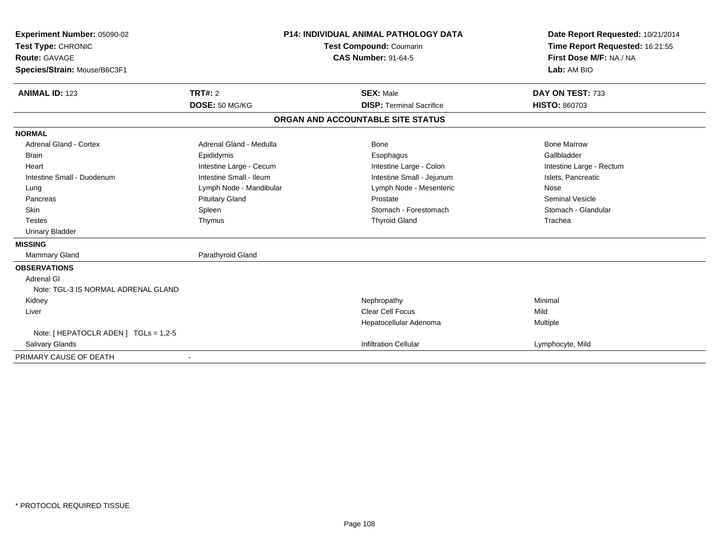| Experiment Number: 05090-02<br>Test Type: CHRONIC<br><b>Route: GAVAGE</b> |                         | <b>P14: INDIVIDUAL ANIMAL PATHOLOGY DATA</b> | Date Report Requested: 10/21/2014 |  |
|---------------------------------------------------------------------------|-------------------------|----------------------------------------------|-----------------------------------|--|
|                                                                           |                         | Test Compound: Coumarin                      | Time Report Requested: 16:21:55   |  |
|                                                                           |                         | <b>CAS Number: 91-64-5</b>                   | First Dose M/F: NA / NA           |  |
| Species/Strain: Mouse/B6C3F1                                              |                         |                                              | Lab: AM BIO                       |  |
| <b>ANIMAL ID: 123</b>                                                     | TRT#: 2                 | <b>SEX: Male</b>                             | DAY ON TEST: 733                  |  |
|                                                                           | DOSE: 50 MG/KG          | <b>DISP: Terminal Sacrifice</b>              | <b>HISTO: 860703</b>              |  |
|                                                                           |                         | ORGAN AND ACCOUNTABLE SITE STATUS            |                                   |  |
| <b>NORMAL</b>                                                             |                         |                                              |                                   |  |
| <b>Adrenal Gland - Cortex</b>                                             | Adrenal Gland - Medulla | Bone                                         | <b>Bone Marrow</b>                |  |
| <b>Brain</b>                                                              | Epididymis              | Esophagus                                    | Gallbladder                       |  |
| Heart                                                                     | Intestine Large - Cecum | Intestine Large - Colon                      | Intestine Large - Rectum          |  |
| Intestine Small - Duodenum                                                | Intestine Small - Ileum | Intestine Small - Jejunum                    | Islets, Pancreatic                |  |
| Lung                                                                      | Lymph Node - Mandibular | Lymph Node - Mesenteric                      | Nose                              |  |
| Pancreas                                                                  | <b>Pituitary Gland</b>  | Prostate                                     | <b>Seminal Vesicle</b>            |  |
| <b>Skin</b>                                                               | Spleen                  | Stomach - Forestomach                        | Stomach - Glandular               |  |
| <b>Testes</b>                                                             | Thymus                  | <b>Thyroid Gland</b>                         | Trachea                           |  |
| <b>Urinary Bladder</b>                                                    |                         |                                              |                                   |  |
| <b>MISSING</b>                                                            |                         |                                              |                                   |  |
| <b>Mammary Gland</b>                                                      | Parathyroid Gland       |                                              |                                   |  |
| <b>OBSERVATIONS</b>                                                       |                         |                                              |                                   |  |
| Adrenal GI                                                                |                         |                                              |                                   |  |
| Note: TGL-3 IS NORMAL ADRENAL GLAND                                       |                         |                                              |                                   |  |
| Kidney                                                                    |                         | Nephropathy                                  | Minimal                           |  |
| Liver                                                                     |                         | <b>Clear Cell Focus</b>                      | Mild                              |  |
|                                                                           |                         | Hepatocellular Adenoma                       | Multiple                          |  |
| Note: [ HEPATOCLR ADEN ] TGLs = 1,2-5                                     |                         |                                              |                                   |  |
| <b>Salivary Glands</b>                                                    |                         | <b>Infiltration Cellular</b>                 | Lymphocyte, Mild                  |  |
| PRIMARY CAUSE OF DEATH                                                    |                         |                                              |                                   |  |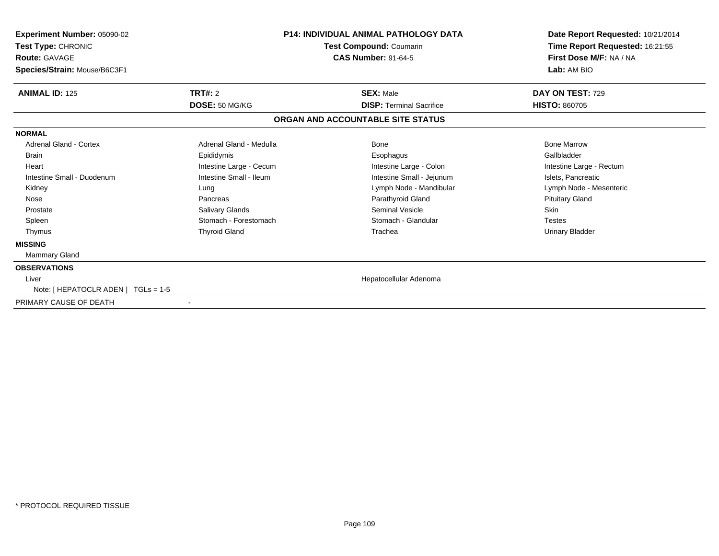| Experiment Number: 05090-02<br>Test Type: CHRONIC<br><b>Route: GAVAGE</b><br>Species/Strain: Mouse/B6C3F1 | <b>P14: INDIVIDUAL ANIMAL PATHOLOGY DATA</b><br>Test Compound: Coumarin<br><b>CAS Number: 91-64-5</b> |                                   | Date Report Requested: 10/21/2014<br>Time Report Requested: 16:21:55<br>First Dose M/F: NA / NA<br>Lab: AM BIO |
|-----------------------------------------------------------------------------------------------------------|-------------------------------------------------------------------------------------------------------|-----------------------------------|----------------------------------------------------------------------------------------------------------------|
|                                                                                                           |                                                                                                       |                                   |                                                                                                                |
| <b>ANIMAL ID: 125</b>                                                                                     | <b>TRT#: 2</b>                                                                                        | <b>SEX: Male</b>                  | DAY ON TEST: 729                                                                                               |
|                                                                                                           | DOSE: 50 MG/KG                                                                                        | <b>DISP: Terminal Sacrifice</b>   | <b>HISTO: 860705</b>                                                                                           |
|                                                                                                           |                                                                                                       | ORGAN AND ACCOUNTABLE SITE STATUS |                                                                                                                |
| <b>NORMAL</b>                                                                                             |                                                                                                       |                                   |                                                                                                                |
| Adrenal Gland - Cortex                                                                                    | Adrenal Gland - Medulla                                                                               | Bone                              | <b>Bone Marrow</b>                                                                                             |
| <b>Brain</b>                                                                                              | Epididymis                                                                                            | Esophagus                         | Gallbladder                                                                                                    |
| Heart                                                                                                     | Intestine Large - Cecum                                                                               | Intestine Large - Colon           | Intestine Large - Rectum                                                                                       |
| Intestine Small - Duodenum                                                                                | Intestine Small - Ileum                                                                               | Intestine Small - Jejunum         | Islets, Pancreatic                                                                                             |
| Kidney                                                                                                    | Lung                                                                                                  | Lymph Node - Mandibular           | Lymph Node - Mesenteric                                                                                        |
| Nose                                                                                                      | Pancreas                                                                                              | Parathyroid Gland                 | <b>Pituitary Gland</b>                                                                                         |
| Prostate                                                                                                  | Salivary Glands                                                                                       | Seminal Vesicle                   | Skin                                                                                                           |
| Spleen                                                                                                    | Stomach - Forestomach                                                                                 | Stomach - Glandular               | <b>Testes</b>                                                                                                  |
| Thymus                                                                                                    | <b>Thyroid Gland</b>                                                                                  | Trachea                           | <b>Urinary Bladder</b>                                                                                         |
| <b>MISSING</b>                                                                                            |                                                                                                       |                                   |                                                                                                                |
| Mammary Gland                                                                                             |                                                                                                       |                                   |                                                                                                                |
| <b>OBSERVATIONS</b>                                                                                       |                                                                                                       |                                   |                                                                                                                |
| Liver                                                                                                     |                                                                                                       | Hepatocellular Adenoma            |                                                                                                                |
| Note: [ HEPATOCLR ADEN ] TGLs = 1-5                                                                       |                                                                                                       |                                   |                                                                                                                |
| PRIMARY CAUSE OF DEATH                                                                                    |                                                                                                       |                                   |                                                                                                                |
|                                                                                                           |                                                                                                       |                                   |                                                                                                                |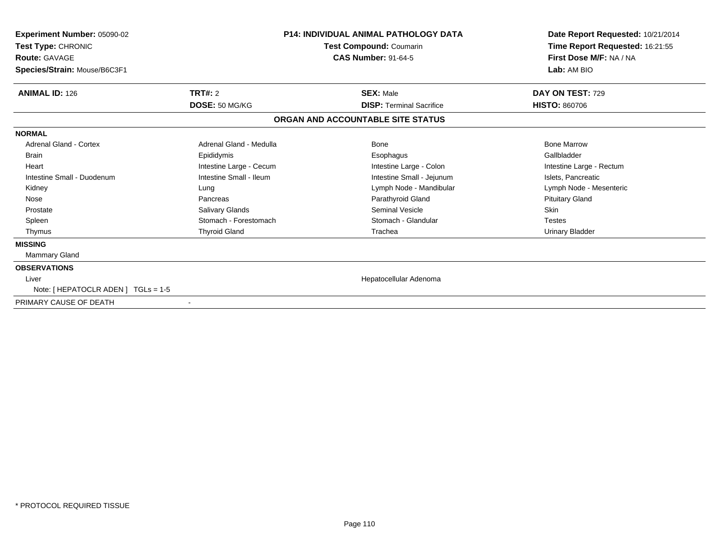| <b>Experiment Number: 05090-02</b><br>Test Type: CHRONIC<br><b>Route: GAVAGE</b> |                         | <b>P14: INDIVIDUAL ANIMAL PATHOLOGY DATA</b><br><b>Test Compound: Coumarin</b><br><b>CAS Number: 91-64-5</b> | Date Report Requested: 10/21/2014<br>Time Report Requested: 16:21:55<br>First Dose M/F: NA / NA |  |
|----------------------------------------------------------------------------------|-------------------------|--------------------------------------------------------------------------------------------------------------|-------------------------------------------------------------------------------------------------|--|
| Species/Strain: Mouse/B6C3F1                                                     |                         |                                                                                                              | Lab: AM BIO                                                                                     |  |
| <b>ANIMAL ID: 126</b>                                                            | <b>TRT#: 2</b>          | <b>SEX: Male</b>                                                                                             | DAY ON TEST: 729                                                                                |  |
|                                                                                  | DOSE: 50 MG/KG          | <b>DISP: Terminal Sacrifice</b>                                                                              | <b>HISTO: 860706</b>                                                                            |  |
|                                                                                  |                         | ORGAN AND ACCOUNTABLE SITE STATUS                                                                            |                                                                                                 |  |
| <b>NORMAL</b>                                                                    |                         |                                                                                                              |                                                                                                 |  |
| <b>Adrenal Gland - Cortex</b>                                                    | Adrenal Gland - Medulla | Bone                                                                                                         | <b>Bone Marrow</b>                                                                              |  |
| <b>Brain</b>                                                                     | Epididymis              | Esophagus                                                                                                    | Gallbladder                                                                                     |  |
| Heart                                                                            | Intestine Large - Cecum | Intestine Large - Colon                                                                                      | Intestine Large - Rectum                                                                        |  |
| Intestine Small - Duodenum                                                       | Intestine Small - Ileum | Intestine Small - Jejunum                                                                                    | Islets, Pancreatic                                                                              |  |
| Kidney                                                                           | Lung                    | Lymph Node - Mandibular                                                                                      | Lymph Node - Mesenteric                                                                         |  |
| Nose                                                                             | Pancreas                | Parathyroid Gland                                                                                            | <b>Pituitary Gland</b>                                                                          |  |
| Prostate                                                                         | Salivary Glands         | Seminal Vesicle                                                                                              | Skin                                                                                            |  |
| Spleen                                                                           | Stomach - Forestomach   | Stomach - Glandular                                                                                          | <b>Testes</b>                                                                                   |  |
| Thymus                                                                           | <b>Thyroid Gland</b>    | Trachea                                                                                                      | <b>Urinary Bladder</b>                                                                          |  |
| <b>MISSING</b>                                                                   |                         |                                                                                                              |                                                                                                 |  |
| <b>Mammary Gland</b>                                                             |                         |                                                                                                              |                                                                                                 |  |
| <b>OBSERVATIONS</b>                                                              |                         |                                                                                                              |                                                                                                 |  |
| Liver                                                                            |                         | Hepatocellular Adenoma                                                                                       |                                                                                                 |  |
| Note: [ HEPATOCLR ADEN ] TGLs = 1-5                                              |                         |                                                                                                              |                                                                                                 |  |
| PRIMARY CAUSE OF DEATH                                                           |                         |                                                                                                              |                                                                                                 |  |
|                                                                                  |                         |                                                                                                              |                                                                                                 |  |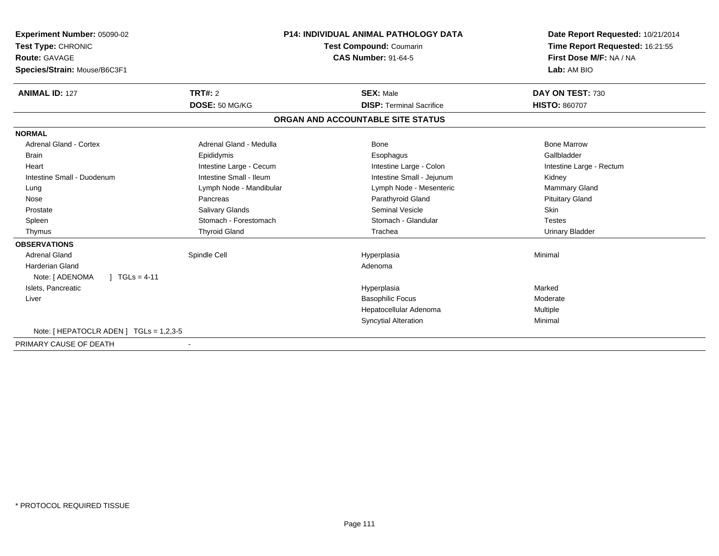| Experiment Number: 05090-02<br>Test Type: CHRONIC<br>Route: GAVAGE |                         | <b>P14: INDIVIDUAL ANIMAL PATHOLOGY DATA</b><br><b>Test Compound: Coumarin</b><br><b>CAS Number: 91-64-5</b> | Date Report Requested: 10/21/2014<br>Time Report Requested: 16:21:55<br>First Dose M/F: NA / NA |  |
|--------------------------------------------------------------------|-------------------------|--------------------------------------------------------------------------------------------------------------|-------------------------------------------------------------------------------------------------|--|
| Species/Strain: Mouse/B6C3F1                                       |                         |                                                                                                              | Lab: AM BIO                                                                                     |  |
| <b>ANIMAL ID: 127</b>                                              | TRT#: 2                 | <b>SEX: Male</b>                                                                                             | DAY ON TEST: 730                                                                                |  |
|                                                                    | DOSE: 50 MG/KG          | <b>DISP: Terminal Sacrifice</b>                                                                              | <b>HISTO: 860707</b>                                                                            |  |
|                                                                    |                         | ORGAN AND ACCOUNTABLE SITE STATUS                                                                            |                                                                                                 |  |
| <b>NORMAL</b>                                                      |                         |                                                                                                              |                                                                                                 |  |
| <b>Adrenal Gland - Cortex</b>                                      | Adrenal Gland - Medulla | Bone                                                                                                         | <b>Bone Marrow</b>                                                                              |  |
| <b>Brain</b>                                                       | Epididymis              | Esophagus                                                                                                    | Gallbladder                                                                                     |  |
| Heart                                                              | Intestine Large - Cecum | Intestine Large - Colon                                                                                      | Intestine Large - Rectum                                                                        |  |
| Intestine Small - Duodenum                                         | Intestine Small - Ileum | Intestine Small - Jejunum                                                                                    | Kidney                                                                                          |  |
| Lung                                                               | Lymph Node - Mandibular | Lymph Node - Mesenteric                                                                                      | <b>Mammary Gland</b>                                                                            |  |
| Nose                                                               | Pancreas                | Parathyroid Gland                                                                                            | <b>Pituitary Gland</b>                                                                          |  |
| Prostate                                                           | Salivary Glands         | <b>Seminal Vesicle</b>                                                                                       | <b>Skin</b>                                                                                     |  |
| Spleen                                                             | Stomach - Forestomach   | Stomach - Glandular                                                                                          | Testes                                                                                          |  |
| Thymus                                                             | <b>Thyroid Gland</b>    | Trachea                                                                                                      | <b>Urinary Bladder</b>                                                                          |  |
| <b>OBSERVATIONS</b>                                                |                         |                                                                                                              |                                                                                                 |  |
| <b>Adrenal Gland</b>                                               | Spindle Cell            | Hyperplasia                                                                                                  | Minimal                                                                                         |  |
| <b>Harderian Gland</b>                                             |                         | Adenoma                                                                                                      |                                                                                                 |  |
| $1 TGLs = 4-11$<br>Note: [ ADENOMA                                 |                         |                                                                                                              |                                                                                                 |  |
| Islets, Pancreatic                                                 |                         | Hyperplasia                                                                                                  | Marked                                                                                          |  |
| Liver                                                              |                         | <b>Basophilic Focus</b>                                                                                      | Moderate                                                                                        |  |
|                                                                    |                         | Hepatocellular Adenoma                                                                                       | Multiple                                                                                        |  |
|                                                                    |                         | <b>Syncytial Alteration</b>                                                                                  | Minimal                                                                                         |  |
| Note: [ HEPATOCLR ADEN ] $TGLs = 1,2,3-5$                          |                         |                                                                                                              |                                                                                                 |  |
| PRIMARY CAUSE OF DEATH                                             |                         |                                                                                                              |                                                                                                 |  |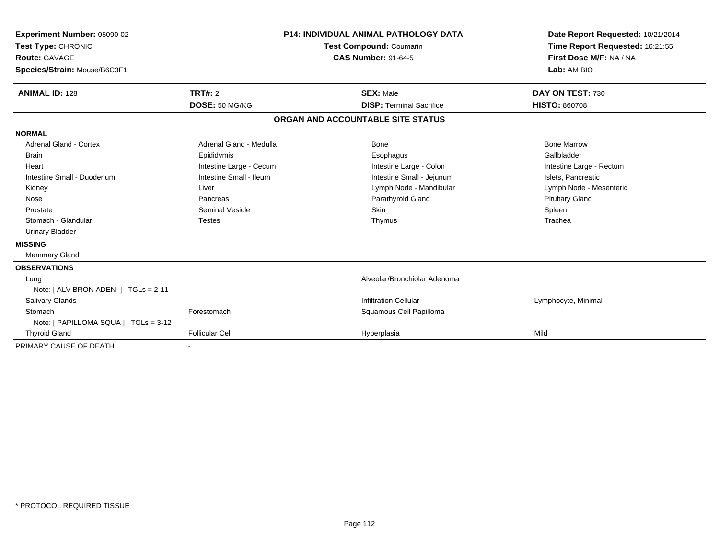| Experiment Number: 05090-02<br>Test Type: CHRONIC<br><b>Route: GAVAGE</b><br>Species/Strain: Mouse/B6C3F1<br><b>ANIMAL ID: 128</b> | TRT#: 2                 | <b>P14: INDIVIDUAL ANIMAL PATHOLOGY DATA</b><br><b>Test Compound: Coumarin</b><br><b>CAS Number: 91-64-5</b><br><b>SEX: Male</b> |                                   | Date Report Requested: 10/21/2014<br>Time Report Requested: 16:21:55<br>First Dose M/F: NA / NA<br>Lab: AM BIO<br>DAY ON TEST: 730 |
|------------------------------------------------------------------------------------------------------------------------------------|-------------------------|----------------------------------------------------------------------------------------------------------------------------------|-----------------------------------|------------------------------------------------------------------------------------------------------------------------------------|
|                                                                                                                                    | DOSE: 50 MG/KG          |                                                                                                                                  | <b>DISP: Terminal Sacrifice</b>   | <b>HISTO: 860708</b>                                                                                                               |
|                                                                                                                                    |                         |                                                                                                                                  | ORGAN AND ACCOUNTABLE SITE STATUS |                                                                                                                                    |
| <b>NORMAL</b>                                                                                                                      |                         |                                                                                                                                  |                                   |                                                                                                                                    |
| Adrenal Gland - Cortex                                                                                                             | Adrenal Gland - Medulla |                                                                                                                                  | Bone                              | <b>Bone Marrow</b>                                                                                                                 |
| <b>Brain</b>                                                                                                                       | Epididymis              |                                                                                                                                  | Esophagus                         | Gallbladder                                                                                                                        |
| Heart                                                                                                                              | Intestine Large - Cecum |                                                                                                                                  | Intestine Large - Colon           | Intestine Large - Rectum                                                                                                           |
| Intestine Small - Duodenum                                                                                                         | Intestine Small - Ileum |                                                                                                                                  | Intestine Small - Jejunum         | Islets, Pancreatic                                                                                                                 |
| Kidney                                                                                                                             | Liver                   |                                                                                                                                  | Lymph Node - Mandibular           | Lymph Node - Mesenteric                                                                                                            |
| Nose                                                                                                                               | Pancreas                |                                                                                                                                  | Parathyroid Gland                 | <b>Pituitary Gland</b>                                                                                                             |
| Prostate                                                                                                                           | <b>Seminal Vesicle</b>  |                                                                                                                                  | Skin                              | Spleen                                                                                                                             |
| Stomach - Glandular                                                                                                                | <b>Testes</b>           |                                                                                                                                  | Thymus                            | Trachea                                                                                                                            |
| <b>Urinary Bladder</b>                                                                                                             |                         |                                                                                                                                  |                                   |                                                                                                                                    |
| <b>MISSING</b>                                                                                                                     |                         |                                                                                                                                  |                                   |                                                                                                                                    |
| Mammary Gland                                                                                                                      |                         |                                                                                                                                  |                                   |                                                                                                                                    |
| <b>OBSERVATIONS</b>                                                                                                                |                         |                                                                                                                                  |                                   |                                                                                                                                    |
| Lung                                                                                                                               |                         |                                                                                                                                  | Alveolar/Bronchiolar Adenoma      |                                                                                                                                    |
| Note: [ ALV BRON ADEN ] TGLs = 2-11                                                                                                |                         |                                                                                                                                  |                                   |                                                                                                                                    |
| Salivary Glands                                                                                                                    |                         |                                                                                                                                  | <b>Infiltration Cellular</b>      | Lymphocyte, Minimal                                                                                                                |
| Stomach                                                                                                                            | Forestomach             |                                                                                                                                  | Squamous Cell Papilloma           |                                                                                                                                    |
| Note: [ PAPILLOMA SQUA ] TGLs = 3-12                                                                                               |                         |                                                                                                                                  |                                   |                                                                                                                                    |
| <b>Thyroid Gland</b>                                                                                                               | <b>Follicular Cel</b>   |                                                                                                                                  | Hyperplasia                       | Mild                                                                                                                               |
| PRIMARY CAUSE OF DEATH                                                                                                             |                         |                                                                                                                                  |                                   |                                                                                                                                    |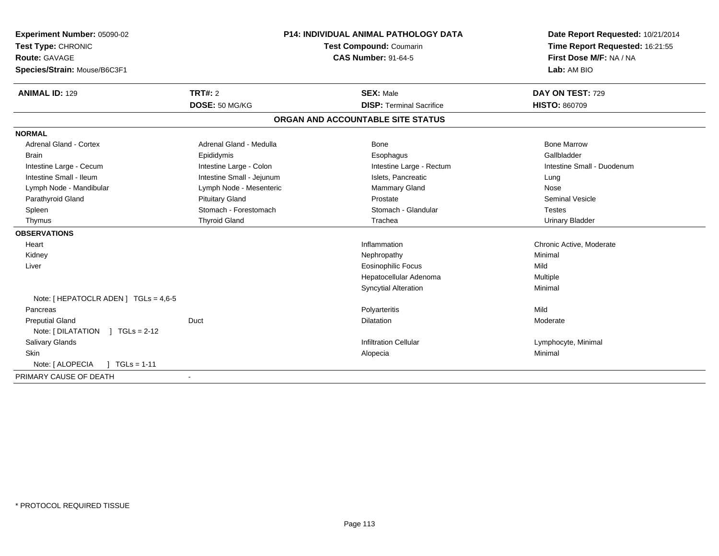| P14: INDIVIDUAL ANIMAL PATHOLOGY DATA<br>Experiment Number: 05090-02<br>Test Type: CHRONIC<br><b>Test Compound: Coumarin</b><br><b>CAS Number: 91-64-5</b><br><b>Route: GAVAGE</b><br>Species/Strain: Mouse/B6C3F1 |                           |                                   | Date Report Requested: 10/21/2014<br>Time Report Requested: 16:21:55<br>First Dose M/F: NA / NA<br>Lab: AM BIO |
|--------------------------------------------------------------------------------------------------------------------------------------------------------------------------------------------------------------------|---------------------------|-----------------------------------|----------------------------------------------------------------------------------------------------------------|
| <b>ANIMAL ID: 129</b>                                                                                                                                                                                              | <b>TRT#: 2</b>            | <b>SEX: Male</b>                  | DAY ON TEST: 729                                                                                               |
|                                                                                                                                                                                                                    | DOSE: 50 MG/KG            | <b>DISP: Terminal Sacrifice</b>   | <b>HISTO: 860709</b>                                                                                           |
|                                                                                                                                                                                                                    |                           | ORGAN AND ACCOUNTABLE SITE STATUS |                                                                                                                |
| <b>NORMAL</b>                                                                                                                                                                                                      |                           |                                   |                                                                                                                |
| <b>Adrenal Gland - Cortex</b>                                                                                                                                                                                      | Adrenal Gland - Medulla   | Bone                              | <b>Bone Marrow</b>                                                                                             |
| <b>Brain</b>                                                                                                                                                                                                       | Epididymis                | Esophagus                         | Gallbladder                                                                                                    |
| Intestine Large - Cecum                                                                                                                                                                                            | Intestine Large - Colon   | Intestine Large - Rectum          | Intestine Small - Duodenum                                                                                     |
| Intestine Small - Ileum                                                                                                                                                                                            | Intestine Small - Jejunum | Islets, Pancreatic                | Lung                                                                                                           |
| Lymph Node - Mandibular                                                                                                                                                                                            | Lymph Node - Mesenteric   | Mammary Gland                     | Nose                                                                                                           |
| Parathyroid Gland                                                                                                                                                                                                  | <b>Pituitary Gland</b>    | Prostate                          | <b>Seminal Vesicle</b>                                                                                         |
| Spleen                                                                                                                                                                                                             | Stomach - Forestomach     | Stomach - Glandular               | <b>Testes</b>                                                                                                  |
| Thymus                                                                                                                                                                                                             | <b>Thyroid Gland</b>      | Trachea                           | <b>Urinary Bladder</b>                                                                                         |
| <b>OBSERVATIONS</b>                                                                                                                                                                                                |                           |                                   |                                                                                                                |
| Heart                                                                                                                                                                                                              |                           | Inflammation                      | Chronic Active, Moderate                                                                                       |
| Kidney                                                                                                                                                                                                             |                           | Nephropathy                       | Minimal                                                                                                        |
| Liver                                                                                                                                                                                                              |                           | <b>Eosinophilic Focus</b>         | Mild                                                                                                           |
|                                                                                                                                                                                                                    |                           | Hepatocellular Adenoma            | Multiple                                                                                                       |
|                                                                                                                                                                                                                    |                           | <b>Syncytial Alteration</b>       | Minimal                                                                                                        |
| Note: $[$ HEPATOCLR ADEN $]$ TGLs = 4,6-5                                                                                                                                                                          |                           |                                   |                                                                                                                |
| Pancreas                                                                                                                                                                                                           |                           | Polyarteritis                     | Mild                                                                                                           |
| <b>Preputial Gland</b>                                                                                                                                                                                             | Duct                      | <b>Dilatation</b>                 | Moderate                                                                                                       |
| Note: [ DILATATION<br>$1 TGLs = 2-12$                                                                                                                                                                              |                           |                                   |                                                                                                                |
| <b>Salivary Glands</b>                                                                                                                                                                                             |                           | <b>Infiltration Cellular</b>      | Lymphocyte, Minimal                                                                                            |
| Skin                                                                                                                                                                                                               |                           | Alopecia                          | Minimal                                                                                                        |
| Note: [ ALOPECIA<br>$\sqrt{ }$ TGLs = 1-11                                                                                                                                                                         |                           |                                   |                                                                                                                |
| PRIMARY CAUSE OF DEATH                                                                                                                                                                                             |                           |                                   |                                                                                                                |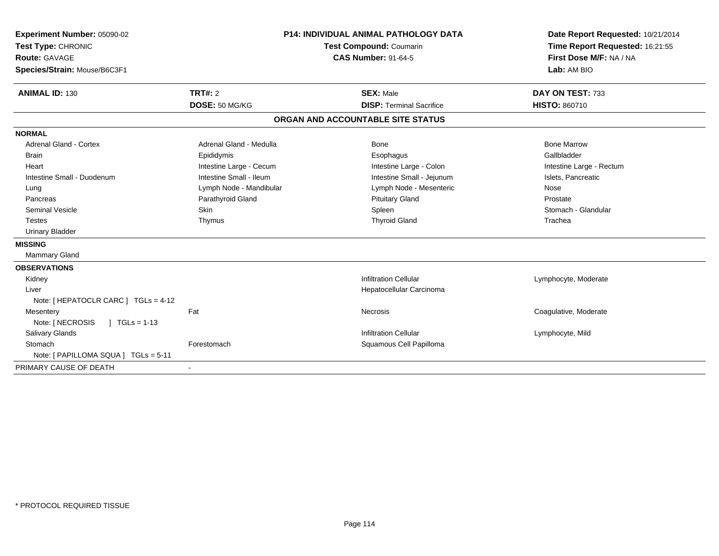| Experiment Number: 05090-02<br>Test Type: CHRONIC<br><b>Route: GAVAGE</b><br>Species/Strain: Mouse/B6C3F1 |                           | <b>P14: INDIVIDUAL ANIMAL PATHOLOGY DATA</b><br>Test Compound: Coumarin<br><b>CAS Number: 91-64-5</b> | Date Report Requested: 10/21/2014<br>Time Report Requested: 16:21:55<br>First Dose M/F: NA / NA<br>Lab: AM BIO |
|-----------------------------------------------------------------------------------------------------------|---------------------------|-------------------------------------------------------------------------------------------------------|----------------------------------------------------------------------------------------------------------------|
| <b>ANIMAL ID: 130</b>                                                                                     | TRT#: 2<br>DOSE: 50 MG/KG | <b>SEX: Male</b><br><b>DISP: Terminal Sacrifice</b>                                                   | DAY ON TEST: 733<br><b>HISTO: 860710</b>                                                                       |
|                                                                                                           |                           | ORGAN AND ACCOUNTABLE SITE STATUS                                                                     |                                                                                                                |
| <b>NORMAL</b>                                                                                             |                           |                                                                                                       |                                                                                                                |
| <b>Adrenal Gland - Cortex</b>                                                                             | Adrenal Gland - Medulla   | Bone                                                                                                  | <b>Bone Marrow</b>                                                                                             |
| <b>Brain</b>                                                                                              | Epididymis                | Esophagus                                                                                             | Gallbladder                                                                                                    |
| Heart                                                                                                     | Intestine Large - Cecum   | Intestine Large - Colon                                                                               | Intestine Large - Rectum                                                                                       |
| Intestine Small - Duodenum                                                                                | Intestine Small - Ileum   | Intestine Small - Jejunum                                                                             | Islets, Pancreatic                                                                                             |
| Lung                                                                                                      | Lymph Node - Mandibular   | Lymph Node - Mesenteric                                                                               | Nose                                                                                                           |
| Pancreas                                                                                                  | Parathyroid Gland         | <b>Pituitary Gland</b>                                                                                | Prostate                                                                                                       |
| <b>Seminal Vesicle</b>                                                                                    | <b>Skin</b>               | Spleen                                                                                                | Stomach - Glandular                                                                                            |
| <b>Testes</b>                                                                                             | Thymus                    | <b>Thyroid Gland</b>                                                                                  | Trachea                                                                                                        |
| <b>Urinary Bladder</b>                                                                                    |                           |                                                                                                       |                                                                                                                |
| <b>MISSING</b>                                                                                            |                           |                                                                                                       |                                                                                                                |
| <b>Mammary Gland</b>                                                                                      |                           |                                                                                                       |                                                                                                                |
| <b>OBSERVATIONS</b>                                                                                       |                           |                                                                                                       |                                                                                                                |
| Kidney                                                                                                    |                           | <b>Infiltration Cellular</b>                                                                          | Lymphocyte, Moderate                                                                                           |
| Liver                                                                                                     |                           | Hepatocellular Carcinoma                                                                              |                                                                                                                |
| Note: [ HEPATOCLR CARC ] TGLs = 4-12                                                                      |                           |                                                                                                       |                                                                                                                |
| Mesentery                                                                                                 | Fat                       | Necrosis                                                                                              | Coagulative, Moderate                                                                                          |
| Note: [ NECROSIS<br>$\sqrt{1 + 1}$ TGLs = 1-13                                                            |                           |                                                                                                       |                                                                                                                |
| <b>Salivary Glands</b>                                                                                    |                           | <b>Infiltration Cellular</b>                                                                          | Lymphocyte, Mild                                                                                               |
| Stomach                                                                                                   | Forestomach               | Squamous Cell Papilloma                                                                               |                                                                                                                |
| Note: [ PAPILLOMA SQUA ] TGLs = 5-11                                                                      |                           |                                                                                                       |                                                                                                                |
| PRIMARY CAUSE OF DEATH                                                                                    |                           |                                                                                                       |                                                                                                                |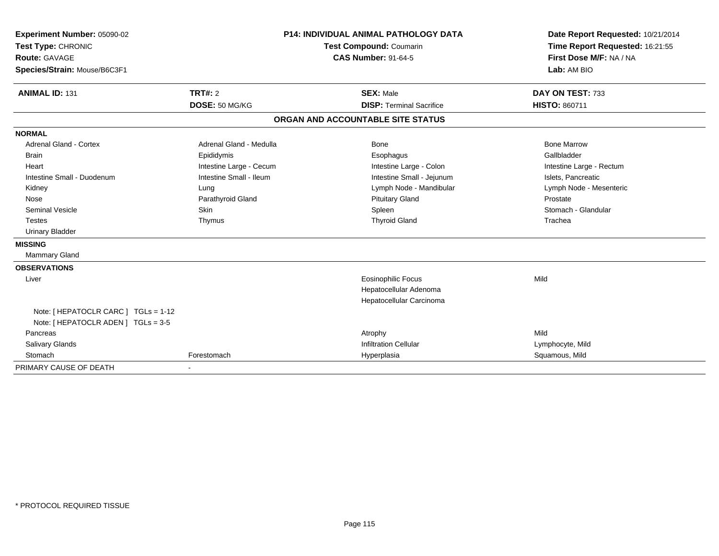| Experiment Number: 05090-02<br>Test Type: CHRONIC | <b>P14: INDIVIDUAL ANIMAL PATHOLOGY DATA</b><br>Test Compound: Coumarin |  | Date Report Requested: 10/21/2014<br>Time Report Requested: 16:21:55 |                          |  |
|---------------------------------------------------|-------------------------------------------------------------------------|--|----------------------------------------------------------------------|--------------------------|--|
| <b>Route: GAVAGE</b>                              |                                                                         |  | <b>CAS Number: 91-64-5</b>                                           | First Dose M/F: NA / NA  |  |
| Species/Strain: Mouse/B6C3F1                      |                                                                         |  |                                                                      | Lab: AM BIO              |  |
|                                                   |                                                                         |  |                                                                      |                          |  |
| <b>ANIMAL ID: 131</b>                             | <b>TRT#: 2</b>                                                          |  | <b>SEX: Male</b>                                                     | DAY ON TEST: 733         |  |
|                                                   | DOSE: 50 MG/KG                                                          |  | <b>DISP: Terminal Sacrifice</b>                                      | <b>HISTO: 860711</b>     |  |
|                                                   |                                                                         |  | ORGAN AND ACCOUNTABLE SITE STATUS                                    |                          |  |
| <b>NORMAL</b>                                     |                                                                         |  |                                                                      |                          |  |
| Adrenal Gland - Cortex                            | Adrenal Gland - Medulla                                                 |  | Bone                                                                 | <b>Bone Marrow</b>       |  |
| <b>Brain</b>                                      | Epididymis                                                              |  | Esophagus                                                            | Gallbladder              |  |
| Heart                                             | Intestine Large - Cecum                                                 |  | Intestine Large - Colon                                              | Intestine Large - Rectum |  |
| Intestine Small - Duodenum                        | Intestine Small - Ileum                                                 |  | Intestine Small - Jejunum                                            | Islets, Pancreatic       |  |
| Kidney                                            | Lung                                                                    |  | Lymph Node - Mandibular                                              | Lymph Node - Mesenteric  |  |
| Nose                                              | Parathyroid Gland                                                       |  | <b>Pituitary Gland</b>                                               | Prostate                 |  |
| <b>Seminal Vesicle</b>                            | <b>Skin</b>                                                             |  | Spleen                                                               | Stomach - Glandular      |  |
| <b>Testes</b>                                     | Thymus                                                                  |  | <b>Thyroid Gland</b>                                                 | Trachea                  |  |
| <b>Urinary Bladder</b>                            |                                                                         |  |                                                                      |                          |  |
| <b>MISSING</b>                                    |                                                                         |  |                                                                      |                          |  |
| <b>Mammary Gland</b>                              |                                                                         |  |                                                                      |                          |  |
| <b>OBSERVATIONS</b>                               |                                                                         |  |                                                                      |                          |  |
| Liver                                             |                                                                         |  | <b>Eosinophilic Focus</b>                                            | Mild                     |  |
|                                                   |                                                                         |  | Hepatocellular Adenoma                                               |                          |  |
|                                                   |                                                                         |  | Hepatocellular Carcinoma                                             |                          |  |
| Note: [ HEPATOCLR CARC ] TGLs = 1-12              |                                                                         |  |                                                                      |                          |  |
| Note: [ HEPATOCLR ADEN ] TGLs = 3-5               |                                                                         |  |                                                                      |                          |  |
| Pancreas                                          |                                                                         |  | Atrophy                                                              | Mild                     |  |
| Salivary Glands                                   |                                                                         |  | <b>Infiltration Cellular</b>                                         | Lymphocyte, Mild         |  |
| Stomach                                           | Forestomach                                                             |  | Hyperplasia                                                          | Squamous, Mild           |  |
| PRIMARY CAUSE OF DEATH                            |                                                                         |  |                                                                      |                          |  |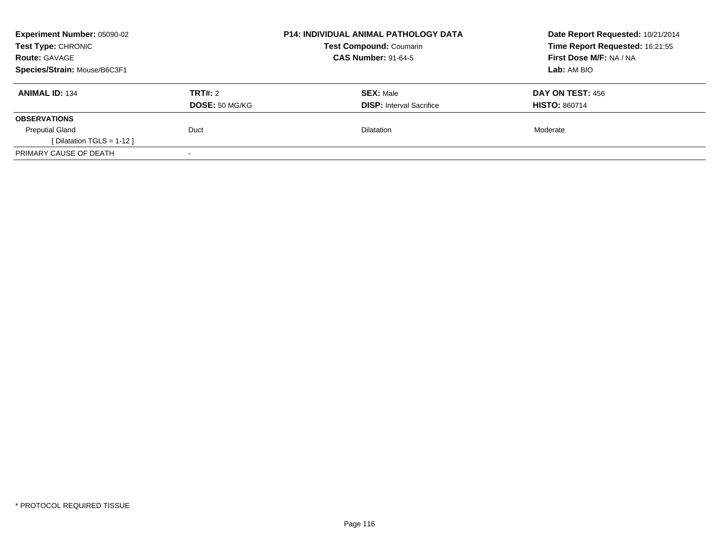| Experiment Number: 05090-02<br><b>Test Type: CHRONIC</b><br><b>Route: GAVAGE</b> |                           | <b>P14: INDIVIDUAL ANIMAL PATHOLOGY DATA</b><br><b>Test Compound: Coumarin</b><br><b>CAS Number: 91-64-5</b> | Date Report Requested: 10/21/2014<br>Time Report Requested: 16:21:55<br>First Dose M/F: NA / NA |
|----------------------------------------------------------------------------------|---------------------------|--------------------------------------------------------------------------------------------------------------|-------------------------------------------------------------------------------------------------|
| Species/Strain: Mouse/B6C3F1                                                     |                           |                                                                                                              | Lab: AM BIO                                                                                     |
| <b>ANIMAL ID: 134</b>                                                            | TRT#: 2<br>DOSE: 50 MG/KG | <b>SEX: Male</b><br><b>DISP:</b> Interval Sacrifice                                                          | DAY ON TEST: 456<br><b>HISTO: 860714</b>                                                        |
| <b>OBSERVATIONS</b>                                                              |                           |                                                                                                              |                                                                                                 |
| <b>Preputial Gland</b><br>[ Dilatation TGLS = $1-12$ ]                           | Duct                      | <b>Dilatation</b>                                                                                            | Moderate                                                                                        |
| PRIMARY CAUSE OF DEATH                                                           | $\overline{\phantom{a}}$  |                                                                                                              |                                                                                                 |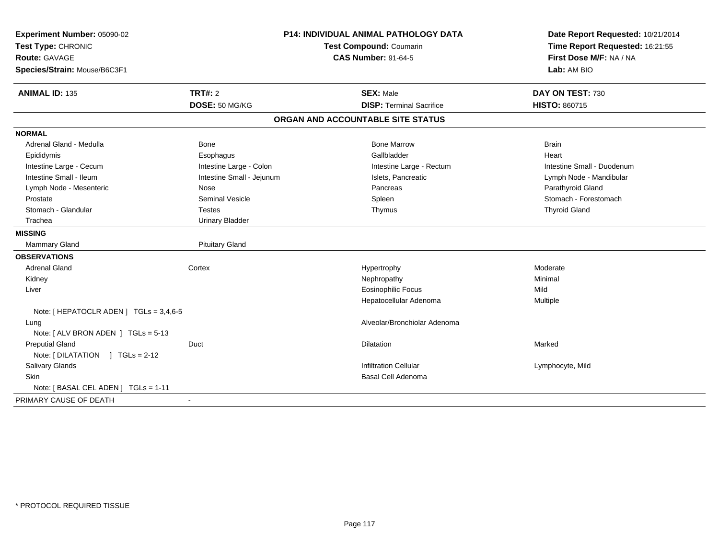| Experiment Number: 05090-02             | <b>P14: INDIVIDUAL ANIMAL PATHOLOGY DATA</b> |                                   | Date Report Requested: 10/21/2014 |  |
|-----------------------------------------|----------------------------------------------|-----------------------------------|-----------------------------------|--|
| Test Type: CHRONIC                      |                                              | Test Compound: Coumarin           | Time Report Requested: 16:21:55   |  |
| Route: GAVAGE                           |                                              | <b>CAS Number: 91-64-5</b>        | First Dose M/F: NA / NA           |  |
| Species/Strain: Mouse/B6C3F1            |                                              |                                   | Lab: AM BIO                       |  |
| <b>ANIMAL ID: 135</b>                   | <b>TRT#: 2</b>                               | <b>SEX: Male</b>                  | DAY ON TEST: 730                  |  |
|                                         | DOSE: 50 MG/KG                               | <b>DISP: Terminal Sacrifice</b>   | HISTO: 860715                     |  |
|                                         |                                              | ORGAN AND ACCOUNTABLE SITE STATUS |                                   |  |
| <b>NORMAL</b>                           |                                              |                                   |                                   |  |
| Adrenal Gland - Medulla                 | Bone                                         | <b>Bone Marrow</b>                | <b>Brain</b>                      |  |
| Epididymis                              | Esophagus                                    | Gallbladder                       | Heart                             |  |
| Intestine Large - Cecum                 | Intestine Large - Colon                      | Intestine Large - Rectum          | Intestine Small - Duodenum        |  |
| Intestine Small - Ileum                 | Intestine Small - Jejunum                    | Islets, Pancreatic                | Lymph Node - Mandibular           |  |
| Lymph Node - Mesenteric                 | Nose                                         | Pancreas                          | Parathyroid Gland                 |  |
| Prostate                                | <b>Seminal Vesicle</b>                       | Spleen                            | Stomach - Forestomach             |  |
| Stomach - Glandular                     | <b>Testes</b>                                | Thymus                            | <b>Thyroid Gland</b>              |  |
| Trachea                                 | <b>Urinary Bladder</b>                       |                                   |                                   |  |
| <b>MISSING</b>                          |                                              |                                   |                                   |  |
| Mammary Gland                           | <b>Pituitary Gland</b>                       |                                   |                                   |  |
| <b>OBSERVATIONS</b>                     |                                              |                                   |                                   |  |
| <b>Adrenal Gland</b>                    | Cortex                                       | Hypertrophy                       | Moderate                          |  |
| Kidney                                  |                                              | Nephropathy                       | Minimal                           |  |
| Liver                                   |                                              | <b>Eosinophilic Focus</b>         | Mild                              |  |
|                                         |                                              | Hepatocellular Adenoma            | Multiple                          |  |
| Note: [ HEPATOCLR ADEN ] TGLs = 3,4,6-5 |                                              |                                   |                                   |  |
| Lung                                    |                                              | Alveolar/Bronchiolar Adenoma      |                                   |  |
| Note: [ ALV BRON ADEN ] TGLs = 5-13     |                                              |                                   |                                   |  |
| <b>Preputial Gland</b>                  | Duct                                         | <b>Dilatation</b>                 | Marked                            |  |
| Note: $[ DILATATION ] TGLs = 2-12$      |                                              |                                   |                                   |  |
| Salivary Glands                         |                                              | <b>Infiltration Cellular</b>      | Lymphocyte, Mild                  |  |
| Skin                                    |                                              | Basal Cell Adenoma                |                                   |  |
| Note: [BASAL CEL ADEN ] TGLs = 1-11     |                                              |                                   |                                   |  |
| PRIMARY CAUSE OF DEATH                  | $\blacksquare$                               |                                   |                                   |  |
|                                         |                                              |                                   |                                   |  |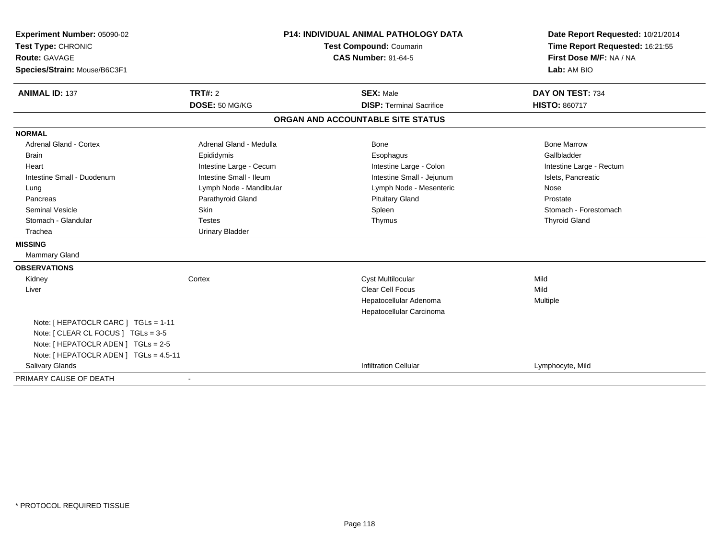| Experiment Number: 05090-02<br>Test Type: CHRONIC |                         | <b>P14: INDIVIDUAL ANIMAL PATHOLOGY DATA</b><br>Test Compound: Coumarin | Date Report Requested: 10/21/2014<br>Time Report Requested: 16:21:55 |  |
|---------------------------------------------------|-------------------------|-------------------------------------------------------------------------|----------------------------------------------------------------------|--|
| <b>Route: GAVAGE</b>                              |                         | <b>CAS Number: 91-64-5</b>                                              | First Dose M/F: NA / NA<br>Lab: AM BIO                               |  |
| Species/Strain: Mouse/B6C3F1                      |                         |                                                                         |                                                                      |  |
| <b>ANIMAL ID: 137</b>                             | TRT#: 2                 | <b>SEX: Male</b>                                                        | DAY ON TEST: 734                                                     |  |
|                                                   | DOSE: 50 MG/KG          | <b>DISP: Terminal Sacrifice</b>                                         | <b>HISTO: 860717</b>                                                 |  |
|                                                   |                         | ORGAN AND ACCOUNTABLE SITE STATUS                                       |                                                                      |  |
| <b>NORMAL</b>                                     |                         |                                                                         |                                                                      |  |
| <b>Adrenal Gland - Cortex</b>                     | Adrenal Gland - Medulla | Bone                                                                    | <b>Bone Marrow</b>                                                   |  |
| Brain                                             | Epididymis              | Esophagus                                                               | Gallbladder                                                          |  |
| Heart                                             | Intestine Large - Cecum | Intestine Large - Colon                                                 | Intestine Large - Rectum                                             |  |
| Intestine Small - Duodenum                        | Intestine Small - Ileum | Intestine Small - Jejunum                                               | Islets, Pancreatic                                                   |  |
| Lung                                              | Lymph Node - Mandibular | Lymph Node - Mesenteric                                                 | Nose                                                                 |  |
| Pancreas                                          | Parathyroid Gland       | <b>Pituitary Gland</b>                                                  | Prostate                                                             |  |
| Seminal Vesicle                                   | Skin                    | Spleen                                                                  | Stomach - Forestomach                                                |  |
| Stomach - Glandular                               | <b>Testes</b>           | Thymus                                                                  | <b>Thyroid Gland</b>                                                 |  |
| Trachea                                           | <b>Urinary Bladder</b>  |                                                                         |                                                                      |  |
| <b>MISSING</b>                                    |                         |                                                                         |                                                                      |  |
| Mammary Gland                                     |                         |                                                                         |                                                                      |  |
| <b>OBSERVATIONS</b>                               |                         |                                                                         |                                                                      |  |
| Kidney                                            | Cortex                  | <b>Cyst Multilocular</b>                                                | Mild                                                                 |  |
| Liver                                             |                         | <b>Clear Cell Focus</b>                                                 | Mild                                                                 |  |
|                                                   |                         | Hepatocellular Adenoma                                                  | Multiple                                                             |  |
|                                                   |                         | Hepatocellular Carcinoma                                                |                                                                      |  |
| Note: [ HEPATOCLR CARC ] TGLs = 1-11              |                         |                                                                         |                                                                      |  |
| Note: [ CLEAR CL FOCUS ] TGLs = 3-5               |                         |                                                                         |                                                                      |  |
| Note: [ HEPATOCLR ADEN ] TGLs = 2-5               |                         |                                                                         |                                                                      |  |
| Note: [ HEPATOCLR ADEN ] TGLs = 4.5-11            |                         |                                                                         |                                                                      |  |
| Salivary Glands                                   |                         | <b>Infiltration Cellular</b>                                            | Lymphocyte, Mild                                                     |  |
| PRIMARY CAUSE OF DEATH                            |                         |                                                                         |                                                                      |  |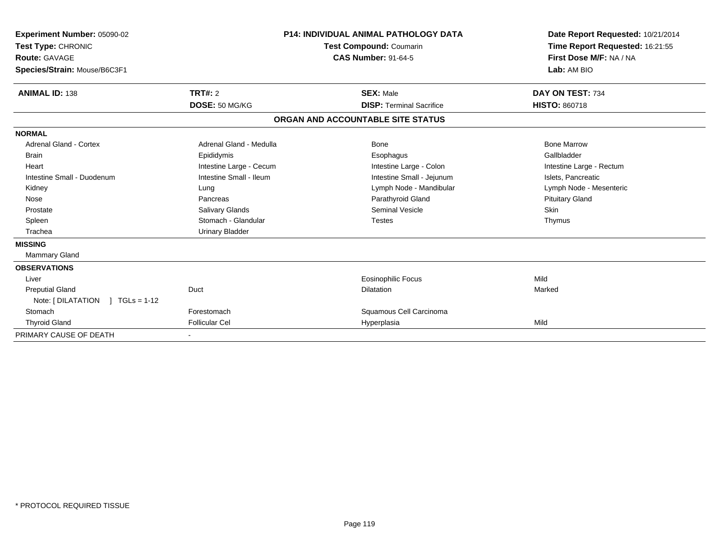| Experiment Number: 05090-02<br>Test Type: CHRONIC<br>Route: GAVAGE<br>Species/Strain: Mouse/B6C3F1 |                         | <b>P14: INDIVIDUAL ANIMAL PATHOLOGY DATA</b><br><b>Test Compound: Coumarin</b><br><b>CAS Number: 91-64-5</b> |                                   | Date Report Requested: 10/21/2014<br>Time Report Requested: 16:21:55<br>First Dose M/F: NA / NA<br>Lab: AM BIO |
|----------------------------------------------------------------------------------------------------|-------------------------|--------------------------------------------------------------------------------------------------------------|-----------------------------------|----------------------------------------------------------------------------------------------------------------|
| <b>ANIMAL ID: 138</b>                                                                              | TRT#: 2                 |                                                                                                              | <b>SEX: Male</b>                  | DAY ON TEST: 734                                                                                               |
|                                                                                                    | DOSE: 50 MG/KG          |                                                                                                              | <b>DISP: Terminal Sacrifice</b>   | <b>HISTO: 860718</b>                                                                                           |
|                                                                                                    |                         |                                                                                                              | ORGAN AND ACCOUNTABLE SITE STATUS |                                                                                                                |
| <b>NORMAL</b>                                                                                      |                         |                                                                                                              |                                   |                                                                                                                |
| <b>Adrenal Gland - Cortex</b>                                                                      | Adrenal Gland - Medulla |                                                                                                              | <b>Bone</b>                       | <b>Bone Marrow</b>                                                                                             |
| <b>Brain</b>                                                                                       | Epididymis              |                                                                                                              | Esophagus                         | Gallbladder                                                                                                    |
| Heart                                                                                              | Intestine Large - Cecum |                                                                                                              | Intestine Large - Colon           | Intestine Large - Rectum                                                                                       |
| Intestine Small - Duodenum                                                                         | Intestine Small - Ileum |                                                                                                              | Intestine Small - Jejunum         | Islets, Pancreatic                                                                                             |
| Kidney                                                                                             | Lung                    |                                                                                                              | Lymph Node - Mandibular           | Lymph Node - Mesenteric                                                                                        |
| Nose                                                                                               | Pancreas                |                                                                                                              | Parathyroid Gland                 | <b>Pituitary Gland</b>                                                                                         |
| Prostate                                                                                           | Salivary Glands         |                                                                                                              | <b>Seminal Vesicle</b>            | <b>Skin</b>                                                                                                    |
| Spleen                                                                                             | Stomach - Glandular     |                                                                                                              | <b>Testes</b>                     | Thymus                                                                                                         |
| Trachea                                                                                            | <b>Urinary Bladder</b>  |                                                                                                              |                                   |                                                                                                                |
| <b>MISSING</b>                                                                                     |                         |                                                                                                              |                                   |                                                                                                                |
| Mammary Gland                                                                                      |                         |                                                                                                              |                                   |                                                                                                                |
| <b>OBSERVATIONS</b>                                                                                |                         |                                                                                                              |                                   |                                                                                                                |
| Liver                                                                                              |                         |                                                                                                              | <b>Eosinophilic Focus</b>         | Mild                                                                                                           |
| <b>Preputial Gland</b>                                                                             | Duct                    |                                                                                                              | <b>Dilatation</b>                 | Marked                                                                                                         |
| Note: $[ DILATATION ] TGLs = 1-12$                                                                 |                         |                                                                                                              |                                   |                                                                                                                |
| Stomach                                                                                            | Forestomach             |                                                                                                              | Squamous Cell Carcinoma           |                                                                                                                |
| <b>Thyroid Gland</b>                                                                               | <b>Follicular Cel</b>   |                                                                                                              | Hyperplasia                       | Mild                                                                                                           |
| PRIMARY CAUSE OF DEATH                                                                             |                         |                                                                                                              |                                   |                                                                                                                |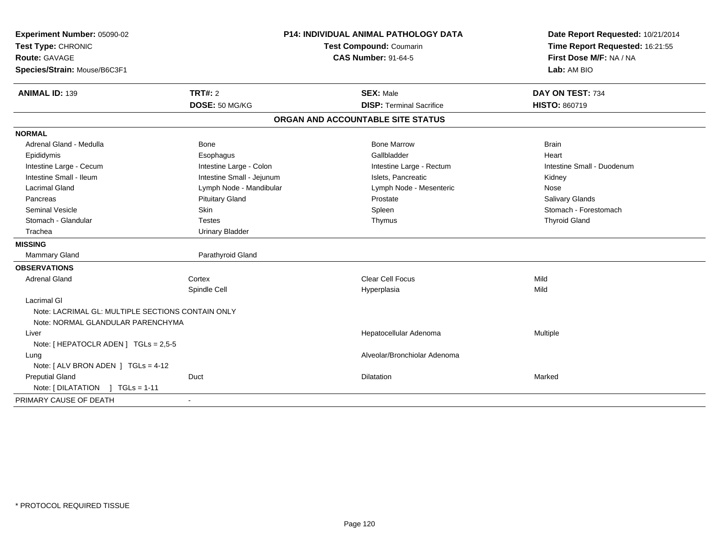| Experiment Number: 05090-02                       | <b>P14: INDIVIDUAL ANIMAL PATHOLOGY DATA</b> |                                   | Date Report Requested: 10/21/2014 |  |
|---------------------------------------------------|----------------------------------------------|-----------------------------------|-----------------------------------|--|
| Test Type: CHRONIC                                |                                              | Test Compound: Coumarin           | Time Report Requested: 16:21:55   |  |
| <b>Route: GAVAGE</b>                              |                                              | <b>CAS Number: 91-64-5</b>        | First Dose M/F: NA / NA           |  |
| Species/Strain: Mouse/B6C3F1                      |                                              |                                   | Lab: AM BIO                       |  |
| <b>ANIMAL ID: 139</b>                             | <b>TRT#: 2</b>                               | <b>SEX: Male</b>                  | DAY ON TEST: 734                  |  |
|                                                   | DOSE: 50 MG/KG                               | <b>DISP: Terminal Sacrifice</b>   | <b>HISTO: 860719</b>              |  |
|                                                   |                                              | ORGAN AND ACCOUNTABLE SITE STATUS |                                   |  |
| <b>NORMAL</b>                                     |                                              |                                   |                                   |  |
| Adrenal Gland - Medulla                           | Bone                                         | <b>Bone Marrow</b>                | <b>Brain</b>                      |  |
| Epididymis                                        | Esophagus                                    | Gallbladder                       | Heart                             |  |
| Intestine Large - Cecum                           | Intestine Large - Colon                      | Intestine Large - Rectum          | Intestine Small - Duodenum        |  |
| Intestine Small - Ileum                           | Intestine Small - Jejunum                    | Islets, Pancreatic                | Kidney                            |  |
| <b>Lacrimal Gland</b>                             | Lymph Node - Mandibular                      | Lymph Node - Mesenteric           | Nose                              |  |
| Pancreas                                          | <b>Pituitary Gland</b>                       | Prostate                          | Salivary Glands                   |  |
| <b>Seminal Vesicle</b>                            | Skin                                         | Spleen                            | Stomach - Forestomach             |  |
| Stomach - Glandular                               | <b>Testes</b>                                | Thymus                            | <b>Thyroid Gland</b>              |  |
| Trachea                                           | <b>Urinary Bladder</b>                       |                                   |                                   |  |
| <b>MISSING</b>                                    |                                              |                                   |                                   |  |
| Mammary Gland                                     | Parathyroid Gland                            |                                   |                                   |  |
| <b>OBSERVATIONS</b>                               |                                              |                                   |                                   |  |
| <b>Adrenal Gland</b>                              | Cortex                                       | <b>Clear Cell Focus</b>           | Mild                              |  |
|                                                   | Spindle Cell                                 | Hyperplasia                       | Mild                              |  |
| <b>Lacrimal GI</b>                                |                                              |                                   |                                   |  |
| Note: LACRIMAL GL: MULTIPLE SECTIONS CONTAIN ONLY |                                              |                                   |                                   |  |
| Note: NORMAL GLANDULAR PARENCHYMA                 |                                              |                                   |                                   |  |
| Liver                                             |                                              | Hepatocellular Adenoma            | Multiple                          |  |
| Note: [ HEPATOCLR ADEN ] TGLs = 2,5-5             |                                              |                                   |                                   |  |
| Lung                                              |                                              | Alveolar/Bronchiolar Adenoma      |                                   |  |
| Note: $[ALV$ BRON ADEN $]$ TGLs = 4-12            |                                              |                                   |                                   |  |
| <b>Preputial Gland</b>                            | Duct                                         | Dilatation                        | Marked                            |  |
| Note: [DILATATION ] TGLs = 1-11                   |                                              |                                   |                                   |  |
| PRIMARY CAUSE OF DEATH                            | $\blacksquare$                               |                                   |                                   |  |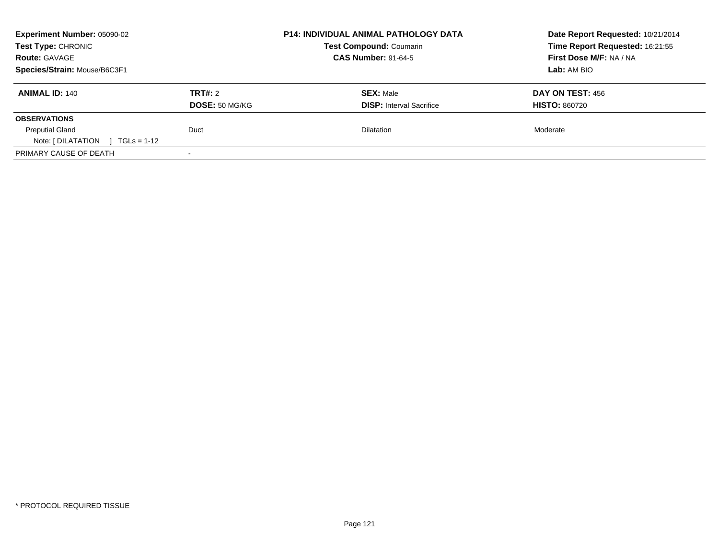| Experiment Number: 05090-02<br>Test Type: CHRONIC<br><b>Route: GAVAGE</b> |                                  | <b>P14: INDIVIDUAL ANIMAL PATHOLOGY DATA</b><br><b>Test Compound: Coumarin</b><br><b>CAS Number: 91-64-5</b> | Date Report Requested: 10/21/2014<br>Time Report Requested: 16:21:55<br>First Dose M/F: NA / NA |
|---------------------------------------------------------------------------|----------------------------------|--------------------------------------------------------------------------------------------------------------|-------------------------------------------------------------------------------------------------|
| Species/Strain: Mouse/B6C3F1                                              |                                  |                                                                                                              | Lab: AM BIO                                                                                     |
| <b>ANIMAL ID: 140</b>                                                     | TRT#: 2<br><b>DOSE: 50 MG/KG</b> | <b>SEX: Male</b><br><b>DISP:</b> Interval Sacrifice                                                          | DAY ON TEST: 456<br><b>HISTO: 860720</b>                                                        |
| <b>OBSERVATIONS</b>                                                       |                                  |                                                                                                              |                                                                                                 |
| <b>Preputial Gland</b><br>Note: $[ DILATATION ] TGLs = 1-12$              | Duct                             | <b>Dilatation</b>                                                                                            | Moderate                                                                                        |
| PRIMARY CAUSE OF DEATH                                                    | $\overline{\phantom{0}}$         |                                                                                                              |                                                                                                 |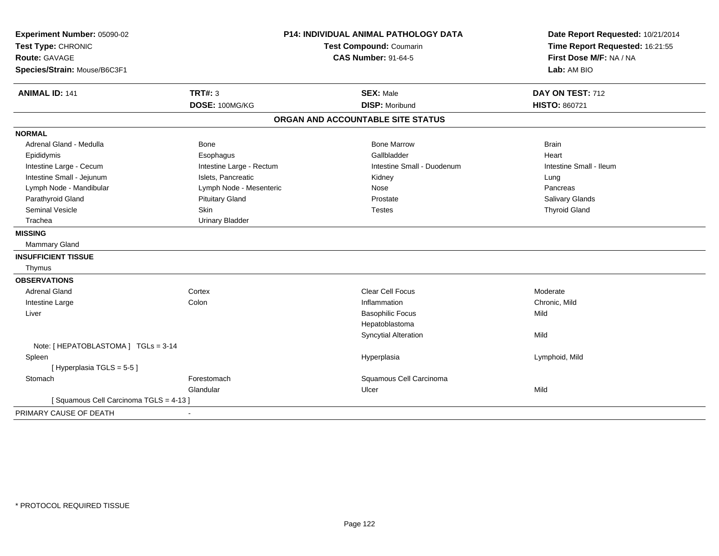| Experiment Number: 05090-02           | <b>P14: INDIVIDUAL ANIMAL PATHOLOGY DATA</b><br>Test Compound: Coumarin |                                   | Date Report Requested: 10/21/2014 |  |
|---------------------------------------|-------------------------------------------------------------------------|-----------------------------------|-----------------------------------|--|
| Test Type: CHRONIC                    |                                                                         |                                   | Time Report Requested: 16:21:55   |  |
| Route: GAVAGE                         |                                                                         | <b>CAS Number: 91-64-5</b>        | First Dose M/F: NA / NA           |  |
| Species/Strain: Mouse/B6C3F1          |                                                                         |                                   | Lab: AM BIO                       |  |
| <b>ANIMAL ID: 141</b>                 | <b>TRT#: 3</b>                                                          | <b>SEX: Male</b>                  | DAY ON TEST: 712                  |  |
|                                       | DOSE: 100MG/KG                                                          | <b>DISP: Moribund</b>             | <b>HISTO: 860721</b>              |  |
|                                       |                                                                         | ORGAN AND ACCOUNTABLE SITE STATUS |                                   |  |
| <b>NORMAL</b>                         |                                                                         |                                   |                                   |  |
| Adrenal Gland - Medulla               | <b>Bone</b>                                                             | <b>Bone Marrow</b>                | <b>Brain</b>                      |  |
| Epididymis                            | Esophagus                                                               | Gallbladder                       | Heart                             |  |
| Intestine Large - Cecum               | Intestine Large - Rectum                                                | Intestine Small - Duodenum        | Intestine Small - Ileum           |  |
| Intestine Small - Jejunum             | Islets, Pancreatic                                                      | Kidney                            | Lung                              |  |
| Lymph Node - Mandibular               | Lymph Node - Mesenteric                                                 | Nose                              | Pancreas                          |  |
| Parathyroid Gland                     | <b>Pituitary Gland</b>                                                  | Prostate                          | Salivary Glands                   |  |
| <b>Seminal Vesicle</b>                | Skin                                                                    | <b>Testes</b>                     | <b>Thyroid Gland</b>              |  |
| Trachea                               | <b>Urinary Bladder</b>                                                  |                                   |                                   |  |
| <b>MISSING</b>                        |                                                                         |                                   |                                   |  |
| <b>Mammary Gland</b>                  |                                                                         |                                   |                                   |  |
| <b>INSUFFICIENT TISSUE</b>            |                                                                         |                                   |                                   |  |
| Thymus                                |                                                                         |                                   |                                   |  |
| <b>OBSERVATIONS</b>                   |                                                                         |                                   |                                   |  |
| <b>Adrenal Gland</b>                  | Cortex                                                                  | <b>Clear Cell Focus</b>           | Moderate                          |  |
| Intestine Large                       | Colon                                                                   | Inflammation                      | Chronic, Mild                     |  |
| Liver                                 |                                                                         | <b>Basophilic Focus</b>           | Mild                              |  |
|                                       |                                                                         | Hepatoblastoma                    |                                   |  |
|                                       |                                                                         | <b>Syncytial Alteration</b>       | Mild                              |  |
| Note: [ HEPATOBLASTOMA ] TGLs = 3-14  |                                                                         |                                   |                                   |  |
| Spleen                                |                                                                         | Hyperplasia                       | Lymphoid, Mild                    |  |
| [Hyperplasia TGLS = 5-5]              |                                                                         |                                   |                                   |  |
| Stomach                               | Forestomach                                                             | Squamous Cell Carcinoma           |                                   |  |
|                                       | Glandular                                                               | Ulcer                             | Mild                              |  |
| [Squamous Cell Carcinoma TGLS = 4-13] |                                                                         |                                   |                                   |  |
| PRIMARY CAUSE OF DEATH                | $\blacksquare$                                                          |                                   |                                   |  |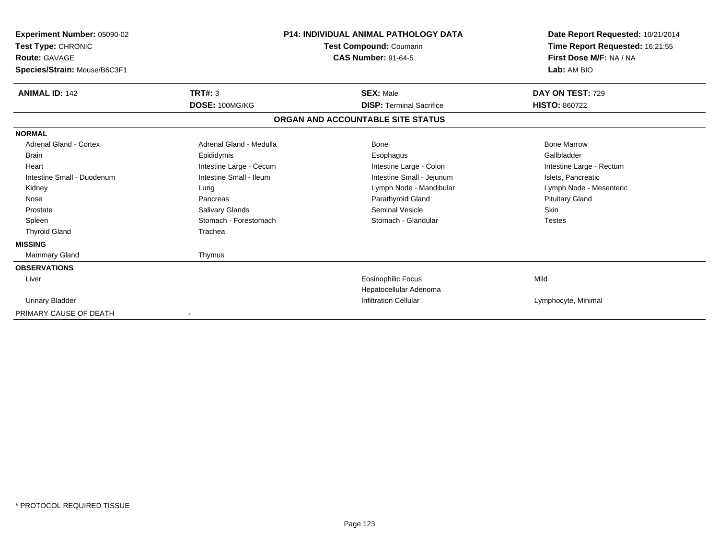| Experiment Number: 05090-02<br>Test Type: CHRONIC<br><b>Route: GAVAGE</b><br>Species/Strain: Mouse/B6C3F1 |                         | <b>P14: INDIVIDUAL ANIMAL PATHOLOGY DATA</b><br><b>Test Compound: Coumarin</b><br><b>CAS Number: 91-64-5</b> | Date Report Requested: 10/21/2014<br>Time Report Requested: 16:21:55<br>First Dose M/F: NA / NA<br>Lab: AM BIO |
|-----------------------------------------------------------------------------------------------------------|-------------------------|--------------------------------------------------------------------------------------------------------------|----------------------------------------------------------------------------------------------------------------|
| <b>ANIMAL ID: 142</b>                                                                                     | TRT#: 3                 | <b>SEX: Male</b>                                                                                             | DAY ON TEST: 729                                                                                               |
|                                                                                                           | DOSE: 100MG/KG          | <b>DISP:</b> Terminal Sacrifice                                                                              | <b>HISTO: 860722</b>                                                                                           |
|                                                                                                           |                         | ORGAN AND ACCOUNTABLE SITE STATUS                                                                            |                                                                                                                |
| <b>NORMAL</b>                                                                                             |                         |                                                                                                              |                                                                                                                |
| Adrenal Gland - Cortex                                                                                    | Adrenal Gland - Medulla | Bone                                                                                                         | <b>Bone Marrow</b>                                                                                             |
| <b>Brain</b>                                                                                              | Epididymis              | Esophagus                                                                                                    | Gallbladder                                                                                                    |
| Heart                                                                                                     | Intestine Large - Cecum | Intestine Large - Colon                                                                                      | Intestine Large - Rectum                                                                                       |
| Intestine Small - Duodenum                                                                                | Intestine Small - Ileum | Intestine Small - Jejunum                                                                                    | Islets, Pancreatic                                                                                             |
| Kidney                                                                                                    | Lung                    | Lymph Node - Mandibular                                                                                      | Lymph Node - Mesenteric                                                                                        |
| Nose                                                                                                      | Pancreas                | Parathyroid Gland                                                                                            | <b>Pituitary Gland</b>                                                                                         |
| Prostate                                                                                                  | Salivary Glands         | <b>Seminal Vesicle</b>                                                                                       | Skin                                                                                                           |
| Spleen                                                                                                    | Stomach - Forestomach   | Stomach - Glandular                                                                                          | <b>Testes</b>                                                                                                  |
| <b>Thyroid Gland</b>                                                                                      | Trachea                 |                                                                                                              |                                                                                                                |
| <b>MISSING</b>                                                                                            |                         |                                                                                                              |                                                                                                                |
| Mammary Gland                                                                                             | Thymus                  |                                                                                                              |                                                                                                                |
| <b>OBSERVATIONS</b>                                                                                       |                         |                                                                                                              |                                                                                                                |
| Liver                                                                                                     |                         | <b>Eosinophilic Focus</b>                                                                                    | Mild                                                                                                           |
|                                                                                                           |                         | Hepatocellular Adenoma                                                                                       |                                                                                                                |
| <b>Urinary Bladder</b>                                                                                    |                         | <b>Infiltration Cellular</b>                                                                                 | Lymphocyte, Minimal                                                                                            |
| PRIMARY CAUSE OF DEATH                                                                                    |                         |                                                                                                              |                                                                                                                |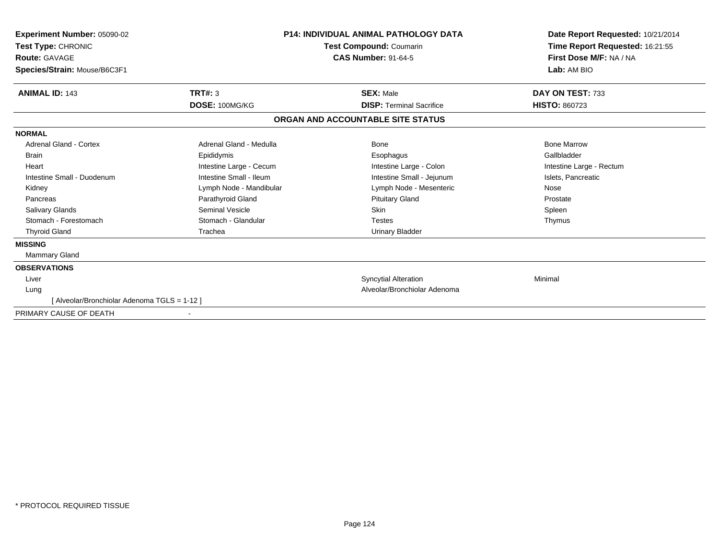| Experiment Number: 05090-02<br>Test Type: CHRONIC<br>Route: GAVAGE<br>Species/Strain: Mouse/B6C3F1 |                         | <b>P14: INDIVIDUAL ANIMAL PATHOLOGY DATA</b><br>Test Compound: Coumarin<br><b>CAS Number: 91-64-5</b> | Date Report Requested: 10/21/2014<br>Time Report Requested: 16:21:55<br>First Dose M/F: NA / NA<br>Lab: AM BIO |  |
|----------------------------------------------------------------------------------------------------|-------------------------|-------------------------------------------------------------------------------------------------------|----------------------------------------------------------------------------------------------------------------|--|
| <b>ANIMAL ID: 143</b>                                                                              | TRT#: 3                 | <b>SEX: Male</b>                                                                                      | DAY ON TEST: 733                                                                                               |  |
|                                                                                                    | DOSE: 100MG/KG          | <b>DISP: Terminal Sacrifice</b>                                                                       | <b>HISTO: 860723</b>                                                                                           |  |
|                                                                                                    |                         | ORGAN AND ACCOUNTABLE SITE STATUS                                                                     |                                                                                                                |  |
| <b>NORMAL</b>                                                                                      |                         |                                                                                                       |                                                                                                                |  |
| Adrenal Gland - Cortex                                                                             | Adrenal Gland - Medulla | Bone                                                                                                  | <b>Bone Marrow</b>                                                                                             |  |
| <b>Brain</b>                                                                                       | Epididymis              | Esophagus                                                                                             | Gallbladder                                                                                                    |  |
| Heart                                                                                              | Intestine Large - Cecum | Intestine Large - Colon                                                                               | Intestine Large - Rectum                                                                                       |  |
| Intestine Small - Duodenum                                                                         | Intestine Small - Ileum | Intestine Small - Jejunum                                                                             | Islets, Pancreatic                                                                                             |  |
| Kidney                                                                                             | Lymph Node - Mandibular | Lymph Node - Mesenteric                                                                               | Nose                                                                                                           |  |
| Pancreas                                                                                           | Parathyroid Gland       | <b>Pituitary Gland</b>                                                                                | Prostate                                                                                                       |  |
| <b>Salivary Glands</b>                                                                             | <b>Seminal Vesicle</b>  | <b>Skin</b>                                                                                           | Spleen                                                                                                         |  |
| Stomach - Forestomach                                                                              | Stomach - Glandular     | <b>Testes</b>                                                                                         | Thymus                                                                                                         |  |
| <b>Thyroid Gland</b>                                                                               | Trachea                 | <b>Urinary Bladder</b>                                                                                |                                                                                                                |  |
| <b>MISSING</b>                                                                                     |                         |                                                                                                       |                                                                                                                |  |
| <b>Mammary Gland</b>                                                                               |                         |                                                                                                       |                                                                                                                |  |
| <b>OBSERVATIONS</b>                                                                                |                         |                                                                                                       |                                                                                                                |  |
| Liver                                                                                              |                         | <b>Syncytial Alteration</b>                                                                           | Minimal                                                                                                        |  |
| Lung                                                                                               |                         | Alveolar/Bronchiolar Adenoma                                                                          |                                                                                                                |  |
| [ Alveolar/Bronchiolar Adenoma TGLS = 1-12 ]                                                       |                         |                                                                                                       |                                                                                                                |  |
| PRIMARY CAUSE OF DEATH                                                                             |                         |                                                                                                       |                                                                                                                |  |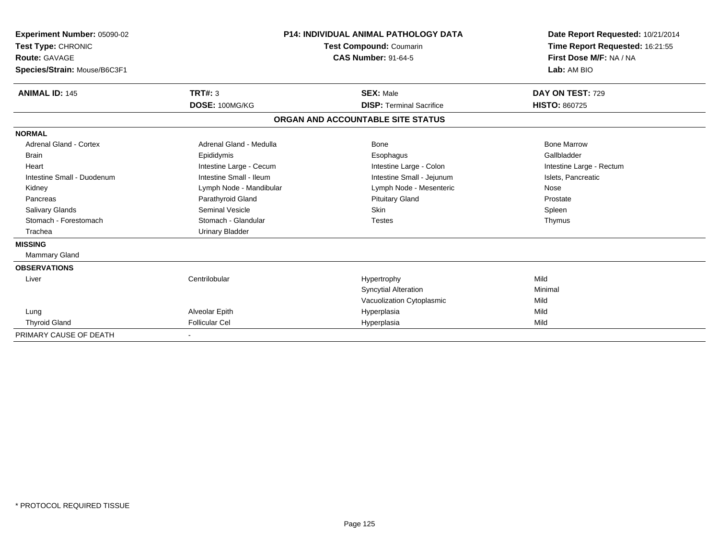| Experiment Number: 05090-02<br>Test Type: CHRONIC<br>Route: GAVAGE<br>Species/Strain: Mouse/B6C3F1 |                         | <b>P14: INDIVIDUAL ANIMAL PATHOLOGY DATA</b><br>Test Compound: Coumarin<br><b>CAS Number: 91-64-5</b> | Date Report Requested: 10/21/2014<br>Time Report Requested: 16:21:55<br>First Dose M/F: NA / NA<br>Lab: AM BIO |
|----------------------------------------------------------------------------------------------------|-------------------------|-------------------------------------------------------------------------------------------------------|----------------------------------------------------------------------------------------------------------------|
| <b>ANIMAL ID: 145</b>                                                                              | <b>TRT#: 3</b>          | <b>SEX: Male</b>                                                                                      | DAY ON TEST: 729                                                                                               |
|                                                                                                    | DOSE: 100MG/KG          | <b>DISP: Terminal Sacrifice</b>                                                                       | <b>HISTO: 860725</b>                                                                                           |
|                                                                                                    |                         | ORGAN AND ACCOUNTABLE SITE STATUS                                                                     |                                                                                                                |
| <b>NORMAL</b>                                                                                      |                         |                                                                                                       |                                                                                                                |
| <b>Adrenal Gland - Cortex</b>                                                                      | Adrenal Gland - Medulla | Bone                                                                                                  | <b>Bone Marrow</b>                                                                                             |
| <b>Brain</b>                                                                                       | Epididymis              | Esophagus                                                                                             | Gallbladder                                                                                                    |
| Heart                                                                                              | Intestine Large - Cecum | Intestine Large - Colon                                                                               | Intestine Large - Rectum                                                                                       |
| Intestine Small - Duodenum                                                                         | Intestine Small - Ileum | Intestine Small - Jejunum                                                                             | Islets, Pancreatic                                                                                             |
| Kidney                                                                                             | Lymph Node - Mandibular | Lymph Node - Mesenteric                                                                               | Nose                                                                                                           |
| Pancreas                                                                                           | Parathyroid Gland       | <b>Pituitary Gland</b>                                                                                | Prostate                                                                                                       |
| Salivary Glands                                                                                    | <b>Seminal Vesicle</b>  | Skin                                                                                                  | Spleen                                                                                                         |
| Stomach - Forestomach                                                                              | Stomach - Glandular     | <b>Testes</b>                                                                                         | Thymus                                                                                                         |
| Trachea                                                                                            | <b>Urinary Bladder</b>  |                                                                                                       |                                                                                                                |
| <b>MISSING</b>                                                                                     |                         |                                                                                                       |                                                                                                                |
| Mammary Gland                                                                                      |                         |                                                                                                       |                                                                                                                |
| <b>OBSERVATIONS</b>                                                                                |                         |                                                                                                       |                                                                                                                |
| Liver                                                                                              | Centrilobular           | Hypertrophy                                                                                           | Mild                                                                                                           |
|                                                                                                    |                         | <b>Syncytial Alteration</b>                                                                           | Minimal                                                                                                        |
|                                                                                                    |                         | Vacuolization Cytoplasmic                                                                             | Mild                                                                                                           |
| Lung                                                                                               | Alveolar Epith          | Hyperplasia                                                                                           | Mild                                                                                                           |
| <b>Thyroid Gland</b>                                                                               | <b>Follicular Cel</b>   | Hyperplasia                                                                                           | Mild                                                                                                           |
| PRIMARY CAUSE OF DEATH                                                                             |                         |                                                                                                       |                                                                                                                |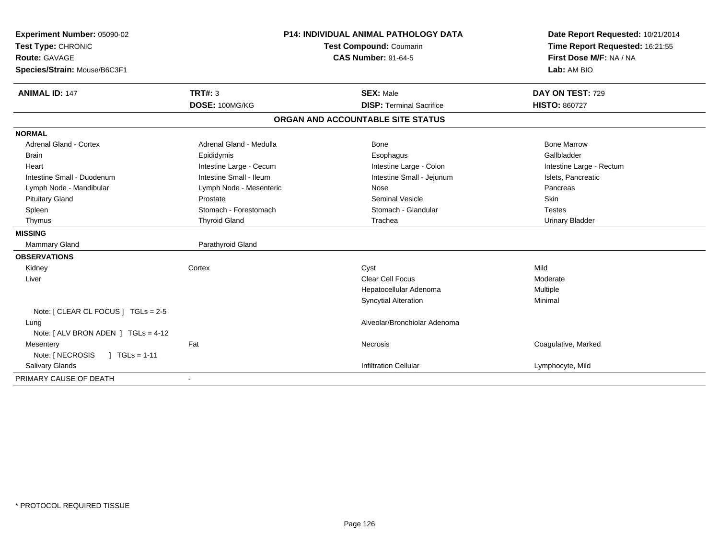| Experiment Number: 05090-02            | P14: INDIVIDUAL ANIMAL PATHOLOGY DATA |                                   | Date Report Requested: 10/21/2014 |  |
|----------------------------------------|---------------------------------------|-----------------------------------|-----------------------------------|--|
| Test Type: CHRONIC                     |                                       | <b>Test Compound: Coumarin</b>    | Time Report Requested: 16:21:55   |  |
| <b>Route: GAVAGE</b>                   | <b>CAS Number: 91-64-5</b>            |                                   | First Dose M/F: NA / NA           |  |
| Species/Strain: Mouse/B6C3F1           |                                       |                                   | Lab: AM BIO                       |  |
| <b>ANIMAL ID: 147</b>                  | TRT#: 3                               | <b>SEX: Male</b>                  | DAY ON TEST: 729                  |  |
|                                        | DOSE: 100MG/KG                        | <b>DISP: Terminal Sacrifice</b>   | <b>HISTO: 860727</b>              |  |
|                                        |                                       | ORGAN AND ACCOUNTABLE SITE STATUS |                                   |  |
| <b>NORMAL</b>                          |                                       |                                   |                                   |  |
| <b>Adrenal Gland - Cortex</b>          | Adrenal Gland - Medulla               | <b>Bone</b>                       | <b>Bone Marrow</b>                |  |
| <b>Brain</b>                           | Epididymis                            | Esophagus                         | Gallbladder                       |  |
| Heart                                  | Intestine Large - Cecum               | Intestine Large - Colon           | Intestine Large - Rectum          |  |
| Intestine Small - Duodenum             | Intestine Small - Ileum               | Intestine Small - Jejunum         | Islets, Pancreatic                |  |
| Lymph Node - Mandibular                | Lymph Node - Mesenteric               | Nose                              | Pancreas                          |  |
| <b>Pituitary Gland</b>                 | Prostate                              | <b>Seminal Vesicle</b>            | Skin                              |  |
| Spleen                                 | Stomach - Forestomach                 | Stomach - Glandular               | <b>Testes</b>                     |  |
| Thymus                                 | <b>Thyroid Gland</b>                  | Trachea                           | <b>Urinary Bladder</b>            |  |
| <b>MISSING</b>                         |                                       |                                   |                                   |  |
| <b>Mammary Gland</b>                   | Parathyroid Gland                     |                                   |                                   |  |
| <b>OBSERVATIONS</b>                    |                                       |                                   |                                   |  |
| Kidney                                 | Cortex                                | Cyst                              | Mild                              |  |
| Liver                                  |                                       | <b>Clear Cell Focus</b>           | Moderate                          |  |
|                                        |                                       | Hepatocellular Adenoma            | Multiple                          |  |
|                                        |                                       | <b>Syncytial Alteration</b>       | Minimal                           |  |
| Note: [ CLEAR CL FOCUS ] TGLs = 2-5    |                                       |                                   |                                   |  |
| Lung                                   |                                       | Alveolar/Bronchiolar Adenoma      |                                   |  |
| Note: $[ALV$ BRON ADEN $]$ TGLs = 4-12 |                                       |                                   |                                   |  |
| Mesentery                              | Fat                                   | Necrosis                          | Coagulative, Marked               |  |
| Note: [ NECROSIS<br>$1 TGLs = 1-11$    |                                       |                                   |                                   |  |
| <b>Salivary Glands</b>                 |                                       | <b>Infiltration Cellular</b>      | Lymphocyte, Mild                  |  |
| PRIMARY CAUSE OF DEATH                 |                                       |                                   |                                   |  |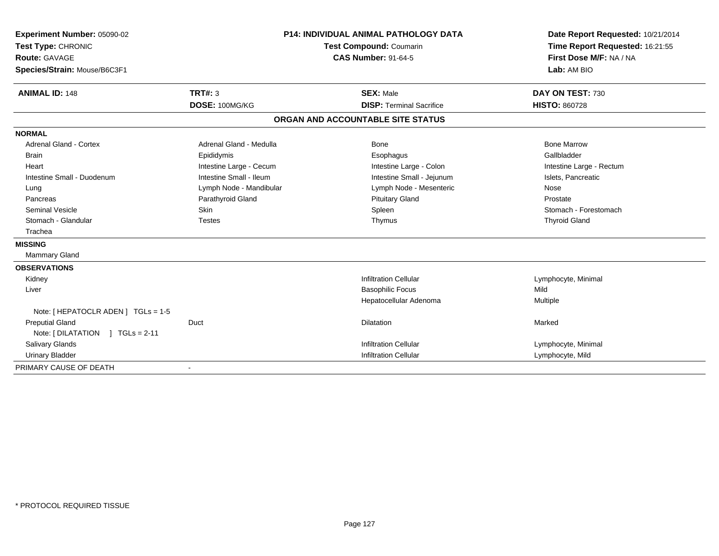| Experiment Number: 05090-02<br>Test Type: CHRONIC<br><b>Route: GAVAGE</b> |                         | <b>P14: INDIVIDUAL ANIMAL PATHOLOGY DATA</b><br>Test Compound: Coumarin<br><b>CAS Number: 91-64-5</b> | Date Report Requested: 10/21/2014<br>Time Report Requested: 16:21:55<br>First Dose M/F: NA / NA |  |
|---------------------------------------------------------------------------|-------------------------|-------------------------------------------------------------------------------------------------------|-------------------------------------------------------------------------------------------------|--|
| Species/Strain: Mouse/B6C3F1                                              |                         |                                                                                                       | Lab: AM BIO                                                                                     |  |
| <b>ANIMAL ID: 148</b>                                                     | <b>TRT#: 3</b>          | <b>SEX: Male</b>                                                                                      | DAY ON TEST: 730                                                                                |  |
|                                                                           | DOSE: 100MG/KG          | <b>DISP: Terminal Sacrifice</b>                                                                       | <b>HISTO: 860728</b>                                                                            |  |
|                                                                           |                         | ORGAN AND ACCOUNTABLE SITE STATUS                                                                     |                                                                                                 |  |
| <b>NORMAL</b>                                                             |                         |                                                                                                       |                                                                                                 |  |
| <b>Adrenal Gland - Cortex</b>                                             | Adrenal Gland - Medulla | Bone                                                                                                  | <b>Bone Marrow</b>                                                                              |  |
| <b>Brain</b>                                                              | Epididymis              | Esophagus                                                                                             | Gallbladder                                                                                     |  |
| Heart                                                                     | Intestine Large - Cecum | Intestine Large - Colon                                                                               | Intestine Large - Rectum                                                                        |  |
| Intestine Small - Duodenum                                                | Intestine Small - Ileum | Intestine Small - Jejunum                                                                             | Islets, Pancreatic                                                                              |  |
| Lung                                                                      | Lymph Node - Mandibular | Lymph Node - Mesenteric                                                                               | Nose                                                                                            |  |
| Pancreas                                                                  | Parathyroid Gland       | <b>Pituitary Gland</b>                                                                                | Prostate                                                                                        |  |
| <b>Seminal Vesicle</b>                                                    | <b>Skin</b>             | Spleen                                                                                                | Stomach - Forestomach                                                                           |  |
| Stomach - Glandular                                                       | <b>Testes</b>           | Thymus                                                                                                | <b>Thyroid Gland</b>                                                                            |  |
| Trachea                                                                   |                         |                                                                                                       |                                                                                                 |  |
| <b>MISSING</b>                                                            |                         |                                                                                                       |                                                                                                 |  |
| Mammary Gland                                                             |                         |                                                                                                       |                                                                                                 |  |
| <b>OBSERVATIONS</b>                                                       |                         |                                                                                                       |                                                                                                 |  |
| Kidney                                                                    |                         | <b>Infiltration Cellular</b>                                                                          | Lymphocyte, Minimal                                                                             |  |
| Liver                                                                     |                         | <b>Basophilic Focus</b>                                                                               | Mild                                                                                            |  |
|                                                                           |                         | Hepatocellular Adenoma                                                                                | Multiple                                                                                        |  |
| Note: [ HEPATOCLR ADEN ] TGLs = 1-5                                       |                         |                                                                                                       |                                                                                                 |  |
| <b>Preputial Gland</b>                                                    | Duct                    | Dilatation                                                                                            | Marked                                                                                          |  |
| Note: [DILATATION ] TGLs = 2-11                                           |                         |                                                                                                       |                                                                                                 |  |
| Salivary Glands                                                           |                         | <b>Infiltration Cellular</b>                                                                          | Lymphocyte, Minimal                                                                             |  |
| <b>Urinary Bladder</b>                                                    |                         | <b>Infiltration Cellular</b>                                                                          | Lymphocyte, Mild                                                                                |  |
| PRIMARY CAUSE OF DEATH                                                    |                         |                                                                                                       |                                                                                                 |  |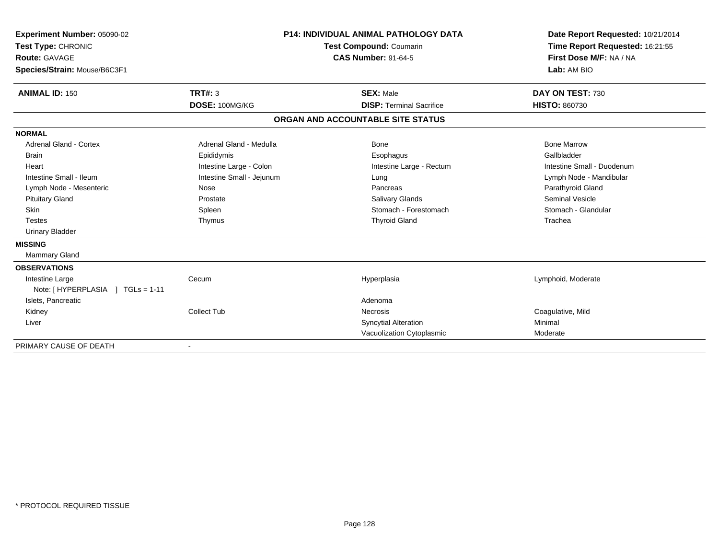| Experiment Number: 05090-02<br>Test Type: CHRONIC<br>Route: GAVAGE<br>Species/Strain: Mouse/B6C3F1 |                                  | <b>P14: INDIVIDUAL ANIMAL PATHOLOGY DATA</b><br>Test Compound: Coumarin<br><b>CAS Number: 91-64-5</b> | Date Report Requested: 10/21/2014<br>Time Report Requested: 16:21:55<br>First Dose M/F: NA / NA<br>Lab: AM BIO |
|----------------------------------------------------------------------------------------------------|----------------------------------|-------------------------------------------------------------------------------------------------------|----------------------------------------------------------------------------------------------------------------|
| <b>ANIMAL ID: 150</b>                                                                              | <b>TRT#: 3</b><br>DOSE: 100MG/KG | <b>SEX: Male</b><br><b>DISP: Terminal Sacrifice</b>                                                   | DAY ON TEST: 730<br><b>HISTO: 860730</b>                                                                       |
|                                                                                                    |                                  |                                                                                                       |                                                                                                                |
|                                                                                                    |                                  | ORGAN AND ACCOUNTABLE SITE STATUS                                                                     |                                                                                                                |
| <b>NORMAL</b>                                                                                      |                                  |                                                                                                       |                                                                                                                |
| <b>Adrenal Gland - Cortex</b>                                                                      | Adrenal Gland - Medulla          | Bone                                                                                                  | <b>Bone Marrow</b>                                                                                             |
| <b>Brain</b>                                                                                       | Epididymis                       | Esophagus                                                                                             | Gallbladder                                                                                                    |
| Heart                                                                                              | Intestine Large - Colon          | Intestine Large - Rectum                                                                              | Intestine Small - Duodenum                                                                                     |
| Intestine Small - Ileum                                                                            | Intestine Small - Jejunum        | Lung                                                                                                  | Lymph Node - Mandibular                                                                                        |
| Lymph Node - Mesenteric                                                                            | Nose                             | Pancreas                                                                                              | Parathyroid Gland                                                                                              |
| <b>Pituitary Gland</b>                                                                             | Prostate                         | <b>Salivary Glands</b>                                                                                | <b>Seminal Vesicle</b>                                                                                         |
| <b>Skin</b>                                                                                        | Spleen                           | Stomach - Forestomach                                                                                 | Stomach - Glandular                                                                                            |
| <b>Testes</b>                                                                                      | Thymus                           | <b>Thyroid Gland</b>                                                                                  | Trachea                                                                                                        |
| <b>Urinary Bladder</b>                                                                             |                                  |                                                                                                       |                                                                                                                |
| <b>MISSING</b>                                                                                     |                                  |                                                                                                       |                                                                                                                |
| <b>Mammary Gland</b>                                                                               |                                  |                                                                                                       |                                                                                                                |
| <b>OBSERVATIONS</b>                                                                                |                                  |                                                                                                       |                                                                                                                |
| Intestine Large                                                                                    | Cecum                            | Hyperplasia                                                                                           | Lymphoid, Moderate                                                                                             |
| Note: [HYPERPLASIA ] TGLs = 1-11                                                                   |                                  |                                                                                                       |                                                                                                                |
| Islets, Pancreatic                                                                                 |                                  | Adenoma                                                                                               |                                                                                                                |
| Kidney                                                                                             | Collect Tub                      | <b>Necrosis</b>                                                                                       | Coagulative, Mild                                                                                              |
| Liver                                                                                              |                                  | <b>Syncytial Alteration</b>                                                                           | Minimal                                                                                                        |
|                                                                                                    |                                  | Vacuolization Cytoplasmic                                                                             | Moderate                                                                                                       |
| PRIMARY CAUSE OF DEATH                                                                             |                                  |                                                                                                       |                                                                                                                |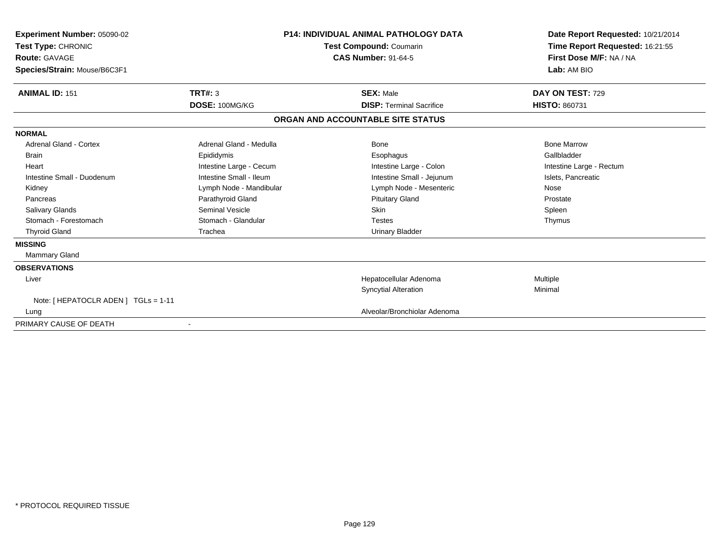| <b>Experiment Number: 05090-02</b><br>Test Type: CHRONIC<br><b>Route: GAVAGE</b><br>Species/Strain: Mouse/B6C3F1 |                         | <b>P14: INDIVIDUAL ANIMAL PATHOLOGY DATA</b><br>Test Compound: Coumarin<br><b>CAS Number: 91-64-5</b> | Date Report Requested: 10/21/2014<br>Time Report Requested: 16:21:55<br>First Dose M/F: NA / NA<br>Lab: AM BIO |  |
|------------------------------------------------------------------------------------------------------------------|-------------------------|-------------------------------------------------------------------------------------------------------|----------------------------------------------------------------------------------------------------------------|--|
| <b>ANIMAL ID: 151</b>                                                                                            | <b>TRT#: 3</b>          | <b>SEX: Male</b>                                                                                      | DAY ON TEST: 729                                                                                               |  |
|                                                                                                                  | DOSE: 100MG/KG          | <b>DISP: Terminal Sacrifice</b>                                                                       | <b>HISTO: 860731</b>                                                                                           |  |
|                                                                                                                  |                         | ORGAN AND ACCOUNTABLE SITE STATUS                                                                     |                                                                                                                |  |
| <b>NORMAL</b>                                                                                                    |                         |                                                                                                       |                                                                                                                |  |
| Adrenal Gland - Cortex                                                                                           | Adrenal Gland - Medulla | <b>Bone</b>                                                                                           | <b>Bone Marrow</b>                                                                                             |  |
| <b>Brain</b>                                                                                                     | Epididymis              | Esophagus                                                                                             | Gallbladder                                                                                                    |  |
| Heart                                                                                                            | Intestine Large - Cecum | Intestine Large - Colon                                                                               | Intestine Large - Rectum                                                                                       |  |
| Intestine Small - Duodenum                                                                                       | Intestine Small - Ileum | Intestine Small - Jejunum                                                                             | Islets, Pancreatic                                                                                             |  |
| Kidney                                                                                                           | Lymph Node - Mandibular | Lymph Node - Mesenteric                                                                               | Nose                                                                                                           |  |
| Pancreas                                                                                                         | Parathyroid Gland       | <b>Pituitary Gland</b>                                                                                | Prostate                                                                                                       |  |
| <b>Salivary Glands</b>                                                                                           | Seminal Vesicle         | <b>Skin</b>                                                                                           | Spleen                                                                                                         |  |
| Stomach - Forestomach                                                                                            | Stomach - Glandular     | <b>Testes</b>                                                                                         | Thymus                                                                                                         |  |
| <b>Thyroid Gland</b>                                                                                             | Trachea                 | <b>Urinary Bladder</b>                                                                                |                                                                                                                |  |
| <b>MISSING</b>                                                                                                   |                         |                                                                                                       |                                                                                                                |  |
| <b>Mammary Gland</b>                                                                                             |                         |                                                                                                       |                                                                                                                |  |
| <b>OBSERVATIONS</b>                                                                                              |                         |                                                                                                       |                                                                                                                |  |
| Liver                                                                                                            |                         | Hepatocellular Adenoma                                                                                | Multiple                                                                                                       |  |
|                                                                                                                  |                         | <b>Syncytial Alteration</b>                                                                           | Minimal                                                                                                        |  |
| Note: [ HEPATOCLR ADEN ] TGLs = 1-11                                                                             |                         |                                                                                                       |                                                                                                                |  |
| Lung                                                                                                             |                         | Alveolar/Bronchiolar Adenoma                                                                          |                                                                                                                |  |
| PRIMARY CAUSE OF DEATH                                                                                           |                         |                                                                                                       |                                                                                                                |  |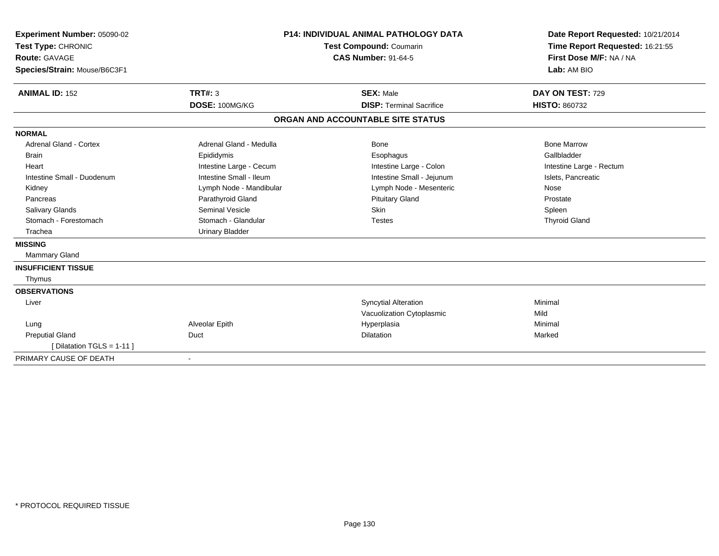| Experiment Number: 05090-02<br>Test Type: CHRONIC<br>Route: GAVAGE |                         | <b>P14: INDIVIDUAL ANIMAL PATHOLOGY DATA</b><br>Test Compound: Coumarin<br><b>CAS Number: 91-64-5</b> | Date Report Requested: 10/21/2014<br>Time Report Requested: 16:21:55<br>First Dose M/F: NA / NA |  |
|--------------------------------------------------------------------|-------------------------|-------------------------------------------------------------------------------------------------------|-------------------------------------------------------------------------------------------------|--|
| Species/Strain: Mouse/B6C3F1                                       |                         |                                                                                                       | Lab: AM BIO                                                                                     |  |
| <b>ANIMAL ID: 152</b>                                              | TRT#: 3                 | <b>SEX: Male</b>                                                                                      | DAY ON TEST: 729                                                                                |  |
|                                                                    | DOSE: 100MG/KG          | <b>DISP: Terminal Sacrifice</b>                                                                       | <b>HISTO: 860732</b>                                                                            |  |
|                                                                    |                         | ORGAN AND ACCOUNTABLE SITE STATUS                                                                     |                                                                                                 |  |
| <b>NORMAL</b>                                                      |                         |                                                                                                       |                                                                                                 |  |
| <b>Adrenal Gland - Cortex</b>                                      | Adrenal Gland - Medulla | <b>Bone</b>                                                                                           | <b>Bone Marrow</b>                                                                              |  |
| Brain                                                              | Epididymis              | Esophagus                                                                                             | Gallbladder                                                                                     |  |
| Heart                                                              | Intestine Large - Cecum | Intestine Large - Colon                                                                               | Intestine Large - Rectum                                                                        |  |
| Intestine Small - Duodenum                                         | Intestine Small - Ileum | Intestine Small - Jejunum                                                                             | Islets, Pancreatic                                                                              |  |
| Kidney                                                             | Lymph Node - Mandibular | Lymph Node - Mesenteric                                                                               | Nose                                                                                            |  |
| Pancreas                                                           | Parathyroid Gland       | <b>Pituitary Gland</b>                                                                                | Prostate                                                                                        |  |
| <b>Salivary Glands</b>                                             | Seminal Vesicle         | Skin                                                                                                  | Spleen                                                                                          |  |
| Stomach - Forestomach                                              | Stomach - Glandular     | <b>Testes</b>                                                                                         | <b>Thyroid Gland</b>                                                                            |  |
| Trachea                                                            | <b>Urinary Bladder</b>  |                                                                                                       |                                                                                                 |  |
| <b>MISSING</b>                                                     |                         |                                                                                                       |                                                                                                 |  |
| <b>Mammary Gland</b>                                               |                         |                                                                                                       |                                                                                                 |  |
| <b>INSUFFICIENT TISSUE</b>                                         |                         |                                                                                                       |                                                                                                 |  |
| Thymus                                                             |                         |                                                                                                       |                                                                                                 |  |
| <b>OBSERVATIONS</b>                                                |                         |                                                                                                       |                                                                                                 |  |
| Liver                                                              |                         | <b>Syncytial Alteration</b>                                                                           | Minimal                                                                                         |  |
|                                                                    |                         | Vacuolization Cytoplasmic                                                                             | Mild                                                                                            |  |
| Lung                                                               | Alveolar Epith          | Hyperplasia                                                                                           | Minimal                                                                                         |  |
| <b>Preputial Gland</b>                                             | Duct                    | Dilatation                                                                                            | Marked                                                                                          |  |
| [Dilatation TGLS = 1-11]                                           |                         |                                                                                                       |                                                                                                 |  |
| PRIMARY CAUSE OF DEATH                                             |                         |                                                                                                       |                                                                                                 |  |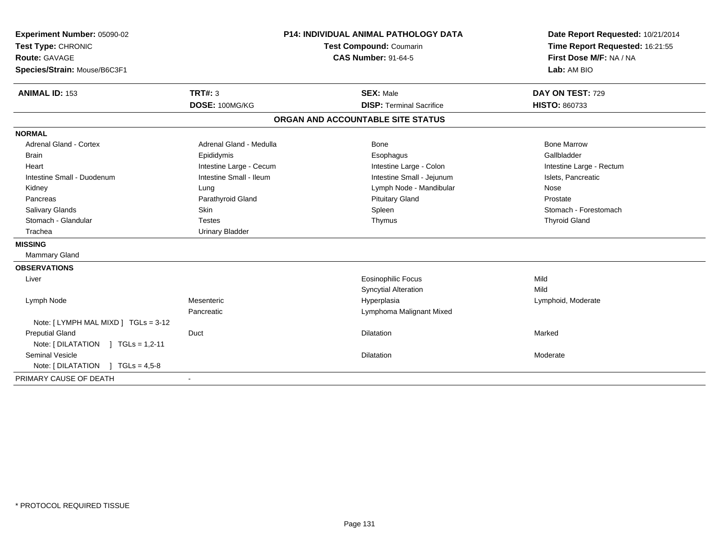| Experiment Number: 05090-02<br>Test Type: CHRONIC<br>Route: GAVAGE<br>Species/Strain: Mouse/B6C3F1 |                         | <b>P14: INDIVIDUAL ANIMAL PATHOLOGY DATA</b><br>Test Compound: Coumarin<br><b>CAS Number: 91-64-5</b> | Date Report Requested: 10/21/2014<br>Time Report Requested: 16:21:55<br>First Dose M/F: NA / NA<br>Lab: AM BIO |  |
|----------------------------------------------------------------------------------------------------|-------------------------|-------------------------------------------------------------------------------------------------------|----------------------------------------------------------------------------------------------------------------|--|
| <b>ANIMAL ID: 153</b>                                                                              | TRT#: 3                 | <b>SEX: Male</b>                                                                                      | DAY ON TEST: 729                                                                                               |  |
|                                                                                                    | DOSE: 100MG/KG          | <b>DISP: Terminal Sacrifice</b>                                                                       | <b>HISTO: 860733</b>                                                                                           |  |
|                                                                                                    |                         | ORGAN AND ACCOUNTABLE SITE STATUS                                                                     |                                                                                                                |  |
| <b>NORMAL</b>                                                                                      |                         |                                                                                                       |                                                                                                                |  |
| <b>Adrenal Gland - Cortex</b>                                                                      | Adrenal Gland - Medulla | Bone                                                                                                  | <b>Bone Marrow</b>                                                                                             |  |
| <b>Brain</b>                                                                                       | Epididymis              | Esophagus                                                                                             | Gallbladder                                                                                                    |  |
| Heart                                                                                              | Intestine Large - Cecum | Intestine Large - Colon                                                                               | Intestine Large - Rectum                                                                                       |  |
| Intestine Small - Duodenum                                                                         | Intestine Small - Ileum | Intestine Small - Jejunum                                                                             | Islets, Pancreatic                                                                                             |  |
| Kidney                                                                                             | Lung                    | Lymph Node - Mandibular                                                                               | Nose                                                                                                           |  |
| Pancreas                                                                                           | Parathyroid Gland       | <b>Pituitary Gland</b>                                                                                | Prostate                                                                                                       |  |
| <b>Salivary Glands</b>                                                                             | Skin                    | Spleen                                                                                                | Stomach - Forestomach                                                                                          |  |
| Stomach - Glandular                                                                                | <b>Testes</b>           | Thymus                                                                                                | <b>Thyroid Gland</b>                                                                                           |  |
| Trachea                                                                                            | <b>Urinary Bladder</b>  |                                                                                                       |                                                                                                                |  |
| <b>MISSING</b>                                                                                     |                         |                                                                                                       |                                                                                                                |  |
| <b>Mammary Gland</b>                                                                               |                         |                                                                                                       |                                                                                                                |  |
| <b>OBSERVATIONS</b>                                                                                |                         |                                                                                                       |                                                                                                                |  |
| Liver                                                                                              |                         | <b>Eosinophilic Focus</b>                                                                             | Mild                                                                                                           |  |
|                                                                                                    |                         | <b>Syncytial Alteration</b>                                                                           | Mild                                                                                                           |  |
| Lymph Node                                                                                         | Mesenteric              | Hyperplasia                                                                                           | Lymphoid, Moderate                                                                                             |  |
|                                                                                                    | Pancreatic              | Lymphoma Malignant Mixed                                                                              |                                                                                                                |  |
| Note: [ LYMPH MAL MIXD ] TGLs = 3-12                                                               |                         |                                                                                                       |                                                                                                                |  |
| <b>Preputial Gland</b>                                                                             | Duct                    | <b>Dilatation</b>                                                                                     | Marked                                                                                                         |  |
| Note: $[ DILATATION ] TGLS = 1,2-11$                                                               |                         |                                                                                                       |                                                                                                                |  |
| <b>Seminal Vesicle</b>                                                                             |                         | <b>Dilatation</b>                                                                                     | Moderate                                                                                                       |  |
| Note: $[DILATATION] TGLs = 4,5-8$                                                                  |                         |                                                                                                       |                                                                                                                |  |
| PRIMARY CAUSE OF DEATH                                                                             |                         |                                                                                                       |                                                                                                                |  |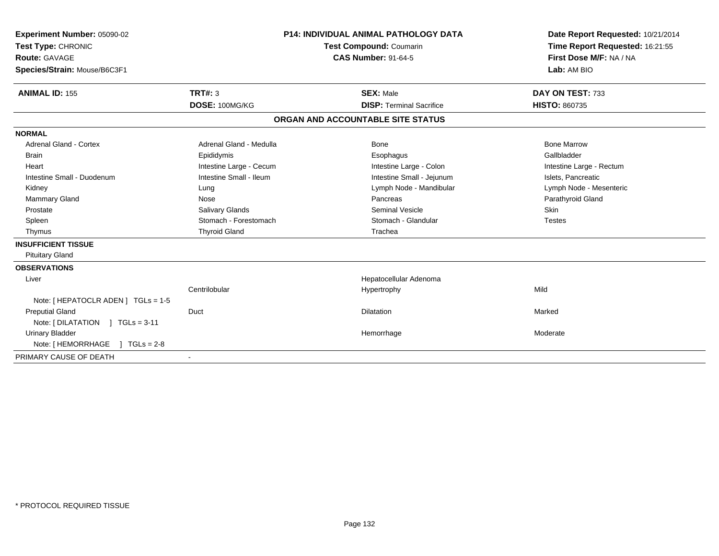| Experiment Number: 05090-02<br>Test Type: CHRONIC<br>Route: GAVAGE<br>Species/Strain: Mouse/B6C3F1<br><b>ANIMAL ID: 155</b> | TRT#: 3<br>DOSE: 100MG/KG | <b>P14: INDIVIDUAL ANIMAL PATHOLOGY DATA</b><br>Test Compound: Coumarin<br><b>CAS Number: 91-64-5</b><br><b>SEX: Male</b><br><b>DISP: Terminal Sacrifice</b> |                                   | Date Report Requested: 10/21/2014<br>Time Report Requested: 16:21:55<br>First Dose M/F: NA / NA<br>Lab: AM BIO<br>DAY ON TEST: 733<br><b>HISTO: 860735</b> |
|-----------------------------------------------------------------------------------------------------------------------------|---------------------------|--------------------------------------------------------------------------------------------------------------------------------------------------------------|-----------------------------------|------------------------------------------------------------------------------------------------------------------------------------------------------------|
|                                                                                                                             |                           |                                                                                                                                                              | ORGAN AND ACCOUNTABLE SITE STATUS |                                                                                                                                                            |
| <b>NORMAL</b>                                                                                                               |                           |                                                                                                                                                              |                                   |                                                                                                                                                            |
| Adrenal Gland - Cortex                                                                                                      | Adrenal Gland - Medulla   |                                                                                                                                                              | Bone                              | <b>Bone Marrow</b>                                                                                                                                         |
| Brain                                                                                                                       | Epididymis                |                                                                                                                                                              | Esophagus                         | Gallbladder                                                                                                                                                |
| Heart                                                                                                                       | Intestine Large - Cecum   |                                                                                                                                                              | Intestine Large - Colon           | Intestine Large - Rectum                                                                                                                                   |
| Intestine Small - Duodenum                                                                                                  | Intestine Small - Ileum   |                                                                                                                                                              | Intestine Small - Jejunum         | Islets, Pancreatic                                                                                                                                         |
| Kidney                                                                                                                      | Lung                      |                                                                                                                                                              | Lymph Node - Mandibular           | Lymph Node - Mesenteric                                                                                                                                    |
| Mammary Gland                                                                                                               | Nose                      |                                                                                                                                                              | Pancreas                          | Parathyroid Gland                                                                                                                                          |
| Prostate                                                                                                                    | Salivary Glands           |                                                                                                                                                              | Seminal Vesicle                   | <b>Skin</b>                                                                                                                                                |
| Spleen                                                                                                                      | Stomach - Forestomach     |                                                                                                                                                              | Stomach - Glandular               | <b>Testes</b>                                                                                                                                              |
| Thymus                                                                                                                      | <b>Thyroid Gland</b>      |                                                                                                                                                              | Trachea                           |                                                                                                                                                            |
| <b>INSUFFICIENT TISSUE</b>                                                                                                  |                           |                                                                                                                                                              |                                   |                                                                                                                                                            |
| <b>Pituitary Gland</b>                                                                                                      |                           |                                                                                                                                                              |                                   |                                                                                                                                                            |
| <b>OBSERVATIONS</b>                                                                                                         |                           |                                                                                                                                                              |                                   |                                                                                                                                                            |
| Liver                                                                                                                       |                           |                                                                                                                                                              | Hepatocellular Adenoma            |                                                                                                                                                            |
|                                                                                                                             | Centrilobular             |                                                                                                                                                              | Hypertrophy                       | Mild                                                                                                                                                       |
| Note: [ HEPATOCLR ADEN ] TGLs = 1-5                                                                                         |                           |                                                                                                                                                              |                                   |                                                                                                                                                            |
| <b>Preputial Gland</b>                                                                                                      | Duct                      |                                                                                                                                                              | <b>Dilatation</b>                 | Marked                                                                                                                                                     |
| Note: $[DILATATION] TGLs = 3-11$                                                                                            |                           |                                                                                                                                                              |                                   |                                                                                                                                                            |
| <b>Urinary Bladder</b>                                                                                                      |                           |                                                                                                                                                              | Hemorrhage                        | Moderate                                                                                                                                                   |
| Note: [ HEMORRHAGE<br>$TGLs = 2-8$                                                                                          |                           |                                                                                                                                                              |                                   |                                                                                                                                                            |
| PRIMARY CAUSE OF DEATH                                                                                                      |                           |                                                                                                                                                              |                                   |                                                                                                                                                            |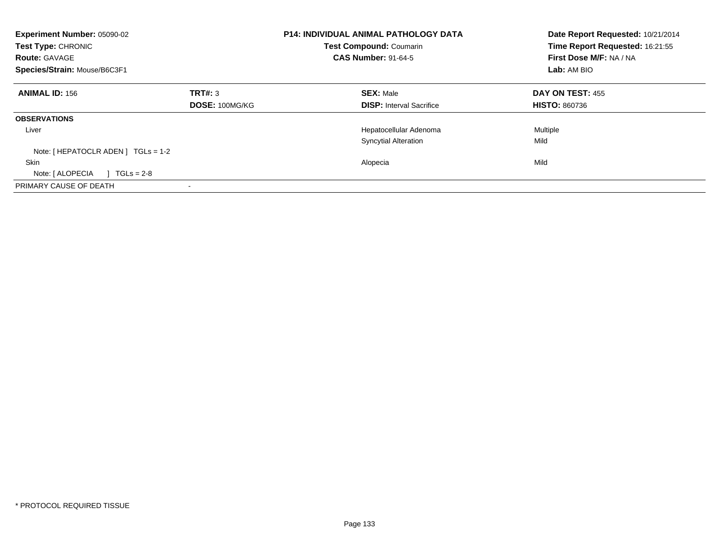| Experiment Number: 05090-02<br>Test Type: CHRONIC<br><b>Route: GAVAGE</b><br>Species/Strain: Mouse/B6C3F1 | <b>P14: INDIVIDUAL ANIMAL PATHOLOGY DATA</b><br><b>Test Compound: Coumarin</b><br><b>CAS Number: 91-64-5</b> |                                 | Date Report Requested: 10/21/2014<br>Time Report Requested: 16:21:55<br>First Dose M/F: NA / NA<br>Lab: AM BIO |
|-----------------------------------------------------------------------------------------------------------|--------------------------------------------------------------------------------------------------------------|---------------------------------|----------------------------------------------------------------------------------------------------------------|
| <b>ANIMAL ID: 156</b>                                                                                     | TRT#: 3                                                                                                      | <b>SEX: Male</b>                | DAY ON TEST: 455                                                                                               |
|                                                                                                           | DOSE: 100MG/KG                                                                                               | <b>DISP:</b> Interval Sacrifice | <b>HISTO: 860736</b>                                                                                           |
| <b>OBSERVATIONS</b>                                                                                       |                                                                                                              |                                 |                                                                                                                |
| Liver                                                                                                     |                                                                                                              | Hepatocellular Adenoma          | Multiple                                                                                                       |
|                                                                                                           |                                                                                                              | <b>Syncytial Alteration</b>     | Mild                                                                                                           |
| Note: $[HEPATOCLR ADEN] TGLs = 1-2$                                                                       |                                                                                                              |                                 |                                                                                                                |
| <b>Skin</b>                                                                                               |                                                                                                              | Alopecia                        | Mild                                                                                                           |
| Note: [ ALOPECIA<br>$TGLs = 2-8$                                                                          |                                                                                                              |                                 |                                                                                                                |
| PRIMARY CAUSE OF DEATH                                                                                    |                                                                                                              |                                 |                                                                                                                |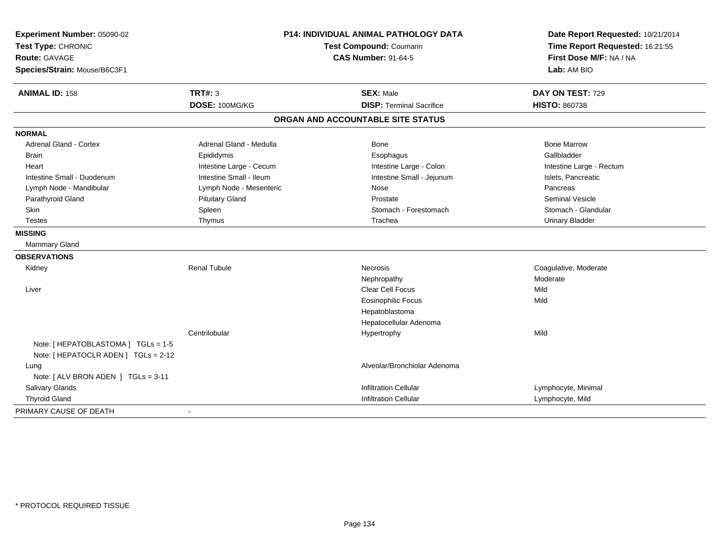| Experiment Number: 05090-02<br>Test Type: CHRONIC<br><b>Route: GAVAGE</b><br>Species/Strain: Mouse/B6C3F1 | <b>P14: INDIVIDUAL ANIMAL PATHOLOGY DATA</b><br>Test Compound: Coumarin<br><b>CAS Number: 91-64-5</b> |                                   | Date Report Requested: 10/21/2014<br>Time Report Requested: 16:21:55<br>First Dose M/F: NA / NA<br>Lab: AM BIO |  |
|-----------------------------------------------------------------------------------------------------------|-------------------------------------------------------------------------------------------------------|-----------------------------------|----------------------------------------------------------------------------------------------------------------|--|
| <b>ANIMAL ID: 158</b>                                                                                     | <b>TRT#: 3</b>                                                                                        | <b>SEX: Male</b>                  | DAY ON TEST: 729                                                                                               |  |
|                                                                                                           | DOSE: 100MG/KG                                                                                        | <b>DISP: Terminal Sacrifice</b>   | <b>HISTO: 860738</b>                                                                                           |  |
|                                                                                                           |                                                                                                       | ORGAN AND ACCOUNTABLE SITE STATUS |                                                                                                                |  |
| <b>NORMAL</b>                                                                                             |                                                                                                       |                                   |                                                                                                                |  |
| Adrenal Gland - Cortex                                                                                    | Adrenal Gland - Medulla                                                                               | Bone                              | <b>Bone Marrow</b>                                                                                             |  |
| <b>Brain</b>                                                                                              | Epididymis                                                                                            | Esophagus                         | Gallbladder                                                                                                    |  |
| Heart                                                                                                     | Intestine Large - Cecum                                                                               | Intestine Large - Colon           | Intestine Large - Rectum                                                                                       |  |
| Intestine Small - Duodenum                                                                                | Intestine Small - Ileum                                                                               | Intestine Small - Jejunum         | Islets, Pancreatic                                                                                             |  |
| Lymph Node - Mandibular                                                                                   | Lymph Node - Mesenteric                                                                               | Nose                              | Pancreas                                                                                                       |  |
| Parathyroid Gland                                                                                         | <b>Pituitary Gland</b>                                                                                | Prostate                          | <b>Seminal Vesicle</b>                                                                                         |  |
| Skin                                                                                                      | Spleen                                                                                                | Stomach - Forestomach             | Stomach - Glandular                                                                                            |  |
| <b>Testes</b>                                                                                             | Thymus                                                                                                | Trachea                           | <b>Urinary Bladder</b>                                                                                         |  |
| <b>MISSING</b>                                                                                            |                                                                                                       |                                   |                                                                                                                |  |
| Mammary Gland                                                                                             |                                                                                                       |                                   |                                                                                                                |  |
| <b>OBSERVATIONS</b>                                                                                       |                                                                                                       |                                   |                                                                                                                |  |
| Kidney                                                                                                    | <b>Renal Tubule</b>                                                                                   | <b>Necrosis</b>                   | Coagulative, Moderate                                                                                          |  |
|                                                                                                           |                                                                                                       | Nephropathy                       | Moderate                                                                                                       |  |
| Liver                                                                                                     |                                                                                                       | Clear Cell Focus                  | Mild                                                                                                           |  |
|                                                                                                           |                                                                                                       | <b>Eosinophilic Focus</b>         | Mild                                                                                                           |  |
|                                                                                                           |                                                                                                       | Hepatoblastoma                    |                                                                                                                |  |
|                                                                                                           |                                                                                                       | Hepatocellular Adenoma            |                                                                                                                |  |
|                                                                                                           | Centrilobular                                                                                         | Hypertrophy                       | Mild                                                                                                           |  |
| Note: [ HEPATOBLASTOMA ] TGLs = 1-5<br>Note: [ HEPATOCLR ADEN ] TGLs = 2-12                               |                                                                                                       |                                   |                                                                                                                |  |
| Lung                                                                                                      |                                                                                                       | Alveolar/Bronchiolar Adenoma      |                                                                                                                |  |
| Note: [ ALV BRON ADEN ] TGLs = 3-11                                                                       |                                                                                                       |                                   |                                                                                                                |  |
| Salivary Glands                                                                                           |                                                                                                       | <b>Infiltration Cellular</b>      | Lymphocyte, Minimal                                                                                            |  |
| <b>Thyroid Gland</b>                                                                                      |                                                                                                       | <b>Infiltration Cellular</b>      | Lymphocyte, Mild                                                                                               |  |
| PRIMARY CAUSE OF DEATH                                                                                    |                                                                                                       |                                   |                                                                                                                |  |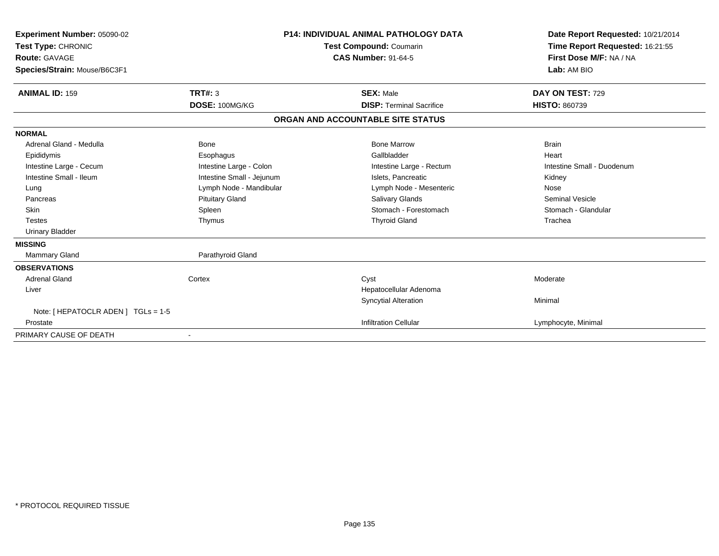| Experiment Number: 05090-02<br>Test Type: CHRONIC<br><b>Route: GAVAGE</b><br>Species/Strain: Mouse/B6C3F1 | <b>P14: INDIVIDUAL ANIMAL PATHOLOGY DATA</b><br><b>Test Compound: Coumarin</b><br><b>CAS Number: 91-64-5</b> |                                   | Date Report Requested: 10/21/2014<br>Time Report Requested: 16:21:55<br>First Dose M/F: NA / NA<br>Lab: AM BIO |
|-----------------------------------------------------------------------------------------------------------|--------------------------------------------------------------------------------------------------------------|-----------------------------------|----------------------------------------------------------------------------------------------------------------|
| <b>ANIMAL ID: 159</b>                                                                                     | <b>TRT#: 3</b>                                                                                               | <b>SEX: Male</b>                  | DAY ON TEST: 729                                                                                               |
|                                                                                                           | DOSE: 100MG/KG                                                                                               | <b>DISP: Terminal Sacrifice</b>   | <b>HISTO: 860739</b>                                                                                           |
|                                                                                                           |                                                                                                              | ORGAN AND ACCOUNTABLE SITE STATUS |                                                                                                                |
| <b>NORMAL</b>                                                                                             |                                                                                                              |                                   |                                                                                                                |
| Adrenal Gland - Medulla                                                                                   | <b>Bone</b>                                                                                                  | <b>Bone Marrow</b>                | <b>Brain</b>                                                                                                   |
| Epididymis                                                                                                | Esophagus                                                                                                    | Gallbladder                       | Heart                                                                                                          |
| Intestine Large - Cecum                                                                                   | Intestine Large - Colon                                                                                      | Intestine Large - Rectum          | Intestine Small - Duodenum                                                                                     |
| Intestine Small - Ileum                                                                                   | Intestine Small - Jejunum                                                                                    | Islets, Pancreatic                | Kidney                                                                                                         |
| Lung                                                                                                      | Lymph Node - Mandibular                                                                                      | Lymph Node - Mesenteric           | Nose                                                                                                           |
| Pancreas                                                                                                  | <b>Pituitary Gland</b>                                                                                       | <b>Salivary Glands</b>            | <b>Seminal Vesicle</b>                                                                                         |
| <b>Skin</b>                                                                                               | Spleen                                                                                                       | Stomach - Forestomach             | Stomach - Glandular                                                                                            |
| <b>Testes</b>                                                                                             | Thymus                                                                                                       | <b>Thyroid Gland</b>              | Trachea                                                                                                        |
| <b>Urinary Bladder</b>                                                                                    |                                                                                                              |                                   |                                                                                                                |
| <b>MISSING</b>                                                                                            |                                                                                                              |                                   |                                                                                                                |
| <b>Mammary Gland</b>                                                                                      | Parathyroid Gland                                                                                            |                                   |                                                                                                                |
| <b>OBSERVATIONS</b>                                                                                       |                                                                                                              |                                   |                                                                                                                |
| <b>Adrenal Gland</b>                                                                                      | Cortex                                                                                                       | Cyst                              | Moderate                                                                                                       |
| Liver                                                                                                     |                                                                                                              | Hepatocellular Adenoma            |                                                                                                                |
|                                                                                                           |                                                                                                              | <b>Syncytial Alteration</b>       | Minimal                                                                                                        |
| Note: [ HEPATOCLR ADEN ] TGLs = 1-5                                                                       |                                                                                                              |                                   |                                                                                                                |
| Prostate                                                                                                  |                                                                                                              | <b>Infiltration Cellular</b>      | Lymphocyte, Minimal                                                                                            |
| PRIMARY CAUSE OF DEATH                                                                                    |                                                                                                              |                                   |                                                                                                                |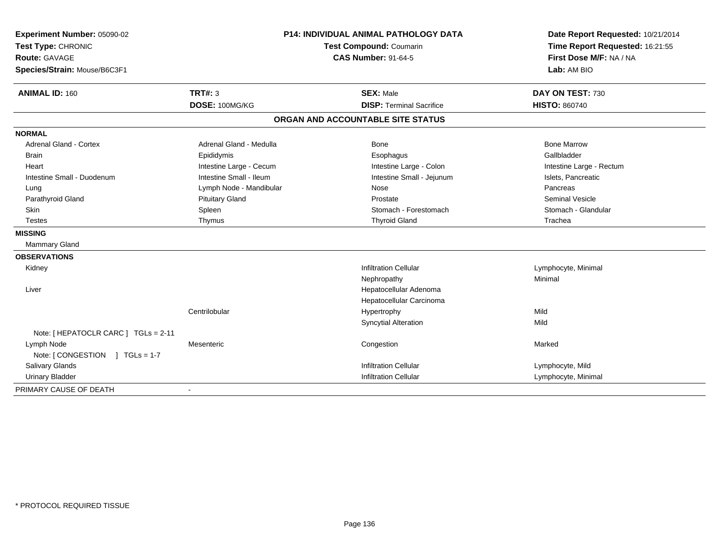| Experiment Number: 05090-02<br>Test Type: CHRONIC<br>Route: GAVAGE<br>Species/Strain: Mouse/B6C3F1 | <b>P14: INDIVIDUAL ANIMAL PATHOLOGY DATA</b><br>Test Compound: Coumarin<br><b>CAS Number: 91-64-5</b> |                                   | Date Report Requested: 10/21/2014<br>Time Report Requested: 16:21:55<br>First Dose M/F: NA / NA<br>Lab: AM BIO |  |
|----------------------------------------------------------------------------------------------------|-------------------------------------------------------------------------------------------------------|-----------------------------------|----------------------------------------------------------------------------------------------------------------|--|
| <b>ANIMAL ID: 160</b>                                                                              | <b>TRT#: 3</b>                                                                                        | <b>SEX: Male</b>                  | DAY ON TEST: 730                                                                                               |  |
|                                                                                                    | DOSE: 100MG/KG                                                                                        | <b>DISP: Terminal Sacrifice</b>   | <b>HISTO: 860740</b>                                                                                           |  |
|                                                                                                    |                                                                                                       | ORGAN AND ACCOUNTABLE SITE STATUS |                                                                                                                |  |
| <b>NORMAL</b>                                                                                      |                                                                                                       |                                   |                                                                                                                |  |
| <b>Adrenal Gland - Cortex</b>                                                                      | Adrenal Gland - Medulla                                                                               | <b>Bone</b>                       | <b>Bone Marrow</b>                                                                                             |  |
| <b>Brain</b>                                                                                       | Epididymis                                                                                            | Esophagus                         | Gallbladder                                                                                                    |  |
| Heart                                                                                              | Intestine Large - Cecum                                                                               | Intestine Large - Colon           | Intestine Large - Rectum                                                                                       |  |
| Intestine Small - Duodenum                                                                         | Intestine Small - Ileum                                                                               | Intestine Small - Jejunum         | Islets, Pancreatic                                                                                             |  |
| Lung                                                                                               | Lymph Node - Mandibular                                                                               | Nose                              | Pancreas                                                                                                       |  |
| Parathyroid Gland                                                                                  | <b>Pituitary Gland</b>                                                                                | Prostate                          | <b>Seminal Vesicle</b>                                                                                         |  |
| <b>Skin</b>                                                                                        | Spleen                                                                                                | Stomach - Forestomach             | Stomach - Glandular                                                                                            |  |
| <b>Testes</b>                                                                                      | Thymus                                                                                                | <b>Thyroid Gland</b>              | Trachea                                                                                                        |  |
| <b>MISSING</b>                                                                                     |                                                                                                       |                                   |                                                                                                                |  |
| <b>Mammary Gland</b>                                                                               |                                                                                                       |                                   |                                                                                                                |  |
| <b>OBSERVATIONS</b>                                                                                |                                                                                                       |                                   |                                                                                                                |  |
| Kidney                                                                                             |                                                                                                       | <b>Infiltration Cellular</b>      | Lymphocyte, Minimal                                                                                            |  |
|                                                                                                    |                                                                                                       | Nephropathy                       | Minimal                                                                                                        |  |
| Liver                                                                                              |                                                                                                       | Hepatocellular Adenoma            |                                                                                                                |  |
|                                                                                                    |                                                                                                       | Hepatocellular Carcinoma          |                                                                                                                |  |
|                                                                                                    | Centrilobular                                                                                         | Hypertrophy                       | Mild                                                                                                           |  |
|                                                                                                    |                                                                                                       | <b>Syncytial Alteration</b>       | Mild                                                                                                           |  |
| Note: [ HEPATOCLR CARC ] TGLs = 2-11                                                               |                                                                                                       |                                   |                                                                                                                |  |
| Lymph Node                                                                                         | Mesenteric                                                                                            | Congestion                        | Marked                                                                                                         |  |
| Note: [CONGESTION ] TGLs = 1-7                                                                     |                                                                                                       |                                   |                                                                                                                |  |
| Salivary Glands                                                                                    |                                                                                                       | <b>Infiltration Cellular</b>      | Lymphocyte, Mild                                                                                               |  |
| <b>Urinary Bladder</b>                                                                             |                                                                                                       | <b>Infiltration Cellular</b>      | Lymphocyte, Minimal                                                                                            |  |
| PRIMARY CAUSE OF DEATH                                                                             |                                                                                                       |                                   |                                                                                                                |  |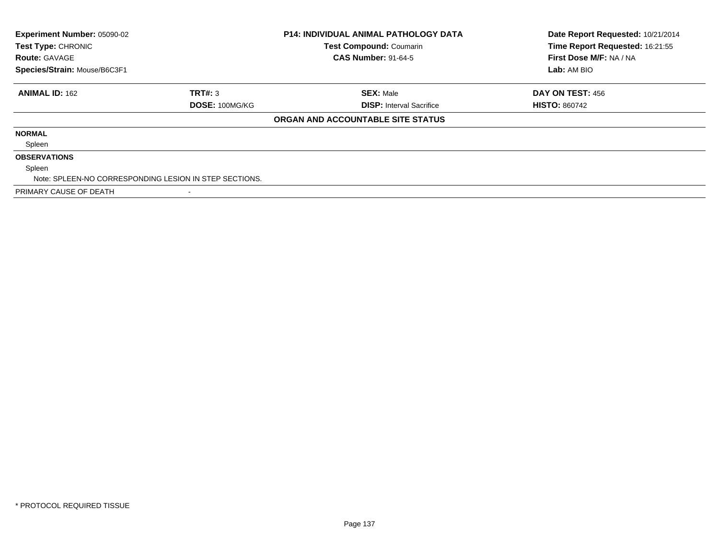| Experiment Number: 05090-02<br><b>P14: INDIVIDUAL ANIMAL PATHOLOGY DATA</b><br><b>Test Compound: Coumarin</b><br><b>Test Type: CHRONIC</b><br><b>CAS Number: 91-64-5</b><br><b>Route: GAVAGE</b> |                |                                   | Date Report Requested: 10/21/2014<br>Time Report Requested: 16:21:55<br>First Dose M/F: NA / NA |
|--------------------------------------------------------------------------------------------------------------------------------------------------------------------------------------------------|----------------|-----------------------------------|-------------------------------------------------------------------------------------------------|
| Species/Strain: Mouse/B6C3F1                                                                                                                                                                     |                |                                   | Lab: AM BIO                                                                                     |
| <b>ANIMAL ID: 162</b>                                                                                                                                                                            | TRT#: 3        | <b>SEX: Male</b>                  | DAY ON TEST: 456                                                                                |
|                                                                                                                                                                                                  | DOSE: 100MG/KG | <b>DISP:</b> Interval Sacrifice   | <b>HISTO: 860742</b>                                                                            |
|                                                                                                                                                                                                  |                | ORGAN AND ACCOUNTABLE SITE STATUS |                                                                                                 |
| <b>NORMAL</b>                                                                                                                                                                                    |                |                                   |                                                                                                 |
| Spleen                                                                                                                                                                                           |                |                                   |                                                                                                 |
| <b>OBSERVATIONS</b>                                                                                                                                                                              |                |                                   |                                                                                                 |
| Spleen                                                                                                                                                                                           |                |                                   |                                                                                                 |
| Note: SPLEEN-NO CORRESPONDING LESION IN STEP SECTIONS.                                                                                                                                           |                |                                   |                                                                                                 |
| PRIMARY CAUSE OF DEATH                                                                                                                                                                           |                |                                   |                                                                                                 |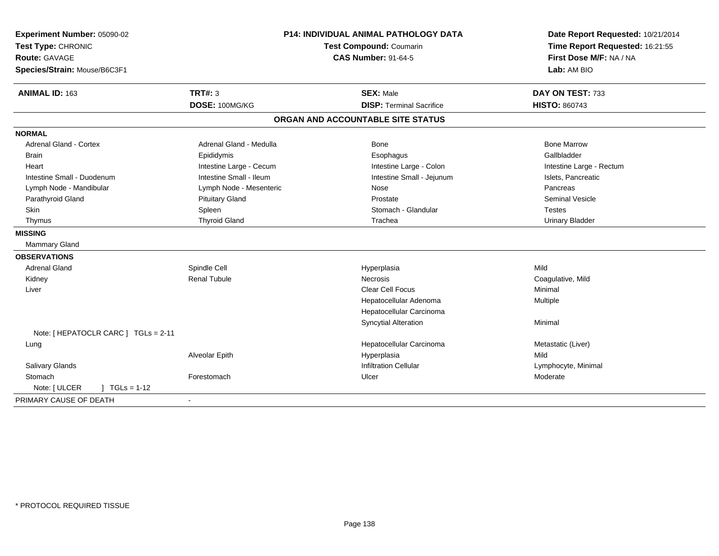| Experiment Number: 05090-02<br>Test Type: CHRONIC<br><b>Route: GAVAGE</b><br>Species/Strain: Mouse/B6C3F1 | P14: INDIVIDUAL ANIMAL PATHOLOGY DATA<br>Test Compound: Coumarin<br><b>CAS Number: 91-64-5</b> |                                   | Date Report Requested: 10/21/2014<br>Time Report Requested: 16:21:55<br>First Dose M/F: NA / NA<br>Lab: AM BIO |
|-----------------------------------------------------------------------------------------------------------|------------------------------------------------------------------------------------------------|-----------------------------------|----------------------------------------------------------------------------------------------------------------|
| ANIMAL ID: 163                                                                                            | <b>TRT#: 3</b>                                                                                 | <b>SEX: Male</b>                  | DAY ON TEST: 733                                                                                               |
|                                                                                                           | DOSE: 100MG/KG                                                                                 | <b>DISP: Terminal Sacrifice</b>   | <b>HISTO: 860743</b>                                                                                           |
|                                                                                                           |                                                                                                | ORGAN AND ACCOUNTABLE SITE STATUS |                                                                                                                |
| <b>NORMAL</b>                                                                                             |                                                                                                |                                   |                                                                                                                |
| <b>Adrenal Gland - Cortex</b>                                                                             | Adrenal Gland - Medulla                                                                        | <b>Bone</b>                       | <b>Bone Marrow</b>                                                                                             |
| <b>Brain</b>                                                                                              | Epididymis                                                                                     | Esophagus                         | Gallbladder                                                                                                    |
| Heart                                                                                                     | Intestine Large - Cecum                                                                        | Intestine Large - Colon           | Intestine Large - Rectum                                                                                       |
| Intestine Small - Duodenum                                                                                | Intestine Small - Ileum                                                                        | Intestine Small - Jejunum         | Islets, Pancreatic                                                                                             |
| Lymph Node - Mandibular                                                                                   | Lymph Node - Mesenteric                                                                        | Nose                              | Pancreas                                                                                                       |
| Parathyroid Gland                                                                                         | <b>Pituitary Gland</b>                                                                         | Prostate                          | <b>Seminal Vesicle</b>                                                                                         |
| Skin                                                                                                      | Spleen                                                                                         | Stomach - Glandular               | <b>Testes</b>                                                                                                  |
| Thymus                                                                                                    | <b>Thyroid Gland</b>                                                                           | Trachea                           | <b>Urinary Bladder</b>                                                                                         |
| <b>MISSING</b>                                                                                            |                                                                                                |                                   |                                                                                                                |
| <b>Mammary Gland</b>                                                                                      |                                                                                                |                                   |                                                                                                                |
| <b>OBSERVATIONS</b>                                                                                       |                                                                                                |                                   |                                                                                                                |
| <b>Adrenal Gland</b>                                                                                      | Spindle Cell                                                                                   | Hyperplasia                       | Mild                                                                                                           |
| Kidney                                                                                                    | <b>Renal Tubule</b>                                                                            | <b>Necrosis</b>                   | Coagulative, Mild                                                                                              |
| Liver                                                                                                     |                                                                                                | <b>Clear Cell Focus</b>           | Minimal                                                                                                        |
|                                                                                                           |                                                                                                | Hepatocellular Adenoma            | Multiple                                                                                                       |
|                                                                                                           |                                                                                                | Hepatocellular Carcinoma          |                                                                                                                |
|                                                                                                           |                                                                                                | <b>Syncytial Alteration</b>       | Minimal                                                                                                        |
| Note: [ HEPATOCLR CARC ] TGLs = 2-11                                                                      |                                                                                                |                                   |                                                                                                                |
| Lung                                                                                                      |                                                                                                | Hepatocellular Carcinoma          | Metastatic (Liver)                                                                                             |
|                                                                                                           | Alveolar Epith                                                                                 | Hyperplasia                       | Mild                                                                                                           |
| Salivary Glands                                                                                           |                                                                                                | <b>Infiltration Cellular</b>      | Lymphocyte, Minimal                                                                                            |
| Stomach                                                                                                   | Forestomach                                                                                    | Ulcer                             | Moderate                                                                                                       |
| Note: [ ULCER<br>$] TGLs = 1-12$                                                                          |                                                                                                |                                   |                                                                                                                |
| PRIMARY CAUSE OF DEATH                                                                                    | $\blacksquare$                                                                                 |                                   |                                                                                                                |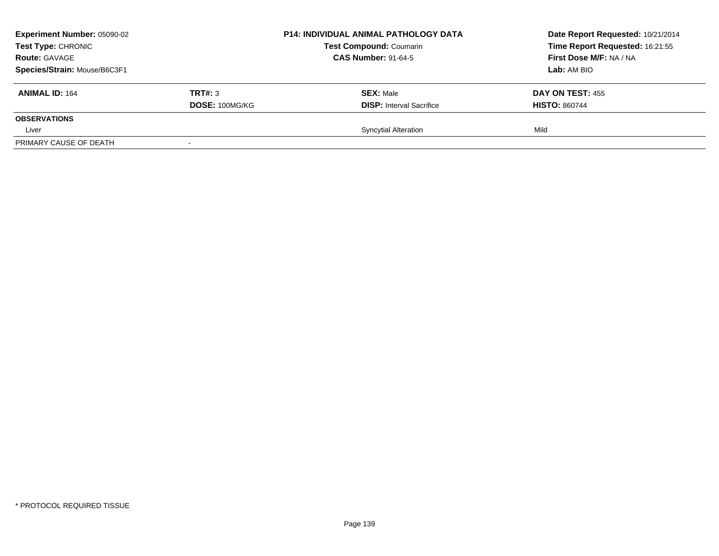| <b>Experiment Number: 05090-02</b><br>Test Type: CHRONIC<br><b>Route: GAVAGE</b> |                          | <b>P14: INDIVIDUAL ANIMAL PATHOLOGY DATA</b><br><b>Test Compound: Coumarin</b><br><b>CAS Number: 91-64-5</b> | Date Report Requested: 10/21/2014<br>Time Report Requested: 16:21:55<br>First Dose M/F: NA / NA |
|----------------------------------------------------------------------------------|--------------------------|--------------------------------------------------------------------------------------------------------------|-------------------------------------------------------------------------------------------------|
| Species/Strain: Mouse/B6C3F1                                                     |                          |                                                                                                              | Lab: AM BIO                                                                                     |
| <b>ANIMAL ID: 164</b>                                                            | TRT#: 3                  | <b>SEX: Male</b>                                                                                             | DAY ON TEST: 455                                                                                |
|                                                                                  | DOSE: 100MG/KG           | <b>DISP:</b> Interval Sacrifice                                                                              | <b>HISTO: 860744</b>                                                                            |
| <b>OBSERVATIONS</b>                                                              |                          |                                                                                                              |                                                                                                 |
| Liver                                                                            |                          | <b>Syncytial Alteration</b>                                                                                  | Mild                                                                                            |
| PRIMARY CAUSE OF DEATH                                                           | $\overline{\phantom{a}}$ |                                                                                                              |                                                                                                 |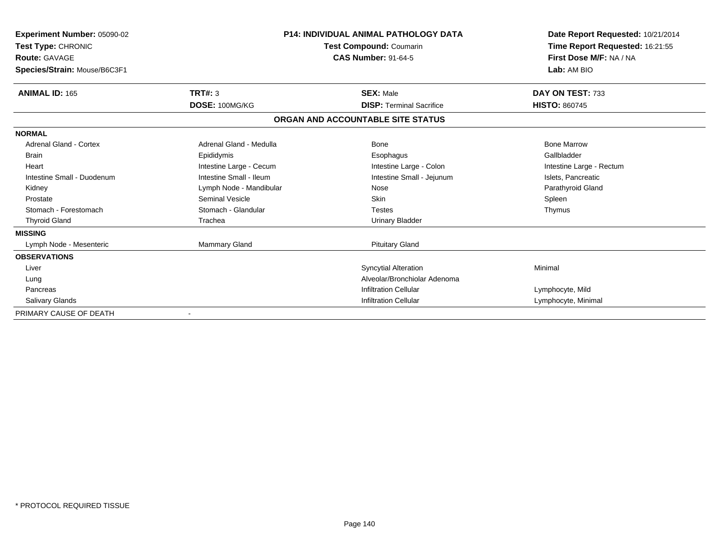| <b>Experiment Number: 05090-02</b><br>Test Type: CHRONIC<br><b>Route: GAVAGE</b><br>Species/Strain: Mouse/B6C3F1 | <b>P14: INDIVIDUAL ANIMAL PATHOLOGY DATA</b><br>Test Compound: Coumarin<br><b>CAS Number: 91-64-5</b> |                                   | Date Report Requested: 10/21/2014<br>Time Report Requested: 16:21:55<br>First Dose M/F: NA / NA<br>Lab: AM BIO |
|------------------------------------------------------------------------------------------------------------------|-------------------------------------------------------------------------------------------------------|-----------------------------------|----------------------------------------------------------------------------------------------------------------|
| <b>ANIMAL ID: 165</b>                                                                                            | TRT#: 3                                                                                               | <b>SEX: Male</b>                  | DAY ON TEST: 733                                                                                               |
|                                                                                                                  | DOSE: 100MG/KG                                                                                        | <b>DISP: Terminal Sacrifice</b>   | <b>HISTO: 860745</b>                                                                                           |
|                                                                                                                  |                                                                                                       | ORGAN AND ACCOUNTABLE SITE STATUS |                                                                                                                |
| <b>NORMAL</b>                                                                                                    |                                                                                                       |                                   |                                                                                                                |
| <b>Adrenal Gland - Cortex</b>                                                                                    | Adrenal Gland - Medulla                                                                               | <b>Bone</b>                       | <b>Bone Marrow</b>                                                                                             |
| <b>Brain</b>                                                                                                     | Epididymis                                                                                            | Esophagus                         | Gallbladder                                                                                                    |
| Heart                                                                                                            | Intestine Large - Cecum                                                                               | Intestine Large - Colon           | Intestine Large - Rectum                                                                                       |
| Intestine Small - Duodenum                                                                                       | Intestine Small - Ileum                                                                               | Intestine Small - Jejunum         | Islets, Pancreatic                                                                                             |
| Kidney                                                                                                           | Lymph Node - Mandibular                                                                               | Nose                              | Parathyroid Gland                                                                                              |
| Prostate                                                                                                         | <b>Seminal Vesicle</b>                                                                                | Skin                              | Spleen                                                                                                         |
| Stomach - Forestomach                                                                                            | Stomach - Glandular                                                                                   | <b>Testes</b>                     | Thymus                                                                                                         |
| <b>Thyroid Gland</b>                                                                                             | Trachea                                                                                               | <b>Urinary Bladder</b>            |                                                                                                                |
| <b>MISSING</b>                                                                                                   |                                                                                                       |                                   |                                                                                                                |
| Lymph Node - Mesenteric                                                                                          | Mammary Gland                                                                                         | <b>Pituitary Gland</b>            |                                                                                                                |
| <b>OBSERVATIONS</b>                                                                                              |                                                                                                       |                                   |                                                                                                                |
| Liver                                                                                                            |                                                                                                       | <b>Syncytial Alteration</b>       | Minimal                                                                                                        |
| Lung                                                                                                             |                                                                                                       | Alveolar/Bronchiolar Adenoma      |                                                                                                                |
| Pancreas                                                                                                         |                                                                                                       | <b>Infiltration Cellular</b>      | Lymphocyte, Mild                                                                                               |
| Salivary Glands                                                                                                  |                                                                                                       | <b>Infiltration Cellular</b>      | Lymphocyte, Minimal                                                                                            |
| PRIMARY CAUSE OF DEATH                                                                                           |                                                                                                       |                                   |                                                                                                                |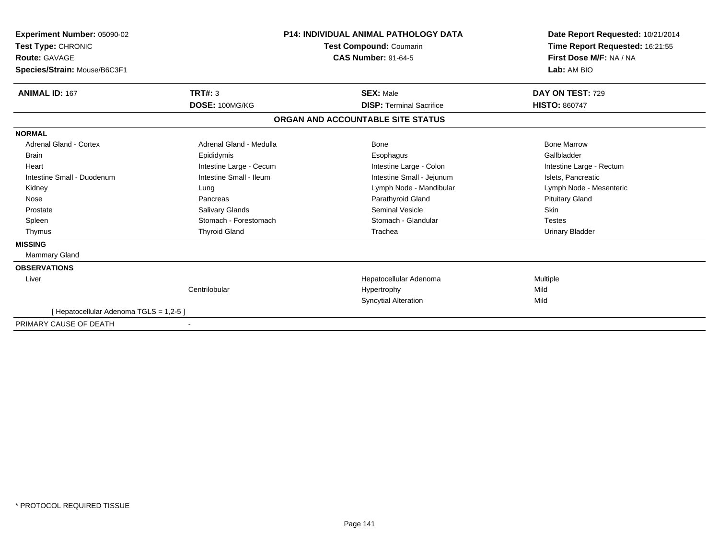| Experiment Number: 05090-02<br>Test Type: CHRONIC<br>Route: GAVAGE<br>Species/Strain: Mouse/B6C3F1 |                         | <b>P14: INDIVIDUAL ANIMAL PATHOLOGY DATA</b><br><b>Test Compound: Coumarin</b><br><b>CAS Number: 91-64-5</b> | Date Report Requested: 10/21/2014<br>Time Report Requested: 16:21:55<br>First Dose M/F: NA / NA<br>Lab: AM BIO |
|----------------------------------------------------------------------------------------------------|-------------------------|--------------------------------------------------------------------------------------------------------------|----------------------------------------------------------------------------------------------------------------|
| <b>ANIMAL ID: 167</b>                                                                              | TRT#: 3                 | <b>SEX: Male</b>                                                                                             | DAY ON TEST: 729                                                                                               |
|                                                                                                    | DOSE: 100MG/KG          | <b>DISP: Terminal Sacrifice</b>                                                                              | <b>HISTO: 860747</b>                                                                                           |
|                                                                                                    |                         | ORGAN AND ACCOUNTABLE SITE STATUS                                                                            |                                                                                                                |
| <b>NORMAL</b>                                                                                      |                         |                                                                                                              |                                                                                                                |
| Adrenal Gland - Cortex                                                                             | Adrenal Gland - Medulla | Bone                                                                                                         | <b>Bone Marrow</b>                                                                                             |
| <b>Brain</b>                                                                                       | Epididymis              | Esophagus                                                                                                    | Gallbladder                                                                                                    |
| Heart                                                                                              | Intestine Large - Cecum | Intestine Large - Colon                                                                                      | Intestine Large - Rectum                                                                                       |
| Intestine Small - Duodenum                                                                         | Intestine Small - Ileum | Intestine Small - Jejunum                                                                                    | Islets, Pancreatic                                                                                             |
| Kidney                                                                                             | Lung                    | Lymph Node - Mandibular                                                                                      | Lymph Node - Mesenteric                                                                                        |
| Nose                                                                                               | Pancreas                | Parathyroid Gland                                                                                            | <b>Pituitary Gland</b>                                                                                         |
| Prostate                                                                                           | Salivary Glands         | <b>Seminal Vesicle</b>                                                                                       | <b>Skin</b>                                                                                                    |
| Spleen                                                                                             | Stomach - Forestomach   | Stomach - Glandular                                                                                          | <b>Testes</b>                                                                                                  |
| Thymus                                                                                             | <b>Thyroid Gland</b>    | Trachea                                                                                                      | Urinary Bladder                                                                                                |
| <b>MISSING</b>                                                                                     |                         |                                                                                                              |                                                                                                                |
| <b>Mammary Gland</b>                                                                               |                         |                                                                                                              |                                                                                                                |
| <b>OBSERVATIONS</b>                                                                                |                         |                                                                                                              |                                                                                                                |
| Liver                                                                                              |                         | Hepatocellular Adenoma                                                                                       | Multiple                                                                                                       |
|                                                                                                    | Centrilobular           | Hypertrophy                                                                                                  | Mild                                                                                                           |
|                                                                                                    |                         | <b>Syncytial Alteration</b>                                                                                  | Mild                                                                                                           |
| [ Hepatocellular Adenoma TGLS = 1,2-5 ]                                                            |                         |                                                                                                              |                                                                                                                |
| PRIMARY CAUSE OF DEATH                                                                             |                         |                                                                                                              |                                                                                                                |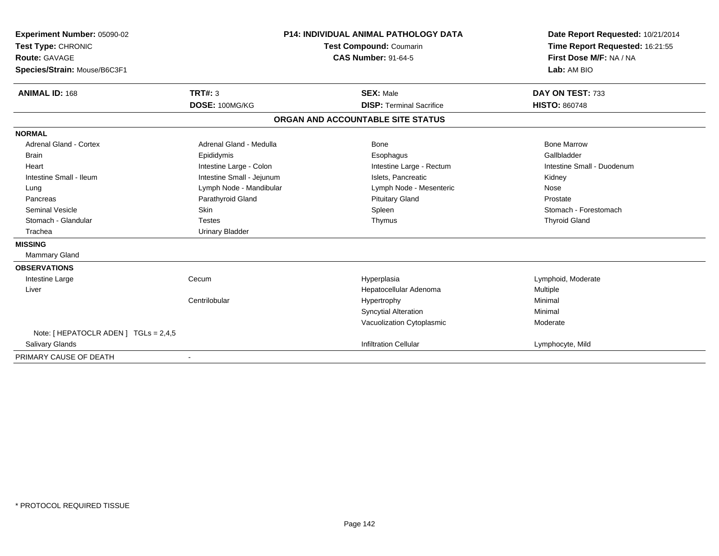| Experiment Number: 05090-02<br>Test Type: CHRONIC<br><b>Route: GAVAGE</b><br>Species/Strain: Mouse/B6C3F1<br><b>ANIMAL ID: 168</b> | TRT#: 3                   | <b>P14: INDIVIDUAL ANIMAL PATHOLOGY DATA</b><br><b>Test Compound: Coumarin</b><br><b>CAS Number: 91-64-5</b><br><b>SEX: Male</b> | Date Report Requested: 10/21/2014<br>Time Report Requested: 16:21:55<br>First Dose M/F: NA / NA<br>Lab: AM BIO<br>DAY ON TEST: 733 |
|------------------------------------------------------------------------------------------------------------------------------------|---------------------------|----------------------------------------------------------------------------------------------------------------------------------|------------------------------------------------------------------------------------------------------------------------------------|
|                                                                                                                                    | DOSE: 100MG/KG            | <b>DISP: Terminal Sacrifice</b>                                                                                                  | <b>HISTO: 860748</b>                                                                                                               |
|                                                                                                                                    |                           | ORGAN AND ACCOUNTABLE SITE STATUS                                                                                                |                                                                                                                                    |
| <b>NORMAL</b>                                                                                                                      |                           |                                                                                                                                  |                                                                                                                                    |
| <b>Adrenal Gland - Cortex</b>                                                                                                      | Adrenal Gland - Medulla   | Bone                                                                                                                             | <b>Bone Marrow</b>                                                                                                                 |
| <b>Brain</b>                                                                                                                       | Epididymis                | Esophagus                                                                                                                        | Gallbladder                                                                                                                        |
| Heart                                                                                                                              | Intestine Large - Colon   | Intestine Large - Rectum                                                                                                         | Intestine Small - Duodenum                                                                                                         |
| Intestine Small - Ileum                                                                                                            | Intestine Small - Jejunum | Islets, Pancreatic                                                                                                               | Kidney                                                                                                                             |
| Lung                                                                                                                               | Lymph Node - Mandibular   | Lymph Node - Mesenteric                                                                                                          | Nose                                                                                                                               |
| Pancreas                                                                                                                           | Parathyroid Gland         | <b>Pituitary Gland</b>                                                                                                           | Prostate                                                                                                                           |
| Seminal Vesicle                                                                                                                    | <b>Skin</b>               | Spleen                                                                                                                           | Stomach - Forestomach                                                                                                              |
| Stomach - Glandular                                                                                                                | <b>Testes</b>             | Thymus                                                                                                                           | <b>Thyroid Gland</b>                                                                                                               |
| Trachea                                                                                                                            | <b>Urinary Bladder</b>    |                                                                                                                                  |                                                                                                                                    |
| <b>MISSING</b>                                                                                                                     |                           |                                                                                                                                  |                                                                                                                                    |
| <b>Mammary Gland</b>                                                                                                               |                           |                                                                                                                                  |                                                                                                                                    |
| <b>OBSERVATIONS</b>                                                                                                                |                           |                                                                                                                                  |                                                                                                                                    |
| Intestine Large                                                                                                                    | Cecum                     | Hyperplasia                                                                                                                      | Lymphoid, Moderate                                                                                                                 |
| Liver                                                                                                                              |                           | Hepatocellular Adenoma                                                                                                           | Multiple                                                                                                                           |
|                                                                                                                                    | Centrilobular             | Hypertrophy                                                                                                                      | Minimal                                                                                                                            |
|                                                                                                                                    |                           | <b>Syncytial Alteration</b>                                                                                                      | Minimal                                                                                                                            |
|                                                                                                                                    |                           | Vacuolization Cytoplasmic                                                                                                        | Moderate                                                                                                                           |
| Note: [ HEPATOCLR ADEN ] TGLs = 2,4,5                                                                                              |                           |                                                                                                                                  |                                                                                                                                    |
| <b>Salivary Glands</b>                                                                                                             |                           | <b>Infiltration Cellular</b>                                                                                                     | Lymphocyte, Mild                                                                                                                   |
| PRIMARY CAUSE OF DEATH                                                                                                             |                           |                                                                                                                                  |                                                                                                                                    |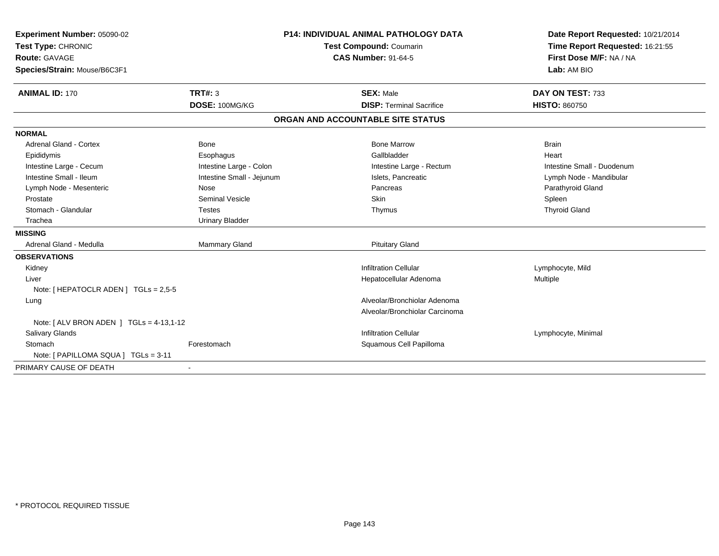| Experiment Number: 05090-02                 | <b>P14: INDIVIDUAL ANIMAL PATHOLOGY DATA</b><br><b>Test Compound: Coumarin</b> |                                   | Date Report Requested: 10/21/2014 |
|---------------------------------------------|--------------------------------------------------------------------------------|-----------------------------------|-----------------------------------|
| Test Type: CHRONIC                          |                                                                                |                                   | Time Report Requested: 16:21:55   |
| <b>Route: GAVAGE</b>                        |                                                                                | <b>CAS Number: 91-64-5</b>        | First Dose M/F: NA / NA           |
| Species/Strain: Mouse/B6C3F1                |                                                                                |                                   | Lab: AM BIO                       |
| <b>ANIMAL ID: 170</b>                       | <b>TRT#: 3</b>                                                                 | <b>SEX: Male</b>                  | DAY ON TEST: 733                  |
|                                             | DOSE: 100MG/KG                                                                 | <b>DISP: Terminal Sacrifice</b>   | <b>HISTO: 860750</b>              |
|                                             |                                                                                | ORGAN AND ACCOUNTABLE SITE STATUS |                                   |
| <b>NORMAL</b>                               |                                                                                |                                   |                                   |
| Adrenal Gland - Cortex                      | Bone                                                                           | <b>Bone Marrow</b>                | <b>Brain</b>                      |
| Epididymis                                  | Esophagus                                                                      | Gallbladder                       | Heart                             |
| Intestine Large - Cecum                     | Intestine Large - Colon                                                        | Intestine Large - Rectum          | Intestine Small - Duodenum        |
| Intestine Small - Ileum                     | Intestine Small - Jejunum                                                      | Islets, Pancreatic                | Lymph Node - Mandibular           |
| Lymph Node - Mesenteric                     | Nose                                                                           | Pancreas                          | Parathyroid Gland                 |
| Prostate                                    | <b>Seminal Vesicle</b>                                                         | <b>Skin</b>                       | Spleen                            |
| Stomach - Glandular                         | Testes                                                                         | Thymus                            | <b>Thyroid Gland</b>              |
| Trachea                                     | <b>Urinary Bladder</b>                                                         |                                   |                                   |
| <b>MISSING</b>                              |                                                                                |                                   |                                   |
| Adrenal Gland - Medulla                     | Mammary Gland                                                                  | <b>Pituitary Gland</b>            |                                   |
| <b>OBSERVATIONS</b>                         |                                                                                |                                   |                                   |
| Kidney                                      |                                                                                | <b>Infiltration Cellular</b>      | Lymphocyte, Mild                  |
| Liver                                       |                                                                                | Hepatocellular Adenoma            | Multiple                          |
| Note: [ HEPATOCLR ADEN ] TGLs = 2,5-5       |                                                                                |                                   |                                   |
| Lung                                        |                                                                                | Alveolar/Bronchiolar Adenoma      |                                   |
|                                             |                                                                                | Alveolar/Bronchiolar Carcinoma    |                                   |
| Note: $[ALV$ BRON ADEN $]$ TGLs = 4-13,1-12 |                                                                                |                                   |                                   |
| <b>Salivary Glands</b>                      |                                                                                | <b>Infiltration Cellular</b>      | Lymphocyte, Minimal               |
| Stomach                                     | Forestomach                                                                    | Squamous Cell Papilloma           |                                   |
| Note: [ PAPILLOMA SQUA ] TGLs = 3-11        |                                                                                |                                   |                                   |
| PRIMARY CAUSE OF DEATH                      |                                                                                |                                   |                                   |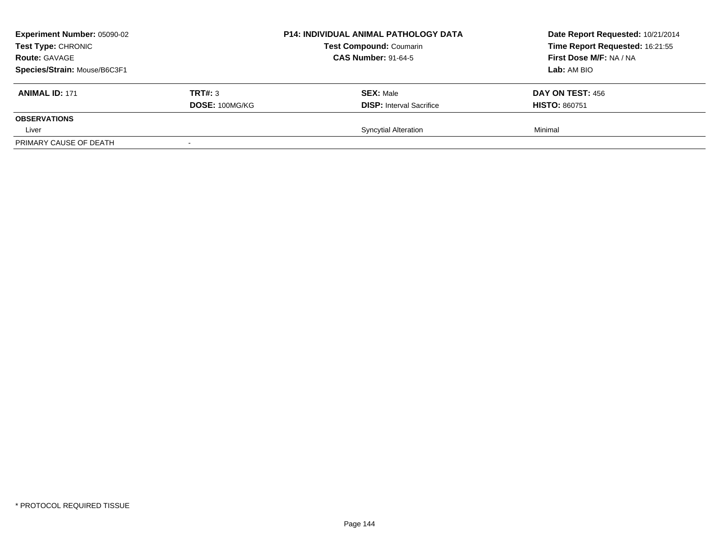| <b>Experiment Number: 05090-02</b><br>Test Type: CHRONIC<br><b>Route: GAVAGE</b><br>Species/Strain: Mouse/B6C3F1 |                           | <b>P14: INDIVIDUAL ANIMAL PATHOLOGY DATA</b><br><b>Test Compound: Coumarin</b><br><b>CAS Number: 91-64-5</b> | Date Report Requested: 10/21/2014<br>Time Report Requested: 16:21:55<br>First Dose M/F: NA / NA<br>Lab: AM BIO |
|------------------------------------------------------------------------------------------------------------------|---------------------------|--------------------------------------------------------------------------------------------------------------|----------------------------------------------------------------------------------------------------------------|
| <b>ANIMAL ID: 171</b>                                                                                            | TRT#: 3<br>DOSE: 100MG/KG | <b>SEX: Male</b><br><b>DISP:</b> Interval Sacrifice                                                          | DAY ON TEST: 456<br><b>HISTO: 860751</b>                                                                       |
| <b>OBSERVATIONS</b><br>Liver                                                                                     |                           | <b>Syncytial Alteration</b>                                                                                  | Minimal                                                                                                        |
| PRIMARY CAUSE OF DEATH                                                                                           | $\overline{\phantom{a}}$  |                                                                                                              |                                                                                                                |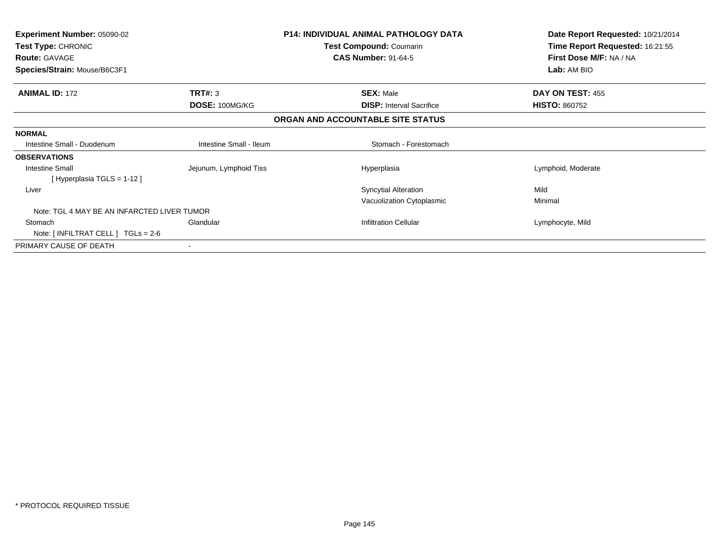| Experiment Number: 05090-02<br>Test Type: CHRONIC<br><b>Route: GAVAGE</b><br>Species/Strain: Mouse/B6C3F1 |                         | <b>P14: INDIVIDUAL ANIMAL PATHOLOGY DATA</b><br>Test Compound: Coumarin<br><b>CAS Number: 91-64-5</b> | Date Report Requested: 10/21/2014<br>Time Report Requested: 16:21:55<br>First Dose M/F: NA / NA<br>Lab: AM BIO |
|-----------------------------------------------------------------------------------------------------------|-------------------------|-------------------------------------------------------------------------------------------------------|----------------------------------------------------------------------------------------------------------------|
| <b>ANIMAL ID: 172</b>                                                                                     | TRT#: 3                 | <b>SEX: Male</b>                                                                                      | DAY ON TEST: 455                                                                                               |
|                                                                                                           | DOSE: 100MG/KG          | <b>DISP:</b> Interval Sacrifice                                                                       | <b>HISTO: 860752</b>                                                                                           |
|                                                                                                           |                         | ORGAN AND ACCOUNTABLE SITE STATUS                                                                     |                                                                                                                |
| <b>NORMAL</b>                                                                                             |                         |                                                                                                       |                                                                                                                |
| Intestine Small - Duodenum                                                                                | Intestine Small - Ileum | Stomach - Forestomach                                                                                 |                                                                                                                |
| <b>OBSERVATIONS</b>                                                                                       |                         |                                                                                                       |                                                                                                                |
| <b>Intestine Small</b><br>[Hyperplasia TGLS = 1-12]                                                       | Jejunum, Lymphoid Tiss  | Hyperplasia                                                                                           | Lymphoid, Moderate                                                                                             |
| Liver                                                                                                     |                         | <b>Syncytial Alteration</b>                                                                           | Mild                                                                                                           |
|                                                                                                           |                         | Vacuolization Cytoplasmic                                                                             | Minimal                                                                                                        |
| Note: TGL 4 MAY BE AN INFARCTED LIVER TUMOR                                                               |                         |                                                                                                       |                                                                                                                |
| Stomach                                                                                                   | Glandular               | <b>Infiltration Cellular</b>                                                                          | Lymphocyte, Mild                                                                                               |
| Note: $\lceil$ INFILTRAT CELL $\lceil$ TGLs = 2-6                                                         |                         |                                                                                                       |                                                                                                                |
| PRIMARY CAUSE OF DEATH                                                                                    |                         |                                                                                                       |                                                                                                                |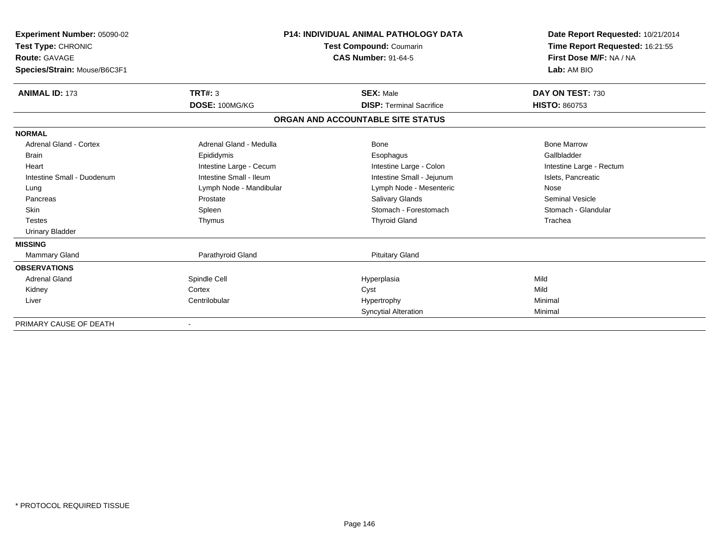| Experiment Number: 05090-02<br>Test Type: CHRONIC<br>Route: GAVAGE<br>Species/Strain: Mouse/B6C3F1 |                         | <b>P14: INDIVIDUAL ANIMAL PATHOLOGY DATA</b><br><b>Test Compound: Coumarin</b><br><b>CAS Number: 91-64-5</b> | Date Report Requested: 10/21/2014<br>Time Report Requested: 16:21:55<br>First Dose M/F: NA / NA<br>Lab: AM BIO |  |
|----------------------------------------------------------------------------------------------------|-------------------------|--------------------------------------------------------------------------------------------------------------|----------------------------------------------------------------------------------------------------------------|--|
| <b>ANIMAL ID: 173</b>                                                                              | <b>TRT#: 3</b>          | <b>SEX: Male</b>                                                                                             | DAY ON TEST: 730                                                                                               |  |
|                                                                                                    | DOSE: 100MG/KG          | <b>DISP: Terminal Sacrifice</b>                                                                              | <b>HISTO: 860753</b>                                                                                           |  |
|                                                                                                    |                         | ORGAN AND ACCOUNTABLE SITE STATUS                                                                            |                                                                                                                |  |
| <b>NORMAL</b>                                                                                      |                         |                                                                                                              |                                                                                                                |  |
| Adrenal Gland - Cortex                                                                             | Adrenal Gland - Medulla | Bone                                                                                                         | <b>Bone Marrow</b>                                                                                             |  |
| <b>Brain</b>                                                                                       | Epididymis              | Esophagus                                                                                                    | Gallbladder                                                                                                    |  |
| Heart                                                                                              | Intestine Large - Cecum | Intestine Large - Colon                                                                                      | Intestine Large - Rectum                                                                                       |  |
| Intestine Small - Duodenum                                                                         | Intestine Small - Ileum | Intestine Small - Jejunum                                                                                    | Islets, Pancreatic                                                                                             |  |
| Lung                                                                                               | Lymph Node - Mandibular | Lymph Node - Mesenteric                                                                                      | Nose                                                                                                           |  |
| Pancreas                                                                                           | Prostate                | <b>Salivary Glands</b>                                                                                       | <b>Seminal Vesicle</b>                                                                                         |  |
| <b>Skin</b>                                                                                        | Spleen                  | Stomach - Forestomach                                                                                        | Stomach - Glandular                                                                                            |  |
| <b>Testes</b>                                                                                      | Thymus                  | <b>Thyroid Gland</b>                                                                                         | Trachea                                                                                                        |  |
| <b>Urinary Bladder</b>                                                                             |                         |                                                                                                              |                                                                                                                |  |
| <b>MISSING</b>                                                                                     |                         |                                                                                                              |                                                                                                                |  |
| <b>Mammary Gland</b>                                                                               | Parathyroid Gland       | <b>Pituitary Gland</b>                                                                                       |                                                                                                                |  |
| <b>OBSERVATIONS</b>                                                                                |                         |                                                                                                              |                                                                                                                |  |
| <b>Adrenal Gland</b>                                                                               | Spindle Cell            | Hyperplasia                                                                                                  | Mild                                                                                                           |  |
| Kidney                                                                                             | Cortex                  | Cyst                                                                                                         | Mild                                                                                                           |  |
| Liver                                                                                              | Centrilobular           | Hypertrophy                                                                                                  | Minimal                                                                                                        |  |
|                                                                                                    |                         | Syncytial Alteration                                                                                         | Minimal                                                                                                        |  |
| PRIMARY CAUSE OF DEATH                                                                             |                         |                                                                                                              |                                                                                                                |  |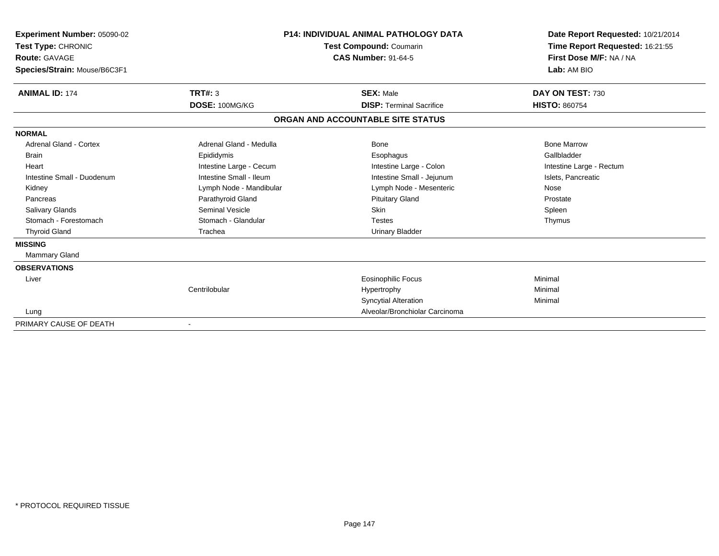| Experiment Number: 05090-02<br>Test Type: CHRONIC<br>Route: GAVAGE<br>Species/Strain: Mouse/B6C3F1 |                         | <b>P14: INDIVIDUAL ANIMAL PATHOLOGY DATA</b><br><b>Test Compound: Coumarin</b><br><b>CAS Number: 91-64-5</b> | Date Report Requested: 10/21/2014<br>Time Report Requested: 16:21:55<br>First Dose M/F: NA / NA<br>Lab: AM BIO |
|----------------------------------------------------------------------------------------------------|-------------------------|--------------------------------------------------------------------------------------------------------------|----------------------------------------------------------------------------------------------------------------|
| <b>ANIMAL ID: 174</b>                                                                              | TRT#: 3                 | <b>SEX: Male</b>                                                                                             | DAY ON TEST: 730                                                                                               |
|                                                                                                    | DOSE: 100MG/KG          | <b>DISP: Terminal Sacrifice</b>                                                                              | <b>HISTO: 860754</b>                                                                                           |
|                                                                                                    |                         | ORGAN AND ACCOUNTABLE SITE STATUS                                                                            |                                                                                                                |
| <b>NORMAL</b>                                                                                      |                         |                                                                                                              |                                                                                                                |
| <b>Adrenal Gland - Cortex</b>                                                                      | Adrenal Gland - Medulla | Bone                                                                                                         | <b>Bone Marrow</b>                                                                                             |
| <b>Brain</b>                                                                                       | Epididymis              | Esophagus                                                                                                    | Gallbladder                                                                                                    |
| Heart                                                                                              | Intestine Large - Cecum | Intestine Large - Colon                                                                                      | Intestine Large - Rectum                                                                                       |
| Intestine Small - Duodenum                                                                         | Intestine Small - Ileum | Intestine Small - Jejunum                                                                                    | Islets, Pancreatic                                                                                             |
| Kidney                                                                                             | Lymph Node - Mandibular | Lymph Node - Mesenteric                                                                                      | Nose                                                                                                           |
| Pancreas                                                                                           | Parathyroid Gland       | <b>Pituitary Gland</b>                                                                                       | Prostate                                                                                                       |
| <b>Salivary Glands</b>                                                                             | <b>Seminal Vesicle</b>  | Skin                                                                                                         | Spleen                                                                                                         |
| Stomach - Forestomach                                                                              | Stomach - Glandular     | <b>Testes</b>                                                                                                | Thymus                                                                                                         |
| <b>Thyroid Gland</b>                                                                               | Trachea                 | <b>Urinary Bladder</b>                                                                                       |                                                                                                                |
| <b>MISSING</b>                                                                                     |                         |                                                                                                              |                                                                                                                |
| <b>Mammary Gland</b>                                                                               |                         |                                                                                                              |                                                                                                                |
| <b>OBSERVATIONS</b>                                                                                |                         |                                                                                                              |                                                                                                                |
| Liver                                                                                              |                         | Eosinophilic Focus                                                                                           | Minimal                                                                                                        |
|                                                                                                    | Centrilobular           | Hypertrophy                                                                                                  | Minimal                                                                                                        |
|                                                                                                    |                         | <b>Syncytial Alteration</b>                                                                                  | Minimal                                                                                                        |
| Lung                                                                                               |                         | Alveolar/Bronchiolar Carcinoma                                                                               |                                                                                                                |
| PRIMARY CAUSE OF DEATH                                                                             |                         |                                                                                                              |                                                                                                                |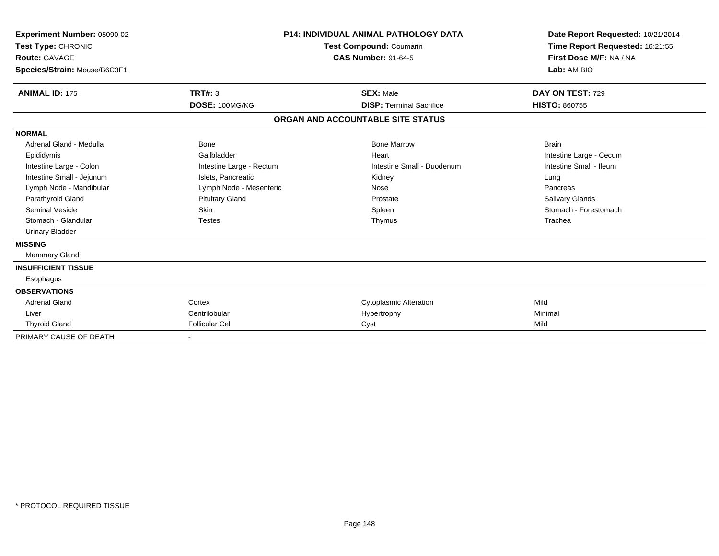| Experiment Number: 05090-02<br>Test Type: CHRONIC<br><b>Route: GAVAGE</b><br>Species/Strain: Mouse/B6C3F1 |                          | <b>P14: INDIVIDUAL ANIMAL PATHOLOGY DATA</b><br><b>Test Compound: Coumarin</b><br><b>CAS Number: 91-64-5</b> | Date Report Requested: 10/21/2014<br>Time Report Requested: 16:21:55<br>First Dose M/F: NA / NA<br>Lab: AM BIO |  |
|-----------------------------------------------------------------------------------------------------------|--------------------------|--------------------------------------------------------------------------------------------------------------|----------------------------------------------------------------------------------------------------------------|--|
| <b>ANIMAL ID: 175</b>                                                                                     | TRT#: 3                  | <b>SEX: Male</b>                                                                                             | DAY ON TEST: 729                                                                                               |  |
|                                                                                                           | DOSE: 100MG/KG           | <b>DISP: Terminal Sacrifice</b>                                                                              | <b>HISTO: 860755</b>                                                                                           |  |
|                                                                                                           |                          | ORGAN AND ACCOUNTABLE SITE STATUS                                                                            |                                                                                                                |  |
| <b>NORMAL</b>                                                                                             |                          |                                                                                                              |                                                                                                                |  |
| Adrenal Gland - Medulla                                                                                   | Bone                     | <b>Bone Marrow</b>                                                                                           | <b>Brain</b>                                                                                                   |  |
| Epididymis                                                                                                | Gallbladder              | Heart                                                                                                        | Intestine Large - Cecum                                                                                        |  |
| Intestine Large - Colon                                                                                   | Intestine Large - Rectum | Intestine Small - Duodenum                                                                                   | Intestine Small - Ileum                                                                                        |  |
| Intestine Small - Jejunum                                                                                 | Islets, Pancreatic       | Kidney                                                                                                       | Lung                                                                                                           |  |
| Lymph Node - Mandibular                                                                                   | Lymph Node - Mesenteric  | Nose                                                                                                         | Pancreas                                                                                                       |  |
| Parathyroid Gland                                                                                         | <b>Pituitary Gland</b>   | Prostate                                                                                                     | Salivary Glands                                                                                                |  |
| Seminal Vesicle                                                                                           | <b>Skin</b>              | Spleen                                                                                                       | Stomach - Forestomach                                                                                          |  |
| Stomach - Glandular                                                                                       | <b>Testes</b>            | Thymus                                                                                                       | Trachea                                                                                                        |  |
| <b>Urinary Bladder</b>                                                                                    |                          |                                                                                                              |                                                                                                                |  |
| <b>MISSING</b>                                                                                            |                          |                                                                                                              |                                                                                                                |  |
| Mammary Gland                                                                                             |                          |                                                                                                              |                                                                                                                |  |
| <b>INSUFFICIENT TISSUE</b>                                                                                |                          |                                                                                                              |                                                                                                                |  |
| Esophagus                                                                                                 |                          |                                                                                                              |                                                                                                                |  |
| <b>OBSERVATIONS</b>                                                                                       |                          |                                                                                                              |                                                                                                                |  |
| <b>Adrenal Gland</b>                                                                                      | Cortex                   | <b>Cytoplasmic Alteration</b>                                                                                | Mild                                                                                                           |  |
| Liver                                                                                                     | Centrilobular            | Hypertrophy                                                                                                  | Minimal                                                                                                        |  |
| <b>Thyroid Gland</b>                                                                                      | <b>Follicular Cel</b>    | Cyst                                                                                                         | Mild                                                                                                           |  |
| PRIMARY CAUSE OF DEATH                                                                                    |                          |                                                                                                              |                                                                                                                |  |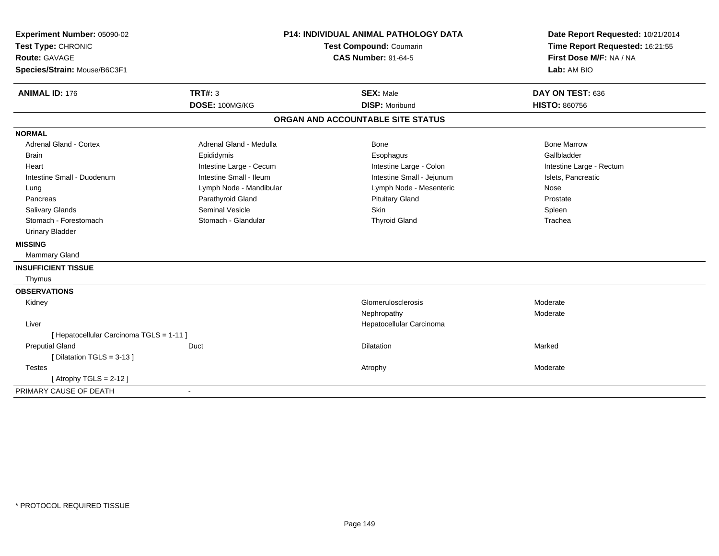| Experiment Number: 05090-02<br>Test Type: CHRONIC<br>Route: GAVAGE<br>Species/Strain: Mouse/B6C3F1 |                         | <b>P14: INDIVIDUAL ANIMAL PATHOLOGY DATA</b><br>Test Compound: Coumarin<br><b>CAS Number: 91-64-5</b> | Date Report Requested: 10/21/2014<br>Time Report Requested: 16:21:55<br>First Dose M/F: NA / NA<br>Lab: AM BIO |  |
|----------------------------------------------------------------------------------------------------|-------------------------|-------------------------------------------------------------------------------------------------------|----------------------------------------------------------------------------------------------------------------|--|
| <b>ANIMAL ID: 176</b>                                                                              | <b>TRT#: 3</b>          | <b>SEX: Male</b>                                                                                      | DAY ON TEST: 636                                                                                               |  |
|                                                                                                    | DOSE: 100MG/KG          | <b>DISP: Moribund</b>                                                                                 | <b>HISTO: 860756</b>                                                                                           |  |
|                                                                                                    |                         | ORGAN AND ACCOUNTABLE SITE STATUS                                                                     |                                                                                                                |  |
| <b>NORMAL</b>                                                                                      |                         |                                                                                                       |                                                                                                                |  |
| <b>Adrenal Gland - Cortex</b>                                                                      | Adrenal Gland - Medulla | Bone                                                                                                  | <b>Bone Marrow</b>                                                                                             |  |
| Brain                                                                                              | Epididymis              | Esophagus                                                                                             | Gallbladder                                                                                                    |  |
| Heart                                                                                              | Intestine Large - Cecum | Intestine Large - Colon                                                                               | Intestine Large - Rectum                                                                                       |  |
| Intestine Small - Duodenum                                                                         | Intestine Small - Ileum | Intestine Small - Jejunum                                                                             | Islets, Pancreatic                                                                                             |  |
| Lung                                                                                               | Lymph Node - Mandibular | Lymph Node - Mesenteric                                                                               | Nose                                                                                                           |  |
| Pancreas                                                                                           | Parathyroid Gland       | <b>Pituitary Gland</b>                                                                                | Prostate                                                                                                       |  |
| Salivary Glands                                                                                    | Seminal Vesicle         | Skin                                                                                                  | Spleen                                                                                                         |  |
| Stomach - Forestomach                                                                              | Stomach - Glandular     | <b>Thyroid Gland</b>                                                                                  | Trachea                                                                                                        |  |
| <b>Urinary Bladder</b>                                                                             |                         |                                                                                                       |                                                                                                                |  |
| <b>MISSING</b>                                                                                     |                         |                                                                                                       |                                                                                                                |  |
| Mammary Gland                                                                                      |                         |                                                                                                       |                                                                                                                |  |
| <b>INSUFFICIENT TISSUE</b>                                                                         |                         |                                                                                                       |                                                                                                                |  |
| Thymus                                                                                             |                         |                                                                                                       |                                                                                                                |  |
| <b>OBSERVATIONS</b>                                                                                |                         |                                                                                                       |                                                                                                                |  |
| Kidney                                                                                             |                         | Glomerulosclerosis                                                                                    | Moderate                                                                                                       |  |
|                                                                                                    |                         | Nephropathy                                                                                           | Moderate                                                                                                       |  |
| Liver                                                                                              |                         | Hepatocellular Carcinoma                                                                              |                                                                                                                |  |
| [ Hepatocellular Carcinoma TGLS = 1-11 ]                                                           |                         |                                                                                                       |                                                                                                                |  |
| <b>Preputial Gland</b>                                                                             | Duct                    | Dilatation                                                                                            | Marked                                                                                                         |  |
| [ Dilatation TGLS = 3-13 ]                                                                         |                         |                                                                                                       |                                                                                                                |  |
| <b>Testes</b>                                                                                      |                         | Atrophy                                                                                               | Moderate                                                                                                       |  |
| [Atrophy TGLS = $2-12$ ]                                                                           |                         |                                                                                                       |                                                                                                                |  |
| PRIMARY CAUSE OF DEATH                                                                             | $\sim$                  |                                                                                                       |                                                                                                                |  |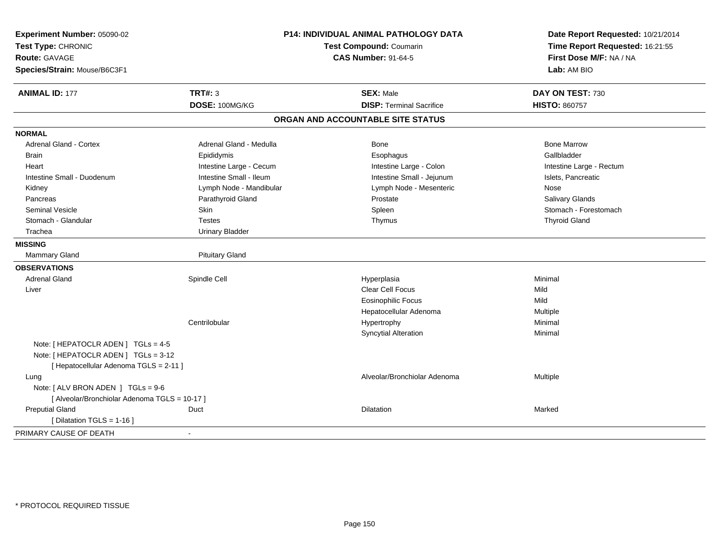| Experiment Number: 05090-02<br>Test Type: CHRONIC<br><b>Route: GAVAGE</b><br>Species/Strain: Mouse/B6C3F1 | <b>P14: INDIVIDUAL ANIMAL PATHOLOGY DATA</b><br><b>Test Compound: Coumarin</b><br><b>CAS Number: 91-64-5</b> |                                   | Date Report Requested: 10/21/2014<br>Time Report Requested: 16:21:55<br>First Dose M/F: NA / NA<br>Lab: AM BIO |  |
|-----------------------------------------------------------------------------------------------------------|--------------------------------------------------------------------------------------------------------------|-----------------------------------|----------------------------------------------------------------------------------------------------------------|--|
| <b>ANIMAL ID: 177</b>                                                                                     | <b>TRT#: 3</b>                                                                                               | <b>SEX: Male</b>                  | DAY ON TEST: 730                                                                                               |  |
|                                                                                                           | DOSE: 100MG/KG                                                                                               | <b>DISP: Terminal Sacrifice</b>   | <b>HISTO: 860757</b>                                                                                           |  |
|                                                                                                           |                                                                                                              | ORGAN AND ACCOUNTABLE SITE STATUS |                                                                                                                |  |
| <b>NORMAL</b>                                                                                             |                                                                                                              |                                   |                                                                                                                |  |
| Adrenal Gland - Cortex                                                                                    | Adrenal Gland - Medulla                                                                                      | Bone                              | <b>Bone Marrow</b>                                                                                             |  |
| <b>Brain</b>                                                                                              | Epididymis                                                                                                   | Esophagus                         | Gallbladder                                                                                                    |  |
| Heart                                                                                                     | Intestine Large - Cecum                                                                                      | Intestine Large - Colon           | Intestine Large - Rectum                                                                                       |  |
| Intestine Small - Duodenum                                                                                | Intestine Small - Ileum                                                                                      | Intestine Small - Jejunum         | Islets, Pancreatic                                                                                             |  |
| Kidney                                                                                                    | Lymph Node - Mandibular                                                                                      | Lymph Node - Mesenteric           | Nose                                                                                                           |  |
| Pancreas                                                                                                  | Parathyroid Gland                                                                                            | Prostate                          | Salivary Glands                                                                                                |  |
| <b>Seminal Vesicle</b>                                                                                    | <b>Skin</b>                                                                                                  | Spleen                            | Stomach - Forestomach                                                                                          |  |
| Stomach - Glandular                                                                                       | <b>Testes</b>                                                                                                | Thymus                            | <b>Thyroid Gland</b>                                                                                           |  |
| Trachea                                                                                                   | <b>Urinary Bladder</b>                                                                                       |                                   |                                                                                                                |  |
| <b>MISSING</b>                                                                                            |                                                                                                              |                                   |                                                                                                                |  |
| <b>Mammary Gland</b>                                                                                      | <b>Pituitary Gland</b>                                                                                       |                                   |                                                                                                                |  |
| <b>OBSERVATIONS</b>                                                                                       |                                                                                                              |                                   |                                                                                                                |  |
| <b>Adrenal Gland</b>                                                                                      | Spindle Cell                                                                                                 | Hyperplasia                       | Minimal                                                                                                        |  |
| Liver                                                                                                     |                                                                                                              | Clear Cell Focus                  | Mild                                                                                                           |  |
|                                                                                                           |                                                                                                              | <b>Eosinophilic Focus</b>         | Mild                                                                                                           |  |
|                                                                                                           |                                                                                                              | Hepatocellular Adenoma            | Multiple                                                                                                       |  |
|                                                                                                           | Centrilobular                                                                                                | Hypertrophy                       | Minimal                                                                                                        |  |
|                                                                                                           |                                                                                                              | <b>Syncytial Alteration</b>       | Minimal                                                                                                        |  |
| Note: $[HEPATOCLR ADEN] TGLs = 4-5$                                                                       |                                                                                                              |                                   |                                                                                                                |  |
| Note: [ HEPATOCLR ADEN ] TGLs = 3-12                                                                      |                                                                                                              |                                   |                                                                                                                |  |
| [ Hepatocellular Adenoma TGLS = 2-11 ]                                                                    |                                                                                                              |                                   |                                                                                                                |  |
| Lung                                                                                                      |                                                                                                              | Alveolar/Bronchiolar Adenoma      | Multiple                                                                                                       |  |
| Note: [ ALV BRON ADEN ] TGLs = 9-6                                                                        |                                                                                                              |                                   |                                                                                                                |  |
| [ Alveolar/Bronchiolar Adenoma TGLS = 10-17 ]                                                             |                                                                                                              |                                   |                                                                                                                |  |
| <b>Preputial Gland</b>                                                                                    | Duct                                                                                                         | Dilatation                        | Marked                                                                                                         |  |
| [ Dilatation TGLS = 1-16 ]                                                                                |                                                                                                              |                                   |                                                                                                                |  |
| PRIMARY CAUSE OF DEATH                                                                                    |                                                                                                              |                                   |                                                                                                                |  |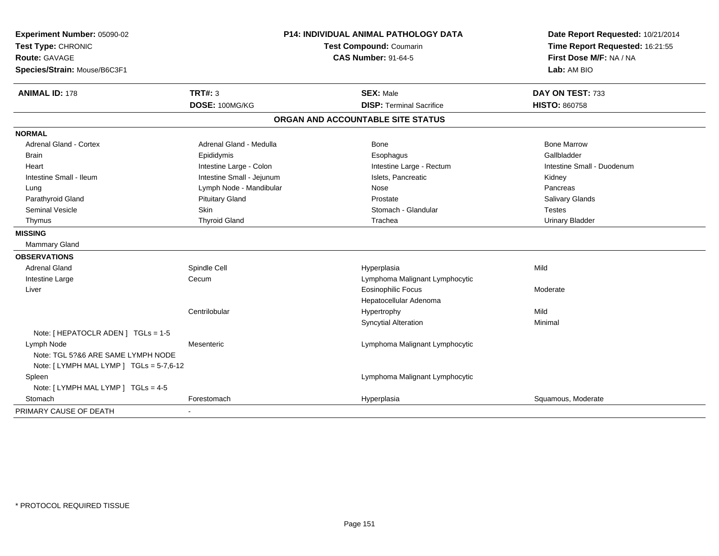| Experiment Number: 05090-02<br>Test Type: CHRONIC<br><b>Route: GAVAGE</b><br>Species/Strain: Mouse/B6C3F1 | <b>P14: INDIVIDUAL ANIMAL PATHOLOGY DATA</b><br>Test Compound: Coumarin<br><b>CAS Number: 91-64-5</b> |                                   | Date Report Requested: 10/21/2014<br>Time Report Requested: 16:21:55<br>First Dose M/F: NA / NA<br>Lab: AM BIO |  |
|-----------------------------------------------------------------------------------------------------------|-------------------------------------------------------------------------------------------------------|-----------------------------------|----------------------------------------------------------------------------------------------------------------|--|
| <b>ANIMAL ID: 178</b>                                                                                     | <b>TRT#: 3</b>                                                                                        | <b>SEX: Male</b>                  | DAY ON TEST: 733                                                                                               |  |
|                                                                                                           | DOSE: 100MG/KG                                                                                        | <b>DISP: Terminal Sacrifice</b>   | <b>HISTO: 860758</b>                                                                                           |  |
|                                                                                                           |                                                                                                       | ORGAN AND ACCOUNTABLE SITE STATUS |                                                                                                                |  |
| <b>NORMAL</b>                                                                                             |                                                                                                       |                                   |                                                                                                                |  |
| <b>Adrenal Gland - Cortex</b>                                                                             | Adrenal Gland - Medulla                                                                               | <b>Bone</b>                       | <b>Bone Marrow</b>                                                                                             |  |
| <b>Brain</b>                                                                                              | Epididymis                                                                                            | Esophagus                         | Gallbladder                                                                                                    |  |
| Heart                                                                                                     | Intestine Large - Colon                                                                               | Intestine Large - Rectum          | Intestine Small - Duodenum                                                                                     |  |
| Intestine Small - Ileum                                                                                   | Intestine Small - Jejunum                                                                             | Islets, Pancreatic                | Kidney                                                                                                         |  |
| Lung                                                                                                      | Lymph Node - Mandibular                                                                               | Nose                              | Pancreas                                                                                                       |  |
| Parathyroid Gland                                                                                         | <b>Pituitary Gland</b>                                                                                | Prostate                          | Salivary Glands                                                                                                |  |
| <b>Seminal Vesicle</b>                                                                                    | <b>Skin</b>                                                                                           | Stomach - Glandular               | <b>Testes</b>                                                                                                  |  |
| Thymus                                                                                                    | <b>Thyroid Gland</b>                                                                                  | Trachea                           | <b>Urinary Bladder</b>                                                                                         |  |
| <b>MISSING</b>                                                                                            |                                                                                                       |                                   |                                                                                                                |  |
| Mammary Gland                                                                                             |                                                                                                       |                                   |                                                                                                                |  |
| <b>OBSERVATIONS</b>                                                                                       |                                                                                                       |                                   |                                                                                                                |  |
| <b>Adrenal Gland</b>                                                                                      | Spindle Cell                                                                                          | Hyperplasia                       | Mild                                                                                                           |  |
| Intestine Large                                                                                           | Cecum                                                                                                 | Lymphoma Malignant Lymphocytic    |                                                                                                                |  |
| Liver                                                                                                     |                                                                                                       | <b>Eosinophilic Focus</b>         | Moderate                                                                                                       |  |
|                                                                                                           |                                                                                                       | Hepatocellular Adenoma            |                                                                                                                |  |
|                                                                                                           | Centrilobular                                                                                         | Hypertrophy                       | Mild                                                                                                           |  |
|                                                                                                           |                                                                                                       | <b>Syncytial Alteration</b>       | Minimal                                                                                                        |  |
| Note: [ HEPATOCLR ADEN ] TGLs = 1-5                                                                       |                                                                                                       |                                   |                                                                                                                |  |
| Lymph Node                                                                                                | Mesenteric                                                                                            | Lymphoma Malignant Lymphocytic    |                                                                                                                |  |
| Note: TGL 5?&6 ARE SAME LYMPH NODE                                                                        |                                                                                                       |                                   |                                                                                                                |  |
| Note: [ LYMPH MAL LYMP ] TGLs = 5-7,6-12                                                                  |                                                                                                       |                                   |                                                                                                                |  |
| Spleen                                                                                                    |                                                                                                       | Lymphoma Malignant Lymphocytic    |                                                                                                                |  |
| Note: [ LYMPH MAL LYMP ] TGLs = 4-5                                                                       |                                                                                                       |                                   |                                                                                                                |  |
| Stomach                                                                                                   | Forestomach                                                                                           | Hyperplasia                       | Squamous, Moderate                                                                                             |  |
| PRIMARY CAUSE OF DEATH                                                                                    |                                                                                                       |                                   |                                                                                                                |  |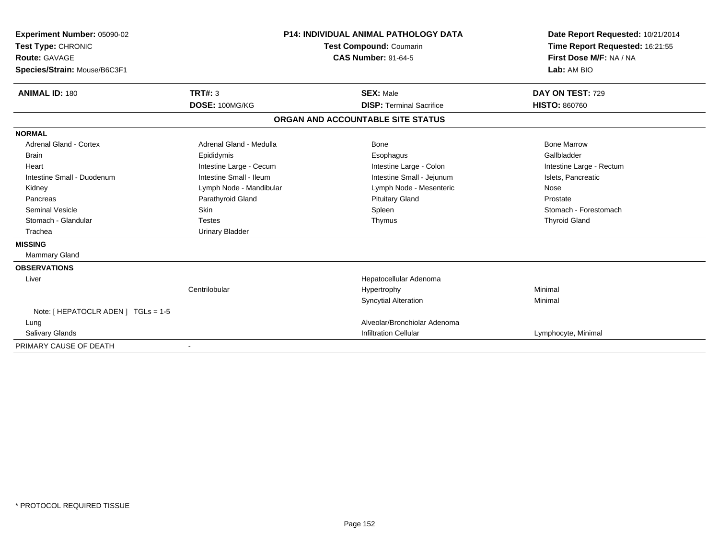| <b>Experiment Number: 05090-02</b><br>Test Type: CHRONIC<br><b>Route: GAVAGE</b><br>Species/Strain: Mouse/B6C3F1 |                         | <b>P14: INDIVIDUAL ANIMAL PATHOLOGY DATA</b><br>Test Compound: Coumarin<br><b>CAS Number: 91-64-5</b> |                                   | Date Report Requested: 10/21/2014<br>Time Report Requested: 16:21:55<br>First Dose M/F: NA / NA<br>Lab: AM BIO |  |
|------------------------------------------------------------------------------------------------------------------|-------------------------|-------------------------------------------------------------------------------------------------------|-----------------------------------|----------------------------------------------------------------------------------------------------------------|--|
| <b>ANIMAL ID: 180</b>                                                                                            | <b>TRT#: 3</b>          |                                                                                                       | <b>SEX: Male</b>                  | DAY ON TEST: 729                                                                                               |  |
|                                                                                                                  | DOSE: 100MG/KG          |                                                                                                       | <b>DISP: Terminal Sacrifice</b>   | <b>HISTO: 860760</b>                                                                                           |  |
|                                                                                                                  |                         |                                                                                                       | ORGAN AND ACCOUNTABLE SITE STATUS |                                                                                                                |  |
| <b>NORMAL</b>                                                                                                    |                         |                                                                                                       |                                   |                                                                                                                |  |
| <b>Adrenal Gland - Cortex</b>                                                                                    | Adrenal Gland - Medulla |                                                                                                       | Bone                              | <b>Bone Marrow</b>                                                                                             |  |
| <b>Brain</b>                                                                                                     | Epididymis              |                                                                                                       | Esophagus                         | Gallbladder                                                                                                    |  |
| Heart                                                                                                            | Intestine Large - Cecum |                                                                                                       | Intestine Large - Colon           | Intestine Large - Rectum                                                                                       |  |
| Intestine Small - Duodenum                                                                                       | Intestine Small - Ileum |                                                                                                       | Intestine Small - Jejunum         | Islets, Pancreatic                                                                                             |  |
| Kidney                                                                                                           | Lymph Node - Mandibular |                                                                                                       | Lymph Node - Mesenteric           | Nose                                                                                                           |  |
| Pancreas                                                                                                         | Parathyroid Gland       |                                                                                                       | <b>Pituitary Gland</b>            | Prostate                                                                                                       |  |
| <b>Seminal Vesicle</b>                                                                                           | <b>Skin</b>             |                                                                                                       | Spleen                            | Stomach - Forestomach                                                                                          |  |
| Stomach - Glandular                                                                                              | <b>Testes</b>           |                                                                                                       | Thymus                            | <b>Thyroid Gland</b>                                                                                           |  |
| Trachea                                                                                                          | <b>Urinary Bladder</b>  |                                                                                                       |                                   |                                                                                                                |  |
| <b>MISSING</b>                                                                                                   |                         |                                                                                                       |                                   |                                                                                                                |  |
| Mammary Gland                                                                                                    |                         |                                                                                                       |                                   |                                                                                                                |  |
| <b>OBSERVATIONS</b>                                                                                              |                         |                                                                                                       |                                   |                                                                                                                |  |
| Liver                                                                                                            |                         |                                                                                                       | Hepatocellular Adenoma            |                                                                                                                |  |
|                                                                                                                  | Centrilobular           |                                                                                                       | Hypertrophy                       | Minimal                                                                                                        |  |
|                                                                                                                  |                         |                                                                                                       | <b>Syncytial Alteration</b>       | Minimal                                                                                                        |  |
| Note: [ HEPATOCLR ADEN ] TGLs = 1-5                                                                              |                         |                                                                                                       |                                   |                                                                                                                |  |
| Lung                                                                                                             |                         |                                                                                                       | Alveolar/Bronchiolar Adenoma      |                                                                                                                |  |
| <b>Salivary Glands</b>                                                                                           |                         |                                                                                                       | <b>Infiltration Cellular</b>      | Lymphocyte, Minimal                                                                                            |  |
| PRIMARY CAUSE OF DEATH                                                                                           |                         |                                                                                                       |                                   |                                                                                                                |  |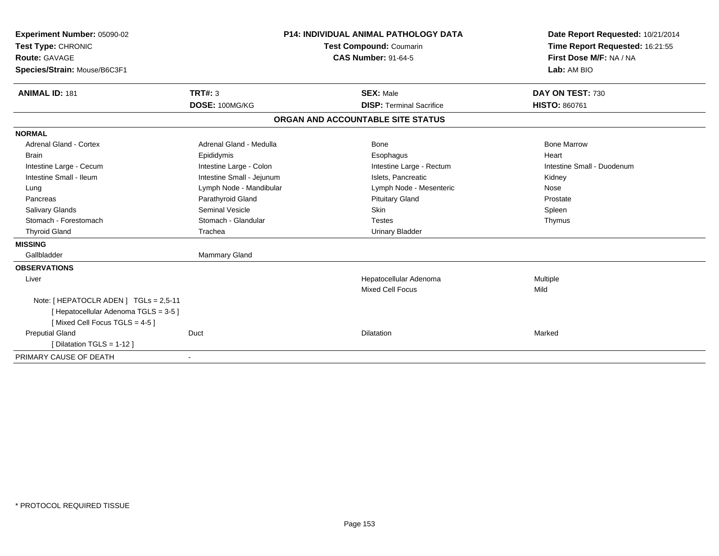| Experiment Number: 05090-02<br>Test Type: CHRONIC<br><b>Route: GAVAGE</b><br>Species/Strain: Mouse/B6C3F1 |                           | <b>P14: INDIVIDUAL ANIMAL PATHOLOGY DATA</b><br><b>Test Compound: Coumarin</b><br><b>CAS Number: 91-64-5</b> | Date Report Requested: 10/21/2014<br>Time Report Requested: 16:21:55<br>First Dose M/F: NA / NA<br>Lab: AM BIO |  |
|-----------------------------------------------------------------------------------------------------------|---------------------------|--------------------------------------------------------------------------------------------------------------|----------------------------------------------------------------------------------------------------------------|--|
| <b>ANIMAL ID: 181</b>                                                                                     | TRT#: 3                   | <b>SEX: Male</b>                                                                                             | DAY ON TEST: 730                                                                                               |  |
|                                                                                                           | DOSE: 100MG/KG            | <b>DISP: Terminal Sacrifice</b>                                                                              | <b>HISTO: 860761</b>                                                                                           |  |
|                                                                                                           |                           | ORGAN AND ACCOUNTABLE SITE STATUS                                                                            |                                                                                                                |  |
| <b>NORMAL</b>                                                                                             |                           |                                                                                                              |                                                                                                                |  |
| <b>Adrenal Gland - Cortex</b>                                                                             | Adrenal Gland - Medulla   | Bone                                                                                                         | <b>Bone Marrow</b>                                                                                             |  |
| <b>Brain</b>                                                                                              | Epididymis                | Esophagus                                                                                                    | Heart                                                                                                          |  |
| Intestine Large - Cecum                                                                                   | Intestine Large - Colon   | Intestine Large - Rectum                                                                                     | Intestine Small - Duodenum                                                                                     |  |
| Intestine Small - Ileum                                                                                   | Intestine Small - Jejunum | Islets. Pancreatic                                                                                           | Kidney                                                                                                         |  |
| Lung                                                                                                      | Lymph Node - Mandibular   | Lymph Node - Mesenteric                                                                                      | Nose                                                                                                           |  |
| Pancreas                                                                                                  | Parathyroid Gland         | <b>Pituitary Gland</b>                                                                                       | Prostate                                                                                                       |  |
| <b>Salivary Glands</b>                                                                                    | <b>Seminal Vesicle</b>    | <b>Skin</b>                                                                                                  | Spleen                                                                                                         |  |
| Stomach - Forestomach                                                                                     | Stomach - Glandular       | <b>Testes</b>                                                                                                | Thymus                                                                                                         |  |
| <b>Thyroid Gland</b>                                                                                      | Trachea                   | <b>Urinary Bladder</b>                                                                                       |                                                                                                                |  |
| <b>MISSING</b>                                                                                            |                           |                                                                                                              |                                                                                                                |  |
| Gallbladder                                                                                               | Mammary Gland             |                                                                                                              |                                                                                                                |  |
| <b>OBSERVATIONS</b>                                                                                       |                           |                                                                                                              |                                                                                                                |  |
| Liver                                                                                                     |                           | Hepatocellular Adenoma                                                                                       | Multiple                                                                                                       |  |
|                                                                                                           |                           | <b>Mixed Cell Focus</b>                                                                                      | Mild                                                                                                           |  |
| Note: [HEPATOCLR ADEN] TGLs = 2,5-11                                                                      |                           |                                                                                                              |                                                                                                                |  |
| [Hepatocellular Adenoma TGLS = 3-5]                                                                       |                           |                                                                                                              |                                                                                                                |  |
| [Mixed Cell Focus TGLS = 4-5]                                                                             |                           |                                                                                                              |                                                                                                                |  |
| <b>Preputial Gland</b>                                                                                    | Duct                      | Dilatation                                                                                                   | Marked                                                                                                         |  |
| [ Dilatation TGLS = 1-12 ]                                                                                |                           |                                                                                                              |                                                                                                                |  |
| PRIMARY CAUSE OF DEATH                                                                                    |                           |                                                                                                              |                                                                                                                |  |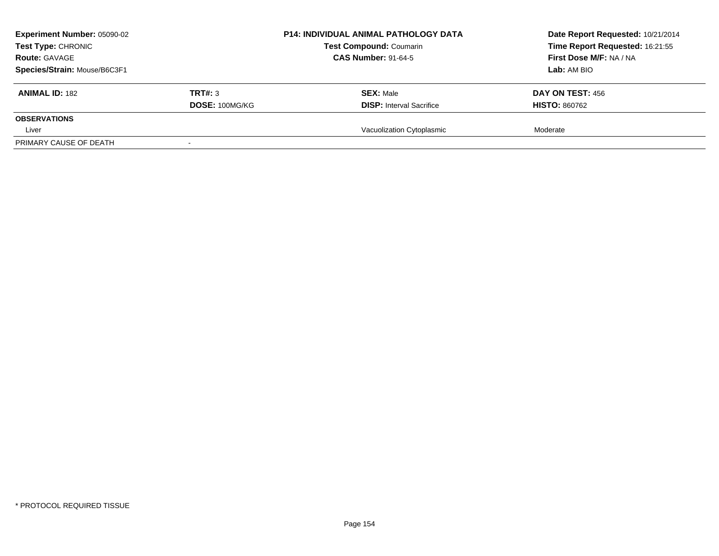| Experiment Number: 05090-02<br><b>Test Type: CHRONIC</b><br><b>Route: GAVAGE</b><br>Species/Strain: Mouse/B6C3F1 |                           | <b>P14: INDIVIDUAL ANIMAL PATHOLOGY DATA</b><br><b>Test Compound: Coumarin</b><br><b>CAS Number: 91-64-5</b> | Date Report Requested: 10/21/2014<br>Time Report Requested: 16:21:55<br>First Dose M/F: NA / NA<br>Lab: AM BIO |
|------------------------------------------------------------------------------------------------------------------|---------------------------|--------------------------------------------------------------------------------------------------------------|----------------------------------------------------------------------------------------------------------------|
| <b>ANIMAL ID: 182</b>                                                                                            | TRT#: 3<br>DOSE: 100MG/KG | <b>SEX: Male</b><br><b>DISP:</b> Interval Sacrifice                                                          | <b>DAY ON TEST: 456</b><br><b>HISTO: 860762</b>                                                                |
| <b>OBSERVATIONS</b><br>Liver                                                                                     |                           | Vacuolization Cytoplasmic                                                                                    | Moderate                                                                                                       |
| PRIMARY CAUSE OF DEATH                                                                                           |                           |                                                                                                              |                                                                                                                |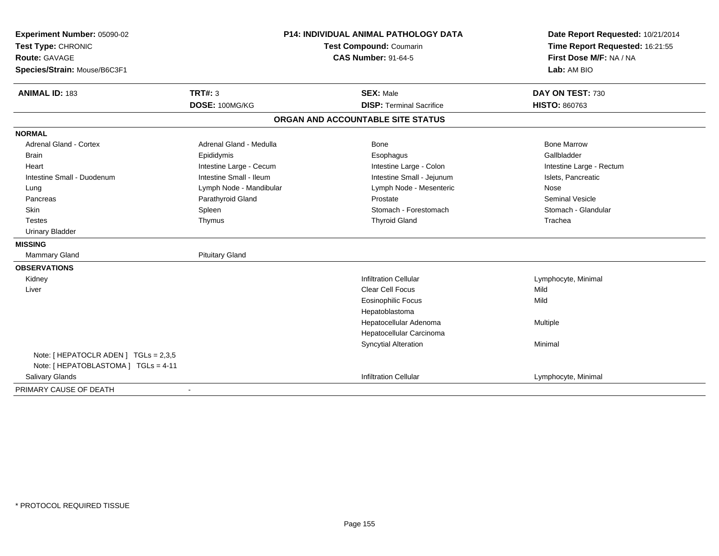| Experiment Number: 05090-02<br>Test Type: CHRONIC<br><b>Route: GAVAGE</b><br>Species/Strain: Mouse/B6C3F1 | P14: INDIVIDUAL ANIMAL PATHOLOGY DATA<br>Test Compound: Coumarin<br><b>CAS Number: 91-64-5</b> |                                   | Date Report Requested: 10/21/2014<br>Time Report Requested: 16:21:55<br>First Dose M/F: NA / NA<br>Lab: AM BIO |  |
|-----------------------------------------------------------------------------------------------------------|------------------------------------------------------------------------------------------------|-----------------------------------|----------------------------------------------------------------------------------------------------------------|--|
| <b>ANIMAL ID: 183</b>                                                                                     | <b>TRT#: 3</b>                                                                                 | <b>SEX: Male</b>                  | DAY ON TEST: 730                                                                                               |  |
|                                                                                                           | DOSE: 100MG/KG                                                                                 | <b>DISP: Terminal Sacrifice</b>   | <b>HISTO: 860763</b>                                                                                           |  |
|                                                                                                           |                                                                                                | ORGAN AND ACCOUNTABLE SITE STATUS |                                                                                                                |  |
| <b>NORMAL</b>                                                                                             |                                                                                                |                                   |                                                                                                                |  |
| Adrenal Gland - Cortex                                                                                    | Adrenal Gland - Medulla                                                                        | Bone                              | <b>Bone Marrow</b>                                                                                             |  |
| <b>Brain</b>                                                                                              | Epididymis                                                                                     | Esophagus                         | Gallbladder                                                                                                    |  |
| Heart                                                                                                     | Intestine Large - Cecum                                                                        | Intestine Large - Colon           | Intestine Large - Rectum                                                                                       |  |
| Intestine Small - Duodenum                                                                                | Intestine Small - Ileum                                                                        | Intestine Small - Jejunum         | Islets, Pancreatic                                                                                             |  |
| Lung                                                                                                      | Lymph Node - Mandibular                                                                        | Lymph Node - Mesenteric           | Nose                                                                                                           |  |
| Pancreas                                                                                                  | Parathyroid Gland                                                                              | Prostate                          | <b>Seminal Vesicle</b>                                                                                         |  |
| <b>Skin</b>                                                                                               | Spleen                                                                                         | Stomach - Forestomach             | Stomach - Glandular                                                                                            |  |
| <b>Testes</b>                                                                                             | Thymus                                                                                         | <b>Thyroid Gland</b>              | Trachea                                                                                                        |  |
| <b>Urinary Bladder</b>                                                                                    |                                                                                                |                                   |                                                                                                                |  |
| <b>MISSING</b>                                                                                            |                                                                                                |                                   |                                                                                                                |  |
| <b>Mammary Gland</b>                                                                                      | <b>Pituitary Gland</b>                                                                         |                                   |                                                                                                                |  |
| <b>OBSERVATIONS</b>                                                                                       |                                                                                                |                                   |                                                                                                                |  |
| Kidney                                                                                                    |                                                                                                | <b>Infiltration Cellular</b>      | Lymphocyte, Minimal                                                                                            |  |
| Liver                                                                                                     |                                                                                                | <b>Clear Cell Focus</b>           | Mild                                                                                                           |  |
|                                                                                                           |                                                                                                | Eosinophilic Focus                | Mild                                                                                                           |  |
|                                                                                                           |                                                                                                | Hepatoblastoma                    |                                                                                                                |  |
|                                                                                                           |                                                                                                | Hepatocellular Adenoma            | Multiple                                                                                                       |  |
|                                                                                                           |                                                                                                | Hepatocellular Carcinoma          |                                                                                                                |  |
|                                                                                                           |                                                                                                | <b>Syncytial Alteration</b>       | Minimal                                                                                                        |  |
| Note: [ HEPATOCLR ADEN ] TGLs = 2,3,5                                                                     |                                                                                                |                                   |                                                                                                                |  |
| Note: [ HEPATOBLASTOMA ] TGLs = 4-11                                                                      |                                                                                                |                                   |                                                                                                                |  |
| Salivary Glands                                                                                           |                                                                                                | <b>Infiltration Cellular</b>      | Lymphocyte, Minimal                                                                                            |  |
| PRIMARY CAUSE OF DEATH                                                                                    |                                                                                                |                                   |                                                                                                                |  |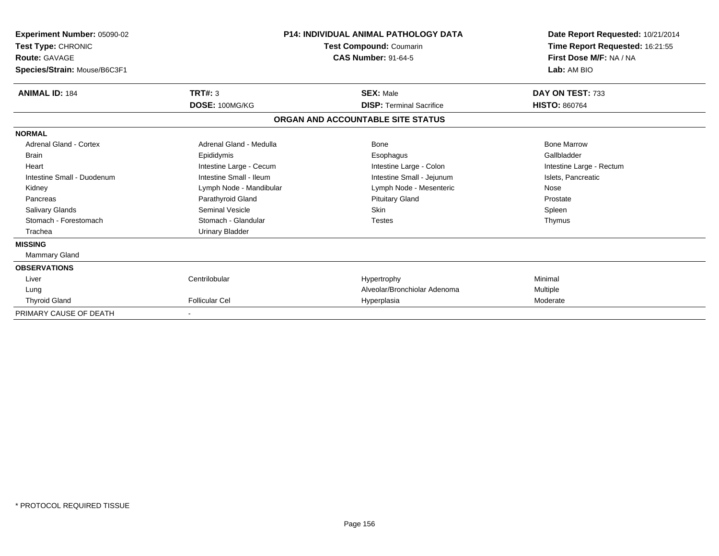| Experiment Number: 05090-02<br><b>Test Type: CHRONIC</b><br><b>Route: GAVAGE</b><br>Species/Strain: Mouse/B6C3F1 |                         | <b>P14: INDIVIDUAL ANIMAL PATHOLOGY DATA</b><br>Test Compound: Coumarin<br><b>CAS Number: 91-64-5</b> | Date Report Requested: 10/21/2014<br>Time Report Requested: 16:21:55<br>First Dose M/F: NA / NA<br>Lab: AM BIO |  |
|------------------------------------------------------------------------------------------------------------------|-------------------------|-------------------------------------------------------------------------------------------------------|----------------------------------------------------------------------------------------------------------------|--|
| <b>ANIMAL ID: 184</b>                                                                                            | TRT#: 3                 | <b>SEX: Male</b>                                                                                      | DAY ON TEST: 733                                                                                               |  |
|                                                                                                                  | DOSE: 100MG/KG          | <b>DISP: Terminal Sacrifice</b>                                                                       | <b>HISTO: 860764</b>                                                                                           |  |
|                                                                                                                  |                         | ORGAN AND ACCOUNTABLE SITE STATUS                                                                     |                                                                                                                |  |
| <b>NORMAL</b>                                                                                                    |                         |                                                                                                       |                                                                                                                |  |
| <b>Adrenal Gland - Cortex</b>                                                                                    | Adrenal Gland - Medulla | Bone                                                                                                  | <b>Bone Marrow</b>                                                                                             |  |
| <b>Brain</b>                                                                                                     | Epididymis              | Esophagus                                                                                             | Gallbladder                                                                                                    |  |
| Heart                                                                                                            | Intestine Large - Cecum | Intestine Large - Colon                                                                               | Intestine Large - Rectum                                                                                       |  |
| Intestine Small - Duodenum                                                                                       | Intestine Small - Ileum | Intestine Small - Jejunum                                                                             | Islets, Pancreatic                                                                                             |  |
| Kidney                                                                                                           | Lymph Node - Mandibular | Lymph Node - Mesenteric                                                                               | Nose                                                                                                           |  |
| Pancreas                                                                                                         | Parathyroid Gland       | <b>Pituitary Gland</b>                                                                                | Prostate                                                                                                       |  |
| <b>Salivary Glands</b>                                                                                           | <b>Seminal Vesicle</b>  | Skin                                                                                                  | Spleen                                                                                                         |  |
| Stomach - Forestomach                                                                                            | Stomach - Glandular     | <b>Testes</b>                                                                                         | Thymus                                                                                                         |  |
| Trachea                                                                                                          | <b>Urinary Bladder</b>  |                                                                                                       |                                                                                                                |  |
| <b>MISSING</b>                                                                                                   |                         |                                                                                                       |                                                                                                                |  |
| Mammary Gland                                                                                                    |                         |                                                                                                       |                                                                                                                |  |
| <b>OBSERVATIONS</b>                                                                                              |                         |                                                                                                       |                                                                                                                |  |
| Liver                                                                                                            | Centrilobular           | Hypertrophy                                                                                           | Minimal                                                                                                        |  |
| Lung                                                                                                             |                         | Alveolar/Bronchiolar Adenoma                                                                          | Multiple                                                                                                       |  |
| <b>Thyroid Gland</b>                                                                                             | <b>Follicular Cel</b>   | Hyperplasia                                                                                           | Moderate                                                                                                       |  |
| PRIMARY CAUSE OF DEATH                                                                                           |                         |                                                                                                       |                                                                                                                |  |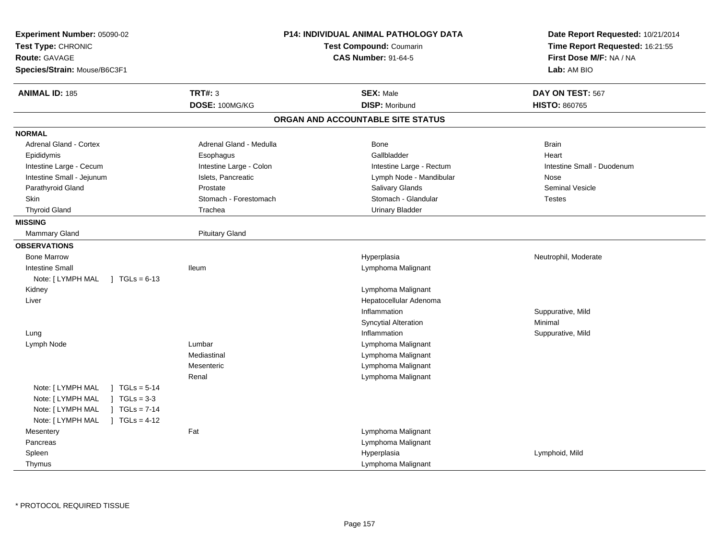| Experiment Number: 05090-02<br>Test Type: CHRONIC<br><b>Route: GAVAGE</b><br>Species/Strain: Mouse/B6C3F1 | <b>P14: INDIVIDUAL ANIMAL PATHOLOGY DATA</b><br>Test Compound: Coumarin<br><b>CAS Number: 91-64-5</b> |                                   | Date Report Requested: 10/21/2014<br>Time Report Requested: 16:21:55<br>First Dose M/F: NA / NA<br>Lab: AM BIO |
|-----------------------------------------------------------------------------------------------------------|-------------------------------------------------------------------------------------------------------|-----------------------------------|----------------------------------------------------------------------------------------------------------------|
| <b>ANIMAL ID: 185</b>                                                                                     | <b>TRT#: 3</b>                                                                                        | <b>SEX: Male</b>                  | DAY ON TEST: 567                                                                                               |
|                                                                                                           | DOSE: 100MG/KG                                                                                        | <b>DISP: Moribund</b>             | <b>HISTO: 860765</b>                                                                                           |
|                                                                                                           |                                                                                                       | ORGAN AND ACCOUNTABLE SITE STATUS |                                                                                                                |
| <b>NORMAL</b>                                                                                             |                                                                                                       |                                   |                                                                                                                |
| Adrenal Gland - Cortex                                                                                    | Adrenal Gland - Medulla                                                                               | Bone                              | <b>Brain</b>                                                                                                   |
| Epididymis                                                                                                | Esophagus                                                                                             | Gallbladder                       | Heart                                                                                                          |
| Intestine Large - Cecum                                                                                   | Intestine Large - Colon                                                                               | Intestine Large - Rectum          | Intestine Small - Duodenum                                                                                     |
| Intestine Small - Jejunum                                                                                 | Islets, Pancreatic                                                                                    | Lymph Node - Mandibular           | Nose                                                                                                           |
| Parathyroid Gland                                                                                         | Prostate                                                                                              | Salivary Glands                   | Seminal Vesicle                                                                                                |
| Skin                                                                                                      | Stomach - Forestomach                                                                                 | Stomach - Glandular               | <b>Testes</b>                                                                                                  |
| <b>Thyroid Gland</b>                                                                                      | Trachea                                                                                               | <b>Urinary Bladder</b>            |                                                                                                                |
| <b>MISSING</b>                                                                                            |                                                                                                       |                                   |                                                                                                                |
| Mammary Gland                                                                                             | <b>Pituitary Gland</b>                                                                                |                                   |                                                                                                                |
| <b>OBSERVATIONS</b>                                                                                       |                                                                                                       |                                   |                                                                                                                |
| <b>Bone Marrow</b>                                                                                        |                                                                                                       | Hyperplasia                       | Neutrophil, Moderate                                                                                           |
| <b>Intestine Small</b>                                                                                    | <b>Ileum</b>                                                                                          | Lymphoma Malignant                |                                                                                                                |
| Note: [ LYMPH MAL<br>$\sqrt{1}$ TGLs = 6-13                                                               |                                                                                                       |                                   |                                                                                                                |
| Kidney                                                                                                    |                                                                                                       | Lymphoma Malignant                |                                                                                                                |
| Liver                                                                                                     |                                                                                                       | Hepatocellular Adenoma            |                                                                                                                |
|                                                                                                           |                                                                                                       | Inflammation                      | Suppurative, Mild                                                                                              |
|                                                                                                           |                                                                                                       | <b>Syncytial Alteration</b>       | Minimal                                                                                                        |
| Lung                                                                                                      |                                                                                                       | Inflammation                      | Suppurative, Mild                                                                                              |
| Lymph Node                                                                                                | Lumbar                                                                                                | Lymphoma Malignant                |                                                                                                                |
|                                                                                                           | Mediastinal                                                                                           | Lymphoma Malignant                |                                                                                                                |
|                                                                                                           | Mesenteric                                                                                            | Lymphoma Malignant                |                                                                                                                |
|                                                                                                           | Renal                                                                                                 | Lymphoma Malignant                |                                                                                                                |
| Note: [ LYMPH MAL<br>$1 TGLs = 5-14$                                                                      |                                                                                                       |                                   |                                                                                                                |
| $JTGLs = 3-3$<br>Note: [ LYMPH MAL                                                                        |                                                                                                       |                                   |                                                                                                                |
| Note: [ LYMPH MAL<br>$1 TGLs = 7-14$                                                                      |                                                                                                       |                                   |                                                                                                                |
| Note: [ LYMPH MAL<br>$1 \text{ TGLs} = 4-12$                                                              |                                                                                                       |                                   |                                                                                                                |
| Mesentery                                                                                                 | Fat                                                                                                   | Lymphoma Malignant                |                                                                                                                |
| Pancreas                                                                                                  |                                                                                                       | Lymphoma Malignant                |                                                                                                                |
| Spleen                                                                                                    |                                                                                                       | Hyperplasia                       | Lymphoid, Mild                                                                                                 |
| Thymus                                                                                                    |                                                                                                       | Lymphoma Malignant                |                                                                                                                |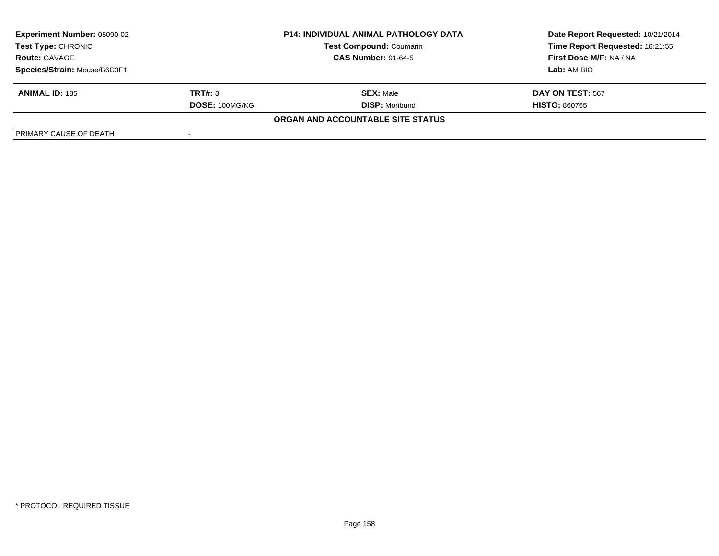| Experiment Number: 05090-02                                                                                       |                | <b>P14: INDIVIDUAL ANIMAL PATHOLOGY DATA</b> | Date Report Requested: 10/21/2014 |
|-------------------------------------------------------------------------------------------------------------------|----------------|----------------------------------------------|-----------------------------------|
| <b>Test Type: CHRONIC</b><br><b>Test Compound: Coumarin</b><br><b>CAS Number: 91-64-5</b><br><b>Route: GAVAGE</b> |                |                                              | Time Report Requested: 16:21:55   |
|                                                                                                                   |                |                                              | First Dose M/F: NA / NA           |
| Species/Strain: Mouse/B6C3F1                                                                                      |                |                                              | Lab: AM BIO                       |
| <b>ANIMAL ID: 185</b>                                                                                             | TRT#: 3        | <b>SEX: Male</b>                             | DAY ON TEST: 567                  |
|                                                                                                                   | DOSE: 100MG/KG | <b>DISP:</b> Moribund                        | <b>HISTO: 860765</b>              |
|                                                                                                                   |                | ORGAN AND ACCOUNTABLE SITE STATUS            |                                   |
| PRIMARY CAUSE OF DEATH                                                                                            |                |                                              |                                   |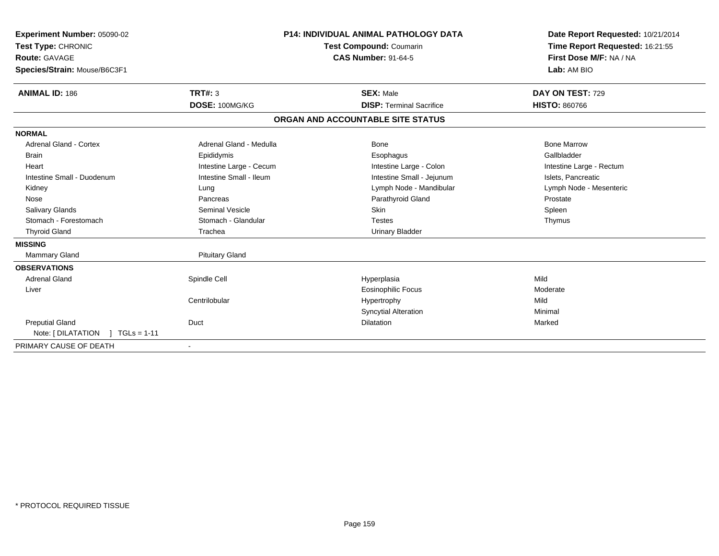| Experiment Number: 05090-02<br>Test Type: CHRONIC<br><b>Route: GAVAGE</b><br>Species/Strain: Mouse/B6C3F1<br><b>ANIMAL ID: 186</b> | <b>TRT#: 3</b><br>DOSE: 100MG/KG | <b>P14: INDIVIDUAL ANIMAL PATHOLOGY DATA</b><br><b>Test Compound: Coumarin</b><br><b>CAS Number: 91-64-5</b><br><b>SEX: Male</b><br><b>DISP: Terminal Sacrifice</b> | Date Report Requested: 10/21/2014<br>Time Report Requested: 16:21:55<br>First Dose M/F: NA / NA<br>Lab: AM BIO<br>DAY ON TEST: 729<br><b>HISTO: 860766</b> |
|------------------------------------------------------------------------------------------------------------------------------------|----------------------------------|---------------------------------------------------------------------------------------------------------------------------------------------------------------------|------------------------------------------------------------------------------------------------------------------------------------------------------------|
|                                                                                                                                    |                                  | ORGAN AND ACCOUNTABLE SITE STATUS                                                                                                                                   |                                                                                                                                                            |
| <b>NORMAL</b>                                                                                                                      |                                  |                                                                                                                                                                     |                                                                                                                                                            |
| <b>Adrenal Gland - Cortex</b>                                                                                                      | Adrenal Gland - Medulla          | Bone                                                                                                                                                                | <b>Bone Marrow</b>                                                                                                                                         |
| <b>Brain</b>                                                                                                                       | Epididymis                       | Esophagus                                                                                                                                                           | Gallbladder                                                                                                                                                |
| Heart                                                                                                                              | Intestine Large - Cecum          | Intestine Large - Colon                                                                                                                                             | Intestine Large - Rectum                                                                                                                                   |
| Intestine Small - Duodenum                                                                                                         | Intestine Small - Ileum          | Intestine Small - Jejunum                                                                                                                                           | Islets, Pancreatic                                                                                                                                         |
| Kidney                                                                                                                             | Lung                             | Lymph Node - Mandibular                                                                                                                                             | Lymph Node - Mesenteric                                                                                                                                    |
| Nose                                                                                                                               | Pancreas                         | Parathyroid Gland                                                                                                                                                   | Prostate                                                                                                                                                   |
| <b>Salivary Glands</b>                                                                                                             | <b>Seminal Vesicle</b>           | Skin                                                                                                                                                                | Spleen                                                                                                                                                     |
| Stomach - Forestomach                                                                                                              | Stomach - Glandular              | <b>Testes</b>                                                                                                                                                       | Thymus                                                                                                                                                     |
| <b>Thyroid Gland</b>                                                                                                               | Trachea                          | <b>Urinary Bladder</b>                                                                                                                                              |                                                                                                                                                            |
| <b>MISSING</b>                                                                                                                     |                                  |                                                                                                                                                                     |                                                                                                                                                            |
| <b>Mammary Gland</b>                                                                                                               | <b>Pituitary Gland</b>           |                                                                                                                                                                     |                                                                                                                                                            |
| <b>OBSERVATIONS</b>                                                                                                                |                                  |                                                                                                                                                                     |                                                                                                                                                            |
| <b>Adrenal Gland</b>                                                                                                               | Spindle Cell                     | Hyperplasia                                                                                                                                                         | Mild                                                                                                                                                       |
| Liver                                                                                                                              |                                  | <b>Eosinophilic Focus</b>                                                                                                                                           | Moderate                                                                                                                                                   |
|                                                                                                                                    | Centrilobular                    | Hypertrophy                                                                                                                                                         | Mild                                                                                                                                                       |
|                                                                                                                                    |                                  | <b>Syncytial Alteration</b>                                                                                                                                         | Minimal                                                                                                                                                    |
| <b>Preputial Gland</b>                                                                                                             | Duct                             | <b>Dilatation</b>                                                                                                                                                   | Marked                                                                                                                                                     |
| Note: [ DILATATION<br>$TGLs = 1-11$                                                                                                |                                  |                                                                                                                                                                     |                                                                                                                                                            |
| PRIMARY CAUSE OF DEATH                                                                                                             |                                  |                                                                                                                                                                     |                                                                                                                                                            |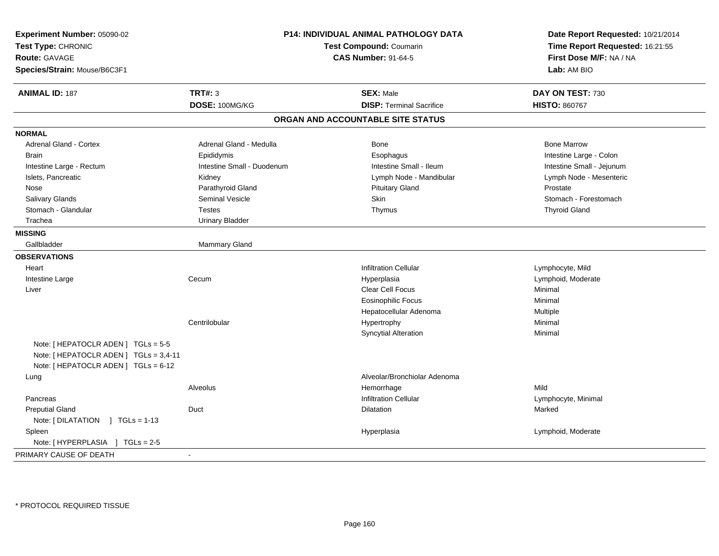| Experiment Number: 05090-02<br>Test Type: CHRONIC<br><b>Route: GAVAGE</b><br>Species/Strain: Mouse/B6C3F1             | P14: INDIVIDUAL ANIMAL PATHOLOGY DATA<br>Test Compound: Coumarin<br><b>CAS Number: 91-64-5</b> |                                   | Date Report Requested: 10/21/2014<br>Time Report Requested: 16:21:55<br>First Dose M/F: NA / NA<br>Lab: AM BIO |
|-----------------------------------------------------------------------------------------------------------------------|------------------------------------------------------------------------------------------------|-----------------------------------|----------------------------------------------------------------------------------------------------------------|
| <b>ANIMAL ID: 187</b>                                                                                                 | <b>TRT#: 3</b>                                                                                 | <b>SEX: Male</b>                  | DAY ON TEST: 730                                                                                               |
|                                                                                                                       | DOSE: 100MG/KG                                                                                 | <b>DISP: Terminal Sacrifice</b>   | <b>HISTO: 860767</b>                                                                                           |
|                                                                                                                       |                                                                                                | ORGAN AND ACCOUNTABLE SITE STATUS |                                                                                                                |
| <b>NORMAL</b>                                                                                                         |                                                                                                |                                   |                                                                                                                |
| Adrenal Gland - Cortex                                                                                                | Adrenal Gland - Medulla                                                                        | Bone                              | <b>Bone Marrow</b>                                                                                             |
| <b>Brain</b>                                                                                                          | Epididymis                                                                                     | Esophagus                         | Intestine Large - Colon                                                                                        |
| Intestine Large - Rectum                                                                                              | Intestine Small - Duodenum                                                                     | Intestine Small - Ileum           | Intestine Small - Jejunum                                                                                      |
| Islets, Pancreatic                                                                                                    | Kidney                                                                                         | Lymph Node - Mandibular           | Lymph Node - Mesenteric                                                                                        |
| Nose                                                                                                                  | Parathyroid Gland                                                                              | <b>Pituitary Gland</b>            | Prostate                                                                                                       |
| Salivary Glands                                                                                                       | <b>Seminal Vesicle</b>                                                                         | Skin                              | Stomach - Forestomach                                                                                          |
| Stomach - Glandular                                                                                                   | <b>Testes</b>                                                                                  | Thymus                            | <b>Thyroid Gland</b>                                                                                           |
| Trachea                                                                                                               | <b>Urinary Bladder</b>                                                                         |                                   |                                                                                                                |
| <b>MISSING</b>                                                                                                        |                                                                                                |                                   |                                                                                                                |
| Gallbladder                                                                                                           | <b>Mammary Gland</b>                                                                           |                                   |                                                                                                                |
| <b>OBSERVATIONS</b>                                                                                                   |                                                                                                |                                   |                                                                                                                |
| Heart                                                                                                                 |                                                                                                | <b>Infiltration Cellular</b>      | Lymphocyte, Mild                                                                                               |
| Intestine Large                                                                                                       | Cecum                                                                                          | Hyperplasia                       | Lymphoid, Moderate                                                                                             |
| Liver                                                                                                                 |                                                                                                | Clear Cell Focus                  | Minimal                                                                                                        |
|                                                                                                                       |                                                                                                | <b>Eosinophilic Focus</b>         | Minimal                                                                                                        |
|                                                                                                                       |                                                                                                | Hepatocellular Adenoma            | Multiple                                                                                                       |
|                                                                                                                       | Centrilobular                                                                                  | Hypertrophy                       | Minimal                                                                                                        |
|                                                                                                                       |                                                                                                | <b>Syncytial Alteration</b>       | Minimal                                                                                                        |
| Note: [ HEPATOCLR ADEN ] TGLs = 5-5<br>Note: [ HEPATOCLR ADEN ] TGLs = 3,4-11<br>Note: [ HEPATOCLR ADEN ] TGLs = 6-12 |                                                                                                |                                   |                                                                                                                |
| Lung                                                                                                                  |                                                                                                | Alveolar/Bronchiolar Adenoma      |                                                                                                                |
|                                                                                                                       | Alveolus                                                                                       | Hemorrhage                        | Mild                                                                                                           |
| Pancreas                                                                                                              |                                                                                                | <b>Infiltration Cellular</b>      | Lymphocyte, Minimal                                                                                            |
| <b>Preputial Gland</b>                                                                                                | Duct                                                                                           | <b>Dilatation</b>                 | Marked                                                                                                         |
| Note: [DILATATION ] TGLs = 1-13                                                                                       |                                                                                                |                                   |                                                                                                                |
| Spleen                                                                                                                |                                                                                                | Hyperplasia                       | Lymphoid, Moderate                                                                                             |
| Note: [HYPERPLASIA ] TGLs = 2-5                                                                                       |                                                                                                |                                   |                                                                                                                |
| PRIMARY CAUSE OF DEATH                                                                                                | $\blacksquare$                                                                                 |                                   |                                                                                                                |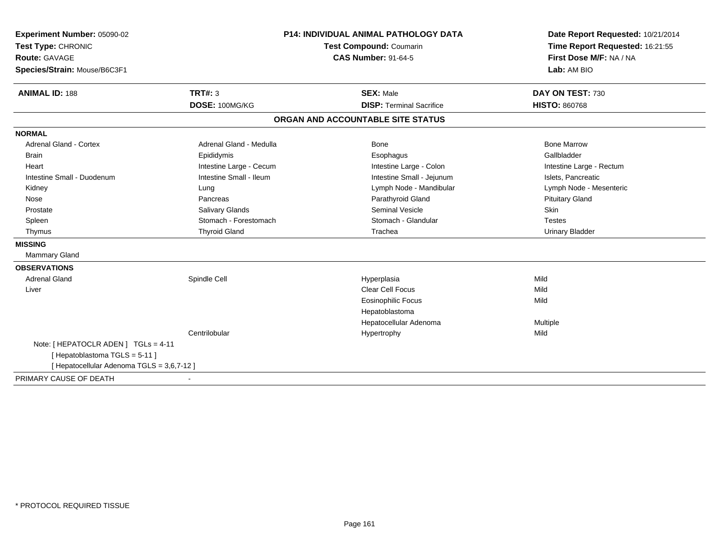| Experiment Number: 05090-02                | <b>P14: INDIVIDUAL ANIMAL PATHOLOGY DATA</b> |                                   | Date Report Requested: 10/21/2014 |  |
|--------------------------------------------|----------------------------------------------|-----------------------------------|-----------------------------------|--|
| Test Type: CHRONIC                         |                                              | Test Compound: Coumarin           | Time Report Requested: 16:21:55   |  |
| <b>Route: GAVAGE</b>                       | <b>CAS Number: 91-64-5</b>                   |                                   | First Dose M/F: NA / NA           |  |
| Species/Strain: Mouse/B6C3F1               |                                              |                                   | Lab: AM BIO                       |  |
| <b>ANIMAL ID: 188</b>                      | TRT#: 3                                      | <b>SEX: Male</b>                  | DAY ON TEST: 730                  |  |
|                                            | DOSE: 100MG/KG                               | <b>DISP: Terminal Sacrifice</b>   | <b>HISTO: 860768</b>              |  |
|                                            |                                              | ORGAN AND ACCOUNTABLE SITE STATUS |                                   |  |
| <b>NORMAL</b>                              |                                              |                                   |                                   |  |
| Adrenal Gland - Cortex                     | Adrenal Gland - Medulla                      | Bone                              | <b>Bone Marrow</b>                |  |
| <b>Brain</b>                               | Epididymis                                   | Esophagus                         | Gallbladder                       |  |
| Heart                                      | Intestine Large - Cecum                      | Intestine Large - Colon           | Intestine Large - Rectum          |  |
| Intestine Small - Duodenum                 | Intestine Small - Ileum                      | Intestine Small - Jejunum         | Islets, Pancreatic                |  |
| Kidney                                     | Lung                                         | Lymph Node - Mandibular           | Lymph Node - Mesenteric           |  |
| Nose                                       | Pancreas                                     | Parathyroid Gland                 | <b>Pituitary Gland</b>            |  |
| Prostate                                   | Salivary Glands                              | Seminal Vesicle                   | Skin                              |  |
| Spleen                                     | Stomach - Forestomach                        | Stomach - Glandular               | <b>Testes</b>                     |  |
| Thymus                                     | <b>Thyroid Gland</b>                         | Trachea                           | <b>Urinary Bladder</b>            |  |
| <b>MISSING</b>                             |                                              |                                   |                                   |  |
| Mammary Gland                              |                                              |                                   |                                   |  |
| <b>OBSERVATIONS</b>                        |                                              |                                   |                                   |  |
| <b>Adrenal Gland</b>                       | Spindle Cell                                 | Hyperplasia                       | Mild                              |  |
| Liver                                      |                                              | Clear Cell Focus                  | Mild                              |  |
|                                            |                                              | <b>Eosinophilic Focus</b>         | Mild                              |  |
|                                            |                                              | Hepatoblastoma                    |                                   |  |
|                                            |                                              | Hepatocellular Adenoma            | Multiple                          |  |
|                                            | Centrilobular                                | Hypertrophy                       | Mild                              |  |
| Note: [HEPATOCLR ADEN] TGLs = 4-11         |                                              |                                   |                                   |  |
| [Hepatoblastoma TGLS = 5-11]               |                                              |                                   |                                   |  |
| [ Hepatocellular Adenoma TGLS = 3,6,7-12 ] |                                              |                                   |                                   |  |
| PRIMARY CAUSE OF DEATH                     |                                              |                                   |                                   |  |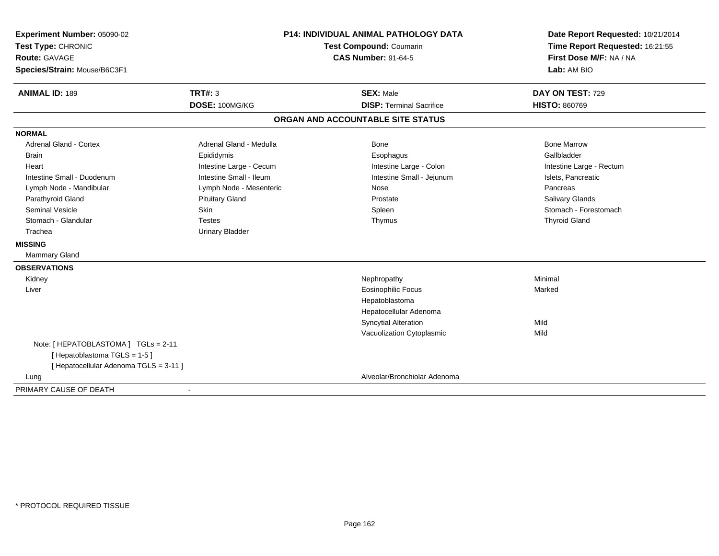| Experiment Number: 05090-02            | <b>P14: INDIVIDUAL ANIMAL PATHOLOGY DATA</b> |                                   | Date Report Requested: 10/21/2014                          |
|----------------------------------------|----------------------------------------------|-----------------------------------|------------------------------------------------------------|
| Test Type: CHRONIC                     |                                              | Test Compound: Coumarin           | Time Report Requested: 16:21:55<br>First Dose M/F: NA / NA |
| Route: GAVAGE                          |                                              | <b>CAS Number: 91-64-5</b>        |                                                            |
| Species/Strain: Mouse/B6C3F1           |                                              |                                   | Lab: AM BIO                                                |
| <b>ANIMAL ID: 189</b>                  | <b>TRT#: 3</b>                               | <b>SEX: Male</b>                  | DAY ON TEST: 729                                           |
|                                        | DOSE: 100MG/KG                               | <b>DISP: Terminal Sacrifice</b>   | <b>HISTO: 860769</b>                                       |
|                                        |                                              | ORGAN AND ACCOUNTABLE SITE STATUS |                                                            |
| <b>NORMAL</b>                          |                                              |                                   |                                                            |
| <b>Adrenal Gland - Cortex</b>          | Adrenal Gland - Medulla                      | Bone                              | <b>Bone Marrow</b>                                         |
| Brain                                  | Epididymis                                   | Esophagus                         | Gallbladder                                                |
| Heart                                  | Intestine Large - Cecum                      | Intestine Large - Colon           | Intestine Large - Rectum                                   |
| Intestine Small - Duodenum             | Intestine Small - Ileum                      | Intestine Small - Jejunum         | Islets, Pancreatic                                         |
| Lymph Node - Mandibular                | Lymph Node - Mesenteric                      | Nose                              | Pancreas                                                   |
| Parathyroid Gland                      | <b>Pituitary Gland</b>                       | Prostate                          | <b>Salivary Glands</b>                                     |
| <b>Seminal Vesicle</b>                 | Skin                                         | Spleen                            | Stomach - Forestomach                                      |
| Stomach - Glandular                    | <b>Testes</b>                                | Thymus                            | <b>Thyroid Gland</b>                                       |
| Trachea                                | <b>Urinary Bladder</b>                       |                                   |                                                            |
| <b>MISSING</b>                         |                                              |                                   |                                                            |
| Mammary Gland                          |                                              |                                   |                                                            |
| <b>OBSERVATIONS</b>                    |                                              |                                   |                                                            |
| Kidney                                 |                                              | Nephropathy                       | Minimal                                                    |
| Liver                                  |                                              | <b>Eosinophilic Focus</b>         | Marked                                                     |
|                                        |                                              | Hepatoblastoma                    |                                                            |
|                                        |                                              | Hepatocellular Adenoma            |                                                            |
|                                        |                                              | <b>Syncytial Alteration</b>       | Mild                                                       |
|                                        |                                              | Vacuolization Cytoplasmic         | Mild                                                       |
| Note: [ HEPATOBLASTOMA ] TGLs = 2-11   |                                              |                                   |                                                            |
| [Hepatoblastoma TGLS = 1-5]            |                                              |                                   |                                                            |
| [ Hepatocellular Adenoma TGLS = 3-11 ] |                                              |                                   |                                                            |
| Lung                                   |                                              | Alveolar/Bronchiolar Adenoma      |                                                            |
| PRIMARY CAUSE OF DEATH                 |                                              |                                   |                                                            |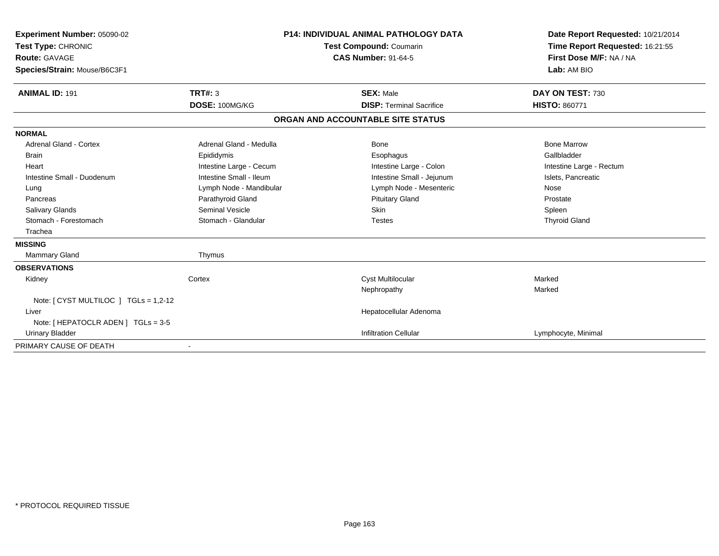| <b>Experiment Number: 05090-02</b><br>Test Type: CHRONIC<br><b>Route: GAVAGE</b><br>Species/Strain: Mouse/B6C3F1 |                         | <b>P14: INDIVIDUAL ANIMAL PATHOLOGY DATA</b><br>Test Compound: Coumarin<br><b>CAS Number: 91-64-5</b> |                                   | Date Report Requested: 10/21/2014<br>Time Report Requested: 16:21:55<br>First Dose M/F: NA / NA<br>Lab: AM BIO |
|------------------------------------------------------------------------------------------------------------------|-------------------------|-------------------------------------------------------------------------------------------------------|-----------------------------------|----------------------------------------------------------------------------------------------------------------|
| <b>ANIMAL ID: 191</b>                                                                                            | <b>TRT#: 3</b>          |                                                                                                       | <b>SEX: Male</b>                  | DAY ON TEST: 730                                                                                               |
|                                                                                                                  | DOSE: 100MG/KG          |                                                                                                       | <b>DISP: Terminal Sacrifice</b>   | <b>HISTO: 860771</b>                                                                                           |
|                                                                                                                  |                         |                                                                                                       | ORGAN AND ACCOUNTABLE SITE STATUS |                                                                                                                |
| <b>NORMAL</b>                                                                                                    |                         |                                                                                                       |                                   |                                                                                                                |
| <b>Adrenal Gland - Cortex</b>                                                                                    | Adrenal Gland - Medulla |                                                                                                       | Bone                              | <b>Bone Marrow</b>                                                                                             |
| <b>Brain</b>                                                                                                     | Epididymis              |                                                                                                       | Esophagus                         | Gallbladder                                                                                                    |
| Heart                                                                                                            | Intestine Large - Cecum |                                                                                                       | Intestine Large - Colon           | Intestine Large - Rectum                                                                                       |
| Intestine Small - Duodenum                                                                                       | Intestine Small - Ileum |                                                                                                       | Intestine Small - Jejunum         | Islets, Pancreatic                                                                                             |
| Lung                                                                                                             | Lymph Node - Mandibular |                                                                                                       | Lymph Node - Mesenteric           | Nose                                                                                                           |
| Pancreas                                                                                                         | Parathyroid Gland       |                                                                                                       | <b>Pituitary Gland</b>            | Prostate                                                                                                       |
| <b>Salivary Glands</b>                                                                                           | Seminal Vesicle         |                                                                                                       | Skin                              | Spleen                                                                                                         |
| Stomach - Forestomach                                                                                            | Stomach - Glandular     |                                                                                                       | <b>Testes</b>                     | <b>Thyroid Gland</b>                                                                                           |
| Trachea                                                                                                          |                         |                                                                                                       |                                   |                                                                                                                |
| <b>MISSING</b>                                                                                                   |                         |                                                                                                       |                                   |                                                                                                                |
| <b>Mammary Gland</b>                                                                                             | Thymus                  |                                                                                                       |                                   |                                                                                                                |
| <b>OBSERVATIONS</b>                                                                                              |                         |                                                                                                       |                                   |                                                                                                                |
| Kidney                                                                                                           | Cortex                  |                                                                                                       | <b>Cyst Multilocular</b>          | Marked                                                                                                         |
|                                                                                                                  |                         |                                                                                                       | Nephropathy                       | Marked                                                                                                         |
| Note: [ CYST MULTILOC ] TGLs = 1,2-12                                                                            |                         |                                                                                                       |                                   |                                                                                                                |
| Liver                                                                                                            |                         |                                                                                                       | Hepatocellular Adenoma            |                                                                                                                |
| Note: [ HEPATOCLR ADEN ] TGLs = 3-5                                                                              |                         |                                                                                                       |                                   |                                                                                                                |
| <b>Urinary Bladder</b>                                                                                           |                         |                                                                                                       | <b>Infiltration Cellular</b>      | Lymphocyte, Minimal                                                                                            |
| PRIMARY CAUSE OF DEATH                                                                                           |                         |                                                                                                       |                                   |                                                                                                                |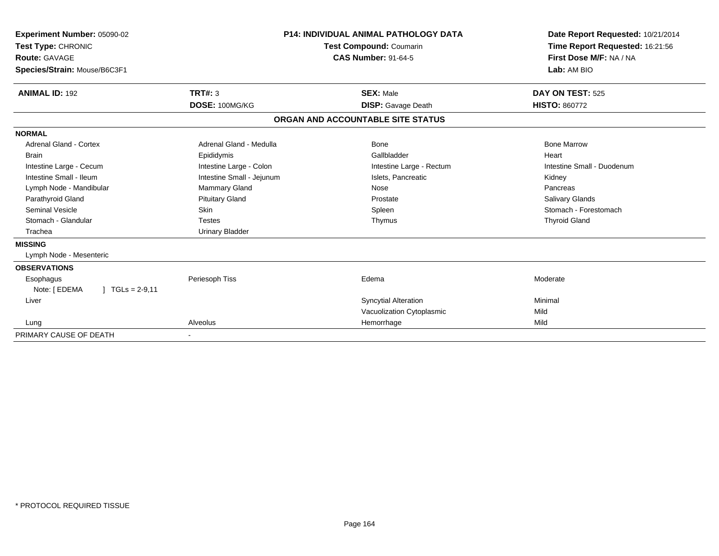| <b>Experiment Number: 05090-02</b><br>Test Type: CHRONIC<br>Route: GAVAGE<br>Species/Strain: Mouse/B6C3F1 | <b>P14: INDIVIDUAL ANIMAL PATHOLOGY DATA</b><br><b>Test Compound: Coumarin</b><br><b>CAS Number: 91-64-5</b> |                                   | Date Report Requested: 10/21/2014<br>Time Report Requested: 16:21:56<br>First Dose M/F: NA / NA<br>Lab: AM BIO |
|-----------------------------------------------------------------------------------------------------------|--------------------------------------------------------------------------------------------------------------|-----------------------------------|----------------------------------------------------------------------------------------------------------------|
| <b>ANIMAL ID: 192</b>                                                                                     | TRT#: 3                                                                                                      | <b>SEX: Male</b>                  | DAY ON TEST: 525                                                                                               |
|                                                                                                           | DOSE: 100MG/KG                                                                                               | <b>DISP:</b> Gavage Death         | <b>HISTO: 860772</b>                                                                                           |
|                                                                                                           |                                                                                                              | ORGAN AND ACCOUNTABLE SITE STATUS |                                                                                                                |
| <b>NORMAL</b>                                                                                             |                                                                                                              |                                   |                                                                                                                |
| Adrenal Gland - Cortex                                                                                    | Adrenal Gland - Medulla                                                                                      | Bone                              | <b>Bone Marrow</b>                                                                                             |
| <b>Brain</b>                                                                                              | Epididymis                                                                                                   | Gallbladder                       | Heart                                                                                                          |
| Intestine Large - Cecum                                                                                   | Intestine Large - Colon                                                                                      | Intestine Large - Rectum          | Intestine Small - Duodenum                                                                                     |
| Intestine Small - Ileum                                                                                   | Intestine Small - Jejunum                                                                                    | Islets, Pancreatic                | Kidney                                                                                                         |
| Lymph Node - Mandibular                                                                                   | Mammary Gland                                                                                                | Nose                              | Pancreas                                                                                                       |
| Parathyroid Gland                                                                                         | <b>Pituitary Gland</b>                                                                                       | Prostate                          | Salivary Glands                                                                                                |
| Seminal Vesicle                                                                                           | <b>Skin</b>                                                                                                  | Spleen                            | Stomach - Forestomach                                                                                          |
| Stomach - Glandular                                                                                       | <b>Testes</b>                                                                                                | Thymus                            | <b>Thyroid Gland</b>                                                                                           |
| Trachea                                                                                                   | <b>Urinary Bladder</b>                                                                                       |                                   |                                                                                                                |
| <b>MISSING</b>                                                                                            |                                                                                                              |                                   |                                                                                                                |
| Lymph Node - Mesenteric                                                                                   |                                                                                                              |                                   |                                                                                                                |
| <b>OBSERVATIONS</b>                                                                                       |                                                                                                              |                                   |                                                                                                                |
| Esophagus                                                                                                 | Periesoph Tiss                                                                                               | Edema                             | Moderate                                                                                                       |
| Note: [ EDEMA<br>$\mid$ TGLs = 2-9,11                                                                     |                                                                                                              |                                   |                                                                                                                |
| Liver                                                                                                     |                                                                                                              | <b>Syncytial Alteration</b>       | Minimal                                                                                                        |
|                                                                                                           |                                                                                                              | Vacuolization Cytoplasmic         | Mild                                                                                                           |
| Lung                                                                                                      | Alveolus                                                                                                     | Hemorrhage                        | Mild                                                                                                           |
| PRIMARY CAUSE OF DEATH                                                                                    |                                                                                                              |                                   |                                                                                                                |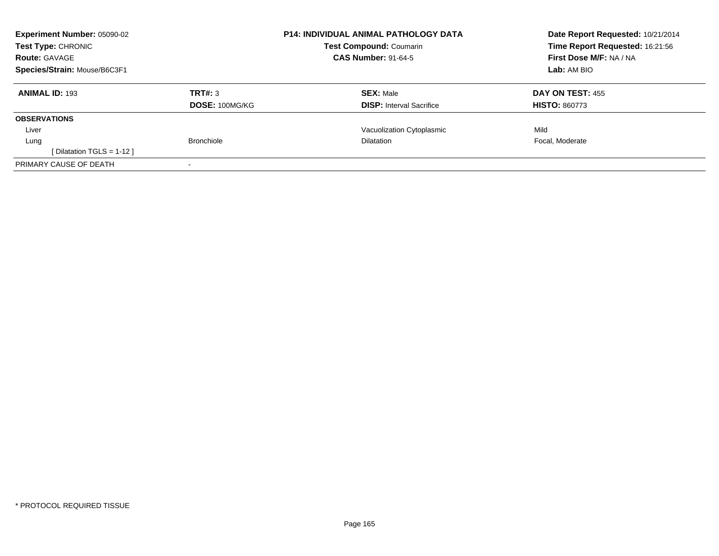| Experiment Number: 05090-02<br><b>Test Type: CHRONIC</b><br><b>Route: GAVAGE</b> |                   | <b>P14: INDIVIDUAL ANIMAL PATHOLOGY DATA</b><br><b>Test Compound: Coumarin</b><br><b>CAS Number: 91-64-5</b> | Date Report Requested: 10/21/2014<br>Time Report Requested: 16:21:56<br>First Dose M/F: NA / NA |
|----------------------------------------------------------------------------------|-------------------|--------------------------------------------------------------------------------------------------------------|-------------------------------------------------------------------------------------------------|
| Species/Strain: Mouse/B6C3F1                                                     |                   |                                                                                                              | Lab: AM BIO                                                                                     |
| <b>ANIMAL ID: 193</b>                                                            | TRT#: 3           | <b>SEX: Male</b>                                                                                             | DAY ON TEST: 455                                                                                |
|                                                                                  | DOSE: 100MG/KG    | <b>DISP:</b> Interval Sacrifice                                                                              | <b>HISTO: 860773</b>                                                                            |
| <b>OBSERVATIONS</b>                                                              |                   |                                                                                                              |                                                                                                 |
| Liver                                                                            |                   | Vacuolization Cytoplasmic                                                                                    | Mild                                                                                            |
| Lung                                                                             | <b>Bronchiole</b> | <b>Dilatation</b>                                                                                            | Focal, Moderate                                                                                 |
| [ Dilatation TGLS = 1-12 ]                                                       |                   |                                                                                                              |                                                                                                 |
| PRIMARY CAUSE OF DEATH                                                           |                   |                                                                                                              |                                                                                                 |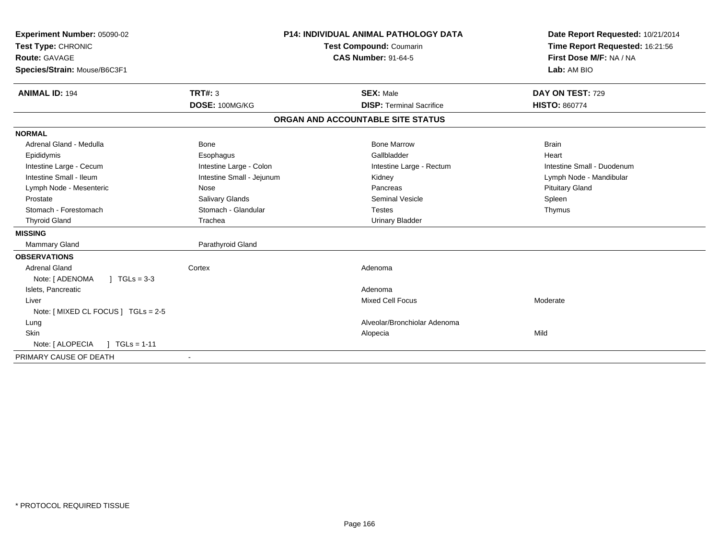| Experiment Number: 05090-02<br>Test Type: CHRONIC<br><b>Route: GAVAGE</b><br>Species/Strain: Mouse/B6C3F1 |                           | <b>P14: INDIVIDUAL ANIMAL PATHOLOGY DATA</b><br>Test Compound: Coumarin<br><b>CAS Number: 91-64-5</b> | Date Report Requested: 10/21/2014<br>Time Report Requested: 16:21:56<br>First Dose M/F: NA / NA<br>Lab: AM BIO |
|-----------------------------------------------------------------------------------------------------------|---------------------------|-------------------------------------------------------------------------------------------------------|----------------------------------------------------------------------------------------------------------------|
| <b>ANIMAL ID: 194</b>                                                                                     | TRT#: 3                   | <b>SEX: Male</b>                                                                                      | DAY ON TEST: 729                                                                                               |
|                                                                                                           | DOSE: 100MG/KG            | <b>DISP: Terminal Sacrifice</b>                                                                       | <b>HISTO: 860774</b>                                                                                           |
|                                                                                                           |                           | ORGAN AND ACCOUNTABLE SITE STATUS                                                                     |                                                                                                                |
| <b>NORMAL</b>                                                                                             |                           |                                                                                                       |                                                                                                                |
| Adrenal Gland - Medulla                                                                                   | Bone                      | <b>Bone Marrow</b>                                                                                    | <b>Brain</b>                                                                                                   |
| Epididymis                                                                                                | Esophagus                 | Gallbladder                                                                                           | Heart                                                                                                          |
| Intestine Large - Cecum                                                                                   | Intestine Large - Colon   | Intestine Large - Rectum                                                                              | Intestine Small - Duodenum                                                                                     |
| Intestine Small - Ileum                                                                                   | Intestine Small - Jejunum | Kidney                                                                                                | Lymph Node - Mandibular                                                                                        |
| Lymph Node - Mesenteric                                                                                   | Nose                      | Pancreas                                                                                              | <b>Pituitary Gland</b>                                                                                         |
| Prostate                                                                                                  | Salivary Glands           | Seminal Vesicle                                                                                       | Spleen                                                                                                         |
| Stomach - Forestomach                                                                                     | Stomach - Glandular       | <b>Testes</b>                                                                                         | Thymus                                                                                                         |
| <b>Thyroid Gland</b>                                                                                      | Trachea                   | <b>Urinary Bladder</b>                                                                                |                                                                                                                |
| <b>MISSING</b>                                                                                            |                           |                                                                                                       |                                                                                                                |
| <b>Mammary Gland</b>                                                                                      | Parathyroid Gland         |                                                                                                       |                                                                                                                |
| <b>OBSERVATIONS</b>                                                                                       |                           |                                                                                                       |                                                                                                                |
| <b>Adrenal Gland</b>                                                                                      | Cortex                    | Adenoma                                                                                               |                                                                                                                |
| $\vert$ TGLs = 3-3<br>Note: [ ADENOMA                                                                     |                           |                                                                                                       |                                                                                                                |
| Islets, Pancreatic                                                                                        |                           | Adenoma                                                                                               |                                                                                                                |
| Liver                                                                                                     |                           | <b>Mixed Cell Focus</b>                                                                               | Moderate                                                                                                       |
| Note: [ MIXED CL FOCUS ] TGLs = 2-5                                                                       |                           |                                                                                                       |                                                                                                                |
| Lung                                                                                                      |                           | Alveolar/Bronchiolar Adenoma                                                                          |                                                                                                                |
| Skin                                                                                                      |                           | Alopecia                                                                                              | Mild                                                                                                           |
| Note: [ ALOPECIA<br>$1 TGLs = 1-11$                                                                       |                           |                                                                                                       |                                                                                                                |
| PRIMARY CAUSE OF DEATH                                                                                    |                           |                                                                                                       |                                                                                                                |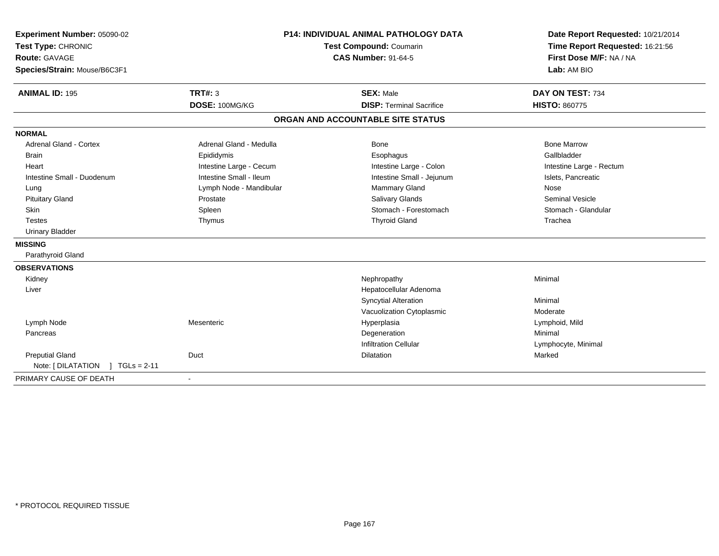| Experiment Number: 05090-02                              | P14: INDIVIDUAL ANIMAL PATHOLOGY DATA | Date Report Requested: 10/21/2014 |
|----------------------------------------------------------|---------------------------------------|-----------------------------------|
| Test Type: CHRONIC                                       | Test Compound: Coumarin               | Time Report Requested: 16:21:56   |
| Route: GAVAGE                                            | <b>CAS Number: 91-64-5</b>            | First Dose M/F: NA / NA           |
| Species/Strain: Mouse/B6C3F1                             |                                       | Lab: AM BIO                       |
| TRT#: 3<br><b>ANIMAL ID: 195</b>                         | <b>SEX: Male</b>                      | DAY ON TEST: 734                  |
| DOSE: 100MG/KG                                           | <b>DISP: Terminal Sacrifice</b>       | <b>HISTO: 860775</b>              |
|                                                          | ORGAN AND ACCOUNTABLE SITE STATUS     |                                   |
| <b>NORMAL</b>                                            |                                       |                                   |
| <b>Adrenal Gland - Cortex</b><br>Adrenal Gland - Medulla | Bone                                  | <b>Bone Marrow</b>                |
| Epididymis<br>Brain                                      | Esophagus                             | Gallbladder                       |
| Intestine Large - Cecum<br>Heart                         | Intestine Large - Colon               | Intestine Large - Rectum          |
| Intestine Small - Ileum<br>Intestine Small - Duodenum    | Intestine Small - Jejunum             | Islets, Pancreatic                |
| Lymph Node - Mandibular<br>Lung                          | Mammary Gland                         | Nose                              |
| <b>Pituitary Gland</b><br>Prostate                       | Salivary Glands                       | <b>Seminal Vesicle</b>            |
| Skin<br>Spleen                                           | Stomach - Forestomach                 | Stomach - Glandular               |
| <b>Testes</b><br>Thymus                                  | <b>Thyroid Gland</b>                  | Trachea                           |
| <b>Urinary Bladder</b>                                   |                                       |                                   |
| <b>MISSING</b>                                           |                                       |                                   |
| Parathyroid Gland                                        |                                       |                                   |
| <b>OBSERVATIONS</b>                                      |                                       |                                   |
| Kidney                                                   | Nephropathy                           | Minimal                           |
| Liver                                                    | Hepatocellular Adenoma                |                                   |
|                                                          | <b>Syncytial Alteration</b>           | Minimal                           |
|                                                          | Vacuolization Cytoplasmic             | Moderate                          |
| Lymph Node<br>Mesenteric                                 | Hyperplasia                           | Lymphoid, Mild                    |
| Pancreas                                                 | Degeneration                          | Minimal                           |
|                                                          | <b>Infiltration Cellular</b>          | Lymphocyte, Minimal               |
| <b>Preputial Gland</b><br>Duct                           | <b>Dilatation</b>                     | Marked                            |
| Note: [ DILATATION<br>$1 TGLs = 2-11$                    |                                       |                                   |
| PRIMARY CAUSE OF DEATH                                   |                                       |                                   |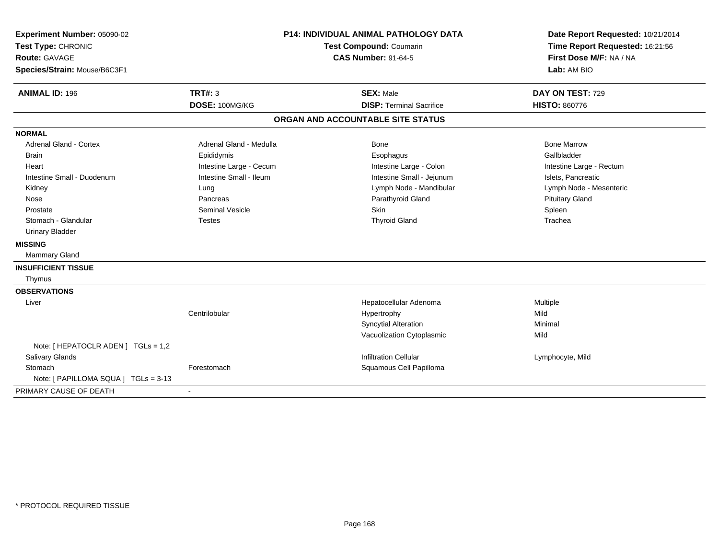| Experiment Number: 05090-02<br>Test Type: CHRONIC<br>Route: GAVAGE<br>Species/Strain: Mouse/B6C3F1 | <b>P14: INDIVIDUAL ANIMAL PATHOLOGY DATA</b><br><b>Test Compound: Coumarin</b><br><b>CAS Number: 91-64-5</b> |                                                     | Date Report Requested: 10/21/2014<br>Time Report Requested: 16:21:56<br>First Dose M/F: NA / NA<br>Lab: AM BIO |  |
|----------------------------------------------------------------------------------------------------|--------------------------------------------------------------------------------------------------------------|-----------------------------------------------------|----------------------------------------------------------------------------------------------------------------|--|
| <b>ANIMAL ID: 196</b>                                                                              | <b>TRT#: 3</b><br>DOSE: 100MG/KG                                                                             | <b>SEX: Male</b><br><b>DISP: Terminal Sacrifice</b> | DAY ON TEST: 729<br><b>HISTO: 860776</b>                                                                       |  |
|                                                                                                    |                                                                                                              | ORGAN AND ACCOUNTABLE SITE STATUS                   |                                                                                                                |  |
|                                                                                                    |                                                                                                              |                                                     |                                                                                                                |  |
| <b>NORMAL</b>                                                                                      |                                                                                                              |                                                     |                                                                                                                |  |
| <b>Adrenal Gland - Cortex</b>                                                                      | Adrenal Gland - Medulla                                                                                      | <b>Bone</b>                                         | <b>Bone Marrow</b>                                                                                             |  |
| <b>Brain</b>                                                                                       | Epididymis                                                                                                   | Esophagus                                           | Gallbladder                                                                                                    |  |
| Heart                                                                                              | Intestine Large - Cecum                                                                                      | Intestine Large - Colon                             | Intestine Large - Rectum                                                                                       |  |
| Intestine Small - Duodenum                                                                         | Intestine Small - Ileum                                                                                      | Intestine Small - Jejunum                           | Islets, Pancreatic                                                                                             |  |
| Kidney                                                                                             | Lung                                                                                                         | Lymph Node - Mandibular                             | Lymph Node - Mesenteric                                                                                        |  |
| Nose                                                                                               | Pancreas                                                                                                     | Parathyroid Gland                                   | <b>Pituitary Gland</b>                                                                                         |  |
| Prostate                                                                                           | <b>Seminal Vesicle</b>                                                                                       | Skin                                                | Spleen                                                                                                         |  |
| Stomach - Glandular                                                                                | <b>Testes</b>                                                                                                | <b>Thyroid Gland</b>                                | Trachea                                                                                                        |  |
| <b>Urinary Bladder</b>                                                                             |                                                                                                              |                                                     |                                                                                                                |  |
| <b>MISSING</b>                                                                                     |                                                                                                              |                                                     |                                                                                                                |  |
| Mammary Gland                                                                                      |                                                                                                              |                                                     |                                                                                                                |  |
| <b>INSUFFICIENT TISSUE</b>                                                                         |                                                                                                              |                                                     |                                                                                                                |  |
| Thymus                                                                                             |                                                                                                              |                                                     |                                                                                                                |  |
| <b>OBSERVATIONS</b>                                                                                |                                                                                                              |                                                     |                                                                                                                |  |
| Liver                                                                                              |                                                                                                              | Hepatocellular Adenoma                              | Multiple                                                                                                       |  |
|                                                                                                    | Centrilobular                                                                                                | Hypertrophy                                         | Mild                                                                                                           |  |
|                                                                                                    |                                                                                                              | <b>Syncytial Alteration</b>                         | Minimal                                                                                                        |  |
|                                                                                                    |                                                                                                              | Vacuolization Cytoplasmic                           | Mild                                                                                                           |  |
| Note: [ HEPATOCLR ADEN ] TGLs = 1,2                                                                |                                                                                                              |                                                     |                                                                                                                |  |
| Salivary Glands                                                                                    |                                                                                                              | <b>Infiltration Cellular</b>                        | Lymphocyte, Mild                                                                                               |  |
| Stomach                                                                                            | Forestomach                                                                                                  | Squamous Cell Papilloma                             |                                                                                                                |  |
| Note: [ PAPILLOMA SQUA ] TGLs = 3-13                                                               |                                                                                                              |                                                     |                                                                                                                |  |
| PRIMARY CAUSE OF DEATH                                                                             | $\blacksquare$                                                                                               |                                                     |                                                                                                                |  |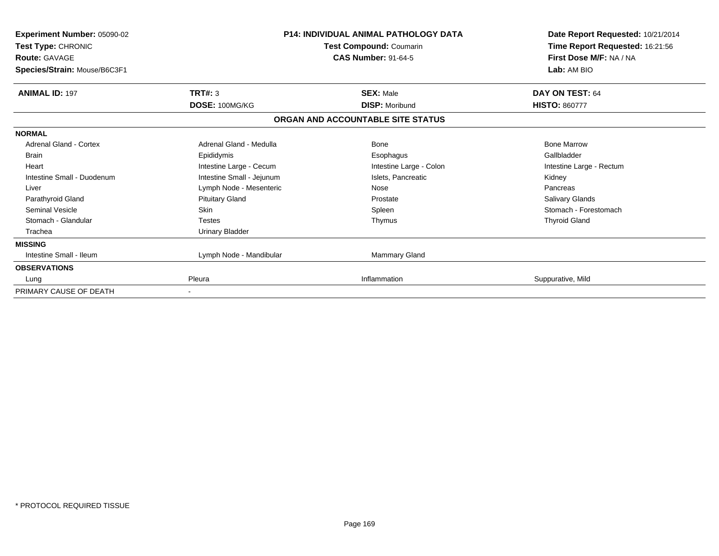| <b>Experiment Number: 05090-02</b><br>Test Type: CHRONIC<br><b>Route: GAVAGE</b><br>Species/Strain: Mouse/B6C3F1 |                           | <b>P14: INDIVIDUAL ANIMAL PATHOLOGY DATA</b><br>Test Compound: Coumarin<br><b>CAS Number: 91-64-5</b> | Date Report Requested: 10/21/2014<br>Time Report Requested: 16:21:56<br>First Dose M/F: NA / NA<br>Lab: AM BIO |
|------------------------------------------------------------------------------------------------------------------|---------------------------|-------------------------------------------------------------------------------------------------------|----------------------------------------------------------------------------------------------------------------|
| <b>ANIMAL ID: 197</b>                                                                                            | TRT#: 3<br>DOSE: 100MG/KG | <b>SEX: Male</b><br><b>DISP: Moribund</b>                                                             | DAY ON TEST: 64<br><b>HISTO: 860777</b>                                                                        |
|                                                                                                                  |                           | ORGAN AND ACCOUNTABLE SITE STATUS                                                                     |                                                                                                                |
| <b>NORMAL</b>                                                                                                    |                           |                                                                                                       |                                                                                                                |
| Adrenal Gland - Cortex                                                                                           | Adrenal Gland - Medulla   | Bone                                                                                                  | <b>Bone Marrow</b>                                                                                             |
| Brain                                                                                                            | Epididymis                | Esophagus                                                                                             | Gallbladder                                                                                                    |
| Heart                                                                                                            | Intestine Large - Cecum   | Intestine Large - Colon                                                                               | Intestine Large - Rectum                                                                                       |
| Intestine Small - Duodenum                                                                                       | Intestine Small - Jejunum | Islets, Pancreatic                                                                                    | Kidney                                                                                                         |
| Liver                                                                                                            | Lymph Node - Mesenteric   | Nose                                                                                                  | Pancreas                                                                                                       |
| Parathyroid Gland                                                                                                | <b>Pituitary Gland</b>    | Prostate                                                                                              | Salivary Glands                                                                                                |
| <b>Seminal Vesicle</b>                                                                                           | Skin                      | Spleen                                                                                                | Stomach - Forestomach                                                                                          |
| Stomach - Glandular                                                                                              | <b>Testes</b>             | Thymus                                                                                                | <b>Thyroid Gland</b>                                                                                           |
| Trachea                                                                                                          | Urinary Bladder           |                                                                                                       |                                                                                                                |
| <b>MISSING</b>                                                                                                   |                           |                                                                                                       |                                                                                                                |
| Intestine Small - Ileum                                                                                          | Lymph Node - Mandibular   | Mammary Gland                                                                                         |                                                                                                                |
| <b>OBSERVATIONS</b>                                                                                              |                           |                                                                                                       |                                                                                                                |
| Lung                                                                                                             | Pleura                    | Inflammation                                                                                          | Suppurative, Mild                                                                                              |
| PRIMARY CAUSE OF DEATH                                                                                           |                           |                                                                                                       |                                                                                                                |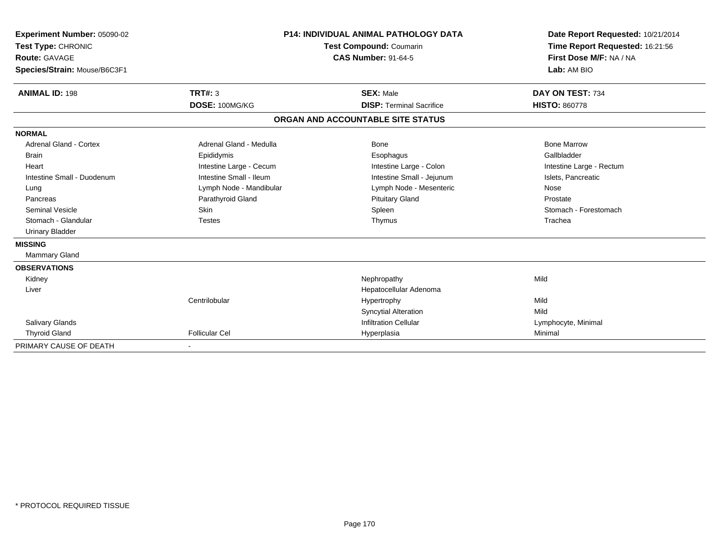| Experiment Number: 05090-02<br>Test Type: CHRONIC<br><b>Route: GAVAGE</b><br>Species/Strain: Mouse/B6C3F1<br><b>ANIMAL ID: 198</b> | <b>TRT#: 3</b><br>DOSE: 100MG/KG | <b>P14: INDIVIDUAL ANIMAL PATHOLOGY DATA</b><br><b>Test Compound: Coumarin</b><br><b>CAS Number: 91-64-5</b><br><b>SEX: Male</b><br><b>DISP: Terminal Sacrifice</b> | Date Report Requested: 10/21/2014<br>Time Report Requested: 16:21:56<br>First Dose M/F: NA / NA<br>Lab: AM BIO<br>DAY ON TEST: 734<br><b>HISTO: 860778</b> |
|------------------------------------------------------------------------------------------------------------------------------------|----------------------------------|---------------------------------------------------------------------------------------------------------------------------------------------------------------------|------------------------------------------------------------------------------------------------------------------------------------------------------------|
|                                                                                                                                    |                                  | ORGAN AND ACCOUNTABLE SITE STATUS                                                                                                                                   |                                                                                                                                                            |
| <b>NORMAL</b>                                                                                                                      |                                  |                                                                                                                                                                     |                                                                                                                                                            |
| <b>Adrenal Gland - Cortex</b>                                                                                                      | Adrenal Gland - Medulla          | Bone                                                                                                                                                                | <b>Bone Marrow</b>                                                                                                                                         |
| Brain                                                                                                                              | Epididymis                       | Esophagus                                                                                                                                                           | Gallbladder                                                                                                                                                |
| Heart                                                                                                                              | Intestine Large - Cecum          | Intestine Large - Colon                                                                                                                                             | Intestine Large - Rectum                                                                                                                                   |
| Intestine Small - Duodenum                                                                                                         | Intestine Small - Ileum          | Intestine Small - Jejunum                                                                                                                                           | Islets, Pancreatic                                                                                                                                         |
| Lung                                                                                                                               | Lymph Node - Mandibular          | Lymph Node - Mesenteric                                                                                                                                             | Nose                                                                                                                                                       |
| Pancreas                                                                                                                           | Parathyroid Gland                | <b>Pituitary Gland</b>                                                                                                                                              | Prostate                                                                                                                                                   |
| <b>Seminal Vesicle</b>                                                                                                             | Skin                             | Spleen                                                                                                                                                              | Stomach - Forestomach                                                                                                                                      |
| Stomach - Glandular                                                                                                                | <b>Testes</b>                    | Thymus                                                                                                                                                              | Trachea                                                                                                                                                    |
| <b>Urinary Bladder</b>                                                                                                             |                                  |                                                                                                                                                                     |                                                                                                                                                            |
| <b>MISSING</b>                                                                                                                     |                                  |                                                                                                                                                                     |                                                                                                                                                            |
| Mammary Gland                                                                                                                      |                                  |                                                                                                                                                                     |                                                                                                                                                            |
| <b>OBSERVATIONS</b>                                                                                                                |                                  |                                                                                                                                                                     |                                                                                                                                                            |
| Kidney                                                                                                                             |                                  | Nephropathy                                                                                                                                                         | Mild                                                                                                                                                       |
| Liver                                                                                                                              |                                  | Hepatocellular Adenoma                                                                                                                                              |                                                                                                                                                            |
|                                                                                                                                    | Centrilobular                    | Hypertrophy                                                                                                                                                         | Mild                                                                                                                                                       |
|                                                                                                                                    |                                  | <b>Syncytial Alteration</b>                                                                                                                                         | Mild                                                                                                                                                       |
| <b>Salivary Glands</b>                                                                                                             |                                  | <b>Infiltration Cellular</b>                                                                                                                                        | Lymphocyte, Minimal                                                                                                                                        |
| <b>Thyroid Gland</b>                                                                                                               | <b>Follicular Cel</b>            | Hyperplasia                                                                                                                                                         | Minimal                                                                                                                                                    |
| PRIMARY CAUSE OF DEATH                                                                                                             |                                  |                                                                                                                                                                     |                                                                                                                                                            |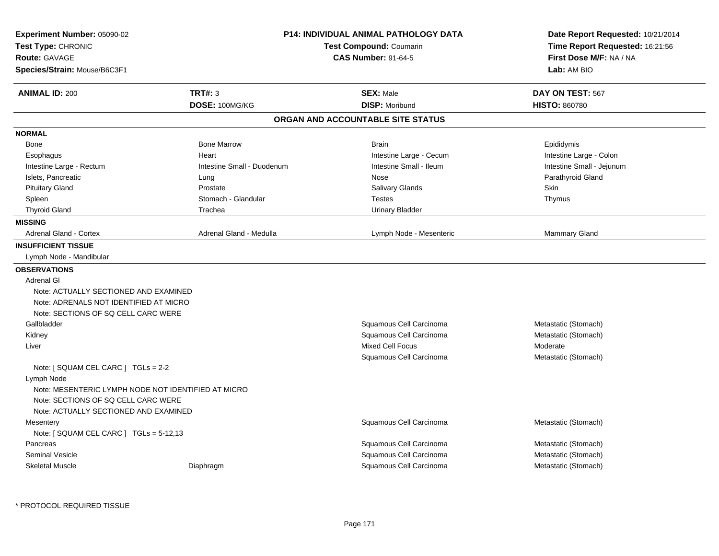| Experiment Number: 05090-02<br>Test Type: CHRONIC<br><b>Route: GAVAGE</b><br>Species/Strain: Mouse/B6C3F1 |                            | <b>P14: INDIVIDUAL ANIMAL PATHOLOGY DATA</b><br>Test Compound: Coumarin<br><b>CAS Number: 91-64-5</b> |                           |
|-----------------------------------------------------------------------------------------------------------|----------------------------|-------------------------------------------------------------------------------------------------------|---------------------------|
| <b>ANIMAL ID: 200</b>                                                                                     | <b>TRT#: 3</b>             | <b>SEX: Male</b>                                                                                      | DAY ON TEST: 567          |
|                                                                                                           | DOSE: 100MG/KG             | <b>DISP: Moribund</b><br>ORGAN AND ACCOUNTABLE SITE STATUS                                            | <b>HISTO: 860780</b>      |
|                                                                                                           |                            |                                                                                                       |                           |
| <b>NORMAL</b>                                                                                             |                            |                                                                                                       |                           |
| Bone                                                                                                      | <b>Bone Marrow</b>         | <b>Brain</b>                                                                                          | Epididymis                |
| Esophagus                                                                                                 | Heart                      | Intestine Large - Cecum                                                                               | Intestine Large - Colon   |
| Intestine Large - Rectum                                                                                  | Intestine Small - Duodenum | Intestine Small - Ileum                                                                               | Intestine Small - Jejunum |
| Islets, Pancreatic                                                                                        | Lung                       | Nose                                                                                                  | Parathyroid Gland<br>Skin |
| <b>Pituitary Gland</b>                                                                                    | Prostate                   | Salivary Glands                                                                                       |                           |
| Spleen                                                                                                    | Stomach - Glandular        | <b>Testes</b>                                                                                         | Thymus                    |
| <b>Thyroid Gland</b>                                                                                      | Trachea                    | <b>Urinary Bladder</b>                                                                                |                           |
| <b>MISSING</b>                                                                                            |                            |                                                                                                       |                           |
| <b>Adrenal Gland - Cortex</b>                                                                             | Adrenal Gland - Medulla    | Lymph Node - Mesenteric                                                                               | <b>Mammary Gland</b>      |
| <b>INSUFFICIENT TISSUE</b>                                                                                |                            |                                                                                                       |                           |
| Lymph Node - Mandibular                                                                                   |                            |                                                                                                       |                           |
| <b>OBSERVATIONS</b>                                                                                       |                            |                                                                                                       |                           |
| <b>Adrenal GI</b>                                                                                         |                            |                                                                                                       |                           |
| Note: ACTUALLY SECTIONED AND EXAMINED                                                                     |                            |                                                                                                       |                           |
| Note: ADRENALS NOT IDENTIFIED AT MICRO                                                                    |                            |                                                                                                       |                           |
| Note: SECTIONS OF SQ CELL CARC WERE                                                                       |                            |                                                                                                       |                           |
| Gallbladder                                                                                               |                            | Squamous Cell Carcinoma                                                                               | Metastatic (Stomach)      |
| Kidney                                                                                                    |                            | Squamous Cell Carcinoma                                                                               | Metastatic (Stomach)      |
| Liver                                                                                                     |                            | <b>Mixed Cell Focus</b>                                                                               | Moderate                  |
|                                                                                                           |                            | Squamous Cell Carcinoma                                                                               | Metastatic (Stomach)      |
| Note: [ SQUAM CEL CARC ] TGLs = 2-2                                                                       |                            |                                                                                                       |                           |
| Lymph Node                                                                                                |                            |                                                                                                       |                           |
| Note: MESENTERIC LYMPH NODE NOT IDENTIFIED AT MICRO                                                       |                            |                                                                                                       |                           |
| Note: SECTIONS OF SQ CELL CARC WERE                                                                       |                            |                                                                                                       |                           |
| Note: ACTUALLY SECTIONED AND EXAMINED                                                                     |                            |                                                                                                       |                           |
| Mesentery                                                                                                 |                            | Squamous Cell Carcinoma                                                                               | Metastatic (Stomach)      |
| Note: $[$ SQUAM CEL CARC $]$ TGLs = 5-12,13                                                               |                            |                                                                                                       |                           |
| Pancreas                                                                                                  |                            | Squamous Cell Carcinoma                                                                               | Metastatic (Stomach)      |
| <b>Seminal Vesicle</b>                                                                                    |                            | Squamous Cell Carcinoma                                                                               | Metastatic (Stomach)      |
| <b>Skeletal Muscle</b>                                                                                    | Diaphragm                  | Squamous Cell Carcinoma                                                                               | Metastatic (Stomach)      |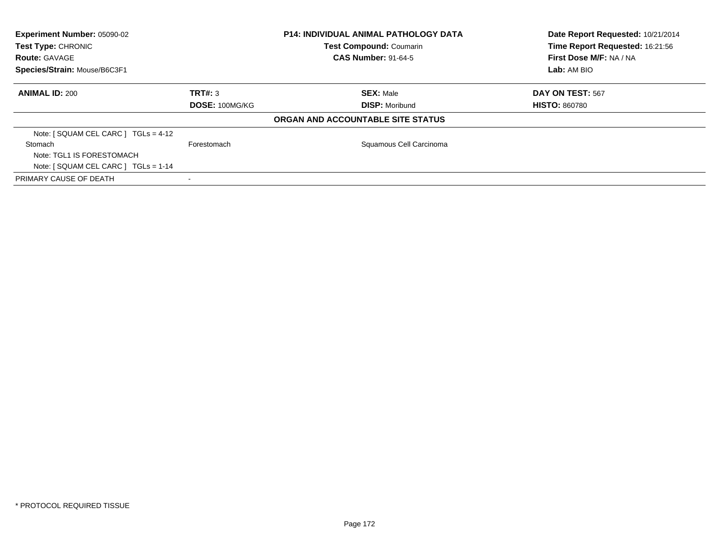| Experiment Number: 05090-02<br>Test Type: CHRONIC |                       | <b>P14: INDIVIDUAL ANIMAL PATHOLOGY DATA</b> | Date Report Requested: 10/21/2014 |
|---------------------------------------------------|-----------------------|----------------------------------------------|-----------------------------------|
|                                                   |                       | Test Compound: Coumarin                      | Time Report Requested: 16:21:56   |
| <b>Route: GAVAGE</b>                              |                       | <b>CAS Number: 91-64-5</b>                   | First Dose M/F: NA / NA           |
| Species/Strain: Mouse/B6C3F1                      |                       |                                              | <b>Lab:</b> AM BIO                |
| <b>ANIMAL ID: 200</b>                             | TRT#: 3               | <b>SEX: Male</b>                             | DAY ON TEST: 567                  |
|                                                   | <b>DOSE: 100MG/KG</b> | <b>DISP: Moribund</b>                        | <b>HISTO: 860780</b>              |
|                                                   |                       | ORGAN AND ACCOUNTABLE SITE STATUS            |                                   |
| Note: $[$ SQUAM CEL CARC $]$ TGLs = 4-12          |                       |                                              |                                   |
| Stomach                                           | Forestomach           | Squamous Cell Carcinoma                      |                                   |
| Note: TGL1 IS FORESTOMACH                         |                       |                                              |                                   |
| Note: $[$ SQUAM CEL CARC $]$ TGLs = 1-14          |                       |                                              |                                   |
| PRIMARY CAUSE OF DEATH                            |                       |                                              |                                   |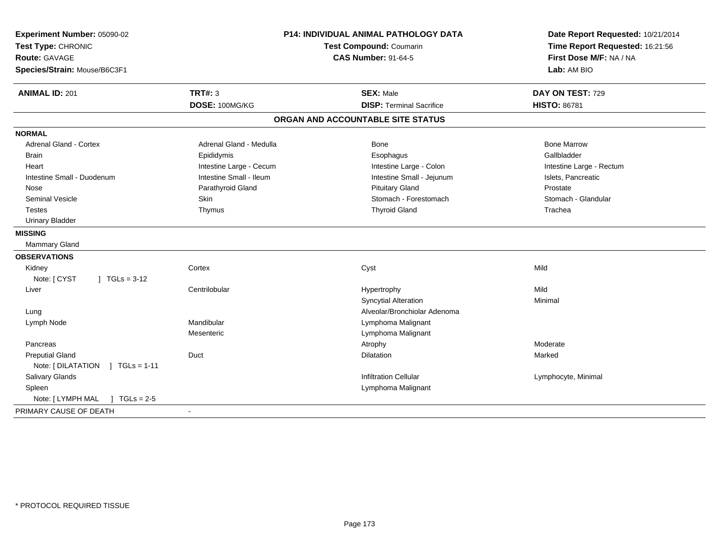| Experiment Number: 05090-02<br>Test Type: CHRONIC<br><b>Route: GAVAGE</b><br>Species/Strain: Mouse/B6C3F1 |                         | <b>P14: INDIVIDUAL ANIMAL PATHOLOGY DATA</b><br>Test Compound: Coumarin<br><b>CAS Number: 91-64-5</b> | Date Report Requested: 10/21/2014<br>Time Report Requested: 16:21:56<br>First Dose M/F: NA / NA<br>Lab: AM BIO |
|-----------------------------------------------------------------------------------------------------------|-------------------------|-------------------------------------------------------------------------------------------------------|----------------------------------------------------------------------------------------------------------------|
| <b>ANIMAL ID: 201</b>                                                                                     | <b>TRT#: 3</b>          | <b>SEX: Male</b>                                                                                      | DAY ON TEST: 729                                                                                               |
|                                                                                                           | DOSE: 100MG/KG          | <b>DISP: Terminal Sacrifice</b>                                                                       | <b>HISTO: 86781</b>                                                                                            |
|                                                                                                           |                         | ORGAN AND ACCOUNTABLE SITE STATUS                                                                     |                                                                                                                |
| <b>NORMAL</b>                                                                                             |                         |                                                                                                       |                                                                                                                |
| <b>Adrenal Gland - Cortex</b>                                                                             | Adrenal Gland - Medulla | <b>Bone</b>                                                                                           | <b>Bone Marrow</b>                                                                                             |
| <b>Brain</b>                                                                                              | Epididymis              | Esophagus                                                                                             | Gallbladder                                                                                                    |
| Heart                                                                                                     | Intestine Large - Cecum | Intestine Large - Colon                                                                               | Intestine Large - Rectum                                                                                       |
| Intestine Small - Duodenum                                                                                | Intestine Small - Ileum | Intestine Small - Jejunum                                                                             | Islets, Pancreatic                                                                                             |
| Nose                                                                                                      | Parathyroid Gland       | <b>Pituitary Gland</b>                                                                                | Prostate                                                                                                       |
| <b>Seminal Vesicle</b>                                                                                    | Skin                    | Stomach - Forestomach                                                                                 | Stomach - Glandular                                                                                            |
| <b>Testes</b>                                                                                             | Thymus                  | <b>Thyroid Gland</b>                                                                                  | Trachea                                                                                                        |
| <b>Urinary Bladder</b>                                                                                    |                         |                                                                                                       |                                                                                                                |
| <b>MISSING</b>                                                                                            |                         |                                                                                                       |                                                                                                                |
| Mammary Gland                                                                                             |                         |                                                                                                       |                                                                                                                |
| <b>OBSERVATIONS</b>                                                                                       |                         |                                                                                                       |                                                                                                                |
| Kidney                                                                                                    | Cortex                  | Cyst                                                                                                  | Mild                                                                                                           |
| Note: [ CYST<br>$1 TGLs = 3-12$                                                                           |                         |                                                                                                       |                                                                                                                |
| Liver                                                                                                     | Centrilobular           | Hypertrophy                                                                                           | Mild                                                                                                           |
|                                                                                                           |                         | <b>Syncytial Alteration</b>                                                                           | Minimal                                                                                                        |
| Lung                                                                                                      |                         | Alveolar/Bronchiolar Adenoma                                                                          |                                                                                                                |
| Lymph Node                                                                                                | Mandibular              | Lymphoma Malignant                                                                                    |                                                                                                                |
|                                                                                                           | Mesenteric              | Lymphoma Malignant                                                                                    |                                                                                                                |
| Pancreas                                                                                                  |                         | Atrophy                                                                                               | Moderate                                                                                                       |
| <b>Preputial Gland</b>                                                                                    | Duct                    | <b>Dilatation</b>                                                                                     | Marked                                                                                                         |
| Note: [DILATATION ] TGLs = 1-11                                                                           |                         |                                                                                                       |                                                                                                                |
| Salivary Glands                                                                                           |                         | <b>Infiltration Cellular</b>                                                                          | Lymphocyte, Minimal                                                                                            |
| Spleen                                                                                                    |                         | Lymphoma Malignant                                                                                    |                                                                                                                |
| Note: [ LYMPH MAL<br>$\int$ TGLs = 2-5                                                                    |                         |                                                                                                       |                                                                                                                |
| PRIMARY CAUSE OF DEATH                                                                                    | $\sim$                  |                                                                                                       |                                                                                                                |
|                                                                                                           |                         |                                                                                                       |                                                                                                                |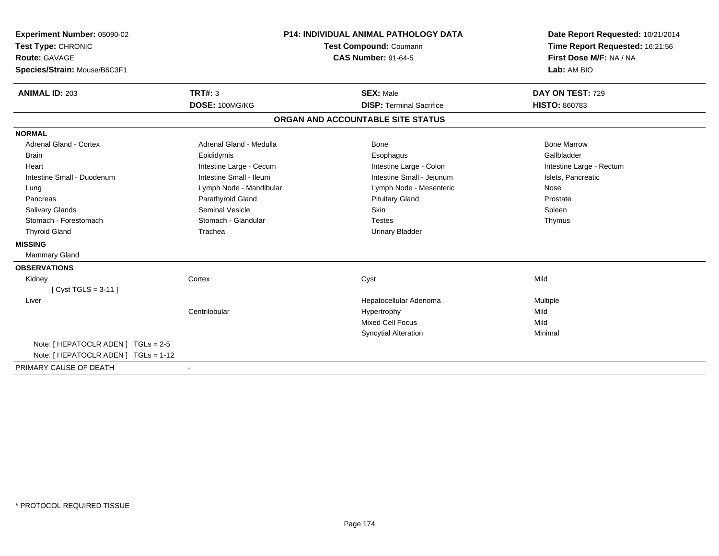| Experiment Number: 05090-02<br>Test Type: CHRONIC<br><b>Route: GAVAGE</b><br>Species/Strain: Mouse/B6C3F1 |                                  | <b>P14: INDIVIDUAL ANIMAL PATHOLOGY DATA</b><br><b>Test Compound: Coumarin</b><br><b>CAS Number: 91-64-5</b> | Date Report Requested: 10/21/2014<br>Time Report Requested: 16:21:56<br>First Dose M/F: NA / NA<br>Lab: AM BIO |
|-----------------------------------------------------------------------------------------------------------|----------------------------------|--------------------------------------------------------------------------------------------------------------|----------------------------------------------------------------------------------------------------------------|
| <b>ANIMAL ID: 203</b>                                                                                     | <b>TRT#: 3</b><br>DOSE: 100MG/KG | <b>SEX: Male</b><br><b>DISP: Terminal Sacrifice</b>                                                          | DAY ON TEST: 729<br><b>HISTO: 860783</b>                                                                       |
|                                                                                                           |                                  | ORGAN AND ACCOUNTABLE SITE STATUS                                                                            |                                                                                                                |
| <b>NORMAL</b>                                                                                             |                                  |                                                                                                              |                                                                                                                |
| Adrenal Gland - Cortex                                                                                    | Adrenal Gland - Medulla          | Bone                                                                                                         | <b>Bone Marrow</b>                                                                                             |
| <b>Brain</b>                                                                                              | Epididymis                       | Esophagus                                                                                                    | Gallbladder                                                                                                    |
| Heart                                                                                                     | Intestine Large - Cecum          | Intestine Large - Colon                                                                                      | Intestine Large - Rectum                                                                                       |
| Intestine Small - Duodenum                                                                                | Intestine Small - Ileum          | Intestine Small - Jejunum                                                                                    | Islets, Pancreatic                                                                                             |
| Lung                                                                                                      | Lymph Node - Mandibular          | Lymph Node - Mesenteric                                                                                      | Nose                                                                                                           |
| Pancreas                                                                                                  | Parathyroid Gland                | <b>Pituitary Gland</b>                                                                                       | Prostate                                                                                                       |
| Salivary Glands                                                                                           | <b>Seminal Vesicle</b>           | <b>Skin</b>                                                                                                  | Spleen                                                                                                         |
| Stomach - Forestomach                                                                                     | Stomach - Glandular              | <b>Testes</b>                                                                                                | Thymus                                                                                                         |
| <b>Thyroid Gland</b>                                                                                      | Trachea                          | <b>Urinary Bladder</b>                                                                                       |                                                                                                                |
| <b>MISSING</b>                                                                                            |                                  |                                                                                                              |                                                                                                                |
| <b>Mammary Gland</b>                                                                                      |                                  |                                                                                                              |                                                                                                                |
| <b>OBSERVATIONS</b>                                                                                       |                                  |                                                                                                              |                                                                                                                |
| Kidney                                                                                                    | Cortex                           | Cyst                                                                                                         | Mild                                                                                                           |
| [Cyst TGLS = $3-11$ ]                                                                                     |                                  |                                                                                                              |                                                                                                                |
| Liver                                                                                                     |                                  | Hepatocellular Adenoma                                                                                       | Multiple                                                                                                       |
|                                                                                                           | Centrilobular                    | Hypertrophy                                                                                                  | Mild                                                                                                           |
|                                                                                                           |                                  | <b>Mixed Cell Focus</b>                                                                                      | Mild                                                                                                           |
|                                                                                                           |                                  | <b>Syncytial Alteration</b>                                                                                  | Minimal                                                                                                        |
| Note: [ HEPATOCLR ADEN ] TGLs = 2-5<br>Note: [ HEPATOCLR ADEN ] TGLs = 1-12                               |                                  |                                                                                                              |                                                                                                                |
| PRIMARY CAUSE OF DEATH                                                                                    |                                  |                                                                                                              |                                                                                                                |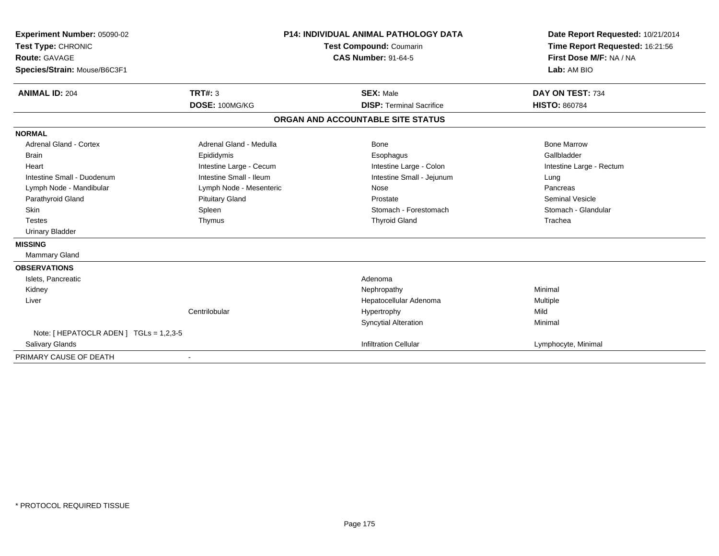| Experiment Number: 05090-02             |                                                              | <b>P14: INDIVIDUAL ANIMAL PATHOLOGY DATA</b> | Date Report Requested: 10/21/2014 |
|-----------------------------------------|--------------------------------------------------------------|----------------------------------------------|-----------------------------------|
| Test Type: CHRONIC                      | <b>Test Compound: Coumarin</b><br><b>CAS Number: 91-64-5</b> |                                              | Time Report Requested: 16:21:56   |
| <b>Route: GAVAGE</b>                    |                                                              |                                              | First Dose M/F: NA / NA           |
| Species/Strain: Mouse/B6C3F1            |                                                              |                                              | Lab: AM BIO                       |
| <b>ANIMAL ID: 204</b>                   | TRT#: 3                                                      | <b>SEX: Male</b>                             | DAY ON TEST: 734                  |
|                                         | DOSE: 100MG/KG                                               | <b>DISP: Terminal Sacrifice</b>              | <b>HISTO: 860784</b>              |
|                                         |                                                              | ORGAN AND ACCOUNTABLE SITE STATUS            |                                   |
| <b>NORMAL</b>                           |                                                              |                                              |                                   |
| <b>Adrenal Gland - Cortex</b>           | Adrenal Gland - Medulla                                      | Bone                                         | <b>Bone Marrow</b>                |
| <b>Brain</b>                            | Epididymis                                                   | Esophagus                                    | Gallbladder                       |
| Heart                                   | Intestine Large - Cecum                                      | Intestine Large - Colon                      | Intestine Large - Rectum          |
| Intestine Small - Duodenum              | Intestine Small - Ileum                                      | Intestine Small - Jejunum                    | Lung                              |
| Lymph Node - Mandibular                 | Lymph Node - Mesenteric                                      | Nose                                         | Pancreas                          |
| Parathyroid Gland                       | <b>Pituitary Gland</b>                                       | Prostate                                     | <b>Seminal Vesicle</b>            |
| Skin                                    | Spleen                                                       | Stomach - Forestomach                        | Stomach - Glandular               |
| <b>Testes</b>                           | Thymus                                                       | <b>Thyroid Gland</b>                         | Trachea                           |
| <b>Urinary Bladder</b>                  |                                                              |                                              |                                   |
| <b>MISSING</b>                          |                                                              |                                              |                                   |
| <b>Mammary Gland</b>                    |                                                              |                                              |                                   |
| <b>OBSERVATIONS</b>                     |                                                              |                                              |                                   |
| Islets, Pancreatic                      |                                                              | Adenoma                                      |                                   |
| Kidney                                  |                                                              | Nephropathy                                  | Minimal                           |
| Liver                                   |                                                              | Hepatocellular Adenoma                       | Multiple                          |
|                                         | Centrilobular                                                | Hypertrophy                                  | Mild                              |
|                                         |                                                              | <b>Syncytial Alteration</b>                  | Minimal                           |
| Note: [ HEPATOCLR ADEN ] TGLs = 1,2,3-5 |                                                              |                                              |                                   |
| Salivary Glands                         |                                                              | <b>Infiltration Cellular</b>                 | Lymphocyte, Minimal               |
| PRIMARY CAUSE OF DEATH                  |                                                              |                                              |                                   |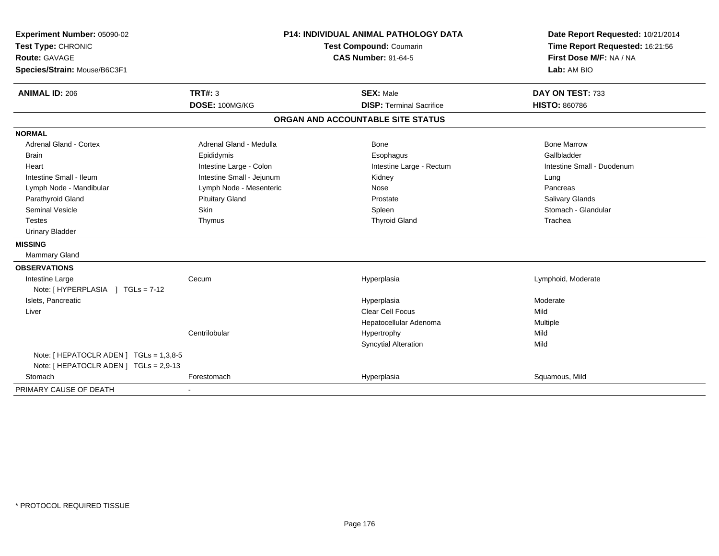| Experiment Number: 05090-02             | <b>P14: INDIVIDUAL ANIMAL PATHOLOGY DATA</b><br>Test Compound: Coumarin<br><b>CAS Number: 91-64-5</b> |                                   | Date Report Requested: 10/21/2014                          |
|-----------------------------------------|-------------------------------------------------------------------------------------------------------|-----------------------------------|------------------------------------------------------------|
| Test Type: CHRONIC                      |                                                                                                       |                                   | Time Report Requested: 16:21:56<br>First Dose M/F: NA / NA |
| Route: GAVAGE                           |                                                                                                       |                                   |                                                            |
| Species/Strain: Mouse/B6C3F1            |                                                                                                       |                                   | Lab: AM BIO                                                |
| <b>ANIMAL ID: 206</b>                   | <b>TRT#: 3</b>                                                                                        | <b>SEX: Male</b>                  | DAY ON TEST: 733                                           |
|                                         | DOSE: 100MG/KG                                                                                        | <b>DISP: Terminal Sacrifice</b>   | <b>HISTO: 860786</b>                                       |
|                                         |                                                                                                       | ORGAN AND ACCOUNTABLE SITE STATUS |                                                            |
| <b>NORMAL</b>                           |                                                                                                       |                                   |                                                            |
| <b>Adrenal Gland - Cortex</b>           | Adrenal Gland - Medulla                                                                               | Bone                              | <b>Bone Marrow</b>                                         |
| Brain                                   | Epididymis                                                                                            | Esophagus                         | Gallbladder                                                |
| Heart                                   | Intestine Large - Colon                                                                               | Intestine Large - Rectum          | Intestine Small - Duodenum                                 |
| Intestine Small - Ileum                 | Intestine Small - Jejunum                                                                             | Kidney                            | Lung                                                       |
| Lymph Node - Mandibular                 | Lymph Node - Mesenteric                                                                               | Nose                              | Pancreas                                                   |
| Parathyroid Gland                       | <b>Pituitary Gland</b>                                                                                | Prostate                          | <b>Salivary Glands</b>                                     |
| <b>Seminal Vesicle</b>                  | Skin                                                                                                  | Spleen                            | Stomach - Glandular                                        |
| <b>Testes</b>                           | Thymus                                                                                                | <b>Thyroid Gland</b>              | Trachea                                                    |
| <b>Urinary Bladder</b>                  |                                                                                                       |                                   |                                                            |
| <b>MISSING</b>                          |                                                                                                       |                                   |                                                            |
| Mammary Gland                           |                                                                                                       |                                   |                                                            |
| <b>OBSERVATIONS</b>                     |                                                                                                       |                                   |                                                            |
| Intestine Large                         | Cecum                                                                                                 | Hyperplasia                       | Lymphoid, Moderate                                         |
| Note: [HYPERPLASIA ] TGLs = 7-12        |                                                                                                       |                                   |                                                            |
| Islets, Pancreatic                      |                                                                                                       | Hyperplasia                       | Moderate                                                   |
| Liver                                   |                                                                                                       | <b>Clear Cell Focus</b>           | Mild                                                       |
|                                         |                                                                                                       | Hepatocellular Adenoma            | Multiple                                                   |
|                                         | Centrilobular                                                                                         | Hypertrophy                       | Mild                                                       |
|                                         |                                                                                                       | <b>Syncytial Alteration</b>       | Mild                                                       |
| Note: [ HEPATOCLR ADEN ] TGLs = 1,3,8-5 |                                                                                                       |                                   |                                                            |
| Note: [ HEPATOCLR ADEN ] TGLs = 2,9-13  |                                                                                                       |                                   |                                                            |
| Stomach                                 | Forestomach                                                                                           | Hyperplasia                       | Squamous, Mild                                             |
| PRIMARY CAUSE OF DEATH                  |                                                                                                       |                                   |                                                            |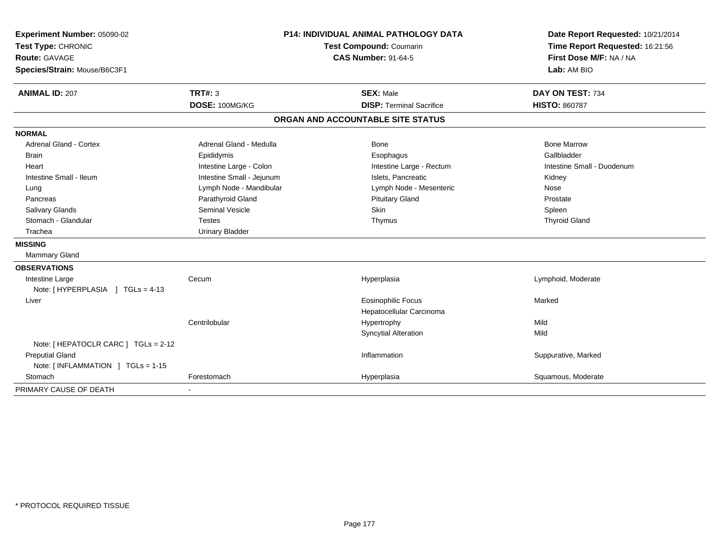| Experiment Number: 05090-02<br>Test Type: CHRONIC<br><b>Route: GAVAGE</b><br>Species/Strain: Mouse/B6C3F1 |                           | <b>P14: INDIVIDUAL ANIMAL PATHOLOGY DATA</b><br>Test Compound: Coumarin<br><b>CAS Number: 91-64-5</b> | Date Report Requested: 10/21/2014<br>Time Report Requested: 16:21:56<br>First Dose M/F: NA / NA<br>Lab: AM BIO |
|-----------------------------------------------------------------------------------------------------------|---------------------------|-------------------------------------------------------------------------------------------------------|----------------------------------------------------------------------------------------------------------------|
| <b>ANIMAL ID: 207</b>                                                                                     | TRT#: 3                   | <b>SEX: Male</b>                                                                                      | DAY ON TEST: 734                                                                                               |
|                                                                                                           | DOSE: 100MG/KG            | <b>DISP: Terminal Sacrifice</b>                                                                       | <b>HISTO: 860787</b>                                                                                           |
|                                                                                                           |                           | ORGAN AND ACCOUNTABLE SITE STATUS                                                                     |                                                                                                                |
| <b>NORMAL</b>                                                                                             |                           |                                                                                                       |                                                                                                                |
| Adrenal Gland - Cortex                                                                                    | Adrenal Gland - Medulla   | Bone                                                                                                  | <b>Bone Marrow</b>                                                                                             |
| <b>Brain</b>                                                                                              | Epididymis                | Esophagus                                                                                             | Gallbladder                                                                                                    |
| Heart                                                                                                     | Intestine Large - Colon   | Intestine Large - Rectum                                                                              | Intestine Small - Duodenum                                                                                     |
| Intestine Small - Ileum                                                                                   | Intestine Small - Jejunum | Islets. Pancreatic                                                                                    | Kidney                                                                                                         |
| Lung                                                                                                      | Lymph Node - Mandibular   | Lymph Node - Mesenteric                                                                               | Nose                                                                                                           |
| Pancreas                                                                                                  | Parathyroid Gland         | <b>Pituitary Gland</b>                                                                                | Prostate                                                                                                       |
| Salivary Glands                                                                                           | <b>Seminal Vesicle</b>    | Skin                                                                                                  | Spleen                                                                                                         |
| Stomach - Glandular                                                                                       | <b>Testes</b>             | Thymus                                                                                                | <b>Thyroid Gland</b>                                                                                           |
| Trachea                                                                                                   | <b>Urinary Bladder</b>    |                                                                                                       |                                                                                                                |
| <b>MISSING</b>                                                                                            |                           |                                                                                                       |                                                                                                                |
| Mammary Gland                                                                                             |                           |                                                                                                       |                                                                                                                |
| <b>OBSERVATIONS</b>                                                                                       |                           |                                                                                                       |                                                                                                                |
| Intestine Large                                                                                           | Cecum                     | Hyperplasia                                                                                           | Lymphoid, Moderate                                                                                             |
| Note: [HYPERPLASIA ] TGLs = 4-13                                                                          |                           |                                                                                                       |                                                                                                                |
| Liver                                                                                                     |                           | <b>Eosinophilic Focus</b>                                                                             | Marked                                                                                                         |
|                                                                                                           |                           | Hepatocellular Carcinoma                                                                              |                                                                                                                |
|                                                                                                           | Centrilobular             | Hypertrophy                                                                                           | Mild                                                                                                           |
|                                                                                                           |                           | Syncytial Alteration                                                                                  | Mild                                                                                                           |
| Note: [ HEPATOCLR CARC ] TGLs = 2-12                                                                      |                           |                                                                                                       |                                                                                                                |
| <b>Preputial Gland</b>                                                                                    |                           | Inflammation                                                                                          | Suppurative, Marked                                                                                            |
| Note: [ INFLAMMATION ] TGLs = 1-15                                                                        |                           |                                                                                                       |                                                                                                                |
| Stomach                                                                                                   | Forestomach               | Hyperplasia                                                                                           | Squamous, Moderate                                                                                             |
| PRIMARY CAUSE OF DEATH                                                                                    |                           |                                                                                                       |                                                                                                                |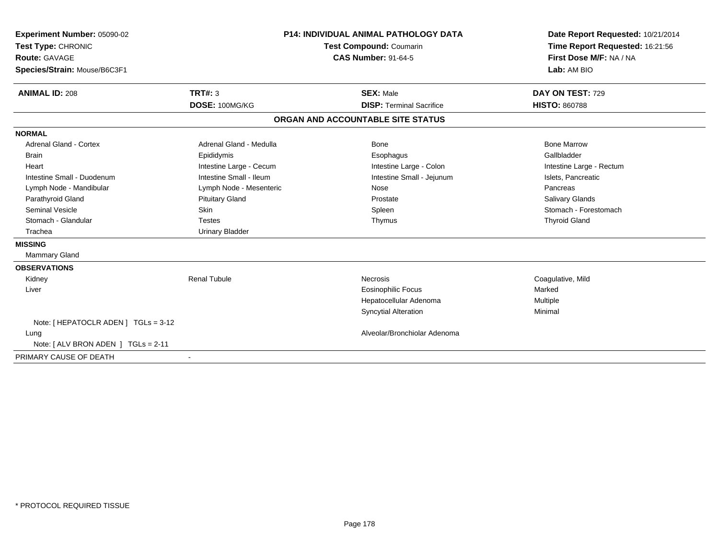| Experiment Number: 05090-02<br>Test Type: CHRONIC<br><b>Route: GAVAGE</b><br>Species/Strain: Mouse/B6C3F1 |                         | P14: INDIVIDUAL ANIMAL PATHOLOGY DATA<br><b>Test Compound: Coumarin</b><br><b>CAS Number: 91-64-5</b> | Date Report Requested: 10/21/2014<br>Time Report Requested: 16:21:56<br>First Dose M/F: NA / NA<br>Lab: AM BIO |
|-----------------------------------------------------------------------------------------------------------|-------------------------|-------------------------------------------------------------------------------------------------------|----------------------------------------------------------------------------------------------------------------|
| <b>ANIMAL ID: 208</b>                                                                                     | TRT#: 3                 | <b>SEX: Male</b>                                                                                      | DAY ON TEST: 729                                                                                               |
|                                                                                                           | DOSE: 100MG/KG          | <b>DISP: Terminal Sacrifice</b>                                                                       | <b>HISTO: 860788</b>                                                                                           |
|                                                                                                           |                         | ORGAN AND ACCOUNTABLE SITE STATUS                                                                     |                                                                                                                |
| <b>NORMAL</b>                                                                                             |                         |                                                                                                       |                                                                                                                |
| <b>Adrenal Gland - Cortex</b>                                                                             | Adrenal Gland - Medulla | Bone                                                                                                  | <b>Bone Marrow</b>                                                                                             |
| <b>Brain</b>                                                                                              | Epididymis              | Esophagus                                                                                             | Gallbladder                                                                                                    |
| Heart                                                                                                     | Intestine Large - Cecum | Intestine Large - Colon                                                                               | Intestine Large - Rectum                                                                                       |
| Intestine Small - Duodenum                                                                                | Intestine Small - Ileum | Intestine Small - Jejunum                                                                             | Islets, Pancreatic                                                                                             |
| Lymph Node - Mandibular                                                                                   | Lymph Node - Mesenteric | Nose                                                                                                  | Pancreas                                                                                                       |
| Parathyroid Gland                                                                                         | <b>Pituitary Gland</b>  | Prostate                                                                                              | <b>Salivary Glands</b>                                                                                         |
| <b>Seminal Vesicle</b>                                                                                    | <b>Skin</b>             | Spleen                                                                                                | Stomach - Forestomach                                                                                          |
| Stomach - Glandular                                                                                       | <b>Testes</b>           | Thymus                                                                                                | <b>Thyroid Gland</b>                                                                                           |
| Trachea                                                                                                   | <b>Urinary Bladder</b>  |                                                                                                       |                                                                                                                |
| <b>MISSING</b>                                                                                            |                         |                                                                                                       |                                                                                                                |
| Mammary Gland                                                                                             |                         |                                                                                                       |                                                                                                                |
| <b>OBSERVATIONS</b>                                                                                       |                         |                                                                                                       |                                                                                                                |
| Kidney                                                                                                    | <b>Renal Tubule</b>     | Necrosis                                                                                              | Coagulative, Mild                                                                                              |
| Liver                                                                                                     |                         | <b>Eosinophilic Focus</b>                                                                             | Marked                                                                                                         |
|                                                                                                           |                         | Hepatocellular Adenoma                                                                                | Multiple                                                                                                       |
|                                                                                                           |                         | <b>Syncytial Alteration</b>                                                                           | Minimal                                                                                                        |
| Note: [HEPATOCLR ADEN] TGLs = 3-12                                                                        |                         |                                                                                                       |                                                                                                                |
| Lung                                                                                                      |                         | Alveolar/Bronchiolar Adenoma                                                                          |                                                                                                                |
| Note: [ ALV BRON ADEN ] TGLs = 2-11                                                                       |                         |                                                                                                       |                                                                                                                |
| PRIMARY CAUSE OF DEATH                                                                                    |                         |                                                                                                       |                                                                                                                |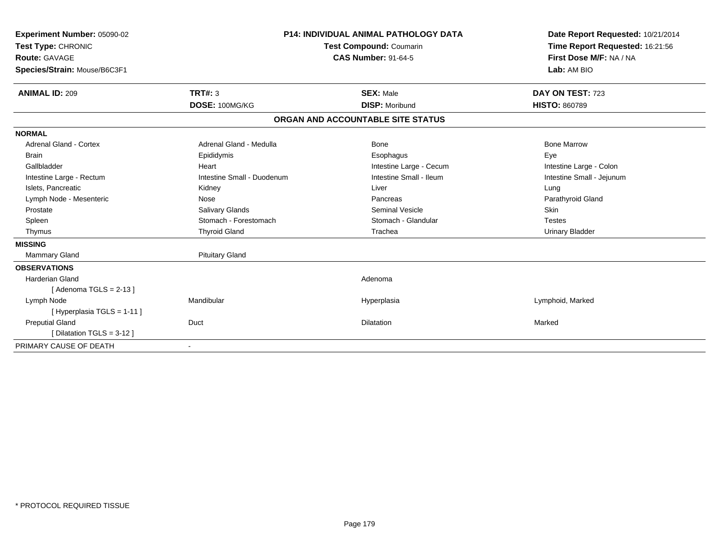| Experiment Number: 05090-02<br>Test Type: CHRONIC<br>Route: GAVAGE<br>Species/Strain: Mouse/B6C3F1                                                                                                                            |                                                                                                                                                                                                     | <b>P14: INDIVIDUAL ANIMAL PATHOLOGY DATA</b><br><b>Test Compound: Coumarin</b><br><b>CAS Number: 91-64-5</b>                                                    | Date Report Requested: 10/21/2014<br>Time Report Requested: 16:21:56<br>First Dose M/F: NA / NA<br>Lab: AM BIO                                                           |
|-------------------------------------------------------------------------------------------------------------------------------------------------------------------------------------------------------------------------------|-----------------------------------------------------------------------------------------------------------------------------------------------------------------------------------------------------|-----------------------------------------------------------------------------------------------------------------------------------------------------------------|--------------------------------------------------------------------------------------------------------------------------------------------------------------------------|
| <b>ANIMAL ID: 209</b>                                                                                                                                                                                                         | <b>TRT#: 3</b><br>DOSE: 100MG/KG                                                                                                                                                                    | <b>SEX: Male</b><br><b>DISP: Moribund</b>                                                                                                                       | DAY ON TEST: 723<br><b>HISTO: 860789</b>                                                                                                                                 |
|                                                                                                                                                                                                                               |                                                                                                                                                                                                     | ORGAN AND ACCOUNTABLE SITE STATUS                                                                                                                               |                                                                                                                                                                          |
|                                                                                                                                                                                                                               |                                                                                                                                                                                                     |                                                                                                                                                                 |                                                                                                                                                                          |
| <b>NORMAL</b><br><b>Adrenal Gland - Cortex</b><br><b>Brain</b><br>Gallbladder<br>Intestine Large - Rectum<br>Islets, Pancreatic<br>Lymph Node - Mesenteric<br>Prostate<br>Spleen<br>Thymus<br><b>MISSING</b><br>Mammary Gland | Adrenal Gland - Medulla<br>Epididymis<br>Heart<br>Intestine Small - Duodenum<br>Kidney<br>Nose<br><b>Salivary Glands</b><br>Stomach - Forestomach<br><b>Thyroid Gland</b><br><b>Pituitary Gland</b> | <b>Bone</b><br>Esophagus<br>Intestine Large - Cecum<br>Intestine Small - Ileum<br>Liver<br>Pancreas<br><b>Seminal Vesicle</b><br>Stomach - Glandular<br>Trachea | <b>Bone Marrow</b><br>Eye<br>Intestine Large - Colon<br>Intestine Small - Jejunum<br>Lung<br>Parathyroid Gland<br><b>Skin</b><br><b>Testes</b><br><b>Urinary Bladder</b> |
| <b>OBSERVATIONS</b>                                                                                                                                                                                                           |                                                                                                                                                                                                     |                                                                                                                                                                 |                                                                                                                                                                          |
| Harderian Gland<br>[Adenoma TGLS = $2-13$ ]                                                                                                                                                                                   |                                                                                                                                                                                                     | Adenoma                                                                                                                                                         |                                                                                                                                                                          |
| Lymph Node<br>[Hyperplasia TGLS = 1-11]                                                                                                                                                                                       | Mandibular                                                                                                                                                                                          | Hyperplasia                                                                                                                                                     | Lymphoid, Marked                                                                                                                                                         |
| <b>Preputial Gland</b><br>[Dilatation TGLS = 3-12]                                                                                                                                                                            | Duct                                                                                                                                                                                                | Dilatation                                                                                                                                                      | Marked                                                                                                                                                                   |
| PRIMARY CAUSE OF DEATH                                                                                                                                                                                                        | $\overline{\phantom{a}}$                                                                                                                                                                            |                                                                                                                                                                 |                                                                                                                                                                          |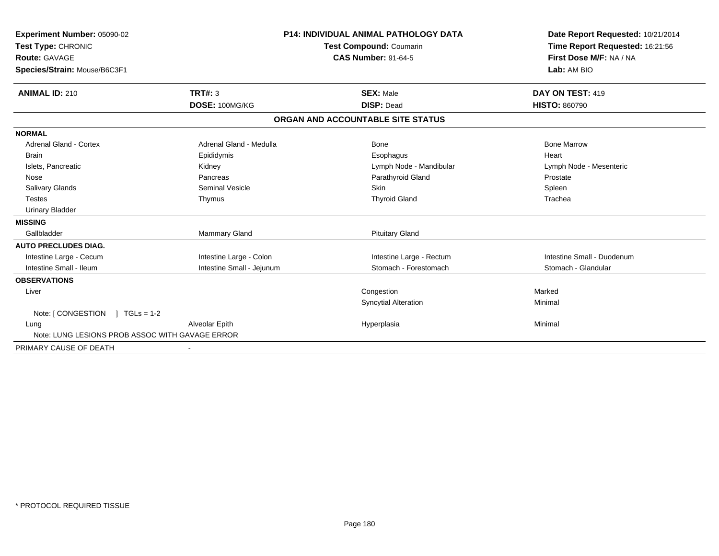| Experiment Number: 05090-02<br>Test Type: CHRONIC<br><b>Route: GAVAGE</b><br>Species/Strain: Mouse/B6C3F1 |                           | <b>P14: INDIVIDUAL ANIMAL PATHOLOGY DATA</b><br>Test Compound: Coumarin<br><b>CAS Number: 91-64-5</b> | Date Report Requested: 10/21/2014<br>Time Report Requested: 16:21:56<br>First Dose M/F: NA / NA<br>Lab: AM BIO |
|-----------------------------------------------------------------------------------------------------------|---------------------------|-------------------------------------------------------------------------------------------------------|----------------------------------------------------------------------------------------------------------------|
| <b>ANIMAL ID: 210</b>                                                                                     | TRT#: 3<br>DOSE: 100MG/KG | <b>SEX: Male</b><br><b>DISP: Dead</b>                                                                 | DAY ON TEST: 419<br><b>HISTO: 860790</b>                                                                       |
|                                                                                                           |                           |                                                                                                       |                                                                                                                |
|                                                                                                           |                           | ORGAN AND ACCOUNTABLE SITE STATUS                                                                     |                                                                                                                |
| <b>NORMAL</b>                                                                                             |                           |                                                                                                       |                                                                                                                |
| Adrenal Gland - Cortex                                                                                    | Adrenal Gland - Medulla   | Bone                                                                                                  | <b>Bone Marrow</b>                                                                                             |
| <b>Brain</b>                                                                                              | Epididymis                | Esophagus                                                                                             | Heart                                                                                                          |
| Islets, Pancreatic                                                                                        | Kidney                    | Lymph Node - Mandibular                                                                               | Lymph Node - Mesenteric                                                                                        |
| Nose                                                                                                      | Pancreas                  | Parathyroid Gland                                                                                     | Prostate                                                                                                       |
| <b>Salivary Glands</b>                                                                                    | <b>Seminal Vesicle</b>    | Skin                                                                                                  | Spleen                                                                                                         |
| <b>Testes</b>                                                                                             | Thymus                    | <b>Thyroid Gland</b>                                                                                  | Trachea                                                                                                        |
| <b>Urinary Bladder</b>                                                                                    |                           |                                                                                                       |                                                                                                                |
| <b>MISSING</b>                                                                                            |                           |                                                                                                       |                                                                                                                |
| Gallbladder                                                                                               | Mammary Gland             | <b>Pituitary Gland</b>                                                                                |                                                                                                                |
| <b>AUTO PRECLUDES DIAG.</b>                                                                               |                           |                                                                                                       |                                                                                                                |
| Intestine Large - Cecum                                                                                   | Intestine Large - Colon   | Intestine Large - Rectum                                                                              | Intestine Small - Duodenum                                                                                     |
| Intestine Small - Ileum                                                                                   | Intestine Small - Jejunum | Stomach - Forestomach                                                                                 | Stomach - Glandular                                                                                            |
| <b>OBSERVATIONS</b>                                                                                       |                           |                                                                                                       |                                                                                                                |
| Liver                                                                                                     |                           | Congestion                                                                                            | Marked                                                                                                         |
|                                                                                                           |                           | <b>Syncytial Alteration</b>                                                                           | Minimal                                                                                                        |
| Note: [CONGESTION ] TGLs = 1-2                                                                            |                           |                                                                                                       |                                                                                                                |
| Lung                                                                                                      | Alveolar Epith            | Hyperplasia                                                                                           | Minimal                                                                                                        |
| Note: LUNG LESIONS PROB ASSOC WITH GAVAGE ERROR                                                           |                           |                                                                                                       |                                                                                                                |
| PRIMARY CAUSE OF DEATH                                                                                    |                           |                                                                                                       |                                                                                                                |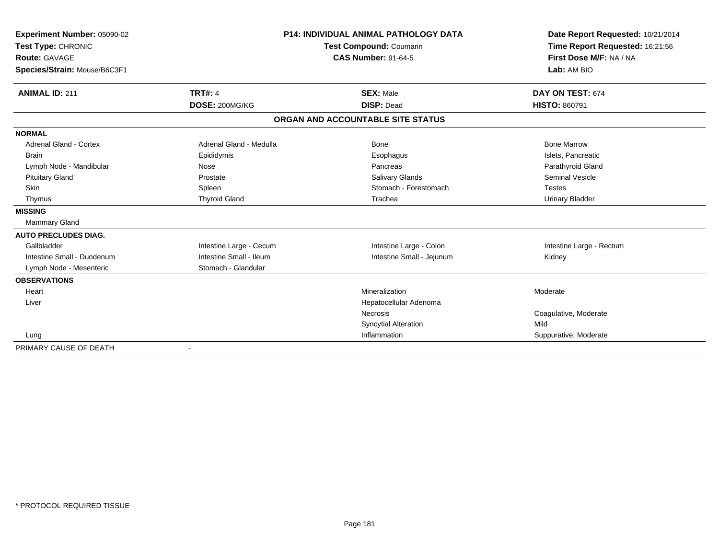| Experiment Number: 05090-02<br>Test Type: CHRONIC    |                         | <b>P14: INDIVIDUAL ANIMAL PATHOLOGY DATA</b><br>Test Compound: Coumarin | Date Report Requested: 10/21/2014<br>Time Report Requested: 16:21:56 |
|------------------------------------------------------|-------------------------|-------------------------------------------------------------------------|----------------------------------------------------------------------|
| <b>Route: GAVAGE</b><br>Species/Strain: Mouse/B6C3F1 |                         | <b>CAS Number: 91-64-5</b>                                              | First Dose M/F: NA / NA<br>Lab: AM BIO                               |
| <b>ANIMAL ID: 211</b>                                | <b>TRT#: 4</b>          | <b>SEX: Male</b>                                                        | DAY ON TEST: 674                                                     |
|                                                      | DOSE: 200MG/KG          | <b>DISP: Dead</b>                                                       | <b>HISTO: 860791</b>                                                 |
|                                                      |                         | ORGAN AND ACCOUNTABLE SITE STATUS                                       |                                                                      |
| <b>NORMAL</b>                                        |                         |                                                                         |                                                                      |
| <b>Adrenal Gland - Cortex</b>                        | Adrenal Gland - Medulla | Bone                                                                    | <b>Bone Marrow</b>                                                   |
| <b>Brain</b>                                         | Epididymis              | Esophagus                                                               | Islets, Pancreatic                                                   |
| Lymph Node - Mandibular                              | Nose                    | Pancreas                                                                | Parathyroid Gland                                                    |
| <b>Pituitary Gland</b>                               | Prostate                | <b>Salivary Glands</b>                                                  | <b>Seminal Vesicle</b>                                               |
| Skin                                                 | Spleen                  | Stomach - Forestomach                                                   | <b>Testes</b>                                                        |
| Thymus                                               | <b>Thyroid Gland</b>    | Trachea                                                                 | <b>Urinary Bladder</b>                                               |
| <b>MISSING</b>                                       |                         |                                                                         |                                                                      |
| <b>Mammary Gland</b>                                 |                         |                                                                         |                                                                      |
| <b>AUTO PRECLUDES DIAG.</b>                          |                         |                                                                         |                                                                      |
| Gallbladder                                          | Intestine Large - Cecum | Intestine Large - Colon                                                 | Intestine Large - Rectum                                             |
| Intestine Small - Duodenum                           | Intestine Small - Ileum | Intestine Small - Jejunum                                               | Kidney                                                               |
| Lymph Node - Mesenteric                              | Stomach - Glandular     |                                                                         |                                                                      |
| <b>OBSERVATIONS</b>                                  |                         |                                                                         |                                                                      |
| Heart                                                |                         | Mineralization                                                          | Moderate                                                             |
| Liver                                                |                         | Hepatocellular Adenoma                                                  |                                                                      |
|                                                      |                         | <b>Necrosis</b>                                                         | Coagulative, Moderate                                                |
|                                                      |                         | <b>Syncytial Alteration</b>                                             | Mild                                                                 |
| Lung                                                 |                         | Inflammation                                                            | Suppurative, Moderate                                                |
| PRIMARY CAUSE OF DEATH                               |                         |                                                                         |                                                                      |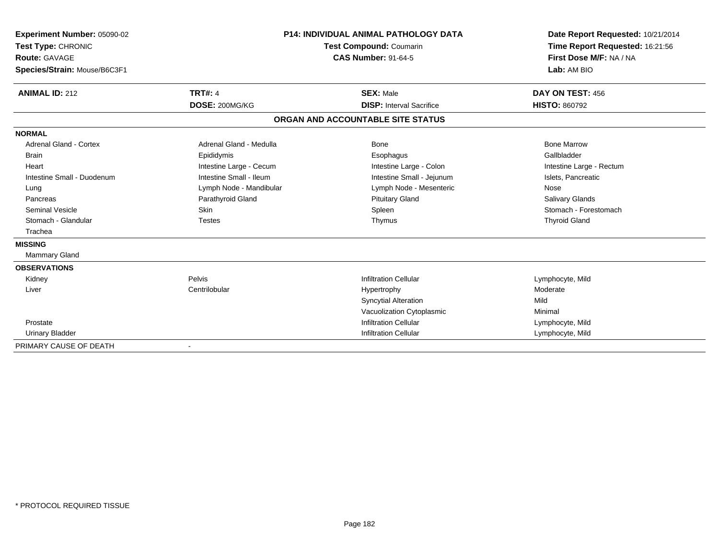| Experiment Number: 05090-02<br>Test Type: CHRONIC<br><b>Route: GAVAGE</b><br>Species/Strain: Mouse/B6C3F1<br><b>ANIMAL ID: 212</b> | <b>TRT#: 4</b>          | <b>P14: INDIVIDUAL ANIMAL PATHOLOGY DATA</b><br>Test Compound: Coumarin<br><b>CAS Number: 91-64-5</b><br><b>SEX: Male</b> | Date Report Requested: 10/21/2014<br>Time Report Requested: 16:21:56<br>First Dose M/F: NA / NA<br>Lab: AM BIO<br>DAY ON TEST: 456 |
|------------------------------------------------------------------------------------------------------------------------------------|-------------------------|---------------------------------------------------------------------------------------------------------------------------|------------------------------------------------------------------------------------------------------------------------------------|
|                                                                                                                                    | DOSE: 200MG/KG          | <b>DISP:</b> Interval Sacrifice                                                                                           | <b>HISTO: 860792</b>                                                                                                               |
|                                                                                                                                    |                         | ORGAN AND ACCOUNTABLE SITE STATUS                                                                                         |                                                                                                                                    |
| <b>NORMAL</b>                                                                                                                      |                         |                                                                                                                           |                                                                                                                                    |
| Adrenal Gland - Cortex                                                                                                             | Adrenal Gland - Medulla | Bone                                                                                                                      | <b>Bone Marrow</b>                                                                                                                 |
| Brain                                                                                                                              | Epididymis              | Esophagus                                                                                                                 | Gallbladder                                                                                                                        |
| Heart                                                                                                                              | Intestine Large - Cecum | Intestine Large - Colon                                                                                                   | Intestine Large - Rectum                                                                                                           |
| Intestine Small - Duodenum                                                                                                         | Intestine Small - Ileum | Intestine Small - Jejunum                                                                                                 | Islets, Pancreatic                                                                                                                 |
| Lung                                                                                                                               | Lymph Node - Mandibular | Lymph Node - Mesenteric                                                                                                   | Nose                                                                                                                               |
| Pancreas                                                                                                                           | Parathyroid Gland       | <b>Pituitary Gland</b>                                                                                                    | <b>Salivary Glands</b>                                                                                                             |
| <b>Seminal Vesicle</b>                                                                                                             | Skin                    | Spleen                                                                                                                    | Stomach - Forestomach                                                                                                              |
| Stomach - Glandular                                                                                                                | <b>Testes</b>           | Thymus                                                                                                                    | <b>Thyroid Gland</b>                                                                                                               |
| Trachea                                                                                                                            |                         |                                                                                                                           |                                                                                                                                    |
| <b>MISSING</b>                                                                                                                     |                         |                                                                                                                           |                                                                                                                                    |
| <b>Mammary Gland</b>                                                                                                               |                         |                                                                                                                           |                                                                                                                                    |
| <b>OBSERVATIONS</b>                                                                                                                |                         |                                                                                                                           |                                                                                                                                    |
| Kidney                                                                                                                             | Pelvis                  | <b>Infiltration Cellular</b>                                                                                              | Lymphocyte, Mild                                                                                                                   |
| Liver                                                                                                                              | Centrilobular           | Hypertrophy                                                                                                               | Moderate                                                                                                                           |
|                                                                                                                                    |                         | <b>Syncytial Alteration</b>                                                                                               | Mild                                                                                                                               |
|                                                                                                                                    |                         | Vacuolization Cytoplasmic                                                                                                 | Minimal                                                                                                                            |
| Prostate                                                                                                                           |                         | <b>Infiltration Cellular</b>                                                                                              | Lymphocyte, Mild                                                                                                                   |
| <b>Urinary Bladder</b>                                                                                                             |                         | <b>Infiltration Cellular</b>                                                                                              | Lymphocyte, Mild                                                                                                                   |
| PRIMARY CAUSE OF DEATH                                                                                                             |                         |                                                                                                                           |                                                                                                                                    |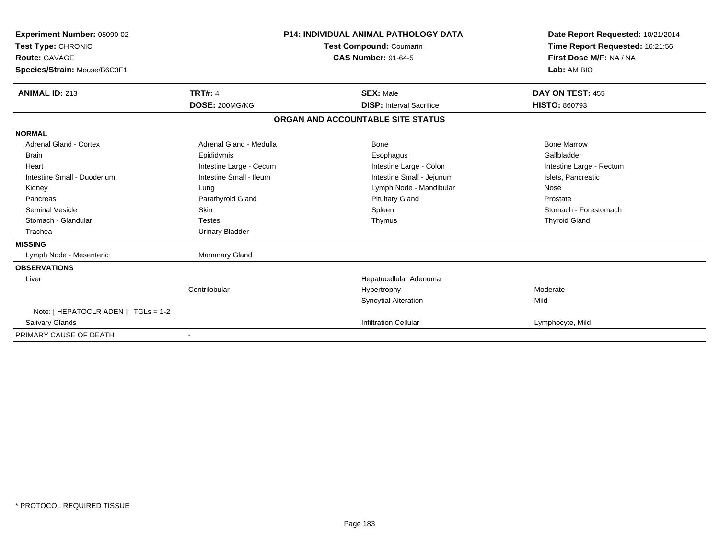| Experiment Number: 05090-02<br>Test Type: CHRONIC<br><b>Route: GAVAGE</b><br>Species/Strain: Mouse/B6C3F1 |                         |                                   | <b>P14: INDIVIDUAL ANIMAL PATHOLOGY DATA</b><br>Test Compound: Coumarin<br><b>CAS Number: 91-64-5</b> | Date Report Requested: 10/21/2014<br>Time Report Requested: 16:21:56<br>First Dose M/F: NA / NA<br>Lab: AM BIO |
|-----------------------------------------------------------------------------------------------------------|-------------------------|-----------------------------------|-------------------------------------------------------------------------------------------------------|----------------------------------------------------------------------------------------------------------------|
| <b>ANIMAL ID: 213</b>                                                                                     | <b>TRT#: 4</b>          |                                   | <b>SEX: Male</b>                                                                                      | DAY ON TEST: 455                                                                                               |
|                                                                                                           | DOSE: 200MG/KG          |                                   | <b>DISP: Interval Sacrifice</b>                                                                       | <b>HISTO: 860793</b>                                                                                           |
|                                                                                                           |                         | ORGAN AND ACCOUNTABLE SITE STATUS |                                                                                                       |                                                                                                                |
| <b>NORMAL</b>                                                                                             |                         |                                   |                                                                                                       |                                                                                                                |
| <b>Adrenal Gland - Cortex</b>                                                                             | Adrenal Gland - Medulla |                                   | Bone                                                                                                  | <b>Bone Marrow</b>                                                                                             |
| <b>Brain</b>                                                                                              | Epididymis              |                                   | Esophagus                                                                                             | Gallbladder                                                                                                    |
| Heart                                                                                                     | Intestine Large - Cecum |                                   | Intestine Large - Colon                                                                               | Intestine Large - Rectum                                                                                       |
| Intestine Small - Duodenum                                                                                | Intestine Small - Ileum |                                   | Intestine Small - Jejunum                                                                             | Islets, Pancreatic                                                                                             |
| Kidney                                                                                                    | Lung                    |                                   | Lymph Node - Mandibular                                                                               | Nose                                                                                                           |
| Pancreas                                                                                                  | Parathyroid Gland       |                                   | <b>Pituitary Gland</b>                                                                                | Prostate                                                                                                       |
| Seminal Vesicle                                                                                           | <b>Skin</b>             |                                   | Spleen                                                                                                | Stomach - Forestomach                                                                                          |
| Stomach - Glandular                                                                                       | <b>Testes</b>           |                                   | Thymus                                                                                                | <b>Thyroid Gland</b>                                                                                           |
| Trachea                                                                                                   | <b>Urinary Bladder</b>  |                                   |                                                                                                       |                                                                                                                |
| <b>MISSING</b>                                                                                            |                         |                                   |                                                                                                       |                                                                                                                |
| Lymph Node - Mesenteric                                                                                   | <b>Mammary Gland</b>    |                                   |                                                                                                       |                                                                                                                |
| <b>OBSERVATIONS</b>                                                                                       |                         |                                   |                                                                                                       |                                                                                                                |
| Liver                                                                                                     |                         |                                   | Hepatocellular Adenoma                                                                                |                                                                                                                |
|                                                                                                           | Centrilobular           |                                   | Hypertrophy                                                                                           | Moderate                                                                                                       |
|                                                                                                           |                         |                                   | <b>Syncytial Alteration</b>                                                                           | Mild                                                                                                           |
| Note: [ HEPATOCLR ADEN ] TGLs = 1-2                                                                       |                         |                                   |                                                                                                       |                                                                                                                |
| <b>Salivary Glands</b>                                                                                    |                         |                                   | <b>Infiltration Cellular</b>                                                                          | Lymphocyte, Mild                                                                                               |
| PRIMARY CAUSE OF DEATH                                                                                    |                         |                                   |                                                                                                       |                                                                                                                |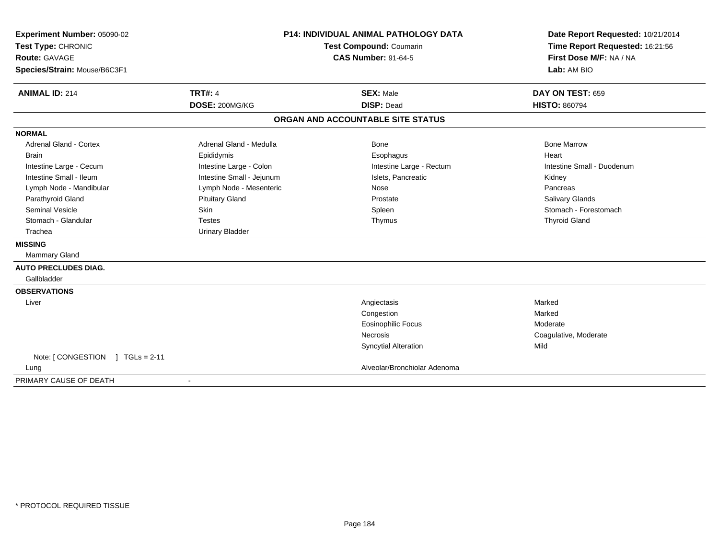| Experiment Number: 05090-02           | <b>P14: INDIVIDUAL ANIMAL PATHOLOGY DATA</b> |                                   | Date Report Requested: 10/21/2014 |  |
|---------------------------------------|----------------------------------------------|-----------------------------------|-----------------------------------|--|
| Test Type: CHRONIC                    |                                              | Test Compound: Coumarin           | Time Report Requested: 16:21:56   |  |
| <b>Route: GAVAGE</b>                  |                                              | <b>CAS Number: 91-64-5</b>        | First Dose M/F: NA / NA           |  |
| Species/Strain: Mouse/B6C3F1          |                                              |                                   | Lab: AM BIO                       |  |
| <b>ANIMAL ID: 214</b>                 | <b>TRT#: 4</b>                               | <b>SEX: Male</b>                  | DAY ON TEST: 659                  |  |
|                                       | DOSE: 200MG/KG                               | <b>DISP: Dead</b>                 | <b>HISTO: 860794</b>              |  |
|                                       |                                              | ORGAN AND ACCOUNTABLE SITE STATUS |                                   |  |
| <b>NORMAL</b>                         |                                              |                                   |                                   |  |
| <b>Adrenal Gland - Cortex</b>         | Adrenal Gland - Medulla                      | <b>Bone</b>                       | <b>Bone Marrow</b>                |  |
| <b>Brain</b>                          | Epididymis                                   | Esophagus                         | Heart                             |  |
| Intestine Large - Cecum               | Intestine Large - Colon                      | Intestine Large - Rectum          | Intestine Small - Duodenum        |  |
| Intestine Small - Ileum               | Intestine Small - Jejunum                    | Islets, Pancreatic                | Kidney                            |  |
| Lymph Node - Mandibular               | Lymph Node - Mesenteric                      | <b>Nose</b>                       | Pancreas                          |  |
| Parathyroid Gland                     | <b>Pituitary Gland</b>                       | Prostate                          | Salivary Glands                   |  |
| <b>Seminal Vesicle</b>                | Skin                                         | Spleen                            | Stomach - Forestomach             |  |
| Stomach - Glandular                   | <b>Testes</b>                                | Thymus                            | <b>Thyroid Gland</b>              |  |
| Trachea                               | <b>Urinary Bladder</b>                       |                                   |                                   |  |
| <b>MISSING</b>                        |                                              |                                   |                                   |  |
| Mammary Gland                         |                                              |                                   |                                   |  |
| <b>AUTO PRECLUDES DIAG.</b>           |                                              |                                   |                                   |  |
| Gallbladder                           |                                              |                                   |                                   |  |
| <b>OBSERVATIONS</b>                   |                                              |                                   |                                   |  |
| Liver                                 |                                              | Angiectasis                       | Marked                            |  |
|                                       |                                              | Congestion                        | Marked                            |  |
|                                       |                                              | <b>Eosinophilic Focus</b>         | Moderate                          |  |
|                                       |                                              | Necrosis                          | Coagulative, Moderate             |  |
|                                       |                                              | <b>Syncytial Alteration</b>       | Mild                              |  |
| Note: [ CONGESTION<br>$1 TGLs = 2-11$ |                                              |                                   |                                   |  |
| Lung                                  |                                              | Alveolar/Bronchiolar Adenoma      |                                   |  |
| PRIMARY CAUSE OF DEATH                | $\blacksquare$                               |                                   |                                   |  |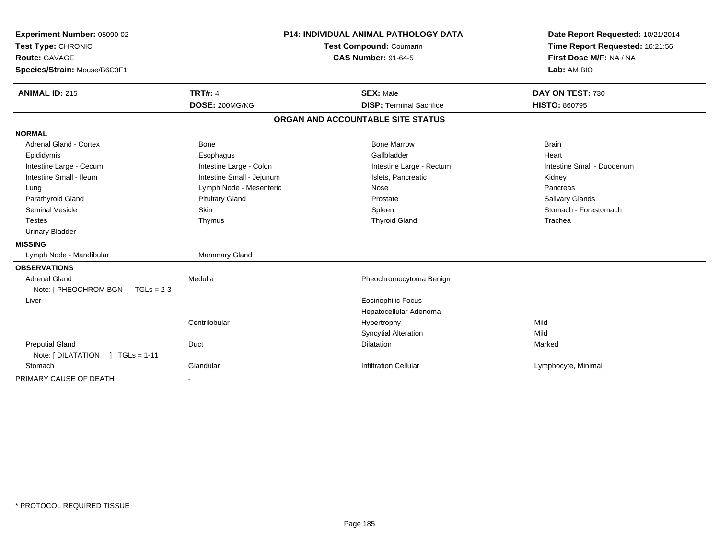| Experiment Number: 05090-02        | <b>P14: INDIVIDUAL ANIMAL PATHOLOGY DATA</b> |                                   | Date Report Requested: 10/21/2014 |  |
|------------------------------------|----------------------------------------------|-----------------------------------|-----------------------------------|--|
| Test Type: CHRONIC                 |                                              | Test Compound: Coumarin           | Time Report Requested: 16:21:56   |  |
| <b>Route: GAVAGE</b>               |                                              | <b>CAS Number: 91-64-5</b>        | First Dose M/F: NA / NA           |  |
| Species/Strain: Mouse/B6C3F1       |                                              |                                   | Lab: AM BIO                       |  |
| <b>ANIMAL ID: 215</b>              | <b>TRT#: 4</b>                               | <b>SEX: Male</b>                  | DAY ON TEST: 730                  |  |
|                                    | DOSE: 200MG/KG                               | <b>DISP: Terminal Sacrifice</b>   | <b>HISTO: 860795</b>              |  |
|                                    |                                              | ORGAN AND ACCOUNTABLE SITE STATUS |                                   |  |
| <b>NORMAL</b>                      |                                              |                                   |                                   |  |
| Adrenal Gland - Cortex             | Bone                                         | <b>Bone Marrow</b>                | <b>Brain</b>                      |  |
| Epididymis                         | Esophagus                                    | Gallbladder                       | Heart                             |  |
| Intestine Large - Cecum            | Intestine Large - Colon                      | Intestine Large - Rectum          | Intestine Small - Duodenum        |  |
| Intestine Small - Ileum            | Intestine Small - Jejunum                    | Islets, Pancreatic                | Kidney                            |  |
| Lung                               | Lymph Node - Mesenteric                      | Nose                              | Pancreas                          |  |
| Parathyroid Gland                  | <b>Pituitary Gland</b>                       | Prostate                          | Salivary Glands                   |  |
| <b>Seminal Vesicle</b>             | Skin                                         | Spleen                            | Stomach - Forestomach             |  |
| <b>Testes</b>                      | Thymus                                       | <b>Thyroid Gland</b>              | Trachea                           |  |
| <b>Urinary Bladder</b>             |                                              |                                   |                                   |  |
| <b>MISSING</b>                     |                                              |                                   |                                   |  |
| Lymph Node - Mandibular            | Mammary Gland                                |                                   |                                   |  |
| <b>OBSERVATIONS</b>                |                                              |                                   |                                   |  |
| <b>Adrenal Gland</b>               | Medulla                                      | Pheochromocytoma Benign           |                                   |  |
| Note: [ PHEOCHROM BGN ] TGLs = 2-3 |                                              |                                   |                                   |  |
| Liver                              |                                              | Eosinophilic Focus                |                                   |  |
|                                    |                                              | Hepatocellular Adenoma            |                                   |  |
|                                    | Centrilobular                                | Hypertrophy                       | Mild                              |  |
|                                    |                                              | <b>Syncytial Alteration</b>       | Mild                              |  |
| <b>Preputial Gland</b>             | Duct                                         | <b>Dilatation</b>                 | Marked                            |  |
| Note: [DILATATION ] TGLs = 1-11    |                                              |                                   |                                   |  |
| Stomach                            | Glandular                                    | <b>Infiltration Cellular</b>      | Lymphocyte, Minimal               |  |
| PRIMARY CAUSE OF DEATH             |                                              |                                   |                                   |  |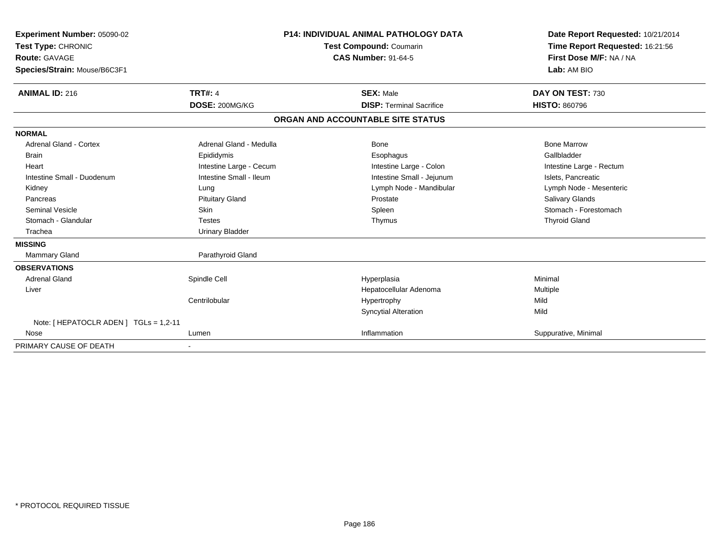| <b>Experiment Number: 05090-02</b><br>Test Type: CHRONIC<br><b>Route: GAVAGE</b><br>Species/Strain: Mouse/B6C3F1<br><b>ANIMAL ID: 216</b> | <b>TRT#: 4</b><br>DOSE: 200MG/KG | <b>P14: INDIVIDUAL ANIMAL PATHOLOGY DATA</b><br><b>Test Compound: Coumarin</b><br><b>CAS Number: 91-64-5</b><br><b>SEX: Male</b><br><b>DISP: Terminal Sacrifice</b> | Date Report Requested: 10/21/2014<br>Time Report Requested: 16:21:56<br>First Dose M/F: NA / NA<br>Lab: AM BIO<br>DAY ON TEST: 730<br><b>HISTO: 860796</b> |
|-------------------------------------------------------------------------------------------------------------------------------------------|----------------------------------|---------------------------------------------------------------------------------------------------------------------------------------------------------------------|------------------------------------------------------------------------------------------------------------------------------------------------------------|
|                                                                                                                                           |                                  | ORGAN AND ACCOUNTABLE SITE STATUS                                                                                                                                   |                                                                                                                                                            |
| <b>NORMAL</b>                                                                                                                             |                                  |                                                                                                                                                                     |                                                                                                                                                            |
| <b>Adrenal Gland - Cortex</b>                                                                                                             | Adrenal Gland - Medulla          | Bone                                                                                                                                                                | <b>Bone Marrow</b>                                                                                                                                         |
| Brain                                                                                                                                     | Epididymis                       | Esophagus                                                                                                                                                           | Gallbladder                                                                                                                                                |
| Heart                                                                                                                                     | Intestine Large - Cecum          | Intestine Large - Colon                                                                                                                                             | Intestine Large - Rectum                                                                                                                                   |
| Intestine Small - Duodenum                                                                                                                | Intestine Small - Ileum          | Intestine Small - Jejunum                                                                                                                                           | Islets, Pancreatic                                                                                                                                         |
| Kidney                                                                                                                                    | Lung                             | Lymph Node - Mandibular                                                                                                                                             | Lymph Node - Mesenteric                                                                                                                                    |
| Pancreas                                                                                                                                  | <b>Pituitary Gland</b>           | Prostate                                                                                                                                                            | <b>Salivary Glands</b>                                                                                                                                     |
| <b>Seminal Vesicle</b>                                                                                                                    | Skin                             | Spleen                                                                                                                                                              | Stomach - Forestomach                                                                                                                                      |
| Stomach - Glandular                                                                                                                       | <b>Testes</b>                    | Thymus                                                                                                                                                              | <b>Thyroid Gland</b>                                                                                                                                       |
| Trachea                                                                                                                                   | <b>Urinary Bladder</b>           |                                                                                                                                                                     |                                                                                                                                                            |
| <b>MISSING</b>                                                                                                                            |                                  |                                                                                                                                                                     |                                                                                                                                                            |
| <b>Mammary Gland</b>                                                                                                                      | Parathyroid Gland                |                                                                                                                                                                     |                                                                                                                                                            |
| <b>OBSERVATIONS</b>                                                                                                                       |                                  |                                                                                                                                                                     |                                                                                                                                                            |
| <b>Adrenal Gland</b>                                                                                                                      | Spindle Cell                     | Hyperplasia                                                                                                                                                         | Minimal                                                                                                                                                    |
| Liver                                                                                                                                     |                                  | Hepatocellular Adenoma                                                                                                                                              | Multiple                                                                                                                                                   |
|                                                                                                                                           | Centrilobular                    | Hypertrophy                                                                                                                                                         | Mild                                                                                                                                                       |
|                                                                                                                                           |                                  | <b>Syncytial Alteration</b>                                                                                                                                         | Mild                                                                                                                                                       |
| Note: [ HEPATOCLR ADEN ] TGLs = 1,2-11                                                                                                    |                                  |                                                                                                                                                                     |                                                                                                                                                            |
| Nose                                                                                                                                      | Lumen                            | Inflammation                                                                                                                                                        | Suppurative, Minimal                                                                                                                                       |
| PRIMARY CAUSE OF DEATH                                                                                                                    |                                  |                                                                                                                                                                     |                                                                                                                                                            |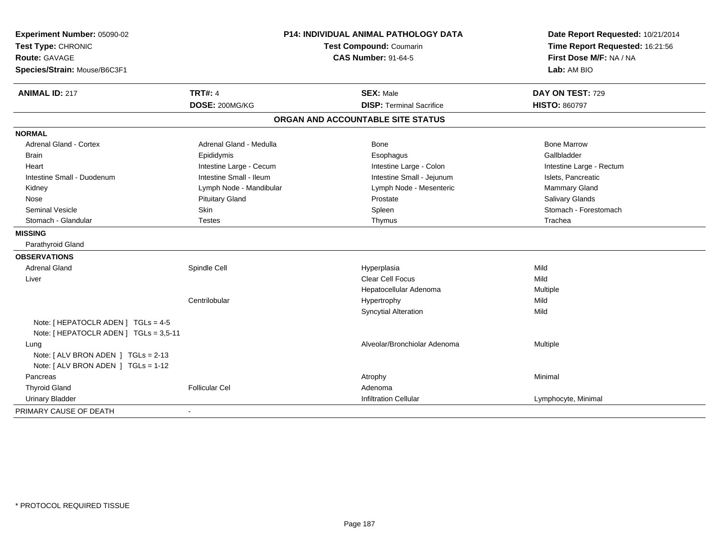| Experiment Number: 05090-02<br>Test Type: CHRONIC<br><b>Route: GAVAGE</b><br>Species/Strain: Mouse/B6C3F1 |                         | <b>P14: INDIVIDUAL ANIMAL PATHOLOGY DATA</b><br>Test Compound: Coumarin<br><b>CAS Number: 91-64-5</b> | Date Report Requested: 10/21/2014<br>Time Report Requested: 16:21:56<br>First Dose M/F: NA / NA<br>Lab: AM BIO |
|-----------------------------------------------------------------------------------------------------------|-------------------------|-------------------------------------------------------------------------------------------------------|----------------------------------------------------------------------------------------------------------------|
| <b>ANIMAL ID: 217</b>                                                                                     | <b>TRT#: 4</b>          | <b>SEX: Male</b>                                                                                      | DAY ON TEST: 729                                                                                               |
|                                                                                                           | DOSE: 200MG/KG          | <b>DISP: Terminal Sacrifice</b>                                                                       | <b>HISTO: 860797</b>                                                                                           |
|                                                                                                           |                         | ORGAN AND ACCOUNTABLE SITE STATUS                                                                     |                                                                                                                |
| <b>NORMAL</b>                                                                                             |                         |                                                                                                       |                                                                                                                |
| <b>Adrenal Gland - Cortex</b>                                                                             | Adrenal Gland - Medulla | Bone                                                                                                  | <b>Bone Marrow</b>                                                                                             |
| <b>Brain</b>                                                                                              | Epididymis              | Esophagus                                                                                             | Gallbladder                                                                                                    |
| Heart                                                                                                     | Intestine Large - Cecum | Intestine Large - Colon                                                                               | Intestine Large - Rectum                                                                                       |
| Intestine Small - Duodenum                                                                                | Intestine Small - Ileum | Intestine Small - Jejunum                                                                             | Islets, Pancreatic                                                                                             |
| Kidney                                                                                                    | Lymph Node - Mandibular | Lymph Node - Mesenteric                                                                               | Mammary Gland                                                                                                  |
| Nose                                                                                                      | <b>Pituitary Gland</b>  | Prostate                                                                                              | Salivary Glands                                                                                                |
| <b>Seminal Vesicle</b>                                                                                    | Skin                    | Spleen                                                                                                | Stomach - Forestomach                                                                                          |
| Stomach - Glandular                                                                                       | <b>Testes</b>           | Thymus                                                                                                | Trachea                                                                                                        |
| <b>MISSING</b>                                                                                            |                         |                                                                                                       |                                                                                                                |
| Parathyroid Gland                                                                                         |                         |                                                                                                       |                                                                                                                |
| <b>OBSERVATIONS</b>                                                                                       |                         |                                                                                                       |                                                                                                                |
| <b>Adrenal Gland</b>                                                                                      | Spindle Cell            | Hyperplasia                                                                                           | Mild                                                                                                           |
| Liver                                                                                                     |                         | <b>Clear Cell Focus</b>                                                                               | Mild                                                                                                           |
|                                                                                                           |                         | Hepatocellular Adenoma                                                                                | Multiple                                                                                                       |
|                                                                                                           | Centrilobular           | Hypertrophy                                                                                           | Mild                                                                                                           |
|                                                                                                           |                         | <b>Syncytial Alteration</b>                                                                           | Mild                                                                                                           |
| Note: [ HEPATOCLR ADEN ] TGLs = 4-5                                                                       |                         |                                                                                                       |                                                                                                                |
| Note: [ HEPATOCLR ADEN ] TGLs = 3,5-11                                                                    |                         |                                                                                                       |                                                                                                                |
| Lung                                                                                                      |                         | Alveolar/Bronchiolar Adenoma                                                                          | Multiple                                                                                                       |
| Note: [ ALV BRON ADEN ] TGLs = 2-13                                                                       |                         |                                                                                                       |                                                                                                                |
| Note: [ ALV BRON ADEN ] TGLs = 1-12                                                                       |                         |                                                                                                       |                                                                                                                |
| Pancreas                                                                                                  |                         | Atrophy                                                                                               | Minimal                                                                                                        |
| <b>Thyroid Gland</b>                                                                                      | <b>Follicular Cel</b>   | Adenoma                                                                                               |                                                                                                                |
| <b>Urinary Bladder</b>                                                                                    |                         | <b>Infiltration Cellular</b>                                                                          | Lymphocyte, Minimal                                                                                            |
| PRIMARY CAUSE OF DEATH                                                                                    |                         |                                                                                                       |                                                                                                                |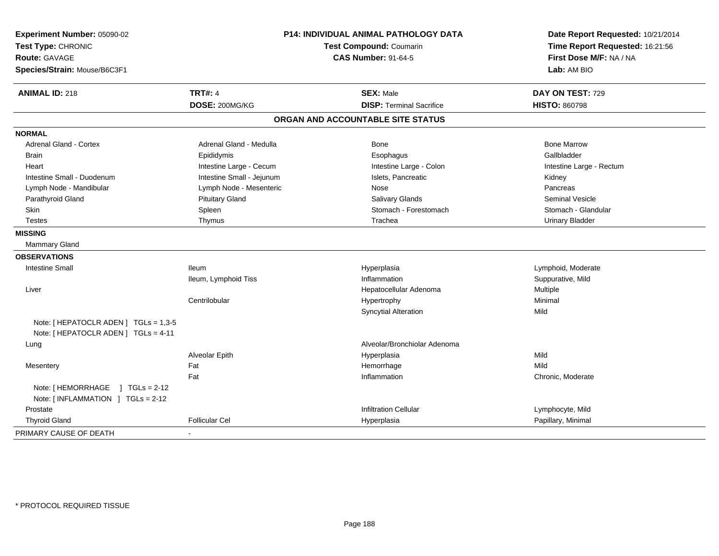| Experiment Number: 05090-02<br>Test Type: CHRONIC<br><b>Route: GAVAGE</b><br>Species/Strain: Mouse/B6C3F1 | <b>P14: INDIVIDUAL ANIMAL PATHOLOGY DATA</b><br><b>Test Compound: Coumarin</b><br><b>CAS Number: 91-64-5</b> |                                   | Date Report Requested: 10/21/2014<br>Time Report Requested: 16:21:56<br>First Dose M/F: NA / NA<br>Lab: AM BIO |
|-----------------------------------------------------------------------------------------------------------|--------------------------------------------------------------------------------------------------------------|-----------------------------------|----------------------------------------------------------------------------------------------------------------|
| <b>ANIMAL ID: 218</b>                                                                                     | <b>TRT#: 4</b>                                                                                               | <b>SEX: Male</b>                  | DAY ON TEST: 729                                                                                               |
|                                                                                                           | DOSE: 200MG/KG                                                                                               | <b>DISP: Terminal Sacrifice</b>   | <b>HISTO: 860798</b>                                                                                           |
|                                                                                                           |                                                                                                              | ORGAN AND ACCOUNTABLE SITE STATUS |                                                                                                                |
| <b>NORMAL</b>                                                                                             |                                                                                                              |                                   |                                                                                                                |
| <b>Adrenal Gland - Cortex</b>                                                                             | Adrenal Gland - Medulla                                                                                      | Bone                              | <b>Bone Marrow</b>                                                                                             |
| <b>Brain</b>                                                                                              | Epididymis                                                                                                   | Esophagus                         | Gallbladder                                                                                                    |
| Heart                                                                                                     | Intestine Large - Cecum                                                                                      | Intestine Large - Colon           | Intestine Large - Rectum                                                                                       |
| Intestine Small - Duodenum                                                                                | Intestine Small - Jejunum                                                                                    | Islets, Pancreatic                | Kidney                                                                                                         |
| Lymph Node - Mandibular                                                                                   | Lymph Node - Mesenteric                                                                                      | Nose                              | Pancreas                                                                                                       |
| Parathyroid Gland                                                                                         | <b>Pituitary Gland</b>                                                                                       | <b>Salivary Glands</b>            | <b>Seminal Vesicle</b>                                                                                         |
| <b>Skin</b>                                                                                               | Spleen                                                                                                       | Stomach - Forestomach             | Stomach - Glandular                                                                                            |
| <b>Testes</b>                                                                                             | Thymus                                                                                                       | Trachea                           | <b>Urinary Bladder</b>                                                                                         |
| <b>MISSING</b>                                                                                            |                                                                                                              |                                   |                                                                                                                |
| Mammary Gland                                                                                             |                                                                                                              |                                   |                                                                                                                |
| <b>OBSERVATIONS</b>                                                                                       |                                                                                                              |                                   |                                                                                                                |
| Intestine Small                                                                                           | <b>Ileum</b>                                                                                                 | Hyperplasia                       | Lymphoid, Moderate                                                                                             |
|                                                                                                           | Ileum, Lymphoid Tiss                                                                                         | Inflammation                      | Suppurative, Mild                                                                                              |
| Liver                                                                                                     |                                                                                                              | Hepatocellular Adenoma            | Multiple                                                                                                       |
|                                                                                                           | Centrilobular                                                                                                | Hypertrophy                       | Minimal                                                                                                        |
|                                                                                                           |                                                                                                              | <b>Syncytial Alteration</b>       | Mild                                                                                                           |
| Note: [ HEPATOCLR ADEN ] TGLs = 1,3-5<br>Note: [ HEPATOCLR ADEN ] TGLs = 4-11                             |                                                                                                              |                                   |                                                                                                                |
| Lung                                                                                                      |                                                                                                              | Alveolar/Bronchiolar Adenoma      |                                                                                                                |
|                                                                                                           | Alveolar Epith                                                                                               | Hyperplasia                       | Mild                                                                                                           |
| Mesentery                                                                                                 | Fat                                                                                                          | Hemorrhage                        | Mild                                                                                                           |
|                                                                                                           | Fat                                                                                                          | Inflammation                      | Chronic, Moderate                                                                                              |
| Note: [HEMORRHAGE ] TGLs = 2-12<br>Note: [INFLAMMATION ] TGLs = 2-12                                      |                                                                                                              |                                   |                                                                                                                |
| Prostate                                                                                                  |                                                                                                              | <b>Infiltration Cellular</b>      | Lymphocyte, Mild                                                                                               |
| <b>Thyroid Gland</b>                                                                                      | <b>Follicular Cel</b>                                                                                        | Hyperplasia                       | Papillary, Minimal                                                                                             |
| PRIMARY CAUSE OF DEATH                                                                                    |                                                                                                              |                                   |                                                                                                                |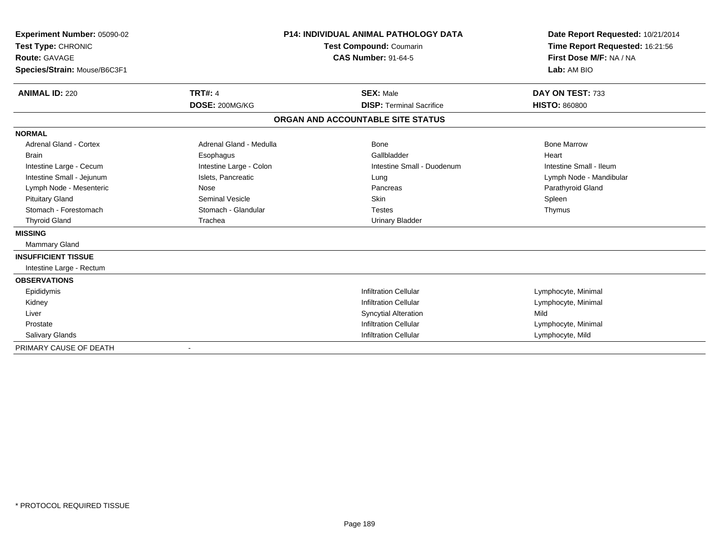| Experiment Number: 05090-02<br>Test Type: CHRONIC |                         | <b>P14: INDIVIDUAL ANIMAL PATHOLOGY DATA</b><br>Test Compound: Coumarin | Date Report Requested: 10/21/2014<br>Time Report Requested: 16:21:56 |
|---------------------------------------------------|-------------------------|-------------------------------------------------------------------------|----------------------------------------------------------------------|
| <b>Route: GAVAGE</b>                              |                         | <b>CAS Number: 91-64-5</b>                                              | First Dose M/F: NA / NA                                              |
|                                                   |                         |                                                                         | Lab: AM BIO                                                          |
| Species/Strain: Mouse/B6C3F1                      |                         |                                                                         |                                                                      |
| <b>ANIMAL ID: 220</b>                             | <b>TRT#: 4</b>          | <b>SEX: Male</b>                                                        | DAY ON TEST: 733                                                     |
|                                                   | DOSE: 200MG/KG          | <b>DISP: Terminal Sacrifice</b>                                         | <b>HISTO: 860800</b>                                                 |
|                                                   |                         | ORGAN AND ACCOUNTABLE SITE STATUS                                       |                                                                      |
| <b>NORMAL</b>                                     |                         |                                                                         |                                                                      |
| <b>Adrenal Gland - Cortex</b>                     | Adrenal Gland - Medulla | Bone                                                                    | <b>Bone Marrow</b>                                                   |
| <b>Brain</b>                                      | Esophagus               | Gallbladder                                                             | Heart                                                                |
| Intestine Large - Cecum                           | Intestine Large - Colon | Intestine Small - Duodenum                                              | Intestine Small - Ileum                                              |
| Intestine Small - Jejunum                         | Islets, Pancreatic      | Lung                                                                    | Lymph Node - Mandibular                                              |
| Lymph Node - Mesenteric                           | Nose                    | Pancreas                                                                | Parathyroid Gland                                                    |
| <b>Pituitary Gland</b>                            | Seminal Vesicle         | <b>Skin</b>                                                             | Spleen                                                               |
| Stomach - Forestomach                             | Stomach - Glandular     | <b>Testes</b>                                                           | Thymus                                                               |
| <b>Thyroid Gland</b>                              | Trachea                 | <b>Urinary Bladder</b>                                                  |                                                                      |
| <b>MISSING</b>                                    |                         |                                                                         |                                                                      |
| Mammary Gland                                     |                         |                                                                         |                                                                      |
| <b>INSUFFICIENT TISSUE</b>                        |                         |                                                                         |                                                                      |
| Intestine Large - Rectum                          |                         |                                                                         |                                                                      |
| <b>OBSERVATIONS</b>                               |                         |                                                                         |                                                                      |
| Epididymis                                        |                         | <b>Infiltration Cellular</b>                                            | Lymphocyte, Minimal                                                  |
| Kidney                                            |                         | <b>Infiltration Cellular</b>                                            | Lymphocyte, Minimal                                                  |
| Liver                                             |                         | <b>Syncytial Alteration</b>                                             | Mild                                                                 |
| Prostate                                          |                         | <b>Infiltration Cellular</b>                                            | Lymphocyte, Minimal                                                  |
| <b>Salivary Glands</b>                            |                         | <b>Infiltration Cellular</b>                                            | Lymphocyte, Mild                                                     |
| PRIMARY CAUSE OF DEATH                            |                         |                                                                         |                                                                      |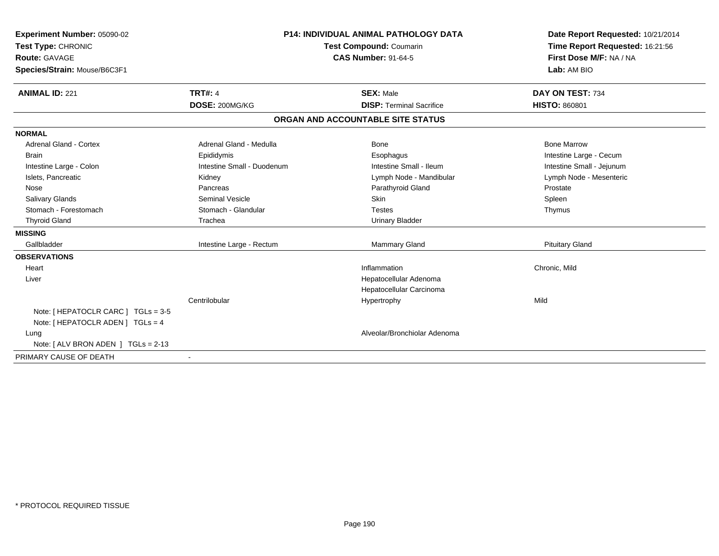| Experiment Number: 05090-02<br>Test Type: CHRONIC                            |                            | <b>P14: INDIVIDUAL ANIMAL PATHOLOGY DATA</b><br><b>Test Compound: Coumarin</b> | Date Report Requested: 10/21/2014<br>Time Report Requested: 16:21:56 |
|------------------------------------------------------------------------------|----------------------------|--------------------------------------------------------------------------------|----------------------------------------------------------------------|
| <b>Route: GAVAGE</b><br>Species/Strain: Mouse/B6C3F1                         |                            | <b>CAS Number: 91-64-5</b>                                                     | First Dose M/F: NA / NA<br>Lab: AM BIO                               |
|                                                                              |                            |                                                                                |                                                                      |
| <b>ANIMAL ID: 221</b>                                                        | <b>TRT#: 4</b>             | <b>SEX: Male</b>                                                               | DAY ON TEST: 734                                                     |
|                                                                              | DOSE: 200MG/KG             | <b>DISP: Terminal Sacrifice</b>                                                | <b>HISTO: 860801</b>                                                 |
|                                                                              |                            | ORGAN AND ACCOUNTABLE SITE STATUS                                              |                                                                      |
| <b>NORMAL</b>                                                                |                            |                                                                                |                                                                      |
| <b>Adrenal Gland - Cortex</b>                                                | Adrenal Gland - Medulla    | Bone                                                                           | <b>Bone Marrow</b>                                                   |
| <b>Brain</b>                                                                 | Epididymis                 | Esophagus                                                                      | Intestine Large - Cecum                                              |
| Intestine Large - Colon                                                      | Intestine Small - Duodenum | Intestine Small - Ileum                                                        | Intestine Small - Jejunum                                            |
| Islets, Pancreatic                                                           | Kidney                     | Lymph Node - Mandibular                                                        | Lymph Node - Mesenteric                                              |
| Nose                                                                         | Pancreas                   | Parathyroid Gland                                                              | Prostate                                                             |
| <b>Salivary Glands</b>                                                       | <b>Seminal Vesicle</b>     | Skin                                                                           | Spleen                                                               |
| Stomach - Forestomach                                                        | Stomach - Glandular        | <b>Testes</b>                                                                  | Thymus                                                               |
| <b>Thyroid Gland</b>                                                         | Trachea                    | <b>Urinary Bladder</b>                                                         |                                                                      |
| <b>MISSING</b>                                                               |                            |                                                                                |                                                                      |
| Gallbladder                                                                  | Intestine Large - Rectum   | <b>Mammary Gland</b>                                                           | <b>Pituitary Gland</b>                                               |
| <b>OBSERVATIONS</b>                                                          |                            |                                                                                |                                                                      |
| Heart                                                                        |                            | Inflammation                                                                   | Chronic, Mild                                                        |
| Liver                                                                        |                            | Hepatocellular Adenoma                                                         |                                                                      |
|                                                                              |                            | Hepatocellular Carcinoma                                                       |                                                                      |
|                                                                              | Centrilobular              | Hypertrophy                                                                    | Mild                                                                 |
| Note: $[$ HEPATOCLR CARC $]$ TGLs = 3-5<br>Note: [ HEPATOCLR ADEN ] TGLs = 4 |                            |                                                                                |                                                                      |
| Lung                                                                         |                            | Alveolar/Bronchiolar Adenoma                                                   |                                                                      |
| Note: $[ALV$ BRON ADEN $]$ TGLs = 2-13                                       |                            |                                                                                |                                                                      |
| PRIMARY CAUSE OF DEATH                                                       |                            |                                                                                |                                                                      |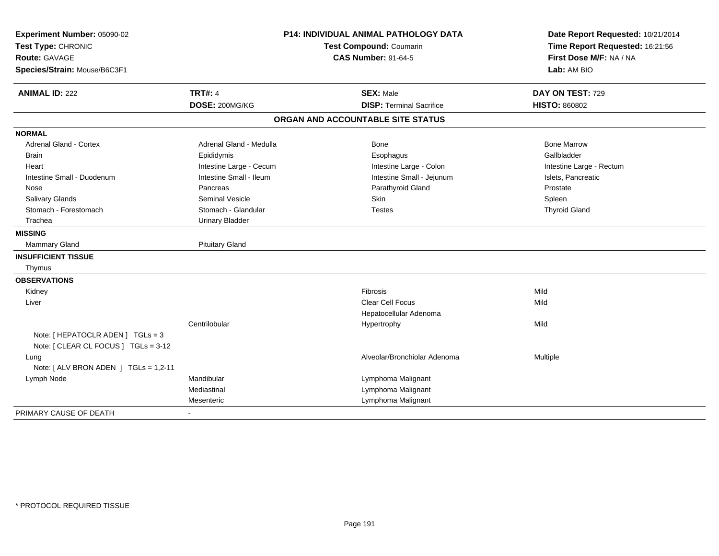| Experiment Number: 05090-02<br>Test Type: CHRONIC |                            | <b>P14: INDIVIDUAL ANIMAL PATHOLOGY DATA</b><br>Test Compound: Coumarin | Date Report Requested: 10/21/2014<br>Time Report Requested: 16:21:56 |  |
|---------------------------------------------------|----------------------------|-------------------------------------------------------------------------|----------------------------------------------------------------------|--|
| Route: GAVAGE                                     | <b>CAS Number: 91-64-5</b> |                                                                         | First Dose M/F: NA / NA                                              |  |
|                                                   |                            |                                                                         | Lab: AM BIO                                                          |  |
| Species/Strain: Mouse/B6C3F1                      |                            |                                                                         |                                                                      |  |
| <b>ANIMAL ID: 222</b>                             | <b>TRT#: 4</b>             | <b>SEX: Male</b>                                                        | DAY ON TEST: 729                                                     |  |
|                                                   | DOSE: 200MG/KG             | <b>DISP: Terminal Sacrifice</b>                                         | <b>HISTO: 860802</b>                                                 |  |
|                                                   |                            | ORGAN AND ACCOUNTABLE SITE STATUS                                       |                                                                      |  |
| <b>NORMAL</b>                                     |                            |                                                                         |                                                                      |  |
| <b>Adrenal Gland - Cortex</b>                     | Adrenal Gland - Medulla    | <b>Bone</b>                                                             | <b>Bone Marrow</b>                                                   |  |
| <b>Brain</b>                                      | Epididymis                 | Esophagus                                                               | Gallbladder                                                          |  |
| Heart                                             | Intestine Large - Cecum    | Intestine Large - Colon                                                 | Intestine Large - Rectum                                             |  |
| Intestine Small - Duodenum                        | Intestine Small - Ileum    | Intestine Small - Jejunum                                               | Islets, Pancreatic                                                   |  |
| Nose                                              | Pancreas                   | Parathyroid Gland                                                       | Prostate                                                             |  |
| Salivary Glands                                   | <b>Seminal Vesicle</b>     | Skin                                                                    | Spleen                                                               |  |
| Stomach - Forestomach                             | Stomach - Glandular        | <b>Testes</b>                                                           | <b>Thyroid Gland</b>                                                 |  |
| Trachea                                           | <b>Urinary Bladder</b>     |                                                                         |                                                                      |  |
| <b>MISSING</b>                                    |                            |                                                                         |                                                                      |  |
| <b>Mammary Gland</b>                              | <b>Pituitary Gland</b>     |                                                                         |                                                                      |  |
| <b>INSUFFICIENT TISSUE</b>                        |                            |                                                                         |                                                                      |  |
| Thymus                                            |                            |                                                                         |                                                                      |  |
| <b>OBSERVATIONS</b>                               |                            |                                                                         |                                                                      |  |
| Kidney                                            |                            | Fibrosis                                                                | Mild                                                                 |  |
| Liver                                             |                            | <b>Clear Cell Focus</b>                                                 | Mild                                                                 |  |
|                                                   |                            | Hepatocellular Adenoma                                                  |                                                                      |  |
|                                                   | Centrilobular              | Hypertrophy                                                             | Mild                                                                 |  |
| Note: [ HEPATOCLR ADEN ] TGLs = 3                 |                            |                                                                         |                                                                      |  |
| Note: [ CLEAR CL FOCUS ] TGLs = 3-12              |                            |                                                                         |                                                                      |  |
| Lung                                              |                            | Alveolar/Bronchiolar Adenoma                                            | Multiple                                                             |  |
| Note: [ ALV BRON ADEN ] TGLs = 1,2-11             |                            |                                                                         |                                                                      |  |
| Lymph Node                                        | Mandibular                 | Lymphoma Malignant                                                      |                                                                      |  |
|                                                   | Mediastinal                | Lymphoma Malignant                                                      |                                                                      |  |
|                                                   | Mesenteric                 | Lymphoma Malignant                                                      |                                                                      |  |
| PRIMARY CAUSE OF DEATH                            |                            |                                                                         |                                                                      |  |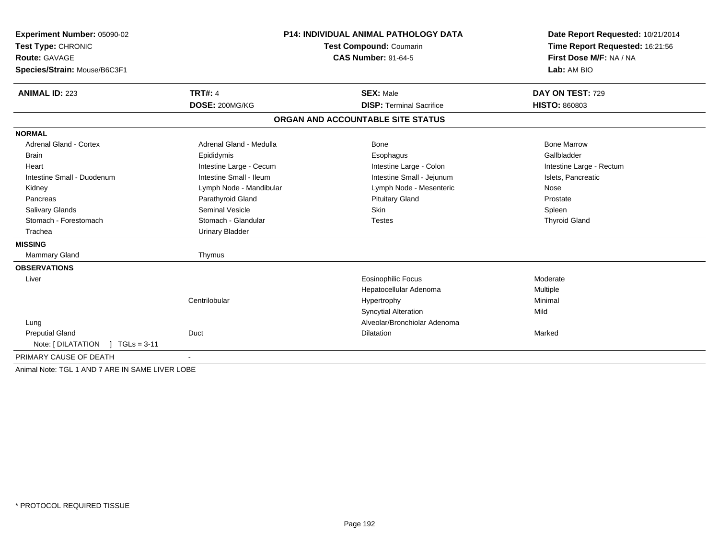| Experiment Number: 05090-02                     | <b>P14: INDIVIDUAL ANIMAL PATHOLOGY DATA</b><br>Test Compound: Coumarin |                                   | Date Report Requested: 10/21/2014 |  |
|-------------------------------------------------|-------------------------------------------------------------------------|-----------------------------------|-----------------------------------|--|
| Test Type: CHRONIC                              |                                                                         |                                   | Time Report Requested: 16:21:56   |  |
| <b>Route: GAVAGE</b>                            |                                                                         | <b>CAS Number: 91-64-5</b>        | First Dose M/F: NA / NA           |  |
| Species/Strain: Mouse/B6C3F1                    |                                                                         |                                   | Lab: AM BIO                       |  |
| <b>ANIMAL ID: 223</b>                           | <b>TRT#: 4</b>                                                          | <b>SEX: Male</b>                  | DAY ON TEST: 729                  |  |
|                                                 | DOSE: 200MG/KG                                                          | <b>DISP: Terminal Sacrifice</b>   | <b>HISTO: 860803</b>              |  |
|                                                 |                                                                         | ORGAN AND ACCOUNTABLE SITE STATUS |                                   |  |
| <b>NORMAL</b>                                   |                                                                         |                                   |                                   |  |
| <b>Adrenal Gland - Cortex</b>                   | Adrenal Gland - Medulla                                                 | Bone                              | <b>Bone Marrow</b>                |  |
| <b>Brain</b>                                    | Epididymis                                                              | Esophagus                         | Gallbladder                       |  |
| Heart                                           | Intestine Large - Cecum                                                 | Intestine Large - Colon           | Intestine Large - Rectum          |  |
| Intestine Small - Duodenum                      | Intestine Small - Ileum                                                 | Intestine Small - Jejunum         | Islets, Pancreatic                |  |
| Kidney                                          | Lymph Node - Mandibular                                                 | Lymph Node - Mesenteric           | Nose                              |  |
| Pancreas                                        | Parathyroid Gland                                                       | <b>Pituitary Gland</b>            | Prostate                          |  |
| Salivary Glands                                 | Seminal Vesicle                                                         | <b>Skin</b>                       | Spleen                            |  |
| Stomach - Forestomach                           | Stomach - Glandular                                                     | <b>Testes</b>                     | <b>Thyroid Gland</b>              |  |
| Trachea                                         | <b>Urinary Bladder</b>                                                  |                                   |                                   |  |
| <b>MISSING</b>                                  |                                                                         |                                   |                                   |  |
| <b>Mammary Gland</b>                            | Thymus                                                                  |                                   |                                   |  |
| <b>OBSERVATIONS</b>                             |                                                                         |                                   |                                   |  |
| Liver                                           |                                                                         | <b>Eosinophilic Focus</b>         | Moderate                          |  |
|                                                 |                                                                         | Hepatocellular Adenoma            | Multiple                          |  |
|                                                 | Centrilobular                                                           | Hypertrophy                       | Minimal                           |  |
|                                                 |                                                                         | <b>Syncytial Alteration</b>       | Mild                              |  |
| Lung                                            |                                                                         | Alveolar/Bronchiolar Adenoma      |                                   |  |
| <b>Preputial Gland</b>                          | Duct                                                                    | Dilatation                        | Marked                            |  |
| Note: $[ DILATATION ] TGLS = 3-11$              |                                                                         |                                   |                                   |  |
| PRIMARY CAUSE OF DEATH                          |                                                                         |                                   |                                   |  |
| Animal Note: TGL 1 AND 7 ARE IN SAME LIVER LOBE |                                                                         |                                   |                                   |  |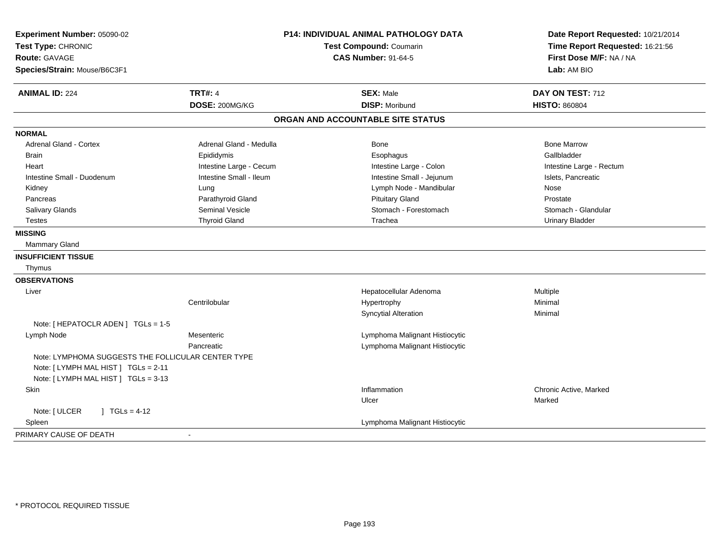| Experiment Number: 05090-02                        | <b>P14: INDIVIDUAL ANIMAL PATHOLOGY DATA</b> | Date Report Requested: 10/21/2014<br>Time Report Requested: 16:21:56 |                          |
|----------------------------------------------------|----------------------------------------------|----------------------------------------------------------------------|--------------------------|
| Test Type: CHRONIC                                 | Test Compound: Coumarin                      |                                                                      |                          |
| <b>Route: GAVAGE</b>                               |                                              | <b>CAS Number: 91-64-5</b>                                           | First Dose M/F: NA / NA  |
| Species/Strain: Mouse/B6C3F1                       |                                              |                                                                      | Lab: AM BIO              |
| <b>ANIMAL ID: 224</b>                              | <b>TRT#: 4</b>                               | <b>SEX: Male</b>                                                     | DAY ON TEST: 712         |
|                                                    | DOSE: 200MG/KG                               | <b>DISP: Moribund</b>                                                | <b>HISTO: 860804</b>     |
|                                                    |                                              | ORGAN AND ACCOUNTABLE SITE STATUS                                    |                          |
| <b>NORMAL</b>                                      |                                              |                                                                      |                          |
| <b>Adrenal Gland - Cortex</b>                      | Adrenal Gland - Medulla                      | Bone                                                                 | <b>Bone Marrow</b>       |
| <b>Brain</b>                                       | Epididymis                                   | Esophagus                                                            | Gallbladder              |
| Heart                                              | Intestine Large - Cecum                      | Intestine Large - Colon                                              | Intestine Large - Rectum |
| Intestine Small - Duodenum                         | Intestine Small - Ileum                      | Intestine Small - Jejunum                                            | Islets, Pancreatic       |
| Kidney                                             | Lung                                         | Lymph Node - Mandibular                                              | Nose                     |
| Pancreas                                           | Parathyroid Gland                            | <b>Pituitary Gland</b>                                               | Prostate                 |
| <b>Salivary Glands</b>                             | <b>Seminal Vesicle</b>                       | Stomach - Forestomach                                                | Stomach - Glandular      |
| <b>Testes</b>                                      | <b>Thyroid Gland</b>                         | Trachea                                                              | <b>Urinary Bladder</b>   |
| <b>MISSING</b>                                     |                                              |                                                                      |                          |
| Mammary Gland                                      |                                              |                                                                      |                          |
| <b>INSUFFICIENT TISSUE</b>                         |                                              |                                                                      |                          |
| Thymus                                             |                                              |                                                                      |                          |
| <b>OBSERVATIONS</b>                                |                                              |                                                                      |                          |
| Liver                                              |                                              | Hepatocellular Adenoma                                               | Multiple                 |
|                                                    | Centrilobular                                | Hypertrophy                                                          | Minimal                  |
|                                                    |                                              | <b>Syncytial Alteration</b>                                          | Minimal                  |
| Note: [ HEPATOCLR ADEN ] TGLs = 1-5                |                                              |                                                                      |                          |
| Lymph Node                                         | Mesenteric                                   | Lymphoma Malignant Histiocytic                                       |                          |
|                                                    | Pancreatic                                   | Lymphoma Malignant Histiocytic                                       |                          |
| Note: LYMPHOMA SUGGESTS THE FOLLICULAR CENTER TYPE |                                              |                                                                      |                          |
| Note: [ LYMPH MAL HIST ] TGLs = 2-11               |                                              |                                                                      |                          |
| Note: [LYMPH MAL HIST] TGLs = 3-13                 |                                              |                                                                      |                          |
| <b>Skin</b>                                        |                                              | Inflammation                                                         | Chronic Active, Marked   |
|                                                    |                                              | Ulcer                                                                | Marked                   |
| Note: [ ULCER<br>] $TGLs = 4-12$                   |                                              |                                                                      |                          |
| Spleen                                             |                                              | Lymphoma Malignant Histiocytic                                       |                          |
| PRIMARY CAUSE OF DEATH                             | $\blacksquare$                               |                                                                      |                          |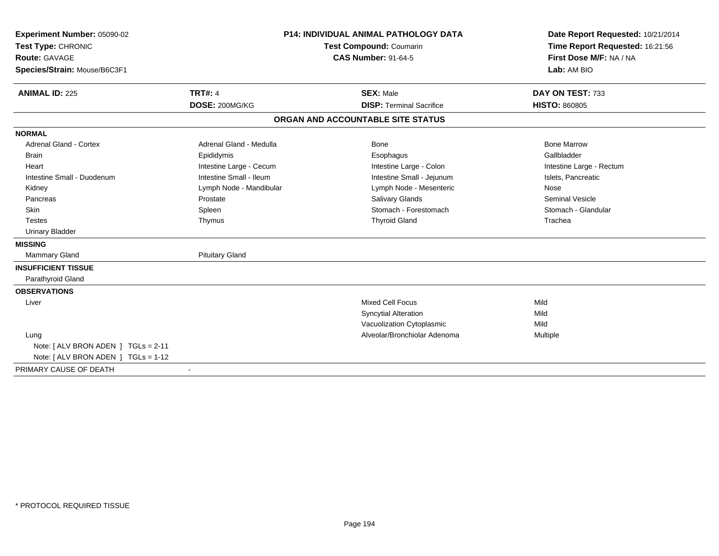| Experiment Number: 05090-02            | <b>P14: INDIVIDUAL ANIMAL PATHOLOGY DATA</b> |                                   | Date Report Requested: 10/21/2014                          |  |
|----------------------------------------|----------------------------------------------|-----------------------------------|------------------------------------------------------------|--|
| Test Type: CHRONIC                     |                                              | <b>Test Compound: Coumarin</b>    | Time Report Requested: 16:21:56<br>First Dose M/F: NA / NA |  |
| <b>Route: GAVAGE</b>                   |                                              | <b>CAS Number: 91-64-5</b>        |                                                            |  |
| Species/Strain: Mouse/B6C3F1           |                                              |                                   | Lab: AM BIO                                                |  |
| <b>ANIMAL ID: 225</b>                  | <b>TRT#: 4</b>                               | <b>SEX: Male</b>                  | DAY ON TEST: 733                                           |  |
|                                        | DOSE: 200MG/KG                               | <b>DISP: Terminal Sacrifice</b>   | <b>HISTO: 860805</b>                                       |  |
|                                        |                                              | ORGAN AND ACCOUNTABLE SITE STATUS |                                                            |  |
| <b>NORMAL</b>                          |                                              |                                   |                                                            |  |
| <b>Adrenal Gland - Cortex</b>          | Adrenal Gland - Medulla                      | <b>Bone</b>                       | <b>Bone Marrow</b>                                         |  |
| <b>Brain</b>                           | Epididymis                                   | Esophagus                         | Gallbladder                                                |  |
| Heart                                  | Intestine Large - Cecum                      | Intestine Large - Colon           | Intestine Large - Rectum                                   |  |
| Intestine Small - Duodenum             | Intestine Small - Ileum                      | Intestine Small - Jejunum         | Islets, Pancreatic                                         |  |
| Kidney                                 | Lymph Node - Mandibular                      | Lymph Node - Mesenteric           | Nose                                                       |  |
| Pancreas                               | Prostate                                     | Salivary Glands                   | <b>Seminal Vesicle</b>                                     |  |
| Skin                                   | Spleen                                       | Stomach - Forestomach             | Stomach - Glandular                                        |  |
| <b>Testes</b>                          | Thymus                                       | <b>Thyroid Gland</b>              | Trachea                                                    |  |
| <b>Urinary Bladder</b>                 |                                              |                                   |                                                            |  |
| <b>MISSING</b>                         |                                              |                                   |                                                            |  |
| <b>Mammary Gland</b>                   | <b>Pituitary Gland</b>                       |                                   |                                                            |  |
| <b>INSUFFICIENT TISSUE</b>             |                                              |                                   |                                                            |  |
| Parathyroid Gland                      |                                              |                                   |                                                            |  |
| <b>OBSERVATIONS</b>                    |                                              |                                   |                                                            |  |
| Liver                                  |                                              | <b>Mixed Cell Focus</b>           | Mild                                                       |  |
|                                        |                                              | <b>Syncytial Alteration</b>       | Mild                                                       |  |
|                                        |                                              | Vacuolization Cytoplasmic         | Mild                                                       |  |
| Lung                                   |                                              | Alveolar/Bronchiolar Adenoma      | Multiple                                                   |  |
| Note: $[ALV$ BRON ADEN $]$ TGLs = 2-11 |                                              |                                   |                                                            |  |
| Note: [ ALV BRON ADEN ] TGLs = 1-12    |                                              |                                   |                                                            |  |
| PRIMARY CAUSE OF DEATH                 | $\sim$                                       |                                   |                                                            |  |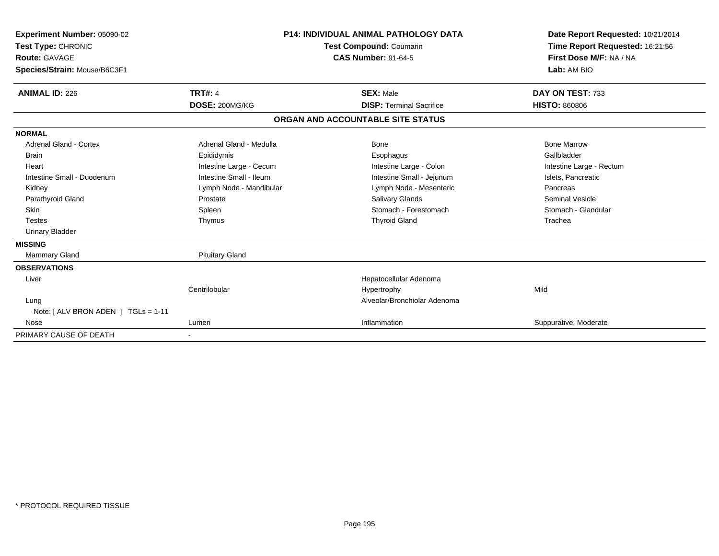| Experiment Number: 05090-02<br>Test Type: CHRONIC<br><b>Route: GAVAGE</b><br>Species/Strain: Mouse/B6C3F1 |                         | <b>P14: INDIVIDUAL ANIMAL PATHOLOGY DATA</b><br>Test Compound: Coumarin<br><b>CAS Number: 91-64-5</b> | Date Report Requested: 10/21/2014<br>Time Report Requested: 16:21:56<br>First Dose M/F: NA / NA<br>Lab: AM BIO |
|-----------------------------------------------------------------------------------------------------------|-------------------------|-------------------------------------------------------------------------------------------------------|----------------------------------------------------------------------------------------------------------------|
| <b>ANIMAL ID: 226</b>                                                                                     | <b>TRT#: 4</b>          | <b>SEX: Male</b>                                                                                      | DAY ON TEST: 733                                                                                               |
|                                                                                                           | DOSE: 200MG/KG          | <b>DISP: Terminal Sacrifice</b>                                                                       | <b>HISTO: 860806</b>                                                                                           |
|                                                                                                           |                         | ORGAN AND ACCOUNTABLE SITE STATUS                                                                     |                                                                                                                |
| <b>NORMAL</b>                                                                                             |                         |                                                                                                       |                                                                                                                |
| <b>Adrenal Gland - Cortex</b>                                                                             | Adrenal Gland - Medulla | <b>Bone</b>                                                                                           | <b>Bone Marrow</b>                                                                                             |
| <b>Brain</b>                                                                                              | Epididymis              | Esophagus                                                                                             | Gallbladder                                                                                                    |
| Heart                                                                                                     | Intestine Large - Cecum | Intestine Large - Colon                                                                               | Intestine Large - Rectum                                                                                       |
| Intestine Small - Duodenum                                                                                | Intestine Small - Ileum | Intestine Small - Jejunum                                                                             | Islets, Pancreatic                                                                                             |
| Kidney                                                                                                    | Lymph Node - Mandibular | Lymph Node - Mesenteric                                                                               | Pancreas                                                                                                       |
| Parathyroid Gland                                                                                         | Prostate                | <b>Salivary Glands</b>                                                                                | <b>Seminal Vesicle</b>                                                                                         |
| <b>Skin</b>                                                                                               | Spleen                  | Stomach - Forestomach                                                                                 | Stomach - Glandular                                                                                            |
| <b>Testes</b>                                                                                             | Thymus                  | <b>Thyroid Gland</b>                                                                                  | Trachea                                                                                                        |
| <b>Urinary Bladder</b>                                                                                    |                         |                                                                                                       |                                                                                                                |
| <b>MISSING</b>                                                                                            |                         |                                                                                                       |                                                                                                                |
| <b>Mammary Gland</b>                                                                                      | <b>Pituitary Gland</b>  |                                                                                                       |                                                                                                                |
| <b>OBSERVATIONS</b>                                                                                       |                         |                                                                                                       |                                                                                                                |
| Liver                                                                                                     |                         | Hepatocellular Adenoma                                                                                |                                                                                                                |
|                                                                                                           | Centrilobular           | Hypertrophy                                                                                           | Mild                                                                                                           |
| Lung                                                                                                      |                         | Alveolar/Bronchiolar Adenoma                                                                          |                                                                                                                |
| Note: $[ALV$ BRON ADEN $]$ TGLs = 1-11                                                                    |                         |                                                                                                       |                                                                                                                |
| Nose                                                                                                      | Lumen                   | Inflammation                                                                                          | Suppurative, Moderate                                                                                          |
| PRIMARY CAUSE OF DEATH                                                                                    |                         |                                                                                                       |                                                                                                                |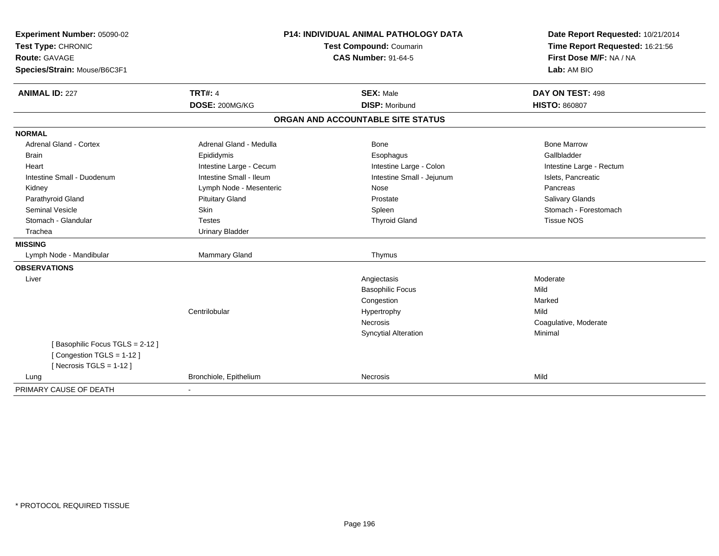| Experiment Number: 05090-02<br>Test Type: CHRONIC<br>Route: GAVAGE<br>Species/Strain: Mouse/B6C3F1 | P14: INDIVIDUAL ANIMAL PATHOLOGY DATA<br>Test Compound: Coumarin<br><b>CAS Number: 91-64-5</b> |                                   | Date Report Requested: 10/21/2014<br>Time Report Requested: 16:21:56<br>First Dose M/F: NA / NA<br>Lab: AM BIO |
|----------------------------------------------------------------------------------------------------|------------------------------------------------------------------------------------------------|-----------------------------------|----------------------------------------------------------------------------------------------------------------|
| <b>ANIMAL ID: 227</b>                                                                              | <b>TRT#: 4</b>                                                                                 | <b>SEX: Male</b>                  | DAY ON TEST: 498                                                                                               |
|                                                                                                    | DOSE: 200MG/KG                                                                                 | <b>DISP: Moribund</b>             | <b>HISTO: 860807</b>                                                                                           |
|                                                                                                    |                                                                                                | ORGAN AND ACCOUNTABLE SITE STATUS |                                                                                                                |
| <b>NORMAL</b>                                                                                      |                                                                                                |                                   |                                                                                                                |
| <b>Adrenal Gland - Cortex</b>                                                                      | Adrenal Gland - Medulla                                                                        | <b>Bone</b>                       | <b>Bone Marrow</b>                                                                                             |
| <b>Brain</b>                                                                                       | Epididymis                                                                                     | Esophagus                         | Gallbladder                                                                                                    |
| Heart                                                                                              | Intestine Large - Cecum                                                                        | Intestine Large - Colon           | Intestine Large - Rectum                                                                                       |
| Intestine Small - Duodenum                                                                         | Intestine Small - Ileum                                                                        | Intestine Small - Jejunum         | Islets, Pancreatic                                                                                             |
| Kidney                                                                                             | Lymph Node - Mesenteric                                                                        | Nose                              | Pancreas                                                                                                       |
| Parathyroid Gland                                                                                  | <b>Pituitary Gland</b>                                                                         | Prostate                          | <b>Salivary Glands</b>                                                                                         |
| <b>Seminal Vesicle</b>                                                                             | <b>Skin</b>                                                                                    | Spleen                            | Stomach - Forestomach                                                                                          |
| Stomach - Glandular                                                                                | <b>Testes</b>                                                                                  | <b>Thyroid Gland</b>              | <b>Tissue NOS</b>                                                                                              |
| Trachea                                                                                            | <b>Urinary Bladder</b>                                                                         |                                   |                                                                                                                |
| <b>MISSING</b>                                                                                     |                                                                                                |                                   |                                                                                                                |
| Lymph Node - Mandibular                                                                            | Mammary Gland                                                                                  | Thymus                            |                                                                                                                |
| <b>OBSERVATIONS</b>                                                                                |                                                                                                |                                   |                                                                                                                |
| Liver                                                                                              |                                                                                                | Angiectasis                       | Moderate                                                                                                       |
|                                                                                                    |                                                                                                | <b>Basophilic Focus</b>           | Mild                                                                                                           |
|                                                                                                    |                                                                                                | Congestion                        | Marked                                                                                                         |
|                                                                                                    | Centrilobular                                                                                  | Hypertrophy                       | Mild                                                                                                           |
|                                                                                                    |                                                                                                | <b>Necrosis</b>                   | Coagulative, Moderate                                                                                          |
|                                                                                                    |                                                                                                | <b>Syncytial Alteration</b>       | Minimal                                                                                                        |
| [Basophilic Focus TGLS = 2-12]<br>[Congestion TGLS = 1-12]                                         |                                                                                                |                                   |                                                                                                                |
| [Necrosis TGLS = $1-12$ ]                                                                          |                                                                                                |                                   |                                                                                                                |
| Lung                                                                                               | Bronchiole, Epithelium                                                                         | Necrosis                          | Mild                                                                                                           |
| PRIMARY CAUSE OF DEATH                                                                             |                                                                                                |                                   |                                                                                                                |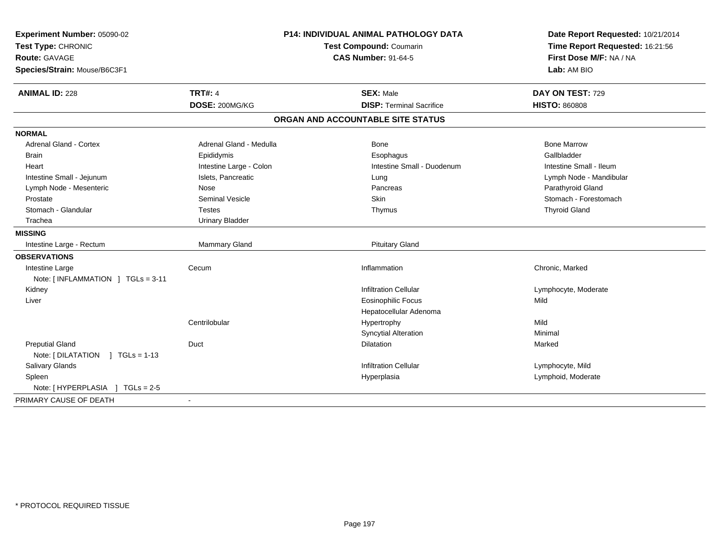| Experiment Number: 05090-02<br>Test Type: CHRONIC<br><b>Route: GAVAGE</b><br>Species/Strain: Mouse/B6C3F1 | P14: INDIVIDUAL ANIMAL PATHOLOGY DATA<br>Test Compound: Coumarin<br><b>CAS Number: 91-64-5</b> |                                                     | Date Report Requested: 10/21/2014<br>Time Report Requested: 16:21:56<br>First Dose M/F: NA / NA<br>Lab: AM BIO |
|-----------------------------------------------------------------------------------------------------------|------------------------------------------------------------------------------------------------|-----------------------------------------------------|----------------------------------------------------------------------------------------------------------------|
| <b>ANIMAL ID: 228</b>                                                                                     | <b>TRT#: 4</b>                                                                                 | <b>SEX: Male</b><br><b>DISP: Terminal Sacrifice</b> | DAY ON TEST: 729<br><b>HISTO: 860808</b>                                                                       |
|                                                                                                           | DOSE: 200MG/KG                                                                                 |                                                     |                                                                                                                |
|                                                                                                           |                                                                                                | ORGAN AND ACCOUNTABLE SITE STATUS                   |                                                                                                                |
| <b>NORMAL</b>                                                                                             |                                                                                                |                                                     |                                                                                                                |
| <b>Adrenal Gland - Cortex</b>                                                                             | Adrenal Gland - Medulla                                                                        | Bone                                                | <b>Bone Marrow</b>                                                                                             |
| <b>Brain</b>                                                                                              | Epididymis                                                                                     | Esophagus                                           | Gallbladder                                                                                                    |
| Heart                                                                                                     | Intestine Large - Colon                                                                        | Intestine Small - Duodenum                          | Intestine Small - Ileum                                                                                        |
| Intestine Small - Jejunum                                                                                 | Islets, Pancreatic                                                                             | Lung                                                | Lymph Node - Mandibular                                                                                        |
| Lymph Node - Mesenteric                                                                                   | Nose                                                                                           | Pancreas                                            | Parathyroid Gland                                                                                              |
| Prostate                                                                                                  | <b>Seminal Vesicle</b>                                                                         | <b>Skin</b>                                         | Stomach - Forestomach                                                                                          |
| Stomach - Glandular                                                                                       | <b>Testes</b>                                                                                  | Thymus                                              | <b>Thyroid Gland</b>                                                                                           |
| Trachea                                                                                                   | <b>Urinary Bladder</b>                                                                         |                                                     |                                                                                                                |
| <b>MISSING</b>                                                                                            |                                                                                                |                                                     |                                                                                                                |
| Intestine Large - Rectum                                                                                  | <b>Mammary Gland</b>                                                                           | <b>Pituitary Gland</b>                              |                                                                                                                |
| <b>OBSERVATIONS</b>                                                                                       |                                                                                                |                                                     |                                                                                                                |
| Intestine Large                                                                                           | Cecum                                                                                          | Inflammation                                        | Chronic, Marked                                                                                                |
| Note: [INFLAMMATION ] TGLs = 3-11                                                                         |                                                                                                |                                                     |                                                                                                                |
| Kidney                                                                                                    |                                                                                                | <b>Infiltration Cellular</b>                        | Lymphocyte, Moderate                                                                                           |
| Liver                                                                                                     |                                                                                                | <b>Eosinophilic Focus</b>                           | Mild                                                                                                           |
|                                                                                                           |                                                                                                | Hepatocellular Adenoma                              |                                                                                                                |
|                                                                                                           | Centrilobular                                                                                  | Hypertrophy                                         | Mild                                                                                                           |
|                                                                                                           |                                                                                                | <b>Syncytial Alteration</b>                         | Minimal                                                                                                        |
| <b>Preputial Gland</b>                                                                                    | Duct                                                                                           | Dilatation                                          | Marked                                                                                                         |
| Note: [ DILATATION<br>$1 TGLs = 1-13$                                                                     |                                                                                                |                                                     |                                                                                                                |
| Salivary Glands                                                                                           |                                                                                                | <b>Infiltration Cellular</b>                        | Lymphocyte, Mild                                                                                               |
| Spleen                                                                                                    |                                                                                                | Hyperplasia                                         | Lymphoid, Moderate                                                                                             |
| Note: [ HYPERPLASIA ] TGLs = 2-5                                                                          |                                                                                                |                                                     |                                                                                                                |
| PRIMARY CAUSE OF DEATH                                                                                    |                                                                                                |                                                     |                                                                                                                |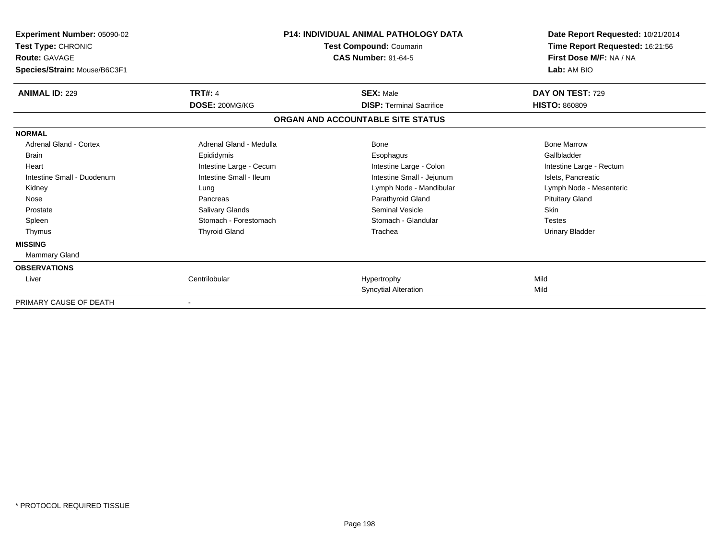| Experiment Number: 05090-02<br><b>Test Type: CHRONIC</b><br><b>Route: GAVAGE</b><br>Species/Strain: Mouse/B6C3F1 | <b>P14: INDIVIDUAL ANIMAL PATHOLOGY DATA</b><br>Test Compound: Coumarin<br><b>CAS Number: 91-64-5</b> |                                   | Date Report Requested: 10/21/2014<br>Time Report Requested: 16:21:56<br>First Dose M/F: NA / NA<br>Lab: AM BIO |
|------------------------------------------------------------------------------------------------------------------|-------------------------------------------------------------------------------------------------------|-----------------------------------|----------------------------------------------------------------------------------------------------------------|
| <b>ANIMAL ID: 229</b>                                                                                            | <b>TRT#: 4</b>                                                                                        | <b>SEX: Male</b>                  | DAY ON TEST: 729                                                                                               |
|                                                                                                                  | DOSE: 200MG/KG                                                                                        | <b>DISP: Terminal Sacrifice</b>   | <b>HISTO: 860809</b>                                                                                           |
|                                                                                                                  |                                                                                                       | ORGAN AND ACCOUNTABLE SITE STATUS |                                                                                                                |
| <b>NORMAL</b>                                                                                                    |                                                                                                       |                                   |                                                                                                                |
| <b>Adrenal Gland - Cortex</b>                                                                                    | Adrenal Gland - Medulla                                                                               | <b>Bone</b>                       | <b>Bone Marrow</b>                                                                                             |
| <b>Brain</b>                                                                                                     | Epididymis                                                                                            | Esophagus                         | Gallbladder                                                                                                    |
| Heart                                                                                                            | Intestine Large - Cecum                                                                               | Intestine Large - Colon           | Intestine Large - Rectum                                                                                       |
| Intestine Small - Duodenum                                                                                       | Intestine Small - Ileum                                                                               | Intestine Small - Jejunum         | Islets, Pancreatic                                                                                             |
| Kidney                                                                                                           | Lung                                                                                                  | Lymph Node - Mandibular           | Lymph Node - Mesenteric                                                                                        |
| Nose                                                                                                             | Pancreas                                                                                              | Parathyroid Gland                 | <b>Pituitary Gland</b>                                                                                         |
| Prostate                                                                                                         | Salivary Glands                                                                                       | <b>Seminal Vesicle</b>            | Skin                                                                                                           |
| Spleen                                                                                                           | Stomach - Forestomach                                                                                 | Stomach - Glandular               | <b>Testes</b>                                                                                                  |
| Thymus                                                                                                           | <b>Thyroid Gland</b>                                                                                  | Trachea                           | Urinary Bladder                                                                                                |
| <b>MISSING</b>                                                                                                   |                                                                                                       |                                   |                                                                                                                |
| <b>Mammary Gland</b>                                                                                             |                                                                                                       |                                   |                                                                                                                |
| <b>OBSERVATIONS</b>                                                                                              |                                                                                                       |                                   |                                                                                                                |
| Liver                                                                                                            | Centrilobular                                                                                         | Hypertrophy                       | Mild                                                                                                           |
|                                                                                                                  |                                                                                                       | <b>Syncytial Alteration</b>       | Mild                                                                                                           |
| PRIMARY CAUSE OF DEATH                                                                                           | $\blacksquare$                                                                                        |                                   |                                                                                                                |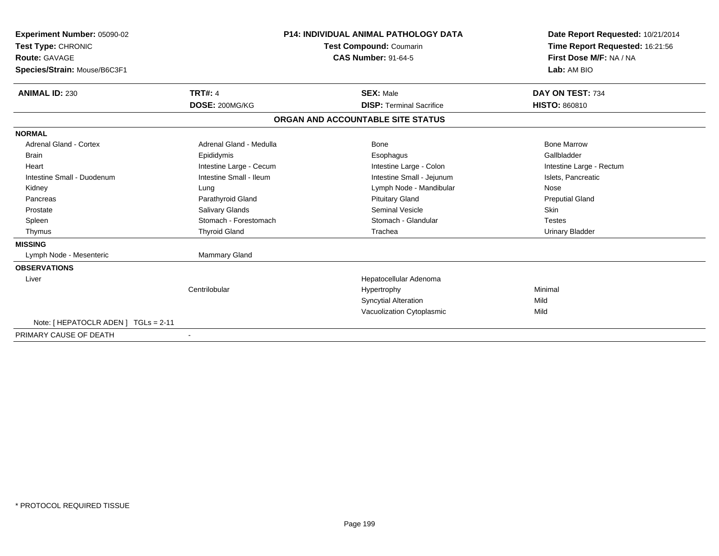| Experiment Number: 05090-02<br>Test Type: CHRONIC<br><b>Route: GAVAGE</b><br>Species/Strain: Mouse/B6C3F1 |                         | <b>P14: INDIVIDUAL ANIMAL PATHOLOGY DATA</b><br>Test Compound: Coumarin<br><b>CAS Number: 91-64-5</b> | Date Report Requested: 10/21/2014<br>Time Report Requested: 16:21:56<br>First Dose M/F: NA / NA<br>Lab: AM BIO |
|-----------------------------------------------------------------------------------------------------------|-------------------------|-------------------------------------------------------------------------------------------------------|----------------------------------------------------------------------------------------------------------------|
| <b>ANIMAL ID: 230</b>                                                                                     | <b>TRT#: 4</b>          | <b>SEX: Male</b>                                                                                      | DAY ON TEST: 734                                                                                               |
|                                                                                                           | DOSE: 200MG/KG          | <b>DISP: Terminal Sacrifice</b>                                                                       | <b>HISTO: 860810</b>                                                                                           |
|                                                                                                           |                         | ORGAN AND ACCOUNTABLE SITE STATUS                                                                     |                                                                                                                |
| <b>NORMAL</b>                                                                                             |                         |                                                                                                       |                                                                                                                |
| <b>Adrenal Gland - Cortex</b>                                                                             | Adrenal Gland - Medulla | Bone                                                                                                  | <b>Bone Marrow</b>                                                                                             |
| <b>Brain</b>                                                                                              | Epididymis              | Esophagus                                                                                             | Gallbladder                                                                                                    |
| Heart                                                                                                     | Intestine Large - Cecum | Intestine Large - Colon                                                                               | Intestine Large - Rectum                                                                                       |
| Intestine Small - Duodenum                                                                                | Intestine Small - Ileum | Intestine Small - Jejunum                                                                             | Islets, Pancreatic                                                                                             |
| Kidney                                                                                                    | Lung                    | Lymph Node - Mandibular                                                                               | Nose                                                                                                           |
| Pancreas                                                                                                  | Parathyroid Gland       | <b>Pituitary Gland</b>                                                                                | <b>Preputial Gland</b>                                                                                         |
| Prostate                                                                                                  | Salivary Glands         | Seminal Vesicle                                                                                       | <b>Skin</b>                                                                                                    |
| Spleen                                                                                                    | Stomach - Forestomach   | Stomach - Glandular                                                                                   | <b>Testes</b>                                                                                                  |
| Thymus                                                                                                    | <b>Thyroid Gland</b>    | Trachea                                                                                               | <b>Urinary Bladder</b>                                                                                         |
| <b>MISSING</b>                                                                                            |                         |                                                                                                       |                                                                                                                |
| Lymph Node - Mesenteric                                                                                   | <b>Mammary Gland</b>    |                                                                                                       |                                                                                                                |
| <b>OBSERVATIONS</b>                                                                                       |                         |                                                                                                       |                                                                                                                |
| Liver                                                                                                     |                         | Hepatocellular Adenoma                                                                                |                                                                                                                |
|                                                                                                           | Centrilobular           | Hypertrophy                                                                                           | Minimal                                                                                                        |
|                                                                                                           |                         | <b>Syncytial Alteration</b>                                                                           | Mild                                                                                                           |
|                                                                                                           |                         | Vacuolization Cytoplasmic                                                                             | Mild                                                                                                           |
| Note: [HEPATOCLR ADEN] TGLs = 2-11                                                                        |                         |                                                                                                       |                                                                                                                |
| PRIMARY CAUSE OF DEATH                                                                                    |                         |                                                                                                       |                                                                                                                |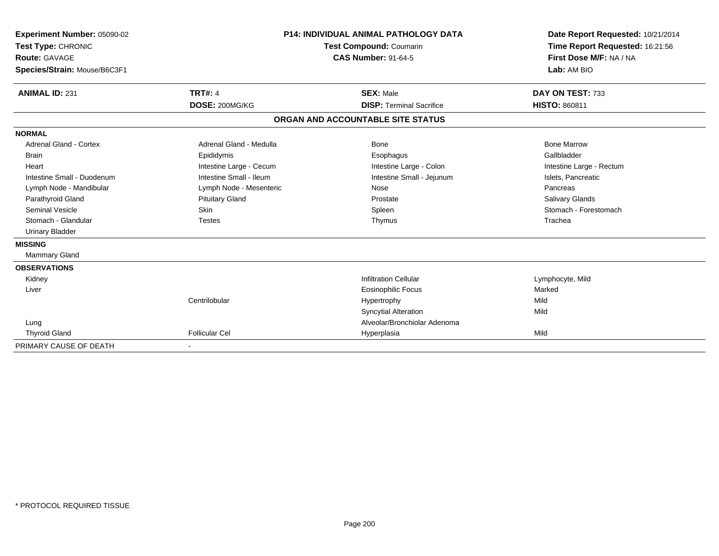| Experiment Number: 05090-02<br>Test Type: CHRONIC<br><b>Route: GAVAGE</b><br>Species/Strain: Mouse/B6C3F1<br><b>ANIMAL ID: 231</b> | <b>TRT#: 4</b><br>DOSE: 200MG/KG | <b>P14: INDIVIDUAL ANIMAL PATHOLOGY DATA</b><br><b>Test Compound: Coumarin</b><br><b>CAS Number: 91-64-5</b><br><b>SEX: Male</b><br><b>DISP: Terminal Sacrifice</b> | Date Report Requested: 10/21/2014<br>Time Report Requested: 16:21:56<br>First Dose M/F: NA / NA<br>Lab: AM BIO<br>DAY ON TEST: 733<br><b>HISTO: 860811</b> |
|------------------------------------------------------------------------------------------------------------------------------------|----------------------------------|---------------------------------------------------------------------------------------------------------------------------------------------------------------------|------------------------------------------------------------------------------------------------------------------------------------------------------------|
|                                                                                                                                    |                                  | ORGAN AND ACCOUNTABLE SITE STATUS                                                                                                                                   |                                                                                                                                                            |
| <b>NORMAL</b>                                                                                                                      |                                  |                                                                                                                                                                     |                                                                                                                                                            |
| Adrenal Gland - Cortex                                                                                                             | Adrenal Gland - Medulla          | Bone                                                                                                                                                                | <b>Bone Marrow</b>                                                                                                                                         |
| <b>Brain</b>                                                                                                                       | Epididymis                       | Esophagus                                                                                                                                                           | Gallbladder                                                                                                                                                |
| Heart                                                                                                                              | Intestine Large - Cecum          | Intestine Large - Colon                                                                                                                                             | Intestine Large - Rectum                                                                                                                                   |
| Intestine Small - Duodenum                                                                                                         | Intestine Small - Ileum          | Intestine Small - Jejunum                                                                                                                                           | Islets, Pancreatic                                                                                                                                         |
| Lymph Node - Mandibular                                                                                                            | Lymph Node - Mesenteric          | Nose                                                                                                                                                                | Pancreas                                                                                                                                                   |
| Parathyroid Gland                                                                                                                  | <b>Pituitary Gland</b>           | Prostate                                                                                                                                                            | Salivary Glands                                                                                                                                            |
| <b>Seminal Vesicle</b>                                                                                                             | Skin                             | Spleen                                                                                                                                                              | Stomach - Forestomach                                                                                                                                      |
| Stomach - Glandular                                                                                                                | <b>Testes</b>                    | Thymus                                                                                                                                                              | Trachea                                                                                                                                                    |
| <b>Urinary Bladder</b>                                                                                                             |                                  |                                                                                                                                                                     |                                                                                                                                                            |
| <b>MISSING</b>                                                                                                                     |                                  |                                                                                                                                                                     |                                                                                                                                                            |
| <b>Mammary Gland</b>                                                                                                               |                                  |                                                                                                                                                                     |                                                                                                                                                            |
| <b>OBSERVATIONS</b>                                                                                                                |                                  |                                                                                                                                                                     |                                                                                                                                                            |
| Kidney                                                                                                                             |                                  | <b>Infiltration Cellular</b>                                                                                                                                        | Lymphocyte, Mild                                                                                                                                           |
| Liver                                                                                                                              |                                  | <b>Eosinophilic Focus</b>                                                                                                                                           | Marked                                                                                                                                                     |
|                                                                                                                                    | Centrilobular                    | Hypertrophy                                                                                                                                                         | Mild                                                                                                                                                       |
|                                                                                                                                    |                                  | <b>Syncytial Alteration</b>                                                                                                                                         | Mild                                                                                                                                                       |
| Lung                                                                                                                               |                                  | Alveolar/Bronchiolar Adenoma                                                                                                                                        |                                                                                                                                                            |
| <b>Thyroid Gland</b>                                                                                                               | <b>Follicular Cel</b>            | Hyperplasia                                                                                                                                                         | Mild                                                                                                                                                       |
| PRIMARY CAUSE OF DEATH                                                                                                             |                                  |                                                                                                                                                                     |                                                                                                                                                            |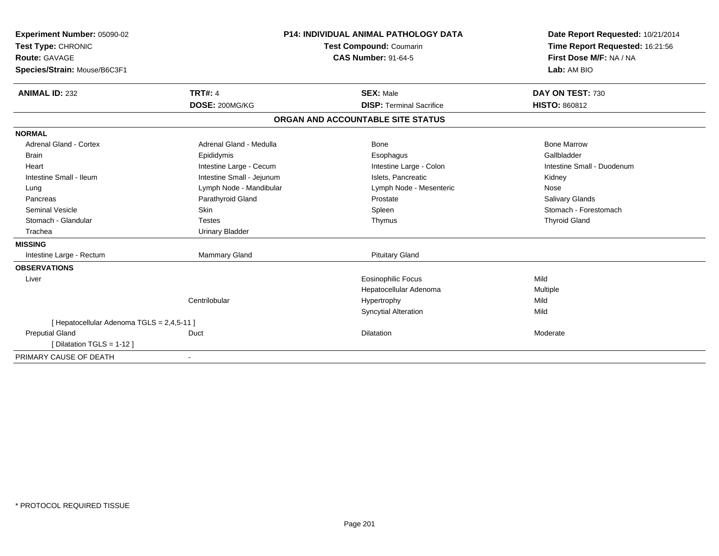| Experiment Number: 05090-02<br>Test Type: CHRONIC<br>Route: GAVAGE<br>Species/Strain: Mouse/B6C3F1 |                                  | <b>P14: INDIVIDUAL ANIMAL PATHOLOGY DATA</b><br>Test Compound: Coumarin<br><b>CAS Number: 91-64-5</b> | Date Report Requested: 10/21/2014<br>Time Report Requested: 16:21:56<br>First Dose M/F: NA / NA<br>Lab: AM BIO |
|----------------------------------------------------------------------------------------------------|----------------------------------|-------------------------------------------------------------------------------------------------------|----------------------------------------------------------------------------------------------------------------|
| <b>ANIMAL ID: 232</b>                                                                              | <b>TRT#: 4</b><br>DOSE: 200MG/KG | <b>SEX: Male</b><br><b>DISP: Terminal Sacrifice</b>                                                   | DAY ON TEST: 730<br><b>HISTO: 860812</b>                                                                       |
|                                                                                                    |                                  |                                                                                                       |                                                                                                                |
|                                                                                                    |                                  | ORGAN AND ACCOUNTABLE SITE STATUS                                                                     |                                                                                                                |
| <b>NORMAL</b>                                                                                      |                                  |                                                                                                       |                                                                                                                |
| <b>Adrenal Gland - Cortex</b>                                                                      | Adrenal Gland - Medulla          | Bone                                                                                                  | <b>Bone Marrow</b>                                                                                             |
| <b>Brain</b>                                                                                       | Epididymis                       | Esophagus                                                                                             | Gallbladder                                                                                                    |
| Heart                                                                                              | Intestine Large - Cecum          | Intestine Large - Colon                                                                               | Intestine Small - Duodenum                                                                                     |
| Intestine Small - Ileum                                                                            | Intestine Small - Jejunum        | Islets. Pancreatic                                                                                    | Kidney                                                                                                         |
| Lung                                                                                               | Lymph Node - Mandibular          | Lymph Node - Mesenteric                                                                               | Nose                                                                                                           |
| Pancreas                                                                                           | Parathyroid Gland                | Prostate                                                                                              | <b>Salivary Glands</b>                                                                                         |
| <b>Seminal Vesicle</b>                                                                             | <b>Skin</b>                      | Spleen                                                                                                | Stomach - Forestomach                                                                                          |
| Stomach - Glandular                                                                                | <b>Testes</b>                    | Thymus                                                                                                | <b>Thyroid Gland</b>                                                                                           |
| Trachea                                                                                            | <b>Urinary Bladder</b>           |                                                                                                       |                                                                                                                |
| <b>MISSING</b>                                                                                     |                                  |                                                                                                       |                                                                                                                |
| Intestine Large - Rectum                                                                           | Mammary Gland                    | <b>Pituitary Gland</b>                                                                                |                                                                                                                |
| <b>OBSERVATIONS</b>                                                                                |                                  |                                                                                                       |                                                                                                                |
| Liver                                                                                              |                                  | <b>Eosinophilic Focus</b>                                                                             | Mild                                                                                                           |
|                                                                                                    |                                  | Hepatocellular Adenoma                                                                                | Multiple                                                                                                       |
|                                                                                                    | Centrilobular                    | Hypertrophy                                                                                           | Mild                                                                                                           |
|                                                                                                    |                                  | <b>Syncytial Alteration</b>                                                                           | Mild                                                                                                           |
| [ Hepatocellular Adenoma TGLS = 2,4,5-11 ]                                                         |                                  |                                                                                                       |                                                                                                                |
| <b>Preputial Gland</b>                                                                             | Duct                             | Dilatation                                                                                            | Moderate                                                                                                       |
| [ Dilatation TGLS = 1-12 ]                                                                         |                                  |                                                                                                       |                                                                                                                |
| PRIMARY CAUSE OF DEATH                                                                             |                                  |                                                                                                       |                                                                                                                |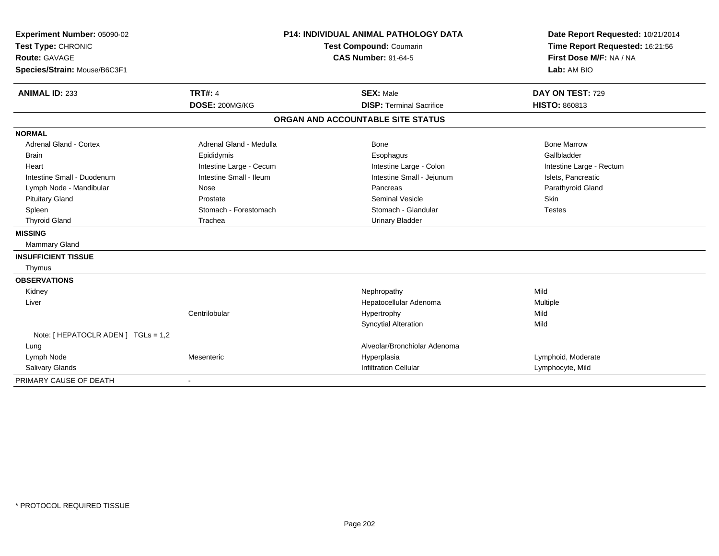| Experiment Number: 05090-02<br>Test Type: CHRONIC<br>Route: GAVAGE<br>Species/Strain: Mouse/B6C3F1 |                          | <b>P14: INDIVIDUAL ANIMAL PATHOLOGY DATA</b><br>Test Compound: Coumarin<br><b>CAS Number: 91-64-5</b> | Date Report Requested: 10/21/2014<br>Time Report Requested: 16:21:56<br>First Dose M/F: NA / NA<br>Lab: AM BIO |
|----------------------------------------------------------------------------------------------------|--------------------------|-------------------------------------------------------------------------------------------------------|----------------------------------------------------------------------------------------------------------------|
|                                                                                                    |                          |                                                                                                       |                                                                                                                |
| <b>ANIMAL ID: 233</b>                                                                              | <b>TRT#: 4</b>           | <b>SEX: Male</b>                                                                                      | DAY ON TEST: 729                                                                                               |
|                                                                                                    | DOSE: 200MG/KG           | <b>DISP: Terminal Sacrifice</b>                                                                       | <b>HISTO: 860813</b>                                                                                           |
|                                                                                                    |                          | ORGAN AND ACCOUNTABLE SITE STATUS                                                                     |                                                                                                                |
| <b>NORMAL</b>                                                                                      |                          |                                                                                                       |                                                                                                                |
| Adrenal Gland - Cortex                                                                             | Adrenal Gland - Medulla  | <b>Bone</b>                                                                                           | <b>Bone Marrow</b>                                                                                             |
| <b>Brain</b>                                                                                       | Epididymis               | Esophagus                                                                                             | Gallbladder                                                                                                    |
| Heart                                                                                              | Intestine Large - Cecum  | Intestine Large - Colon                                                                               | Intestine Large - Rectum                                                                                       |
| Intestine Small - Duodenum                                                                         | Intestine Small - Ileum  | Intestine Small - Jejunum                                                                             | Islets, Pancreatic                                                                                             |
| Lymph Node - Mandibular                                                                            | Nose                     | Pancreas                                                                                              | Parathyroid Gland                                                                                              |
| <b>Pituitary Gland</b>                                                                             | Prostate                 | <b>Seminal Vesicle</b>                                                                                | Skin                                                                                                           |
| Spleen                                                                                             | Stomach - Forestomach    | Stomach - Glandular                                                                                   | <b>Testes</b>                                                                                                  |
| <b>Thyroid Gland</b>                                                                               | Trachea                  | <b>Urinary Bladder</b>                                                                                |                                                                                                                |
| <b>MISSING</b>                                                                                     |                          |                                                                                                       |                                                                                                                |
| <b>Mammary Gland</b>                                                                               |                          |                                                                                                       |                                                                                                                |
| <b>INSUFFICIENT TISSUE</b>                                                                         |                          |                                                                                                       |                                                                                                                |
| Thymus                                                                                             |                          |                                                                                                       |                                                                                                                |
| <b>OBSERVATIONS</b>                                                                                |                          |                                                                                                       |                                                                                                                |
| Kidney                                                                                             |                          | Nephropathy                                                                                           | Mild                                                                                                           |
| Liver                                                                                              |                          | Hepatocellular Adenoma                                                                                | Multiple                                                                                                       |
|                                                                                                    | Centrilobular            | Hypertrophy                                                                                           | Mild                                                                                                           |
|                                                                                                    |                          | <b>Syncytial Alteration</b>                                                                           | Mild                                                                                                           |
| Note: [ HEPATOCLR ADEN ] TGLs = 1,2                                                                |                          |                                                                                                       |                                                                                                                |
| Lung                                                                                               |                          | Alveolar/Bronchiolar Adenoma                                                                          |                                                                                                                |
| Lymph Node                                                                                         | Mesenteric               | Hyperplasia                                                                                           | Lymphoid, Moderate                                                                                             |
| <b>Salivary Glands</b>                                                                             |                          | <b>Infiltration Cellular</b>                                                                          | Lymphocyte, Mild                                                                                               |
| PRIMARY CAUSE OF DEATH                                                                             | $\overline{\phantom{a}}$ |                                                                                                       |                                                                                                                |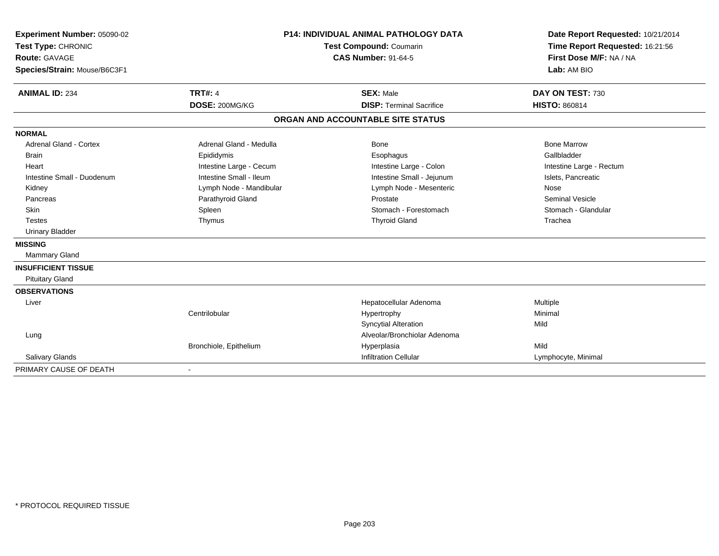| Experiment Number: 05090-02   | <b>P14: INDIVIDUAL ANIMAL PATHOLOGY DATA</b> |                                   | Date Report Requested: 10/21/2014                          |
|-------------------------------|----------------------------------------------|-----------------------------------|------------------------------------------------------------|
| Test Type: CHRONIC            |                                              | Test Compound: Coumarin           | Time Report Requested: 16:21:56<br>First Dose M/F: NA / NA |
| <b>Route: GAVAGE</b>          |                                              | <b>CAS Number: 91-64-5</b>        |                                                            |
| Species/Strain: Mouse/B6C3F1  |                                              |                                   | Lab: AM BIO                                                |
| <b>ANIMAL ID: 234</b>         | <b>TRT#: 4</b>                               | <b>SEX: Male</b>                  | DAY ON TEST: 730                                           |
|                               | DOSE: 200MG/KG                               | <b>DISP: Terminal Sacrifice</b>   | <b>HISTO: 860814</b>                                       |
|                               |                                              | ORGAN AND ACCOUNTABLE SITE STATUS |                                                            |
| <b>NORMAL</b>                 |                                              |                                   |                                                            |
| <b>Adrenal Gland - Cortex</b> | Adrenal Gland - Medulla                      | <b>Bone</b>                       | <b>Bone Marrow</b>                                         |
| <b>Brain</b>                  | Epididymis                                   | Esophagus                         | Gallbladder                                                |
| Heart                         | Intestine Large - Cecum                      | Intestine Large - Colon           | Intestine Large - Rectum                                   |
| Intestine Small - Duodenum    | Intestine Small - Ileum                      | Intestine Small - Jejunum         | Islets, Pancreatic                                         |
| Kidney                        | Lymph Node - Mandibular                      | Lymph Node - Mesenteric           | Nose                                                       |
| Pancreas                      | Parathyroid Gland                            | Prostate                          | <b>Seminal Vesicle</b>                                     |
| <b>Skin</b>                   | Spleen                                       | Stomach - Forestomach             | Stomach - Glandular                                        |
| <b>Testes</b>                 | Thymus                                       | <b>Thyroid Gland</b>              | Trachea                                                    |
| <b>Urinary Bladder</b>        |                                              |                                   |                                                            |
| <b>MISSING</b>                |                                              |                                   |                                                            |
| <b>Mammary Gland</b>          |                                              |                                   |                                                            |
| <b>INSUFFICIENT TISSUE</b>    |                                              |                                   |                                                            |
| <b>Pituitary Gland</b>        |                                              |                                   |                                                            |
| <b>OBSERVATIONS</b>           |                                              |                                   |                                                            |
| Liver                         |                                              | Hepatocellular Adenoma            | Multiple                                                   |
|                               | Centrilobular                                | Hypertrophy                       | Minimal                                                    |
|                               |                                              | <b>Syncytial Alteration</b>       | Mild                                                       |
| Lung                          |                                              | Alveolar/Bronchiolar Adenoma      |                                                            |
|                               | Bronchiole, Epithelium                       | Hyperplasia                       | Mild                                                       |
| <b>Salivary Glands</b>        |                                              | <b>Infiltration Cellular</b>      | Lymphocyte, Minimal                                        |
| PRIMARY CAUSE OF DEATH        | $\blacksquare$                               |                                   |                                                            |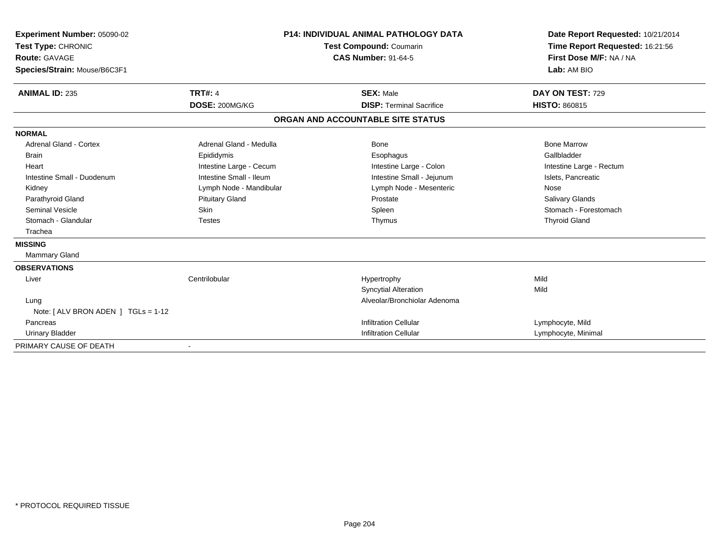| Experiment Number: 05090-02<br>Test Type: CHRONIC<br><b>Route: GAVAGE</b><br>Species/Strain: Mouse/B6C3F1<br><b>ANIMAL ID: 235</b>                                                                                        | <b>P14: INDIVIDUAL ANIMAL PATHOLOGY DATA</b><br><b>Test Compound: Coumarin</b><br><b>CAS Number: 91-64-5</b><br><b>TRT#: 4</b><br><b>SEX: Male</b><br>DOSE: 200MG/KG<br><b>DISP: Terminal Sacrifice</b> |                                                                                                                                      | Date Report Requested: 10/21/2014<br>Time Report Requested: 16:21:56<br>First Dose M/F: NA / NA<br>Lab: AM BIO<br>DAY ON TEST: 729<br><b>HISTO: 860815</b>      |
|---------------------------------------------------------------------------------------------------------------------------------------------------------------------------------------------------------------------------|---------------------------------------------------------------------------------------------------------------------------------------------------------------------------------------------------------|--------------------------------------------------------------------------------------------------------------------------------------|-----------------------------------------------------------------------------------------------------------------------------------------------------------------|
|                                                                                                                                                                                                                           |                                                                                                                                                                                                         | ORGAN AND ACCOUNTABLE SITE STATUS                                                                                                    |                                                                                                                                                                 |
| <b>NORMAL</b>                                                                                                                                                                                                             |                                                                                                                                                                                                         |                                                                                                                                      |                                                                                                                                                                 |
| <b>Adrenal Gland - Cortex</b><br><b>Brain</b><br>Heart<br>Intestine Small - Duodenum<br>Kidney<br>Parathyroid Gland<br><b>Seminal Vesicle</b><br>Stomach - Glandular<br>Trachea<br><b>MISSING</b><br><b>Mammary Gland</b> | Adrenal Gland - Medulla<br>Epididymis<br>Intestine Large - Cecum<br>Intestine Small - Ileum<br>Lymph Node - Mandibular<br><b>Pituitary Gland</b><br>Skin<br><b>Testes</b>                               | Bone<br>Esophagus<br>Intestine Large - Colon<br>Intestine Small - Jejunum<br>Lymph Node - Mesenteric<br>Prostate<br>Spleen<br>Thymus | <b>Bone Marrow</b><br>Gallbladder<br>Intestine Large - Rectum<br>Islets, Pancreatic<br>Nose<br>Salivary Glands<br>Stomach - Forestomach<br><b>Thyroid Gland</b> |
| <b>OBSERVATIONS</b><br>Liver                                                                                                                                                                                              | Centrilobular                                                                                                                                                                                           | Hypertrophy<br><b>Syncytial Alteration</b>                                                                                           | Mild<br>Mild                                                                                                                                                    |
| Lung<br>Note: $[ALV$ BRON ADEN $]$ TGLs = 1-12<br>Pancreas<br><b>Urinary Bladder</b>                                                                                                                                      |                                                                                                                                                                                                         | Alveolar/Bronchiolar Adenoma<br><b>Infiltration Cellular</b><br><b>Infiltration Cellular</b>                                         | Lymphocyte, Mild<br>Lymphocyte, Minimal                                                                                                                         |
| PRIMARY CAUSE OF DEATH                                                                                                                                                                                                    |                                                                                                                                                                                                         |                                                                                                                                      |                                                                                                                                                                 |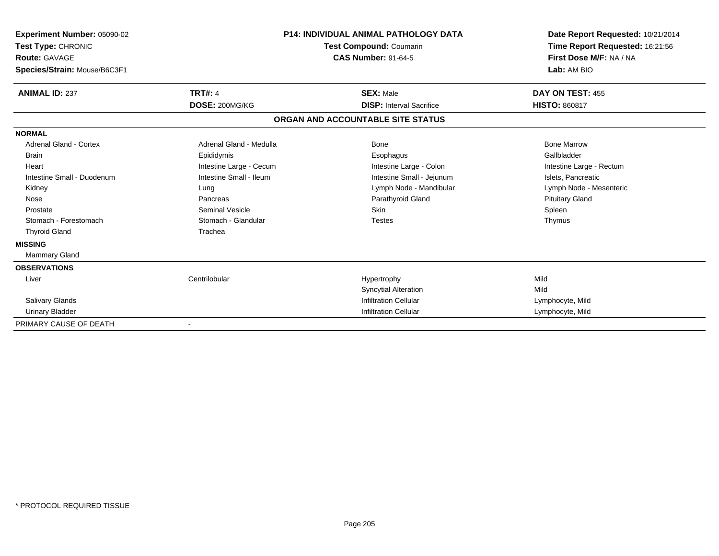| Experiment Number: 05090-02<br>Test Type: CHRONIC<br><b>Route: GAVAGE</b> |                         | <b>P14: INDIVIDUAL ANIMAL PATHOLOGY DATA</b> | Date Report Requested: 10/21/2014<br>Time Report Requested: 16:21:56<br>First Dose M/F: NA / NA |
|---------------------------------------------------------------------------|-------------------------|----------------------------------------------|-------------------------------------------------------------------------------------------------|
|                                                                           |                         | Test Compound: Coumarin                      |                                                                                                 |
|                                                                           |                         | <b>CAS Number: 91-64-5</b>                   |                                                                                                 |
| Species/Strain: Mouse/B6C3F1                                              |                         |                                              | Lab: AM BIO                                                                                     |
| <b>ANIMAL ID: 237</b>                                                     | <b>TRT#: 4</b>          | <b>SEX: Male</b>                             | DAY ON TEST: 455                                                                                |
|                                                                           | DOSE: 200MG/KG          | <b>DISP: Interval Sacrifice</b>              | <b>HISTO: 860817</b>                                                                            |
|                                                                           |                         | ORGAN AND ACCOUNTABLE SITE STATUS            |                                                                                                 |
| <b>NORMAL</b>                                                             |                         |                                              |                                                                                                 |
| <b>Adrenal Gland - Cortex</b>                                             | Adrenal Gland - Medulla | Bone                                         | <b>Bone Marrow</b>                                                                              |
| <b>Brain</b>                                                              | Epididymis              | Esophagus                                    | Gallbladder                                                                                     |
| Heart                                                                     | Intestine Large - Cecum | Intestine Large - Colon                      | Intestine Large - Rectum                                                                        |
| Intestine Small - Duodenum                                                | Intestine Small - Ileum | Intestine Small - Jejunum                    | Islets, Pancreatic                                                                              |
| Kidney                                                                    | Lung                    | Lymph Node - Mandibular                      | Lymph Node - Mesenteric                                                                         |
| Nose                                                                      | Pancreas                | Parathyroid Gland                            | <b>Pituitary Gland</b>                                                                          |
| Prostate                                                                  | <b>Seminal Vesicle</b>  | Skin                                         | Spleen                                                                                          |
| Stomach - Forestomach                                                     | Stomach - Glandular     | <b>Testes</b>                                | Thymus                                                                                          |
| <b>Thyroid Gland</b>                                                      | Trachea                 |                                              |                                                                                                 |
| <b>MISSING</b>                                                            |                         |                                              |                                                                                                 |
| Mammary Gland                                                             |                         |                                              |                                                                                                 |
| <b>OBSERVATIONS</b>                                                       |                         |                                              |                                                                                                 |
| Liver                                                                     | Centrilobular           | Hypertrophy                                  | Mild                                                                                            |
|                                                                           |                         | <b>Syncytial Alteration</b>                  | Mild                                                                                            |
| Salivary Glands                                                           |                         | <b>Infiltration Cellular</b>                 | Lymphocyte, Mild                                                                                |
| <b>Urinary Bladder</b>                                                    |                         | <b>Infiltration Cellular</b>                 | Lymphocyte, Mild                                                                                |
| PRIMARY CAUSE OF DEATH                                                    |                         |                                              |                                                                                                 |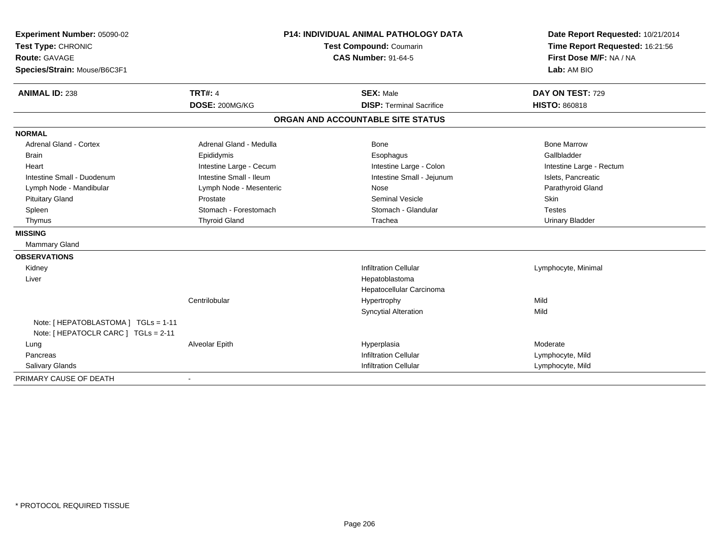| Experiment Number: 05090-02                                                  | P14: INDIVIDUAL ANIMAL PATHOLOGY DATA<br>Test Compound: Coumarin |                                   | Date Report Requested: 10/21/2014 |  |
|------------------------------------------------------------------------------|------------------------------------------------------------------|-----------------------------------|-----------------------------------|--|
| Test Type: CHRONIC                                                           |                                                                  |                                   | Time Report Requested: 16:21:56   |  |
| <b>Route: GAVAGE</b>                                                         |                                                                  | <b>CAS Number: 91-64-5</b>        | First Dose M/F: NA / NA           |  |
| Species/Strain: Mouse/B6C3F1                                                 |                                                                  |                                   | Lab: AM BIO                       |  |
| <b>ANIMAL ID: 238</b>                                                        | <b>TRT#: 4</b>                                                   | <b>SEX: Male</b>                  | DAY ON TEST: 729                  |  |
|                                                                              | DOSE: 200MG/KG                                                   | <b>DISP: Terminal Sacrifice</b>   | <b>HISTO: 860818</b>              |  |
|                                                                              |                                                                  | ORGAN AND ACCOUNTABLE SITE STATUS |                                   |  |
| <b>NORMAL</b>                                                                |                                                                  |                                   |                                   |  |
| <b>Adrenal Gland - Cortex</b>                                                | Adrenal Gland - Medulla                                          | <b>Bone</b>                       | <b>Bone Marrow</b>                |  |
| <b>Brain</b>                                                                 | Epididymis                                                       | Esophagus                         | Gallbladder                       |  |
| Heart                                                                        | Intestine Large - Cecum                                          | Intestine Large - Colon           | Intestine Large - Rectum          |  |
| Intestine Small - Duodenum                                                   | Intestine Small - Ileum                                          | Intestine Small - Jejunum         | Islets, Pancreatic                |  |
| Lymph Node - Mandibular                                                      | Lymph Node - Mesenteric                                          | Nose                              | Parathyroid Gland                 |  |
| <b>Pituitary Gland</b>                                                       | Prostate                                                         | <b>Seminal Vesicle</b>            | <b>Skin</b>                       |  |
| Spleen                                                                       | Stomach - Forestomach                                            | Stomach - Glandular               | <b>Testes</b>                     |  |
| Thymus                                                                       | <b>Thyroid Gland</b>                                             | Trachea                           | <b>Urinary Bladder</b>            |  |
| <b>MISSING</b>                                                               |                                                                  |                                   |                                   |  |
| Mammary Gland                                                                |                                                                  |                                   |                                   |  |
| <b>OBSERVATIONS</b>                                                          |                                                                  |                                   |                                   |  |
| Kidney                                                                       |                                                                  | <b>Infiltration Cellular</b>      | Lymphocyte, Minimal               |  |
| Liver                                                                        |                                                                  | Hepatoblastoma                    |                                   |  |
|                                                                              |                                                                  | Hepatocellular Carcinoma          |                                   |  |
|                                                                              | Centrilobular                                                    | Hypertrophy                       | Mild                              |  |
|                                                                              |                                                                  | <b>Syncytial Alteration</b>       | Mild                              |  |
| Note: [ HEPATOBLASTOMA ] TGLs = 1-11<br>Note: [ HEPATOCLR CARC ] TGLs = 2-11 |                                                                  |                                   |                                   |  |
| Lung                                                                         | Alveolar Epith                                                   | Hyperplasia                       | Moderate                          |  |
| Pancreas                                                                     |                                                                  | <b>Infiltration Cellular</b>      | Lymphocyte, Mild                  |  |
| <b>Salivary Glands</b>                                                       |                                                                  | <b>Infiltration Cellular</b>      | Lymphocyte, Mild                  |  |
| PRIMARY CAUSE OF DEATH                                                       |                                                                  |                                   |                                   |  |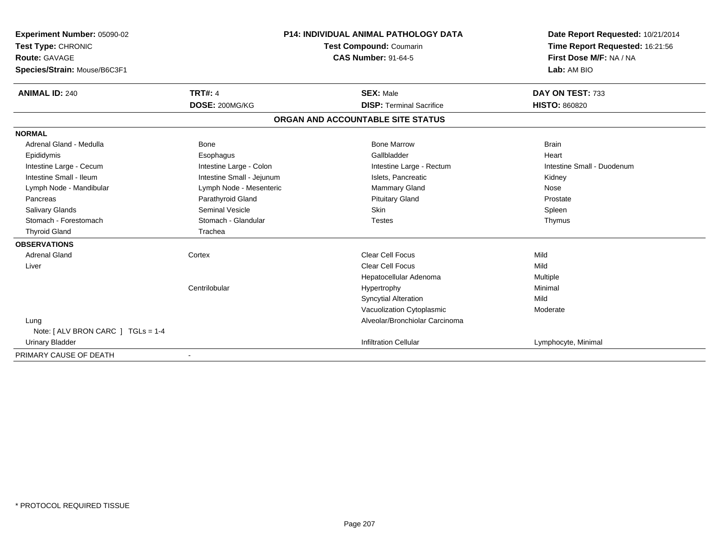| <b>Experiment Number: 05090-02</b><br>Test Type: CHRONIC<br>Route: GAVAGE<br>Species/Strain: Mouse/B6C3F1 |                           | <b>P14: INDIVIDUAL ANIMAL PATHOLOGY DATA</b><br>Test Compound: Coumarin<br><b>CAS Number: 91-64-5</b> | Date Report Requested: 10/21/2014<br>Time Report Requested: 16:21:56<br>First Dose M/F: NA / NA<br>Lab: AM BIO |  |
|-----------------------------------------------------------------------------------------------------------|---------------------------|-------------------------------------------------------------------------------------------------------|----------------------------------------------------------------------------------------------------------------|--|
|                                                                                                           |                           |                                                                                                       |                                                                                                                |  |
| <b>ANIMAL ID: 240</b>                                                                                     | <b>TRT#: 4</b>            | <b>SEX: Male</b>                                                                                      | DAY ON TEST: 733                                                                                               |  |
|                                                                                                           | DOSE: 200MG/KG            | <b>DISP: Terminal Sacrifice</b>                                                                       | <b>HISTO: 860820</b>                                                                                           |  |
|                                                                                                           |                           | ORGAN AND ACCOUNTABLE SITE STATUS                                                                     |                                                                                                                |  |
| <b>NORMAL</b>                                                                                             |                           |                                                                                                       |                                                                                                                |  |
| Adrenal Gland - Medulla                                                                                   | <b>Bone</b>               | <b>Bone Marrow</b>                                                                                    | <b>Brain</b>                                                                                                   |  |
| Epididymis                                                                                                | Esophagus                 | Gallbladder                                                                                           | Heart                                                                                                          |  |
| Intestine Large - Cecum                                                                                   | Intestine Large - Colon   | Intestine Large - Rectum                                                                              | Intestine Small - Duodenum                                                                                     |  |
| Intestine Small - Ileum                                                                                   | Intestine Small - Jejunum | Islets. Pancreatic                                                                                    | Kidney                                                                                                         |  |
| Lymph Node - Mandibular                                                                                   | Lymph Node - Mesenteric   | <b>Mammary Gland</b>                                                                                  | Nose                                                                                                           |  |
| Pancreas                                                                                                  | Parathyroid Gland         | <b>Pituitary Gland</b>                                                                                | Prostate                                                                                                       |  |
| <b>Salivary Glands</b>                                                                                    | <b>Seminal Vesicle</b>    | <b>Skin</b>                                                                                           | Spleen                                                                                                         |  |
| Stomach - Forestomach                                                                                     | Stomach - Glandular       | <b>Testes</b>                                                                                         | Thymus                                                                                                         |  |
| <b>Thyroid Gland</b>                                                                                      | Trachea                   |                                                                                                       |                                                                                                                |  |
| <b>OBSERVATIONS</b>                                                                                       |                           |                                                                                                       |                                                                                                                |  |
| <b>Adrenal Gland</b>                                                                                      | Cortex                    | <b>Clear Cell Focus</b>                                                                               | Mild                                                                                                           |  |
| Liver                                                                                                     |                           | Clear Cell Focus                                                                                      | Mild                                                                                                           |  |
|                                                                                                           |                           | Hepatocellular Adenoma                                                                                | Multiple                                                                                                       |  |
|                                                                                                           | Centrilobular             | Hypertrophy                                                                                           | Minimal                                                                                                        |  |
|                                                                                                           |                           | <b>Syncytial Alteration</b>                                                                           | Mild                                                                                                           |  |
|                                                                                                           |                           | Vacuolization Cytoplasmic                                                                             | Moderate                                                                                                       |  |
| Lung                                                                                                      |                           | Alveolar/Bronchiolar Carcinoma                                                                        |                                                                                                                |  |
| Note: $\lceil$ ALV BRON CARC $\lceil$ TGLs = 1-4                                                          |                           |                                                                                                       |                                                                                                                |  |
| <b>Urinary Bladder</b>                                                                                    |                           | <b>Infiltration Cellular</b>                                                                          | Lymphocyte, Minimal                                                                                            |  |
| PRIMARY CAUSE OF DEATH                                                                                    |                           |                                                                                                       |                                                                                                                |  |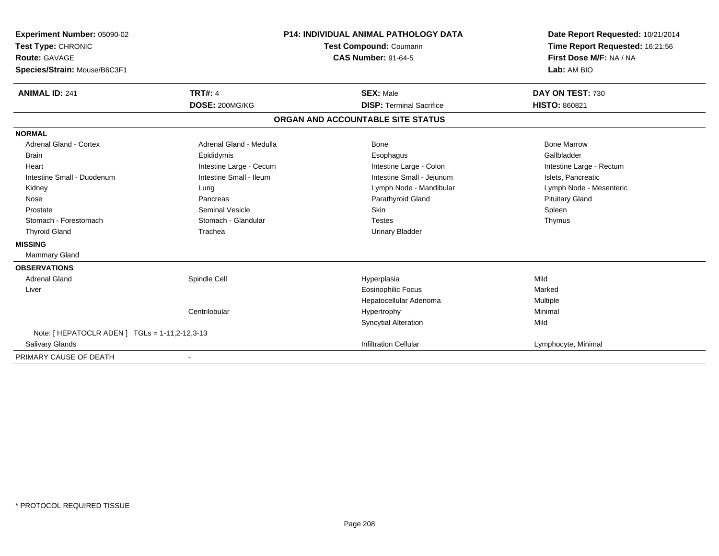| Experiment Number: 05090-02                    | <b>P14: INDIVIDUAL ANIMAL PATHOLOGY DATA</b><br>Test Compound: Coumarin |                                   | Date Report Requested: 10/21/2014 |
|------------------------------------------------|-------------------------------------------------------------------------|-----------------------------------|-----------------------------------|
| Test Type: CHRONIC                             |                                                                         |                                   | Time Report Requested: 16:21:56   |
| <b>Route: GAVAGE</b>                           |                                                                         | <b>CAS Number: 91-64-5</b>        | First Dose M/F: NA / NA           |
| Species/Strain: Mouse/B6C3F1                   |                                                                         |                                   | Lab: AM BIO                       |
| <b>ANIMAL ID: 241</b>                          | <b>TRT#: 4</b>                                                          | <b>SEX: Male</b>                  | DAY ON TEST: 730                  |
|                                                | DOSE: 200MG/KG                                                          | <b>DISP: Terminal Sacrifice</b>   | <b>HISTO: 860821</b>              |
|                                                |                                                                         | ORGAN AND ACCOUNTABLE SITE STATUS |                                   |
| <b>NORMAL</b>                                  |                                                                         |                                   |                                   |
| Adrenal Gland - Cortex                         | Adrenal Gland - Medulla                                                 | <b>Bone</b>                       | <b>Bone Marrow</b>                |
| <b>Brain</b>                                   | Epididymis                                                              | Esophagus                         | Gallbladder                       |
| Heart                                          | Intestine Large - Cecum                                                 | Intestine Large - Colon           | Intestine Large - Rectum          |
| Intestine Small - Duodenum                     | Intestine Small - Ileum                                                 | Intestine Small - Jejunum         | Islets. Pancreatic                |
| Kidney                                         | Lung                                                                    | Lymph Node - Mandibular           | Lymph Node - Mesenteric           |
| Nose                                           | Pancreas                                                                | Parathyroid Gland                 | <b>Pituitary Gland</b>            |
| Prostate                                       | <b>Seminal Vesicle</b>                                                  | <b>Skin</b>                       | Spleen                            |
| Stomach - Forestomach                          | Stomach - Glandular                                                     | <b>Testes</b>                     | Thymus                            |
| <b>Thyroid Gland</b>                           | Trachea                                                                 | <b>Urinary Bladder</b>            |                                   |
| <b>MISSING</b>                                 |                                                                         |                                   |                                   |
| <b>Mammary Gland</b>                           |                                                                         |                                   |                                   |
| <b>OBSERVATIONS</b>                            |                                                                         |                                   |                                   |
| <b>Adrenal Gland</b>                           | Spindle Cell                                                            | Hyperplasia                       | Mild                              |
| Liver                                          |                                                                         | <b>Eosinophilic Focus</b>         | Marked                            |
|                                                |                                                                         | Hepatocellular Adenoma            | Multiple                          |
|                                                | Centrilobular                                                           | Hypertrophy                       | Minimal                           |
|                                                |                                                                         | <b>Syncytial Alteration</b>       | Mild                              |
| Note: [ HEPATOCLR ADEN ] TGLs = 1-11,2-12,3-13 |                                                                         |                                   |                                   |
| <b>Salivary Glands</b>                         |                                                                         | <b>Infiltration Cellular</b>      | Lymphocyte, Minimal               |
| PRIMARY CAUSE OF DEATH                         |                                                                         |                                   |                                   |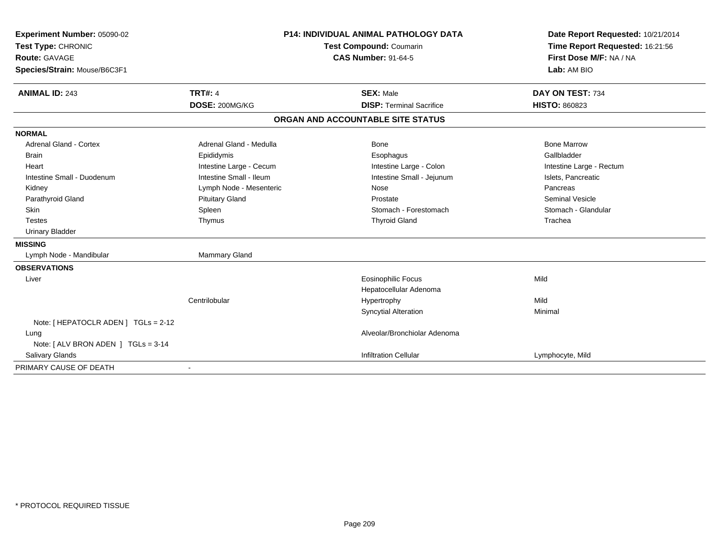| Experiment Number: 05090-02          | <b>P14: INDIVIDUAL ANIMAL PATHOLOGY DATA</b><br>Test Compound: Coumarin<br><b>CAS Number: 91-64-5</b> |                                   | Date Report Requested: 10/21/2014 |  |
|--------------------------------------|-------------------------------------------------------------------------------------------------------|-----------------------------------|-----------------------------------|--|
| Test Type: CHRONIC                   |                                                                                                       |                                   | Time Report Requested: 16:21:56   |  |
| <b>Route: GAVAGE</b>                 |                                                                                                       |                                   | First Dose M/F: NA / NA           |  |
| Species/Strain: Mouse/B6C3F1         |                                                                                                       |                                   | Lab: AM BIO                       |  |
| <b>ANIMAL ID: 243</b>                | <b>TRT#: 4</b>                                                                                        | <b>SEX: Male</b>                  | DAY ON TEST: 734                  |  |
|                                      | DOSE: 200MG/KG                                                                                        | <b>DISP: Terminal Sacrifice</b>   | <b>HISTO: 860823</b>              |  |
|                                      |                                                                                                       | ORGAN AND ACCOUNTABLE SITE STATUS |                                   |  |
| <b>NORMAL</b>                        |                                                                                                       |                                   |                                   |  |
| <b>Adrenal Gland - Cortex</b>        | Adrenal Gland - Medulla                                                                               | Bone                              | <b>Bone Marrow</b>                |  |
| <b>Brain</b>                         | Epididymis                                                                                            | Esophagus                         | Gallbladder                       |  |
| Heart                                | Intestine Large - Cecum                                                                               | Intestine Large - Colon           | Intestine Large - Rectum          |  |
| Intestine Small - Duodenum           | Intestine Small - Ileum                                                                               | Intestine Small - Jejunum         | Islets, Pancreatic                |  |
| Kidney                               | Lymph Node - Mesenteric                                                                               | Nose                              | Pancreas                          |  |
| Parathyroid Gland                    | <b>Pituitary Gland</b>                                                                                | Prostate                          | <b>Seminal Vesicle</b>            |  |
| <b>Skin</b>                          | Spleen                                                                                                | Stomach - Forestomach             | Stomach - Glandular               |  |
| <b>Testes</b>                        | Thymus                                                                                                | <b>Thyroid Gland</b>              | Trachea                           |  |
| <b>Urinary Bladder</b>               |                                                                                                       |                                   |                                   |  |
| <b>MISSING</b>                       |                                                                                                       |                                   |                                   |  |
| Lymph Node - Mandibular              | <b>Mammary Gland</b>                                                                                  |                                   |                                   |  |
| <b>OBSERVATIONS</b>                  |                                                                                                       |                                   |                                   |  |
| Liver                                |                                                                                                       | <b>Eosinophilic Focus</b>         | Mild                              |  |
|                                      |                                                                                                       | Hepatocellular Adenoma            |                                   |  |
|                                      | Centrilobular                                                                                         | Hypertrophy                       | Mild                              |  |
|                                      |                                                                                                       | <b>Syncytial Alteration</b>       | Minimal                           |  |
| Note: [ HEPATOCLR ADEN ] TGLs = 2-12 |                                                                                                       |                                   |                                   |  |
| Lung                                 |                                                                                                       | Alveolar/Bronchiolar Adenoma      |                                   |  |
| Note: [ ALV BRON ADEN ] TGLs = 3-14  |                                                                                                       |                                   |                                   |  |
| <b>Salivary Glands</b>               |                                                                                                       | <b>Infiltration Cellular</b>      | Lymphocyte, Mild                  |  |
| PRIMARY CAUSE OF DEATH               |                                                                                                       |                                   |                                   |  |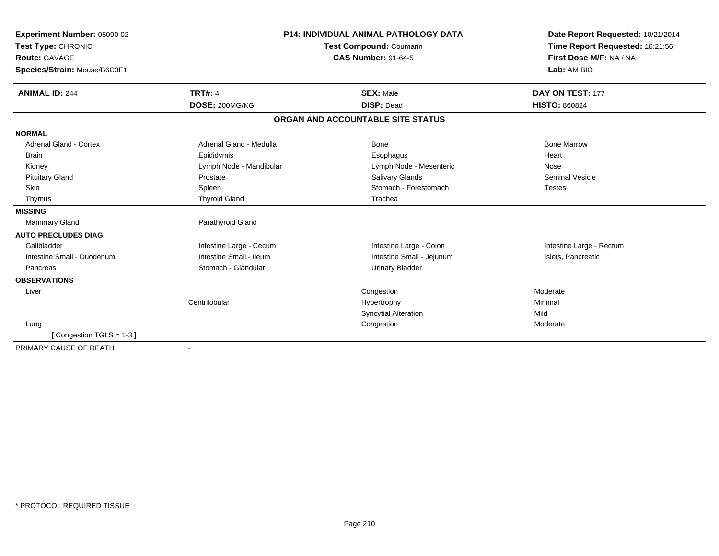| Experiment Number: 05090-02   |                         | <b>P14: INDIVIDUAL ANIMAL PATHOLOGY DATA</b> | Date Report Requested: 10/21/2014<br>Time Report Requested: 16:21:56<br>First Dose M/F: NA / NA |
|-------------------------------|-------------------------|----------------------------------------------|-------------------------------------------------------------------------------------------------|
| Test Type: CHRONIC            |                         | Test Compound: Coumarin                      |                                                                                                 |
| <b>Route: GAVAGE</b>          |                         | <b>CAS Number: 91-64-5</b>                   |                                                                                                 |
| Species/Strain: Mouse/B6C3F1  |                         |                                              | Lab: AM BIO                                                                                     |
| <b>ANIMAL ID: 244</b>         | <b>TRT#: 4</b>          | <b>SEX: Male</b>                             | DAY ON TEST: 177                                                                                |
|                               | DOSE: 200MG/KG          | <b>DISP: Dead</b>                            | <b>HISTO: 860824</b>                                                                            |
|                               |                         | ORGAN AND ACCOUNTABLE SITE STATUS            |                                                                                                 |
| <b>NORMAL</b>                 |                         |                                              |                                                                                                 |
| <b>Adrenal Gland - Cortex</b> | Adrenal Gland - Medulla | Bone                                         | <b>Bone Marrow</b>                                                                              |
| <b>Brain</b>                  | Epididymis              | Esophagus                                    | Heart                                                                                           |
| Kidney                        | Lymph Node - Mandibular | Lymph Node - Mesenteric                      | Nose                                                                                            |
| <b>Pituitary Gland</b>        | Prostate                | <b>Salivary Glands</b>                       | <b>Seminal Vesicle</b>                                                                          |
| <b>Skin</b>                   | Spleen                  | Stomach - Forestomach                        | <b>Testes</b>                                                                                   |
| Thymus                        | <b>Thyroid Gland</b>    | Trachea                                      |                                                                                                 |
| <b>MISSING</b>                |                         |                                              |                                                                                                 |
| <b>Mammary Gland</b>          | Parathyroid Gland       |                                              |                                                                                                 |
| <b>AUTO PRECLUDES DIAG.</b>   |                         |                                              |                                                                                                 |
| Gallbladder                   | Intestine Large - Cecum | Intestine Large - Colon                      | Intestine Large - Rectum                                                                        |
| Intestine Small - Duodenum    | Intestine Small - Ileum | Intestine Small - Jejunum                    | Islets, Pancreatic                                                                              |
| Pancreas                      | Stomach - Glandular     | <b>Urinary Bladder</b>                       |                                                                                                 |
| <b>OBSERVATIONS</b>           |                         |                                              |                                                                                                 |
| Liver                         |                         | Congestion                                   | Moderate                                                                                        |
|                               | Centrilobular           | Hypertrophy                                  | Minimal                                                                                         |
|                               |                         | <b>Syncytial Alteration</b>                  | Mild                                                                                            |
| Lung                          |                         | Congestion                                   | Moderate                                                                                        |
| [Congestion TGLS = 1-3]       |                         |                                              |                                                                                                 |
| PRIMARY CAUSE OF DEATH        |                         |                                              |                                                                                                 |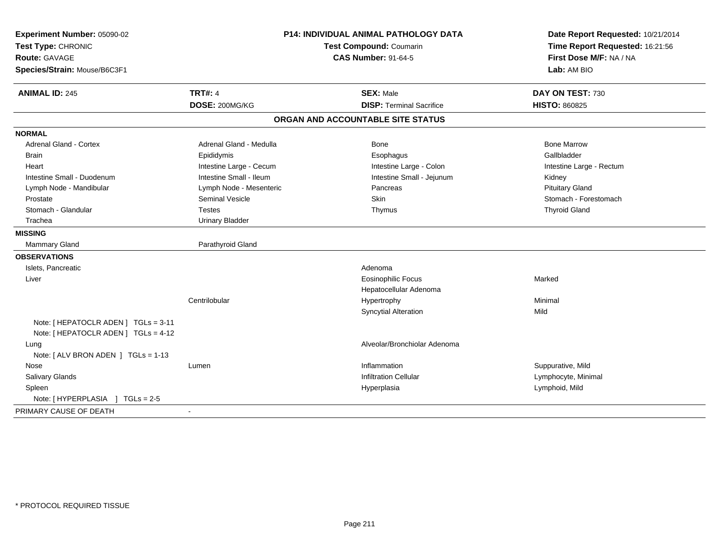| Experiment Number: 05090-02<br>Test Type: CHRONIC<br><b>Route: GAVAGE</b><br>Species/Strain: Mouse/B6C3F1 | <b>P14: INDIVIDUAL ANIMAL PATHOLOGY DATA</b><br>Test Compound: Coumarin<br><b>CAS Number: 91-64-5</b> |                                   | Date Report Requested: 10/21/2014<br>Time Report Requested: 16:21:56<br>First Dose M/F: NA / NA<br>Lab: AM BIO |  |
|-----------------------------------------------------------------------------------------------------------|-------------------------------------------------------------------------------------------------------|-----------------------------------|----------------------------------------------------------------------------------------------------------------|--|
| <b>ANIMAL ID: 245</b>                                                                                     | <b>TRT#: 4</b>                                                                                        | <b>SEX: Male</b>                  | DAY ON TEST: 730                                                                                               |  |
|                                                                                                           | DOSE: 200MG/KG                                                                                        | <b>DISP: Terminal Sacrifice</b>   | <b>HISTO: 860825</b>                                                                                           |  |
|                                                                                                           |                                                                                                       | ORGAN AND ACCOUNTABLE SITE STATUS |                                                                                                                |  |
| <b>NORMAL</b>                                                                                             |                                                                                                       |                                   |                                                                                                                |  |
| Adrenal Gland - Cortex                                                                                    | Adrenal Gland - Medulla                                                                               | Bone                              | <b>Bone Marrow</b>                                                                                             |  |
| <b>Brain</b>                                                                                              | Epididymis                                                                                            | Esophagus                         | Gallbladder                                                                                                    |  |
| Heart                                                                                                     | Intestine Large - Cecum                                                                               | Intestine Large - Colon           | Intestine Large - Rectum                                                                                       |  |
| Intestine Small - Duodenum                                                                                | Intestine Small - Ileum                                                                               | Intestine Small - Jejunum         | Kidney                                                                                                         |  |
| Lymph Node - Mandibular                                                                                   | Lymph Node - Mesenteric                                                                               | Pancreas                          | <b>Pituitary Gland</b>                                                                                         |  |
| Prostate                                                                                                  | <b>Seminal Vesicle</b>                                                                                | Skin                              | Stomach - Forestomach                                                                                          |  |
| Stomach - Glandular                                                                                       | <b>Testes</b>                                                                                         | Thymus                            | <b>Thyroid Gland</b>                                                                                           |  |
| Trachea                                                                                                   | <b>Urinary Bladder</b>                                                                                |                                   |                                                                                                                |  |
| <b>MISSING</b>                                                                                            |                                                                                                       |                                   |                                                                                                                |  |
| <b>Mammary Gland</b>                                                                                      | Parathyroid Gland                                                                                     |                                   |                                                                                                                |  |
| <b>OBSERVATIONS</b>                                                                                       |                                                                                                       |                                   |                                                                                                                |  |
| Islets, Pancreatic                                                                                        |                                                                                                       | Adenoma                           |                                                                                                                |  |
| Liver                                                                                                     |                                                                                                       | <b>Eosinophilic Focus</b>         | Marked                                                                                                         |  |
|                                                                                                           |                                                                                                       | Hepatocellular Adenoma            |                                                                                                                |  |
|                                                                                                           | Centrilobular                                                                                         | Hypertrophy                       | Minimal                                                                                                        |  |
|                                                                                                           |                                                                                                       | <b>Syncytial Alteration</b>       | Mild                                                                                                           |  |
| Note: [ HEPATOCLR ADEN ] TGLs = 3-11<br>Note: [ HEPATOCLR ADEN ] TGLs = 4-12                              |                                                                                                       |                                   |                                                                                                                |  |
| Lung<br>Note: [ ALV BRON ADEN ] TGLs = 1-13                                                               |                                                                                                       | Alveolar/Bronchiolar Adenoma      |                                                                                                                |  |
| Nose                                                                                                      | Lumen                                                                                                 | Inflammation                      | Suppurative, Mild                                                                                              |  |
| <b>Salivary Glands</b>                                                                                    |                                                                                                       | <b>Infiltration Cellular</b>      | Lymphocyte, Minimal                                                                                            |  |
| Spleen                                                                                                    |                                                                                                       | Hyperplasia                       | Lymphoid, Mild                                                                                                 |  |
| Note: [ HYPERPLASIA ] TGLs = 2-5                                                                          |                                                                                                       |                                   |                                                                                                                |  |
| PRIMARY CAUSE OF DEATH                                                                                    |                                                                                                       |                                   |                                                                                                                |  |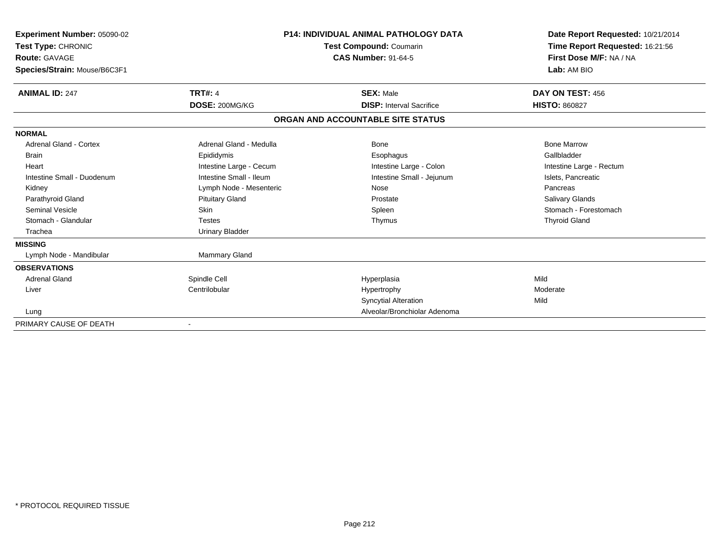| Experiment Number: 05090-02<br>Test Type: CHRONIC<br><b>Route: GAVAGE</b> |                         | <b>P14: INDIVIDUAL ANIMAL PATHOLOGY DATA</b><br>Test Compound: Coumarin<br><b>CAS Number: 91-64-5</b> | Date Report Requested: 10/21/2014<br>Time Report Requested: 16:21:56<br>First Dose M/F: NA / NA |
|---------------------------------------------------------------------------|-------------------------|-------------------------------------------------------------------------------------------------------|-------------------------------------------------------------------------------------------------|
| Species/Strain: Mouse/B6C3F1                                              |                         |                                                                                                       | Lab: AM BIO                                                                                     |
| <b>ANIMAL ID: 247</b>                                                     | <b>TRT#: 4</b>          | <b>SEX: Male</b>                                                                                      | DAY ON TEST: 456                                                                                |
|                                                                           | DOSE: 200MG/KG          | <b>DISP: Interval Sacrifice</b>                                                                       | <b>HISTO: 860827</b>                                                                            |
|                                                                           |                         | ORGAN AND ACCOUNTABLE SITE STATUS                                                                     |                                                                                                 |
| <b>NORMAL</b>                                                             |                         |                                                                                                       |                                                                                                 |
| <b>Adrenal Gland - Cortex</b>                                             | Adrenal Gland - Medulla | Bone                                                                                                  | <b>Bone Marrow</b>                                                                              |
| <b>Brain</b>                                                              | Epididymis              | Esophagus                                                                                             | Gallbladder                                                                                     |
| Heart                                                                     | Intestine Large - Cecum | Intestine Large - Colon                                                                               | Intestine Large - Rectum                                                                        |
| Intestine Small - Duodenum                                                | Intestine Small - Ileum | Intestine Small - Jejunum                                                                             | Islets, Pancreatic                                                                              |
| Kidney                                                                    | Lymph Node - Mesenteric | Nose                                                                                                  | Pancreas                                                                                        |
| Parathyroid Gland                                                         | <b>Pituitary Gland</b>  | Prostate                                                                                              | Salivary Glands                                                                                 |
| <b>Seminal Vesicle</b>                                                    | Skin                    | Spleen                                                                                                | Stomach - Forestomach                                                                           |
| Stomach - Glandular                                                       | <b>Testes</b>           | Thymus                                                                                                | <b>Thyroid Gland</b>                                                                            |
| Trachea                                                                   | <b>Urinary Bladder</b>  |                                                                                                       |                                                                                                 |
| <b>MISSING</b>                                                            |                         |                                                                                                       |                                                                                                 |
| Lymph Node - Mandibular                                                   | <b>Mammary Gland</b>    |                                                                                                       |                                                                                                 |
| <b>OBSERVATIONS</b>                                                       |                         |                                                                                                       |                                                                                                 |
| <b>Adrenal Gland</b>                                                      | Spindle Cell            | Hyperplasia                                                                                           | Mild                                                                                            |
| Liver                                                                     | Centrilobular           | Hypertrophy                                                                                           | Moderate                                                                                        |
|                                                                           |                         | <b>Syncytial Alteration</b>                                                                           | Mild                                                                                            |
| Lung                                                                      |                         | Alveolar/Bronchiolar Adenoma                                                                          |                                                                                                 |
| PRIMARY CAUSE OF DEATH                                                    |                         |                                                                                                       |                                                                                                 |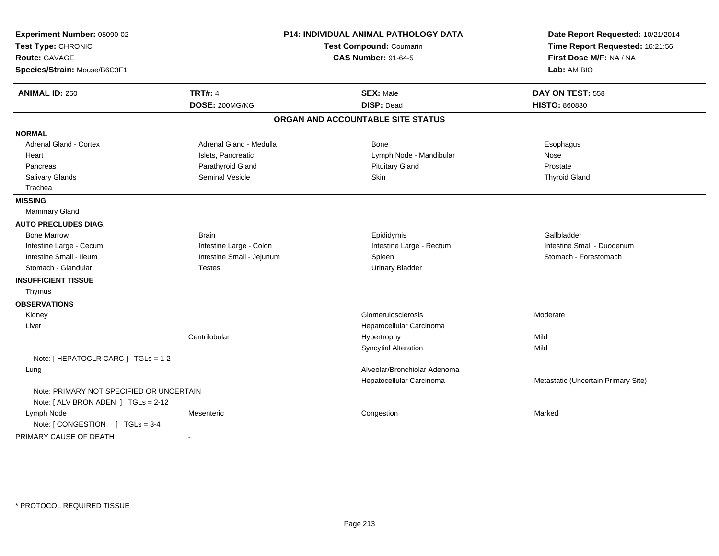| Experiment Number: 05090-02<br>Test Type: CHRONIC<br><b>Route: GAVAGE</b><br>Species/Strain: Mouse/B6C3F1 | P14: INDIVIDUAL ANIMAL PATHOLOGY DATA<br>Test Compound: Coumarin<br><b>CAS Number: 91-64-5</b> |                                       | Date Report Requested: 10/21/2014<br>Time Report Requested: 16:21:56<br>First Dose M/F: NA / NA<br>Lab: AM BIO |
|-----------------------------------------------------------------------------------------------------------|------------------------------------------------------------------------------------------------|---------------------------------------|----------------------------------------------------------------------------------------------------------------|
|                                                                                                           |                                                                                                |                                       |                                                                                                                |
| <b>ANIMAL ID: 250</b>                                                                                     | <b>TRT#: 4</b><br>DOSE: 200MG/KG                                                               | <b>SEX: Male</b><br><b>DISP: Dead</b> | DAY ON TEST: 558<br><b>HISTO: 860830</b>                                                                       |
|                                                                                                           |                                                                                                | ORGAN AND ACCOUNTABLE SITE STATUS     |                                                                                                                |
| <b>NORMAL</b>                                                                                             |                                                                                                |                                       |                                                                                                                |
| Adrenal Gland - Cortex                                                                                    | Adrenal Gland - Medulla                                                                        | Bone                                  | Esophagus                                                                                                      |
| Heart                                                                                                     | Islets, Pancreatic                                                                             | Lymph Node - Mandibular               | Nose                                                                                                           |
| Pancreas                                                                                                  | Parathyroid Gland                                                                              | <b>Pituitary Gland</b>                | Prostate                                                                                                       |
| Salivary Glands                                                                                           | <b>Seminal Vesicle</b>                                                                         | <b>Skin</b>                           | <b>Thyroid Gland</b>                                                                                           |
| Trachea                                                                                                   |                                                                                                |                                       |                                                                                                                |
| <b>MISSING</b>                                                                                            |                                                                                                |                                       |                                                                                                                |
| Mammary Gland                                                                                             |                                                                                                |                                       |                                                                                                                |
| <b>AUTO PRECLUDES DIAG.</b>                                                                               |                                                                                                |                                       |                                                                                                                |
| <b>Bone Marrow</b>                                                                                        | <b>Brain</b>                                                                                   | Epididymis                            | Gallbladder                                                                                                    |
| Intestine Large - Cecum                                                                                   | Intestine Large - Colon                                                                        | Intestine Large - Rectum              | Intestine Small - Duodenum                                                                                     |
| Intestine Small - Ileum                                                                                   | Intestine Small - Jejunum                                                                      | Spleen                                | Stomach - Forestomach                                                                                          |
| Stomach - Glandular                                                                                       | <b>Testes</b>                                                                                  | <b>Urinary Bladder</b>                |                                                                                                                |
| <b>INSUFFICIENT TISSUE</b>                                                                                |                                                                                                |                                       |                                                                                                                |
| Thymus                                                                                                    |                                                                                                |                                       |                                                                                                                |
| <b>OBSERVATIONS</b>                                                                                       |                                                                                                |                                       |                                                                                                                |
| Kidney                                                                                                    |                                                                                                | Glomerulosclerosis                    | Moderate                                                                                                       |
| Liver                                                                                                     |                                                                                                | Hepatocellular Carcinoma              |                                                                                                                |
|                                                                                                           | Centrilobular                                                                                  | Hypertrophy                           | Mild                                                                                                           |
|                                                                                                           |                                                                                                | <b>Syncytial Alteration</b>           | Mild                                                                                                           |
| Note: [ HEPATOCLR CARC ] TGLs = 1-2                                                                       |                                                                                                |                                       |                                                                                                                |
| Lung                                                                                                      |                                                                                                | Alveolar/Bronchiolar Adenoma          |                                                                                                                |
|                                                                                                           |                                                                                                | Hepatocellular Carcinoma              | Metastatic (Uncertain Primary Site)                                                                            |
| Note: PRIMARY NOT SPECIFIED OR UNCERTAIN                                                                  |                                                                                                |                                       |                                                                                                                |
| Note: [ ALV BRON ADEN ] TGLs = 2-12                                                                       |                                                                                                |                                       |                                                                                                                |
| Lymph Node                                                                                                | Mesenteric                                                                                     | Congestion                            | Marked                                                                                                         |
| Note: [ CONGESTION<br>$1 TGLs = 3-4$                                                                      |                                                                                                |                                       |                                                                                                                |
| PRIMARY CAUSE OF DEATH                                                                                    | $\overline{\phantom{a}}$                                                                       |                                       |                                                                                                                |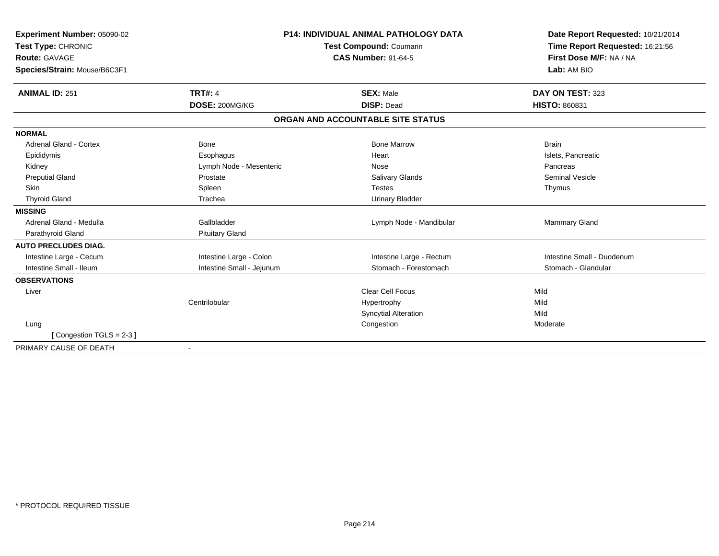| Experiment Number: 05090-02  |                           | <b>P14: INDIVIDUAL ANIMAL PATHOLOGY DATA</b> | Date Report Requested: 10/21/2014 |  |
|------------------------------|---------------------------|----------------------------------------------|-----------------------------------|--|
| Test Type: CHRONIC           |                           | Test Compound: Coumarin                      | Time Report Requested: 16:21:56   |  |
| <b>Route: GAVAGE</b>         |                           | <b>CAS Number: 91-64-5</b>                   | First Dose M/F: NA / NA           |  |
| Species/Strain: Mouse/B6C3F1 |                           |                                              | Lab: AM BIO                       |  |
| <b>ANIMAL ID: 251</b>        | <b>TRT#: 4</b>            | <b>SEX: Male</b>                             | DAY ON TEST: 323                  |  |
|                              | DOSE: 200MG/KG            | <b>DISP: Dead</b>                            | <b>HISTO: 860831</b>              |  |
|                              |                           | ORGAN AND ACCOUNTABLE SITE STATUS            |                                   |  |
| <b>NORMAL</b>                |                           |                                              |                                   |  |
| Adrenal Gland - Cortex       | Bone                      | <b>Bone Marrow</b>                           | <b>Brain</b>                      |  |
| Epididymis                   | Esophagus                 | Heart                                        | Islets, Pancreatic                |  |
| Kidney                       | Lymph Node - Mesenteric   | Nose                                         | Pancreas                          |  |
| <b>Preputial Gland</b>       | Prostate                  | <b>Salivary Glands</b>                       | <b>Seminal Vesicle</b>            |  |
| <b>Skin</b>                  | Spleen                    | <b>Testes</b>                                | Thymus                            |  |
| <b>Thyroid Gland</b>         | Trachea                   | <b>Urinary Bladder</b>                       |                                   |  |
| <b>MISSING</b>               |                           |                                              |                                   |  |
| Adrenal Gland - Medulla      | Gallbladder               | Lymph Node - Mandibular                      | Mammary Gland                     |  |
| Parathyroid Gland            | <b>Pituitary Gland</b>    |                                              |                                   |  |
| <b>AUTO PRECLUDES DIAG.</b>  |                           |                                              |                                   |  |
| Intestine Large - Cecum      | Intestine Large - Colon   | Intestine Large - Rectum                     | Intestine Small - Duodenum        |  |
| Intestine Small - Ileum      | Intestine Small - Jejunum | Stomach - Forestomach                        | Stomach - Glandular               |  |
| <b>OBSERVATIONS</b>          |                           |                                              |                                   |  |
| Liver                        |                           | <b>Clear Cell Focus</b>                      | Mild                              |  |
|                              | Centrilobular             | Hypertrophy                                  | Mild                              |  |
|                              |                           | <b>Syncytial Alteration</b>                  | Mild                              |  |
| Lung                         |                           | Congestion                                   | Moderate                          |  |
| [Congestion TGLS = $2-3$ ]   |                           |                                              |                                   |  |
| PRIMARY CAUSE OF DEATH       |                           |                                              |                                   |  |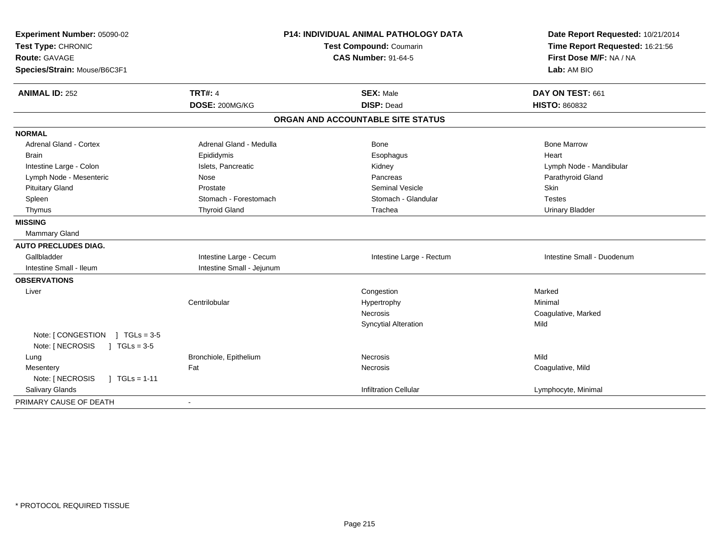| Experiment Number: 05090-02         | P14: INDIVIDUAL ANIMAL PATHOLOGY DATA<br>Test Compound: Coumarin |                                   | Date Report Requested: 10/21/2014 |  |
|-------------------------------------|------------------------------------------------------------------|-----------------------------------|-----------------------------------|--|
| Test Type: CHRONIC                  |                                                                  |                                   | Time Report Requested: 16:21:56   |  |
| Route: GAVAGE                       |                                                                  | <b>CAS Number: 91-64-5</b>        | First Dose M/F: NA / NA           |  |
| Species/Strain: Mouse/B6C3F1        |                                                                  |                                   | Lab: AM BIO                       |  |
| <b>ANIMAL ID: 252</b>               | <b>TRT#: 4</b>                                                   | <b>SEX: Male</b>                  | DAY ON TEST: 661                  |  |
|                                     | DOSE: 200MG/KG                                                   | <b>DISP: Dead</b>                 | <b>HISTO: 860832</b>              |  |
|                                     |                                                                  | ORGAN AND ACCOUNTABLE SITE STATUS |                                   |  |
| <b>NORMAL</b>                       |                                                                  |                                   |                                   |  |
| <b>Adrenal Gland - Cortex</b>       | Adrenal Gland - Medulla                                          | Bone                              | <b>Bone Marrow</b>                |  |
| <b>Brain</b>                        | Epididymis                                                       | Esophagus                         | Heart                             |  |
| Intestine Large - Colon             | Islets, Pancreatic                                               | Kidney                            | Lymph Node - Mandibular           |  |
| Lymph Node - Mesenteric             | Nose                                                             | Pancreas                          | Parathyroid Gland                 |  |
| <b>Pituitary Gland</b>              | Prostate                                                         | <b>Seminal Vesicle</b>            | <b>Skin</b>                       |  |
| Spleen                              | Stomach - Forestomach                                            | Stomach - Glandular               | <b>Testes</b>                     |  |
| Thymus                              | <b>Thyroid Gland</b>                                             | Trachea                           | <b>Urinary Bladder</b>            |  |
| <b>MISSING</b>                      |                                                                  |                                   |                                   |  |
| Mammary Gland                       |                                                                  |                                   |                                   |  |
| <b>AUTO PRECLUDES DIAG.</b>         |                                                                  |                                   |                                   |  |
| Gallbladder                         | Intestine Large - Cecum                                          | Intestine Large - Rectum          | Intestine Small - Duodenum        |  |
| Intestine Small - Ileum             | Intestine Small - Jejunum                                        |                                   |                                   |  |
| <b>OBSERVATIONS</b>                 |                                                                  |                                   |                                   |  |
| Liver                               |                                                                  | Congestion                        | Marked                            |  |
|                                     | Centrilobular                                                    | Hypertrophy                       | Minimal                           |  |
|                                     |                                                                  | Necrosis                          | Coagulative, Marked               |  |
|                                     |                                                                  | <b>Syncytial Alteration</b>       | Mild                              |  |
| Note: [CONGESTION ] TGLs = 3-5      |                                                                  |                                   |                                   |  |
| Note: [ NECROSIS<br>$1 TGLs = 3-5$  |                                                                  |                                   |                                   |  |
| Lung                                | Bronchiole, Epithelium                                           | <b>Necrosis</b>                   | Mild                              |  |
| Mesentery                           | Fat                                                              | Necrosis                          | Coagulative, Mild                 |  |
| Note: [ NECROSIS<br>$1 TGLs = 1-11$ |                                                                  |                                   |                                   |  |
| Salivary Glands                     |                                                                  | <b>Infiltration Cellular</b>      | Lymphocyte, Minimal               |  |
| PRIMARY CAUSE OF DEATH              | $\blacksquare$                                                   |                                   |                                   |  |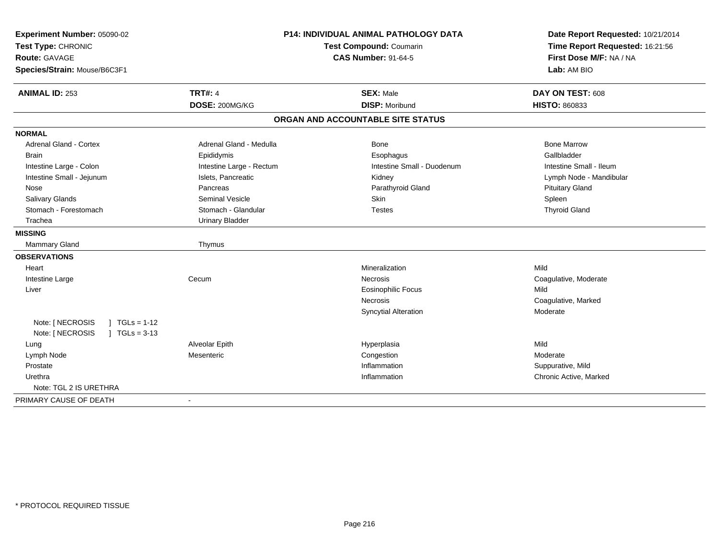| Experiment Number: 05090-02<br>Test Type: CHRONIC<br><b>Route: GAVAGE</b><br>Species/Strain: Mouse/B6C3F1 | <b>P14: INDIVIDUAL ANIMAL PATHOLOGY DATA</b><br><b>Test Compound: Coumarin</b><br><b>CAS Number: 91-64-5</b> |                                   | Date Report Requested: 10/21/2014<br>Time Report Requested: 16:21:56<br>First Dose M/F: NA / NA<br>Lab: AM BIO |  |
|-----------------------------------------------------------------------------------------------------------|--------------------------------------------------------------------------------------------------------------|-----------------------------------|----------------------------------------------------------------------------------------------------------------|--|
| <b>ANIMAL ID: 253</b>                                                                                     | <b>TRT#: 4</b>                                                                                               | <b>SEX: Male</b>                  | DAY ON TEST: 608                                                                                               |  |
|                                                                                                           | DOSE: 200MG/KG                                                                                               | <b>DISP: Moribund</b>             | <b>HISTO: 860833</b>                                                                                           |  |
|                                                                                                           |                                                                                                              | ORGAN AND ACCOUNTABLE SITE STATUS |                                                                                                                |  |
| <b>NORMAL</b>                                                                                             |                                                                                                              |                                   |                                                                                                                |  |
| <b>Adrenal Gland - Cortex</b>                                                                             | Adrenal Gland - Medulla                                                                                      | Bone                              | <b>Bone Marrow</b>                                                                                             |  |
| <b>Brain</b>                                                                                              | Epididymis                                                                                                   | Esophagus                         | Gallbladder                                                                                                    |  |
| Intestine Large - Colon                                                                                   | Intestine Large - Rectum                                                                                     | Intestine Small - Duodenum        | Intestine Small - Ileum                                                                                        |  |
| Intestine Small - Jejunum                                                                                 | Islets, Pancreatic                                                                                           | Kidney                            | Lymph Node - Mandibular                                                                                        |  |
| Nose                                                                                                      | Pancreas                                                                                                     | Parathyroid Gland                 | <b>Pituitary Gland</b>                                                                                         |  |
| Salivary Glands                                                                                           | <b>Seminal Vesicle</b>                                                                                       | Skin                              | Spleen                                                                                                         |  |
| Stomach - Forestomach                                                                                     | Stomach - Glandular                                                                                          | <b>Testes</b>                     | <b>Thyroid Gland</b>                                                                                           |  |
| Trachea                                                                                                   | <b>Urinary Bladder</b>                                                                                       |                                   |                                                                                                                |  |
| <b>MISSING</b>                                                                                            |                                                                                                              |                                   |                                                                                                                |  |
| Mammary Gland                                                                                             | Thymus                                                                                                       |                                   |                                                                                                                |  |
| <b>OBSERVATIONS</b>                                                                                       |                                                                                                              |                                   |                                                                                                                |  |
| Heart                                                                                                     |                                                                                                              | Mineralization                    | Mild                                                                                                           |  |
| Intestine Large                                                                                           | Cecum                                                                                                        | <b>Necrosis</b>                   | Coagulative, Moderate                                                                                          |  |
| Liver                                                                                                     |                                                                                                              | <b>Eosinophilic Focus</b>         | Mild                                                                                                           |  |
|                                                                                                           |                                                                                                              | Necrosis                          | Coagulative, Marked                                                                                            |  |
|                                                                                                           |                                                                                                              | <b>Syncytial Alteration</b>       | Moderate                                                                                                       |  |
| Note: [ NECROSIS<br>$1 TGLs = 1-12$                                                                       |                                                                                                              |                                   |                                                                                                                |  |
| Note: [ NECROSIS<br>$1 \text{ TGLs} = 3-13$                                                               |                                                                                                              |                                   |                                                                                                                |  |
| Lung                                                                                                      | Alveolar Epith                                                                                               | Hyperplasia                       | Mild                                                                                                           |  |
| Lymph Node                                                                                                | Mesenteric                                                                                                   | Congestion                        | Moderate                                                                                                       |  |
| Prostate                                                                                                  |                                                                                                              | Inflammation                      | Suppurative, Mild                                                                                              |  |
| Urethra                                                                                                   |                                                                                                              | Inflammation                      | Chronic Active, Marked                                                                                         |  |
| Note: TGL 2 IS URETHRA                                                                                    |                                                                                                              |                                   |                                                                                                                |  |
| PRIMARY CAUSE OF DEATH                                                                                    | $\blacksquare$                                                                                               |                                   |                                                                                                                |  |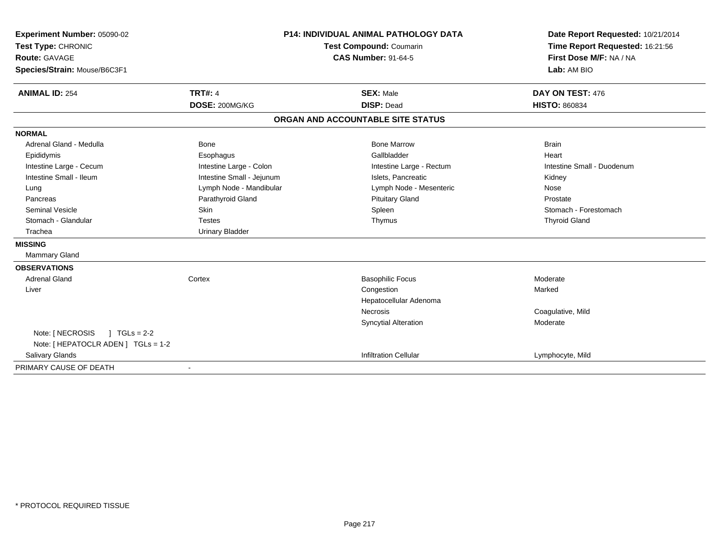| Experiment Number: 05090-02         | <b>P14: INDIVIDUAL ANIMAL PATHOLOGY DATA</b><br><b>Test Compound: Coumarin</b><br><b>CAS Number: 91-64-5</b> |                                   | Date Report Requested: 10/21/2014 |  |
|-------------------------------------|--------------------------------------------------------------------------------------------------------------|-----------------------------------|-----------------------------------|--|
| Test Type: CHRONIC                  |                                                                                                              |                                   | Time Report Requested: 16:21:56   |  |
| <b>Route: GAVAGE</b>                |                                                                                                              |                                   | First Dose M/F: NA / NA           |  |
| Species/Strain: Mouse/B6C3F1        |                                                                                                              |                                   | Lab: AM BIO                       |  |
| <b>ANIMAL ID: 254</b>               | <b>TRT#: 4</b>                                                                                               | <b>SEX: Male</b>                  | DAY ON TEST: 476                  |  |
|                                     | DOSE: 200MG/KG                                                                                               | <b>DISP: Dead</b>                 | <b>HISTO: 860834</b>              |  |
|                                     |                                                                                                              | ORGAN AND ACCOUNTABLE SITE STATUS |                                   |  |
| <b>NORMAL</b>                       |                                                                                                              |                                   |                                   |  |
| Adrenal Gland - Medulla             | <b>Bone</b>                                                                                                  | <b>Bone Marrow</b>                | <b>Brain</b>                      |  |
| Epididymis                          | Esophagus                                                                                                    | Gallbladder                       | Heart                             |  |
| Intestine Large - Cecum             | Intestine Large - Colon                                                                                      | Intestine Large - Rectum          | Intestine Small - Duodenum        |  |
| Intestine Small - Ileum             | Intestine Small - Jejunum                                                                                    | Islets, Pancreatic                | Kidney                            |  |
| Lung                                | Lymph Node - Mandibular                                                                                      | Lymph Node - Mesenteric           | Nose                              |  |
| Pancreas                            | Parathyroid Gland                                                                                            | <b>Pituitary Gland</b>            | Prostate                          |  |
| <b>Seminal Vesicle</b>              | Skin                                                                                                         | Spleen                            | Stomach - Forestomach             |  |
| Stomach - Glandular                 | <b>Testes</b>                                                                                                | Thymus                            | <b>Thyroid Gland</b>              |  |
| Trachea                             | <b>Urinary Bladder</b>                                                                                       |                                   |                                   |  |
| <b>MISSING</b>                      |                                                                                                              |                                   |                                   |  |
| Mammary Gland                       |                                                                                                              |                                   |                                   |  |
| <b>OBSERVATIONS</b>                 |                                                                                                              |                                   |                                   |  |
| <b>Adrenal Gland</b>                | Cortex                                                                                                       | <b>Basophilic Focus</b>           | Moderate                          |  |
| Liver                               |                                                                                                              | Congestion                        | Marked                            |  |
|                                     |                                                                                                              | Hepatocellular Adenoma            |                                   |  |
|                                     |                                                                                                              | <b>Necrosis</b>                   | Coagulative, Mild                 |  |
|                                     |                                                                                                              | <b>Syncytial Alteration</b>       | Moderate                          |  |
| Note: [ NECROSIS<br>$1 TGLs = 2-2$  |                                                                                                              |                                   |                                   |  |
| Note: [ HEPATOCLR ADEN ] TGLs = 1-2 |                                                                                                              |                                   |                                   |  |
| Salivary Glands                     |                                                                                                              | <b>Infiltration Cellular</b>      | Lymphocyte, Mild                  |  |
| PRIMARY CAUSE OF DEATH              |                                                                                                              |                                   |                                   |  |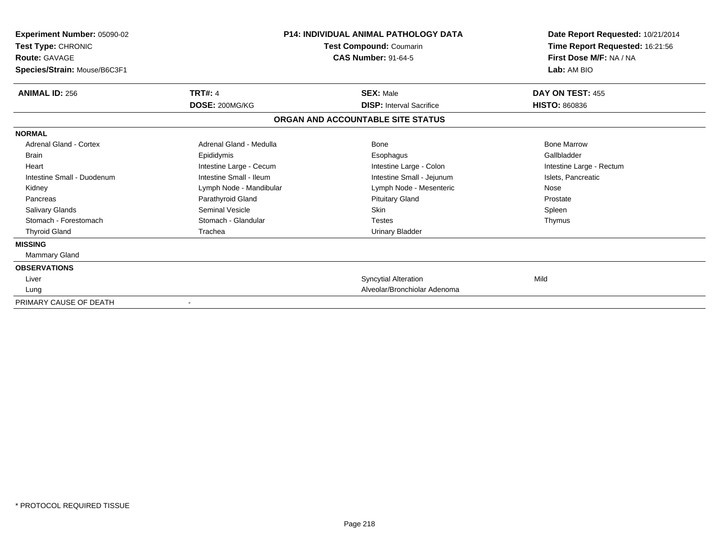| <b>Experiment Number: 05090-02</b><br><b>Test Type: CHRONIC</b><br><b>Route: GAVAGE</b><br>Species/Strain: Mouse/B6C3F1 |                         | <b>P14: INDIVIDUAL ANIMAL PATHOLOGY DATA</b><br>Test Compound: Coumarin<br><b>CAS Number: 91-64-5</b> | Date Report Requested: 10/21/2014<br>Time Report Requested: 16:21:56<br>First Dose M/F: NA / NA<br>Lab: AM BIO |
|-------------------------------------------------------------------------------------------------------------------------|-------------------------|-------------------------------------------------------------------------------------------------------|----------------------------------------------------------------------------------------------------------------|
| <b>ANIMAL ID: 256</b>                                                                                                   | <b>TRT#: 4</b>          | <b>SEX: Male</b>                                                                                      | DAY ON TEST: 455                                                                                               |
|                                                                                                                         | DOSE: 200MG/KG          | <b>DISP: Interval Sacrifice</b>                                                                       | <b>HISTO: 860836</b>                                                                                           |
|                                                                                                                         |                         | ORGAN AND ACCOUNTABLE SITE STATUS                                                                     |                                                                                                                |
| <b>NORMAL</b>                                                                                                           |                         |                                                                                                       |                                                                                                                |
| <b>Adrenal Gland - Cortex</b>                                                                                           | Adrenal Gland - Medulla | Bone                                                                                                  | <b>Bone Marrow</b>                                                                                             |
| <b>Brain</b>                                                                                                            | Epididymis              | Esophagus                                                                                             | Gallbladder                                                                                                    |
| Heart                                                                                                                   | Intestine Large - Cecum | Intestine Large - Colon                                                                               | Intestine Large - Rectum                                                                                       |
| Intestine Small - Duodenum                                                                                              | Intestine Small - Ileum | Intestine Small - Jejunum                                                                             | Islets, Pancreatic                                                                                             |
| Kidney                                                                                                                  | Lymph Node - Mandibular | Lymph Node - Mesenteric                                                                               | Nose                                                                                                           |
| Pancreas                                                                                                                | Parathyroid Gland       | <b>Pituitary Gland</b>                                                                                | Prostate                                                                                                       |
| <b>Salivary Glands</b>                                                                                                  | Seminal Vesicle         | Skin                                                                                                  | Spleen                                                                                                         |
| Stomach - Forestomach                                                                                                   | Stomach - Glandular     | <b>Testes</b>                                                                                         | Thymus                                                                                                         |
| <b>Thyroid Gland</b>                                                                                                    | Trachea                 | Urinary Bladder                                                                                       |                                                                                                                |
| <b>MISSING</b>                                                                                                          |                         |                                                                                                       |                                                                                                                |
| <b>Mammary Gland</b>                                                                                                    |                         |                                                                                                       |                                                                                                                |
| <b>OBSERVATIONS</b>                                                                                                     |                         |                                                                                                       |                                                                                                                |
| Liver                                                                                                                   |                         | <b>Syncytial Alteration</b>                                                                           | Mild                                                                                                           |
| Lung                                                                                                                    |                         | Alveolar/Bronchiolar Adenoma                                                                          |                                                                                                                |
| PRIMARY CAUSE OF DEATH                                                                                                  |                         |                                                                                                       |                                                                                                                |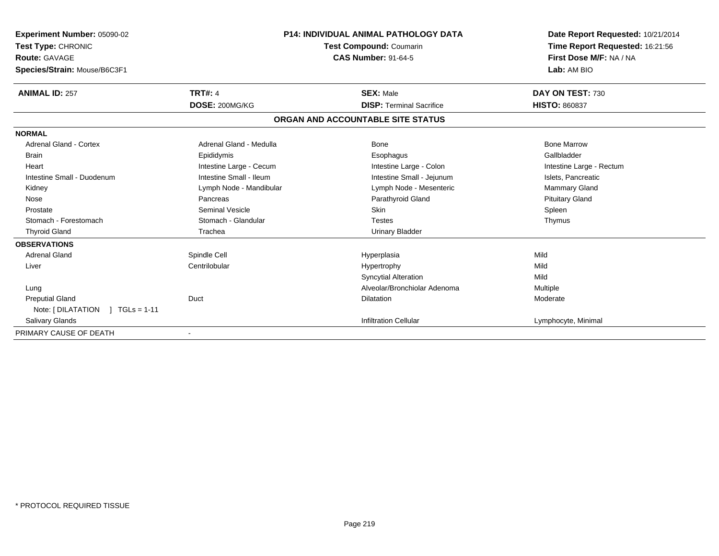| <b>Experiment Number: 05090-02</b><br>Test Type: CHRONIC | <b>P14: INDIVIDUAL ANIMAL PATHOLOGY DATA</b><br><b>Test Compound: Coumarin</b> |                                   | Date Report Requested: 10/21/2014<br>Time Report Requested: 16:21:56 |  |
|----------------------------------------------------------|--------------------------------------------------------------------------------|-----------------------------------|----------------------------------------------------------------------|--|
| <b>Route: GAVAGE</b>                                     |                                                                                | <b>CAS Number: 91-64-5</b>        | First Dose M/F: NA / NA                                              |  |
|                                                          |                                                                                |                                   | Lab: AM BIO                                                          |  |
| Species/Strain: Mouse/B6C3F1                             |                                                                                |                                   |                                                                      |  |
| <b>ANIMAL ID: 257</b>                                    | <b>TRT#: 4</b>                                                                 | <b>SEX: Male</b>                  | DAY ON TEST: 730                                                     |  |
|                                                          | DOSE: 200MG/KG                                                                 | <b>DISP: Terminal Sacrifice</b>   | <b>HISTO: 860837</b>                                                 |  |
|                                                          |                                                                                | ORGAN AND ACCOUNTABLE SITE STATUS |                                                                      |  |
| <b>NORMAL</b>                                            |                                                                                |                                   |                                                                      |  |
| <b>Adrenal Gland - Cortex</b>                            | Adrenal Gland - Medulla                                                        | <b>Bone</b>                       | <b>Bone Marrow</b>                                                   |  |
| <b>Brain</b>                                             | Epididymis                                                                     | Esophagus                         | Gallbladder                                                          |  |
| Heart                                                    | Intestine Large - Cecum                                                        | Intestine Large - Colon           | Intestine Large - Rectum                                             |  |
| Intestine Small - Duodenum                               | Intestine Small - Ileum                                                        | Intestine Small - Jejunum         | Islets, Pancreatic                                                   |  |
| Kidney                                                   | Lymph Node - Mandibular                                                        | Lymph Node - Mesenteric           | <b>Mammary Gland</b>                                                 |  |
| Nose                                                     | Pancreas                                                                       | Parathyroid Gland                 | <b>Pituitary Gland</b>                                               |  |
| Prostate                                                 | Seminal Vesicle                                                                | Skin                              | Spleen                                                               |  |
| Stomach - Forestomach                                    | Stomach - Glandular                                                            | <b>Testes</b>                     | Thymus                                                               |  |
| <b>Thyroid Gland</b>                                     | Trachea                                                                        | <b>Urinary Bladder</b>            |                                                                      |  |
| <b>OBSERVATIONS</b>                                      |                                                                                |                                   |                                                                      |  |
| <b>Adrenal Gland</b>                                     | Spindle Cell                                                                   | Hyperplasia                       | Mild                                                                 |  |
| Liver                                                    | Centrilobular                                                                  | Hypertrophy                       | Mild                                                                 |  |
|                                                          |                                                                                | <b>Syncytial Alteration</b>       | Mild                                                                 |  |
| Lung                                                     |                                                                                | Alveolar/Bronchiolar Adenoma      | Multiple                                                             |  |
| <b>Preputial Gland</b>                                   | Duct                                                                           | <b>Dilatation</b>                 | Moderate                                                             |  |
| Note: [DILATATION ] TGLs = 1-11                          |                                                                                |                                   |                                                                      |  |
| <b>Salivary Glands</b>                                   |                                                                                | <b>Infiltration Cellular</b>      | Lymphocyte, Minimal                                                  |  |
| PRIMARY CAUSE OF DEATH                                   |                                                                                |                                   |                                                                      |  |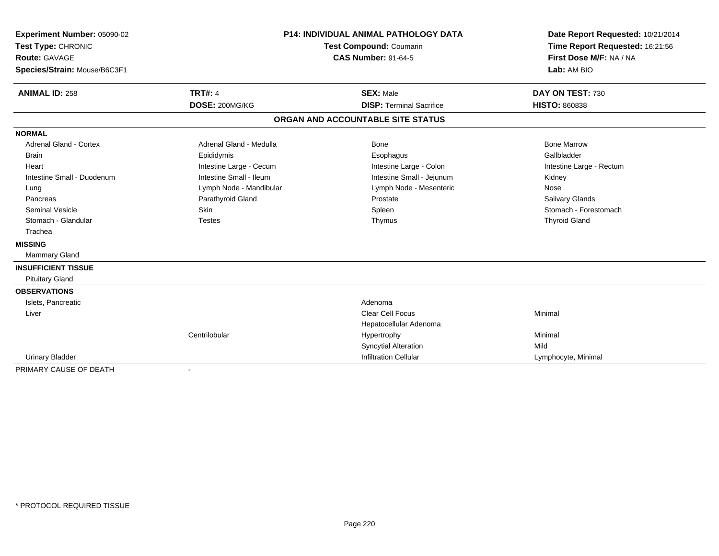| Experiment Number: 05090-02   |                                | <b>P14: INDIVIDUAL ANIMAL PATHOLOGY DATA</b> |                                 |  |
|-------------------------------|--------------------------------|----------------------------------------------|---------------------------------|--|
| Test Type: CHRONIC            | <b>Test Compound: Coumarin</b> |                                              | Time Report Requested: 16:21:56 |  |
| <b>Route: GAVAGE</b>          |                                | <b>CAS Number: 91-64-5</b>                   | First Dose M/F: NA / NA         |  |
| Species/Strain: Mouse/B6C3F1  |                                |                                              | Lab: AM BIO                     |  |
| <b>ANIMAL ID: 258</b>         | <b>TRT#: 4</b>                 | <b>SEX: Male</b>                             | DAY ON TEST: 730                |  |
|                               | DOSE: 200MG/KG                 | <b>DISP: Terminal Sacrifice</b>              | <b>HISTO: 860838</b>            |  |
|                               |                                | ORGAN AND ACCOUNTABLE SITE STATUS            |                                 |  |
| <b>NORMAL</b>                 |                                |                                              |                                 |  |
| <b>Adrenal Gland - Cortex</b> | Adrenal Gland - Medulla        | <b>Bone</b>                                  | <b>Bone Marrow</b>              |  |
| <b>Brain</b>                  | Epididymis                     | Esophagus                                    | Gallbladder                     |  |
| Heart                         | Intestine Large - Cecum        | Intestine Large - Colon                      | Intestine Large - Rectum        |  |
| Intestine Small - Duodenum    | Intestine Small - Ileum        | Intestine Small - Jejunum                    | Kidney                          |  |
| Lung                          | Lymph Node - Mandibular        | Lymph Node - Mesenteric                      | Nose                            |  |
| Pancreas                      | Parathyroid Gland              | Prostate                                     | <b>Salivary Glands</b>          |  |
| <b>Seminal Vesicle</b>        | <b>Skin</b>                    | Spleen                                       | Stomach - Forestomach           |  |
| Stomach - Glandular           | <b>Testes</b>                  | Thymus                                       | <b>Thyroid Gland</b>            |  |
| Trachea                       |                                |                                              |                                 |  |
| <b>MISSING</b>                |                                |                                              |                                 |  |
| Mammary Gland                 |                                |                                              |                                 |  |
| <b>INSUFFICIENT TISSUE</b>    |                                |                                              |                                 |  |
| <b>Pituitary Gland</b>        |                                |                                              |                                 |  |
| <b>OBSERVATIONS</b>           |                                |                                              |                                 |  |
| Islets, Pancreatic            |                                | Adenoma                                      |                                 |  |
| Liver                         |                                | Clear Cell Focus                             | Minimal                         |  |
|                               |                                | Hepatocellular Adenoma                       |                                 |  |
|                               | Centrilobular                  | Hypertrophy                                  | Minimal                         |  |
|                               |                                | <b>Syncytial Alteration</b>                  | Mild                            |  |
| <b>Urinary Bladder</b>        |                                | <b>Infiltration Cellular</b>                 | Lymphocyte, Minimal             |  |
| PRIMARY CAUSE OF DEATH        | $\blacksquare$                 |                                              |                                 |  |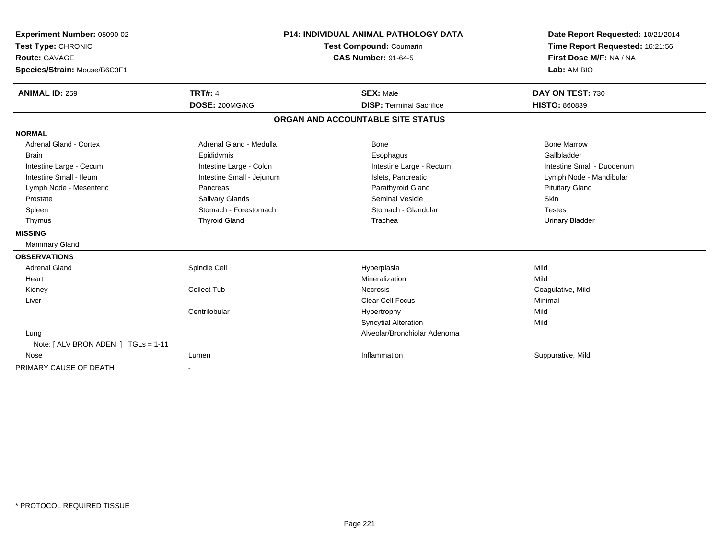| <b>Experiment Number: 05090-02</b>     | <b>P14: INDIVIDUAL ANIMAL PATHOLOGY DATA</b><br>Test Compound: Coumarin<br><b>CAS Number: 91-64-5</b> |                                   | Date Report Requested: 10/21/2014 |  |
|----------------------------------------|-------------------------------------------------------------------------------------------------------|-----------------------------------|-----------------------------------|--|
| Test Type: CHRONIC                     |                                                                                                       |                                   | Time Report Requested: 16:21:56   |  |
| <b>Route: GAVAGE</b>                   |                                                                                                       |                                   | First Dose M/F: NA / NA           |  |
| Species/Strain: Mouse/B6C3F1           |                                                                                                       |                                   | Lab: AM BIO                       |  |
| <b>ANIMAL ID: 259</b>                  | <b>TRT#: 4</b>                                                                                        | <b>SEX: Male</b>                  | DAY ON TEST: 730                  |  |
|                                        | DOSE: 200MG/KG                                                                                        | <b>DISP: Terminal Sacrifice</b>   | <b>HISTO: 860839</b>              |  |
|                                        |                                                                                                       | ORGAN AND ACCOUNTABLE SITE STATUS |                                   |  |
| <b>NORMAL</b>                          |                                                                                                       |                                   |                                   |  |
| <b>Adrenal Gland - Cortex</b>          | Adrenal Gland - Medulla                                                                               | <b>Bone</b>                       | <b>Bone Marrow</b>                |  |
| <b>Brain</b>                           | Epididymis                                                                                            | Esophagus                         | Gallbladder                       |  |
| Intestine Large - Cecum                | Intestine Large - Colon                                                                               | Intestine Large - Rectum          | Intestine Small - Duodenum        |  |
| Intestine Small - Ileum                | Intestine Small - Jejunum                                                                             | Islets, Pancreatic                | Lymph Node - Mandibular           |  |
| Lymph Node - Mesenteric                | Pancreas                                                                                              | Parathyroid Gland                 | <b>Pituitary Gland</b>            |  |
| Prostate                               | Salivary Glands                                                                                       | <b>Seminal Vesicle</b>            | Skin                              |  |
| Spleen                                 | Stomach - Forestomach                                                                                 | Stomach - Glandular               | <b>Testes</b>                     |  |
| Thymus                                 | <b>Thyroid Gland</b>                                                                                  | Trachea                           | <b>Urinary Bladder</b>            |  |
| <b>MISSING</b>                         |                                                                                                       |                                   |                                   |  |
| <b>Mammary Gland</b>                   |                                                                                                       |                                   |                                   |  |
| <b>OBSERVATIONS</b>                    |                                                                                                       |                                   |                                   |  |
| <b>Adrenal Gland</b>                   | Spindle Cell                                                                                          | Hyperplasia                       | Mild                              |  |
| Heart                                  |                                                                                                       | Mineralization                    | Mild                              |  |
| Kidney                                 | <b>Collect Tub</b>                                                                                    | <b>Necrosis</b>                   | Coagulative, Mild                 |  |
| Liver                                  |                                                                                                       | Clear Cell Focus                  | Minimal                           |  |
|                                        | Centrilobular                                                                                         | Hypertrophy                       | Mild                              |  |
|                                        |                                                                                                       | <b>Syncytial Alteration</b>       | Mild                              |  |
| Lung                                   |                                                                                                       | Alveolar/Bronchiolar Adenoma      |                                   |  |
| Note: $[ALV$ BRON ADEN $]$ TGLs = 1-11 |                                                                                                       |                                   |                                   |  |
| Nose                                   | Lumen                                                                                                 | Inflammation                      | Suppurative, Mild                 |  |
| PRIMARY CAUSE OF DEATH                 |                                                                                                       |                                   |                                   |  |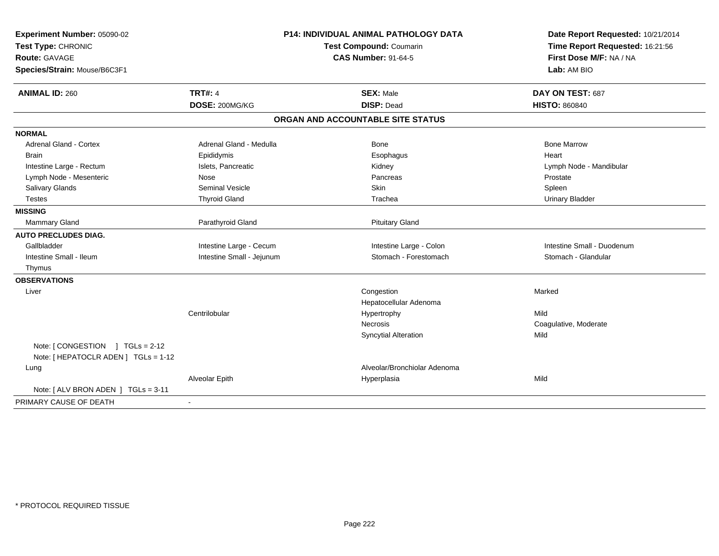| Experiment Number: 05090-02<br>Test Type: CHRONIC<br>Route: GAVAGE<br>Species/Strain: Mouse/B6C3F1 |                           | <b>P14: INDIVIDUAL ANIMAL PATHOLOGY DATA</b><br><b>Test Compound: Coumarin</b><br><b>CAS Number: 91-64-5</b> | Date Report Requested: 10/21/2014<br>Time Report Requested: 16:21:56<br>First Dose M/F: NA / NA<br>Lab: AM BIO |
|----------------------------------------------------------------------------------------------------|---------------------------|--------------------------------------------------------------------------------------------------------------|----------------------------------------------------------------------------------------------------------------|
| <b>ANIMAL ID: 260</b>                                                                              | <b>TRT#: 4</b>            | <b>SEX: Male</b>                                                                                             | DAY ON TEST: 687                                                                                               |
|                                                                                                    | DOSE: 200MG/KG            | <b>DISP: Dead</b>                                                                                            | <b>HISTO: 860840</b>                                                                                           |
|                                                                                                    |                           | ORGAN AND ACCOUNTABLE SITE STATUS                                                                            |                                                                                                                |
| <b>NORMAL</b>                                                                                      |                           |                                                                                                              |                                                                                                                |
| <b>Adrenal Gland - Cortex</b>                                                                      | Adrenal Gland - Medulla   | Bone                                                                                                         | <b>Bone Marrow</b>                                                                                             |
| <b>Brain</b>                                                                                       | Epididymis                | Esophagus                                                                                                    | Heart                                                                                                          |
| Intestine Large - Rectum                                                                           | Islets, Pancreatic        | Kidney                                                                                                       | Lymph Node - Mandibular                                                                                        |
| Lymph Node - Mesenteric                                                                            | Nose                      | Pancreas                                                                                                     | Prostate                                                                                                       |
| Salivary Glands                                                                                    | <b>Seminal Vesicle</b>    | <b>Skin</b>                                                                                                  | Spleen                                                                                                         |
| <b>Testes</b>                                                                                      | <b>Thyroid Gland</b>      | Trachea                                                                                                      | <b>Urinary Bladder</b>                                                                                         |
| <b>MISSING</b>                                                                                     |                           |                                                                                                              |                                                                                                                |
| <b>Mammary Gland</b>                                                                               | Parathyroid Gland         | <b>Pituitary Gland</b>                                                                                       |                                                                                                                |
| <b>AUTO PRECLUDES DIAG.</b>                                                                        |                           |                                                                                                              |                                                                                                                |
| Gallbladder                                                                                        | Intestine Large - Cecum   | Intestine Large - Colon                                                                                      | Intestine Small - Duodenum                                                                                     |
| Intestine Small - Ileum                                                                            | Intestine Small - Jejunum | Stomach - Forestomach                                                                                        | Stomach - Glandular                                                                                            |
| Thymus                                                                                             |                           |                                                                                                              |                                                                                                                |
| <b>OBSERVATIONS</b>                                                                                |                           |                                                                                                              |                                                                                                                |
| Liver                                                                                              |                           | Congestion<br>Hepatocellular Adenoma                                                                         | Marked                                                                                                         |
|                                                                                                    | Centrilobular             | Hypertrophy                                                                                                  | Mild                                                                                                           |
|                                                                                                    |                           | Necrosis                                                                                                     | Coagulative, Moderate                                                                                          |
|                                                                                                    |                           | <b>Syncytial Alteration</b>                                                                                  | Mild                                                                                                           |
| Note: $[$ CONGESTION $]$ TGLs = 2-12<br>Note: [ HEPATOCLR ADEN ] TGLs = 1-12                       |                           |                                                                                                              |                                                                                                                |
| Lung                                                                                               |                           | Alveolar/Bronchiolar Adenoma                                                                                 |                                                                                                                |
|                                                                                                    | Alveolar Epith            | Hyperplasia                                                                                                  | Mild                                                                                                           |
| Note: [ALV BRON ADEN ] TGLs = 3-11                                                                 |                           |                                                                                                              |                                                                                                                |
| PRIMARY CAUSE OF DEATH                                                                             | $\blacksquare$            |                                                                                                              |                                                                                                                |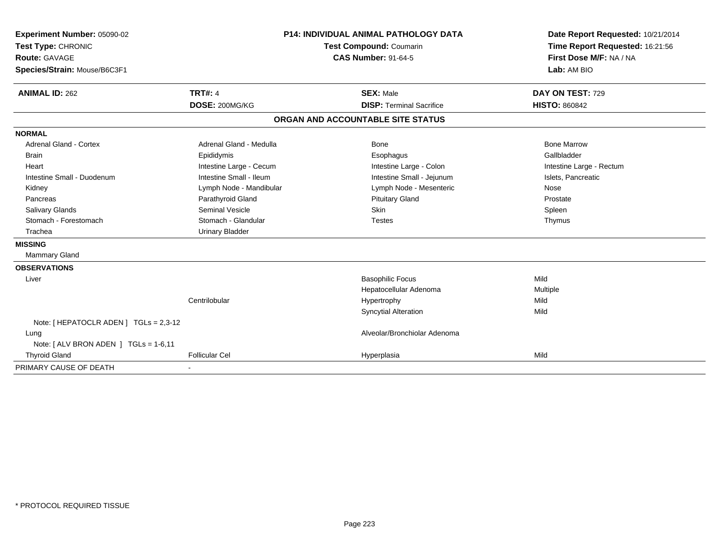| Experiment Number: 05090-02            | <b>P14: INDIVIDUAL ANIMAL PATHOLOGY DATA</b><br>Test Compound: Coumarin<br><b>CAS Number: 91-64-5</b> |                                   | Date Report Requested: 10/21/2014 |  |
|----------------------------------------|-------------------------------------------------------------------------------------------------------|-----------------------------------|-----------------------------------|--|
| Test Type: CHRONIC                     |                                                                                                       |                                   | Time Report Requested: 16:21:56   |  |
| <b>Route: GAVAGE</b>                   |                                                                                                       |                                   | First Dose M/F: NA / NA           |  |
| Species/Strain: Mouse/B6C3F1           |                                                                                                       |                                   | Lab: AM BIO                       |  |
| <b>ANIMAL ID: 262</b>                  | <b>TRT#: 4</b>                                                                                        | <b>SEX: Male</b>                  | DAY ON TEST: 729                  |  |
|                                        | DOSE: 200MG/KG                                                                                        | <b>DISP: Terminal Sacrifice</b>   | <b>HISTO: 860842</b>              |  |
|                                        |                                                                                                       | ORGAN AND ACCOUNTABLE SITE STATUS |                                   |  |
| <b>NORMAL</b>                          |                                                                                                       |                                   |                                   |  |
| <b>Adrenal Gland - Cortex</b>          | Adrenal Gland - Medulla                                                                               | Bone                              | <b>Bone Marrow</b>                |  |
| <b>Brain</b>                           | Epididymis                                                                                            | Esophagus                         | Gallbladder                       |  |
| Heart                                  | Intestine Large - Cecum                                                                               | Intestine Large - Colon           | Intestine Large - Rectum          |  |
| Intestine Small - Duodenum             | Intestine Small - Ileum                                                                               | Intestine Small - Jejunum         | Islets, Pancreatic                |  |
| Kidney                                 | Lymph Node - Mandibular                                                                               | Lymph Node - Mesenteric           | Nose                              |  |
| Pancreas                               | Parathyroid Gland                                                                                     | <b>Pituitary Gland</b>            | Prostate                          |  |
| <b>Salivary Glands</b>                 | <b>Seminal Vesicle</b>                                                                                | <b>Skin</b>                       | Spleen                            |  |
| Stomach - Forestomach                  | Stomach - Glandular                                                                                   | <b>Testes</b>                     | Thymus                            |  |
| Trachea                                | <b>Urinary Bladder</b>                                                                                |                                   |                                   |  |
| <b>MISSING</b>                         |                                                                                                       |                                   |                                   |  |
| <b>Mammary Gland</b>                   |                                                                                                       |                                   |                                   |  |
| <b>OBSERVATIONS</b>                    |                                                                                                       |                                   |                                   |  |
| Liver                                  |                                                                                                       | <b>Basophilic Focus</b>           | Mild                              |  |
|                                        |                                                                                                       | Hepatocellular Adenoma            | Multiple                          |  |
|                                        | Centrilobular                                                                                         | Hypertrophy                       | Mild                              |  |
|                                        |                                                                                                       | <b>Syncytial Alteration</b>       | Mild                              |  |
| Note: [ HEPATOCLR ADEN ] TGLs = 2,3-12 |                                                                                                       |                                   |                                   |  |
| Lung                                   |                                                                                                       | Alveolar/Bronchiolar Adenoma      |                                   |  |
| Note: [ ALV BRON ADEN ] TGLs = 1-6,11  |                                                                                                       |                                   |                                   |  |
| <b>Thyroid Gland</b>                   | Follicular Cel                                                                                        | Hyperplasia                       | Mild                              |  |
| PRIMARY CAUSE OF DEATH                 |                                                                                                       |                                   |                                   |  |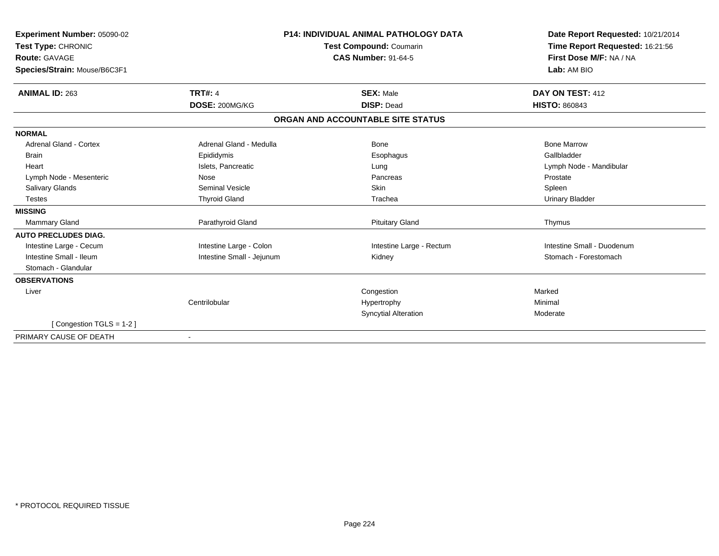| Experiment Number: 05090-02   |                           | <b>P14: INDIVIDUAL ANIMAL PATHOLOGY DATA</b> | Date Report Requested: 10/21/2014 |
|-------------------------------|---------------------------|----------------------------------------------|-----------------------------------|
| Test Type: CHRONIC            |                           | <b>Test Compound: Coumarin</b>               | Time Report Requested: 16:21:56   |
| <b>Route: GAVAGE</b>          |                           | <b>CAS Number: 91-64-5</b>                   | First Dose M/F: NA / NA           |
| Species/Strain: Mouse/B6C3F1  |                           |                                              | Lab: AM BIO                       |
| <b>ANIMAL ID: 263</b>         | <b>TRT#: 4</b>            | <b>SEX: Male</b>                             | DAY ON TEST: 412                  |
|                               | DOSE: 200MG/KG            | <b>DISP: Dead</b>                            | <b>HISTO: 860843</b>              |
|                               |                           | ORGAN AND ACCOUNTABLE SITE STATUS            |                                   |
| <b>NORMAL</b>                 |                           |                                              |                                   |
| <b>Adrenal Gland - Cortex</b> | Adrenal Gland - Medulla   | Bone                                         | <b>Bone Marrow</b>                |
| <b>Brain</b>                  | Epididymis                | Esophagus                                    | Gallbladder                       |
| Heart                         | Islets, Pancreatic        | Lung                                         | Lymph Node - Mandibular           |
| Lymph Node - Mesenteric       | Nose                      | Pancreas                                     | Prostate                          |
| Salivary Glands               | Seminal Vesicle           | <b>Skin</b>                                  | Spleen                            |
| <b>Testes</b>                 | <b>Thyroid Gland</b>      | Trachea                                      | <b>Urinary Bladder</b>            |
| <b>MISSING</b>                |                           |                                              |                                   |
| <b>Mammary Gland</b>          | Parathyroid Gland         | <b>Pituitary Gland</b>                       | Thymus                            |
| <b>AUTO PRECLUDES DIAG.</b>   |                           |                                              |                                   |
| Intestine Large - Cecum       | Intestine Large - Colon   | Intestine Large - Rectum                     | Intestine Small - Duodenum        |
| Intestine Small - Ileum       | Intestine Small - Jejunum | Kidney                                       | Stomach - Forestomach             |
| Stomach - Glandular           |                           |                                              |                                   |
| <b>OBSERVATIONS</b>           |                           |                                              |                                   |
| Liver                         |                           | Congestion                                   | Marked                            |
|                               | Centrilobular             | Hypertrophy                                  | Minimal                           |
|                               |                           | <b>Syncytial Alteration</b>                  | Moderate                          |
| [Congestion TGLS = 1-2]       |                           |                                              |                                   |
| PRIMARY CAUSE OF DEATH        |                           |                                              |                                   |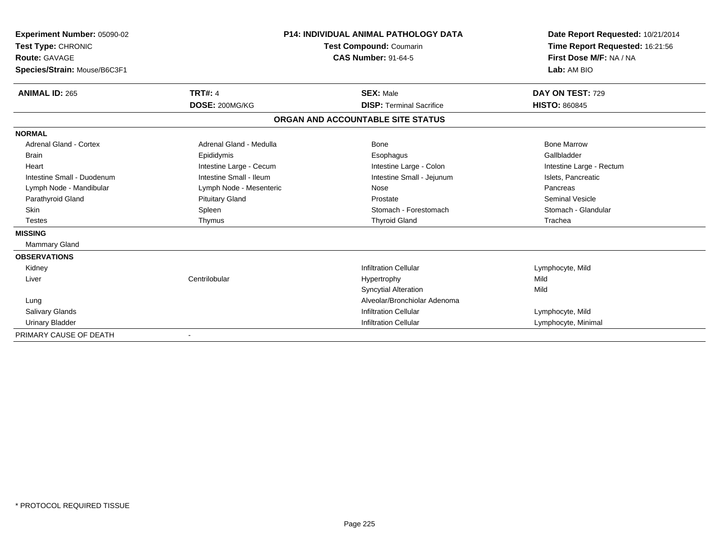| Experiment Number: 05090-02<br>Test Type: CHRONIC<br><b>Route: GAVAGE</b><br>Species/Strain: Mouse/B6C3F1 |                         | P14: INDIVIDUAL ANIMAL PATHOLOGY DATA<br>Test Compound: Coumarin<br><b>CAS Number: 91-64-5</b> | Date Report Requested: 10/21/2014<br>Time Report Requested: 16:21:56<br>First Dose M/F: NA / NA<br>Lab: AM BIO |  |
|-----------------------------------------------------------------------------------------------------------|-------------------------|------------------------------------------------------------------------------------------------|----------------------------------------------------------------------------------------------------------------|--|
|                                                                                                           |                         |                                                                                                |                                                                                                                |  |
| <b>ANIMAL ID: 265</b>                                                                                     | <b>TRT#: 4</b>          | <b>SEX: Male</b>                                                                               | DAY ON TEST: 729                                                                                               |  |
|                                                                                                           | DOSE: 200MG/KG          | <b>DISP: Terminal Sacrifice</b>                                                                | <b>HISTO: 860845</b>                                                                                           |  |
|                                                                                                           |                         | ORGAN AND ACCOUNTABLE SITE STATUS                                                              |                                                                                                                |  |
| <b>NORMAL</b>                                                                                             |                         |                                                                                                |                                                                                                                |  |
| <b>Adrenal Gland - Cortex</b>                                                                             | Adrenal Gland - Medulla | Bone                                                                                           | <b>Bone Marrow</b>                                                                                             |  |
| <b>Brain</b>                                                                                              | Epididymis              | Esophagus                                                                                      | Gallbladder                                                                                                    |  |
| Heart                                                                                                     | Intestine Large - Cecum | Intestine Large - Colon                                                                        | Intestine Large - Rectum                                                                                       |  |
| Intestine Small - Duodenum                                                                                | Intestine Small - Ileum | Intestine Small - Jejunum                                                                      | Islets, Pancreatic                                                                                             |  |
| Lymph Node - Mandibular                                                                                   | Lymph Node - Mesenteric | Nose                                                                                           | Pancreas                                                                                                       |  |
| Parathyroid Gland                                                                                         | <b>Pituitary Gland</b>  | Prostate                                                                                       | <b>Seminal Vesicle</b>                                                                                         |  |
| <b>Skin</b>                                                                                               | Spleen                  | Stomach - Forestomach                                                                          | Stomach - Glandular                                                                                            |  |
| <b>Testes</b>                                                                                             | Thymus                  | <b>Thyroid Gland</b>                                                                           | Trachea                                                                                                        |  |
| <b>MISSING</b>                                                                                            |                         |                                                                                                |                                                                                                                |  |
| <b>Mammary Gland</b>                                                                                      |                         |                                                                                                |                                                                                                                |  |
| <b>OBSERVATIONS</b>                                                                                       |                         |                                                                                                |                                                                                                                |  |
| Kidney                                                                                                    |                         | <b>Infiltration Cellular</b>                                                                   | Lymphocyte, Mild                                                                                               |  |
| Liver                                                                                                     | Centrilobular           | Hypertrophy                                                                                    | Mild                                                                                                           |  |
|                                                                                                           |                         | <b>Syncytial Alteration</b>                                                                    | Mild                                                                                                           |  |
| Lung                                                                                                      |                         | Alveolar/Bronchiolar Adenoma                                                                   |                                                                                                                |  |
| <b>Salivary Glands</b>                                                                                    |                         | <b>Infiltration Cellular</b>                                                                   | Lymphocyte, Mild                                                                                               |  |
| <b>Urinary Bladder</b>                                                                                    |                         | <b>Infiltration Cellular</b>                                                                   | Lymphocyte, Minimal                                                                                            |  |
| PRIMARY CAUSE OF DEATH                                                                                    |                         |                                                                                                |                                                                                                                |  |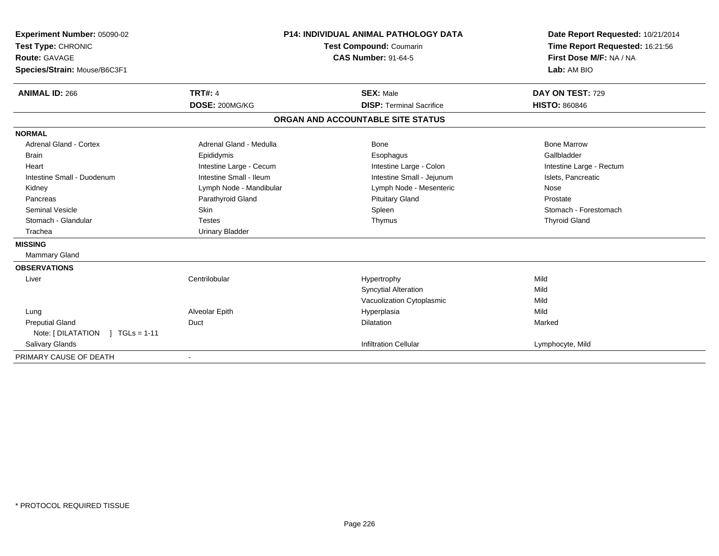| Experiment Number: 05090-02<br>Test Type: CHRONIC<br><b>Route: GAVAGE</b><br>Species/Strain: Mouse/B6C3F1<br><b>ANIMAL ID: 266</b> | <b>TRT#: 4</b>          | <b>P14: INDIVIDUAL ANIMAL PATHOLOGY DATA</b><br>Test Compound: Coumarin<br><b>CAS Number: 91-64-5</b><br><b>SEX: Male</b> | Date Report Requested: 10/21/2014<br>Time Report Requested: 16:21:56<br>First Dose M/F: NA / NA<br>Lab: AM BIO<br>DAY ON TEST: 729 |
|------------------------------------------------------------------------------------------------------------------------------------|-------------------------|---------------------------------------------------------------------------------------------------------------------------|------------------------------------------------------------------------------------------------------------------------------------|
|                                                                                                                                    | DOSE: 200MG/KG          | <b>DISP: Terminal Sacrifice</b>                                                                                           | <b>HISTO: 860846</b>                                                                                                               |
|                                                                                                                                    |                         | ORGAN AND ACCOUNTABLE SITE STATUS                                                                                         |                                                                                                                                    |
| <b>NORMAL</b>                                                                                                                      |                         |                                                                                                                           |                                                                                                                                    |
| <b>Adrenal Gland - Cortex</b>                                                                                                      | Adrenal Gland - Medulla | Bone                                                                                                                      | <b>Bone Marrow</b>                                                                                                                 |
| <b>Brain</b>                                                                                                                       | Epididymis              | Esophagus                                                                                                                 | Gallbladder                                                                                                                        |
| Heart                                                                                                                              | Intestine Large - Cecum | Intestine Large - Colon                                                                                                   | Intestine Large - Rectum                                                                                                           |
| Intestine Small - Duodenum                                                                                                         | Intestine Small - Ileum | Intestine Small - Jejunum                                                                                                 | Islets, Pancreatic                                                                                                                 |
| Kidney                                                                                                                             | Lymph Node - Mandibular | Lymph Node - Mesenteric                                                                                                   | Nose                                                                                                                               |
| Pancreas                                                                                                                           | Parathyroid Gland       | <b>Pituitary Gland</b>                                                                                                    | Prostate                                                                                                                           |
| <b>Seminal Vesicle</b>                                                                                                             | <b>Skin</b>             | Spleen                                                                                                                    | Stomach - Forestomach                                                                                                              |
| Stomach - Glandular                                                                                                                | <b>Testes</b>           | Thymus                                                                                                                    | <b>Thyroid Gland</b>                                                                                                               |
| Trachea                                                                                                                            | <b>Urinary Bladder</b>  |                                                                                                                           |                                                                                                                                    |
| <b>MISSING</b>                                                                                                                     |                         |                                                                                                                           |                                                                                                                                    |
| <b>Mammary Gland</b>                                                                                                               |                         |                                                                                                                           |                                                                                                                                    |
| <b>OBSERVATIONS</b>                                                                                                                |                         |                                                                                                                           |                                                                                                                                    |
| Liver                                                                                                                              | Centrilobular           | Hypertrophy                                                                                                               | Mild                                                                                                                               |
|                                                                                                                                    |                         | <b>Syncytial Alteration</b>                                                                                               | Mild                                                                                                                               |
|                                                                                                                                    |                         | Vacuolization Cytoplasmic                                                                                                 | Mild                                                                                                                               |
| Lung                                                                                                                               | Alveolar Epith          | Hyperplasia                                                                                                               | Mild                                                                                                                               |
| <b>Preputial Gland</b>                                                                                                             | Duct                    | Dilatation                                                                                                                | Marked                                                                                                                             |
| Note: [DILATATION ] TGLs = 1-11                                                                                                    |                         |                                                                                                                           |                                                                                                                                    |
| Salivary Glands                                                                                                                    |                         | <b>Infiltration Cellular</b>                                                                                              | Lymphocyte, Mild                                                                                                                   |
| PRIMARY CAUSE OF DEATH                                                                                                             |                         |                                                                                                                           |                                                                                                                                    |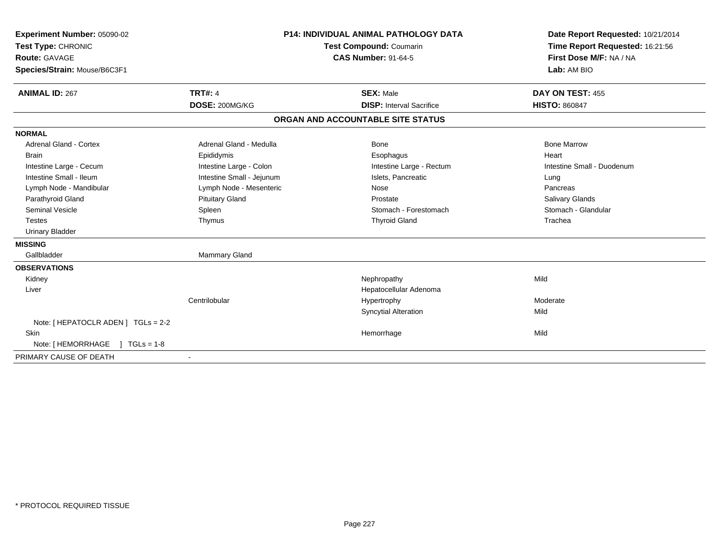| Experiment Number: 05090-02<br>Test Type: CHRONIC<br>Route: GAVAGE<br>Species/Strain: Mouse/B6C3F1<br><b>ANIMAL ID: 267</b> | <b>TRT#: 4</b>            | <b>P14: INDIVIDUAL ANIMAL PATHOLOGY DATA</b><br>Test Compound: Coumarin<br><b>CAS Number: 91-64-5</b><br><b>SEX: Male</b> |  | Date Report Requested: 10/21/2014<br>Time Report Requested: 16:21:56<br>First Dose M/F: NA / NA<br>Lab: AM BIO<br>DAY ON TEST: 455 |
|-----------------------------------------------------------------------------------------------------------------------------|---------------------------|---------------------------------------------------------------------------------------------------------------------------|--|------------------------------------------------------------------------------------------------------------------------------------|
|                                                                                                                             | DOSE: 200MG/KG            | <b>DISP:</b> Interval Sacrifice                                                                                           |  | <b>HISTO: 860847</b>                                                                                                               |
|                                                                                                                             |                           | ORGAN AND ACCOUNTABLE SITE STATUS                                                                                         |  |                                                                                                                                    |
| <b>NORMAL</b>                                                                                                               |                           |                                                                                                                           |  |                                                                                                                                    |
| <b>Adrenal Gland - Cortex</b>                                                                                               | Adrenal Gland - Medulla   | <b>Bone</b>                                                                                                               |  | <b>Bone Marrow</b>                                                                                                                 |
| <b>Brain</b>                                                                                                                | Epididymis                | Esophagus                                                                                                                 |  | Heart                                                                                                                              |
| Intestine Large - Cecum                                                                                                     | Intestine Large - Colon   | Intestine Large - Rectum                                                                                                  |  | Intestine Small - Duodenum                                                                                                         |
| Intestine Small - Ileum                                                                                                     | Intestine Small - Jejunum | Islets, Pancreatic                                                                                                        |  | Lung                                                                                                                               |
| Lymph Node - Mandibular                                                                                                     | Lymph Node - Mesenteric   | Nose                                                                                                                      |  | Pancreas                                                                                                                           |
| Parathyroid Gland                                                                                                           | <b>Pituitary Gland</b>    | Prostate                                                                                                                  |  | <b>Salivary Glands</b>                                                                                                             |
| <b>Seminal Vesicle</b>                                                                                                      | Spleen                    | Stomach - Forestomach                                                                                                     |  | Stomach - Glandular                                                                                                                |
| <b>Testes</b>                                                                                                               | Thymus                    | <b>Thyroid Gland</b>                                                                                                      |  | Trachea                                                                                                                            |
| <b>Urinary Bladder</b>                                                                                                      |                           |                                                                                                                           |  |                                                                                                                                    |
| <b>MISSING</b>                                                                                                              |                           |                                                                                                                           |  |                                                                                                                                    |
| Gallbladder                                                                                                                 | Mammary Gland             |                                                                                                                           |  |                                                                                                                                    |
| <b>OBSERVATIONS</b>                                                                                                         |                           |                                                                                                                           |  |                                                                                                                                    |
| Kidney                                                                                                                      |                           | Nephropathy                                                                                                               |  | Mild                                                                                                                               |
| Liver                                                                                                                       |                           | Hepatocellular Adenoma                                                                                                    |  |                                                                                                                                    |
|                                                                                                                             | Centrilobular             | Hypertrophy                                                                                                               |  | Moderate                                                                                                                           |
|                                                                                                                             |                           | <b>Syncytial Alteration</b>                                                                                               |  | Mild                                                                                                                               |
| Note: [ HEPATOCLR ADEN ] TGLs = 2-2                                                                                         |                           |                                                                                                                           |  |                                                                                                                                    |
| <b>Skin</b>                                                                                                                 |                           | Hemorrhage                                                                                                                |  | Mild                                                                                                                               |
| Note: [ HEMORRHAGE<br>$1 TGLs = 1-8$                                                                                        |                           |                                                                                                                           |  |                                                                                                                                    |
| PRIMARY CAUSE OF DEATH                                                                                                      |                           |                                                                                                                           |  |                                                                                                                                    |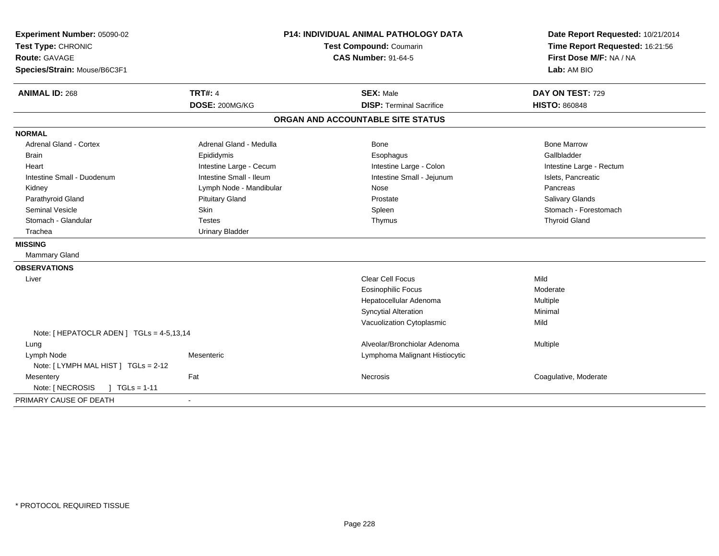| Experiment Number: 05090-02<br>Test Type: CHRONIC<br><b>Route: GAVAGE</b><br>Species/Strain: Mouse/B6C3F1 |                         | P14: INDIVIDUAL ANIMAL PATHOLOGY DATA<br>Test Compound: Coumarin<br><b>CAS Number: 91-64-5</b> | Date Report Requested: 10/21/2014<br>Time Report Requested: 16:21:56<br>First Dose M/F: NA / NA<br>Lab: AM BIO |  |
|-----------------------------------------------------------------------------------------------------------|-------------------------|------------------------------------------------------------------------------------------------|----------------------------------------------------------------------------------------------------------------|--|
| <b>ANIMAL ID: 268</b>                                                                                     | <b>TRT#: 4</b>          | <b>SEX: Male</b>                                                                               | DAY ON TEST: 729                                                                                               |  |
|                                                                                                           | DOSE: 200MG/KG          | <b>DISP: Terminal Sacrifice</b>                                                                | <b>HISTO: 860848</b>                                                                                           |  |
|                                                                                                           |                         | ORGAN AND ACCOUNTABLE SITE STATUS                                                              |                                                                                                                |  |
| <b>NORMAL</b>                                                                                             |                         |                                                                                                |                                                                                                                |  |
| <b>Adrenal Gland - Cortex</b>                                                                             | Adrenal Gland - Medulla | Bone                                                                                           | <b>Bone Marrow</b>                                                                                             |  |
| <b>Brain</b>                                                                                              | Epididymis              | Esophagus                                                                                      | Gallbladder                                                                                                    |  |
| Heart                                                                                                     | Intestine Large - Cecum | Intestine Large - Colon                                                                        | Intestine Large - Rectum                                                                                       |  |
| Intestine Small - Duodenum                                                                                | Intestine Small - Ileum | Intestine Small - Jejunum                                                                      | Islets, Pancreatic                                                                                             |  |
| Kidney                                                                                                    | Lymph Node - Mandibular | Nose                                                                                           | Pancreas                                                                                                       |  |
| Parathyroid Gland                                                                                         | <b>Pituitary Gland</b>  | Prostate                                                                                       | Salivary Glands                                                                                                |  |
| Seminal Vesicle                                                                                           | Skin                    | Spleen                                                                                         | Stomach - Forestomach                                                                                          |  |
| Stomach - Glandular                                                                                       | <b>Testes</b>           | Thymus                                                                                         | <b>Thyroid Gland</b>                                                                                           |  |
| Trachea                                                                                                   | <b>Urinary Bladder</b>  |                                                                                                |                                                                                                                |  |
| <b>MISSING</b>                                                                                            |                         |                                                                                                |                                                                                                                |  |
| <b>Mammary Gland</b>                                                                                      |                         |                                                                                                |                                                                                                                |  |
| <b>OBSERVATIONS</b>                                                                                       |                         |                                                                                                |                                                                                                                |  |
| Liver                                                                                                     |                         | <b>Clear Cell Focus</b>                                                                        | Mild                                                                                                           |  |
|                                                                                                           |                         | <b>Eosinophilic Focus</b>                                                                      | Moderate                                                                                                       |  |
|                                                                                                           |                         | Hepatocellular Adenoma                                                                         | <b>Multiple</b>                                                                                                |  |
|                                                                                                           |                         | <b>Syncytial Alteration</b>                                                                    | Minimal                                                                                                        |  |
|                                                                                                           |                         | Vacuolization Cytoplasmic                                                                      | Mild                                                                                                           |  |
| Note: [HEPATOCLR ADEN] TGLs = 4-5,13,14                                                                   |                         |                                                                                                |                                                                                                                |  |
| Lung                                                                                                      |                         | Alveolar/Bronchiolar Adenoma                                                                   | <b>Multiple</b>                                                                                                |  |
| Lymph Node                                                                                                | Mesenteric              | Lymphoma Malignant Histiocytic                                                                 |                                                                                                                |  |
| Note: [LYMPH MAL HIST] TGLs = 2-12                                                                        |                         |                                                                                                |                                                                                                                |  |
| Mesentery                                                                                                 | Fat                     | Necrosis                                                                                       | Coagulative, Moderate                                                                                          |  |
| Note: [ NECROSIS<br>$\mid$ TGLs = 1-11                                                                    |                         |                                                                                                |                                                                                                                |  |
| PRIMARY CAUSE OF DEATH                                                                                    |                         |                                                                                                |                                                                                                                |  |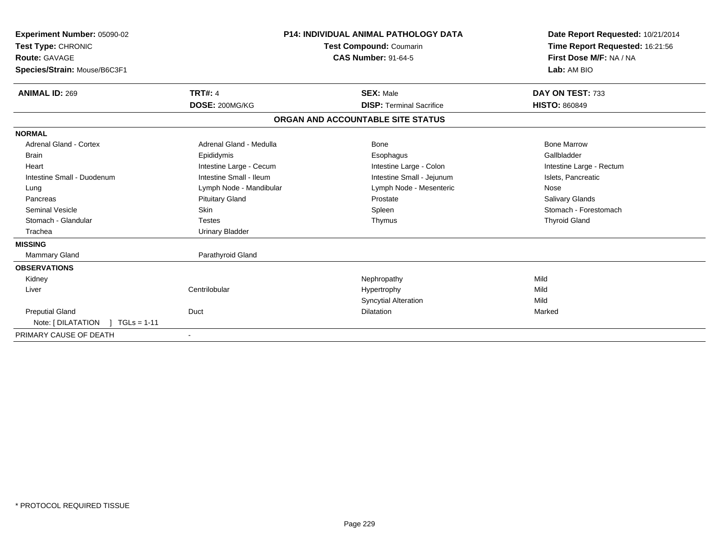| Experiment Number: 05090-02<br>Test Type: CHRONIC<br><b>Route: GAVAGE</b><br>Species/Strain: Mouse/B6C3F1 |                         | <b>P14: INDIVIDUAL ANIMAL PATHOLOGY DATA</b><br><b>Test Compound: Coumarin</b><br><b>CAS Number: 91-64-5</b> | Date Report Requested: 10/21/2014<br>Time Report Requested: 16:21:56<br>First Dose M/F: NA / NA<br>Lab: AM BIO |
|-----------------------------------------------------------------------------------------------------------|-------------------------|--------------------------------------------------------------------------------------------------------------|----------------------------------------------------------------------------------------------------------------|
| <b>ANIMAL ID: 269</b>                                                                                     | <b>TRT#: 4</b>          | <b>SEX: Male</b>                                                                                             | DAY ON TEST: 733                                                                                               |
|                                                                                                           | DOSE: 200MG/KG          | <b>DISP: Terminal Sacrifice</b>                                                                              | <b>HISTO: 860849</b>                                                                                           |
|                                                                                                           |                         | ORGAN AND ACCOUNTABLE SITE STATUS                                                                            |                                                                                                                |
| <b>NORMAL</b>                                                                                             |                         |                                                                                                              |                                                                                                                |
| <b>Adrenal Gland - Cortex</b>                                                                             | Adrenal Gland - Medulla | Bone                                                                                                         | <b>Bone Marrow</b>                                                                                             |
| <b>Brain</b>                                                                                              | Epididymis              | Esophagus                                                                                                    | Gallbladder                                                                                                    |
| Heart                                                                                                     | Intestine Large - Cecum | Intestine Large - Colon                                                                                      | Intestine Large - Rectum                                                                                       |
| Intestine Small - Duodenum                                                                                | Intestine Small - Ileum | Intestine Small - Jejunum                                                                                    | Islets, Pancreatic                                                                                             |
| Lung                                                                                                      | Lymph Node - Mandibular | Lymph Node - Mesenteric                                                                                      | Nose                                                                                                           |
| Pancreas                                                                                                  | <b>Pituitary Gland</b>  | Prostate                                                                                                     | <b>Salivary Glands</b>                                                                                         |
| <b>Seminal Vesicle</b>                                                                                    | <b>Skin</b>             | Spleen                                                                                                       | Stomach - Forestomach                                                                                          |
| Stomach - Glandular                                                                                       | <b>Testes</b>           | Thymus                                                                                                       | <b>Thyroid Gland</b>                                                                                           |
| Trachea                                                                                                   | <b>Urinary Bladder</b>  |                                                                                                              |                                                                                                                |
| <b>MISSING</b>                                                                                            |                         |                                                                                                              |                                                                                                                |
| <b>Mammary Gland</b>                                                                                      | Parathyroid Gland       |                                                                                                              |                                                                                                                |
| <b>OBSERVATIONS</b>                                                                                       |                         |                                                                                                              |                                                                                                                |
| Kidney                                                                                                    |                         | Nephropathy                                                                                                  | Mild                                                                                                           |
| Liver                                                                                                     | Centrilobular           | Hypertrophy                                                                                                  | Mild                                                                                                           |
|                                                                                                           |                         | <b>Syncytial Alteration</b>                                                                                  | Mild                                                                                                           |
| <b>Preputial Gland</b>                                                                                    | Duct                    | <b>Dilatation</b>                                                                                            | Marked                                                                                                         |
| Note: [DILATATION ] TGLs = 1-11                                                                           |                         |                                                                                                              |                                                                                                                |
| PRIMARY CAUSE OF DEATH                                                                                    |                         |                                                                                                              |                                                                                                                |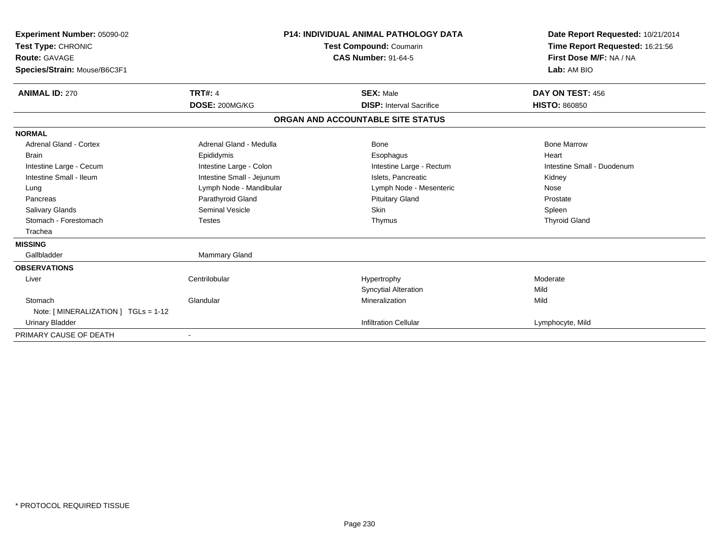| Experiment Number: 05090-02<br>Test Type: CHRONIC<br><b>Route: GAVAGE</b><br>Species/Strain: Mouse/B6C3F1 |                           | <b>P14: INDIVIDUAL ANIMAL PATHOLOGY DATA</b><br><b>Test Compound: Coumarin</b><br><b>CAS Number: 91-64-5</b> | Date Report Requested: 10/21/2014<br>Time Report Requested: 16:21:56<br>First Dose M/F: NA / NA<br>Lab: AM BIO |
|-----------------------------------------------------------------------------------------------------------|---------------------------|--------------------------------------------------------------------------------------------------------------|----------------------------------------------------------------------------------------------------------------|
| <b>ANIMAL ID: 270</b>                                                                                     | <b>TRT#: 4</b>            | <b>SEX: Male</b>                                                                                             | DAY ON TEST: 456                                                                                               |
|                                                                                                           | DOSE: 200MG/KG            | <b>DISP: Interval Sacrifice</b>                                                                              | <b>HISTO: 860850</b>                                                                                           |
|                                                                                                           |                           | ORGAN AND ACCOUNTABLE SITE STATUS                                                                            |                                                                                                                |
| <b>NORMAL</b>                                                                                             |                           |                                                                                                              |                                                                                                                |
| <b>Adrenal Gland - Cortex</b>                                                                             | Adrenal Gland - Medulla   | Bone                                                                                                         | <b>Bone Marrow</b>                                                                                             |
| <b>Brain</b>                                                                                              | Epididymis                | Esophagus                                                                                                    | Heart                                                                                                          |
| Intestine Large - Cecum                                                                                   | Intestine Large - Colon   | Intestine Large - Rectum                                                                                     | Intestine Small - Duodenum                                                                                     |
| Intestine Small - Ileum                                                                                   | Intestine Small - Jejunum | Islets, Pancreatic                                                                                           | Kidney                                                                                                         |
| Lung                                                                                                      | Lymph Node - Mandibular   | Lymph Node - Mesenteric                                                                                      | Nose                                                                                                           |
| Pancreas                                                                                                  | Parathyroid Gland         | <b>Pituitary Gland</b>                                                                                       | Prostate                                                                                                       |
| <b>Salivary Glands</b>                                                                                    | Seminal Vesicle           | Skin                                                                                                         | Spleen                                                                                                         |
| Stomach - Forestomach                                                                                     | <b>Testes</b>             | Thymus                                                                                                       | <b>Thyroid Gland</b>                                                                                           |
| Trachea                                                                                                   |                           |                                                                                                              |                                                                                                                |
| <b>MISSING</b>                                                                                            |                           |                                                                                                              |                                                                                                                |
| Gallbladder                                                                                               | <b>Mammary Gland</b>      |                                                                                                              |                                                                                                                |
| <b>OBSERVATIONS</b>                                                                                       |                           |                                                                                                              |                                                                                                                |
| Liver                                                                                                     | Centrilobular             | Hypertrophy                                                                                                  | Moderate                                                                                                       |
|                                                                                                           |                           | <b>Syncytial Alteration</b>                                                                                  | Mild                                                                                                           |
| Stomach                                                                                                   | Glandular                 | Mineralization                                                                                               | Mild                                                                                                           |
| Note: [ MINERALIZATION ] TGLs = 1-12                                                                      |                           |                                                                                                              |                                                                                                                |
| <b>Urinary Bladder</b>                                                                                    |                           | <b>Infiltration Cellular</b>                                                                                 | Lymphocyte, Mild                                                                                               |
| PRIMARY CAUSE OF DEATH                                                                                    |                           |                                                                                                              |                                                                                                                |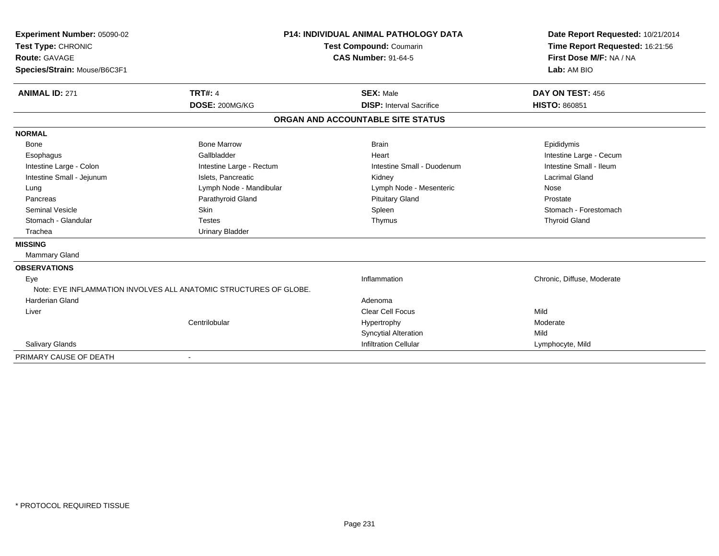| Experiment Number: 05090-02  |                                                                   | <b>P14: INDIVIDUAL ANIMAL PATHOLOGY DATA</b> | Date Report Requested: 10/21/2014 |
|------------------------------|-------------------------------------------------------------------|----------------------------------------------|-----------------------------------|
| Test Type: CHRONIC           |                                                                   | <b>Test Compound: Coumarin</b>               | Time Report Requested: 16:21:56   |
| <b>Route: GAVAGE</b>         |                                                                   | <b>CAS Number: 91-64-5</b>                   | First Dose M/F: NA / NA           |
| Species/Strain: Mouse/B6C3F1 |                                                                   |                                              | Lab: AM BIO                       |
|                              |                                                                   |                                              |                                   |
| <b>ANIMAL ID: 271</b>        | <b>TRT#: 4</b>                                                    | <b>SEX: Male</b>                             | DAY ON TEST: 456                  |
|                              | DOSE: 200MG/KG                                                    | <b>DISP:</b> Interval Sacrifice              | <b>HISTO: 860851</b>              |
|                              |                                                                   | ORGAN AND ACCOUNTABLE SITE STATUS            |                                   |
| <b>NORMAL</b>                |                                                                   |                                              |                                   |
| Bone                         | <b>Bone Marrow</b>                                                | <b>Brain</b>                                 | Epididymis                        |
| Esophagus                    | Gallbladder                                                       | Heart                                        | Intestine Large - Cecum           |
| Intestine Large - Colon      | Intestine Large - Rectum                                          | Intestine Small - Duodenum                   | Intestine Small - Ileum           |
| Intestine Small - Jejunum    | Islets, Pancreatic                                                | Kidney                                       | Lacrimal Gland                    |
| Lung                         | Lymph Node - Mandibular                                           | Lymph Node - Mesenteric                      | Nose                              |
| Pancreas                     | Parathyroid Gland                                                 | <b>Pituitary Gland</b>                       | Prostate                          |
| Seminal Vesicle              | <b>Skin</b>                                                       | Spleen                                       | Stomach - Forestomach             |
| Stomach - Glandular          | <b>Testes</b>                                                     | Thymus                                       | <b>Thyroid Gland</b>              |
| Trachea                      | <b>Urinary Bladder</b>                                            |                                              |                                   |
| <b>MISSING</b>               |                                                                   |                                              |                                   |
| Mammary Gland                |                                                                   |                                              |                                   |
| <b>OBSERVATIONS</b>          |                                                                   |                                              |                                   |
| Eye                          |                                                                   | Inflammation                                 | Chronic, Diffuse, Moderate        |
|                              | Note: EYE INFLAMMATION INVOLVES ALL ANATOMIC STRUCTURES OF GLOBE. |                                              |                                   |
| <b>Harderian Gland</b>       |                                                                   | Adenoma                                      |                                   |
| Liver                        |                                                                   | <b>Clear Cell Focus</b>                      | Mild                              |
|                              | Centrilobular                                                     | Hypertrophy                                  | Moderate                          |
|                              |                                                                   | <b>Syncytial Alteration</b>                  | Mild                              |
| <b>Salivary Glands</b>       |                                                                   | <b>Infiltration Cellular</b>                 | Lymphocyte, Mild                  |
| PRIMARY CAUSE OF DEATH       |                                                                   |                                              |                                   |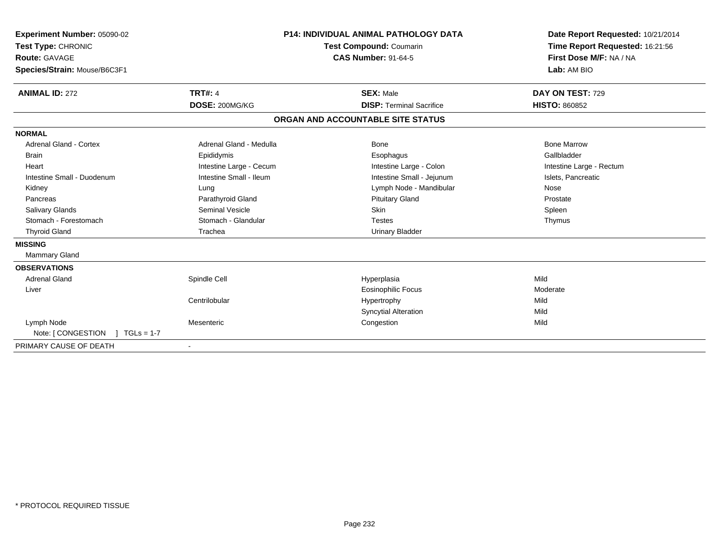| <b>TRT#: 4</b>                                                                                                                                                                       | <b>Test Compound: Coumarin</b><br><b>CAS Number: 91-64-5</b><br><b>SEX: Male</b>                                                                                                         | Date Report Requested: 10/21/2014<br>Time Report Requested: 16:21:56<br>First Dose M/F: NA / NA<br>Lab: AM BIO<br>DAY ON TEST: 729<br><b>HISTO: 860852</b> |
|--------------------------------------------------------------------------------------------------------------------------------------------------------------------------------------|------------------------------------------------------------------------------------------------------------------------------------------------------------------------------------------|------------------------------------------------------------------------------------------------------------------------------------------------------------|
|                                                                                                                                                                                      |                                                                                                                                                                                          |                                                                                                                                                            |
|                                                                                                                                                                                      |                                                                                                                                                                                          |                                                                                                                                                            |
| Adrenal Gland - Medulla<br>Epididymis<br>Intestine Large - Cecum<br>Intestine Small - Ileum<br>Lung<br>Parathyroid Gland<br><b>Seminal Vesicle</b><br>Stomach - Glandular<br>Trachea | Bone<br>Esophagus<br>Intestine Large - Colon<br>Intestine Small - Jejunum<br>Lymph Node - Mandibular<br><b>Pituitary Gland</b><br><b>Skin</b><br><b>Testes</b><br><b>Urinary Bladder</b> | <b>Bone Marrow</b><br>Gallbladder<br>Intestine Large - Rectum<br>Islets, Pancreatic<br>Nose<br>Prostate<br>Spleen<br>Thymus                                |
| Spindle Cell<br>Centrilobular<br>Mesenteric                                                                                                                                          | Hyperplasia<br><b>Eosinophilic Focus</b><br>Hypertrophy<br><b>Syncytial Alteration</b><br>Congestion                                                                                     | Mild<br>Moderate<br>Mild<br>Mild<br>Mild                                                                                                                   |
|                                                                                                                                                                                      | DOSE: 200MG/KG                                                                                                                                                                           | P14: INDIVIDUAL ANIMAL PATHOLOGY DATA<br><b>DISP: Terminal Sacrifice</b><br>ORGAN AND ACCOUNTABLE SITE STATUS                                              |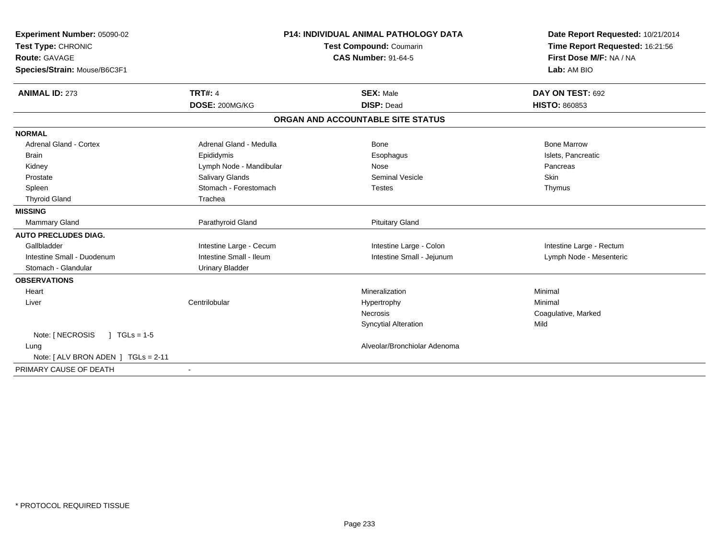| Experiment Number: 05090-02<br>Test Type: CHRONIC<br><b>Route: GAVAGE</b> |                         | <b>P14: INDIVIDUAL ANIMAL PATHOLOGY DATA</b><br>Test Compound: Coumarin<br><b>CAS Number: 91-64-5</b> | Date Report Requested: 10/21/2014<br>Time Report Requested: 16:21:56<br>First Dose M/F: NA / NA |
|---------------------------------------------------------------------------|-------------------------|-------------------------------------------------------------------------------------------------------|-------------------------------------------------------------------------------------------------|
| Species/Strain: Mouse/B6C3F1                                              |                         |                                                                                                       | Lab: AM BIO                                                                                     |
| <b>ANIMAL ID: 273</b>                                                     | <b>TRT#: 4</b>          | <b>SEX: Male</b>                                                                                      | DAY ON TEST: 692                                                                                |
|                                                                           | DOSE: 200MG/KG          | <b>DISP: Dead</b>                                                                                     | <b>HISTO: 860853</b>                                                                            |
|                                                                           |                         | ORGAN AND ACCOUNTABLE SITE STATUS                                                                     |                                                                                                 |
| <b>NORMAL</b>                                                             |                         |                                                                                                       |                                                                                                 |
| <b>Adrenal Gland - Cortex</b>                                             | Adrenal Gland - Medulla | Bone                                                                                                  | <b>Bone Marrow</b>                                                                              |
| <b>Brain</b>                                                              | Epididymis              | Esophagus                                                                                             | Islets, Pancreatic                                                                              |
| Kidney                                                                    | Lymph Node - Mandibular | Nose                                                                                                  | Pancreas                                                                                        |
| Prostate                                                                  | <b>Salivary Glands</b>  | Seminal Vesicle                                                                                       | <b>Skin</b>                                                                                     |
| Spleen                                                                    | Stomach - Forestomach   | <b>Testes</b>                                                                                         | Thymus                                                                                          |
| <b>Thyroid Gland</b>                                                      | Trachea                 |                                                                                                       |                                                                                                 |
| <b>MISSING</b>                                                            |                         |                                                                                                       |                                                                                                 |
| <b>Mammary Gland</b>                                                      | Parathyroid Gland       | <b>Pituitary Gland</b>                                                                                |                                                                                                 |
| <b>AUTO PRECLUDES DIAG.</b>                                               |                         |                                                                                                       |                                                                                                 |
| Gallbladder                                                               | Intestine Large - Cecum | Intestine Large - Colon                                                                               | Intestine Large - Rectum                                                                        |
| Intestine Small - Duodenum                                                | Intestine Small - Ileum | Intestine Small - Jejunum                                                                             | Lymph Node - Mesenteric                                                                         |
| Stomach - Glandular                                                       | <b>Urinary Bladder</b>  |                                                                                                       |                                                                                                 |
| <b>OBSERVATIONS</b>                                                       |                         |                                                                                                       |                                                                                                 |
| Heart                                                                     |                         | Mineralization                                                                                        | Minimal                                                                                         |
| Liver                                                                     | Centrilobular           | Hypertrophy                                                                                           | Minimal                                                                                         |
|                                                                           |                         | Necrosis                                                                                              | Coagulative, Marked                                                                             |
|                                                                           |                         | <b>Syncytial Alteration</b>                                                                           | Mild                                                                                            |
| Note: [ NECROSIS<br>$1 TGLs = 1-5$                                        |                         |                                                                                                       |                                                                                                 |
| Lung                                                                      |                         | Alveolar/Bronchiolar Adenoma                                                                          |                                                                                                 |
| Note: [ ALV BRON ADEN ] TGLs = 2-11                                       |                         |                                                                                                       |                                                                                                 |
| PRIMARY CAUSE OF DEATH                                                    | $\sim$                  |                                                                                                       |                                                                                                 |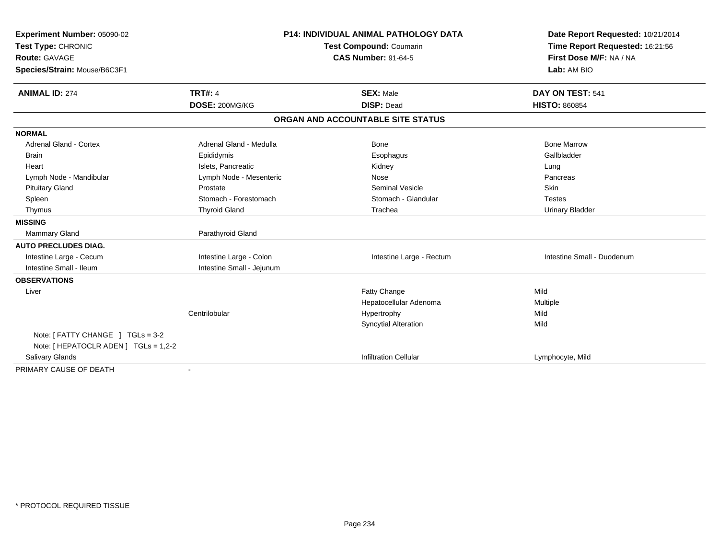| Experiment Number: 05090-02<br>Test Type: CHRONIC |                           | <b>P14: INDIVIDUAL ANIMAL PATHOLOGY DATA</b><br>Test Compound: Coumarin | Date Report Requested: 10/21/2014<br>Time Report Requested: 16:21:56 |
|---------------------------------------------------|---------------------------|-------------------------------------------------------------------------|----------------------------------------------------------------------|
| <b>Route: GAVAGE</b>                              |                           | <b>CAS Number: 91-64-5</b>                                              | First Dose M/F: NA / NA                                              |
| Species/Strain: Mouse/B6C3F1                      |                           |                                                                         | Lab: AM BIO                                                          |
|                                                   |                           |                                                                         |                                                                      |
| <b>ANIMAL ID: 274</b>                             | <b>TRT#: 4</b>            | <b>SEX: Male</b>                                                        | DAY ON TEST: 541                                                     |
|                                                   | DOSE: 200MG/KG            | <b>DISP: Dead</b>                                                       | <b>HISTO: 860854</b>                                                 |
|                                                   |                           | ORGAN AND ACCOUNTABLE SITE STATUS                                       |                                                                      |
| <b>NORMAL</b>                                     |                           |                                                                         |                                                                      |
| <b>Adrenal Gland - Cortex</b>                     | Adrenal Gland - Medulla   | Bone                                                                    | <b>Bone Marrow</b>                                                   |
| <b>Brain</b>                                      | Epididymis                | Esophagus                                                               | Gallbladder                                                          |
| Heart                                             | Islets, Pancreatic        | Kidney                                                                  | Lung                                                                 |
| Lymph Node - Mandibular                           | Lymph Node - Mesenteric   | Nose                                                                    | Pancreas                                                             |
| <b>Pituitary Gland</b>                            | Prostate                  | <b>Seminal Vesicle</b>                                                  | Skin                                                                 |
| Spleen                                            | Stomach - Forestomach     | Stomach - Glandular                                                     | <b>Testes</b>                                                        |
| Thymus                                            | <b>Thyroid Gland</b>      | Trachea                                                                 | <b>Urinary Bladder</b>                                               |
| <b>MISSING</b>                                    |                           |                                                                         |                                                                      |
| <b>Mammary Gland</b>                              | Parathyroid Gland         |                                                                         |                                                                      |
| <b>AUTO PRECLUDES DIAG.</b>                       |                           |                                                                         |                                                                      |
| Intestine Large - Cecum                           | Intestine Large - Colon   | Intestine Large - Rectum                                                | Intestine Small - Duodenum                                           |
| Intestine Small - Ileum                           | Intestine Small - Jejunum |                                                                         |                                                                      |
| <b>OBSERVATIONS</b>                               |                           |                                                                         |                                                                      |
| Liver                                             |                           | Fatty Change                                                            | Mild                                                                 |
|                                                   |                           | Hepatocellular Adenoma                                                  | Multiple                                                             |
|                                                   | Centrilobular             | Hypertrophy                                                             | Mild                                                                 |
|                                                   |                           | <b>Syncytial Alteration</b>                                             | Mild                                                                 |
| Note: [ FATTY CHANGE ] TGLs = 3-2                 |                           |                                                                         |                                                                      |
| Note: [ HEPATOCLR ADEN ] TGLs = 1,2-2             |                           |                                                                         |                                                                      |
| Salivary Glands                                   |                           | <b>Infiltration Cellular</b>                                            | Lymphocyte, Mild                                                     |
| PRIMARY CAUSE OF DEATH                            |                           |                                                                         |                                                                      |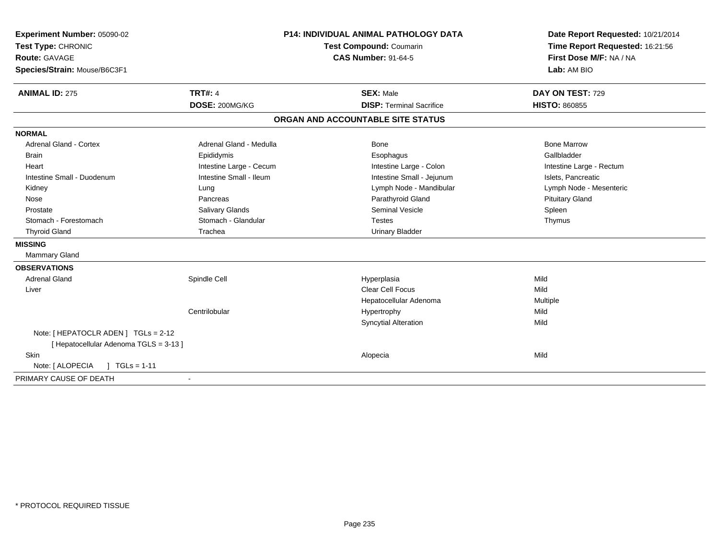| Experiment Number: 05090-02                                                    | P14: INDIVIDUAL ANIMAL PATHOLOGY DATA<br>Test Compound: Coumarin<br><b>CAS Number: 91-64-5</b> |                                   | Date Report Requested: 10/21/2014                          |  |
|--------------------------------------------------------------------------------|------------------------------------------------------------------------------------------------|-----------------------------------|------------------------------------------------------------|--|
| Test Type: CHRONIC                                                             |                                                                                                |                                   | Time Report Requested: 16:21:56<br>First Dose M/F: NA / NA |  |
| <b>Route: GAVAGE</b>                                                           |                                                                                                |                                   |                                                            |  |
| Species/Strain: Mouse/B6C3F1                                                   |                                                                                                |                                   | Lab: AM BIO                                                |  |
| <b>ANIMAL ID: 275</b>                                                          | <b>TRT#: 4</b>                                                                                 | <b>SEX: Male</b>                  | DAY ON TEST: 729                                           |  |
|                                                                                | DOSE: 200MG/KG                                                                                 | <b>DISP: Terminal Sacrifice</b>   | <b>HISTO: 860855</b>                                       |  |
|                                                                                |                                                                                                | ORGAN AND ACCOUNTABLE SITE STATUS |                                                            |  |
| <b>NORMAL</b>                                                                  |                                                                                                |                                   |                                                            |  |
| <b>Adrenal Gland - Cortex</b>                                                  | Adrenal Gland - Medulla                                                                        | Bone                              | <b>Bone Marrow</b>                                         |  |
| <b>Brain</b>                                                                   | Epididymis                                                                                     | Esophagus                         | Gallbladder                                                |  |
| Heart                                                                          | Intestine Large - Cecum                                                                        | Intestine Large - Colon           | Intestine Large - Rectum                                   |  |
| Intestine Small - Duodenum                                                     | Intestine Small - Ileum                                                                        | Intestine Small - Jejunum         | Islets, Pancreatic                                         |  |
| Kidney                                                                         | Lung                                                                                           | Lymph Node - Mandibular           | Lymph Node - Mesenteric                                    |  |
| Nose                                                                           | Pancreas                                                                                       | Parathyroid Gland                 | <b>Pituitary Gland</b>                                     |  |
| Prostate                                                                       | Salivary Glands                                                                                | <b>Seminal Vesicle</b>            | Spleen                                                     |  |
| Stomach - Forestomach                                                          | Stomach - Glandular                                                                            | <b>Testes</b>                     | Thymus                                                     |  |
| <b>Thyroid Gland</b>                                                           | Trachea                                                                                        | <b>Urinary Bladder</b>            |                                                            |  |
| <b>MISSING</b>                                                                 |                                                                                                |                                   |                                                            |  |
| <b>Mammary Gland</b>                                                           |                                                                                                |                                   |                                                            |  |
| <b>OBSERVATIONS</b>                                                            |                                                                                                |                                   |                                                            |  |
| <b>Adrenal Gland</b>                                                           | Spindle Cell                                                                                   | Hyperplasia                       | Mild                                                       |  |
| Liver                                                                          |                                                                                                | <b>Clear Cell Focus</b>           | Mild                                                       |  |
|                                                                                |                                                                                                | Hepatocellular Adenoma            | Multiple                                                   |  |
|                                                                                | Centrilobular                                                                                  | Hypertrophy                       | Mild                                                       |  |
|                                                                                |                                                                                                | <b>Syncytial Alteration</b>       | Mild                                                       |  |
| Note: [ HEPATOCLR ADEN ] TGLs = 2-12<br>[ Hepatocellular Adenoma TGLS = 3-13 ] |                                                                                                |                                   |                                                            |  |
| <b>Skin</b>                                                                    |                                                                                                | Alopecia                          | Mild                                                       |  |
| Note: [ ALOPECIA<br>$1 TGLs = 1-11$                                            |                                                                                                |                                   |                                                            |  |
| PRIMARY CAUSE OF DEATH                                                         |                                                                                                |                                   |                                                            |  |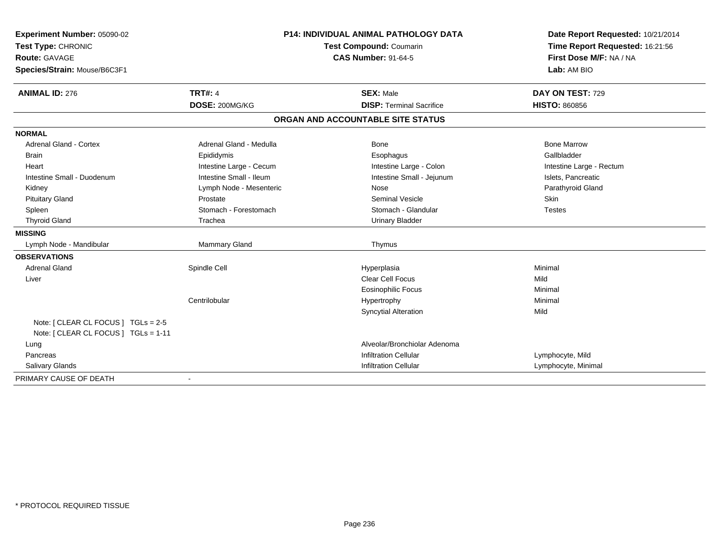| Experiment Number: 05090-02          | P14: INDIVIDUAL ANIMAL PATHOLOGY DATA<br>Test Compound: Coumarin |                                   | Date Report Requested: 10/21/2014 |
|--------------------------------------|------------------------------------------------------------------|-----------------------------------|-----------------------------------|
| Test Type: CHRONIC                   |                                                                  |                                   | Time Report Requested: 16:21:56   |
| <b>Route: GAVAGE</b>                 |                                                                  | <b>CAS Number: 91-64-5</b>        | First Dose M/F: NA / NA           |
| Species/Strain: Mouse/B6C3F1         |                                                                  |                                   | Lab: AM BIO                       |
| <b>ANIMAL ID: 276</b>                | <b>TRT#: 4</b>                                                   | <b>SEX: Male</b>                  | DAY ON TEST: 729                  |
|                                      | DOSE: 200MG/KG                                                   | <b>DISP: Terminal Sacrifice</b>   | <b>HISTO: 860856</b>              |
|                                      |                                                                  | ORGAN AND ACCOUNTABLE SITE STATUS |                                   |
| <b>NORMAL</b>                        |                                                                  |                                   |                                   |
| <b>Adrenal Gland - Cortex</b>        | Adrenal Gland - Medulla                                          | <b>Bone</b>                       | <b>Bone Marrow</b>                |
| <b>Brain</b>                         | Epididymis                                                       | Esophagus                         | Gallbladder                       |
| Heart                                | Intestine Large - Cecum                                          | Intestine Large - Colon           | Intestine Large - Rectum          |
| Intestine Small - Duodenum           | Intestine Small - Ileum                                          | Intestine Small - Jejunum         | Islets, Pancreatic                |
| Kidney                               | Lymph Node - Mesenteric                                          | Nose                              | Parathyroid Gland                 |
| <b>Pituitary Gland</b>               | Prostate                                                         | <b>Seminal Vesicle</b>            | <b>Skin</b>                       |
| Spleen                               | Stomach - Forestomach                                            | Stomach - Glandular               | <b>Testes</b>                     |
| <b>Thyroid Gland</b>                 | Trachea                                                          | <b>Urinary Bladder</b>            |                                   |
| <b>MISSING</b>                       |                                                                  |                                   |                                   |
| Lymph Node - Mandibular              | Mammary Gland                                                    | Thymus                            |                                   |
| <b>OBSERVATIONS</b>                  |                                                                  |                                   |                                   |
| <b>Adrenal Gland</b>                 | Spindle Cell                                                     | Hyperplasia                       | Minimal                           |
| Liver                                |                                                                  | <b>Clear Cell Focus</b>           | Mild                              |
|                                      |                                                                  | <b>Eosinophilic Focus</b>         | Minimal                           |
|                                      | Centrilobular                                                    | Hypertrophy                       | Minimal                           |
|                                      |                                                                  | <b>Syncytial Alteration</b>       | Mild                              |
| Note: [ CLEAR CL FOCUS ] TGLs = 2-5  |                                                                  |                                   |                                   |
| Note: [ CLEAR CL FOCUS ] TGLs = 1-11 |                                                                  |                                   |                                   |
| Lung                                 |                                                                  | Alveolar/Bronchiolar Adenoma      |                                   |
| Pancreas                             |                                                                  | <b>Infiltration Cellular</b>      | Lymphocyte, Mild                  |
| <b>Salivary Glands</b>               |                                                                  | <b>Infiltration Cellular</b>      | Lymphocyte, Minimal               |
| PRIMARY CAUSE OF DEATH               |                                                                  |                                   |                                   |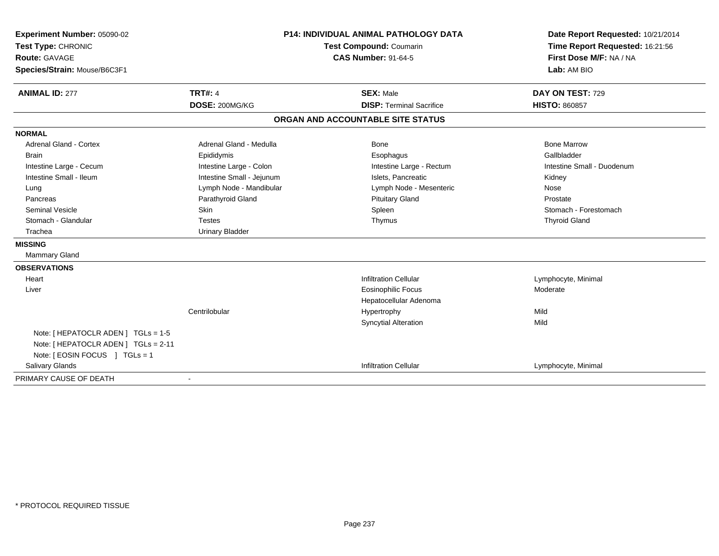| Experiment Number: 05090-02          | <b>P14: INDIVIDUAL ANIMAL PATHOLOGY DATA</b><br><b>Test Compound: Coumarin</b><br><b>CAS Number: 91-64-5</b> |                                   | Date Report Requested: 10/21/2014                          |  |
|--------------------------------------|--------------------------------------------------------------------------------------------------------------|-----------------------------------|------------------------------------------------------------|--|
| Test Type: CHRONIC                   |                                                                                                              |                                   | Time Report Requested: 16:21:56<br>First Dose M/F: NA / NA |  |
| <b>Route: GAVAGE</b>                 |                                                                                                              |                                   |                                                            |  |
| Species/Strain: Mouse/B6C3F1         |                                                                                                              |                                   | Lab: AM BIO                                                |  |
| <b>ANIMAL ID: 277</b>                | <b>TRT#: 4</b>                                                                                               | <b>SEX: Male</b>                  | DAY ON TEST: 729                                           |  |
|                                      | DOSE: 200MG/KG                                                                                               | <b>DISP: Terminal Sacrifice</b>   | <b>HISTO: 860857</b>                                       |  |
|                                      |                                                                                                              | ORGAN AND ACCOUNTABLE SITE STATUS |                                                            |  |
| <b>NORMAL</b>                        |                                                                                                              |                                   |                                                            |  |
| Adrenal Gland - Cortex               | Adrenal Gland - Medulla                                                                                      | <b>Bone</b>                       | <b>Bone Marrow</b>                                         |  |
| <b>Brain</b>                         | Epididymis                                                                                                   | Esophagus                         | Gallbladder                                                |  |
| Intestine Large - Cecum              | Intestine Large - Colon                                                                                      | Intestine Large - Rectum          | Intestine Small - Duodenum                                 |  |
| Intestine Small - Ileum              | Intestine Small - Jejunum                                                                                    | Islets. Pancreatic                | Kidney                                                     |  |
| Lung                                 | Lymph Node - Mandibular                                                                                      | Lymph Node - Mesenteric           | Nose                                                       |  |
| Pancreas                             | Parathyroid Gland                                                                                            | <b>Pituitary Gland</b>            | Prostate                                                   |  |
| Seminal Vesicle                      | Skin                                                                                                         | Spleen                            | Stomach - Forestomach                                      |  |
| Stomach - Glandular                  | <b>Testes</b>                                                                                                | Thymus                            | <b>Thyroid Gland</b>                                       |  |
| Trachea                              | <b>Urinary Bladder</b>                                                                                       |                                   |                                                            |  |
| <b>MISSING</b>                       |                                                                                                              |                                   |                                                            |  |
| Mammary Gland                        |                                                                                                              |                                   |                                                            |  |
| <b>OBSERVATIONS</b>                  |                                                                                                              |                                   |                                                            |  |
| Heart                                |                                                                                                              | <b>Infiltration Cellular</b>      | Lymphocyte, Minimal                                        |  |
| Liver                                |                                                                                                              | <b>Eosinophilic Focus</b>         | Moderate                                                   |  |
|                                      |                                                                                                              | Hepatocellular Adenoma            |                                                            |  |
|                                      | Centrilobular                                                                                                | Hypertrophy                       | Mild                                                       |  |
|                                      |                                                                                                              | <b>Syncytial Alteration</b>       | Mild                                                       |  |
| Note: [ HEPATOCLR ADEN ] TGLs = 1-5  |                                                                                                              |                                   |                                                            |  |
| Note: [ HEPATOCLR ADEN ] TGLs = 2-11 |                                                                                                              |                                   |                                                            |  |
| Note: [ EOSIN FOCUS ] TGLs = 1       |                                                                                                              |                                   |                                                            |  |
| <b>Salivary Glands</b>               |                                                                                                              | <b>Infiltration Cellular</b>      | Lymphocyte, Minimal                                        |  |
| PRIMARY CAUSE OF DEATH               |                                                                                                              |                                   |                                                            |  |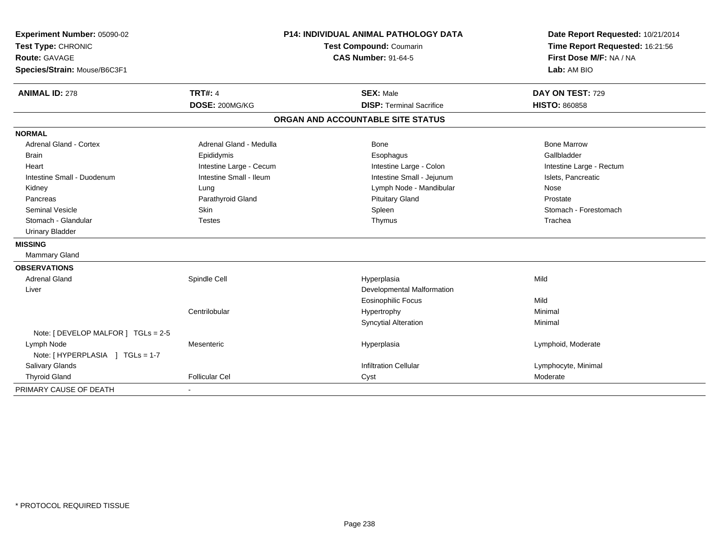| Experiment Number: 05090-02<br>Test Type: CHRONIC<br><b>Route: GAVAGE</b><br>Species/Strain: Mouse/B6C3F1 |                         | P14: INDIVIDUAL ANIMAL PATHOLOGY DATA<br><b>Test Compound: Coumarin</b><br><b>CAS Number: 91-64-5</b> | Date Report Requested: 10/21/2014<br>Time Report Requested: 16:21:56<br>First Dose M/F: NA / NA<br>Lab: AM BIO |  |
|-----------------------------------------------------------------------------------------------------------|-------------------------|-------------------------------------------------------------------------------------------------------|----------------------------------------------------------------------------------------------------------------|--|
| <b>ANIMAL ID: 278</b>                                                                                     | <b>TRT#: 4</b>          | <b>SEX: Male</b>                                                                                      | DAY ON TEST: 729                                                                                               |  |
|                                                                                                           | DOSE: 200MG/KG          | <b>DISP: Terminal Sacrifice</b>                                                                       | <b>HISTO: 860858</b>                                                                                           |  |
|                                                                                                           |                         | ORGAN AND ACCOUNTABLE SITE STATUS                                                                     |                                                                                                                |  |
| <b>NORMAL</b>                                                                                             |                         |                                                                                                       |                                                                                                                |  |
| <b>Adrenal Gland - Cortex</b>                                                                             | Adrenal Gland - Medulla | Bone                                                                                                  | <b>Bone Marrow</b>                                                                                             |  |
| Brain                                                                                                     | Epididymis              | Esophagus                                                                                             | Gallbladder                                                                                                    |  |
| Heart                                                                                                     | Intestine Large - Cecum | Intestine Large - Colon                                                                               | Intestine Large - Rectum                                                                                       |  |
| Intestine Small - Duodenum                                                                                | Intestine Small - Ileum | Intestine Small - Jejunum                                                                             | Islets, Pancreatic                                                                                             |  |
| Kidney                                                                                                    | Lung                    | Lymph Node - Mandibular                                                                               | Nose                                                                                                           |  |
| Pancreas                                                                                                  | Parathyroid Gland       | <b>Pituitary Gland</b>                                                                                | Prostate                                                                                                       |  |
| Seminal Vesicle                                                                                           | Skin                    | Spleen                                                                                                | Stomach - Forestomach                                                                                          |  |
| Stomach - Glandular                                                                                       | <b>Testes</b>           | Thymus                                                                                                | Trachea                                                                                                        |  |
| <b>Urinary Bladder</b>                                                                                    |                         |                                                                                                       |                                                                                                                |  |
| <b>MISSING</b>                                                                                            |                         |                                                                                                       |                                                                                                                |  |
| Mammary Gland                                                                                             |                         |                                                                                                       |                                                                                                                |  |
| <b>OBSERVATIONS</b>                                                                                       |                         |                                                                                                       |                                                                                                                |  |
| <b>Adrenal Gland</b>                                                                                      | Spindle Cell            | Hyperplasia                                                                                           | Mild                                                                                                           |  |
| Liver                                                                                                     |                         | Developmental Malformation                                                                            |                                                                                                                |  |
|                                                                                                           |                         | <b>Eosinophilic Focus</b>                                                                             | Mild                                                                                                           |  |
|                                                                                                           | Centrilobular           | Hypertrophy                                                                                           | Minimal                                                                                                        |  |
|                                                                                                           |                         | <b>Syncytial Alteration</b>                                                                           | Minimal                                                                                                        |  |
| Note: [ DEVELOP MALFOR ] TGLs = 2-5                                                                       |                         |                                                                                                       |                                                                                                                |  |
| Lymph Node                                                                                                | Mesenteric              | Hyperplasia                                                                                           | Lymphoid, Moderate                                                                                             |  |
| Note: [ HYPERPLASIA ] TGLs = 1-7                                                                          |                         |                                                                                                       |                                                                                                                |  |
| Salivary Glands                                                                                           |                         | <b>Infiltration Cellular</b>                                                                          | Lymphocyte, Minimal                                                                                            |  |
| <b>Thyroid Gland</b>                                                                                      | Follicular Cel          | Cyst                                                                                                  | Moderate                                                                                                       |  |
| PRIMARY CAUSE OF DEATH                                                                                    |                         |                                                                                                       |                                                                                                                |  |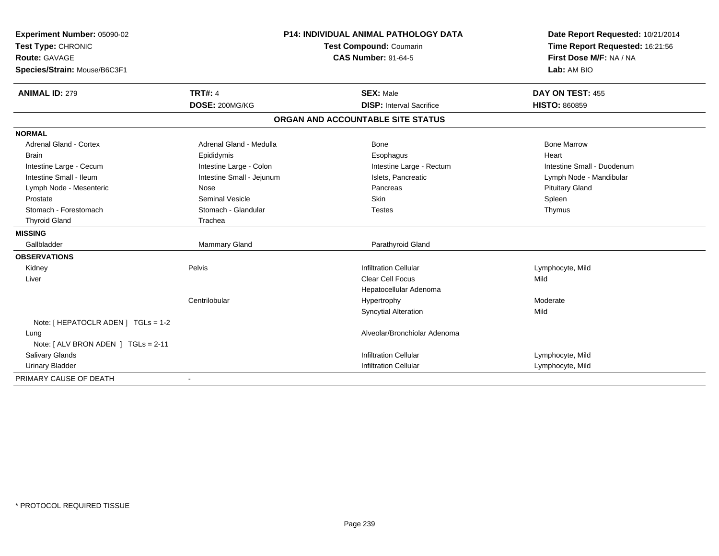| Experiment Number: 05090-02         | <b>P14: INDIVIDUAL ANIMAL PATHOLOGY DATA</b><br>Test Compound: Coumarin<br><b>CAS Number: 91-64-5</b> |                                   | Date Report Requested: 10/21/2014 |  |
|-------------------------------------|-------------------------------------------------------------------------------------------------------|-----------------------------------|-----------------------------------|--|
| Test Type: CHRONIC                  |                                                                                                       |                                   | Time Report Requested: 16:21:56   |  |
| Route: GAVAGE                       |                                                                                                       |                                   | First Dose M/F: NA / NA           |  |
| Species/Strain: Mouse/B6C3F1        |                                                                                                       |                                   | Lab: AM BIO                       |  |
| <b>ANIMAL ID: 279</b>               | <b>TRT#: 4</b>                                                                                        | <b>SEX: Male</b>                  | DAY ON TEST: 455                  |  |
|                                     | DOSE: 200MG/KG                                                                                        | <b>DISP:</b> Interval Sacrifice   | <b>HISTO: 860859</b>              |  |
|                                     |                                                                                                       | ORGAN AND ACCOUNTABLE SITE STATUS |                                   |  |
| <b>NORMAL</b>                       |                                                                                                       |                                   |                                   |  |
| <b>Adrenal Gland - Cortex</b>       | Adrenal Gland - Medulla                                                                               | Bone                              | <b>Bone Marrow</b>                |  |
| <b>Brain</b>                        | Epididymis                                                                                            | Esophagus                         | Heart                             |  |
| Intestine Large - Cecum             | Intestine Large - Colon                                                                               | Intestine Large - Rectum          | Intestine Small - Duodenum        |  |
| Intestine Small - Ileum             | Intestine Small - Jejunum                                                                             | Islets, Pancreatic                | Lymph Node - Mandibular           |  |
| Lymph Node - Mesenteric             | <b>Nose</b>                                                                                           | Pancreas                          | <b>Pituitary Gland</b>            |  |
| Prostate                            | <b>Seminal Vesicle</b>                                                                                | <b>Skin</b>                       | Spleen                            |  |
| Stomach - Forestomach               | Stomach - Glandular                                                                                   | <b>Testes</b>                     | Thymus                            |  |
| <b>Thyroid Gland</b>                | Trachea                                                                                               |                                   |                                   |  |
| <b>MISSING</b>                      |                                                                                                       |                                   |                                   |  |
| Gallbladder                         | Mammary Gland                                                                                         | Parathyroid Gland                 |                                   |  |
| <b>OBSERVATIONS</b>                 |                                                                                                       |                                   |                                   |  |
| Kidney                              | Pelvis                                                                                                | <b>Infiltration Cellular</b>      | Lymphocyte, Mild                  |  |
| Liver                               |                                                                                                       | <b>Clear Cell Focus</b>           | Mild                              |  |
|                                     |                                                                                                       | Hepatocellular Adenoma            |                                   |  |
|                                     | Centrilobular                                                                                         | Hypertrophy                       | Moderate                          |  |
|                                     |                                                                                                       | <b>Syncytial Alteration</b>       | Mild                              |  |
| Note: [ HEPATOCLR ADEN ] TGLs = 1-2 |                                                                                                       |                                   |                                   |  |
| Lung                                |                                                                                                       | Alveolar/Bronchiolar Adenoma      |                                   |  |
| Note: [ ALV BRON ADEN ] TGLs = 2-11 |                                                                                                       |                                   |                                   |  |
| Salivary Glands                     |                                                                                                       | <b>Infiltration Cellular</b>      | Lymphocyte, Mild                  |  |
| <b>Urinary Bladder</b>              |                                                                                                       | <b>Infiltration Cellular</b>      | Lymphocyte, Mild                  |  |
| PRIMARY CAUSE OF DEATH              |                                                                                                       |                                   |                                   |  |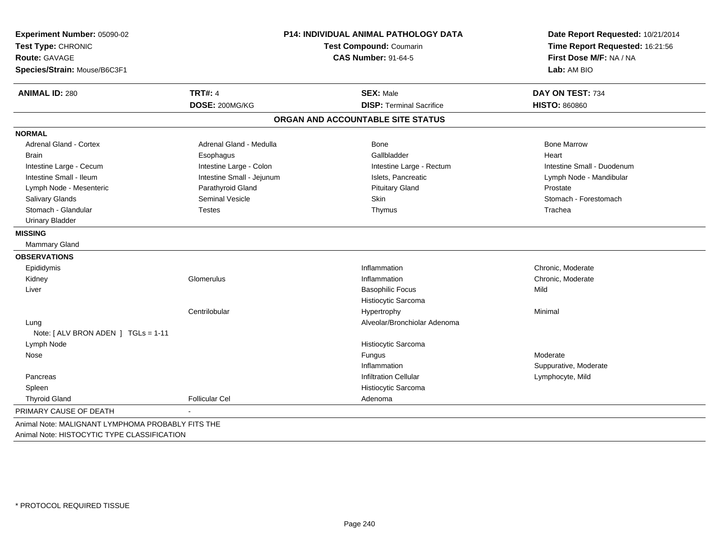| Experiment Number: 05090-02<br>Test Type: CHRONIC<br><b>Route: GAVAGE</b> |                           | <b>P14: INDIVIDUAL ANIMAL PATHOLOGY DATA</b><br>Test Compound: Coumarin<br><b>CAS Number: 91-64-5</b> |                            |
|---------------------------------------------------------------------------|---------------------------|-------------------------------------------------------------------------------------------------------|----------------------------|
| Species/Strain: Mouse/B6C3F1                                              |                           |                                                                                                       | Lab: AM BIO                |
| <b>ANIMAL ID: 280</b>                                                     | <b>TRT#: 4</b>            | <b>SEX: Male</b>                                                                                      | DAY ON TEST: 734           |
|                                                                           | DOSE: 200MG/KG            | <b>DISP: Terminal Sacrifice</b>                                                                       | <b>HISTO: 860860</b>       |
|                                                                           |                           | ORGAN AND ACCOUNTABLE SITE STATUS                                                                     |                            |
| <b>NORMAL</b>                                                             |                           |                                                                                                       |                            |
| <b>Adrenal Gland - Cortex</b>                                             | Adrenal Gland - Medulla   | Bone                                                                                                  | <b>Bone Marrow</b>         |
| <b>Brain</b>                                                              | Esophagus                 | Gallbladder                                                                                           | Heart                      |
| Intestine Large - Cecum                                                   | Intestine Large - Colon   | Intestine Large - Rectum                                                                              | Intestine Small - Duodenum |
| Intestine Small - Ileum                                                   | Intestine Small - Jejunum | Islets, Pancreatic                                                                                    | Lymph Node - Mandibular    |
| Lymph Node - Mesenteric                                                   | Parathyroid Gland         | <b>Pituitary Gland</b>                                                                                | Prostate                   |
| Salivary Glands                                                           | <b>Seminal Vesicle</b>    | Skin                                                                                                  | Stomach - Forestomach      |
| Stomach - Glandular                                                       | <b>Testes</b>             | Thymus                                                                                                | Trachea                    |
| <b>Urinary Bladder</b>                                                    |                           |                                                                                                       |                            |
| <b>MISSING</b>                                                            |                           |                                                                                                       |                            |
| Mammary Gland                                                             |                           |                                                                                                       |                            |
| <b>OBSERVATIONS</b>                                                       |                           |                                                                                                       |                            |
| Epididymis                                                                |                           | Inflammation                                                                                          | Chronic, Moderate          |
| Kidney                                                                    | Glomerulus                | Inflammation                                                                                          | Chronic, Moderate          |
| Liver                                                                     |                           | <b>Basophilic Focus</b>                                                                               | Mild                       |
|                                                                           |                           | Histiocytic Sarcoma                                                                                   |                            |
|                                                                           | Centrilobular             | Hypertrophy                                                                                           | Minimal                    |
| Lung                                                                      |                           | Alveolar/Bronchiolar Adenoma                                                                          |                            |
| Note: [ ALV BRON ADEN ] TGLs = 1-11                                       |                           |                                                                                                       |                            |
| Lymph Node                                                                |                           | Histiocytic Sarcoma                                                                                   |                            |
| Nose                                                                      |                           | Fungus                                                                                                | Moderate                   |
|                                                                           |                           | Inflammation                                                                                          | Suppurative, Moderate      |
| Pancreas                                                                  |                           | <b>Infiltration Cellular</b>                                                                          | Lymphocyte, Mild           |
| Spleen                                                                    |                           | Histiocytic Sarcoma                                                                                   |                            |
| <b>Thyroid Gland</b>                                                      | <b>Follicular Cel</b>     | Adenoma                                                                                               |                            |
| PRIMARY CAUSE OF DEATH                                                    |                           |                                                                                                       |                            |
| Animal Note: MALIGNANT LYMPHOMA PROBABLY FITS THE                         |                           |                                                                                                       |                            |
| Animal Note: HISTOCYTIC TYPE CLASSIFICATION                               |                           |                                                                                                       |                            |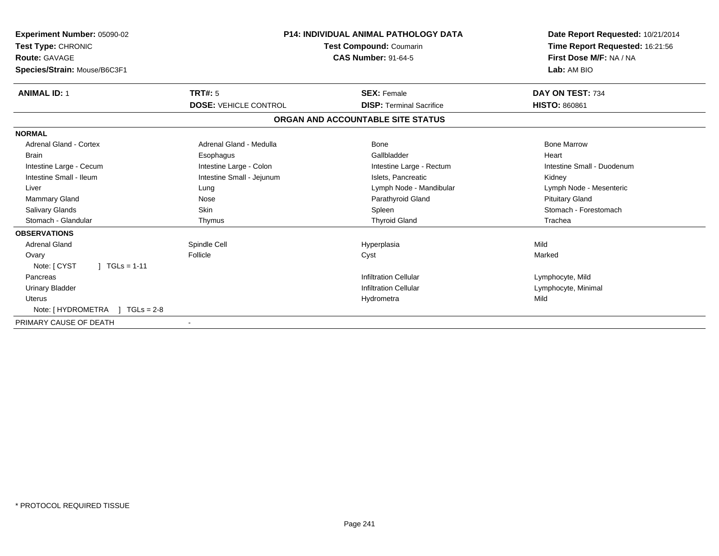| Experiment Number: 05090-02<br>Test Type: CHRONIC<br><b>Route: GAVAGE</b><br>Species/Strain: Mouse/B6C3F1 | <b>P14: INDIVIDUAL ANIMAL PATHOLOGY DATA</b><br><b>Test Compound: Coumarin</b><br><b>CAS Number: 91-64-5</b> |                                   | Date Report Requested: 10/21/2014<br>Time Report Requested: 16:21:56<br>First Dose M/F: NA / NA<br>Lab: AM BIO |
|-----------------------------------------------------------------------------------------------------------|--------------------------------------------------------------------------------------------------------------|-----------------------------------|----------------------------------------------------------------------------------------------------------------|
| <b>ANIMAL ID: 1</b>                                                                                       | <b>TRT#: 5</b>                                                                                               | <b>SEX: Female</b>                | DAY ON TEST: 734                                                                                               |
|                                                                                                           | <b>DOSE: VEHICLE CONTROL</b>                                                                                 | <b>DISP: Terminal Sacrifice</b>   | <b>HISTO: 860861</b>                                                                                           |
|                                                                                                           |                                                                                                              | ORGAN AND ACCOUNTABLE SITE STATUS |                                                                                                                |
| <b>NORMAL</b>                                                                                             |                                                                                                              |                                   |                                                                                                                |
| <b>Adrenal Gland - Cortex</b>                                                                             | Adrenal Gland - Medulla                                                                                      | Bone                              | <b>Bone Marrow</b>                                                                                             |
| <b>Brain</b>                                                                                              | Esophagus                                                                                                    | Gallbladder                       | Heart                                                                                                          |
| Intestine Large - Cecum                                                                                   | Intestine Large - Colon                                                                                      | Intestine Large - Rectum          | Intestine Small - Duodenum                                                                                     |
| Intestine Small - Ileum                                                                                   | Intestine Small - Jejunum                                                                                    | Islets, Pancreatic                | Kidney                                                                                                         |
| Liver                                                                                                     | Lung                                                                                                         | Lymph Node - Mandibular           | Lymph Node - Mesenteric                                                                                        |
| <b>Mammary Gland</b>                                                                                      | Nose                                                                                                         | Parathyroid Gland                 | <b>Pituitary Gland</b>                                                                                         |
| <b>Salivary Glands</b>                                                                                    | Skin                                                                                                         | Spleen                            | Stomach - Forestomach                                                                                          |
| Stomach - Glandular                                                                                       | Thymus                                                                                                       | <b>Thyroid Gland</b>              | Trachea                                                                                                        |
| <b>OBSERVATIONS</b>                                                                                       |                                                                                                              |                                   |                                                                                                                |
| <b>Adrenal Gland</b>                                                                                      | Spindle Cell                                                                                                 | Hyperplasia                       | Mild                                                                                                           |
| Ovary                                                                                                     | Follicle                                                                                                     | Cyst                              | Marked                                                                                                         |
| $1 TGLs = 1-11$<br>Note: [ CYST                                                                           |                                                                                                              |                                   |                                                                                                                |
| Pancreas                                                                                                  |                                                                                                              | <b>Infiltration Cellular</b>      | Lymphocyte, Mild                                                                                               |
| <b>Urinary Bladder</b>                                                                                    |                                                                                                              | <b>Infiltration Cellular</b>      | Lymphocyte, Minimal                                                                                            |
| <b>Uterus</b>                                                                                             |                                                                                                              | Hydrometra                        | Mild                                                                                                           |
| Note: [HYDROMETRA ] TGLs = 2-8                                                                            |                                                                                                              |                                   |                                                                                                                |
| PRIMARY CAUSE OF DEATH                                                                                    |                                                                                                              |                                   |                                                                                                                |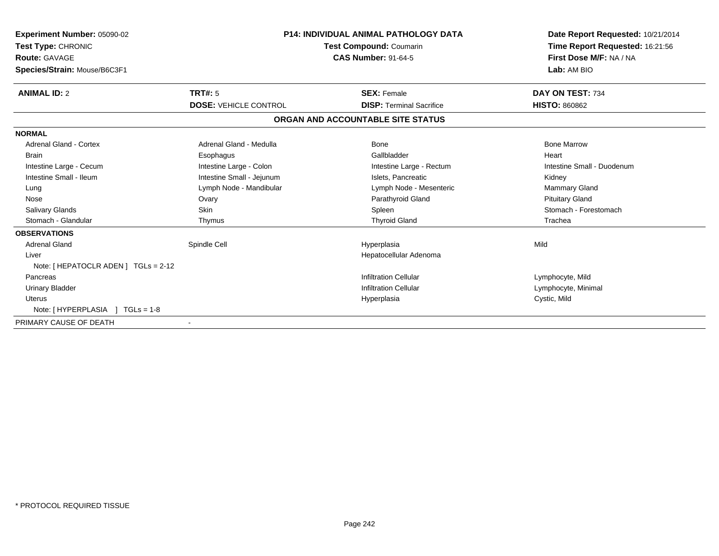| <b>Experiment Number: 05090-02</b><br>Test Type: CHRONIC<br><b>Route: GAVAGE</b><br>Species/Strain: Mouse/B6C3F1 |                              | <b>P14: INDIVIDUAL ANIMAL PATHOLOGY DATA</b><br>Test Compound: Coumarin<br><b>CAS Number: 91-64-5</b> | Date Report Requested: 10/21/2014<br>Time Report Requested: 16:21:56<br>First Dose M/F: NA / NA<br>Lab: AM BIO |
|------------------------------------------------------------------------------------------------------------------|------------------------------|-------------------------------------------------------------------------------------------------------|----------------------------------------------------------------------------------------------------------------|
| <b>ANIMAL ID: 2</b>                                                                                              | <b>TRT#: 5</b>               | <b>SEX: Female</b>                                                                                    | DAY ON TEST: 734                                                                                               |
|                                                                                                                  | <b>DOSE: VEHICLE CONTROL</b> | <b>DISP: Terminal Sacrifice</b>                                                                       | <b>HISTO: 860862</b>                                                                                           |
|                                                                                                                  |                              | ORGAN AND ACCOUNTABLE SITE STATUS                                                                     |                                                                                                                |
| <b>NORMAL</b>                                                                                                    |                              |                                                                                                       |                                                                                                                |
| <b>Adrenal Gland - Cortex</b>                                                                                    | Adrenal Gland - Medulla      | Bone                                                                                                  | <b>Bone Marrow</b>                                                                                             |
| <b>Brain</b>                                                                                                     | Esophagus                    | Gallbladder                                                                                           | Heart                                                                                                          |
| Intestine Large - Cecum                                                                                          | Intestine Large - Colon      | Intestine Large - Rectum                                                                              | Intestine Small - Duodenum                                                                                     |
| Intestine Small - Ileum                                                                                          | Intestine Small - Jejunum    | Islets, Pancreatic                                                                                    | Kidney                                                                                                         |
| Lung                                                                                                             | Lymph Node - Mandibular      | Lymph Node - Mesenteric                                                                               | <b>Mammary Gland</b>                                                                                           |
| Nose                                                                                                             | Ovary                        | Parathyroid Gland                                                                                     | <b>Pituitary Gland</b>                                                                                         |
| <b>Salivary Glands</b>                                                                                           | <b>Skin</b>                  | Spleen                                                                                                | Stomach - Forestomach                                                                                          |
| Stomach - Glandular                                                                                              | Thymus                       | <b>Thyroid Gland</b>                                                                                  | Trachea                                                                                                        |
| <b>OBSERVATIONS</b>                                                                                              |                              |                                                                                                       |                                                                                                                |
| <b>Adrenal Gland</b>                                                                                             | Spindle Cell                 | Hyperplasia                                                                                           | Mild                                                                                                           |
| Liver                                                                                                            |                              | Hepatocellular Adenoma                                                                                |                                                                                                                |
| Note: [ HEPATOCLR ADEN ] TGLs = 2-12                                                                             |                              |                                                                                                       |                                                                                                                |
| Pancreas                                                                                                         |                              | <b>Infiltration Cellular</b>                                                                          | Lymphocyte, Mild                                                                                               |
| <b>Urinary Bladder</b>                                                                                           |                              | <b>Infiltration Cellular</b>                                                                          | Lymphocyte, Minimal                                                                                            |
| Uterus                                                                                                           |                              | Hyperplasia                                                                                           | Cystic, Mild                                                                                                   |
| Note: [HYPERPLASIA ] TGLs = 1-8                                                                                  |                              |                                                                                                       |                                                                                                                |
| PRIMARY CAUSE OF DEATH                                                                                           |                              |                                                                                                       |                                                                                                                |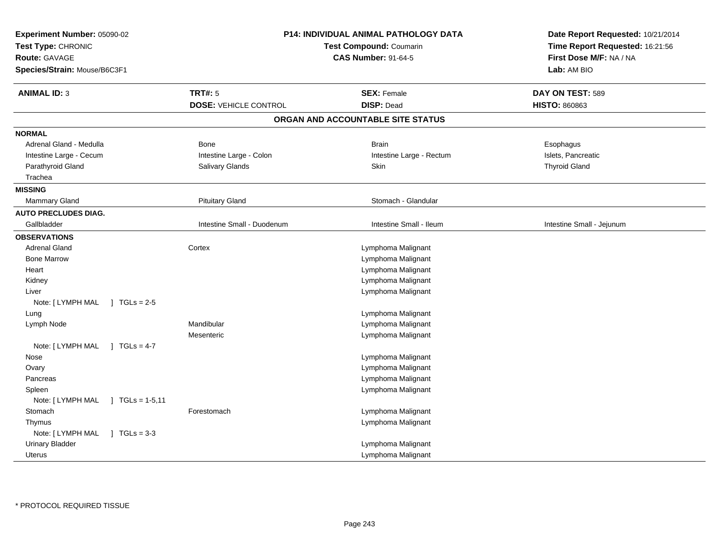| Experiment Number: 05090-02<br>Test Type: CHRONIC<br><b>Route: GAVAGE</b><br>Species/Strain: Mouse/B6C3F1 |                              | <b>P14: INDIVIDUAL ANIMAL PATHOLOGY DATA</b><br>Test Compound: Coumarin<br><b>CAS Number: 91-64-5</b> | Date Report Requested: 10/21/2014<br>Time Report Requested: 16:21:56<br>First Dose M/F: NA / NA<br>Lab: AM BIO |
|-----------------------------------------------------------------------------------------------------------|------------------------------|-------------------------------------------------------------------------------------------------------|----------------------------------------------------------------------------------------------------------------|
| <b>ANIMAL ID: 3</b>                                                                                       | <b>TRT#: 5</b>               | <b>SEX: Female</b>                                                                                    | DAY ON TEST: 589                                                                                               |
|                                                                                                           | <b>DOSE: VEHICLE CONTROL</b> | <b>DISP: Dead</b>                                                                                     | <b>HISTO: 860863</b>                                                                                           |
|                                                                                                           |                              | ORGAN AND ACCOUNTABLE SITE STATUS                                                                     |                                                                                                                |
| <b>NORMAL</b>                                                                                             |                              |                                                                                                       |                                                                                                                |
| Adrenal Gland - Medulla                                                                                   | <b>Bone</b>                  | <b>Brain</b>                                                                                          | Esophagus                                                                                                      |
| Intestine Large - Cecum                                                                                   | Intestine Large - Colon      | Intestine Large - Rectum                                                                              | Islets, Pancreatic                                                                                             |
| Parathyroid Gland                                                                                         | Salivary Glands              | Skin                                                                                                  | <b>Thyroid Gland</b>                                                                                           |
| Trachea                                                                                                   |                              |                                                                                                       |                                                                                                                |
| <b>MISSING</b>                                                                                            |                              |                                                                                                       |                                                                                                                |
| Mammary Gland                                                                                             | <b>Pituitary Gland</b>       | Stomach - Glandular                                                                                   |                                                                                                                |
| <b>AUTO PRECLUDES DIAG.</b>                                                                               |                              |                                                                                                       |                                                                                                                |
| Gallbladder                                                                                               | Intestine Small - Duodenum   | Intestine Small - Ileum                                                                               | Intestine Small - Jejunum                                                                                      |
| <b>OBSERVATIONS</b>                                                                                       |                              |                                                                                                       |                                                                                                                |
| <b>Adrenal Gland</b>                                                                                      | Cortex                       | Lymphoma Malignant                                                                                    |                                                                                                                |
| <b>Bone Marrow</b>                                                                                        |                              | Lymphoma Malignant                                                                                    |                                                                                                                |
| Heart                                                                                                     |                              | Lymphoma Malignant                                                                                    |                                                                                                                |
| Kidney                                                                                                    |                              | Lymphoma Malignant                                                                                    |                                                                                                                |
| Liver                                                                                                     |                              | Lymphoma Malignant                                                                                    |                                                                                                                |
| Note: [ LYMPH MAL<br>$1 \text{ TGLs} = 2.5$                                                               |                              |                                                                                                       |                                                                                                                |
| Lung                                                                                                      |                              | Lymphoma Malignant                                                                                    |                                                                                                                |
| Lymph Node                                                                                                | Mandibular                   | Lymphoma Malignant                                                                                    |                                                                                                                |
|                                                                                                           | Mesenteric                   | Lymphoma Malignant                                                                                    |                                                                                                                |
| Note: [ LYMPH MAL<br>$1 TGLs = 4-7$                                                                       |                              |                                                                                                       |                                                                                                                |
| Nose                                                                                                      |                              | Lymphoma Malignant                                                                                    |                                                                                                                |
| Ovary                                                                                                     |                              | Lymphoma Malignant                                                                                    |                                                                                                                |
| Pancreas                                                                                                  |                              | Lymphoma Malignant                                                                                    |                                                                                                                |
| Spleen                                                                                                    |                              | Lymphoma Malignant                                                                                    |                                                                                                                |
| Note: [ LYMPH MAL<br>$\sqrt{1}$ TGLs = 1-5,11                                                             |                              |                                                                                                       |                                                                                                                |
| Stomach                                                                                                   | Forestomach                  | Lymphoma Malignant                                                                                    |                                                                                                                |
| Thymus                                                                                                    |                              | Lymphoma Malignant                                                                                    |                                                                                                                |
| Note: [ LYMPH MAL<br>$1 TGLs = 3-3$                                                                       |                              |                                                                                                       |                                                                                                                |
| <b>Urinary Bladder</b>                                                                                    |                              | Lymphoma Malignant                                                                                    |                                                                                                                |
| Uterus                                                                                                    |                              | Lymphoma Malignant                                                                                    |                                                                                                                |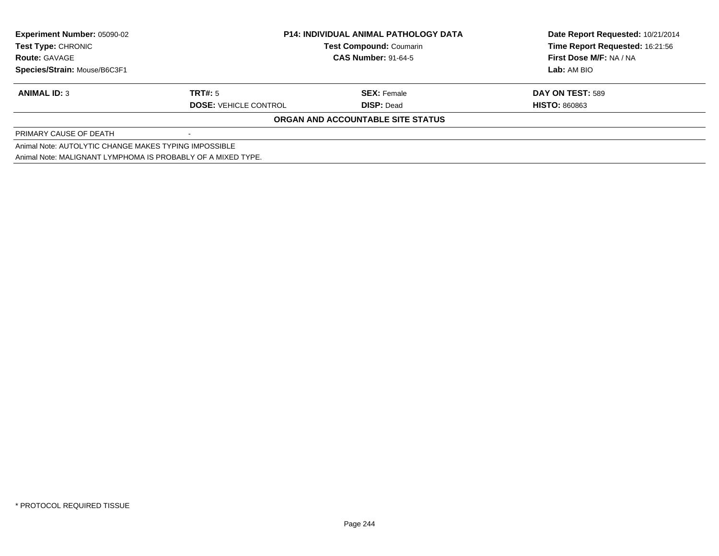| <b>Experiment Number: 05090-02</b>                           | <b>P14: INDIVIDUAL ANIMAL PATHOLOGY DATA</b><br><b>Test Compound: Coumarin</b> |                                   | Date Report Requested: 10/21/2014 |
|--------------------------------------------------------------|--------------------------------------------------------------------------------|-----------------------------------|-----------------------------------|
| <b>Test Type: CHRONIC</b>                                    |                                                                                |                                   | Time Report Requested: 16:21:56   |
| <b>Route: GAVAGE</b>                                         |                                                                                | <b>CAS Number: 91-64-5</b>        |                                   |
| Species/Strain: Mouse/B6C3F1                                 |                                                                                |                                   | Lab: AM BIO                       |
| <b>ANIMAL ID: 3</b>                                          | TRT#: 5                                                                        | <b>SEX: Female</b>                | DAY ON TEST: 589                  |
|                                                              | <b>DOSE: VEHICLE CONTROL</b>                                                   | <b>DISP: Dead</b>                 | <b>HISTO: 860863</b>              |
|                                                              |                                                                                | ORGAN AND ACCOUNTABLE SITE STATUS |                                   |
| PRIMARY CAUSE OF DEATH                                       |                                                                                |                                   |                                   |
| Animal Note: AUTOLYTIC CHANGE MAKES TYPING IMPOSSIBLE        |                                                                                |                                   |                                   |
| Animal Note: MALIGNANT LYMPHOMA IS PROBABLY OF A MIXED TYPE. |                                                                                |                                   |                                   |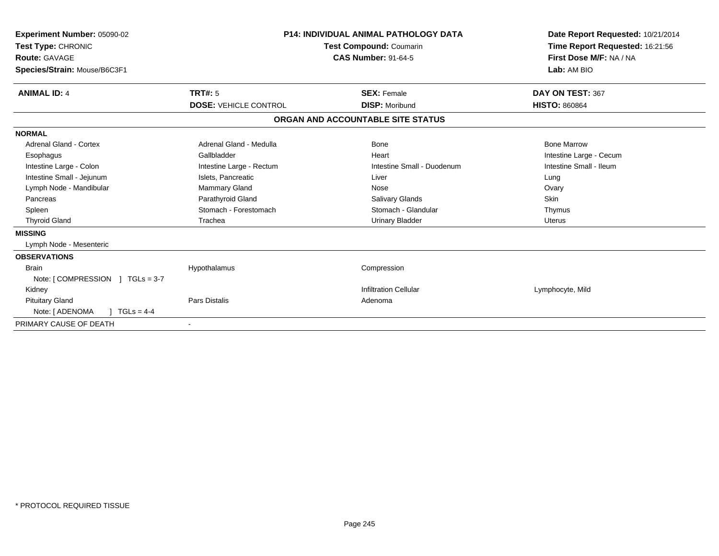| Experiment Number: 05090-02<br>Test Type: CHRONIC<br><b>Route: GAVAGE</b><br>Species/Strain: Mouse/B6C3F1 |                              | P14: INDIVIDUAL ANIMAL PATHOLOGY DATA<br><b>Test Compound: Coumarin</b><br><b>CAS Number: 91-64-5</b> | Date Report Requested: 10/21/2014<br>Time Report Requested: 16:21:56<br>First Dose M/F: NA / NA<br>Lab: AM BIO |
|-----------------------------------------------------------------------------------------------------------|------------------------------|-------------------------------------------------------------------------------------------------------|----------------------------------------------------------------------------------------------------------------|
| <b>ANIMAL ID: 4</b>                                                                                       | TRT#: 5                      | <b>SEX: Female</b>                                                                                    | DAY ON TEST: 367                                                                                               |
|                                                                                                           | <b>DOSE: VEHICLE CONTROL</b> | <b>DISP: Moribund</b>                                                                                 | <b>HISTO: 860864</b>                                                                                           |
|                                                                                                           |                              | ORGAN AND ACCOUNTABLE SITE STATUS                                                                     |                                                                                                                |
| <b>NORMAL</b>                                                                                             |                              |                                                                                                       |                                                                                                                |
| Adrenal Gland - Cortex                                                                                    | Adrenal Gland - Medulla      | Bone                                                                                                  | <b>Bone Marrow</b>                                                                                             |
| Esophagus                                                                                                 | Gallbladder                  | Heart                                                                                                 | Intestine Large - Cecum                                                                                        |
| Intestine Large - Colon                                                                                   | Intestine Large - Rectum     | Intestine Small - Duodenum                                                                            | Intestine Small - Ileum                                                                                        |
| Intestine Small - Jejunum                                                                                 | Islets, Pancreatic           | Liver                                                                                                 | Lung                                                                                                           |
| Lymph Node - Mandibular                                                                                   | Mammary Gland                | Nose                                                                                                  | Ovary                                                                                                          |
| Pancreas                                                                                                  | Parathyroid Gland            | <b>Salivary Glands</b>                                                                                | Skin                                                                                                           |
| Spleen                                                                                                    | Stomach - Forestomach        | Stomach - Glandular                                                                                   | Thymus                                                                                                         |
| <b>Thyroid Gland</b>                                                                                      | Trachea                      | <b>Urinary Bladder</b>                                                                                | <b>Uterus</b>                                                                                                  |
| <b>MISSING</b>                                                                                            |                              |                                                                                                       |                                                                                                                |
| Lymph Node - Mesenteric                                                                                   |                              |                                                                                                       |                                                                                                                |
| <b>OBSERVATIONS</b>                                                                                       |                              |                                                                                                       |                                                                                                                |
| <b>Brain</b>                                                                                              | Hypothalamus                 | Compression                                                                                           |                                                                                                                |
| Note: $[COMPRESSION] TGLs = 3-7$                                                                          |                              |                                                                                                       |                                                                                                                |
| Kidney                                                                                                    |                              | <b>Infiltration Cellular</b>                                                                          | Lymphocyte, Mild                                                                                               |
| <b>Pituitary Gland</b>                                                                                    | <b>Pars Distalis</b>         | Adenoma                                                                                               |                                                                                                                |
| $1 TGLs = 4-4$<br>Note: [ ADENOMA                                                                         |                              |                                                                                                       |                                                                                                                |
| PRIMARY CAUSE OF DEATH                                                                                    |                              |                                                                                                       |                                                                                                                |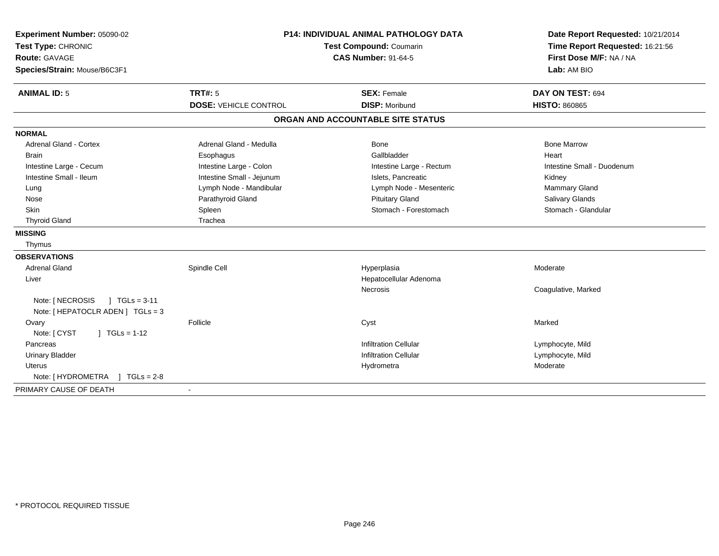| Experiment Number: 05090-02<br>Test Type: CHRONIC<br><b>Route: GAVAGE</b><br>Species/Strain: Mouse/B6C3F1 | <b>P14: INDIVIDUAL ANIMAL PATHOLOGY DATA</b><br><b>Test Compound: Coumarin</b><br><b>CAS Number: 91-64-5</b> |                                             | Date Report Requested: 10/21/2014<br>Time Report Requested: 16:21:56<br>First Dose M/F: NA / NA<br>Lab: AM BIO |
|-----------------------------------------------------------------------------------------------------------|--------------------------------------------------------------------------------------------------------------|---------------------------------------------|----------------------------------------------------------------------------------------------------------------|
| <b>ANIMAL ID: 5</b>                                                                                       | <b>TRT#: 5</b><br><b>DOSE: VEHICLE CONTROL</b>                                                               | <b>SEX: Female</b><br><b>DISP: Moribund</b> | DAY ON TEST: 694<br><b>HISTO: 860865</b>                                                                       |
|                                                                                                           |                                                                                                              | ORGAN AND ACCOUNTABLE SITE STATUS           |                                                                                                                |
| <b>NORMAL</b>                                                                                             |                                                                                                              |                                             |                                                                                                                |
| <b>Adrenal Gland - Cortex</b>                                                                             | Adrenal Gland - Medulla                                                                                      | Bone                                        | <b>Bone Marrow</b>                                                                                             |
| <b>Brain</b>                                                                                              | Esophagus                                                                                                    | Gallbladder                                 | Heart                                                                                                          |
| Intestine Large - Cecum                                                                                   | Intestine Large - Colon                                                                                      | Intestine Large - Rectum                    | Intestine Small - Duodenum                                                                                     |
| Intestine Small - Ileum                                                                                   | Intestine Small - Jejunum                                                                                    | Islets, Pancreatic                          | Kidney                                                                                                         |
| Lung                                                                                                      | Lymph Node - Mandibular                                                                                      | Lymph Node - Mesenteric                     | Mammary Gland                                                                                                  |
| Nose                                                                                                      | Parathyroid Gland                                                                                            | <b>Pituitary Gland</b>                      | <b>Salivary Glands</b>                                                                                         |
| Skin                                                                                                      | Spleen                                                                                                       | Stomach - Forestomach                       | Stomach - Glandular                                                                                            |
| <b>Thyroid Gland</b>                                                                                      | Trachea                                                                                                      |                                             |                                                                                                                |
| <b>MISSING</b>                                                                                            |                                                                                                              |                                             |                                                                                                                |
| Thymus                                                                                                    |                                                                                                              |                                             |                                                                                                                |
| <b>OBSERVATIONS</b>                                                                                       |                                                                                                              |                                             |                                                                                                                |
| <b>Adrenal Gland</b>                                                                                      | Spindle Cell                                                                                                 | Hyperplasia                                 | Moderate                                                                                                       |
| Liver                                                                                                     |                                                                                                              | Hepatocellular Adenoma                      |                                                                                                                |
|                                                                                                           |                                                                                                              | Necrosis                                    | Coagulative, Marked                                                                                            |
| Note: [ NECROSIS<br>$1 TGLs = 3-11$<br>Note: [ HEPATOCLR ADEN ] TGLs = 3                                  |                                                                                                              |                                             |                                                                                                                |
| Ovary                                                                                                     | Follicle                                                                                                     | Cyst                                        | Marked                                                                                                         |
| $\int$ TGLs = 1-12<br>Note: [ CYST                                                                        |                                                                                                              |                                             |                                                                                                                |
| Pancreas                                                                                                  |                                                                                                              | <b>Infiltration Cellular</b>                | Lymphocyte, Mild                                                                                               |
| <b>Urinary Bladder</b>                                                                                    |                                                                                                              | <b>Infiltration Cellular</b>                | Lymphocyte, Mild                                                                                               |
| <b>Uterus</b>                                                                                             |                                                                                                              | Hydrometra                                  | Moderate                                                                                                       |
| Note: [HYDROMETRA ] TGLs = 2-8                                                                            |                                                                                                              |                                             |                                                                                                                |
| PRIMARY CAUSE OF DEATH                                                                                    |                                                                                                              |                                             |                                                                                                                |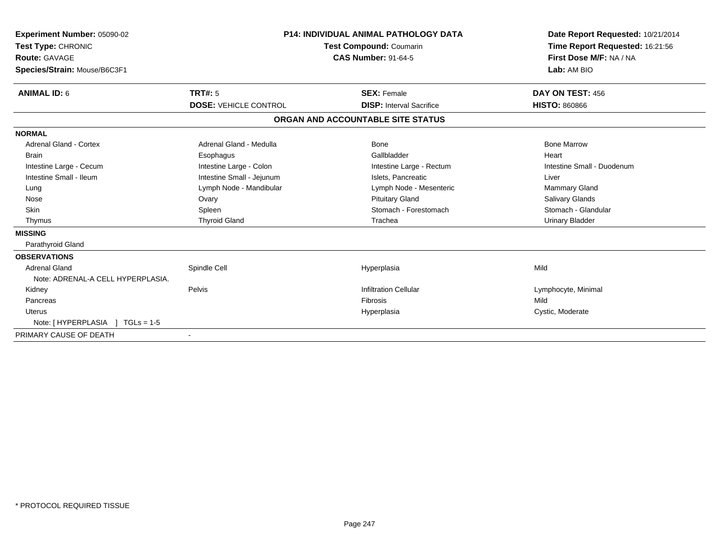| Experiment Number: 05090-02<br>Test Type: CHRONIC<br>Route: GAVAGE<br>Species/Strain: Mouse/B6C3F1 |                              | <b>P14: INDIVIDUAL ANIMAL PATHOLOGY DATA</b><br><b>Test Compound: Coumarin</b><br><b>CAS Number: 91-64-5</b> | Date Report Requested: 10/21/2014<br>Time Report Requested: 16:21:56<br>First Dose M/F: NA / NA<br>Lab: AM BIO |
|----------------------------------------------------------------------------------------------------|------------------------------|--------------------------------------------------------------------------------------------------------------|----------------------------------------------------------------------------------------------------------------|
| <b>ANIMAL ID: 6</b>                                                                                | <b>TRT#: 5</b>               | <b>SEX: Female</b>                                                                                           | DAY ON TEST: 456                                                                                               |
|                                                                                                    | <b>DOSE: VEHICLE CONTROL</b> | <b>DISP:</b> Interval Sacrifice                                                                              | <b>HISTO: 860866</b>                                                                                           |
|                                                                                                    |                              | ORGAN AND ACCOUNTABLE SITE STATUS                                                                            |                                                                                                                |
| <b>NORMAL</b>                                                                                      |                              |                                                                                                              |                                                                                                                |
| Adrenal Gland - Cortex                                                                             | Adrenal Gland - Medulla      | Bone                                                                                                         | <b>Bone Marrow</b>                                                                                             |
| <b>Brain</b>                                                                                       | Esophagus                    | Gallbladder                                                                                                  | Heart                                                                                                          |
| Intestine Large - Cecum                                                                            | Intestine Large - Colon      | Intestine Large - Rectum                                                                                     | Intestine Small - Duodenum                                                                                     |
| Intestine Small - Ileum                                                                            | Intestine Small - Jejunum    | Islets. Pancreatic                                                                                           | Liver                                                                                                          |
| Lung                                                                                               | Lymph Node - Mandibular      | Lymph Node - Mesenteric                                                                                      | <b>Mammary Gland</b>                                                                                           |
| Nose                                                                                               | Ovary                        | <b>Pituitary Gland</b>                                                                                       | <b>Salivary Glands</b>                                                                                         |
| <b>Skin</b>                                                                                        | Spleen                       | Stomach - Forestomach                                                                                        | Stomach - Glandular                                                                                            |
| Thymus                                                                                             | <b>Thyroid Gland</b>         | Trachea                                                                                                      | <b>Urinary Bladder</b>                                                                                         |
| <b>MISSING</b>                                                                                     |                              |                                                                                                              |                                                                                                                |
| Parathyroid Gland                                                                                  |                              |                                                                                                              |                                                                                                                |
| <b>OBSERVATIONS</b>                                                                                |                              |                                                                                                              |                                                                                                                |
| <b>Adrenal Gland</b>                                                                               | Spindle Cell                 | Hyperplasia                                                                                                  | Mild                                                                                                           |
| Note: ADRENAL-A CELL HYPERPLASIA.                                                                  |                              |                                                                                                              |                                                                                                                |
| Kidney                                                                                             | Pelvis                       | <b>Infiltration Cellular</b>                                                                                 | Lymphocyte, Minimal                                                                                            |
| Pancreas                                                                                           |                              | <b>Fibrosis</b>                                                                                              | Mild                                                                                                           |
| Uterus                                                                                             |                              | Hyperplasia                                                                                                  | Cystic, Moderate                                                                                               |
| Note: [HYPERPLASIA ] TGLs = 1-5                                                                    |                              |                                                                                                              |                                                                                                                |
| PRIMARY CAUSE OF DEATH                                                                             |                              |                                                                                                              |                                                                                                                |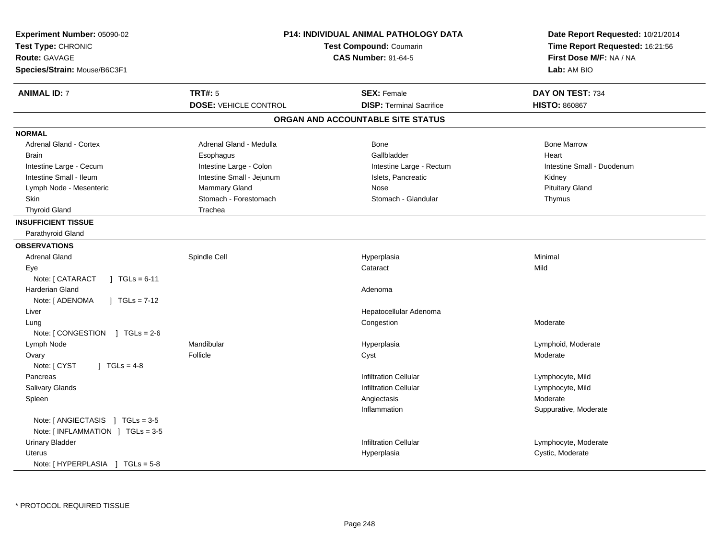| Experiment Number: 05090-02<br>Test Type: CHRONIC<br><b>Route: GAVAGE</b><br>Species/Strain: Mouse/B6C3F1 |                              | <b>P14: INDIVIDUAL ANIMAL PATHOLOGY DATA</b><br>Test Compound: Coumarin<br><b>CAS Number: 91-64-5</b> | Date Report Requested: 10/21/2014<br>Time Report Requested: 16:21:56<br>First Dose M/F: NA / NA<br>Lab: AM BIO |
|-----------------------------------------------------------------------------------------------------------|------------------------------|-------------------------------------------------------------------------------------------------------|----------------------------------------------------------------------------------------------------------------|
| <b>ANIMAL ID: 7</b>                                                                                       | <b>TRT#: 5</b>               | <b>SEX: Female</b>                                                                                    | DAY ON TEST: 734                                                                                               |
|                                                                                                           | <b>DOSE: VEHICLE CONTROL</b> | <b>DISP: Terminal Sacrifice</b>                                                                       | <b>HISTO: 860867</b>                                                                                           |
|                                                                                                           |                              | ORGAN AND ACCOUNTABLE SITE STATUS                                                                     |                                                                                                                |
| <b>NORMAL</b>                                                                                             |                              |                                                                                                       |                                                                                                                |
| <b>Adrenal Gland - Cortex</b>                                                                             | Adrenal Gland - Medulla      | <b>Bone</b>                                                                                           | <b>Bone Marrow</b>                                                                                             |
| <b>Brain</b>                                                                                              | Esophagus                    | Gallbladder                                                                                           | Heart                                                                                                          |
| Intestine Large - Cecum                                                                                   | Intestine Large - Colon      | Intestine Large - Rectum                                                                              | Intestine Small - Duodenum                                                                                     |
| Intestine Small - Ileum                                                                                   | Intestine Small - Jejunum    | Islets, Pancreatic                                                                                    | Kidney                                                                                                         |
| Lymph Node - Mesenteric                                                                                   | Mammary Gland                | Nose                                                                                                  | <b>Pituitary Gland</b>                                                                                         |
| Skin                                                                                                      | Stomach - Forestomach        | Stomach - Glandular                                                                                   | Thymus                                                                                                         |
| <b>Thyroid Gland</b>                                                                                      | Trachea                      |                                                                                                       |                                                                                                                |
| <b>INSUFFICIENT TISSUE</b>                                                                                |                              |                                                                                                       |                                                                                                                |
| Parathyroid Gland                                                                                         |                              |                                                                                                       |                                                                                                                |
| <b>OBSERVATIONS</b>                                                                                       |                              |                                                                                                       |                                                                                                                |
| <b>Adrenal Gland</b>                                                                                      | Spindle Cell                 | Hyperplasia                                                                                           | Minimal                                                                                                        |
| Eye                                                                                                       |                              | Cataract                                                                                              | Mild                                                                                                           |
| Note: [ CATARACT<br>$\vert$ TGLs = 6-11                                                                   |                              |                                                                                                       |                                                                                                                |
| <b>Harderian Gland</b>                                                                                    |                              | Adenoma                                                                                               |                                                                                                                |
| Note: [ ADENOMA<br>$1 TGLs = 7-12$                                                                        |                              |                                                                                                       |                                                                                                                |
| Liver                                                                                                     |                              | Hepatocellular Adenoma                                                                                |                                                                                                                |
| Lung                                                                                                      |                              | Congestion                                                                                            | Moderate                                                                                                       |
| Note: [CONGESTION ] TGLs = 2-6                                                                            |                              |                                                                                                       |                                                                                                                |
| Lymph Node                                                                                                | Mandibular                   | Hyperplasia                                                                                           | Lymphoid, Moderate                                                                                             |
| Ovary                                                                                                     | Follicle                     | Cyst                                                                                                  | Moderate                                                                                                       |
| Note: [ CYST<br>] $TGLs = 4-8$                                                                            |                              |                                                                                                       |                                                                                                                |
| Pancreas                                                                                                  |                              | <b>Infiltration Cellular</b>                                                                          | Lymphocyte, Mild                                                                                               |
| <b>Salivary Glands</b>                                                                                    |                              | <b>Infiltration Cellular</b>                                                                          | Lymphocyte, Mild                                                                                               |
| Spleen                                                                                                    |                              | Angiectasis                                                                                           | Moderate                                                                                                       |
|                                                                                                           |                              | Inflammation                                                                                          | Suppurative, Moderate                                                                                          |
| Note: $[$ ANGIECTASIS $]$ TGLs = 3-5                                                                      |                              |                                                                                                       |                                                                                                                |
| Note: [INFLAMMATION ] TGLs = 3-5                                                                          |                              |                                                                                                       |                                                                                                                |
| <b>Urinary Bladder</b>                                                                                    |                              | <b>Infiltration Cellular</b>                                                                          | Lymphocyte, Moderate                                                                                           |
| <b>Uterus</b>                                                                                             |                              | Hyperplasia                                                                                           | Cystic, Moderate                                                                                               |
| Note: [HYPERPLASIA ] TGLs = 5-8                                                                           |                              |                                                                                                       |                                                                                                                |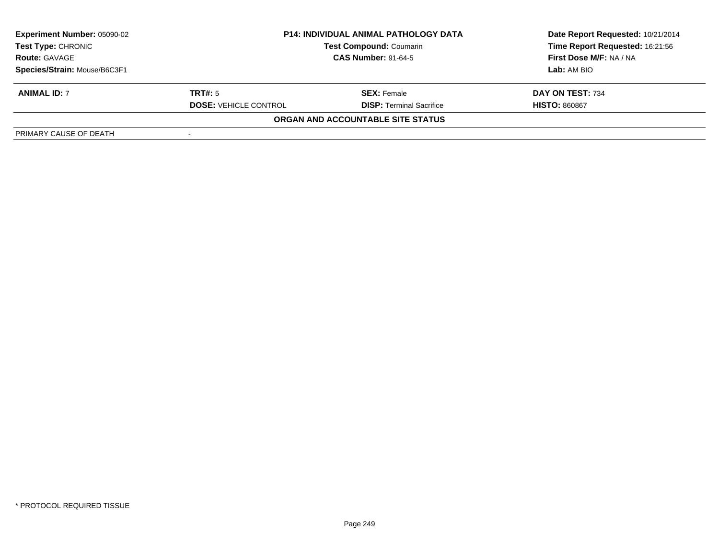| Experiment Number: 05090-02<br><b>Test Type: CHRONIC</b> | <b>P14: INDIVIDUAL ANIMAL PATHOLOGY DATA</b><br><b>Test Compound: Coumarin</b><br><b>CAS Number: 91-64-5</b> |                                   | Date Report Requested: 10/21/2014<br>Time Report Requested: 16:21:56 |
|----------------------------------------------------------|--------------------------------------------------------------------------------------------------------------|-----------------------------------|----------------------------------------------------------------------|
| <b>Route: GAVAGE</b>                                     |                                                                                                              |                                   | First Dose M/F: NA / NA                                              |
| Species/Strain: Mouse/B6C3F1                             |                                                                                                              |                                   | Lab: AM BIO                                                          |
| <b>ANIMAL ID: 7</b>                                      | TRT#: 5                                                                                                      | <b>SEX:</b> Female                | DAY ON TEST: 734                                                     |
|                                                          | <b>DOSE: VEHICLE CONTROL</b>                                                                                 | <b>DISP: Terminal Sacrifice</b>   | <b>HISTO: 860867</b>                                                 |
|                                                          |                                                                                                              | ORGAN AND ACCOUNTABLE SITE STATUS |                                                                      |
| PRIMARY CAUSE OF DEATH                                   |                                                                                                              |                                   |                                                                      |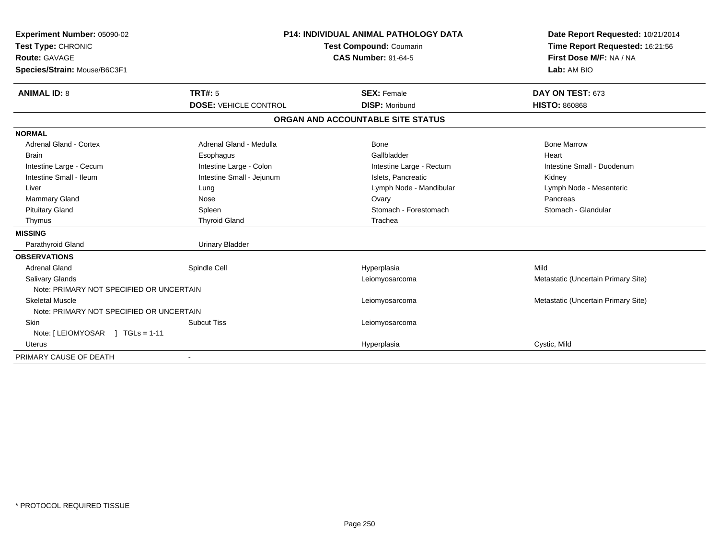| Experiment Number: 05090-02              |                                                       | <b>P14: INDIVIDUAL ANIMAL PATHOLOGY DATA</b> | Date Report Requested: 10/21/2014   |
|------------------------------------------|-------------------------------------------------------|----------------------------------------------|-------------------------------------|
| Test Type: CHRONIC                       | Test Compound: Coumarin<br><b>CAS Number: 91-64-5</b> |                                              | Time Report Requested: 16:21:56     |
| <b>Route: GAVAGE</b>                     |                                                       |                                              | First Dose M/F: NA / NA             |
| Species/Strain: Mouse/B6C3F1             |                                                       |                                              | Lab: AM BIO                         |
| <b>ANIMAL ID: 8</b>                      | TRT#: 5                                               | <b>SEX: Female</b>                           | DAY ON TEST: 673                    |
|                                          | <b>DOSE: VEHICLE CONTROL</b>                          | <b>DISP: Moribund</b>                        | <b>HISTO: 860868</b>                |
|                                          |                                                       | ORGAN AND ACCOUNTABLE SITE STATUS            |                                     |
| <b>NORMAL</b>                            |                                                       |                                              |                                     |
| <b>Adrenal Gland - Cortex</b>            | Adrenal Gland - Medulla                               | Bone                                         | <b>Bone Marrow</b>                  |
| <b>Brain</b>                             | Esophagus                                             | Gallbladder                                  | Heart                               |
| Intestine Large - Cecum                  | Intestine Large - Colon                               | Intestine Large - Rectum                     | Intestine Small - Duodenum          |
| Intestine Small - Ileum                  | Intestine Small - Jejunum                             | Islets. Pancreatic                           | Kidney                              |
| Liver                                    | Lung                                                  | Lymph Node - Mandibular                      | Lymph Node - Mesenteric             |
| <b>Mammary Gland</b>                     | Nose                                                  | Ovary                                        | Pancreas                            |
| <b>Pituitary Gland</b>                   | Spleen                                                | Stomach - Forestomach                        | Stomach - Glandular                 |
| Thymus                                   | <b>Thyroid Gland</b>                                  | Trachea                                      |                                     |
| <b>MISSING</b>                           |                                                       |                                              |                                     |
| Parathyroid Gland                        | <b>Urinary Bladder</b>                                |                                              |                                     |
| <b>OBSERVATIONS</b>                      |                                                       |                                              |                                     |
| <b>Adrenal Gland</b>                     | Spindle Cell                                          | Hyperplasia                                  | Mild                                |
| Salivary Glands                          |                                                       | Leiomyosarcoma                               | Metastatic (Uncertain Primary Site) |
| Note: PRIMARY NOT SPECIFIED OR UNCERTAIN |                                                       |                                              |                                     |
| <b>Skeletal Muscle</b>                   |                                                       | Leiomyosarcoma                               | Metastatic (Uncertain Primary Site) |
| Note: PRIMARY NOT SPECIFIED OR UNCERTAIN |                                                       |                                              |                                     |
| Skin                                     | <b>Subcut Tiss</b>                                    | Leiomyosarcoma                               |                                     |
| Note: $[LEIOMYOSAR] TGLs = 1-11$         |                                                       |                                              |                                     |
| <b>Uterus</b>                            |                                                       | Hyperplasia                                  | Cystic, Mild                        |
| PRIMARY CAUSE OF DEATH                   |                                                       |                                              |                                     |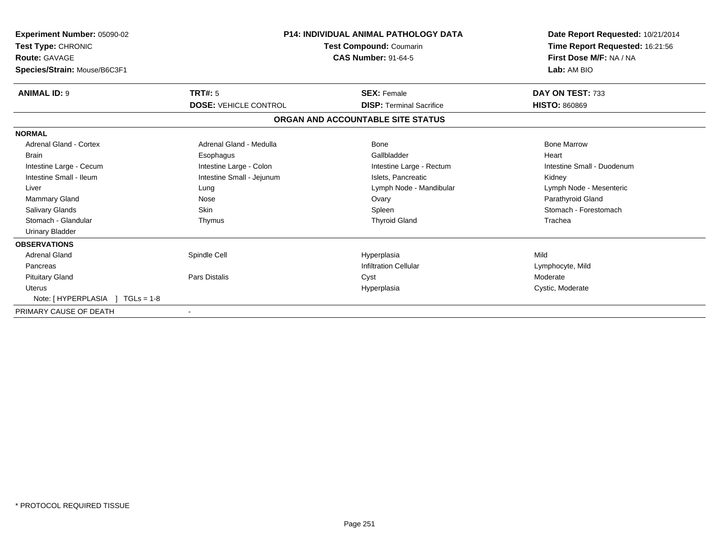| <b>Experiment Number: 05090-02</b><br>Test Type: CHRONIC<br><b>Route: GAVAGE</b><br>Species/Strain: Mouse/B6C3F1 |                              | <b>P14: INDIVIDUAL ANIMAL PATHOLOGY DATA</b><br><b>Test Compound: Coumarin</b><br><b>CAS Number: 91-64-5</b> | Date Report Requested: 10/21/2014<br>Time Report Requested: 16:21:56<br>First Dose M/F: NA / NA<br>Lab: AM BIO |
|------------------------------------------------------------------------------------------------------------------|------------------------------|--------------------------------------------------------------------------------------------------------------|----------------------------------------------------------------------------------------------------------------|
| <b>ANIMAL ID: 9</b>                                                                                              | <b>TRT#: 5</b>               | <b>SEX: Female</b>                                                                                           | DAY ON TEST: 733                                                                                               |
|                                                                                                                  | <b>DOSE: VEHICLE CONTROL</b> | <b>DISP: Terminal Sacrifice</b>                                                                              | <b>HISTO: 860869</b>                                                                                           |
|                                                                                                                  |                              | ORGAN AND ACCOUNTABLE SITE STATUS                                                                            |                                                                                                                |
| <b>NORMAL</b>                                                                                                    |                              |                                                                                                              |                                                                                                                |
| Adrenal Gland - Cortex                                                                                           | Adrenal Gland - Medulla      | Bone                                                                                                         | <b>Bone Marrow</b>                                                                                             |
| <b>Brain</b>                                                                                                     | Esophagus                    | Gallbladder                                                                                                  | Heart                                                                                                          |
| Intestine Large - Cecum                                                                                          | Intestine Large - Colon      | Intestine Large - Rectum                                                                                     | Intestine Small - Duodenum                                                                                     |
| Intestine Small - Ileum                                                                                          | Intestine Small - Jejunum    | Islets, Pancreatic                                                                                           | Kidney                                                                                                         |
| Liver                                                                                                            | Lung                         | Lymph Node - Mandibular                                                                                      | Lymph Node - Mesenteric                                                                                        |
| <b>Mammary Gland</b>                                                                                             | Nose                         | Ovary                                                                                                        | Parathyroid Gland                                                                                              |
| Salivary Glands                                                                                                  | <b>Skin</b>                  | Spleen                                                                                                       | Stomach - Forestomach                                                                                          |
| Stomach - Glandular                                                                                              | Thymus                       | <b>Thyroid Gland</b>                                                                                         | Trachea                                                                                                        |
| <b>Urinary Bladder</b>                                                                                           |                              |                                                                                                              |                                                                                                                |
| <b>OBSERVATIONS</b>                                                                                              |                              |                                                                                                              |                                                                                                                |
| <b>Adrenal Gland</b>                                                                                             | Spindle Cell                 | Hyperplasia                                                                                                  | Mild                                                                                                           |
| Pancreas                                                                                                         |                              | <b>Infiltration Cellular</b>                                                                                 | Lymphocyte, Mild                                                                                               |
| <b>Pituitary Gland</b>                                                                                           | <b>Pars Distalis</b>         | Cyst                                                                                                         | Moderate                                                                                                       |
| <b>Uterus</b>                                                                                                    |                              | Hyperplasia                                                                                                  | Cystic, Moderate                                                                                               |
| Note: [HYPERPLASIA ] TGLs = 1-8                                                                                  |                              |                                                                                                              |                                                                                                                |
| PRIMARY CAUSE OF DEATH                                                                                           |                              |                                                                                                              |                                                                                                                |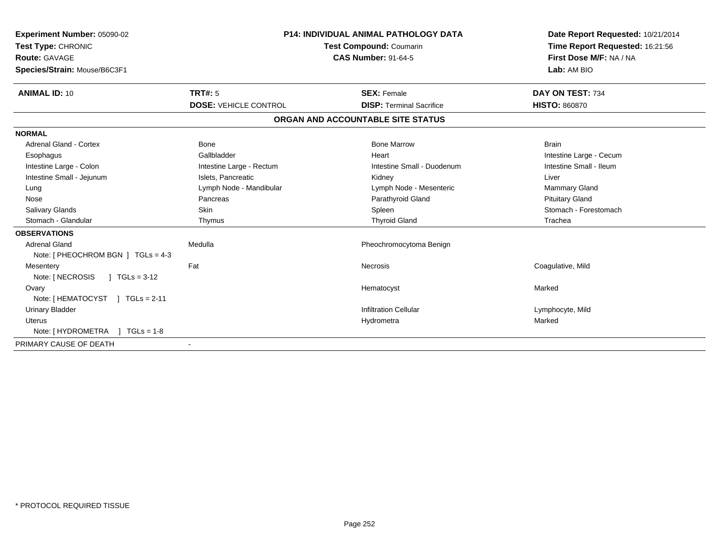| <b>Experiment Number: 05090-02</b><br>Test Type: CHRONIC<br>Route: GAVAGE<br>Species/Strain: Mouse/B6C3F1 |                              | <b>P14: INDIVIDUAL ANIMAL PATHOLOGY DATA</b><br><b>Test Compound: Coumarin</b><br><b>CAS Number: 91-64-5</b> | Date Report Requested: 10/21/2014<br>Time Report Requested: 16:21:56<br>First Dose M/F: NA / NA<br>Lab: AM BIO |
|-----------------------------------------------------------------------------------------------------------|------------------------------|--------------------------------------------------------------------------------------------------------------|----------------------------------------------------------------------------------------------------------------|
| <b>ANIMAL ID: 10</b>                                                                                      | TRT#: 5                      | <b>SEX: Female</b>                                                                                           | DAY ON TEST: 734                                                                                               |
|                                                                                                           | <b>DOSE: VEHICLE CONTROL</b> | <b>DISP: Terminal Sacrifice</b>                                                                              | <b>HISTO: 860870</b>                                                                                           |
|                                                                                                           |                              | ORGAN AND ACCOUNTABLE SITE STATUS                                                                            |                                                                                                                |
| <b>NORMAL</b>                                                                                             |                              |                                                                                                              |                                                                                                                |
| Adrenal Gland - Cortex                                                                                    | <b>Bone</b>                  | <b>Bone Marrow</b>                                                                                           | <b>Brain</b>                                                                                                   |
| Esophagus                                                                                                 | Gallbladder                  | Heart                                                                                                        | Intestine Large - Cecum                                                                                        |
| Intestine Large - Colon                                                                                   | Intestine Large - Rectum     | Intestine Small - Duodenum                                                                                   | Intestine Small - Ileum                                                                                        |
| Intestine Small - Jejunum                                                                                 | Islets, Pancreatic           | Kidney                                                                                                       | Liver                                                                                                          |
| Lung                                                                                                      | Lymph Node - Mandibular      | Lymph Node - Mesenteric                                                                                      | <b>Mammary Gland</b>                                                                                           |
| Nose                                                                                                      | Pancreas                     | Parathyroid Gland                                                                                            | <b>Pituitary Gland</b>                                                                                         |
| Salivary Glands                                                                                           | Skin                         | Spleen                                                                                                       | Stomach - Forestomach                                                                                          |
| Stomach - Glandular                                                                                       | Thymus                       | <b>Thyroid Gland</b>                                                                                         | Trachea                                                                                                        |
| <b>OBSERVATIONS</b>                                                                                       |                              |                                                                                                              |                                                                                                                |
| <b>Adrenal Gland</b>                                                                                      | Medulla                      | Pheochromocytoma Benign                                                                                      |                                                                                                                |
| Note: $[$ PHEOCHROM BGN $]$ TGLs = 4-3                                                                    |                              |                                                                                                              |                                                                                                                |
| Mesentery                                                                                                 | Fat                          | Necrosis                                                                                                     | Coagulative, Mild                                                                                              |
| Note: [ NECROSIS<br>$1 TGLs = 3-12$                                                                       |                              |                                                                                                              |                                                                                                                |
| Ovary                                                                                                     |                              | Hematocyst                                                                                                   | Marked                                                                                                         |
| Note: [HEMATOCYST ] TGLs = 2-11                                                                           |                              |                                                                                                              |                                                                                                                |
| <b>Urinary Bladder</b>                                                                                    |                              | <b>Infiltration Cellular</b>                                                                                 | Lymphocyte, Mild                                                                                               |
| Uterus                                                                                                    |                              | Hydrometra                                                                                                   | Marked                                                                                                         |
| Note: [ HYDROMETRA<br>$1 TGLs = 1-8$                                                                      |                              |                                                                                                              |                                                                                                                |
| PRIMARY CAUSE OF DEATH                                                                                    |                              |                                                                                                              |                                                                                                                |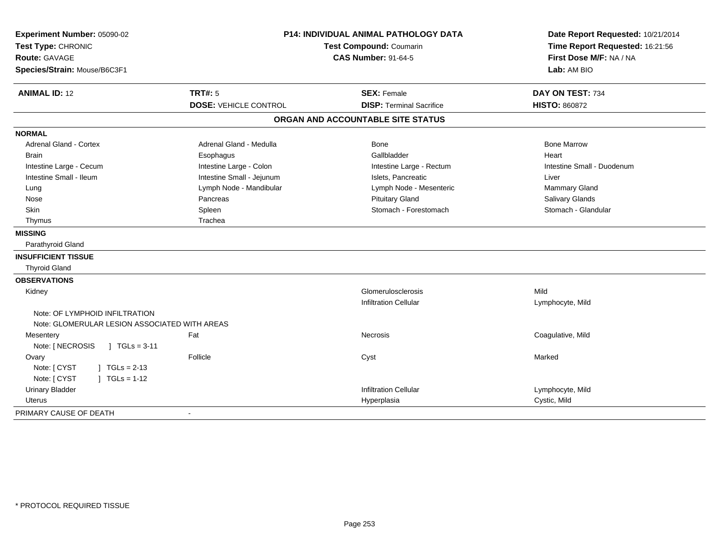| Experiment Number: 05090-02<br>Test Type: CHRONIC |                              | <b>P14: INDIVIDUAL ANIMAL PATHOLOGY DATA</b><br><b>Test Compound: Coumarin</b> | Date Report Requested: 10/21/2014<br>Time Report Requested: 16:21:56 |
|---------------------------------------------------|------------------------------|--------------------------------------------------------------------------------|----------------------------------------------------------------------|
| Route: GAVAGE<br>Species/Strain: Mouse/B6C3F1     |                              | <b>CAS Number: 91-64-5</b>                                                     | First Dose M/F: NA / NA<br>Lab: AM BIO                               |
|                                                   |                              |                                                                                |                                                                      |
| <b>ANIMAL ID: 12</b>                              | <b>TRT#: 5</b>               | <b>SEX: Female</b>                                                             | DAY ON TEST: 734                                                     |
|                                                   | <b>DOSE: VEHICLE CONTROL</b> | <b>DISP: Terminal Sacrifice</b>                                                | <b>HISTO: 860872</b>                                                 |
|                                                   |                              | ORGAN AND ACCOUNTABLE SITE STATUS                                              |                                                                      |
| <b>NORMAL</b>                                     |                              |                                                                                |                                                                      |
| <b>Adrenal Gland - Cortex</b>                     | Adrenal Gland - Medulla      | <b>Bone</b>                                                                    | <b>Bone Marrow</b>                                                   |
| <b>Brain</b>                                      | Esophagus                    | Gallbladder                                                                    | Heart                                                                |
| Intestine Large - Cecum                           | Intestine Large - Colon      | Intestine Large - Rectum                                                       | Intestine Small - Duodenum                                           |
| Intestine Small - Ileum                           | Intestine Small - Jejunum    | Islets, Pancreatic                                                             | Liver                                                                |
| Lung                                              | Lymph Node - Mandibular      | Lymph Node - Mesenteric                                                        | Mammary Gland                                                        |
| Nose                                              | Pancreas                     | <b>Pituitary Gland</b>                                                         | Salivary Glands                                                      |
| Skin                                              | Spleen                       | Stomach - Forestomach                                                          | Stomach - Glandular                                                  |
| Thymus                                            | Trachea                      |                                                                                |                                                                      |
| <b>MISSING</b>                                    |                              |                                                                                |                                                                      |
| Parathyroid Gland                                 |                              |                                                                                |                                                                      |
| <b>INSUFFICIENT TISSUE</b>                        |                              |                                                                                |                                                                      |
| <b>Thyroid Gland</b>                              |                              |                                                                                |                                                                      |
| <b>OBSERVATIONS</b>                               |                              |                                                                                |                                                                      |
| Kidney                                            |                              | Glomerulosclerosis                                                             | Mild                                                                 |
|                                                   |                              | <b>Infiltration Cellular</b>                                                   | Lymphocyte, Mild                                                     |
| Note: OF LYMPHOID INFILTRATION                    |                              |                                                                                |                                                                      |
| Note: GLOMERULAR LESION ASSOCIATED WITH AREAS     |                              |                                                                                |                                                                      |
| Mesentery                                         | Fat                          | Necrosis                                                                       | Coagulative, Mild                                                    |
| Note: [ NECROSIS<br>$1 TGLs = 3-11$               |                              |                                                                                |                                                                      |
| Ovary                                             | Follicle                     | Cyst                                                                           | Marked                                                               |
| Note: [ CYST<br>$\vert$ TGLs = 2-13               |                              |                                                                                |                                                                      |
| Note: [ CYST<br>$J \cdot TGLS = 1-12$             |                              |                                                                                |                                                                      |
| <b>Urinary Bladder</b>                            |                              | <b>Infiltration Cellular</b>                                                   | Lymphocyte, Mild                                                     |
| Uterus                                            |                              | Hyperplasia                                                                    | Cystic, Mild                                                         |
| PRIMARY CAUSE OF DEATH                            | $\blacksquare$               |                                                                                |                                                                      |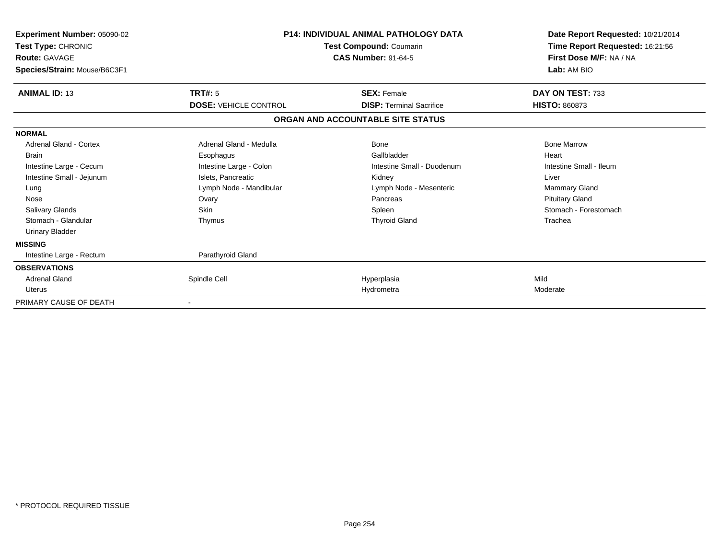| Experiment Number: 05090-02<br>Test Type: CHRONIC<br><b>Route: GAVAGE</b><br>Species/Strain: Mouse/B6C3F1                                                                                                  | <b>P14: INDIVIDUAL ANIMAL PATHOLOGY DATA</b><br>Test Compound: Coumarin<br><b>CAS Number: 91-64-5</b>                                              |                                                                                                                                             | Date Report Requested: 10/21/2014<br>Time Report Requested: 16:21:56<br>First Dose M/F: NA / NA<br>Lab: AM BIO                                        |
|------------------------------------------------------------------------------------------------------------------------------------------------------------------------------------------------------------|----------------------------------------------------------------------------------------------------------------------------------------------------|---------------------------------------------------------------------------------------------------------------------------------------------|-------------------------------------------------------------------------------------------------------------------------------------------------------|
| <b>ANIMAL ID: 13</b>                                                                                                                                                                                       | TRT#: 5<br><b>DOSE: VEHICLE CONTROL</b>                                                                                                            | <b>SEX: Female</b><br><b>DISP:</b> Terminal Sacrifice                                                                                       | DAY ON TEST: 733<br><b>HISTO: 860873</b>                                                                                                              |
|                                                                                                                                                                                                            |                                                                                                                                                    | ORGAN AND ACCOUNTABLE SITE STATUS                                                                                                           |                                                                                                                                                       |
|                                                                                                                                                                                                            |                                                                                                                                                    |                                                                                                                                             |                                                                                                                                                       |
| <b>NORMAL</b><br>Adrenal Gland - Cortex<br><b>Brain</b><br>Intestine Large - Cecum<br>Intestine Small - Jejunum<br>Lung<br>Nose<br><b>Salivary Glands</b><br>Stomach - Glandular<br><b>Urinary Bladder</b> | Adrenal Gland - Medulla<br>Esophagus<br>Intestine Large - Colon<br>Islets, Pancreatic<br>Lymph Node - Mandibular<br>Ovary<br><b>Skin</b><br>Thymus | <b>Bone</b><br>Gallbladder<br>Intestine Small - Duodenum<br>Kidney<br>Lymph Node - Mesenteric<br>Pancreas<br>Spleen<br><b>Thyroid Gland</b> | <b>Bone Marrow</b><br>Heart<br>Intestine Small - Ileum<br>Liver<br><b>Mammary Gland</b><br><b>Pituitary Gland</b><br>Stomach - Forestomach<br>Trachea |
| <b>MISSING</b>                                                                                                                                                                                             |                                                                                                                                                    |                                                                                                                                             |                                                                                                                                                       |
| Intestine Large - Rectum                                                                                                                                                                                   | Parathyroid Gland                                                                                                                                  |                                                                                                                                             |                                                                                                                                                       |
| <b>OBSERVATIONS</b><br><b>Adrenal Gland</b><br><b>Uterus</b>                                                                                                                                               | Spindle Cell                                                                                                                                       | Hyperplasia<br>Hydrometra                                                                                                                   | Mild<br>Moderate                                                                                                                                      |
| PRIMARY CAUSE OF DEATH                                                                                                                                                                                     |                                                                                                                                                    |                                                                                                                                             |                                                                                                                                                       |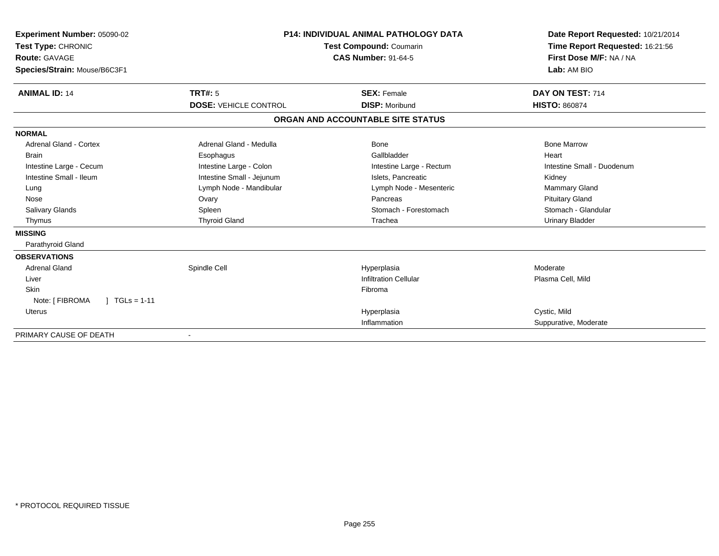| Experiment Number: 05090-02<br>Test Type: CHRONIC<br><b>Route: GAVAGE</b> | <b>P14: INDIVIDUAL ANIMAL PATHOLOGY DATA</b><br><b>Test Compound: Coumarin</b><br><b>CAS Number: 91-64-5</b> |                                   | Date Report Requested: 10/21/2014<br>Time Report Requested: 16:21:56<br>First Dose M/F: NA / NA<br>Lab: AM BIO |  |
|---------------------------------------------------------------------------|--------------------------------------------------------------------------------------------------------------|-----------------------------------|----------------------------------------------------------------------------------------------------------------|--|
| Species/Strain: Mouse/B6C3F1                                              |                                                                                                              |                                   |                                                                                                                |  |
| <b>ANIMAL ID: 14</b>                                                      | TRT#: 5                                                                                                      | <b>SEX: Female</b>                | DAY ON TEST: 714                                                                                               |  |
|                                                                           | <b>DOSE: VEHICLE CONTROL</b>                                                                                 | <b>DISP: Moribund</b>             | <b>HISTO: 860874</b>                                                                                           |  |
|                                                                           |                                                                                                              | ORGAN AND ACCOUNTABLE SITE STATUS |                                                                                                                |  |
| <b>NORMAL</b>                                                             |                                                                                                              |                                   |                                                                                                                |  |
| Adrenal Gland - Cortex                                                    | Adrenal Gland - Medulla                                                                                      | Bone                              | <b>Bone Marrow</b>                                                                                             |  |
| <b>Brain</b>                                                              | Esophagus                                                                                                    | Gallbladder                       | Heart                                                                                                          |  |
| Intestine Large - Cecum                                                   | Intestine Large - Colon                                                                                      | Intestine Large - Rectum          | Intestine Small - Duodenum                                                                                     |  |
| Intestine Small - Ileum                                                   | Intestine Small - Jejunum                                                                                    | Islets, Pancreatic                | Kidney                                                                                                         |  |
| Lung                                                                      | Lymph Node - Mandibular                                                                                      | Lymph Node - Mesenteric           | Mammary Gland                                                                                                  |  |
| Nose                                                                      | Ovary                                                                                                        | Pancreas                          | <b>Pituitary Gland</b>                                                                                         |  |
| <b>Salivary Glands</b>                                                    | Spleen                                                                                                       | Stomach - Forestomach             | Stomach - Glandular                                                                                            |  |
| Thymus                                                                    | <b>Thyroid Gland</b>                                                                                         | Trachea                           | <b>Urinary Bladder</b>                                                                                         |  |
| <b>MISSING</b>                                                            |                                                                                                              |                                   |                                                                                                                |  |
| Parathyroid Gland                                                         |                                                                                                              |                                   |                                                                                                                |  |
| <b>OBSERVATIONS</b>                                                       |                                                                                                              |                                   |                                                                                                                |  |
| <b>Adrenal Gland</b>                                                      | Spindle Cell                                                                                                 | Hyperplasia                       | Moderate                                                                                                       |  |
| Liver                                                                     |                                                                                                              | <b>Infiltration Cellular</b>      | Plasma Cell, Mild                                                                                              |  |
| Skin                                                                      |                                                                                                              | Fibroma                           |                                                                                                                |  |
| Note: [ FIBROMA<br>$1 \text{ TGLs} = 1-11$                                |                                                                                                              |                                   |                                                                                                                |  |
| Uterus                                                                    |                                                                                                              | Hyperplasia                       | Cystic, Mild                                                                                                   |  |
|                                                                           |                                                                                                              | Inflammation                      | Suppurative, Moderate                                                                                          |  |
| PRIMARY CAUSE OF DEATH                                                    |                                                                                                              |                                   |                                                                                                                |  |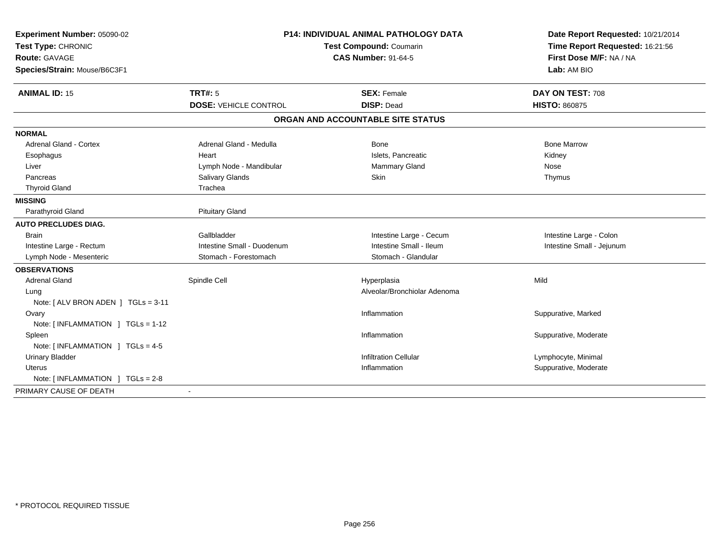| Experiment Number: 05090-02                     | <b>P14: INDIVIDUAL ANIMAL PATHOLOGY DATA</b><br>Test Compound: Coumarin |                                   | Date Report Requested: 10/21/2014 |
|-------------------------------------------------|-------------------------------------------------------------------------|-----------------------------------|-----------------------------------|
| Test Type: CHRONIC                              |                                                                         |                                   | Time Report Requested: 16:21:56   |
| <b>Route: GAVAGE</b>                            |                                                                         | <b>CAS Number: 91-64-5</b>        | First Dose M/F: NA / NA           |
| Species/Strain: Mouse/B6C3F1                    |                                                                         |                                   | Lab: AM BIO                       |
| <b>ANIMAL ID: 15</b>                            | <b>TRT#: 5</b>                                                          | <b>SEX: Female</b>                | DAY ON TEST: 708                  |
|                                                 | <b>DOSE: VEHICLE CONTROL</b>                                            | <b>DISP: Dead</b>                 | <b>HISTO: 860875</b>              |
|                                                 |                                                                         | ORGAN AND ACCOUNTABLE SITE STATUS |                                   |
| <b>NORMAL</b>                                   |                                                                         |                                   |                                   |
| <b>Adrenal Gland - Cortex</b>                   | Adrenal Gland - Medulla                                                 | Bone                              | <b>Bone Marrow</b>                |
| Esophagus                                       | Heart                                                                   | Islets, Pancreatic                | Kidney                            |
| Liver                                           | Lymph Node - Mandibular                                                 | Mammary Gland                     | Nose                              |
| Pancreas                                        | <b>Salivary Glands</b>                                                  | Skin                              | Thymus                            |
| <b>Thyroid Gland</b>                            | Trachea                                                                 |                                   |                                   |
| <b>MISSING</b>                                  |                                                                         |                                   |                                   |
| Parathyroid Gland                               | <b>Pituitary Gland</b>                                                  |                                   |                                   |
| <b>AUTO PRECLUDES DIAG.</b>                     |                                                                         |                                   |                                   |
| Brain                                           | Gallbladder                                                             | Intestine Large - Cecum           | Intestine Large - Colon           |
| Intestine Large - Rectum                        | Intestine Small - Duodenum                                              | Intestine Small - Ileum           | Intestine Small - Jejunum         |
| Lymph Node - Mesenteric                         | Stomach - Forestomach                                                   | Stomach - Glandular               |                                   |
| <b>OBSERVATIONS</b>                             |                                                                         |                                   |                                   |
| <b>Adrenal Gland</b>                            | Spindle Cell                                                            | Hyperplasia                       | Mild                              |
| Lung                                            |                                                                         | Alveolar/Bronchiolar Adenoma      |                                   |
| Note: [ ALV BRON ADEN ] TGLs = 3-11             |                                                                         |                                   |                                   |
| Ovary                                           |                                                                         | Inflammation                      | Suppurative, Marked               |
| Note: $[INFLAMMATION ] TGLs = 1-12$             |                                                                         |                                   |                                   |
| Spleen                                          |                                                                         | Inflammation                      | Suppurative, Moderate             |
| Note: [INFLAMMATION ] TGLs = 4-5                |                                                                         |                                   |                                   |
| <b>Urinary Bladder</b>                          |                                                                         | <b>Infiltration Cellular</b>      | Lymphocyte, Minimal               |
| <b>Uterus</b>                                   |                                                                         | Inflammation                      | Suppurative, Moderate             |
| Note: $\lceil$ INFLAMMATION $\lceil$ TGLs = 2-8 |                                                                         |                                   |                                   |
| PRIMARY CAUSE OF DEATH                          | $\sim$                                                                  |                                   |                                   |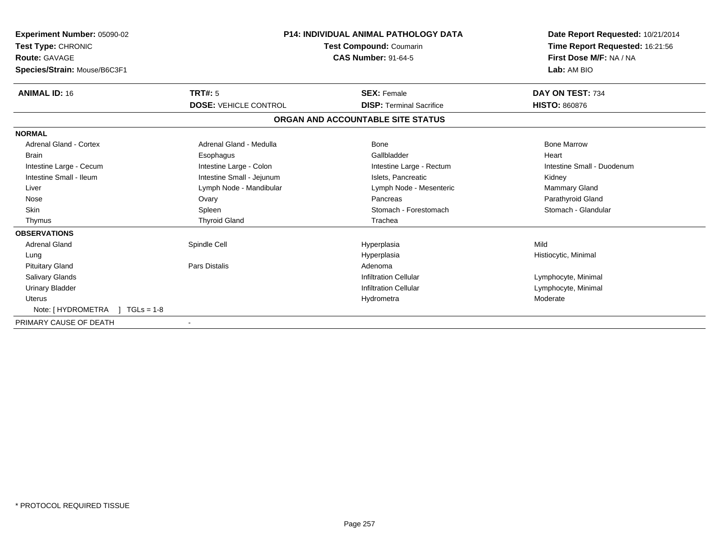| Experiment Number: 05090-02<br>Test Type: CHRONIC<br><b>Route: GAVAGE</b><br>Species/Strain: Mouse/B6C3F1 | <b>P14: INDIVIDUAL ANIMAL PATHOLOGY DATA</b><br>Test Compound: Coumarin<br><b>CAS Number: 91-64-5</b> |                                   | Date Report Requested: 10/21/2014<br>Time Report Requested: 16:21:56<br>First Dose M/F: NA / NA<br>Lab: AM BIO |
|-----------------------------------------------------------------------------------------------------------|-------------------------------------------------------------------------------------------------------|-----------------------------------|----------------------------------------------------------------------------------------------------------------|
| <b>ANIMAL ID: 16</b>                                                                                      | <b>TRT#: 5</b>                                                                                        | <b>SEX: Female</b>                | DAY ON TEST: 734                                                                                               |
|                                                                                                           | <b>DOSE: VEHICLE CONTROL</b>                                                                          | <b>DISP: Terminal Sacrifice</b>   | <b>HISTO: 860876</b>                                                                                           |
|                                                                                                           |                                                                                                       | ORGAN AND ACCOUNTABLE SITE STATUS |                                                                                                                |
| <b>NORMAL</b>                                                                                             |                                                                                                       |                                   |                                                                                                                |
| <b>Adrenal Gland - Cortex</b>                                                                             | Adrenal Gland - Medulla                                                                               | <b>Bone</b>                       | <b>Bone Marrow</b>                                                                                             |
| <b>Brain</b>                                                                                              | Esophagus                                                                                             | Gallbladder                       | Heart                                                                                                          |
| Intestine Large - Cecum                                                                                   | Intestine Large - Colon                                                                               | Intestine Large - Rectum          | Intestine Small - Duodenum                                                                                     |
| Intestine Small - Ileum                                                                                   | Intestine Small - Jejunum                                                                             | Islets, Pancreatic                | Kidney                                                                                                         |
| Liver                                                                                                     | Lymph Node - Mandibular                                                                               | Lymph Node - Mesenteric           | Mammary Gland                                                                                                  |
| Nose                                                                                                      | Ovary                                                                                                 | Pancreas                          | Parathyroid Gland                                                                                              |
| <b>Skin</b>                                                                                               | Spleen                                                                                                | Stomach - Forestomach             | Stomach - Glandular                                                                                            |
| Thymus                                                                                                    | <b>Thyroid Gland</b>                                                                                  | Trachea                           |                                                                                                                |
| <b>OBSERVATIONS</b>                                                                                       |                                                                                                       |                                   |                                                                                                                |
| <b>Adrenal Gland</b>                                                                                      | Spindle Cell                                                                                          | Hyperplasia                       | Mild                                                                                                           |
| Lung                                                                                                      |                                                                                                       | Hyperplasia                       | Histiocytic, Minimal                                                                                           |
| <b>Pituitary Gland</b>                                                                                    | <b>Pars Distalis</b>                                                                                  | Adenoma                           |                                                                                                                |
| <b>Salivary Glands</b>                                                                                    |                                                                                                       | <b>Infiltration Cellular</b>      | Lymphocyte, Minimal                                                                                            |
| <b>Urinary Bladder</b>                                                                                    |                                                                                                       | <b>Infiltration Cellular</b>      | Lymphocyte, Minimal                                                                                            |
| Uterus                                                                                                    |                                                                                                       | Hydrometra                        | Moderate                                                                                                       |
| Note: [ HYDROMETRA<br>$1 TGLs = 1-8$                                                                      |                                                                                                       |                                   |                                                                                                                |
| PRIMARY CAUSE OF DEATH                                                                                    |                                                                                                       |                                   |                                                                                                                |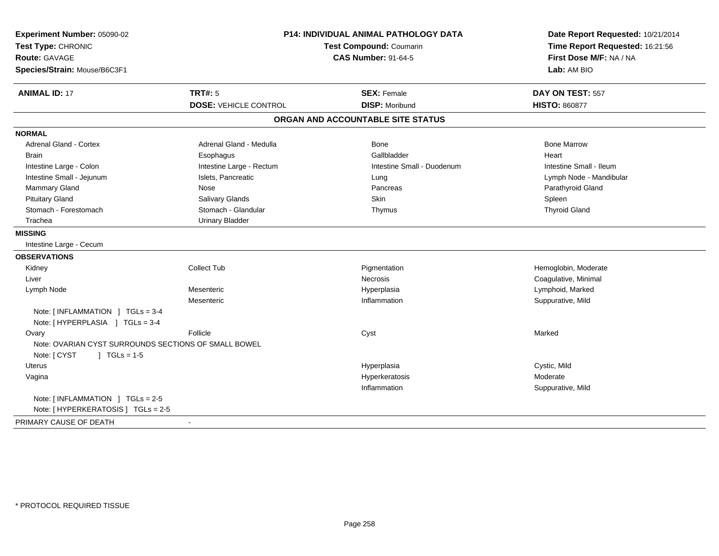| Experiment Number: 05090-02<br>Test Type: CHRONIC<br><b>Route: GAVAGE</b><br>Species/Strain: Mouse/B6C3F1 | P14: INDIVIDUAL ANIMAL PATHOLOGY DATA<br><b>Test Compound: Coumarin</b><br><b>CAS Number: 91-64-5</b> |                                   | Date Report Requested: 10/21/2014<br>Time Report Requested: 16:21:56<br>First Dose M/F: NA / NA<br>Lab: AM BIO |
|-----------------------------------------------------------------------------------------------------------|-------------------------------------------------------------------------------------------------------|-----------------------------------|----------------------------------------------------------------------------------------------------------------|
| <b>ANIMAL ID: 17</b>                                                                                      | <b>TRT#: 5</b>                                                                                        | <b>SEX: Female</b>                | DAY ON TEST: 557                                                                                               |
|                                                                                                           | <b>DOSE: VEHICLE CONTROL</b>                                                                          | <b>DISP: Moribund</b>             | <b>HISTO: 860877</b>                                                                                           |
|                                                                                                           |                                                                                                       | ORGAN AND ACCOUNTABLE SITE STATUS |                                                                                                                |
| <b>NORMAL</b>                                                                                             |                                                                                                       |                                   |                                                                                                                |
| Adrenal Gland - Cortex                                                                                    | Adrenal Gland - Medulla                                                                               | Bone                              | <b>Bone Marrow</b>                                                                                             |
| <b>Brain</b>                                                                                              | Esophagus                                                                                             | Gallbladder                       | Heart                                                                                                          |
| Intestine Large - Colon                                                                                   | Intestine Large - Rectum                                                                              | Intestine Small - Duodenum        | Intestine Small - Ileum                                                                                        |
| Intestine Small - Jejunum                                                                                 | Islets, Pancreatic                                                                                    | Lung                              | Lymph Node - Mandibular                                                                                        |
| Mammary Gland                                                                                             | Nose                                                                                                  | Pancreas                          | Parathyroid Gland                                                                                              |
| <b>Pituitary Gland</b>                                                                                    | Salivary Glands                                                                                       | Skin                              | Spleen                                                                                                         |
| Stomach - Forestomach                                                                                     | Stomach - Glandular                                                                                   | Thymus                            | <b>Thyroid Gland</b>                                                                                           |
| Trachea                                                                                                   | <b>Urinary Bladder</b>                                                                                |                                   |                                                                                                                |
| <b>MISSING</b>                                                                                            |                                                                                                       |                                   |                                                                                                                |
| Intestine Large - Cecum                                                                                   |                                                                                                       |                                   |                                                                                                                |
| <b>OBSERVATIONS</b>                                                                                       |                                                                                                       |                                   |                                                                                                                |
| Kidney                                                                                                    | <b>Collect Tub</b>                                                                                    | Pigmentation                      | Hemoglobin, Moderate                                                                                           |
| Liver                                                                                                     |                                                                                                       | <b>Necrosis</b>                   | Coagulative, Minimal                                                                                           |
| Lymph Node                                                                                                | Mesenteric                                                                                            | Hyperplasia                       | Lymphoid, Marked                                                                                               |
|                                                                                                           | Mesenteric                                                                                            | Inflammation                      | Suppurative, Mild                                                                                              |
| Note: [INFLAMMATION ] TGLs = 3-4<br>Note: [HYPERPLASIA ] TGLs = 3-4                                       |                                                                                                       |                                   |                                                                                                                |
| Ovary<br>Note: OVARIAN CYST SURROUNDS SECTIONS OF SMALL BOWEL                                             | Follicle                                                                                              | Cyst                              | Marked                                                                                                         |
| Note: [ CYST<br>$\sqrt{ }$ TGLs = 1-5                                                                     |                                                                                                       |                                   |                                                                                                                |
| Uterus                                                                                                    |                                                                                                       | Hyperplasia                       | Cystic, Mild                                                                                                   |
| Vagina                                                                                                    |                                                                                                       | Hyperkeratosis                    | Moderate                                                                                                       |
|                                                                                                           |                                                                                                       | Inflammation                      | Suppurative, Mild                                                                                              |
| Note: [INFLAMMATION ] TGLs = 2-5                                                                          |                                                                                                       |                                   |                                                                                                                |
| Note: [ HYPERKERATOSIS ] TGLs = 2-5                                                                       |                                                                                                       |                                   |                                                                                                                |
| PRIMARY CAUSE OF DEATH                                                                                    |                                                                                                       |                                   |                                                                                                                |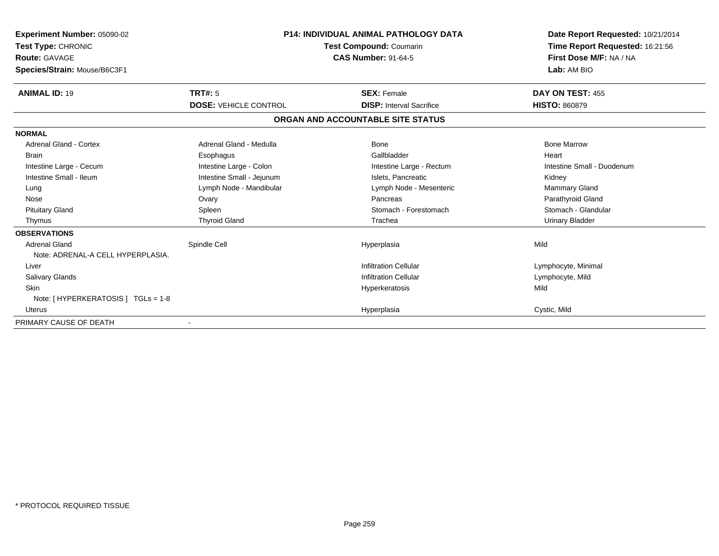| Experiment Number: 05090-02         | <b>P14: INDIVIDUAL ANIMAL PATHOLOGY DATA</b> |                                   | Date Report Requested: 10/21/2014 |  |
|-------------------------------------|----------------------------------------------|-----------------------------------|-----------------------------------|--|
| Test Type: CHRONIC                  |                                              | <b>Test Compound: Coumarin</b>    | Time Report Requested: 16:21:56   |  |
| Route: GAVAGE                       | <b>CAS Number: 91-64-5</b>                   |                                   | First Dose M/F: NA / NA           |  |
| Species/Strain: Mouse/B6C3F1        |                                              |                                   | Lab: AM BIO                       |  |
| <b>ANIMAL ID: 19</b>                | <b>TRT#: 5</b>                               | <b>SEX: Female</b>                | DAY ON TEST: 455                  |  |
|                                     | <b>DOSE: VEHICLE CONTROL</b>                 | <b>DISP: Interval Sacrifice</b>   | <b>HISTO: 860879</b>              |  |
|                                     |                                              | ORGAN AND ACCOUNTABLE SITE STATUS |                                   |  |
| <b>NORMAL</b>                       |                                              |                                   |                                   |  |
| <b>Adrenal Gland - Cortex</b>       | Adrenal Gland - Medulla                      | <b>Bone</b>                       | <b>Bone Marrow</b>                |  |
| <b>Brain</b>                        | Esophagus                                    | Gallbladder                       | Heart                             |  |
| Intestine Large - Cecum             | Intestine Large - Colon                      | Intestine Large - Rectum          | Intestine Small - Duodenum        |  |
| Intestine Small - Ileum             | Intestine Small - Jejunum                    | Islets, Pancreatic                | Kidney                            |  |
| Lung                                | Lymph Node - Mandibular                      | Lymph Node - Mesenteric           | <b>Mammary Gland</b>              |  |
| Nose                                | Ovary                                        | Pancreas                          | Parathyroid Gland                 |  |
| <b>Pituitary Gland</b>              | Spleen                                       | Stomach - Forestomach             | Stomach - Glandular               |  |
| Thymus                              | <b>Thyroid Gland</b>                         | Trachea                           | <b>Urinary Bladder</b>            |  |
| <b>OBSERVATIONS</b>                 |                                              |                                   |                                   |  |
| <b>Adrenal Gland</b>                | Spindle Cell                                 | Hyperplasia                       | Mild                              |  |
| Note: ADRENAL-A CELL HYPERPLASIA.   |                                              |                                   |                                   |  |
| Liver                               |                                              | <b>Infiltration Cellular</b>      | Lymphocyte, Minimal               |  |
| <b>Salivary Glands</b>              |                                              | <b>Infiltration Cellular</b>      | Lymphocyte, Mild                  |  |
| <b>Skin</b>                         |                                              | Hyperkeratosis                    | Mild                              |  |
| Note: [ HYPERKERATOSIS ] TGLs = 1-8 |                                              |                                   |                                   |  |
| <b>Uterus</b>                       |                                              | Hyperplasia                       | Cystic, Mild                      |  |
| PRIMARY CAUSE OF DEATH              |                                              |                                   |                                   |  |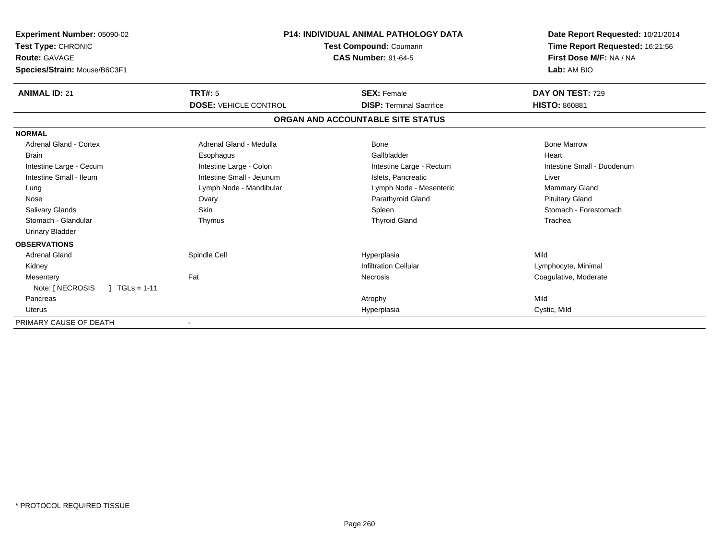| Experiment Number: 05090-02<br>Test Type: CHRONIC<br><b>Route: GAVAGE</b><br>Species/Strain: Mouse/B6C3F1 | <b>P14: INDIVIDUAL ANIMAL PATHOLOGY DATA</b><br><b>Test Compound: Coumarin</b><br><b>CAS Number: 91-64-5</b> |                                   | Date Report Requested: 10/21/2014<br>Time Report Requested: 16:21:56<br>First Dose M/F: NA / NA<br>Lab: AM BIO |
|-----------------------------------------------------------------------------------------------------------|--------------------------------------------------------------------------------------------------------------|-----------------------------------|----------------------------------------------------------------------------------------------------------------|
| <b>ANIMAL ID: 21</b>                                                                                      | TRT#: 5                                                                                                      | <b>SEX: Female</b>                | DAY ON TEST: 729                                                                                               |
|                                                                                                           | <b>DOSE: VEHICLE CONTROL</b>                                                                                 | <b>DISP: Terminal Sacrifice</b>   | <b>HISTO: 860881</b>                                                                                           |
|                                                                                                           |                                                                                                              | ORGAN AND ACCOUNTABLE SITE STATUS |                                                                                                                |
| <b>NORMAL</b>                                                                                             |                                                                                                              |                                   |                                                                                                                |
| Adrenal Gland - Cortex                                                                                    | Adrenal Gland - Medulla                                                                                      | Bone                              | <b>Bone Marrow</b>                                                                                             |
| <b>Brain</b>                                                                                              | Esophagus                                                                                                    | Gallbladder                       | Heart                                                                                                          |
| Intestine Large - Cecum                                                                                   | Intestine Large - Colon                                                                                      | Intestine Large - Rectum          | Intestine Small - Duodenum                                                                                     |
| Intestine Small - Ileum                                                                                   | Intestine Small - Jejunum                                                                                    | Islets, Pancreatic                | Liver                                                                                                          |
| Lung                                                                                                      | Lymph Node - Mandibular                                                                                      | Lymph Node - Mesenteric           | <b>Mammary Gland</b>                                                                                           |
| Nose                                                                                                      | Ovary                                                                                                        | Parathyroid Gland                 | <b>Pituitary Gland</b>                                                                                         |
| <b>Salivary Glands</b>                                                                                    | <b>Skin</b>                                                                                                  | Spleen                            | Stomach - Forestomach                                                                                          |
| Stomach - Glandular                                                                                       | Thymus                                                                                                       | <b>Thyroid Gland</b>              | Trachea                                                                                                        |
| <b>Urinary Bladder</b>                                                                                    |                                                                                                              |                                   |                                                                                                                |
| <b>OBSERVATIONS</b>                                                                                       |                                                                                                              |                                   |                                                                                                                |
| <b>Adrenal Gland</b>                                                                                      | Spindle Cell                                                                                                 | Hyperplasia                       | Mild                                                                                                           |
| Kidney                                                                                                    |                                                                                                              | <b>Infiltration Cellular</b>      | Lymphocyte, Minimal                                                                                            |
| Mesentery                                                                                                 | Fat                                                                                                          | Necrosis                          | Coagulative, Moderate                                                                                          |
| Note: [ NECROSIS<br>$1 TGLs = 1-11$                                                                       |                                                                                                              |                                   |                                                                                                                |
| Pancreas                                                                                                  |                                                                                                              | Atrophy                           | Mild                                                                                                           |
| <b>Uterus</b>                                                                                             |                                                                                                              | Hyperplasia                       | Cystic, Mild                                                                                                   |
| PRIMARY CAUSE OF DEATH                                                                                    |                                                                                                              |                                   |                                                                                                                |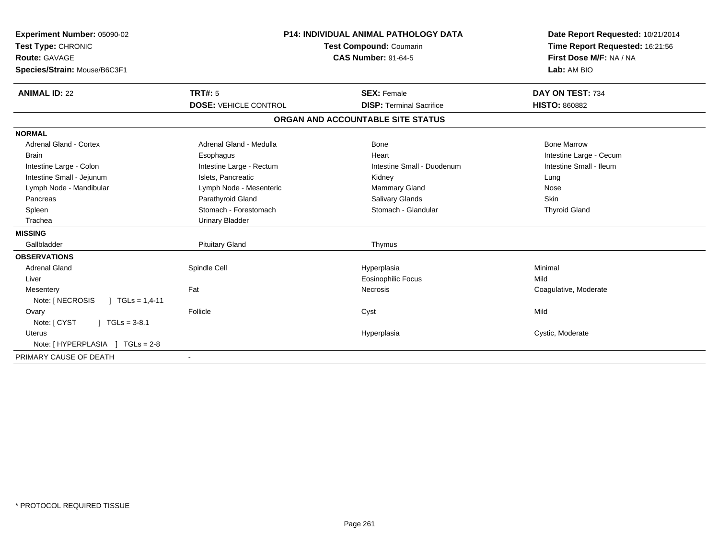| Experiment Number: 05090-02<br>Test Type: CHRONIC<br><b>Route: GAVAGE</b><br>Species/Strain: Mouse/B6C3F1 |                              | <b>P14: INDIVIDUAL ANIMAL PATHOLOGY DATA</b><br><b>Test Compound: Coumarin</b><br><b>CAS Number: 91-64-5</b> | Date Report Requested: 10/21/2014<br>Time Report Requested: 16:21:56<br>First Dose M/F: NA / NA<br>Lab: AM BIO |
|-----------------------------------------------------------------------------------------------------------|------------------------------|--------------------------------------------------------------------------------------------------------------|----------------------------------------------------------------------------------------------------------------|
| <b>ANIMAL ID: 22</b>                                                                                      | <b>TRT#: 5</b>               | <b>SEX: Female</b>                                                                                           | DAY ON TEST: 734                                                                                               |
|                                                                                                           | <b>DOSE: VEHICLE CONTROL</b> | <b>DISP: Terminal Sacrifice</b>                                                                              | <b>HISTO: 860882</b>                                                                                           |
|                                                                                                           |                              | ORGAN AND ACCOUNTABLE SITE STATUS                                                                            |                                                                                                                |
| <b>NORMAL</b>                                                                                             |                              |                                                                                                              |                                                                                                                |
| <b>Adrenal Gland - Cortex</b>                                                                             | Adrenal Gland - Medulla      | Bone                                                                                                         | <b>Bone Marrow</b>                                                                                             |
| <b>Brain</b>                                                                                              | Esophagus                    | Heart                                                                                                        | Intestine Large - Cecum                                                                                        |
| Intestine Large - Colon                                                                                   | Intestine Large - Rectum     | Intestine Small - Duodenum                                                                                   | Intestine Small - Ileum                                                                                        |
| Intestine Small - Jejunum                                                                                 | Islets, Pancreatic           | Kidney                                                                                                       | Lung                                                                                                           |
| Lymph Node - Mandibular                                                                                   | Lymph Node - Mesenteric      | Mammary Gland                                                                                                | Nose                                                                                                           |
| Pancreas                                                                                                  | Parathyroid Gland            | <b>Salivary Glands</b>                                                                                       | Skin                                                                                                           |
| Spleen                                                                                                    | Stomach - Forestomach        | Stomach - Glandular                                                                                          | <b>Thyroid Gland</b>                                                                                           |
| Trachea                                                                                                   | <b>Urinary Bladder</b>       |                                                                                                              |                                                                                                                |
| <b>MISSING</b>                                                                                            |                              |                                                                                                              |                                                                                                                |
| Gallbladder                                                                                               | <b>Pituitary Gland</b>       | Thymus                                                                                                       |                                                                                                                |
| <b>OBSERVATIONS</b>                                                                                       |                              |                                                                                                              |                                                                                                                |
| <b>Adrenal Gland</b>                                                                                      | Spindle Cell                 | Hyperplasia                                                                                                  | Minimal                                                                                                        |
| Liver                                                                                                     |                              | <b>Eosinophilic Focus</b>                                                                                    | Mild                                                                                                           |
| Mesentery                                                                                                 | Fat                          | Necrosis                                                                                                     | Coagulative, Moderate                                                                                          |
| Note: [ NECROSIS<br>$\mid$ TGLs = 1,4-11                                                                  |                              |                                                                                                              |                                                                                                                |
| Ovary                                                                                                     | Follicle                     | Cyst                                                                                                         | Mild                                                                                                           |
| Note: [ CYST<br>$\sqrt{ }$ TGLs = 3-8.1                                                                   |                              |                                                                                                              |                                                                                                                |
| <b>Uterus</b>                                                                                             |                              | Hyperplasia                                                                                                  | Cystic, Moderate                                                                                               |
| Note: [HYPERPLASIA ] TGLs = 2-8                                                                           |                              |                                                                                                              |                                                                                                                |
| PRIMARY CAUSE OF DEATH                                                                                    |                              |                                                                                                              |                                                                                                                |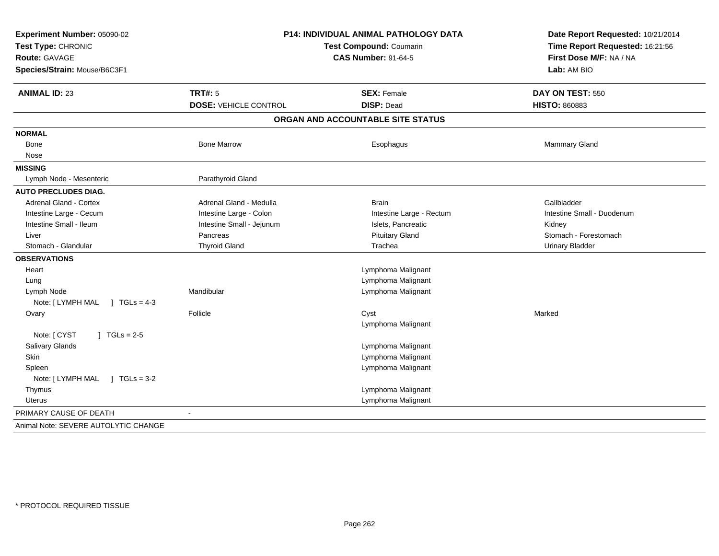| Experiment Number: 05090-02<br>Test Type: CHRONIC<br>Route: GAVAGE<br>Species/Strain: Mouse/B6C3F1 | P14: INDIVIDUAL ANIMAL PATHOLOGY DATA<br><b>Test Compound: Coumarin</b><br><b>CAS Number: 91-64-5</b> |                                         | Date Report Requested: 10/21/2014<br>Time Report Requested: 16:21:56<br>First Dose M/F: NA / NA<br>Lab: AM BIO |
|----------------------------------------------------------------------------------------------------|-------------------------------------------------------------------------------------------------------|-----------------------------------------|----------------------------------------------------------------------------------------------------------------|
| <b>ANIMAL ID: 23</b>                                                                               | <b>TRT#: 5</b><br><b>DOSE: VEHICLE CONTROL</b>                                                        | <b>SEX: Female</b><br><b>DISP: Dead</b> | DAY ON TEST: 550<br><b>HISTO: 860883</b>                                                                       |
|                                                                                                    |                                                                                                       | ORGAN AND ACCOUNTABLE SITE STATUS       |                                                                                                                |
| <b>NORMAL</b>                                                                                      |                                                                                                       |                                         |                                                                                                                |
| Bone                                                                                               | <b>Bone Marrow</b>                                                                                    | Esophagus                               | Mammary Gland                                                                                                  |
| Nose                                                                                               |                                                                                                       |                                         |                                                                                                                |
| <b>MISSING</b>                                                                                     |                                                                                                       |                                         |                                                                                                                |
| Lymph Node - Mesenteric                                                                            | Parathyroid Gland                                                                                     |                                         |                                                                                                                |
| <b>AUTO PRECLUDES DIAG.</b>                                                                        |                                                                                                       |                                         |                                                                                                                |
| Adrenal Gland - Cortex                                                                             | Adrenal Gland - Medulla                                                                               | <b>Brain</b>                            | Gallbladder                                                                                                    |
| Intestine Large - Cecum                                                                            | Intestine Large - Colon                                                                               | Intestine Large - Rectum                | Intestine Small - Duodenum                                                                                     |
| Intestine Small - Ileum                                                                            | Intestine Small - Jejunum                                                                             | Islets, Pancreatic                      | Kidney                                                                                                         |
| Liver                                                                                              | Pancreas                                                                                              | <b>Pituitary Gland</b>                  | Stomach - Forestomach                                                                                          |
| Stomach - Glandular                                                                                | <b>Thyroid Gland</b>                                                                                  | Trachea                                 | <b>Urinary Bladder</b>                                                                                         |
| <b>OBSERVATIONS</b>                                                                                |                                                                                                       |                                         |                                                                                                                |
| Heart                                                                                              |                                                                                                       | Lymphoma Malignant                      |                                                                                                                |
| Lung                                                                                               |                                                                                                       | Lymphoma Malignant                      |                                                                                                                |
| Lymph Node                                                                                         | Mandibular                                                                                            | Lymphoma Malignant                      |                                                                                                                |
| Note: [LYMPH MAL ] TGLs = 4-3                                                                      |                                                                                                       |                                         |                                                                                                                |
| Ovary                                                                                              | Follicle                                                                                              | Cyst                                    | Marked                                                                                                         |
|                                                                                                    |                                                                                                       | Lymphoma Malignant                      |                                                                                                                |
| Note: [ CYST<br>$J \cdot TGLs = 2-5$                                                               |                                                                                                       |                                         |                                                                                                                |
| Salivary Glands                                                                                    |                                                                                                       | Lymphoma Malignant                      |                                                                                                                |
| Skin                                                                                               |                                                                                                       | Lymphoma Malignant                      |                                                                                                                |
| Spleen                                                                                             |                                                                                                       | Lymphoma Malignant                      |                                                                                                                |
| Note: [LYMPH MAL ] TGLs = 3-2                                                                      |                                                                                                       |                                         |                                                                                                                |
| Thymus                                                                                             |                                                                                                       | Lymphoma Malignant                      |                                                                                                                |
| <b>Uterus</b>                                                                                      |                                                                                                       | Lymphoma Malignant                      |                                                                                                                |
| PRIMARY CAUSE OF DEATH                                                                             | $\overline{\phantom{a}}$                                                                              |                                         |                                                                                                                |
| Animal Note: SEVERE AUTOLYTIC CHANGE                                                               |                                                                                                       |                                         |                                                                                                                |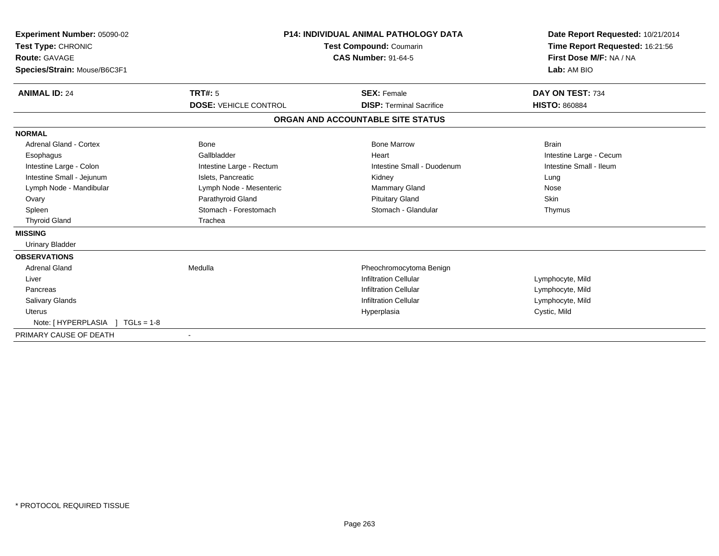| Experiment Number: 05090-02<br>Test Type: CHRONIC<br><b>Route: GAVAGE</b><br>Species/Strain: Mouse/B6C3F1 |                              | <b>P14: INDIVIDUAL ANIMAL PATHOLOGY DATA</b><br><b>Test Compound: Coumarin</b><br><b>CAS Number: 91-64-5</b> | Date Report Requested: 10/21/2014<br>Time Report Requested: 16:21:56<br>First Dose M/F: NA / NA<br>Lab: AM BIO |
|-----------------------------------------------------------------------------------------------------------|------------------------------|--------------------------------------------------------------------------------------------------------------|----------------------------------------------------------------------------------------------------------------|
| <b>ANIMAL ID: 24</b>                                                                                      | <b>TRT#: 5</b>               | <b>SEX: Female</b>                                                                                           | DAY ON TEST: 734                                                                                               |
|                                                                                                           | <b>DOSE: VEHICLE CONTROL</b> | <b>DISP: Terminal Sacrifice</b>                                                                              | <b>HISTO: 860884</b>                                                                                           |
|                                                                                                           |                              | ORGAN AND ACCOUNTABLE SITE STATUS                                                                            |                                                                                                                |
| <b>NORMAL</b>                                                                                             |                              |                                                                                                              |                                                                                                                |
| <b>Adrenal Gland - Cortex</b>                                                                             | Bone                         | <b>Bone Marrow</b>                                                                                           | <b>Brain</b>                                                                                                   |
| Esophagus                                                                                                 | Gallbladder                  | Heart                                                                                                        | Intestine Large - Cecum                                                                                        |
| Intestine Large - Colon                                                                                   | Intestine Large - Rectum     | Intestine Small - Duodenum                                                                                   | Intestine Small - Ileum                                                                                        |
| Intestine Small - Jejunum                                                                                 | Islets, Pancreatic           | Kidney                                                                                                       | Lung                                                                                                           |
| Lymph Node - Mandibular                                                                                   | Lymph Node - Mesenteric      | <b>Mammary Gland</b>                                                                                         | Nose                                                                                                           |
| Ovary                                                                                                     | Parathyroid Gland            | <b>Pituitary Gland</b>                                                                                       | <b>Skin</b>                                                                                                    |
| Spleen                                                                                                    | Stomach - Forestomach        | Stomach - Glandular                                                                                          | Thymus                                                                                                         |
| <b>Thyroid Gland</b>                                                                                      | Trachea                      |                                                                                                              |                                                                                                                |
| <b>MISSING</b>                                                                                            |                              |                                                                                                              |                                                                                                                |
| <b>Urinary Bladder</b>                                                                                    |                              |                                                                                                              |                                                                                                                |
| <b>OBSERVATIONS</b>                                                                                       |                              |                                                                                                              |                                                                                                                |
| <b>Adrenal Gland</b>                                                                                      | Medulla                      | Pheochromocytoma Benign                                                                                      |                                                                                                                |
| Liver                                                                                                     |                              | <b>Infiltration Cellular</b>                                                                                 | Lymphocyte, Mild                                                                                               |
| Pancreas                                                                                                  |                              | <b>Infiltration Cellular</b>                                                                                 | Lymphocyte, Mild                                                                                               |
| <b>Salivary Glands</b>                                                                                    |                              | <b>Infiltration Cellular</b>                                                                                 | Lymphocyte, Mild                                                                                               |
| <b>Uterus</b>                                                                                             |                              | Hyperplasia                                                                                                  | Cystic, Mild                                                                                                   |
| Note: [ HYPERPLASIA ] TGLs = 1-8                                                                          |                              |                                                                                                              |                                                                                                                |
| PRIMARY CAUSE OF DEATH                                                                                    |                              |                                                                                                              |                                                                                                                |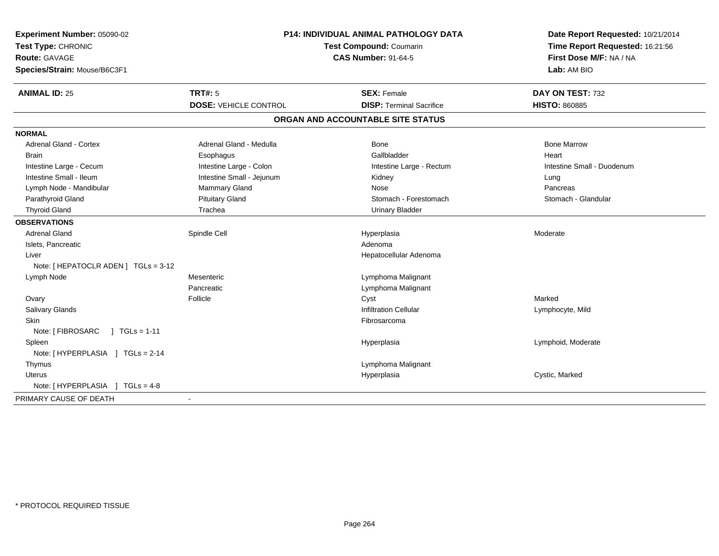| Experiment Number: 05090-02<br>Test Type: CHRONIC<br>Route: GAVAGE<br>Species/Strain: Mouse/B6C3F1 | P14: INDIVIDUAL ANIMAL PATHOLOGY DATA<br><b>Test Compound: Coumarin</b><br><b>CAS Number: 91-64-5</b> |                                                       | Date Report Requested: 10/21/2014<br>Time Report Requested: 16:21:56<br>First Dose M/F: NA / NA<br>Lab: AM BIO |
|----------------------------------------------------------------------------------------------------|-------------------------------------------------------------------------------------------------------|-------------------------------------------------------|----------------------------------------------------------------------------------------------------------------|
| <b>ANIMAL ID: 25</b>                                                                               | <b>TRT#: 5</b><br><b>DOSE: VEHICLE CONTROL</b>                                                        | <b>SEX: Female</b><br><b>DISP: Terminal Sacrifice</b> | DAY ON TEST: 732<br><b>HISTO: 860885</b>                                                                       |
|                                                                                                    |                                                                                                       | ORGAN AND ACCOUNTABLE SITE STATUS                     |                                                                                                                |
| <b>NORMAL</b>                                                                                      |                                                                                                       |                                                       |                                                                                                                |
| <b>Adrenal Gland - Cortex</b>                                                                      | Adrenal Gland - Medulla                                                                               | Bone                                                  | <b>Bone Marrow</b>                                                                                             |
| <b>Brain</b>                                                                                       |                                                                                                       | Gallbladder                                           | Heart                                                                                                          |
|                                                                                                    | Esophagus<br>Intestine Large - Colon                                                                  |                                                       | Intestine Small - Duodenum                                                                                     |
| Intestine Large - Cecum<br>Intestine Small - Ileum                                                 | Intestine Small - Jejunum                                                                             | Intestine Large - Rectum<br>Kidney                    |                                                                                                                |
| Lymph Node - Mandibular                                                                            | Mammary Gland                                                                                         | Nose                                                  | Lung<br>Pancreas                                                                                               |
| Parathyroid Gland                                                                                  | <b>Pituitary Gland</b>                                                                                | Stomach - Forestomach                                 | Stomach - Glandular                                                                                            |
| <b>Thyroid Gland</b>                                                                               | Trachea                                                                                               | <b>Urinary Bladder</b>                                |                                                                                                                |
| <b>OBSERVATIONS</b>                                                                                |                                                                                                       |                                                       |                                                                                                                |
| <b>Adrenal Gland</b>                                                                               | Spindle Cell                                                                                          | Hyperplasia                                           | Moderate                                                                                                       |
| Islets, Pancreatic                                                                                 |                                                                                                       | Adenoma                                               |                                                                                                                |
| Liver                                                                                              |                                                                                                       | Hepatocellular Adenoma                                |                                                                                                                |
| Note: [ HEPATOCLR ADEN ] TGLs = 3-12                                                               |                                                                                                       |                                                       |                                                                                                                |
| Lymph Node                                                                                         | Mesenteric                                                                                            | Lymphoma Malignant                                    |                                                                                                                |
|                                                                                                    | Pancreatic                                                                                            | Lymphoma Malignant                                    |                                                                                                                |
| Ovary                                                                                              | Follicle                                                                                              | Cyst                                                  | Marked                                                                                                         |
| Salivary Glands                                                                                    |                                                                                                       | <b>Infiltration Cellular</b>                          | Lymphocyte, Mild                                                                                               |
| Skin                                                                                               |                                                                                                       | Fibrosarcoma                                          |                                                                                                                |
| Note: [ FIBROSARC<br>$\sqrt{ }$ TGLs = 1-11                                                        |                                                                                                       |                                                       |                                                                                                                |
| Spleen                                                                                             |                                                                                                       | Hyperplasia                                           | Lymphoid, Moderate                                                                                             |
| Note: [HYPERPLASIA ] TGLs = 2-14                                                                   |                                                                                                       |                                                       |                                                                                                                |
| Thymus                                                                                             |                                                                                                       | Lymphoma Malignant                                    |                                                                                                                |
| <b>Uterus</b>                                                                                      |                                                                                                       | Hyperplasia                                           | Cystic, Marked                                                                                                 |
| Note: [HYPERPLASIA ] TGLs = 4-8                                                                    |                                                                                                       |                                                       |                                                                                                                |
| PRIMARY CAUSE OF DEATH                                                                             | $\blacksquare$                                                                                        |                                                       |                                                                                                                |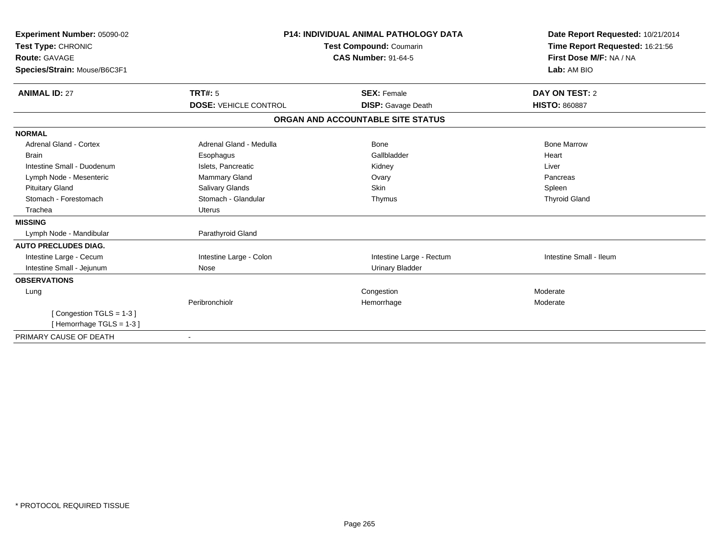| Experiment Number: 05090-02<br>Test Type: CHRONIC<br><b>Route: GAVAGE</b><br>Species/Strain: Mouse/B6C3F1 |                              | <b>P14: INDIVIDUAL ANIMAL PATHOLOGY DATA</b><br>Test Compound: Coumarin<br><b>CAS Number: 91-64-5</b> | Date Report Requested: 10/21/2014<br>Time Report Requested: 16:21:56<br>First Dose M/F: NA / NA<br>Lab: AM BIO |  |
|-----------------------------------------------------------------------------------------------------------|------------------------------|-------------------------------------------------------------------------------------------------------|----------------------------------------------------------------------------------------------------------------|--|
| <b>ANIMAL ID: 27</b>                                                                                      | TRT#: 5                      | <b>SEX: Female</b>                                                                                    | DAY ON TEST: 2                                                                                                 |  |
|                                                                                                           | <b>DOSE: VEHICLE CONTROL</b> | <b>DISP:</b> Gavage Death                                                                             | <b>HISTO: 860887</b>                                                                                           |  |
|                                                                                                           |                              | ORGAN AND ACCOUNTABLE SITE STATUS                                                                     |                                                                                                                |  |
| <b>NORMAL</b>                                                                                             |                              |                                                                                                       |                                                                                                                |  |
| Adrenal Gland - Cortex                                                                                    | Adrenal Gland - Medulla      | Bone                                                                                                  | <b>Bone Marrow</b>                                                                                             |  |
| <b>Brain</b>                                                                                              | Esophagus                    | Gallbladder                                                                                           | Heart                                                                                                          |  |
| Intestine Small - Duodenum                                                                                | Islets, Pancreatic           | Kidney                                                                                                | Liver                                                                                                          |  |
| Lymph Node - Mesenteric                                                                                   | Mammary Gland                | Ovary                                                                                                 | Pancreas                                                                                                       |  |
| <b>Pituitary Gland</b>                                                                                    | Salivary Glands              | Skin                                                                                                  | Spleen                                                                                                         |  |
| Stomach - Forestomach                                                                                     | Stomach - Glandular          | Thymus                                                                                                | <b>Thyroid Gland</b>                                                                                           |  |
| Trachea                                                                                                   | <b>Uterus</b>                |                                                                                                       |                                                                                                                |  |
| <b>MISSING</b>                                                                                            |                              |                                                                                                       |                                                                                                                |  |
| Lymph Node - Mandibular                                                                                   | Parathyroid Gland            |                                                                                                       |                                                                                                                |  |
| <b>AUTO PRECLUDES DIAG.</b>                                                                               |                              |                                                                                                       |                                                                                                                |  |
| Intestine Large - Cecum                                                                                   | Intestine Large - Colon      | Intestine Large - Rectum                                                                              | Intestine Small - Ileum                                                                                        |  |
| Intestine Small - Jejunum                                                                                 | Nose                         | <b>Urinary Bladder</b>                                                                                |                                                                                                                |  |
| <b>OBSERVATIONS</b>                                                                                       |                              |                                                                                                       |                                                                                                                |  |
| Lung                                                                                                      |                              | Congestion                                                                                            | Moderate                                                                                                       |  |
|                                                                                                           | Peribronchiolr               | Hemorrhage                                                                                            | Moderate                                                                                                       |  |
| [Congestion TGLS = 1-3]                                                                                   |                              |                                                                                                       |                                                                                                                |  |
| [Hemorrhage TGLS = $1-3$ ]                                                                                |                              |                                                                                                       |                                                                                                                |  |
| PRIMARY CAUSE OF DEATH                                                                                    |                              |                                                                                                       |                                                                                                                |  |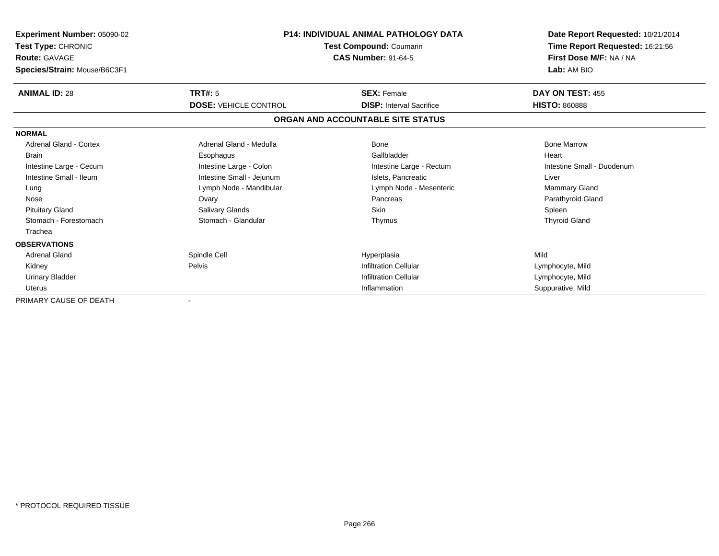| Experiment Number: 05090-02<br>Test Type: CHRONIC<br><b>Route: GAVAGE</b><br>Species/Strain: Mouse/B6C3F1 | <b>P14: INDIVIDUAL ANIMAL PATHOLOGY DATA</b><br>Test Compound: Coumarin<br><b>CAS Number: 91-64-5</b> |                                                       | Date Report Requested: 10/21/2014<br>Time Report Requested: 16:21:56<br>First Dose M/F: NA / NA<br>Lab: AM BIO |  |
|-----------------------------------------------------------------------------------------------------------|-------------------------------------------------------------------------------------------------------|-------------------------------------------------------|----------------------------------------------------------------------------------------------------------------|--|
| <b>ANIMAL ID: 28</b>                                                                                      | TRT#: 5<br><b>DOSE: VEHICLE CONTROL</b>                                                               | <b>SEX: Female</b><br><b>DISP:</b> Interval Sacrifice | DAY ON TEST: 455<br><b>HISTO: 860888</b>                                                                       |  |
|                                                                                                           |                                                                                                       |                                                       |                                                                                                                |  |
|                                                                                                           |                                                                                                       | ORGAN AND ACCOUNTABLE SITE STATUS                     |                                                                                                                |  |
| <b>NORMAL</b>                                                                                             |                                                                                                       |                                                       |                                                                                                                |  |
| <b>Adrenal Gland - Cortex</b>                                                                             | Adrenal Gland - Medulla                                                                               | <b>Bone</b>                                           | <b>Bone Marrow</b>                                                                                             |  |
| <b>Brain</b>                                                                                              | Esophagus                                                                                             | Gallbladder                                           | Heart                                                                                                          |  |
| Intestine Large - Cecum                                                                                   | Intestine Large - Colon                                                                               | Intestine Large - Rectum                              | Intestine Small - Duodenum                                                                                     |  |
| Intestine Small - Ileum                                                                                   | Intestine Small - Jejunum                                                                             | Islets, Pancreatic                                    | Liver                                                                                                          |  |
| Lung                                                                                                      | Lymph Node - Mandibular                                                                               | Lymph Node - Mesenteric                               | <b>Mammary Gland</b>                                                                                           |  |
| Nose                                                                                                      | Ovary                                                                                                 | Pancreas                                              | Parathyroid Gland                                                                                              |  |
| <b>Pituitary Gland</b>                                                                                    | Salivary Glands                                                                                       | Skin                                                  | Spleen                                                                                                         |  |
| Stomach - Forestomach                                                                                     | Stomach - Glandular                                                                                   | Thymus                                                | <b>Thyroid Gland</b>                                                                                           |  |
| Trachea                                                                                                   |                                                                                                       |                                                       |                                                                                                                |  |
| <b>OBSERVATIONS</b>                                                                                       |                                                                                                       |                                                       |                                                                                                                |  |
| <b>Adrenal Gland</b>                                                                                      | Spindle Cell                                                                                          | Hyperplasia                                           | Mild                                                                                                           |  |
| Kidney                                                                                                    | Pelvis                                                                                                | <b>Infiltration Cellular</b>                          | Lymphocyte, Mild                                                                                               |  |
| <b>Urinary Bladder</b>                                                                                    |                                                                                                       | <b>Infiltration Cellular</b>                          | Lymphocyte, Mild                                                                                               |  |
| <b>Uterus</b>                                                                                             |                                                                                                       | Inflammation                                          | Suppurative, Mild                                                                                              |  |
| PRIMARY CAUSE OF DEATH                                                                                    |                                                                                                       |                                                       |                                                                                                                |  |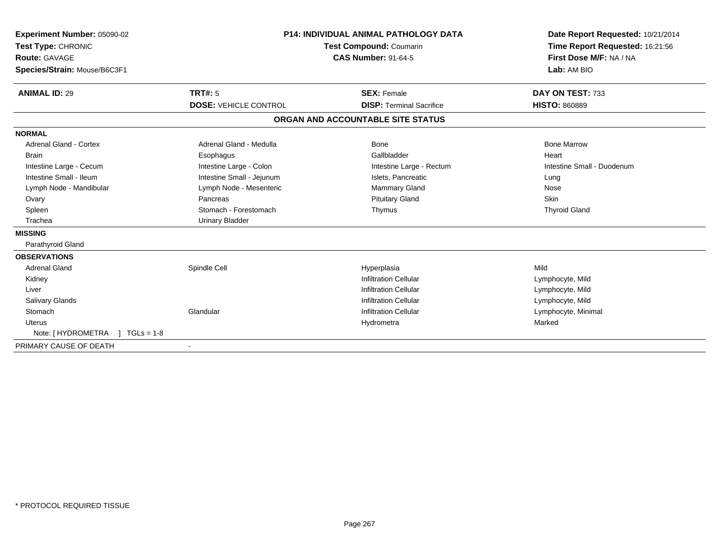| <b>Experiment Number: 05090-02</b><br>Test Type: CHRONIC<br><b>Route: GAVAGE</b><br>Species/Strain: Mouse/B6C3F1 |                              | <b>P14: INDIVIDUAL ANIMAL PATHOLOGY DATA</b><br>Test Compound: Coumarin<br><b>CAS Number: 91-64-5</b> | Date Report Requested: 10/21/2014<br>Time Report Requested: 16:21:56<br>First Dose M/F: NA / NA<br>Lab: AM BIO |
|------------------------------------------------------------------------------------------------------------------|------------------------------|-------------------------------------------------------------------------------------------------------|----------------------------------------------------------------------------------------------------------------|
| <b>ANIMAL ID: 29</b>                                                                                             | <b>TRT#: 5</b>               | <b>SEX: Female</b>                                                                                    | DAY ON TEST: 733                                                                                               |
|                                                                                                                  | <b>DOSE: VEHICLE CONTROL</b> | <b>DISP: Terminal Sacrifice</b>                                                                       | <b>HISTO: 860889</b>                                                                                           |
|                                                                                                                  |                              | ORGAN AND ACCOUNTABLE SITE STATUS                                                                     |                                                                                                                |
| <b>NORMAL</b>                                                                                                    |                              |                                                                                                       |                                                                                                                |
| <b>Adrenal Gland - Cortex</b>                                                                                    | Adrenal Gland - Medulla      | <b>Bone</b>                                                                                           | <b>Bone Marrow</b>                                                                                             |
| <b>Brain</b>                                                                                                     | Esophagus                    | Gallbladder                                                                                           | Heart                                                                                                          |
| Intestine Large - Cecum                                                                                          | Intestine Large - Colon      | Intestine Large - Rectum                                                                              | Intestine Small - Duodenum                                                                                     |
| Intestine Small - Ileum                                                                                          | Intestine Small - Jejunum    | Islets, Pancreatic                                                                                    | Lung                                                                                                           |
| Lymph Node - Mandibular                                                                                          | Lymph Node - Mesenteric      | <b>Mammary Gland</b>                                                                                  | Nose                                                                                                           |
| Ovary                                                                                                            | Pancreas                     | <b>Pituitary Gland</b>                                                                                | Skin                                                                                                           |
| Spleen                                                                                                           | Stomach - Forestomach        | Thymus                                                                                                | <b>Thyroid Gland</b>                                                                                           |
| Trachea                                                                                                          | <b>Urinary Bladder</b>       |                                                                                                       |                                                                                                                |
| <b>MISSING</b>                                                                                                   |                              |                                                                                                       |                                                                                                                |
| Parathyroid Gland                                                                                                |                              |                                                                                                       |                                                                                                                |
| <b>OBSERVATIONS</b>                                                                                              |                              |                                                                                                       |                                                                                                                |
| <b>Adrenal Gland</b>                                                                                             | Spindle Cell                 | Hyperplasia                                                                                           | Mild                                                                                                           |
| Kidney                                                                                                           |                              | <b>Infiltration Cellular</b>                                                                          | Lymphocyte, Mild                                                                                               |
| Liver                                                                                                            |                              | <b>Infiltration Cellular</b>                                                                          | Lymphocyte, Mild                                                                                               |
| <b>Salivary Glands</b>                                                                                           |                              | <b>Infiltration Cellular</b>                                                                          | Lymphocyte, Mild                                                                                               |
| Stomach                                                                                                          | Glandular                    | <b>Infiltration Cellular</b>                                                                          | Lymphocyte, Minimal                                                                                            |
| <b>Uterus</b>                                                                                                    |                              | Hydrometra                                                                                            | Marked                                                                                                         |
| Note: [ HYDROMETRA<br>$TGLs = 1-8$                                                                               |                              |                                                                                                       |                                                                                                                |
| PRIMARY CAUSE OF DEATH                                                                                           |                              |                                                                                                       |                                                                                                                |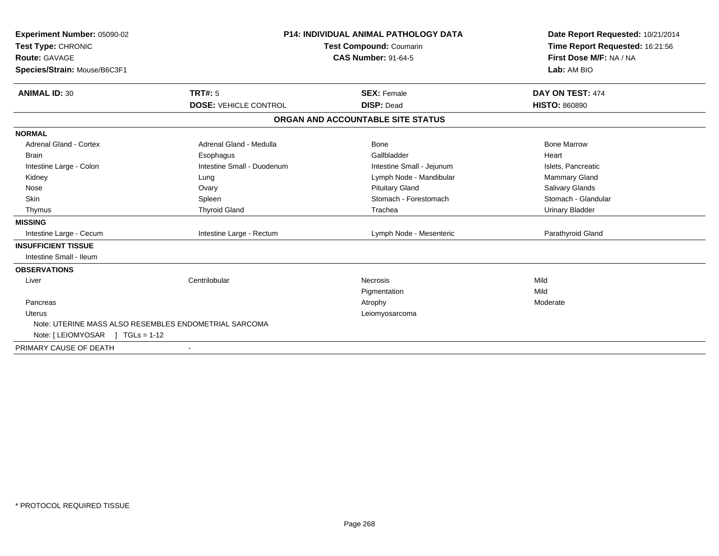| Experiment Number: 05090-02      |                                                       | <b>P14: INDIVIDUAL ANIMAL PATHOLOGY DATA</b> |                                                            |
|----------------------------------|-------------------------------------------------------|----------------------------------------------|------------------------------------------------------------|
| Test Type: CHRONIC               |                                                       | Test Compound: Coumarin                      | Time Report Requested: 16:21:56<br>First Dose M/F: NA / NA |
| <b>Route: GAVAGE</b>             |                                                       | <b>CAS Number: 91-64-5</b>                   |                                                            |
| Species/Strain: Mouse/B6C3F1     |                                                       |                                              | Lab: AM BIO                                                |
| <b>ANIMAL ID: 30</b>             | TRT#: 5                                               | <b>SEX: Female</b>                           | DAY ON TEST: 474                                           |
|                                  | <b>DOSE: VEHICLE CONTROL</b>                          | <b>DISP: Dead</b>                            | <b>HISTO: 860890</b>                                       |
|                                  |                                                       | ORGAN AND ACCOUNTABLE SITE STATUS            |                                                            |
| <b>NORMAL</b>                    |                                                       |                                              |                                                            |
| <b>Adrenal Gland - Cortex</b>    | Adrenal Gland - Medulla                               | Bone                                         | <b>Bone Marrow</b>                                         |
| <b>Brain</b>                     | Esophagus                                             | Gallbladder                                  | Heart                                                      |
| Intestine Large - Colon          | Intestine Small - Duodenum                            | Intestine Small - Jejunum                    | Islets, Pancreatic                                         |
| Kidney                           | Lung                                                  | Lymph Node - Mandibular                      | <b>Mammary Gland</b>                                       |
| Nose                             | Ovary                                                 | <b>Pituitary Gland</b>                       | Salivary Glands                                            |
| <b>Skin</b>                      | Spleen                                                | Stomach - Forestomach                        | Stomach - Glandular                                        |
| Thymus                           | <b>Thyroid Gland</b>                                  | Trachea                                      | <b>Urinary Bladder</b>                                     |
| <b>MISSING</b>                   |                                                       |                                              |                                                            |
| Intestine Large - Cecum          | Intestine Large - Rectum                              | Lymph Node - Mesenteric                      | Parathyroid Gland                                          |
| <b>INSUFFICIENT TISSUE</b>       |                                                       |                                              |                                                            |
| Intestine Small - Ileum          |                                                       |                                              |                                                            |
| <b>OBSERVATIONS</b>              |                                                       |                                              |                                                            |
| Liver                            | Centrilobular                                         | <b>Necrosis</b>                              | Mild                                                       |
|                                  |                                                       | Pigmentation                                 | Mild                                                       |
| Pancreas                         |                                                       | Atrophy                                      | Moderate                                                   |
| Uterus                           |                                                       | Leiomyosarcoma                               |                                                            |
|                                  | Note: UTERINE MASS ALSO RESEMBLES ENDOMETRIAL SARCOMA |                                              |                                                            |
| Note: $[LEIOMYOSAR]$ TGLs = 1-12 |                                                       |                                              |                                                            |
| PRIMARY CAUSE OF DEATH           |                                                       |                                              |                                                            |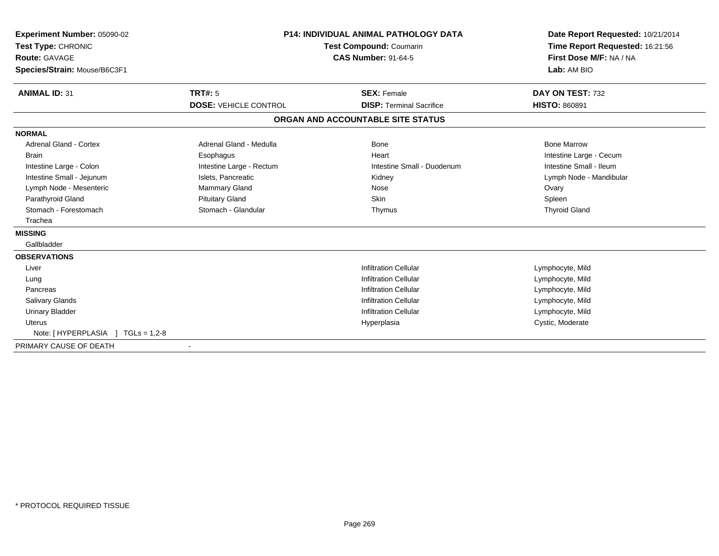| Experiment Number: 05090-02<br>Test Type: CHRONIC<br><b>Route: GAVAGE</b><br>Species/Strain: Mouse/B6C3F1 |                              | <b>P14: INDIVIDUAL ANIMAL PATHOLOGY DATA</b><br><b>Test Compound: Coumarin</b><br><b>CAS Number: 91-64-5</b> | Date Report Requested: 10/21/2014<br>Time Report Requested: 16:21:56<br>First Dose M/F: NA / NA<br>Lab: AM BIO |
|-----------------------------------------------------------------------------------------------------------|------------------------------|--------------------------------------------------------------------------------------------------------------|----------------------------------------------------------------------------------------------------------------|
| <b>ANIMAL ID: 31</b>                                                                                      | <b>TRT#: 5</b>               | <b>SEX: Female</b>                                                                                           | DAY ON TEST: 732                                                                                               |
|                                                                                                           | <b>DOSE: VEHICLE CONTROL</b> | <b>DISP: Terminal Sacrifice</b>                                                                              | <b>HISTO: 860891</b>                                                                                           |
|                                                                                                           |                              | ORGAN AND ACCOUNTABLE SITE STATUS                                                                            |                                                                                                                |
| <b>NORMAL</b>                                                                                             |                              |                                                                                                              |                                                                                                                |
| <b>Adrenal Gland - Cortex</b>                                                                             | Adrenal Gland - Medulla      | Bone                                                                                                         | <b>Bone Marrow</b>                                                                                             |
| <b>Brain</b>                                                                                              | Esophagus                    | Heart                                                                                                        | Intestine Large - Cecum                                                                                        |
| Intestine Large - Colon                                                                                   | Intestine Large - Rectum     | Intestine Small - Duodenum                                                                                   | Intestine Small - Ileum                                                                                        |
| Intestine Small - Jejunum                                                                                 | Islets, Pancreatic           | Kidney                                                                                                       | Lymph Node - Mandibular                                                                                        |
| Lymph Node - Mesenteric                                                                                   | <b>Mammary Gland</b>         | Nose                                                                                                         | Ovary                                                                                                          |
| Parathyroid Gland                                                                                         | <b>Pituitary Gland</b>       | <b>Skin</b>                                                                                                  | Spleen                                                                                                         |
| Stomach - Forestomach                                                                                     | Stomach - Glandular          | Thymus                                                                                                       | <b>Thyroid Gland</b>                                                                                           |
| Trachea                                                                                                   |                              |                                                                                                              |                                                                                                                |
| <b>MISSING</b>                                                                                            |                              |                                                                                                              |                                                                                                                |
| Gallbladder                                                                                               |                              |                                                                                                              |                                                                                                                |
| <b>OBSERVATIONS</b>                                                                                       |                              |                                                                                                              |                                                                                                                |
| Liver                                                                                                     |                              | <b>Infiltration Cellular</b>                                                                                 | Lymphocyte, Mild                                                                                               |
| Lung                                                                                                      |                              | <b>Infiltration Cellular</b>                                                                                 | Lymphocyte, Mild                                                                                               |
| Pancreas                                                                                                  |                              | <b>Infiltration Cellular</b>                                                                                 | Lymphocyte, Mild                                                                                               |
| <b>Salivary Glands</b>                                                                                    |                              | <b>Infiltration Cellular</b>                                                                                 | Lymphocyte, Mild                                                                                               |
| <b>Urinary Bladder</b>                                                                                    |                              | <b>Infiltration Cellular</b>                                                                                 | Lymphocyte, Mild                                                                                               |
| <b>Uterus</b>                                                                                             |                              | Hyperplasia                                                                                                  | Cystic, Moderate                                                                                               |
| $TGLs = 1,2-8$<br>Note: [HYPERPLASIA ]                                                                    |                              |                                                                                                              |                                                                                                                |
| PRIMARY CAUSE OF DEATH                                                                                    |                              |                                                                                                              |                                                                                                                |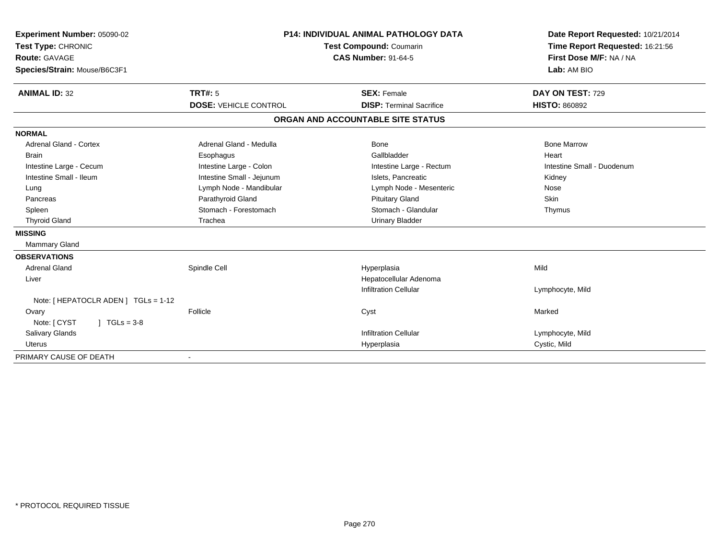| Experiment Number: 05090-02<br>Test Type: CHRONIC<br><b>Route: GAVAGE</b><br>Species/Strain: Mouse/B6C3F1 |                              | <b>P14: INDIVIDUAL ANIMAL PATHOLOGY DATA</b><br><b>Test Compound: Coumarin</b><br><b>CAS Number: 91-64-5</b> | Date Report Requested: 10/21/2014<br>Time Report Requested: 16:21:56<br>First Dose M/F: NA / NA<br>Lab: AM BIO |  |
|-----------------------------------------------------------------------------------------------------------|------------------------------|--------------------------------------------------------------------------------------------------------------|----------------------------------------------------------------------------------------------------------------|--|
| <b>ANIMAL ID: 32</b>                                                                                      | TRT#: 5                      | <b>SEX: Female</b>                                                                                           | DAY ON TEST: 729                                                                                               |  |
|                                                                                                           | <b>DOSE: VEHICLE CONTROL</b> | <b>DISP: Terminal Sacrifice</b>                                                                              | <b>HISTO: 860892</b>                                                                                           |  |
|                                                                                                           |                              | ORGAN AND ACCOUNTABLE SITE STATUS                                                                            |                                                                                                                |  |
| <b>NORMAL</b>                                                                                             |                              |                                                                                                              |                                                                                                                |  |
| <b>Adrenal Gland - Cortex</b>                                                                             | Adrenal Gland - Medulla      | Bone                                                                                                         | <b>Bone Marrow</b>                                                                                             |  |
| <b>Brain</b>                                                                                              | Esophagus                    | Gallbladder                                                                                                  | Heart                                                                                                          |  |
| Intestine Large - Cecum                                                                                   | Intestine Large - Colon      | Intestine Large - Rectum                                                                                     | Intestine Small - Duodenum                                                                                     |  |
| Intestine Small - Ileum                                                                                   | Intestine Small - Jejunum    | Islets. Pancreatic                                                                                           | Kidney                                                                                                         |  |
| Lung                                                                                                      | Lymph Node - Mandibular      | Lymph Node - Mesenteric                                                                                      | Nose                                                                                                           |  |
| Pancreas                                                                                                  | Parathyroid Gland            | <b>Pituitary Gland</b>                                                                                       | Skin                                                                                                           |  |
| Spleen                                                                                                    | Stomach - Forestomach        | Stomach - Glandular                                                                                          | Thymus                                                                                                         |  |
| <b>Thyroid Gland</b>                                                                                      | Trachea                      | <b>Urinary Bladder</b>                                                                                       |                                                                                                                |  |
| <b>MISSING</b>                                                                                            |                              |                                                                                                              |                                                                                                                |  |
| <b>Mammary Gland</b>                                                                                      |                              |                                                                                                              |                                                                                                                |  |
| <b>OBSERVATIONS</b>                                                                                       |                              |                                                                                                              |                                                                                                                |  |
| <b>Adrenal Gland</b>                                                                                      | Spindle Cell                 | Hyperplasia                                                                                                  | Mild                                                                                                           |  |
| Liver                                                                                                     |                              | Hepatocellular Adenoma                                                                                       |                                                                                                                |  |
|                                                                                                           |                              | <b>Infiltration Cellular</b>                                                                                 | Lymphocyte, Mild                                                                                               |  |
| Note: [ HEPATOCLR ADEN ] TGLs = 1-12                                                                      |                              |                                                                                                              |                                                                                                                |  |
| Ovary                                                                                                     | Follicle                     | Cyst                                                                                                         | Marked                                                                                                         |  |
| Note: [ CYST<br>$1 TGLs = 3-8$                                                                            |                              |                                                                                                              |                                                                                                                |  |
| <b>Salivary Glands</b>                                                                                    |                              | <b>Infiltration Cellular</b>                                                                                 | Lymphocyte, Mild                                                                                               |  |
| <b>Uterus</b>                                                                                             |                              | Hyperplasia                                                                                                  | Cystic, Mild                                                                                                   |  |
| PRIMARY CAUSE OF DEATH                                                                                    |                              |                                                                                                              |                                                                                                                |  |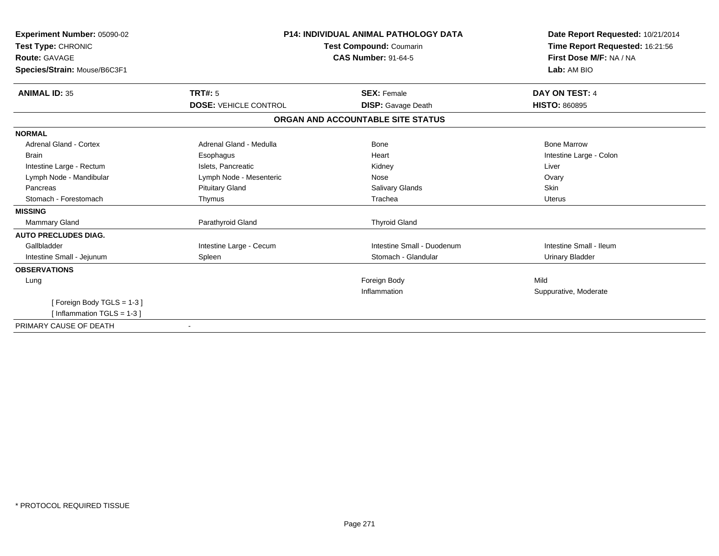| Experiment Number: 05090-02<br>Test Type: CHRONIC<br><b>Route: GAVAGE</b><br>Species/Strain: Mouse/B6C3F1 |                              | <b>P14: INDIVIDUAL ANIMAL PATHOLOGY DATA</b><br>Test Compound: Coumarin<br><b>CAS Number: 91-64-5</b> | Date Report Requested: 10/21/2014<br>Time Report Requested: 16:21:56<br>First Dose M/F: NA / NA<br>Lab: AM BIO |
|-----------------------------------------------------------------------------------------------------------|------------------------------|-------------------------------------------------------------------------------------------------------|----------------------------------------------------------------------------------------------------------------|
| <b>ANIMAL ID: 35</b>                                                                                      | <b>TRT#: 5</b>               | <b>SEX: Female</b>                                                                                    | DAY ON TEST: 4                                                                                                 |
|                                                                                                           | <b>DOSE: VEHICLE CONTROL</b> | <b>DISP:</b> Gavage Death                                                                             | <b>HISTO: 860895</b>                                                                                           |
|                                                                                                           |                              | ORGAN AND ACCOUNTABLE SITE STATUS                                                                     |                                                                                                                |
| <b>NORMAL</b>                                                                                             |                              |                                                                                                       |                                                                                                                |
| <b>Adrenal Gland - Cortex</b>                                                                             | Adrenal Gland - Medulla      | Bone                                                                                                  | <b>Bone Marrow</b>                                                                                             |
| <b>Brain</b>                                                                                              | Esophagus                    | Heart                                                                                                 | Intestine Large - Colon                                                                                        |
| Intestine Large - Rectum                                                                                  | Islets, Pancreatic           | Kidney                                                                                                | Liver                                                                                                          |
| Lymph Node - Mandibular                                                                                   | Lymph Node - Mesenteric      | Nose                                                                                                  | Ovary                                                                                                          |
| Pancreas                                                                                                  | <b>Pituitary Gland</b>       | <b>Salivary Glands</b>                                                                                | <b>Skin</b>                                                                                                    |
| Stomach - Forestomach                                                                                     | Thymus                       | Trachea                                                                                               | Uterus                                                                                                         |
| <b>MISSING</b>                                                                                            |                              |                                                                                                       |                                                                                                                |
| Mammary Gland                                                                                             | Parathyroid Gland            | <b>Thyroid Gland</b>                                                                                  |                                                                                                                |
| <b>AUTO PRECLUDES DIAG.</b>                                                                               |                              |                                                                                                       |                                                                                                                |
| Gallbladder                                                                                               | Intestine Large - Cecum      | Intestine Small - Duodenum                                                                            | Intestine Small - Ileum                                                                                        |
| Intestine Small - Jejunum                                                                                 | Spleen                       | Stomach - Glandular                                                                                   | <b>Urinary Bladder</b>                                                                                         |
| <b>OBSERVATIONS</b>                                                                                       |                              |                                                                                                       |                                                                                                                |
| Lung                                                                                                      |                              | Foreign Body                                                                                          | Mild                                                                                                           |
|                                                                                                           |                              | Inflammation                                                                                          | Suppurative, Moderate                                                                                          |
| [Foreign Body TGLS = 1-3]                                                                                 |                              |                                                                                                       |                                                                                                                |
| [Inflammation TGLS = $1-3$ ]                                                                              |                              |                                                                                                       |                                                                                                                |
| PRIMARY CAUSE OF DEATH                                                                                    |                              |                                                                                                       |                                                                                                                |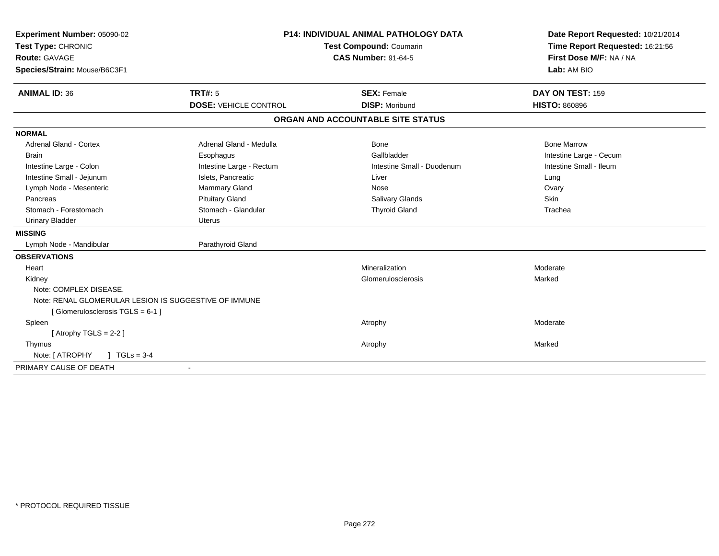| Experiment Number: 05090-02                           | <b>P14: INDIVIDUAL ANIMAL PATHOLOGY DATA</b><br><b>Test Compound: Coumarin</b><br><b>CAS Number: 91-64-5</b> |                                   | Date Report Requested: 10/21/2014 |
|-------------------------------------------------------|--------------------------------------------------------------------------------------------------------------|-----------------------------------|-----------------------------------|
| Test Type: CHRONIC                                    |                                                                                                              |                                   | Time Report Requested: 16:21:56   |
| <b>Route: GAVAGE</b>                                  |                                                                                                              |                                   | First Dose M/F: NA / NA           |
| Species/Strain: Mouse/B6C3F1                          |                                                                                                              |                                   | Lab: AM BIO                       |
| <b>ANIMAL ID: 36</b>                                  | <b>TRT#: 5</b>                                                                                               | <b>SEX: Female</b>                | DAY ON TEST: 159                  |
|                                                       | <b>DOSE: VEHICLE CONTROL</b>                                                                                 | <b>DISP: Moribund</b>             | <b>HISTO: 860896</b>              |
|                                                       |                                                                                                              | ORGAN AND ACCOUNTABLE SITE STATUS |                                   |
| <b>NORMAL</b>                                         |                                                                                                              |                                   |                                   |
| <b>Adrenal Gland - Cortex</b>                         | Adrenal Gland - Medulla                                                                                      | Bone                              | <b>Bone Marrow</b>                |
| <b>Brain</b>                                          | Esophagus                                                                                                    | Gallbladder                       | Intestine Large - Cecum           |
| Intestine Large - Colon                               | Intestine Large - Rectum                                                                                     | Intestine Small - Duodenum        | Intestine Small - Ileum           |
| Intestine Small - Jejunum                             | Islets, Pancreatic                                                                                           | Liver                             | Lung                              |
| Lymph Node - Mesenteric                               | Mammary Gland                                                                                                | Nose                              | Ovary                             |
| Pancreas                                              | <b>Pituitary Gland</b>                                                                                       | Salivary Glands                   | Skin                              |
| Stomach - Forestomach                                 | Stomach - Glandular                                                                                          | <b>Thyroid Gland</b>              | Trachea                           |
| <b>Urinary Bladder</b>                                | <b>Uterus</b>                                                                                                |                                   |                                   |
| <b>MISSING</b>                                        |                                                                                                              |                                   |                                   |
| Lymph Node - Mandibular                               | Parathyroid Gland                                                                                            |                                   |                                   |
| <b>OBSERVATIONS</b>                                   |                                                                                                              |                                   |                                   |
| Heart                                                 |                                                                                                              | Mineralization                    | Moderate                          |
| Kidney                                                |                                                                                                              | Glomerulosclerosis                | Marked                            |
| Note: COMPLEX DISEASE.                                |                                                                                                              |                                   |                                   |
| Note: RENAL GLOMERULAR LESION IS SUGGESTIVE OF IMMUNE |                                                                                                              |                                   |                                   |
| [Glomerulosclerosis TGLS = 6-1]                       |                                                                                                              |                                   |                                   |
| Spleen                                                |                                                                                                              | Atrophy                           | Moderate                          |
| [Atrophy TGLS = $2-2$ ]                               |                                                                                                              |                                   |                                   |
| Thymus                                                |                                                                                                              | Atrophy                           | Marked                            |
| Note: [ ATROPHY<br>$1 TGLs = 3-4$                     |                                                                                                              |                                   |                                   |
| PRIMARY CAUSE OF DEATH                                |                                                                                                              |                                   |                                   |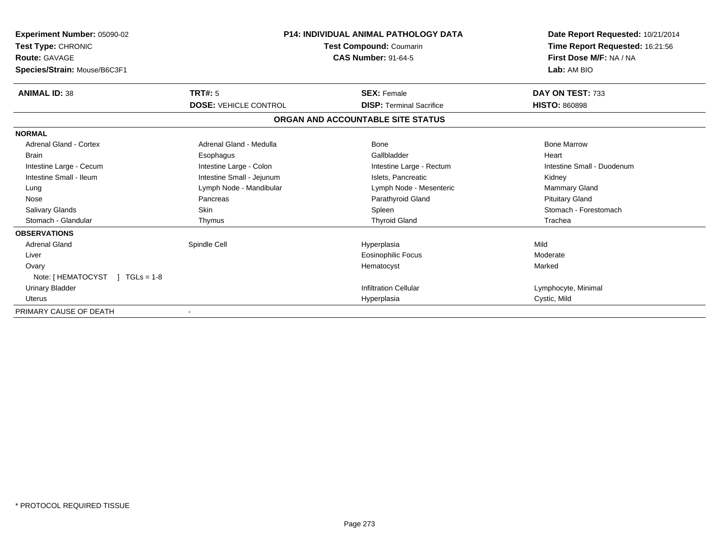| <b>Experiment Number: 05090-02</b><br>Test Type: CHRONIC<br><b>Route: GAVAGE</b><br>Species/Strain: Mouse/B6C3F1 | P14: INDIVIDUAL ANIMAL PATHOLOGY DATA<br>Test Compound: Coumarin<br><b>CAS Number: 91-64-5</b> |                                   | Date Report Requested: 10/21/2014<br>Time Report Requested: 16:21:56<br>First Dose M/F: NA / NA<br>Lab: AM BIO |
|------------------------------------------------------------------------------------------------------------------|------------------------------------------------------------------------------------------------|-----------------------------------|----------------------------------------------------------------------------------------------------------------|
| <b>ANIMAL ID: 38</b>                                                                                             | <b>TRT#: 5</b>                                                                                 | <b>SEX: Female</b>                | DAY ON TEST: 733                                                                                               |
|                                                                                                                  | <b>DOSE: VEHICLE CONTROL</b>                                                                   | <b>DISP: Terminal Sacrifice</b>   | <b>HISTO: 860898</b>                                                                                           |
|                                                                                                                  |                                                                                                | ORGAN AND ACCOUNTABLE SITE STATUS |                                                                                                                |
| <b>NORMAL</b>                                                                                                    |                                                                                                |                                   |                                                                                                                |
| <b>Adrenal Gland - Cortex</b>                                                                                    | Adrenal Gland - Medulla                                                                        | <b>Bone</b>                       | <b>Bone Marrow</b>                                                                                             |
| <b>Brain</b>                                                                                                     | Esophagus                                                                                      | Gallbladder                       | Heart                                                                                                          |
| Intestine Large - Cecum                                                                                          | Intestine Large - Colon                                                                        | Intestine Large - Rectum          | Intestine Small - Duodenum                                                                                     |
| Intestine Small - Ileum                                                                                          | Intestine Small - Jejunum                                                                      | Islets, Pancreatic                | Kidney                                                                                                         |
| Lung                                                                                                             | Lymph Node - Mandibular                                                                        | Lymph Node - Mesenteric           | Mammary Gland                                                                                                  |
| Nose                                                                                                             | Pancreas                                                                                       | Parathyroid Gland                 | <b>Pituitary Gland</b>                                                                                         |
| <b>Salivary Glands</b>                                                                                           | <b>Skin</b>                                                                                    | Spleen                            | Stomach - Forestomach                                                                                          |
| Stomach - Glandular                                                                                              | Thymus                                                                                         | <b>Thyroid Gland</b>              | Trachea                                                                                                        |
| <b>OBSERVATIONS</b>                                                                                              |                                                                                                |                                   |                                                                                                                |
| <b>Adrenal Gland</b>                                                                                             | Spindle Cell                                                                                   | Hyperplasia                       | Mild                                                                                                           |
| Liver                                                                                                            |                                                                                                | <b>Eosinophilic Focus</b>         | Moderate                                                                                                       |
| Ovary                                                                                                            |                                                                                                | Hematocyst                        | Marked                                                                                                         |
| Note: [HEMATOCYST ] TGLs = 1-8                                                                                   |                                                                                                |                                   |                                                                                                                |
| <b>Urinary Bladder</b>                                                                                           |                                                                                                | <b>Infiltration Cellular</b>      | Lymphocyte, Minimal                                                                                            |
| Uterus                                                                                                           |                                                                                                | Hyperplasia                       | Cystic, Mild                                                                                                   |
| PRIMARY CAUSE OF DEATH                                                                                           |                                                                                                |                                   |                                                                                                                |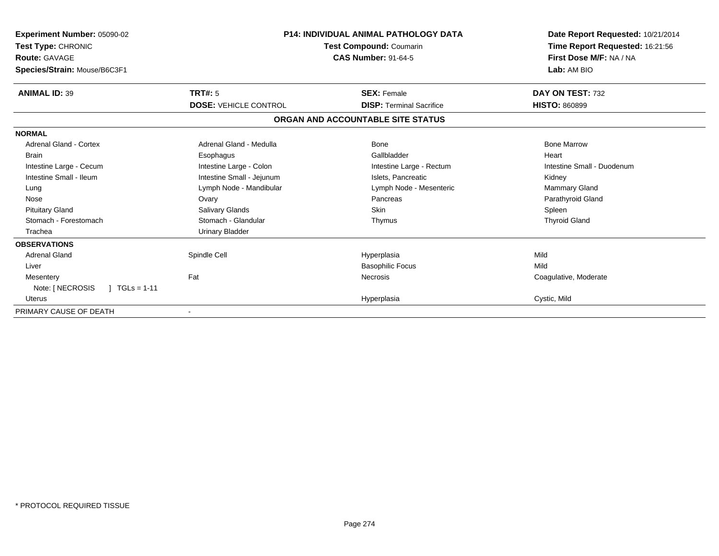| Experiment Number: 05090-02<br>Test Type: CHRONIC<br><b>Route: GAVAGE</b><br>Species/Strain: Mouse/B6C3F1 | <b>P14: INDIVIDUAL ANIMAL PATHOLOGY DATA</b><br>Test Compound: Coumarin<br><b>CAS Number: 91-64-5</b> |                                   | Date Report Requested: 10/21/2014<br>Time Report Requested: 16:21:56<br>First Dose M/F: NA / NA<br>Lab: AM BIO |
|-----------------------------------------------------------------------------------------------------------|-------------------------------------------------------------------------------------------------------|-----------------------------------|----------------------------------------------------------------------------------------------------------------|
| <b>ANIMAL ID: 39</b>                                                                                      | TRT#: 5                                                                                               | <b>SEX: Female</b>                | DAY ON TEST: 732                                                                                               |
|                                                                                                           | <b>DOSE: VEHICLE CONTROL</b>                                                                          | <b>DISP: Terminal Sacrifice</b>   | <b>HISTO: 860899</b>                                                                                           |
|                                                                                                           |                                                                                                       | ORGAN AND ACCOUNTABLE SITE STATUS |                                                                                                                |
| <b>NORMAL</b>                                                                                             |                                                                                                       |                                   |                                                                                                                |
| <b>Adrenal Gland - Cortex</b>                                                                             | Adrenal Gland - Medulla                                                                               | <b>Bone</b>                       | <b>Bone Marrow</b>                                                                                             |
| <b>Brain</b>                                                                                              | Esophagus                                                                                             | Gallbladder                       | Heart                                                                                                          |
| Intestine Large - Cecum                                                                                   | Intestine Large - Colon                                                                               | Intestine Large - Rectum          | Intestine Small - Duodenum                                                                                     |
| Intestine Small - Ileum                                                                                   | Intestine Small - Jejunum                                                                             | Islets, Pancreatic                | Kidney                                                                                                         |
| Lung                                                                                                      | Lymph Node - Mandibular                                                                               | Lymph Node - Mesenteric           | Mammary Gland                                                                                                  |
| Nose                                                                                                      | Ovary                                                                                                 | Pancreas                          | Parathyroid Gland                                                                                              |
| <b>Pituitary Gland</b>                                                                                    | <b>Salivary Glands</b>                                                                                | <b>Skin</b>                       | Spleen                                                                                                         |
| Stomach - Forestomach                                                                                     | Stomach - Glandular                                                                                   | Thymus                            | <b>Thyroid Gland</b>                                                                                           |
| Trachea                                                                                                   | Urinary Bladder                                                                                       |                                   |                                                                                                                |
| <b>OBSERVATIONS</b>                                                                                       |                                                                                                       |                                   |                                                                                                                |
| <b>Adrenal Gland</b>                                                                                      | Spindle Cell                                                                                          | Hyperplasia                       | Mild                                                                                                           |
| Liver                                                                                                     |                                                                                                       | <b>Basophilic Focus</b>           | Mild                                                                                                           |
| Mesentery                                                                                                 | Fat                                                                                                   | <b>Necrosis</b>                   | Coagulative, Moderate                                                                                          |
| Note: [ NECROSIS<br>$TGLs = 1-11$                                                                         |                                                                                                       |                                   |                                                                                                                |
| Uterus                                                                                                    |                                                                                                       | Hyperplasia                       | Cystic, Mild                                                                                                   |
| PRIMARY CAUSE OF DEATH                                                                                    |                                                                                                       |                                   |                                                                                                                |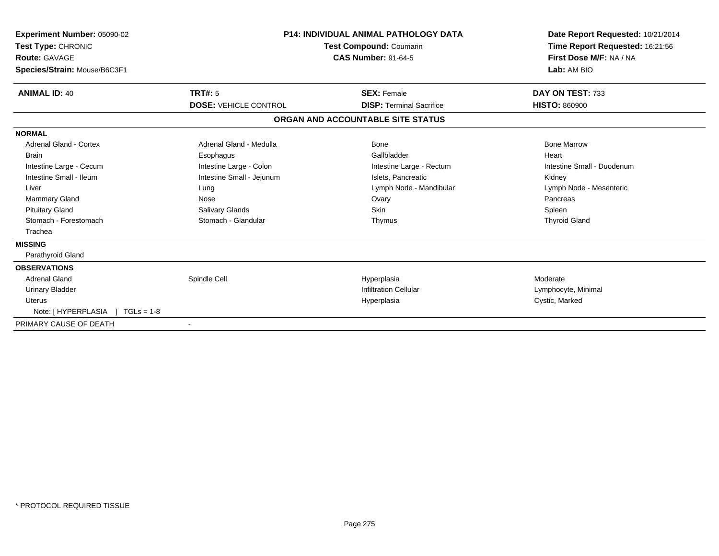| Experiment Number: 05090-02<br>Test Type: CHRONIC<br>Route: GAVAGE<br>Species/Strain: Mouse/B6C3F1 | <b>P14: INDIVIDUAL ANIMAL PATHOLOGY DATA</b><br><b>Test Compound: Coumarin</b><br><b>CAS Number: 91-64-5</b> |                                   | Date Report Requested: 10/21/2014<br>Time Report Requested: 16:21:56<br>First Dose M/F: NA / NA<br>Lab: AM BIO |
|----------------------------------------------------------------------------------------------------|--------------------------------------------------------------------------------------------------------------|-----------------------------------|----------------------------------------------------------------------------------------------------------------|
| <b>ANIMAL ID: 40</b>                                                                               | <b>TRT#: 5</b>                                                                                               | <b>SEX: Female</b>                | DAY ON TEST: 733                                                                                               |
|                                                                                                    | <b>DOSE: VEHICLE CONTROL</b>                                                                                 | <b>DISP: Terminal Sacrifice</b>   | <b>HISTO: 860900</b>                                                                                           |
|                                                                                                    |                                                                                                              | ORGAN AND ACCOUNTABLE SITE STATUS |                                                                                                                |
| <b>NORMAL</b>                                                                                      |                                                                                                              |                                   |                                                                                                                |
| <b>Adrenal Gland - Cortex</b>                                                                      | Adrenal Gland - Medulla                                                                                      | Bone                              | <b>Bone Marrow</b>                                                                                             |
| <b>Brain</b>                                                                                       | Esophagus                                                                                                    | Gallbladder                       | Heart                                                                                                          |
| Intestine Large - Cecum                                                                            | Intestine Large - Colon                                                                                      | Intestine Large - Rectum          | Intestine Small - Duodenum                                                                                     |
| Intestine Small - Ileum                                                                            | Intestine Small - Jejunum                                                                                    | Islets, Pancreatic                | Kidney                                                                                                         |
| Liver                                                                                              | Lung                                                                                                         | Lymph Node - Mandibular           | Lymph Node - Mesenteric                                                                                        |
| <b>Mammary Gland</b>                                                                               | Nose                                                                                                         | Ovary                             | Pancreas                                                                                                       |
| <b>Pituitary Gland</b>                                                                             | Salivary Glands                                                                                              | <b>Skin</b>                       | Spleen                                                                                                         |
| Stomach - Forestomach                                                                              | Stomach - Glandular                                                                                          | Thymus                            | <b>Thyroid Gland</b>                                                                                           |
| Trachea                                                                                            |                                                                                                              |                                   |                                                                                                                |
| <b>MISSING</b>                                                                                     |                                                                                                              |                                   |                                                                                                                |
| Parathyroid Gland                                                                                  |                                                                                                              |                                   |                                                                                                                |
| <b>OBSERVATIONS</b>                                                                                |                                                                                                              |                                   |                                                                                                                |
| <b>Adrenal Gland</b>                                                                               | Spindle Cell                                                                                                 | Hyperplasia                       | Moderate                                                                                                       |
| <b>Urinary Bladder</b>                                                                             |                                                                                                              | <b>Infiltration Cellular</b>      | Lymphocyte, Minimal                                                                                            |
| <b>Uterus</b>                                                                                      |                                                                                                              | Hyperplasia                       | Cystic, Marked                                                                                                 |
| Note: [HYPERPLASIA ] TGLs = 1-8                                                                    |                                                                                                              |                                   |                                                                                                                |
| PRIMARY CAUSE OF DEATH                                                                             |                                                                                                              |                                   |                                                                                                                |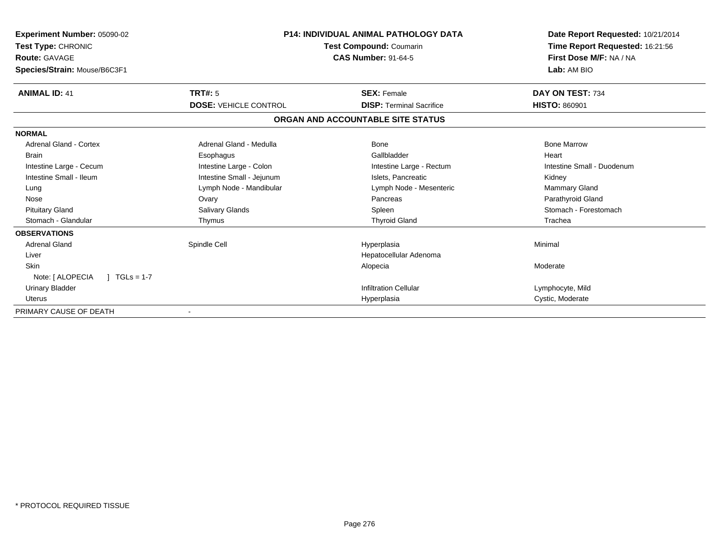| <b>Experiment Number: 05090-02</b><br>Test Type: CHRONIC<br><b>Route: GAVAGE</b><br>Species/Strain: Mouse/B6C3F1 | <b>P14: INDIVIDUAL ANIMAL PATHOLOGY DATA</b><br>Test Compound: Coumarin<br><b>CAS Number: 91-64-5</b> |                                   | Date Report Requested: 10/21/2014<br>Time Report Requested: 16:21:56<br>First Dose M/F: NA / NA<br>Lab: AM BIO |
|------------------------------------------------------------------------------------------------------------------|-------------------------------------------------------------------------------------------------------|-----------------------------------|----------------------------------------------------------------------------------------------------------------|
| <b>ANIMAL ID: 41</b>                                                                                             | <b>TRT#: 5</b>                                                                                        | <b>SEX: Female</b>                | DAY ON TEST: 734                                                                                               |
|                                                                                                                  | <b>DOSE: VEHICLE CONTROL</b>                                                                          | <b>DISP: Terminal Sacrifice</b>   | <b>HISTO: 860901</b>                                                                                           |
|                                                                                                                  |                                                                                                       | ORGAN AND ACCOUNTABLE SITE STATUS |                                                                                                                |
| <b>NORMAL</b>                                                                                                    |                                                                                                       |                                   |                                                                                                                |
| <b>Adrenal Gland - Cortex</b>                                                                                    | Adrenal Gland - Medulla                                                                               | Bone                              | <b>Bone Marrow</b>                                                                                             |
| Brain                                                                                                            | Esophagus                                                                                             | Gallbladder                       | Heart                                                                                                          |
| Intestine Large - Cecum                                                                                          | Intestine Large - Colon                                                                               | Intestine Large - Rectum          | Intestine Small - Duodenum                                                                                     |
| Intestine Small - Ileum                                                                                          | Intestine Small - Jejunum                                                                             | Islets, Pancreatic                | Kidney                                                                                                         |
| Lung                                                                                                             | Lymph Node - Mandibular                                                                               | Lymph Node - Mesenteric           | <b>Mammary Gland</b>                                                                                           |
| Nose                                                                                                             | Ovary                                                                                                 | Pancreas                          | Parathyroid Gland                                                                                              |
| <b>Pituitary Gland</b>                                                                                           | Salivary Glands                                                                                       | Spleen                            | Stomach - Forestomach                                                                                          |
| Stomach - Glandular                                                                                              | Thymus                                                                                                | <b>Thyroid Gland</b>              | Trachea                                                                                                        |
| <b>OBSERVATIONS</b>                                                                                              |                                                                                                       |                                   |                                                                                                                |
| <b>Adrenal Gland</b>                                                                                             | Spindle Cell                                                                                          | Hyperplasia                       | Minimal                                                                                                        |
| Liver                                                                                                            |                                                                                                       | Hepatocellular Adenoma            |                                                                                                                |
| <b>Skin</b>                                                                                                      |                                                                                                       | Alopecia                          | Moderate                                                                                                       |
| Note: [ ALOPECIA<br>$1 TGLs = 1-7$                                                                               |                                                                                                       |                                   |                                                                                                                |
| <b>Urinary Bladder</b>                                                                                           |                                                                                                       | <b>Infiltration Cellular</b>      | Lymphocyte, Mild                                                                                               |
| Uterus                                                                                                           |                                                                                                       | Hyperplasia                       | Cystic, Moderate                                                                                               |
| PRIMARY CAUSE OF DEATH                                                                                           |                                                                                                       |                                   |                                                                                                                |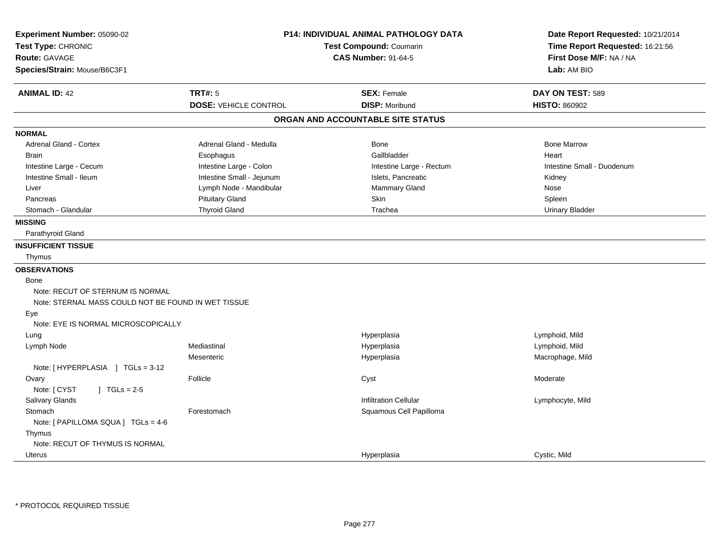| <b>TRT#: 5</b><br><b>ANIMAL ID: 42</b><br><b>SEX: Female</b><br>DAY ON TEST: 589<br><b>DISP: Moribund</b><br><b>HISTO: 860902</b><br><b>DOSE: VEHICLE CONTROL</b><br>ORGAN AND ACCOUNTABLE SITE STATUS<br><b>NORMAL</b><br><b>Adrenal Gland - Cortex</b><br>Adrenal Gland - Medulla<br>Bone<br><b>Bone Marrow</b><br>Gallbladder<br>Heart<br><b>Brain</b><br>Esophagus<br>Intestine Small - Duodenum<br>Intestine Large - Cecum<br>Intestine Large - Colon<br>Intestine Large - Rectum<br>Intestine Small - Ileum<br>Intestine Small - Jejunum<br>Islets, Pancreatic<br>Kidney<br>Lymph Node - Mandibular<br>Mammary Gland<br>Nose<br>Liver<br><b>Pituitary Gland</b><br>Skin<br>Spleen<br>Pancreas<br><b>Thyroid Gland</b><br>Stomach - Glandular<br>Trachea<br><b>Urinary Bladder</b><br><b>MISSING</b><br>Parathyroid Gland<br><b>INSUFFICIENT TISSUE</b><br>Thymus<br><b>OBSERVATIONS</b><br>Bone<br>Note: RECUT OF STERNUM IS NORMAL<br>Note: STERNAL MASS COULD NOT BE FOUND IN WET TISSUE<br>Eye<br>Note: EYE IS NORMAL MICROSCOPICALLY<br>Lymphoid, Mild<br>Hyperplasia<br>Lung<br>Mediastinal<br>Hyperplasia<br>Lymphoid, Mild<br>Lymph Node<br>Mesenteric<br>Hyperplasia<br>Macrophage, Mild<br>Note: [HYPERPLASIA ] TGLs = 3-12<br>Follicle<br>Cyst<br>Moderate<br>Ovary<br>Note: [ CYST<br>$J \cdot TGLs = 2-5$<br>Salivary Glands<br><b>Infiltration Cellular</b><br>Lymphocyte, Mild<br>Squamous Cell Papilloma<br>Stomach<br>Forestomach<br>Note: [ PAPILLOMA SQUA ] TGLs = 4-6<br>Thymus<br>Note: RECUT OF THYMUS IS NORMAL | Experiment Number: 05090-02<br>Test Type: CHRONIC<br>Route: GAVAGE<br>Species/Strain: Mouse/B6C3F1 | <b>P14: INDIVIDUAL ANIMAL PATHOLOGY DATA</b><br>Test Compound: Coumarin<br><b>CAS Number: 91-64-5</b> |              |
|---------------------------------------------------------------------------------------------------------------------------------------------------------------------------------------------------------------------------------------------------------------------------------------------------------------------------------------------------------------------------------------------------------------------------------------------------------------------------------------------------------------------------------------------------------------------------------------------------------------------------------------------------------------------------------------------------------------------------------------------------------------------------------------------------------------------------------------------------------------------------------------------------------------------------------------------------------------------------------------------------------------------------------------------------------------------------------------------------------------------------------------------------------------------------------------------------------------------------------------------------------------------------------------------------------------------------------------------------------------------------------------------------------------------------------------------------------------------------------------------------------------------------------------------|----------------------------------------------------------------------------------------------------|-------------------------------------------------------------------------------------------------------|--------------|
|                                                                                                                                                                                                                                                                                                                                                                                                                                                                                                                                                                                                                                                                                                                                                                                                                                                                                                                                                                                                                                                                                                                                                                                                                                                                                                                                                                                                                                                                                                                                             |                                                                                                    |                                                                                                       | Lab: AM BIO  |
|                                                                                                                                                                                                                                                                                                                                                                                                                                                                                                                                                                                                                                                                                                                                                                                                                                                                                                                                                                                                                                                                                                                                                                                                                                                                                                                                                                                                                                                                                                                                             |                                                                                                    |                                                                                                       |              |
|                                                                                                                                                                                                                                                                                                                                                                                                                                                                                                                                                                                                                                                                                                                                                                                                                                                                                                                                                                                                                                                                                                                                                                                                                                                                                                                                                                                                                                                                                                                                             |                                                                                                    |                                                                                                       |              |
|                                                                                                                                                                                                                                                                                                                                                                                                                                                                                                                                                                                                                                                                                                                                                                                                                                                                                                                                                                                                                                                                                                                                                                                                                                                                                                                                                                                                                                                                                                                                             |                                                                                                    |                                                                                                       |              |
|                                                                                                                                                                                                                                                                                                                                                                                                                                                                                                                                                                                                                                                                                                                                                                                                                                                                                                                                                                                                                                                                                                                                                                                                                                                                                                                                                                                                                                                                                                                                             |                                                                                                    |                                                                                                       |              |
|                                                                                                                                                                                                                                                                                                                                                                                                                                                                                                                                                                                                                                                                                                                                                                                                                                                                                                                                                                                                                                                                                                                                                                                                                                                                                                                                                                                                                                                                                                                                             |                                                                                                    |                                                                                                       |              |
|                                                                                                                                                                                                                                                                                                                                                                                                                                                                                                                                                                                                                                                                                                                                                                                                                                                                                                                                                                                                                                                                                                                                                                                                                                                                                                                                                                                                                                                                                                                                             |                                                                                                    |                                                                                                       |              |
|                                                                                                                                                                                                                                                                                                                                                                                                                                                                                                                                                                                                                                                                                                                                                                                                                                                                                                                                                                                                                                                                                                                                                                                                                                                                                                                                                                                                                                                                                                                                             |                                                                                                    |                                                                                                       |              |
|                                                                                                                                                                                                                                                                                                                                                                                                                                                                                                                                                                                                                                                                                                                                                                                                                                                                                                                                                                                                                                                                                                                                                                                                                                                                                                                                                                                                                                                                                                                                             |                                                                                                    |                                                                                                       |              |
|                                                                                                                                                                                                                                                                                                                                                                                                                                                                                                                                                                                                                                                                                                                                                                                                                                                                                                                                                                                                                                                                                                                                                                                                                                                                                                                                                                                                                                                                                                                                             |                                                                                                    |                                                                                                       |              |
|                                                                                                                                                                                                                                                                                                                                                                                                                                                                                                                                                                                                                                                                                                                                                                                                                                                                                                                                                                                                                                                                                                                                                                                                                                                                                                                                                                                                                                                                                                                                             |                                                                                                    |                                                                                                       |              |
|                                                                                                                                                                                                                                                                                                                                                                                                                                                                                                                                                                                                                                                                                                                                                                                                                                                                                                                                                                                                                                                                                                                                                                                                                                                                                                                                                                                                                                                                                                                                             |                                                                                                    |                                                                                                       |              |
|                                                                                                                                                                                                                                                                                                                                                                                                                                                                                                                                                                                                                                                                                                                                                                                                                                                                                                                                                                                                                                                                                                                                                                                                                                                                                                                                                                                                                                                                                                                                             |                                                                                                    |                                                                                                       |              |
|                                                                                                                                                                                                                                                                                                                                                                                                                                                                                                                                                                                                                                                                                                                                                                                                                                                                                                                                                                                                                                                                                                                                                                                                                                                                                                                                                                                                                                                                                                                                             |                                                                                                    |                                                                                                       |              |
|                                                                                                                                                                                                                                                                                                                                                                                                                                                                                                                                                                                                                                                                                                                                                                                                                                                                                                                                                                                                                                                                                                                                                                                                                                                                                                                                                                                                                                                                                                                                             |                                                                                                    |                                                                                                       |              |
|                                                                                                                                                                                                                                                                                                                                                                                                                                                                                                                                                                                                                                                                                                                                                                                                                                                                                                                                                                                                                                                                                                                                                                                                                                                                                                                                                                                                                                                                                                                                             |                                                                                                    |                                                                                                       |              |
|                                                                                                                                                                                                                                                                                                                                                                                                                                                                                                                                                                                                                                                                                                                                                                                                                                                                                                                                                                                                                                                                                                                                                                                                                                                                                                                                                                                                                                                                                                                                             |                                                                                                    |                                                                                                       |              |
|                                                                                                                                                                                                                                                                                                                                                                                                                                                                                                                                                                                                                                                                                                                                                                                                                                                                                                                                                                                                                                                                                                                                                                                                                                                                                                                                                                                                                                                                                                                                             |                                                                                                    |                                                                                                       |              |
|                                                                                                                                                                                                                                                                                                                                                                                                                                                                                                                                                                                                                                                                                                                                                                                                                                                                                                                                                                                                                                                                                                                                                                                                                                                                                                                                                                                                                                                                                                                                             |                                                                                                    |                                                                                                       |              |
|                                                                                                                                                                                                                                                                                                                                                                                                                                                                                                                                                                                                                                                                                                                                                                                                                                                                                                                                                                                                                                                                                                                                                                                                                                                                                                                                                                                                                                                                                                                                             |                                                                                                    |                                                                                                       |              |
|                                                                                                                                                                                                                                                                                                                                                                                                                                                                                                                                                                                                                                                                                                                                                                                                                                                                                                                                                                                                                                                                                                                                                                                                                                                                                                                                                                                                                                                                                                                                             |                                                                                                    |                                                                                                       |              |
|                                                                                                                                                                                                                                                                                                                                                                                                                                                                                                                                                                                                                                                                                                                                                                                                                                                                                                                                                                                                                                                                                                                                                                                                                                                                                                                                                                                                                                                                                                                                             |                                                                                                    |                                                                                                       |              |
|                                                                                                                                                                                                                                                                                                                                                                                                                                                                                                                                                                                                                                                                                                                                                                                                                                                                                                                                                                                                                                                                                                                                                                                                                                                                                                                                                                                                                                                                                                                                             |                                                                                                    |                                                                                                       |              |
|                                                                                                                                                                                                                                                                                                                                                                                                                                                                                                                                                                                                                                                                                                                                                                                                                                                                                                                                                                                                                                                                                                                                                                                                                                                                                                                                                                                                                                                                                                                                             |                                                                                                    |                                                                                                       |              |
|                                                                                                                                                                                                                                                                                                                                                                                                                                                                                                                                                                                                                                                                                                                                                                                                                                                                                                                                                                                                                                                                                                                                                                                                                                                                                                                                                                                                                                                                                                                                             |                                                                                                    |                                                                                                       |              |
|                                                                                                                                                                                                                                                                                                                                                                                                                                                                                                                                                                                                                                                                                                                                                                                                                                                                                                                                                                                                                                                                                                                                                                                                                                                                                                                                                                                                                                                                                                                                             |                                                                                                    |                                                                                                       |              |
|                                                                                                                                                                                                                                                                                                                                                                                                                                                                                                                                                                                                                                                                                                                                                                                                                                                                                                                                                                                                                                                                                                                                                                                                                                                                                                                                                                                                                                                                                                                                             |                                                                                                    |                                                                                                       |              |
|                                                                                                                                                                                                                                                                                                                                                                                                                                                                                                                                                                                                                                                                                                                                                                                                                                                                                                                                                                                                                                                                                                                                                                                                                                                                                                                                                                                                                                                                                                                                             |                                                                                                    |                                                                                                       |              |
|                                                                                                                                                                                                                                                                                                                                                                                                                                                                                                                                                                                                                                                                                                                                                                                                                                                                                                                                                                                                                                                                                                                                                                                                                                                                                                                                                                                                                                                                                                                                             |                                                                                                    |                                                                                                       |              |
|                                                                                                                                                                                                                                                                                                                                                                                                                                                                                                                                                                                                                                                                                                                                                                                                                                                                                                                                                                                                                                                                                                                                                                                                                                                                                                                                                                                                                                                                                                                                             |                                                                                                    |                                                                                                       |              |
|                                                                                                                                                                                                                                                                                                                                                                                                                                                                                                                                                                                                                                                                                                                                                                                                                                                                                                                                                                                                                                                                                                                                                                                                                                                                                                                                                                                                                                                                                                                                             |                                                                                                    |                                                                                                       |              |
|                                                                                                                                                                                                                                                                                                                                                                                                                                                                                                                                                                                                                                                                                                                                                                                                                                                                                                                                                                                                                                                                                                                                                                                                                                                                                                                                                                                                                                                                                                                                             |                                                                                                    |                                                                                                       |              |
|                                                                                                                                                                                                                                                                                                                                                                                                                                                                                                                                                                                                                                                                                                                                                                                                                                                                                                                                                                                                                                                                                                                                                                                                                                                                                                                                                                                                                                                                                                                                             |                                                                                                    |                                                                                                       |              |
|                                                                                                                                                                                                                                                                                                                                                                                                                                                                                                                                                                                                                                                                                                                                                                                                                                                                                                                                                                                                                                                                                                                                                                                                                                                                                                                                                                                                                                                                                                                                             | Uterus                                                                                             | Hyperplasia                                                                                           | Cystic, Mild |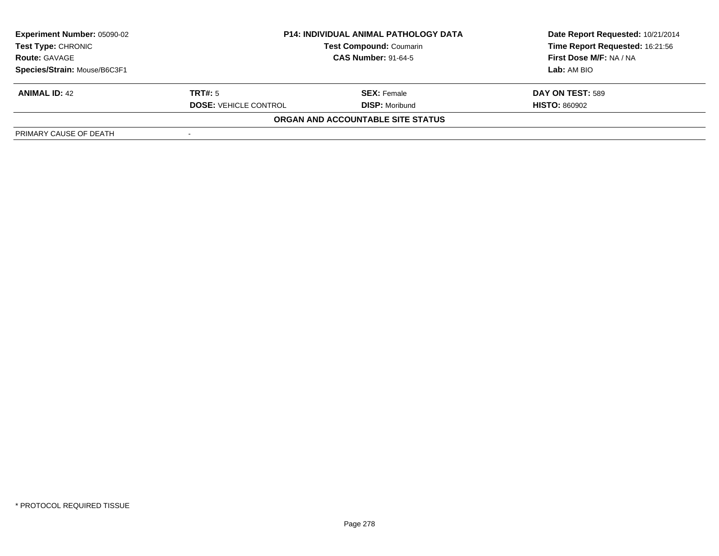| <b>Experiment Number: 05090-02</b> |                              | <b>P14: INDIVIDUAL ANIMAL PATHOLOGY DATA</b> | Date Report Requested: 10/21/2014 |
|------------------------------------|------------------------------|----------------------------------------------|-----------------------------------|
| Test Type: CHRONIC                 |                              | <b>Test Compound: Coumarin</b>               | Time Report Requested: 16:21:56   |
| <b>Route: GAVAGE</b>               |                              | <b>CAS Number: 91-64-5</b>                   | First Dose M/F: NA / NA           |
| Species/Strain: Mouse/B6C3F1       |                              |                                              | Lab: AM BIO                       |
| <b>ANIMAL ID: 42</b>               | TRT#: 5                      | <b>SEX:</b> Female                           | DAY ON TEST: 589                  |
|                                    | <b>DOSE: VEHICLE CONTROL</b> | <b>DISP:</b> Moribund                        | <b>HISTO: 860902</b>              |
|                                    |                              | ORGAN AND ACCOUNTABLE SITE STATUS            |                                   |
| PRIMARY CAUSE OF DEATH             |                              |                                              |                                   |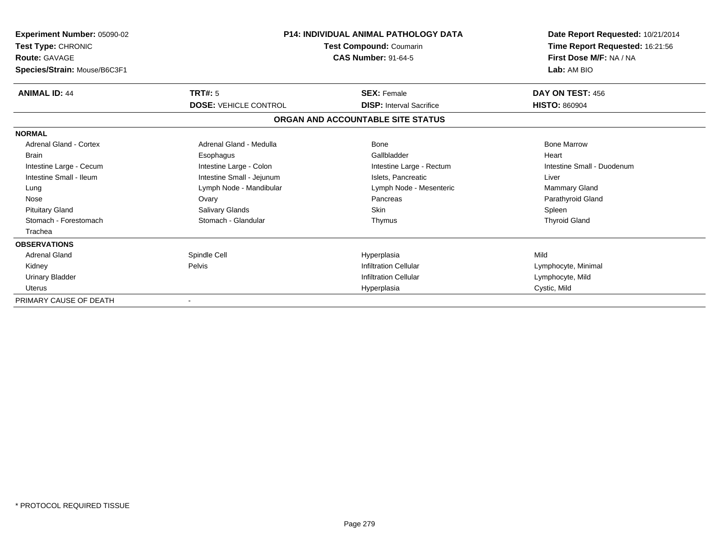| Experiment Number: 05090-02<br>Test Type: CHRONIC<br><b>Route: GAVAGE</b><br>Species/Strain: Mouse/B6C3F1 | <b>P14: INDIVIDUAL ANIMAL PATHOLOGY DATA</b><br>Test Compound: Coumarin<br><b>CAS Number: 91-64-5</b> |                                   | Date Report Requested: 10/21/2014<br>Time Report Requested: 16:21:56<br>First Dose M/F: NA / NA<br>Lab: AM BIO |
|-----------------------------------------------------------------------------------------------------------|-------------------------------------------------------------------------------------------------------|-----------------------------------|----------------------------------------------------------------------------------------------------------------|
| <b>ANIMAL ID: 44</b>                                                                                      | <b>TRT#: 5</b>                                                                                        | <b>SEX: Female</b>                | DAY ON TEST: 456                                                                                               |
|                                                                                                           | <b>DOSE: VEHICLE CONTROL</b>                                                                          | <b>DISP:</b> Interval Sacrifice   | <b>HISTO: 860904</b>                                                                                           |
|                                                                                                           |                                                                                                       | ORGAN AND ACCOUNTABLE SITE STATUS |                                                                                                                |
| <b>NORMAL</b>                                                                                             |                                                                                                       |                                   |                                                                                                                |
| Adrenal Gland - Cortex                                                                                    | Adrenal Gland - Medulla                                                                               | Bone                              | <b>Bone Marrow</b>                                                                                             |
| <b>Brain</b>                                                                                              | Esophagus                                                                                             | Gallbladder                       | Heart                                                                                                          |
| Intestine Large - Cecum                                                                                   | Intestine Large - Colon                                                                               | Intestine Large - Rectum          | Intestine Small - Duodenum                                                                                     |
| Intestine Small - Ileum                                                                                   | Intestine Small - Jejunum                                                                             | Islets, Pancreatic                | Liver                                                                                                          |
| Lung                                                                                                      | Lymph Node - Mandibular                                                                               | Lymph Node - Mesenteric           | <b>Mammary Gland</b>                                                                                           |
| Nose                                                                                                      | Ovary                                                                                                 | Pancreas                          | Parathyroid Gland                                                                                              |
| <b>Pituitary Gland</b>                                                                                    | Salivary Glands                                                                                       | Skin                              | Spleen                                                                                                         |
| Stomach - Forestomach                                                                                     | Stomach - Glandular                                                                                   | Thymus                            | <b>Thyroid Gland</b>                                                                                           |
| Trachea                                                                                                   |                                                                                                       |                                   |                                                                                                                |
| <b>OBSERVATIONS</b>                                                                                       |                                                                                                       |                                   |                                                                                                                |
| Adrenal Gland                                                                                             | Spindle Cell                                                                                          | Hyperplasia                       | Mild                                                                                                           |
| Kidney                                                                                                    | Pelvis                                                                                                | <b>Infiltration Cellular</b>      | Lymphocyte, Minimal                                                                                            |
| <b>Urinary Bladder</b>                                                                                    |                                                                                                       | <b>Infiltration Cellular</b>      | Lymphocyte, Mild                                                                                               |
| <b>Uterus</b>                                                                                             |                                                                                                       | Hyperplasia                       | Cystic, Mild                                                                                                   |
| PRIMARY CAUSE OF DEATH                                                                                    |                                                                                                       |                                   |                                                                                                                |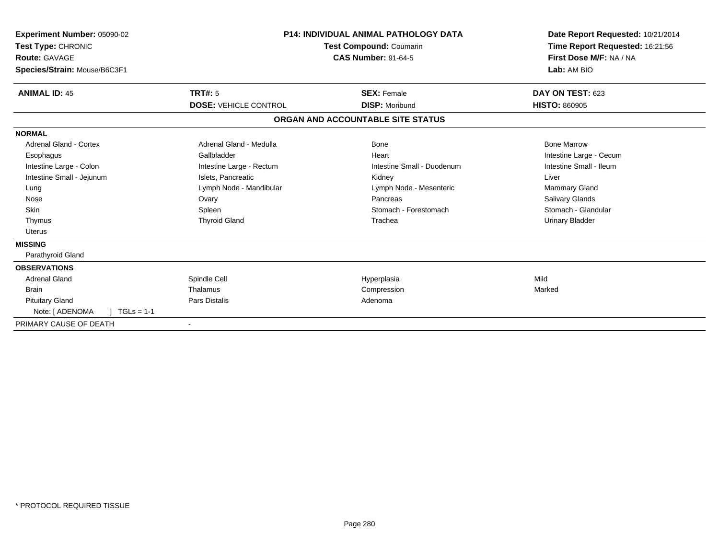| Experiment Number: 05090-02<br>Test Type: CHRONIC<br>Route: GAVAGE<br>Species/Strain: Mouse/B6C3F1 | <b>P14: INDIVIDUAL ANIMAL PATHOLOGY DATA</b><br><b>Test Compound: Coumarin</b><br><b>CAS Number: 91-64-5</b> |                                   | Date Report Requested: 10/21/2014<br>Time Report Requested: 16:21:56<br>First Dose M/F: NA / NA<br>Lab: AM BIO |
|----------------------------------------------------------------------------------------------------|--------------------------------------------------------------------------------------------------------------|-----------------------------------|----------------------------------------------------------------------------------------------------------------|
| <b>ANIMAL ID: 45</b>                                                                               | TRT#: 5                                                                                                      | <b>SEX: Female</b>                | DAY ON TEST: 623                                                                                               |
|                                                                                                    | <b>DOSE: VEHICLE CONTROL</b>                                                                                 | <b>DISP: Moribund</b>             | <b>HISTO: 860905</b>                                                                                           |
|                                                                                                    |                                                                                                              | ORGAN AND ACCOUNTABLE SITE STATUS |                                                                                                                |
| <b>NORMAL</b>                                                                                      |                                                                                                              |                                   |                                                                                                                |
| <b>Adrenal Gland - Cortex</b>                                                                      | Adrenal Gland - Medulla                                                                                      | Bone                              | <b>Bone Marrow</b>                                                                                             |
| Esophagus                                                                                          | Gallbladder                                                                                                  | Heart                             | Intestine Large - Cecum                                                                                        |
| Intestine Large - Colon                                                                            | Intestine Large - Rectum                                                                                     | Intestine Small - Duodenum        | Intestine Small - Ileum                                                                                        |
| Intestine Small - Jejunum                                                                          | Islets, Pancreatic                                                                                           | Kidney                            | Liver                                                                                                          |
| Lung                                                                                               | Lymph Node - Mandibular                                                                                      | Lymph Node - Mesenteric           | Mammary Gland                                                                                                  |
| Nose                                                                                               | Ovary                                                                                                        | Pancreas                          | <b>Salivary Glands</b>                                                                                         |
| <b>Skin</b>                                                                                        | Spleen                                                                                                       | Stomach - Forestomach             | Stomach - Glandular                                                                                            |
| Thymus                                                                                             | <b>Thyroid Gland</b>                                                                                         | Trachea                           | <b>Urinary Bladder</b>                                                                                         |
| <b>Uterus</b>                                                                                      |                                                                                                              |                                   |                                                                                                                |
| <b>MISSING</b>                                                                                     |                                                                                                              |                                   |                                                                                                                |
| Parathyroid Gland                                                                                  |                                                                                                              |                                   |                                                                                                                |
| <b>OBSERVATIONS</b>                                                                                |                                                                                                              |                                   |                                                                                                                |
| <b>Adrenal Gland</b>                                                                               | Spindle Cell                                                                                                 | Hyperplasia                       | Mild                                                                                                           |
| <b>Brain</b>                                                                                       | Thalamus                                                                                                     | Compression                       | Marked                                                                                                         |
| <b>Pituitary Gland</b>                                                                             | Pars Distalis                                                                                                | Adenoma                           |                                                                                                                |
| Note: [ ADENOMA<br>$TGLs = 1-1$                                                                    |                                                                                                              |                                   |                                                                                                                |
| PRIMARY CAUSE OF DEATH                                                                             |                                                                                                              |                                   |                                                                                                                |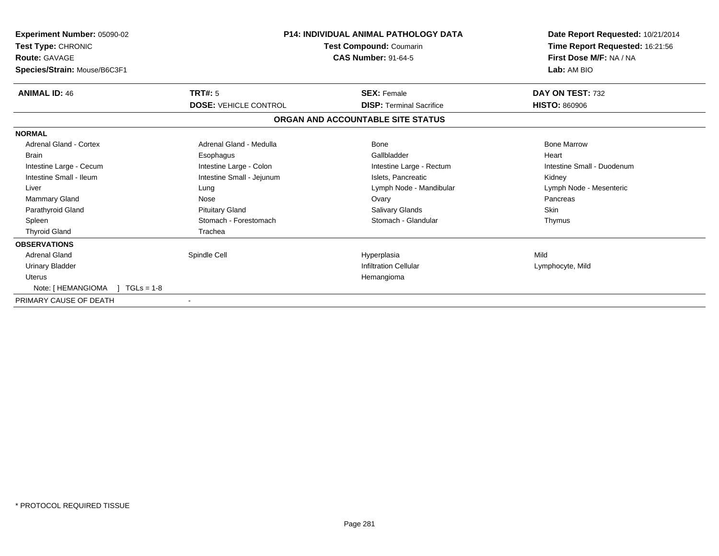| Experiment Number: 05090-02<br>Test Type: CHRONIC<br><b>Route: GAVAGE</b><br>Species/Strain: Mouse/B6C3F1 | <b>P14: INDIVIDUAL ANIMAL PATHOLOGY DATA</b><br>Test Compound: Coumarin<br><b>CAS Number: 91-64-5</b> |                                   | Date Report Requested: 10/21/2014<br>Time Report Requested: 16:21:56<br>First Dose M/F: NA / NA<br>Lab: AM BIO |
|-----------------------------------------------------------------------------------------------------------|-------------------------------------------------------------------------------------------------------|-----------------------------------|----------------------------------------------------------------------------------------------------------------|
| <b>ANIMAL ID: 46</b>                                                                                      | TRT#: 5                                                                                               | <b>SEX: Female</b>                | DAY ON TEST: 732                                                                                               |
|                                                                                                           | <b>DOSE: VEHICLE CONTROL</b>                                                                          | <b>DISP: Terminal Sacrifice</b>   | <b>HISTO: 860906</b>                                                                                           |
|                                                                                                           |                                                                                                       | ORGAN AND ACCOUNTABLE SITE STATUS |                                                                                                                |
| <b>NORMAL</b>                                                                                             |                                                                                                       |                                   |                                                                                                                |
| <b>Adrenal Gland - Cortex</b>                                                                             | Adrenal Gland - Medulla                                                                               | Bone                              | <b>Bone Marrow</b>                                                                                             |
| <b>Brain</b>                                                                                              | Esophagus                                                                                             | Gallbladder                       | Heart                                                                                                          |
| Intestine Large - Cecum                                                                                   | Intestine Large - Colon                                                                               | Intestine Large - Rectum          | Intestine Small - Duodenum                                                                                     |
| Intestine Small - Ileum                                                                                   | Intestine Small - Jejunum                                                                             | Islets. Pancreatic                | Kidney                                                                                                         |
| Liver                                                                                                     | Lung                                                                                                  | Lymph Node - Mandibular           | Lymph Node - Mesenteric                                                                                        |
| Mammary Gland                                                                                             | Nose                                                                                                  | Ovary                             | Pancreas                                                                                                       |
| Parathyroid Gland                                                                                         | <b>Pituitary Gland</b>                                                                                | <b>Salivary Glands</b>            | Skin                                                                                                           |
| Spleen                                                                                                    | Stomach - Forestomach                                                                                 | Stomach - Glandular               | Thymus                                                                                                         |
| <b>Thyroid Gland</b>                                                                                      | Trachea                                                                                               |                                   |                                                                                                                |
| <b>OBSERVATIONS</b>                                                                                       |                                                                                                       |                                   |                                                                                                                |
| <b>Adrenal Gland</b>                                                                                      | Spindle Cell                                                                                          | Hyperplasia                       | Mild                                                                                                           |
| <b>Urinary Bladder</b>                                                                                    |                                                                                                       | <b>Infiltration Cellular</b>      | Lymphocyte, Mild                                                                                               |
| <b>Uterus</b>                                                                                             |                                                                                                       | Hemangioma                        |                                                                                                                |
| Note: [HEMANGIOMA ] TGLs = 1-8                                                                            |                                                                                                       |                                   |                                                                                                                |
| PRIMARY CAUSE OF DEATH                                                                                    |                                                                                                       |                                   |                                                                                                                |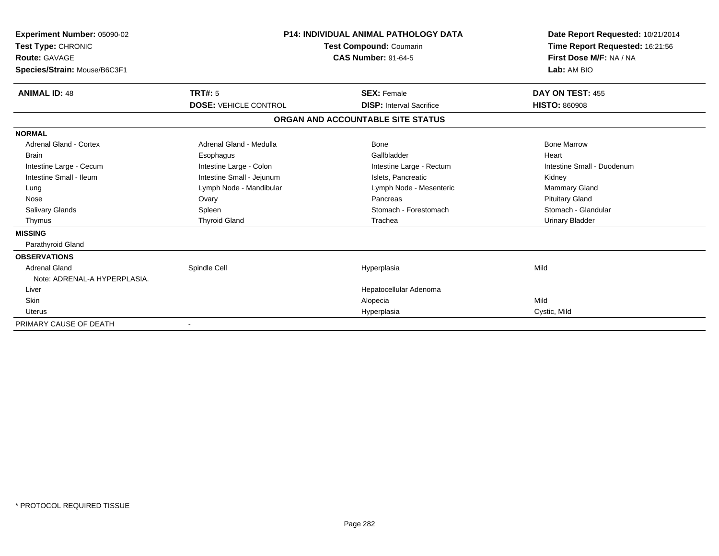| Experiment Number: 05090-02<br>Test Type: CHRONIC<br><b>Route: GAVAGE</b><br>Species/Strain: Mouse/B6C3F1 |                              | <b>P14: INDIVIDUAL ANIMAL PATHOLOGY DATA</b><br><b>Test Compound: Coumarin</b><br><b>CAS Number: 91-64-5</b> | Date Report Requested: 10/21/2014<br>Time Report Requested: 16:21:56<br>First Dose M/F: NA / NA<br>Lab: AM BIO |
|-----------------------------------------------------------------------------------------------------------|------------------------------|--------------------------------------------------------------------------------------------------------------|----------------------------------------------------------------------------------------------------------------|
| <b>ANIMAL ID: 48</b>                                                                                      | TRT#: 5                      | <b>SEX: Female</b>                                                                                           | DAY ON TEST: 455                                                                                               |
|                                                                                                           | <b>DOSE: VEHICLE CONTROL</b> | <b>DISP: Interval Sacrifice</b>                                                                              | <b>HISTO: 860908</b>                                                                                           |
|                                                                                                           |                              | ORGAN AND ACCOUNTABLE SITE STATUS                                                                            |                                                                                                                |
| <b>NORMAL</b>                                                                                             |                              |                                                                                                              |                                                                                                                |
| Adrenal Gland - Cortex                                                                                    | Adrenal Gland - Medulla      | Bone                                                                                                         | <b>Bone Marrow</b>                                                                                             |
| <b>Brain</b>                                                                                              | Esophagus                    | Gallbladder                                                                                                  | Heart                                                                                                          |
| Intestine Large - Cecum                                                                                   | Intestine Large - Colon      | Intestine Large - Rectum                                                                                     | Intestine Small - Duodenum                                                                                     |
| Intestine Small - Ileum                                                                                   | Intestine Small - Jejunum    | Islets, Pancreatic                                                                                           | Kidney                                                                                                         |
| Lung                                                                                                      | Lymph Node - Mandibular      | Lymph Node - Mesenteric                                                                                      | Mammary Gland                                                                                                  |
| Nose                                                                                                      | Ovary                        | Pancreas                                                                                                     | <b>Pituitary Gland</b>                                                                                         |
| <b>Salivary Glands</b>                                                                                    | Spleen                       | Stomach - Forestomach                                                                                        | Stomach - Glandular                                                                                            |
| Thymus                                                                                                    | <b>Thyroid Gland</b>         | Trachea                                                                                                      | <b>Urinary Bladder</b>                                                                                         |
| <b>MISSING</b>                                                                                            |                              |                                                                                                              |                                                                                                                |
| Parathyroid Gland                                                                                         |                              |                                                                                                              |                                                                                                                |
| <b>OBSERVATIONS</b>                                                                                       |                              |                                                                                                              |                                                                                                                |
| Adrenal Gland                                                                                             | Spindle Cell                 | Hyperplasia                                                                                                  | Mild                                                                                                           |
| Note: ADRENAL-A HYPERPLASIA.                                                                              |                              |                                                                                                              |                                                                                                                |
| Liver                                                                                                     |                              | Hepatocellular Adenoma                                                                                       |                                                                                                                |
| <b>Skin</b>                                                                                               |                              | Alopecia                                                                                                     | Mild                                                                                                           |
| Uterus                                                                                                    |                              | Hyperplasia                                                                                                  | Cystic, Mild                                                                                                   |
| PRIMARY CAUSE OF DEATH                                                                                    |                              |                                                                                                              |                                                                                                                |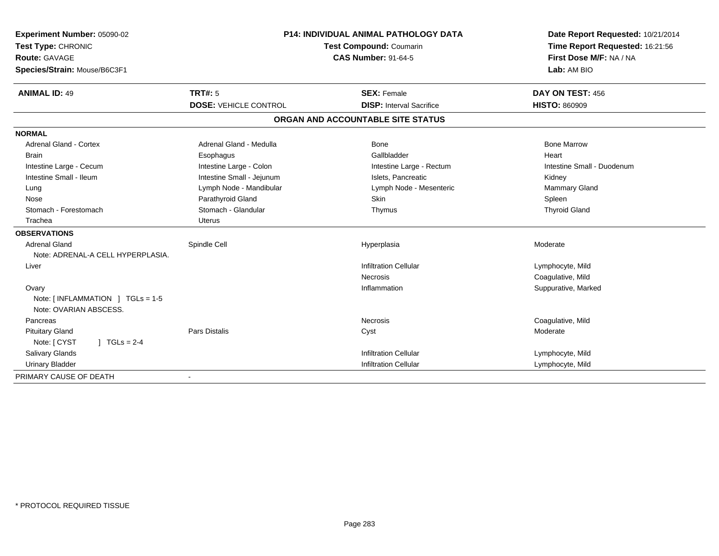| Experiment Number: 05090-02                     |                              | P14: INDIVIDUAL ANIMAL PATHOLOGY DATA | Date Report Requested: 10/21/2014 |
|-------------------------------------------------|------------------------------|---------------------------------------|-----------------------------------|
| Test Type: CHRONIC                              | Test Compound: Coumarin      |                                       | Time Report Requested: 16:21:56   |
| Route: GAVAGE                                   |                              | <b>CAS Number: 91-64-5</b>            | First Dose M/F: NA / NA           |
| Species/Strain: Mouse/B6C3F1                    |                              |                                       | Lab: AM BIO                       |
| <b>ANIMAL ID: 49</b>                            | <b>TRT#: 5</b>               | <b>SEX: Female</b>                    | DAY ON TEST: 456                  |
|                                                 | <b>DOSE: VEHICLE CONTROL</b> | <b>DISP:</b> Interval Sacrifice       | <b>HISTO: 860909</b>              |
|                                                 |                              | ORGAN AND ACCOUNTABLE SITE STATUS     |                                   |
| <b>NORMAL</b>                                   |                              |                                       |                                   |
| Adrenal Gland - Cortex                          | Adrenal Gland - Medulla      | Bone                                  | <b>Bone Marrow</b>                |
| <b>Brain</b>                                    | Esophagus                    | Gallbladder                           | Heart                             |
| Intestine Large - Cecum                         | Intestine Large - Colon      | Intestine Large - Rectum              | Intestine Small - Duodenum        |
| Intestine Small - Ileum                         | Intestine Small - Jejunum    | Islets. Pancreatic                    | Kidney                            |
| Lung                                            | Lymph Node - Mandibular      | Lymph Node - Mesenteric               | <b>Mammary Gland</b>              |
| Nose                                            | Parathyroid Gland            | <b>Skin</b>                           | Spleen                            |
| Stomach - Forestomach                           | Stomach - Glandular          | Thymus                                | <b>Thyroid Gland</b>              |
| Trachea                                         | <b>Uterus</b>                |                                       |                                   |
| <b>OBSERVATIONS</b>                             |                              |                                       |                                   |
| <b>Adrenal Gland</b>                            | Spindle Cell                 | Hyperplasia                           | Moderate                          |
| Note: ADRENAL-A CELL HYPERPLASIA.               |                              |                                       |                                   |
| Liver                                           |                              | <b>Infiltration Cellular</b>          | Lymphocyte, Mild                  |
|                                                 |                              | Necrosis                              | Coagulative, Mild                 |
| Ovary                                           |                              | Inflammation                          | Suppurative, Marked               |
| Note: $\lceil$ INFLAMMATION $\lceil$ TGLs = 1-5 |                              |                                       |                                   |
| Note: OVARIAN ABSCESS.                          |                              |                                       |                                   |
| Pancreas                                        |                              | Necrosis                              | Coagulative, Mild                 |
| <b>Pituitary Gland</b>                          | Pars Distalis                | Cyst                                  | Moderate                          |
| $1 TGLs = 2-4$<br>Note: [ CYST                  |                              |                                       |                                   |
| Salivary Glands                                 |                              | <b>Infiltration Cellular</b>          | Lymphocyte, Mild                  |
| <b>Urinary Bladder</b>                          |                              | <b>Infiltration Cellular</b>          | Lymphocyte, Mild                  |
| PRIMARY CAUSE OF DEATH                          |                              |                                       |                                   |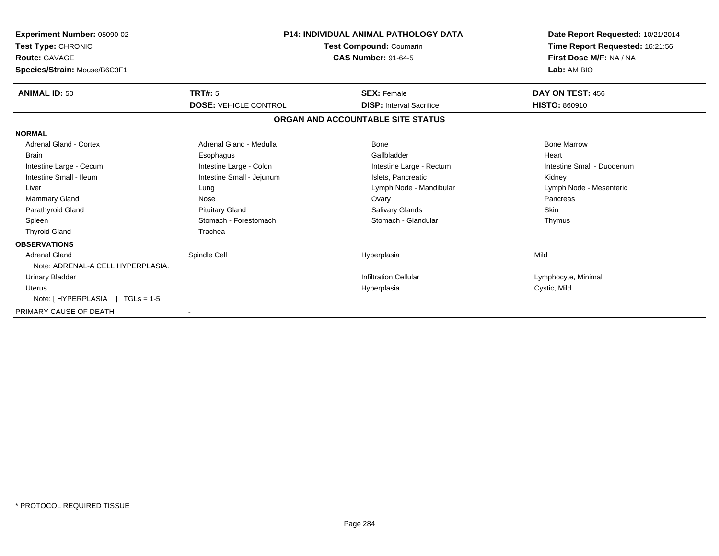| Experiment Number: 05090-02<br>Test Type: CHRONIC<br><b>Route: GAVAGE</b><br>Species/Strain: Mouse/B6C3F1 | <b>P14: INDIVIDUAL ANIMAL PATHOLOGY DATA</b><br>Test Compound: Coumarin<br><b>CAS Number: 91-64-5</b> |                                   | Date Report Requested: 10/21/2014<br>Time Report Requested: 16:21:56<br>First Dose M/F: NA / NA<br>Lab: AM BIO |
|-----------------------------------------------------------------------------------------------------------|-------------------------------------------------------------------------------------------------------|-----------------------------------|----------------------------------------------------------------------------------------------------------------|
| <b>ANIMAL ID: 50</b>                                                                                      | <b>TRT#: 5</b>                                                                                        | <b>SEX: Female</b>                | DAY ON TEST: 456                                                                                               |
|                                                                                                           | <b>DOSE: VEHICLE CONTROL</b>                                                                          | <b>DISP: Interval Sacrifice</b>   | <b>HISTO: 860910</b>                                                                                           |
|                                                                                                           |                                                                                                       | ORGAN AND ACCOUNTABLE SITE STATUS |                                                                                                                |
| <b>NORMAL</b>                                                                                             |                                                                                                       |                                   |                                                                                                                |
| <b>Adrenal Gland - Cortex</b>                                                                             | Adrenal Gland - Medulla                                                                               | Bone                              | <b>Bone Marrow</b>                                                                                             |
| <b>Brain</b>                                                                                              | Esophagus                                                                                             | Gallbladder                       | Heart                                                                                                          |
| Intestine Large - Cecum                                                                                   | Intestine Large - Colon                                                                               | Intestine Large - Rectum          | Intestine Small - Duodenum                                                                                     |
| Intestine Small - Ileum                                                                                   | Intestine Small - Jejunum                                                                             | Islets. Pancreatic                | Kidney                                                                                                         |
| Liver                                                                                                     | Lung                                                                                                  | Lymph Node - Mandibular           | Lymph Node - Mesenteric                                                                                        |
| Mammary Gland                                                                                             | Nose                                                                                                  | Ovary                             | Pancreas                                                                                                       |
| Parathyroid Gland                                                                                         | <b>Pituitary Gland</b>                                                                                | <b>Salivary Glands</b>            | <b>Skin</b>                                                                                                    |
| Spleen                                                                                                    | Stomach - Forestomach                                                                                 | Stomach - Glandular               | Thymus                                                                                                         |
| <b>Thyroid Gland</b>                                                                                      | Trachea                                                                                               |                                   |                                                                                                                |
| <b>OBSERVATIONS</b>                                                                                       |                                                                                                       |                                   |                                                                                                                |
| <b>Adrenal Gland</b>                                                                                      | Spindle Cell                                                                                          | Hyperplasia                       | Mild                                                                                                           |
| Note: ADRENAL-A CELL HYPERPLASIA.                                                                         |                                                                                                       |                                   |                                                                                                                |
| <b>Urinary Bladder</b>                                                                                    |                                                                                                       | <b>Infiltration Cellular</b>      | Lymphocyte, Minimal                                                                                            |
| <b>Uterus</b>                                                                                             |                                                                                                       | Hyperplasia                       | Cystic, Mild                                                                                                   |
| Note: [HYPERPLASIA ] TGLs = 1-5                                                                           |                                                                                                       |                                   |                                                                                                                |
| PRIMARY CAUSE OF DEATH                                                                                    |                                                                                                       |                                   |                                                                                                                |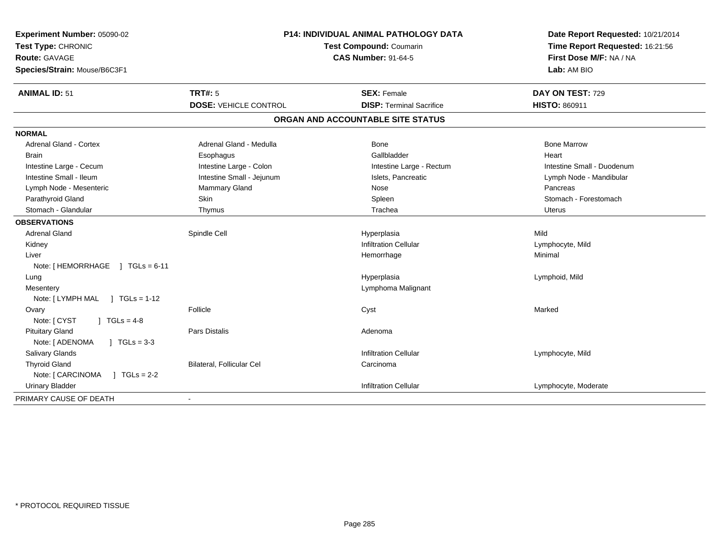| Experiment Number: 05090-02<br>Test Type: CHRONIC<br>Route: GAVAGE<br>Species/Strain: Mouse/B6C3F1 | P14: INDIVIDUAL ANIMAL PATHOLOGY DATA<br>Test Compound: Coumarin<br><b>CAS Number: 91-64-5</b> |                                                       | Date Report Requested: 10/21/2014<br>Time Report Requested: 16:21:56<br>First Dose M/F: NA / NA<br>Lab: AM BIO |
|----------------------------------------------------------------------------------------------------|------------------------------------------------------------------------------------------------|-------------------------------------------------------|----------------------------------------------------------------------------------------------------------------|
| <b>ANIMAL ID: 51</b>                                                                               | <b>TRT#: 5</b>                                                                                 | <b>SEX: Female</b><br><b>DISP: Terminal Sacrifice</b> | DAY ON TEST: 729                                                                                               |
|                                                                                                    | <b>DOSE: VEHICLE CONTROL</b>                                                                   |                                                       | <b>HISTO: 860911</b>                                                                                           |
|                                                                                                    |                                                                                                | ORGAN AND ACCOUNTABLE SITE STATUS                     |                                                                                                                |
| <b>NORMAL</b>                                                                                      |                                                                                                |                                                       |                                                                                                                |
| <b>Adrenal Gland - Cortex</b>                                                                      | Adrenal Gland - Medulla                                                                        | Bone                                                  | <b>Bone Marrow</b>                                                                                             |
| <b>Brain</b>                                                                                       | Esophagus                                                                                      | Gallbladder                                           | Heart                                                                                                          |
| Intestine Large - Cecum                                                                            | Intestine Large - Colon                                                                        | Intestine Large - Rectum                              | Intestine Small - Duodenum                                                                                     |
| Intestine Small - Ileum                                                                            | Intestine Small - Jejunum                                                                      | Islets, Pancreatic                                    | Lymph Node - Mandibular                                                                                        |
| Lymph Node - Mesenteric                                                                            | <b>Mammary Gland</b>                                                                           | Nose                                                  | Pancreas                                                                                                       |
| Parathyroid Gland                                                                                  | Skin                                                                                           | Spleen                                                | Stomach - Forestomach                                                                                          |
| Stomach - Glandular                                                                                | Thymus                                                                                         | Trachea                                               | Uterus                                                                                                         |
| <b>OBSERVATIONS</b>                                                                                |                                                                                                |                                                       |                                                                                                                |
| <b>Adrenal Gland</b>                                                                               | Spindle Cell                                                                                   | Hyperplasia                                           | Mild                                                                                                           |
| Kidney                                                                                             |                                                                                                | <b>Infiltration Cellular</b>                          | Lymphocyte, Mild                                                                                               |
| Liver                                                                                              |                                                                                                | Hemorrhage                                            | Minimal                                                                                                        |
| Note: [HEMORRHAGE ] TGLs = 6-11                                                                    |                                                                                                |                                                       |                                                                                                                |
| Lung                                                                                               |                                                                                                | Hyperplasia                                           | Lymphoid, Mild                                                                                                 |
| Mesentery                                                                                          |                                                                                                | Lymphoma Malignant                                    |                                                                                                                |
| Note: [LYMPH MAL ] TGLs = 1-12                                                                     |                                                                                                |                                                       |                                                                                                                |
| Ovary                                                                                              | Follicle                                                                                       | Cyst                                                  | Marked                                                                                                         |
| Note: [ CYST<br>$1 TGLs = 4-8$                                                                     |                                                                                                |                                                       |                                                                                                                |
| <b>Pituitary Gland</b>                                                                             | Pars Distalis                                                                                  | Adenoma                                               |                                                                                                                |
| Note: [ ADENOMA<br>$J \cdot TGLs = 3-3$                                                            |                                                                                                |                                                       |                                                                                                                |
| <b>Salivary Glands</b>                                                                             |                                                                                                | <b>Infiltration Cellular</b>                          | Lymphocyte, Mild                                                                                               |
| <b>Thyroid Gland</b>                                                                               | Bilateral, Follicular Cel                                                                      | Carcinoma                                             |                                                                                                                |
| Note: [ CARCINOMA<br>$1 TGLs = 2-2$                                                                |                                                                                                |                                                       |                                                                                                                |
| <b>Urinary Bladder</b>                                                                             |                                                                                                | <b>Infiltration Cellular</b>                          | Lymphocyte, Moderate                                                                                           |
| PRIMARY CAUSE OF DEATH                                                                             |                                                                                                |                                                       |                                                                                                                |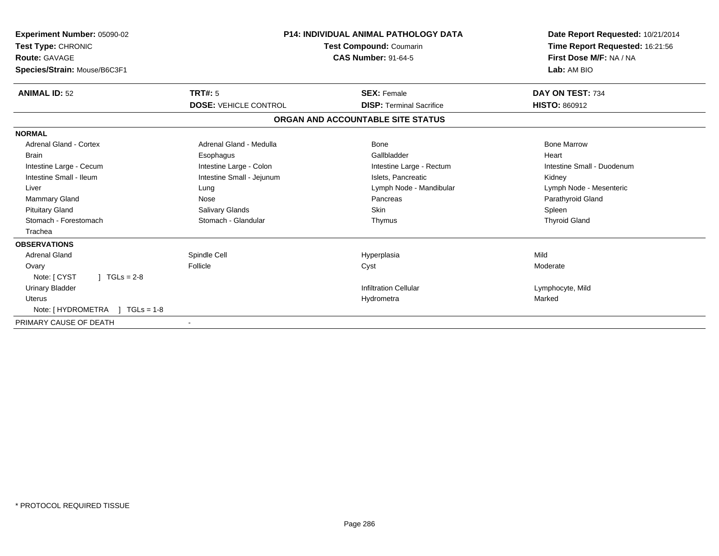| Experiment Number: 05090-02<br>Test Type: CHRONIC<br><b>Route: GAVAGE</b><br>Species/Strain: Mouse/B6C3F1 | <b>P14: INDIVIDUAL ANIMAL PATHOLOGY DATA</b><br><b>Test Compound: Coumarin</b><br><b>CAS Number: 91-64-5</b> |                                   | Date Report Requested: 10/21/2014<br>Time Report Requested: 16:21:56<br>First Dose M/F: NA / NA<br>Lab: AM BIO |
|-----------------------------------------------------------------------------------------------------------|--------------------------------------------------------------------------------------------------------------|-----------------------------------|----------------------------------------------------------------------------------------------------------------|
| <b>ANIMAL ID: 52</b>                                                                                      | <b>TRT#: 5</b>                                                                                               | <b>SEX: Female</b>                | DAY ON TEST: 734                                                                                               |
|                                                                                                           | <b>DOSE: VEHICLE CONTROL</b>                                                                                 | <b>DISP: Terminal Sacrifice</b>   | <b>HISTO: 860912</b>                                                                                           |
|                                                                                                           |                                                                                                              | ORGAN AND ACCOUNTABLE SITE STATUS |                                                                                                                |
| <b>NORMAL</b>                                                                                             |                                                                                                              |                                   |                                                                                                                |
| Adrenal Gland - Cortex                                                                                    | Adrenal Gland - Medulla                                                                                      | Bone                              | <b>Bone Marrow</b>                                                                                             |
| <b>Brain</b>                                                                                              | Esophagus                                                                                                    | Gallbladder                       | Heart                                                                                                          |
| Intestine Large - Cecum                                                                                   | Intestine Large - Colon                                                                                      | Intestine Large - Rectum          | Intestine Small - Duodenum                                                                                     |
| Intestine Small - Ileum                                                                                   | Intestine Small - Jejunum                                                                                    | Islets, Pancreatic                | Kidney                                                                                                         |
| Liver                                                                                                     | Lung                                                                                                         | Lymph Node - Mandibular           | Lymph Node - Mesenteric                                                                                        |
| <b>Mammary Gland</b>                                                                                      | Nose                                                                                                         | Pancreas                          | Parathyroid Gland                                                                                              |
| <b>Pituitary Gland</b>                                                                                    | Salivary Glands                                                                                              | <b>Skin</b>                       | Spleen                                                                                                         |
| Stomach - Forestomach                                                                                     | Stomach - Glandular                                                                                          | Thymus                            | <b>Thyroid Gland</b>                                                                                           |
| Trachea                                                                                                   |                                                                                                              |                                   |                                                                                                                |
| <b>OBSERVATIONS</b>                                                                                       |                                                                                                              |                                   |                                                                                                                |
| <b>Adrenal Gland</b>                                                                                      | Spindle Cell                                                                                                 | Hyperplasia                       | Mild                                                                                                           |
| Ovary                                                                                                     | Follicle                                                                                                     | Cyst                              | Moderate                                                                                                       |
| Note: [ CYST<br>$1 TGLs = 2-8$                                                                            |                                                                                                              |                                   |                                                                                                                |
| <b>Urinary Bladder</b>                                                                                    |                                                                                                              | <b>Infiltration Cellular</b>      | Lymphocyte, Mild                                                                                               |
| <b>Uterus</b>                                                                                             |                                                                                                              | Hydrometra                        | Marked                                                                                                         |
| Note: [HYDROMETRA ] TGLs = 1-8                                                                            |                                                                                                              |                                   |                                                                                                                |
| PRIMARY CAUSE OF DEATH                                                                                    |                                                                                                              |                                   |                                                                                                                |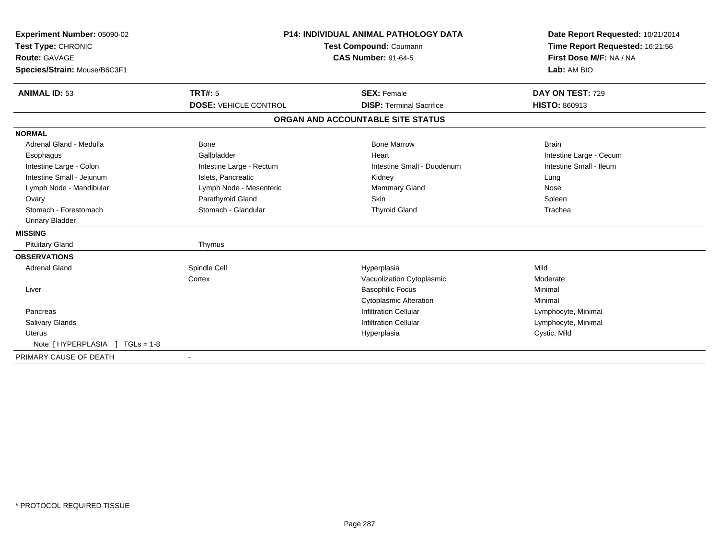| Experiment Number: 05090-02  | <b>P14: INDIVIDUAL ANIMAL PATHOLOGY DATA</b><br>Test Compound: Coumarin |                                   | Date Report Requested: 10/21/2014 |
|------------------------------|-------------------------------------------------------------------------|-----------------------------------|-----------------------------------|
| Test Type: CHRONIC           |                                                                         |                                   | Time Report Requested: 16:21:56   |
| Route: GAVAGE                |                                                                         | <b>CAS Number: 91-64-5</b>        | First Dose M/F: NA / NA           |
| Species/Strain: Mouse/B6C3F1 |                                                                         |                                   | Lab: AM BIO                       |
| <b>ANIMAL ID: 53</b>         | TRT#: 5                                                                 | <b>SEX: Female</b>                | DAY ON TEST: 729                  |
|                              | <b>DOSE: VEHICLE CONTROL</b>                                            | <b>DISP: Terminal Sacrifice</b>   | <b>HISTO: 860913</b>              |
|                              |                                                                         | ORGAN AND ACCOUNTABLE SITE STATUS |                                   |
| <b>NORMAL</b>                |                                                                         |                                   |                                   |
| Adrenal Gland - Medulla      | <b>Bone</b>                                                             | <b>Bone Marrow</b>                | <b>Brain</b>                      |
| Esophagus                    | Gallbladder                                                             | Heart                             | Intestine Large - Cecum           |
| Intestine Large - Colon      | Intestine Large - Rectum                                                | Intestine Small - Duodenum        | Intestine Small - Ileum           |
| Intestine Small - Jejunum    | Islets. Pancreatic                                                      | Kidney                            | Lung                              |
| Lymph Node - Mandibular      | Lymph Node - Mesenteric                                                 | <b>Mammary Gland</b>              | Nose                              |
| Ovary                        | Parathyroid Gland                                                       | Skin                              | Spleen                            |
| Stomach - Forestomach        | Stomach - Glandular                                                     | <b>Thyroid Gland</b>              | Trachea                           |
| Urinary Bladder              |                                                                         |                                   |                                   |
| <b>MISSING</b>               |                                                                         |                                   |                                   |
| <b>Pituitary Gland</b>       | Thymus                                                                  |                                   |                                   |
| <b>OBSERVATIONS</b>          |                                                                         |                                   |                                   |
| <b>Adrenal Gland</b>         | Spindle Cell                                                            | Hyperplasia                       | Mild                              |
|                              | Cortex                                                                  | Vacuolization Cytoplasmic         | Moderate                          |
| Liver                        |                                                                         | <b>Basophilic Focus</b>           | Minimal                           |
|                              |                                                                         | <b>Cytoplasmic Alteration</b>     | Minimal                           |
| Pancreas                     |                                                                         | <b>Infiltration Cellular</b>      | Lymphocyte, Minimal               |
| <b>Salivary Glands</b>       |                                                                         | <b>Infiltration Cellular</b>      | Lymphocyte, Minimal               |
| <b>Uterus</b>                |                                                                         | Hyperplasia                       | Cystic, Mild                      |
|                              |                                                                         |                                   |                                   |
| PRIMARY CAUSE OF DEATH       |                                                                         |                                   |                                   |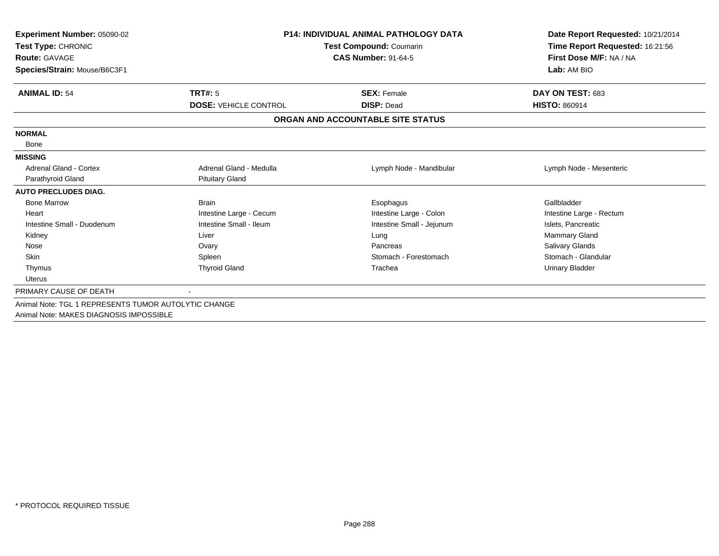| Experiment Number: 05090-02<br>Test Type: CHRONIC<br><b>Route: GAVAGE</b><br>Species/Strain: Mouse/B6C3F1 | <b>P14: INDIVIDUAL ANIMAL PATHOLOGY DATA</b><br>Test Compound: Coumarin<br><b>CAS Number: 91-64-5</b> |                                   | Date Report Requested: 10/21/2014<br>Time Report Requested: 16:21:56<br>First Dose M/F: NA / NA<br>Lab: AM BIO |
|-----------------------------------------------------------------------------------------------------------|-------------------------------------------------------------------------------------------------------|-----------------------------------|----------------------------------------------------------------------------------------------------------------|
| <b>ANIMAL ID: 54</b>                                                                                      | <b>TRT#: 5</b>                                                                                        | <b>SEX: Female</b>                | DAY ON TEST: 683                                                                                               |
|                                                                                                           | <b>DOSE: VEHICLE CONTROL</b>                                                                          | <b>DISP: Dead</b>                 | <b>HISTO: 860914</b>                                                                                           |
|                                                                                                           |                                                                                                       | ORGAN AND ACCOUNTABLE SITE STATUS |                                                                                                                |
| <b>NORMAL</b>                                                                                             |                                                                                                       |                                   |                                                                                                                |
| Bone                                                                                                      |                                                                                                       |                                   |                                                                                                                |
| <b>MISSING</b>                                                                                            |                                                                                                       |                                   |                                                                                                                |
| <b>Adrenal Gland - Cortex</b>                                                                             | Adrenal Gland - Medulla                                                                               | Lymph Node - Mandibular           | Lymph Node - Mesenteric                                                                                        |
| Parathyroid Gland                                                                                         | <b>Pituitary Gland</b>                                                                                |                                   |                                                                                                                |
| <b>AUTO PRECLUDES DIAG.</b>                                                                               |                                                                                                       |                                   |                                                                                                                |
| <b>Bone Marrow</b>                                                                                        | <b>Brain</b>                                                                                          | Esophagus                         | Gallbladder                                                                                                    |
| Heart                                                                                                     | Intestine Large - Cecum                                                                               | Intestine Large - Colon           | Intestine Large - Rectum                                                                                       |
| Intestine Small - Duodenum                                                                                | Intestine Small - Ileum                                                                               | Intestine Small - Jejunum         | Islets, Pancreatic                                                                                             |
| Kidney                                                                                                    | Liver                                                                                                 | Lung                              | <b>Mammary Gland</b>                                                                                           |
| Nose                                                                                                      | Ovary                                                                                                 | Pancreas                          | Salivary Glands                                                                                                |
| <b>Skin</b>                                                                                               | Spleen                                                                                                | Stomach - Forestomach             | Stomach - Glandular                                                                                            |
| Thymus                                                                                                    | <b>Thyroid Gland</b>                                                                                  | Trachea                           | <b>Urinary Bladder</b>                                                                                         |
| <b>Uterus</b>                                                                                             |                                                                                                       |                                   |                                                                                                                |
| PRIMARY CAUSE OF DEATH                                                                                    |                                                                                                       |                                   |                                                                                                                |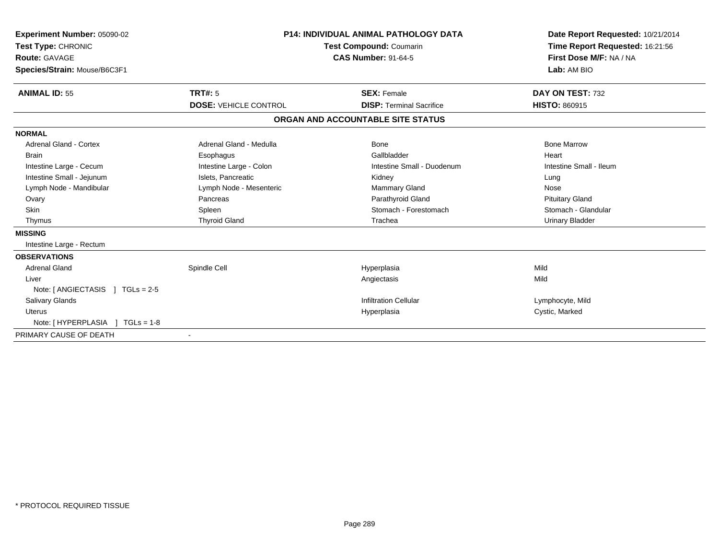| Experiment Number: 05090-02<br>Test Type: CHRONIC<br>Route: GAVAGE | <b>P14: INDIVIDUAL ANIMAL PATHOLOGY DATA</b><br><b>Test Compound: Coumarin</b><br><b>CAS Number: 91-64-5</b> |                                   | Date Report Requested: 10/21/2014<br>Time Report Requested: 16:21:56<br>First Dose M/F: NA / NA |
|--------------------------------------------------------------------|--------------------------------------------------------------------------------------------------------------|-----------------------------------|-------------------------------------------------------------------------------------------------|
| Species/Strain: Mouse/B6C3F1                                       |                                                                                                              |                                   | Lab: AM BIO                                                                                     |
| <b>ANIMAL ID: 55</b>                                               | <b>TRT#: 5</b>                                                                                               | <b>SEX: Female</b>                | DAY ON TEST: 732                                                                                |
|                                                                    | <b>DOSE: VEHICLE CONTROL</b>                                                                                 | <b>DISP: Terminal Sacrifice</b>   | <b>HISTO: 860915</b>                                                                            |
|                                                                    |                                                                                                              | ORGAN AND ACCOUNTABLE SITE STATUS |                                                                                                 |
| <b>NORMAL</b>                                                      |                                                                                                              |                                   |                                                                                                 |
| Adrenal Gland - Cortex                                             | Adrenal Gland - Medulla                                                                                      | <b>Bone</b>                       | <b>Bone Marrow</b>                                                                              |
| <b>Brain</b>                                                       | Esophagus                                                                                                    | Gallbladder                       | Heart                                                                                           |
| Intestine Large - Cecum                                            | Intestine Large - Colon                                                                                      | Intestine Small - Duodenum        | Intestine Small - Ileum                                                                         |
| Intestine Small - Jejunum                                          | Islets, Pancreatic                                                                                           | Kidney                            | Lung                                                                                            |
| Lymph Node - Mandibular                                            | Lymph Node - Mesenteric                                                                                      | <b>Mammary Gland</b>              | Nose                                                                                            |
| Ovary                                                              | Pancreas                                                                                                     | Parathyroid Gland                 | <b>Pituitary Gland</b>                                                                          |
| Skin                                                               | Spleen                                                                                                       | Stomach - Forestomach             | Stomach - Glandular                                                                             |
| Thymus                                                             | <b>Thyroid Gland</b>                                                                                         | Trachea                           | <b>Urinary Bladder</b>                                                                          |
| <b>MISSING</b>                                                     |                                                                                                              |                                   |                                                                                                 |
| Intestine Large - Rectum                                           |                                                                                                              |                                   |                                                                                                 |
| <b>OBSERVATIONS</b>                                                |                                                                                                              |                                   |                                                                                                 |
| <b>Adrenal Gland</b>                                               | Spindle Cell                                                                                                 | Hyperplasia                       | Mild                                                                                            |
| Liver                                                              |                                                                                                              | Angiectasis                       | Mild                                                                                            |
| Note: $[ANGIECTASIS]$ TGLs = 2-5                                   |                                                                                                              |                                   |                                                                                                 |
| <b>Salivary Glands</b>                                             |                                                                                                              | <b>Infiltration Cellular</b>      | Lymphocyte, Mild                                                                                |
| Uterus                                                             |                                                                                                              | Hyperplasia                       | Cystic, Marked                                                                                  |
| Note: [HYPERPLASIA ] TGLs = 1-8                                    |                                                                                                              |                                   |                                                                                                 |
| PRIMARY CAUSE OF DEATH                                             |                                                                                                              |                                   |                                                                                                 |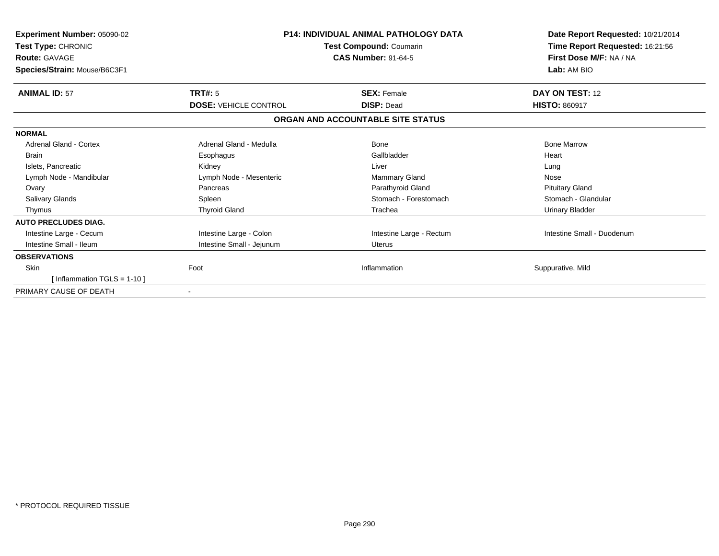| Experiment Number: 05090-02<br>Test Type: CHRONIC<br><b>Route: GAVAGE</b><br>Species/Strain: Mouse/B6C3F1 |                              | <b>P14: INDIVIDUAL ANIMAL PATHOLOGY DATA</b><br>Test Compound: Coumarin<br><b>CAS Number: 91-64-5</b> | Date Report Requested: 10/21/2014<br>Time Report Requested: 16:21:56<br>First Dose M/F: NA / NA<br>Lab: AM BIO |
|-----------------------------------------------------------------------------------------------------------|------------------------------|-------------------------------------------------------------------------------------------------------|----------------------------------------------------------------------------------------------------------------|
| <b>ANIMAL ID: 57</b>                                                                                      | <b>TRT#: 5</b>               | <b>SEX: Female</b>                                                                                    | DAY ON TEST: 12                                                                                                |
|                                                                                                           | <b>DOSE: VEHICLE CONTROL</b> | <b>DISP: Dead</b>                                                                                     | <b>HISTO: 860917</b>                                                                                           |
|                                                                                                           |                              | ORGAN AND ACCOUNTABLE SITE STATUS                                                                     |                                                                                                                |
| <b>NORMAL</b>                                                                                             |                              |                                                                                                       |                                                                                                                |
| Adrenal Gland - Cortex                                                                                    | Adrenal Gland - Medulla      | <b>Bone</b>                                                                                           | <b>Bone Marrow</b>                                                                                             |
| <b>Brain</b>                                                                                              | Esophagus                    | Gallbladder                                                                                           | Heart                                                                                                          |
| Islets, Pancreatic                                                                                        | Kidney                       | Liver                                                                                                 | Lung                                                                                                           |
| Lymph Node - Mandibular                                                                                   | Lymph Node - Mesenteric      | Mammary Gland                                                                                         | Nose                                                                                                           |
| Ovary                                                                                                     | Pancreas                     | Parathyroid Gland                                                                                     | <b>Pituitary Gland</b>                                                                                         |
| <b>Salivary Glands</b>                                                                                    | Spleen                       | Stomach - Forestomach                                                                                 | Stomach - Glandular                                                                                            |
| Thymus                                                                                                    | <b>Thyroid Gland</b>         | Trachea                                                                                               | <b>Urinary Bladder</b>                                                                                         |
| <b>AUTO PRECLUDES DIAG.</b>                                                                               |                              |                                                                                                       |                                                                                                                |
| Intestine Large - Cecum                                                                                   | Intestine Large - Colon      | Intestine Large - Rectum                                                                              | Intestine Small - Duodenum                                                                                     |
| Intestine Small - Ileum                                                                                   | Intestine Small - Jejunum    | <b>Uterus</b>                                                                                         |                                                                                                                |
| <b>OBSERVATIONS</b>                                                                                       |                              |                                                                                                       |                                                                                                                |
| <b>Skin</b>                                                                                               | Foot                         | Inflammation                                                                                          | Suppurative, Mild                                                                                              |
| [Inflammation TGLS = $1-10$ ]                                                                             |                              |                                                                                                       |                                                                                                                |
| PRIMARY CAUSE OF DEATH                                                                                    |                              |                                                                                                       |                                                                                                                |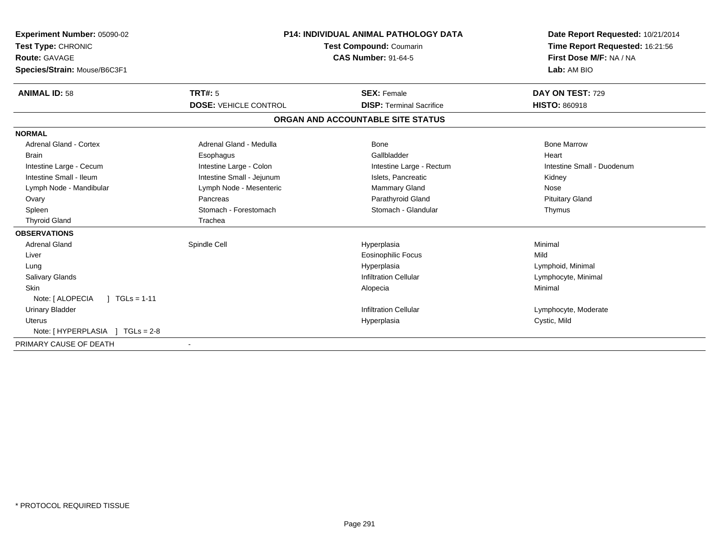| Experiment Number: 05090-02<br>Test Type: CHRONIC<br>Route: GAVAGE<br>Species/Strain: Mouse/B6C3F1 | <b>P14: INDIVIDUAL ANIMAL PATHOLOGY DATA</b><br><b>Test Compound: Coumarin</b><br><b>CAS Number: 91-64-5</b> |                                   | Date Report Requested: 10/21/2014<br>Time Report Requested: 16:21:56<br>First Dose M/F: NA / NA<br>Lab: AM BIO |
|----------------------------------------------------------------------------------------------------|--------------------------------------------------------------------------------------------------------------|-----------------------------------|----------------------------------------------------------------------------------------------------------------|
|                                                                                                    |                                                                                                              |                                   |                                                                                                                |
| <b>ANIMAL ID: 58</b>                                                                               | TRT#: 5                                                                                                      | <b>SEX: Female</b>                | DAY ON TEST: 729                                                                                               |
|                                                                                                    | <b>DOSE: VEHICLE CONTROL</b>                                                                                 | <b>DISP: Terminal Sacrifice</b>   | <b>HISTO: 860918</b>                                                                                           |
|                                                                                                    |                                                                                                              | ORGAN AND ACCOUNTABLE SITE STATUS |                                                                                                                |
| <b>NORMAL</b>                                                                                      |                                                                                                              |                                   |                                                                                                                |
| <b>Adrenal Gland - Cortex</b>                                                                      | Adrenal Gland - Medulla                                                                                      | Bone                              | <b>Bone Marrow</b>                                                                                             |
| <b>Brain</b>                                                                                       | Esophagus                                                                                                    | Gallbladder                       | Heart                                                                                                          |
| Intestine Large - Cecum                                                                            | Intestine Large - Colon                                                                                      | Intestine Large - Rectum          | Intestine Small - Duodenum                                                                                     |
| Intestine Small - Ileum                                                                            | Intestine Small - Jejunum                                                                                    | Islets, Pancreatic                | Kidney                                                                                                         |
| Lymph Node - Mandibular                                                                            | Lymph Node - Mesenteric                                                                                      | Mammary Gland                     | Nose                                                                                                           |
| Ovary                                                                                              | Pancreas                                                                                                     | Parathyroid Gland                 | <b>Pituitary Gland</b>                                                                                         |
| Spleen                                                                                             | Stomach - Forestomach                                                                                        | Stomach - Glandular               | Thymus                                                                                                         |
| <b>Thyroid Gland</b>                                                                               | Trachea                                                                                                      |                                   |                                                                                                                |
| <b>OBSERVATIONS</b>                                                                                |                                                                                                              |                                   |                                                                                                                |
| <b>Adrenal Gland</b>                                                                               | Spindle Cell                                                                                                 | Hyperplasia                       | Minimal                                                                                                        |
| Liver                                                                                              |                                                                                                              | <b>Eosinophilic Focus</b>         | Mild                                                                                                           |
| Lung                                                                                               |                                                                                                              | Hyperplasia                       | Lymphoid, Minimal                                                                                              |
| <b>Salivary Glands</b>                                                                             |                                                                                                              | <b>Infiltration Cellular</b>      | Lymphocyte, Minimal                                                                                            |
| <b>Skin</b>                                                                                        |                                                                                                              | Alopecia                          | Minimal                                                                                                        |
| $1 TGLs = 1-11$<br>Note: [ ALOPECIA                                                                |                                                                                                              |                                   |                                                                                                                |
| <b>Urinary Bladder</b>                                                                             |                                                                                                              | <b>Infiltration Cellular</b>      | Lymphocyte, Moderate                                                                                           |
| Uterus                                                                                             |                                                                                                              | Hyperplasia                       | Cystic, Mild                                                                                                   |
| Note: [HYPERPLASIA ] TGLs = 2-8                                                                    |                                                                                                              |                                   |                                                                                                                |
| PRIMARY CAUSE OF DEATH                                                                             |                                                                                                              |                                   |                                                                                                                |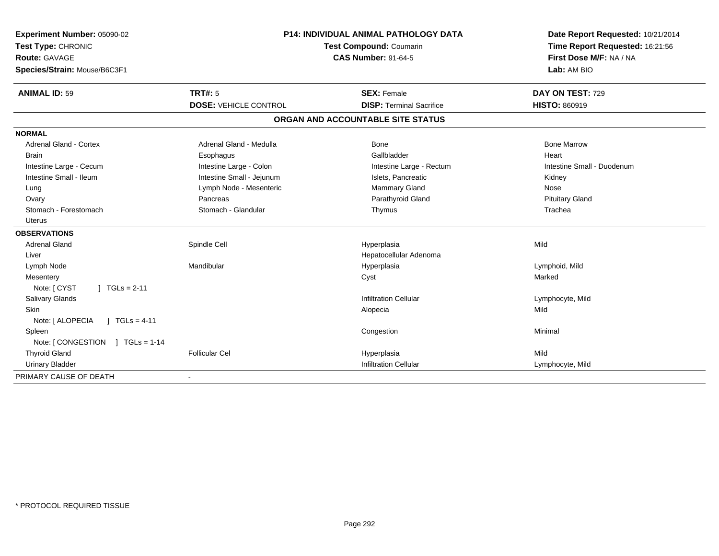| Experiment Number: 05090-02<br>Test Type: CHRONIC |                              | P14: INDIVIDUAL ANIMAL PATHOLOGY DATA<br>Test Compound: Coumarin | Date Report Requested: 10/21/2014                          |
|---------------------------------------------------|------------------------------|------------------------------------------------------------------|------------------------------------------------------------|
| <b>Route: GAVAGE</b>                              | <b>CAS Number: 91-64-5</b>   |                                                                  | Time Report Requested: 16:21:56<br>First Dose M/F: NA / NA |
| Species/Strain: Mouse/B6C3F1                      |                              |                                                                  | Lab: AM BIO                                                |
|                                                   |                              |                                                                  |                                                            |
| <b>ANIMAL ID: 59</b>                              | <b>TRT#: 5</b>               | <b>SEX: Female</b>                                               | DAY ON TEST: 729                                           |
|                                                   | <b>DOSE: VEHICLE CONTROL</b> | <b>DISP: Terminal Sacrifice</b>                                  | <b>HISTO: 860919</b>                                       |
|                                                   |                              | ORGAN AND ACCOUNTABLE SITE STATUS                                |                                                            |
| <b>NORMAL</b>                                     |                              |                                                                  |                                                            |
| <b>Adrenal Gland - Cortex</b>                     | Adrenal Gland - Medulla      | <b>Bone</b>                                                      | <b>Bone Marrow</b>                                         |
| <b>Brain</b>                                      | Esophagus                    | Gallbladder                                                      | Heart                                                      |
| Intestine Large - Cecum                           | Intestine Large - Colon      | Intestine Large - Rectum                                         | Intestine Small - Duodenum                                 |
| Intestine Small - Ileum                           | Intestine Small - Jejunum    | Islets. Pancreatic                                               | Kidney                                                     |
| Lung                                              | Lymph Node - Mesenteric      | Mammary Gland                                                    | Nose                                                       |
| Ovary                                             | Pancreas                     | Parathyroid Gland                                                | <b>Pituitary Gland</b>                                     |
| Stomach - Forestomach                             | Stomach - Glandular          | Thymus                                                           | Trachea                                                    |
| <b>Uterus</b>                                     |                              |                                                                  |                                                            |
| <b>OBSERVATIONS</b>                               |                              |                                                                  |                                                            |
| <b>Adrenal Gland</b>                              | Spindle Cell                 | Hyperplasia                                                      | Mild                                                       |
| Liver                                             |                              | Hepatocellular Adenoma                                           |                                                            |
| Lymph Node                                        | Mandibular                   | Hyperplasia                                                      | Lymphoid, Mild                                             |
| Mesentery                                         |                              | Cyst                                                             | Marked                                                     |
| $1 TGLs = 2-11$<br>Note: [ CYST                   |                              |                                                                  |                                                            |
| Salivary Glands                                   |                              | <b>Infiltration Cellular</b>                                     | Lymphocyte, Mild                                           |
| <b>Skin</b>                                       |                              | Alopecia                                                         | Mild                                                       |
| Note: [ ALOPECIA<br>$1 TGLs = 4-11$               |                              |                                                                  |                                                            |
| Spleen                                            |                              | Congestion                                                       | Minimal                                                    |
| Note: [ CONGESTION<br>$\sqrt{1 + 1}$ TGLs = 1-14  |                              |                                                                  |                                                            |
| <b>Thyroid Gland</b>                              | <b>Follicular Cel</b>        | Hyperplasia                                                      | Mild                                                       |
| <b>Urinary Bladder</b>                            |                              | <b>Infiltration Cellular</b>                                     | Lymphocyte, Mild                                           |
| PRIMARY CAUSE OF DEATH                            |                              |                                                                  |                                                            |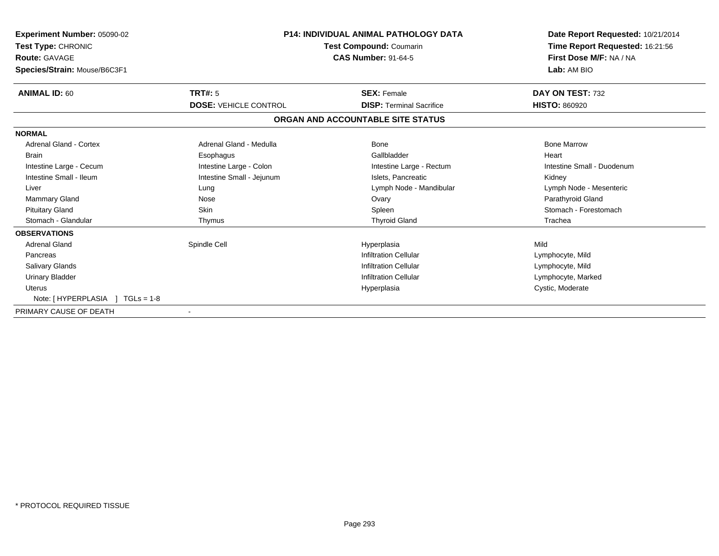| <b>Experiment Number: 05090-02</b><br>Test Type: CHRONIC<br><b>Route: GAVAGE</b><br>Species/Strain: Mouse/B6C3F1 | <b>P14: INDIVIDUAL ANIMAL PATHOLOGY DATA</b><br>Test Compound: Coumarin<br><b>CAS Number: 91-64-5</b> |                                   | Date Report Requested: 10/21/2014<br>Time Report Requested: 16:21:56<br>First Dose M/F: NA / NA<br>Lab: AM BIO |
|------------------------------------------------------------------------------------------------------------------|-------------------------------------------------------------------------------------------------------|-----------------------------------|----------------------------------------------------------------------------------------------------------------|
| <b>ANIMAL ID: 60</b>                                                                                             | <b>TRT#: 5</b>                                                                                        | <b>SEX: Female</b>                | DAY ON TEST: 732                                                                                               |
|                                                                                                                  | <b>DOSE: VEHICLE CONTROL</b>                                                                          | <b>DISP: Terminal Sacrifice</b>   | <b>HISTO: 860920</b>                                                                                           |
|                                                                                                                  |                                                                                                       | ORGAN AND ACCOUNTABLE SITE STATUS |                                                                                                                |
| <b>NORMAL</b>                                                                                                    |                                                                                                       |                                   |                                                                                                                |
| <b>Adrenal Gland - Cortex</b>                                                                                    | Adrenal Gland - Medulla                                                                               | <b>Bone</b>                       | <b>Bone Marrow</b>                                                                                             |
| <b>Brain</b>                                                                                                     | Esophagus                                                                                             | Gallbladder                       | Heart                                                                                                          |
| Intestine Large - Cecum                                                                                          | Intestine Large - Colon                                                                               | Intestine Large - Rectum          | Intestine Small - Duodenum                                                                                     |
| Intestine Small - Ileum                                                                                          | Intestine Small - Jejunum                                                                             | Islets, Pancreatic                | Kidney                                                                                                         |
| Liver                                                                                                            | Lung                                                                                                  | Lymph Node - Mandibular           | Lymph Node - Mesenteric                                                                                        |
| <b>Mammary Gland</b>                                                                                             | Nose                                                                                                  | Ovary                             | Parathyroid Gland                                                                                              |
| <b>Pituitary Gland</b>                                                                                           | <b>Skin</b>                                                                                           | Spleen                            | Stomach - Forestomach                                                                                          |
| Stomach - Glandular                                                                                              | Thymus                                                                                                | <b>Thyroid Gland</b>              | Trachea                                                                                                        |
| <b>OBSERVATIONS</b>                                                                                              |                                                                                                       |                                   |                                                                                                                |
| <b>Adrenal Gland</b>                                                                                             | Spindle Cell                                                                                          | Hyperplasia                       | Mild                                                                                                           |
| Pancreas                                                                                                         |                                                                                                       | <b>Infiltration Cellular</b>      | Lymphocyte, Mild                                                                                               |
| <b>Salivary Glands</b>                                                                                           |                                                                                                       | <b>Infiltration Cellular</b>      | Lymphocyte, Mild                                                                                               |
| <b>Urinary Bladder</b>                                                                                           |                                                                                                       | <b>Infiltration Cellular</b>      | Lymphocyte, Marked                                                                                             |
| <b>Uterus</b>                                                                                                    |                                                                                                       | Hyperplasia                       | Cystic, Moderate                                                                                               |
| Note: [ HYPERPLASIA<br>$TGLs = 1-8$                                                                              |                                                                                                       |                                   |                                                                                                                |
| PRIMARY CAUSE OF DEATH                                                                                           |                                                                                                       |                                   |                                                                                                                |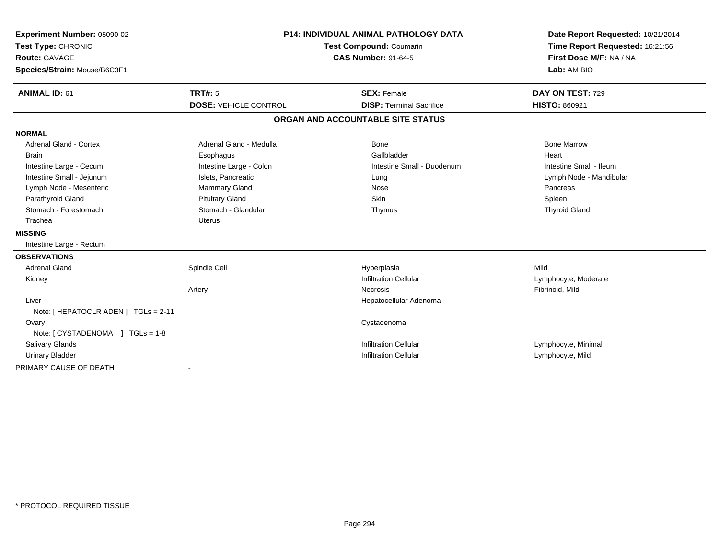| Experiment Number: 05090-02          | <b>P14: INDIVIDUAL ANIMAL PATHOLOGY DATA</b><br>Test Compound: Coumarin |                                   | Date Report Requested: 10/21/2014 |
|--------------------------------------|-------------------------------------------------------------------------|-----------------------------------|-----------------------------------|
| Test Type: CHRONIC                   |                                                                         |                                   | Time Report Requested: 16:21:56   |
| Route: GAVAGE                        |                                                                         | <b>CAS Number: 91-64-5</b>        | First Dose M/F: NA / NA           |
| Species/Strain: Mouse/B6C3F1         |                                                                         |                                   | Lab: AM BIO                       |
|                                      |                                                                         |                                   |                                   |
| <b>ANIMAL ID: 61</b>                 | <b>TRT#: 5</b>                                                          | <b>SEX: Female</b>                | DAY ON TEST: 729                  |
|                                      | <b>DOSE: VEHICLE CONTROL</b>                                            | <b>DISP: Terminal Sacrifice</b>   | <b>HISTO: 860921</b>              |
|                                      |                                                                         | ORGAN AND ACCOUNTABLE SITE STATUS |                                   |
| <b>NORMAL</b>                        |                                                                         |                                   |                                   |
| <b>Adrenal Gland - Cortex</b>        | Adrenal Gland - Medulla                                                 | Bone                              | <b>Bone Marrow</b>                |
| <b>Brain</b>                         | Esophagus                                                               | Gallbladder                       | Heart                             |
| Intestine Large - Cecum              | Intestine Large - Colon                                                 | Intestine Small - Duodenum        | Intestine Small - Ileum           |
| Intestine Small - Jejunum            | Islets, Pancreatic                                                      | Lung                              | Lymph Node - Mandibular           |
| Lymph Node - Mesenteric              | <b>Mammary Gland</b>                                                    | Nose                              | Pancreas                          |
| Parathyroid Gland                    | <b>Pituitary Gland</b>                                                  | <b>Skin</b>                       | Spleen                            |
| Stomach - Forestomach                | Stomach - Glandular                                                     | Thymus                            | <b>Thyroid Gland</b>              |
| Trachea                              | <b>Uterus</b>                                                           |                                   |                                   |
| <b>MISSING</b>                       |                                                                         |                                   |                                   |
| Intestine Large - Rectum             |                                                                         |                                   |                                   |
| <b>OBSERVATIONS</b>                  |                                                                         |                                   |                                   |
| <b>Adrenal Gland</b>                 | Spindle Cell                                                            | Hyperplasia                       | Mild                              |
| Kidney                               |                                                                         | <b>Infiltration Cellular</b>      | Lymphocyte, Moderate              |
|                                      | Artery                                                                  | <b>Necrosis</b>                   | Fibrinoid, Mild                   |
| Liver                                |                                                                         | Hepatocellular Adenoma            |                                   |
| Note: [ HEPATOCLR ADEN ] TGLs = 2-11 |                                                                         |                                   |                                   |
| Ovary                                |                                                                         | Cystadenoma                       |                                   |
| Note: [CYSTADENOMA ] TGLs = 1-8      |                                                                         |                                   |                                   |
| Salivary Glands                      |                                                                         | <b>Infiltration Cellular</b>      | Lymphocyte, Minimal               |
| <b>Urinary Bladder</b>               |                                                                         | <b>Infiltration Cellular</b>      | Lymphocyte, Mild                  |
| PRIMARY CAUSE OF DEATH               |                                                                         |                                   |                                   |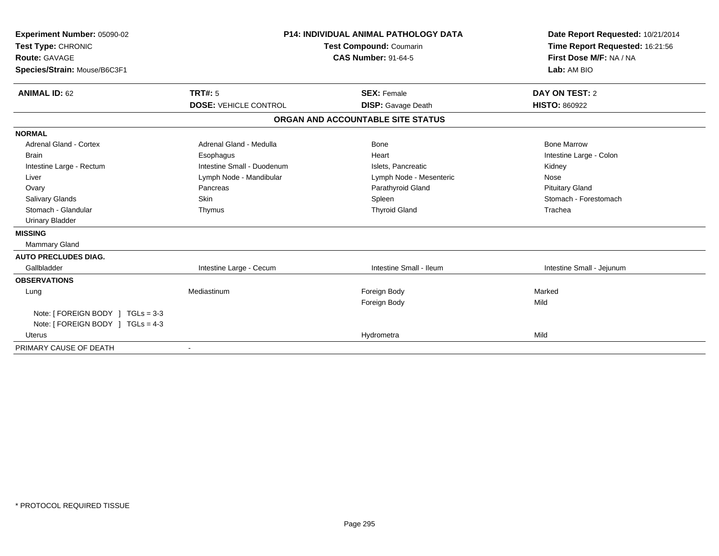| Experiment Number: 05090-02       |                              | <b>P14: INDIVIDUAL ANIMAL PATHOLOGY DATA</b> | Date Report Requested: 10/21/2014 |
|-----------------------------------|------------------------------|----------------------------------------------|-----------------------------------|
| Test Type: CHRONIC                | Test Compound: Coumarin      |                                              | Time Report Requested: 16:21:56   |
| <b>Route: GAVAGE</b>              |                              | <b>CAS Number: 91-64-5</b>                   | First Dose M/F: NA / NA           |
| Species/Strain: Mouse/B6C3F1      |                              |                                              | Lab: AM BIO                       |
| <b>ANIMAL ID: 62</b>              | TRT#: 5                      | <b>SEX: Female</b>                           | DAY ON TEST: 2                    |
|                                   | <b>DOSE: VEHICLE CONTROL</b> | <b>DISP:</b> Gavage Death                    | <b>HISTO: 860922</b>              |
|                                   |                              | ORGAN AND ACCOUNTABLE SITE STATUS            |                                   |
| <b>NORMAL</b>                     |                              |                                              |                                   |
| <b>Adrenal Gland - Cortex</b>     | Adrenal Gland - Medulla      | <b>Bone</b>                                  | <b>Bone Marrow</b>                |
| <b>Brain</b>                      | Esophagus                    | Heart                                        | Intestine Large - Colon           |
| Intestine Large - Rectum          | Intestine Small - Duodenum   | Islets, Pancreatic                           | Kidney                            |
| Liver                             | Lymph Node - Mandibular      | Lymph Node - Mesenteric                      | Nose                              |
| Ovary                             | Pancreas                     | Parathyroid Gland                            | <b>Pituitary Gland</b>            |
| <b>Salivary Glands</b>            | <b>Skin</b>                  | Spleen                                       | Stomach - Forestomach             |
| Stomach - Glandular               | Thymus                       | <b>Thyroid Gland</b>                         | Trachea                           |
| <b>Urinary Bladder</b>            |                              |                                              |                                   |
| <b>MISSING</b>                    |                              |                                              |                                   |
| <b>Mammary Gland</b>              |                              |                                              |                                   |
| <b>AUTO PRECLUDES DIAG.</b>       |                              |                                              |                                   |
| Gallbladder                       | Intestine Large - Cecum      | Intestine Small - Ileum                      | Intestine Small - Jejunum         |
| <b>OBSERVATIONS</b>               |                              |                                              |                                   |
| Lung                              | Mediastinum                  | Foreign Body                                 | Marked                            |
|                                   |                              | Foreign Body                                 | Mild                              |
| Note: [ FOREIGN BODY ] TGLs = 3-3 |                              |                                              |                                   |
| Note: [ FOREIGN BODY ] TGLs = 4-3 |                              |                                              |                                   |
| <b>Uterus</b>                     |                              | Hydrometra                                   | Mild                              |
| PRIMARY CAUSE OF DEATH            |                              |                                              |                                   |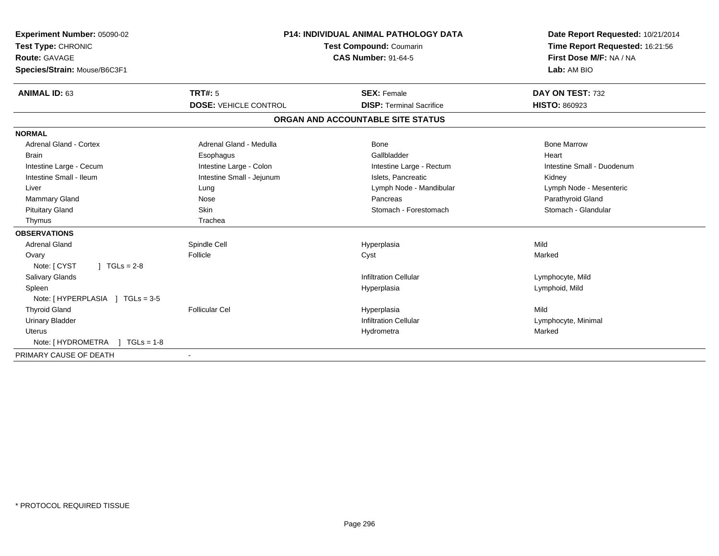| Experiment Number: 05090-02<br>Test Type: CHRONIC<br>Route: GAVAGE<br>Species/Strain: Mouse/B6C3F1 | <b>P14: INDIVIDUAL ANIMAL PATHOLOGY DATA</b><br><b>Test Compound: Coumarin</b><br><b>CAS Number: 91-64-5</b> |                                   | Date Report Requested: 10/21/2014<br>Time Report Requested: 16:21:56<br>First Dose M/F: NA / NA<br>Lab: AM BIO |
|----------------------------------------------------------------------------------------------------|--------------------------------------------------------------------------------------------------------------|-----------------------------------|----------------------------------------------------------------------------------------------------------------|
| <b>ANIMAL ID: 63</b>                                                                               | <b>TRT#: 5</b>                                                                                               | <b>SEX: Female</b>                | DAY ON TEST: 732                                                                                               |
|                                                                                                    | <b>DOSE: VEHICLE CONTROL</b>                                                                                 | <b>DISP: Terminal Sacrifice</b>   | <b>HISTO: 860923</b>                                                                                           |
|                                                                                                    |                                                                                                              | ORGAN AND ACCOUNTABLE SITE STATUS |                                                                                                                |
| <b>NORMAL</b>                                                                                      |                                                                                                              |                                   |                                                                                                                |
| <b>Adrenal Gland - Cortex</b>                                                                      | Adrenal Gland - Medulla                                                                                      | <b>Bone</b>                       | <b>Bone Marrow</b>                                                                                             |
| <b>Brain</b>                                                                                       | Esophagus                                                                                                    | Gallbladder                       | Heart                                                                                                          |
| Intestine Large - Cecum                                                                            | Intestine Large - Colon                                                                                      | Intestine Large - Rectum          | Intestine Small - Duodenum                                                                                     |
| Intestine Small - Ileum                                                                            | Intestine Small - Jejunum                                                                                    | Islets, Pancreatic                | Kidney                                                                                                         |
| Liver                                                                                              | Lung                                                                                                         | Lymph Node - Mandibular           | Lymph Node - Mesenteric                                                                                        |
| <b>Mammary Gland</b>                                                                               | Nose                                                                                                         | Pancreas                          | Parathyroid Gland                                                                                              |
| <b>Pituitary Gland</b>                                                                             | <b>Skin</b>                                                                                                  | Stomach - Forestomach             | Stomach - Glandular                                                                                            |
| Thymus                                                                                             | Trachea                                                                                                      |                                   |                                                                                                                |
| <b>OBSERVATIONS</b>                                                                                |                                                                                                              |                                   |                                                                                                                |
| <b>Adrenal Gland</b>                                                                               | Spindle Cell                                                                                                 | Hyperplasia                       | Mild                                                                                                           |
| Ovary                                                                                              | Follicle                                                                                                     | Cyst                              | Marked                                                                                                         |
| Note: [ CYST<br>$1 TGLs = 2-8$                                                                     |                                                                                                              |                                   |                                                                                                                |
| <b>Salivary Glands</b>                                                                             |                                                                                                              | <b>Infiltration Cellular</b>      | Lymphocyte, Mild                                                                                               |
| Spleen                                                                                             |                                                                                                              | Hyperplasia                       | Lymphoid, Mild                                                                                                 |
| Note: [HYPERPLASIA ] TGLs = 3-5                                                                    |                                                                                                              |                                   |                                                                                                                |
| <b>Thyroid Gland</b>                                                                               | <b>Follicular Cel</b>                                                                                        | Hyperplasia                       | Mild                                                                                                           |
| <b>Urinary Bladder</b>                                                                             |                                                                                                              | <b>Infiltration Cellular</b>      | Lymphocyte, Minimal                                                                                            |
| <b>Uterus</b>                                                                                      |                                                                                                              | Hydrometra                        | Marked                                                                                                         |
| Note: [ HYDROMETRA<br>$1 TGLs = 1-8$                                                               |                                                                                                              |                                   |                                                                                                                |
| PRIMARY CAUSE OF DEATH                                                                             |                                                                                                              |                                   |                                                                                                                |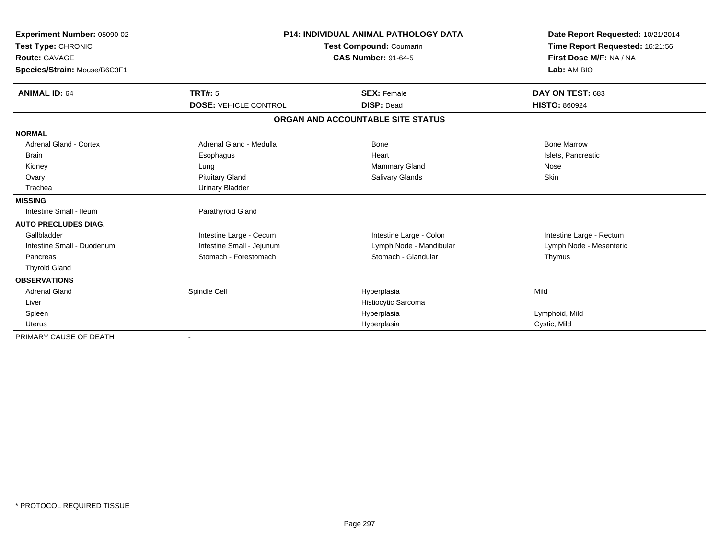| Experiment Number: 05090-02   |                              | <b>P14: INDIVIDUAL ANIMAL PATHOLOGY DATA</b> | Date Report Requested: 10/21/2014<br>Time Report Requested: 16:21:56 |
|-------------------------------|------------------------------|----------------------------------------------|----------------------------------------------------------------------|
| Test Type: CHRONIC            |                              | <b>Test Compound: Coumarin</b>               |                                                                      |
| <b>Route: GAVAGE</b>          |                              | <b>CAS Number: 91-64-5</b>                   | First Dose M/F: NA / NA                                              |
| Species/Strain: Mouse/B6C3F1  |                              |                                              | Lab: AM BIO                                                          |
| <b>ANIMAL ID: 64</b>          | TRT#: 5                      | <b>SEX: Female</b>                           | DAY ON TEST: 683                                                     |
|                               | <b>DOSE: VEHICLE CONTROL</b> | <b>DISP: Dead</b>                            | <b>HISTO: 860924</b>                                                 |
|                               |                              | ORGAN AND ACCOUNTABLE SITE STATUS            |                                                                      |
| <b>NORMAL</b>                 |                              |                                              |                                                                      |
| <b>Adrenal Gland - Cortex</b> | Adrenal Gland - Medulla      | <b>Bone</b>                                  | <b>Bone Marrow</b>                                                   |
| <b>Brain</b>                  | Esophagus                    | Heart                                        | Islets, Pancreatic                                                   |
| Kidney                        | Lung                         | Mammary Gland                                | Nose                                                                 |
| Ovary                         | <b>Pituitary Gland</b>       | Salivary Glands                              | Skin                                                                 |
| Trachea                       | <b>Urinary Bladder</b>       |                                              |                                                                      |
| <b>MISSING</b>                |                              |                                              |                                                                      |
| Intestine Small - Ileum       | Parathyroid Gland            |                                              |                                                                      |
| <b>AUTO PRECLUDES DIAG.</b>   |                              |                                              |                                                                      |
| Gallbladder                   | Intestine Large - Cecum      | Intestine Large - Colon                      | Intestine Large - Rectum                                             |
| Intestine Small - Duodenum    | Intestine Small - Jejunum    | Lymph Node - Mandibular                      | Lymph Node - Mesenteric                                              |
| Pancreas                      | Stomach - Forestomach        | Stomach - Glandular                          | Thymus                                                               |
| <b>Thyroid Gland</b>          |                              |                                              |                                                                      |
| <b>OBSERVATIONS</b>           |                              |                                              |                                                                      |
| <b>Adrenal Gland</b>          | Spindle Cell                 | Hyperplasia                                  | Mild                                                                 |
| Liver                         |                              | Histiocytic Sarcoma                          |                                                                      |
| Spleen                        |                              | Hyperplasia                                  | Lymphoid, Mild                                                       |
| <b>Uterus</b>                 |                              | Hyperplasia                                  | Cystic, Mild                                                         |
| PRIMARY CAUSE OF DEATH        |                              |                                              |                                                                      |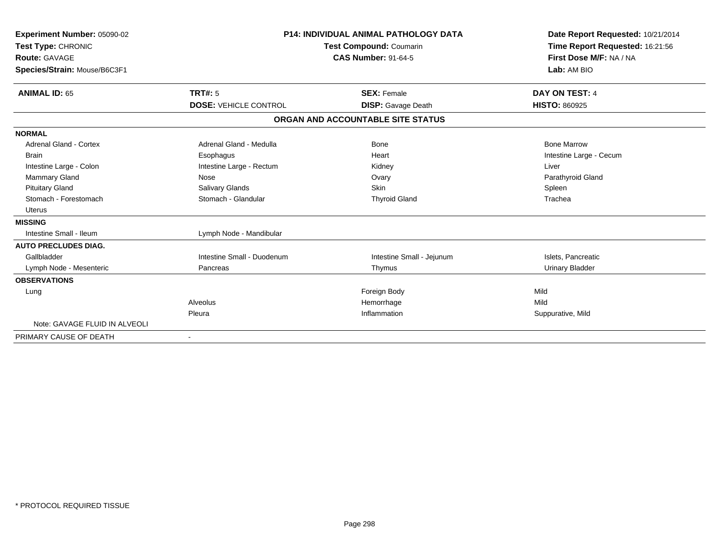| Experiment Number: 05090-02<br>Test Type: CHRONIC<br><b>Route: GAVAGE</b><br>Species/Strain: Mouse/B6C3F1 |                              | <b>P14: INDIVIDUAL ANIMAL PATHOLOGY DATA</b><br>Test Compound: Coumarin<br><b>CAS Number: 91-64-5</b> | Date Report Requested: 10/21/2014<br>Time Report Requested: 16:21:56<br>First Dose M/F: NA / NA<br>Lab: AM BIO |
|-----------------------------------------------------------------------------------------------------------|------------------------------|-------------------------------------------------------------------------------------------------------|----------------------------------------------------------------------------------------------------------------|
| <b>ANIMAL ID: 65</b>                                                                                      | TRT#: 5                      | <b>SEX: Female</b>                                                                                    | DAY ON TEST: 4                                                                                                 |
|                                                                                                           | <b>DOSE: VEHICLE CONTROL</b> | <b>DISP:</b> Gavage Death                                                                             | <b>HISTO: 860925</b>                                                                                           |
|                                                                                                           |                              | ORGAN AND ACCOUNTABLE SITE STATUS                                                                     |                                                                                                                |
| <b>NORMAL</b>                                                                                             |                              |                                                                                                       |                                                                                                                |
| <b>Adrenal Gland - Cortex</b>                                                                             | Adrenal Gland - Medulla      | <b>Bone</b>                                                                                           | <b>Bone Marrow</b>                                                                                             |
| <b>Brain</b>                                                                                              | Esophagus                    | Heart                                                                                                 | Intestine Large - Cecum                                                                                        |
| Intestine Large - Colon                                                                                   | Intestine Large - Rectum     | Kidney                                                                                                | Liver                                                                                                          |
| Mammary Gland                                                                                             | Nose                         | Ovary                                                                                                 | Parathyroid Gland                                                                                              |
| <b>Pituitary Gland</b>                                                                                    | Salivary Glands              | <b>Skin</b>                                                                                           | Spleen                                                                                                         |
| Stomach - Forestomach                                                                                     | Stomach - Glandular          | <b>Thyroid Gland</b>                                                                                  | Trachea                                                                                                        |
| <b>Uterus</b>                                                                                             |                              |                                                                                                       |                                                                                                                |
| <b>MISSING</b>                                                                                            |                              |                                                                                                       |                                                                                                                |
| Intestine Small - Ileum                                                                                   | Lymph Node - Mandibular      |                                                                                                       |                                                                                                                |
| <b>AUTO PRECLUDES DIAG.</b>                                                                               |                              |                                                                                                       |                                                                                                                |
| Gallbladder                                                                                               | Intestine Small - Duodenum   | Intestine Small - Jejunum                                                                             | Islets, Pancreatic                                                                                             |
| Lymph Node - Mesenteric                                                                                   | Pancreas                     | Thymus                                                                                                | <b>Urinary Bladder</b>                                                                                         |
| <b>OBSERVATIONS</b>                                                                                       |                              |                                                                                                       |                                                                                                                |
| Lung                                                                                                      |                              | Foreign Body                                                                                          | Mild                                                                                                           |
|                                                                                                           | Alveolus                     | Hemorrhage                                                                                            | Mild                                                                                                           |
|                                                                                                           | Pleura                       | Inflammation                                                                                          | Suppurative, Mild                                                                                              |
| Note: GAVAGE FLUID IN ALVEOLI                                                                             |                              |                                                                                                       |                                                                                                                |
| PRIMARY CAUSE OF DEATH                                                                                    |                              |                                                                                                       |                                                                                                                |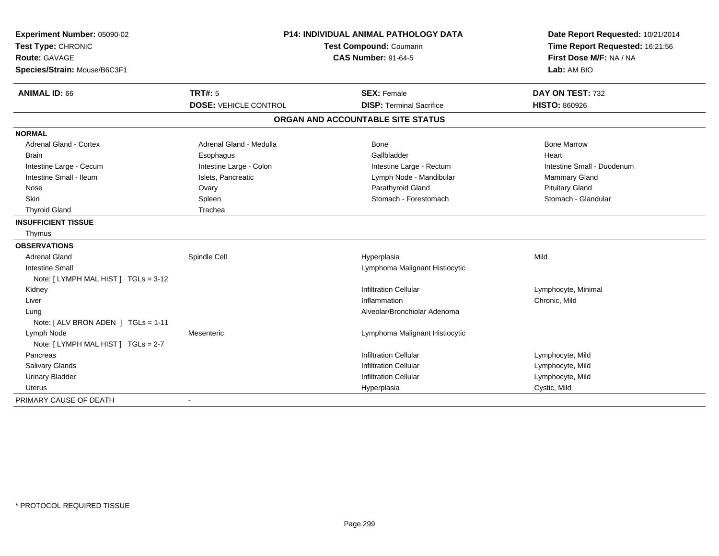| Experiment Number: 05090-02<br>Test Type: CHRONIC<br><b>Route: GAVAGE</b><br>Species/Strain: Mouse/B6C3F1 | P14: INDIVIDUAL ANIMAL PATHOLOGY DATA<br><b>Test Compound: Coumarin</b><br><b>CAS Number: 91-64-5</b> |                                                       | Date Report Requested: 10/21/2014<br>Time Report Requested: 16:21:56<br>First Dose M/F: NA / NA<br>Lab: AM BIO |
|-----------------------------------------------------------------------------------------------------------|-------------------------------------------------------------------------------------------------------|-------------------------------------------------------|----------------------------------------------------------------------------------------------------------------|
| <b>ANIMAL ID: 66</b>                                                                                      | <b>TRT#: 5</b><br><b>DOSE: VEHICLE CONTROL</b>                                                        | <b>SEX: Female</b><br><b>DISP: Terminal Sacrifice</b> | DAY ON TEST: 732<br><b>HISTO: 860926</b>                                                                       |
|                                                                                                           |                                                                                                       | ORGAN AND ACCOUNTABLE SITE STATUS                     |                                                                                                                |
|                                                                                                           |                                                                                                       |                                                       |                                                                                                                |
| <b>NORMAL</b>                                                                                             |                                                                                                       |                                                       |                                                                                                                |
| <b>Adrenal Gland - Cortex</b>                                                                             | Adrenal Gland - Medulla                                                                               | Bone                                                  | <b>Bone Marrow</b>                                                                                             |
| <b>Brain</b>                                                                                              | Esophagus                                                                                             | Gallbladder                                           | Heart                                                                                                          |
| Intestine Large - Cecum                                                                                   | Intestine Large - Colon                                                                               | Intestine Large - Rectum                              | Intestine Small - Duodenum                                                                                     |
| Intestine Small - Ileum                                                                                   | Islets, Pancreatic                                                                                    | Lymph Node - Mandibular                               | <b>Mammary Gland</b>                                                                                           |
| Nose                                                                                                      | Ovary                                                                                                 | Parathyroid Gland                                     | <b>Pituitary Gland</b>                                                                                         |
| Skin                                                                                                      | Spleen                                                                                                | Stomach - Forestomach                                 | Stomach - Glandular                                                                                            |
| <b>Thyroid Gland</b>                                                                                      | Trachea                                                                                               |                                                       |                                                                                                                |
| <b>INSUFFICIENT TISSUE</b>                                                                                |                                                                                                       |                                                       |                                                                                                                |
| Thymus                                                                                                    |                                                                                                       |                                                       |                                                                                                                |
| <b>OBSERVATIONS</b>                                                                                       |                                                                                                       |                                                       |                                                                                                                |
| <b>Adrenal Gland</b>                                                                                      | Spindle Cell                                                                                          | Hyperplasia                                           | Mild                                                                                                           |
| <b>Intestine Small</b>                                                                                    |                                                                                                       | Lymphoma Malignant Histiocytic                        |                                                                                                                |
| Note: [LYMPH MAL HIST] TGLs = 3-12                                                                        |                                                                                                       |                                                       |                                                                                                                |
| Kidney                                                                                                    |                                                                                                       | <b>Infiltration Cellular</b>                          | Lymphocyte, Minimal                                                                                            |
| Liver                                                                                                     |                                                                                                       | Inflammation                                          | Chronic, Mild                                                                                                  |
| Lung                                                                                                      |                                                                                                       | Alveolar/Bronchiolar Adenoma                          |                                                                                                                |
| Note: [ ALV BRON ADEN ] TGLs = 1-11                                                                       |                                                                                                       |                                                       |                                                                                                                |
| Lymph Node                                                                                                | Mesenteric                                                                                            | Lymphoma Malignant Histiocytic                        |                                                                                                                |
| Note: [ LYMPH MAL HIST ] TGLs = 2-7                                                                       |                                                                                                       |                                                       |                                                                                                                |
| Pancreas                                                                                                  |                                                                                                       | <b>Infiltration Cellular</b>                          | Lymphocyte, Mild                                                                                               |
| Salivary Glands                                                                                           |                                                                                                       | <b>Infiltration Cellular</b>                          | Lymphocyte, Mild                                                                                               |
| <b>Urinary Bladder</b>                                                                                    |                                                                                                       | <b>Infiltration Cellular</b>                          | Lymphocyte, Mild                                                                                               |
| Uterus                                                                                                    |                                                                                                       | Hyperplasia                                           | Cystic, Mild                                                                                                   |
| PRIMARY CAUSE OF DEATH                                                                                    | $\overline{a}$                                                                                        |                                                       |                                                                                                                |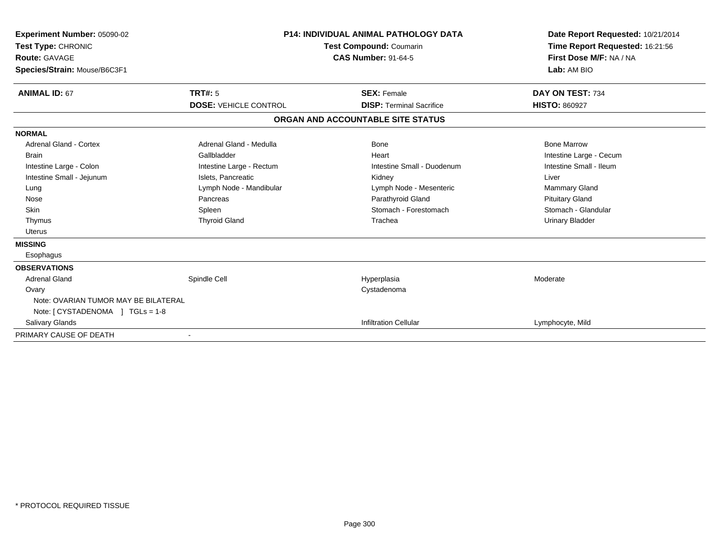| Experiment Number: 05090-02<br>Test Type: CHRONIC<br>Route: GAVAGE<br>Species/Strain: Mouse/B6C3F1 | <b>P14: INDIVIDUAL ANIMAL PATHOLOGY DATA</b><br><b>Test Compound: Coumarin</b><br><b>CAS Number: 91-64-5</b> |                                   | Date Report Requested: 10/21/2014<br>Time Report Requested: 16:21:56<br>First Dose M/F: NA / NA<br>Lab: AM BIO |
|----------------------------------------------------------------------------------------------------|--------------------------------------------------------------------------------------------------------------|-----------------------------------|----------------------------------------------------------------------------------------------------------------|
| <b>ANIMAL ID: 67</b>                                                                               | TRT#: 5                                                                                                      | <b>SEX: Female</b>                | DAY ON TEST: 734                                                                                               |
|                                                                                                    | <b>DOSE: VEHICLE CONTROL</b>                                                                                 | <b>DISP: Terminal Sacrifice</b>   | <b>HISTO: 860927</b>                                                                                           |
|                                                                                                    |                                                                                                              | ORGAN AND ACCOUNTABLE SITE STATUS |                                                                                                                |
| <b>NORMAL</b>                                                                                      |                                                                                                              |                                   |                                                                                                                |
| Adrenal Gland - Cortex                                                                             | Adrenal Gland - Medulla                                                                                      | Bone                              | <b>Bone Marrow</b>                                                                                             |
| <b>Brain</b>                                                                                       | Gallbladder                                                                                                  | Heart                             | Intestine Large - Cecum                                                                                        |
| Intestine Large - Colon                                                                            | Intestine Large - Rectum                                                                                     | Intestine Small - Duodenum        | Intestine Small - Ileum                                                                                        |
| Intestine Small - Jejunum                                                                          | Islets, Pancreatic                                                                                           | Kidney                            | Liver                                                                                                          |
| Lung                                                                                               | Lymph Node - Mandibular                                                                                      | Lymph Node - Mesenteric           | <b>Mammary Gland</b>                                                                                           |
| Nose                                                                                               | Pancreas                                                                                                     | Parathyroid Gland                 | <b>Pituitary Gland</b>                                                                                         |
| Skin                                                                                               | Spleen                                                                                                       | Stomach - Forestomach             | Stomach - Glandular                                                                                            |
| Thymus                                                                                             | <b>Thyroid Gland</b>                                                                                         | Trachea                           | <b>Urinary Bladder</b>                                                                                         |
| <b>Uterus</b>                                                                                      |                                                                                                              |                                   |                                                                                                                |
| <b>MISSING</b>                                                                                     |                                                                                                              |                                   |                                                                                                                |
| Esophagus                                                                                          |                                                                                                              |                                   |                                                                                                                |
| <b>OBSERVATIONS</b>                                                                                |                                                                                                              |                                   |                                                                                                                |
| <b>Adrenal Gland</b>                                                                               | Spindle Cell                                                                                                 | Hyperplasia                       | Moderate                                                                                                       |
| Ovary                                                                                              |                                                                                                              | Cystadenoma                       |                                                                                                                |
| Note: OVARIAN TUMOR MAY BE BILATERAL                                                               |                                                                                                              |                                   |                                                                                                                |
| Note: $[CYSTADENOMA] TGLS = 1-8$                                                                   |                                                                                                              |                                   |                                                                                                                |
| <b>Salivary Glands</b>                                                                             |                                                                                                              | <b>Infiltration Cellular</b>      | Lymphocyte, Mild                                                                                               |
| PRIMARY CAUSE OF DEATH                                                                             |                                                                                                              |                                   |                                                                                                                |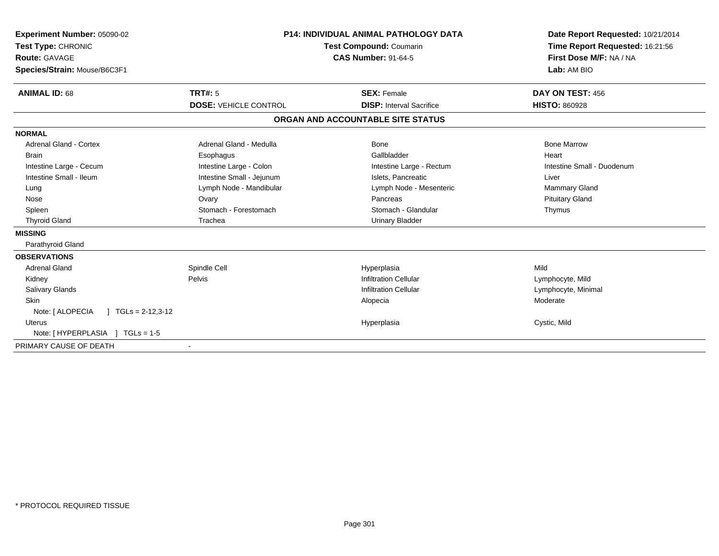| <b>Experiment Number: 05090-02</b><br>Test Type: CHRONIC<br><b>Route: GAVAGE</b><br>Species/Strain: Mouse/B6C3F1 | <b>P14: INDIVIDUAL ANIMAL PATHOLOGY DATA</b><br><b>Test Compound: Coumarin</b><br><b>CAS Number: 91-64-5</b> |                                   | Date Report Requested: 10/21/2014<br>Time Report Requested: 16:21:56<br>First Dose M/F: NA / NA<br>Lab: AM BIO |
|------------------------------------------------------------------------------------------------------------------|--------------------------------------------------------------------------------------------------------------|-----------------------------------|----------------------------------------------------------------------------------------------------------------|
| <b>ANIMAL ID: 68</b>                                                                                             | <b>TRT#: 5</b>                                                                                               | <b>SEX: Female</b>                | DAY ON TEST: 456                                                                                               |
|                                                                                                                  | <b>DOSE: VEHICLE CONTROL</b>                                                                                 | <b>DISP: Interval Sacrifice</b>   | <b>HISTO: 860928</b>                                                                                           |
|                                                                                                                  |                                                                                                              | ORGAN AND ACCOUNTABLE SITE STATUS |                                                                                                                |
| <b>NORMAL</b>                                                                                                    |                                                                                                              |                                   |                                                                                                                |
| <b>Adrenal Gland - Cortex</b>                                                                                    | Adrenal Gland - Medulla                                                                                      | Bone                              | <b>Bone Marrow</b>                                                                                             |
| <b>Brain</b>                                                                                                     | Esophagus                                                                                                    | Gallbladder                       | Heart                                                                                                          |
| Intestine Large - Cecum                                                                                          | Intestine Large - Colon                                                                                      | Intestine Large - Rectum          | Intestine Small - Duodenum                                                                                     |
| Intestine Small - Ileum                                                                                          | Intestine Small - Jejunum                                                                                    | Islets. Pancreatic                | Liver                                                                                                          |
| Lung                                                                                                             | Lymph Node - Mandibular                                                                                      | Lymph Node - Mesenteric           | Mammary Gland                                                                                                  |
| Nose                                                                                                             | Ovary                                                                                                        | Pancreas                          | <b>Pituitary Gland</b>                                                                                         |
| Spleen                                                                                                           | Stomach - Forestomach                                                                                        | Stomach - Glandular               | Thymus                                                                                                         |
| <b>Thyroid Gland</b>                                                                                             | Trachea                                                                                                      | <b>Urinary Bladder</b>            |                                                                                                                |
| <b>MISSING</b>                                                                                                   |                                                                                                              |                                   |                                                                                                                |
| Parathyroid Gland                                                                                                |                                                                                                              |                                   |                                                                                                                |
| <b>OBSERVATIONS</b>                                                                                              |                                                                                                              |                                   |                                                                                                                |
| <b>Adrenal Gland</b>                                                                                             | Spindle Cell                                                                                                 | Hyperplasia                       | Mild                                                                                                           |
| Kidney                                                                                                           | Pelvis                                                                                                       | <b>Infiltration Cellular</b>      | Lymphocyte, Mild                                                                                               |
| <b>Salivary Glands</b>                                                                                           |                                                                                                              | <b>Infiltration Cellular</b>      | Lymphocyte, Minimal                                                                                            |
| <b>Skin</b>                                                                                                      |                                                                                                              | Alopecia                          | Moderate                                                                                                       |
| Note: [ ALOPECIA<br>$\vert$ TGLs = 2-12,3-12                                                                     |                                                                                                              |                                   |                                                                                                                |
| <b>Uterus</b>                                                                                                    |                                                                                                              | Hyperplasia                       | Cystic, Mild                                                                                                   |
| Note: [HYPERPLASIA ] TGLs = 1-5                                                                                  |                                                                                                              |                                   |                                                                                                                |
| PRIMARY CAUSE OF DEATH                                                                                           | $\overline{\phantom{a}}$                                                                                     |                                   |                                                                                                                |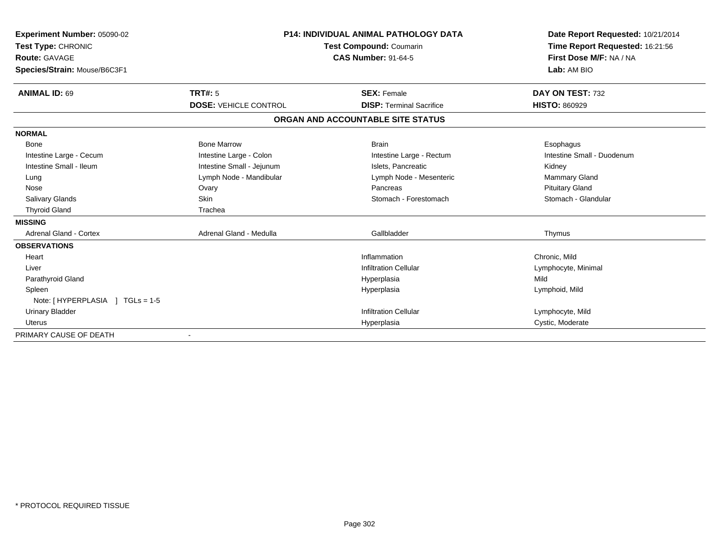| <b>Experiment Number: 05090-02</b> | <b>P14: INDIVIDUAL ANIMAL PATHOLOGY DATA</b> |                                   | Date Report Requested: 10/21/2014 |
|------------------------------------|----------------------------------------------|-----------------------------------|-----------------------------------|
| Test Type: CHRONIC                 |                                              | Time Report Requested: 16:21:56   |                                   |
| Route: GAVAGE                      |                                              | <b>CAS Number: 91-64-5</b>        | First Dose M/F: NA / NA           |
| Species/Strain: Mouse/B6C3F1       |                                              |                                   | Lab: AM BIO                       |
| <b>ANIMAL ID: 69</b>               | <b>TRT#: 5</b>                               | <b>SEX: Female</b>                | DAY ON TEST: 732                  |
|                                    | <b>DOSE: VEHICLE CONTROL</b>                 | <b>DISP: Terminal Sacrifice</b>   | <b>HISTO: 860929</b>              |
|                                    |                                              | ORGAN AND ACCOUNTABLE SITE STATUS |                                   |
| <b>NORMAL</b>                      |                                              |                                   |                                   |
| Bone                               | <b>Bone Marrow</b>                           | <b>Brain</b>                      | Esophagus                         |
| Intestine Large - Cecum            | Intestine Large - Colon                      | Intestine Large - Rectum          | Intestine Small - Duodenum        |
| Intestine Small - Ileum            | Intestine Small - Jejunum                    | Islets, Pancreatic                | Kidney                            |
| Lung                               | Lymph Node - Mandibular                      | Lymph Node - Mesenteric           | <b>Mammary Gland</b>              |
| Nose                               | Ovary                                        | Pancreas                          | <b>Pituitary Gland</b>            |
| <b>Salivary Glands</b>             | Skin                                         | Stomach - Forestomach             | Stomach - Glandular               |
| <b>Thyroid Gland</b>               | Trachea                                      |                                   |                                   |
| <b>MISSING</b>                     |                                              |                                   |                                   |
| <b>Adrenal Gland - Cortex</b>      | Adrenal Gland - Medulla                      | Gallbladder                       | Thymus                            |
| <b>OBSERVATIONS</b>                |                                              |                                   |                                   |
| Heart                              |                                              | Inflammation                      | Chronic, Mild                     |
| Liver                              |                                              | <b>Infiltration Cellular</b>      | Lymphocyte, Minimal               |
| Parathyroid Gland                  |                                              | Hyperplasia                       | Mild                              |
| Spleen                             |                                              | Hyperplasia                       | Lymphoid, Mild                    |
| Note: [HYPERPLASIA ] TGLs = 1-5    |                                              |                                   |                                   |
| <b>Urinary Bladder</b>             |                                              | <b>Infiltration Cellular</b>      | Lymphocyte, Mild                  |
| <b>Uterus</b>                      |                                              | Hyperplasia                       | Cystic, Moderate                  |
| PRIMARY CAUSE OF DEATH             |                                              |                                   |                                   |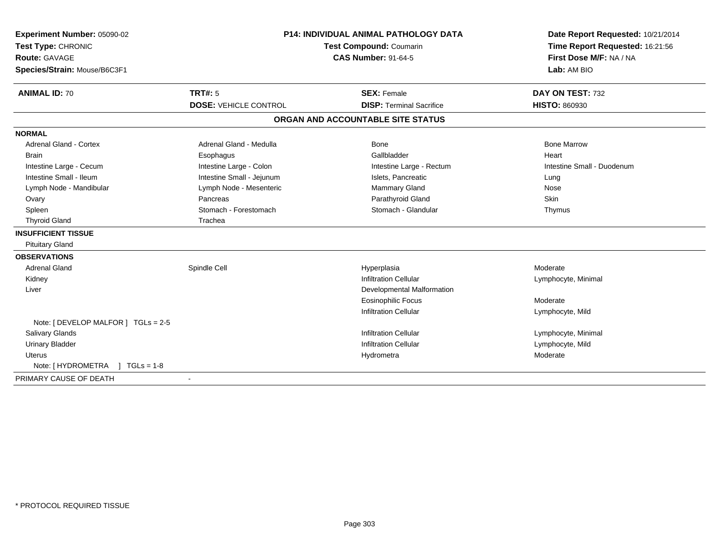| Experiment Number: 05090-02<br>Test Type: CHRONIC<br><b>Route: GAVAGE</b><br>Species/Strain: Mouse/B6C3F1 | P14: INDIVIDUAL ANIMAL PATHOLOGY DATA<br>Test Compound: Coumarin<br><b>CAS Number: 91-64-5</b> |                                   | Date Report Requested: 10/21/2014<br>Time Report Requested: 16:21:56<br>First Dose M/F: NA / NA<br>Lab: AM BIO |  |
|-----------------------------------------------------------------------------------------------------------|------------------------------------------------------------------------------------------------|-----------------------------------|----------------------------------------------------------------------------------------------------------------|--|
| <b>ANIMAL ID: 70</b>                                                                                      | <b>TRT#: 5</b>                                                                                 | <b>SEX: Female</b>                | DAY ON TEST: 732                                                                                               |  |
|                                                                                                           | <b>DOSE: VEHICLE CONTROL</b>                                                                   | <b>DISP: Terminal Sacrifice</b>   | <b>HISTO: 860930</b>                                                                                           |  |
|                                                                                                           |                                                                                                | ORGAN AND ACCOUNTABLE SITE STATUS |                                                                                                                |  |
| <b>NORMAL</b>                                                                                             |                                                                                                |                                   |                                                                                                                |  |
| <b>Adrenal Gland - Cortex</b>                                                                             | Adrenal Gland - Medulla                                                                        | Bone                              | <b>Bone Marrow</b>                                                                                             |  |
| <b>Brain</b>                                                                                              | Esophagus                                                                                      | Gallbladder                       | Heart                                                                                                          |  |
| Intestine Large - Cecum                                                                                   | Intestine Large - Colon                                                                        | Intestine Large - Rectum          | Intestine Small - Duodenum                                                                                     |  |
| Intestine Small - Ileum                                                                                   | Intestine Small - Jejunum                                                                      | Islets, Pancreatic                | Lung                                                                                                           |  |
| Lymph Node - Mandibular                                                                                   | Lymph Node - Mesenteric                                                                        | Mammary Gland                     | Nose                                                                                                           |  |
| Ovary                                                                                                     | Pancreas                                                                                       | Parathyroid Gland                 | Skin                                                                                                           |  |
| Spleen                                                                                                    | Stomach - Forestomach                                                                          | Stomach - Glandular               | Thymus                                                                                                         |  |
| <b>Thyroid Gland</b>                                                                                      | Trachea                                                                                        |                                   |                                                                                                                |  |
| <b>INSUFFICIENT TISSUE</b>                                                                                |                                                                                                |                                   |                                                                                                                |  |
| <b>Pituitary Gland</b>                                                                                    |                                                                                                |                                   |                                                                                                                |  |
| <b>OBSERVATIONS</b>                                                                                       |                                                                                                |                                   |                                                                                                                |  |
| <b>Adrenal Gland</b>                                                                                      | Spindle Cell                                                                                   | Hyperplasia                       | Moderate                                                                                                       |  |
| Kidney                                                                                                    |                                                                                                | <b>Infiltration Cellular</b>      | Lymphocyte, Minimal                                                                                            |  |
| Liver                                                                                                     |                                                                                                | <b>Developmental Malformation</b> |                                                                                                                |  |
|                                                                                                           |                                                                                                | <b>Eosinophilic Focus</b>         | Moderate                                                                                                       |  |
|                                                                                                           |                                                                                                | <b>Infiltration Cellular</b>      | Lymphocyte, Mild                                                                                               |  |
| Note: [ DEVELOP MALFOR ] TGLs = 2-5                                                                       |                                                                                                |                                   |                                                                                                                |  |
| <b>Salivary Glands</b>                                                                                    |                                                                                                | <b>Infiltration Cellular</b>      | Lymphocyte, Minimal                                                                                            |  |
| <b>Urinary Bladder</b>                                                                                    |                                                                                                | <b>Infiltration Cellular</b>      | Lymphocyte, Mild                                                                                               |  |
| <b>Uterus</b>                                                                                             |                                                                                                | Hydrometra                        | Moderate                                                                                                       |  |
| Note: [HYDROMETRA ] TGLs = 1-8                                                                            |                                                                                                |                                   |                                                                                                                |  |
| PRIMARY CAUSE OF DEATH                                                                                    | $\blacksquare$                                                                                 |                                   |                                                                                                                |  |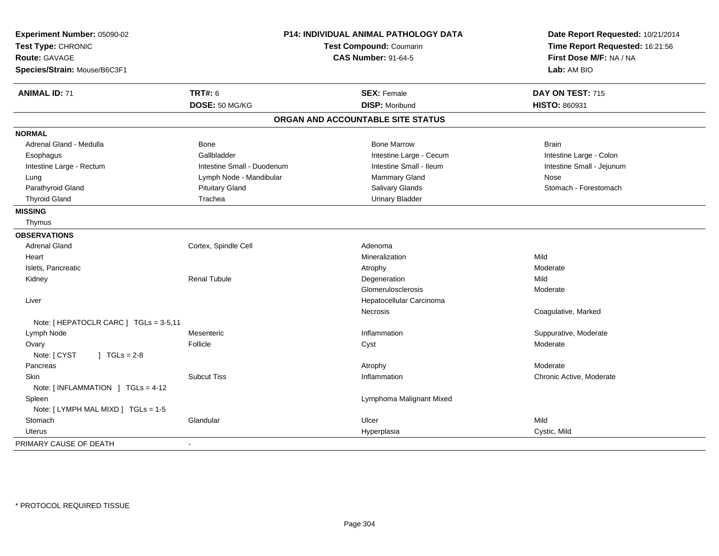| Experiment Number: 05090-02<br>Test Type: CHRONIC<br><b>Route: GAVAGE</b><br>Species/Strain: Mouse/B6C3F1 | P14: INDIVIDUAL ANIMAL PATHOLOGY DATA<br>Test Compound: Coumarin<br><b>CAS Number: 91-64-5</b> |                                   | Date Report Requested: 10/21/2014<br>Time Report Requested: 16:21:56<br>First Dose M/F: NA / NA<br>Lab: AM BIO |  |
|-----------------------------------------------------------------------------------------------------------|------------------------------------------------------------------------------------------------|-----------------------------------|----------------------------------------------------------------------------------------------------------------|--|
| <b>ANIMAL ID: 71</b>                                                                                      | <b>TRT#: 6</b>                                                                                 | <b>SEX: Female</b>                | DAY ON TEST: 715                                                                                               |  |
|                                                                                                           | DOSE: 50 MG/KG                                                                                 | <b>DISP: Moribund</b>             | HISTO: 860931                                                                                                  |  |
|                                                                                                           |                                                                                                | ORGAN AND ACCOUNTABLE SITE STATUS |                                                                                                                |  |
| <b>NORMAL</b>                                                                                             |                                                                                                |                                   |                                                                                                                |  |
| Adrenal Gland - Medulla                                                                                   | Bone                                                                                           | <b>Bone Marrow</b>                | <b>Brain</b>                                                                                                   |  |
| Esophagus                                                                                                 | Gallbladder                                                                                    | Intestine Large - Cecum           | Intestine Large - Colon                                                                                        |  |
| Intestine Large - Rectum                                                                                  | Intestine Small - Duodenum                                                                     | Intestine Small - Ileum           | Intestine Small - Jejunum                                                                                      |  |
| Lung                                                                                                      | Lymph Node - Mandibular                                                                        | Mammary Gland                     | Nose                                                                                                           |  |
| Parathyroid Gland                                                                                         | <b>Pituitary Gland</b>                                                                         | Salivary Glands                   | Stomach - Forestomach                                                                                          |  |
| <b>Thyroid Gland</b>                                                                                      | Trachea                                                                                        | <b>Urinary Bladder</b>            |                                                                                                                |  |
| <b>MISSING</b>                                                                                            |                                                                                                |                                   |                                                                                                                |  |
| Thymus                                                                                                    |                                                                                                |                                   |                                                                                                                |  |
| <b>OBSERVATIONS</b>                                                                                       |                                                                                                |                                   |                                                                                                                |  |
| <b>Adrenal Gland</b>                                                                                      | Cortex, Spindle Cell                                                                           | Adenoma                           |                                                                                                                |  |
| Heart                                                                                                     |                                                                                                | Mineralization                    | Mild                                                                                                           |  |
| Islets, Pancreatic                                                                                        |                                                                                                | Atrophy                           | Moderate                                                                                                       |  |
| Kidney                                                                                                    | <b>Renal Tubule</b>                                                                            | Degeneration                      | Mild                                                                                                           |  |
|                                                                                                           |                                                                                                | Glomerulosclerosis                | Moderate                                                                                                       |  |
| Liver                                                                                                     |                                                                                                | Hepatocellular Carcinoma          |                                                                                                                |  |
|                                                                                                           |                                                                                                | Necrosis                          | Coagulative, Marked                                                                                            |  |
| Note: [ HEPATOCLR CARC ] TGLs = 3-5,11                                                                    |                                                                                                |                                   |                                                                                                                |  |
| Lymph Node                                                                                                | Mesenteric                                                                                     | Inflammation                      | Suppurative, Moderate                                                                                          |  |
| Ovary                                                                                                     | Follicle                                                                                       | Cyst                              | Moderate                                                                                                       |  |
| Note: [ CYST<br>$1 TGLs = 2-8$                                                                            |                                                                                                |                                   |                                                                                                                |  |
| Pancreas                                                                                                  |                                                                                                | Atrophy                           | Moderate                                                                                                       |  |
| Skin                                                                                                      | <b>Subcut Tiss</b>                                                                             | Inflammation                      | Chronic Active, Moderate                                                                                       |  |
| Note: $[INFLAMMATION] TGLS = 4-12$                                                                        |                                                                                                |                                   |                                                                                                                |  |
| Spleen                                                                                                    |                                                                                                | Lymphoma Malignant Mixed          |                                                                                                                |  |
| Note: [ LYMPH MAL MIXD ] TGLs = 1-5                                                                       |                                                                                                |                                   |                                                                                                                |  |
| Stomach                                                                                                   | Glandular                                                                                      | Ulcer                             | Mild                                                                                                           |  |
| Uterus                                                                                                    |                                                                                                | Hyperplasia                       | Cystic, Mild                                                                                                   |  |
| PRIMARY CAUSE OF DEATH                                                                                    |                                                                                                |                                   |                                                                                                                |  |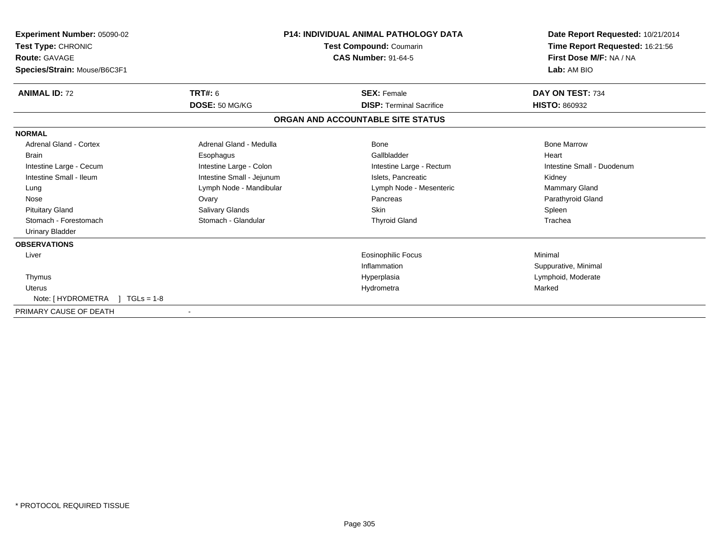| <b>Experiment Number: 05090-02</b><br>Test Type: CHRONIC<br><b>Route: GAVAGE</b><br>Species/Strain: Mouse/B6C3F1 | <b>P14: INDIVIDUAL ANIMAL PATHOLOGY DATA</b><br><b>Test Compound: Coumarin</b><br><b>CAS Number: 91-64-5</b> |                                   | Date Report Requested: 10/21/2014<br>Time Report Requested: 16:21:56<br>First Dose M/F: NA / NA<br>Lab: AM BIO |
|------------------------------------------------------------------------------------------------------------------|--------------------------------------------------------------------------------------------------------------|-----------------------------------|----------------------------------------------------------------------------------------------------------------|
| <b>ANIMAL ID: 72</b>                                                                                             | TRT#: 6                                                                                                      | <b>SEX: Female</b>                | DAY ON TEST: 734                                                                                               |
|                                                                                                                  | DOSE: 50 MG/KG                                                                                               | <b>DISP: Terminal Sacrifice</b>   | <b>HISTO: 860932</b>                                                                                           |
|                                                                                                                  |                                                                                                              | ORGAN AND ACCOUNTABLE SITE STATUS |                                                                                                                |
| <b>NORMAL</b>                                                                                                    |                                                                                                              |                                   |                                                                                                                |
| <b>Adrenal Gland - Cortex</b>                                                                                    | Adrenal Gland - Medulla                                                                                      | Bone                              | <b>Bone Marrow</b>                                                                                             |
| <b>Brain</b>                                                                                                     | Esophagus                                                                                                    | Gallbladder                       | Heart                                                                                                          |
| Intestine Large - Cecum                                                                                          | Intestine Large - Colon                                                                                      | Intestine Large - Rectum          | Intestine Small - Duodenum                                                                                     |
| Intestine Small - Ileum                                                                                          | Intestine Small - Jejunum                                                                                    | Islets, Pancreatic                | Kidney                                                                                                         |
| Lung                                                                                                             | Lymph Node - Mandibular                                                                                      | Lymph Node - Mesenteric           | Mammary Gland                                                                                                  |
| Nose                                                                                                             | Ovary                                                                                                        | Pancreas                          | Parathyroid Gland                                                                                              |
| <b>Pituitary Gland</b>                                                                                           | Salivary Glands                                                                                              | <b>Skin</b>                       | Spleen                                                                                                         |
| Stomach - Forestomach                                                                                            | Stomach - Glandular                                                                                          | <b>Thyroid Gland</b>              | Trachea                                                                                                        |
| <b>Urinary Bladder</b>                                                                                           |                                                                                                              |                                   |                                                                                                                |
| <b>OBSERVATIONS</b>                                                                                              |                                                                                                              |                                   |                                                                                                                |
| Liver                                                                                                            |                                                                                                              | <b>Eosinophilic Focus</b>         | Minimal                                                                                                        |
|                                                                                                                  |                                                                                                              | Inflammation                      | Suppurative, Minimal                                                                                           |
| Thymus                                                                                                           |                                                                                                              | Hyperplasia                       | Lymphoid, Moderate                                                                                             |
| <b>Uterus</b>                                                                                                    |                                                                                                              | Hydrometra                        | Marked                                                                                                         |
| Note: [HYDROMETRA ] TGLs = 1-8                                                                                   |                                                                                                              |                                   |                                                                                                                |
| PRIMARY CAUSE OF DEATH                                                                                           |                                                                                                              |                                   |                                                                                                                |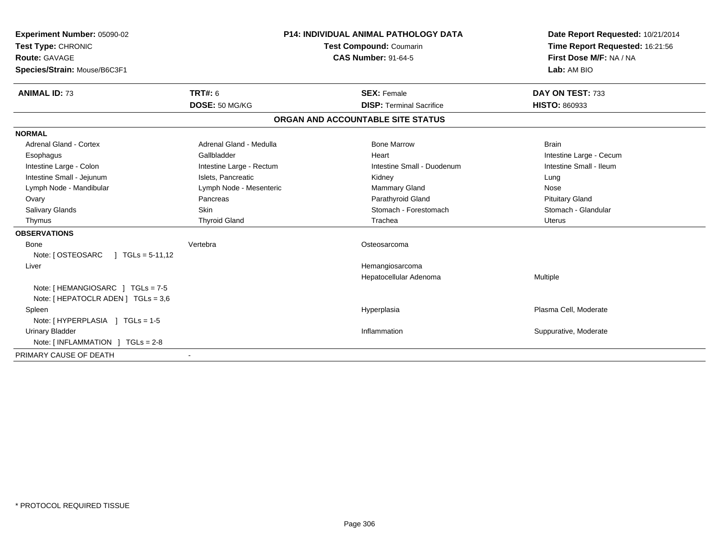| Experiment Number: 05090-02<br>Test Type: CHRONIC<br>Route: GAVAGE<br>Species/Strain: Mouse/B6C3F1 |                          | <b>P14: INDIVIDUAL ANIMAL PATHOLOGY DATA</b><br><b>Test Compound: Coumarin</b><br><b>CAS Number: 91-64-5</b> |                                   | Date Report Requested: 10/21/2014<br>Time Report Requested: 16:21:56<br>First Dose M/F: NA / NA<br>Lab: AM BIO |
|----------------------------------------------------------------------------------------------------|--------------------------|--------------------------------------------------------------------------------------------------------------|-----------------------------------|----------------------------------------------------------------------------------------------------------------|
| <b>ANIMAL ID: 73</b>                                                                               | <b>TRT#: 6</b>           |                                                                                                              | <b>SEX: Female</b>                | DAY ON TEST: 733                                                                                               |
|                                                                                                    | DOSE: 50 MG/KG           |                                                                                                              | <b>DISP: Terminal Sacrifice</b>   | <b>HISTO: 860933</b>                                                                                           |
|                                                                                                    |                          |                                                                                                              | ORGAN AND ACCOUNTABLE SITE STATUS |                                                                                                                |
| <b>NORMAL</b>                                                                                      |                          |                                                                                                              |                                   |                                                                                                                |
| Adrenal Gland - Cortex                                                                             | Adrenal Gland - Medulla  |                                                                                                              | <b>Bone Marrow</b>                | <b>Brain</b>                                                                                                   |
| Esophagus                                                                                          | Gallbladder              |                                                                                                              | Heart                             | Intestine Large - Cecum                                                                                        |
| Intestine Large - Colon                                                                            | Intestine Large - Rectum |                                                                                                              | Intestine Small - Duodenum        | Intestine Small - Ileum                                                                                        |
| Intestine Small - Jejunum                                                                          | Islets, Pancreatic       |                                                                                                              | Kidney                            | Lung                                                                                                           |
| Lymph Node - Mandibular                                                                            | Lymph Node - Mesenteric  |                                                                                                              | Mammary Gland                     | Nose                                                                                                           |
| Ovary                                                                                              | Pancreas                 |                                                                                                              | Parathyroid Gland                 | <b>Pituitary Gland</b>                                                                                         |
| Salivary Glands                                                                                    | <b>Skin</b>              |                                                                                                              | Stomach - Forestomach             | Stomach - Glandular                                                                                            |
| Thymus                                                                                             | <b>Thyroid Gland</b>     |                                                                                                              | Trachea                           | <b>Uterus</b>                                                                                                  |
| <b>OBSERVATIONS</b>                                                                                |                          |                                                                                                              |                                   |                                                                                                                |
| <b>Bone</b>                                                                                        | Vertebra                 |                                                                                                              | Osteosarcoma                      |                                                                                                                |
| Note: [ OSTEOSARC<br>$\sqrt{1}$ TGLs = 5-11,12                                                     |                          |                                                                                                              |                                   |                                                                                                                |
| Liver                                                                                              |                          |                                                                                                              | Hemangiosarcoma                   |                                                                                                                |
|                                                                                                    |                          |                                                                                                              | Hepatocellular Adenoma            | Multiple                                                                                                       |
| Note: [HEMANGIOSARC ] TGLs = 7-5                                                                   |                          |                                                                                                              |                                   |                                                                                                                |
| Note: [ HEPATOCLR ADEN ] TGLs = 3,6                                                                |                          |                                                                                                              |                                   |                                                                                                                |
| Spleen                                                                                             |                          |                                                                                                              | Hyperplasia                       | Plasma Cell, Moderate                                                                                          |
| Note: [HYPERPLASIA ] TGLs = 1-5                                                                    |                          |                                                                                                              |                                   |                                                                                                                |
| <b>Urinary Bladder</b>                                                                             |                          |                                                                                                              | Inflammation                      | Suppurative, Moderate                                                                                          |
| Note: $\lceil$ INFLAMMATION $\lceil$ TGLs = 2-8                                                    |                          |                                                                                                              |                                   |                                                                                                                |
| PRIMARY CAUSE OF DEATH                                                                             |                          |                                                                                                              |                                   |                                                                                                                |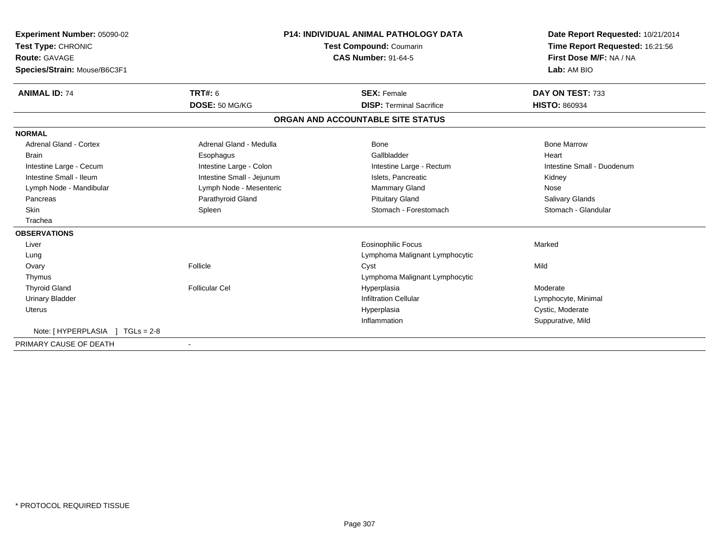| Experiment Number: 05090-02         |                           | <b>P14: INDIVIDUAL ANIMAL PATHOLOGY DATA</b> | Date Report Requested: 10/21/2014 |
|-------------------------------------|---------------------------|----------------------------------------------|-----------------------------------|
| Test Type: CHRONIC                  | Test Compound: Coumarin   |                                              | Time Report Requested: 16:21:56   |
| Route: GAVAGE                       |                           | <b>CAS Number: 91-64-5</b>                   | First Dose M/F: NA / NA           |
| Species/Strain: Mouse/B6C3F1        |                           |                                              | Lab: AM BIO                       |
| <b>ANIMAL ID: 74</b>                | <b>TRT#: 6</b>            | <b>SEX: Female</b>                           | DAY ON TEST: 733                  |
|                                     | DOSE: 50 MG/KG            | <b>DISP: Terminal Sacrifice</b>              | <b>HISTO: 860934</b>              |
|                                     |                           | ORGAN AND ACCOUNTABLE SITE STATUS            |                                   |
| <b>NORMAL</b>                       |                           |                                              |                                   |
| <b>Adrenal Gland - Cortex</b>       | Adrenal Gland - Medulla   | Bone                                         | <b>Bone Marrow</b>                |
| <b>Brain</b>                        | Esophagus                 | Gallbladder                                  | Heart                             |
| Intestine Large - Cecum             | Intestine Large - Colon   | Intestine Large - Rectum                     | Intestine Small - Duodenum        |
| Intestine Small - Ileum             | Intestine Small - Jejunum | Islets. Pancreatic                           | Kidney                            |
| Lymph Node - Mandibular             | Lymph Node - Mesenteric   | <b>Mammary Gland</b>                         | Nose                              |
| Pancreas                            | Parathyroid Gland         | <b>Pituitary Gland</b>                       | <b>Salivary Glands</b>            |
| <b>Skin</b>                         | Spleen                    | Stomach - Forestomach                        | Stomach - Glandular               |
| Trachea                             |                           |                                              |                                   |
| <b>OBSERVATIONS</b>                 |                           |                                              |                                   |
| Liver                               |                           | Eosinophilic Focus                           | Marked                            |
| Lung                                |                           | Lymphoma Malignant Lymphocytic               |                                   |
| Ovary                               | Follicle                  | Cyst                                         | Mild                              |
| Thymus                              |                           | Lymphoma Malignant Lymphocytic               |                                   |
| <b>Thyroid Gland</b>                | <b>Follicular Cel</b>     | Hyperplasia                                  | Moderate                          |
| <b>Urinary Bladder</b>              |                           | <b>Infiltration Cellular</b>                 | Lymphocyte, Minimal               |
| <b>Uterus</b>                       |                           | Hyperplasia                                  | Cystic, Moderate                  |
|                                     |                           | Inflammation                                 | Suppurative, Mild                 |
| Note: [ HYPERPLASIA<br>$TGLs = 2-8$ |                           |                                              |                                   |
| PRIMARY CAUSE OF DEATH              |                           |                                              |                                   |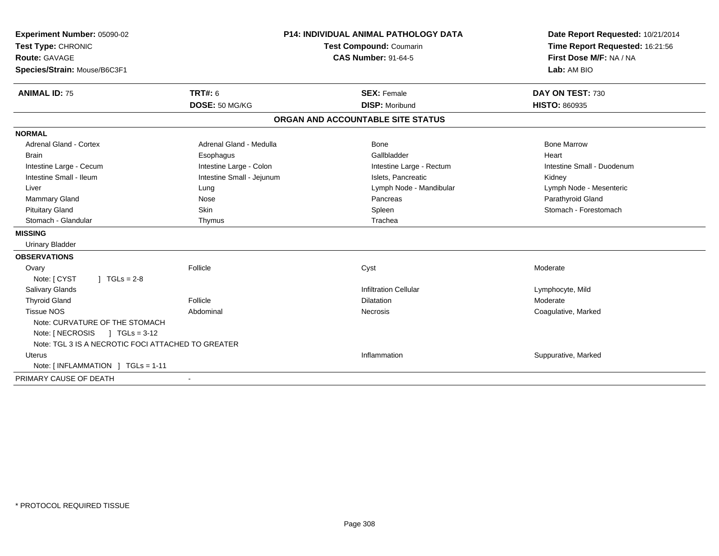| Experiment Number: 05090-02<br>Test Type: CHRONIC  |                           | P14: INDIVIDUAL ANIMAL PATHOLOGY DATA<br>Test Compound: Coumarin | Date Report Requested: 10/21/2014<br>Time Report Requested: 16:21:56 |  |
|----------------------------------------------------|---------------------------|------------------------------------------------------------------|----------------------------------------------------------------------|--|
| Route: GAVAGE<br>Species/Strain: Mouse/B6C3F1      |                           | <b>CAS Number: 91-64-5</b>                                       | First Dose M/F: NA / NA<br>Lab: AM BIO                               |  |
| <b>ANIMAL ID: 75</b>                               | <b>TRT#: 6</b>            | <b>SEX: Female</b>                                               | DAY ON TEST: 730                                                     |  |
|                                                    | DOSE: 50 MG/KG            | <b>DISP: Moribund</b>                                            | HISTO: 860935                                                        |  |
|                                                    |                           | ORGAN AND ACCOUNTABLE SITE STATUS                                |                                                                      |  |
| <b>NORMAL</b>                                      |                           |                                                                  |                                                                      |  |
| <b>Adrenal Gland - Cortex</b>                      | Adrenal Gland - Medulla   | <b>Bone</b>                                                      | <b>Bone Marrow</b>                                                   |  |
| <b>Brain</b>                                       | Esophagus                 | Gallbladder                                                      | Heart                                                                |  |
| Intestine Large - Cecum                            | Intestine Large - Colon   | Intestine Large - Rectum                                         | Intestine Small - Duodenum                                           |  |
| Intestine Small - Ileum                            | Intestine Small - Jejunum | Islets. Pancreatic                                               | Kidney                                                               |  |
| Liver                                              | Lung                      | Lymph Node - Mandibular                                          | Lymph Node - Mesenteric                                              |  |
| Mammary Gland                                      | Nose                      | Pancreas                                                         | Parathyroid Gland                                                    |  |
| <b>Pituitary Gland</b>                             | <b>Skin</b>               | Spleen                                                           | Stomach - Forestomach                                                |  |
| Stomach - Glandular                                | Thymus                    | Trachea                                                          |                                                                      |  |
| <b>MISSING</b>                                     |                           |                                                                  |                                                                      |  |
| <b>Urinary Bladder</b>                             |                           |                                                                  |                                                                      |  |
| <b>OBSERVATIONS</b>                                |                           |                                                                  |                                                                      |  |
| Ovary                                              | Follicle                  | Cyst                                                             | Moderate                                                             |  |
| Note: [ CYST<br>$1 TGLs = 2-8$                     |                           |                                                                  |                                                                      |  |
| <b>Salivary Glands</b>                             |                           | <b>Infiltration Cellular</b>                                     | Lymphocyte, Mild                                                     |  |
| <b>Thyroid Gland</b>                               | Follicle                  | Dilatation                                                       | Moderate                                                             |  |
| <b>Tissue NOS</b>                                  | Abdominal                 | Necrosis                                                         | Coagulative, Marked                                                  |  |
| Note: CURVATURE OF THE STOMACH                     |                           |                                                                  |                                                                      |  |
| Note: $NECROSIS$ $TGLS = 3-12$                     |                           |                                                                  |                                                                      |  |
| Note: TGL 3 IS A NECROTIC FOCI ATTACHED TO GREATER |                           |                                                                  |                                                                      |  |
| Uterus                                             |                           | Inflammation                                                     | Suppurative, Marked                                                  |  |
| Note: [INFLAMMATION ] TGLs = 1-11                  |                           |                                                                  |                                                                      |  |
| PRIMARY CAUSE OF DEATH                             | $\overline{\phantom{a}}$  |                                                                  |                                                                      |  |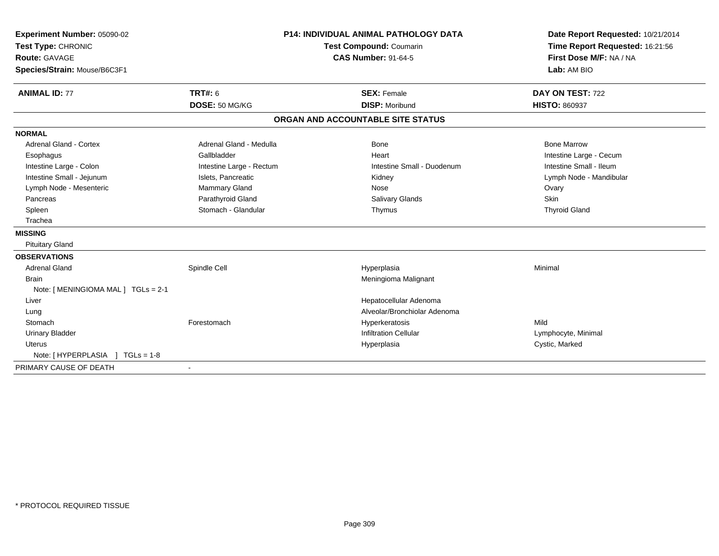| Experiment Number: 05090-02<br>Test Type: CHRONIC<br><b>Route: GAVAGE</b><br>Species/Strain: Mouse/B6C3F1 | <b>P14: INDIVIDUAL ANIMAL PATHOLOGY DATA</b><br><b>Test Compound: Coumarin</b><br><b>CAS Number: 91-64-5</b> |                                   | Date Report Requested: 10/21/2014<br>Time Report Requested: 16:21:56<br>First Dose M/F: NA / NA<br>Lab: AM BIO |
|-----------------------------------------------------------------------------------------------------------|--------------------------------------------------------------------------------------------------------------|-----------------------------------|----------------------------------------------------------------------------------------------------------------|
| <b>ANIMAL ID: 77</b>                                                                                      | <b>TRT#: 6</b>                                                                                               | <b>SEX: Female</b>                | DAY ON TEST: 722                                                                                               |
|                                                                                                           | DOSE: 50 MG/KG                                                                                               | <b>DISP: Moribund</b>             | <b>HISTO: 860937</b>                                                                                           |
|                                                                                                           |                                                                                                              | ORGAN AND ACCOUNTABLE SITE STATUS |                                                                                                                |
| <b>NORMAL</b>                                                                                             |                                                                                                              |                                   |                                                                                                                |
| Adrenal Gland - Cortex                                                                                    | Adrenal Gland - Medulla                                                                                      | Bone                              | <b>Bone Marrow</b>                                                                                             |
| Esophagus                                                                                                 | Gallbladder                                                                                                  | Heart                             | Intestine Large - Cecum                                                                                        |
| Intestine Large - Colon                                                                                   | Intestine Large - Rectum                                                                                     | Intestine Small - Duodenum        | Intestine Small - Ileum                                                                                        |
| Intestine Small - Jejunum                                                                                 | Islets, Pancreatic                                                                                           | Kidney                            | Lymph Node - Mandibular                                                                                        |
| Lymph Node - Mesenteric                                                                                   | Mammary Gland                                                                                                | Nose                              | Ovary                                                                                                          |
| Pancreas                                                                                                  | Parathyroid Gland                                                                                            | <b>Salivary Glands</b>            | Skin                                                                                                           |
| Spleen                                                                                                    | Stomach - Glandular                                                                                          | Thymus                            | <b>Thyroid Gland</b>                                                                                           |
| Trachea                                                                                                   |                                                                                                              |                                   |                                                                                                                |
| <b>MISSING</b>                                                                                            |                                                                                                              |                                   |                                                                                                                |
| <b>Pituitary Gland</b>                                                                                    |                                                                                                              |                                   |                                                                                                                |
| <b>OBSERVATIONS</b>                                                                                       |                                                                                                              |                                   |                                                                                                                |
| <b>Adrenal Gland</b>                                                                                      | Spindle Cell                                                                                                 | Hyperplasia                       | Minimal                                                                                                        |
| <b>Brain</b>                                                                                              |                                                                                                              | Meningioma Malignant              |                                                                                                                |
| Note: [ MENINGIOMA MAL ] TGLs = 2-1                                                                       |                                                                                                              |                                   |                                                                                                                |
| Liver                                                                                                     |                                                                                                              | Hepatocellular Adenoma            |                                                                                                                |
| Lung                                                                                                      |                                                                                                              | Alveolar/Bronchiolar Adenoma      |                                                                                                                |
| Stomach                                                                                                   | Forestomach                                                                                                  | Hyperkeratosis                    | Mild                                                                                                           |
| <b>Urinary Bladder</b>                                                                                    |                                                                                                              | <b>Infiltration Cellular</b>      | Lymphocyte, Minimal                                                                                            |
| <b>Uterus</b>                                                                                             |                                                                                                              | Hyperplasia                       | Cystic, Marked                                                                                                 |
| Note: [HYPERPLASIA ] TGLs = 1-8                                                                           |                                                                                                              |                                   |                                                                                                                |
| PRIMARY CAUSE OF DEATH                                                                                    | $\overline{\phantom{a}}$                                                                                     |                                   |                                                                                                                |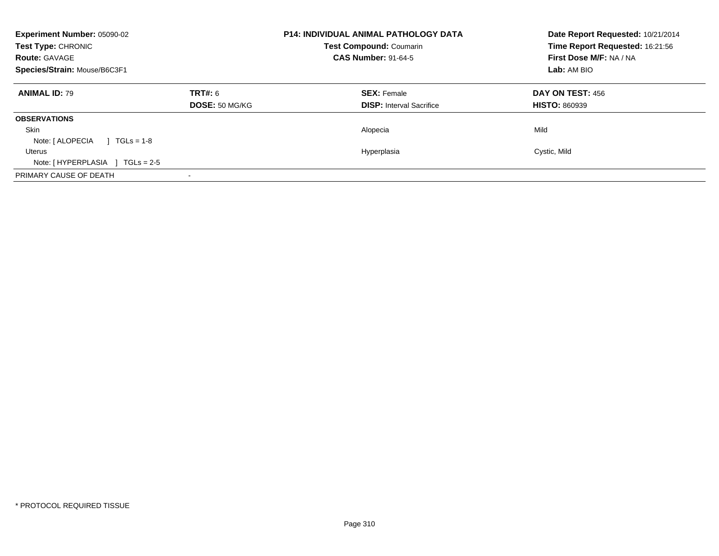| <b>Experiment Number: 05090-02</b><br>Test Type: CHRONIC<br><b>Route: GAVAGE</b><br>Species/Strain: Mouse/B6C3F1 |                                  | <b>P14: INDIVIDUAL ANIMAL PATHOLOGY DATA</b><br><b>Test Compound: Coumarin</b><br><b>CAS Number: 91-64-5</b> | Date Report Requested: 10/21/2014<br>Time Report Requested: 16:21:56<br>First Dose M/F: NA / NA<br><b>Lab:</b> AM BIO |
|------------------------------------------------------------------------------------------------------------------|----------------------------------|--------------------------------------------------------------------------------------------------------------|-----------------------------------------------------------------------------------------------------------------------|
| <b>ANIMAL ID: 79</b>                                                                                             | TRT#: 6<br><b>DOSE: 50 MG/KG</b> | <b>SEX: Female</b><br><b>DISP:</b> Interval Sacrifice                                                        | DAY ON TEST: 456<br><b>HISTO: 860939</b>                                                                              |
| <b>OBSERVATIONS</b>                                                                                              |                                  |                                                                                                              |                                                                                                                       |
| <b>Skin</b>                                                                                                      |                                  | Alopecia                                                                                                     | Mild                                                                                                                  |
| Note: [ ALOPECIA<br>$1 TGLs = 1-8$                                                                               |                                  |                                                                                                              |                                                                                                                       |
| Uterus                                                                                                           |                                  | Hyperplasia                                                                                                  | Cystic, Mild                                                                                                          |
| Note: $[HYPERPLASIA]$ TGLs = 2-5                                                                                 |                                  |                                                                                                              |                                                                                                                       |
| PRIMARY CAUSE OF DEATH                                                                                           |                                  |                                                                                                              |                                                                                                                       |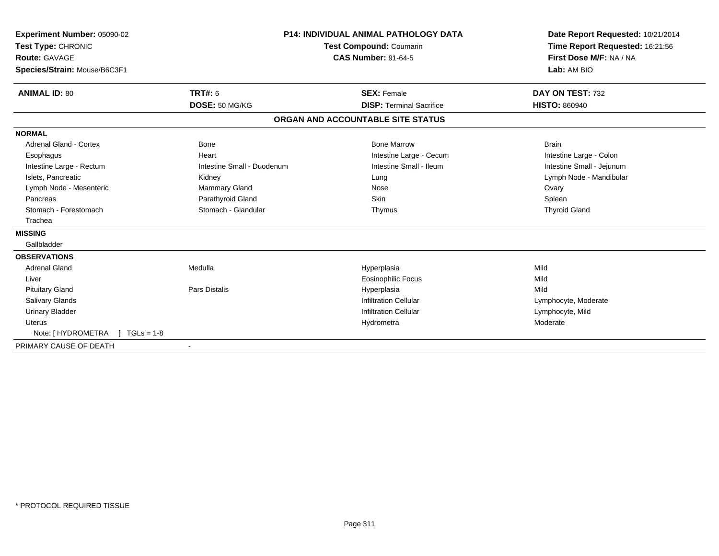| Experiment Number: 05090-02<br>Test Type: CHRONIC<br><b>Route: GAVAGE</b><br>Species/Strain: Mouse/B6C3F1 |                            | <b>P14: INDIVIDUAL ANIMAL PATHOLOGY DATA</b><br><b>Test Compound: Coumarin</b><br><b>CAS Number: 91-64-5</b> | Date Report Requested: 10/21/2014<br>Time Report Requested: 16:21:56<br>First Dose M/F: NA / NA<br>Lab: AM BIO |
|-----------------------------------------------------------------------------------------------------------|----------------------------|--------------------------------------------------------------------------------------------------------------|----------------------------------------------------------------------------------------------------------------|
| <b>ANIMAL ID: 80</b>                                                                                      | <b>TRT#: 6</b>             | <b>SEX: Female</b>                                                                                           | DAY ON TEST: 732                                                                                               |
|                                                                                                           | DOSE: 50 MG/KG             | <b>DISP: Terminal Sacrifice</b>                                                                              | <b>HISTO: 860940</b>                                                                                           |
|                                                                                                           |                            | ORGAN AND ACCOUNTABLE SITE STATUS                                                                            |                                                                                                                |
| <b>NORMAL</b>                                                                                             |                            |                                                                                                              |                                                                                                                |
| <b>Adrenal Gland - Cortex</b>                                                                             | Bone                       | <b>Bone Marrow</b>                                                                                           | <b>Brain</b>                                                                                                   |
| Esophagus                                                                                                 | Heart                      | Intestine Large - Cecum                                                                                      | Intestine Large - Colon                                                                                        |
| Intestine Large - Rectum                                                                                  | Intestine Small - Duodenum | Intestine Small - Ileum                                                                                      | Intestine Small - Jejunum                                                                                      |
| Islets. Pancreatic                                                                                        | Kidney                     | Lung                                                                                                         | Lymph Node - Mandibular                                                                                        |
| Lymph Node - Mesenteric                                                                                   | <b>Mammary Gland</b>       | Nose                                                                                                         | Ovary                                                                                                          |
| Pancreas                                                                                                  | Parathyroid Gland          | Skin                                                                                                         | Spleen                                                                                                         |
| Stomach - Forestomach                                                                                     | Stomach - Glandular        | Thymus                                                                                                       | <b>Thyroid Gland</b>                                                                                           |
| Trachea                                                                                                   |                            |                                                                                                              |                                                                                                                |
| <b>MISSING</b>                                                                                            |                            |                                                                                                              |                                                                                                                |
| Gallbladder                                                                                               |                            |                                                                                                              |                                                                                                                |
| <b>OBSERVATIONS</b>                                                                                       |                            |                                                                                                              |                                                                                                                |
| <b>Adrenal Gland</b>                                                                                      | Medulla                    | Hyperplasia                                                                                                  | Mild                                                                                                           |
| Liver                                                                                                     |                            | <b>Eosinophilic Focus</b>                                                                                    | Mild                                                                                                           |
| <b>Pituitary Gland</b>                                                                                    | Pars Distalis              | Hyperplasia                                                                                                  | Mild                                                                                                           |
| <b>Salivary Glands</b>                                                                                    |                            | <b>Infiltration Cellular</b>                                                                                 | Lymphocyte, Moderate                                                                                           |
| <b>Urinary Bladder</b>                                                                                    |                            | <b>Infiltration Cellular</b>                                                                                 | Lymphocyte, Mild                                                                                               |
| <b>Uterus</b>                                                                                             |                            | Hydrometra                                                                                                   | Moderate                                                                                                       |
| Note: [ HYDROMETRA<br>$1 TGLs = 1-8$                                                                      |                            |                                                                                                              |                                                                                                                |
| PRIMARY CAUSE OF DEATH                                                                                    |                            |                                                                                                              |                                                                                                                |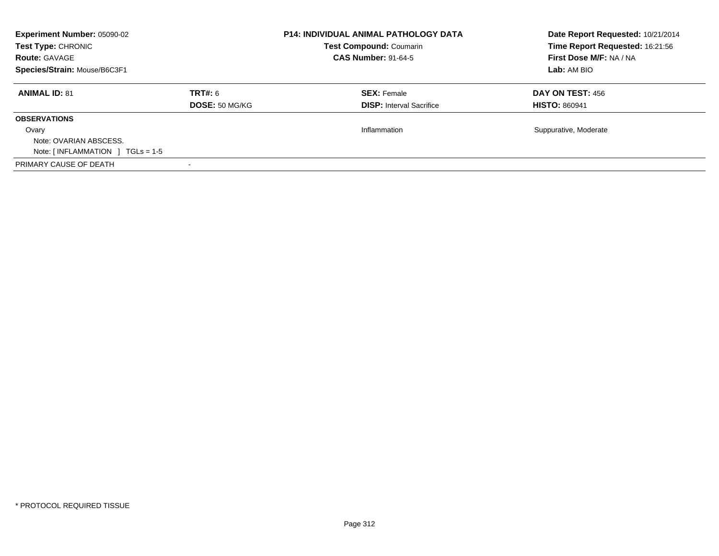| <b>Experiment Number: 05090-02</b><br>Test Type: CHRONIC<br><b>Route: GAVAGE</b><br>Species/Strain: Mouse/B6C3F1 |                           | <b>P14: INDIVIDUAL ANIMAL PATHOLOGY DATA</b><br><b>Test Compound: Coumarin</b><br><b>CAS Number: 91-64-5</b> | Date Report Requested: 10/21/2014<br>Time Report Requested: 16:21:56<br>First Dose M/F: NA / NA<br>Lab: AM BIO |
|------------------------------------------------------------------------------------------------------------------|---------------------------|--------------------------------------------------------------------------------------------------------------|----------------------------------------------------------------------------------------------------------------|
| <b>ANIMAL ID: 81</b>                                                                                             | TRT#: 6<br>DOSE: 50 MG/KG | <b>SEX: Female</b><br><b>DISP:</b> Interval Sacrifice                                                        | <b>DAY ON TEST: 456</b><br><b>HISTO: 860941</b>                                                                |
| <b>OBSERVATIONS</b><br>Ovary<br>Note: OVARIAN ABSCESS.<br>Note: $\lceil$ INFLAMMATION $\lceil$ TGLs = 1-5        |                           | Inflammation                                                                                                 | Suppurative, Moderate                                                                                          |
| PRIMARY CAUSE OF DEATH                                                                                           |                           |                                                                                                              |                                                                                                                |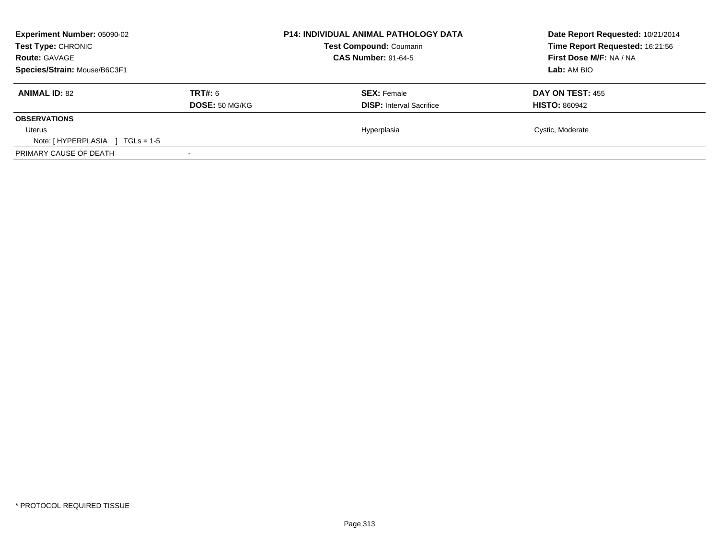| <b>Experiment Number: 05090-02</b><br>Test Type: CHRONIC<br><b>Route: GAVAGE</b><br>Species/Strain: Mouse/B6C3F1 |                           | <b>P14: INDIVIDUAL ANIMAL PATHOLOGY DATA</b><br><b>Test Compound: Coumarin</b><br><b>CAS Number: 91-64-5</b> | Date Report Requested: 10/21/2014<br>Time Report Requested: 16:21:56<br>First Dose M/F: NA / NA<br>Lab: AM BIO |
|------------------------------------------------------------------------------------------------------------------|---------------------------|--------------------------------------------------------------------------------------------------------------|----------------------------------------------------------------------------------------------------------------|
| <b>ANIMAL ID: 82</b>                                                                                             | TRT#: 6<br>DOSE: 50 MG/KG | <b>SEX: Female</b><br><b>DISP:</b> Interval Sacrifice                                                        | DAY ON TEST: 455<br><b>HISTO: 860942</b>                                                                       |
| <b>OBSERVATIONS</b>                                                                                              |                           |                                                                                                              |                                                                                                                |
| Uterus<br>Note: [HYPERPLASIA ]<br>$TGLs = 1-5$                                                                   |                           | Hyperplasia                                                                                                  | Cystic, Moderate                                                                                               |
| PRIMARY CAUSE OF DEATH                                                                                           |                           |                                                                                                              |                                                                                                                |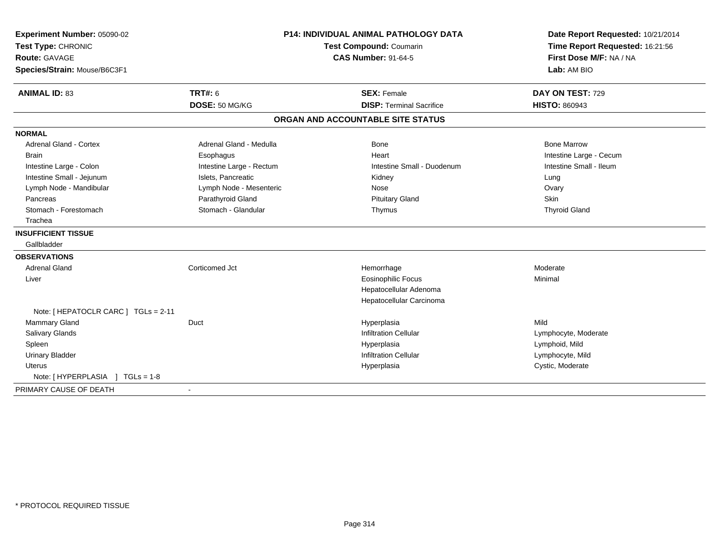| Experiment Number: 05090-02          |                          | <b>P14: INDIVIDUAL ANIMAL PATHOLOGY DATA</b> | Date Report Requested: 10/21/2014<br>Time Report Requested: 16:21:56<br>First Dose M/F: NA / NA |
|--------------------------------------|--------------------------|----------------------------------------------|-------------------------------------------------------------------------------------------------|
| Test Type: CHRONIC                   |                          | Test Compound: Coumarin                      |                                                                                                 |
| Route: GAVAGE                        |                          | <b>CAS Number: 91-64-5</b>                   |                                                                                                 |
| Species/Strain: Mouse/B6C3F1         |                          |                                              | Lab: AM BIO                                                                                     |
| <b>ANIMAL ID: 83</b>                 | <b>TRT#: 6</b>           | <b>SEX: Female</b>                           | DAY ON TEST: 729                                                                                |
|                                      | DOSE: 50 MG/KG           | <b>DISP: Terminal Sacrifice</b>              | <b>HISTO: 860943</b>                                                                            |
|                                      |                          | ORGAN AND ACCOUNTABLE SITE STATUS            |                                                                                                 |
| <b>NORMAL</b>                        |                          |                                              |                                                                                                 |
| <b>Adrenal Gland - Cortex</b>        | Adrenal Gland - Medulla  | Bone                                         | <b>Bone Marrow</b>                                                                              |
| <b>Brain</b>                         | Esophagus                | Heart                                        | Intestine Large - Cecum                                                                         |
| Intestine Large - Colon              | Intestine Large - Rectum | Intestine Small - Duodenum                   | Intestine Small - Ileum                                                                         |
| Intestine Small - Jejunum            | Islets, Pancreatic       | Kidney                                       | Lung                                                                                            |
| Lymph Node - Mandibular              | Lymph Node - Mesenteric  | Nose                                         | Ovary                                                                                           |
| Pancreas                             | Parathyroid Gland        | <b>Pituitary Gland</b>                       | <b>Skin</b>                                                                                     |
| Stomach - Forestomach                | Stomach - Glandular      | Thymus                                       | <b>Thyroid Gland</b>                                                                            |
| Trachea                              |                          |                                              |                                                                                                 |
| <b>INSUFFICIENT TISSUE</b>           |                          |                                              |                                                                                                 |
| Gallbladder                          |                          |                                              |                                                                                                 |
| <b>OBSERVATIONS</b>                  |                          |                                              |                                                                                                 |
| <b>Adrenal Gland</b>                 | Corticomed Jct           | Hemorrhage                                   | Moderate                                                                                        |
| Liver                                |                          | <b>Eosinophilic Focus</b>                    | Minimal                                                                                         |
|                                      |                          | Hepatocellular Adenoma                       |                                                                                                 |
|                                      |                          | Hepatocellular Carcinoma                     |                                                                                                 |
| Note: [ HEPATOCLR CARC ] TGLs = 2-11 |                          |                                              |                                                                                                 |
| <b>Mammary Gland</b>                 | Duct                     | Hyperplasia                                  | Mild                                                                                            |
| <b>Salivary Glands</b>               |                          | <b>Infiltration Cellular</b>                 | Lymphocyte, Moderate                                                                            |
| Spleen                               |                          | Hyperplasia                                  | Lymphoid, Mild                                                                                  |
| <b>Urinary Bladder</b>               |                          | <b>Infiltration Cellular</b>                 | Lymphocyte, Mild                                                                                |
| <b>Uterus</b>                        |                          | Hyperplasia                                  | Cystic, Moderate                                                                                |
| Note: [HYPERPLASIA ] TGLs = 1-8      |                          |                                              |                                                                                                 |
| PRIMARY CAUSE OF DEATH               |                          |                                              |                                                                                                 |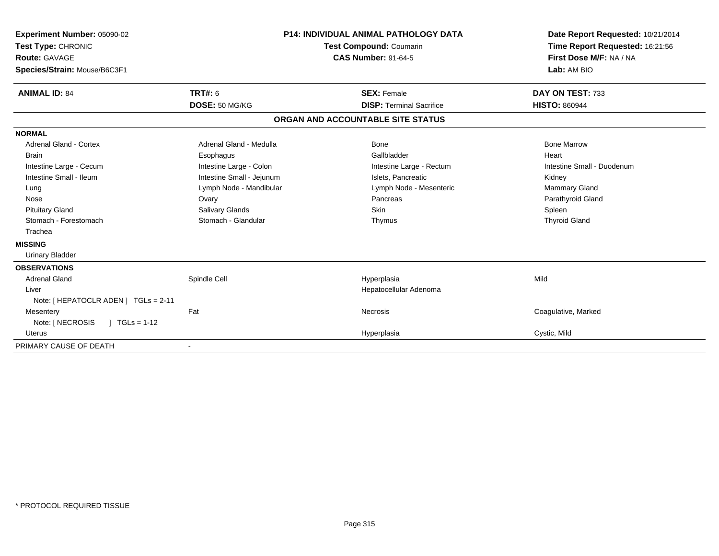| Experiment Number: 05090-02<br>Test Type: CHRONIC<br><b>Route: GAVAGE</b><br>Species/Strain: Mouse/B6C3F1<br><b>ANIMAL ID: 84</b> | <b>P14: INDIVIDUAL ANIMAL PATHOLOGY DATA</b><br>Test Compound: Coumarin<br><b>CAS Number: 91-64-5</b><br><b>TRT#: 6</b><br><b>SEX: Female</b> |                                   | Date Report Requested: 10/21/2014<br>Time Report Requested: 16:21:56<br>First Dose M/F: NA / NA<br>Lab: AM BIO<br>DAY ON TEST: 733 |
|-----------------------------------------------------------------------------------------------------------------------------------|-----------------------------------------------------------------------------------------------------------------------------------------------|-----------------------------------|------------------------------------------------------------------------------------------------------------------------------------|
|                                                                                                                                   | DOSE: 50 MG/KG                                                                                                                                | <b>DISP: Terminal Sacrifice</b>   | <b>HISTO: 860944</b>                                                                                                               |
|                                                                                                                                   |                                                                                                                                               | ORGAN AND ACCOUNTABLE SITE STATUS |                                                                                                                                    |
| <b>NORMAL</b>                                                                                                                     |                                                                                                                                               |                                   |                                                                                                                                    |
| <b>Adrenal Gland - Cortex</b>                                                                                                     | Adrenal Gland - Medulla                                                                                                                       | Bone                              | <b>Bone Marrow</b>                                                                                                                 |
| <b>Brain</b>                                                                                                                      | Esophagus                                                                                                                                     | Gallbladder                       | Heart                                                                                                                              |
| Intestine Large - Cecum                                                                                                           | Intestine Large - Colon                                                                                                                       | Intestine Large - Rectum          | Intestine Small - Duodenum                                                                                                         |
| Intestine Small - Ileum                                                                                                           | Intestine Small - Jejunum                                                                                                                     | Islets, Pancreatic                | Kidney                                                                                                                             |
| Lung                                                                                                                              | Lymph Node - Mandibular                                                                                                                       | Lymph Node - Mesenteric           | Mammary Gland                                                                                                                      |
| Nose                                                                                                                              | Ovary                                                                                                                                         | Pancreas                          | Parathyroid Gland                                                                                                                  |
| <b>Pituitary Gland</b>                                                                                                            | Salivary Glands                                                                                                                               | <b>Skin</b>                       | Spleen                                                                                                                             |
| Stomach - Forestomach                                                                                                             | Stomach - Glandular                                                                                                                           | Thymus                            | <b>Thyroid Gland</b>                                                                                                               |
| Trachea                                                                                                                           |                                                                                                                                               |                                   |                                                                                                                                    |
| <b>MISSING</b>                                                                                                                    |                                                                                                                                               |                                   |                                                                                                                                    |
| <b>Urinary Bladder</b>                                                                                                            |                                                                                                                                               |                                   |                                                                                                                                    |
| <b>OBSERVATIONS</b>                                                                                                               |                                                                                                                                               |                                   |                                                                                                                                    |
| <b>Adrenal Gland</b>                                                                                                              | Spindle Cell                                                                                                                                  | Hyperplasia                       | Mild                                                                                                                               |
| Liver                                                                                                                             |                                                                                                                                               | Hepatocellular Adenoma            |                                                                                                                                    |
| Note: [ HEPATOCLR ADEN ] TGLs = 2-11                                                                                              |                                                                                                                                               |                                   |                                                                                                                                    |
| Mesentery                                                                                                                         | Fat                                                                                                                                           | <b>Necrosis</b>                   | Coagulative, Marked                                                                                                                |
| Note: [ NECROSIS<br>$1 TGLs = 1-12$                                                                                               |                                                                                                                                               |                                   |                                                                                                                                    |
| <b>Uterus</b>                                                                                                                     |                                                                                                                                               | Hyperplasia                       | Cystic, Mild                                                                                                                       |
| PRIMARY CAUSE OF DEATH                                                                                                            |                                                                                                                                               |                                   |                                                                                                                                    |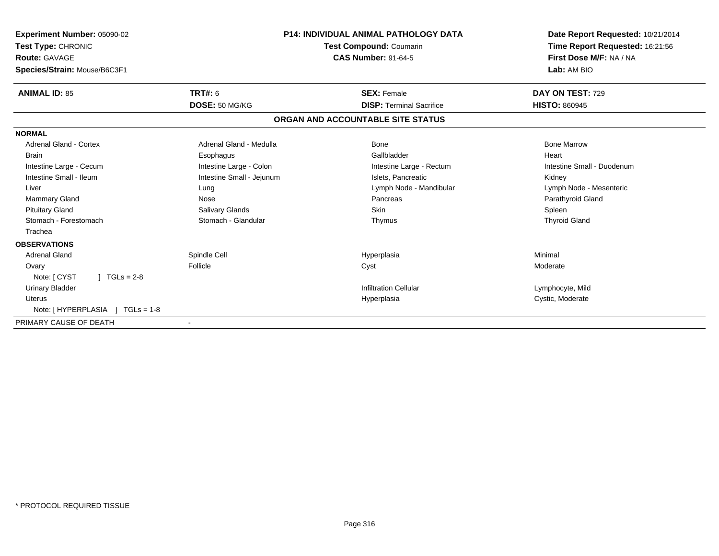| Experiment Number: 05090-02<br>Test Type: CHRONIC<br><b>Route: GAVAGE</b><br>Species/Strain: Mouse/B6C3F1 |                           | <b>P14: INDIVIDUAL ANIMAL PATHOLOGY DATA</b><br><b>Test Compound: Coumarin</b><br><b>CAS Number: 91-64-5</b> | Date Report Requested: 10/21/2014<br>Time Report Requested: 16:21:56<br>First Dose M/F: NA / NA<br>Lab: AM BIO |
|-----------------------------------------------------------------------------------------------------------|---------------------------|--------------------------------------------------------------------------------------------------------------|----------------------------------------------------------------------------------------------------------------|
| <b>ANIMAL ID: 85</b>                                                                                      | <b>TRT#: 6</b>            | <b>SEX: Female</b>                                                                                           | DAY ON TEST: 729                                                                                               |
|                                                                                                           | DOSE: 50 MG/KG            | <b>DISP: Terminal Sacrifice</b>                                                                              | <b>HISTO: 860945</b>                                                                                           |
|                                                                                                           |                           | ORGAN AND ACCOUNTABLE SITE STATUS                                                                            |                                                                                                                |
| <b>NORMAL</b>                                                                                             |                           |                                                                                                              |                                                                                                                |
| <b>Adrenal Gland - Cortex</b>                                                                             | Adrenal Gland - Medulla   | Bone                                                                                                         | <b>Bone Marrow</b>                                                                                             |
| <b>Brain</b>                                                                                              | Esophagus                 | Gallbladder                                                                                                  | Heart                                                                                                          |
| Intestine Large - Cecum                                                                                   | Intestine Large - Colon   | Intestine Large - Rectum                                                                                     | Intestine Small - Duodenum                                                                                     |
| Intestine Small - Ileum                                                                                   | Intestine Small - Jejunum | Islets, Pancreatic                                                                                           | Kidney                                                                                                         |
| Liver                                                                                                     | Lung                      | Lymph Node - Mandibular                                                                                      | Lymph Node - Mesenteric                                                                                        |
| Mammary Gland                                                                                             | Nose                      | Pancreas                                                                                                     | Parathyroid Gland                                                                                              |
| <b>Pituitary Gland</b>                                                                                    | Salivary Glands           | <b>Skin</b>                                                                                                  | Spleen                                                                                                         |
| Stomach - Forestomach                                                                                     | Stomach - Glandular       | Thymus                                                                                                       | <b>Thyroid Gland</b>                                                                                           |
| Trachea                                                                                                   |                           |                                                                                                              |                                                                                                                |
| <b>OBSERVATIONS</b>                                                                                       |                           |                                                                                                              |                                                                                                                |
| <b>Adrenal Gland</b>                                                                                      | Spindle Cell              | Hyperplasia                                                                                                  | Minimal                                                                                                        |
| Ovary                                                                                                     | Follicle                  | Cyst                                                                                                         | Moderate                                                                                                       |
| Note: [ CYST<br>$TGLs = 2-8$                                                                              |                           |                                                                                                              |                                                                                                                |
| <b>Urinary Bladder</b>                                                                                    |                           | <b>Infiltration Cellular</b>                                                                                 | Lymphocyte, Mild                                                                                               |
| Uterus                                                                                                    |                           | Hyperplasia                                                                                                  | Cystic, Moderate                                                                                               |
| Note: [HYPERPLASIA ] TGLs = 1-8                                                                           |                           |                                                                                                              |                                                                                                                |
| PRIMARY CAUSE OF DEATH                                                                                    |                           |                                                                                                              |                                                                                                                |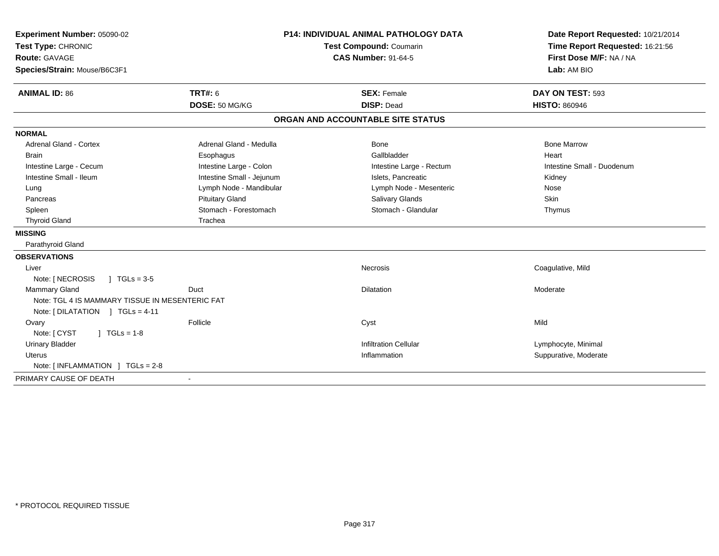| Experiment Number: 05090-02                     |                                                       | <b>P14: INDIVIDUAL ANIMAL PATHOLOGY DATA</b> | Date Report Requested: 10/21/2014                          |
|-------------------------------------------------|-------------------------------------------------------|----------------------------------------------|------------------------------------------------------------|
| Test Type: CHRONIC                              | Test Compound: Coumarin<br><b>CAS Number: 91-64-5</b> |                                              | Time Report Requested: 16:21:56<br>First Dose M/F: NA / NA |
| <b>Route: GAVAGE</b>                            |                                                       |                                              |                                                            |
| Species/Strain: Mouse/B6C3F1                    |                                                       |                                              | Lab: AM BIO                                                |
| <b>ANIMAL ID: 86</b>                            | <b>TRT#: 6</b>                                        | <b>SEX: Female</b>                           | DAY ON TEST: 593                                           |
|                                                 | DOSE: 50 MG/KG                                        | <b>DISP: Dead</b>                            | <b>HISTO: 860946</b>                                       |
|                                                 |                                                       | ORGAN AND ACCOUNTABLE SITE STATUS            |                                                            |
| <b>NORMAL</b>                                   |                                                       |                                              |                                                            |
| <b>Adrenal Gland - Cortex</b>                   | Adrenal Gland - Medulla                               | Bone                                         | <b>Bone Marrow</b>                                         |
| <b>Brain</b>                                    | Esophagus                                             | Gallbladder                                  | Heart                                                      |
| Intestine Large - Cecum                         | Intestine Large - Colon                               | Intestine Large - Rectum                     | Intestine Small - Duodenum                                 |
| Intestine Small - Ileum                         | Intestine Small - Jejunum                             | Islets. Pancreatic                           | Kidney                                                     |
| Lung                                            | Lymph Node - Mandibular                               | Lymph Node - Mesenteric                      | Nose                                                       |
| Pancreas                                        | <b>Pituitary Gland</b>                                | Salivary Glands                              | Skin                                                       |
| Spleen                                          | Stomach - Forestomach                                 | Stomach - Glandular                          | Thymus                                                     |
| <b>Thyroid Gland</b>                            | Trachea                                               |                                              |                                                            |
| <b>MISSING</b>                                  |                                                       |                                              |                                                            |
| Parathyroid Gland                               |                                                       |                                              |                                                            |
| <b>OBSERVATIONS</b>                             |                                                       |                                              |                                                            |
| Liver                                           |                                                       | Necrosis                                     | Coagulative, Mild                                          |
| Note: [ NECROSIS<br>$\sqrt{ }$ TGLs = 3-5       |                                                       |                                              |                                                            |
| <b>Mammary Gland</b>                            | Duct                                                  | Dilatation                                   | Moderate                                                   |
| Note: TGL 4 IS MAMMARY TISSUE IN MESENTERIC FAT |                                                       |                                              |                                                            |
| Note: [DILATATION ] TGLs = 4-11                 |                                                       |                                              |                                                            |
| Ovary                                           | Follicle                                              | Cyst                                         | Mild                                                       |
| Note: [ CYST<br>$1 TGLs = 1-8$                  |                                                       |                                              |                                                            |
| <b>Urinary Bladder</b>                          |                                                       | <b>Infiltration Cellular</b>                 | Lymphocyte, Minimal                                        |
| <b>Uterus</b>                                   |                                                       | Inflammation                                 | Suppurative, Moderate                                      |
| Note: $\lceil$ INFLAMMATION $\lceil$ TGLs = 2-8 |                                                       |                                              |                                                            |
| PRIMARY CAUSE OF DEATH                          |                                                       |                                              |                                                            |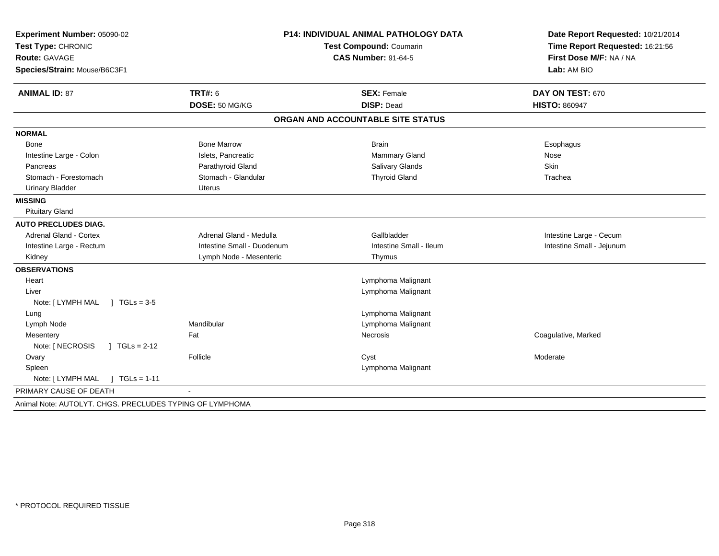| Experiment Number: 05090-02                              |                            | <b>P14: INDIVIDUAL ANIMAL PATHOLOGY DATA</b> | Date Report Requested: 10/21/2014      |
|----------------------------------------------------------|----------------------------|----------------------------------------------|----------------------------------------|
| Test Type: CHRONIC                                       | Test Compound: Coumarin    |                                              | Time Report Requested: 16:21:56        |
| <b>Route: GAVAGE</b>                                     |                            | <b>CAS Number: 91-64-5</b>                   | First Dose M/F: NA / NA<br>Lab: AM BIO |
| Species/Strain: Mouse/B6C3F1                             |                            |                                              |                                        |
| <b>ANIMAL ID: 87</b>                                     | <b>TRT#: 6</b>             | <b>SEX: Female</b>                           | DAY ON TEST: 670                       |
|                                                          | DOSE: 50 MG/KG             | <b>DISP: Dead</b>                            | <b>HISTO: 860947</b>                   |
|                                                          |                            | ORGAN AND ACCOUNTABLE SITE STATUS            |                                        |
| <b>NORMAL</b>                                            |                            |                                              |                                        |
| <b>Bone</b>                                              | <b>Bone Marrow</b>         | <b>Brain</b>                                 | Esophagus                              |
| Intestine Large - Colon                                  | Islets, Pancreatic         | <b>Mammary Gland</b>                         | Nose                                   |
| Pancreas                                                 | Parathyroid Gland          | Salivary Glands                              | Skin                                   |
| Stomach - Forestomach                                    | Stomach - Glandular        | <b>Thyroid Gland</b>                         | Trachea                                |
| <b>Urinary Bladder</b>                                   | Uterus                     |                                              |                                        |
| <b>MISSING</b>                                           |                            |                                              |                                        |
| <b>Pituitary Gland</b>                                   |                            |                                              |                                        |
| <b>AUTO PRECLUDES DIAG.</b>                              |                            |                                              |                                        |
| <b>Adrenal Gland - Cortex</b>                            | Adrenal Gland - Medulla    | Gallbladder                                  | Intestine Large - Cecum                |
| Intestine Large - Rectum                                 | Intestine Small - Duodenum | Intestine Small - Ileum                      | Intestine Small - Jejunum              |
| Kidney                                                   | Lymph Node - Mesenteric    | Thymus                                       |                                        |
| <b>OBSERVATIONS</b>                                      |                            |                                              |                                        |
| Heart                                                    |                            | Lymphoma Malignant                           |                                        |
| Liver                                                    |                            | Lymphoma Malignant                           |                                        |
| Note: [LYMPH MAL ] TGLs = 3-5                            |                            |                                              |                                        |
| Lung                                                     |                            | Lymphoma Malignant                           |                                        |
| Lymph Node                                               | Mandibular                 | Lymphoma Malignant                           |                                        |
| Mesentery                                                | Fat                        | Necrosis                                     | Coagulative, Marked                    |
| Note: [ NECROSIS<br>$\sqrt{1}$ TGLs = 2-12               |                            |                                              |                                        |
| Ovary                                                    | Follicle                   | Cyst                                         | Moderate                               |
| Spleen                                                   |                            | Lymphoma Malignant                           |                                        |
| Note: [ LYMPH MAL<br>$1 TGLs = 1-11$                     |                            |                                              |                                        |
| PRIMARY CAUSE OF DEATH                                   |                            |                                              |                                        |
| Animal Note: AUTOLYT, CHGS, PRECLUDES TYPING OF LYMPHOMA |                            |                                              |                                        |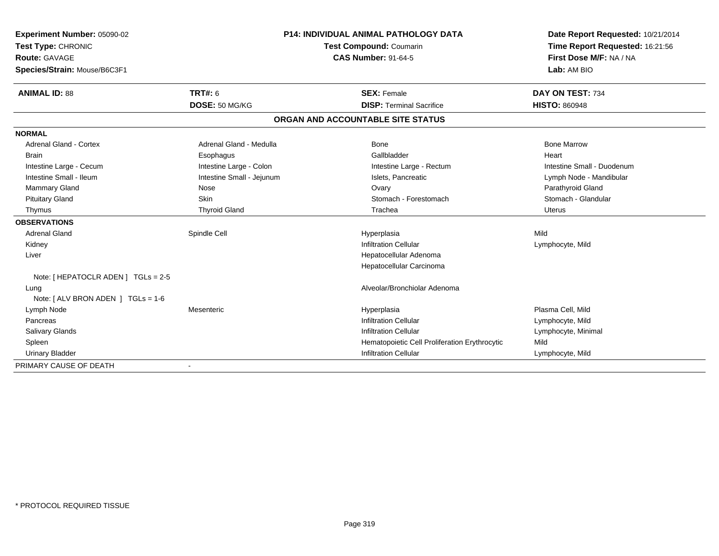| Experiment Number: 05090-02<br>Test Type: CHRONIC<br><b>Route: GAVAGE</b><br>Species/Strain: Mouse/B6C3F1 |                           | <b>P14: INDIVIDUAL ANIMAL PATHOLOGY DATA</b><br>Test Compound: Coumarin<br><b>CAS Number: 91-64-5</b> |                                               | Date Report Requested: 10/21/2014<br>Time Report Requested: 16:21:56<br>First Dose M/F: NA / NA<br>Lab: AM BIO |
|-----------------------------------------------------------------------------------------------------------|---------------------------|-------------------------------------------------------------------------------------------------------|-----------------------------------------------|----------------------------------------------------------------------------------------------------------------|
| <b>ANIMAL ID: 88</b>                                                                                      | <b>TRT#: 6</b>            |                                                                                                       | <b>SEX: Female</b>                            | DAY ON TEST: 734                                                                                               |
|                                                                                                           | DOSE: 50 MG/KG            |                                                                                                       | <b>DISP: Terminal Sacrifice</b>               | <b>HISTO: 860948</b>                                                                                           |
|                                                                                                           |                           |                                                                                                       | ORGAN AND ACCOUNTABLE SITE STATUS             |                                                                                                                |
| <b>NORMAL</b>                                                                                             |                           |                                                                                                       |                                               |                                                                                                                |
| <b>Adrenal Gland - Cortex</b>                                                                             | Adrenal Gland - Medulla   |                                                                                                       | Bone                                          | <b>Bone Marrow</b>                                                                                             |
| <b>Brain</b>                                                                                              | Esophagus                 |                                                                                                       | Gallbladder                                   | Heart                                                                                                          |
| Intestine Large - Cecum                                                                                   | Intestine Large - Colon   |                                                                                                       | Intestine Large - Rectum                      | Intestine Small - Duodenum                                                                                     |
| Intestine Small - Ileum                                                                                   | Intestine Small - Jejunum |                                                                                                       | Islets, Pancreatic                            | Lymph Node - Mandibular                                                                                        |
| Mammary Gland                                                                                             | Nose                      |                                                                                                       | Ovary                                         | Parathyroid Gland                                                                                              |
| <b>Pituitary Gland</b>                                                                                    | Skin                      |                                                                                                       | Stomach - Forestomach                         | Stomach - Glandular                                                                                            |
| Thymus                                                                                                    | <b>Thyroid Gland</b>      |                                                                                                       | Trachea                                       | <b>Uterus</b>                                                                                                  |
| <b>OBSERVATIONS</b>                                                                                       |                           |                                                                                                       |                                               |                                                                                                                |
| <b>Adrenal Gland</b>                                                                                      | Spindle Cell              |                                                                                                       | Hyperplasia                                   | Mild                                                                                                           |
| Kidney                                                                                                    |                           |                                                                                                       | <b>Infiltration Cellular</b>                  | Lymphocyte, Mild                                                                                               |
| Liver                                                                                                     |                           |                                                                                                       | Hepatocellular Adenoma                        |                                                                                                                |
|                                                                                                           |                           |                                                                                                       | Hepatocellular Carcinoma                      |                                                                                                                |
| Note: [ HEPATOCLR ADEN ] TGLs = 2-5                                                                       |                           |                                                                                                       |                                               |                                                                                                                |
| Lung                                                                                                      |                           |                                                                                                       | Alveolar/Bronchiolar Adenoma                  |                                                                                                                |
| Note: [ ALV BRON ADEN ] TGLs = 1-6                                                                        |                           |                                                                                                       |                                               |                                                                                                                |
| Lymph Node                                                                                                | Mesenteric                |                                                                                                       | Hyperplasia                                   | Plasma Cell, Mild                                                                                              |
| Pancreas                                                                                                  |                           |                                                                                                       | <b>Infiltration Cellular</b>                  | Lymphocyte, Mild                                                                                               |
| Salivary Glands                                                                                           |                           |                                                                                                       | <b>Infiltration Cellular</b>                  | Lymphocyte, Minimal                                                                                            |
| Spleen                                                                                                    |                           |                                                                                                       | Hematopoietic Cell Proliferation Erythrocytic | Mild                                                                                                           |
| <b>Urinary Bladder</b>                                                                                    |                           |                                                                                                       | <b>Infiltration Cellular</b>                  | Lymphocyte, Mild                                                                                               |
| PRIMARY CAUSE OF DEATH                                                                                    | $\overline{\phantom{a}}$  |                                                                                                       |                                               |                                                                                                                |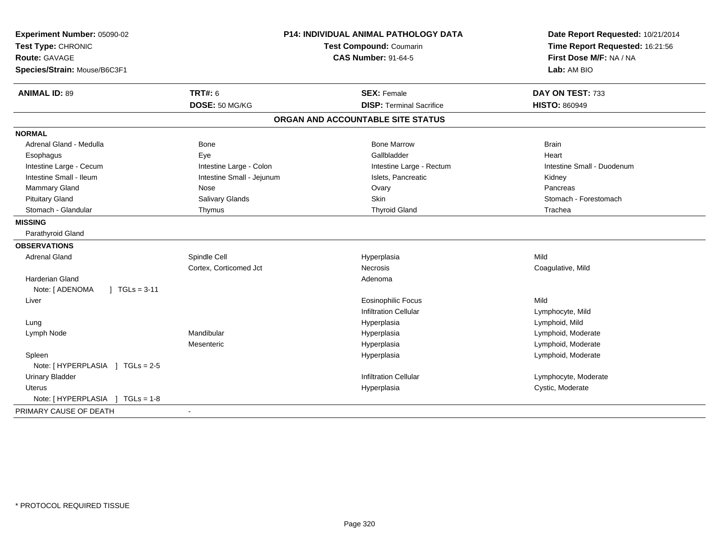| Experiment Number: 05090-02        |                           | <b>P14: INDIVIDUAL ANIMAL PATHOLOGY DATA</b> | Date Report Requested: 10/21/2014                          |
|------------------------------------|---------------------------|----------------------------------------------|------------------------------------------------------------|
| Test Type: CHRONIC                 |                           | <b>Test Compound: Coumarin</b>               | Time Report Requested: 16:21:56<br>First Dose M/F: NA / NA |
| <b>Route: GAVAGE</b>               |                           | <b>CAS Number: 91-64-5</b>                   |                                                            |
| Species/Strain: Mouse/B6C3F1       |                           |                                              | Lab: AM BIO                                                |
| <b>ANIMAL ID: 89</b>               | <b>TRT#: 6</b>            | <b>SEX: Female</b>                           | DAY ON TEST: 733                                           |
|                                    | DOSE: 50 MG/KG            | <b>DISP: Terminal Sacrifice</b>              | <b>HISTO: 860949</b>                                       |
|                                    |                           | ORGAN AND ACCOUNTABLE SITE STATUS            |                                                            |
| <b>NORMAL</b>                      |                           |                                              |                                                            |
| Adrenal Gland - Medulla            | Bone                      | <b>Bone Marrow</b>                           | <b>Brain</b>                                               |
| Esophagus                          | Eye                       | Gallbladder                                  | Heart                                                      |
| Intestine Large - Cecum            | Intestine Large - Colon   | Intestine Large - Rectum                     | Intestine Small - Duodenum                                 |
| Intestine Small - Ileum            | Intestine Small - Jejunum | Islets, Pancreatic                           | Kidney                                                     |
| <b>Mammary Gland</b>               | Nose                      | Ovary                                        | Pancreas                                                   |
| <b>Pituitary Gland</b>             | Salivary Glands           | Skin                                         | Stomach - Forestomach                                      |
| Stomach - Glandular                | Thymus                    | <b>Thyroid Gland</b>                         | Trachea                                                    |
| <b>MISSING</b>                     |                           |                                              |                                                            |
| Parathyroid Gland                  |                           |                                              |                                                            |
| <b>OBSERVATIONS</b>                |                           |                                              |                                                            |
| <b>Adrenal Gland</b>               | Spindle Cell              | Hyperplasia                                  | Mild                                                       |
|                                    | Cortex, Corticomed Jct    | <b>Necrosis</b>                              | Coagulative, Mild                                          |
| <b>Harderian Gland</b>             |                           | Adenoma                                      |                                                            |
| Note: [ ADENOMA<br>$1 TGLs = 3-11$ |                           |                                              |                                                            |
| Liver                              |                           | <b>Eosinophilic Focus</b>                    | Mild                                                       |
|                                    |                           | <b>Infiltration Cellular</b>                 | Lymphocyte, Mild                                           |
| Lung                               |                           | Hyperplasia                                  | Lymphoid, Mild                                             |
| Lymph Node                         | Mandibular                | Hyperplasia                                  | Lymphoid, Moderate                                         |
|                                    | Mesenteric                | Hyperplasia                                  | Lymphoid, Moderate                                         |
| Spleen                             |                           | Hyperplasia                                  | Lymphoid, Moderate                                         |
| Note: [HYPERPLASIA ] TGLs = 2-5    |                           |                                              |                                                            |
| <b>Urinary Bladder</b>             |                           | <b>Infiltration Cellular</b>                 | Lymphocyte, Moderate                                       |
| <b>Uterus</b>                      |                           | Hyperplasia                                  | Cystic, Moderate                                           |
| Note: [HYPERPLASIA ] TGLs = 1-8    |                           |                                              |                                                            |
| PRIMARY CAUSE OF DEATH             |                           |                                              |                                                            |
|                                    |                           |                                              |                                                            |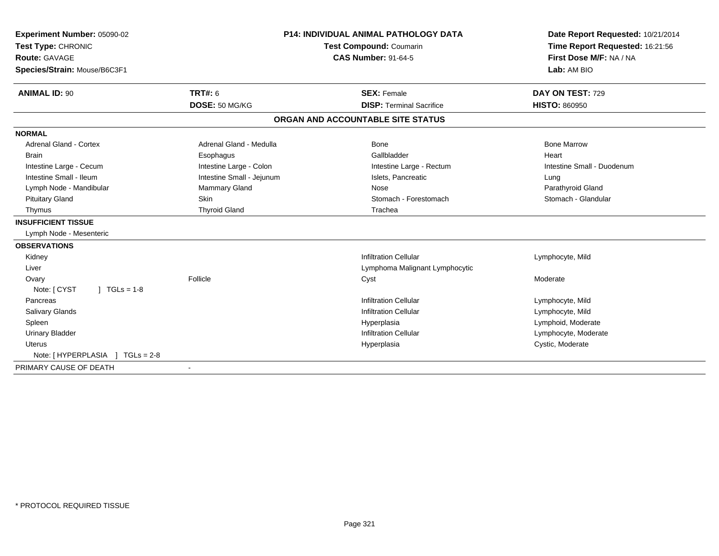| Experiment Number: 05090-02<br>Test Type: CHRONIC<br><b>Route: GAVAGE</b> | <b>P14: INDIVIDUAL ANIMAL PATHOLOGY DATA</b><br><b>Test Compound: Coumarin</b><br><b>CAS Number: 91-64-5</b> |                                   | Date Report Requested: 10/21/2014<br>Time Report Requested: 16:21:56<br>First Dose M/F: NA / NA |
|---------------------------------------------------------------------------|--------------------------------------------------------------------------------------------------------------|-----------------------------------|-------------------------------------------------------------------------------------------------|
| Species/Strain: Mouse/B6C3F1                                              |                                                                                                              |                                   | Lab: AM BIO                                                                                     |
| <b>ANIMAL ID: 90</b>                                                      | TRT#: 6                                                                                                      | <b>SEX: Female</b>                | DAY ON TEST: 729                                                                                |
|                                                                           | DOSE: 50 MG/KG                                                                                               | <b>DISP: Terminal Sacrifice</b>   | <b>HISTO: 860950</b>                                                                            |
|                                                                           |                                                                                                              | ORGAN AND ACCOUNTABLE SITE STATUS |                                                                                                 |
| <b>NORMAL</b>                                                             |                                                                                                              |                                   |                                                                                                 |
| <b>Adrenal Gland - Cortex</b>                                             | Adrenal Gland - Medulla                                                                                      | <b>Bone</b>                       | <b>Bone Marrow</b>                                                                              |
| <b>Brain</b>                                                              | Esophagus                                                                                                    | Gallbladder                       | Heart                                                                                           |
| Intestine Large - Cecum                                                   | Intestine Large - Colon                                                                                      | Intestine Large - Rectum          | Intestine Small - Duodenum                                                                      |
| Intestine Small - Ileum                                                   | Intestine Small - Jejunum                                                                                    | Islets, Pancreatic                | Lung                                                                                            |
| Lymph Node - Mandibular                                                   | <b>Mammary Gland</b>                                                                                         | Nose                              | Parathyroid Gland                                                                               |
| <b>Pituitary Gland</b>                                                    | <b>Skin</b>                                                                                                  | Stomach - Forestomach             | Stomach - Glandular                                                                             |
| Thymus                                                                    | <b>Thyroid Gland</b>                                                                                         | Trachea                           |                                                                                                 |
| <b>INSUFFICIENT TISSUE</b>                                                |                                                                                                              |                                   |                                                                                                 |
| Lymph Node - Mesenteric                                                   |                                                                                                              |                                   |                                                                                                 |
| <b>OBSERVATIONS</b>                                                       |                                                                                                              |                                   |                                                                                                 |
| Kidney                                                                    |                                                                                                              | <b>Infiltration Cellular</b>      | Lymphocyte, Mild                                                                                |
| Liver                                                                     |                                                                                                              | Lymphoma Malignant Lymphocytic    |                                                                                                 |
| Ovary                                                                     | Follicle                                                                                                     | Cyst                              | Moderate                                                                                        |
| Note: [ CYST<br>$1 TGLs = 1-8$                                            |                                                                                                              |                                   |                                                                                                 |
| Pancreas                                                                  |                                                                                                              | <b>Infiltration Cellular</b>      | Lymphocyte, Mild                                                                                |
| Salivary Glands                                                           |                                                                                                              | <b>Infiltration Cellular</b>      | Lymphocyte, Mild                                                                                |
| Spleen                                                                    |                                                                                                              | Hyperplasia                       | Lymphoid, Moderate                                                                              |
| <b>Urinary Bladder</b>                                                    |                                                                                                              | <b>Infiltration Cellular</b>      | Lymphocyte, Moderate                                                                            |
| <b>Uterus</b>                                                             |                                                                                                              | Hyperplasia                       | Cystic, Moderate                                                                                |
| $TGLs = 2-8$<br>Note: [HYPERPLASIA ]                                      |                                                                                                              |                                   |                                                                                                 |
| PRIMARY CAUSE OF DEATH                                                    |                                                                                                              |                                   |                                                                                                 |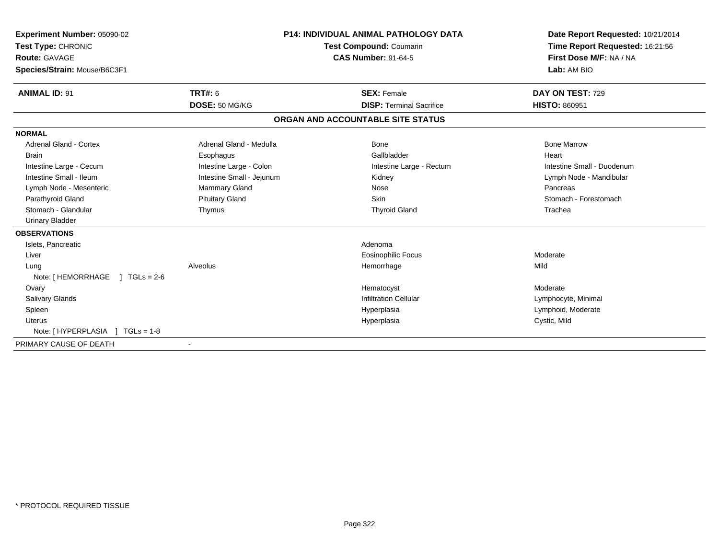| <b>Experiment Number: 05090-02</b><br>Test Type: CHRONIC<br><b>Route: GAVAGE</b> |                           | <b>P14: INDIVIDUAL ANIMAL PATHOLOGY DATA</b><br>Test Compound: Coumarin<br><b>CAS Number: 91-64-5</b> | Date Report Requested: 10/21/2014<br>Time Report Requested: 16:21:56<br>First Dose M/F: NA / NA |  |
|----------------------------------------------------------------------------------|---------------------------|-------------------------------------------------------------------------------------------------------|-------------------------------------------------------------------------------------------------|--|
| Species/Strain: Mouse/B6C3F1                                                     |                           |                                                                                                       | Lab: AM BIO                                                                                     |  |
| <b>ANIMAL ID: 91</b>                                                             | TRT#: 6                   | <b>SEX: Female</b>                                                                                    | DAY ON TEST: 729                                                                                |  |
|                                                                                  | DOSE: 50 MG/KG            | <b>DISP: Terminal Sacrifice</b>                                                                       | <b>HISTO: 860951</b>                                                                            |  |
|                                                                                  |                           | ORGAN AND ACCOUNTABLE SITE STATUS                                                                     |                                                                                                 |  |
| <b>NORMAL</b>                                                                    |                           |                                                                                                       |                                                                                                 |  |
| Adrenal Gland - Cortex                                                           | Adrenal Gland - Medulla   | Bone                                                                                                  | <b>Bone Marrow</b>                                                                              |  |
| <b>Brain</b>                                                                     | Esophagus                 | Gallbladder                                                                                           | Heart                                                                                           |  |
| Intestine Large - Cecum                                                          | Intestine Large - Colon   | Intestine Large - Rectum                                                                              | Intestine Small - Duodenum                                                                      |  |
| Intestine Small - Ileum                                                          | Intestine Small - Jejunum | Kidney                                                                                                | Lymph Node - Mandibular                                                                         |  |
| Lymph Node - Mesenteric                                                          | Mammary Gland             | Nose                                                                                                  | Pancreas                                                                                        |  |
| Parathyroid Gland                                                                | <b>Pituitary Gland</b>    | Skin                                                                                                  | Stomach - Forestomach                                                                           |  |
| Stomach - Glandular                                                              | Thymus                    | <b>Thyroid Gland</b>                                                                                  | Trachea                                                                                         |  |
| <b>Urinary Bladder</b>                                                           |                           |                                                                                                       |                                                                                                 |  |
| <b>OBSERVATIONS</b>                                                              |                           |                                                                                                       |                                                                                                 |  |
| Islets, Pancreatic                                                               |                           | Adenoma                                                                                               |                                                                                                 |  |
| Liver                                                                            |                           | <b>Eosinophilic Focus</b>                                                                             | Moderate                                                                                        |  |
| Lung                                                                             | Alveolus                  | Hemorrhage                                                                                            | Mild                                                                                            |  |
| Note: [ HEMORRHAGE<br>$1 \text{ TGLs} = 2.6$                                     |                           |                                                                                                       |                                                                                                 |  |
| Ovary                                                                            |                           | Hematocyst                                                                                            | Moderate                                                                                        |  |
| <b>Salivary Glands</b>                                                           |                           | <b>Infiltration Cellular</b>                                                                          | Lymphocyte, Minimal                                                                             |  |
| Spleen                                                                           |                           | Hyperplasia                                                                                           | Lymphoid, Moderate                                                                              |  |
| <b>Uterus</b>                                                                    |                           | Hyperplasia                                                                                           | Cystic, Mild                                                                                    |  |
| Note: [HYPERPLASIA ] TGLs = 1-8                                                  |                           |                                                                                                       |                                                                                                 |  |
| PRIMARY CAUSE OF DEATH                                                           |                           |                                                                                                       |                                                                                                 |  |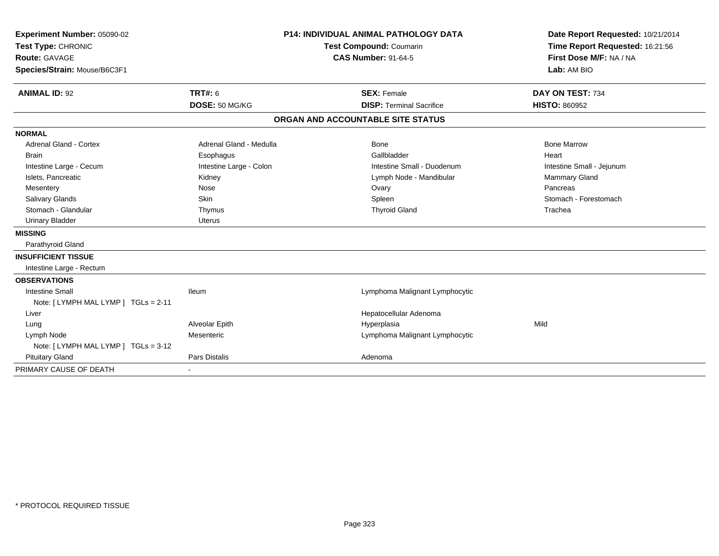| Experiment Number: 05090-02          |                                | <b>P14: INDIVIDUAL ANIMAL PATHOLOGY DATA</b> | Date Report Requested: 10/21/2014 |
|--------------------------------------|--------------------------------|----------------------------------------------|-----------------------------------|
| Test Type: CHRONIC                   | <b>Test Compound: Coumarin</b> |                                              | Time Report Requested: 16:21:56   |
| <b>Route: GAVAGE</b>                 |                                | <b>CAS Number: 91-64-5</b>                   | First Dose M/F: NA / NA           |
| Species/Strain: Mouse/B6C3F1         |                                |                                              | Lab: AM BIO                       |
| <b>ANIMAL ID: 92</b>                 | TRT#: 6                        | <b>SEX: Female</b>                           | DAY ON TEST: 734                  |
|                                      | DOSE: 50 MG/KG                 | <b>DISP: Terminal Sacrifice</b>              | <b>HISTO: 860952</b>              |
|                                      |                                | ORGAN AND ACCOUNTABLE SITE STATUS            |                                   |
| <b>NORMAL</b>                        |                                |                                              |                                   |
| <b>Adrenal Gland - Cortex</b>        | Adrenal Gland - Medulla        | <b>Bone</b>                                  | <b>Bone Marrow</b>                |
| <b>Brain</b>                         | Esophagus                      | Gallbladder                                  | Heart                             |
| Intestine Large - Cecum              | Intestine Large - Colon        | Intestine Small - Duodenum                   | Intestine Small - Jejunum         |
| Islets, Pancreatic                   | Kidney                         | Lymph Node - Mandibular                      | Mammary Gland                     |
| Mesentery                            | Nose                           | Ovary                                        | Pancreas                          |
| <b>Salivary Glands</b>               | Skin                           | Spleen                                       | Stomach - Forestomach             |
| Stomach - Glandular                  | Thymus                         | <b>Thyroid Gland</b>                         | Trachea                           |
| <b>Urinary Bladder</b>               | Uterus                         |                                              |                                   |
| <b>MISSING</b>                       |                                |                                              |                                   |
| Parathyroid Gland                    |                                |                                              |                                   |
| <b>INSUFFICIENT TISSUE</b>           |                                |                                              |                                   |
| Intestine Large - Rectum             |                                |                                              |                                   |
| <b>OBSERVATIONS</b>                  |                                |                                              |                                   |
| <b>Intestine Small</b>               | <b>Ileum</b>                   | Lymphoma Malignant Lymphocytic               |                                   |
| Note: [LYMPH MAL LYMP ] TGLs = 2-11  |                                |                                              |                                   |
| Liver                                |                                | Hepatocellular Adenoma                       |                                   |
| Lung                                 | Alveolar Epith                 | Hyperplasia                                  | Mild                              |
| Lymph Node                           | Mesenteric                     | Lymphoma Malignant Lymphocytic               |                                   |
| Note: [ LYMPH MAL LYMP ] TGLs = 3-12 |                                |                                              |                                   |
| <b>Pituitary Gland</b>               | Pars Distalis                  | Adenoma                                      |                                   |
| PRIMARY CAUSE OF DEATH               |                                |                                              |                                   |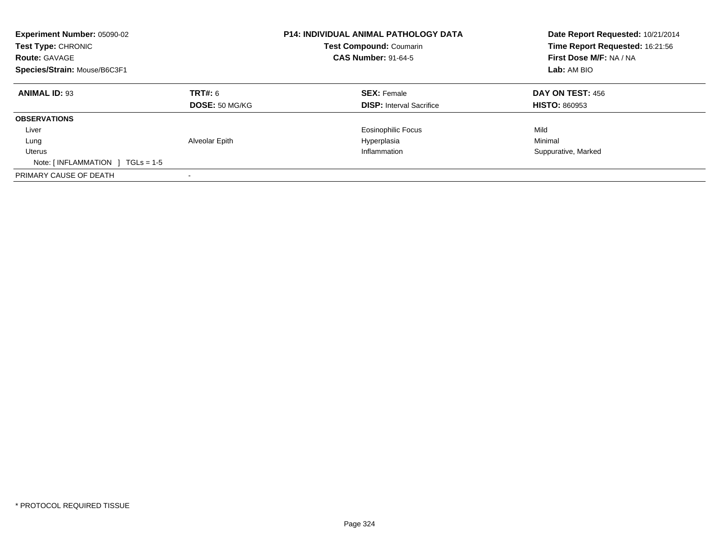| Experiment Number: 05090-02<br>Test Type: CHRONIC<br><b>Route: GAVAGE</b><br>Species/Strain: Mouse/B6C3F1 |                                         | <b>P14: INDIVIDUAL ANIMAL PATHOLOGY DATA</b><br>Test Compound: Coumarin<br><b>CAS Number: 91-64-5</b> | Date Report Requested: 10/21/2014<br>Time Report Requested: 16:21:56<br>First Dose M/F: NA / NA<br>Lab: AM BIO |
|-----------------------------------------------------------------------------------------------------------|-----------------------------------------|-------------------------------------------------------------------------------------------------------|----------------------------------------------------------------------------------------------------------------|
| <b>ANIMAL ID: 93</b>                                                                                      | <b>TRT#: 6</b><br><b>DOSE: 50 MG/KG</b> | <b>SEX: Female</b><br><b>DISP:</b> Interval Sacrifice                                                 | DAY ON TEST: 456<br><b>HISTO: 860953</b>                                                                       |
| <b>OBSERVATIONS</b>                                                                                       |                                         |                                                                                                       |                                                                                                                |
| Liver                                                                                                     |                                         | <b>Eosinophilic Focus</b>                                                                             | Mild                                                                                                           |
| Lung                                                                                                      | Alveolar Epith                          | Hyperplasia                                                                                           | Minimal                                                                                                        |
| Uterus                                                                                                    |                                         | Inflammation                                                                                          | Suppurative, Marked                                                                                            |
| Note: $\lceil$ INFLAMMATION $\lceil$ TGLs = 1-5                                                           |                                         |                                                                                                       |                                                                                                                |
| PRIMARY CAUSE OF DEATH                                                                                    |                                         |                                                                                                       |                                                                                                                |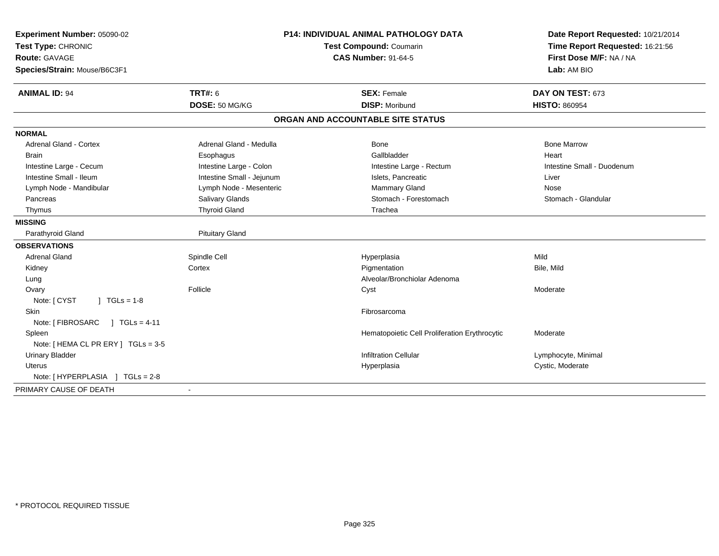| Experiment Number: 05090-02<br>Test Type: CHRONIC | <b>P14: INDIVIDUAL ANIMAL PATHOLOGY DATA</b><br>Test Compound: Coumarin<br><b>CAS Number: 91-64-5</b> |                                               | Date Report Requested: 10/21/2014<br>Time Report Requested: 16:21:56 |
|---------------------------------------------------|-------------------------------------------------------------------------------------------------------|-----------------------------------------------|----------------------------------------------------------------------|
| <b>Route: GAVAGE</b>                              |                                                                                                       |                                               | First Dose M/F: NA / NA                                              |
| Species/Strain: Mouse/B6C3F1                      |                                                                                                       |                                               | Lab: AM BIO                                                          |
| <b>ANIMAL ID: 94</b>                              | TRT#: 6                                                                                               | <b>SEX: Female</b>                            | DAY ON TEST: 673                                                     |
|                                                   | DOSE: 50 MG/KG                                                                                        | <b>DISP: Moribund</b>                         | <b>HISTO: 860954</b>                                                 |
|                                                   |                                                                                                       | ORGAN AND ACCOUNTABLE SITE STATUS             |                                                                      |
| <b>NORMAL</b>                                     |                                                                                                       |                                               |                                                                      |
| <b>Adrenal Gland - Cortex</b>                     | Adrenal Gland - Medulla                                                                               | <b>Bone</b>                                   | <b>Bone Marrow</b>                                                   |
| <b>Brain</b>                                      | Esophagus                                                                                             | Gallbladder                                   | Heart                                                                |
| Intestine Large - Cecum                           | Intestine Large - Colon                                                                               | Intestine Large - Rectum                      | Intestine Small - Duodenum                                           |
| Intestine Small - Ileum                           | Intestine Small - Jejunum                                                                             | Islets, Pancreatic                            | Liver                                                                |
| Lymph Node - Mandibular                           | Lymph Node - Mesenteric                                                                               | Mammary Gland                                 | Nose                                                                 |
| Pancreas                                          | Salivary Glands                                                                                       | Stomach - Forestomach                         | Stomach - Glandular                                                  |
| Thymus                                            | <b>Thyroid Gland</b>                                                                                  | Trachea                                       |                                                                      |
| <b>MISSING</b>                                    |                                                                                                       |                                               |                                                                      |
| Parathyroid Gland                                 | <b>Pituitary Gland</b>                                                                                |                                               |                                                                      |
| <b>OBSERVATIONS</b>                               |                                                                                                       |                                               |                                                                      |
| <b>Adrenal Gland</b>                              | Spindle Cell                                                                                          | Hyperplasia                                   | Mild                                                                 |
| Kidney                                            | Cortex                                                                                                | Pigmentation                                  | Bile, Mild                                                           |
| Lung                                              |                                                                                                       | Alveolar/Bronchiolar Adenoma                  |                                                                      |
| Ovary                                             | Follicle                                                                                              | Cyst                                          | Moderate                                                             |
| Note: [ CYST<br>$1 TGLs = 1-8$                    |                                                                                                       |                                               |                                                                      |
| Skin                                              |                                                                                                       | Fibrosarcoma                                  |                                                                      |
| Note: [ FIBROSARC<br>$J \cdot TGLS = 4-11$        |                                                                                                       |                                               |                                                                      |
| Spleen                                            |                                                                                                       | Hematopoietic Cell Proliferation Erythrocytic | Moderate                                                             |
| Note: [ HEMA CL PR ERY ] TGLs = 3-5               |                                                                                                       |                                               |                                                                      |
| <b>Urinary Bladder</b>                            |                                                                                                       | Infiltration Cellular                         | Lymphocyte, Minimal                                                  |
| Uterus                                            |                                                                                                       | Hyperplasia                                   | Cystic, Moderate                                                     |
| Note: [HYPERPLASIA ] TGLs = 2-8                   |                                                                                                       |                                               |                                                                      |
| PRIMARY CAUSE OF DEATH                            |                                                                                                       |                                               |                                                                      |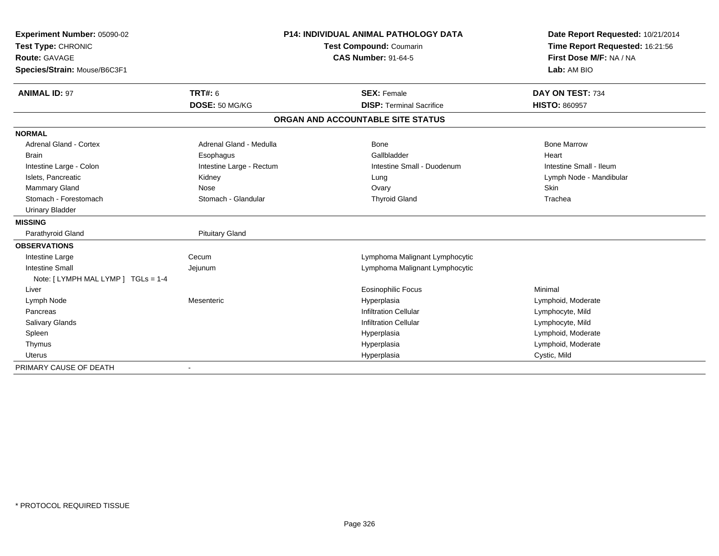| Experiment Number: 05090-02         |                          | <b>P14: INDIVIDUAL ANIMAL PATHOLOGY DATA</b> | Date Report Requested: 10/21/2014 |  |
|-------------------------------------|--------------------------|----------------------------------------------|-----------------------------------|--|
| Test Type: CHRONIC                  | Test Compound: Coumarin  |                                              | Time Report Requested: 16:21:56   |  |
| <b>Route: GAVAGE</b>                |                          | <b>CAS Number: 91-64-5</b>                   | First Dose M/F: NA / NA           |  |
| Species/Strain: Mouse/B6C3F1        |                          |                                              | Lab: AM BIO                       |  |
|                                     |                          |                                              |                                   |  |
| <b>ANIMAL ID: 97</b>                | <b>TRT#: 6</b>           | <b>SEX: Female</b>                           | DAY ON TEST: 734                  |  |
|                                     | DOSE: 50 MG/KG           | <b>DISP: Terminal Sacrifice</b>              | <b>HISTO: 860957</b>              |  |
|                                     |                          | ORGAN AND ACCOUNTABLE SITE STATUS            |                                   |  |
| <b>NORMAL</b>                       |                          |                                              |                                   |  |
| Adrenal Gland - Cortex              | Adrenal Gland - Medulla  | Bone                                         | <b>Bone Marrow</b>                |  |
| <b>Brain</b>                        | Esophagus                | Gallbladder                                  | Heart                             |  |
| Intestine Large - Colon             | Intestine Large - Rectum | Intestine Small - Duodenum                   | Intestine Small - Ileum           |  |
| Islets, Pancreatic                  | Kidney                   | Lung                                         | Lymph Node - Mandibular           |  |
| <b>Mammary Gland</b>                | Nose                     | Ovary                                        | Skin                              |  |
| Stomach - Forestomach               | Stomach - Glandular      | <b>Thyroid Gland</b>                         | Trachea                           |  |
| <b>Urinary Bladder</b>              |                          |                                              |                                   |  |
| <b>MISSING</b>                      |                          |                                              |                                   |  |
| Parathyroid Gland                   | <b>Pituitary Gland</b>   |                                              |                                   |  |
| <b>OBSERVATIONS</b>                 |                          |                                              |                                   |  |
| Intestine Large                     | Cecum                    | Lymphoma Malignant Lymphocytic               |                                   |  |
| <b>Intestine Small</b>              | Jejunum                  | Lymphoma Malignant Lymphocytic               |                                   |  |
| Note: [ LYMPH MAL LYMP ] TGLs = 1-4 |                          |                                              |                                   |  |
| Liver                               |                          | <b>Eosinophilic Focus</b>                    | Minimal                           |  |
| Lymph Node                          | Mesenteric               | Hyperplasia                                  | Lymphoid, Moderate                |  |
| Pancreas                            |                          | <b>Infiltration Cellular</b>                 | Lymphocyte, Mild                  |  |
| Salivary Glands                     |                          | <b>Infiltration Cellular</b>                 | Lymphocyte, Mild                  |  |
| Spleen                              |                          | Hyperplasia                                  | Lymphoid, Moderate                |  |
| Thymus                              |                          | Hyperplasia                                  | Lymphoid, Moderate                |  |
| <b>Uterus</b>                       |                          | Hyperplasia                                  | Cystic, Mild                      |  |
| PRIMARY CAUSE OF DEATH              |                          |                                              |                                   |  |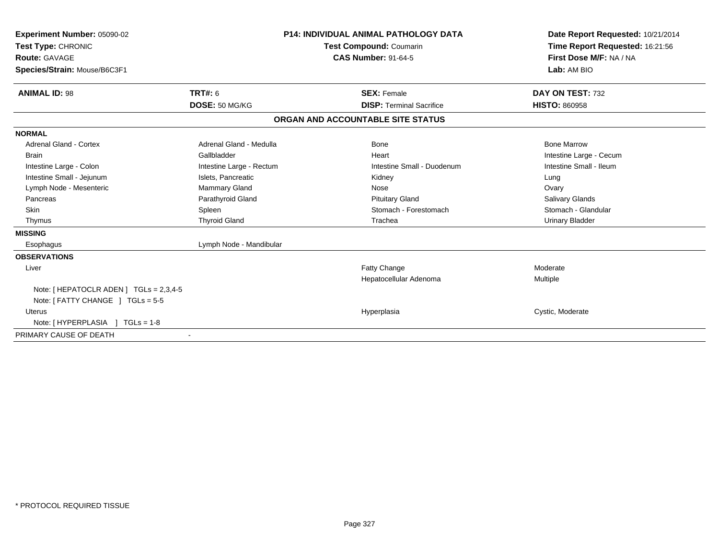| Experiment Number: 05090-02<br>Test Type: CHRONIC<br><b>Route: GAVAGE</b><br>Species/Strain: Mouse/B6C3F1 |                          | <b>P14: INDIVIDUAL ANIMAL PATHOLOGY DATA</b><br>Test Compound: Coumarin<br><b>CAS Number: 91-64-5</b> | Date Report Requested: 10/21/2014<br>Time Report Requested: 16:21:56<br>First Dose M/F: NA / NA<br>Lab: AM BIO |  |
|-----------------------------------------------------------------------------------------------------------|--------------------------|-------------------------------------------------------------------------------------------------------|----------------------------------------------------------------------------------------------------------------|--|
| <b>ANIMAL ID: 98</b>                                                                                      | <b>TRT#: 6</b>           | <b>SEX: Female</b>                                                                                    | DAY ON TEST: 732                                                                                               |  |
|                                                                                                           | DOSE: 50 MG/KG           | <b>DISP: Terminal Sacrifice</b>                                                                       | <b>HISTO: 860958</b>                                                                                           |  |
|                                                                                                           |                          | ORGAN AND ACCOUNTABLE SITE STATUS                                                                     |                                                                                                                |  |
| <b>NORMAL</b>                                                                                             |                          |                                                                                                       |                                                                                                                |  |
| <b>Adrenal Gland - Cortex</b>                                                                             | Adrenal Gland - Medulla  | <b>Bone</b>                                                                                           | <b>Bone Marrow</b>                                                                                             |  |
| <b>Brain</b>                                                                                              | Gallbladder              | Heart                                                                                                 | Intestine Large - Cecum                                                                                        |  |
| Intestine Large - Colon                                                                                   | Intestine Large - Rectum | Intestine Small - Duodenum                                                                            | Intestine Small - Ileum                                                                                        |  |
| Intestine Small - Jejunum                                                                                 | Islets, Pancreatic       | Kidney                                                                                                | Lung                                                                                                           |  |
| Lymph Node - Mesenteric                                                                                   | Mammary Gland            | Nose                                                                                                  | Ovary                                                                                                          |  |
| Pancreas                                                                                                  | Parathyroid Gland        | <b>Pituitary Gland</b>                                                                                | <b>Salivary Glands</b>                                                                                         |  |
| <b>Skin</b>                                                                                               | Spleen                   | Stomach - Forestomach                                                                                 | Stomach - Glandular                                                                                            |  |
| Thymus                                                                                                    | <b>Thyroid Gland</b>     | Trachea                                                                                               | <b>Urinary Bladder</b>                                                                                         |  |
| <b>MISSING</b>                                                                                            |                          |                                                                                                       |                                                                                                                |  |
| Esophagus                                                                                                 | Lymph Node - Mandibular  |                                                                                                       |                                                                                                                |  |
| <b>OBSERVATIONS</b>                                                                                       |                          |                                                                                                       |                                                                                                                |  |
| Liver                                                                                                     |                          | Fatty Change                                                                                          | Moderate                                                                                                       |  |
|                                                                                                           |                          | Hepatocellular Adenoma                                                                                | Multiple                                                                                                       |  |
| Note: [ HEPATOCLR ADEN ] $TGLs = 2,3,4-5$                                                                 |                          |                                                                                                       |                                                                                                                |  |
| Note: $[$ FATTY CHANGE $]$ TGLs = 5-5                                                                     |                          |                                                                                                       |                                                                                                                |  |
| <b>Uterus</b>                                                                                             |                          | Hyperplasia                                                                                           | Cystic, Moderate                                                                                               |  |
| Note: [HYPERPLASIA ] TGLs = 1-8                                                                           |                          |                                                                                                       |                                                                                                                |  |
| PRIMARY CAUSE OF DEATH                                                                                    |                          |                                                                                                       |                                                                                                                |  |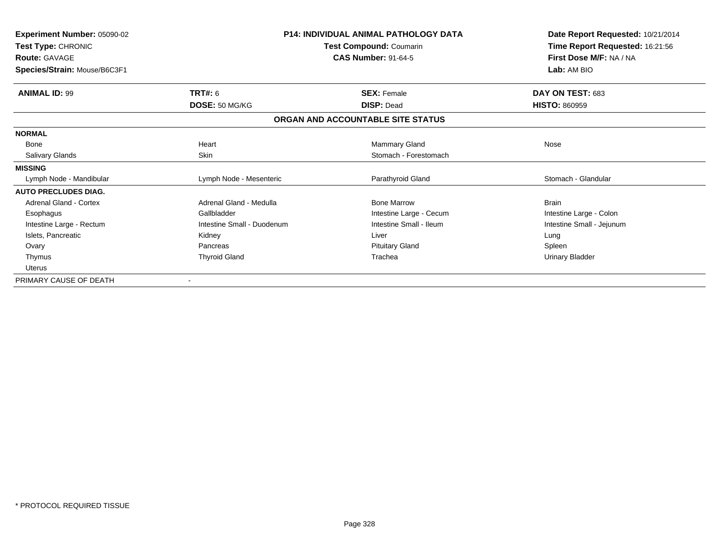| Experiment Number: 05090-02<br><b>Test Type: CHRONIC</b><br><b>Route: GAVAGE</b><br>Species/Strain: Mouse/B6C3F1 |                            | <b>P14: INDIVIDUAL ANIMAL PATHOLOGY DATA</b><br>Test Compound: Coumarin<br><b>CAS Number: 91-64-5</b> | Date Report Requested: 10/21/2014<br>Time Report Requested: 16:21:56<br>First Dose M/F: NA / NA<br>Lab: AM BIO |  |
|------------------------------------------------------------------------------------------------------------------|----------------------------|-------------------------------------------------------------------------------------------------------|----------------------------------------------------------------------------------------------------------------|--|
|                                                                                                                  |                            |                                                                                                       |                                                                                                                |  |
| <b>ANIMAL ID: 99</b>                                                                                             | <b>TRT#: 6</b>             | <b>SEX: Female</b>                                                                                    | DAY ON TEST: 683                                                                                               |  |
|                                                                                                                  | DOSE: 50 MG/KG             | <b>DISP: Dead</b>                                                                                     | <b>HISTO: 860959</b>                                                                                           |  |
|                                                                                                                  |                            | ORGAN AND ACCOUNTABLE SITE STATUS                                                                     |                                                                                                                |  |
| <b>NORMAL</b>                                                                                                    |                            |                                                                                                       |                                                                                                                |  |
| Bone                                                                                                             | Heart                      | Mammary Gland                                                                                         | Nose                                                                                                           |  |
| Salivary Glands                                                                                                  | <b>Skin</b>                | Stomach - Forestomach                                                                                 |                                                                                                                |  |
| <b>MISSING</b>                                                                                                   |                            |                                                                                                       |                                                                                                                |  |
| Lymph Node - Mandibular                                                                                          | Lymph Node - Mesenteric    | Parathyroid Gland                                                                                     | Stomach - Glandular                                                                                            |  |
| <b>AUTO PRECLUDES DIAG.</b>                                                                                      |                            |                                                                                                       |                                                                                                                |  |
| <b>Adrenal Gland - Cortex</b>                                                                                    | Adrenal Gland - Medulla    | <b>Bone Marrow</b>                                                                                    | <b>Brain</b>                                                                                                   |  |
| Esophagus                                                                                                        | Gallbladder                | Intestine Large - Cecum                                                                               | Intestine Large - Colon                                                                                        |  |
| Intestine Large - Rectum                                                                                         | Intestine Small - Duodenum | Intestine Small - Ileum                                                                               | Intestine Small - Jejunum                                                                                      |  |
| Islets, Pancreatic                                                                                               | Kidney                     | Liver                                                                                                 | Lung                                                                                                           |  |
| Ovary                                                                                                            | Pancreas                   | <b>Pituitary Gland</b>                                                                                | Spleen                                                                                                         |  |
| Thymus                                                                                                           | <b>Thyroid Gland</b>       | Trachea                                                                                               | <b>Urinary Bladder</b>                                                                                         |  |
| <b>Uterus</b>                                                                                                    |                            |                                                                                                       |                                                                                                                |  |
| PRIMARY CAUSE OF DEATH                                                                                           | $\overline{\phantom{a}}$   |                                                                                                       |                                                                                                                |  |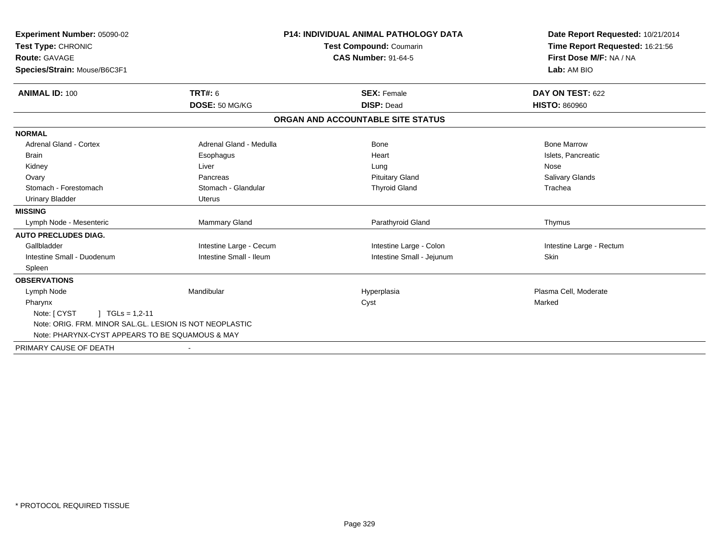| Experiment Number: 05090-02                             |                         | <b>P14: INDIVIDUAL ANIMAL PATHOLOGY DATA</b> | Date Report Requested: 10/21/2014                                         |  |
|---------------------------------------------------------|-------------------------|----------------------------------------------|---------------------------------------------------------------------------|--|
| Test Type: CHRONIC                                      |                         | Test Compound: Coumarin                      | Time Report Requested: 16:21:56<br>First Dose M/F: NA / NA<br>Lab: AM BIO |  |
| Route: GAVAGE                                           |                         | <b>CAS Number: 91-64-5</b>                   |                                                                           |  |
| Species/Strain: Mouse/B6C3F1                            |                         |                                              |                                                                           |  |
| <b>ANIMAL ID: 100</b>                                   | TRT#: 6                 | <b>SEX: Female</b>                           | DAY ON TEST: 622                                                          |  |
|                                                         | DOSE: 50 MG/KG          | <b>DISP: Dead</b>                            | <b>HISTO: 860960</b>                                                      |  |
|                                                         |                         | ORGAN AND ACCOUNTABLE SITE STATUS            |                                                                           |  |
| <b>NORMAL</b>                                           |                         |                                              |                                                                           |  |
| Adrenal Gland - Cortex                                  | Adrenal Gland - Medulla | Bone                                         | <b>Bone Marrow</b>                                                        |  |
| Brain                                                   | Esophagus               | Heart                                        | Islets, Pancreatic                                                        |  |
| Kidney                                                  | Liver                   | Lung                                         | Nose                                                                      |  |
| Ovary                                                   | Pancreas                | <b>Pituitary Gland</b>                       | <b>Salivary Glands</b>                                                    |  |
| Stomach - Forestomach                                   | Stomach - Glandular     | <b>Thyroid Gland</b>                         | Trachea                                                                   |  |
| <b>Urinary Bladder</b>                                  | Uterus                  |                                              |                                                                           |  |
| <b>MISSING</b>                                          |                         |                                              |                                                                           |  |
| Lymph Node - Mesenteric                                 | Mammary Gland           | Parathyroid Gland                            | Thymus                                                                    |  |
| <b>AUTO PRECLUDES DIAG.</b>                             |                         |                                              |                                                                           |  |
| Gallbladder                                             | Intestine Large - Cecum | Intestine Large - Colon                      | Intestine Large - Rectum                                                  |  |
| Intestine Small - Duodenum                              | Intestine Small - Ileum | Intestine Small - Jejunum                    | Skin                                                                      |  |
| Spleen                                                  |                         |                                              |                                                                           |  |
| <b>OBSERVATIONS</b>                                     |                         |                                              |                                                                           |  |
| Lymph Node                                              | Mandibular              | Hyperplasia                                  | Plasma Cell, Moderate                                                     |  |
| Pharynx                                                 |                         | Cyst                                         | Marked                                                                    |  |
| Note: [ CYST<br>$\mid$ TGLs = 1,2-11                    |                         |                                              |                                                                           |  |
| Note: ORIG. FRM. MINOR SAL.GL. LESION IS NOT NEOPLASTIC |                         |                                              |                                                                           |  |
| Note: PHARYNX-CYST APPEARS TO BE SQUAMOUS & MAY         |                         |                                              |                                                                           |  |
| PRIMARY CAUSE OF DEATH                                  |                         |                                              |                                                                           |  |
|                                                         |                         |                                              |                                                                           |  |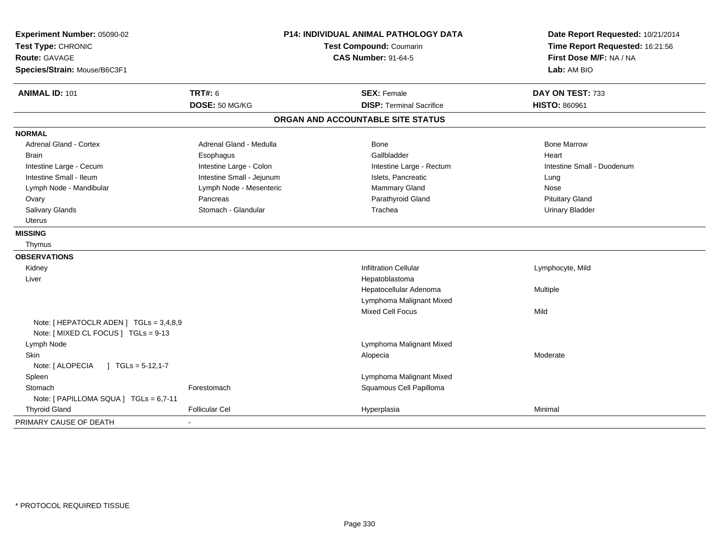| Experiment Number: 05090-02<br>Test Type: CHRONIC<br>Route: GAVAGE<br>Species/Strain: Mouse/B6C3F1 | P14: INDIVIDUAL ANIMAL PATHOLOGY DATA<br>Test Compound: Coumarin<br><b>CAS Number: 91-64-5</b> |                                   | Date Report Requested: 10/21/2014<br>Time Report Requested: 16:21:56<br>First Dose M/F: NA / NA<br>Lab: AM BIO |  |
|----------------------------------------------------------------------------------------------------|------------------------------------------------------------------------------------------------|-----------------------------------|----------------------------------------------------------------------------------------------------------------|--|
| <b>ANIMAL ID: 101</b>                                                                              | <b>TRT#: 6</b>                                                                                 | <b>SEX: Female</b>                | DAY ON TEST: 733                                                                                               |  |
|                                                                                                    | DOSE: 50 MG/KG                                                                                 | <b>DISP: Terminal Sacrifice</b>   | <b>HISTO: 860961</b>                                                                                           |  |
|                                                                                                    |                                                                                                | ORGAN AND ACCOUNTABLE SITE STATUS |                                                                                                                |  |
| <b>NORMAL</b>                                                                                      |                                                                                                |                                   |                                                                                                                |  |
| <b>Adrenal Gland - Cortex</b>                                                                      | Adrenal Gland - Medulla                                                                        | <b>Bone</b>                       | <b>Bone Marrow</b>                                                                                             |  |
| <b>Brain</b>                                                                                       | Esophagus                                                                                      | Gallbladder                       | Heart                                                                                                          |  |
| Intestine Large - Cecum                                                                            | Intestine Large - Colon                                                                        | Intestine Large - Rectum          | Intestine Small - Duodenum                                                                                     |  |
| Intestine Small - Ileum                                                                            | Intestine Small - Jejunum                                                                      | Islets, Pancreatic                | Lung                                                                                                           |  |
| Lymph Node - Mandibular                                                                            | Lymph Node - Mesenteric                                                                        | Mammary Gland                     | Nose                                                                                                           |  |
| Ovary                                                                                              | Pancreas                                                                                       | Parathyroid Gland                 | <b>Pituitary Gland</b>                                                                                         |  |
| Salivary Glands                                                                                    | Stomach - Glandular                                                                            | Trachea                           | <b>Urinary Bladder</b>                                                                                         |  |
| Uterus                                                                                             |                                                                                                |                                   |                                                                                                                |  |
| <b>MISSING</b>                                                                                     |                                                                                                |                                   |                                                                                                                |  |
| Thymus                                                                                             |                                                                                                |                                   |                                                                                                                |  |
| <b>OBSERVATIONS</b>                                                                                |                                                                                                |                                   |                                                                                                                |  |
| Kidney                                                                                             |                                                                                                | <b>Infiltration Cellular</b>      | Lymphocyte, Mild                                                                                               |  |
| Liver                                                                                              |                                                                                                | Hepatoblastoma                    |                                                                                                                |  |
|                                                                                                    |                                                                                                | Hepatocellular Adenoma            | Multiple                                                                                                       |  |
|                                                                                                    |                                                                                                | Lymphoma Malignant Mixed          |                                                                                                                |  |
|                                                                                                    |                                                                                                | <b>Mixed Cell Focus</b>           | Mild                                                                                                           |  |
| Note: [ HEPATOCLR ADEN ] TGLs = 3,4,8,9<br>Note: [ MIXED CL FOCUS ] TGLs = 9-13                    |                                                                                                |                                   |                                                                                                                |  |
| Lymph Node                                                                                         |                                                                                                | Lymphoma Malignant Mixed          |                                                                                                                |  |
| Skin                                                                                               |                                                                                                | Alopecia                          | Moderate                                                                                                       |  |
| Note: [ ALOPECIA<br>J TGLs = $5-12,1-7$                                                            |                                                                                                |                                   |                                                                                                                |  |
| Spleen                                                                                             |                                                                                                | Lymphoma Malignant Mixed          |                                                                                                                |  |
| Stomach                                                                                            | Forestomach                                                                                    | Squamous Cell Papilloma           |                                                                                                                |  |
| Note: [ PAPILLOMA SQUA ] TGLs = 6,7-11                                                             |                                                                                                |                                   |                                                                                                                |  |
| <b>Thyroid Gland</b>                                                                               | <b>Follicular Cel</b>                                                                          | Hyperplasia                       | Minimal                                                                                                        |  |
| PRIMARY CAUSE OF DEATH                                                                             |                                                                                                |                                   |                                                                                                                |  |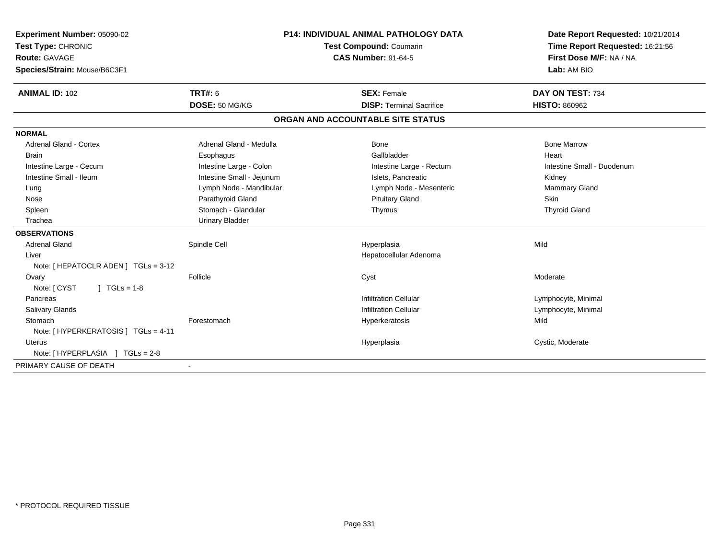| <b>Experiment Number: 05090-02</b>   | <b>P14: INDIVIDUAL ANIMAL PATHOLOGY DATA</b> |                                   | Date Report Requested: 10/21/2014 |  |
|--------------------------------------|----------------------------------------------|-----------------------------------|-----------------------------------|--|
| Test Type: CHRONIC                   |                                              | <b>Test Compound: Coumarin</b>    | Time Report Requested: 16:21:56   |  |
| <b>Route: GAVAGE</b>                 | <b>CAS Number: 91-64-5</b>                   |                                   | First Dose M/F: NA / NA           |  |
| Species/Strain: Mouse/B6C3F1         |                                              |                                   | Lab: AM BIO                       |  |
| <b>ANIMAL ID: 102</b>                | <b>TRT#: 6</b>                               | <b>SEX: Female</b>                | DAY ON TEST: 734                  |  |
|                                      | DOSE: 50 MG/KG                               | <b>DISP: Terminal Sacrifice</b>   | <b>HISTO: 860962</b>              |  |
|                                      |                                              | ORGAN AND ACCOUNTABLE SITE STATUS |                                   |  |
| <b>NORMAL</b>                        |                                              |                                   |                                   |  |
| <b>Adrenal Gland - Cortex</b>        | Adrenal Gland - Medulla                      | Bone                              | <b>Bone Marrow</b>                |  |
| <b>Brain</b>                         | Esophagus                                    | Gallbladder                       | Heart                             |  |
| Intestine Large - Cecum              | Intestine Large - Colon                      | Intestine Large - Rectum          | Intestine Small - Duodenum        |  |
| Intestine Small - Ileum              | Intestine Small - Jejunum                    | Islets, Pancreatic                | Kidney                            |  |
| Lung                                 | Lymph Node - Mandibular                      | Lymph Node - Mesenteric           | Mammary Gland                     |  |
| Nose                                 | Parathyroid Gland                            | <b>Pituitary Gland</b>            | Skin                              |  |
| Spleen                               | Stomach - Glandular                          | Thymus                            | <b>Thyroid Gland</b>              |  |
| Trachea                              | <b>Urinary Bladder</b>                       |                                   |                                   |  |
| <b>OBSERVATIONS</b>                  |                                              |                                   |                                   |  |
| <b>Adrenal Gland</b>                 | Spindle Cell                                 | Hyperplasia                       | Mild                              |  |
| Liver                                |                                              | Hepatocellular Adenoma            |                                   |  |
| Note: [ HEPATOCLR ADEN ] TGLs = 3-12 |                                              |                                   |                                   |  |
| Ovary                                | Follicle                                     | Cyst                              | Moderate                          |  |
| Note: [ CYST<br>$J \cdot TGLS = 1-8$ |                                              |                                   |                                   |  |
| Pancreas                             |                                              | <b>Infiltration Cellular</b>      | Lymphocyte, Minimal               |  |
| <b>Salivary Glands</b>               |                                              | <b>Infiltration Cellular</b>      | Lymphocyte, Minimal               |  |
| Stomach                              | Forestomach                                  | Hyperkeratosis                    | Mild                              |  |
| Note: [ HYPERKERATOSIS ] TGLs = 4-11 |                                              |                                   |                                   |  |
| <b>Uterus</b>                        |                                              | Hyperplasia                       | Cystic, Moderate                  |  |
| Note: [HYPERPLASIA ] TGLs = 2-8      |                                              |                                   |                                   |  |
| PRIMARY CAUSE OF DEATH               |                                              |                                   |                                   |  |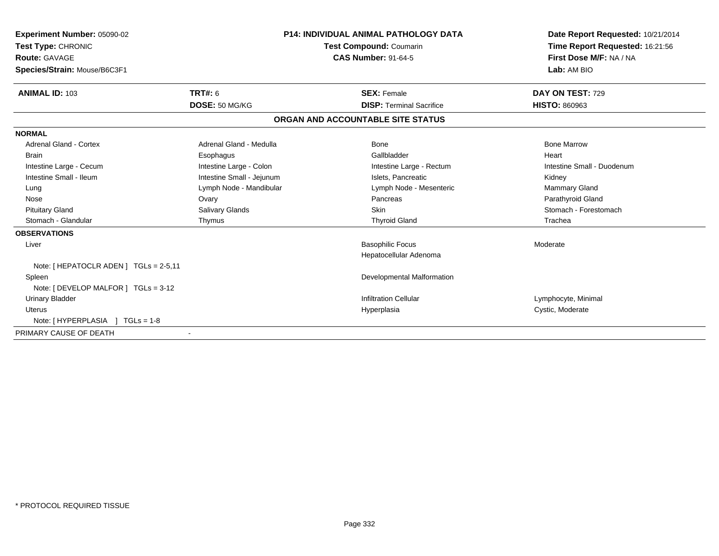| <b>Experiment Number: 05090-02</b><br>Test Type: CHRONIC<br><b>Route: GAVAGE</b><br>Species/Strain: Mouse/B6C3F1 | <b>P14: INDIVIDUAL ANIMAL PATHOLOGY DATA</b><br>Test Compound: Coumarin<br><b>CAS Number: 91-64-5</b> |                                   | Date Report Requested: 10/21/2014<br>Time Report Requested: 16:21:56<br>First Dose M/F: NA / NA<br>Lab: AM BIO |  |
|------------------------------------------------------------------------------------------------------------------|-------------------------------------------------------------------------------------------------------|-----------------------------------|----------------------------------------------------------------------------------------------------------------|--|
| <b>ANIMAL ID: 103</b>                                                                                            | <b>TRT#: 6</b>                                                                                        | <b>SEX: Female</b>                | DAY ON TEST: 729                                                                                               |  |
|                                                                                                                  | DOSE: 50 MG/KG                                                                                        | <b>DISP: Terminal Sacrifice</b>   | <b>HISTO: 860963</b>                                                                                           |  |
|                                                                                                                  |                                                                                                       | ORGAN AND ACCOUNTABLE SITE STATUS |                                                                                                                |  |
| <b>NORMAL</b>                                                                                                    |                                                                                                       |                                   |                                                                                                                |  |
| <b>Adrenal Gland - Cortex</b>                                                                                    | Adrenal Gland - Medulla                                                                               | Bone                              | <b>Bone Marrow</b>                                                                                             |  |
| <b>Brain</b>                                                                                                     | Esophagus                                                                                             | Gallbladder                       | Heart                                                                                                          |  |
| Intestine Large - Cecum                                                                                          | Intestine Large - Colon                                                                               | Intestine Large - Rectum          | Intestine Small - Duodenum                                                                                     |  |
| Intestine Small - Ileum                                                                                          | Intestine Small - Jejunum                                                                             | Islets, Pancreatic                | Kidney                                                                                                         |  |
| Lung                                                                                                             | Lymph Node - Mandibular                                                                               | Lymph Node - Mesenteric           | <b>Mammary Gland</b>                                                                                           |  |
| Nose                                                                                                             | Ovary                                                                                                 | Pancreas                          | Parathyroid Gland                                                                                              |  |
| <b>Pituitary Gland</b>                                                                                           | Salivary Glands                                                                                       | <b>Skin</b>                       | Stomach - Forestomach                                                                                          |  |
| Stomach - Glandular                                                                                              | Thymus                                                                                                | <b>Thyroid Gland</b>              | Trachea                                                                                                        |  |
| <b>OBSERVATIONS</b>                                                                                              |                                                                                                       |                                   |                                                                                                                |  |
| Liver                                                                                                            |                                                                                                       | <b>Basophilic Focus</b>           | Moderate                                                                                                       |  |
|                                                                                                                  |                                                                                                       | Hepatocellular Adenoma            |                                                                                                                |  |
| Note: [ HEPATOCLR ADEN ] TGLs = 2-5,11                                                                           |                                                                                                       |                                   |                                                                                                                |  |
| Spleen                                                                                                           |                                                                                                       | Developmental Malformation        |                                                                                                                |  |
| Note: [ DEVELOP MALFOR ] TGLs = 3-12                                                                             |                                                                                                       |                                   |                                                                                                                |  |
| <b>Urinary Bladder</b>                                                                                           |                                                                                                       | <b>Infiltration Cellular</b>      | Lymphocyte, Minimal                                                                                            |  |
| <b>Uterus</b>                                                                                                    |                                                                                                       | Hyperplasia                       | Cystic, Moderate                                                                                               |  |
| Note: [HYPERPLASIA ] TGLs = 1-8                                                                                  |                                                                                                       |                                   |                                                                                                                |  |
| PRIMARY CAUSE OF DEATH                                                                                           |                                                                                                       |                                   |                                                                                                                |  |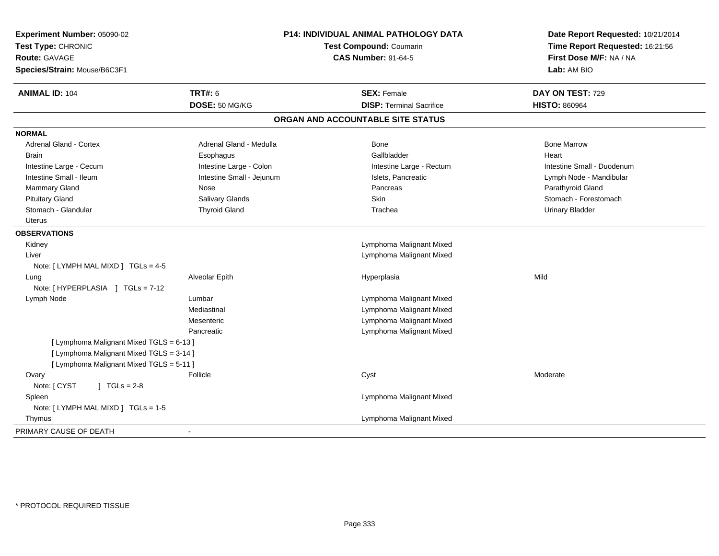| Experiment Number: 05090-02<br>Test Type: CHRONIC<br><b>Route: GAVAGE</b><br>Species/Strain: Mouse/B6C3F1 | P14: INDIVIDUAL ANIMAL PATHOLOGY DATA<br>Test Compound: Coumarin<br><b>CAS Number: 91-64-5</b> |                                   | Date Report Requested: 10/21/2014<br>Time Report Requested: 16:21:56<br>First Dose M/F: NA / NA<br>Lab: AM BIO |  |
|-----------------------------------------------------------------------------------------------------------|------------------------------------------------------------------------------------------------|-----------------------------------|----------------------------------------------------------------------------------------------------------------|--|
| <b>ANIMAL ID: 104</b>                                                                                     | <b>TRT#: 6</b>                                                                                 | <b>SEX: Female</b>                | DAY ON TEST: 729                                                                                               |  |
|                                                                                                           | DOSE: 50 MG/KG                                                                                 | <b>DISP: Terminal Sacrifice</b>   | <b>HISTO: 860964</b>                                                                                           |  |
|                                                                                                           |                                                                                                | ORGAN AND ACCOUNTABLE SITE STATUS |                                                                                                                |  |
| <b>NORMAL</b>                                                                                             |                                                                                                |                                   |                                                                                                                |  |
| <b>Adrenal Gland - Cortex</b>                                                                             | Adrenal Gland - Medulla                                                                        | Bone                              | <b>Bone Marrow</b>                                                                                             |  |
| <b>Brain</b>                                                                                              | Esophagus                                                                                      | Gallbladder                       | Heart                                                                                                          |  |
| Intestine Large - Cecum                                                                                   | Intestine Large - Colon                                                                        | Intestine Large - Rectum          | Intestine Small - Duodenum                                                                                     |  |
| Intestine Small - Ileum                                                                                   | Intestine Small - Jejunum                                                                      | Islets, Pancreatic                | Lymph Node - Mandibular                                                                                        |  |
| <b>Mammary Gland</b>                                                                                      | Nose                                                                                           | Pancreas                          | Parathyroid Gland                                                                                              |  |
| <b>Pituitary Gland</b>                                                                                    | Salivary Glands                                                                                | <b>Skin</b>                       | Stomach - Forestomach                                                                                          |  |
| Stomach - Glandular                                                                                       | <b>Thyroid Gland</b>                                                                           | Trachea                           | <b>Urinary Bladder</b>                                                                                         |  |
| <b>Uterus</b>                                                                                             |                                                                                                |                                   |                                                                                                                |  |
| <b>OBSERVATIONS</b>                                                                                       |                                                                                                |                                   |                                                                                                                |  |
| Kidney                                                                                                    |                                                                                                | Lymphoma Malignant Mixed          |                                                                                                                |  |
| Liver                                                                                                     |                                                                                                | Lymphoma Malignant Mixed          |                                                                                                                |  |
| Note: [ LYMPH MAL MIXD ] TGLs = 4-5                                                                       |                                                                                                |                                   |                                                                                                                |  |
| Lung                                                                                                      | Alveolar Epith                                                                                 | Hyperplasia                       | Mild                                                                                                           |  |
| Note: [HYPERPLASIA ] TGLs = 7-12                                                                          |                                                                                                |                                   |                                                                                                                |  |
| Lymph Node                                                                                                | Lumbar                                                                                         | Lymphoma Malignant Mixed          |                                                                                                                |  |
|                                                                                                           | Mediastinal                                                                                    | Lymphoma Malignant Mixed          |                                                                                                                |  |
|                                                                                                           | Mesenteric                                                                                     | Lymphoma Malignant Mixed          |                                                                                                                |  |
|                                                                                                           | Pancreatic                                                                                     | Lymphoma Malignant Mixed          |                                                                                                                |  |
| [ Lymphoma Malignant Mixed TGLS = 6-13 ]                                                                  |                                                                                                |                                   |                                                                                                                |  |
| [ Lymphoma Malignant Mixed TGLS = 3-14 ]                                                                  |                                                                                                |                                   |                                                                                                                |  |
| [ Lymphoma Malignant Mixed TGLS = 5-11 ]                                                                  |                                                                                                |                                   |                                                                                                                |  |
| Ovary                                                                                                     | Follicle                                                                                       | Cyst                              | Moderate                                                                                                       |  |
| Note: [ CYST<br>$J \cdot TGLS = 2-8$                                                                      |                                                                                                |                                   |                                                                                                                |  |
| Spleen                                                                                                    |                                                                                                | Lymphoma Malignant Mixed          |                                                                                                                |  |
| Note: [LYMPH MAL MIXD ] TGLs = 1-5                                                                        |                                                                                                |                                   |                                                                                                                |  |
| Thymus                                                                                                    |                                                                                                | Lymphoma Malignant Mixed          |                                                                                                                |  |
| PRIMARY CAUSE OF DEATH                                                                                    |                                                                                                |                                   |                                                                                                                |  |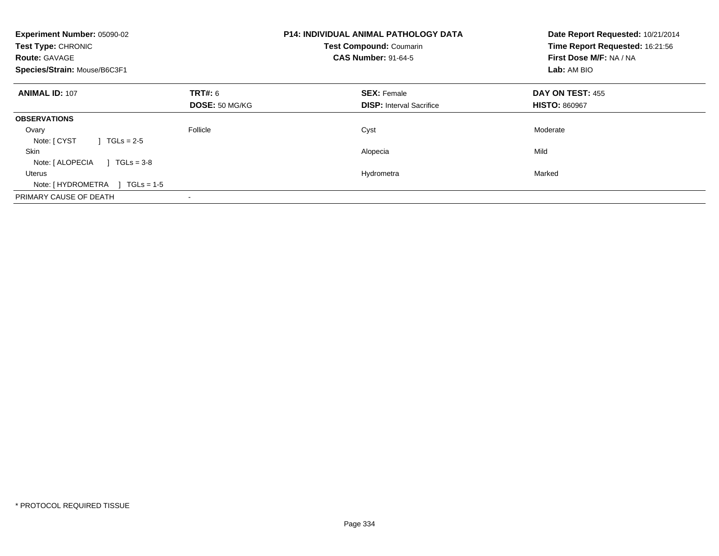| Experiment Number: 05090-02<br>Test Type: CHRONIC<br><b>Route: GAVAGE</b><br>Species/Strain: Mouse/B6C3F1 |                                  | <b>P14: INDIVIDUAL ANIMAL PATHOLOGY DATA</b><br><b>Test Compound: Coumarin</b><br><b>CAS Number: 91-64-5</b> | Date Report Requested: 10/21/2014<br>Time Report Requested: 16:21:56<br>First Dose M/F: NA / NA<br>Lab: AM BIO |
|-----------------------------------------------------------------------------------------------------------|----------------------------------|--------------------------------------------------------------------------------------------------------------|----------------------------------------------------------------------------------------------------------------|
| <b>ANIMAL ID: 107</b>                                                                                     | TRT#: 6<br><b>DOSE: 50 MG/KG</b> | <b>SEX: Female</b><br><b>DISP:</b> Interval Sacrifice                                                        | DAY ON TEST: 455<br><b>HISTO: 860967</b>                                                                       |
| <b>OBSERVATIONS</b>                                                                                       |                                  |                                                                                                              |                                                                                                                |
| Ovary<br>Note: [ CYST<br>$1 TGLs = 2-5$                                                                   | Follicle                         | Cyst                                                                                                         | Moderate                                                                                                       |
| <b>Skin</b><br>Note: [ ALOPECIA<br>$1 TGLs = 3-8$                                                         |                                  | Alopecia                                                                                                     | Mild                                                                                                           |
| Uterus<br>$TGLs = 1-5$<br>Note: [ HYDROMETRA                                                              |                                  | Hydrometra                                                                                                   | Marked                                                                                                         |
| PRIMARY CAUSE OF DEATH                                                                                    |                                  |                                                                                                              |                                                                                                                |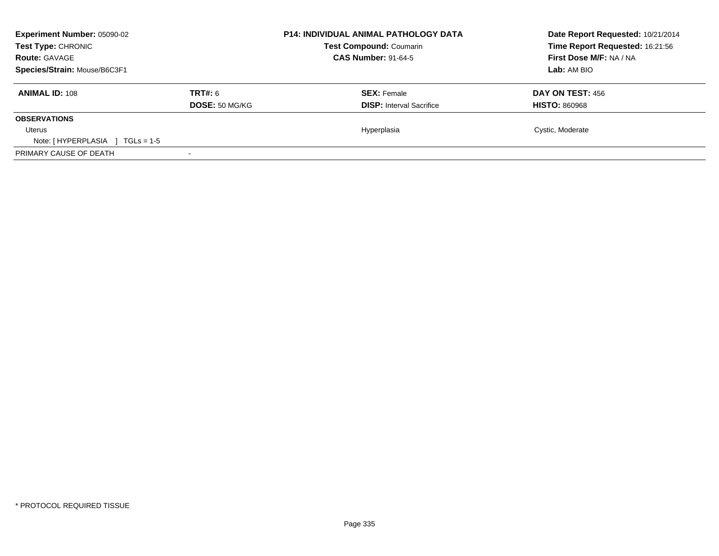| Experiment Number: 05090-02<br>Test Type: CHRONIC<br><b>Route: GAVAGE</b> |                | <b>P14: INDIVIDUAL ANIMAL PATHOLOGY DATA</b><br><b>Test Compound: Coumarin</b><br><b>CAS Number: 91-64-5</b> | Date Report Requested: 10/21/2014<br>Time Report Requested: 16:21:56<br>First Dose M/F: NA / NA |
|---------------------------------------------------------------------------|----------------|--------------------------------------------------------------------------------------------------------------|-------------------------------------------------------------------------------------------------|
| Species/Strain: Mouse/B6C3F1                                              |                |                                                                                                              | Lab: AM BIO                                                                                     |
| <b>ANIMAL ID: 108</b>                                                     | <b>TRT#: 6</b> | <b>SEX: Female</b>                                                                                           | <b>DAY ON TEST: 456</b>                                                                         |
|                                                                           | DOSE: 50 MG/KG | <b>DISP:</b> Interval Sacrifice                                                                              | <b>HISTO: 860968</b>                                                                            |
| <b>OBSERVATIONS</b>                                                       |                |                                                                                                              |                                                                                                 |
| Uterus                                                                    |                | Hyperplasia                                                                                                  | Cystic, Moderate                                                                                |
| Note: $[HYPERPLASIA]$ TGLs = 1-5                                          |                |                                                                                                              |                                                                                                 |
| PRIMARY CAUSE OF DEATH                                                    |                |                                                                                                              |                                                                                                 |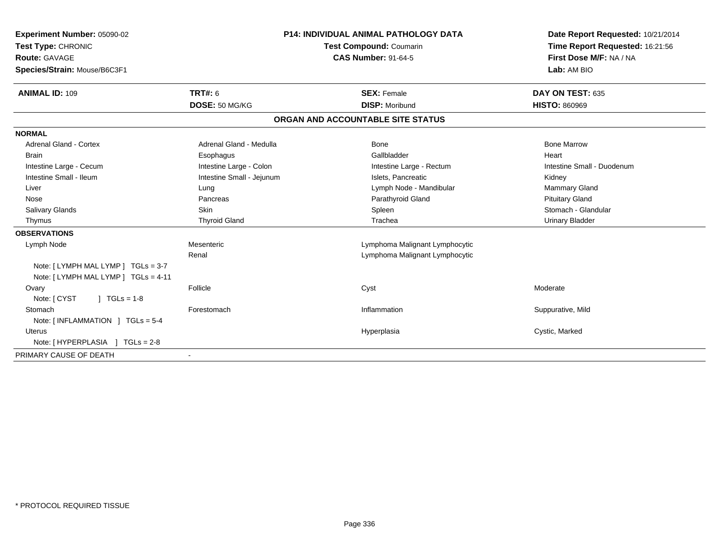| Experiment Number: 05090-02<br>Test Type: CHRONIC<br>Route: GAVAGE<br>Species/Strain: Mouse/B6C3F1<br><b>ANIMAL ID: 109</b> | <b>TRT#: 6</b>            | <b>P14: INDIVIDUAL ANIMAL PATHOLOGY DATA</b><br><b>Test Compound: Coumarin</b><br><b>CAS Number: 91-64-5</b><br><b>SEX: Female</b> |                                   | Date Report Requested: 10/21/2014<br>Time Report Requested: 16:21:56<br>First Dose M/F: NA / NA<br>Lab: AM BIO<br>DAY ON TEST: 635 |
|-----------------------------------------------------------------------------------------------------------------------------|---------------------------|------------------------------------------------------------------------------------------------------------------------------------|-----------------------------------|------------------------------------------------------------------------------------------------------------------------------------|
|                                                                                                                             | DOSE: 50 MG/KG            |                                                                                                                                    | <b>DISP: Moribund</b>             | <b>HISTO: 860969</b>                                                                                                               |
|                                                                                                                             |                           |                                                                                                                                    | ORGAN AND ACCOUNTABLE SITE STATUS |                                                                                                                                    |
| <b>NORMAL</b>                                                                                                               |                           |                                                                                                                                    |                                   |                                                                                                                                    |
| <b>Adrenal Gland - Cortex</b>                                                                                               | Adrenal Gland - Medulla   |                                                                                                                                    | Bone                              | <b>Bone Marrow</b>                                                                                                                 |
| <b>Brain</b>                                                                                                                | Esophagus                 |                                                                                                                                    | Gallbladder                       | Heart                                                                                                                              |
| Intestine Large - Cecum                                                                                                     | Intestine Large - Colon   |                                                                                                                                    | Intestine Large - Rectum          | Intestine Small - Duodenum                                                                                                         |
| Intestine Small - Ileum                                                                                                     | Intestine Small - Jejunum |                                                                                                                                    | Islets. Pancreatic                | Kidney                                                                                                                             |
| Liver                                                                                                                       | Lung                      |                                                                                                                                    | Lymph Node - Mandibular           | Mammary Gland                                                                                                                      |
| Nose                                                                                                                        | Pancreas                  |                                                                                                                                    | Parathyroid Gland                 | <b>Pituitary Gland</b>                                                                                                             |
| Salivary Glands                                                                                                             | <b>Skin</b>               |                                                                                                                                    | Spleen                            | Stomach - Glandular                                                                                                                |
| Thymus                                                                                                                      | <b>Thyroid Gland</b>      |                                                                                                                                    | Trachea                           | <b>Urinary Bladder</b>                                                                                                             |
| <b>OBSERVATIONS</b>                                                                                                         |                           |                                                                                                                                    |                                   |                                                                                                                                    |
| Lymph Node                                                                                                                  | Mesenteric                |                                                                                                                                    | Lymphoma Malignant Lymphocytic    |                                                                                                                                    |
|                                                                                                                             | Renal                     |                                                                                                                                    | Lymphoma Malignant Lymphocytic    |                                                                                                                                    |
| Note: [ LYMPH MAL LYMP ] TGLs = 3-7<br>Note: [LYMPH MAL LYMP ] TGLs = 4-11                                                  |                           |                                                                                                                                    |                                   |                                                                                                                                    |
| Ovary                                                                                                                       | Follicle                  |                                                                                                                                    | Cyst                              | Moderate                                                                                                                           |
| $1 TGLs = 1-8$<br>Note: [ CYST                                                                                              |                           |                                                                                                                                    |                                   |                                                                                                                                    |
| Stomach                                                                                                                     | Forestomach               |                                                                                                                                    | Inflammation                      | Suppurative, Mild                                                                                                                  |
| Note: $\lceil$ INFLAMMATION $\lceil$ TGLs = 5-4                                                                             |                           |                                                                                                                                    |                                   |                                                                                                                                    |
| <b>Uterus</b>                                                                                                               |                           |                                                                                                                                    | Hyperplasia                       | Cystic, Marked                                                                                                                     |
| Note: [HYPERPLASIA ] TGLs = 2-8                                                                                             |                           |                                                                                                                                    |                                   |                                                                                                                                    |
| PRIMARY CAUSE OF DEATH                                                                                                      |                           |                                                                                                                                    |                                   |                                                                                                                                    |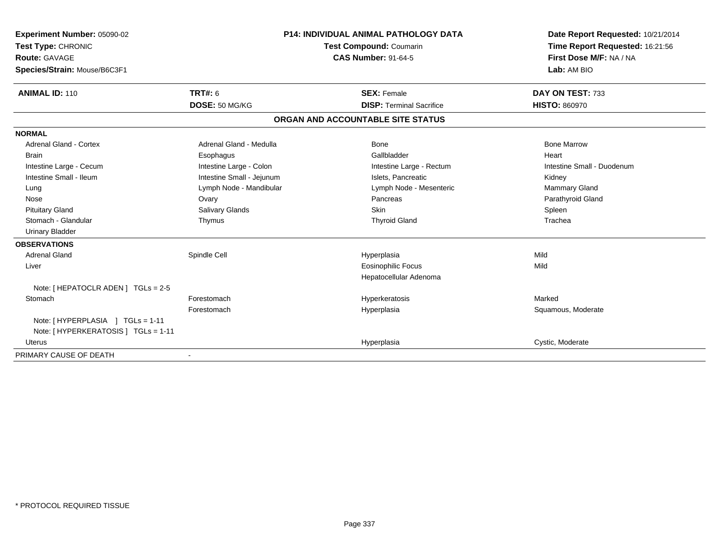| Experiment Number: 05090-02<br>Test Type: CHRONIC<br>Route: GAVAGE<br>Species/Strain: Mouse/B6C3F1<br><b>ANIMAL ID: 110</b> | <b>TRT#: 6</b>            | <b>P14: INDIVIDUAL ANIMAL PATHOLOGY DATA</b><br><b>Test Compound: Coumarin</b><br><b>CAS Number: 91-64-5</b><br><b>SEX: Female</b> |                                   | Date Report Requested: 10/21/2014<br>Time Report Requested: 16:21:56<br>First Dose M/F: NA / NA<br>Lab: AM BIO<br>DAY ON TEST: 733 |
|-----------------------------------------------------------------------------------------------------------------------------|---------------------------|------------------------------------------------------------------------------------------------------------------------------------|-----------------------------------|------------------------------------------------------------------------------------------------------------------------------------|
|                                                                                                                             | DOSE: 50 MG/KG            |                                                                                                                                    | <b>DISP: Terminal Sacrifice</b>   | <b>HISTO: 860970</b>                                                                                                               |
|                                                                                                                             |                           |                                                                                                                                    | ORGAN AND ACCOUNTABLE SITE STATUS |                                                                                                                                    |
| <b>NORMAL</b>                                                                                                               |                           |                                                                                                                                    |                                   |                                                                                                                                    |
| <b>Adrenal Gland - Cortex</b>                                                                                               | Adrenal Gland - Medulla   |                                                                                                                                    | Bone                              | <b>Bone Marrow</b>                                                                                                                 |
| <b>Brain</b>                                                                                                                | Esophagus                 |                                                                                                                                    | Gallbladder                       | Heart                                                                                                                              |
| Intestine Large - Cecum                                                                                                     | Intestine Large - Colon   |                                                                                                                                    | Intestine Large - Rectum          | Intestine Small - Duodenum                                                                                                         |
| Intestine Small - Ileum                                                                                                     | Intestine Small - Jejunum |                                                                                                                                    | Islets. Pancreatic                | Kidney                                                                                                                             |
| Lung                                                                                                                        | Lymph Node - Mandibular   |                                                                                                                                    | Lymph Node - Mesenteric           | Mammary Gland                                                                                                                      |
| Nose                                                                                                                        | Ovary                     |                                                                                                                                    | Pancreas                          | Parathyroid Gland                                                                                                                  |
| <b>Pituitary Gland</b>                                                                                                      | Salivary Glands           |                                                                                                                                    | Skin                              | Spleen                                                                                                                             |
| Stomach - Glandular                                                                                                         | Thymus                    |                                                                                                                                    | <b>Thyroid Gland</b>              | Trachea                                                                                                                            |
| <b>Urinary Bladder</b>                                                                                                      |                           |                                                                                                                                    |                                   |                                                                                                                                    |
| <b>OBSERVATIONS</b>                                                                                                         |                           |                                                                                                                                    |                                   |                                                                                                                                    |
| Adrenal Gland                                                                                                               | Spindle Cell              |                                                                                                                                    | Hyperplasia                       | Mild                                                                                                                               |
| Liver                                                                                                                       |                           |                                                                                                                                    | <b>Eosinophilic Focus</b>         | Mild                                                                                                                               |
|                                                                                                                             |                           |                                                                                                                                    | Hepatocellular Adenoma            |                                                                                                                                    |
| Note: [ HEPATOCLR ADEN ] TGLs = 2-5                                                                                         |                           |                                                                                                                                    |                                   |                                                                                                                                    |
| Stomach                                                                                                                     | Forestomach               |                                                                                                                                    | Hyperkeratosis                    | Marked                                                                                                                             |
|                                                                                                                             | Forestomach               |                                                                                                                                    | Hyperplasia                       | Squamous, Moderate                                                                                                                 |
| Note: [HYPERPLASIA ] TGLs = 1-11                                                                                            |                           |                                                                                                                                    |                                   |                                                                                                                                    |
| Note: [ HYPERKERATOSIS ] TGLs = 1-11                                                                                        |                           |                                                                                                                                    |                                   |                                                                                                                                    |
| <b>Uterus</b>                                                                                                               |                           |                                                                                                                                    | Hyperplasia                       | Cystic, Moderate                                                                                                                   |
| PRIMARY CAUSE OF DEATH                                                                                                      |                           |                                                                                                                                    |                                   |                                                                                                                                    |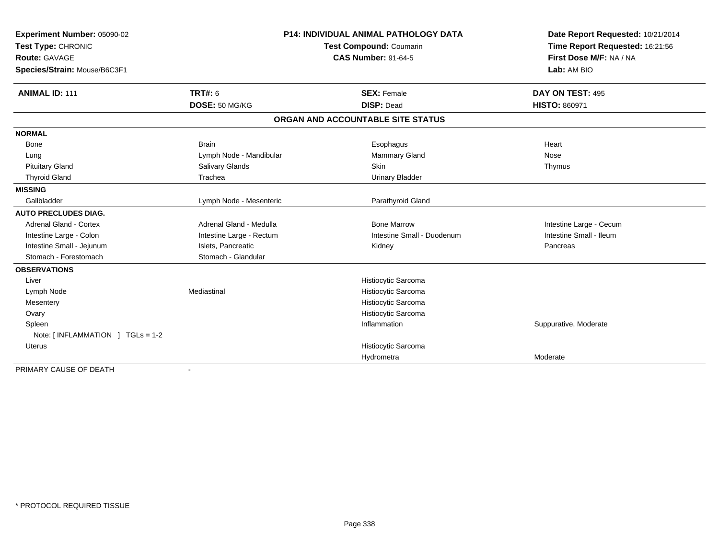| Experiment Number: 05090-02      | <b>P14: INDIVIDUAL ANIMAL PATHOLOGY DATA</b> |                                   | Date Report Requested: 10/21/2014 |
|----------------------------------|----------------------------------------------|-----------------------------------|-----------------------------------|
| Test Type: CHRONIC               |                                              | Test Compound: Coumarin           | Time Report Requested: 16:21:56   |
| Route: GAVAGE                    |                                              | <b>CAS Number: 91-64-5</b>        | First Dose M/F: NA / NA           |
| Species/Strain: Mouse/B6C3F1     |                                              |                                   | Lab: AM BIO                       |
| <b>ANIMAL ID: 111</b>            | <b>TRT#: 6</b>                               | <b>SEX: Female</b>                | DAY ON TEST: 495                  |
|                                  | DOSE: 50 MG/KG                               | <b>DISP: Dead</b>                 | <b>HISTO: 860971</b>              |
|                                  |                                              | ORGAN AND ACCOUNTABLE SITE STATUS |                                   |
| <b>NORMAL</b>                    |                                              |                                   |                                   |
| Bone                             | <b>Brain</b>                                 | Esophagus                         | Heart                             |
| Lung                             | Lymph Node - Mandibular                      | Mammary Gland                     | Nose                              |
| <b>Pituitary Gland</b>           | Salivary Glands                              | Skin                              | Thymus                            |
| <b>Thyroid Gland</b>             | Trachea                                      | <b>Urinary Bladder</b>            |                                   |
| <b>MISSING</b>                   |                                              |                                   |                                   |
| Gallbladder                      | Lymph Node - Mesenteric                      | Parathyroid Gland                 |                                   |
| <b>AUTO PRECLUDES DIAG.</b>      |                                              |                                   |                                   |
| Adrenal Gland - Cortex           | Adrenal Gland - Medulla                      | <b>Bone Marrow</b>                | Intestine Large - Cecum           |
| Intestine Large - Colon          | Intestine Large - Rectum                     | Intestine Small - Duodenum        | Intestine Small - Ileum           |
| Intestine Small - Jejunum        | Islets, Pancreatic                           | Kidney                            | Pancreas                          |
| Stomach - Forestomach            | Stomach - Glandular                          |                                   |                                   |
| <b>OBSERVATIONS</b>              |                                              |                                   |                                   |
| Liver                            |                                              | Histiocytic Sarcoma               |                                   |
| Lymph Node                       | Mediastinal                                  | Histiocytic Sarcoma               |                                   |
| Mesentery                        |                                              | Histiocytic Sarcoma               |                                   |
| Ovary                            |                                              | Histiocytic Sarcoma               |                                   |
| Spleen                           |                                              | Inflammation                      | Suppurative, Moderate             |
| Note: [INFLAMMATION ] TGLs = 1-2 |                                              |                                   |                                   |
| <b>Uterus</b>                    |                                              | Histiocytic Sarcoma               |                                   |
|                                  |                                              | Hydrometra                        | Moderate                          |
| PRIMARY CAUSE OF DEATH           | $\blacksquare$                               |                                   |                                   |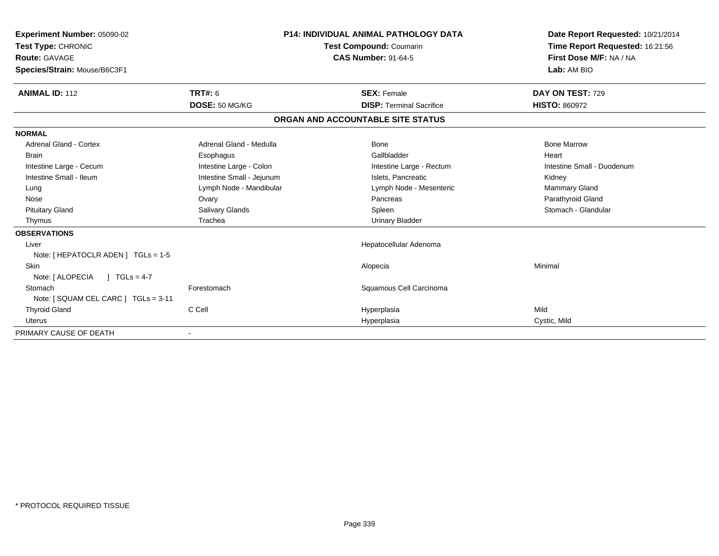| Experiment Number: 05090-02          | <b>P14: INDIVIDUAL ANIMAL PATHOLOGY DATA</b> |                            |                                   | Date Report Requested: 10/21/2014 |                                 |
|--------------------------------------|----------------------------------------------|----------------------------|-----------------------------------|-----------------------------------|---------------------------------|
| Test Type: CHRONIC                   |                                              |                            | Test Compound: Coumarin           |                                   | Time Report Requested: 16:21:56 |
| Route: GAVAGE                        |                                              | <b>CAS Number: 91-64-5</b> |                                   |                                   | First Dose M/F: NA / NA         |
| Species/Strain: Mouse/B6C3F1         |                                              |                            |                                   |                                   | Lab: AM BIO                     |
| <b>ANIMAL ID: 112</b>                | TRT#: 6                                      |                            | <b>SEX: Female</b>                |                                   | DAY ON TEST: 729                |
|                                      | DOSE: 50 MG/KG                               |                            | <b>DISP: Terminal Sacrifice</b>   |                                   | <b>HISTO: 860972</b>            |
|                                      |                                              |                            | ORGAN AND ACCOUNTABLE SITE STATUS |                                   |                                 |
| <b>NORMAL</b>                        |                                              |                            |                                   |                                   |                                 |
| Adrenal Gland - Cortex               | Adrenal Gland - Medulla                      |                            | Bone                              |                                   | <b>Bone Marrow</b>              |
| <b>Brain</b>                         | Esophagus                                    |                            | Gallbladder                       |                                   | Heart                           |
| Intestine Large - Cecum              | Intestine Large - Colon                      |                            | Intestine Large - Rectum          |                                   | Intestine Small - Duodenum      |
| Intestine Small - Ileum              | Intestine Small - Jejunum                    |                            | Islets, Pancreatic                |                                   | Kidney                          |
| Lung                                 | Lymph Node - Mandibular                      |                            | Lymph Node - Mesenteric           |                                   | <b>Mammary Gland</b>            |
| Nose                                 | Ovary                                        |                            | Pancreas                          |                                   | Parathyroid Gland               |
| <b>Pituitary Gland</b>               | Salivary Glands                              |                            | Spleen                            |                                   | Stomach - Glandular             |
| Thymus                               | Trachea                                      |                            | <b>Urinary Bladder</b>            |                                   |                                 |
| <b>OBSERVATIONS</b>                  |                                              |                            |                                   |                                   |                                 |
| Liver                                |                                              |                            | Hepatocellular Adenoma            |                                   |                                 |
| Note: [ HEPATOCLR ADEN ] TGLs = 1-5  |                                              |                            |                                   |                                   |                                 |
| <b>Skin</b>                          |                                              |                            | Alopecia                          |                                   | Minimal                         |
| Note: [ ALOPECIA<br>$1 TGLs = 4-7$   |                                              |                            |                                   |                                   |                                 |
| Stomach                              | Forestomach                                  |                            | Squamous Cell Carcinoma           |                                   |                                 |
| Note: [ SQUAM CEL CARC ] TGLs = 3-11 |                                              |                            |                                   |                                   |                                 |
| <b>Thyroid Gland</b>                 | C Cell                                       |                            | Hyperplasia                       | Mild                              |                                 |
| <b>Uterus</b>                        |                                              |                            | Hyperplasia                       |                                   | Cystic, Mild                    |
| PRIMARY CAUSE OF DEATH               |                                              |                            |                                   |                                   |                                 |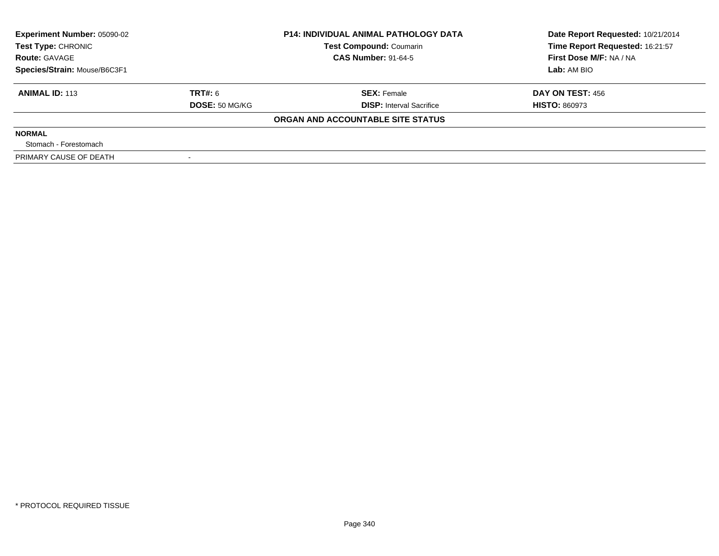| <b>Experiment Number: 05090-02</b><br>Test Type: CHRONIC |                       | <b>P14: INDIVIDUAL ANIMAL PATHOLOGY DATA</b> | Date Report Requested: 10/21/2014 |
|----------------------------------------------------------|-----------------------|----------------------------------------------|-----------------------------------|
|                                                          |                       | <b>Test Compound: Coumarin</b>               | Time Report Requested: 16:21:57   |
| <b>Route: GAVAGE</b>                                     |                       | <b>CAS Number: 91-64-5</b>                   | First Dose M/F: NA / NA           |
| Species/Strain: Mouse/B6C3F1                             |                       |                                              | Lab: AM BIO                       |
| <b>ANIMAL ID: 113</b>                                    | TRT#: 6               | <b>SEX: Female</b>                           | <b>DAY ON TEST: 456</b>           |
|                                                          | <b>DOSE: 50 MG/KG</b> | <b>DISP:</b> Interval Sacrifice              | <b>HISTO: 860973</b>              |
|                                                          |                       | ORGAN AND ACCOUNTABLE SITE STATUS            |                                   |
| <b>NORMAL</b>                                            |                       |                                              |                                   |
| Stomach - Forestomach                                    |                       |                                              |                                   |
| PRIMARY CAUSE OF DEATH                                   |                       |                                              |                                   |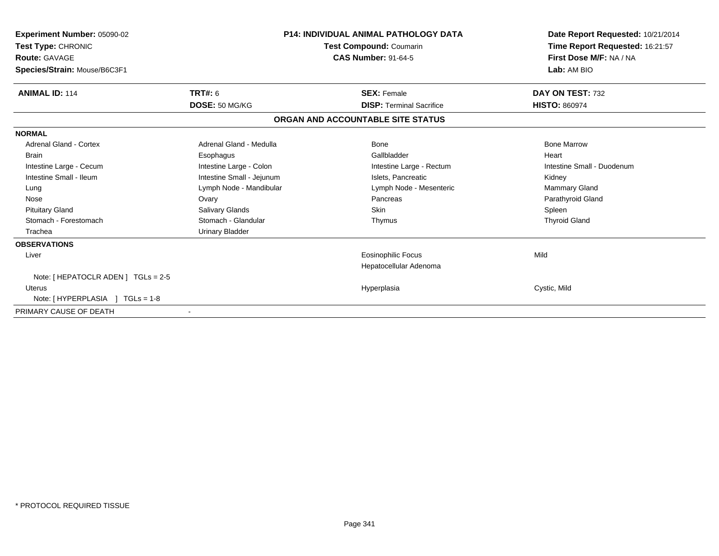| <b>Experiment Number: 05090-02</b><br>Test Type: CHRONIC<br>Route: GAVAGE<br>Species/Strain: Mouse/B6C3F1 | P14: INDIVIDUAL ANIMAL PATHOLOGY DATA<br>Test Compound: Coumarin<br><b>CAS Number: 91-64-5</b> |                                   | Date Report Requested: 10/21/2014<br>Time Report Requested: 16:21:57<br>First Dose M/F: NA / NA<br>Lab: AM BIO |
|-----------------------------------------------------------------------------------------------------------|------------------------------------------------------------------------------------------------|-----------------------------------|----------------------------------------------------------------------------------------------------------------|
| <b>ANIMAL ID: 114</b>                                                                                     | TRT#: 6                                                                                        | <b>SEX: Female</b>                | DAY ON TEST: 732                                                                                               |
|                                                                                                           | DOSE: 50 MG/KG                                                                                 | <b>DISP: Terminal Sacrifice</b>   | <b>HISTO: 860974</b>                                                                                           |
|                                                                                                           |                                                                                                | ORGAN AND ACCOUNTABLE SITE STATUS |                                                                                                                |
| <b>NORMAL</b>                                                                                             |                                                                                                |                                   |                                                                                                                |
| Adrenal Gland - Cortex                                                                                    | Adrenal Gland - Medulla                                                                        | <b>Bone</b>                       | <b>Bone Marrow</b>                                                                                             |
| <b>Brain</b>                                                                                              | Esophagus                                                                                      | Gallbladder                       | Heart                                                                                                          |
| Intestine Large - Cecum                                                                                   | Intestine Large - Colon                                                                        | Intestine Large - Rectum          | Intestine Small - Duodenum                                                                                     |
| Intestine Small - Ileum                                                                                   | Intestine Small - Jejunum                                                                      | Islets, Pancreatic                | Kidney                                                                                                         |
| Lung                                                                                                      | Lymph Node - Mandibular                                                                        | Lymph Node - Mesenteric           | <b>Mammary Gland</b>                                                                                           |
| Nose                                                                                                      | Ovary                                                                                          | Pancreas                          | Parathyroid Gland                                                                                              |
| <b>Pituitary Gland</b>                                                                                    | Salivary Glands                                                                                | <b>Skin</b>                       | Spleen                                                                                                         |
| Stomach - Forestomach                                                                                     | Stomach - Glandular                                                                            | Thymus                            | <b>Thyroid Gland</b>                                                                                           |
| Trachea                                                                                                   | <b>Urinary Bladder</b>                                                                         |                                   |                                                                                                                |
| <b>OBSERVATIONS</b>                                                                                       |                                                                                                |                                   |                                                                                                                |
| Liver                                                                                                     |                                                                                                | Eosinophilic Focus                | Mild                                                                                                           |
|                                                                                                           |                                                                                                | Hepatocellular Adenoma            |                                                                                                                |
| Note: [ HEPATOCLR ADEN ] TGLs = 2-5                                                                       |                                                                                                |                                   |                                                                                                                |
| <b>Uterus</b>                                                                                             |                                                                                                | Hyperplasia                       | Cystic, Mild                                                                                                   |
| Note: [HYPERPLASIA ] TGLs = 1-8                                                                           |                                                                                                |                                   |                                                                                                                |
| PRIMARY CAUSE OF DEATH                                                                                    |                                                                                                |                                   |                                                                                                                |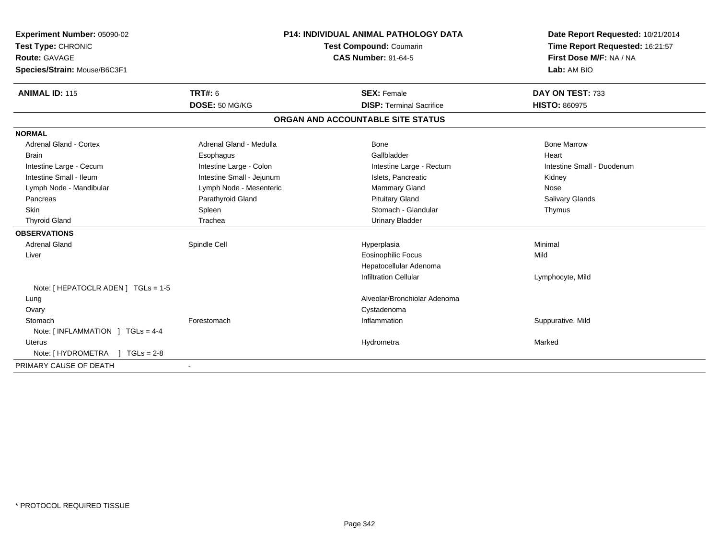| Experiment Number: 05090-02<br>Test Type: CHRONIC<br>Route: GAVAGE |                           | <b>P14: INDIVIDUAL ANIMAL PATHOLOGY DATA</b><br>Test Compound: Coumarin<br><b>CAS Number: 91-64-5</b> |                                   | Date Report Requested: 10/21/2014<br>Time Report Requested: 16:21:57<br>First Dose M/F: NA / NA |  |
|--------------------------------------------------------------------|---------------------------|-------------------------------------------------------------------------------------------------------|-----------------------------------|-------------------------------------------------------------------------------------------------|--|
| Species/Strain: Mouse/B6C3F1                                       |                           |                                                                                                       |                                   | Lab: AM BIO                                                                                     |  |
| <b>ANIMAL ID: 115</b>                                              | <b>TRT#: 6</b>            |                                                                                                       | <b>SEX: Female</b>                | DAY ON TEST: 733                                                                                |  |
|                                                                    | DOSE: 50 MG/KG            |                                                                                                       | <b>DISP: Terminal Sacrifice</b>   | <b>HISTO: 860975</b>                                                                            |  |
|                                                                    |                           |                                                                                                       | ORGAN AND ACCOUNTABLE SITE STATUS |                                                                                                 |  |
| <b>NORMAL</b>                                                      |                           |                                                                                                       |                                   |                                                                                                 |  |
| <b>Adrenal Gland - Cortex</b>                                      | Adrenal Gland - Medulla   |                                                                                                       | <b>Bone</b>                       | <b>Bone Marrow</b>                                                                              |  |
| <b>Brain</b>                                                       | Esophagus                 |                                                                                                       | Gallbladder                       | Heart                                                                                           |  |
| Intestine Large - Cecum                                            | Intestine Large - Colon   |                                                                                                       | Intestine Large - Rectum          | Intestine Small - Duodenum                                                                      |  |
| Intestine Small - Ileum                                            | Intestine Small - Jejunum |                                                                                                       | Islets, Pancreatic                | Kidney                                                                                          |  |
| Lymph Node - Mandibular                                            | Lymph Node - Mesenteric   |                                                                                                       | Mammary Gland                     | Nose                                                                                            |  |
| Pancreas                                                           | Parathyroid Gland         |                                                                                                       | <b>Pituitary Gland</b>            | <b>Salivary Glands</b>                                                                          |  |
| <b>Skin</b>                                                        | Spleen                    |                                                                                                       | Stomach - Glandular               | Thymus                                                                                          |  |
| <b>Thyroid Gland</b>                                               | Trachea                   |                                                                                                       | <b>Urinary Bladder</b>            |                                                                                                 |  |
| <b>OBSERVATIONS</b>                                                |                           |                                                                                                       |                                   |                                                                                                 |  |
| <b>Adrenal Gland</b>                                               | Spindle Cell              |                                                                                                       | Hyperplasia                       | Minimal                                                                                         |  |
| Liver                                                              |                           |                                                                                                       | <b>Eosinophilic Focus</b>         | Mild                                                                                            |  |
|                                                                    |                           |                                                                                                       | Hepatocellular Adenoma            |                                                                                                 |  |
|                                                                    |                           |                                                                                                       | <b>Infiltration Cellular</b>      | Lymphocyte, Mild                                                                                |  |
| Note: [ HEPATOCLR ADEN ] TGLs = 1-5                                |                           |                                                                                                       |                                   |                                                                                                 |  |
| Lung                                                               |                           |                                                                                                       | Alveolar/Bronchiolar Adenoma      |                                                                                                 |  |
| Ovary                                                              |                           |                                                                                                       | Cystadenoma                       |                                                                                                 |  |
| Stomach                                                            | Forestomach               |                                                                                                       | Inflammation                      | Suppurative, Mild                                                                               |  |
| Note: [INFLAMMATION ] TGLs = 4-4                                   |                           |                                                                                                       |                                   |                                                                                                 |  |
| Uterus                                                             |                           |                                                                                                       | Hydrometra                        | Marked                                                                                          |  |
| Note: [HYDROMETRA ] TGLs = 2-8                                     |                           |                                                                                                       |                                   |                                                                                                 |  |
| PRIMARY CAUSE OF DEATH                                             |                           |                                                                                                       |                                   |                                                                                                 |  |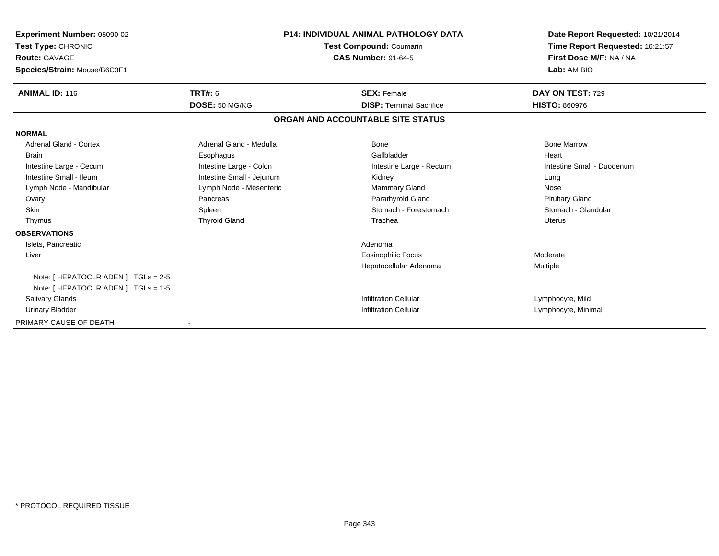| Experiment Number: 05090-02         |                           | <b>P14: INDIVIDUAL ANIMAL PATHOLOGY DATA</b> | Date Report Requested: 10/21/2014 |  |
|-------------------------------------|---------------------------|----------------------------------------------|-----------------------------------|--|
| Test Type: CHRONIC                  |                           | Test Compound: Coumarin                      | Time Report Requested: 16:21:57   |  |
| <b>Route: GAVAGE</b>                |                           | <b>CAS Number: 91-64-5</b>                   | First Dose M/F: NA / NA           |  |
| Species/Strain: Mouse/B6C3F1        |                           |                                              | Lab: AM BIO                       |  |
| <b>ANIMAL ID: 116</b>               | TRT#: 6                   | <b>SEX: Female</b>                           | DAY ON TEST: 729                  |  |
|                                     | DOSE: 50 MG/KG            | <b>DISP: Terminal Sacrifice</b>              | <b>HISTO: 860976</b>              |  |
|                                     |                           | ORGAN AND ACCOUNTABLE SITE STATUS            |                                   |  |
| <b>NORMAL</b>                       |                           |                                              |                                   |  |
| Adrenal Gland - Cortex              | Adrenal Gland - Medulla   | Bone                                         | <b>Bone Marrow</b>                |  |
| <b>Brain</b>                        | Esophagus                 | Gallbladder                                  | Heart                             |  |
| Intestine Large - Cecum             | Intestine Large - Colon   | Intestine Large - Rectum                     | Intestine Small - Duodenum        |  |
| Intestine Small - Ileum             | Intestine Small - Jejunum | Kidney                                       | Lung                              |  |
| Lymph Node - Mandibular             | Lymph Node - Mesenteric   | Mammary Gland                                | Nose                              |  |
| Ovary                               | Pancreas                  | Parathyroid Gland                            | <b>Pituitary Gland</b>            |  |
| <b>Skin</b>                         | Spleen                    | Stomach - Forestomach                        | Stomach - Glandular               |  |
| Thymus                              | <b>Thyroid Gland</b>      | Trachea                                      | <b>Uterus</b>                     |  |
| <b>OBSERVATIONS</b>                 |                           |                                              |                                   |  |
| Islets, Pancreatic                  |                           | Adenoma                                      |                                   |  |
| Liver                               |                           | <b>Eosinophilic Focus</b>                    | Moderate                          |  |
|                                     |                           | Hepatocellular Adenoma                       | <b>Multiple</b>                   |  |
| Note: [ HEPATOCLR ADEN ] TGLs = 2-5 |                           |                                              |                                   |  |
| Note: [ HEPATOCLR ADEN ] TGLs = 1-5 |                           |                                              |                                   |  |
| Salivary Glands                     |                           | <b>Infiltration Cellular</b>                 | Lymphocyte, Mild                  |  |
| <b>Urinary Bladder</b>              |                           | Infiltration Cellular                        | Lymphocyte, Minimal               |  |
| PRIMARY CAUSE OF DEATH              |                           |                                              |                                   |  |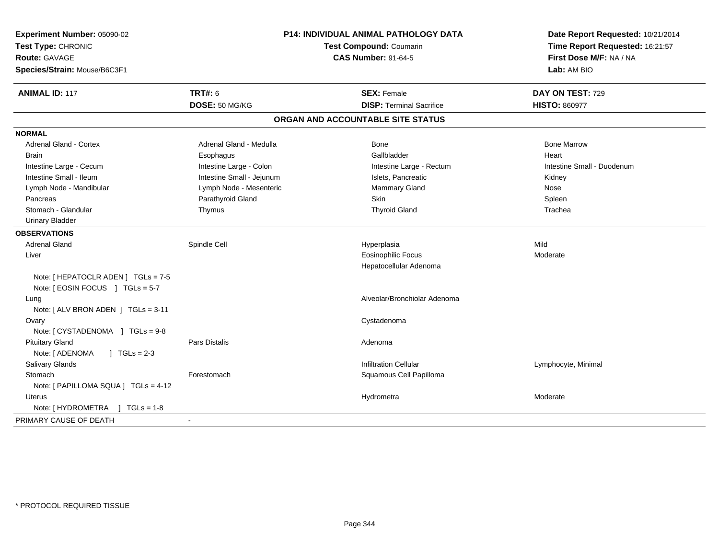| Experiment Number: 05090-02<br>Test Type: CHRONIC<br><b>Route: GAVAGE</b><br>Species/Strain: Mouse/B6C3F1 |                           | P14: INDIVIDUAL ANIMAL PATHOLOGY DATA<br><b>Test Compound: Coumarin</b><br><b>CAS Number: 91-64-5</b> | Date Report Requested: 10/21/2014<br>Time Report Requested: 16:21:57<br>First Dose M/F: NA / NA<br>Lab: AM BIO |
|-----------------------------------------------------------------------------------------------------------|---------------------------|-------------------------------------------------------------------------------------------------------|----------------------------------------------------------------------------------------------------------------|
| <b>ANIMAL ID: 117</b>                                                                                     | <b>TRT#: 6</b>            | <b>SEX: Female</b>                                                                                    | DAY ON TEST: 729                                                                                               |
|                                                                                                           | DOSE: 50 MG/KG            | <b>DISP: Terminal Sacrifice</b>                                                                       | <b>HISTO: 860977</b>                                                                                           |
|                                                                                                           |                           | ORGAN AND ACCOUNTABLE SITE STATUS                                                                     |                                                                                                                |
| <b>NORMAL</b>                                                                                             |                           |                                                                                                       |                                                                                                                |
| Adrenal Gland - Cortex                                                                                    | Adrenal Gland - Medulla   | Bone                                                                                                  | <b>Bone Marrow</b>                                                                                             |
| <b>Brain</b>                                                                                              | Esophagus                 | Gallbladder                                                                                           | Heart                                                                                                          |
| Intestine Large - Cecum                                                                                   | Intestine Large - Colon   | Intestine Large - Rectum                                                                              | Intestine Small - Duodenum                                                                                     |
| Intestine Small - Ileum                                                                                   | Intestine Small - Jejunum | Islets, Pancreatic                                                                                    | Kidney                                                                                                         |
| Lymph Node - Mandibular                                                                                   | Lymph Node - Mesenteric   | <b>Mammary Gland</b>                                                                                  | Nose                                                                                                           |
| Pancreas                                                                                                  | Parathyroid Gland         | <b>Skin</b>                                                                                           | Spleen                                                                                                         |
| Stomach - Glandular                                                                                       | Thymus                    | <b>Thyroid Gland</b>                                                                                  | Trachea                                                                                                        |
| <b>Urinary Bladder</b>                                                                                    |                           |                                                                                                       |                                                                                                                |
| <b>OBSERVATIONS</b>                                                                                       |                           |                                                                                                       |                                                                                                                |
| <b>Adrenal Gland</b>                                                                                      | Spindle Cell              | Hyperplasia                                                                                           | Mild                                                                                                           |
| Liver                                                                                                     |                           | <b>Eosinophilic Focus</b>                                                                             | Moderate                                                                                                       |
|                                                                                                           |                           | Hepatocellular Adenoma                                                                                |                                                                                                                |
| Note: [ HEPATOCLR ADEN ] TGLs = 7-5<br>Note: [ EOSIN FOCUS ] TGLs = 5-7                                   |                           |                                                                                                       |                                                                                                                |
| Lung<br>Note: [ ALV BRON ADEN ] TGLs = 3-11                                                               |                           | Alveolar/Bronchiolar Adenoma                                                                          |                                                                                                                |
| Ovary                                                                                                     |                           | Cystadenoma                                                                                           |                                                                                                                |
| Note: [ CYSTADENOMA ] TGLs = 9-8                                                                          |                           |                                                                                                       |                                                                                                                |
| <b>Pituitary Gland</b>                                                                                    | Pars Distalis             | Adenoma                                                                                               |                                                                                                                |
| Note: [ ADENOMA<br>$\int$ TGLs = 2-3                                                                      |                           |                                                                                                       |                                                                                                                |
| <b>Salivary Glands</b>                                                                                    |                           | <b>Infiltration Cellular</b>                                                                          | Lymphocyte, Minimal                                                                                            |
| Stomach                                                                                                   | Forestomach               | Squamous Cell Papilloma                                                                               |                                                                                                                |
| Note: [ PAPILLOMA SQUA ] TGLs = 4-12                                                                      |                           |                                                                                                       |                                                                                                                |
| <b>Uterus</b>                                                                                             |                           | Hydrometra                                                                                            | Moderate                                                                                                       |
| Note: [HYDROMETRA ] TGLs = 1-8                                                                            |                           |                                                                                                       |                                                                                                                |
| PRIMARY CAUSE OF DEATH                                                                                    |                           |                                                                                                       |                                                                                                                |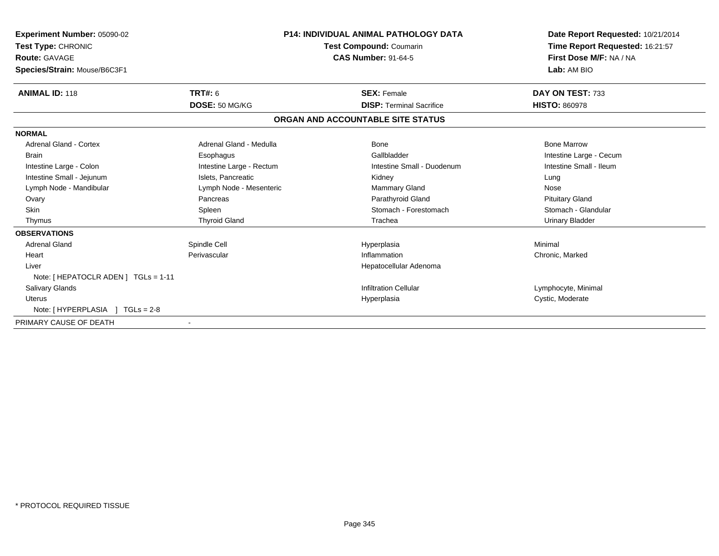| Experiment Number: 05090-02<br>Test Type: CHRONIC<br><b>Route: GAVAGE</b><br>Species/Strain: Mouse/B6C3F1 |                          | <b>P14: INDIVIDUAL ANIMAL PATHOLOGY DATA</b><br>Test Compound: Coumarin<br><b>CAS Number: 91-64-5</b> | Date Report Requested: 10/21/2014<br>Time Report Requested: 16:21:57<br>First Dose M/F: NA / NA<br>Lab: AM BIO |
|-----------------------------------------------------------------------------------------------------------|--------------------------|-------------------------------------------------------------------------------------------------------|----------------------------------------------------------------------------------------------------------------|
| <b>ANIMAL ID: 118</b>                                                                                     | <b>TRT#: 6</b>           | <b>SEX: Female</b>                                                                                    | DAY ON TEST: 733                                                                                               |
|                                                                                                           | DOSE: 50 MG/KG           | <b>DISP: Terminal Sacrifice</b>                                                                       | <b>HISTO: 860978</b>                                                                                           |
|                                                                                                           |                          | ORGAN AND ACCOUNTABLE SITE STATUS                                                                     |                                                                                                                |
| <b>NORMAL</b>                                                                                             |                          |                                                                                                       |                                                                                                                |
| <b>Adrenal Gland - Cortex</b>                                                                             | Adrenal Gland - Medulla  | Bone                                                                                                  | <b>Bone Marrow</b>                                                                                             |
| <b>Brain</b>                                                                                              | Esophagus                | Gallbladder                                                                                           | Intestine Large - Cecum                                                                                        |
| Intestine Large - Colon                                                                                   | Intestine Large - Rectum | Intestine Small - Duodenum                                                                            | Intestine Small - Ileum                                                                                        |
| Intestine Small - Jejunum                                                                                 | Islets, Pancreatic       | Kidney                                                                                                | Lung                                                                                                           |
| Lymph Node - Mandibular                                                                                   | Lymph Node - Mesenteric  | <b>Mammary Gland</b>                                                                                  | Nose                                                                                                           |
| Ovary                                                                                                     | Pancreas                 | Parathyroid Gland                                                                                     | <b>Pituitary Gland</b>                                                                                         |
| <b>Skin</b>                                                                                               | Spleen                   | Stomach - Forestomach                                                                                 | Stomach - Glandular                                                                                            |
| Thymus                                                                                                    | <b>Thyroid Gland</b>     | Trachea                                                                                               | <b>Urinary Bladder</b>                                                                                         |
| <b>OBSERVATIONS</b>                                                                                       |                          |                                                                                                       |                                                                                                                |
| <b>Adrenal Gland</b>                                                                                      | Spindle Cell             | Hyperplasia                                                                                           | Minimal                                                                                                        |
| Heart                                                                                                     | Perivascular             | Inflammation                                                                                          | Chronic, Marked                                                                                                |
| Liver                                                                                                     |                          | Hepatocellular Adenoma                                                                                |                                                                                                                |
| Note: [ HEPATOCLR ADEN ] TGLs = 1-11                                                                      |                          |                                                                                                       |                                                                                                                |
| <b>Salivary Glands</b>                                                                                    |                          | <b>Infiltration Cellular</b>                                                                          | Lymphocyte, Minimal                                                                                            |
| <b>Uterus</b>                                                                                             |                          | Hyperplasia                                                                                           | Cystic, Moderate                                                                                               |
| Note: [HYPERPLASIA ] TGLs = 2-8                                                                           |                          |                                                                                                       |                                                                                                                |
| PRIMARY CAUSE OF DEATH                                                                                    |                          |                                                                                                       |                                                                                                                |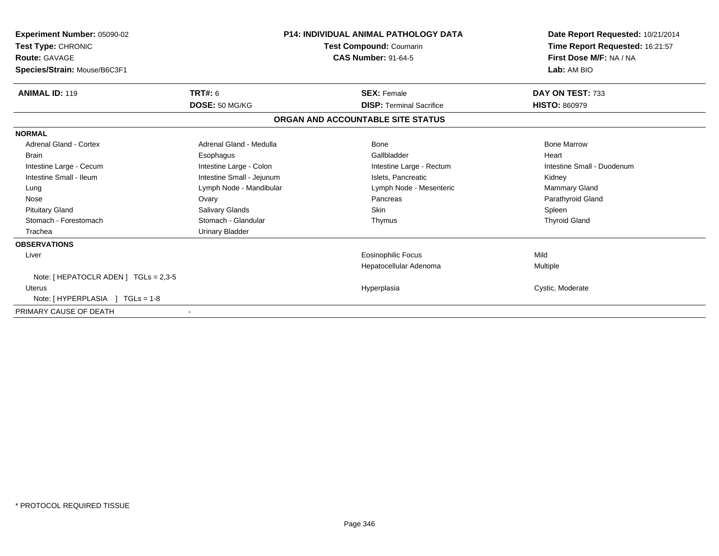| Experiment Number: 05090-02<br>Test Type: CHRONIC<br><b>Route: GAVAGE</b><br>Species/Strain: Mouse/B6C3F1 | <b>P14: INDIVIDUAL ANIMAL PATHOLOGY DATA</b><br>Test Compound: Coumarin<br><b>CAS Number: 91-64-5</b> |                                   | Date Report Requested: 10/21/2014<br>Time Report Requested: 16:21:57<br>First Dose M/F: NA / NA<br>Lab: AM BIO |
|-----------------------------------------------------------------------------------------------------------|-------------------------------------------------------------------------------------------------------|-----------------------------------|----------------------------------------------------------------------------------------------------------------|
| <b>ANIMAL ID: 119</b>                                                                                     | TRT#: 6                                                                                               | <b>SEX: Female</b>                | DAY ON TEST: 733                                                                                               |
|                                                                                                           | DOSE: 50 MG/KG                                                                                        | <b>DISP: Terminal Sacrifice</b>   | <b>HISTO: 860979</b>                                                                                           |
|                                                                                                           |                                                                                                       | ORGAN AND ACCOUNTABLE SITE STATUS |                                                                                                                |
| <b>NORMAL</b>                                                                                             |                                                                                                       |                                   |                                                                                                                |
| Adrenal Gland - Cortex                                                                                    | Adrenal Gland - Medulla                                                                               | Bone                              | <b>Bone Marrow</b>                                                                                             |
| <b>Brain</b>                                                                                              | Esophagus                                                                                             | Gallbladder                       | Heart                                                                                                          |
| Intestine Large - Cecum                                                                                   | Intestine Large - Colon                                                                               | Intestine Large - Rectum          | Intestine Small - Duodenum                                                                                     |
| Intestine Small - Ileum                                                                                   | Intestine Small - Jejunum                                                                             | Islets, Pancreatic                | Kidney                                                                                                         |
| Lung                                                                                                      | Lymph Node - Mandibular                                                                               | Lymph Node - Mesenteric           | <b>Mammary Gland</b>                                                                                           |
| Nose                                                                                                      | Ovary                                                                                                 | Pancreas                          | Parathyroid Gland                                                                                              |
| <b>Pituitary Gland</b>                                                                                    | Salivary Glands                                                                                       | <b>Skin</b>                       | Spleen                                                                                                         |
| Stomach - Forestomach                                                                                     | Stomach - Glandular                                                                                   | Thymus                            | <b>Thyroid Gland</b>                                                                                           |
| Trachea                                                                                                   | <b>Urinary Bladder</b>                                                                                |                                   |                                                                                                                |
| <b>OBSERVATIONS</b>                                                                                       |                                                                                                       |                                   |                                                                                                                |
| Liver                                                                                                     |                                                                                                       | <b>Eosinophilic Focus</b>         | Mild                                                                                                           |
|                                                                                                           |                                                                                                       | Hepatocellular Adenoma            | Multiple                                                                                                       |
| Note: $[$ HEPATOCLR ADEN $]$ TGLs = 2,3-5                                                                 |                                                                                                       |                                   |                                                                                                                |
| <b>Uterus</b>                                                                                             |                                                                                                       | Hyperplasia                       | Cystic, Moderate                                                                                               |
| Note: [HYPERPLASIA ] TGLs = 1-8                                                                           |                                                                                                       |                                   |                                                                                                                |
| PRIMARY CAUSE OF DEATH                                                                                    |                                                                                                       |                                   |                                                                                                                |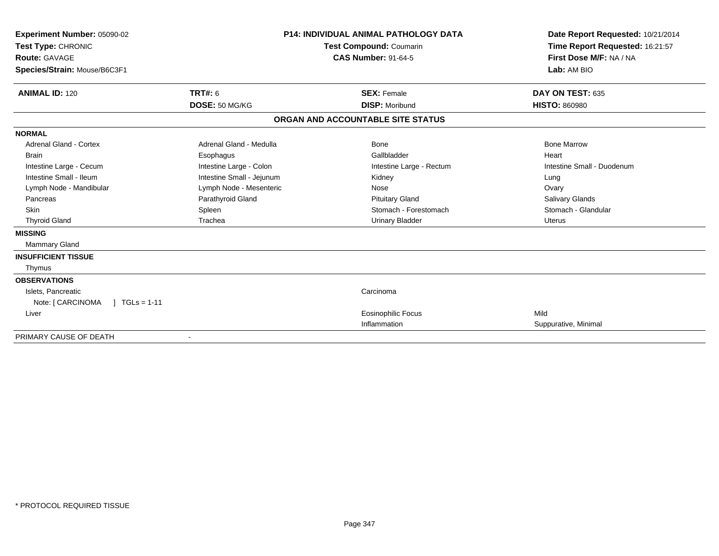| Experiment Number: 05090-02          |                           | <b>P14: INDIVIDUAL ANIMAL PATHOLOGY DATA</b> | Date Report Requested: 10/21/2014 |  |
|--------------------------------------|---------------------------|----------------------------------------------|-----------------------------------|--|
| Test Type: CHRONIC                   |                           | Test Compound: Coumarin                      | Time Report Requested: 16:21:57   |  |
| <b>Route: GAVAGE</b>                 |                           | <b>CAS Number: 91-64-5</b>                   | First Dose M/F: NA / NA           |  |
| Species/Strain: Mouse/B6C3F1         |                           |                                              | Lab: AM BIO                       |  |
| <b>ANIMAL ID: 120</b>                | TRT#: 6                   | <b>SEX: Female</b>                           | DAY ON TEST: 635                  |  |
|                                      | DOSE: 50 MG/KG            | <b>DISP: Moribund</b>                        | <b>HISTO: 860980</b>              |  |
|                                      |                           | ORGAN AND ACCOUNTABLE SITE STATUS            |                                   |  |
| <b>NORMAL</b>                        |                           |                                              |                                   |  |
| <b>Adrenal Gland - Cortex</b>        | Adrenal Gland - Medulla   | <b>Bone</b>                                  | <b>Bone Marrow</b>                |  |
| <b>Brain</b>                         | Esophagus                 | Gallbladder                                  | Heart                             |  |
| Intestine Large - Cecum              | Intestine Large - Colon   | Intestine Large - Rectum                     | Intestine Small - Duodenum        |  |
| Intestine Small - Ileum              | Intestine Small - Jejunum | Kidney                                       | Lung                              |  |
| Lymph Node - Mandibular              | Lymph Node - Mesenteric   | Nose                                         | Ovary                             |  |
| Pancreas                             | Parathyroid Gland         | <b>Pituitary Gland</b>                       | Salivary Glands                   |  |
| <b>Skin</b>                          | Spleen                    | Stomach - Forestomach                        | Stomach - Glandular               |  |
| <b>Thyroid Gland</b>                 | Trachea                   | <b>Urinary Bladder</b>                       | <b>Uterus</b>                     |  |
| <b>MISSING</b>                       |                           |                                              |                                   |  |
| <b>Mammary Gland</b>                 |                           |                                              |                                   |  |
| <b>INSUFFICIENT TISSUE</b>           |                           |                                              |                                   |  |
| Thymus                               |                           |                                              |                                   |  |
| <b>OBSERVATIONS</b>                  |                           |                                              |                                   |  |
| Islets, Pancreatic                   |                           | Carcinoma                                    |                                   |  |
| $1 TGLs = 1-11$<br>Note: [ CARCINOMA |                           |                                              |                                   |  |
| Liver                                |                           | <b>Eosinophilic Focus</b>                    | Mild                              |  |
|                                      |                           | Inflammation                                 | Suppurative, Minimal              |  |
| PRIMARY CAUSE OF DEATH               |                           |                                              |                                   |  |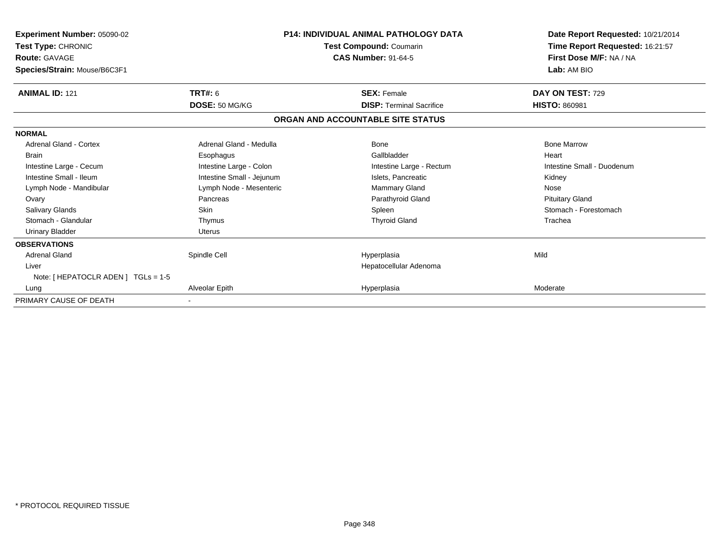| Experiment Number: 05090-02<br>Test Type: CHRONIC | <b>P14: INDIVIDUAL ANIMAL PATHOLOGY DATA</b><br>Test Compound: Coumarin |                                   | Date Report Requested: 10/21/2014<br>Time Report Requested: 16:21:57 |  |
|---------------------------------------------------|-------------------------------------------------------------------------|-----------------------------------|----------------------------------------------------------------------|--|
| <b>Route: GAVAGE</b>                              |                                                                         | <b>CAS Number: 91-64-5</b>        | First Dose M/F: NA / NA                                              |  |
| Species/Strain: Mouse/B6C3F1                      |                                                                         |                                   | Lab: AM BIO                                                          |  |
| <b>ANIMAL ID: 121</b>                             | TRT#: 6                                                                 | <b>SEX: Female</b>                | DAY ON TEST: 729                                                     |  |
|                                                   | DOSE: 50 MG/KG                                                          | <b>DISP: Terminal Sacrifice</b>   | <b>HISTO: 860981</b>                                                 |  |
|                                                   |                                                                         | ORGAN AND ACCOUNTABLE SITE STATUS |                                                                      |  |
| <b>NORMAL</b>                                     |                                                                         |                                   |                                                                      |  |
| Adrenal Gland - Cortex                            | Adrenal Gland - Medulla                                                 | Bone                              | <b>Bone Marrow</b>                                                   |  |
| <b>Brain</b>                                      | Esophagus                                                               | Gallbladder                       | Heart                                                                |  |
| Intestine Large - Cecum                           | Intestine Large - Colon                                                 | Intestine Large - Rectum          | Intestine Small - Duodenum                                           |  |
| Intestine Small - Ileum                           | Intestine Small - Jejunum                                               | Islets, Pancreatic                | Kidney                                                               |  |
| Lymph Node - Mandibular                           | Lymph Node - Mesenteric                                                 | <b>Mammary Gland</b>              | Nose                                                                 |  |
| Ovary                                             | Pancreas                                                                | Parathyroid Gland                 | <b>Pituitary Gland</b>                                               |  |
| <b>Salivary Glands</b>                            | <b>Skin</b>                                                             | Spleen                            | Stomach - Forestomach                                                |  |
| Stomach - Glandular                               | Thymus                                                                  | <b>Thyroid Gland</b>              | Trachea                                                              |  |
| <b>Urinary Bladder</b>                            | <b>Uterus</b>                                                           |                                   |                                                                      |  |
| <b>OBSERVATIONS</b>                               |                                                                         |                                   |                                                                      |  |
| <b>Adrenal Gland</b>                              | Spindle Cell                                                            | Hyperplasia                       | Mild                                                                 |  |
| Liver                                             |                                                                         | Hepatocellular Adenoma            |                                                                      |  |
| Note: [ HEPATOCLR ADEN ] TGLs = 1-5               |                                                                         |                                   |                                                                      |  |
| Lung                                              | Alveolar Epith                                                          | Hyperplasia                       | Moderate                                                             |  |
| PRIMARY CAUSE OF DEATH                            |                                                                         |                                   |                                                                      |  |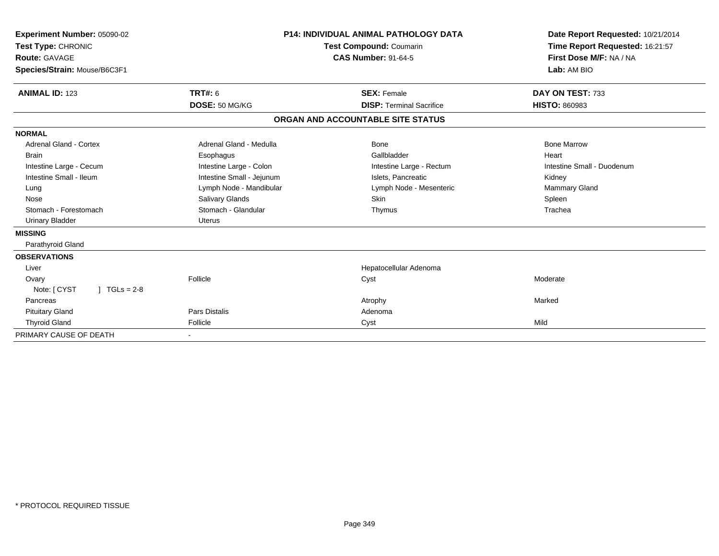| Experiment Number: 05090-02<br>Test Type: CHRONIC<br>Route: GAVAGE |                           | <b>P14: INDIVIDUAL ANIMAL PATHOLOGY DATA</b><br>Test Compound: Coumarin<br><b>CAS Number: 91-64-5</b> | Date Report Requested: 10/21/2014<br>Time Report Requested: 16:21:57<br>First Dose M/F: NA / NA |
|--------------------------------------------------------------------|---------------------------|-------------------------------------------------------------------------------------------------------|-------------------------------------------------------------------------------------------------|
| Species/Strain: Mouse/B6C3F1                                       |                           |                                                                                                       | Lab: AM BIO                                                                                     |
| <b>ANIMAL ID: 123</b>                                              | <b>TRT#: 6</b>            | <b>SEX: Female</b>                                                                                    | DAY ON TEST: 733                                                                                |
|                                                                    | DOSE: 50 MG/KG            | <b>DISP: Terminal Sacrifice</b>                                                                       | <b>HISTO: 860983</b>                                                                            |
|                                                                    |                           | ORGAN AND ACCOUNTABLE SITE STATUS                                                                     |                                                                                                 |
| <b>NORMAL</b>                                                      |                           |                                                                                                       |                                                                                                 |
| Adrenal Gland - Cortex                                             | Adrenal Gland - Medulla   | <b>Bone</b>                                                                                           | <b>Bone Marrow</b>                                                                              |
| <b>Brain</b>                                                       | Esophagus                 | Gallbladder                                                                                           | Heart                                                                                           |
| Intestine Large - Cecum                                            | Intestine Large - Colon   | Intestine Large - Rectum                                                                              | Intestine Small - Duodenum                                                                      |
| Intestine Small - Ileum                                            | Intestine Small - Jejunum | Islets, Pancreatic                                                                                    | Kidney                                                                                          |
| Lung                                                               | Lymph Node - Mandibular   | Lymph Node - Mesenteric                                                                               | <b>Mammary Gland</b>                                                                            |
| Nose                                                               | Salivary Glands           | Skin                                                                                                  | Spleen                                                                                          |
| Stomach - Forestomach                                              | Stomach - Glandular       | Thymus                                                                                                | Trachea                                                                                         |
| <b>Urinary Bladder</b>                                             | Uterus                    |                                                                                                       |                                                                                                 |
| <b>MISSING</b>                                                     |                           |                                                                                                       |                                                                                                 |
| Parathyroid Gland                                                  |                           |                                                                                                       |                                                                                                 |
| <b>OBSERVATIONS</b>                                                |                           |                                                                                                       |                                                                                                 |
| Liver                                                              |                           | Hepatocellular Adenoma                                                                                |                                                                                                 |
| Ovary                                                              | Follicle                  | Cyst                                                                                                  | Moderate                                                                                        |
| Note: [ CYST<br>$1 TGLs = 2-8$                                     |                           |                                                                                                       |                                                                                                 |
| Pancreas                                                           |                           | Atrophy                                                                                               | Marked                                                                                          |
| <b>Pituitary Gland</b>                                             | <b>Pars Distalis</b>      | Adenoma                                                                                               |                                                                                                 |
| <b>Thyroid Gland</b>                                               | Follicle                  | Cyst                                                                                                  | Mild                                                                                            |
| PRIMARY CAUSE OF DEATH                                             |                           |                                                                                                       |                                                                                                 |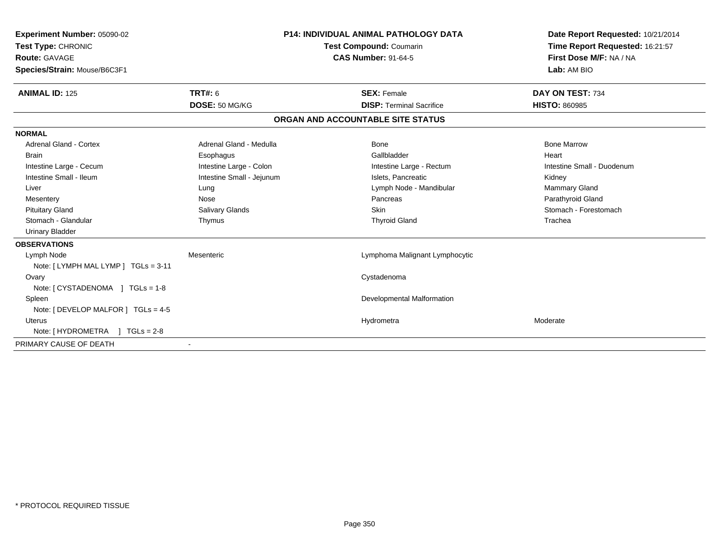| Experiment Number: 05090-02<br>Test Type: CHRONIC<br><b>Route: GAVAGE</b><br>Species/Strain: Mouse/B6C3F1 |                           | <b>P14: INDIVIDUAL ANIMAL PATHOLOGY DATA</b><br><b>Test Compound: Coumarin</b><br><b>CAS Number: 91-64-5</b> | Date Report Requested: 10/21/2014<br>Time Report Requested: 16:21:57<br>First Dose M/F: NA / NA<br>Lab: AM BIO |
|-----------------------------------------------------------------------------------------------------------|---------------------------|--------------------------------------------------------------------------------------------------------------|----------------------------------------------------------------------------------------------------------------|
| <b>ANIMAL ID: 125</b>                                                                                     | <b>TRT#: 6</b>            | <b>SEX: Female</b>                                                                                           | DAY ON TEST: 734                                                                                               |
|                                                                                                           | DOSE: 50 MG/KG            | <b>DISP: Terminal Sacrifice</b>                                                                              | <b>HISTO: 860985</b>                                                                                           |
|                                                                                                           |                           | ORGAN AND ACCOUNTABLE SITE STATUS                                                                            |                                                                                                                |
| <b>NORMAL</b>                                                                                             |                           |                                                                                                              |                                                                                                                |
| Adrenal Gland - Cortex                                                                                    | Adrenal Gland - Medulla   | Bone                                                                                                         | <b>Bone Marrow</b>                                                                                             |
| <b>Brain</b>                                                                                              | Esophagus                 | Gallbladder                                                                                                  | Heart                                                                                                          |
| Intestine Large - Cecum                                                                                   | Intestine Large - Colon   | Intestine Large - Rectum                                                                                     | Intestine Small - Duodenum                                                                                     |
| Intestine Small - Ileum                                                                                   | Intestine Small - Jejunum | Islets, Pancreatic                                                                                           | Kidney                                                                                                         |
| Liver                                                                                                     | Lung                      | Lymph Node - Mandibular                                                                                      | Mammary Gland                                                                                                  |
| Mesentery                                                                                                 | Nose                      | Pancreas                                                                                                     | Parathyroid Gland                                                                                              |
| <b>Pituitary Gland</b>                                                                                    | <b>Salivary Glands</b>    | <b>Skin</b>                                                                                                  | Stomach - Forestomach                                                                                          |
| Stomach - Glandular                                                                                       | Thymus                    | <b>Thyroid Gland</b>                                                                                         | Trachea                                                                                                        |
| <b>Urinary Bladder</b>                                                                                    |                           |                                                                                                              |                                                                                                                |
| <b>OBSERVATIONS</b>                                                                                       |                           |                                                                                                              |                                                                                                                |
| Lymph Node                                                                                                | Mesenteric                | Lymphoma Malignant Lymphocytic                                                                               |                                                                                                                |
| Note: [LYMPH MAL LYMP ] TGLs = 3-11                                                                       |                           |                                                                                                              |                                                                                                                |
| Ovary                                                                                                     |                           | Cystadenoma                                                                                                  |                                                                                                                |
| Note: $[CYSTADENOMA] TGLS = 1-8$                                                                          |                           |                                                                                                              |                                                                                                                |
| Spleen                                                                                                    |                           | Developmental Malformation                                                                                   |                                                                                                                |
| Note: [ DEVELOP MALFOR ] $TGLs = 4-5$                                                                     |                           |                                                                                                              |                                                                                                                |
| Uterus                                                                                                    |                           | Hydrometra                                                                                                   | Moderate                                                                                                       |
| Note: $[HYDROMETRA] TGLs = 2-8$                                                                           |                           |                                                                                                              |                                                                                                                |
| PRIMARY CAUSE OF DEATH                                                                                    | $\overline{\phantom{a}}$  |                                                                                                              |                                                                                                                |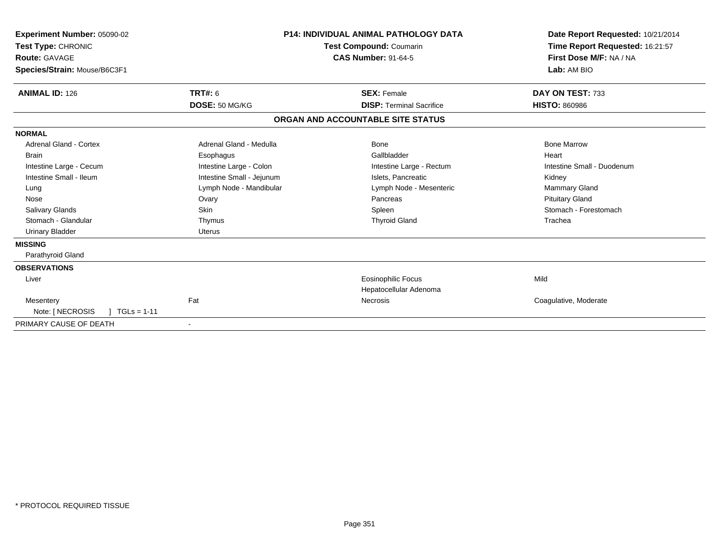| Experiment Number: 05090-02<br>Test Type: CHRONIC<br>Route: GAVAGE<br>Species/Strain: Mouse/B6C3F1 |                           | <b>P14: INDIVIDUAL ANIMAL PATHOLOGY DATA</b><br><b>Test Compound: Coumarin</b><br><b>CAS Number: 91-64-5</b> | Date Report Requested: 10/21/2014<br>Time Report Requested: 16:21:57<br>First Dose M/F: NA / NA<br>Lab: AM BIO |
|----------------------------------------------------------------------------------------------------|---------------------------|--------------------------------------------------------------------------------------------------------------|----------------------------------------------------------------------------------------------------------------|
| <b>ANIMAL ID: 126</b>                                                                              | <b>TRT#: 6</b>            | <b>SEX: Female</b>                                                                                           | DAY ON TEST: 733                                                                                               |
|                                                                                                    | DOSE: 50 MG/KG            | <b>DISP: Terminal Sacrifice</b>                                                                              | <b>HISTO: 860986</b>                                                                                           |
|                                                                                                    |                           | ORGAN AND ACCOUNTABLE SITE STATUS                                                                            |                                                                                                                |
| <b>NORMAL</b>                                                                                      |                           |                                                                                                              |                                                                                                                |
| Adrenal Gland - Cortex                                                                             | Adrenal Gland - Medulla   | Bone                                                                                                         | <b>Bone Marrow</b>                                                                                             |
| <b>Brain</b>                                                                                       | Esophagus                 | Gallbladder                                                                                                  | Heart                                                                                                          |
| Intestine Large - Cecum                                                                            | Intestine Large - Colon   | Intestine Large - Rectum                                                                                     | Intestine Small - Duodenum                                                                                     |
| Intestine Small - Ileum                                                                            | Intestine Small - Jejunum | Islets, Pancreatic                                                                                           | Kidney                                                                                                         |
| Lung                                                                                               | Lymph Node - Mandibular   | Lymph Node - Mesenteric                                                                                      | Mammary Gland                                                                                                  |
| Nose                                                                                               | Ovary                     | Pancreas                                                                                                     | <b>Pituitary Gland</b>                                                                                         |
| <b>Salivary Glands</b>                                                                             | Skin                      | Spleen                                                                                                       | Stomach - Forestomach                                                                                          |
| Stomach - Glandular                                                                                | Thymus                    | <b>Thyroid Gland</b>                                                                                         | Trachea                                                                                                        |
| <b>Urinary Bladder</b>                                                                             | <b>Uterus</b>             |                                                                                                              |                                                                                                                |
| <b>MISSING</b>                                                                                     |                           |                                                                                                              |                                                                                                                |
| Parathyroid Gland                                                                                  |                           |                                                                                                              |                                                                                                                |
| <b>OBSERVATIONS</b>                                                                                |                           |                                                                                                              |                                                                                                                |
| Liver                                                                                              |                           | <b>Eosinophilic Focus</b>                                                                                    | Mild                                                                                                           |
|                                                                                                    |                           | Hepatocellular Adenoma                                                                                       |                                                                                                                |
| Mesentery                                                                                          | Fat                       | Necrosis                                                                                                     | Coagulative, Moderate                                                                                          |
| Note: [ NECROSIS<br>$TGLs = 1-11$                                                                  |                           |                                                                                                              |                                                                                                                |
| PRIMARY CAUSE OF DEATH                                                                             |                           |                                                                                                              |                                                                                                                |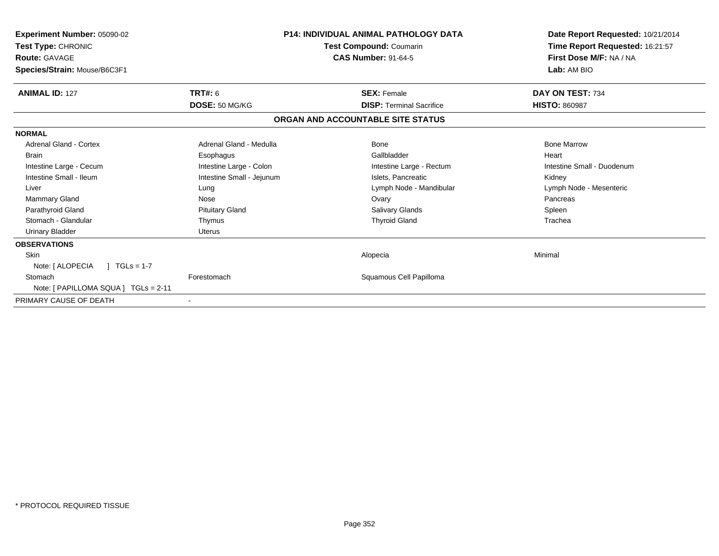| <b>Experiment Number: 05090-02</b><br>Test Type: CHRONIC<br><b>Route: GAVAGE</b><br>Species/Strain: Mouse/B6C3F1 | <b>P14: INDIVIDUAL ANIMAL PATHOLOGY DATA</b><br>Test Compound: Coumarin<br><b>CAS Number: 91-64-5</b> |                                   | Date Report Requested: 10/21/2014<br>Time Report Requested: 16:21:57<br>First Dose M/F: NA / NA<br>Lab: AM BIO |
|------------------------------------------------------------------------------------------------------------------|-------------------------------------------------------------------------------------------------------|-----------------------------------|----------------------------------------------------------------------------------------------------------------|
| <b>ANIMAL ID: 127</b>                                                                                            | TRT#: 6                                                                                               | <b>SEX: Female</b>                | DAY ON TEST: 734                                                                                               |
|                                                                                                                  | DOSE: 50 MG/KG                                                                                        | <b>DISP:</b> Terminal Sacrifice   | <b>HISTO: 860987</b>                                                                                           |
|                                                                                                                  |                                                                                                       | ORGAN AND ACCOUNTABLE SITE STATUS |                                                                                                                |
| <b>NORMAL</b>                                                                                                    |                                                                                                       |                                   |                                                                                                                |
| <b>Adrenal Gland - Cortex</b>                                                                                    | Adrenal Gland - Medulla                                                                               | Bone                              | <b>Bone Marrow</b>                                                                                             |
| <b>Brain</b>                                                                                                     | Esophagus                                                                                             | Gallbladder                       | Heart                                                                                                          |
| Intestine Large - Cecum                                                                                          | Intestine Large - Colon                                                                               | Intestine Large - Rectum          | Intestine Small - Duodenum                                                                                     |
| Intestine Small - Ileum                                                                                          | Intestine Small - Jejunum                                                                             | Islets. Pancreatic                | Kidney                                                                                                         |
| Liver                                                                                                            | Lung                                                                                                  | Lymph Node - Mandibular           | Lymph Node - Mesenteric                                                                                        |
| Mammary Gland                                                                                                    | Nose                                                                                                  | Ovary                             | Pancreas                                                                                                       |
| Parathyroid Gland                                                                                                | <b>Pituitary Gland</b>                                                                                | <b>Salivary Glands</b>            | Spleen                                                                                                         |
| Stomach - Glandular                                                                                              | Thymus                                                                                                | <b>Thyroid Gland</b>              | Trachea                                                                                                        |
| <b>Urinary Bladder</b>                                                                                           | <b>Uterus</b>                                                                                         |                                   |                                                                                                                |
| <b>OBSERVATIONS</b>                                                                                              |                                                                                                       |                                   |                                                                                                                |
| <b>Skin</b>                                                                                                      |                                                                                                       | Alopecia                          | Minimal                                                                                                        |
| Note: [ ALOPECIA<br>$1 TGLs = 1-7$                                                                               |                                                                                                       |                                   |                                                                                                                |
| Stomach                                                                                                          | Forestomach                                                                                           | Squamous Cell Papilloma           |                                                                                                                |
| Note: [ PAPILLOMA SQUA ] TGLs = 2-11                                                                             |                                                                                                       |                                   |                                                                                                                |
| PRIMARY CAUSE OF DEATH                                                                                           |                                                                                                       |                                   |                                                                                                                |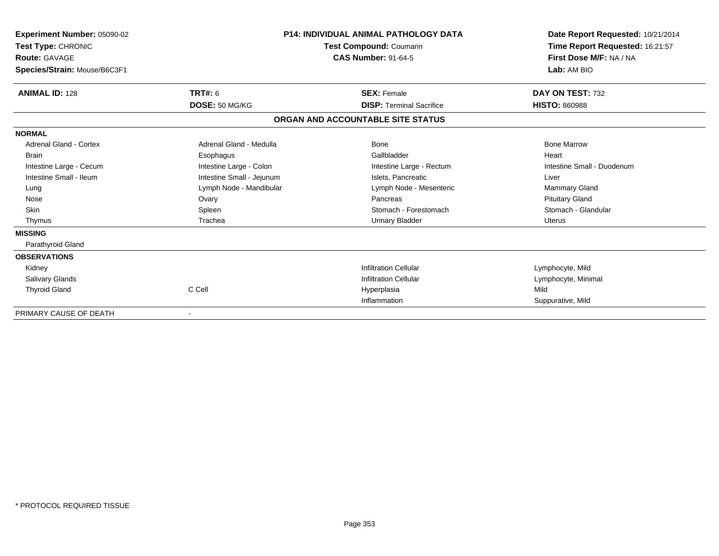| Experiment Number: 05090-02<br>Test Type: CHRONIC<br>Route: GAVAGE<br>Species/Strain: Mouse/B6C3F1 | <b>P14: INDIVIDUAL ANIMAL PATHOLOGY DATA</b><br>Test Compound: Coumarin<br><b>CAS Number: 91-64-5</b> |                                   | Date Report Requested: 10/21/2014<br>Time Report Requested: 16:21:57<br>First Dose M/F: NA / NA<br>Lab: AM BIO |
|----------------------------------------------------------------------------------------------------|-------------------------------------------------------------------------------------------------------|-----------------------------------|----------------------------------------------------------------------------------------------------------------|
| <b>ANIMAL ID: 128</b>                                                                              | <b>TRT#: 6</b>                                                                                        | <b>SEX: Female</b>                | DAY ON TEST: 732                                                                                               |
|                                                                                                    | DOSE: 50 MG/KG                                                                                        | <b>DISP: Terminal Sacrifice</b>   | <b>HISTO: 860988</b>                                                                                           |
|                                                                                                    |                                                                                                       | ORGAN AND ACCOUNTABLE SITE STATUS |                                                                                                                |
| <b>NORMAL</b>                                                                                      |                                                                                                       |                                   |                                                                                                                |
| <b>Adrenal Gland - Cortex</b>                                                                      | Adrenal Gland - Medulla                                                                               | Bone                              | <b>Bone Marrow</b>                                                                                             |
| <b>Brain</b>                                                                                       | Esophagus                                                                                             | Gallbladder                       | Heart                                                                                                          |
| Intestine Large - Cecum                                                                            | Intestine Large - Colon                                                                               | Intestine Large - Rectum          | Intestine Small - Duodenum                                                                                     |
| Intestine Small - Ileum                                                                            | Intestine Small - Jejunum                                                                             | Islets, Pancreatic                | Liver                                                                                                          |
| Lung                                                                                               | Lymph Node - Mandibular                                                                               | Lymph Node - Mesenteric           | <b>Mammary Gland</b>                                                                                           |
| Nose                                                                                               | Ovary                                                                                                 | Pancreas                          | <b>Pituitary Gland</b>                                                                                         |
| <b>Skin</b>                                                                                        | Spleen                                                                                                | Stomach - Forestomach             | Stomach - Glandular                                                                                            |
| Thymus                                                                                             | Trachea                                                                                               | <b>Urinary Bladder</b>            | Uterus                                                                                                         |
| <b>MISSING</b>                                                                                     |                                                                                                       |                                   |                                                                                                                |
| Parathyroid Gland                                                                                  |                                                                                                       |                                   |                                                                                                                |
| <b>OBSERVATIONS</b>                                                                                |                                                                                                       |                                   |                                                                                                                |
| Kidney                                                                                             |                                                                                                       | <b>Infiltration Cellular</b>      | Lymphocyte, Mild                                                                                               |
| <b>Salivary Glands</b>                                                                             |                                                                                                       | <b>Infiltration Cellular</b>      | Lymphocyte, Minimal                                                                                            |
| <b>Thyroid Gland</b>                                                                               | C Cell                                                                                                | Hyperplasia                       | Mild                                                                                                           |
|                                                                                                    |                                                                                                       | Inflammation                      | Suppurative, Mild                                                                                              |
| PRIMARY CAUSE OF DEATH                                                                             |                                                                                                       |                                   |                                                                                                                |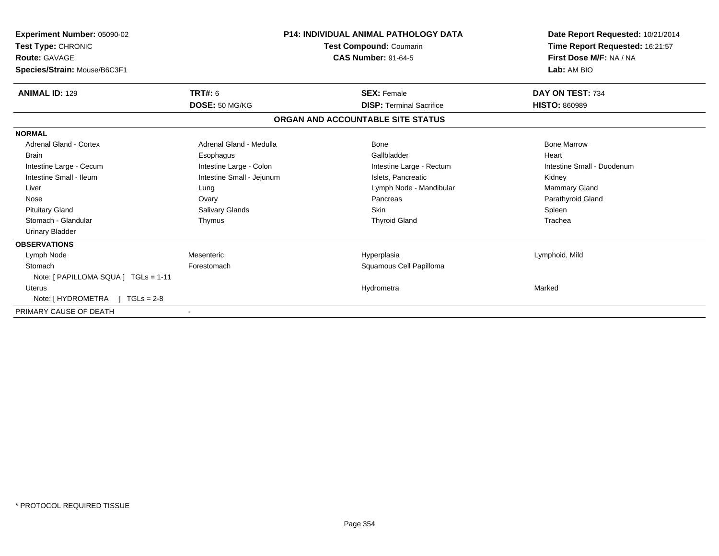| <b>Experiment Number: 05090-02</b><br>Test Type: CHRONIC<br><b>Route: GAVAGE</b><br>Species/Strain: Mouse/B6C3F1 | <b>P14: INDIVIDUAL ANIMAL PATHOLOGY DATA</b><br><b>Test Compound: Coumarin</b><br><b>CAS Number: 91-64-5</b> |                                   | Date Report Requested: 10/21/2014<br>Time Report Requested: 16:21:57<br>First Dose M/F: NA / NA<br>Lab: AM BIO |
|------------------------------------------------------------------------------------------------------------------|--------------------------------------------------------------------------------------------------------------|-----------------------------------|----------------------------------------------------------------------------------------------------------------|
| <b>ANIMAL ID: 129</b>                                                                                            | <b>TRT#: 6</b>                                                                                               | <b>SEX: Female</b>                | DAY ON TEST: 734                                                                                               |
|                                                                                                                  | DOSE: 50 MG/KG                                                                                               | <b>DISP: Terminal Sacrifice</b>   | <b>HISTO: 860989</b>                                                                                           |
|                                                                                                                  |                                                                                                              | ORGAN AND ACCOUNTABLE SITE STATUS |                                                                                                                |
| <b>NORMAL</b>                                                                                                    |                                                                                                              |                                   |                                                                                                                |
| <b>Adrenal Gland - Cortex</b>                                                                                    | Adrenal Gland - Medulla                                                                                      | Bone                              | <b>Bone Marrow</b>                                                                                             |
| <b>Brain</b>                                                                                                     | Esophagus                                                                                                    | Gallbladder                       | Heart                                                                                                          |
| Intestine Large - Cecum                                                                                          | Intestine Large - Colon                                                                                      | Intestine Large - Rectum          | Intestine Small - Duodenum                                                                                     |
| Intestine Small - Ileum                                                                                          | Intestine Small - Jejunum                                                                                    | Islets, Pancreatic                | Kidney                                                                                                         |
| Liver                                                                                                            | Lung                                                                                                         | Lymph Node - Mandibular           | <b>Mammary Gland</b>                                                                                           |
| Nose                                                                                                             | Ovary                                                                                                        | Pancreas                          | Parathyroid Gland                                                                                              |
| <b>Pituitary Gland</b>                                                                                           | Salivary Glands                                                                                              | <b>Skin</b>                       | Spleen                                                                                                         |
| Stomach - Glandular                                                                                              | Thymus                                                                                                       | <b>Thyroid Gland</b>              | Trachea                                                                                                        |
| <b>Urinary Bladder</b>                                                                                           |                                                                                                              |                                   |                                                                                                                |
| <b>OBSERVATIONS</b>                                                                                              |                                                                                                              |                                   |                                                                                                                |
| Lymph Node                                                                                                       | Mesenteric                                                                                                   | Hyperplasia                       | Lymphoid, Mild                                                                                                 |
| Stomach                                                                                                          | Forestomach                                                                                                  | Squamous Cell Papilloma           |                                                                                                                |
| Note: [ PAPILLOMA SQUA ] TGLs = 1-11                                                                             |                                                                                                              |                                   |                                                                                                                |
| <b>Uterus</b>                                                                                                    |                                                                                                              | Hydrometra                        | Marked                                                                                                         |
| Note: [HYDROMETRA ] TGLs = 2-8                                                                                   |                                                                                                              |                                   |                                                                                                                |
| PRIMARY CAUSE OF DEATH                                                                                           |                                                                                                              |                                   |                                                                                                                |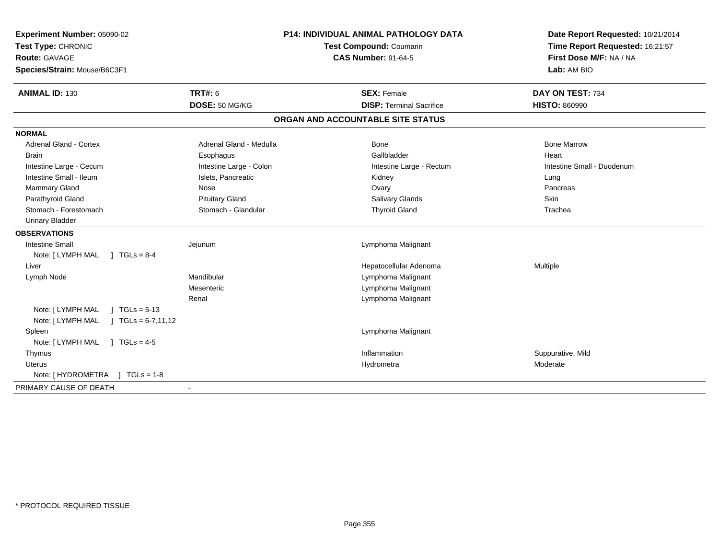| Experiment Number: 05090-02                  |                         | <b>P14: INDIVIDUAL ANIMAL PATHOLOGY DATA</b> | Date Report Requested: 10/21/2014 |
|----------------------------------------------|-------------------------|----------------------------------------------|-----------------------------------|
| Test Type: CHRONIC                           | Test Compound: Coumarin |                                              | Time Report Requested: 16:21:57   |
| <b>Route: GAVAGE</b>                         |                         | <b>CAS Number: 91-64-5</b>                   | First Dose M/F: NA / NA           |
| Species/Strain: Mouse/B6C3F1                 |                         |                                              | Lab: AM BIO                       |
| <b>ANIMAL ID: 130</b>                        | <b>TRT#: 6</b>          | <b>SEX: Female</b>                           | DAY ON TEST: 734                  |
|                                              | DOSE: 50 MG/KG          | <b>DISP: Terminal Sacrifice</b>              | <b>HISTO: 860990</b>              |
|                                              |                         | ORGAN AND ACCOUNTABLE SITE STATUS            |                                   |
| <b>NORMAL</b>                                |                         |                                              |                                   |
| <b>Adrenal Gland - Cortex</b>                | Adrenal Gland - Medulla | Bone                                         | <b>Bone Marrow</b>                |
| <b>Brain</b>                                 | Esophagus               | Gallbladder                                  | Heart                             |
| Intestine Large - Cecum                      | Intestine Large - Colon | Intestine Large - Rectum                     | Intestine Small - Duodenum        |
| Intestine Small - Ileum                      | Islets, Pancreatic      | Kidney                                       | Lung                              |
| <b>Mammary Gland</b>                         | Nose                    | Ovary                                        | Pancreas                          |
| Parathyroid Gland                            | <b>Pituitary Gland</b>  | <b>Salivary Glands</b>                       | Skin                              |
| Stomach - Forestomach                        | Stomach - Glandular     | <b>Thyroid Gland</b>                         | Trachea                           |
| <b>Urinary Bladder</b>                       |                         |                                              |                                   |
| <b>OBSERVATIONS</b>                          |                         |                                              |                                   |
| <b>Intestine Small</b>                       | Jejunum                 | Lymphoma Malignant                           |                                   |
| $1 TGLs = 8-4$<br>Note: [ LYMPH MAL          |                         |                                              |                                   |
| Liver                                        |                         | Hepatocellular Adenoma                       | Multiple                          |
| Lymph Node                                   | Mandibular              | Lymphoma Malignant                           |                                   |
|                                              | Mesenteric              | Lymphoma Malignant                           |                                   |
|                                              | Renal                   | Lymphoma Malignant                           |                                   |
| Note: [ LYMPH MAL<br>$1 \text{ TGLs} = 5-13$ |                         |                                              |                                   |
| Note: [ LYMPH MAL<br>$TGLs = 6-7, 11, 12$    |                         |                                              |                                   |
| Spleen                                       |                         | Lymphoma Malignant                           |                                   |
| Note: [ LYMPH MAL<br>$1 TGLs = 4-5$          |                         |                                              |                                   |
| Thymus                                       |                         | Inflammation                                 | Suppurative, Mild                 |
| <b>Uterus</b>                                |                         | Hydrometra                                   | Moderate                          |
| Note: [ HYDROMETRA<br>$J \cdot TGLS = 1-8$   |                         |                                              |                                   |
| PRIMARY CAUSE OF DEATH                       |                         |                                              |                                   |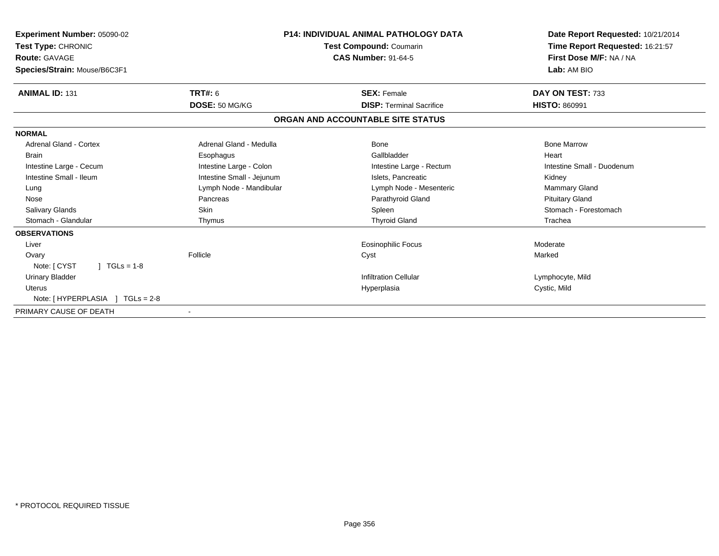| Experiment Number: 05090-02<br><b>Test Type: CHRONIC</b><br><b>Route: GAVAGE</b><br>Species/Strain: Mouse/B6C3F1 | <b>P14: INDIVIDUAL ANIMAL PATHOLOGY DATA</b><br><b>Test Compound: Coumarin</b><br><b>CAS Number: 91-64-5</b> |                                   | Date Report Requested: 10/21/2014<br>Time Report Requested: 16:21:57<br>First Dose M/F: NA / NA<br>Lab: AM BIO |
|------------------------------------------------------------------------------------------------------------------|--------------------------------------------------------------------------------------------------------------|-----------------------------------|----------------------------------------------------------------------------------------------------------------|
| <b>ANIMAL ID: 131</b>                                                                                            | <b>TRT#: 6</b>                                                                                               | <b>SEX: Female</b>                | DAY ON TEST: 733                                                                                               |
|                                                                                                                  | DOSE: 50 MG/KG                                                                                               | <b>DISP: Terminal Sacrifice</b>   | <b>HISTO: 860991</b>                                                                                           |
|                                                                                                                  |                                                                                                              | ORGAN AND ACCOUNTABLE SITE STATUS |                                                                                                                |
| <b>NORMAL</b>                                                                                                    |                                                                                                              |                                   |                                                                                                                |
| <b>Adrenal Gland - Cortex</b>                                                                                    | Adrenal Gland - Medulla                                                                                      | Bone                              | <b>Bone Marrow</b>                                                                                             |
| <b>Brain</b>                                                                                                     | Esophagus                                                                                                    | Gallbladder                       | Heart                                                                                                          |
| Intestine Large - Cecum                                                                                          | Intestine Large - Colon                                                                                      | Intestine Large - Rectum          | Intestine Small - Duodenum                                                                                     |
| Intestine Small - Ileum                                                                                          | Intestine Small - Jejunum                                                                                    | Islets. Pancreatic                | Kidney                                                                                                         |
| Lung                                                                                                             | Lymph Node - Mandibular                                                                                      | Lymph Node - Mesenteric           | <b>Mammary Gland</b>                                                                                           |
| Nose                                                                                                             | Pancreas                                                                                                     | Parathyroid Gland                 | <b>Pituitary Gland</b>                                                                                         |
| <b>Salivary Glands</b>                                                                                           | <b>Skin</b>                                                                                                  | Spleen                            | Stomach - Forestomach                                                                                          |
| Stomach - Glandular                                                                                              | Thymus                                                                                                       | <b>Thyroid Gland</b>              | Trachea                                                                                                        |
| <b>OBSERVATIONS</b>                                                                                              |                                                                                                              |                                   |                                                                                                                |
| Liver                                                                                                            |                                                                                                              | <b>Eosinophilic Focus</b>         | Moderate                                                                                                       |
| Ovary                                                                                                            | Follicle                                                                                                     | Cyst                              | Marked                                                                                                         |
| $1 TGLs = 1-8$<br>Note: [ CYST                                                                                   |                                                                                                              |                                   |                                                                                                                |
| <b>Urinary Bladder</b>                                                                                           |                                                                                                              | <b>Infiltration Cellular</b>      | Lymphocyte, Mild                                                                                               |
| <b>Uterus</b>                                                                                                    |                                                                                                              | Hyperplasia                       | Cystic, Mild                                                                                                   |
| Note: [HYPERPLASIA ] TGLs = 2-8                                                                                  |                                                                                                              |                                   |                                                                                                                |
| PRIMARY CAUSE OF DEATH                                                                                           | $\blacksquare$                                                                                               |                                   |                                                                                                                |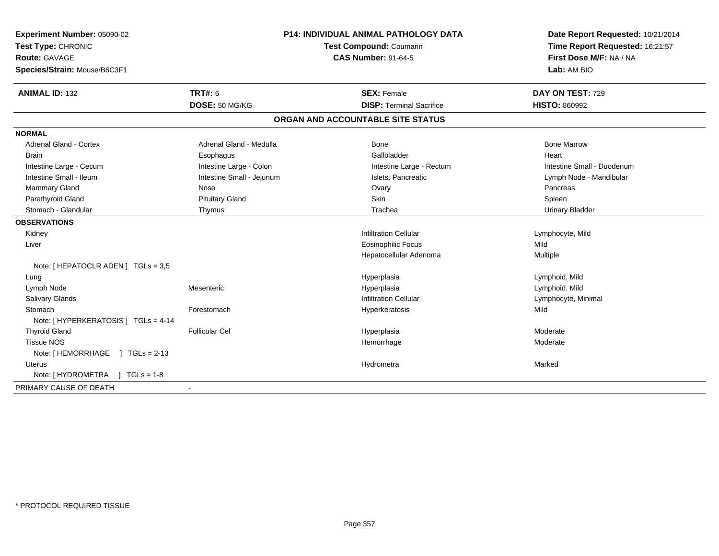| Experiment Number: 05090-02<br>Test Type: CHRONIC | <b>P14: INDIVIDUAL ANIMAL PATHOLOGY DATA</b><br>Test Compound: Coumarin |                                   | Date Report Requested: 10/21/2014<br>Time Report Requested: 16:21:57 |
|---------------------------------------------------|-------------------------------------------------------------------------|-----------------------------------|----------------------------------------------------------------------|
| <b>Route: GAVAGE</b>                              |                                                                         | <b>CAS Number: 91-64-5</b>        | First Dose M/F: NA / NA                                              |
| Species/Strain: Mouse/B6C3F1                      |                                                                         |                                   | Lab: AM BIO                                                          |
| <b>ANIMAL ID: 132</b>                             | <b>TRT#: 6</b>                                                          | <b>SEX: Female</b>                | DAY ON TEST: 729                                                     |
|                                                   | DOSE: 50 MG/KG                                                          | <b>DISP: Terminal Sacrifice</b>   | <b>HISTO: 860992</b>                                                 |
|                                                   |                                                                         | ORGAN AND ACCOUNTABLE SITE STATUS |                                                                      |
| <b>NORMAL</b>                                     |                                                                         |                                   |                                                                      |
| <b>Adrenal Gland - Cortex</b>                     | Adrenal Gland - Medulla                                                 | <b>Bone</b>                       | <b>Bone Marrow</b>                                                   |
| <b>Brain</b>                                      | Esophagus                                                               | Gallbladder                       | Heart                                                                |
| Intestine Large - Cecum                           | Intestine Large - Colon                                                 | Intestine Large - Rectum          | Intestine Small - Duodenum                                           |
| Intestine Small - Ileum                           | Intestine Small - Jejunum                                               | Islets, Pancreatic                | Lymph Node - Mandibular                                              |
| <b>Mammary Gland</b>                              | Nose                                                                    | Ovary                             | Pancreas                                                             |
| Parathyroid Gland                                 | <b>Pituitary Gland</b>                                                  | Skin                              | Spleen                                                               |
| Stomach - Glandular                               | Thymus                                                                  | Trachea                           | <b>Urinary Bladder</b>                                               |
| <b>OBSERVATIONS</b>                               |                                                                         |                                   |                                                                      |
| Kidney                                            |                                                                         | <b>Infiltration Cellular</b>      | Lymphocyte, Mild                                                     |
| Liver                                             |                                                                         | Eosinophilic Focus                | Mild                                                                 |
|                                                   |                                                                         | Hepatocellular Adenoma            | Multiple                                                             |
| Note: [ HEPATOCLR ADEN ] TGLs = 3,5               |                                                                         |                                   |                                                                      |
| Lung                                              |                                                                         | Hyperplasia                       | Lymphoid, Mild                                                       |
| Lymph Node                                        | Mesenteric                                                              | Hyperplasia                       | Lymphoid, Mild                                                       |
| Salivary Glands                                   |                                                                         | <b>Infiltration Cellular</b>      | Lymphocyte, Minimal                                                  |
| Stomach                                           | Forestomach                                                             | Hyperkeratosis                    | Mild                                                                 |
| Note: [ HYPERKERATOSIS ] TGLs = 4-14              |                                                                         |                                   |                                                                      |
| <b>Thyroid Gland</b>                              | <b>Follicular Cel</b>                                                   | Hyperplasia                       | Moderate                                                             |
| <b>Tissue NOS</b>                                 |                                                                         | Hemorrhage                        | Moderate                                                             |
| Note: [HEMORRHAGE ] TGLs = 2-13                   |                                                                         |                                   |                                                                      |
| Uterus                                            |                                                                         | Hydrometra                        | Marked                                                               |
| Note: [HYDROMETRA ] TGLs = 1-8                    |                                                                         |                                   |                                                                      |
| PRIMARY CAUSE OF DEATH                            |                                                                         |                                   |                                                                      |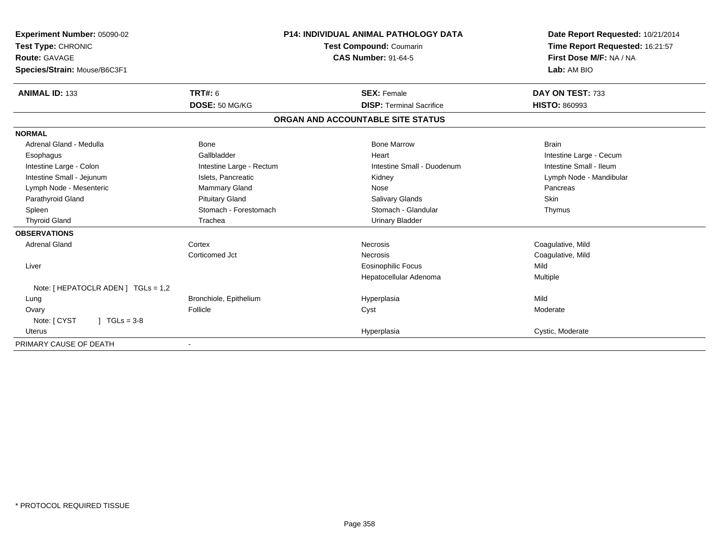| Experiment Number: 05090-02         |                                | <b>P14: INDIVIDUAL ANIMAL PATHOLOGY DATA</b> | Date Report Requested: 10/21/2014<br>Time Report Requested: 16:21:57 |
|-------------------------------------|--------------------------------|----------------------------------------------|----------------------------------------------------------------------|
| Test Type: CHRONIC                  | <b>Test Compound: Coumarin</b> |                                              |                                                                      |
| Route: GAVAGE                       |                                | <b>CAS Number: 91-64-5</b>                   | First Dose M/F: NA / NA                                              |
| Species/Strain: Mouse/B6C3F1        |                                |                                              | Lab: AM BIO                                                          |
| <b>ANIMAL ID: 133</b>               | <b>TRT#: 6</b>                 | <b>SEX: Female</b>                           | DAY ON TEST: 733                                                     |
|                                     | DOSE: 50 MG/KG                 | <b>DISP: Terminal Sacrifice</b>              | <b>HISTO: 860993</b>                                                 |
|                                     |                                | ORGAN AND ACCOUNTABLE SITE STATUS            |                                                                      |
| <b>NORMAL</b>                       |                                |                                              |                                                                      |
| Adrenal Gland - Medulla             | <b>Bone</b>                    | <b>Bone Marrow</b>                           | <b>Brain</b>                                                         |
| Esophagus                           | Gallbladder                    | Heart                                        | Intestine Large - Cecum                                              |
| Intestine Large - Colon             | Intestine Large - Rectum       | Intestine Small - Duodenum                   | Intestine Small - Ileum                                              |
| Intestine Small - Jejunum           | Islets, Pancreatic             | Kidney                                       | Lymph Node - Mandibular                                              |
| Lymph Node - Mesenteric             | Mammary Gland                  | Nose                                         | Pancreas                                                             |
| Parathyroid Gland                   | <b>Pituitary Gland</b>         | Salivary Glands                              | Skin                                                                 |
| Spleen                              | Stomach - Forestomach          | Stomach - Glandular                          | Thymus                                                               |
| <b>Thyroid Gland</b>                | Trachea                        | <b>Urinary Bladder</b>                       |                                                                      |
| <b>OBSERVATIONS</b>                 |                                |                                              |                                                                      |
| <b>Adrenal Gland</b>                | Cortex                         | Necrosis                                     | Coagulative, Mild                                                    |
|                                     | Corticomed Jct                 | Necrosis                                     | Coagulative, Mild                                                    |
| Liver                               |                                | <b>Eosinophilic Focus</b>                    | Mild                                                                 |
|                                     |                                | Hepatocellular Adenoma                       | Multiple                                                             |
| Note: [ HEPATOCLR ADEN ] TGLs = 1,2 |                                |                                              |                                                                      |
| Lung                                | Bronchiole, Epithelium         | Hyperplasia                                  | Mild                                                                 |
| Ovary                               | Follicle                       | Cyst                                         | Moderate                                                             |
| Note: [ CYST<br>$1 TGLs = 3-8$      |                                |                                              |                                                                      |
| <b>Uterus</b>                       |                                | Hyperplasia                                  | Cystic, Moderate                                                     |
| PRIMARY CAUSE OF DEATH              |                                |                                              |                                                                      |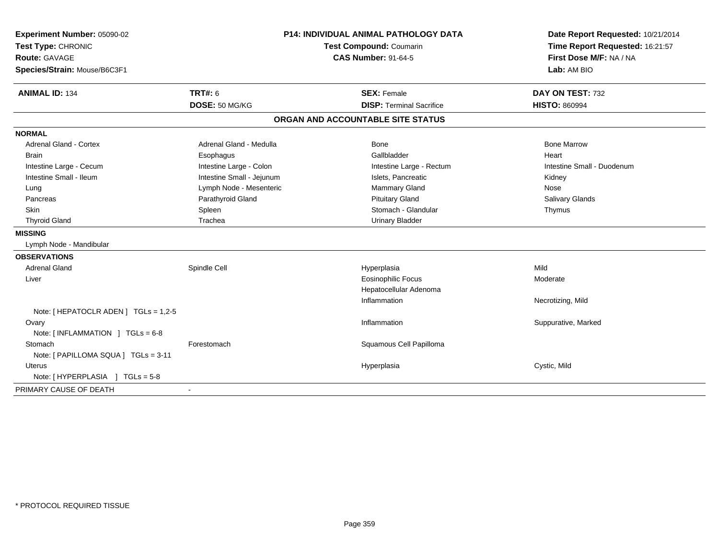| Experiment Number: 05090-02           |                           | <b>P14: INDIVIDUAL ANIMAL PATHOLOGY DATA</b> | Date Report Requested: 10/21/2014 |
|---------------------------------------|---------------------------|----------------------------------------------|-----------------------------------|
| Test Type: CHRONIC                    | Test Compound: Coumarin   |                                              | Time Report Requested: 16:21:57   |
| Route: GAVAGE                         |                           | <b>CAS Number: 91-64-5</b>                   | First Dose M/F: NA / NA           |
| Species/Strain: Mouse/B6C3F1          |                           |                                              | Lab: AM BIO                       |
| <b>ANIMAL ID: 134</b>                 | <b>TRT#: 6</b>            | <b>SEX: Female</b>                           | DAY ON TEST: 732                  |
|                                       | DOSE: 50 MG/KG            | <b>DISP: Terminal Sacrifice</b>              | <b>HISTO: 860994</b>              |
|                                       |                           | ORGAN AND ACCOUNTABLE SITE STATUS            |                                   |
| <b>NORMAL</b>                         |                           |                                              |                                   |
| <b>Adrenal Gland - Cortex</b>         | Adrenal Gland - Medulla   | <b>Bone</b>                                  | <b>Bone Marrow</b>                |
| <b>Brain</b>                          | Esophagus                 | Gallbladder                                  | Heart                             |
| Intestine Large - Cecum               | Intestine Large - Colon   | Intestine Large - Rectum                     | Intestine Small - Duodenum        |
| Intestine Small - Ileum               | Intestine Small - Jejunum | Islets, Pancreatic                           | Kidney                            |
| Lung                                  | Lymph Node - Mesenteric   | <b>Mammary Gland</b>                         | Nose                              |
| Pancreas                              | Parathyroid Gland         | <b>Pituitary Gland</b>                       | Salivary Glands                   |
| Skin                                  | Spleen                    | Stomach - Glandular                          | Thymus                            |
| <b>Thyroid Gland</b>                  | Trachea                   | <b>Urinary Bladder</b>                       |                                   |
| <b>MISSING</b>                        |                           |                                              |                                   |
| Lymph Node - Mandibular               |                           |                                              |                                   |
| <b>OBSERVATIONS</b>                   |                           |                                              |                                   |
| <b>Adrenal Gland</b>                  | Spindle Cell              | Hyperplasia                                  | Mild                              |
| Liver                                 |                           | <b>Eosinophilic Focus</b>                    | Moderate                          |
|                                       |                           | Hepatocellular Adenoma                       |                                   |
|                                       |                           | Inflammation                                 | Necrotizing, Mild                 |
| Note: [ HEPATOCLR ADEN ] TGLs = 1,2-5 |                           |                                              |                                   |
| Ovary                                 |                           | Inflammation                                 | Suppurative, Marked               |
| Note: [INFLAMMATION ] TGLs = 6-8      |                           |                                              |                                   |
| Stomach                               | Forestomach               | Squamous Cell Papilloma                      |                                   |
| Note: [ PAPILLOMA SQUA ] TGLs = 3-11  |                           |                                              |                                   |
| <b>Uterus</b>                         |                           | Hyperplasia                                  | Cystic, Mild                      |
| Note: [HYPERPLASIA ] TGLs = 5-8       |                           |                                              |                                   |
| PRIMARY CAUSE OF DEATH                |                           |                                              |                                   |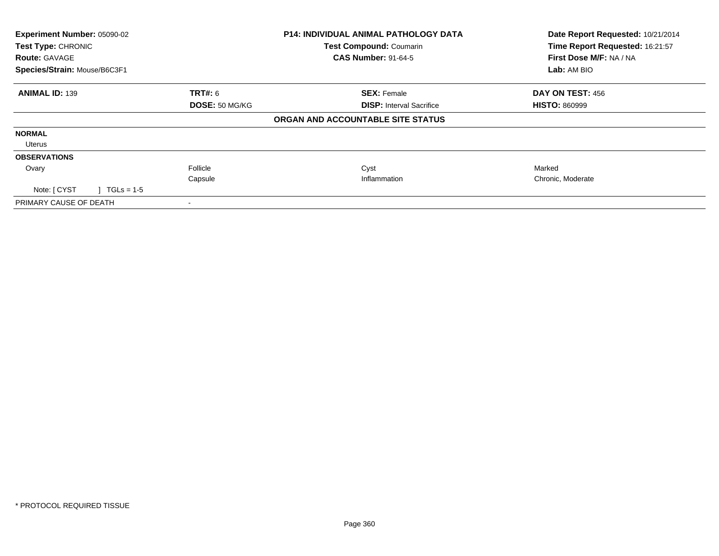| Experiment Number: 05090-02<br><b>Test Type: CHRONIC</b><br><b>Route: GAVAGE</b><br>Species/Strain: Mouse/B6C3F1 |                | <b>P14: INDIVIDUAL ANIMAL PATHOLOGY DATA</b><br>Test Compound: Coumarin<br><b>CAS Number: 91-64-5</b> | Date Report Requested: 10/21/2014<br>Time Report Requested: 16:21:57<br>First Dose M/F: NA / NA<br>Lab: AM BIO |  |
|------------------------------------------------------------------------------------------------------------------|----------------|-------------------------------------------------------------------------------------------------------|----------------------------------------------------------------------------------------------------------------|--|
|                                                                                                                  |                |                                                                                                       |                                                                                                                |  |
| <b>ANIMAL ID: 139</b>                                                                                            | <b>TRT#:</b> 6 | <b>SEX: Female</b>                                                                                    | DAY ON TEST: 456                                                                                               |  |
|                                                                                                                  | DOSE: 50 MG/KG | <b>DISP:</b> Interval Sacrifice                                                                       | <b>HISTO: 860999</b>                                                                                           |  |
|                                                                                                                  |                | ORGAN AND ACCOUNTABLE SITE STATUS                                                                     |                                                                                                                |  |
| <b>NORMAL</b>                                                                                                    |                |                                                                                                       |                                                                                                                |  |
| Uterus                                                                                                           |                |                                                                                                       |                                                                                                                |  |
| <b>OBSERVATIONS</b>                                                                                              |                |                                                                                                       |                                                                                                                |  |
| Ovary                                                                                                            | Follicle       | Cyst                                                                                                  | Marked                                                                                                         |  |
|                                                                                                                  | Capsule        | Inflammation                                                                                          | Chronic, Moderate                                                                                              |  |
| Note: [ CYST<br>$1 TGLs = 1-5$                                                                                   |                |                                                                                                       |                                                                                                                |  |
| PRIMARY CAUSE OF DEATH                                                                                           |                |                                                                                                       |                                                                                                                |  |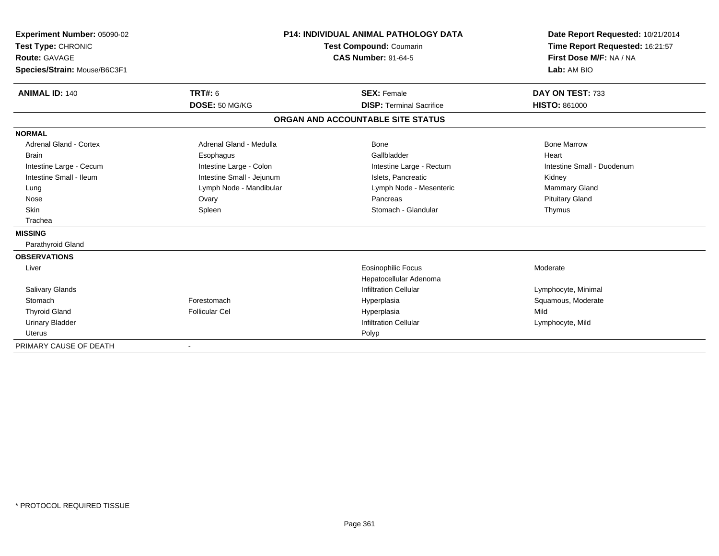| Experiment Number: 05090-02<br>Test Type: CHRONIC<br><b>Route: GAVAGE</b><br>Species/Strain: Mouse/B6C3F1 |                                  | <b>P14: INDIVIDUAL ANIMAL PATHOLOGY DATA</b><br><b>Test Compound: Coumarin</b><br><b>CAS Number: 91-64-5</b> | Date Report Requested: 10/21/2014<br>Time Report Requested: 16:21:57<br>First Dose M/F: NA / NA<br>Lab: AM BIO |
|-----------------------------------------------------------------------------------------------------------|----------------------------------|--------------------------------------------------------------------------------------------------------------|----------------------------------------------------------------------------------------------------------------|
| <b>ANIMAL ID: 140</b>                                                                                     | <b>TRT#: 6</b><br>DOSE: 50 MG/KG | <b>SEX: Female</b><br><b>DISP: Terminal Sacrifice</b>                                                        | DAY ON TEST: 733<br><b>HISTO: 861000</b>                                                                       |
|                                                                                                           |                                  |                                                                                                              |                                                                                                                |
|                                                                                                           |                                  | ORGAN AND ACCOUNTABLE SITE STATUS                                                                            |                                                                                                                |
| <b>NORMAL</b>                                                                                             |                                  |                                                                                                              |                                                                                                                |
| <b>Adrenal Gland - Cortex</b>                                                                             | Adrenal Gland - Medulla          | Bone                                                                                                         | <b>Bone Marrow</b>                                                                                             |
| <b>Brain</b>                                                                                              | Esophagus                        | Gallbladder                                                                                                  | Heart                                                                                                          |
| Intestine Large - Cecum                                                                                   | Intestine Large - Colon          | Intestine Large - Rectum                                                                                     | Intestine Small - Duodenum                                                                                     |
| Intestine Small - Ileum                                                                                   | Intestine Small - Jejunum        | Islets. Pancreatic                                                                                           | Kidney                                                                                                         |
| Lung                                                                                                      | Lymph Node - Mandibular          | Lymph Node - Mesenteric                                                                                      | Mammary Gland                                                                                                  |
| Nose                                                                                                      | Ovary                            | Pancreas                                                                                                     | <b>Pituitary Gland</b>                                                                                         |
| Skin                                                                                                      | Spleen                           | Stomach - Glandular                                                                                          | Thymus                                                                                                         |
| Trachea                                                                                                   |                                  |                                                                                                              |                                                                                                                |
| <b>MISSING</b>                                                                                            |                                  |                                                                                                              |                                                                                                                |
| Parathyroid Gland                                                                                         |                                  |                                                                                                              |                                                                                                                |
| <b>OBSERVATIONS</b>                                                                                       |                                  |                                                                                                              |                                                                                                                |
| Liver                                                                                                     |                                  | <b>Eosinophilic Focus</b>                                                                                    | Moderate                                                                                                       |
|                                                                                                           |                                  | Hepatocellular Adenoma                                                                                       |                                                                                                                |
| <b>Salivary Glands</b>                                                                                    |                                  | <b>Infiltration Cellular</b>                                                                                 | Lymphocyte, Minimal                                                                                            |
| Stomach                                                                                                   | Forestomach                      | Hyperplasia                                                                                                  | Squamous, Moderate                                                                                             |
| <b>Thyroid Gland</b>                                                                                      | <b>Follicular Cel</b>            | Hyperplasia                                                                                                  | Mild                                                                                                           |
| <b>Urinary Bladder</b>                                                                                    |                                  | <b>Infiltration Cellular</b>                                                                                 | Lymphocyte, Mild                                                                                               |
| <b>Uterus</b>                                                                                             |                                  | Polyp                                                                                                        |                                                                                                                |
| PRIMARY CAUSE OF DEATH                                                                                    |                                  |                                                                                                              |                                                                                                                |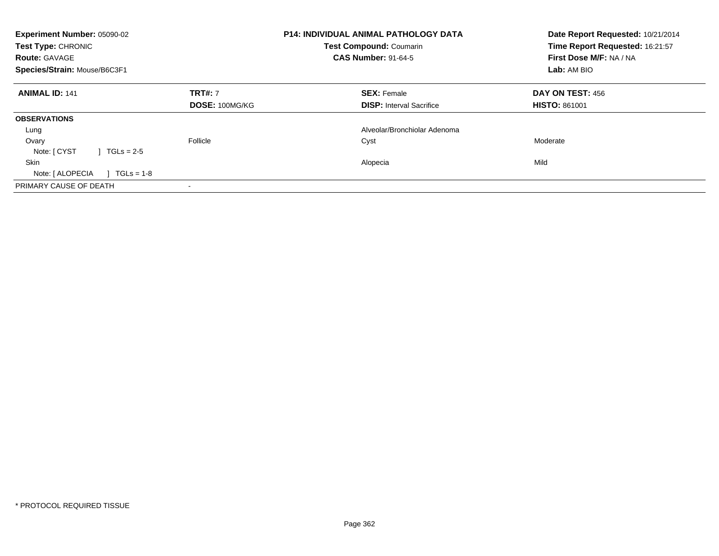| Experiment Number: 05090-02<br>Test Type: CHRONIC<br><b>Route: GAVAGE</b><br>Species/Strain: Mouse/B6C3F1 |                | <b>P14: INDIVIDUAL ANIMAL PATHOLOGY DATA</b><br><b>Test Compound: Coumarin</b><br><b>CAS Number: 91-64-5</b> | Date Report Requested: 10/21/2014<br>Time Report Requested: 16:21:57<br>First Dose M/F: NA / NA<br>Lab: AM BIO |
|-----------------------------------------------------------------------------------------------------------|----------------|--------------------------------------------------------------------------------------------------------------|----------------------------------------------------------------------------------------------------------------|
| <b>ANIMAL ID: 141</b>                                                                                     | <b>TRT#: 7</b> | <b>SEX: Female</b>                                                                                           | <b>DAY ON TEST: 456</b>                                                                                        |
|                                                                                                           | DOSE: 100MG/KG | <b>DISP:</b> Interval Sacrifice                                                                              | <b>HISTO: 861001</b>                                                                                           |
| <b>OBSERVATIONS</b>                                                                                       |                |                                                                                                              |                                                                                                                |
| Lung                                                                                                      |                | Alveolar/Bronchiolar Adenoma                                                                                 |                                                                                                                |
| Ovary                                                                                                     | Follicle       | Cyst                                                                                                         | Moderate                                                                                                       |
| Note: [ CYST<br>$TGLs = 2-5$                                                                              |                |                                                                                                              |                                                                                                                |
| <b>Skin</b>                                                                                               |                | Alopecia                                                                                                     | Mild                                                                                                           |
| Note: [ ALOPECIA<br>$TGLs = 1-8$                                                                          |                |                                                                                                              |                                                                                                                |
| PRIMARY CAUSE OF DEATH                                                                                    |                |                                                                                                              |                                                                                                                |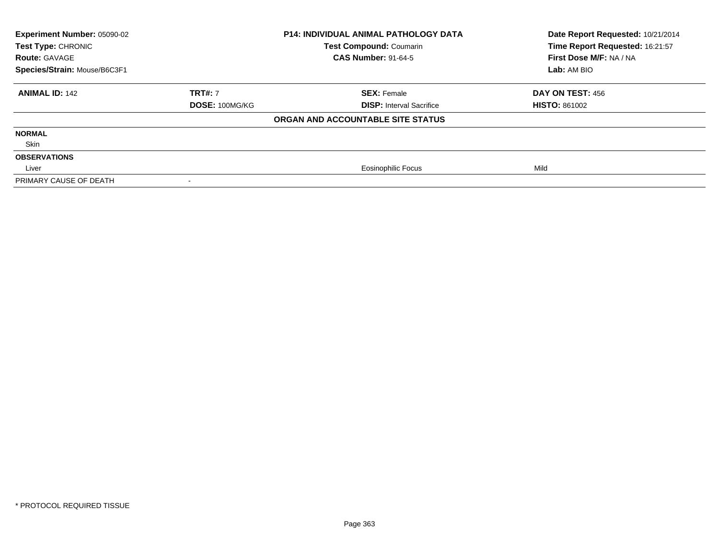| <b>Experiment Number: 05090-02</b><br><b>P14: INDIVIDUAL ANIMAL PATHOLOGY DATA</b><br>Test Type: CHRONIC<br>Test Compound: Coumarin<br><b>CAS Number: 91-64-5</b><br><b>Route: GAVAGE</b><br>Species/Strain: Mouse/B6C3F1 |                | Date Report Requested: 10/21/2014<br>Time Report Requested: 16:21:57<br>First Dose M/F: NA / NA |                         |
|---------------------------------------------------------------------------------------------------------------------------------------------------------------------------------------------------------------------------|----------------|-------------------------------------------------------------------------------------------------|-------------------------|
|                                                                                                                                                                                                                           |                |                                                                                                 | Lab: AM BIO             |
| <b>ANIMAL ID: 142</b>                                                                                                                                                                                                     | <b>TRT#: 7</b> | <b>SEX: Female</b>                                                                              | <b>DAY ON TEST: 456</b> |
|                                                                                                                                                                                                                           | DOSE: 100MG/KG | <b>DISP:</b> Interval Sacrifice                                                                 | <b>HISTO: 861002</b>    |
|                                                                                                                                                                                                                           |                | ORGAN AND ACCOUNTABLE SITE STATUS                                                               |                         |
| <b>NORMAL</b>                                                                                                                                                                                                             |                |                                                                                                 |                         |
| Skin                                                                                                                                                                                                                      |                |                                                                                                 |                         |
| <b>OBSERVATIONS</b>                                                                                                                                                                                                       |                |                                                                                                 |                         |
| Liver                                                                                                                                                                                                                     |                | <b>Eosinophilic Focus</b>                                                                       | Mild                    |
| PRIMARY CAUSE OF DEATH                                                                                                                                                                                                    |                |                                                                                                 |                         |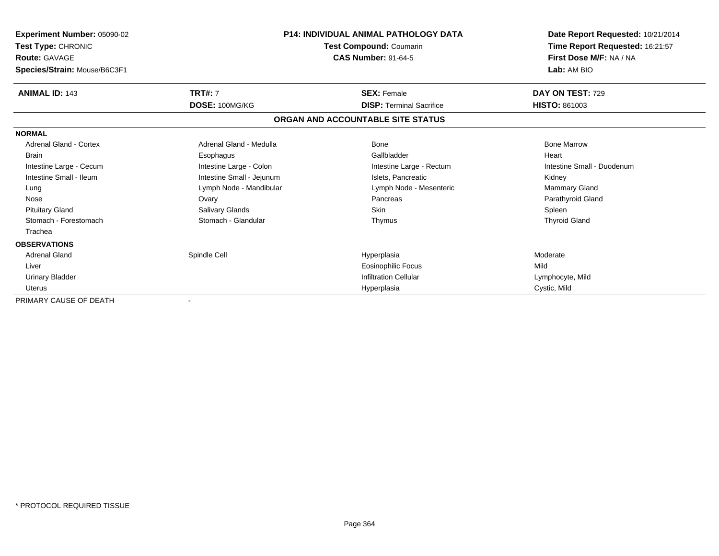| Experiment Number: 05090-02<br>Test Type: CHRONIC<br><b>Route: GAVAGE</b><br>Species/Strain: Mouse/B6C3F1 |                           | <b>P14: INDIVIDUAL ANIMAL PATHOLOGY DATA</b><br>Test Compound: Coumarin<br><b>CAS Number: 91-64-5</b> | Date Report Requested: 10/21/2014<br>Time Report Requested: 16:21:57<br>First Dose M/F: NA / NA<br>Lab: AM BIO |
|-----------------------------------------------------------------------------------------------------------|---------------------------|-------------------------------------------------------------------------------------------------------|----------------------------------------------------------------------------------------------------------------|
| <b>ANIMAL ID: 143</b>                                                                                     | <b>TRT#: 7</b>            | <b>SEX: Female</b>                                                                                    | DAY ON TEST: 729                                                                                               |
|                                                                                                           | DOSE: 100MG/KG            | <b>DISP: Terminal Sacrifice</b>                                                                       | <b>HISTO: 861003</b>                                                                                           |
|                                                                                                           |                           | ORGAN AND ACCOUNTABLE SITE STATUS                                                                     |                                                                                                                |
| <b>NORMAL</b>                                                                                             |                           |                                                                                                       |                                                                                                                |
| <b>Adrenal Gland - Cortex</b>                                                                             | Adrenal Gland - Medulla   | <b>Bone</b>                                                                                           | <b>Bone Marrow</b>                                                                                             |
| <b>Brain</b>                                                                                              | Esophagus                 | Gallbladder                                                                                           | Heart                                                                                                          |
| Intestine Large - Cecum                                                                                   | Intestine Large - Colon   | Intestine Large - Rectum                                                                              | Intestine Small - Duodenum                                                                                     |
| Intestine Small - Ileum                                                                                   | Intestine Small - Jejunum | Islets. Pancreatic                                                                                    | Kidney                                                                                                         |
| Lung                                                                                                      | Lymph Node - Mandibular   | Lymph Node - Mesenteric                                                                               | Mammary Gland                                                                                                  |
| Nose                                                                                                      | Ovary                     | Pancreas                                                                                              | Parathyroid Gland                                                                                              |
| <b>Pituitary Gland</b>                                                                                    | <b>Salivary Glands</b>    | Skin                                                                                                  | Spleen                                                                                                         |
| Stomach - Forestomach                                                                                     | Stomach - Glandular       | Thymus                                                                                                | <b>Thyroid Gland</b>                                                                                           |
| Trachea                                                                                                   |                           |                                                                                                       |                                                                                                                |
| <b>OBSERVATIONS</b>                                                                                       |                           |                                                                                                       |                                                                                                                |
| <b>Adrenal Gland</b>                                                                                      | Spindle Cell              | Hyperplasia                                                                                           | Moderate                                                                                                       |
| Liver                                                                                                     |                           | Eosinophilic Focus                                                                                    | Mild                                                                                                           |
| Urinary Bladder                                                                                           |                           | <b>Infiltration Cellular</b>                                                                          | Lymphocyte, Mild                                                                                               |
| <b>Uterus</b>                                                                                             |                           | Hyperplasia                                                                                           | Cystic, Mild                                                                                                   |
| PRIMARY CAUSE OF DEATH                                                                                    |                           |                                                                                                       |                                                                                                                |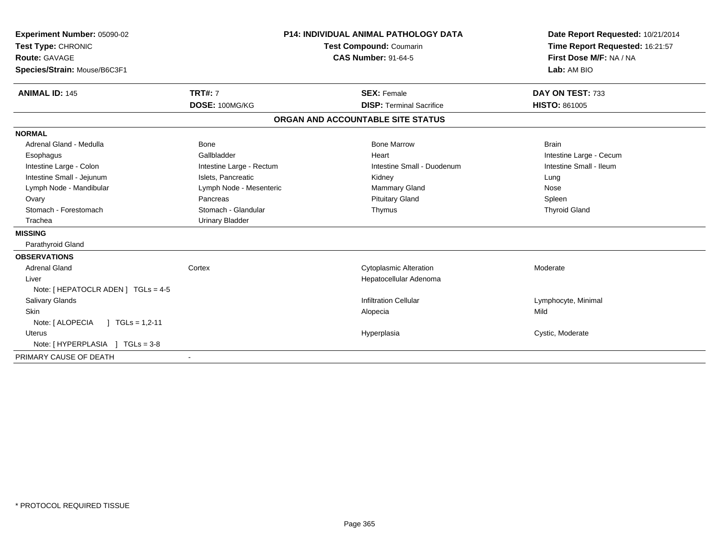| Experiment Number: 05090-02<br>Test Type: CHRONIC<br><b>Route: GAVAGE</b><br>Species/Strain: Mouse/B6C3F1 |                          | <b>P14: INDIVIDUAL ANIMAL PATHOLOGY DATA</b><br>Test Compound: Coumarin<br><b>CAS Number: 91-64-5</b> | Date Report Requested: 10/21/2014<br>Time Report Requested: 16:21:57<br>First Dose M/F: NA / NA<br>Lab: AM BIO |
|-----------------------------------------------------------------------------------------------------------|--------------------------|-------------------------------------------------------------------------------------------------------|----------------------------------------------------------------------------------------------------------------|
| <b>ANIMAL ID: 145</b>                                                                                     | <b>TRT#: 7</b>           | <b>SEX: Female</b>                                                                                    | DAY ON TEST: 733                                                                                               |
|                                                                                                           | DOSE: 100MG/KG           | <b>DISP: Terminal Sacrifice</b>                                                                       | <b>HISTO: 861005</b>                                                                                           |
|                                                                                                           |                          | ORGAN AND ACCOUNTABLE SITE STATUS                                                                     |                                                                                                                |
| <b>NORMAL</b>                                                                                             |                          |                                                                                                       |                                                                                                                |
| Adrenal Gland - Medulla                                                                                   | Bone                     | <b>Bone Marrow</b>                                                                                    | <b>Brain</b>                                                                                                   |
| Esophagus                                                                                                 | Gallbladder              | Heart                                                                                                 | Intestine Large - Cecum                                                                                        |
| Intestine Large - Colon                                                                                   | Intestine Large - Rectum | Intestine Small - Duodenum                                                                            | Intestine Small - Ileum                                                                                        |
| Intestine Small - Jejunum                                                                                 | Islets, Pancreatic       | Kidney                                                                                                | Lung                                                                                                           |
| Lymph Node - Mandibular                                                                                   | Lymph Node - Mesenteric  | Mammary Gland                                                                                         | Nose                                                                                                           |
| Ovary                                                                                                     | Pancreas                 | <b>Pituitary Gland</b>                                                                                | Spleen                                                                                                         |
| Stomach - Forestomach                                                                                     | Stomach - Glandular      | Thymus                                                                                                | <b>Thyroid Gland</b>                                                                                           |
| Trachea                                                                                                   | <b>Urinary Bladder</b>   |                                                                                                       |                                                                                                                |
| <b>MISSING</b>                                                                                            |                          |                                                                                                       |                                                                                                                |
| Parathyroid Gland                                                                                         |                          |                                                                                                       |                                                                                                                |
| <b>OBSERVATIONS</b>                                                                                       |                          |                                                                                                       |                                                                                                                |
| <b>Adrenal Gland</b>                                                                                      | Cortex                   | <b>Cytoplasmic Alteration</b>                                                                         | Moderate                                                                                                       |
| Liver                                                                                                     |                          | Hepatocellular Adenoma                                                                                |                                                                                                                |
| Note: [ HEPATOCLR ADEN ] TGLs = 4-5                                                                       |                          |                                                                                                       |                                                                                                                |
| Salivary Glands                                                                                           |                          | <b>Infiltration Cellular</b>                                                                          | Lymphocyte, Minimal                                                                                            |
| <b>Skin</b>                                                                                               |                          | Alopecia                                                                                              | Mild                                                                                                           |
| Note: [ ALOPECIA<br>$1 \text{ TGLs} = 1,2-11$                                                             |                          |                                                                                                       |                                                                                                                |
| <b>Uterus</b>                                                                                             |                          | Hyperplasia                                                                                           | Cystic, Moderate                                                                                               |
| Note: [HYPERPLASIA ] TGLs = 3-8                                                                           |                          |                                                                                                       |                                                                                                                |
| PRIMARY CAUSE OF DEATH                                                                                    | $\sim$                   |                                                                                                       |                                                                                                                |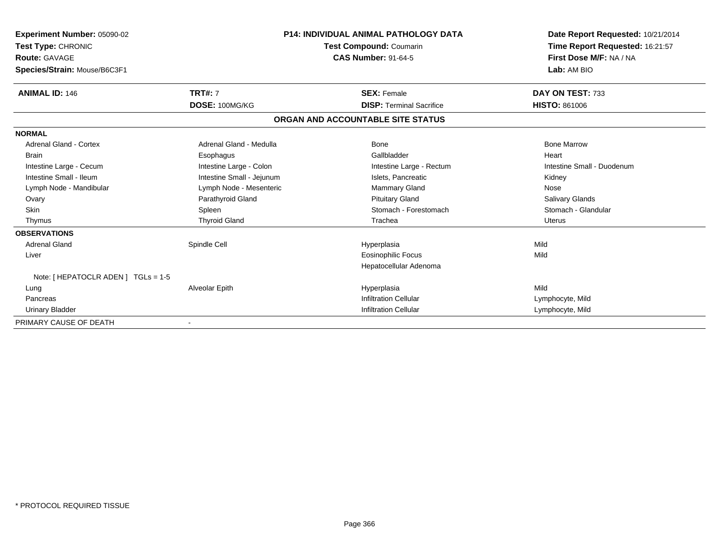| Experiment Number: 05090-02<br>Test Type: CHRONIC<br><b>Route: GAVAGE</b><br>Species/Strain: Mouse/B6C3F1 |                           | <b>P14: INDIVIDUAL ANIMAL PATHOLOGY DATA</b><br>Test Compound: Coumarin<br><b>CAS Number: 91-64-5</b> | Date Report Requested: 10/21/2014<br>Time Report Requested: 16:21:57<br>First Dose M/F: NA / NA<br>Lab: AM BIO |
|-----------------------------------------------------------------------------------------------------------|---------------------------|-------------------------------------------------------------------------------------------------------|----------------------------------------------------------------------------------------------------------------|
| <b>ANIMAL ID: 146</b>                                                                                     | <b>TRT#: 7</b>            | <b>SEX: Female</b>                                                                                    | DAY ON TEST: 733                                                                                               |
|                                                                                                           | DOSE: 100MG/KG            | <b>DISP: Terminal Sacrifice</b>                                                                       | <b>HISTO: 861006</b>                                                                                           |
|                                                                                                           |                           | ORGAN AND ACCOUNTABLE SITE STATUS                                                                     |                                                                                                                |
| <b>NORMAL</b>                                                                                             |                           |                                                                                                       |                                                                                                                |
| <b>Adrenal Gland - Cortex</b>                                                                             | Adrenal Gland - Medulla   | <b>Bone</b>                                                                                           | <b>Bone Marrow</b>                                                                                             |
| Brain                                                                                                     | Esophagus                 | Gallbladder                                                                                           | Heart                                                                                                          |
| Intestine Large - Cecum                                                                                   | Intestine Large - Colon   | Intestine Large - Rectum                                                                              | Intestine Small - Duodenum                                                                                     |
| Intestine Small - Ileum                                                                                   | Intestine Small - Jejunum | Islets, Pancreatic                                                                                    | Kidney                                                                                                         |
| Lymph Node - Mandibular                                                                                   | Lymph Node - Mesenteric   | <b>Mammary Gland</b>                                                                                  | Nose                                                                                                           |
| Ovary                                                                                                     | Parathyroid Gland         | <b>Pituitary Gland</b>                                                                                | <b>Salivary Glands</b>                                                                                         |
| <b>Skin</b>                                                                                               | Spleen                    | Stomach - Forestomach                                                                                 | Stomach - Glandular                                                                                            |
| Thymus                                                                                                    | <b>Thyroid Gland</b>      | Trachea                                                                                               | Uterus                                                                                                         |
| <b>OBSERVATIONS</b>                                                                                       |                           |                                                                                                       |                                                                                                                |
| <b>Adrenal Gland</b>                                                                                      | Spindle Cell              | Hyperplasia                                                                                           | Mild                                                                                                           |
| Liver                                                                                                     |                           | <b>Eosinophilic Focus</b>                                                                             | Mild                                                                                                           |
|                                                                                                           |                           | Hepatocellular Adenoma                                                                                |                                                                                                                |
| Note: [ HEPATOCLR ADEN ] TGLs = 1-5                                                                       |                           |                                                                                                       |                                                                                                                |
| Lung                                                                                                      | Alveolar Epith            | Hyperplasia                                                                                           | Mild                                                                                                           |
| Pancreas                                                                                                  |                           | <b>Infiltration Cellular</b>                                                                          | Lymphocyte, Mild                                                                                               |
| <b>Urinary Bladder</b>                                                                                    |                           | <b>Infiltration Cellular</b>                                                                          | Lymphocyte, Mild                                                                                               |
| PRIMARY CAUSE OF DEATH                                                                                    |                           |                                                                                                       |                                                                                                                |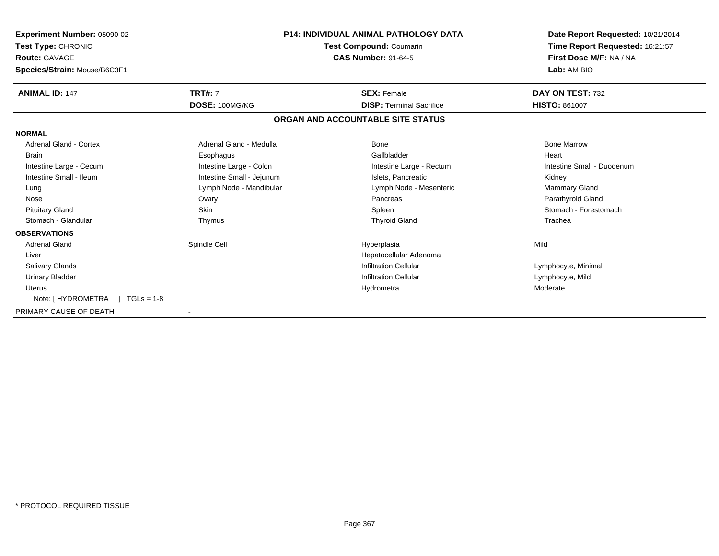| Experiment Number: 05090-02<br><b>Test Type: CHRONIC</b><br>Route: GAVAGE<br>Species/Strain: Mouse/B6C3F1 |                           | P14: INDIVIDUAL ANIMAL PATHOLOGY DATA<br><b>Test Compound: Coumarin</b><br><b>CAS Number: 91-64-5</b> | Date Report Requested: 10/21/2014<br>Time Report Requested: 16:21:57<br>First Dose M/F: NA / NA<br>Lab: AM BIO |
|-----------------------------------------------------------------------------------------------------------|---------------------------|-------------------------------------------------------------------------------------------------------|----------------------------------------------------------------------------------------------------------------|
| <b>ANIMAL ID: 147</b>                                                                                     | <b>TRT#: 7</b>            | <b>SEX: Female</b>                                                                                    | DAY ON TEST: 732                                                                                               |
|                                                                                                           | DOSE: 100MG/KG            | <b>DISP: Terminal Sacrifice</b>                                                                       | <b>HISTO: 861007</b>                                                                                           |
|                                                                                                           |                           | ORGAN AND ACCOUNTABLE SITE STATUS                                                                     |                                                                                                                |
| <b>NORMAL</b>                                                                                             |                           |                                                                                                       |                                                                                                                |
| Adrenal Gland - Cortex                                                                                    | Adrenal Gland - Medulla   | Bone                                                                                                  | <b>Bone Marrow</b>                                                                                             |
| <b>Brain</b>                                                                                              | Esophagus                 | Gallbladder                                                                                           | Heart                                                                                                          |
| Intestine Large - Cecum                                                                                   | Intestine Large - Colon   | Intestine Large - Rectum                                                                              | Intestine Small - Duodenum                                                                                     |
| Intestine Small - Ileum                                                                                   | Intestine Small - Jejunum | Islets, Pancreatic                                                                                    | Kidney                                                                                                         |
| Lung                                                                                                      | Lymph Node - Mandibular   | Lymph Node - Mesenteric                                                                               | <b>Mammary Gland</b>                                                                                           |
| Nose                                                                                                      | Ovary                     | Pancreas                                                                                              | Parathyroid Gland                                                                                              |
| <b>Pituitary Gland</b>                                                                                    | Skin                      | Spleen                                                                                                | Stomach - Forestomach                                                                                          |
| Stomach - Glandular                                                                                       | Thymus                    | <b>Thyroid Gland</b>                                                                                  | Trachea                                                                                                        |
| <b>OBSERVATIONS</b>                                                                                       |                           |                                                                                                       |                                                                                                                |
| <b>Adrenal Gland</b>                                                                                      | Spindle Cell              | Hyperplasia                                                                                           | Mild                                                                                                           |
| Liver                                                                                                     |                           | Hepatocellular Adenoma                                                                                |                                                                                                                |
| Salivary Glands                                                                                           |                           | <b>Infiltration Cellular</b>                                                                          | Lymphocyte, Minimal                                                                                            |
| <b>Urinary Bladder</b>                                                                                    |                           | <b>Infiltration Cellular</b>                                                                          | Lymphocyte, Mild                                                                                               |
| <b>Uterus</b>                                                                                             |                           | Hydrometra                                                                                            | Moderate                                                                                                       |
| Note: [ HYDROMETRA<br>$1 TGLs = 1-8$                                                                      |                           |                                                                                                       |                                                                                                                |
| PRIMARY CAUSE OF DEATH                                                                                    |                           |                                                                                                       |                                                                                                                |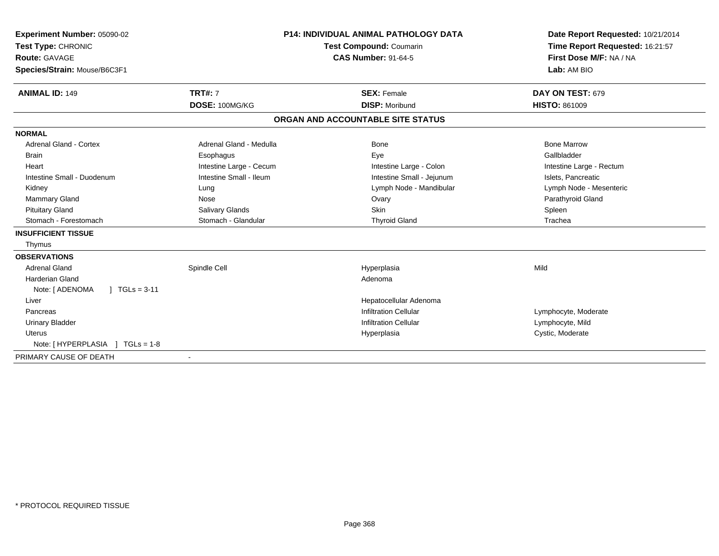| Experiment Number: 05090-02<br>Test Type: CHRONIC<br><b>Route: GAVAGE</b><br>Species/Strain: Mouse/B6C3F1 |                         | P14: INDIVIDUAL ANIMAL PATHOLOGY DATA<br><b>Test Compound: Coumarin</b><br><b>CAS Number: 91-64-5</b> | Date Report Requested: 10/21/2014<br>Time Report Requested: 16:21:57<br>First Dose M/F: NA / NA<br>Lab: AM BIO |
|-----------------------------------------------------------------------------------------------------------|-------------------------|-------------------------------------------------------------------------------------------------------|----------------------------------------------------------------------------------------------------------------|
| <b>ANIMAL ID: 149</b>                                                                                     | <b>TRT#: 7</b>          | <b>SEX: Female</b>                                                                                    | DAY ON TEST: 679                                                                                               |
|                                                                                                           | DOSE: 100MG/KG          | <b>DISP: Moribund</b>                                                                                 | <b>HISTO: 861009</b>                                                                                           |
|                                                                                                           |                         | ORGAN AND ACCOUNTABLE SITE STATUS                                                                     |                                                                                                                |
| <b>NORMAL</b>                                                                                             |                         |                                                                                                       |                                                                                                                |
| Adrenal Gland - Cortex                                                                                    | Adrenal Gland - Medulla | Bone                                                                                                  | <b>Bone Marrow</b>                                                                                             |
| <b>Brain</b>                                                                                              | Esophagus               | Eye                                                                                                   | Gallbladder                                                                                                    |
| Heart                                                                                                     | Intestine Large - Cecum | Intestine Large - Colon                                                                               | Intestine Large - Rectum                                                                                       |
| Intestine Small - Duodenum                                                                                | Intestine Small - Ileum | Intestine Small - Jejunum                                                                             | Islets, Pancreatic                                                                                             |
| Kidney                                                                                                    | Lung                    | Lymph Node - Mandibular                                                                               | Lymph Node - Mesenteric                                                                                        |
| Mammary Gland                                                                                             | Nose                    | Ovary                                                                                                 | Parathyroid Gland                                                                                              |
| <b>Pituitary Gland</b>                                                                                    | <b>Salivary Glands</b>  | Skin                                                                                                  | Spleen                                                                                                         |
| Stomach - Forestomach                                                                                     | Stomach - Glandular     | <b>Thyroid Gland</b>                                                                                  | Trachea                                                                                                        |
| <b>INSUFFICIENT TISSUE</b>                                                                                |                         |                                                                                                       |                                                                                                                |
| Thymus                                                                                                    |                         |                                                                                                       |                                                                                                                |
| <b>OBSERVATIONS</b>                                                                                       |                         |                                                                                                       |                                                                                                                |
| <b>Adrenal Gland</b>                                                                                      | Spindle Cell            | Hyperplasia                                                                                           | Mild                                                                                                           |
| <b>Harderian Gland</b>                                                                                    |                         | Adenoma                                                                                               |                                                                                                                |
| $\int$ TGLs = 3-11<br>Note: [ ADENOMA                                                                     |                         |                                                                                                       |                                                                                                                |
| Liver                                                                                                     |                         | Hepatocellular Adenoma                                                                                |                                                                                                                |
| Pancreas                                                                                                  |                         | <b>Infiltration Cellular</b>                                                                          | Lymphocyte, Moderate                                                                                           |
| <b>Urinary Bladder</b>                                                                                    |                         | <b>Infiltration Cellular</b>                                                                          | Lymphocyte, Mild                                                                                               |
| Uterus                                                                                                    |                         | Hyperplasia                                                                                           | Cystic, Moderate                                                                                               |
| Note: [HYPERPLASIA ] TGLs = 1-8                                                                           |                         |                                                                                                       |                                                                                                                |
| PRIMARY CAUSE OF DEATH                                                                                    | $\blacksquare$          |                                                                                                       |                                                                                                                |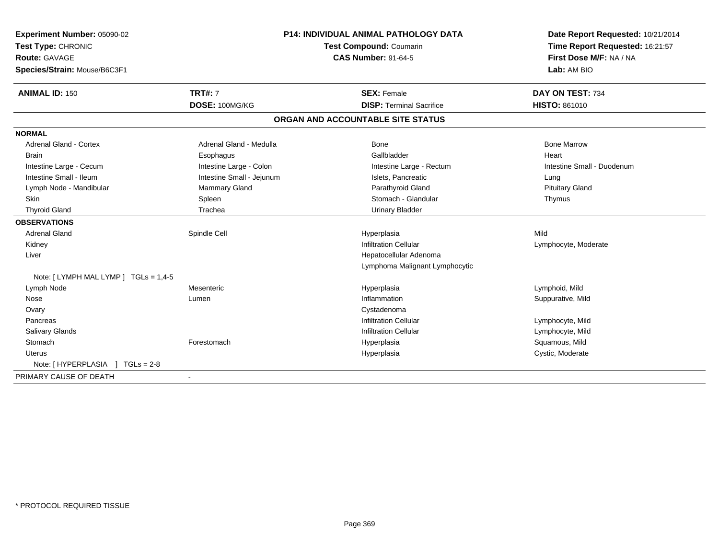| Experiment Number: 05090-02           |                           | P14: INDIVIDUAL ANIMAL PATHOLOGY DATA | Date Report Requested: 10/21/2014 |
|---------------------------------------|---------------------------|---------------------------------------|-----------------------------------|
| Test Type: CHRONIC                    | Test Compound: Coumarin   |                                       | Time Report Requested: 16:21:57   |
| Route: GAVAGE                         |                           | <b>CAS Number: 91-64-5</b>            | First Dose M/F: NA / NA           |
| Species/Strain: Mouse/B6C3F1          |                           |                                       | Lab: AM BIO                       |
| <b>ANIMAL ID: 150</b>                 | <b>TRT#: 7</b>            | <b>SEX: Female</b>                    | DAY ON TEST: 734                  |
|                                       | DOSE: 100MG/KG            | <b>DISP: Terminal Sacrifice</b>       | <b>HISTO: 861010</b>              |
|                                       |                           | ORGAN AND ACCOUNTABLE SITE STATUS     |                                   |
| <b>NORMAL</b>                         |                           |                                       |                                   |
| <b>Adrenal Gland - Cortex</b>         | Adrenal Gland - Medulla   | <b>Bone</b>                           | <b>Bone Marrow</b>                |
| <b>Brain</b>                          | Esophagus                 | Gallbladder                           | Heart                             |
| Intestine Large - Cecum               | Intestine Large - Colon   | Intestine Large - Rectum              | Intestine Small - Duodenum        |
| Intestine Small - Ileum               | Intestine Small - Jejunum | Islets. Pancreatic                    | Lung                              |
| Lymph Node - Mandibular               | <b>Mammary Gland</b>      | Parathyroid Gland                     | <b>Pituitary Gland</b>            |
| Skin                                  | Spleen                    | Stomach - Glandular                   | Thymus                            |
| <b>Thyroid Gland</b>                  | Trachea                   | <b>Urinary Bladder</b>                |                                   |
| <b>OBSERVATIONS</b>                   |                           |                                       |                                   |
| <b>Adrenal Gland</b>                  | Spindle Cell              | Hyperplasia                           | Mild                              |
| Kidney                                |                           | <b>Infiltration Cellular</b>          | Lymphocyte, Moderate              |
| Liver                                 |                           | Hepatocellular Adenoma                |                                   |
|                                       |                           | Lymphoma Malignant Lymphocytic        |                                   |
| Note: [ LYMPH MAL LYMP ] TGLs = 1,4-5 |                           |                                       |                                   |
| Lymph Node                            | Mesenteric                | Hyperplasia                           | Lymphoid, Mild                    |
| Nose                                  | Lumen                     | Inflammation                          | Suppurative, Mild                 |
| Ovary                                 |                           | Cystadenoma                           |                                   |
| Pancreas                              |                           | <b>Infiltration Cellular</b>          | Lymphocyte, Mild                  |
| <b>Salivary Glands</b>                |                           | <b>Infiltration Cellular</b>          | Lymphocyte, Mild                  |
| Stomach                               | Forestomach               | Hyperplasia                           | Squamous, Mild                    |
| Uterus                                |                           | Hyperplasia                           | Cystic, Moderate                  |
| Note: [ HYPERPLASIA ] TGLs = 2-8      |                           |                                       |                                   |
| PRIMARY CAUSE OF DEATH                |                           |                                       |                                   |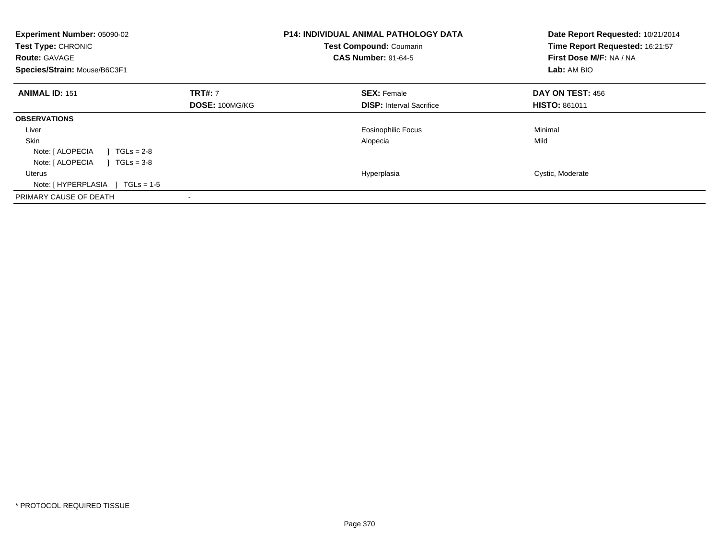| Experiment Number: 05090-02<br>Test Type: CHRONIC<br><b>Route: GAVAGE</b><br>Species/Strain: Mouse/B6C3F1 |                                         | <b>P14: INDIVIDUAL ANIMAL PATHOLOGY DATA</b><br>Test Compound: Coumarin<br><b>CAS Number: 91-64-5</b> | Date Report Requested: 10/21/2014<br>Time Report Requested: 16:21:57<br>First Dose M/F: NA / NA<br>Lab: AM BIO |
|-----------------------------------------------------------------------------------------------------------|-----------------------------------------|-------------------------------------------------------------------------------------------------------|----------------------------------------------------------------------------------------------------------------|
| <b>ANIMAL ID: 151</b>                                                                                     | <b>TRT#: 7</b><br><b>DOSE: 100MG/KG</b> | <b>SEX: Female</b><br><b>DISP:</b> Interval Sacrifice                                                 | DAY ON TEST: 456<br><b>HISTO: 861011</b>                                                                       |
| <b>OBSERVATIONS</b>                                                                                       |                                         |                                                                                                       |                                                                                                                |
| Liver                                                                                                     |                                         | <b>Eosinophilic Focus</b>                                                                             | Minimal                                                                                                        |
| <b>Skin</b>                                                                                               |                                         | Alopecia                                                                                              | Mild                                                                                                           |
| Note: [ ALOPECIA<br>$TGLs = 2-8$                                                                          |                                         |                                                                                                       |                                                                                                                |
| Note: [ ALOPECIA<br>$TGLs = 3-8$                                                                          |                                         |                                                                                                       |                                                                                                                |
| Uterus                                                                                                    |                                         | Hyperplasia                                                                                           | Cystic, Moderate                                                                                               |
| Note: $[HYPERPLASIA] TGLs = 1-5$                                                                          |                                         |                                                                                                       |                                                                                                                |
| PRIMARY CAUSE OF DEATH                                                                                    |                                         |                                                                                                       |                                                                                                                |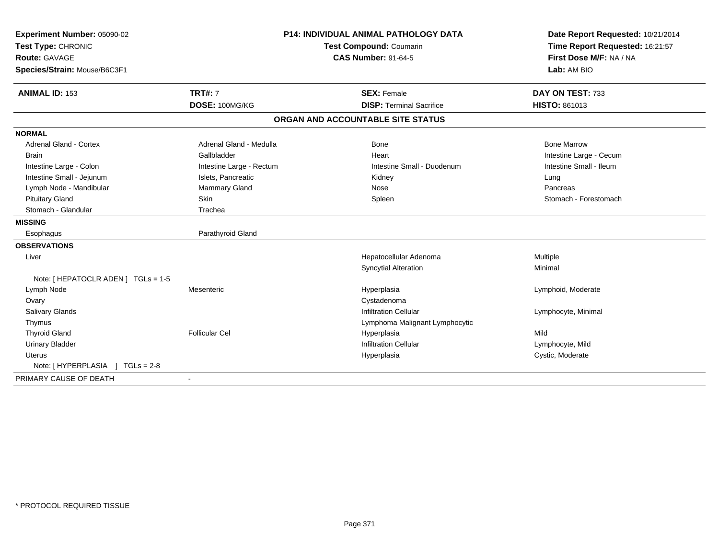| Experiment Number: 05090-02         | <b>P14: INDIVIDUAL ANIMAL PATHOLOGY DATA</b><br>Test Compound: Coumarin |                                   | Date Report Requested: 10/21/2014<br>Time Report Requested: 16:21:57 |
|-------------------------------------|-------------------------------------------------------------------------|-----------------------------------|----------------------------------------------------------------------|
| Test Type: CHRONIC                  |                                                                         |                                   |                                                                      |
| <b>Route: GAVAGE</b>                |                                                                         | <b>CAS Number: 91-64-5</b>        | First Dose M/F: NA / NA                                              |
| Species/Strain: Mouse/B6C3F1        |                                                                         |                                   | Lab: AM BIO                                                          |
| <b>ANIMAL ID: 153</b>               | <b>TRT#: 7</b>                                                          | <b>SEX: Female</b>                | DAY ON TEST: 733                                                     |
|                                     | DOSE: 100MG/KG                                                          | <b>DISP: Terminal Sacrifice</b>   | <b>HISTO: 861013</b>                                                 |
|                                     |                                                                         | ORGAN AND ACCOUNTABLE SITE STATUS |                                                                      |
| <b>NORMAL</b>                       |                                                                         |                                   |                                                                      |
| <b>Adrenal Gland - Cortex</b>       | Adrenal Gland - Medulla                                                 | <b>Bone</b>                       | <b>Bone Marrow</b>                                                   |
| <b>Brain</b>                        | Gallbladder                                                             | Heart                             | Intestine Large - Cecum                                              |
| Intestine Large - Colon             | Intestine Large - Rectum                                                | Intestine Small - Duodenum        | Intestine Small - Ileum                                              |
| Intestine Small - Jejunum           | Islets, Pancreatic                                                      | Kidney                            | Lung                                                                 |
| Lymph Node - Mandibular             | Mammary Gland                                                           | Nose                              | Pancreas                                                             |
| <b>Pituitary Gland</b>              | Skin                                                                    | Spleen                            | Stomach - Forestomach                                                |
| Stomach - Glandular                 | Trachea                                                                 |                                   |                                                                      |
| <b>MISSING</b>                      |                                                                         |                                   |                                                                      |
| Esophagus                           | Parathyroid Gland                                                       |                                   |                                                                      |
| <b>OBSERVATIONS</b>                 |                                                                         |                                   |                                                                      |
| Liver                               |                                                                         | Hepatocellular Adenoma            | Multiple                                                             |
|                                     |                                                                         | <b>Syncytial Alteration</b>       | Minimal                                                              |
| Note: [ HEPATOCLR ADEN ] TGLs = 1-5 |                                                                         |                                   |                                                                      |
| Lymph Node                          | Mesenteric                                                              | Hyperplasia                       | Lymphoid, Moderate                                                   |
| Ovary                               |                                                                         | Cystadenoma                       |                                                                      |
| <b>Salivary Glands</b>              |                                                                         | <b>Infiltration Cellular</b>      | Lymphocyte, Minimal                                                  |
| Thymus                              |                                                                         | Lymphoma Malignant Lymphocytic    |                                                                      |
| <b>Thyroid Gland</b>                | <b>Follicular Cel</b>                                                   | Hyperplasia                       | Mild                                                                 |
| <b>Urinary Bladder</b>              |                                                                         | <b>Infiltration Cellular</b>      | Lymphocyte, Mild                                                     |
| <b>Uterus</b>                       |                                                                         | Hyperplasia                       | Cystic, Moderate                                                     |
| Note: [HYPERPLASIA ] TGLs = 2-8     |                                                                         |                                   |                                                                      |
| PRIMARY CAUSE OF DEATH              |                                                                         |                                   |                                                                      |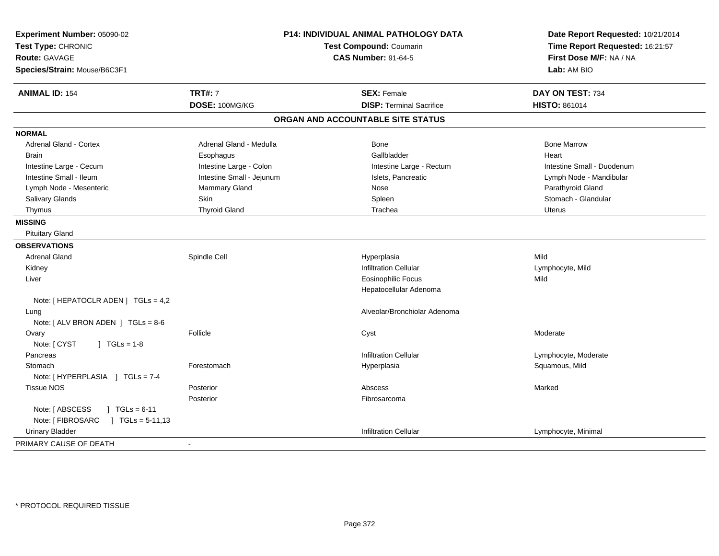| Experiment Number: 05090-02<br>Test Type: CHRONIC<br><b>Route: GAVAGE</b><br>Species/Strain: Mouse/B6C3F1 |                           | <b>P14: INDIVIDUAL ANIMAL PATHOLOGY DATA</b><br>Test Compound: Coumarin<br><b>CAS Number: 91-64-5</b> | Date Report Requested: 10/21/2014<br>Time Report Requested: 16:21:57<br>First Dose M/F: NA / NA<br>Lab: AM BIO |
|-----------------------------------------------------------------------------------------------------------|---------------------------|-------------------------------------------------------------------------------------------------------|----------------------------------------------------------------------------------------------------------------|
| <b>ANIMAL ID: 154</b>                                                                                     | <b>TRT#: 7</b>            | <b>SEX: Female</b>                                                                                    | DAY ON TEST: 734                                                                                               |
|                                                                                                           | DOSE: 100MG/KG            | <b>DISP: Terminal Sacrifice</b>                                                                       | HISTO: 861014                                                                                                  |
|                                                                                                           |                           | ORGAN AND ACCOUNTABLE SITE STATUS                                                                     |                                                                                                                |
| <b>NORMAL</b>                                                                                             |                           |                                                                                                       |                                                                                                                |
| <b>Adrenal Gland - Cortex</b>                                                                             | Adrenal Gland - Medulla   | <b>Bone</b>                                                                                           | <b>Bone Marrow</b>                                                                                             |
| <b>Brain</b>                                                                                              | Esophagus                 | Gallbladder                                                                                           | Heart                                                                                                          |
| Intestine Large - Cecum                                                                                   | Intestine Large - Colon   | Intestine Large - Rectum                                                                              | Intestine Small - Duodenum                                                                                     |
| Intestine Small - Ileum                                                                                   | Intestine Small - Jejunum | Islets, Pancreatic                                                                                    | Lymph Node - Mandibular                                                                                        |
| Lymph Node - Mesenteric                                                                                   | Mammary Gland             | <b>Nose</b>                                                                                           | Parathyroid Gland                                                                                              |
| Salivary Glands                                                                                           | Skin                      | Spleen                                                                                                | Stomach - Glandular                                                                                            |
| Thymus                                                                                                    | <b>Thyroid Gland</b>      | Trachea                                                                                               | Uterus                                                                                                         |
| <b>MISSING</b>                                                                                            |                           |                                                                                                       |                                                                                                                |
| <b>Pituitary Gland</b>                                                                                    |                           |                                                                                                       |                                                                                                                |
| <b>OBSERVATIONS</b>                                                                                       |                           |                                                                                                       |                                                                                                                |
| <b>Adrenal Gland</b>                                                                                      | Spindle Cell              | Hyperplasia                                                                                           | Mild                                                                                                           |
| Kidney                                                                                                    |                           | <b>Infiltration Cellular</b>                                                                          | Lymphocyte, Mild                                                                                               |
| Liver                                                                                                     |                           | <b>Eosinophilic Focus</b>                                                                             | Mild                                                                                                           |
|                                                                                                           |                           | Hepatocellular Adenoma                                                                                |                                                                                                                |
| Note: [ HEPATOCLR ADEN ] TGLs = 4,2                                                                       |                           |                                                                                                       |                                                                                                                |
| Lung                                                                                                      |                           | Alveolar/Bronchiolar Adenoma                                                                          |                                                                                                                |
| Note: [ALV BRON ADEN ] TGLs = 8-6                                                                         |                           |                                                                                                       |                                                                                                                |
| Ovary                                                                                                     | Follicle                  | Cyst                                                                                                  | Moderate                                                                                                       |
| Note: [ CYST<br>$J \cdot TGLS = 1-8$                                                                      |                           |                                                                                                       |                                                                                                                |
| Pancreas                                                                                                  |                           | <b>Infiltration Cellular</b>                                                                          | Lymphocyte, Moderate                                                                                           |
| Stomach                                                                                                   | Forestomach               | Hyperplasia                                                                                           | Squamous, Mild                                                                                                 |
| Note: [HYPERPLASIA ] TGLs = 7-4                                                                           |                           |                                                                                                       |                                                                                                                |
| <b>Tissue NOS</b>                                                                                         | Posterior                 | Abscess                                                                                               | Marked                                                                                                         |
|                                                                                                           | Posterior                 | Fibrosarcoma                                                                                          |                                                                                                                |
| Note: [ ABSCESS<br>$1 TGLs = 6-11$                                                                        |                           |                                                                                                       |                                                                                                                |
| Note: [ FIBROSARC<br>$\vert$ TGLs = 5-11,13                                                               |                           |                                                                                                       |                                                                                                                |
| <b>Urinary Bladder</b>                                                                                    |                           | <b>Infiltration Cellular</b>                                                                          | Lymphocyte, Minimal                                                                                            |
| PRIMARY CAUSE OF DEATH                                                                                    | $\blacksquare$            |                                                                                                       |                                                                                                                |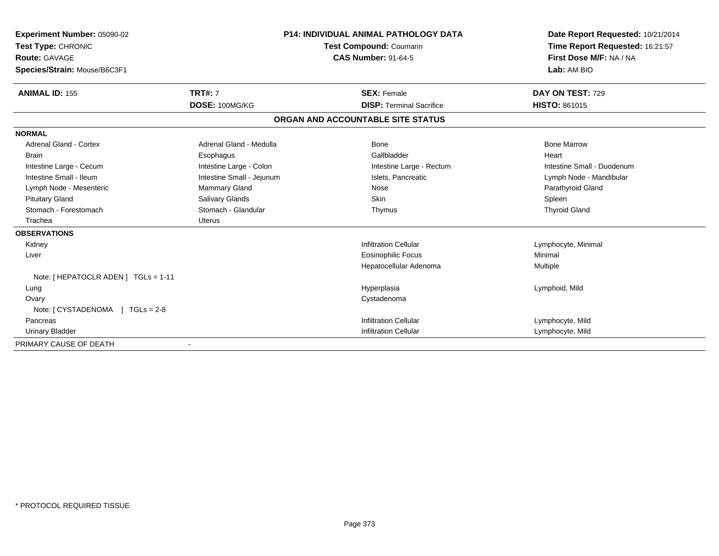| <b>Experiment Number: 05090-02</b><br>Test Type: CHRONIC | <b>P14: INDIVIDUAL ANIMAL PATHOLOGY DATA</b><br>Test Compound: Coumarin |                                   | Date Report Requested: 10/21/2014<br>Time Report Requested: 16:21:57 |
|----------------------------------------------------------|-------------------------------------------------------------------------|-----------------------------------|----------------------------------------------------------------------|
| <b>Route: GAVAGE</b>                                     |                                                                         | <b>CAS Number: 91-64-5</b>        | First Dose M/F: NA / NA                                              |
| Species/Strain: Mouse/B6C3F1                             |                                                                         |                                   | Lab: AM BIO                                                          |
| <b>ANIMAL ID: 155</b>                                    | <b>TRT#: 7</b>                                                          | <b>SEX: Female</b>                | DAY ON TEST: 729                                                     |
|                                                          | DOSE: 100MG/KG                                                          | <b>DISP: Terminal Sacrifice</b>   | <b>HISTO: 861015</b>                                                 |
|                                                          |                                                                         | ORGAN AND ACCOUNTABLE SITE STATUS |                                                                      |
| <b>NORMAL</b>                                            |                                                                         |                                   |                                                                      |
| <b>Adrenal Gland - Cortex</b>                            | Adrenal Gland - Medulla                                                 | <b>Bone</b>                       | <b>Bone Marrow</b>                                                   |
| <b>Brain</b>                                             | Esophagus                                                               | Gallbladder                       | Heart                                                                |
| Intestine Large - Cecum                                  | Intestine Large - Colon                                                 | Intestine Large - Rectum          | Intestine Small - Duodenum                                           |
| Intestine Small - Ileum                                  | Intestine Small - Jejunum                                               | Islets, Pancreatic                | Lymph Node - Mandibular                                              |
| Lymph Node - Mesenteric                                  | <b>Mammary Gland</b>                                                    | Nose                              | Parathyroid Gland                                                    |
| <b>Pituitary Gland</b>                                   | Salivary Glands                                                         | Skin                              | Spleen                                                               |
| Stomach - Forestomach                                    | Stomach - Glandular                                                     | Thymus                            | <b>Thyroid Gland</b>                                                 |
| Trachea                                                  | <b>Uterus</b>                                                           |                                   |                                                                      |
| <b>OBSERVATIONS</b>                                      |                                                                         |                                   |                                                                      |
| Kidney                                                   |                                                                         | <b>Infiltration Cellular</b>      | Lymphocyte, Minimal                                                  |
| Liver                                                    |                                                                         | <b>Eosinophilic Focus</b>         | Minimal                                                              |
|                                                          |                                                                         | Hepatocellular Adenoma            | Multiple                                                             |
| Note: [ HEPATOCLR ADEN ] TGLs = 1-11                     |                                                                         |                                   |                                                                      |
| Lung                                                     |                                                                         | Hyperplasia                       | Lymphoid, Mild                                                       |
| Ovary                                                    |                                                                         | Cystadenoma                       |                                                                      |
|                                                          |                                                                         |                                   |                                                                      |
| Pancreas                                                 |                                                                         | <b>Infiltration Cellular</b>      | Lymphocyte, Mild                                                     |
| <b>Urinary Bladder</b>                                   |                                                                         | <b>Infiltration Cellular</b>      | Lymphocyte, Mild                                                     |
| PRIMARY CAUSE OF DEATH                                   |                                                                         |                                   |                                                                      |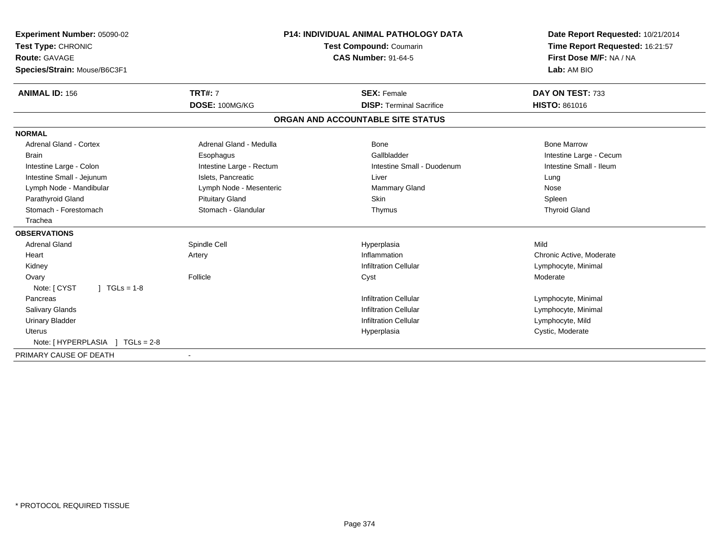| Experiment Number: 05090-02<br>Test Type: CHRONIC<br>Route: GAVAGE<br>Species/Strain: Mouse/B6C3F1 |                          | <b>P14: INDIVIDUAL ANIMAL PATHOLOGY DATA</b><br><b>Test Compound: Coumarin</b><br><b>CAS Number: 91-64-5</b> | Date Report Requested: 10/21/2014<br>Time Report Requested: 16:21:57<br>First Dose M/F: NA / NA<br>Lab: AM BIO |
|----------------------------------------------------------------------------------------------------|--------------------------|--------------------------------------------------------------------------------------------------------------|----------------------------------------------------------------------------------------------------------------|
| <b>ANIMAL ID: 156</b>                                                                              | <b>TRT#: 7</b>           | <b>SEX: Female</b>                                                                                           | DAY ON TEST: 733                                                                                               |
|                                                                                                    | DOSE: 100MG/KG           | <b>DISP: Terminal Sacrifice</b>                                                                              | <b>HISTO: 861016</b>                                                                                           |
|                                                                                                    |                          | ORGAN AND ACCOUNTABLE SITE STATUS                                                                            |                                                                                                                |
| <b>NORMAL</b>                                                                                      |                          |                                                                                                              |                                                                                                                |
| <b>Adrenal Gland - Cortex</b>                                                                      | Adrenal Gland - Medulla  | <b>Bone</b>                                                                                                  | <b>Bone Marrow</b>                                                                                             |
| <b>Brain</b>                                                                                       | Esophagus                | Gallbladder                                                                                                  | Intestine Large - Cecum                                                                                        |
| Intestine Large - Colon                                                                            | Intestine Large - Rectum | Intestine Small - Duodenum                                                                                   | Intestine Small - Ileum                                                                                        |
| Intestine Small - Jejunum                                                                          | Islets, Pancreatic       | Liver                                                                                                        | Lung                                                                                                           |
| Lymph Node - Mandibular                                                                            | Lymph Node - Mesenteric  | <b>Mammary Gland</b>                                                                                         | Nose                                                                                                           |
| Parathyroid Gland                                                                                  | <b>Pituitary Gland</b>   | <b>Skin</b>                                                                                                  | Spleen                                                                                                         |
| Stomach - Forestomach                                                                              | Stomach - Glandular      | Thymus                                                                                                       | <b>Thyroid Gland</b>                                                                                           |
| Trachea                                                                                            |                          |                                                                                                              |                                                                                                                |
| <b>OBSERVATIONS</b>                                                                                |                          |                                                                                                              |                                                                                                                |
| <b>Adrenal Gland</b>                                                                               | Spindle Cell             | Hyperplasia                                                                                                  | Mild                                                                                                           |
| Heart                                                                                              | Artery                   | Inflammation                                                                                                 | Chronic Active, Moderate                                                                                       |
| Kidney                                                                                             |                          | <b>Infiltration Cellular</b>                                                                                 | Lymphocyte, Minimal                                                                                            |
| Ovary                                                                                              | Follicle                 | Cyst                                                                                                         | Moderate                                                                                                       |
| Note: [ CYST<br>$1 TGLs = 1-8$                                                                     |                          |                                                                                                              |                                                                                                                |
| Pancreas                                                                                           |                          | <b>Infiltration Cellular</b>                                                                                 | Lymphocyte, Minimal                                                                                            |
| Salivary Glands                                                                                    |                          | <b>Infiltration Cellular</b>                                                                                 | Lymphocyte, Minimal                                                                                            |
| <b>Urinary Bladder</b>                                                                             |                          | <b>Infiltration Cellular</b>                                                                                 | Lymphocyte, Mild                                                                                               |
| Uterus                                                                                             |                          | Hyperplasia                                                                                                  | Cystic, Moderate                                                                                               |
| Note: [HYPERPLASIA ] TGLs = 2-8                                                                    |                          |                                                                                                              |                                                                                                                |
| PRIMARY CAUSE OF DEATH                                                                             |                          |                                                                                                              |                                                                                                                |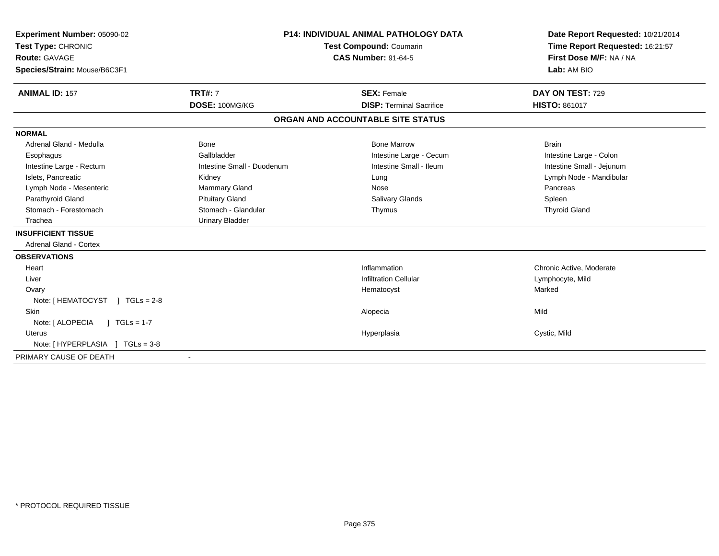| Experiment Number: 05090-02<br>Test Type: CHRONIC<br>Route: GAVAGE<br>Species/Strain: Mouse/B6C3F1<br><b>ANIMAL ID: 157</b> | <b>TRT#: 7</b>             | <b>P14: INDIVIDUAL ANIMAL PATHOLOGY DATA</b><br><b>Test Compound: Coumarin</b><br><b>CAS Number: 91-64-5</b><br><b>SEX: Female</b> | Date Report Requested: 10/21/2014<br>Time Report Requested: 16:21:57<br>First Dose M/F: NA / NA<br>Lab: AM BIO<br>DAY ON TEST: 729 |
|-----------------------------------------------------------------------------------------------------------------------------|----------------------------|------------------------------------------------------------------------------------------------------------------------------------|------------------------------------------------------------------------------------------------------------------------------------|
|                                                                                                                             | DOSE: 100MG/KG             | <b>DISP: Terminal Sacrifice</b>                                                                                                    | <b>HISTO: 861017</b>                                                                                                               |
|                                                                                                                             |                            | ORGAN AND ACCOUNTABLE SITE STATUS                                                                                                  |                                                                                                                                    |
| <b>NORMAL</b>                                                                                                               |                            |                                                                                                                                    |                                                                                                                                    |
| Adrenal Gland - Medulla                                                                                                     | Bone                       | <b>Bone Marrow</b>                                                                                                                 | <b>Brain</b>                                                                                                                       |
| Esophagus                                                                                                                   | Gallbladder                | Intestine Large - Cecum                                                                                                            | Intestine Large - Colon                                                                                                            |
| Intestine Large - Rectum                                                                                                    | Intestine Small - Duodenum | Intestine Small - Ileum                                                                                                            | Intestine Small - Jejunum                                                                                                          |
| Islets, Pancreatic                                                                                                          | Kidney                     | Lung                                                                                                                               | Lymph Node - Mandibular                                                                                                            |
| Lymph Node - Mesenteric                                                                                                     | Mammary Gland              | Nose                                                                                                                               | Pancreas                                                                                                                           |
| Parathyroid Gland                                                                                                           | <b>Pituitary Gland</b>     | <b>Salivary Glands</b>                                                                                                             | Spleen                                                                                                                             |
| Stomach - Forestomach                                                                                                       | Stomach - Glandular        | Thymus                                                                                                                             | <b>Thyroid Gland</b>                                                                                                               |
| Trachea                                                                                                                     | <b>Urinary Bladder</b>     |                                                                                                                                    |                                                                                                                                    |
| <b>INSUFFICIENT TISSUE</b>                                                                                                  |                            |                                                                                                                                    |                                                                                                                                    |
| <b>Adrenal Gland - Cortex</b>                                                                                               |                            |                                                                                                                                    |                                                                                                                                    |
| <b>OBSERVATIONS</b>                                                                                                         |                            |                                                                                                                                    |                                                                                                                                    |
| Heart                                                                                                                       |                            | Inflammation                                                                                                                       | Chronic Active, Moderate                                                                                                           |
| Liver                                                                                                                       |                            | <b>Infiltration Cellular</b>                                                                                                       | Lymphocyte, Mild                                                                                                                   |
| Ovary                                                                                                                       |                            | Hematocyst                                                                                                                         | Marked                                                                                                                             |
| Note: [HEMATOCYST ] TGLs = 2-8                                                                                              |                            |                                                                                                                                    |                                                                                                                                    |
| <b>Skin</b>                                                                                                                 |                            | Alopecia                                                                                                                           | Mild                                                                                                                               |
| Note: [ ALOPECIA<br>$1 TGLs = 1-7$                                                                                          |                            |                                                                                                                                    |                                                                                                                                    |
| <b>Uterus</b>                                                                                                               |                            | Hyperplasia                                                                                                                        | Cystic, Mild                                                                                                                       |
| Note: [HYPERPLASIA ] TGLs = 3-8                                                                                             |                            |                                                                                                                                    |                                                                                                                                    |
| PRIMARY CAUSE OF DEATH                                                                                                      | $\blacksquare$             |                                                                                                                                    |                                                                                                                                    |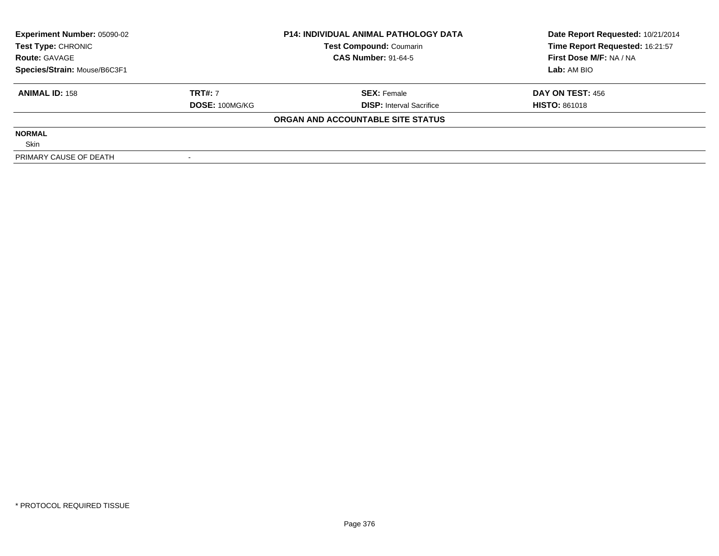| <b>Experiment Number: 05090-02</b> | <b>P14: INDIVIDUAL ANIMAL PATHOLOGY DATA</b><br><b>Test Compound: Coumarin</b> |                                   | Date Report Requested: 10/21/2014 |
|------------------------------------|--------------------------------------------------------------------------------|-----------------------------------|-----------------------------------|
| Test Type: CHRONIC                 |                                                                                |                                   | Time Report Requested: 16:21:57   |
| <b>Route: GAVAGE</b>               |                                                                                | <b>CAS Number: 91-64-5</b>        | First Dose M/F: NA / NA           |
| Species/Strain: Mouse/B6C3F1       |                                                                                |                                   | Lab: AM BIO                       |
| <b>ANIMAL ID: 158</b>              | <b>TRT#: 7</b>                                                                 | <b>SEX: Female</b>                | DAY ON TEST: 456                  |
|                                    | DOSE: 100MG/KG                                                                 | <b>DISP:</b> Interval Sacrifice   | <b>HISTO: 861018</b>              |
|                                    |                                                                                | ORGAN AND ACCOUNTABLE SITE STATUS |                                   |
| <b>NORMAL</b>                      |                                                                                |                                   |                                   |
| Skin                               |                                                                                |                                   |                                   |
| PRIMARY CAUSE OF DEATH             |                                                                                |                                   |                                   |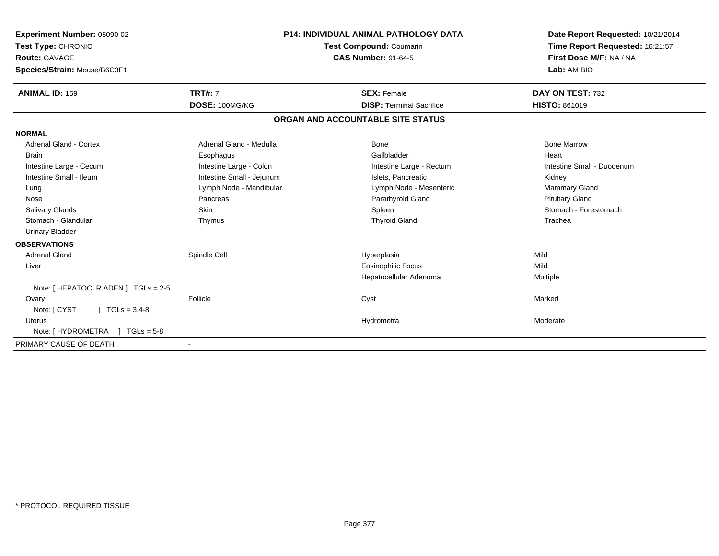| Experiment Number: 05090-02<br>Test Type: CHRONIC<br>Route: GAVAGE<br>Species/Strain: Mouse/B6C3F1 |                                  | <b>P14: INDIVIDUAL ANIMAL PATHOLOGY DATA</b><br><b>Test Compound: Coumarin</b><br><b>CAS Number: 91-64-5</b> | Date Report Requested: 10/21/2014<br>Time Report Requested: 16:21:57<br>First Dose M/F: NA / NA<br>Lab: AM BIO |
|----------------------------------------------------------------------------------------------------|----------------------------------|--------------------------------------------------------------------------------------------------------------|----------------------------------------------------------------------------------------------------------------|
| <b>ANIMAL ID: 159</b>                                                                              | <b>TRT#: 7</b><br>DOSE: 100MG/KG | <b>SEX: Female</b><br><b>DISP: Terminal Sacrifice</b>                                                        | DAY ON TEST: 732<br><b>HISTO: 861019</b>                                                                       |
|                                                                                                    |                                  | ORGAN AND ACCOUNTABLE SITE STATUS                                                                            |                                                                                                                |
| <b>NORMAL</b>                                                                                      |                                  |                                                                                                              |                                                                                                                |
| <b>Adrenal Gland - Cortex</b>                                                                      | Adrenal Gland - Medulla          | <b>Bone</b>                                                                                                  | <b>Bone Marrow</b>                                                                                             |
| <b>Brain</b>                                                                                       | Esophagus                        | Gallbladder                                                                                                  | Heart                                                                                                          |
| Intestine Large - Cecum                                                                            | Intestine Large - Colon          | Intestine Large - Rectum                                                                                     | Intestine Small - Duodenum                                                                                     |
| Intestine Small - Ileum                                                                            | Intestine Small - Jejunum        | Islets. Pancreatic                                                                                           | Kidney                                                                                                         |
| Lung                                                                                               | Lymph Node - Mandibular          | Lymph Node - Mesenteric                                                                                      | <b>Mammary Gland</b>                                                                                           |
| Nose                                                                                               | Pancreas                         | Parathyroid Gland                                                                                            | <b>Pituitary Gland</b>                                                                                         |
| <b>Salivary Glands</b>                                                                             | <b>Skin</b>                      | Spleen                                                                                                       | Stomach - Forestomach                                                                                          |
| Stomach - Glandular                                                                                | Thymus                           | <b>Thyroid Gland</b>                                                                                         | Trachea                                                                                                        |
| <b>Urinary Bladder</b>                                                                             |                                  |                                                                                                              |                                                                                                                |
| <b>OBSERVATIONS</b>                                                                                |                                  |                                                                                                              |                                                                                                                |
| <b>Adrenal Gland</b>                                                                               | Spindle Cell                     | Hyperplasia                                                                                                  | Mild                                                                                                           |
| Liver                                                                                              |                                  | <b>Eosinophilic Focus</b>                                                                                    | Mild                                                                                                           |
|                                                                                                    |                                  | Hepatocellular Adenoma                                                                                       | Multiple                                                                                                       |
| Note: [ HEPATOCLR ADEN ] TGLs = 2-5                                                                |                                  |                                                                                                              |                                                                                                                |
| Ovary                                                                                              | Follicle                         | Cyst                                                                                                         | Marked                                                                                                         |
| Note: [ CYST<br>$1 TGLs = 3.4-8$                                                                   |                                  |                                                                                                              |                                                                                                                |
| <b>Uterus</b>                                                                                      |                                  | Hydrometra                                                                                                   | Moderate                                                                                                       |
| Note: $[HYDROMETRA] TGLs = 5-8$                                                                    |                                  |                                                                                                              |                                                                                                                |
| PRIMARY CAUSE OF DEATH                                                                             |                                  |                                                                                                              |                                                                                                                |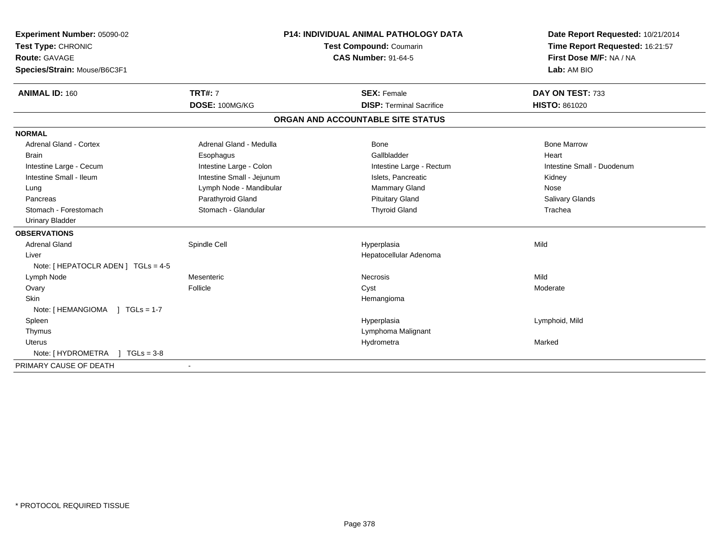| Experiment Number: 05090-02         |                           | P14: INDIVIDUAL ANIMAL PATHOLOGY DATA | Date Report Requested: 10/21/2014 |
|-------------------------------------|---------------------------|---------------------------------------|-----------------------------------|
| Test Type: CHRONIC                  |                           | Test Compound: Coumarin               | Time Report Requested: 16:21:57   |
| <b>Route: GAVAGE</b>                |                           | <b>CAS Number: 91-64-5</b>            | First Dose M/F: NA / NA           |
| Species/Strain: Mouse/B6C3F1        |                           |                                       | Lab: AM BIO                       |
| <b>ANIMAL ID: 160</b>               | <b>TRT#: 7</b>            | <b>SEX: Female</b>                    | DAY ON TEST: 733                  |
|                                     | DOSE: 100MG/KG            | <b>DISP: Terminal Sacrifice</b>       | <b>HISTO: 861020</b>              |
|                                     |                           | ORGAN AND ACCOUNTABLE SITE STATUS     |                                   |
| <b>NORMAL</b>                       |                           |                                       |                                   |
| <b>Adrenal Gland - Cortex</b>       | Adrenal Gland - Medulla   | <b>Bone</b>                           | <b>Bone Marrow</b>                |
| <b>Brain</b>                        | Esophagus                 | Gallbladder                           | Heart                             |
| Intestine Large - Cecum             | Intestine Large - Colon   | Intestine Large - Rectum              | Intestine Small - Duodenum        |
| Intestine Small - Ileum             | Intestine Small - Jejunum | Islets, Pancreatic                    | Kidney                            |
| Lung                                | Lymph Node - Mandibular   | Mammary Gland                         | Nose                              |
| Pancreas                            | Parathyroid Gland         | <b>Pituitary Gland</b>                | Salivary Glands                   |
| Stomach - Forestomach               | Stomach - Glandular       | <b>Thyroid Gland</b>                  | Trachea                           |
| <b>Urinary Bladder</b>              |                           |                                       |                                   |
| <b>OBSERVATIONS</b>                 |                           |                                       |                                   |
| <b>Adrenal Gland</b>                | Spindle Cell              | Hyperplasia                           | Mild                              |
| Liver                               |                           | Hepatocellular Adenoma                |                                   |
| Note: [ HEPATOCLR ADEN ] TGLs = 4-5 |                           |                                       |                                   |
| Lymph Node                          | Mesenteric                | Necrosis                              | Mild                              |
| Ovary                               | Follicle                  | Cyst                                  | Moderate                          |
| <b>Skin</b>                         |                           | Hemangioma                            |                                   |
| Note: [HEMANGIOMA ] TGLs = 1-7      |                           |                                       |                                   |
| Spleen                              |                           | Hyperplasia                           | Lymphoid, Mild                    |
| Thymus                              |                           | Lymphoma Malignant                    |                                   |
| <b>Uterus</b>                       |                           | Hydrometra                            | Marked                            |
| Note: $[HYDROMETRA] TGLS = 3-8$     |                           |                                       |                                   |
| PRIMARY CAUSE OF DEATH              |                           |                                       |                                   |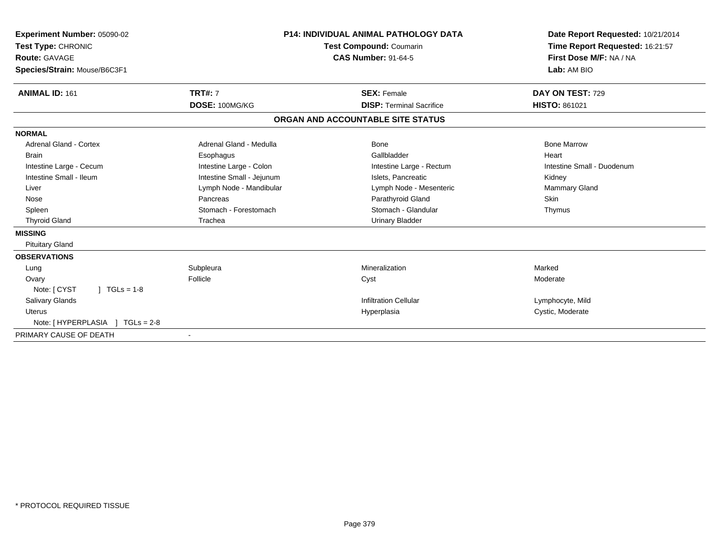| <b>Experiment Number: 05090-02</b><br>Test Type: CHRONIC<br>Route: GAVAGE<br>Species/Strain: Mouse/B6C3F1 |                           | <b>P14: INDIVIDUAL ANIMAL PATHOLOGY DATA</b><br>Test Compound: Coumarin<br><b>CAS Number: 91-64-5</b> | Date Report Requested: 10/21/2014<br>Time Report Requested: 16:21:57<br>First Dose M/F: NA / NA<br>Lab: AM BIO |  |
|-----------------------------------------------------------------------------------------------------------|---------------------------|-------------------------------------------------------------------------------------------------------|----------------------------------------------------------------------------------------------------------------|--|
| <b>ANIMAL ID: 161</b>                                                                                     | <b>TRT#: 7</b>            | <b>SEX: Female</b>                                                                                    | DAY ON TEST: 729                                                                                               |  |
|                                                                                                           | DOSE: 100MG/KG            | <b>DISP: Terminal Sacrifice</b>                                                                       | HISTO: 861021                                                                                                  |  |
|                                                                                                           |                           | ORGAN AND ACCOUNTABLE SITE STATUS                                                                     |                                                                                                                |  |
| <b>NORMAL</b>                                                                                             |                           |                                                                                                       |                                                                                                                |  |
| <b>Adrenal Gland - Cortex</b>                                                                             | Adrenal Gland - Medulla   | <b>Bone</b>                                                                                           | <b>Bone Marrow</b>                                                                                             |  |
| <b>Brain</b>                                                                                              | Esophagus                 | Gallbladder                                                                                           | Heart                                                                                                          |  |
| Intestine Large - Cecum                                                                                   | Intestine Large - Colon   | Intestine Large - Rectum                                                                              | Intestine Small - Duodenum                                                                                     |  |
| Intestine Small - Ileum                                                                                   | Intestine Small - Jejunum | Islets. Pancreatic                                                                                    | Kidney                                                                                                         |  |
| Liver                                                                                                     | Lymph Node - Mandibular   | Lymph Node - Mesenteric                                                                               | <b>Mammary Gland</b>                                                                                           |  |
| Nose                                                                                                      | Pancreas                  | Parathyroid Gland                                                                                     | <b>Skin</b>                                                                                                    |  |
| Spleen                                                                                                    | Stomach - Forestomach     | Stomach - Glandular                                                                                   | Thymus                                                                                                         |  |
| <b>Thyroid Gland</b>                                                                                      | Trachea                   | <b>Urinary Bladder</b>                                                                                |                                                                                                                |  |
| <b>MISSING</b>                                                                                            |                           |                                                                                                       |                                                                                                                |  |
| <b>Pituitary Gland</b>                                                                                    |                           |                                                                                                       |                                                                                                                |  |
| <b>OBSERVATIONS</b>                                                                                       |                           |                                                                                                       |                                                                                                                |  |
| Lung                                                                                                      | Subpleura                 | Mineralization                                                                                        | Marked                                                                                                         |  |
| Ovary                                                                                                     | Follicle                  | Cyst                                                                                                  | Moderate                                                                                                       |  |
| Note: [ CYST<br>$\vert$ TGLs = 1-8                                                                        |                           |                                                                                                       |                                                                                                                |  |
| <b>Salivary Glands</b>                                                                                    |                           | <b>Infiltration Cellular</b>                                                                          | Lymphocyte, Mild                                                                                               |  |
| Uterus                                                                                                    |                           | Hyperplasia                                                                                           | Cystic, Moderate                                                                                               |  |
| Note: [ HYPERPLASIA ] TGLs = 2-8                                                                          |                           |                                                                                                       |                                                                                                                |  |
| PRIMARY CAUSE OF DEATH                                                                                    |                           |                                                                                                       |                                                                                                                |  |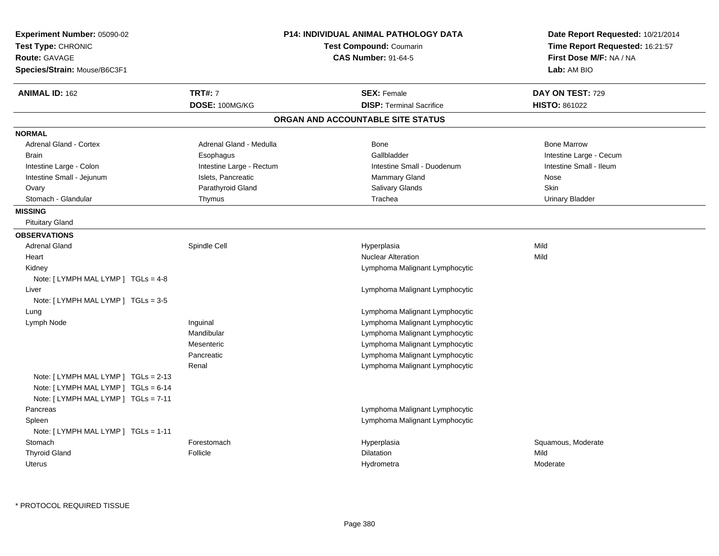| Experiment Number: 05090-02<br>Test Type: CHRONIC<br><b>Route: GAVAGE</b><br>Species/Strain: Mouse/B6C3F1 |                          | <b>P14: INDIVIDUAL ANIMAL PATHOLOGY DATA</b><br>Test Compound: Coumarin<br><b>CAS Number: 91-64-5</b> | Date Report Requested: 10/21/2014<br>Time Report Requested: 16:21:57<br>First Dose M/F: NA / NA<br>Lab: AM BIO |
|-----------------------------------------------------------------------------------------------------------|--------------------------|-------------------------------------------------------------------------------------------------------|----------------------------------------------------------------------------------------------------------------|
| <b>ANIMAL ID: 162</b>                                                                                     | <b>TRT#: 7</b>           | <b>SEX: Female</b>                                                                                    | DAY ON TEST: 729                                                                                               |
|                                                                                                           | DOSE: 100MG/KG           | <b>DISP: Terminal Sacrifice</b>                                                                       | <b>HISTO: 861022</b>                                                                                           |
|                                                                                                           |                          | ORGAN AND ACCOUNTABLE SITE STATUS                                                                     |                                                                                                                |
| <b>NORMAL</b>                                                                                             |                          |                                                                                                       |                                                                                                                |
| <b>Adrenal Gland - Cortex</b>                                                                             | Adrenal Gland - Medulla  | Bone                                                                                                  | <b>Bone Marrow</b>                                                                                             |
| <b>Brain</b>                                                                                              | Esophagus                | Gallbladder                                                                                           | Intestine Large - Cecum                                                                                        |
| Intestine Large - Colon                                                                                   | Intestine Large - Rectum | Intestine Small - Duodenum                                                                            | Intestine Small - Ileum                                                                                        |
| Intestine Small - Jejunum                                                                                 | Islets, Pancreatic       | <b>Mammary Gland</b>                                                                                  | Nose                                                                                                           |
| Ovary                                                                                                     | Parathyroid Gland        | Salivary Glands                                                                                       | Skin                                                                                                           |
| Stomach - Glandular                                                                                       | Thymus                   | Trachea                                                                                               | <b>Urinary Bladder</b>                                                                                         |
| <b>MISSING</b>                                                                                            |                          |                                                                                                       |                                                                                                                |
| <b>Pituitary Gland</b>                                                                                    |                          |                                                                                                       |                                                                                                                |
| <b>OBSERVATIONS</b>                                                                                       |                          |                                                                                                       |                                                                                                                |
| <b>Adrenal Gland</b>                                                                                      | Spindle Cell             | Hyperplasia                                                                                           | Mild                                                                                                           |
| Heart                                                                                                     |                          | Nuclear Alteration                                                                                    | Mild                                                                                                           |
| Kidney                                                                                                    |                          | Lymphoma Malignant Lymphocytic                                                                        |                                                                                                                |
| Note: [LYMPH MAL LYMP ] TGLs = 4-8                                                                        |                          |                                                                                                       |                                                                                                                |
| Liver                                                                                                     |                          | Lymphoma Malignant Lymphocytic                                                                        |                                                                                                                |
| Note: [ LYMPH MAL LYMP ] TGLs = 3-5                                                                       |                          |                                                                                                       |                                                                                                                |
| Lung                                                                                                      |                          | Lymphoma Malignant Lymphocytic                                                                        |                                                                                                                |
| Lymph Node                                                                                                | Inguinal                 | Lymphoma Malignant Lymphocytic                                                                        |                                                                                                                |
|                                                                                                           | Mandibular               | Lymphoma Malignant Lymphocytic                                                                        |                                                                                                                |
|                                                                                                           | Mesenteric               | Lymphoma Malignant Lymphocytic                                                                        |                                                                                                                |
|                                                                                                           | Pancreatic               | Lymphoma Malignant Lymphocytic                                                                        |                                                                                                                |
| Note: $[LYMPH MAL LYMP] TGLs = 2-13$                                                                      | Renal                    | Lymphoma Malignant Lymphocytic                                                                        |                                                                                                                |
| Note: [ LYMPH MAL LYMP ] TGLs = 6-14<br>Note: [LYMPH MAL LYMP ] TGLs = 7-11                               |                          |                                                                                                       |                                                                                                                |
| Pancreas                                                                                                  |                          | Lymphoma Malignant Lymphocytic                                                                        |                                                                                                                |
| Spleen                                                                                                    |                          | Lymphoma Malignant Lymphocytic                                                                        |                                                                                                                |
| Note: [LYMPH MAL LYMP ] TGLs = 1-11                                                                       |                          |                                                                                                       |                                                                                                                |
| Stomach                                                                                                   | Forestomach              | Hyperplasia                                                                                           | Squamous, Moderate                                                                                             |
| <b>Thyroid Gland</b>                                                                                      | Follicle                 | Dilatation                                                                                            | Mild                                                                                                           |
| <b>Uterus</b>                                                                                             |                          | Hydrometra                                                                                            | Moderate                                                                                                       |
|                                                                                                           |                          |                                                                                                       |                                                                                                                |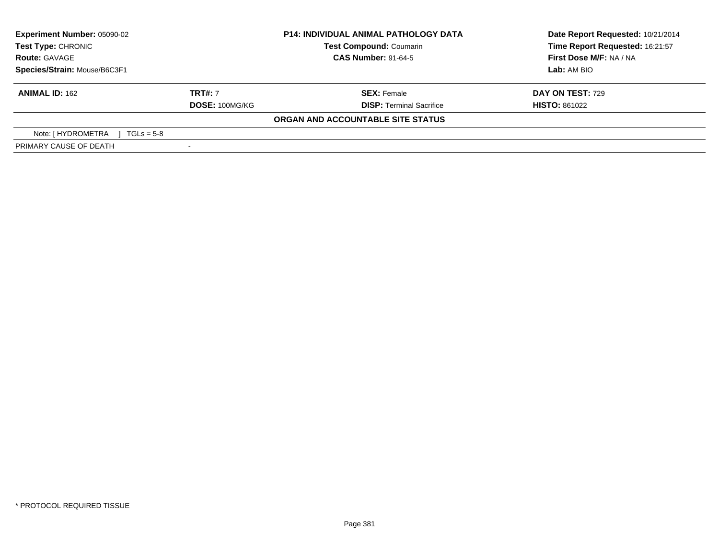| Experiment Number: 05090-02        |                | <b>P14: INDIVIDUAL ANIMAL PATHOLOGY DATA</b> | Date Report Requested: 10/21/2014 |  |
|------------------------------------|----------------|----------------------------------------------|-----------------------------------|--|
| <b>Test Type: CHRONIC</b>          |                | <b>Test Compound: Coumarin</b>               | Time Report Requested: 16:21:57   |  |
| <b>Route: GAVAGE</b>               |                | <b>CAS Number: 91-64-5</b>                   | First Dose M/F: NA / NA           |  |
| Species/Strain: Mouse/B6C3F1       |                |                                              | Lab: AM BIO                       |  |
| <b>ANIMAL ID: 162</b>              | <b>TRT#: 7</b> | <b>SEX: Female</b>                           | <b>DAY ON TEST: 729</b>           |  |
|                                    | DOSE: 100MG/KG | <b>DISP: Terminal Sacrifice</b>              | <b>HISTO: 861022</b>              |  |
|                                    |                | ORGAN AND ACCOUNTABLE SITE STATUS            |                                   |  |
| Note: [ HYDROMETRA<br>$TGLs = 5-8$ |                |                                              |                                   |  |
| PRIMARY CAUSE OF DEATH             |                |                                              |                                   |  |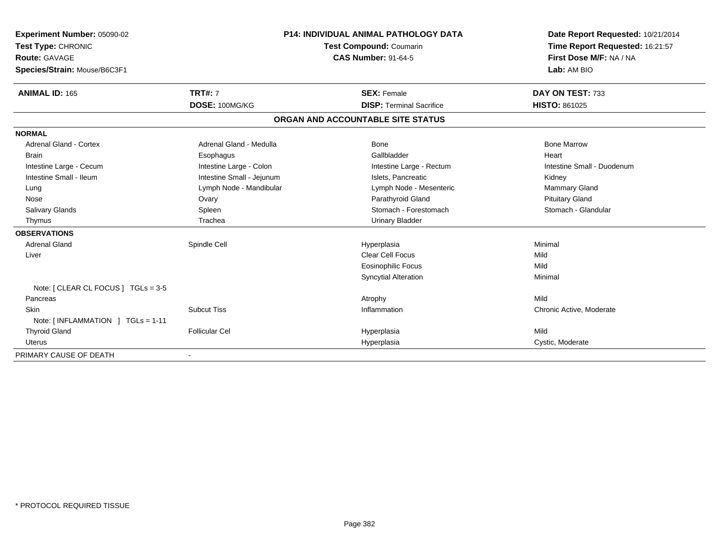| <b>Experiment Number: 05090-02</b>  | <b>P14: INDIVIDUAL ANIMAL PATHOLOGY DATA</b> |                                   | Date Report Requested: 10/21/2014 |
|-------------------------------------|----------------------------------------------|-----------------------------------|-----------------------------------|
| Test Type: CHRONIC                  |                                              | Test Compound: Coumarin           | Time Report Requested: 16:21:57   |
| Route: GAVAGE                       |                                              | <b>CAS Number: 91-64-5</b>        | First Dose M/F: NA / NA           |
| Species/Strain: Mouse/B6C3F1        |                                              |                                   | Lab: AM BIO                       |
|                                     |                                              |                                   |                                   |
| <b>ANIMAL ID: 165</b>               | <b>TRT#: 7</b>                               | <b>SEX: Female</b>                | DAY ON TEST: 733                  |
|                                     | DOSE: 100MG/KG                               | <b>DISP: Terminal Sacrifice</b>   | <b>HISTO: 861025</b>              |
|                                     |                                              | ORGAN AND ACCOUNTABLE SITE STATUS |                                   |
| <b>NORMAL</b>                       |                                              |                                   |                                   |
| <b>Adrenal Gland - Cortex</b>       | Adrenal Gland - Medulla                      | <b>Bone</b>                       | <b>Bone Marrow</b>                |
| <b>Brain</b>                        | Esophagus                                    | Gallbladder                       | Heart                             |
| Intestine Large - Cecum             | Intestine Large - Colon                      | Intestine Large - Rectum          | Intestine Small - Duodenum        |
| Intestine Small - Ileum             | Intestine Small - Jejunum                    | Islets. Pancreatic                | Kidney                            |
| Lung                                | Lymph Node - Mandibular                      | Lymph Node - Mesenteric           | <b>Mammary Gland</b>              |
| Nose                                | Ovary                                        | Parathyroid Gland                 | <b>Pituitary Gland</b>            |
| <b>Salivary Glands</b>              | Spleen                                       | Stomach - Forestomach             | Stomach - Glandular               |
| Thymus                              | Trachea                                      | <b>Urinary Bladder</b>            |                                   |
| <b>OBSERVATIONS</b>                 |                                              |                                   |                                   |
| <b>Adrenal Gland</b>                | Spindle Cell                                 | Hyperplasia                       | Minimal                           |
| Liver                               |                                              | Clear Cell Focus                  | Mild                              |
|                                     |                                              | <b>Eosinophilic Focus</b>         | Mild                              |
|                                     |                                              | Syncytial Alteration              | Minimal                           |
| Note: [ CLEAR CL FOCUS ] TGLs = 3-5 |                                              |                                   |                                   |
| Pancreas                            |                                              | Atrophy                           | Mild                              |
| <b>Skin</b>                         | <b>Subcut Tiss</b>                           | Inflammation                      | Chronic Active, Moderate          |
| Note: [INFLAMMATION ] TGLs = 1-11   |                                              |                                   |                                   |
| <b>Thyroid Gland</b>                | <b>Follicular Cel</b>                        | Hyperplasia                       | Mild                              |
| <b>Uterus</b>                       |                                              | Hyperplasia                       | Cystic, Moderate                  |
| PRIMARY CAUSE OF DEATH              |                                              |                                   |                                   |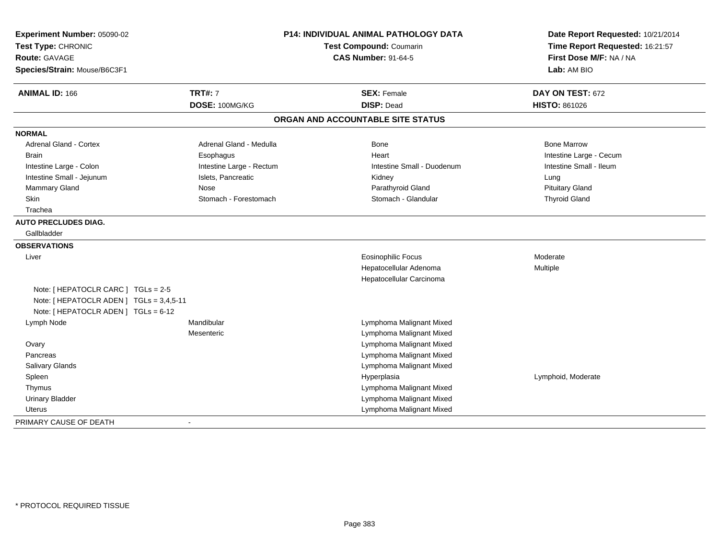| Experiment Number: 05090-02<br>Test Type: CHRONIC<br><b>Route: GAVAGE</b><br>Species/Strain: Mouse/B6C3F1 |                                  | <b>P14: INDIVIDUAL ANIMAL PATHOLOGY DATA</b><br><b>Test Compound: Coumarin</b><br><b>CAS Number: 91-64-5</b> |                                          |
|-----------------------------------------------------------------------------------------------------------|----------------------------------|--------------------------------------------------------------------------------------------------------------|------------------------------------------|
| <b>ANIMAL ID: 166</b>                                                                                     | <b>TRT#: 7</b><br>DOSE: 100MG/KG | <b>SEX: Female</b><br><b>DISP: Dead</b>                                                                      | DAY ON TEST: 672<br><b>HISTO: 861026</b> |
|                                                                                                           |                                  |                                                                                                              |                                          |
|                                                                                                           |                                  | ORGAN AND ACCOUNTABLE SITE STATUS                                                                            |                                          |
| <b>NORMAL</b>                                                                                             |                                  |                                                                                                              |                                          |
| <b>Adrenal Gland - Cortex</b>                                                                             | Adrenal Gland - Medulla          | <b>Bone</b>                                                                                                  | <b>Bone Marrow</b>                       |
| Brain                                                                                                     | Esophagus                        | Heart                                                                                                        | Intestine Large - Cecum                  |
| Intestine Large - Colon                                                                                   | Intestine Large - Rectum         | Intestine Small - Duodenum                                                                                   | Intestine Small - Ileum                  |
| Intestine Small - Jejunum                                                                                 | Islets, Pancreatic               | Kidney                                                                                                       | Lung                                     |
| Mammary Gland                                                                                             | Nose                             | Parathyroid Gland                                                                                            | <b>Pituitary Gland</b>                   |
| Skin                                                                                                      | Stomach - Forestomach            | Stomach - Glandular                                                                                          | <b>Thyroid Gland</b>                     |
| Trachea                                                                                                   |                                  |                                                                                                              |                                          |
| <b>AUTO PRECLUDES DIAG.</b>                                                                               |                                  |                                                                                                              |                                          |
| Gallbladder                                                                                               |                                  |                                                                                                              |                                          |
| <b>OBSERVATIONS</b>                                                                                       |                                  |                                                                                                              |                                          |
| Liver                                                                                                     |                                  | <b>Eosinophilic Focus</b>                                                                                    | Moderate                                 |
|                                                                                                           |                                  | Hepatocellular Adenoma                                                                                       | <b>Multiple</b>                          |
|                                                                                                           |                                  | Hepatocellular Carcinoma                                                                                     |                                          |
| Note: [ HEPATOCLR CARC ] TGLs = 2-5<br>Note: [ HEPATOCLR ADEN ] TGLs = 3,4,5-11                           |                                  |                                                                                                              |                                          |
| Note: [ HEPATOCLR ADEN ] TGLs = 6-12                                                                      |                                  |                                                                                                              |                                          |
| Lymph Node                                                                                                | Mandibular                       | Lymphoma Malignant Mixed                                                                                     |                                          |
|                                                                                                           | Mesenteric                       | Lymphoma Malignant Mixed                                                                                     |                                          |
| Ovary                                                                                                     |                                  | Lymphoma Malignant Mixed                                                                                     |                                          |
| Pancreas                                                                                                  |                                  | Lymphoma Malignant Mixed                                                                                     |                                          |
| Salivary Glands                                                                                           |                                  | Lymphoma Malignant Mixed                                                                                     |                                          |
| Spleen                                                                                                    |                                  | Hyperplasia                                                                                                  | Lymphoid, Moderate                       |
| Thymus                                                                                                    |                                  | Lymphoma Malignant Mixed                                                                                     |                                          |
| <b>Urinary Bladder</b>                                                                                    |                                  | Lymphoma Malignant Mixed                                                                                     |                                          |
| Uterus                                                                                                    |                                  | Lymphoma Malignant Mixed                                                                                     |                                          |
| PRIMARY CAUSE OF DEATH                                                                                    |                                  |                                                                                                              |                                          |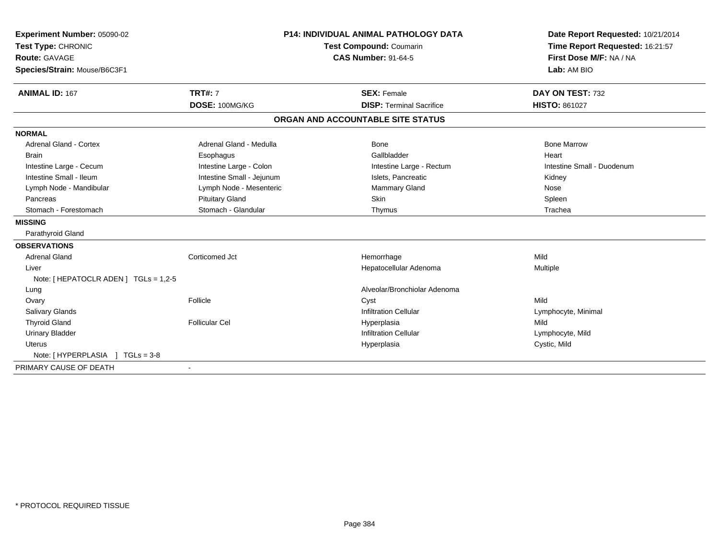| Experiment Number: 05090-02           |                           | <b>P14: INDIVIDUAL ANIMAL PATHOLOGY DATA</b> |                                   |  | Date Report Requested: 10/21/2014 |
|---------------------------------------|---------------------------|----------------------------------------------|-----------------------------------|--|-----------------------------------|
| Test Type: CHRONIC                    |                           | Test Compound: Coumarin                      |                                   |  | Time Report Requested: 16:21:57   |
| <b>Route: GAVAGE</b>                  |                           |                                              | <b>CAS Number: 91-64-5</b>        |  | First Dose M/F: NA / NA           |
| Species/Strain: Mouse/B6C3F1          |                           |                                              |                                   |  | Lab: AM BIO                       |
| <b>ANIMAL ID: 167</b>                 | <b>TRT#: 7</b>            |                                              | <b>SEX: Female</b>                |  | DAY ON TEST: 732                  |
|                                       | DOSE: 100MG/KG            |                                              | <b>DISP: Terminal Sacrifice</b>   |  | <b>HISTO: 861027</b>              |
|                                       |                           |                                              | ORGAN AND ACCOUNTABLE SITE STATUS |  |                                   |
| <b>NORMAL</b>                         |                           |                                              |                                   |  |                                   |
| <b>Adrenal Gland - Cortex</b>         | Adrenal Gland - Medulla   |                                              | Bone                              |  | <b>Bone Marrow</b>                |
| <b>Brain</b>                          | Esophagus                 |                                              | Gallbladder                       |  | Heart                             |
| Intestine Large - Cecum               | Intestine Large - Colon   |                                              | Intestine Large - Rectum          |  | Intestine Small - Duodenum        |
| Intestine Small - Ileum               | Intestine Small - Jejunum |                                              | Islets, Pancreatic                |  | Kidney                            |
| Lymph Node - Mandibular               | Lymph Node - Mesenteric   |                                              | <b>Mammary Gland</b>              |  | Nose                              |
| Pancreas                              | <b>Pituitary Gland</b>    |                                              | Skin                              |  | Spleen                            |
| Stomach - Forestomach                 | Stomach - Glandular       |                                              | Thymus                            |  | Trachea                           |
| <b>MISSING</b>                        |                           |                                              |                                   |  |                                   |
| Parathyroid Gland                     |                           |                                              |                                   |  |                                   |
| <b>OBSERVATIONS</b>                   |                           |                                              |                                   |  |                                   |
| <b>Adrenal Gland</b>                  | Corticomed Jct            |                                              | Hemorrhage                        |  | Mild                              |
| Liver                                 |                           |                                              | Hepatocellular Adenoma            |  | Multiple                          |
| Note: [ HEPATOCLR ADEN ] TGLs = 1,2-5 |                           |                                              |                                   |  |                                   |
| Lung                                  |                           |                                              | Alveolar/Bronchiolar Adenoma      |  |                                   |
| Ovary                                 | Follicle                  |                                              | Cyst                              |  | Mild                              |
| Salivary Glands                       |                           |                                              | <b>Infiltration Cellular</b>      |  | Lymphocyte, Minimal               |
| <b>Thyroid Gland</b>                  | <b>Follicular Cel</b>     |                                              | Hyperplasia                       |  | Mild                              |
| <b>Urinary Bladder</b>                |                           |                                              | <b>Infiltration Cellular</b>      |  | Lymphocyte, Mild                  |
| <b>Uterus</b>                         |                           |                                              | Hyperplasia                       |  | Cystic, Mild                      |
| Note: [HYPERPLASIA ] TGLs = 3-8       |                           |                                              |                                   |  |                                   |
| PRIMARY CAUSE OF DEATH                | $\overline{\phantom{a}}$  |                                              |                                   |  |                                   |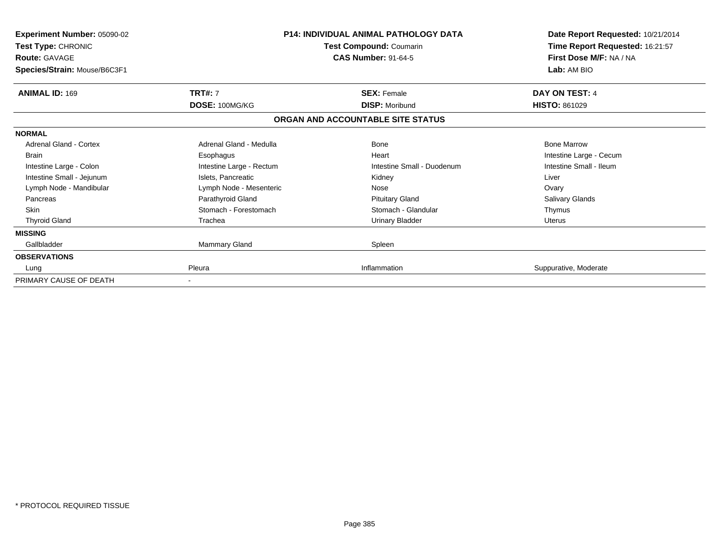| <b>Experiment Number: 05090-02</b><br>Test Type: CHRONIC<br><b>Route: GAVAGE</b><br>Species/Strain: Mouse/B6C3F1 |                          | <b>P14: INDIVIDUAL ANIMAL PATHOLOGY DATA</b><br>Test Compound: Coumarin<br><b>CAS Number: 91-64-5</b> | Date Report Requested: 10/21/2014<br>Time Report Requested: 16:21:57<br>First Dose M/F: NA / NA<br>Lab: AM BIO |
|------------------------------------------------------------------------------------------------------------------|--------------------------|-------------------------------------------------------------------------------------------------------|----------------------------------------------------------------------------------------------------------------|
| <b>ANIMAL ID: 169</b>                                                                                            | <b>TRT#: 7</b>           | <b>SEX: Female</b>                                                                                    | DAY ON TEST: 4                                                                                                 |
|                                                                                                                  | DOSE: 100MG/KG           | <b>DISP: Moribund</b>                                                                                 | <b>HISTO: 861029</b>                                                                                           |
|                                                                                                                  |                          | ORGAN AND ACCOUNTABLE SITE STATUS                                                                     |                                                                                                                |
| <b>NORMAL</b>                                                                                                    |                          |                                                                                                       |                                                                                                                |
| Adrenal Gland - Cortex                                                                                           | Adrenal Gland - Medulla  | Bone                                                                                                  | <b>Bone Marrow</b>                                                                                             |
| <b>Brain</b>                                                                                                     | Esophagus                | Heart                                                                                                 | Intestine Large - Cecum                                                                                        |
| Intestine Large - Colon                                                                                          | Intestine Large - Rectum | Intestine Small - Duodenum                                                                            | Intestine Small - Ileum                                                                                        |
| Intestine Small - Jejunum                                                                                        | Islets, Pancreatic       | Kidney                                                                                                | Liver                                                                                                          |
| Lymph Node - Mandibular                                                                                          | Lymph Node - Mesenteric  | Nose                                                                                                  | Ovary                                                                                                          |
| Pancreas                                                                                                         | Parathyroid Gland        | <b>Pituitary Gland</b>                                                                                | <b>Salivary Glands</b>                                                                                         |
| <b>Skin</b>                                                                                                      | Stomach - Forestomach    | Stomach - Glandular                                                                                   | Thymus                                                                                                         |
| <b>Thyroid Gland</b>                                                                                             | Trachea                  | <b>Urinary Bladder</b>                                                                                | <b>Uterus</b>                                                                                                  |
| <b>MISSING</b>                                                                                                   |                          |                                                                                                       |                                                                                                                |
| Gallbladder                                                                                                      | <b>Mammary Gland</b>     | Spleen                                                                                                |                                                                                                                |
| <b>OBSERVATIONS</b>                                                                                              |                          |                                                                                                       |                                                                                                                |
| Lung                                                                                                             | Pleura                   | Inflammation                                                                                          | Suppurative, Moderate                                                                                          |
| PRIMARY CAUSE OF DEATH                                                                                           |                          |                                                                                                       |                                                                                                                |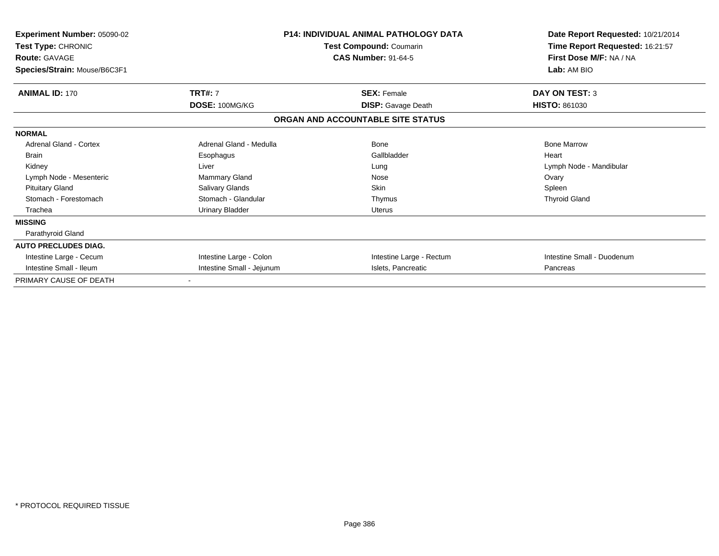| <b>Experiment Number: 05090-02</b><br>Test Type: CHRONIC<br><b>Route: GAVAGE</b><br>Species/Strain: Mouse/B6C3F1 |                           | <b>P14: INDIVIDUAL ANIMAL PATHOLOGY DATA</b><br>Test Compound: Coumarin<br><b>CAS Number: 91-64-5</b> | Date Report Requested: 10/21/2014<br>Time Report Requested: 16:21:57<br>First Dose M/F: NA / NA<br>Lab: AM BIO |
|------------------------------------------------------------------------------------------------------------------|---------------------------|-------------------------------------------------------------------------------------------------------|----------------------------------------------------------------------------------------------------------------|
| <b>ANIMAL ID: 170</b>                                                                                            | <b>TRT#: 7</b>            | <b>SEX: Female</b>                                                                                    | <b>DAY ON TEST: 3</b>                                                                                          |
|                                                                                                                  | DOSE: 100MG/KG            | <b>DISP:</b> Gavage Death                                                                             | <b>HISTO: 861030</b>                                                                                           |
|                                                                                                                  |                           | ORGAN AND ACCOUNTABLE SITE STATUS                                                                     |                                                                                                                |
| <b>NORMAL</b>                                                                                                    |                           |                                                                                                       |                                                                                                                |
| <b>Adrenal Gland - Cortex</b>                                                                                    | Adrenal Gland - Medulla   | Bone                                                                                                  | <b>Bone Marrow</b>                                                                                             |
| <b>Brain</b>                                                                                                     | Esophagus                 | Gallbladder                                                                                           | Heart                                                                                                          |
| Kidney                                                                                                           | Liver                     | Lung                                                                                                  | Lymph Node - Mandibular                                                                                        |
| Lymph Node - Mesenteric                                                                                          | Mammary Gland             | Nose                                                                                                  | Ovary                                                                                                          |
| <b>Pituitary Gland</b>                                                                                           | Salivary Glands           | <b>Skin</b>                                                                                           | Spleen                                                                                                         |
| Stomach - Forestomach                                                                                            | Stomach - Glandular       | Thymus                                                                                                | <b>Thyroid Gland</b>                                                                                           |
| Trachea                                                                                                          | <b>Urinary Bladder</b>    | <b>Uterus</b>                                                                                         |                                                                                                                |
| <b>MISSING</b>                                                                                                   |                           |                                                                                                       |                                                                                                                |
| Parathyroid Gland                                                                                                |                           |                                                                                                       |                                                                                                                |
| <b>AUTO PRECLUDES DIAG.</b>                                                                                      |                           |                                                                                                       |                                                                                                                |
| Intestine Large - Cecum                                                                                          | Intestine Large - Colon   | Intestine Large - Rectum                                                                              | Intestine Small - Duodenum                                                                                     |
| Intestine Small - Ileum                                                                                          | Intestine Small - Jejunum | Islets, Pancreatic                                                                                    | Pancreas                                                                                                       |
| PRIMARY CAUSE OF DEATH                                                                                           |                           |                                                                                                       |                                                                                                                |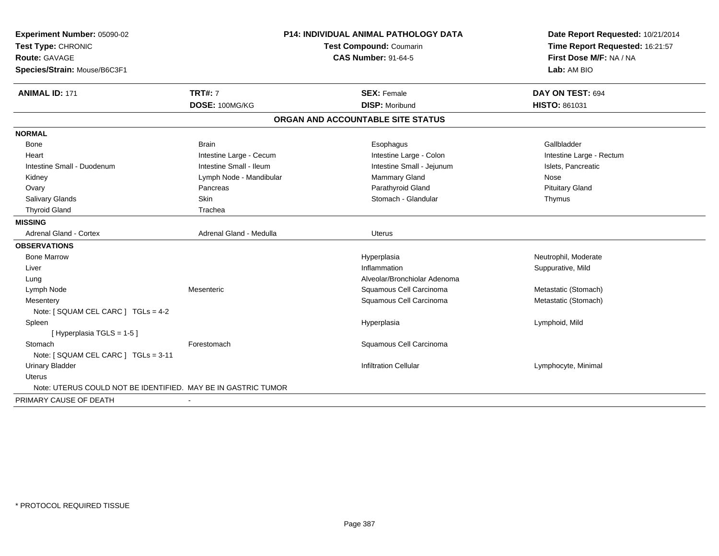| Experiment Number: 05090-02                                   | P14: INDIVIDUAL ANIMAL PATHOLOGY DATA<br>Test Compound: Coumarin |                                   | Date Report Requested: 10/21/2014 |
|---------------------------------------------------------------|------------------------------------------------------------------|-----------------------------------|-----------------------------------|
| Test Type: CHRONIC                                            |                                                                  |                                   | Time Report Requested: 16:21:57   |
| <b>Route: GAVAGE</b>                                          |                                                                  | <b>CAS Number: 91-64-5</b>        | First Dose M/F: NA / NA           |
| Species/Strain: Mouse/B6C3F1                                  |                                                                  |                                   | Lab: AM BIO                       |
| <b>ANIMAL ID: 171</b>                                         | <b>TRT#: 7</b>                                                   | <b>SEX: Female</b>                | DAY ON TEST: 694                  |
|                                                               | DOSE: 100MG/KG                                                   | <b>DISP: Moribund</b>             | HISTO: 861031                     |
|                                                               |                                                                  | ORGAN AND ACCOUNTABLE SITE STATUS |                                   |
| <b>NORMAL</b>                                                 |                                                                  |                                   |                                   |
| Bone                                                          | <b>Brain</b>                                                     | Esophagus                         | Gallbladder                       |
| Heart                                                         | Intestine Large - Cecum                                          | Intestine Large - Colon           | Intestine Large - Rectum          |
| Intestine Small - Duodenum                                    | Intestine Small - Ileum                                          | Intestine Small - Jejunum         | Islets, Pancreatic                |
| Kidney                                                        | Lymph Node - Mandibular                                          | Mammary Gland                     | Nose                              |
| Ovary                                                         | Pancreas                                                         | Parathyroid Gland                 | <b>Pituitary Gland</b>            |
| Salivary Glands                                               | Skin                                                             | Stomach - Glandular               | Thymus                            |
| <b>Thyroid Gland</b>                                          | Trachea                                                          |                                   |                                   |
| <b>MISSING</b>                                                |                                                                  |                                   |                                   |
| <b>Adrenal Gland - Cortex</b>                                 | Adrenal Gland - Medulla                                          | Uterus                            |                                   |
| <b>OBSERVATIONS</b>                                           |                                                                  |                                   |                                   |
| <b>Bone Marrow</b>                                            |                                                                  | Hyperplasia                       | Neutrophil, Moderate              |
| Liver                                                         |                                                                  | Inflammation                      | Suppurative, Mild                 |
| Lung                                                          |                                                                  | Alveolar/Bronchiolar Adenoma      |                                   |
| Lymph Node                                                    | Mesenteric                                                       | Squamous Cell Carcinoma           | Metastatic (Stomach)              |
| Mesentery                                                     |                                                                  | Squamous Cell Carcinoma           | Metastatic (Stomach)              |
| Note: [ SQUAM CEL CARC ] TGLs = 4-2                           |                                                                  |                                   |                                   |
| Spleen                                                        |                                                                  | Hyperplasia                       | Lymphoid, Mild                    |
| [Hyperplasia TGLS = 1-5]                                      |                                                                  |                                   |                                   |
| Stomach                                                       | Forestomach                                                      | Squamous Cell Carcinoma           |                                   |
| Note: [ SQUAM CEL CARC ] TGLs = 3-11                          |                                                                  |                                   |                                   |
| <b>Urinary Bladder</b>                                        |                                                                  | <b>Infiltration Cellular</b>      | Lymphocyte, Minimal               |
| <b>Uterus</b>                                                 |                                                                  |                                   |                                   |
| Note: UTERUS COULD NOT BE IDENTIFIED. MAY BE IN GASTRIC TUMOR |                                                                  |                                   |                                   |
| PRIMARY CAUSE OF DEATH                                        | $\blacksquare$                                                   |                                   |                                   |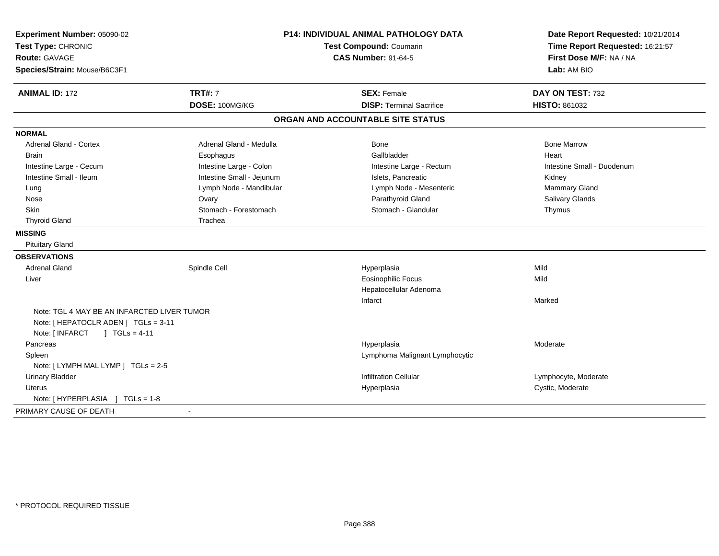| Experiment Number: 05090-02<br>Test Type: CHRONIC<br>Route: GAVAGE | P14: INDIVIDUAL ANIMAL PATHOLOGY DATA<br>Test Compound: Coumarin<br><b>CAS Number: 91-64-5</b> |                                   | Date Report Requested: 10/21/2014<br>Time Report Requested: 16:21:57<br>First Dose M/F: NA / NA |  |
|--------------------------------------------------------------------|------------------------------------------------------------------------------------------------|-----------------------------------|-------------------------------------------------------------------------------------------------|--|
| Species/Strain: Mouse/B6C3F1                                       |                                                                                                |                                   | Lab: AM BIO                                                                                     |  |
| <b>ANIMAL ID: 172</b>                                              | <b>TRT#: 7</b>                                                                                 | <b>SEX: Female</b>                | DAY ON TEST: 732                                                                                |  |
|                                                                    | DOSE: 100MG/KG                                                                                 | <b>DISP: Terminal Sacrifice</b>   | HISTO: 861032                                                                                   |  |
|                                                                    |                                                                                                | ORGAN AND ACCOUNTABLE SITE STATUS |                                                                                                 |  |
| <b>NORMAL</b>                                                      |                                                                                                |                                   |                                                                                                 |  |
| <b>Adrenal Gland - Cortex</b>                                      | Adrenal Gland - Medulla                                                                        | Bone                              | <b>Bone Marrow</b>                                                                              |  |
| <b>Brain</b>                                                       | Esophagus                                                                                      | Gallbladder                       | Heart                                                                                           |  |
| Intestine Large - Cecum                                            | Intestine Large - Colon                                                                        | Intestine Large - Rectum          | Intestine Small - Duodenum                                                                      |  |
| Intestine Small - Ileum                                            | Intestine Small - Jejunum                                                                      | Islets, Pancreatic                | Kidney                                                                                          |  |
| Lung                                                               | Lymph Node - Mandibular                                                                        | Lymph Node - Mesenteric           | Mammary Gland                                                                                   |  |
| Nose                                                               | Ovary                                                                                          | Parathyroid Gland                 | Salivary Glands                                                                                 |  |
| Skin                                                               | Stomach - Forestomach                                                                          | Stomach - Glandular               | Thymus                                                                                          |  |
| <b>Thyroid Gland</b>                                               | Trachea                                                                                        |                                   |                                                                                                 |  |
| <b>MISSING</b>                                                     |                                                                                                |                                   |                                                                                                 |  |
| <b>Pituitary Gland</b>                                             |                                                                                                |                                   |                                                                                                 |  |
| <b>OBSERVATIONS</b>                                                |                                                                                                |                                   |                                                                                                 |  |
| <b>Adrenal Gland</b>                                               | Spindle Cell                                                                                   | Hyperplasia                       | Mild                                                                                            |  |
| Liver                                                              |                                                                                                | <b>Eosinophilic Focus</b>         | Mild                                                                                            |  |
|                                                                    |                                                                                                | Hepatocellular Adenoma            |                                                                                                 |  |
|                                                                    |                                                                                                | Infarct                           | Marked                                                                                          |  |
| Note: TGL 4 MAY BE AN INFARCTED LIVER TUMOR                        |                                                                                                |                                   |                                                                                                 |  |
| Note: [ HEPATOCLR ADEN ] TGLs = 3-11                               |                                                                                                |                                   |                                                                                                 |  |
| Note: [ INFARCT<br>] $TGLs = 4-11$                                 |                                                                                                |                                   |                                                                                                 |  |
| Pancreas                                                           |                                                                                                | Hyperplasia                       | Moderate                                                                                        |  |
| Spleen                                                             |                                                                                                | Lymphoma Malignant Lymphocytic    |                                                                                                 |  |
| Note: [LYMPH MAL LYMP ] TGLs = 2-5                                 |                                                                                                |                                   |                                                                                                 |  |
| <b>Urinary Bladder</b>                                             |                                                                                                | <b>Infiltration Cellular</b>      | Lymphocyte, Moderate                                                                            |  |
| <b>Uterus</b>                                                      |                                                                                                | Hyperplasia                       | Cystic, Moderate                                                                                |  |
|                                                                    |                                                                                                |                                   |                                                                                                 |  |
| PRIMARY CAUSE OF DEATH                                             |                                                                                                |                                   |                                                                                                 |  |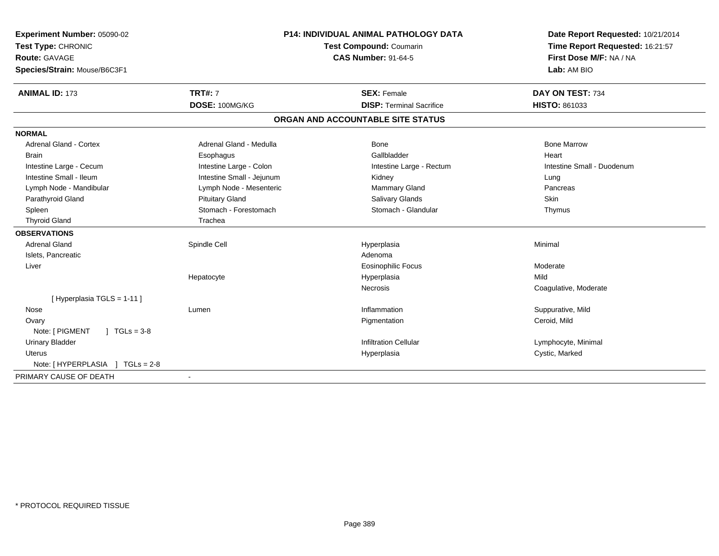| Experiment Number: 05090-02<br>Test Type: CHRONIC | <b>P14: INDIVIDUAL ANIMAL PATHOLOGY DATA</b><br>Test Compound: Coumarin |                                   | Date Report Requested: 10/21/2014<br>Time Report Requested: 16:21:57 |  |
|---------------------------------------------------|-------------------------------------------------------------------------|-----------------------------------|----------------------------------------------------------------------|--|
| Route: GAVAGE<br>Species/Strain: Mouse/B6C3F1     |                                                                         | <b>CAS Number: 91-64-5</b>        | First Dose M/F: NA / NA<br>Lab: AM BIO                               |  |
| <b>ANIMAL ID: 173</b>                             | <b>TRT#: 7</b>                                                          | <b>SEX: Female</b>                | DAY ON TEST: 734                                                     |  |
|                                                   | DOSE: 100MG/KG                                                          | <b>DISP: Terminal Sacrifice</b>   | <b>HISTO: 861033</b>                                                 |  |
|                                                   |                                                                         | ORGAN AND ACCOUNTABLE SITE STATUS |                                                                      |  |
| <b>NORMAL</b>                                     |                                                                         |                                   |                                                                      |  |
| <b>Adrenal Gland - Cortex</b>                     | Adrenal Gland - Medulla                                                 | Bone                              | <b>Bone Marrow</b>                                                   |  |
| <b>Brain</b>                                      | Esophagus                                                               | Gallbladder                       | Heart                                                                |  |
| Intestine Large - Cecum                           | Intestine Large - Colon                                                 | Intestine Large - Rectum          | Intestine Small - Duodenum                                           |  |
| Intestine Small - Ileum                           | Intestine Small - Jejunum                                               | Kidney                            | Lung                                                                 |  |
| Lymph Node - Mandibular                           | Lymph Node - Mesenteric                                                 | <b>Mammary Gland</b>              | Pancreas                                                             |  |
| Parathyroid Gland                                 | <b>Pituitary Gland</b>                                                  | Salivary Glands                   | Skin                                                                 |  |
| Spleen                                            | Stomach - Forestomach                                                   | Stomach - Glandular               | Thymus                                                               |  |
| <b>Thyroid Gland</b>                              | Trachea                                                                 |                                   |                                                                      |  |
| <b>OBSERVATIONS</b>                               |                                                                         |                                   |                                                                      |  |
| <b>Adrenal Gland</b>                              | Spindle Cell                                                            | Hyperplasia                       | Minimal                                                              |  |
| Islets, Pancreatic                                |                                                                         | Adenoma                           |                                                                      |  |
| Liver                                             |                                                                         | Eosinophilic Focus                | Moderate                                                             |  |
|                                                   | Hepatocyte                                                              | Hyperplasia                       | Mild                                                                 |  |
|                                                   |                                                                         | Necrosis                          | Coagulative, Moderate                                                |  |
| [Hyperplasia TGLS = 1-11]                         |                                                                         |                                   |                                                                      |  |
| Nose                                              | Lumen                                                                   | Inflammation                      | Suppurative, Mild                                                    |  |
| Ovary                                             |                                                                         | Pigmentation                      | Ceroid, Mild                                                         |  |
| Note: [ PIGMENT<br>$\sqrt{ }$ TGLs = 3-8          |                                                                         |                                   |                                                                      |  |
| <b>Urinary Bladder</b>                            |                                                                         | <b>Infiltration Cellular</b>      | Lymphocyte, Minimal                                                  |  |
| Uterus                                            |                                                                         | Hyperplasia                       | Cystic, Marked                                                       |  |
| Note: [HYPERPLASIA ] TGLs = 2-8                   |                                                                         |                                   |                                                                      |  |
| PRIMARY CAUSE OF DEATH                            | $\blacksquare$                                                          |                                   |                                                                      |  |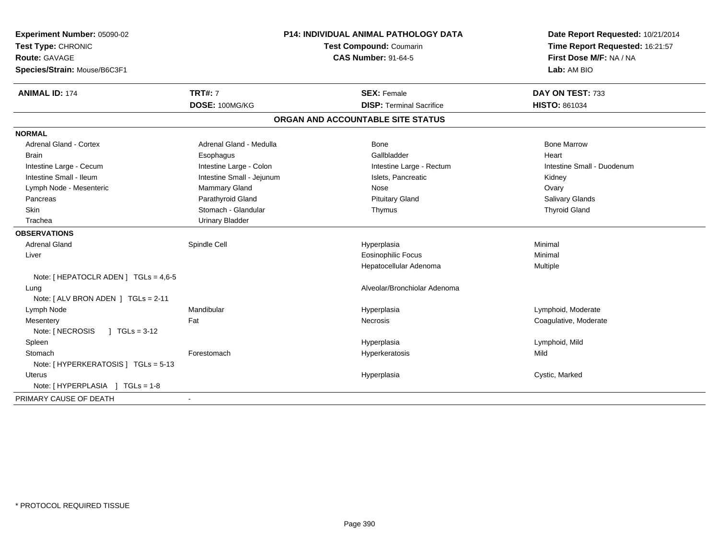| <b>CAS Number: 91-64-5</b><br>First Dose M/F: NA / NA<br><b>Route: GAVAGE</b><br>Species/Strain: Mouse/B6C3F1<br>Lab: AM BIO<br><b>ANIMAL ID: 174</b><br><b>TRT#: 7</b><br><b>SEX: Female</b><br>DAY ON TEST: 733<br>DOSE: 100MG/KG<br><b>DISP: Terminal Sacrifice</b><br>HISTO: 861034<br>ORGAN AND ACCOUNTABLE SITE STATUS<br><b>Adrenal Gland - Cortex</b><br>Adrenal Gland - Medulla<br><b>Bone Marrow</b><br>Bone<br>Gallbladder<br><b>Brain</b><br>Esophagus<br>Heart<br>Intestine Large - Colon<br>Intestine Large - Rectum<br>Intestine Small - Duodenum<br>Intestine Large - Cecum<br>Intestine Small - Ileum<br>Intestine Small - Jejunum<br>Islets, Pancreatic<br>Kidney<br>Lymph Node - Mesenteric<br>Mammary Gland<br>Nose<br>Ovary<br>Parathyroid Gland<br><b>Pituitary Gland</b><br>Salivary Glands<br>Pancreas<br>Stomach - Glandular<br>Skin<br><b>Thyroid Gland</b><br>Thymus<br><b>Urinary Bladder</b><br>Trachea<br><b>OBSERVATIONS</b><br><b>Adrenal Gland</b><br>Spindle Cell<br>Minimal<br>Hyperplasia<br><b>Eosinophilic Focus</b><br>Liver<br>Minimal<br>Hepatocellular Adenoma<br>Multiple<br>Note: [ HEPATOCLR ADEN ] TGLs = 4,6-5<br>Alveolar/Bronchiolar Adenoma<br>Lung<br>Note: [ ALV BRON ADEN ] TGLs = 2-11<br>Mandibular<br>Lymphoid, Moderate<br>Lymph Node<br>Hyperplasia<br>Fat<br>Coagulative, Moderate<br>Mesentery<br><b>Necrosis</b><br>Note: [ NECROSIS<br>$1 TGLs = 3-12$<br>Spleen<br>Lymphoid, Mild<br>Hyperplasia<br>Forestomach<br>Mild<br>Stomach<br>Hyperkeratosis<br>Note: [ HYPERKERATOSIS ] TGLs = 5-13<br>Cystic, Marked<br><b>Uterus</b><br>Hyperplasia<br>Note: [HYPERPLASIA ] TGLs = 1-8<br>PRIMARY CAUSE OF DEATH<br>$\sim$ | Experiment Number: 05090-02<br>Test Type: CHRONIC | P14: INDIVIDUAL ANIMAL PATHOLOGY DATA<br>Test Compound: Coumarin |  | Date Report Requested: 10/21/2014<br>Time Report Requested: 16:21:57 |
|--------------------------------------------------------------------------------------------------------------------------------------------------------------------------------------------------------------------------------------------------------------------------------------------------------------------------------------------------------------------------------------------------------------------------------------------------------------------------------------------------------------------------------------------------------------------------------------------------------------------------------------------------------------------------------------------------------------------------------------------------------------------------------------------------------------------------------------------------------------------------------------------------------------------------------------------------------------------------------------------------------------------------------------------------------------------------------------------------------------------------------------------------------------------------------------------------------------------------------------------------------------------------------------------------------------------------------------------------------------------------------------------------------------------------------------------------------------------------------------------------------------------------------------------------------------------------------------------------------------------------------------------------------------------------------------|---------------------------------------------------|------------------------------------------------------------------|--|----------------------------------------------------------------------|
|                                                                                                                                                                                                                                                                                                                                                                                                                                                                                                                                                                                                                                                                                                                                                                                                                                                                                                                                                                                                                                                                                                                                                                                                                                                                                                                                                                                                                                                                                                                                                                                                                                                                                      |                                                   |                                                                  |  |                                                                      |
|                                                                                                                                                                                                                                                                                                                                                                                                                                                                                                                                                                                                                                                                                                                                                                                                                                                                                                                                                                                                                                                                                                                                                                                                                                                                                                                                                                                                                                                                                                                                                                                                                                                                                      |                                                   |                                                                  |  |                                                                      |
|                                                                                                                                                                                                                                                                                                                                                                                                                                                                                                                                                                                                                                                                                                                                                                                                                                                                                                                                                                                                                                                                                                                                                                                                                                                                                                                                                                                                                                                                                                                                                                                                                                                                                      |                                                   |                                                                  |  |                                                                      |
|                                                                                                                                                                                                                                                                                                                                                                                                                                                                                                                                                                                                                                                                                                                                                                                                                                                                                                                                                                                                                                                                                                                                                                                                                                                                                                                                                                                                                                                                                                                                                                                                                                                                                      |                                                   |                                                                  |  |                                                                      |
|                                                                                                                                                                                                                                                                                                                                                                                                                                                                                                                                                                                                                                                                                                                                                                                                                                                                                                                                                                                                                                                                                                                                                                                                                                                                                                                                                                                                                                                                                                                                                                                                                                                                                      |                                                   |                                                                  |  |                                                                      |
|                                                                                                                                                                                                                                                                                                                                                                                                                                                                                                                                                                                                                                                                                                                                                                                                                                                                                                                                                                                                                                                                                                                                                                                                                                                                                                                                                                                                                                                                                                                                                                                                                                                                                      | <b>NORMAL</b>                                     |                                                                  |  |                                                                      |
|                                                                                                                                                                                                                                                                                                                                                                                                                                                                                                                                                                                                                                                                                                                                                                                                                                                                                                                                                                                                                                                                                                                                                                                                                                                                                                                                                                                                                                                                                                                                                                                                                                                                                      |                                                   |                                                                  |  |                                                                      |
|                                                                                                                                                                                                                                                                                                                                                                                                                                                                                                                                                                                                                                                                                                                                                                                                                                                                                                                                                                                                                                                                                                                                                                                                                                                                                                                                                                                                                                                                                                                                                                                                                                                                                      |                                                   |                                                                  |  |                                                                      |
|                                                                                                                                                                                                                                                                                                                                                                                                                                                                                                                                                                                                                                                                                                                                                                                                                                                                                                                                                                                                                                                                                                                                                                                                                                                                                                                                                                                                                                                                                                                                                                                                                                                                                      |                                                   |                                                                  |  |                                                                      |
|                                                                                                                                                                                                                                                                                                                                                                                                                                                                                                                                                                                                                                                                                                                                                                                                                                                                                                                                                                                                                                                                                                                                                                                                                                                                                                                                                                                                                                                                                                                                                                                                                                                                                      |                                                   |                                                                  |  |                                                                      |
|                                                                                                                                                                                                                                                                                                                                                                                                                                                                                                                                                                                                                                                                                                                                                                                                                                                                                                                                                                                                                                                                                                                                                                                                                                                                                                                                                                                                                                                                                                                                                                                                                                                                                      |                                                   |                                                                  |  |                                                                      |
|                                                                                                                                                                                                                                                                                                                                                                                                                                                                                                                                                                                                                                                                                                                                                                                                                                                                                                                                                                                                                                                                                                                                                                                                                                                                                                                                                                                                                                                                                                                                                                                                                                                                                      |                                                   |                                                                  |  |                                                                      |
|                                                                                                                                                                                                                                                                                                                                                                                                                                                                                                                                                                                                                                                                                                                                                                                                                                                                                                                                                                                                                                                                                                                                                                                                                                                                                                                                                                                                                                                                                                                                                                                                                                                                                      |                                                   |                                                                  |  |                                                                      |
|                                                                                                                                                                                                                                                                                                                                                                                                                                                                                                                                                                                                                                                                                                                                                                                                                                                                                                                                                                                                                                                                                                                                                                                                                                                                                                                                                                                                                                                                                                                                                                                                                                                                                      |                                                   |                                                                  |  |                                                                      |
|                                                                                                                                                                                                                                                                                                                                                                                                                                                                                                                                                                                                                                                                                                                                                                                                                                                                                                                                                                                                                                                                                                                                                                                                                                                                                                                                                                                                                                                                                                                                                                                                                                                                                      |                                                   |                                                                  |  |                                                                      |
|                                                                                                                                                                                                                                                                                                                                                                                                                                                                                                                                                                                                                                                                                                                                                                                                                                                                                                                                                                                                                                                                                                                                                                                                                                                                                                                                                                                                                                                                                                                                                                                                                                                                                      |                                                   |                                                                  |  |                                                                      |
|                                                                                                                                                                                                                                                                                                                                                                                                                                                                                                                                                                                                                                                                                                                                                                                                                                                                                                                                                                                                                                                                                                                                                                                                                                                                                                                                                                                                                                                                                                                                                                                                                                                                                      |                                                   |                                                                  |  |                                                                      |
|                                                                                                                                                                                                                                                                                                                                                                                                                                                                                                                                                                                                                                                                                                                                                                                                                                                                                                                                                                                                                                                                                                                                                                                                                                                                                                                                                                                                                                                                                                                                                                                                                                                                                      |                                                   |                                                                  |  |                                                                      |
|                                                                                                                                                                                                                                                                                                                                                                                                                                                                                                                                                                                                                                                                                                                                                                                                                                                                                                                                                                                                                                                                                                                                                                                                                                                                                                                                                                                                                                                                                                                                                                                                                                                                                      |                                                   |                                                                  |  |                                                                      |
|                                                                                                                                                                                                                                                                                                                                                                                                                                                                                                                                                                                                                                                                                                                                                                                                                                                                                                                                                                                                                                                                                                                                                                                                                                                                                                                                                                                                                                                                                                                                                                                                                                                                                      |                                                   |                                                                  |  |                                                                      |
|                                                                                                                                                                                                                                                                                                                                                                                                                                                                                                                                                                                                                                                                                                                                                                                                                                                                                                                                                                                                                                                                                                                                                                                                                                                                                                                                                                                                                                                                                                                                                                                                                                                                                      |                                                   |                                                                  |  |                                                                      |
|                                                                                                                                                                                                                                                                                                                                                                                                                                                                                                                                                                                                                                                                                                                                                                                                                                                                                                                                                                                                                                                                                                                                                                                                                                                                                                                                                                                                                                                                                                                                                                                                                                                                                      |                                                   |                                                                  |  |                                                                      |
|                                                                                                                                                                                                                                                                                                                                                                                                                                                                                                                                                                                                                                                                                                                                                                                                                                                                                                                                                                                                                                                                                                                                                                                                                                                                                                                                                                                                                                                                                                                                                                                                                                                                                      |                                                   |                                                                  |  |                                                                      |
|                                                                                                                                                                                                                                                                                                                                                                                                                                                                                                                                                                                                                                                                                                                                                                                                                                                                                                                                                                                                                                                                                                                                                                                                                                                                                                                                                                                                                                                                                                                                                                                                                                                                                      |                                                   |                                                                  |  |                                                                      |
|                                                                                                                                                                                                                                                                                                                                                                                                                                                                                                                                                                                                                                                                                                                                                                                                                                                                                                                                                                                                                                                                                                                                                                                                                                                                                                                                                                                                                                                                                                                                                                                                                                                                                      |                                                   |                                                                  |  |                                                                      |
|                                                                                                                                                                                                                                                                                                                                                                                                                                                                                                                                                                                                                                                                                                                                                                                                                                                                                                                                                                                                                                                                                                                                                                                                                                                                                                                                                                                                                                                                                                                                                                                                                                                                                      |                                                   |                                                                  |  |                                                                      |
|                                                                                                                                                                                                                                                                                                                                                                                                                                                                                                                                                                                                                                                                                                                                                                                                                                                                                                                                                                                                                                                                                                                                                                                                                                                                                                                                                                                                                                                                                                                                                                                                                                                                                      |                                                   |                                                                  |  |                                                                      |
|                                                                                                                                                                                                                                                                                                                                                                                                                                                                                                                                                                                                                                                                                                                                                                                                                                                                                                                                                                                                                                                                                                                                                                                                                                                                                                                                                                                                                                                                                                                                                                                                                                                                                      |                                                   |                                                                  |  |                                                                      |
|                                                                                                                                                                                                                                                                                                                                                                                                                                                                                                                                                                                                                                                                                                                                                                                                                                                                                                                                                                                                                                                                                                                                                                                                                                                                                                                                                                                                                                                                                                                                                                                                                                                                                      |                                                   |                                                                  |  |                                                                      |
|                                                                                                                                                                                                                                                                                                                                                                                                                                                                                                                                                                                                                                                                                                                                                                                                                                                                                                                                                                                                                                                                                                                                                                                                                                                                                                                                                                                                                                                                                                                                                                                                                                                                                      |                                                   |                                                                  |  |                                                                      |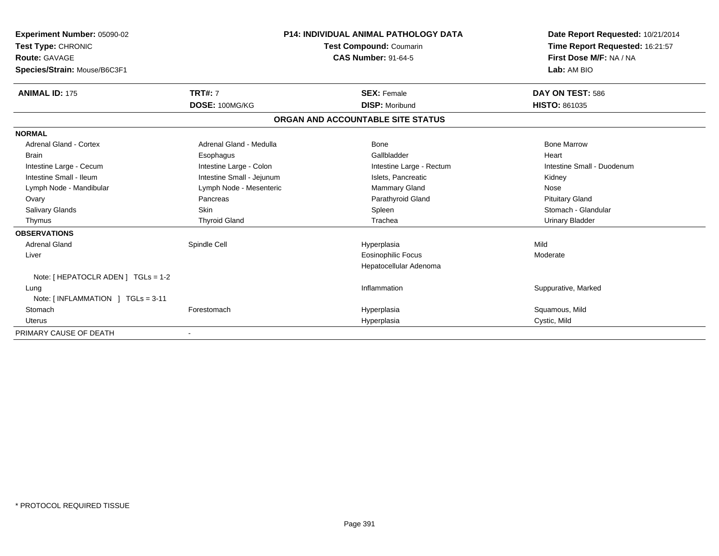| <b>Experiment Number: 05090-02</b><br>Test Type: CHRONIC<br><b>Route: GAVAGE</b> |                           | <b>P14: INDIVIDUAL ANIMAL PATHOLOGY DATA</b><br><b>Test Compound: Coumarin</b><br><b>CAS Number: 91-64-5</b> | Date Report Requested: 10/21/2014<br>Time Report Requested: 16:21:57<br>First Dose M/F: NA / NA |
|----------------------------------------------------------------------------------|---------------------------|--------------------------------------------------------------------------------------------------------------|-------------------------------------------------------------------------------------------------|
| Species/Strain: Mouse/B6C3F1                                                     |                           |                                                                                                              | Lab: AM BIO                                                                                     |
| <b>ANIMAL ID: 175</b>                                                            | <b>TRT#: 7</b>            | <b>SEX: Female</b>                                                                                           | DAY ON TEST: 586                                                                                |
|                                                                                  | DOSE: 100MG/KG            | <b>DISP: Moribund</b>                                                                                        | <b>HISTO: 861035</b>                                                                            |
|                                                                                  |                           | ORGAN AND ACCOUNTABLE SITE STATUS                                                                            |                                                                                                 |
| <b>NORMAL</b>                                                                    |                           |                                                                                                              |                                                                                                 |
| <b>Adrenal Gland - Cortex</b>                                                    | Adrenal Gland - Medulla   | Bone                                                                                                         | <b>Bone Marrow</b>                                                                              |
| <b>Brain</b>                                                                     | Esophagus                 | Gallbladder                                                                                                  | Heart                                                                                           |
| Intestine Large - Cecum                                                          | Intestine Large - Colon   | Intestine Large - Rectum                                                                                     | Intestine Small - Duodenum                                                                      |
| Intestine Small - Ileum                                                          | Intestine Small - Jejunum | Islets, Pancreatic                                                                                           | Kidney                                                                                          |
| Lymph Node - Mandibular                                                          | Lymph Node - Mesenteric   | Mammary Gland                                                                                                | Nose                                                                                            |
| Ovary                                                                            | Pancreas                  | Parathyroid Gland                                                                                            | <b>Pituitary Gland</b>                                                                          |
| Salivary Glands                                                                  | <b>Skin</b>               | Spleen                                                                                                       | Stomach - Glandular                                                                             |
| Thymus                                                                           | <b>Thyroid Gland</b>      | Trachea                                                                                                      | <b>Urinary Bladder</b>                                                                          |
| <b>OBSERVATIONS</b>                                                              |                           |                                                                                                              |                                                                                                 |
| Adrenal Gland                                                                    | Spindle Cell              | Hyperplasia                                                                                                  | Mild                                                                                            |
| Liver                                                                            |                           | <b>Eosinophilic Focus</b>                                                                                    | Moderate                                                                                        |
|                                                                                  |                           | Hepatocellular Adenoma                                                                                       |                                                                                                 |
| Note: [ HEPATOCLR ADEN ] TGLs = 1-2                                              |                           |                                                                                                              |                                                                                                 |
| Lung                                                                             |                           | Inflammation                                                                                                 | Suppurative, Marked                                                                             |
| Note: $[INFLAMMATION] TGLs = 3-11$                                               |                           |                                                                                                              |                                                                                                 |
| Stomach                                                                          | Forestomach               | Hyperplasia                                                                                                  | Squamous, Mild                                                                                  |
| Uterus                                                                           |                           | Hyperplasia                                                                                                  | Cystic, Mild                                                                                    |
| PRIMARY CAUSE OF DEATH                                                           |                           |                                                                                                              |                                                                                                 |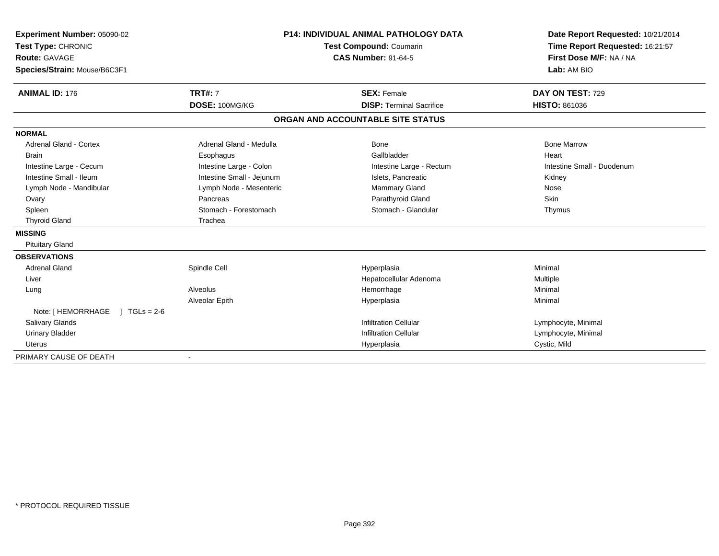| Experiment Number: 05090-02          |                           | P14: INDIVIDUAL ANIMAL PATHOLOGY DATA | Date Report Requested: 10/21/2014 |  |
|--------------------------------------|---------------------------|---------------------------------------|-----------------------------------|--|
| Test Type: CHRONIC                   |                           | <b>Test Compound: Coumarin</b>        | Time Report Requested: 16:21:57   |  |
| <b>Route: GAVAGE</b>                 |                           | <b>CAS Number: 91-64-5</b>            | First Dose M/F: NA / NA           |  |
| Species/Strain: Mouse/B6C3F1         |                           |                                       | Lab: AM BIO                       |  |
|                                      |                           |                                       |                                   |  |
| <b>ANIMAL ID: 176</b>                | <b>TRT#: 7</b>            | <b>SEX: Female</b>                    | DAY ON TEST: 729                  |  |
|                                      | DOSE: 100MG/KG            | <b>DISP: Terminal Sacrifice</b>       | <b>HISTO: 861036</b>              |  |
|                                      |                           | ORGAN AND ACCOUNTABLE SITE STATUS     |                                   |  |
| <b>NORMAL</b>                        |                           |                                       |                                   |  |
| <b>Adrenal Gland - Cortex</b>        | Adrenal Gland - Medulla   | Bone                                  | <b>Bone Marrow</b>                |  |
| <b>Brain</b>                         | Esophagus                 | Gallbladder                           | Heart                             |  |
| Intestine Large - Cecum              | Intestine Large - Colon   | Intestine Large - Rectum              | Intestine Small - Duodenum        |  |
| Intestine Small - Ileum              | Intestine Small - Jejunum | Islets, Pancreatic                    | Kidney                            |  |
| Lymph Node - Mandibular              | Lymph Node - Mesenteric   | Mammary Gland                         | Nose                              |  |
| Ovary                                | Pancreas                  | Parathyroid Gland                     | Skin                              |  |
| Spleen                               | Stomach - Forestomach     | Stomach - Glandular                   | Thymus                            |  |
| <b>Thyroid Gland</b>                 | Trachea                   |                                       |                                   |  |
| <b>MISSING</b>                       |                           |                                       |                                   |  |
| <b>Pituitary Gland</b>               |                           |                                       |                                   |  |
| <b>OBSERVATIONS</b>                  |                           |                                       |                                   |  |
| <b>Adrenal Gland</b>                 | Spindle Cell              | Hyperplasia                           | Minimal                           |  |
| Liver                                |                           | Hepatocellular Adenoma                | Multiple                          |  |
| Lung                                 | Alveolus                  | Hemorrhage                            | Minimal                           |  |
|                                      | Alveolar Epith            | Hyperplasia                           | Minimal                           |  |
| Note: [ HEMORRHAGE<br>$1 TGLs = 2-6$ |                           |                                       |                                   |  |
| <b>Salivary Glands</b>               |                           | <b>Infiltration Cellular</b>          | Lymphocyte, Minimal               |  |
| <b>Urinary Bladder</b>               |                           | <b>Infiltration Cellular</b>          | Lymphocyte, Minimal               |  |
| <b>Uterus</b>                        |                           | Hyperplasia                           | Cystic, Mild                      |  |
| PRIMARY CAUSE OF DEATH               |                           |                                       |                                   |  |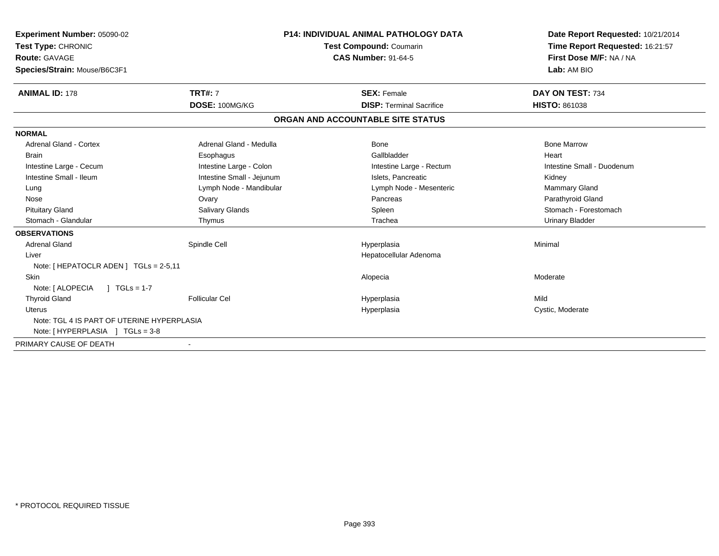| Experiment Number: 05090-02<br>Test Type: CHRONIC<br><b>Route: GAVAGE</b><br>Species/Strain: Mouse/B6C3F1 |                           | <b>P14: INDIVIDUAL ANIMAL PATHOLOGY DATA</b><br><b>Test Compound: Coumarin</b><br><b>CAS Number: 91-64-5</b> |                                   | Date Report Requested: 10/21/2014<br>Time Report Requested: 16:21:57<br>First Dose M/F: NA / NA<br>Lab: AM BIO |
|-----------------------------------------------------------------------------------------------------------|---------------------------|--------------------------------------------------------------------------------------------------------------|-----------------------------------|----------------------------------------------------------------------------------------------------------------|
| <b>ANIMAL ID: 178</b>                                                                                     | <b>TRT#: 7</b>            |                                                                                                              | <b>SEX: Female</b>                | DAY ON TEST: 734                                                                                               |
|                                                                                                           | DOSE: 100MG/KG            |                                                                                                              | <b>DISP: Terminal Sacrifice</b>   | <b>HISTO: 861038</b>                                                                                           |
|                                                                                                           |                           |                                                                                                              | ORGAN AND ACCOUNTABLE SITE STATUS |                                                                                                                |
| <b>NORMAL</b>                                                                                             |                           |                                                                                                              |                                   |                                                                                                                |
| <b>Adrenal Gland - Cortex</b>                                                                             | Adrenal Gland - Medulla   |                                                                                                              | Bone                              | <b>Bone Marrow</b>                                                                                             |
| <b>Brain</b>                                                                                              | Esophagus                 |                                                                                                              | Gallbladder                       | Heart                                                                                                          |
| Intestine Large - Cecum                                                                                   | Intestine Large - Colon   |                                                                                                              | Intestine Large - Rectum          | Intestine Small - Duodenum                                                                                     |
| Intestine Small - Ileum                                                                                   | Intestine Small - Jejunum |                                                                                                              | Islets, Pancreatic                | Kidney                                                                                                         |
| Lung                                                                                                      | Lymph Node - Mandibular   |                                                                                                              | Lymph Node - Mesenteric           | <b>Mammary Gland</b>                                                                                           |
| Nose                                                                                                      | Ovary                     |                                                                                                              | Pancreas                          | Parathyroid Gland                                                                                              |
| <b>Pituitary Gland</b>                                                                                    | Salivary Glands           |                                                                                                              | Spleen                            | Stomach - Forestomach                                                                                          |
| Stomach - Glandular                                                                                       | Thymus                    |                                                                                                              | Trachea                           | <b>Urinary Bladder</b>                                                                                         |
| <b>OBSERVATIONS</b>                                                                                       |                           |                                                                                                              |                                   |                                                                                                                |
| <b>Adrenal Gland</b>                                                                                      | Spindle Cell              |                                                                                                              | Hyperplasia                       | Minimal                                                                                                        |
| Liver                                                                                                     |                           |                                                                                                              | Hepatocellular Adenoma            |                                                                                                                |
| Note: [HEPATOCLR ADEN] TGLs = 2-5,11                                                                      |                           |                                                                                                              |                                   |                                                                                                                |
| <b>Skin</b>                                                                                               |                           |                                                                                                              | Alopecia                          | Moderate                                                                                                       |
| Note: [ ALOPECIA<br>$1 TGLs = 1-7$                                                                        |                           |                                                                                                              |                                   |                                                                                                                |
| <b>Thyroid Gland</b>                                                                                      | <b>Follicular Cel</b>     |                                                                                                              | Hyperplasia                       | Mild                                                                                                           |
| Uterus                                                                                                    |                           |                                                                                                              | Hyperplasia                       | Cystic, Moderate                                                                                               |
| Note: TGL 4 IS PART OF UTERINE HYPERPLASIA                                                                |                           |                                                                                                              |                                   |                                                                                                                |
| Note: [HYPERPLASIA ] TGLs = 3-8                                                                           |                           |                                                                                                              |                                   |                                                                                                                |
| PRIMARY CAUSE OF DEATH                                                                                    |                           |                                                                                                              |                                   |                                                                                                                |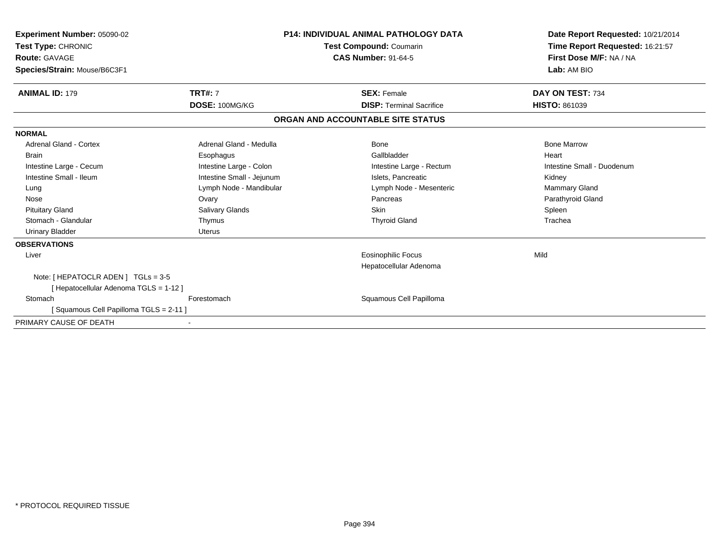| <b>Experiment Number: 05090-02</b><br>Test Type: CHRONIC<br><b>Route: GAVAGE</b><br>Species/Strain: Mouse/B6C3F1 |                           | <b>P14: INDIVIDUAL ANIMAL PATHOLOGY DATA</b><br><b>Test Compound: Coumarin</b><br><b>CAS Number: 91-64-5</b> | Date Report Requested: 10/21/2014<br>Time Report Requested: 16:21:57<br>First Dose M/F: NA / NA<br>Lab: AM BIO |
|------------------------------------------------------------------------------------------------------------------|---------------------------|--------------------------------------------------------------------------------------------------------------|----------------------------------------------------------------------------------------------------------------|
| <b>ANIMAL ID: 179</b>                                                                                            | <b>TRT#: 7</b>            | <b>SEX: Female</b>                                                                                           | DAY ON TEST: 734                                                                                               |
|                                                                                                                  | DOSE: 100MG/KG            | <b>DISP: Terminal Sacrifice</b>                                                                              | <b>HISTO: 861039</b>                                                                                           |
|                                                                                                                  |                           | ORGAN AND ACCOUNTABLE SITE STATUS                                                                            |                                                                                                                |
| <b>NORMAL</b>                                                                                                    |                           |                                                                                                              |                                                                                                                |
| <b>Adrenal Gland - Cortex</b>                                                                                    | Adrenal Gland - Medulla   | <b>Bone</b>                                                                                                  | <b>Bone Marrow</b>                                                                                             |
| <b>Brain</b>                                                                                                     | Esophagus                 | Gallbladder                                                                                                  | Heart                                                                                                          |
| Intestine Large - Cecum                                                                                          | Intestine Large - Colon   | Intestine Large - Rectum                                                                                     | Intestine Small - Duodenum                                                                                     |
| Intestine Small - Ileum                                                                                          | Intestine Small - Jejunum | Islets, Pancreatic                                                                                           | Kidney                                                                                                         |
| Lung                                                                                                             | Lymph Node - Mandibular   | Lymph Node - Mesenteric                                                                                      | Mammary Gland                                                                                                  |
| Nose                                                                                                             | Ovary                     | Pancreas                                                                                                     | Parathyroid Gland                                                                                              |
| <b>Pituitary Gland</b>                                                                                           | <b>Salivary Glands</b>    | <b>Skin</b>                                                                                                  | Spleen                                                                                                         |
| Stomach - Glandular                                                                                              | Thymus                    | <b>Thyroid Gland</b>                                                                                         | Trachea                                                                                                        |
| <b>Urinary Bladder</b>                                                                                           | Uterus                    |                                                                                                              |                                                                                                                |
| <b>OBSERVATIONS</b>                                                                                              |                           |                                                                                                              |                                                                                                                |
| Liver                                                                                                            |                           | <b>Eosinophilic Focus</b>                                                                                    | Mild                                                                                                           |
|                                                                                                                  |                           | Hepatocellular Adenoma                                                                                       |                                                                                                                |
| Note: [ HEPATOCLR ADEN ] TGLs = 3-5                                                                              |                           |                                                                                                              |                                                                                                                |
| [Hepatocellular Adenoma TGLS = 1-12]                                                                             |                           |                                                                                                              |                                                                                                                |
| Stomach<br>[Squamous Cell Papilloma TGLS = 2-11]                                                                 | Forestomach               | Squamous Cell Papilloma                                                                                      |                                                                                                                |
| PRIMARY CAUSE OF DEATH                                                                                           |                           |                                                                                                              |                                                                                                                |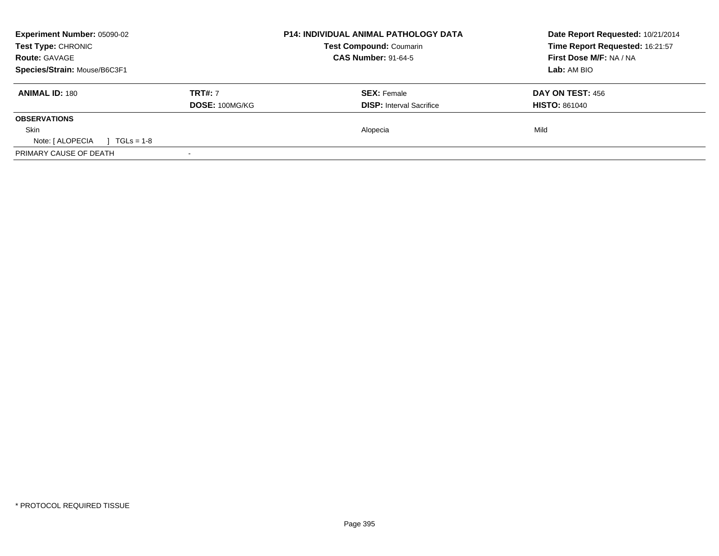| <b>Experiment Number: 05090-02</b><br>Test Type: CHRONIC |                | <b>P14: INDIVIDUAL ANIMAL PATHOLOGY DATA</b><br><b>Test Compound: Coumarin</b> | Date Report Requested: 10/21/2014<br>Time Report Requested: 16:21:57 |
|----------------------------------------------------------|----------------|--------------------------------------------------------------------------------|----------------------------------------------------------------------|
| <b>Route: GAVAGE</b>                                     |                | <b>CAS Number: 91-64-5</b>                                                     | First Dose M/F: NA / NA                                              |
| Species/Strain: Mouse/B6C3F1                             |                |                                                                                | Lab: AM BIO                                                          |
| <b>ANIMAL ID: 180</b>                                    | <b>TRT#: 7</b> | <b>SEX: Female</b>                                                             | DAY ON TEST: 456                                                     |
|                                                          | DOSE: 100MG/KG | <b>DISP:</b> Interval Sacrifice                                                | <b>HISTO: 861040</b>                                                 |
| <b>OBSERVATIONS</b>                                      |                |                                                                                |                                                                      |
| <b>Skin</b>                                              |                | Alopecia                                                                       | Mild                                                                 |
| Note: [ ALOPECIA<br>$\sqrt{11}$ TGLs = 1-8               |                |                                                                                |                                                                      |
| PRIMARY CAUSE OF DEATH                                   |                |                                                                                |                                                                      |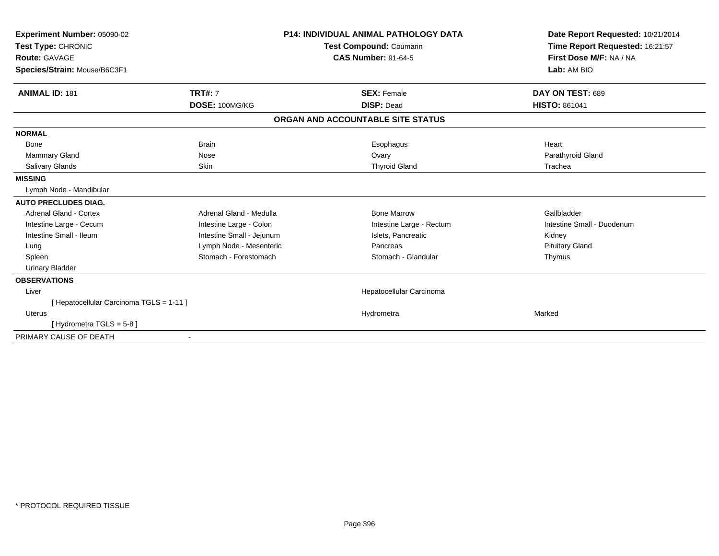| Experiment Number: 05090-02              |                                | <b>P14: INDIVIDUAL ANIMAL PATHOLOGY DATA</b> | Date Report Requested: 10/21/2014 |  |
|------------------------------------------|--------------------------------|----------------------------------------------|-----------------------------------|--|
| Test Type: CHRONIC                       | <b>Test Compound: Coumarin</b> |                                              | Time Report Requested: 16:21:57   |  |
| Route: GAVAGE                            |                                | <b>CAS Number: 91-64-5</b>                   | First Dose M/F: NA / NA           |  |
| Species/Strain: Mouse/B6C3F1             |                                |                                              | Lab: AM BIO                       |  |
| <b>ANIMAL ID: 181</b>                    | <b>TRT#: 7</b>                 | <b>SEX: Female</b>                           | DAY ON TEST: 689                  |  |
|                                          | DOSE: 100MG/KG                 | <b>DISP: Dead</b>                            | <b>HISTO: 861041</b>              |  |
|                                          |                                | ORGAN AND ACCOUNTABLE SITE STATUS            |                                   |  |
| <b>NORMAL</b>                            |                                |                                              |                                   |  |
| Bone                                     | <b>Brain</b>                   | Esophagus                                    | Heart                             |  |
| <b>Mammary Gland</b>                     | Nose                           | Ovary                                        | Parathyroid Gland                 |  |
| Salivary Glands                          | <b>Skin</b>                    | <b>Thyroid Gland</b>                         | Trachea                           |  |
| <b>MISSING</b>                           |                                |                                              |                                   |  |
| Lymph Node - Mandibular                  |                                |                                              |                                   |  |
| <b>AUTO PRECLUDES DIAG.</b>              |                                |                                              |                                   |  |
| <b>Adrenal Gland - Cortex</b>            | Adrenal Gland - Medulla        | <b>Bone Marrow</b>                           | Gallbladder                       |  |
| Intestine Large - Cecum                  | Intestine Large - Colon        | Intestine Large - Rectum                     | Intestine Small - Duodenum        |  |
| Intestine Small - Ileum                  | Intestine Small - Jejunum      | Islets, Pancreatic                           | Kidney                            |  |
| Lung                                     | Lymph Node - Mesenteric        | Pancreas                                     | <b>Pituitary Gland</b>            |  |
| Spleen                                   | Stomach - Forestomach          | Stomach - Glandular                          | Thymus                            |  |
| <b>Urinary Bladder</b>                   |                                |                                              |                                   |  |
| <b>OBSERVATIONS</b>                      |                                |                                              |                                   |  |
| Liver                                    |                                | Hepatocellular Carcinoma                     |                                   |  |
| [ Hepatocellular Carcinoma TGLS = 1-11 ] |                                |                                              |                                   |  |
| Uterus                                   |                                | Hydrometra                                   | Marked                            |  |
| [Hydrometra TGLS = 5-8]                  |                                |                                              |                                   |  |
| PRIMARY CAUSE OF DEATH                   |                                |                                              |                                   |  |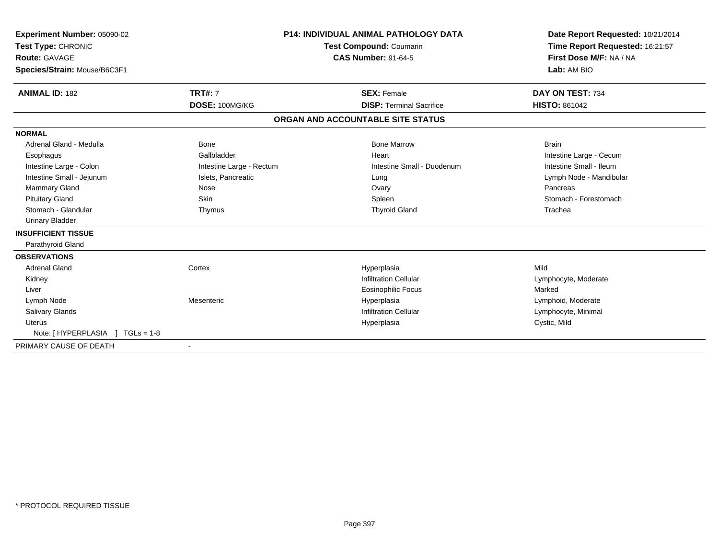| Experiment Number: 05090-02<br>Test Type: CHRONIC<br>Route: GAVAGE<br>Species/Strain: Mouse/B6C3F1<br><b>ANIMAL ID: 182</b> | <b>TRT#: 7</b>           | <b>P14: INDIVIDUAL ANIMAL PATHOLOGY DATA</b><br><b>Test Compound: Coumarin</b><br><b>CAS Number: 91-64-5</b><br><b>SEX: Female</b> | Date Report Requested: 10/21/2014<br>Time Report Requested: 16:21:57<br>First Dose M/F: NA / NA<br>Lab: AM BIO<br>DAY ON TEST: 734 |
|-----------------------------------------------------------------------------------------------------------------------------|--------------------------|------------------------------------------------------------------------------------------------------------------------------------|------------------------------------------------------------------------------------------------------------------------------------|
|                                                                                                                             | DOSE: 100MG/KG           | <b>DISP: Terminal Sacrifice</b>                                                                                                    | <b>HISTO: 861042</b>                                                                                                               |
|                                                                                                                             |                          | ORGAN AND ACCOUNTABLE SITE STATUS                                                                                                  |                                                                                                                                    |
| <b>NORMAL</b>                                                                                                               |                          |                                                                                                                                    |                                                                                                                                    |
| Adrenal Gland - Medulla                                                                                                     | <b>Bone</b>              | <b>Bone Marrow</b>                                                                                                                 | <b>Brain</b>                                                                                                                       |
| Esophagus                                                                                                                   | Gallbladder              | Heart                                                                                                                              | Intestine Large - Cecum                                                                                                            |
| Intestine Large - Colon                                                                                                     | Intestine Large - Rectum | Intestine Small - Duodenum                                                                                                         | Intestine Small - Ileum                                                                                                            |
| Intestine Small - Jejunum                                                                                                   | Islets, Pancreatic       | Lung                                                                                                                               | Lymph Node - Mandibular                                                                                                            |
| Mammary Gland                                                                                                               | Nose                     | Ovary                                                                                                                              | Pancreas                                                                                                                           |
| <b>Pituitary Gland</b>                                                                                                      | Skin                     | Spleen                                                                                                                             | Stomach - Forestomach                                                                                                              |
| Stomach - Glandular                                                                                                         | Thymus                   | <b>Thyroid Gland</b>                                                                                                               | Trachea                                                                                                                            |
| <b>Urinary Bladder</b>                                                                                                      |                          |                                                                                                                                    |                                                                                                                                    |
| <b>INSUFFICIENT TISSUE</b>                                                                                                  |                          |                                                                                                                                    |                                                                                                                                    |
| Parathyroid Gland                                                                                                           |                          |                                                                                                                                    |                                                                                                                                    |
| <b>OBSERVATIONS</b>                                                                                                         |                          |                                                                                                                                    |                                                                                                                                    |
| Adrenal Gland                                                                                                               | Cortex                   | Hyperplasia                                                                                                                        | Mild                                                                                                                               |
| Kidney                                                                                                                      |                          | <b>Infiltration Cellular</b>                                                                                                       | Lymphocyte, Moderate                                                                                                               |
| Liver                                                                                                                       |                          | <b>Eosinophilic Focus</b>                                                                                                          | Marked                                                                                                                             |
| Lymph Node                                                                                                                  | Mesenteric               | Hyperplasia                                                                                                                        | Lymphoid, Moderate                                                                                                                 |
| Salivary Glands                                                                                                             |                          | <b>Infiltration Cellular</b>                                                                                                       | Lymphocyte, Minimal                                                                                                                |
| <b>Uterus</b>                                                                                                               |                          | Hyperplasia                                                                                                                        | Cystic, Mild                                                                                                                       |
| Note: [HYPERPLASIA ] TGLs = 1-8                                                                                             |                          |                                                                                                                                    |                                                                                                                                    |
| PRIMARY CAUSE OF DEATH                                                                                                      | $\blacksquare$           |                                                                                                                                    |                                                                                                                                    |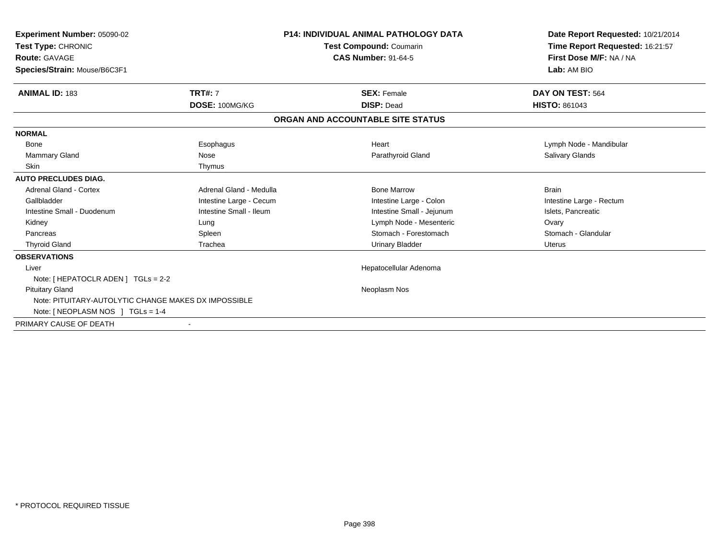| <b>Experiment Number: 05090-02</b><br>Test Type: CHRONIC<br><b>Route: GAVAGE</b><br>Species/Strain: Mouse/B6C3F1 | <b>P14: INDIVIDUAL ANIMAL PATHOLOGY DATA</b><br>Test Compound: Coumarin<br><b>CAS Number: 91-64-5</b> |                                   | Date Report Requested: 10/21/2014<br>Time Report Requested: 16:21:57<br>First Dose M/F: NA / NA<br>Lab: AM BIO |
|------------------------------------------------------------------------------------------------------------------|-------------------------------------------------------------------------------------------------------|-----------------------------------|----------------------------------------------------------------------------------------------------------------|
|                                                                                                                  |                                                                                                       |                                   |                                                                                                                |
| <b>ANIMAL ID: 183</b>                                                                                            | <b>TRT#: 7</b>                                                                                        | <b>SEX: Female</b>                | DAY ON TEST: 564                                                                                               |
|                                                                                                                  | DOSE: 100MG/KG                                                                                        | <b>DISP: Dead</b>                 | <b>HISTO: 861043</b>                                                                                           |
|                                                                                                                  |                                                                                                       | ORGAN AND ACCOUNTABLE SITE STATUS |                                                                                                                |
| <b>NORMAL</b>                                                                                                    |                                                                                                       |                                   |                                                                                                                |
| <b>Bone</b>                                                                                                      | Esophagus                                                                                             | Heart                             | Lymph Node - Mandibular                                                                                        |
| Mammary Gland                                                                                                    | Nose                                                                                                  | Parathyroid Gland                 | <b>Salivary Glands</b>                                                                                         |
| <b>Skin</b>                                                                                                      | Thymus                                                                                                |                                   |                                                                                                                |
| <b>AUTO PRECLUDES DIAG.</b>                                                                                      |                                                                                                       |                                   |                                                                                                                |
| <b>Adrenal Gland - Cortex</b>                                                                                    | Adrenal Gland - Medulla                                                                               | <b>Bone Marrow</b>                | <b>Brain</b>                                                                                                   |
| Gallbladder                                                                                                      | Intestine Large - Cecum                                                                               | Intestine Large - Colon           | Intestine Large - Rectum                                                                                       |
| Intestine Small - Duodenum                                                                                       | Intestine Small - Ileum                                                                               | Intestine Small - Jejunum         | Islets, Pancreatic                                                                                             |
| Kidney                                                                                                           | Lung                                                                                                  | Lymph Node - Mesenteric           | Ovary                                                                                                          |
| Pancreas                                                                                                         | Spleen                                                                                                | Stomach - Forestomach             | Stomach - Glandular                                                                                            |
| <b>Thyroid Gland</b>                                                                                             | Trachea                                                                                               | <b>Urinary Bladder</b>            | Uterus                                                                                                         |
| <b>OBSERVATIONS</b>                                                                                              |                                                                                                       |                                   |                                                                                                                |
| Liver                                                                                                            |                                                                                                       | Hepatocellular Adenoma            |                                                                                                                |
| Note: $[$ HEPATOCLR ADEN $]$ TGLs = 2-2                                                                          |                                                                                                       |                                   |                                                                                                                |
| <b>Pituitary Gland</b>                                                                                           |                                                                                                       | Neoplasm Nos                      |                                                                                                                |
| Note: PITUITARY-AUTOLYTIC CHANGE MAKES DX IMPOSSIBLE                                                             |                                                                                                       |                                   |                                                                                                                |
| Note: [ NEOPLASM NOS $ $ TGLs = 1-4                                                                              |                                                                                                       |                                   |                                                                                                                |
| PRIMARY CAUSE OF DEATH                                                                                           |                                                                                                       |                                   |                                                                                                                |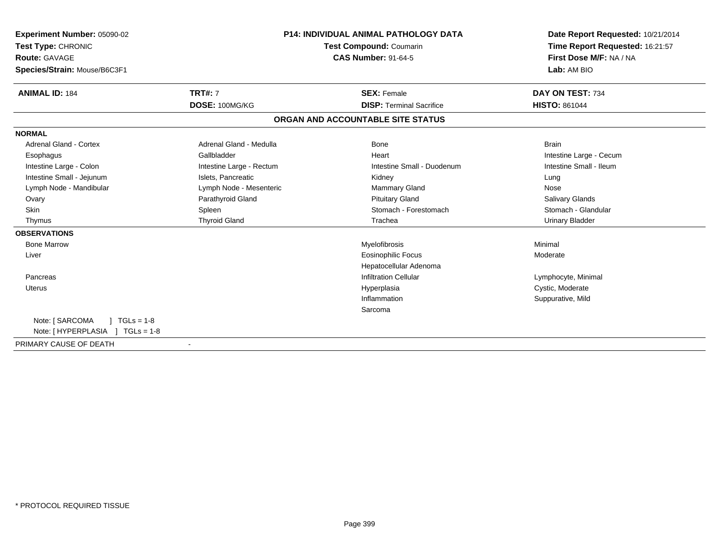| <b>Experiment Number: 05090-02</b>   |                          | <b>P14: INDIVIDUAL ANIMAL PATHOLOGY DATA</b> | Date Report Requested: 10/21/2014<br>Time Report Requested: 16:21:57 |  |
|--------------------------------------|--------------------------|----------------------------------------------|----------------------------------------------------------------------|--|
| Test Type: CHRONIC                   |                          | Test Compound: Coumarin                      | First Dose M/F: NA / NA                                              |  |
| <b>Route: GAVAGE</b>                 |                          | <b>CAS Number: 91-64-5</b>                   |                                                                      |  |
| Species/Strain: Mouse/B6C3F1         |                          |                                              | Lab: AM BIO                                                          |  |
| <b>ANIMAL ID: 184</b>                | <b>TRT#: 7</b>           | <b>SEX: Female</b>                           | DAY ON TEST: 734                                                     |  |
|                                      | DOSE: 100MG/KG           | <b>DISP: Terminal Sacrifice</b>              | <b>HISTO: 861044</b>                                                 |  |
|                                      |                          | ORGAN AND ACCOUNTABLE SITE STATUS            |                                                                      |  |
| <b>NORMAL</b>                        |                          |                                              |                                                                      |  |
| <b>Adrenal Gland - Cortex</b>        | Adrenal Gland - Medulla  | Bone                                         | <b>Brain</b>                                                         |  |
| Esophagus                            | Gallbladder              | Heart                                        | Intestine Large - Cecum                                              |  |
| Intestine Large - Colon              | Intestine Large - Rectum | Intestine Small - Duodenum                   | Intestine Small - Ileum                                              |  |
| Intestine Small - Jejunum            | Islets, Pancreatic       | Kidney                                       | Lung                                                                 |  |
| Lymph Node - Mandibular              | Lymph Node - Mesenteric  | <b>Mammary Gland</b>                         | Nose                                                                 |  |
| Ovary                                | Parathyroid Gland        | <b>Pituitary Gland</b>                       | Salivary Glands                                                      |  |
| <b>Skin</b>                          | Spleen                   | Stomach - Forestomach                        | Stomach - Glandular                                                  |  |
| Thymus                               | <b>Thyroid Gland</b>     | Trachea                                      | <b>Urinary Bladder</b>                                               |  |
| <b>OBSERVATIONS</b>                  |                          |                                              |                                                                      |  |
| <b>Bone Marrow</b>                   |                          | Myelofibrosis                                | Minimal                                                              |  |
| Liver                                |                          | <b>Eosinophilic Focus</b>                    | Moderate                                                             |  |
|                                      |                          | Hepatocellular Adenoma                       |                                                                      |  |
| Pancreas                             |                          | <b>Infiltration Cellular</b>                 | Lymphocyte, Minimal                                                  |  |
| <b>Uterus</b>                        |                          | Hyperplasia                                  | Cystic, Moderate                                                     |  |
|                                      |                          | Inflammation                                 | Suppurative, Mild                                                    |  |
|                                      |                          | Sarcoma                                      |                                                                      |  |
| Note: [ SARCOMA<br>$1 TGLs = 1-8$    |                          |                                              |                                                                      |  |
| Note: [HYPERPLASIA ]<br>$TGLs = 1-8$ |                          |                                              |                                                                      |  |
| PRIMARY CAUSE OF DEATH               |                          |                                              |                                                                      |  |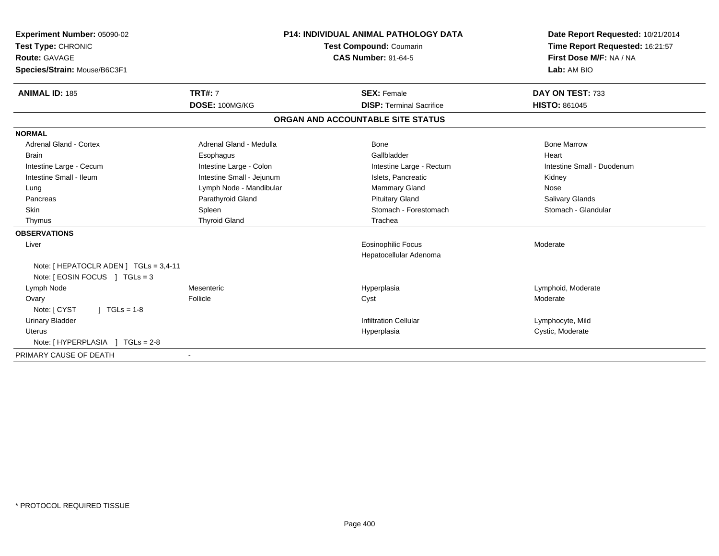| Experiment Number: 05090-02            |                           | <b>P14: INDIVIDUAL ANIMAL PATHOLOGY DATA</b> | Date Report Requested: 10/21/2014 |  |
|----------------------------------------|---------------------------|----------------------------------------------|-----------------------------------|--|
| Test Type: CHRONIC                     |                           | <b>Test Compound: Coumarin</b>               | Time Report Requested: 16:21:57   |  |
| <b>Route: GAVAGE</b>                   |                           | <b>CAS Number: 91-64-5</b>                   | First Dose M/F: NA / NA           |  |
| Species/Strain: Mouse/B6C3F1           |                           |                                              | Lab: AM BIO                       |  |
| <b>ANIMAL ID: 185</b>                  | <b>TRT#: 7</b>            | <b>SEX: Female</b>                           | DAY ON TEST: 733                  |  |
|                                        | DOSE: 100MG/KG            | <b>DISP: Terminal Sacrifice</b>              | <b>HISTO: 861045</b>              |  |
|                                        |                           | ORGAN AND ACCOUNTABLE SITE STATUS            |                                   |  |
| <b>NORMAL</b>                          |                           |                                              |                                   |  |
| <b>Adrenal Gland - Cortex</b>          | Adrenal Gland - Medulla   | <b>Bone</b>                                  | <b>Bone Marrow</b>                |  |
| <b>Brain</b>                           | Esophagus                 | Gallbladder                                  | Heart                             |  |
| Intestine Large - Cecum                | Intestine Large - Colon   | Intestine Large - Rectum                     | Intestine Small - Duodenum        |  |
| Intestine Small - Ileum                | Intestine Small - Jejunum | Islets, Pancreatic                           | Kidney                            |  |
| Lung                                   | Lymph Node - Mandibular   | Mammary Gland                                | Nose                              |  |
| Pancreas                               | Parathyroid Gland         | <b>Pituitary Gland</b>                       | <b>Salivary Glands</b>            |  |
| <b>Skin</b>                            | Spleen                    | Stomach - Forestomach                        | Stomach - Glandular               |  |
| Thymus                                 | <b>Thyroid Gland</b>      | Trachea                                      |                                   |  |
| <b>OBSERVATIONS</b>                    |                           |                                              |                                   |  |
| Liver                                  |                           | Eosinophilic Focus                           | Moderate                          |  |
|                                        |                           | Hepatocellular Adenoma                       |                                   |  |
| Note: [ HEPATOCLR ADEN ] TGLs = 3,4-11 |                           |                                              |                                   |  |
| Note: $[ EOSIN FOCUS ] TGLS = 3$       |                           |                                              |                                   |  |
| Lymph Node                             | Mesenteric                | Hyperplasia                                  | Lymphoid, Moderate                |  |
| Ovary                                  | Follicle                  | Cyst                                         | Moderate                          |  |
| Note: [ CYST<br>$1 TGLs = 1-8$         |                           |                                              |                                   |  |
| <b>Urinary Bladder</b>                 |                           | <b>Infiltration Cellular</b>                 | Lymphocyte, Mild                  |  |
| <b>Uterus</b>                          |                           | Hyperplasia                                  | Cystic, Moderate                  |  |
| Note: [HYPERPLASIA ]<br>$TGLs = 2-8$   |                           |                                              |                                   |  |
| PRIMARY CAUSE OF DEATH                 |                           |                                              |                                   |  |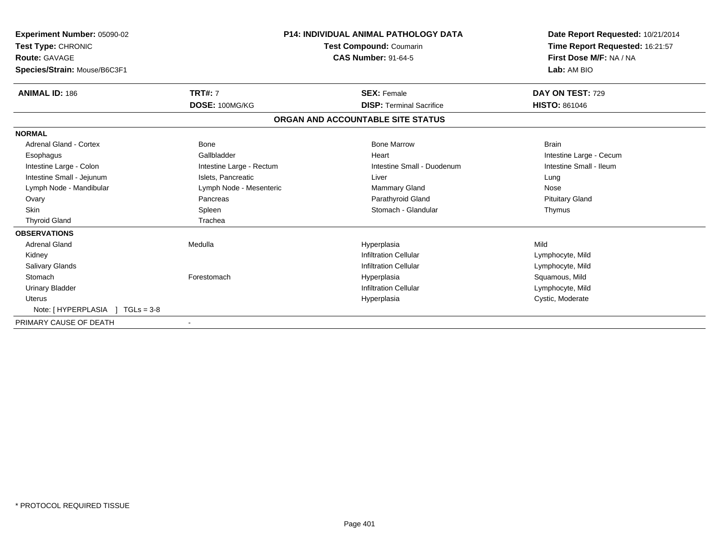| Experiment Number: 05090-02<br>Test Type: CHRONIC<br><b>Route: GAVAGE</b><br>Species/Strain: Mouse/B6C3F1 |                          | <b>P14: INDIVIDUAL ANIMAL PATHOLOGY DATA</b><br>Test Compound: Coumarin<br><b>CAS Number: 91-64-5</b> | Date Report Requested: 10/21/2014<br>Time Report Requested: 16:21:57<br>First Dose M/F: NA / NA<br>Lab: AM BIO |
|-----------------------------------------------------------------------------------------------------------|--------------------------|-------------------------------------------------------------------------------------------------------|----------------------------------------------------------------------------------------------------------------|
| <b>ANIMAL ID: 186</b>                                                                                     | <b>TRT#: 7</b>           | <b>SEX: Female</b>                                                                                    | DAY ON TEST: 729                                                                                               |
|                                                                                                           | DOSE: 100MG/KG           | <b>DISP: Terminal Sacrifice</b>                                                                       | <b>HISTO: 861046</b>                                                                                           |
|                                                                                                           |                          | ORGAN AND ACCOUNTABLE SITE STATUS                                                                     |                                                                                                                |
| <b>NORMAL</b>                                                                                             |                          |                                                                                                       |                                                                                                                |
| <b>Adrenal Gland - Cortex</b>                                                                             | Bone                     | <b>Bone Marrow</b>                                                                                    | <b>Brain</b>                                                                                                   |
| Esophagus                                                                                                 | Gallbladder              | Heart                                                                                                 | Intestine Large - Cecum                                                                                        |
| Intestine Large - Colon                                                                                   | Intestine Large - Rectum | Intestine Small - Duodenum                                                                            | Intestine Small - Ileum                                                                                        |
| Intestine Small - Jejunum                                                                                 | Islets, Pancreatic       | Liver                                                                                                 | Lung                                                                                                           |
| Lymph Node - Mandibular                                                                                   | Lymph Node - Mesenteric  | Mammary Gland                                                                                         | Nose                                                                                                           |
| Ovary                                                                                                     | Pancreas                 | Parathyroid Gland                                                                                     | <b>Pituitary Gland</b>                                                                                         |
| <b>Skin</b>                                                                                               | Spleen                   | Stomach - Glandular                                                                                   | Thymus                                                                                                         |
| <b>Thyroid Gland</b>                                                                                      | Trachea                  |                                                                                                       |                                                                                                                |
| <b>OBSERVATIONS</b>                                                                                       |                          |                                                                                                       |                                                                                                                |
| <b>Adrenal Gland</b>                                                                                      | Medulla                  | Hyperplasia                                                                                           | Mild                                                                                                           |
| Kidney                                                                                                    |                          | <b>Infiltration Cellular</b>                                                                          | Lymphocyte, Mild                                                                                               |
| <b>Salivary Glands</b>                                                                                    |                          | <b>Infiltration Cellular</b>                                                                          | Lymphocyte, Mild                                                                                               |
| Stomach                                                                                                   | Forestomach              | Hyperplasia                                                                                           | Squamous, Mild                                                                                                 |
| <b>Urinary Bladder</b>                                                                                    |                          | <b>Infiltration Cellular</b>                                                                          | Lymphocyte, Mild                                                                                               |
| Uterus                                                                                                    |                          | Hyperplasia                                                                                           | Cystic, Moderate                                                                                               |
| Note: [HYPERPLASIA ]<br>$TGLs = 3-8$                                                                      |                          |                                                                                                       |                                                                                                                |
| PRIMARY CAUSE OF DEATH                                                                                    |                          |                                                                                                       |                                                                                                                |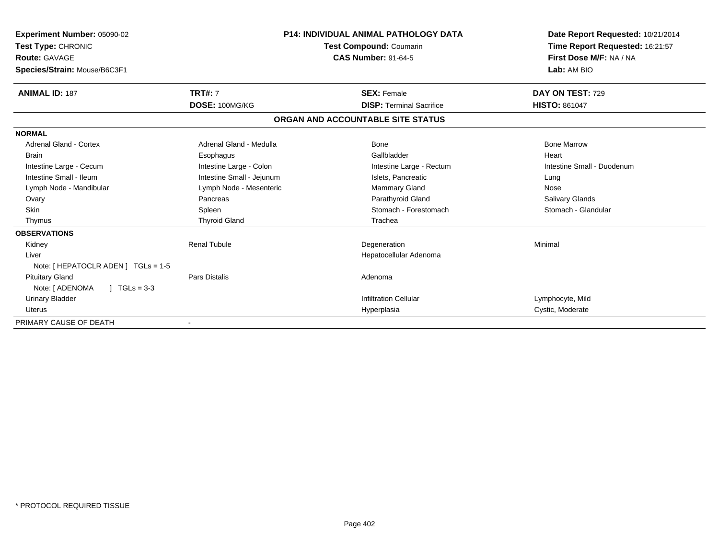| Experiment Number: 05090-02<br>Test Type: CHRONIC<br><b>Route: GAVAGE</b><br>Species/Strain: Mouse/B6C3F1 | <b>P14: INDIVIDUAL ANIMAL PATHOLOGY DATA</b><br>Test Compound: Coumarin<br><b>CAS Number: 91-64-5</b> |                                   | Date Report Requested: 10/21/2014<br>Time Report Requested: 16:21:57<br>First Dose M/F: NA / NA<br>Lab: AM BIO |
|-----------------------------------------------------------------------------------------------------------|-------------------------------------------------------------------------------------------------------|-----------------------------------|----------------------------------------------------------------------------------------------------------------|
| <b>ANIMAL ID: 187</b>                                                                                     | <b>TRT#: 7</b>                                                                                        | <b>SEX: Female</b>                | DAY ON TEST: 729                                                                                               |
|                                                                                                           | DOSE: 100MG/KG                                                                                        | <b>DISP: Terminal Sacrifice</b>   | <b>HISTO: 861047</b>                                                                                           |
|                                                                                                           |                                                                                                       | ORGAN AND ACCOUNTABLE SITE STATUS |                                                                                                                |
| <b>NORMAL</b>                                                                                             |                                                                                                       |                                   |                                                                                                                |
| Adrenal Gland - Cortex                                                                                    | Adrenal Gland - Medulla                                                                               | Bone                              | <b>Bone Marrow</b>                                                                                             |
| <b>Brain</b>                                                                                              | Esophagus                                                                                             | Gallbladder                       | Heart                                                                                                          |
| Intestine Large - Cecum                                                                                   | Intestine Large - Colon                                                                               | Intestine Large - Rectum          | Intestine Small - Duodenum                                                                                     |
| Intestine Small - Ileum                                                                                   | Intestine Small - Jejunum                                                                             | Islets, Pancreatic                | Lung                                                                                                           |
| Lymph Node - Mandibular                                                                                   | Lymph Node - Mesenteric                                                                               | Mammary Gland                     | Nose                                                                                                           |
| Ovary                                                                                                     | Pancreas                                                                                              | Parathyroid Gland                 | <b>Salivary Glands</b>                                                                                         |
| <b>Skin</b>                                                                                               | Spleen                                                                                                | Stomach - Forestomach             | Stomach - Glandular                                                                                            |
| Thymus                                                                                                    | <b>Thyroid Gland</b>                                                                                  | Trachea                           |                                                                                                                |
| <b>OBSERVATIONS</b>                                                                                       |                                                                                                       |                                   |                                                                                                                |
| Kidney                                                                                                    | <b>Renal Tubule</b>                                                                                   | Degeneration                      | Minimal                                                                                                        |
| Liver                                                                                                     |                                                                                                       | Hepatocellular Adenoma            |                                                                                                                |
| Note: [ HEPATOCLR ADEN ] TGLs = 1-5                                                                       |                                                                                                       |                                   |                                                                                                                |
| <b>Pituitary Gland</b>                                                                                    | <b>Pars Distalis</b>                                                                                  | Adenoma                           |                                                                                                                |
| $1 TGLs = 3-3$<br>Note: [ ADENOMA                                                                         |                                                                                                       |                                   |                                                                                                                |
| <b>Urinary Bladder</b>                                                                                    |                                                                                                       | <b>Infiltration Cellular</b>      | Lymphocyte, Mild                                                                                               |
| <b>Uterus</b>                                                                                             |                                                                                                       | Hyperplasia                       | Cystic, Moderate                                                                                               |
| PRIMARY CAUSE OF DEATH                                                                                    |                                                                                                       |                                   |                                                                                                                |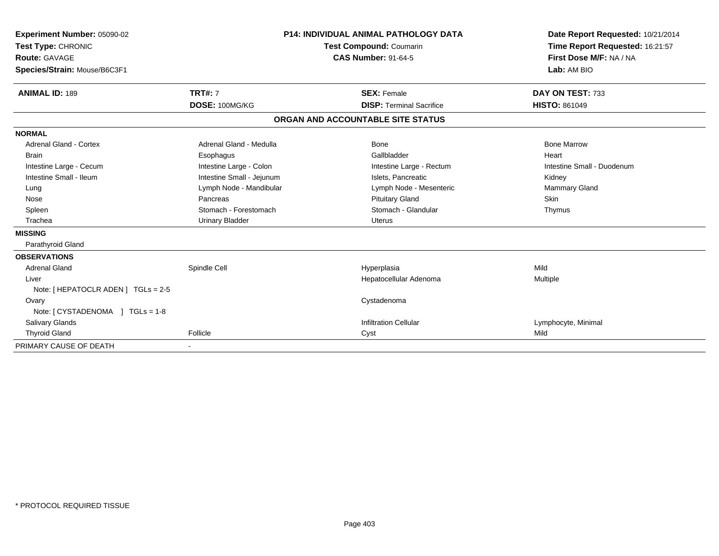| Experiment Number: 05090-02<br>Test Type: CHRONIC<br><b>Route: GAVAGE</b><br>Species/Strain: Mouse/B6C3F1 |                           | <b>P14: INDIVIDUAL ANIMAL PATHOLOGY DATA</b><br>Test Compound: Coumarin<br><b>CAS Number: 91-64-5</b> |                                   | Date Report Requested: 10/21/2014<br>Time Report Requested: 16:21:57<br>First Dose M/F: NA / NA<br>Lab: AM BIO |
|-----------------------------------------------------------------------------------------------------------|---------------------------|-------------------------------------------------------------------------------------------------------|-----------------------------------|----------------------------------------------------------------------------------------------------------------|
| <b>ANIMAL ID: 189</b>                                                                                     | <b>TRT#: 7</b>            |                                                                                                       | <b>SEX: Female</b>                | DAY ON TEST: 733                                                                                               |
|                                                                                                           | DOSE: 100MG/KG            |                                                                                                       | <b>DISP: Terminal Sacrifice</b>   | <b>HISTO: 861049</b>                                                                                           |
|                                                                                                           |                           |                                                                                                       | ORGAN AND ACCOUNTABLE SITE STATUS |                                                                                                                |
| <b>NORMAL</b>                                                                                             |                           |                                                                                                       |                                   |                                                                                                                |
| <b>Adrenal Gland - Cortex</b>                                                                             | Adrenal Gland - Medulla   |                                                                                                       | <b>Bone</b>                       | <b>Bone Marrow</b>                                                                                             |
| <b>Brain</b>                                                                                              | Esophagus                 |                                                                                                       | Gallbladder                       | Heart                                                                                                          |
| Intestine Large - Cecum                                                                                   | Intestine Large - Colon   |                                                                                                       | Intestine Large - Rectum          | Intestine Small - Duodenum                                                                                     |
| Intestine Small - Ileum                                                                                   | Intestine Small - Jejunum |                                                                                                       | Islets, Pancreatic                | Kidney                                                                                                         |
| Lung                                                                                                      | Lymph Node - Mandibular   |                                                                                                       | Lymph Node - Mesenteric           | Mammary Gland                                                                                                  |
| Nose                                                                                                      | Pancreas                  |                                                                                                       | <b>Pituitary Gland</b>            | Skin                                                                                                           |
| Spleen                                                                                                    | Stomach - Forestomach     |                                                                                                       | Stomach - Glandular               | Thymus                                                                                                         |
| Trachea                                                                                                   | <b>Urinary Bladder</b>    |                                                                                                       | <b>Uterus</b>                     |                                                                                                                |
| <b>MISSING</b>                                                                                            |                           |                                                                                                       |                                   |                                                                                                                |
| Parathyroid Gland                                                                                         |                           |                                                                                                       |                                   |                                                                                                                |
| <b>OBSERVATIONS</b>                                                                                       |                           |                                                                                                       |                                   |                                                                                                                |
| <b>Adrenal Gland</b>                                                                                      | Spindle Cell              |                                                                                                       | Hyperplasia                       | Mild                                                                                                           |
| Liver                                                                                                     |                           |                                                                                                       | Hepatocellular Adenoma            | Multiple                                                                                                       |
| Note: [ HEPATOCLR ADEN ] TGLs = 2-5                                                                       |                           |                                                                                                       |                                   |                                                                                                                |
| Ovary                                                                                                     |                           |                                                                                                       | Cystadenoma                       |                                                                                                                |
| Note: [ CYSTADENOMA ] TGLs = 1-8                                                                          |                           |                                                                                                       |                                   |                                                                                                                |
| <b>Salivary Glands</b>                                                                                    |                           |                                                                                                       | <b>Infiltration Cellular</b>      | Lymphocyte, Minimal                                                                                            |
| <b>Thyroid Gland</b>                                                                                      | Follicle                  |                                                                                                       | Cyst                              | Mild                                                                                                           |
| PRIMARY CAUSE OF DEATH                                                                                    |                           |                                                                                                       |                                   |                                                                                                                |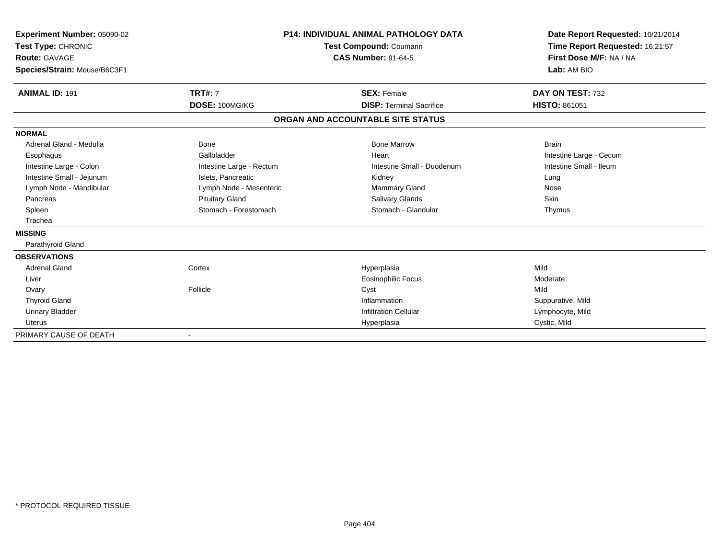| Experiment Number: 05090-02<br>Test Type: CHRONIC<br><b>Route: GAVAGE</b><br>Species/Strain: Mouse/B6C3F1 |                          | <b>P14: INDIVIDUAL ANIMAL PATHOLOGY DATA</b><br><b>Test Compound: Coumarin</b><br><b>CAS Number: 91-64-5</b> | Date Report Requested: 10/21/2014<br>Time Report Requested: 16:21:57<br>First Dose M/F: NA / NA<br>Lab: AM BIO |
|-----------------------------------------------------------------------------------------------------------|--------------------------|--------------------------------------------------------------------------------------------------------------|----------------------------------------------------------------------------------------------------------------|
| <b>ANIMAL ID: 191</b>                                                                                     | <b>TRT#: 7</b>           | <b>SEX: Female</b>                                                                                           | DAY ON TEST: 732                                                                                               |
|                                                                                                           | DOSE: 100MG/KG           | <b>DISP: Terminal Sacrifice</b>                                                                              | <b>HISTO: 861051</b>                                                                                           |
|                                                                                                           |                          | ORGAN AND ACCOUNTABLE SITE STATUS                                                                            |                                                                                                                |
| <b>NORMAL</b>                                                                                             |                          |                                                                                                              |                                                                                                                |
| Adrenal Gland - Medulla                                                                                   | Bone                     | <b>Bone Marrow</b>                                                                                           | <b>Brain</b>                                                                                                   |
| Esophagus                                                                                                 | Gallbladder              | Heart                                                                                                        | Intestine Large - Cecum                                                                                        |
| Intestine Large - Colon                                                                                   | Intestine Large - Rectum | Intestine Small - Duodenum                                                                                   | Intestine Small - Ileum                                                                                        |
| Intestine Small - Jejunum                                                                                 | Islets, Pancreatic       | Kidney                                                                                                       | Lung                                                                                                           |
| Lymph Node - Mandibular                                                                                   | Lymph Node - Mesenteric  | <b>Mammary Gland</b>                                                                                         | Nose                                                                                                           |
| Pancreas                                                                                                  | <b>Pituitary Gland</b>   | Salivary Glands                                                                                              | <b>Skin</b>                                                                                                    |
| Spleen                                                                                                    | Stomach - Forestomach    | Stomach - Glandular                                                                                          | Thymus                                                                                                         |
| Trachea                                                                                                   |                          |                                                                                                              |                                                                                                                |
| <b>MISSING</b>                                                                                            |                          |                                                                                                              |                                                                                                                |
| Parathyroid Gland                                                                                         |                          |                                                                                                              |                                                                                                                |
| <b>OBSERVATIONS</b>                                                                                       |                          |                                                                                                              |                                                                                                                |
| <b>Adrenal Gland</b>                                                                                      | Cortex                   | Hyperplasia                                                                                                  | Mild                                                                                                           |
| Liver                                                                                                     |                          | <b>Eosinophilic Focus</b>                                                                                    | Moderate                                                                                                       |
| Ovary                                                                                                     | Follicle                 | Cyst                                                                                                         | Mild                                                                                                           |
| <b>Thyroid Gland</b>                                                                                      |                          | Inflammation                                                                                                 | Suppurative, Mild                                                                                              |
| <b>Urinary Bladder</b>                                                                                    |                          | <b>Infiltration Cellular</b>                                                                                 | Lymphocyte, Mild                                                                                               |
| <b>Uterus</b>                                                                                             |                          | Hyperplasia                                                                                                  | Cystic, Mild                                                                                                   |
| PRIMARY CAUSE OF DEATH                                                                                    |                          |                                                                                                              |                                                                                                                |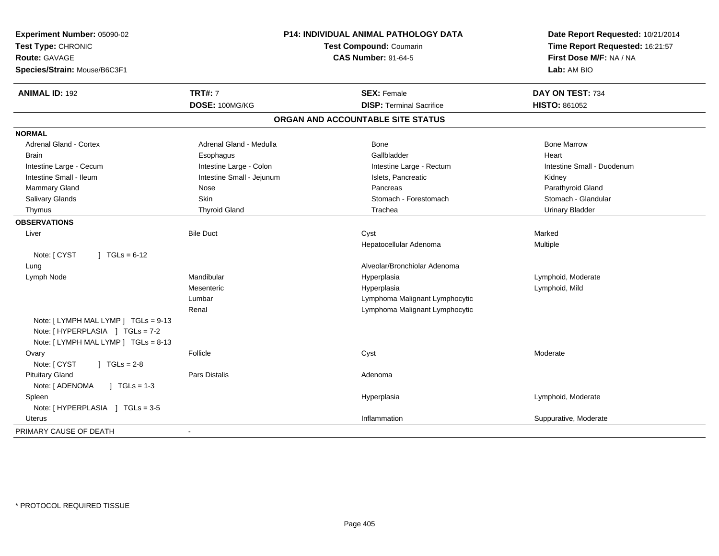| Experiment Number: 05090-02<br>Test Type: CHRONIC<br><b>Route: GAVAGE</b><br>Species/Strain: Mouse/B6C3F1        | <b>P14: INDIVIDUAL ANIMAL PATHOLOGY DATA</b><br><b>Test Compound: Coumarin</b><br><b>CAS Number: 91-64-5</b> |                                   | Date Report Requested: 10/21/2014<br>Time Report Requested: 16:21:57<br>First Dose M/F: NA / NA<br>Lab: AM BIO |  |
|------------------------------------------------------------------------------------------------------------------|--------------------------------------------------------------------------------------------------------------|-----------------------------------|----------------------------------------------------------------------------------------------------------------|--|
| <b>ANIMAL ID: 192</b>                                                                                            | <b>TRT#: 7</b>                                                                                               | <b>SEX: Female</b>                | DAY ON TEST: 734                                                                                               |  |
|                                                                                                                  | DOSE: 100MG/KG                                                                                               | <b>DISP: Terminal Sacrifice</b>   | <b>HISTO: 861052</b>                                                                                           |  |
|                                                                                                                  |                                                                                                              | ORGAN AND ACCOUNTABLE SITE STATUS |                                                                                                                |  |
| <b>NORMAL</b>                                                                                                    |                                                                                                              |                                   |                                                                                                                |  |
| <b>Adrenal Gland - Cortex</b>                                                                                    | Adrenal Gland - Medulla                                                                                      | Bone                              | <b>Bone Marrow</b>                                                                                             |  |
| <b>Brain</b>                                                                                                     | Esophagus                                                                                                    | Gallbladder                       | Heart                                                                                                          |  |
| Intestine Large - Cecum                                                                                          | Intestine Large - Colon                                                                                      | Intestine Large - Rectum          | Intestine Small - Duodenum                                                                                     |  |
| Intestine Small - Ileum                                                                                          | Intestine Small - Jejunum                                                                                    | Islets, Pancreatic                | Kidney                                                                                                         |  |
| Mammary Gland                                                                                                    | Nose                                                                                                         | Pancreas                          | Parathyroid Gland                                                                                              |  |
| Salivary Glands                                                                                                  | Skin                                                                                                         | Stomach - Forestomach             | Stomach - Glandular                                                                                            |  |
| Thymus                                                                                                           | <b>Thyroid Gland</b>                                                                                         | Trachea                           | <b>Urinary Bladder</b>                                                                                         |  |
| <b>OBSERVATIONS</b>                                                                                              |                                                                                                              |                                   |                                                                                                                |  |
| Liver                                                                                                            | <b>Bile Duct</b>                                                                                             | Cyst                              | Marked                                                                                                         |  |
|                                                                                                                  |                                                                                                              | Hepatocellular Adenoma            | Multiple                                                                                                       |  |
| Note: [ CYST<br>$\int$ TGLs = 6-12                                                                               |                                                                                                              |                                   |                                                                                                                |  |
| Lung                                                                                                             |                                                                                                              | Alveolar/Bronchiolar Adenoma      |                                                                                                                |  |
| Lymph Node                                                                                                       | Mandibular                                                                                                   | Hyperplasia                       | Lymphoid, Moderate                                                                                             |  |
|                                                                                                                  | Mesenteric                                                                                                   | Hyperplasia                       | Lymphoid, Mild                                                                                                 |  |
|                                                                                                                  | Lumbar                                                                                                       | Lymphoma Malignant Lymphocytic    |                                                                                                                |  |
|                                                                                                                  | Renal                                                                                                        | Lymphoma Malignant Lymphocytic    |                                                                                                                |  |
| Note: [ LYMPH MAL LYMP ] TGLs = 9-13<br>Note: [ HYPERPLASIA ] TGLs = 7-2<br>Note: [ LYMPH MAL LYMP ] TGLs = 8-13 |                                                                                                              |                                   |                                                                                                                |  |
| Ovary                                                                                                            | Follicle                                                                                                     | Cyst                              | Moderate                                                                                                       |  |
| Note: [ CYST<br>$J \cdot TGLS = 2-8$                                                                             |                                                                                                              |                                   |                                                                                                                |  |
| <b>Pituitary Gland</b>                                                                                           | Pars Distalis                                                                                                | Adenoma                           |                                                                                                                |  |
| Note: [ ADENOMA<br>$\sqrt{ }$ TGLs = 1-3                                                                         |                                                                                                              |                                   |                                                                                                                |  |
| Spleen                                                                                                           |                                                                                                              | Hyperplasia                       | Lymphoid, Moderate                                                                                             |  |
| Note: [HYPERPLASIA ] TGLs = 3-5                                                                                  |                                                                                                              |                                   |                                                                                                                |  |
| Uterus                                                                                                           |                                                                                                              | Inflammation                      | Suppurative, Moderate                                                                                          |  |
| PRIMARY CAUSE OF DEATH                                                                                           | $\blacksquare$                                                                                               |                                   |                                                                                                                |  |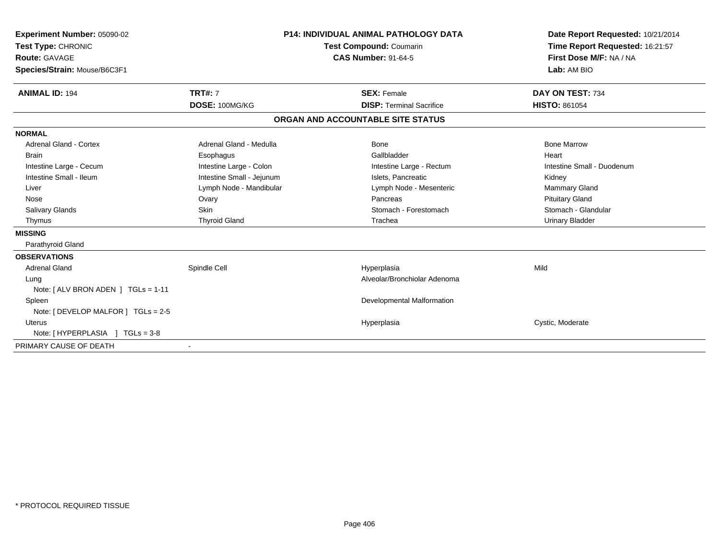| Experiment Number: 05090-02<br>Test Type: CHRONIC<br><b>Route: GAVAGE</b><br>Species/Strain: Mouse/B6C3F1 |                           | <b>P14: INDIVIDUAL ANIMAL PATHOLOGY DATA</b><br>Test Compound: Coumarin<br><b>CAS Number: 91-64-5</b> |                                   | Date Report Requested: 10/21/2014<br>Time Report Requested: 16:21:57<br>First Dose M/F: NA / NA<br>Lab: AM BIO |
|-----------------------------------------------------------------------------------------------------------|---------------------------|-------------------------------------------------------------------------------------------------------|-----------------------------------|----------------------------------------------------------------------------------------------------------------|
| <b>ANIMAL ID: 194</b>                                                                                     | <b>TRT#: 7</b>            |                                                                                                       | <b>SEX: Female</b>                | DAY ON TEST: 734                                                                                               |
|                                                                                                           | DOSE: 100MG/KG            |                                                                                                       | <b>DISP: Terminal Sacrifice</b>   | <b>HISTO: 861054</b>                                                                                           |
|                                                                                                           |                           |                                                                                                       | ORGAN AND ACCOUNTABLE SITE STATUS |                                                                                                                |
| <b>NORMAL</b>                                                                                             |                           |                                                                                                       |                                   |                                                                                                                |
| <b>Adrenal Gland - Cortex</b>                                                                             | Adrenal Gland - Medulla   |                                                                                                       | Bone                              | <b>Bone Marrow</b>                                                                                             |
| <b>Brain</b>                                                                                              | Esophagus                 |                                                                                                       | Gallbladder                       | Heart                                                                                                          |
| Intestine Large - Cecum                                                                                   | Intestine Large - Colon   |                                                                                                       | Intestine Large - Rectum          | Intestine Small - Duodenum                                                                                     |
| Intestine Small - Ileum                                                                                   | Intestine Small - Jejunum |                                                                                                       | Islets, Pancreatic                | Kidney                                                                                                         |
| Liver                                                                                                     | Lymph Node - Mandibular   |                                                                                                       | Lymph Node - Mesenteric           | Mammary Gland                                                                                                  |
| Nose                                                                                                      | Ovary                     |                                                                                                       | Pancreas                          | <b>Pituitary Gland</b>                                                                                         |
| <b>Salivary Glands</b>                                                                                    | <b>Skin</b>               |                                                                                                       | Stomach - Forestomach             | Stomach - Glandular                                                                                            |
| Thymus                                                                                                    | <b>Thyroid Gland</b>      |                                                                                                       | Trachea                           | <b>Urinary Bladder</b>                                                                                         |
| <b>MISSING</b>                                                                                            |                           |                                                                                                       |                                   |                                                                                                                |
| Parathyroid Gland                                                                                         |                           |                                                                                                       |                                   |                                                                                                                |
| <b>OBSERVATIONS</b>                                                                                       |                           |                                                                                                       |                                   |                                                                                                                |
| <b>Adrenal Gland</b>                                                                                      | Spindle Cell              |                                                                                                       | Hyperplasia                       | Mild                                                                                                           |
| Lung                                                                                                      |                           |                                                                                                       | Alveolar/Bronchiolar Adenoma      |                                                                                                                |
| Note: [ ALV BRON ADEN ] TGLs = 1-11                                                                       |                           |                                                                                                       |                                   |                                                                                                                |
| Spleen                                                                                                    |                           |                                                                                                       | <b>Developmental Malformation</b> |                                                                                                                |
| Note: [ DEVELOP MALFOR ] TGLs = 2-5                                                                       |                           |                                                                                                       |                                   |                                                                                                                |
| <b>Uterus</b>                                                                                             |                           |                                                                                                       | Hyperplasia                       | Cystic, Moderate                                                                                               |
| Note: [HYPERPLASIA ] TGLs = 3-8                                                                           |                           |                                                                                                       |                                   |                                                                                                                |
| PRIMARY CAUSE OF DEATH                                                                                    |                           |                                                                                                       |                                   |                                                                                                                |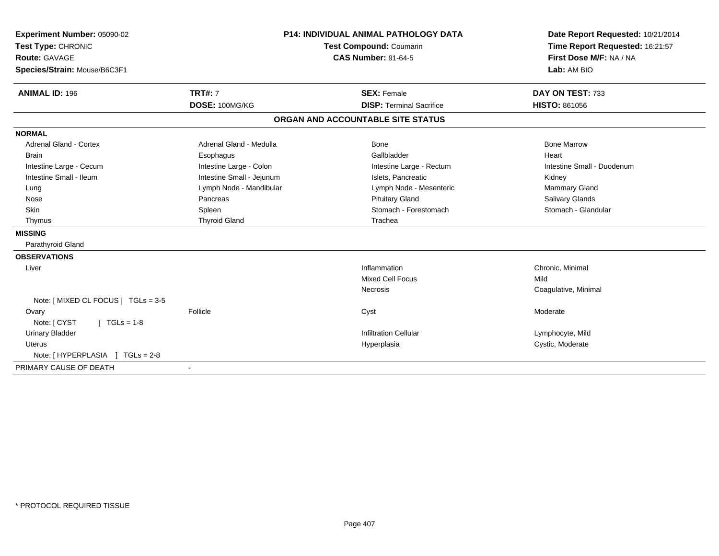| Experiment Number: 05090-02         | <b>P14: INDIVIDUAL ANIMAL PATHOLOGY DATA</b><br><b>Test Compound: Coumarin</b> |                                   | Date Report Requested: 10/21/2014 |  |
|-------------------------------------|--------------------------------------------------------------------------------|-----------------------------------|-----------------------------------|--|
| Test Type: CHRONIC                  |                                                                                |                                   | Time Report Requested: 16:21:57   |  |
| <b>Route: GAVAGE</b>                |                                                                                | <b>CAS Number: 91-64-5</b>        | First Dose M/F: NA / NA           |  |
| Species/Strain: Mouse/B6C3F1        |                                                                                |                                   | Lab: AM BIO                       |  |
| <b>ANIMAL ID: 196</b>               | <b>TRT#: 7</b>                                                                 | <b>SEX: Female</b>                | DAY ON TEST: 733                  |  |
|                                     | DOSE: 100MG/KG                                                                 | <b>DISP: Terminal Sacrifice</b>   | <b>HISTO: 861056</b>              |  |
|                                     |                                                                                | ORGAN AND ACCOUNTABLE SITE STATUS |                                   |  |
| <b>NORMAL</b>                       |                                                                                |                                   |                                   |  |
| Adrenal Gland - Cortex              | Adrenal Gland - Medulla                                                        | Bone                              | <b>Bone Marrow</b>                |  |
| <b>Brain</b>                        | Esophagus                                                                      | Gallbladder                       | Heart                             |  |
| Intestine Large - Cecum             | Intestine Large - Colon                                                        | Intestine Large - Rectum          | Intestine Small - Duodenum        |  |
| Intestine Small - Ileum             | Intestine Small - Jejunum                                                      | Islets, Pancreatic                | Kidney                            |  |
| Lung                                | Lymph Node - Mandibular                                                        | Lymph Node - Mesenteric           | Mammary Gland                     |  |
| Nose                                | Pancreas                                                                       | <b>Pituitary Gland</b>            | Salivary Glands                   |  |
| <b>Skin</b>                         | Spleen                                                                         | Stomach - Forestomach             | Stomach - Glandular               |  |
| Thymus                              | <b>Thyroid Gland</b>                                                           | Trachea                           |                                   |  |
| <b>MISSING</b>                      |                                                                                |                                   |                                   |  |
| Parathyroid Gland                   |                                                                                |                                   |                                   |  |
| <b>OBSERVATIONS</b>                 |                                                                                |                                   |                                   |  |
| Liver                               |                                                                                | Inflammation                      | Chronic, Minimal                  |  |
|                                     |                                                                                | <b>Mixed Cell Focus</b>           | Mild                              |  |
|                                     |                                                                                | Necrosis                          | Coagulative, Minimal              |  |
| Note: [ MIXED CL FOCUS ] TGLs = 3-5 |                                                                                |                                   |                                   |  |
| Ovary                               | Follicle                                                                       | Cyst                              | Moderate                          |  |
| Note: [ CYST<br>$1 TGLs = 1-8$      |                                                                                |                                   |                                   |  |
| <b>Urinary Bladder</b>              |                                                                                | <b>Infiltration Cellular</b>      | Lymphocyte, Mild                  |  |
| <b>Uterus</b>                       |                                                                                | Hyperplasia                       | Cystic, Moderate                  |  |
| $TGLs = 2-8$<br>Note: [ HYPERPLASIA |                                                                                |                                   |                                   |  |
| PRIMARY CAUSE OF DEATH              |                                                                                |                                   |                                   |  |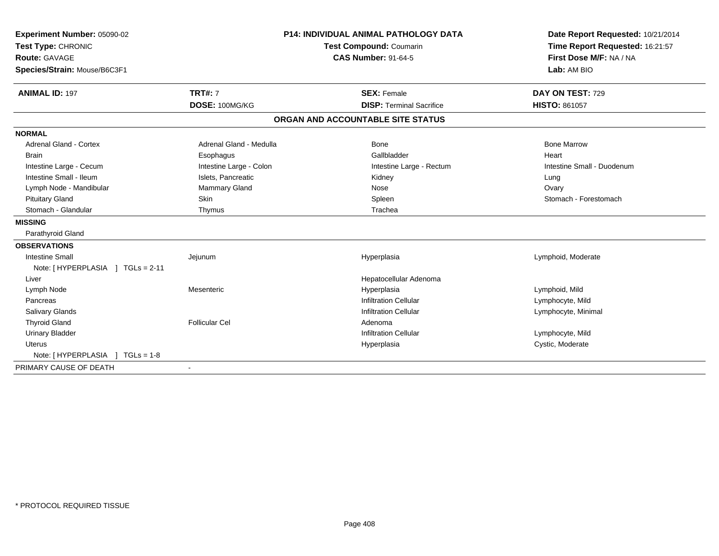| Experiment Number: 05090-02      |                                | <b>P14: INDIVIDUAL ANIMAL PATHOLOGY DATA</b> | Date Report Requested: 10/21/2014 |  |
|----------------------------------|--------------------------------|----------------------------------------------|-----------------------------------|--|
| Test Type: CHRONIC               | <b>Test Compound: Coumarin</b> |                                              | Time Report Requested: 16:21:57   |  |
| <b>Route: GAVAGE</b>             |                                | <b>CAS Number: 91-64-5</b>                   | First Dose M/F: NA / NA           |  |
| Species/Strain: Mouse/B6C3F1     |                                |                                              | Lab: AM BIO                       |  |
| <b>ANIMAL ID: 197</b>            | <b>TRT#: 7</b>                 | <b>SEX: Female</b>                           | DAY ON TEST: 729                  |  |
|                                  |                                |                                              |                                   |  |
|                                  | DOSE: 100MG/KG                 | <b>DISP: Terminal Sacrifice</b>              | <b>HISTO: 861057</b>              |  |
|                                  |                                | ORGAN AND ACCOUNTABLE SITE STATUS            |                                   |  |
| <b>NORMAL</b>                    |                                |                                              |                                   |  |
| Adrenal Gland - Cortex           | Adrenal Gland - Medulla        | Bone                                         | <b>Bone Marrow</b>                |  |
| <b>Brain</b>                     | Esophagus                      | Gallbladder                                  | Heart                             |  |
| Intestine Large - Cecum          | Intestine Large - Colon        | Intestine Large - Rectum                     | Intestine Small - Duodenum        |  |
| Intestine Small - Ileum          | Islets, Pancreatic             | Kidney                                       | Lung                              |  |
| Lymph Node - Mandibular          | Mammary Gland                  | Nose                                         | Ovary                             |  |
| <b>Pituitary Gland</b>           | <b>Skin</b>                    | Spleen                                       | Stomach - Forestomach             |  |
| Stomach - Glandular              | Thymus                         | Trachea                                      |                                   |  |
| <b>MISSING</b>                   |                                |                                              |                                   |  |
| Parathyroid Gland                |                                |                                              |                                   |  |
| <b>OBSERVATIONS</b>              |                                |                                              |                                   |  |
| <b>Intestine Small</b>           | Jejunum                        | Hyperplasia                                  | Lymphoid, Moderate                |  |
| Note: [HYPERPLASIA ] TGLs = 2-11 |                                |                                              |                                   |  |
| Liver                            |                                | Hepatocellular Adenoma                       |                                   |  |
| Lymph Node                       | Mesenteric                     | Hyperplasia                                  | Lymphoid, Mild                    |  |
| Pancreas                         |                                | <b>Infiltration Cellular</b>                 | Lymphocyte, Mild                  |  |
| Salivary Glands                  |                                | <b>Infiltration Cellular</b>                 | Lymphocyte, Minimal               |  |
| <b>Thyroid Gland</b>             | <b>Follicular Cel</b>          | Adenoma                                      |                                   |  |
| <b>Urinary Bladder</b>           |                                | <b>Infiltration Cellular</b>                 | Lymphocyte, Mild                  |  |
| Uterus                           |                                | Hyperplasia                                  | Cystic, Moderate                  |  |
|                                  |                                |                                              |                                   |  |
| PRIMARY CAUSE OF DEATH           |                                |                                              |                                   |  |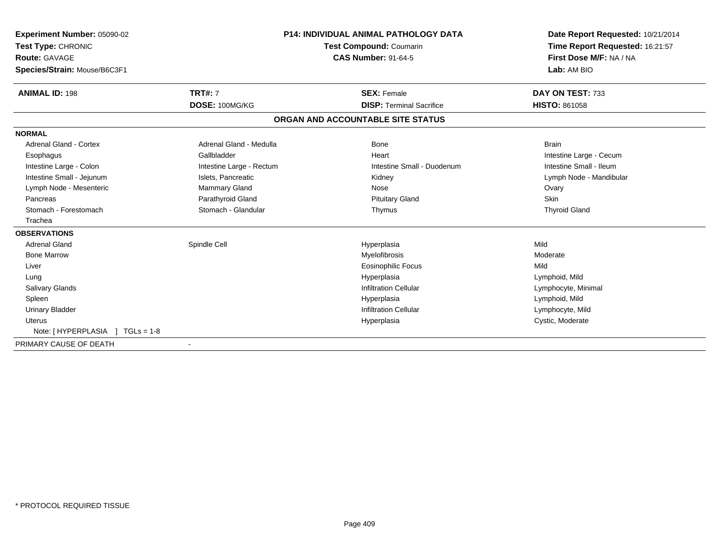| Experiment Number: 05090-02<br>Test Type: CHRONIC | <b>P14: INDIVIDUAL ANIMAL PATHOLOGY DATA</b><br><b>Test Compound: Coumarin</b> |                                   | Date Report Requested: 10/21/2014<br>Time Report Requested: 16:21:57 |  |
|---------------------------------------------------|--------------------------------------------------------------------------------|-----------------------------------|----------------------------------------------------------------------|--|
| <b>Route: GAVAGE</b>                              |                                                                                | <b>CAS Number: 91-64-5</b>        | First Dose M/F: NA / NA                                              |  |
| Species/Strain: Mouse/B6C3F1                      |                                                                                |                                   | Lab: AM BIO                                                          |  |
| <b>ANIMAL ID: 198</b>                             | <b>TRT#: 7</b>                                                                 | <b>SEX: Female</b>                | DAY ON TEST: 733                                                     |  |
|                                                   | DOSE: 100MG/KG                                                                 | <b>DISP: Terminal Sacrifice</b>   | <b>HISTO: 861058</b>                                                 |  |
|                                                   |                                                                                | ORGAN AND ACCOUNTABLE SITE STATUS |                                                                      |  |
| <b>NORMAL</b>                                     |                                                                                |                                   |                                                                      |  |
| Adrenal Gland - Cortex                            | Adrenal Gland - Medulla                                                        | Bone                              | <b>Brain</b>                                                         |  |
| Esophagus                                         | Gallbladder                                                                    | Heart                             | Intestine Large - Cecum                                              |  |
| Intestine Large - Colon                           | Intestine Large - Rectum                                                       | Intestine Small - Duodenum        | Intestine Small - Ileum                                              |  |
| Intestine Small - Jejunum                         | Islets, Pancreatic                                                             | Kidney                            | Lymph Node - Mandibular                                              |  |
| Lymph Node - Mesenteric                           | <b>Mammary Gland</b>                                                           | Nose                              | Ovary                                                                |  |
| Pancreas                                          | Parathyroid Gland                                                              | <b>Pituitary Gland</b>            | <b>Skin</b>                                                          |  |
| Stomach - Forestomach                             | Stomach - Glandular                                                            | Thymus                            | <b>Thyroid Gland</b>                                                 |  |
| Trachea                                           |                                                                                |                                   |                                                                      |  |
| <b>OBSERVATIONS</b>                               |                                                                                |                                   |                                                                      |  |
| <b>Adrenal Gland</b>                              | Spindle Cell                                                                   | Hyperplasia                       | Mild                                                                 |  |
| <b>Bone Marrow</b>                                |                                                                                | Myelofibrosis                     | Moderate                                                             |  |
| Liver                                             |                                                                                | <b>Eosinophilic Focus</b>         | Mild                                                                 |  |
| Lung                                              |                                                                                | Hyperplasia                       | Lymphoid, Mild                                                       |  |
| <b>Salivary Glands</b>                            |                                                                                | <b>Infiltration Cellular</b>      | Lymphocyte, Minimal                                                  |  |
| Spleen                                            |                                                                                | Hyperplasia                       | Lymphoid, Mild                                                       |  |
| <b>Urinary Bladder</b>                            |                                                                                | <b>Infiltration Cellular</b>      | Lymphocyte, Mild                                                     |  |
| Uterus                                            |                                                                                | Hyperplasia                       | Cystic, Moderate                                                     |  |
| Note: [HYPERPLASIA ] TGLs = 1-8                   |                                                                                |                                   |                                                                      |  |
| PRIMARY CAUSE OF DEATH                            |                                                                                |                                   |                                                                      |  |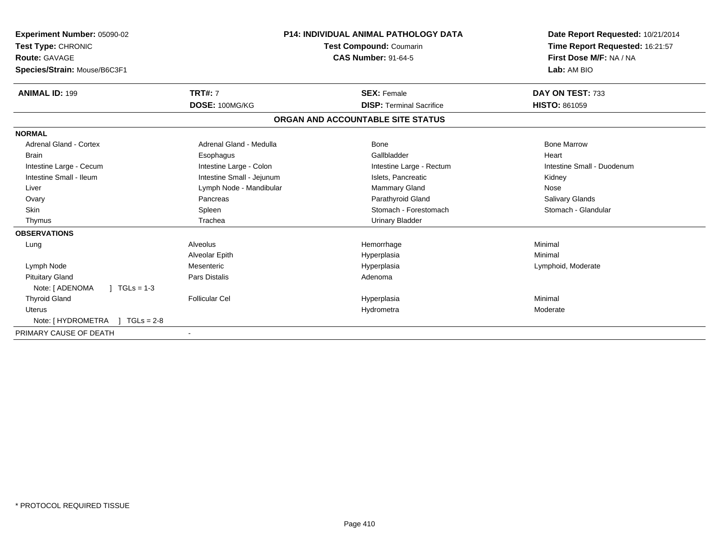| Experiment Number: 05090-02<br>Test Type: CHRONIC    |                           | <b>P14: INDIVIDUAL ANIMAL PATHOLOGY DATA</b><br><b>Test Compound: Coumarin</b> | Date Report Requested: 10/21/2014<br>Time Report Requested: 16:21:57 |
|------------------------------------------------------|---------------------------|--------------------------------------------------------------------------------|----------------------------------------------------------------------|
| <b>Route: GAVAGE</b><br>Species/Strain: Mouse/B6C3F1 |                           | <b>CAS Number: 91-64-5</b>                                                     | First Dose M/F: NA / NA<br>Lab: AM BIO                               |
|                                                      |                           |                                                                                |                                                                      |
| <b>ANIMAL ID: 199</b>                                | <b>TRT#: 7</b>            | <b>SEX: Female</b>                                                             | DAY ON TEST: 733                                                     |
|                                                      | DOSE: 100MG/KG            | <b>DISP: Terminal Sacrifice</b>                                                | <b>HISTO: 861059</b>                                                 |
|                                                      |                           | ORGAN AND ACCOUNTABLE SITE STATUS                                              |                                                                      |
| <b>NORMAL</b>                                        |                           |                                                                                |                                                                      |
| <b>Adrenal Gland - Cortex</b>                        | Adrenal Gland - Medulla   | Bone                                                                           | <b>Bone Marrow</b>                                                   |
| <b>Brain</b>                                         | Esophagus                 | Gallbladder                                                                    | Heart                                                                |
| Intestine Large - Cecum                              | Intestine Large - Colon   | Intestine Large - Rectum                                                       | Intestine Small - Duodenum                                           |
| Intestine Small - Ileum                              | Intestine Small - Jejunum | Islets, Pancreatic                                                             | Kidney                                                               |
| Liver                                                | Lymph Node - Mandibular   | Mammary Gland                                                                  | Nose                                                                 |
| Ovary                                                | Pancreas                  | Parathyroid Gland                                                              | <b>Salivary Glands</b>                                               |
| <b>Skin</b>                                          | Spleen                    | Stomach - Forestomach                                                          | Stomach - Glandular                                                  |
| Thymus                                               | Trachea                   | Urinary Bladder                                                                |                                                                      |
| <b>OBSERVATIONS</b>                                  |                           |                                                                                |                                                                      |
| Lung                                                 | Alveolus                  | Hemorrhage                                                                     | Minimal                                                              |
|                                                      | Alveolar Epith            | Hyperplasia                                                                    | Minimal                                                              |
| Lymph Node                                           | Mesenteric                | Hyperplasia                                                                    | Lymphoid, Moderate                                                   |
| <b>Pituitary Gland</b>                               | <b>Pars Distalis</b>      | Adenoma                                                                        |                                                                      |
| Note: [ ADENOMA<br>$\sqrt{11}$ TGLs = 1-3            |                           |                                                                                |                                                                      |
| <b>Thyroid Gland</b>                                 | <b>Follicular Cel</b>     | Hyperplasia                                                                    | Minimal                                                              |
| <b>Uterus</b>                                        |                           | Hydrometra                                                                     | Moderate                                                             |
| Note: [ HYDROMETRA<br>$1 TGLs = 2-8$                 |                           |                                                                                |                                                                      |
| PRIMARY CAUSE OF DEATH                               |                           |                                                                                |                                                                      |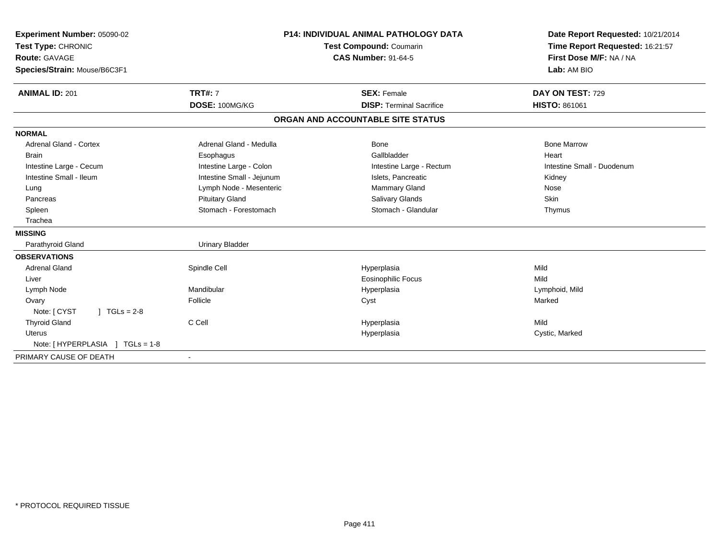| Experiment Number: 05090-02<br>Test Type: CHRONIC | <b>P14: INDIVIDUAL ANIMAL PATHOLOGY DATA</b><br><b>Test Compound: Coumarin</b> |                                   | Date Report Requested: 10/21/2014<br>Time Report Requested: 16:21:57 |  |
|---------------------------------------------------|--------------------------------------------------------------------------------|-----------------------------------|----------------------------------------------------------------------|--|
| <b>Route: GAVAGE</b>                              |                                                                                | <b>CAS Number: 91-64-5</b>        | First Dose M/F: NA / NA                                              |  |
| Species/Strain: Mouse/B6C3F1                      |                                                                                |                                   | Lab: AM BIO                                                          |  |
| <b>ANIMAL ID: 201</b>                             | <b>TRT#: 7</b>                                                                 | <b>SEX: Female</b>                | DAY ON TEST: 729                                                     |  |
|                                                   | DOSE: 100MG/KG                                                                 | <b>DISP: Terminal Sacrifice</b>   | <b>HISTO: 861061</b>                                                 |  |
|                                                   |                                                                                | ORGAN AND ACCOUNTABLE SITE STATUS |                                                                      |  |
| <b>NORMAL</b>                                     |                                                                                |                                   |                                                                      |  |
| <b>Adrenal Gland - Cortex</b>                     | Adrenal Gland - Medulla                                                        | <b>Bone</b>                       | <b>Bone Marrow</b>                                                   |  |
| <b>Brain</b>                                      | Esophagus                                                                      | Gallbladder                       | Heart                                                                |  |
| Intestine Large - Cecum                           | Intestine Large - Colon                                                        | Intestine Large - Rectum          | Intestine Small - Duodenum                                           |  |
| Intestine Small - Ileum                           | Intestine Small - Jejunum                                                      | Islets, Pancreatic                | Kidney                                                               |  |
| Lung                                              | Lymph Node - Mesenteric                                                        | Mammary Gland                     | Nose                                                                 |  |
| Pancreas                                          | <b>Pituitary Gland</b>                                                         | <b>Salivary Glands</b>            | Skin                                                                 |  |
| Spleen                                            | Stomach - Forestomach                                                          | Stomach - Glandular               | Thymus                                                               |  |
| Trachea                                           |                                                                                |                                   |                                                                      |  |
| <b>MISSING</b>                                    |                                                                                |                                   |                                                                      |  |
| Parathyroid Gland                                 | <b>Urinary Bladder</b>                                                         |                                   |                                                                      |  |
| <b>OBSERVATIONS</b>                               |                                                                                |                                   |                                                                      |  |
| <b>Adrenal Gland</b>                              | Spindle Cell                                                                   | Hyperplasia                       | Mild                                                                 |  |
| Liver                                             |                                                                                | <b>Eosinophilic Focus</b>         | Mild                                                                 |  |
| Lymph Node                                        | Mandibular                                                                     | Hyperplasia                       | Lymphoid, Mild                                                       |  |
| Ovary                                             | Follicle                                                                       | Cyst                              | Marked                                                               |  |
| Note: [ CYST<br>$J \cdot TGLs = 2-8$              |                                                                                |                                   |                                                                      |  |
| <b>Thyroid Gland</b>                              | C Cell                                                                         | Hyperplasia                       | Mild                                                                 |  |
| <b>Uterus</b>                                     |                                                                                | Hyperplasia                       | Cystic, Marked                                                       |  |
| Note: [HYPERPLASIA ]<br>$TGLs = 1-8$              |                                                                                |                                   |                                                                      |  |
| PRIMARY CAUSE OF DEATH                            |                                                                                |                                   |                                                                      |  |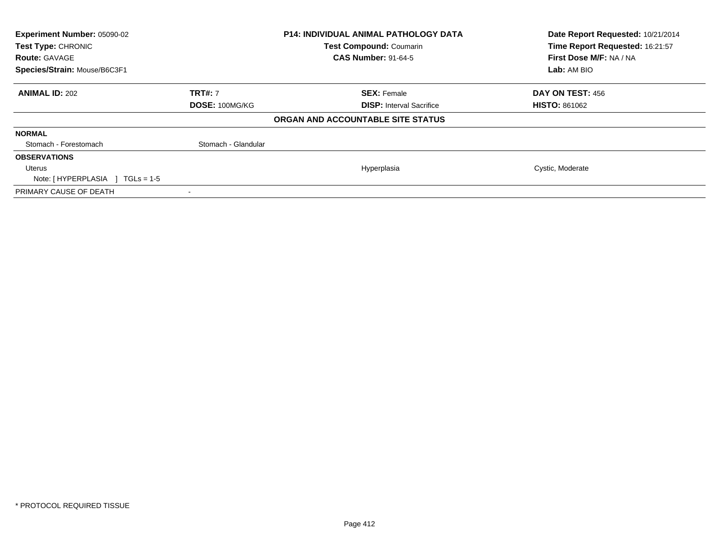| Experiment Number: 05090-02<br>Test Type: CHRONIC<br><b>Route: GAVAGE</b><br>Species/Strain: Mouse/B6C3F1 |                                  | <b>P14: INDIVIDUAL ANIMAL PATHOLOGY DATA</b><br><b>Test Compound: Coumarin</b><br><b>CAS Number: 91-64-5</b> | Date Report Requested: 10/21/2014<br>Time Report Requested: 16:21:57<br>First Dose M/F: NA / NA<br>Lab: AM BIO |
|-----------------------------------------------------------------------------------------------------------|----------------------------------|--------------------------------------------------------------------------------------------------------------|----------------------------------------------------------------------------------------------------------------|
| <b>ANIMAL ID: 202</b>                                                                                     | <b>TRT#: 7</b><br>DOSE: 100MG/KG | <b>SEX: Female</b><br><b>DISP:</b> Interval Sacrifice                                                        | <b>DAY ON TEST: 456</b><br><b>HISTO: 861062</b>                                                                |
|                                                                                                           |                                  | ORGAN AND ACCOUNTABLE SITE STATUS                                                                            |                                                                                                                |
| <b>NORMAL</b>                                                                                             |                                  |                                                                                                              |                                                                                                                |
| Stomach - Forestomach                                                                                     | Stomach - Glandular              |                                                                                                              |                                                                                                                |
| <b>OBSERVATIONS</b>                                                                                       |                                  |                                                                                                              |                                                                                                                |
| Uterus<br>Note: [HYPERPLASIA ]<br>$\sqrt{11}$ TGLs = 1-5                                                  |                                  | Hyperplasia                                                                                                  | Cystic, Moderate                                                                                               |
| PRIMARY CAUSE OF DEATH                                                                                    |                                  |                                                                                                              |                                                                                                                |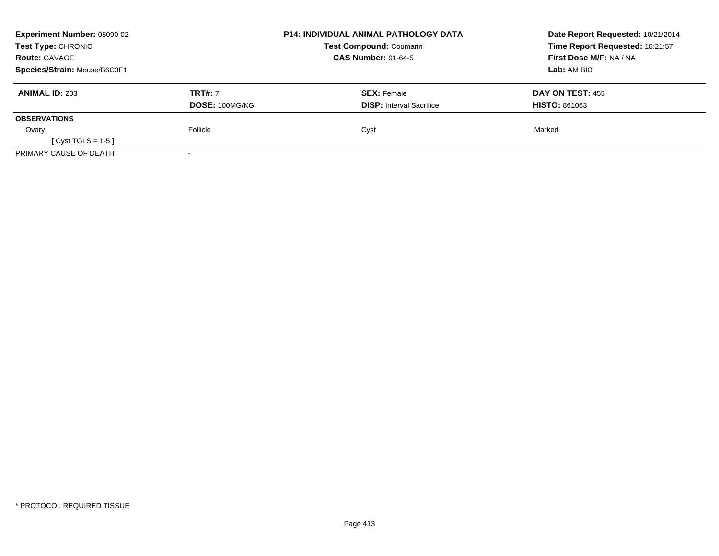| <b>Experiment Number: 05090-02</b><br>Test Type: CHRONIC |                | <b>P14: INDIVIDUAL ANIMAL PATHOLOGY DATA</b><br><b>Test Compound: Coumarin</b> | Date Report Requested: 10/21/2014<br>Time Report Requested: 16:21:57 |
|----------------------------------------------------------|----------------|--------------------------------------------------------------------------------|----------------------------------------------------------------------|
| <b>Route: GAVAGE</b>                                     |                | <b>CAS Number: 91-64-5</b>                                                     | First Dose M/F: NA / NA                                              |
| Species/Strain: Mouse/B6C3F1                             |                |                                                                                | <b>Lab:</b> AM BIO                                                   |
| <b>ANIMAL ID: 203</b>                                    | <b>TRT#: 7</b> | <b>SEX: Female</b>                                                             | DAY ON TEST: 455                                                     |
|                                                          | DOSE: 100MG/KG | <b>DISP:</b> Interval Sacrifice                                                | <b>HISTO: 861063</b>                                                 |
| <b>OBSERVATIONS</b>                                      |                |                                                                                |                                                                      |
| Ovary                                                    | Follicle       | Cyst                                                                           | Marked                                                               |
| [ $Cyst TGLS = 1-5$ ]                                    |                |                                                                                |                                                                      |
| PRIMARY CAUSE OF DEATH                                   |                |                                                                                |                                                                      |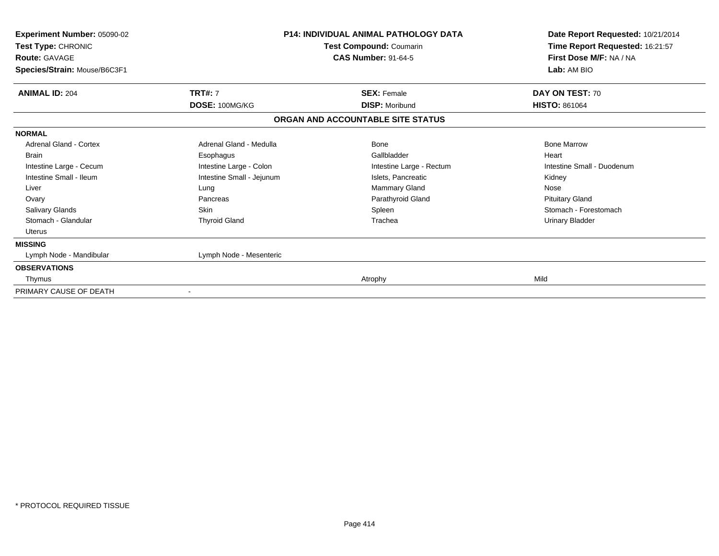|                                                                                                                                                         |                                                                                                                                  | Date Report Requested: 10/21/2014<br>Time Report Requested: 16:21:57<br>First Dose M/F: NA / NA<br>Lab: AM BIO                                           |  |
|---------------------------------------------------------------------------------------------------------------------------------------------------------|----------------------------------------------------------------------------------------------------------------------------------|----------------------------------------------------------------------------------------------------------------------------------------------------------|--|
| <b>TRT#: 7</b><br>DOSE: 100MG/KG                                                                                                                        | <b>SEX: Female</b><br><b>DISP: Moribund</b>                                                                                      | DAY ON TEST: 70<br><b>HISTO: 861064</b>                                                                                                                  |  |
|                                                                                                                                                         |                                                                                                                                  |                                                                                                                                                          |  |
| Adrenal Gland - Medulla<br>Esophagus<br>Intestine Large - Colon<br>Intestine Small - Jejunum<br>Lung<br>Pancreas<br><b>Skin</b><br><b>Thyroid Gland</b> | Bone<br>Gallbladder<br>Intestine Large - Rectum<br>Islets, Pancreatic<br>Mammary Gland<br>Parathyroid Gland<br>Spleen<br>Trachea | <b>Bone Marrow</b><br>Heart<br>Intestine Small - Duodenum<br>Kidney<br>Nose<br><b>Pituitary Gland</b><br>Stomach - Forestomach<br><b>Urinary Bladder</b> |  |
|                                                                                                                                                         |                                                                                                                                  |                                                                                                                                                          |  |
|                                                                                                                                                         | Atrophy                                                                                                                          | Mild                                                                                                                                                     |  |
|                                                                                                                                                         | Lymph Node - Mesenteric<br>$\overline{\phantom{a}}$                                                                              | ORGAN AND ACCOUNTABLE SITE STATUS                                                                                                                        |  |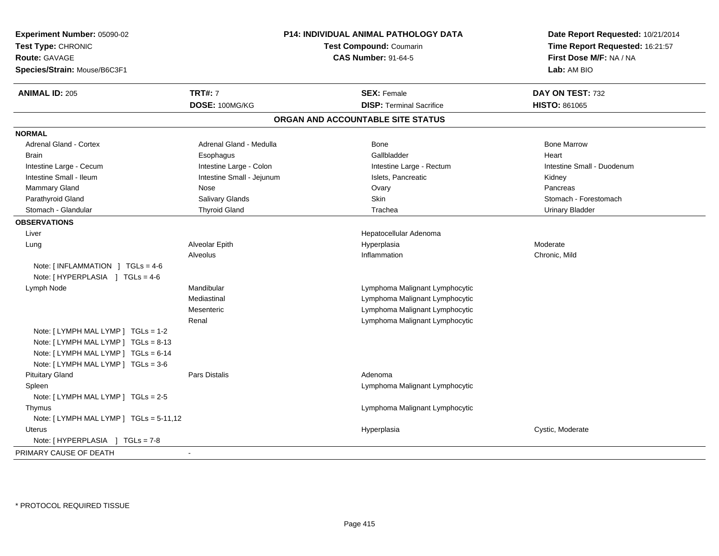| Experiment Number: 05090-02<br>Test Type: CHRONIC<br><b>Route: GAVAGE</b><br>Species/Strain: Mouse/B6C3F1                                               |                           | P14: INDIVIDUAL ANIMAL PATHOLOGY DATA<br><b>Test Compound: Coumarin</b><br><b>CAS Number: 91-64-5</b> | Date Report Requested: 10/21/2014<br>Time Report Requested: 16:21:57<br>First Dose M/F: NA / NA<br>Lab: AM BIO |  |
|---------------------------------------------------------------------------------------------------------------------------------------------------------|---------------------------|-------------------------------------------------------------------------------------------------------|----------------------------------------------------------------------------------------------------------------|--|
| <b>ANIMAL ID: 205</b>                                                                                                                                   | <b>TRT#: 7</b>            | <b>SEX: Female</b>                                                                                    | DAY ON TEST: 732                                                                                               |  |
|                                                                                                                                                         | DOSE: 100MG/KG            | <b>DISP: Terminal Sacrifice</b>                                                                       | <b>HISTO: 861065</b>                                                                                           |  |
|                                                                                                                                                         |                           | ORGAN AND ACCOUNTABLE SITE STATUS                                                                     |                                                                                                                |  |
| <b>NORMAL</b>                                                                                                                                           |                           |                                                                                                       |                                                                                                                |  |
| <b>Adrenal Gland - Cortex</b>                                                                                                                           | Adrenal Gland - Medulla   | <b>Bone</b>                                                                                           | <b>Bone Marrow</b>                                                                                             |  |
| <b>Brain</b>                                                                                                                                            | Esophagus                 | Gallbladder                                                                                           | Heart                                                                                                          |  |
| Intestine Large - Cecum                                                                                                                                 | Intestine Large - Colon   | Intestine Large - Rectum                                                                              | Intestine Small - Duodenum                                                                                     |  |
| Intestine Small - Ileum                                                                                                                                 | Intestine Small - Jejunum | Islets, Pancreatic                                                                                    | Kidney                                                                                                         |  |
| <b>Mammary Gland</b>                                                                                                                                    | Nose                      | Ovary                                                                                                 | Pancreas                                                                                                       |  |
| Parathyroid Gland                                                                                                                                       | <b>Salivary Glands</b>    | Skin                                                                                                  | Stomach - Forestomach                                                                                          |  |
| Stomach - Glandular                                                                                                                                     | <b>Thyroid Gland</b>      | Trachea                                                                                               | <b>Urinary Bladder</b>                                                                                         |  |
| <b>OBSERVATIONS</b>                                                                                                                                     |                           |                                                                                                       |                                                                                                                |  |
| Liver                                                                                                                                                   |                           | Hepatocellular Adenoma                                                                                |                                                                                                                |  |
| Lung                                                                                                                                                    | Alveolar Epith            | Hyperplasia                                                                                           | Moderate                                                                                                       |  |
| Note: $\lceil$ INFLAMMATION $\lceil$ TGLs = 4-6<br>Note: [HYPERPLASIA ] TGLs = 4-6                                                                      | Alveolus                  | Inflammation                                                                                          | Chronic, Mild                                                                                                  |  |
| Lymph Node                                                                                                                                              | Mandibular                | Lymphoma Malignant Lymphocytic                                                                        |                                                                                                                |  |
|                                                                                                                                                         | Mediastinal               | Lymphoma Malignant Lymphocytic                                                                        |                                                                                                                |  |
|                                                                                                                                                         | Mesenteric                | Lymphoma Malignant Lymphocytic                                                                        |                                                                                                                |  |
|                                                                                                                                                         | Renal                     | Lymphoma Malignant Lymphocytic                                                                        |                                                                                                                |  |
| Note: [ LYMPH MAL LYMP ] TGLs = 1-2<br>Note: [LYMPH MAL LYMP ] TGLs = 8-13<br>Note: [LYMPH MAL LYMP ] TGLs = 6-14<br>Note: [LYMPH MAL LYMP ] TGLs = 3-6 |                           |                                                                                                       |                                                                                                                |  |
| <b>Pituitary Gland</b>                                                                                                                                  | Pars Distalis             | Adenoma                                                                                               |                                                                                                                |  |
| Spleen                                                                                                                                                  |                           | Lymphoma Malignant Lymphocytic                                                                        |                                                                                                                |  |
| Note: [LYMPH MAL LYMP ] TGLs = 2-5                                                                                                                      |                           |                                                                                                       |                                                                                                                |  |
| Thymus                                                                                                                                                  |                           | Lymphoma Malignant Lymphocytic                                                                        |                                                                                                                |  |
| Note: [LYMPH MAL LYMP ] TGLs = 5-11,12                                                                                                                  |                           |                                                                                                       |                                                                                                                |  |
| <b>Uterus</b>                                                                                                                                           |                           | Hyperplasia                                                                                           | Cystic, Moderate                                                                                               |  |
| Note: [HYPERPLASIA ] TGLs = 7-8                                                                                                                         |                           |                                                                                                       |                                                                                                                |  |
| PRIMARY CAUSE OF DEATH                                                                                                                                  | $\sim$                    |                                                                                                       |                                                                                                                |  |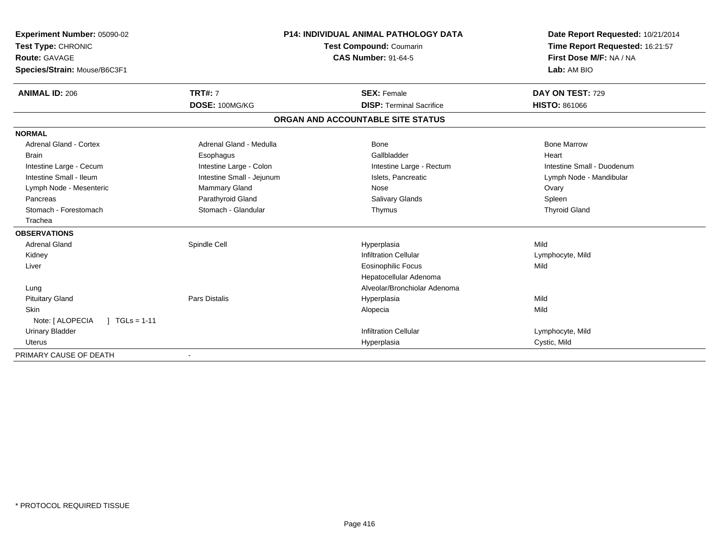| Experiment Number: 05090-02         |                           | <b>P14: INDIVIDUAL ANIMAL PATHOLOGY DATA</b> | Date Report Requested: 10/21/2014 |  |
|-------------------------------------|---------------------------|----------------------------------------------|-----------------------------------|--|
| Test Type: CHRONIC                  |                           | Test Compound: Coumarin                      | Time Report Requested: 16:21:57   |  |
| Route: GAVAGE                       |                           | <b>CAS Number: 91-64-5</b>                   | First Dose M/F: NA / NA           |  |
| Species/Strain: Mouse/B6C3F1        |                           |                                              | Lab: AM BIO                       |  |
| <b>ANIMAL ID: 206</b>               | <b>TRT#: 7</b>            | <b>SEX: Female</b>                           | DAY ON TEST: 729                  |  |
|                                     | DOSE: 100MG/KG            | <b>DISP: Terminal Sacrifice</b>              | <b>HISTO: 861066</b>              |  |
|                                     |                           | ORGAN AND ACCOUNTABLE SITE STATUS            |                                   |  |
| <b>NORMAL</b>                       |                           |                                              |                                   |  |
| <b>Adrenal Gland - Cortex</b>       | Adrenal Gland - Medulla   | <b>Bone</b>                                  | <b>Bone Marrow</b>                |  |
| <b>Brain</b>                        | Esophagus                 | Gallbladder                                  | Heart                             |  |
| Intestine Large - Cecum             | Intestine Large - Colon   | Intestine Large - Rectum                     | Intestine Small - Duodenum        |  |
| Intestine Small - Ileum             | Intestine Small - Jejunum | Islets, Pancreatic                           | Lymph Node - Mandibular           |  |
| Lymph Node - Mesenteric             | Mammary Gland             | Nose                                         | Ovary                             |  |
| Pancreas                            | Parathyroid Gland         | <b>Salivary Glands</b>                       | Spleen                            |  |
| Stomach - Forestomach               | Stomach - Glandular       | Thymus                                       | <b>Thyroid Gland</b>              |  |
| Trachea                             |                           |                                              |                                   |  |
| <b>OBSERVATIONS</b>                 |                           |                                              |                                   |  |
| <b>Adrenal Gland</b>                | Spindle Cell              | Hyperplasia                                  | Mild                              |  |
| Kidney                              |                           | <b>Infiltration Cellular</b>                 | Lymphocyte, Mild                  |  |
| Liver                               |                           | Eosinophilic Focus                           | Mild                              |  |
|                                     |                           | Hepatocellular Adenoma                       |                                   |  |
| Lung                                |                           | Alveolar/Bronchiolar Adenoma                 |                                   |  |
| <b>Pituitary Gland</b>              | Pars Distalis             | Hyperplasia                                  | Mild                              |  |
| Skin                                |                           | Alopecia                                     | Mild                              |  |
| Note: [ ALOPECIA<br>$1 TGLs = 1-11$ |                           |                                              |                                   |  |
| <b>Urinary Bladder</b>              |                           | <b>Infiltration Cellular</b>                 | Lymphocyte, Mild                  |  |
| <b>Uterus</b>                       |                           | Hyperplasia                                  | Cystic, Mild                      |  |
| PRIMARY CAUSE OF DEATH              |                           |                                              |                                   |  |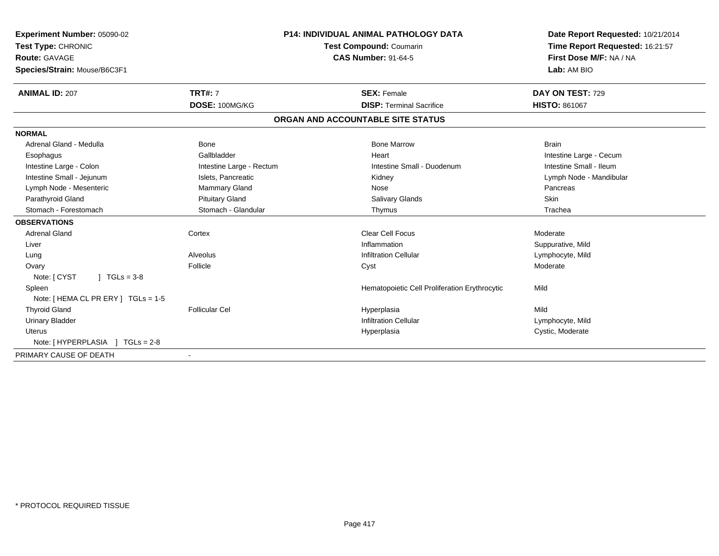| Experiment Number: 05090-02<br>Test Type: CHRONIC<br>Route: GAVAGE<br>Species/Strain: Mouse/B6C3F1 |                          | P14: INDIVIDUAL ANIMAL PATHOLOGY DATA<br>Test Compound: Coumarin<br><b>CAS Number: 91-64-5</b> | Date Report Requested: 10/21/2014<br>Time Report Requested: 16:21:57<br>First Dose M/F: NA / NA<br>Lab: AM BIO |  |
|----------------------------------------------------------------------------------------------------|--------------------------|------------------------------------------------------------------------------------------------|----------------------------------------------------------------------------------------------------------------|--|
| <b>ANIMAL ID: 207</b>                                                                              | <b>TRT#: 7</b>           | <b>SEX: Female</b>                                                                             | <b>DAY ON TEST: 729</b>                                                                                        |  |
|                                                                                                    | DOSE: 100MG/KG           | <b>DISP: Terminal Sacrifice</b>                                                                | <b>HISTO: 861067</b>                                                                                           |  |
|                                                                                                    |                          | ORGAN AND ACCOUNTABLE SITE STATUS                                                              |                                                                                                                |  |
| <b>NORMAL</b>                                                                                      |                          |                                                                                                |                                                                                                                |  |
| Adrenal Gland - Medulla                                                                            | Bone                     | <b>Bone Marrow</b>                                                                             | <b>Brain</b>                                                                                                   |  |
| Esophagus                                                                                          | Gallbladder              | Heart                                                                                          | Intestine Large - Cecum                                                                                        |  |
| Intestine Large - Colon                                                                            | Intestine Large - Rectum | Intestine Small - Duodenum                                                                     | Intestine Small - Ileum                                                                                        |  |
| Intestine Small - Jejunum                                                                          | Islets, Pancreatic       | Kidney                                                                                         | Lymph Node - Mandibular                                                                                        |  |
| Lymph Node - Mesenteric                                                                            | Mammary Gland            | Nose                                                                                           | Pancreas                                                                                                       |  |
| Parathyroid Gland                                                                                  | <b>Pituitary Gland</b>   | <b>Salivary Glands</b>                                                                         | Skin                                                                                                           |  |
| Stomach - Forestomach                                                                              | Stomach - Glandular      | Thymus                                                                                         | Trachea                                                                                                        |  |
| <b>OBSERVATIONS</b>                                                                                |                          |                                                                                                |                                                                                                                |  |
| <b>Adrenal Gland</b>                                                                               | Cortex                   | <b>Clear Cell Focus</b>                                                                        | Moderate                                                                                                       |  |
| Liver                                                                                              |                          | Inflammation                                                                                   | Suppurative, Mild                                                                                              |  |
| Lung                                                                                               | Alveolus                 | <b>Infiltration Cellular</b>                                                                   | Lymphocyte, Mild                                                                                               |  |
| Ovary                                                                                              | Follicle                 | Cyst                                                                                           | Moderate                                                                                                       |  |
| Note: [ CYST<br>$1 TGLs = 3-8$                                                                     |                          |                                                                                                |                                                                                                                |  |
| Spleen                                                                                             |                          | Hematopoietic Cell Proliferation Erythrocytic                                                  | Mild                                                                                                           |  |
| Note: [HEMA CL PR ERY] TGLs = 1-5                                                                  |                          |                                                                                                |                                                                                                                |  |
| <b>Thyroid Gland</b>                                                                               | <b>Follicular Cel</b>    | Hyperplasia                                                                                    | Mild                                                                                                           |  |
| <b>Urinary Bladder</b>                                                                             |                          | <b>Infiltration Cellular</b>                                                                   | Lymphocyte, Mild                                                                                               |  |
| <b>Uterus</b>                                                                                      |                          | Hyperplasia                                                                                    | Cystic, Moderate                                                                                               |  |
| Note: [HYPERPLASIA ] TGLs = 2-8                                                                    |                          |                                                                                                |                                                                                                                |  |
| PRIMARY CAUSE OF DEATH                                                                             | $\blacksquare$           |                                                                                                |                                                                                                                |  |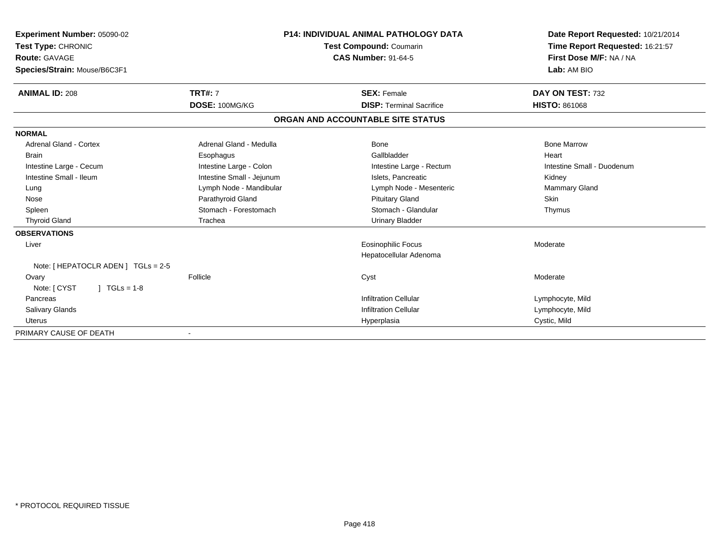| Experiment Number: 05090-02             | <b>P14: INDIVIDUAL ANIMAL PATHOLOGY DATA</b> |                                   | Date Report Requested: 10/21/2014                          |  |
|-----------------------------------------|----------------------------------------------|-----------------------------------|------------------------------------------------------------|--|
| Test Type: CHRONIC                      |                                              | <b>Test Compound: Coumarin</b>    | Time Report Requested: 16:21:57<br>First Dose M/F: NA / NA |  |
| <b>Route: GAVAGE</b>                    |                                              | <b>CAS Number: 91-64-5</b>        |                                                            |  |
| Species/Strain: Mouse/B6C3F1            |                                              |                                   | Lab: AM BIO                                                |  |
| <b>ANIMAL ID: 208</b>                   | <b>TRT#: 7</b>                               | <b>SEX: Female</b>                | DAY ON TEST: 732                                           |  |
|                                         | DOSE: 100MG/KG                               | <b>DISP: Terminal Sacrifice</b>   | <b>HISTO: 861068</b>                                       |  |
|                                         |                                              | ORGAN AND ACCOUNTABLE SITE STATUS |                                                            |  |
| <b>NORMAL</b>                           |                                              |                                   |                                                            |  |
| <b>Adrenal Gland - Cortex</b>           | Adrenal Gland - Medulla                      | <b>Bone</b>                       | <b>Bone Marrow</b>                                         |  |
| <b>Brain</b>                            | Esophagus                                    | Gallbladder                       | Heart                                                      |  |
| Intestine Large - Cecum                 | Intestine Large - Colon                      | Intestine Large - Rectum          | Intestine Small - Duodenum                                 |  |
| Intestine Small - Ileum                 | Intestine Small - Jejunum                    | Islets. Pancreatic                | Kidney                                                     |  |
| Lung                                    | Lymph Node - Mandibular                      | Lymph Node - Mesenteric           | <b>Mammary Gland</b>                                       |  |
| Nose                                    | Parathyroid Gland                            | <b>Pituitary Gland</b>            | <b>Skin</b>                                                |  |
| Spleen                                  | Stomach - Forestomach                        | Stomach - Glandular               | Thymus                                                     |  |
| <b>Thyroid Gland</b>                    | Trachea                                      | <b>Urinary Bladder</b>            |                                                            |  |
| <b>OBSERVATIONS</b>                     |                                              |                                   |                                                            |  |
| Liver                                   |                                              | <b>Eosinophilic Focus</b>         | Moderate                                                   |  |
|                                         |                                              | Hepatocellular Adenoma            |                                                            |  |
| Note: $[$ HEPATOCLR ADEN $]$ TGLs = 2-5 |                                              |                                   |                                                            |  |
| Ovary                                   | Follicle                                     | Cyst                              | Moderate                                                   |  |
| $J \cdot TGLS = 1-8$<br>Note: [ CYST    |                                              |                                   |                                                            |  |
| Pancreas                                |                                              | <b>Infiltration Cellular</b>      | Lymphocyte, Mild                                           |  |
| Salivary Glands                         |                                              | <b>Infiltration Cellular</b>      | Lymphocyte, Mild                                           |  |
| <b>Uterus</b>                           |                                              | Hyperplasia                       | Cystic, Mild                                               |  |
| PRIMARY CAUSE OF DEATH                  |                                              |                                   |                                                            |  |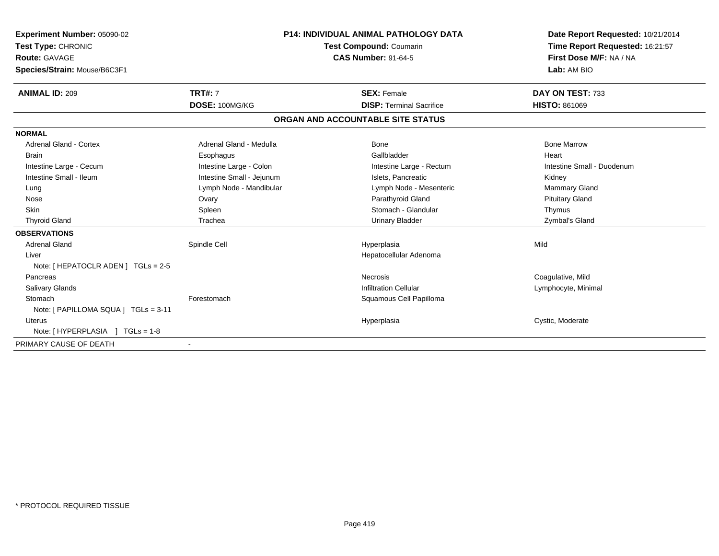| Experiment Number: 05090-02<br>Test Type: CHRONIC<br>Route: GAVAGE<br>Species/Strain: Mouse/B6C3F1<br><b>ANIMAL ID: 209</b> | <b>TRT#: 7</b>            | <b>P14: INDIVIDUAL ANIMAL PATHOLOGY DATA</b><br>Test Compound: Coumarin<br><b>CAS Number: 91-64-5</b><br><b>SEX: Female</b> |                                 | Date Report Requested: 10/21/2014<br>Time Report Requested: 16:21:57<br>First Dose M/F: NA / NA<br>Lab: AM BIO<br>DAY ON TEST: 733 |
|-----------------------------------------------------------------------------------------------------------------------------|---------------------------|-----------------------------------------------------------------------------------------------------------------------------|---------------------------------|------------------------------------------------------------------------------------------------------------------------------------|
|                                                                                                                             | DOSE: 100MG/KG            |                                                                                                                             | <b>DISP: Terminal Sacrifice</b> | <b>HISTO: 861069</b>                                                                                                               |
|                                                                                                                             |                           | ORGAN AND ACCOUNTABLE SITE STATUS                                                                                           |                                 |                                                                                                                                    |
| <b>NORMAL</b>                                                                                                               |                           |                                                                                                                             |                                 |                                                                                                                                    |
| <b>Adrenal Gland - Cortex</b>                                                                                               | Adrenal Gland - Medulla   |                                                                                                                             | Bone                            | <b>Bone Marrow</b>                                                                                                                 |
| <b>Brain</b>                                                                                                                | Esophagus                 |                                                                                                                             | Gallbladder                     | Heart                                                                                                                              |
| Intestine Large - Cecum                                                                                                     | Intestine Large - Colon   |                                                                                                                             | Intestine Large - Rectum        | Intestine Small - Duodenum                                                                                                         |
| Intestine Small - Ileum                                                                                                     | Intestine Small - Jejunum |                                                                                                                             | Islets. Pancreatic              | Kidney                                                                                                                             |
| Lung                                                                                                                        | Lymph Node - Mandibular   |                                                                                                                             | Lymph Node - Mesenteric         | Mammary Gland                                                                                                                      |
| Nose                                                                                                                        | Ovary                     |                                                                                                                             | Parathyroid Gland               | <b>Pituitary Gland</b>                                                                                                             |
| <b>Skin</b>                                                                                                                 | Spleen                    |                                                                                                                             | Stomach - Glandular             | Thymus                                                                                                                             |
| <b>Thyroid Gland</b>                                                                                                        | Trachea                   |                                                                                                                             | <b>Urinary Bladder</b>          | Zymbal's Gland                                                                                                                     |
| <b>OBSERVATIONS</b>                                                                                                         |                           |                                                                                                                             |                                 |                                                                                                                                    |
| <b>Adrenal Gland</b>                                                                                                        | Spindle Cell              |                                                                                                                             | Hyperplasia                     | Mild                                                                                                                               |
| Liver                                                                                                                       |                           |                                                                                                                             | Hepatocellular Adenoma          |                                                                                                                                    |
| Note: [ HEPATOCLR ADEN ] TGLs = 2-5                                                                                         |                           |                                                                                                                             |                                 |                                                                                                                                    |
| Pancreas                                                                                                                    |                           |                                                                                                                             | <b>Necrosis</b>                 | Coagulative, Mild                                                                                                                  |
| <b>Salivary Glands</b>                                                                                                      |                           |                                                                                                                             | <b>Infiltration Cellular</b>    | Lymphocyte, Minimal                                                                                                                |
| Stomach                                                                                                                     | Forestomach               |                                                                                                                             | Squamous Cell Papilloma         |                                                                                                                                    |
| Note: [ PAPILLOMA SQUA ] TGLs = 3-11                                                                                        |                           |                                                                                                                             |                                 |                                                                                                                                    |
| Uterus                                                                                                                      |                           |                                                                                                                             | Hyperplasia                     | Cystic, Moderate                                                                                                                   |
| Note: [HYPERPLASIA ] TGLs = 1-8                                                                                             |                           |                                                                                                                             |                                 |                                                                                                                                    |
| PRIMARY CAUSE OF DEATH                                                                                                      |                           |                                                                                                                             |                                 |                                                                                                                                    |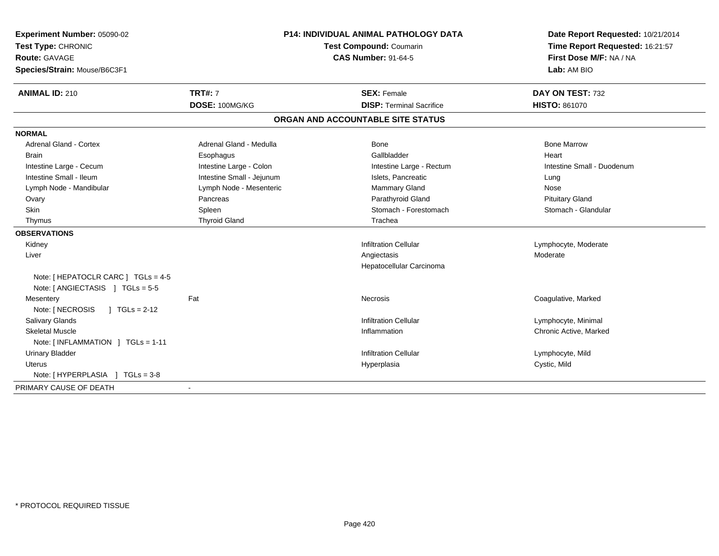| Experiment Number: 05090-02                                             | <b>P14: INDIVIDUAL ANIMAL PATHOLOGY DATA</b><br><b>Test Compound: Coumarin</b><br><b>CAS Number: 91-64-5</b> |                                   | Date Report Requested: 10/21/2014                          |  |
|-------------------------------------------------------------------------|--------------------------------------------------------------------------------------------------------------|-----------------------------------|------------------------------------------------------------|--|
| Test Type: CHRONIC                                                      |                                                                                                              |                                   | Time Report Requested: 16:21:57<br>First Dose M/F: NA / NA |  |
| <b>Route: GAVAGE</b>                                                    |                                                                                                              |                                   |                                                            |  |
| Species/Strain: Mouse/B6C3F1                                            |                                                                                                              |                                   | Lab: AM BIO                                                |  |
| <b>ANIMAL ID: 210</b>                                                   | <b>TRT#: 7</b>                                                                                               | <b>SEX: Female</b>                | DAY ON TEST: 732                                           |  |
|                                                                         | DOSE: 100MG/KG                                                                                               | <b>DISP: Terminal Sacrifice</b>   | <b>HISTO: 861070</b>                                       |  |
|                                                                         |                                                                                                              | ORGAN AND ACCOUNTABLE SITE STATUS |                                                            |  |
| <b>NORMAL</b>                                                           |                                                                                                              |                                   |                                                            |  |
| Adrenal Gland - Cortex                                                  | Adrenal Gland - Medulla                                                                                      | <b>Bone</b>                       | <b>Bone Marrow</b>                                         |  |
| <b>Brain</b>                                                            | Esophagus                                                                                                    | Gallbladder                       | Heart                                                      |  |
| Intestine Large - Cecum                                                 | Intestine Large - Colon                                                                                      | Intestine Large - Rectum          | Intestine Small - Duodenum                                 |  |
| Intestine Small - Ileum                                                 | Intestine Small - Jejunum                                                                                    | Islets, Pancreatic                | Lung                                                       |  |
| Lymph Node - Mandibular                                                 | Lymph Node - Mesenteric                                                                                      | Mammary Gland                     | Nose                                                       |  |
| Ovary                                                                   | Pancreas                                                                                                     | Parathyroid Gland                 | <b>Pituitary Gland</b>                                     |  |
| <b>Skin</b>                                                             | Spleen                                                                                                       | Stomach - Forestomach             | Stomach - Glandular                                        |  |
| Thymus                                                                  | <b>Thyroid Gland</b>                                                                                         | Trachea                           |                                                            |  |
| <b>OBSERVATIONS</b>                                                     |                                                                                                              |                                   |                                                            |  |
| Kidney                                                                  |                                                                                                              | <b>Infiltration Cellular</b>      | Lymphocyte, Moderate                                       |  |
| Liver                                                                   |                                                                                                              | Angiectasis                       | Moderate                                                   |  |
|                                                                         |                                                                                                              | Hepatocellular Carcinoma          |                                                            |  |
| Note: [ HEPATOCLR CARC ] TGLs = 4-5<br>Note: [ ANGIECTASIS ] TGLs = 5-5 |                                                                                                              |                                   |                                                            |  |
| Mesentery                                                               | Fat                                                                                                          | Necrosis                          | Coagulative, Marked                                        |  |
| Note: [ NECROSIS<br>$1 TGLs = 2-12$                                     |                                                                                                              |                                   |                                                            |  |
| Salivary Glands                                                         |                                                                                                              | <b>Infiltration Cellular</b>      | Lymphocyte, Minimal                                        |  |
| <b>Skeletal Muscle</b>                                                  |                                                                                                              | Inflammation                      | Chronic Active, Marked                                     |  |
| Note: [INFLAMMATION ] TGLs = 1-11                                       |                                                                                                              |                                   |                                                            |  |
| <b>Urinary Bladder</b>                                                  |                                                                                                              | <b>Infiltration Cellular</b>      | Lymphocyte, Mild                                           |  |
| <b>Uterus</b>                                                           |                                                                                                              | Hyperplasia                       | Cystic, Mild                                               |  |
| Note: [HYPERPLASIA ] TGLs = 3-8                                         |                                                                                                              |                                   |                                                            |  |
| PRIMARY CAUSE OF DEATH                                                  |                                                                                                              |                                   |                                                            |  |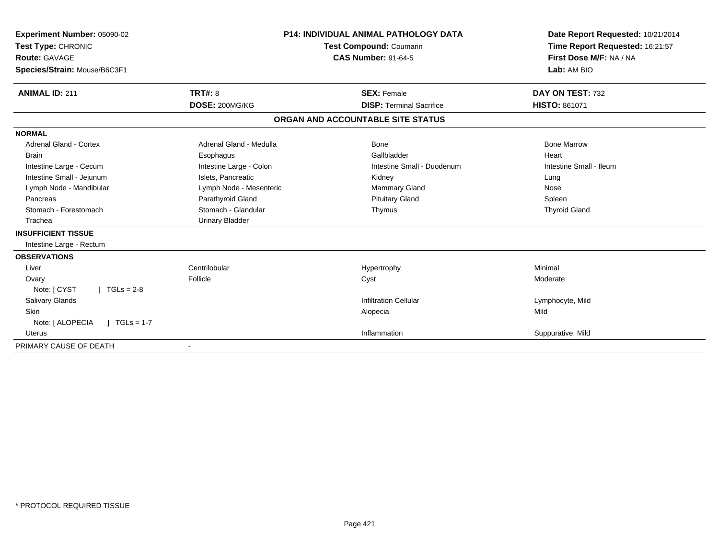| Experiment Number: 05090-02<br>Test Type: CHRONIC<br><b>Route: GAVAGE</b><br>Species/Strain: Mouse/B6C3F1 |                         | <b>P14: INDIVIDUAL ANIMAL PATHOLOGY DATA</b><br><b>Test Compound: Coumarin</b><br><b>CAS Number: 91-64-5</b> | Date Report Requested: 10/21/2014<br>Time Report Requested: 16:21:57<br>First Dose M/F: NA / NA<br>Lab: AM BIO |
|-----------------------------------------------------------------------------------------------------------|-------------------------|--------------------------------------------------------------------------------------------------------------|----------------------------------------------------------------------------------------------------------------|
| <b>ANIMAL ID: 211</b>                                                                                     | <b>TRT#: 8</b>          | <b>SEX: Female</b>                                                                                           | DAY ON TEST: 732                                                                                               |
|                                                                                                           | DOSE: 200MG/KG          | <b>DISP: Terminal Sacrifice</b>                                                                              | <b>HISTO: 861071</b>                                                                                           |
|                                                                                                           |                         | ORGAN AND ACCOUNTABLE SITE STATUS                                                                            |                                                                                                                |
| <b>NORMAL</b>                                                                                             |                         |                                                                                                              |                                                                                                                |
| <b>Adrenal Gland - Cortex</b>                                                                             | Adrenal Gland - Medulla | Bone                                                                                                         | <b>Bone Marrow</b>                                                                                             |
| <b>Brain</b>                                                                                              | Esophagus               | Gallbladder                                                                                                  | Heart                                                                                                          |
| Intestine Large - Cecum                                                                                   | Intestine Large - Colon | Intestine Small - Duodenum                                                                                   | Intestine Small - Ileum                                                                                        |
| Intestine Small - Jejunum                                                                                 | Islets, Pancreatic      | Kidney                                                                                                       | Lung                                                                                                           |
| Lymph Node - Mandibular                                                                                   | Lymph Node - Mesenteric | <b>Mammary Gland</b>                                                                                         | Nose                                                                                                           |
| Pancreas                                                                                                  | Parathyroid Gland       | <b>Pituitary Gland</b>                                                                                       | Spleen                                                                                                         |
| Stomach - Forestomach                                                                                     | Stomach - Glandular     | Thymus                                                                                                       | <b>Thyroid Gland</b>                                                                                           |
| Trachea                                                                                                   | <b>Urinary Bladder</b>  |                                                                                                              |                                                                                                                |
| <b>INSUFFICIENT TISSUE</b>                                                                                |                         |                                                                                                              |                                                                                                                |
| Intestine Large - Rectum                                                                                  |                         |                                                                                                              |                                                                                                                |
| <b>OBSERVATIONS</b>                                                                                       |                         |                                                                                                              |                                                                                                                |
| Liver                                                                                                     | Centrilobular           | Hypertrophy                                                                                                  | Minimal                                                                                                        |
| Ovary                                                                                                     | Follicle                | Cyst                                                                                                         | Moderate                                                                                                       |
| Note: [ CYST<br>$1 TGLs = 2-8$                                                                            |                         |                                                                                                              |                                                                                                                |
| Salivary Glands                                                                                           |                         | <b>Infiltration Cellular</b>                                                                                 | Lymphocyte, Mild                                                                                               |
| <b>Skin</b>                                                                                               |                         | Alopecia                                                                                                     | Mild                                                                                                           |
| Note: [ ALOPECIA<br>$TGLs = 1-7$                                                                          |                         |                                                                                                              |                                                                                                                |
| <b>Uterus</b>                                                                                             |                         | Inflammation                                                                                                 | Suppurative, Mild                                                                                              |
| PRIMARY CAUSE OF DEATH                                                                                    |                         |                                                                                                              |                                                                                                                |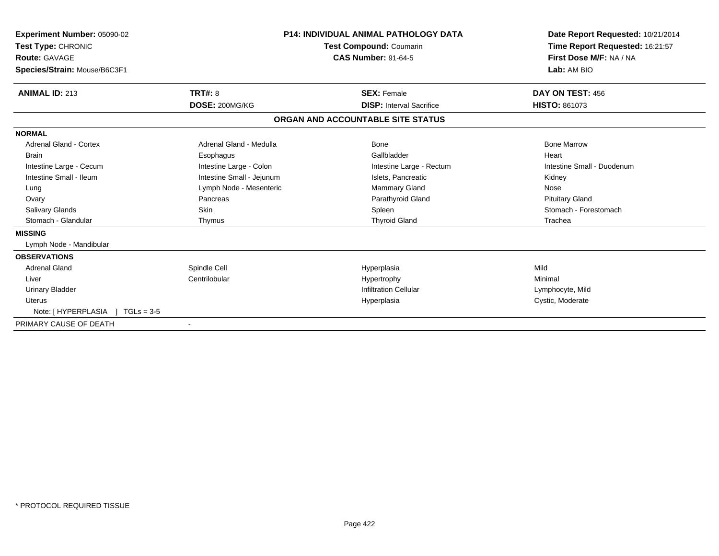| Experiment Number: 05090-02<br>Test Type: CHRONIC<br>Route: GAVAGE<br>Species/Strain: Mouse/B6C3F1 |                           | <b>P14: INDIVIDUAL ANIMAL PATHOLOGY DATA</b><br><b>Test Compound: Coumarin</b><br><b>CAS Number: 91-64-5</b> |                                 | Date Report Requested: 10/21/2014<br>Time Report Requested: 16:21:57<br>First Dose M/F: NA / NA<br>Lab: AM BIO |
|----------------------------------------------------------------------------------------------------|---------------------------|--------------------------------------------------------------------------------------------------------------|---------------------------------|----------------------------------------------------------------------------------------------------------------|
| <b>ANIMAL ID: 213</b>                                                                              | TRT#: 8                   |                                                                                                              | <b>SEX: Female</b>              | DAY ON TEST: 456                                                                                               |
|                                                                                                    | DOSE: 200MG/KG            |                                                                                                              | <b>DISP: Interval Sacrifice</b> | HISTO: 861073                                                                                                  |
|                                                                                                    |                           | ORGAN AND ACCOUNTABLE SITE STATUS                                                                            |                                 |                                                                                                                |
| <b>NORMAL</b>                                                                                      |                           |                                                                                                              |                                 |                                                                                                                |
| Adrenal Gland - Cortex                                                                             | Adrenal Gland - Medulla   |                                                                                                              | Bone                            | <b>Bone Marrow</b>                                                                                             |
| <b>Brain</b>                                                                                       | Esophagus                 |                                                                                                              | Gallbladder                     | Heart                                                                                                          |
| Intestine Large - Cecum                                                                            | Intestine Large - Colon   |                                                                                                              | Intestine Large - Rectum        | Intestine Small - Duodenum                                                                                     |
| Intestine Small - Ileum                                                                            | Intestine Small - Jejunum |                                                                                                              | Islets, Pancreatic              | Kidney                                                                                                         |
| Lung                                                                                               | Lymph Node - Mesenteric   |                                                                                                              | Mammary Gland                   | Nose                                                                                                           |
| Ovary                                                                                              | Pancreas                  |                                                                                                              | Parathyroid Gland               | <b>Pituitary Gland</b>                                                                                         |
| <b>Salivary Glands</b>                                                                             | Skin                      |                                                                                                              | Spleen                          | Stomach - Forestomach                                                                                          |
| Stomach - Glandular                                                                                | Thymus                    |                                                                                                              | <b>Thyroid Gland</b>            | Trachea                                                                                                        |
| <b>MISSING</b>                                                                                     |                           |                                                                                                              |                                 |                                                                                                                |
| Lymph Node - Mandibular                                                                            |                           |                                                                                                              |                                 |                                                                                                                |
| <b>OBSERVATIONS</b>                                                                                |                           |                                                                                                              |                                 |                                                                                                                |
| <b>Adrenal Gland</b>                                                                               | Spindle Cell              |                                                                                                              | Hyperplasia                     | Mild                                                                                                           |
| Liver                                                                                              | Centrilobular             |                                                                                                              | Hypertrophy                     | Minimal                                                                                                        |
| <b>Urinary Bladder</b>                                                                             |                           |                                                                                                              | <b>Infiltration Cellular</b>    | Lymphocyte, Mild                                                                                               |
| <b>Uterus</b>                                                                                      |                           |                                                                                                              | Hyperplasia                     | Cystic, Moderate                                                                                               |
| Note: [HYPERPLASIA ] TGLs = 3-5                                                                    |                           |                                                                                                              |                                 |                                                                                                                |
| PRIMARY CAUSE OF DEATH                                                                             |                           |                                                                                                              |                                 |                                                                                                                |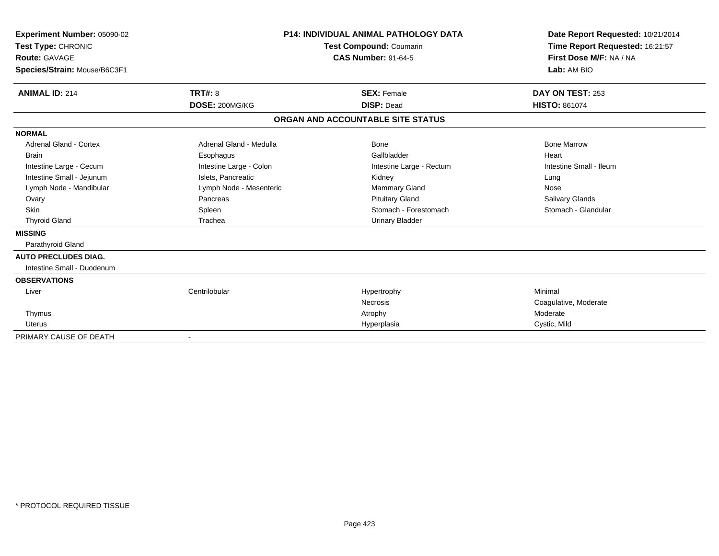| Experiment Number: 05090-02<br>Test Type: CHRONIC |                         | <b>P14: INDIVIDUAL ANIMAL PATHOLOGY DATA</b><br><b>Test Compound: Coumarin</b> | Date Report Requested: 10/21/2014<br>Time Report Requested: 16:21:57 |
|---------------------------------------------------|-------------------------|--------------------------------------------------------------------------------|----------------------------------------------------------------------|
| <b>Route: GAVAGE</b>                              |                         | <b>CAS Number: 91-64-5</b>                                                     | First Dose M/F: NA / NA                                              |
| Species/Strain: Mouse/B6C3F1                      |                         |                                                                                | Lab: AM BIO                                                          |
| <b>ANIMAL ID: 214</b>                             | <b>TRT#: 8</b>          | <b>SEX: Female</b>                                                             | DAY ON TEST: 253                                                     |
|                                                   | DOSE: 200MG/KG          | <b>DISP: Dead</b>                                                              | <b>HISTO: 861074</b>                                                 |
|                                                   |                         | ORGAN AND ACCOUNTABLE SITE STATUS                                              |                                                                      |
| <b>NORMAL</b>                                     |                         |                                                                                |                                                                      |
| <b>Adrenal Gland - Cortex</b>                     | Adrenal Gland - Medulla | <b>Bone</b>                                                                    | <b>Bone Marrow</b>                                                   |
| <b>Brain</b>                                      | Esophagus               | Gallbladder                                                                    | Heart                                                                |
| Intestine Large - Cecum                           | Intestine Large - Colon | Intestine Large - Rectum                                                       | Intestine Small - Ileum                                              |
| Intestine Small - Jejunum                         | Islets, Pancreatic      | Kidney                                                                         | Lung                                                                 |
| Lymph Node - Mandibular                           | Lymph Node - Mesenteric | <b>Mammary Gland</b>                                                           | Nose                                                                 |
| Ovary                                             | Pancreas                | <b>Pituitary Gland</b>                                                         | Salivary Glands                                                      |
| <b>Skin</b>                                       | Spleen                  | Stomach - Forestomach                                                          | Stomach - Glandular                                                  |
| <b>Thyroid Gland</b>                              | Trachea                 | <b>Urinary Bladder</b>                                                         |                                                                      |
| <b>MISSING</b>                                    |                         |                                                                                |                                                                      |
| Parathyroid Gland                                 |                         |                                                                                |                                                                      |
| <b>AUTO PRECLUDES DIAG.</b>                       |                         |                                                                                |                                                                      |
| Intestine Small - Duodenum                        |                         |                                                                                |                                                                      |
| <b>OBSERVATIONS</b>                               |                         |                                                                                |                                                                      |
| Liver                                             | Centrilobular           | Hypertrophy                                                                    | Minimal                                                              |
|                                                   |                         | Necrosis                                                                       | Coagulative, Moderate                                                |
| Thymus                                            |                         | Atrophy                                                                        | Moderate                                                             |
| <b>Uterus</b>                                     |                         | Hyperplasia                                                                    | Cystic, Mild                                                         |
| PRIMARY CAUSE OF DEATH                            |                         |                                                                                |                                                                      |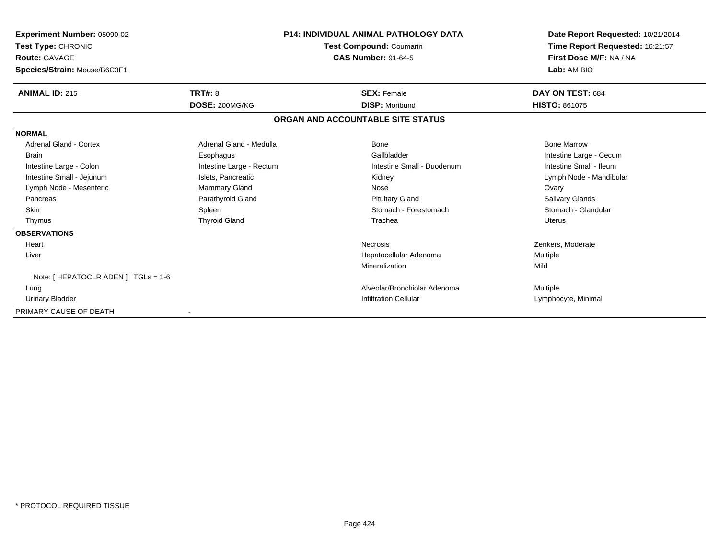| Experiment Number: 05090-02<br><b>Test Type: CHRONIC</b><br>Route: GAVAGE<br>Species/Strain: Mouse/B6C3F1 |                                  | <b>P14: INDIVIDUAL ANIMAL PATHOLOGY DATA</b><br><b>Test Compound: Coumarin</b><br><b>CAS Number: 91-64-5</b> | Date Report Requested: 10/21/2014<br>Time Report Requested: 16:21:57<br>First Dose M/F: NA / NA<br>Lab: AM BIO |  |
|-----------------------------------------------------------------------------------------------------------|----------------------------------|--------------------------------------------------------------------------------------------------------------|----------------------------------------------------------------------------------------------------------------|--|
|                                                                                                           |                                  |                                                                                                              |                                                                                                                |  |
| <b>ANIMAL ID: 215</b>                                                                                     | <b>TRT#: 8</b><br>DOSE: 200MG/KG | <b>SEX: Female</b><br><b>DISP: Moribund</b>                                                                  | DAY ON TEST: 684<br><b>HISTO: 861075</b>                                                                       |  |
|                                                                                                           |                                  | ORGAN AND ACCOUNTABLE SITE STATUS                                                                            |                                                                                                                |  |
| <b>NORMAL</b>                                                                                             |                                  |                                                                                                              |                                                                                                                |  |
| Adrenal Gland - Cortex                                                                                    | Adrenal Gland - Medulla          | Bone                                                                                                         | <b>Bone Marrow</b>                                                                                             |  |
| <b>Brain</b>                                                                                              | Esophagus                        | Gallbladder                                                                                                  | Intestine Large - Cecum                                                                                        |  |
| Intestine Large - Colon                                                                                   | Intestine Large - Rectum         | Intestine Small - Duodenum                                                                                   | Intestine Small - Ileum                                                                                        |  |
| Intestine Small - Jejunum                                                                                 | Islets, Pancreatic               | Kidney                                                                                                       | Lymph Node - Mandibular                                                                                        |  |
| Lymph Node - Mesenteric                                                                                   | Mammary Gland                    | Nose                                                                                                         | Ovary                                                                                                          |  |
| Pancreas                                                                                                  | Parathyroid Gland                | <b>Pituitary Gland</b>                                                                                       | <b>Salivary Glands</b>                                                                                         |  |
| <b>Skin</b>                                                                                               | Spleen                           | Stomach - Forestomach                                                                                        | Stomach - Glandular                                                                                            |  |
| Thymus                                                                                                    | <b>Thyroid Gland</b>             | Trachea                                                                                                      | <b>Uterus</b>                                                                                                  |  |
| <b>OBSERVATIONS</b>                                                                                       |                                  |                                                                                                              |                                                                                                                |  |
| Heart                                                                                                     |                                  | <b>Necrosis</b>                                                                                              | Zenkers, Moderate                                                                                              |  |
| Liver                                                                                                     |                                  | Hepatocellular Adenoma                                                                                       | Multiple                                                                                                       |  |
|                                                                                                           |                                  | Mineralization                                                                                               | Mild                                                                                                           |  |
| Note: [ HEPATOCLR ADEN ] TGLs = 1-6                                                                       |                                  |                                                                                                              |                                                                                                                |  |
| Lung                                                                                                      |                                  | Alveolar/Bronchiolar Adenoma                                                                                 | <b>Multiple</b>                                                                                                |  |
| <b>Urinary Bladder</b>                                                                                    |                                  | <b>Infiltration Cellular</b>                                                                                 | Lymphocyte, Minimal                                                                                            |  |
| PRIMARY CAUSE OF DEATH                                                                                    |                                  |                                                                                                              |                                                                                                                |  |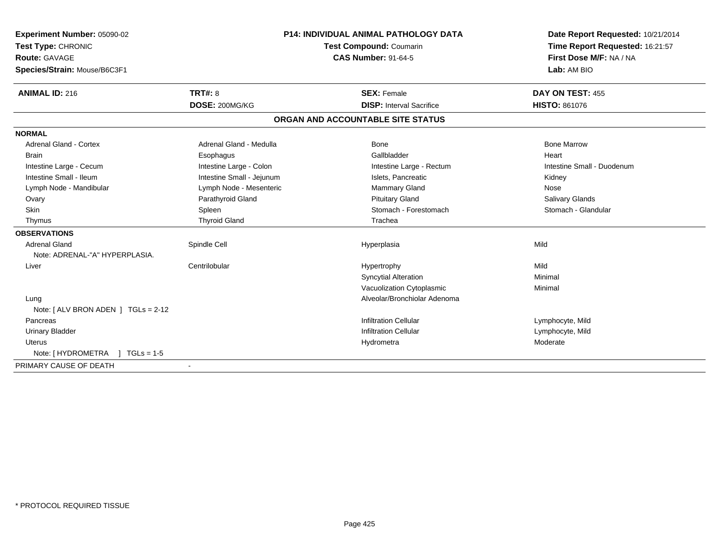| Experiment Number: 05090-02                            | <b>P14: INDIVIDUAL ANIMAL PATHOLOGY DATA</b> |                                   | Date Report Requested: 10/21/2014 |  |
|--------------------------------------------------------|----------------------------------------------|-----------------------------------|-----------------------------------|--|
| Test Type: CHRONIC                                     |                                              | Test Compound: Coumarin           | Time Report Requested: 16:21:57   |  |
| <b>Route: GAVAGE</b>                                   | <b>CAS Number: 91-64-5</b>                   |                                   | First Dose M/F: NA / NA           |  |
| Species/Strain: Mouse/B6C3F1                           |                                              |                                   | Lab: AM BIO                       |  |
| <b>ANIMAL ID: 216</b>                                  | TRT#: 8                                      | <b>SEX: Female</b>                | DAY ON TEST: 455                  |  |
|                                                        | DOSE: 200MG/KG                               | <b>DISP: Interval Sacrifice</b>   | <b>HISTO: 861076</b>              |  |
|                                                        |                                              | ORGAN AND ACCOUNTABLE SITE STATUS |                                   |  |
| <b>NORMAL</b>                                          |                                              |                                   |                                   |  |
| <b>Adrenal Gland - Cortex</b>                          | Adrenal Gland - Medulla                      | Bone                              | <b>Bone Marrow</b>                |  |
| <b>Brain</b>                                           | Esophagus                                    | Gallbladder                       | Heart                             |  |
| Intestine Large - Cecum                                | Intestine Large - Colon                      | Intestine Large - Rectum          | Intestine Small - Duodenum        |  |
| Intestine Small - Ileum                                | Intestine Small - Jejunum                    | Islets, Pancreatic                | Kidney                            |  |
| Lymph Node - Mandibular                                | Lymph Node - Mesenteric                      | Mammary Gland                     | Nose                              |  |
| Ovary                                                  | Parathyroid Gland                            | <b>Pituitary Gland</b>            | <b>Salivary Glands</b>            |  |
| Skin                                                   | Spleen                                       | Stomach - Forestomach             | Stomach - Glandular               |  |
| Thymus                                                 | <b>Thyroid Gland</b>                         | Trachea                           |                                   |  |
| <b>OBSERVATIONS</b>                                    |                                              |                                   |                                   |  |
| <b>Adrenal Gland</b><br>Note: ADRENAL-"A" HYPERPLASIA. | Spindle Cell                                 | Hyperplasia                       | Mild                              |  |
| Liver                                                  | Centrilobular                                | Hypertrophy                       | Mild                              |  |
|                                                        |                                              | <b>Syncytial Alteration</b>       | Minimal                           |  |
|                                                        |                                              | Vacuolization Cytoplasmic         | Minimal                           |  |
| Lung                                                   |                                              | Alveolar/Bronchiolar Adenoma      |                                   |  |
| Note: $[ALV$ BRON ADEN $]$ TGLs = 2-12                 |                                              |                                   |                                   |  |
| Pancreas                                               |                                              | <b>Infiltration Cellular</b>      | Lymphocyte, Mild                  |  |
| <b>Urinary Bladder</b>                                 |                                              | <b>Infiltration Cellular</b>      | Lymphocyte, Mild                  |  |
| <b>Uterus</b>                                          |                                              | Hydrometra                        | Moderate                          |  |
| Note: $[HYDROMETRA] TGLs = 1-5$                        |                                              |                                   |                                   |  |
| PRIMARY CAUSE OF DEATH                                 |                                              |                                   |                                   |  |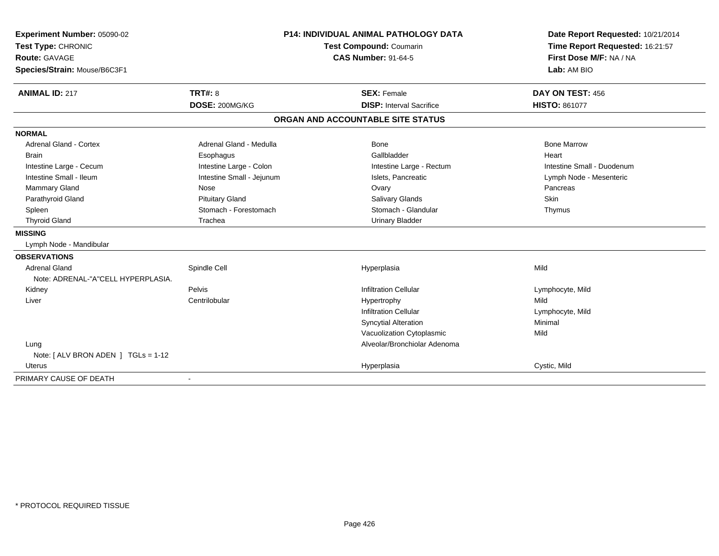| Experiment Number: 05090-02                                |                           | P14: INDIVIDUAL ANIMAL PATHOLOGY DATA | Date Report Requested: 10/21/2014 |  |
|------------------------------------------------------------|---------------------------|---------------------------------------|-----------------------------------|--|
| Test Type: CHRONIC                                         |                           | Test Compound: Coumarin               | Time Report Requested: 16:21:57   |  |
| <b>Route: GAVAGE</b>                                       |                           | <b>CAS Number: 91-64-5</b>            | First Dose M/F: NA / NA           |  |
| Species/Strain: Mouse/B6C3F1                               |                           |                                       | Lab: AM BIO                       |  |
| <b>ANIMAL ID: 217</b>                                      | TRT#: 8                   | <b>SEX: Female</b>                    | DAY ON TEST: 456                  |  |
|                                                            | DOSE: 200MG/KG            | <b>DISP:</b> Interval Sacrifice       | <b>HISTO: 861077</b>              |  |
|                                                            |                           | ORGAN AND ACCOUNTABLE SITE STATUS     |                                   |  |
| <b>NORMAL</b>                                              |                           |                                       |                                   |  |
| <b>Adrenal Gland - Cortex</b>                              | Adrenal Gland - Medulla   | <b>Bone</b>                           | <b>Bone Marrow</b>                |  |
| <b>Brain</b>                                               | Esophagus                 | Gallbladder                           | Heart                             |  |
| Intestine Large - Cecum                                    | Intestine Large - Colon   | Intestine Large - Rectum              | Intestine Small - Duodenum        |  |
| Intestine Small - Ileum                                    | Intestine Small - Jejunum | Islets, Pancreatic                    | Lymph Node - Mesenteric           |  |
| Mammary Gland                                              | Nose                      | Ovary                                 | Pancreas                          |  |
| Parathyroid Gland                                          | <b>Pituitary Gland</b>    | Salivary Glands                       | Skin                              |  |
| Spleen                                                     | Stomach - Forestomach     | Stomach - Glandular                   | Thymus                            |  |
| <b>Thyroid Gland</b>                                       | Trachea                   | <b>Urinary Bladder</b>                |                                   |  |
| <b>MISSING</b>                                             |                           |                                       |                                   |  |
| Lymph Node - Mandibular                                    |                           |                                       |                                   |  |
| <b>OBSERVATIONS</b>                                        |                           |                                       |                                   |  |
| <b>Adrenal Gland</b><br>Note: ADRENAL-"A"CELL HYPERPLASIA. | Spindle Cell              | Hyperplasia                           | Mild                              |  |
| Kidney                                                     | Pelvis                    | <b>Infiltration Cellular</b>          | Lymphocyte, Mild                  |  |
| Liver                                                      | Centrilobular             | Hypertrophy                           | Mild                              |  |
|                                                            |                           | <b>Infiltration Cellular</b>          | Lymphocyte, Mild                  |  |
|                                                            |                           | <b>Syncytial Alteration</b>           | Minimal                           |  |
|                                                            |                           | Vacuolization Cytoplasmic             | Mild                              |  |
| Lung                                                       |                           | Alveolar/Bronchiolar Adenoma          |                                   |  |
| Note: $[ALV$ BRON ADEN $]$ TGLs = 1-12                     |                           |                                       |                                   |  |
| <b>Uterus</b>                                              |                           | Hyperplasia                           | Cystic, Mild                      |  |
| PRIMARY CAUSE OF DEATH                                     | $\blacksquare$            |                                       |                                   |  |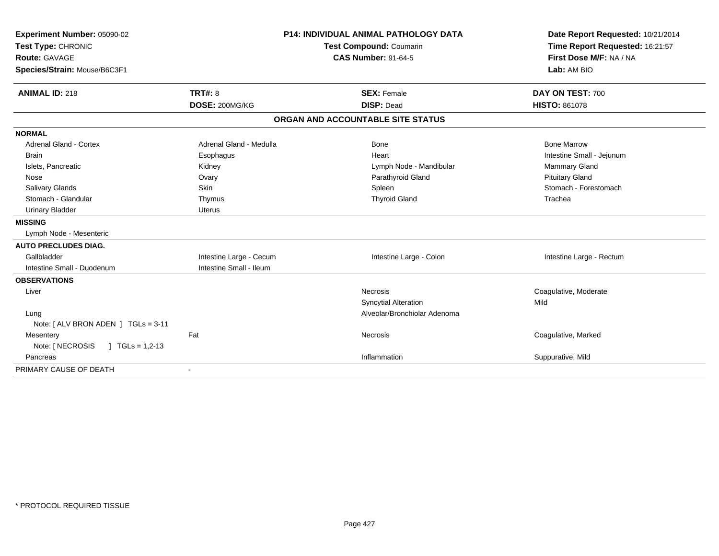| Experiment Number: 05090-02              | <b>P14: INDIVIDUAL ANIMAL PATHOLOGY DATA</b> |                                   | Date Report Requested: 10/21/2014 |
|------------------------------------------|----------------------------------------------|-----------------------------------|-----------------------------------|
| Test Type: CHRONIC                       |                                              | <b>Test Compound: Coumarin</b>    | Time Report Requested: 16:21:57   |
| <b>Route: GAVAGE</b>                     |                                              | <b>CAS Number: 91-64-5</b>        | First Dose M/F: NA / NA           |
| Species/Strain: Mouse/B6C3F1             |                                              |                                   | Lab: AM BIO                       |
| <b>ANIMAL ID: 218</b>                    | TRT#: 8                                      | <b>SEX: Female</b>                | DAY ON TEST: 700                  |
|                                          | DOSE: 200MG/KG                               | <b>DISP: Dead</b>                 | <b>HISTO: 861078</b>              |
|                                          |                                              | ORGAN AND ACCOUNTABLE SITE STATUS |                                   |
| <b>NORMAL</b>                            |                                              |                                   |                                   |
| <b>Adrenal Gland - Cortex</b>            | Adrenal Gland - Medulla                      | <b>Bone</b>                       | <b>Bone Marrow</b>                |
| <b>Brain</b>                             | Esophagus                                    | Heart                             | Intestine Small - Jejunum         |
| Islets, Pancreatic                       | Kidney                                       | Lymph Node - Mandibular           | <b>Mammary Gland</b>              |
| Nose                                     | Ovary                                        | Parathyroid Gland                 | <b>Pituitary Gland</b>            |
| Salivary Glands                          | Skin                                         | Spleen                            | Stomach - Forestomach             |
| Stomach - Glandular                      | Thymus                                       | <b>Thyroid Gland</b>              | Trachea                           |
| <b>Urinary Bladder</b>                   | <b>Uterus</b>                                |                                   |                                   |
| <b>MISSING</b>                           |                                              |                                   |                                   |
| Lymph Node - Mesenteric                  |                                              |                                   |                                   |
| <b>AUTO PRECLUDES DIAG.</b>              |                                              |                                   |                                   |
| Gallbladder                              | Intestine Large - Cecum                      | Intestine Large - Colon           | Intestine Large - Rectum          |
| Intestine Small - Duodenum               | Intestine Small - Ileum                      |                                   |                                   |
| <b>OBSERVATIONS</b>                      |                                              |                                   |                                   |
| Liver                                    |                                              | <b>Necrosis</b>                   | Coagulative, Moderate             |
|                                          |                                              | <b>Syncytial Alteration</b>       | Mild                              |
| Lung                                     |                                              | Alveolar/Bronchiolar Adenoma      |                                   |
| Note: [ ALV BRON ADEN ] TGLs = 3-11      |                                              |                                   |                                   |
| Mesentery                                | Fat                                          | <b>Necrosis</b>                   | Coagulative, Marked               |
| Note: [ NECROSIS<br>$\mid$ TGLs = 1,2-13 |                                              |                                   |                                   |
| Pancreas                                 |                                              | Inflammation                      | Suppurative, Mild                 |
| PRIMARY CAUSE OF DEATH                   |                                              |                                   |                                   |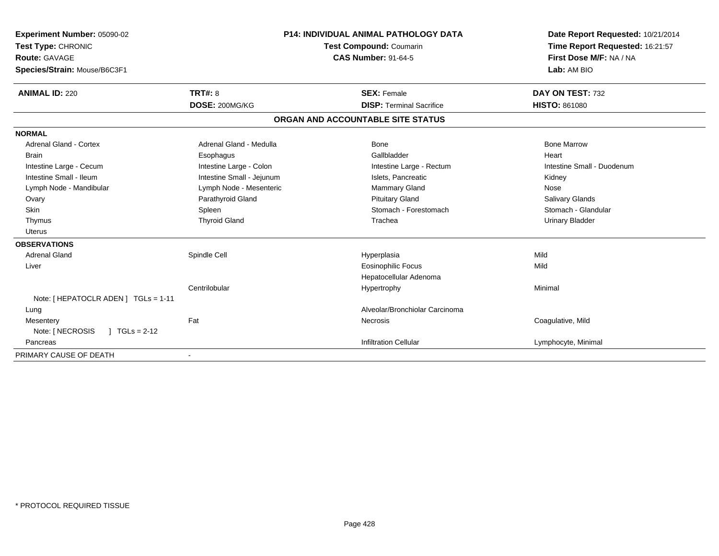| Experiment Number: 05090-02<br>Test Type: CHRONIC<br><b>Route: GAVAGE</b><br>Species/Strain: Mouse/B6C3F1 |                           | <b>P14: INDIVIDUAL ANIMAL PATHOLOGY DATA</b><br><b>Test Compound: Coumarin</b><br><b>CAS Number: 91-64-5</b> |                                   | Date Report Requested: 10/21/2014<br>Time Report Requested: 16:21:57<br>First Dose M/F: NA / NA<br>Lab: AM BIO |
|-----------------------------------------------------------------------------------------------------------|---------------------------|--------------------------------------------------------------------------------------------------------------|-----------------------------------|----------------------------------------------------------------------------------------------------------------|
| <b>ANIMAL ID: 220</b>                                                                                     | <b>TRT#: 8</b>            |                                                                                                              | <b>SEX: Female</b>                | DAY ON TEST: 732                                                                                               |
|                                                                                                           | DOSE: 200MG/KG            |                                                                                                              | <b>DISP: Terminal Sacrifice</b>   | <b>HISTO: 861080</b>                                                                                           |
|                                                                                                           |                           |                                                                                                              | ORGAN AND ACCOUNTABLE SITE STATUS |                                                                                                                |
| <b>NORMAL</b>                                                                                             |                           |                                                                                                              |                                   |                                                                                                                |
| <b>Adrenal Gland - Cortex</b>                                                                             | Adrenal Gland - Medulla   |                                                                                                              | Bone                              | <b>Bone Marrow</b>                                                                                             |
| Brain                                                                                                     | Esophagus                 |                                                                                                              | Gallbladder                       | Heart                                                                                                          |
| Intestine Large - Cecum                                                                                   | Intestine Large - Colon   |                                                                                                              | Intestine Large - Rectum          | Intestine Small - Duodenum                                                                                     |
| Intestine Small - Ileum                                                                                   | Intestine Small - Jejunum |                                                                                                              | Islets, Pancreatic                | Kidney                                                                                                         |
| Lymph Node - Mandibular                                                                                   | Lymph Node - Mesenteric   |                                                                                                              | <b>Mammary Gland</b>              | Nose                                                                                                           |
| Ovary                                                                                                     | Parathyroid Gland         |                                                                                                              | <b>Pituitary Gland</b>            | Salivary Glands                                                                                                |
| Skin                                                                                                      | Spleen                    |                                                                                                              | Stomach - Forestomach             | Stomach - Glandular                                                                                            |
| Thymus                                                                                                    | <b>Thyroid Gland</b>      |                                                                                                              | Trachea                           | <b>Urinary Bladder</b>                                                                                         |
| <b>Uterus</b>                                                                                             |                           |                                                                                                              |                                   |                                                                                                                |
| <b>OBSERVATIONS</b>                                                                                       |                           |                                                                                                              |                                   |                                                                                                                |
| <b>Adrenal Gland</b>                                                                                      | Spindle Cell              |                                                                                                              | Hyperplasia                       | Mild                                                                                                           |
| Liver                                                                                                     |                           |                                                                                                              | <b>Eosinophilic Focus</b>         | Mild                                                                                                           |
|                                                                                                           |                           |                                                                                                              | Hepatocellular Adenoma            |                                                                                                                |
|                                                                                                           | Centrilobular             |                                                                                                              | Hypertrophy                       | Minimal                                                                                                        |
| Note: [ HEPATOCLR ADEN ] TGLs = 1-11                                                                      |                           |                                                                                                              |                                   |                                                                                                                |
| Lung                                                                                                      |                           |                                                                                                              | Alveolar/Bronchiolar Carcinoma    |                                                                                                                |
| Mesentery                                                                                                 | Fat                       |                                                                                                              | Necrosis                          | Coagulative, Mild                                                                                              |
| Note: [ NECROSIS<br>$1 TGLs = 2-12$                                                                       |                           |                                                                                                              |                                   |                                                                                                                |
| Pancreas                                                                                                  |                           |                                                                                                              | <b>Infiltration Cellular</b>      | Lymphocyte, Minimal                                                                                            |
| PRIMARY CAUSE OF DEATH                                                                                    |                           |                                                                                                              |                                   |                                                                                                                |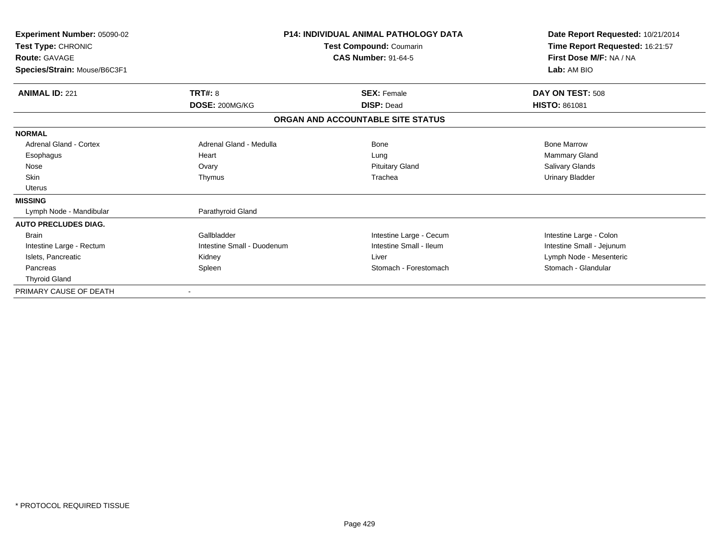| <b>Experiment Number: 05090-02</b> |                            | <b>P14: INDIVIDUAL ANIMAL PATHOLOGY DATA</b> | Date Report Requested: 10/21/2014 |  |
|------------------------------------|----------------------------|----------------------------------------------|-----------------------------------|--|
| Test Type: CHRONIC                 |                            | Test Compound: Coumarin                      | Time Report Requested: 16:21:57   |  |
| <b>Route: GAVAGE</b>               | <b>CAS Number: 91-64-5</b> |                                              | First Dose M/F: NA / NA           |  |
| Species/Strain: Mouse/B6C3F1       |                            |                                              | Lab: AM BIO                       |  |
| <b>ANIMAL ID: 221</b>              | TRT#: 8                    | <b>SEX: Female</b>                           | DAY ON TEST: 508                  |  |
|                                    | DOSE: 200MG/KG             | <b>DISP: Dead</b>                            | <b>HISTO: 861081</b>              |  |
|                                    |                            | ORGAN AND ACCOUNTABLE SITE STATUS            |                                   |  |
| <b>NORMAL</b>                      |                            |                                              |                                   |  |
| Adrenal Gland - Cortex             | Adrenal Gland - Medulla    | Bone                                         | <b>Bone Marrow</b>                |  |
| Esophagus                          | Heart                      | Lung                                         | Mammary Gland                     |  |
| Nose                               | Ovary                      | <b>Pituitary Gland</b>                       | Salivary Glands                   |  |
| Skin                               | Thymus                     | Trachea                                      | <b>Urinary Bladder</b>            |  |
| <b>Uterus</b>                      |                            |                                              |                                   |  |
| <b>MISSING</b>                     |                            |                                              |                                   |  |
| Lymph Node - Mandibular            | Parathyroid Gland          |                                              |                                   |  |
| <b>AUTO PRECLUDES DIAG.</b>        |                            |                                              |                                   |  |
| <b>Brain</b>                       | Gallbladder                | Intestine Large - Cecum                      | Intestine Large - Colon           |  |
| Intestine Large - Rectum           | Intestine Small - Duodenum | Intestine Small - Ileum                      | Intestine Small - Jejunum         |  |
| Islets, Pancreatic                 | Kidney                     | Liver                                        | Lymph Node - Mesenteric           |  |
| Pancreas                           | Spleen                     | Stomach - Forestomach                        | Stomach - Glandular               |  |
| <b>Thyroid Gland</b>               |                            |                                              |                                   |  |
| PRIMARY CAUSE OF DEATH             |                            |                                              |                                   |  |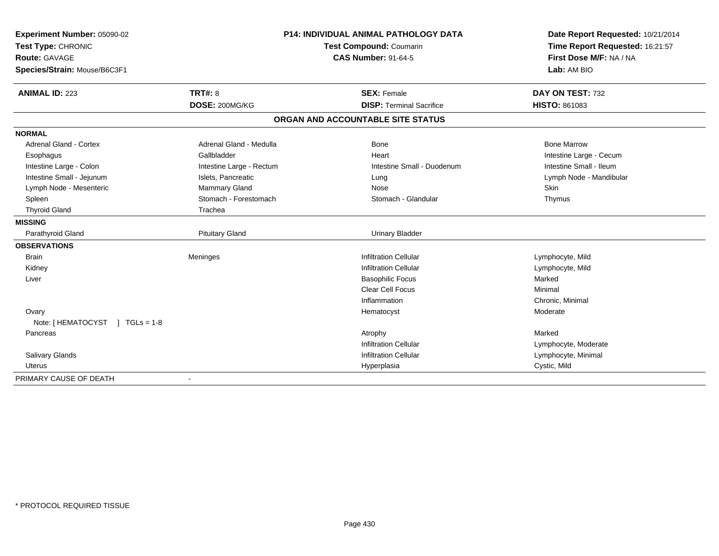| Experiment Number: 05090-02    | <b>P14: INDIVIDUAL ANIMAL PATHOLOGY DATA</b> |                                   | Date Report Requested: 10/21/2014 |  |
|--------------------------------|----------------------------------------------|-----------------------------------|-----------------------------------|--|
| Test Type: CHRONIC             |                                              | Test Compound: Coumarin           | Time Report Requested: 16:21:57   |  |
| <b>Route: GAVAGE</b>           |                                              | <b>CAS Number: 91-64-5</b>        | First Dose M/F: NA / NA           |  |
| Species/Strain: Mouse/B6C3F1   |                                              |                                   | Lab: AM BIO                       |  |
| <b>ANIMAL ID: 223</b>          | TRT#: 8                                      | <b>SEX: Female</b>                | DAY ON TEST: 732                  |  |
|                                | DOSE: 200MG/KG                               | <b>DISP: Terminal Sacrifice</b>   | <b>HISTO: 861083</b>              |  |
|                                |                                              | ORGAN AND ACCOUNTABLE SITE STATUS |                                   |  |
| <b>NORMAL</b>                  |                                              |                                   |                                   |  |
| Adrenal Gland - Cortex         | Adrenal Gland - Medulla                      | <b>Bone</b>                       | <b>Bone Marrow</b>                |  |
| Esophagus                      | Gallbladder                                  | Heart                             | Intestine Large - Cecum           |  |
| Intestine Large - Colon        | Intestine Large - Rectum                     | Intestine Small - Duodenum        | Intestine Small - Ileum           |  |
| Intestine Small - Jejunum      | Islets, Pancreatic                           | Lung                              | Lymph Node - Mandibular           |  |
| Lymph Node - Mesenteric        | Mammary Gland                                | Nose                              | Skin                              |  |
| Spleen                         | Stomach - Forestomach                        | Stomach - Glandular               | Thymus                            |  |
| <b>Thyroid Gland</b>           | Trachea                                      |                                   |                                   |  |
| <b>MISSING</b>                 |                                              |                                   |                                   |  |
| Parathyroid Gland              | <b>Pituitary Gland</b>                       | <b>Urinary Bladder</b>            |                                   |  |
| <b>OBSERVATIONS</b>            |                                              |                                   |                                   |  |
| <b>Brain</b>                   | Meninges                                     | <b>Infiltration Cellular</b>      | Lymphocyte, Mild                  |  |
| Kidney                         |                                              | <b>Infiltration Cellular</b>      | Lymphocyte, Mild                  |  |
| Liver                          |                                              | <b>Basophilic Focus</b>           | Marked                            |  |
|                                |                                              | Clear Cell Focus                  | Minimal                           |  |
|                                |                                              | Inflammation                      | Chronic, Minimal                  |  |
| Ovary                          |                                              | Hematocyst                        | Moderate                          |  |
| Note: [HEMATOCYST ] TGLs = 1-8 |                                              |                                   |                                   |  |
| Pancreas                       |                                              | Atrophy                           | Marked                            |  |
|                                |                                              | <b>Infiltration Cellular</b>      | Lymphocyte, Moderate              |  |
| Salivary Glands                |                                              | <b>Infiltration Cellular</b>      | Lymphocyte, Minimal               |  |
| <b>Uterus</b>                  |                                              | Hyperplasia                       | Cystic, Mild                      |  |
| PRIMARY CAUSE OF DEATH         |                                              |                                   |                                   |  |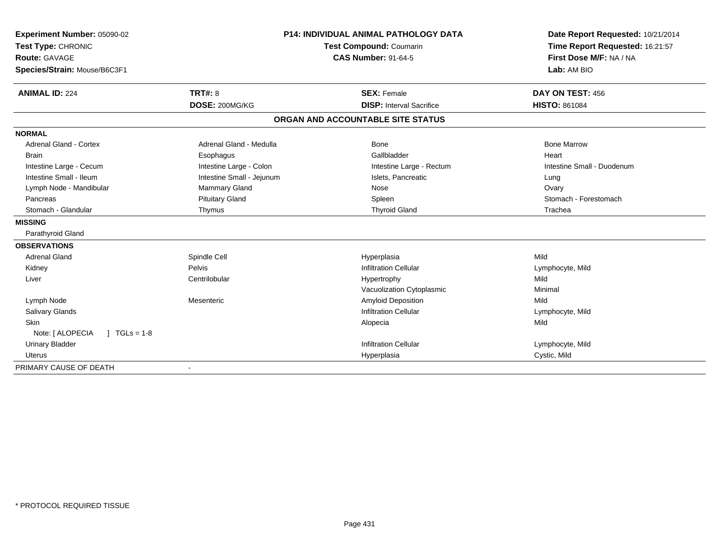| Experiment Number: 05090-02        |                           | <b>P14: INDIVIDUAL ANIMAL PATHOLOGY DATA</b> | Date Report Requested: 10/21/2014 |  |
|------------------------------------|---------------------------|----------------------------------------------|-----------------------------------|--|
| Test Type: CHRONIC                 |                           | <b>Test Compound: Coumarin</b>               | Time Report Requested: 16:21:57   |  |
| <b>Route: GAVAGE</b>               |                           | <b>CAS Number: 91-64-5</b>                   | First Dose M/F: NA / NA           |  |
| Species/Strain: Mouse/B6C3F1       |                           |                                              | Lab: AM BIO                       |  |
| <b>ANIMAL ID: 224</b>              | TRT#: 8                   | <b>SEX: Female</b>                           | DAY ON TEST: 456                  |  |
|                                    | DOSE: 200MG/KG            | <b>DISP:</b> Interval Sacrifice              | <b>HISTO: 861084</b>              |  |
|                                    |                           | ORGAN AND ACCOUNTABLE SITE STATUS            |                                   |  |
| <b>NORMAL</b>                      |                           |                                              |                                   |  |
| Adrenal Gland - Cortex             | Adrenal Gland - Medulla   | Bone                                         | <b>Bone Marrow</b>                |  |
| <b>Brain</b>                       | Esophagus                 | Gallbladder                                  | Heart                             |  |
| Intestine Large - Cecum            | Intestine Large - Colon   | Intestine Large - Rectum                     | Intestine Small - Duodenum        |  |
| Intestine Small - Ileum            | Intestine Small - Jejunum | Islets, Pancreatic                           | Lung                              |  |
| Lymph Node - Mandibular            | <b>Mammary Gland</b>      | Nose                                         | Ovary                             |  |
| Pancreas                           | <b>Pituitary Gland</b>    | Spleen                                       | Stomach - Forestomach             |  |
| Stomach - Glandular                | Thymus                    | <b>Thyroid Gland</b>                         | Trachea                           |  |
| <b>MISSING</b>                     |                           |                                              |                                   |  |
| Parathyroid Gland                  |                           |                                              |                                   |  |
| <b>OBSERVATIONS</b>                |                           |                                              |                                   |  |
| <b>Adrenal Gland</b>               | Spindle Cell              | Hyperplasia                                  | Mild                              |  |
| Kidney                             | Pelvis                    | <b>Infiltration Cellular</b>                 | Lymphocyte, Mild                  |  |
| Liver                              | Centrilobular             | Hypertrophy                                  | Mild                              |  |
|                                    |                           | Vacuolization Cytoplasmic                    | Minimal                           |  |
| Lymph Node                         | Mesenteric                | Amyloid Deposition                           | Mild                              |  |
| Salivary Glands                    |                           | <b>Infiltration Cellular</b>                 | Lymphocyte, Mild                  |  |
| <b>Skin</b>                        |                           | Alopecia                                     | Mild                              |  |
| Note: [ ALOPECIA<br>$1 TGLs = 1-8$ |                           |                                              |                                   |  |
| <b>Urinary Bladder</b>             |                           | <b>Infiltration Cellular</b>                 | Lymphocyte, Mild                  |  |
| Uterus                             |                           | Hyperplasia                                  | Cystic, Mild                      |  |
| PRIMARY CAUSE OF DEATH             |                           |                                              |                                   |  |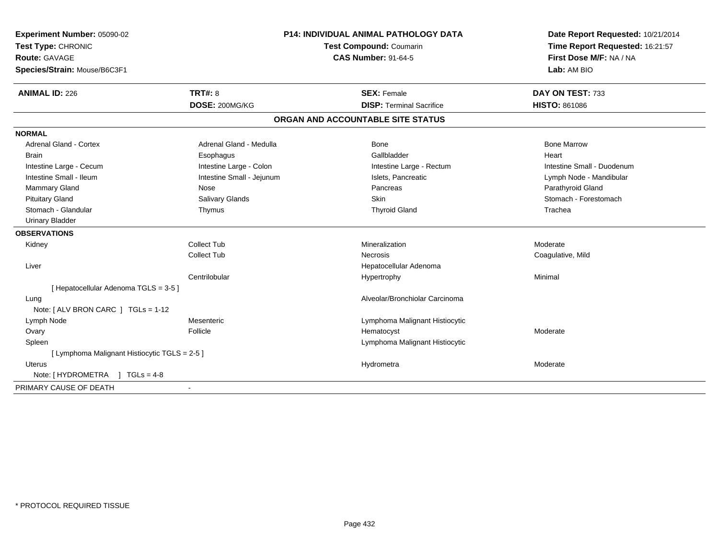| Experiment Number: 05090-02                   | <b>P14: INDIVIDUAL ANIMAL PATHOLOGY DATA</b><br>Test Compound: Coumarin<br><b>CAS Number: 91-64-5</b> |                                   | Date Report Requested: 10/21/2014 |
|-----------------------------------------------|-------------------------------------------------------------------------------------------------------|-----------------------------------|-----------------------------------|
| Test Type: CHRONIC                            |                                                                                                       |                                   | Time Report Requested: 16:21:57   |
| <b>Route: GAVAGE</b>                          |                                                                                                       |                                   | First Dose M/F: NA / NA           |
| Species/Strain: Mouse/B6C3F1                  |                                                                                                       |                                   | Lab: AM BIO                       |
| <b>ANIMAL ID: 226</b>                         | <b>TRT#: 8</b>                                                                                        | <b>SEX: Female</b>                | DAY ON TEST: 733                  |
|                                               | DOSE: 200MG/KG                                                                                        | <b>DISP: Terminal Sacrifice</b>   | HISTO: 861086                     |
|                                               |                                                                                                       | ORGAN AND ACCOUNTABLE SITE STATUS |                                   |
| <b>NORMAL</b>                                 |                                                                                                       |                                   |                                   |
| <b>Adrenal Gland - Cortex</b>                 | Adrenal Gland - Medulla                                                                               | Bone                              | <b>Bone Marrow</b>                |
| Brain                                         | Esophagus                                                                                             | Gallbladder                       | Heart                             |
| Intestine Large - Cecum                       | Intestine Large - Colon                                                                               | Intestine Large - Rectum          | Intestine Small - Duodenum        |
| Intestine Small - Ileum                       | Intestine Small - Jejunum                                                                             | Islets, Pancreatic                | Lymph Node - Mandibular           |
| <b>Mammary Gland</b>                          | Nose                                                                                                  | Pancreas                          | Parathyroid Gland                 |
| <b>Pituitary Gland</b>                        | Salivary Glands                                                                                       | Skin                              | Stomach - Forestomach             |
| Stomach - Glandular                           | Thymus                                                                                                | <b>Thyroid Gland</b>              | Trachea                           |
| <b>Urinary Bladder</b>                        |                                                                                                       |                                   |                                   |
| <b>OBSERVATIONS</b>                           |                                                                                                       |                                   |                                   |
| Kidney                                        | <b>Collect Tub</b>                                                                                    | Mineralization                    | Moderate                          |
|                                               | <b>Collect Tub</b>                                                                                    | Necrosis                          | Coagulative, Mild                 |
| Liver                                         |                                                                                                       | Hepatocellular Adenoma            |                                   |
|                                               | Centrilobular                                                                                         | Hypertrophy                       | Minimal                           |
| [ Hepatocellular Adenoma TGLS = 3-5 ]         |                                                                                                       |                                   |                                   |
| Lung                                          |                                                                                                       | Alveolar/Bronchiolar Carcinoma    |                                   |
| Note: [ ALV BRON CARC ] TGLs = 1-12           |                                                                                                       |                                   |                                   |
| Lymph Node                                    | Mesenteric                                                                                            | Lymphoma Malignant Histiocytic    |                                   |
| Ovary                                         | Follicle                                                                                              | Hematocyst                        | Moderate                          |
| Spleen                                        |                                                                                                       | Lymphoma Malignant Histiocytic    |                                   |
| [ Lymphoma Malignant Histiocytic TGLS = 2-5 ] |                                                                                                       |                                   |                                   |
| Uterus                                        |                                                                                                       | Hydrometra                        | Moderate                          |
| Note: [HYDROMETRA ] TGLs = 4-8                |                                                                                                       |                                   |                                   |
| PRIMARY CAUSE OF DEATH                        |                                                                                                       |                                   |                                   |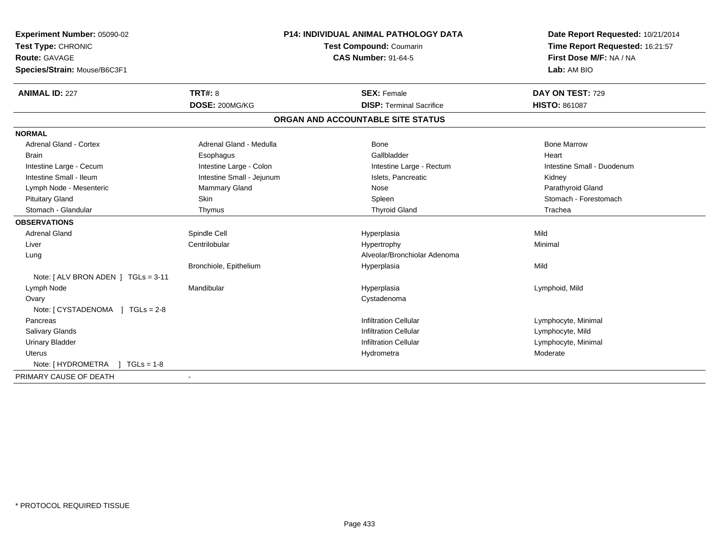| Experiment Number: 05090-02                              | <b>P14: INDIVIDUAL ANIMAL PATHOLOGY DATA</b> | Date Report Requested: 10/21/2014<br>Time Report Requested: 16:21:57 |
|----------------------------------------------------------|----------------------------------------------|----------------------------------------------------------------------|
| Test Type: CHRONIC                                       | Test Compound: Coumarin                      |                                                                      |
| Route: GAVAGE                                            | <b>CAS Number: 91-64-5</b>                   | First Dose M/F: NA / NA                                              |
| Species/Strain: Mouse/B6C3F1                             |                                              | Lab: AM BIO                                                          |
| <b>TRT#: 8</b><br><b>ANIMAL ID: 227</b>                  | <b>SEX: Female</b>                           | DAY ON TEST: 729                                                     |
| DOSE: 200MG/KG                                           | <b>DISP: Terminal Sacrifice</b>              | <b>HISTO: 861087</b>                                                 |
|                                                          | ORGAN AND ACCOUNTABLE SITE STATUS            |                                                                      |
| <b>NORMAL</b>                                            |                                              |                                                                      |
| <b>Adrenal Gland - Cortex</b><br>Adrenal Gland - Medulla | Bone                                         | <b>Bone Marrow</b>                                                   |
| <b>Brain</b><br>Esophagus                                | Gallbladder                                  | Heart                                                                |
| Intestine Large - Colon<br>Intestine Large - Cecum       | Intestine Large - Rectum                     | Intestine Small - Duodenum                                           |
| Intestine Small - Ileum<br>Intestine Small - Jejunum     | Islets, Pancreatic                           | Kidney                                                               |
| Mammary Gland<br>Lymph Node - Mesenteric                 | Nose                                         | Parathyroid Gland                                                    |
| Skin<br><b>Pituitary Gland</b>                           | Spleen                                       | Stomach - Forestomach                                                |
| Stomach - Glandular<br>Thymus                            | <b>Thyroid Gland</b>                         | Trachea                                                              |
| <b>OBSERVATIONS</b>                                      |                                              |                                                                      |
| <b>Adrenal Gland</b><br>Spindle Cell                     | Hyperplasia                                  | Mild                                                                 |
| Liver<br>Centrilobular                                   | Hypertrophy                                  | Minimal                                                              |
| Lung                                                     | Alveolar/Bronchiolar Adenoma                 |                                                                      |
| Bronchiole, Epithelium                                   | Hyperplasia                                  | Mild                                                                 |
| Note: [ ALV BRON ADEN ] TGLs = 3-11                      |                                              |                                                                      |
| Lymph Node<br>Mandibular                                 | Hyperplasia                                  | Lymphoid, Mild                                                       |
| Ovary                                                    | Cystadenoma                                  |                                                                      |
|                                                          |                                              |                                                                      |
| Pancreas                                                 | <b>Infiltration Cellular</b>                 | Lymphocyte, Minimal                                                  |
| <b>Salivary Glands</b>                                   | <b>Infiltration Cellular</b>                 | Lymphocyte, Mild                                                     |
| <b>Urinary Bladder</b>                                   | <b>Infiltration Cellular</b>                 | Lymphocyte, Minimal                                                  |
| Uterus                                                   | Hydrometra                                   | Moderate                                                             |
| Note: [HYDROMETRA ] TGLs = 1-8                           |                                              |                                                                      |
| PRIMARY CAUSE OF DEATH                                   |                                              |                                                                      |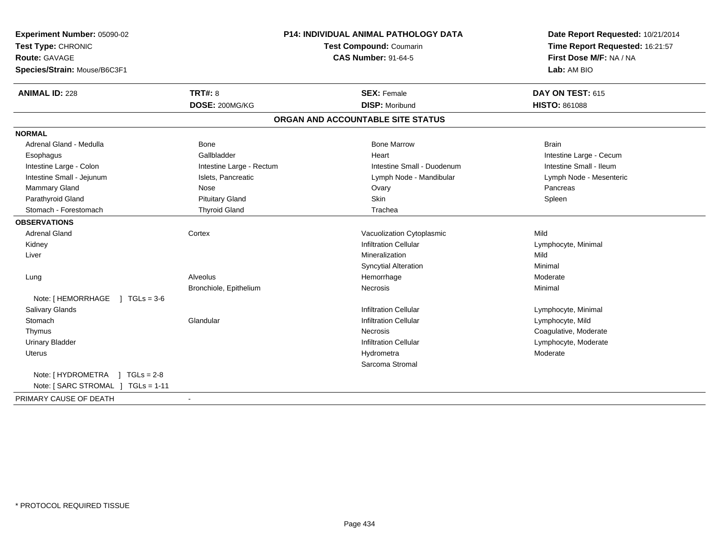| Experiment Number: 05090-02          | <b>P14: INDIVIDUAL ANIMAL PATHOLOGY DATA</b><br>Test Compound: Coumarin<br><b>CAS Number: 91-64-5</b> |                                   | Date Report Requested: 10/21/2014<br>Time Report Requested: 16:21:57 |
|--------------------------------------|-------------------------------------------------------------------------------------------------------|-----------------------------------|----------------------------------------------------------------------|
| Test Type: CHRONIC                   |                                                                                                       |                                   |                                                                      |
| Route: GAVAGE                        |                                                                                                       |                                   | First Dose M/F: NA / NA                                              |
| Species/Strain: Mouse/B6C3F1         |                                                                                                       |                                   | Lab: AM BIO                                                          |
| <b>ANIMAL ID: 228</b>                | <b>TRT#: 8</b>                                                                                        | <b>SEX: Female</b>                | DAY ON TEST: 615                                                     |
|                                      | DOSE: 200MG/KG                                                                                        | <b>DISP: Moribund</b>             | <b>HISTO: 861088</b>                                                 |
|                                      |                                                                                                       | ORGAN AND ACCOUNTABLE SITE STATUS |                                                                      |
| <b>NORMAL</b>                        |                                                                                                       |                                   |                                                                      |
| Adrenal Gland - Medulla              | <b>Bone</b>                                                                                           | <b>Bone Marrow</b>                | <b>Brain</b>                                                         |
| Esophagus                            | Gallbladder                                                                                           | Heart                             | Intestine Large - Cecum                                              |
| Intestine Large - Colon              | Intestine Large - Rectum                                                                              | Intestine Small - Duodenum        | Intestine Small - Ileum                                              |
| Intestine Small - Jejunum            | Islets, Pancreatic                                                                                    | Lymph Node - Mandibular           | Lymph Node - Mesenteric                                              |
| Mammary Gland                        | Nose                                                                                                  | Ovary                             | Pancreas                                                             |
| Parathyroid Gland                    | <b>Pituitary Gland</b>                                                                                | Skin                              | Spleen                                                               |
| Stomach - Forestomach                | <b>Thyroid Gland</b>                                                                                  | Trachea                           |                                                                      |
| <b>OBSERVATIONS</b>                  |                                                                                                       |                                   |                                                                      |
| <b>Adrenal Gland</b>                 | Cortex                                                                                                | Vacuolization Cytoplasmic         | Mild                                                                 |
| Kidney                               |                                                                                                       | <b>Infiltration Cellular</b>      | Lymphocyte, Minimal                                                  |
| Liver                                |                                                                                                       | Mineralization                    | Mild                                                                 |
|                                      |                                                                                                       | <b>Syncytial Alteration</b>       | Minimal                                                              |
| Lung                                 | Alveolus                                                                                              | Hemorrhage                        | Moderate                                                             |
|                                      | Bronchiole, Epithelium                                                                                | Necrosis                          | Minimal                                                              |
| Note: [ HEMORRHAGE<br>$1 TGLs = 3-6$ |                                                                                                       |                                   |                                                                      |
| <b>Salivary Glands</b>               |                                                                                                       | <b>Infiltration Cellular</b>      | Lymphocyte, Minimal                                                  |
| Stomach                              | Glandular                                                                                             | <b>Infiltration Cellular</b>      | Lymphocyte, Mild                                                     |
| Thymus                               |                                                                                                       | <b>Necrosis</b>                   | Coagulative, Moderate                                                |
| <b>Urinary Bladder</b>               |                                                                                                       | <b>Infiltration Cellular</b>      | Lymphocyte, Moderate                                                 |
| <b>Uterus</b>                        |                                                                                                       | Hydrometra                        | Moderate                                                             |
|                                      |                                                                                                       | Sarcoma Stromal                   |                                                                      |
| Note: [HYDROMETRA ] TGLs = 2-8       |                                                                                                       |                                   |                                                                      |
| Note: [ SARC STROMAL ] TGLs = 1-11   |                                                                                                       |                                   |                                                                      |
| PRIMARY CAUSE OF DEATH               | $\blacksquare$                                                                                        |                                   |                                                                      |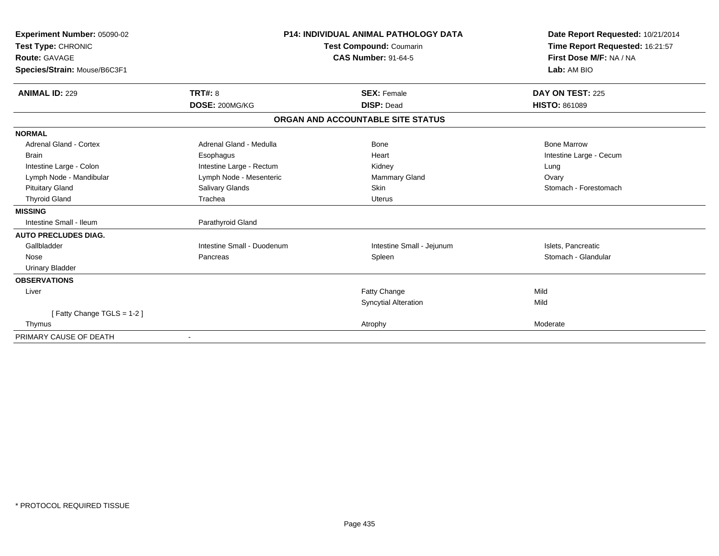| Experiment Number: 05090-02  |                            | <b>P14: INDIVIDUAL ANIMAL PATHOLOGY DATA</b> | Date Report Requested: 10/21/2014                          |
|------------------------------|----------------------------|----------------------------------------------|------------------------------------------------------------|
| Test Type: CHRONIC           |                            | <b>Test Compound: Coumarin</b>               | Time Report Requested: 16:21:57<br>First Dose M/F: NA / NA |
| <b>Route: GAVAGE</b>         |                            | <b>CAS Number: 91-64-5</b>                   |                                                            |
| Species/Strain: Mouse/B6C3F1 |                            |                                              | Lab: AM BIO                                                |
| <b>ANIMAL ID: 229</b>        | <b>TRT#: 8</b>             | <b>SEX: Female</b>                           | DAY ON TEST: 225                                           |
|                              | DOSE: 200MG/KG             | <b>DISP: Dead</b>                            | <b>HISTO: 861089</b>                                       |
|                              |                            | ORGAN AND ACCOUNTABLE SITE STATUS            |                                                            |
| <b>NORMAL</b>                |                            |                                              |                                                            |
| Adrenal Gland - Cortex       | Adrenal Gland - Medulla    | <b>Bone</b>                                  | <b>Bone Marrow</b>                                         |
| <b>Brain</b>                 | Esophagus                  | Heart                                        | Intestine Large - Cecum                                    |
| Intestine Large - Colon      | Intestine Large - Rectum   | Kidney                                       | Lung                                                       |
| Lymph Node - Mandibular      | Lymph Node - Mesenteric    | Mammary Gland                                | Ovary                                                      |
| <b>Pituitary Gland</b>       | Salivary Glands            | Skin                                         | Stomach - Forestomach                                      |
| <b>Thyroid Gland</b>         | Trachea                    | <b>Uterus</b>                                |                                                            |
| <b>MISSING</b>               |                            |                                              |                                                            |
| Intestine Small - Ileum      | Parathyroid Gland          |                                              |                                                            |
| <b>AUTO PRECLUDES DIAG.</b>  |                            |                                              |                                                            |
| Gallbladder                  | Intestine Small - Duodenum | Intestine Small - Jejunum                    | Islets, Pancreatic                                         |
| Nose                         | Pancreas                   | Spleen                                       | Stomach - Glandular                                        |
| <b>Urinary Bladder</b>       |                            |                                              |                                                            |
| <b>OBSERVATIONS</b>          |                            |                                              |                                                            |
| Liver                        |                            | Fatty Change                                 | Mild                                                       |
|                              |                            | <b>Syncytial Alteration</b>                  | Mild                                                       |
| [Fatty Change TGLS = 1-2]    |                            |                                              |                                                            |
| Thymus                       |                            | Atrophy                                      | Moderate                                                   |
| PRIMARY CAUSE OF DEATH       |                            |                                              |                                                            |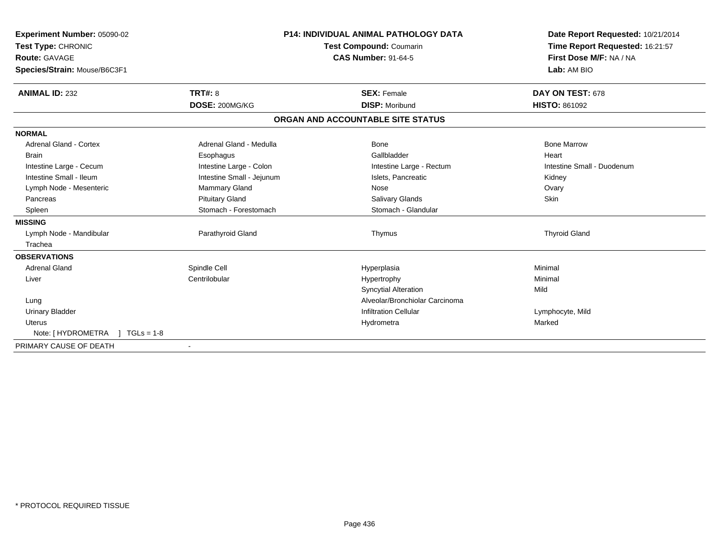| Experiment Number: 05090-02<br>Test Type: CHRONIC<br>Route: GAVAGE<br>Species/Strain: Mouse/B6C3F1 |                           | <b>P14: INDIVIDUAL ANIMAL PATHOLOGY DATA</b><br>Test Compound: Coumarin<br><b>CAS Number: 91-64-5</b> | Date Report Requested: 10/21/2014<br>Time Report Requested: 16:21:57<br>First Dose M/F: NA / NA<br>Lab: AM BIO |
|----------------------------------------------------------------------------------------------------|---------------------------|-------------------------------------------------------------------------------------------------------|----------------------------------------------------------------------------------------------------------------|
| <b>ANIMAL ID: 232</b>                                                                              | <b>TRT#: 8</b>            | <b>SEX: Female</b>                                                                                    | DAY ON TEST: 678                                                                                               |
|                                                                                                    | DOSE: 200MG/KG            | <b>DISP: Moribund</b>                                                                                 | <b>HISTO: 861092</b>                                                                                           |
|                                                                                                    |                           | ORGAN AND ACCOUNTABLE SITE STATUS                                                                     |                                                                                                                |
| <b>NORMAL</b>                                                                                      |                           |                                                                                                       |                                                                                                                |
| <b>Adrenal Gland - Cortex</b>                                                                      | Adrenal Gland - Medulla   | Bone                                                                                                  | <b>Bone Marrow</b>                                                                                             |
| <b>Brain</b>                                                                                       | Esophagus                 | Gallbladder                                                                                           | Heart                                                                                                          |
| Intestine Large - Cecum                                                                            | Intestine Large - Colon   | Intestine Large - Rectum                                                                              | Intestine Small - Duodenum                                                                                     |
| Intestine Small - Ileum                                                                            | Intestine Small - Jejunum | Islets, Pancreatic                                                                                    | Kidney                                                                                                         |
| Lymph Node - Mesenteric                                                                            | <b>Mammary Gland</b>      | Nose                                                                                                  | Ovary                                                                                                          |
| Pancreas                                                                                           | <b>Pituitary Gland</b>    | <b>Salivary Glands</b>                                                                                | Skin                                                                                                           |
| Spleen                                                                                             | Stomach - Forestomach     | Stomach - Glandular                                                                                   |                                                                                                                |
| <b>MISSING</b>                                                                                     |                           |                                                                                                       |                                                                                                                |
| Lymph Node - Mandibular                                                                            | Parathyroid Gland         | Thymus                                                                                                | <b>Thyroid Gland</b>                                                                                           |
| Trachea                                                                                            |                           |                                                                                                       |                                                                                                                |
| <b>OBSERVATIONS</b>                                                                                |                           |                                                                                                       |                                                                                                                |
| <b>Adrenal Gland</b>                                                                               | Spindle Cell              | Hyperplasia                                                                                           | Minimal                                                                                                        |
| Liver                                                                                              | Centrilobular             | Hypertrophy                                                                                           | Minimal                                                                                                        |
|                                                                                                    |                           | <b>Syncytial Alteration</b>                                                                           | Mild                                                                                                           |
| Lung                                                                                               |                           | Alveolar/Bronchiolar Carcinoma                                                                        |                                                                                                                |
| <b>Urinary Bladder</b>                                                                             |                           | <b>Infiltration Cellular</b>                                                                          | Lymphocyte, Mild                                                                                               |
| <b>Uterus</b>                                                                                      |                           | Hydrometra                                                                                            | Marked                                                                                                         |
| Note: [ HYDROMETRA<br>$TGLs = 1-8$                                                                 |                           |                                                                                                       |                                                                                                                |
| PRIMARY CAUSE OF DEATH                                                                             |                           |                                                                                                       |                                                                                                                |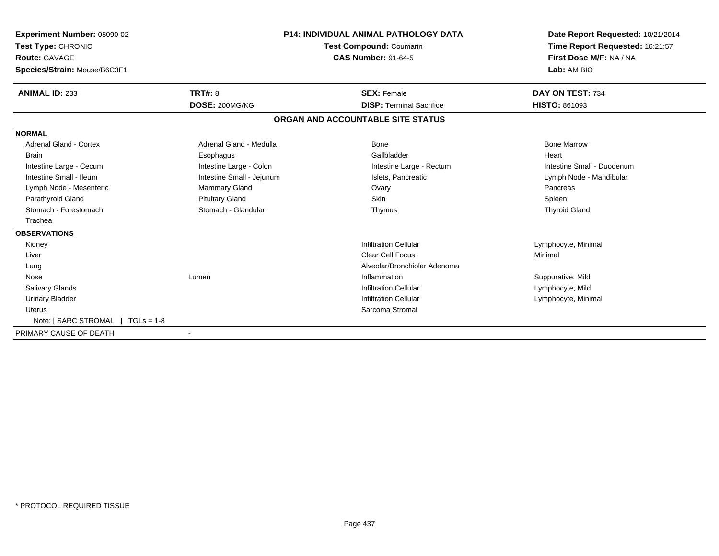| Experiment Number: 05090-02<br>Test Type: CHRONIC<br><b>Route: GAVAGE</b><br>Species/Strain: Mouse/B6C3F1 |                           | <b>P14: INDIVIDUAL ANIMAL PATHOLOGY DATA</b><br>Test Compound: Coumarin<br><b>CAS Number: 91-64-5</b> | Date Report Requested: 10/21/2014<br>Time Report Requested: 16:21:57<br>First Dose M/F: NA / NA<br>Lab: AM BIO |
|-----------------------------------------------------------------------------------------------------------|---------------------------|-------------------------------------------------------------------------------------------------------|----------------------------------------------------------------------------------------------------------------|
| <b>ANIMAL ID: 233</b>                                                                                     | <b>TRT#: 8</b>            | <b>SEX: Female</b>                                                                                    | DAY ON TEST: 734                                                                                               |
|                                                                                                           | DOSE: 200MG/KG            | <b>DISP:</b> Terminal Sacrifice                                                                       | <b>HISTO: 861093</b>                                                                                           |
|                                                                                                           |                           | ORGAN AND ACCOUNTABLE SITE STATUS                                                                     |                                                                                                                |
| <b>NORMAL</b>                                                                                             |                           |                                                                                                       |                                                                                                                |
| <b>Adrenal Gland - Cortex</b>                                                                             | Adrenal Gland - Medulla   | <b>Bone</b>                                                                                           | <b>Bone Marrow</b>                                                                                             |
| <b>Brain</b>                                                                                              | Esophagus                 | Gallbladder                                                                                           | Heart                                                                                                          |
| Intestine Large - Cecum                                                                                   | Intestine Large - Colon   | Intestine Large - Rectum                                                                              | Intestine Small - Duodenum                                                                                     |
| Intestine Small - Ileum                                                                                   | Intestine Small - Jejunum | Islets. Pancreatic                                                                                    | Lymph Node - Mandibular                                                                                        |
| Lymph Node - Mesenteric                                                                                   | <b>Mammary Gland</b>      | Ovary                                                                                                 | Pancreas                                                                                                       |
| Parathyroid Gland                                                                                         | <b>Pituitary Gland</b>    | <b>Skin</b>                                                                                           | Spleen                                                                                                         |
| Stomach - Forestomach                                                                                     | Stomach - Glandular       | Thymus                                                                                                | <b>Thyroid Gland</b>                                                                                           |
| Trachea                                                                                                   |                           |                                                                                                       |                                                                                                                |
| <b>OBSERVATIONS</b>                                                                                       |                           |                                                                                                       |                                                                                                                |
| Kidney                                                                                                    |                           | <b>Infiltration Cellular</b>                                                                          | Lymphocyte, Minimal                                                                                            |
| Liver                                                                                                     |                           | Clear Cell Focus                                                                                      | Minimal                                                                                                        |
| Lung                                                                                                      |                           | Alveolar/Bronchiolar Adenoma                                                                          |                                                                                                                |
| Nose                                                                                                      | Lumen                     | Inflammation                                                                                          | Suppurative, Mild                                                                                              |
| <b>Salivary Glands</b>                                                                                    |                           | <b>Infiltration Cellular</b>                                                                          | Lymphocyte, Mild                                                                                               |
| <b>Urinary Bladder</b>                                                                                    |                           | <b>Infiltration Cellular</b>                                                                          | Lymphocyte, Minimal                                                                                            |
| <b>Uterus</b>                                                                                             |                           | Sarcoma Stromal                                                                                       |                                                                                                                |
| Note: $[ SARC STROMAL ] TGLs = 1-8$                                                                       |                           |                                                                                                       |                                                                                                                |
| PRIMARY CAUSE OF DEATH                                                                                    |                           |                                                                                                       |                                                                                                                |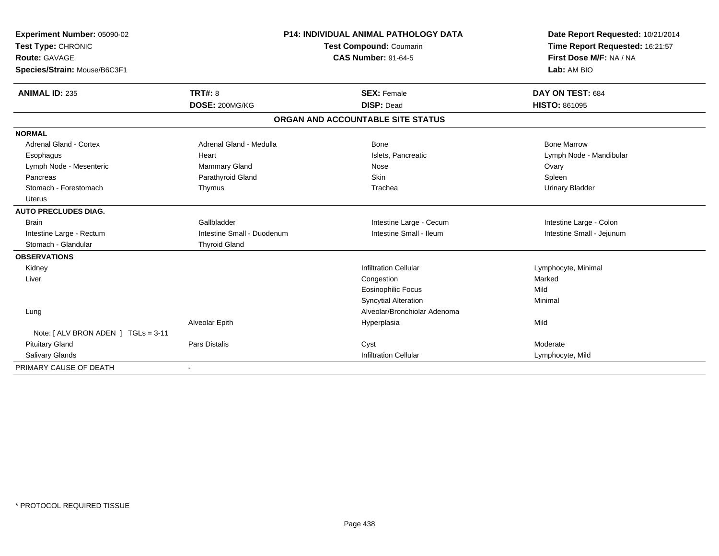| Experiment Number: 05090-02        |                            | <b>P14: INDIVIDUAL ANIMAL PATHOLOGY DATA</b> | Date Report Requested: 10/21/2014 |
|------------------------------------|----------------------------|----------------------------------------------|-----------------------------------|
| Test Type: CHRONIC                 | Test Compound: Coumarin    |                                              | Time Report Requested: 16:21:57   |
| Route: GAVAGE                      |                            | <b>CAS Number: 91-64-5</b>                   | First Dose M/F: NA / NA           |
| Species/Strain: Mouse/B6C3F1       |                            |                                              | Lab: AM BIO                       |
| <b>ANIMAL ID: 235</b>              | <b>TRT#: 8</b>             | <b>SEX: Female</b>                           | DAY ON TEST: 684                  |
|                                    |                            |                                              |                                   |
|                                    | DOSE: 200MG/KG             | <b>DISP: Dead</b>                            | <b>HISTO: 861095</b>              |
|                                    |                            | ORGAN AND ACCOUNTABLE SITE STATUS            |                                   |
| <b>NORMAL</b>                      |                            |                                              |                                   |
| Adrenal Gland - Cortex             | Adrenal Gland - Medulla    | Bone                                         | <b>Bone Marrow</b>                |
| Esophagus                          | Heart                      | Islets, Pancreatic                           | Lymph Node - Mandibular           |
| Lymph Node - Mesenteric            | <b>Mammary Gland</b>       | Nose                                         | Ovary                             |
| Pancreas                           | Parathyroid Gland          | Skin                                         | Spleen                            |
| Stomach - Forestomach              | Thymus                     | Trachea                                      | <b>Urinary Bladder</b>            |
| <b>Uterus</b>                      |                            |                                              |                                   |
| <b>AUTO PRECLUDES DIAG.</b>        |                            |                                              |                                   |
| <b>Brain</b>                       | Gallbladder                | Intestine Large - Cecum                      | Intestine Large - Colon           |
| Intestine Large - Rectum           | Intestine Small - Duodenum | Intestine Small - Ileum                      | Intestine Small - Jejunum         |
| Stomach - Glandular                | <b>Thyroid Gland</b>       |                                              |                                   |
| <b>OBSERVATIONS</b>                |                            |                                              |                                   |
| Kidney                             |                            | <b>Infiltration Cellular</b>                 | Lymphocyte, Minimal               |
| Liver                              |                            | Congestion                                   | Marked                            |
|                                    |                            | <b>Eosinophilic Focus</b>                    | Mild                              |
|                                    |                            | <b>Syncytial Alteration</b>                  | Minimal                           |
| Lung                               |                            | Alveolar/Bronchiolar Adenoma                 |                                   |
|                                    | Alveolar Epith             | Hyperplasia                                  | Mild                              |
| Note: [ALV BRON ADEN ] TGLs = 3-11 |                            |                                              |                                   |
| <b>Pituitary Gland</b>             | <b>Pars Distalis</b>       | Cyst                                         | Moderate                          |
| Salivary Glands                    |                            | <b>Infiltration Cellular</b>                 | Lymphocyte, Mild                  |
| PRIMARY CAUSE OF DEATH             |                            |                                              |                                   |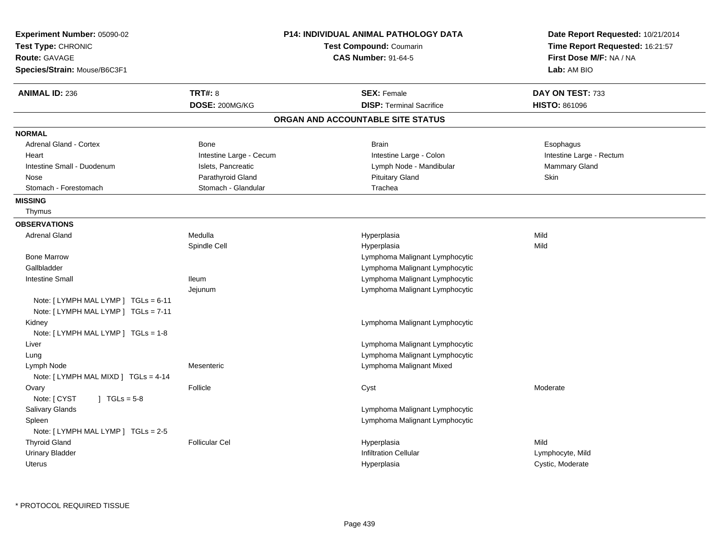| Experiment Number: 05090-02<br>Test Type: CHRONIC<br><b>Route: GAVAGE</b><br>Species/Strain: Mouse/B6C3F1 |                         | P14: INDIVIDUAL ANIMAL PATHOLOGY DATA<br>Test Compound: Coumarin<br><b>CAS Number: 91-64-5</b> | Date Report Requested: 10/21/2014<br>Time Report Requested: 16:21:57<br>First Dose M/F: NA / NA<br>Lab: AM BIO |
|-----------------------------------------------------------------------------------------------------------|-------------------------|------------------------------------------------------------------------------------------------|----------------------------------------------------------------------------------------------------------------|
| <b>ANIMAL ID: 236</b>                                                                                     | <b>TRT#: 8</b>          | <b>SEX: Female</b>                                                                             | DAY ON TEST: 733                                                                                               |
|                                                                                                           | DOSE: 200MG/KG          | <b>DISP: Terminal Sacrifice</b>                                                                | <b>HISTO: 861096</b>                                                                                           |
|                                                                                                           |                         | ORGAN AND ACCOUNTABLE SITE STATUS                                                              |                                                                                                                |
| <b>NORMAL</b>                                                                                             |                         |                                                                                                |                                                                                                                |
| <b>Adrenal Gland - Cortex</b>                                                                             | Bone                    | <b>Brain</b>                                                                                   | Esophagus                                                                                                      |
| Heart                                                                                                     | Intestine Large - Cecum | Intestine Large - Colon                                                                        | Intestine Large - Rectum                                                                                       |
| Intestine Small - Duodenum                                                                                | Islets, Pancreatic      | Lymph Node - Mandibular                                                                        | Mammary Gland                                                                                                  |
| Nose                                                                                                      | Parathyroid Gland       | <b>Pituitary Gland</b>                                                                         | Skin                                                                                                           |
| Stomach - Forestomach                                                                                     | Stomach - Glandular     | Trachea                                                                                        |                                                                                                                |
| <b>MISSING</b>                                                                                            |                         |                                                                                                |                                                                                                                |
| Thymus                                                                                                    |                         |                                                                                                |                                                                                                                |
| <b>OBSERVATIONS</b>                                                                                       |                         |                                                                                                |                                                                                                                |
| <b>Adrenal Gland</b>                                                                                      | Medulla                 | Hyperplasia                                                                                    | Mild                                                                                                           |
|                                                                                                           | Spindle Cell            | Hyperplasia                                                                                    | Mild                                                                                                           |
| <b>Bone Marrow</b>                                                                                        |                         | Lymphoma Malignant Lymphocytic                                                                 |                                                                                                                |
| Gallbladder                                                                                               |                         | Lymphoma Malignant Lymphocytic                                                                 |                                                                                                                |
| <b>Intestine Small</b>                                                                                    | <b>Ileum</b>            | Lymphoma Malignant Lymphocytic                                                                 |                                                                                                                |
|                                                                                                           | Jejunum                 | Lymphoma Malignant Lymphocytic                                                                 |                                                                                                                |
| Note: [LYMPH MAL LYMP ] TGLs = 6-11                                                                       |                         |                                                                                                |                                                                                                                |
| Note: [LYMPH MAL LYMP ] TGLs = 7-11                                                                       |                         |                                                                                                |                                                                                                                |
| Kidney                                                                                                    |                         | Lymphoma Malignant Lymphocytic                                                                 |                                                                                                                |
| Note: [LYMPH MAL LYMP ] TGLs = 1-8                                                                        |                         |                                                                                                |                                                                                                                |
| Liver                                                                                                     |                         | Lymphoma Malignant Lymphocytic                                                                 |                                                                                                                |
| Lung                                                                                                      |                         | Lymphoma Malignant Lymphocytic                                                                 |                                                                                                                |
| Lymph Node                                                                                                | Mesenteric              | Lymphoma Malignant Mixed                                                                       |                                                                                                                |
| Note: $[LYMPH MAL MIXD] TGLs = 4-14$                                                                      |                         |                                                                                                |                                                                                                                |
| Ovary                                                                                                     | Follicle                | Cyst                                                                                           | Moderate                                                                                                       |
| Note: [ CYST<br>$1 TGLs = 5-8$                                                                            |                         |                                                                                                |                                                                                                                |
| Salivary Glands                                                                                           |                         | Lymphoma Malignant Lymphocytic                                                                 |                                                                                                                |
| Spleen                                                                                                    |                         | Lymphoma Malignant Lymphocytic                                                                 |                                                                                                                |
| Note: [ LYMPH MAL LYMP ] TGLs = 2-5                                                                       |                         |                                                                                                |                                                                                                                |
| <b>Thyroid Gland</b>                                                                                      | <b>Follicular Cel</b>   | Hyperplasia                                                                                    | Mild                                                                                                           |
| <b>Urinary Bladder</b>                                                                                    |                         | <b>Infiltration Cellular</b>                                                                   | Lymphocyte, Mild                                                                                               |
| Uterus                                                                                                    |                         | Hyperplasia                                                                                    | Cystic, Moderate                                                                                               |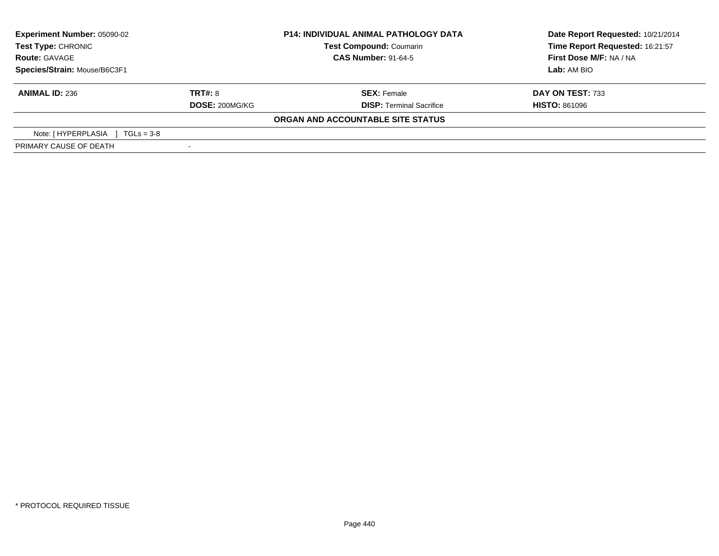| Experiment Number: 05090-02<br>Test Type: CHRONIC |                       | <b>P14: INDIVIDUAL ANIMAL PATHOLOGY DATA</b> | Date Report Requested: 10/21/2014 |
|---------------------------------------------------|-----------------------|----------------------------------------------|-----------------------------------|
|                                                   |                       | <b>Test Compound: Coumarin</b>               | Time Report Requested: 16:21:57   |
| <b>Route: GAVAGE</b>                              |                       | <b>CAS Number: 91-64-5</b>                   | First Dose M/F: NA / NA           |
| Species/Strain: Mouse/B6C3F1                      |                       |                                              | Lab: AM BIO                       |
| <b>ANIMAL ID: 236</b>                             | <b>TRT#: 8</b>        | <b>SEX: Female</b>                           | DAY ON TEST: 733                  |
|                                                   | <b>DOSE: 200MG/KG</b> | <b>DISP: Terminal Sacrifice</b>              | <b>HISTO: 861096</b>              |
|                                                   |                       | ORGAN AND ACCOUNTABLE SITE STATUS            |                                   |
| Note: [HYPERPLASIA ]<br>$TGLs = 3-8$              |                       |                                              |                                   |
| PRIMARY CAUSE OF DEATH                            |                       |                                              |                                   |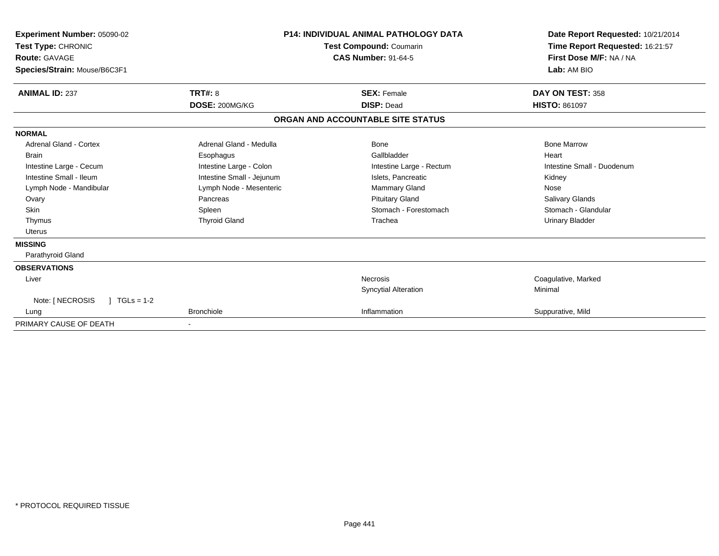| Experiment Number: 05090-02<br>Test Type: CHRONIC<br>Route: GAVAGE<br>Species/Strain: Mouse/B6C3F1 |                           | <b>P14: INDIVIDUAL ANIMAL PATHOLOGY DATA</b><br>Test Compound: Coumarin<br><b>CAS Number: 91-64-5</b> | Date Report Requested: 10/21/2014<br>Time Report Requested: 16:21:57<br>First Dose M/F: NA / NA<br>Lab: AM BIO |
|----------------------------------------------------------------------------------------------------|---------------------------|-------------------------------------------------------------------------------------------------------|----------------------------------------------------------------------------------------------------------------|
| <b>ANIMAL ID: 237</b>                                                                              | TRT#: 8                   | <b>SEX: Female</b>                                                                                    | DAY ON TEST: 358                                                                                               |
|                                                                                                    | DOSE: 200MG/KG            | <b>DISP: Dead</b>                                                                                     | <b>HISTO: 861097</b>                                                                                           |
|                                                                                                    |                           | ORGAN AND ACCOUNTABLE SITE STATUS                                                                     |                                                                                                                |
| <b>NORMAL</b>                                                                                      |                           |                                                                                                       |                                                                                                                |
| <b>Adrenal Gland - Cortex</b>                                                                      | Adrenal Gland - Medulla   | Bone                                                                                                  | <b>Bone Marrow</b>                                                                                             |
| <b>Brain</b>                                                                                       | Esophagus                 | Gallbladder                                                                                           | Heart                                                                                                          |
| Intestine Large - Cecum                                                                            | Intestine Large - Colon   | Intestine Large - Rectum                                                                              | Intestine Small - Duodenum                                                                                     |
| Intestine Small - Ileum                                                                            | Intestine Small - Jejunum | Islets, Pancreatic                                                                                    | Kidney                                                                                                         |
| Lymph Node - Mandibular                                                                            | Lymph Node - Mesenteric   | Mammary Gland                                                                                         | Nose                                                                                                           |
| Ovary                                                                                              | Pancreas                  | <b>Pituitary Gland</b>                                                                                | Salivary Glands                                                                                                |
| <b>Skin</b>                                                                                        | Spleen                    | Stomach - Forestomach                                                                                 | Stomach - Glandular                                                                                            |
| Thymus                                                                                             | <b>Thyroid Gland</b>      | Trachea                                                                                               | Urinary Bladder                                                                                                |
| <b>Uterus</b>                                                                                      |                           |                                                                                                       |                                                                                                                |
| <b>MISSING</b>                                                                                     |                           |                                                                                                       |                                                                                                                |
| Parathyroid Gland                                                                                  |                           |                                                                                                       |                                                                                                                |
| <b>OBSERVATIONS</b>                                                                                |                           |                                                                                                       |                                                                                                                |
| Liver                                                                                              |                           | <b>Necrosis</b>                                                                                       | Coagulative, Marked                                                                                            |
|                                                                                                    |                           | <b>Syncytial Alteration</b>                                                                           | Minimal                                                                                                        |
| Note: [ NECROSIS<br>$TGLs = 1-2$                                                                   |                           |                                                                                                       |                                                                                                                |
| Lung                                                                                               | <b>Bronchiole</b>         | Inflammation                                                                                          | Suppurative, Mild                                                                                              |
| PRIMARY CAUSE OF DEATH                                                                             |                           |                                                                                                       |                                                                                                                |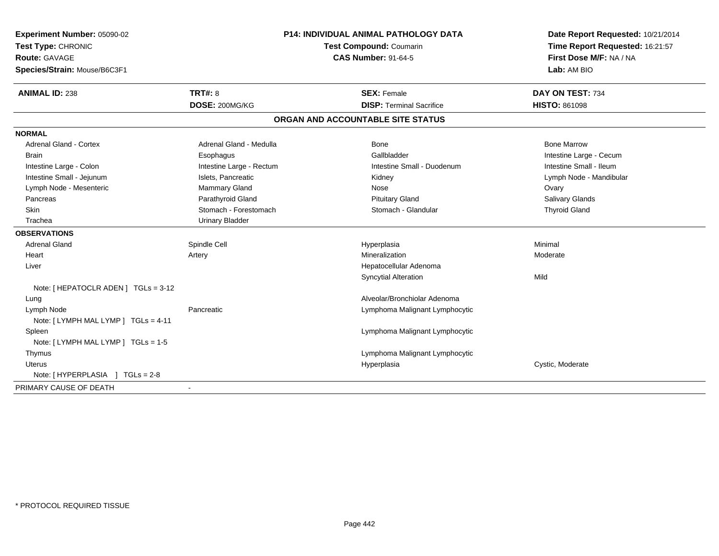| Experiment Number: 05090-02          | P14: INDIVIDUAL ANIMAL PATHOLOGY DATA<br>Test Compound: Coumarin |                                   | Date Report Requested: 10/21/2014 |
|--------------------------------------|------------------------------------------------------------------|-----------------------------------|-----------------------------------|
| Test Type: CHRONIC                   |                                                                  |                                   | Time Report Requested: 16:21:57   |
| <b>Route: GAVAGE</b>                 |                                                                  | <b>CAS Number: 91-64-5</b>        | First Dose M/F: NA / NA           |
| Species/Strain: Mouse/B6C3F1         |                                                                  |                                   | Lab: AM BIO                       |
| <b>ANIMAL ID: 238</b>                | <b>TRT#: 8</b>                                                   | <b>SEX: Female</b>                | DAY ON TEST: 734                  |
|                                      | DOSE: 200MG/KG                                                   | <b>DISP: Terminal Sacrifice</b>   | <b>HISTO: 861098</b>              |
|                                      |                                                                  | ORGAN AND ACCOUNTABLE SITE STATUS |                                   |
| <b>NORMAL</b>                        |                                                                  |                                   |                                   |
| <b>Adrenal Gland - Cortex</b>        | Adrenal Gland - Medulla                                          | Bone                              | <b>Bone Marrow</b>                |
| Brain                                | Esophagus                                                        | Gallbladder                       | Intestine Large - Cecum           |
| Intestine Large - Colon              | Intestine Large - Rectum                                         | Intestine Small - Duodenum        | Intestine Small - Ileum           |
| Intestine Small - Jejunum            | Islets, Pancreatic                                               | Kidney                            | Lymph Node - Mandibular           |
| Lymph Node - Mesenteric              | <b>Mammary Gland</b>                                             | Nose                              | Ovary                             |
| Pancreas                             | Parathyroid Gland                                                | <b>Pituitary Gland</b>            | Salivary Glands                   |
| <b>Skin</b>                          | Stomach - Forestomach                                            | Stomach - Glandular               | <b>Thyroid Gland</b>              |
| Trachea                              | <b>Urinary Bladder</b>                                           |                                   |                                   |
| <b>OBSERVATIONS</b>                  |                                                                  |                                   |                                   |
| <b>Adrenal Gland</b>                 | Spindle Cell                                                     | Hyperplasia                       | Minimal                           |
| Heart                                | Artery                                                           | Mineralization                    | Moderate                          |
| Liver                                |                                                                  | Hepatocellular Adenoma            |                                   |
|                                      |                                                                  | <b>Syncytial Alteration</b>       | Mild                              |
| Note: [ HEPATOCLR ADEN ] TGLs = 3-12 |                                                                  |                                   |                                   |
| Lung                                 |                                                                  | Alveolar/Bronchiolar Adenoma      |                                   |
| Lymph Node                           | Pancreatic                                                       | Lymphoma Malignant Lymphocytic    |                                   |
| Note: [LYMPH MAL LYMP ] TGLs = 4-11  |                                                                  |                                   |                                   |
| Spleen                               |                                                                  | Lymphoma Malignant Lymphocytic    |                                   |
| Note: [ LYMPH MAL LYMP ] TGLs = 1-5  |                                                                  |                                   |                                   |
| Thymus                               |                                                                  | Lymphoma Malignant Lymphocytic    |                                   |
| Uterus                               |                                                                  | Hyperplasia                       | Cystic, Moderate                  |
| Note: [HYPERPLASIA ] TGLs = 2-8      |                                                                  |                                   |                                   |
| PRIMARY CAUSE OF DEATH               |                                                                  |                                   |                                   |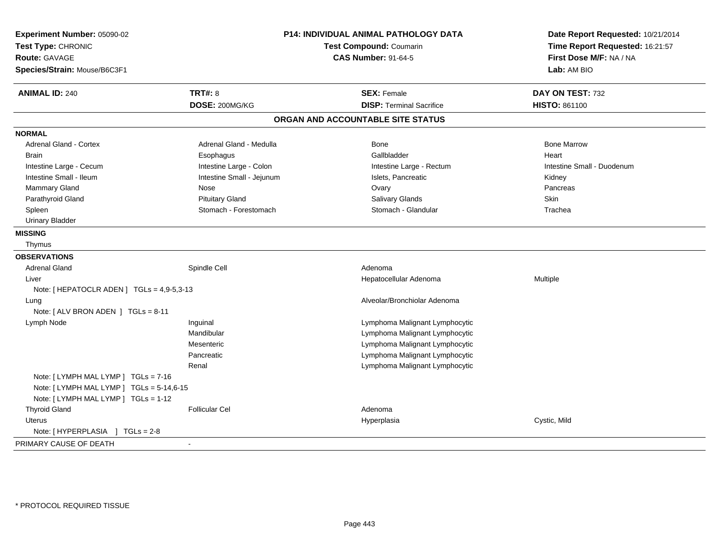| Experiment Number: 05090-02<br>Test Type: CHRONIC<br><b>Route: GAVAGE</b><br>Species/Strain: Mouse/B6C3F1 |                           | P14: INDIVIDUAL ANIMAL PATHOLOGY DATA<br><b>Test Compound: Coumarin</b><br><b>CAS Number: 91-64-5</b> | Date Report Requested: 10/21/2014<br>Time Report Requested: 16:21:57<br>First Dose M/F: NA / NA<br>Lab: AM BIO |
|-----------------------------------------------------------------------------------------------------------|---------------------------|-------------------------------------------------------------------------------------------------------|----------------------------------------------------------------------------------------------------------------|
| <b>ANIMAL ID: 240</b>                                                                                     | <b>TRT#: 8</b>            | <b>SEX: Female</b>                                                                                    | DAY ON TEST: 732                                                                                               |
|                                                                                                           | DOSE: 200MG/KG            | <b>DISP: Terminal Sacrifice</b>                                                                       | HISTO: 861100                                                                                                  |
|                                                                                                           |                           | ORGAN AND ACCOUNTABLE SITE STATUS                                                                     |                                                                                                                |
| <b>NORMAL</b>                                                                                             |                           |                                                                                                       |                                                                                                                |
| <b>Adrenal Gland - Cortex</b>                                                                             | Adrenal Gland - Medulla   | <b>Bone</b>                                                                                           | <b>Bone Marrow</b>                                                                                             |
| <b>Brain</b>                                                                                              | Esophagus                 | Gallbladder                                                                                           | Heart                                                                                                          |
| Intestine Large - Cecum                                                                                   | Intestine Large - Colon   | Intestine Large - Rectum                                                                              | Intestine Small - Duodenum                                                                                     |
| Intestine Small - Ileum                                                                                   | Intestine Small - Jejunum | Islets, Pancreatic                                                                                    | Kidney                                                                                                         |
| <b>Mammary Gland</b>                                                                                      | Nose                      | Ovary                                                                                                 | Pancreas                                                                                                       |
| Parathyroid Gland                                                                                         | <b>Pituitary Gland</b>    | Salivary Glands                                                                                       | <b>Skin</b>                                                                                                    |
| Spleen                                                                                                    | Stomach - Forestomach     | Stomach - Glandular                                                                                   | Trachea                                                                                                        |
| <b>Urinary Bladder</b>                                                                                    |                           |                                                                                                       |                                                                                                                |
| <b>MISSING</b>                                                                                            |                           |                                                                                                       |                                                                                                                |
| Thymus                                                                                                    |                           |                                                                                                       |                                                                                                                |
| <b>OBSERVATIONS</b>                                                                                       |                           |                                                                                                       |                                                                                                                |
| <b>Adrenal Gland</b>                                                                                      | Spindle Cell              | Adenoma                                                                                               |                                                                                                                |
| Liver                                                                                                     |                           | Hepatocellular Adenoma                                                                                | Multiple                                                                                                       |
| Note: [HEPATOCLR ADEN ] TGLs = 4,9-5,3-13                                                                 |                           |                                                                                                       |                                                                                                                |
| Lung                                                                                                      |                           | Alveolar/Bronchiolar Adenoma                                                                          |                                                                                                                |
| Note: [ ALV BRON ADEN ] TGLs = 8-11                                                                       |                           |                                                                                                       |                                                                                                                |
| Lymph Node                                                                                                | Inguinal                  | Lymphoma Malignant Lymphocytic                                                                        |                                                                                                                |
|                                                                                                           | Mandibular                | Lymphoma Malignant Lymphocytic                                                                        |                                                                                                                |
|                                                                                                           | Mesenteric                | Lymphoma Malignant Lymphocytic                                                                        |                                                                                                                |
|                                                                                                           | Pancreatic                | Lymphoma Malignant Lymphocytic                                                                        |                                                                                                                |
|                                                                                                           | Renal                     | Lymphoma Malignant Lymphocytic                                                                        |                                                                                                                |
| Note: [LYMPH MAL LYMP ] TGLs = 7-16                                                                       |                           |                                                                                                       |                                                                                                                |
| Note: [LYMPH MAL LYMP ] TGLs = 5-14,6-15                                                                  |                           |                                                                                                       |                                                                                                                |
| Note: [ LYMPH MAL LYMP ] TGLs = 1-12                                                                      |                           |                                                                                                       |                                                                                                                |
| <b>Thyroid Gland</b>                                                                                      | <b>Follicular Cel</b>     | Adenoma                                                                                               |                                                                                                                |
| Uterus                                                                                                    |                           | Hyperplasia                                                                                           | Cystic, Mild                                                                                                   |
| Note: [HYPERPLASIA ] TGLs = 2-8                                                                           |                           |                                                                                                       |                                                                                                                |
| PRIMARY CAUSE OF DEATH                                                                                    | $\sim$                    |                                                                                                       |                                                                                                                |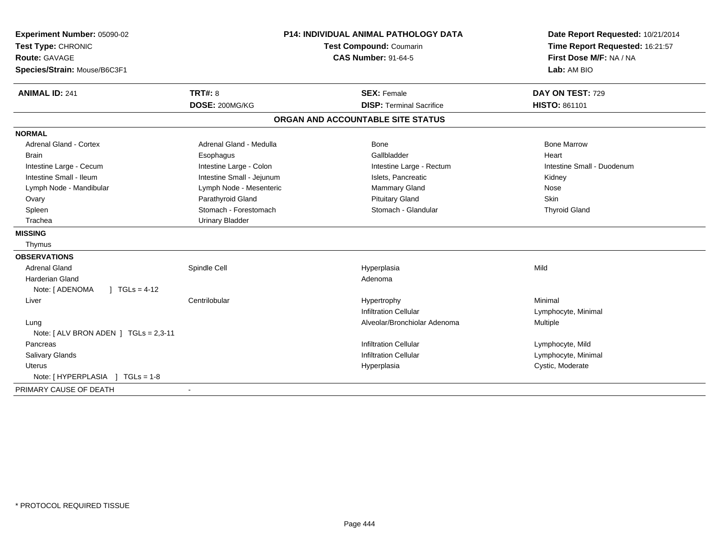| Experiment Number: 05090-02<br>Test Type: CHRONIC<br><b>Route: GAVAGE</b><br>Species/Strain: Mouse/B6C3F1 | P14: INDIVIDUAL ANIMAL PATHOLOGY DATA<br>Test Compound: Coumarin<br><b>CAS Number: 91-64-5</b> |                                   | Date Report Requested: 10/21/2014<br>Time Report Requested: 16:21:57<br>First Dose M/F: NA / NA<br>Lab: AM BIO |
|-----------------------------------------------------------------------------------------------------------|------------------------------------------------------------------------------------------------|-----------------------------------|----------------------------------------------------------------------------------------------------------------|
| <b>ANIMAL ID: 241</b>                                                                                     | TRT#: 8                                                                                        | <b>SEX: Female</b>                | DAY ON TEST: 729                                                                                               |
|                                                                                                           | DOSE: 200MG/KG                                                                                 | <b>DISP: Terminal Sacrifice</b>   | HISTO: 861101                                                                                                  |
|                                                                                                           |                                                                                                | ORGAN AND ACCOUNTABLE SITE STATUS |                                                                                                                |
| <b>NORMAL</b>                                                                                             |                                                                                                |                                   |                                                                                                                |
| <b>Adrenal Gland - Cortex</b>                                                                             | Adrenal Gland - Medulla                                                                        | Bone                              | <b>Bone Marrow</b>                                                                                             |
| <b>Brain</b>                                                                                              | Esophagus                                                                                      | Gallbladder                       | Heart                                                                                                          |
| Intestine Large - Cecum                                                                                   | Intestine Large - Colon                                                                        | Intestine Large - Rectum          | Intestine Small - Duodenum                                                                                     |
| Intestine Small - Ileum                                                                                   | Intestine Small - Jejunum                                                                      | Islets, Pancreatic                | Kidney                                                                                                         |
| Lymph Node - Mandibular                                                                                   | Lymph Node - Mesenteric                                                                        | Mammary Gland                     | Nose                                                                                                           |
| Ovary                                                                                                     | Parathyroid Gland                                                                              | <b>Pituitary Gland</b>            | Skin                                                                                                           |
| Spleen                                                                                                    | Stomach - Forestomach                                                                          | Stomach - Glandular               | <b>Thyroid Gland</b>                                                                                           |
| Trachea                                                                                                   | <b>Urinary Bladder</b>                                                                         |                                   |                                                                                                                |
| <b>MISSING</b>                                                                                            |                                                                                                |                                   |                                                                                                                |
| Thymus                                                                                                    |                                                                                                |                                   |                                                                                                                |
| <b>OBSERVATIONS</b>                                                                                       |                                                                                                |                                   |                                                                                                                |
| <b>Adrenal Gland</b>                                                                                      | Spindle Cell                                                                                   | Hyperplasia                       | Mild                                                                                                           |
| Harderian Gland                                                                                           |                                                                                                | Adenoma                           |                                                                                                                |
| Note: [ ADENOMA<br>$1 TGLs = 4-12$                                                                        |                                                                                                |                                   |                                                                                                                |
| Liver                                                                                                     | Centrilobular                                                                                  | Hypertrophy                       | Minimal                                                                                                        |
|                                                                                                           |                                                                                                | <b>Infiltration Cellular</b>      | Lymphocyte, Minimal                                                                                            |
| Lung                                                                                                      |                                                                                                | Alveolar/Bronchiolar Adenoma      | Multiple                                                                                                       |
| Note: $[ALV$ BRON ADEN $]$ TGLs = 2,3-11                                                                  |                                                                                                |                                   |                                                                                                                |
| Pancreas                                                                                                  |                                                                                                | <b>Infiltration Cellular</b>      | Lymphocyte, Mild                                                                                               |
| <b>Salivary Glands</b>                                                                                    |                                                                                                | <b>Infiltration Cellular</b>      | Lymphocyte, Minimal                                                                                            |
| <b>Uterus</b>                                                                                             |                                                                                                | Hyperplasia                       | Cystic, Moderate                                                                                               |
| Note: [HYPERPLASIA ] TGLs = 1-8                                                                           |                                                                                                |                                   |                                                                                                                |
| PRIMARY CAUSE OF DEATH                                                                                    |                                                                                                |                                   |                                                                                                                |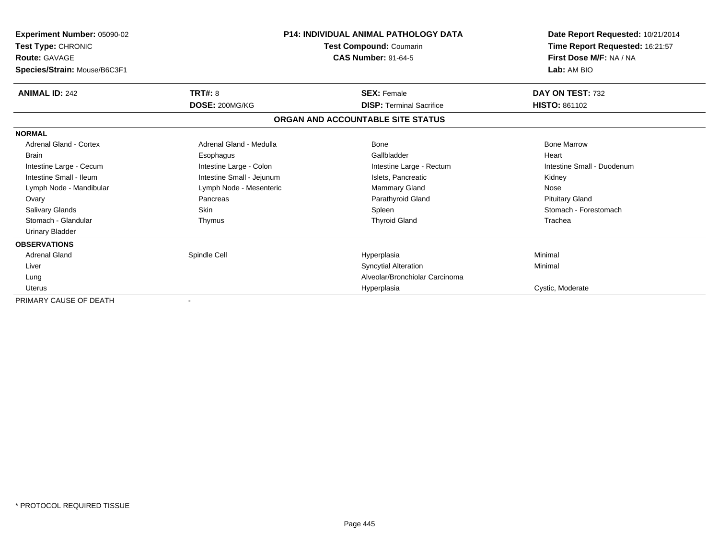| <b>Experiment Number: 05090-02</b><br>Test Type: CHRONIC<br><b>Route: GAVAGE</b><br>Species/Strain: Mouse/B6C3F1 | <b>P14: INDIVIDUAL ANIMAL PATHOLOGY DATA</b><br>Test Compound: Coumarin<br><b>CAS Number: 91-64-5</b> |                                   | Date Report Requested: 10/21/2014<br>Time Report Requested: 16:21:57<br>First Dose M/F: NA / NA<br>Lab: AM BIO |  |
|------------------------------------------------------------------------------------------------------------------|-------------------------------------------------------------------------------------------------------|-----------------------------------|----------------------------------------------------------------------------------------------------------------|--|
| <b>ANIMAL ID: 242</b>                                                                                            | TRT#: 8                                                                                               | <b>SEX: Female</b>                | DAY ON TEST: 732                                                                                               |  |
|                                                                                                                  | DOSE: 200MG/KG                                                                                        | <b>DISP: Terminal Sacrifice</b>   | <b>HISTO: 861102</b>                                                                                           |  |
|                                                                                                                  |                                                                                                       | ORGAN AND ACCOUNTABLE SITE STATUS |                                                                                                                |  |
| <b>NORMAL</b>                                                                                                    |                                                                                                       |                                   |                                                                                                                |  |
| Adrenal Gland - Cortex                                                                                           | Adrenal Gland - Medulla                                                                               | Bone                              | <b>Bone Marrow</b>                                                                                             |  |
| <b>Brain</b>                                                                                                     | Esophagus                                                                                             | Gallbladder                       | Heart                                                                                                          |  |
| Intestine Large - Cecum                                                                                          | Intestine Large - Colon                                                                               | Intestine Large - Rectum          | Intestine Small - Duodenum                                                                                     |  |
| Intestine Small - Ileum                                                                                          | Intestine Small - Jejunum                                                                             | Islets. Pancreatic                | Kidney                                                                                                         |  |
| Lymph Node - Mandibular                                                                                          | Lymph Node - Mesenteric                                                                               | <b>Mammary Gland</b>              | Nose                                                                                                           |  |
| Ovary                                                                                                            | Pancreas                                                                                              | Parathyroid Gland                 | <b>Pituitary Gland</b>                                                                                         |  |
| <b>Salivary Glands</b>                                                                                           | <b>Skin</b>                                                                                           | Spleen                            | Stomach - Forestomach                                                                                          |  |
| Stomach - Glandular                                                                                              | Thymus                                                                                                | <b>Thyroid Gland</b>              | Trachea                                                                                                        |  |
| <b>Urinary Bladder</b>                                                                                           |                                                                                                       |                                   |                                                                                                                |  |
| <b>OBSERVATIONS</b>                                                                                              |                                                                                                       |                                   |                                                                                                                |  |
| <b>Adrenal Gland</b>                                                                                             | Spindle Cell                                                                                          | Hyperplasia                       | Minimal                                                                                                        |  |
| Liver                                                                                                            |                                                                                                       | <b>Syncytial Alteration</b>       | Minimal                                                                                                        |  |
| Lung                                                                                                             |                                                                                                       | Alveolar/Bronchiolar Carcinoma    |                                                                                                                |  |
| <b>Uterus</b>                                                                                                    |                                                                                                       | Hyperplasia                       | Cystic, Moderate                                                                                               |  |
| PRIMARY CAUSE OF DEATH                                                                                           |                                                                                                       |                                   |                                                                                                                |  |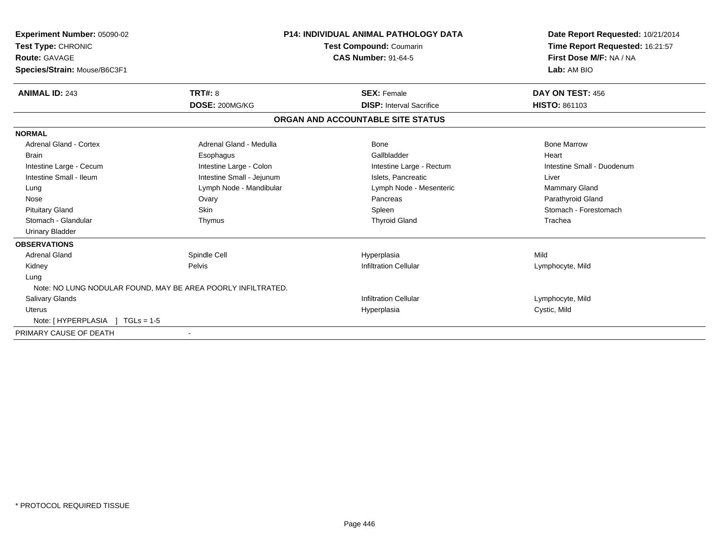| Experiment Number: 05090-02<br>Test Type: CHRONIC            |                           | <b>P14: INDIVIDUAL ANIMAL PATHOLOGY DATA</b><br><b>Test Compound: Coumarin</b> | Date Report Requested: 10/21/2014<br>Time Report Requested: 16:21:57 |
|--------------------------------------------------------------|---------------------------|--------------------------------------------------------------------------------|----------------------------------------------------------------------|
| <b>Route: GAVAGE</b><br>Species/Strain: Mouse/B6C3F1         |                           | <b>CAS Number: 91-64-5</b>                                                     | First Dose M/F: NA / NA<br>Lab: AM BIO                               |
| <b>ANIMAL ID: 243</b>                                        | <b>TRT#: 8</b>            | <b>SEX: Female</b>                                                             | DAY ON TEST: 456                                                     |
|                                                              | DOSE: 200MG/KG            | <b>DISP:</b> Interval Sacrifice                                                | <b>HISTO: 861103</b>                                                 |
|                                                              |                           | ORGAN AND ACCOUNTABLE SITE STATUS                                              |                                                                      |
| <b>NORMAL</b>                                                |                           |                                                                                |                                                                      |
| <b>Adrenal Gland - Cortex</b>                                | Adrenal Gland - Medulla   | Bone                                                                           | <b>Bone Marrow</b>                                                   |
| <b>Brain</b>                                                 | Esophagus                 | Gallbladder                                                                    | Heart                                                                |
| Intestine Large - Cecum                                      | Intestine Large - Colon   | Intestine Large - Rectum                                                       | Intestine Small - Duodenum                                           |
| Intestine Small - Ileum                                      | Intestine Small - Jejunum | Islets, Pancreatic                                                             | Liver                                                                |
| Lung                                                         | Lymph Node - Mandibular   | Lymph Node - Mesenteric                                                        | <b>Mammary Gland</b>                                                 |
| Nose                                                         | Ovary                     | Pancreas                                                                       | Parathyroid Gland                                                    |
| <b>Pituitary Gland</b>                                       | <b>Skin</b>               | Spleen                                                                         | Stomach - Forestomach                                                |
| Stomach - Glandular                                          | Thymus                    | <b>Thyroid Gland</b>                                                           | Trachea                                                              |
| <b>Urinary Bladder</b>                                       |                           |                                                                                |                                                                      |
| <b>OBSERVATIONS</b>                                          |                           |                                                                                |                                                                      |
| <b>Adrenal Gland</b>                                         | Spindle Cell              | Hyperplasia                                                                    | Mild                                                                 |
| Kidney                                                       | Pelvis                    | <b>Infiltration Cellular</b>                                                   | Lymphocyte, Mild                                                     |
| Lung                                                         |                           |                                                                                |                                                                      |
| Note: NO LUNG NODULAR FOUND, MAY BE AREA POORLY INFILTRATED. |                           |                                                                                |                                                                      |
| <b>Salivary Glands</b>                                       |                           | <b>Infiltration Cellular</b>                                                   | Lymphocyte, Mild                                                     |
| <b>Uterus</b>                                                |                           | Hyperplasia                                                                    | Cystic, Mild                                                         |
| Note: [HYPERPLASIA ] TGLs = 1-5                              |                           |                                                                                |                                                                      |
| PRIMARY CAUSE OF DEATH                                       |                           |                                                                                |                                                                      |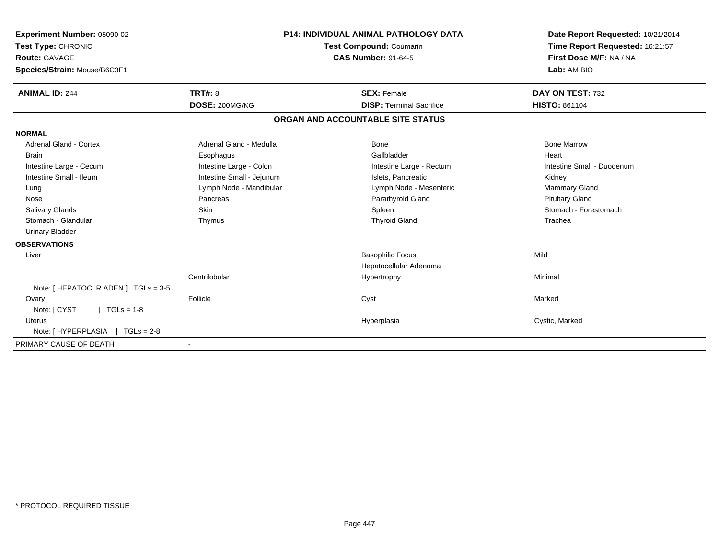| <b>Experiment Number: 05090-02</b><br>Test Type: CHRONIC<br>Route: GAVAGE | <b>P14: INDIVIDUAL ANIMAL PATHOLOGY DATA</b><br><b>Test Compound: Coumarin</b><br><b>CAS Number: 91-64-5</b> |  |                                   | Date Report Requested: 10/21/2014<br>Time Report Requested: 16:21:57<br>First Dose M/F: NA / NA |                            |
|---------------------------------------------------------------------------|--------------------------------------------------------------------------------------------------------------|--|-----------------------------------|-------------------------------------------------------------------------------------------------|----------------------------|
| Species/Strain: Mouse/B6C3F1                                              |                                                                                                              |  |                                   |                                                                                                 | Lab: AM BIO                |
| <b>ANIMAL ID: 244</b>                                                     | TRT#: 8                                                                                                      |  | <b>SEX: Female</b>                |                                                                                                 | DAY ON TEST: 732           |
|                                                                           | DOSE: 200MG/KG                                                                                               |  | <b>DISP: Terminal Sacrifice</b>   |                                                                                                 | <b>HISTO: 861104</b>       |
|                                                                           |                                                                                                              |  | ORGAN AND ACCOUNTABLE SITE STATUS |                                                                                                 |                            |
| <b>NORMAL</b>                                                             |                                                                                                              |  |                                   |                                                                                                 |                            |
| <b>Adrenal Gland - Cortex</b>                                             | Adrenal Gland - Medulla                                                                                      |  | Bone                              |                                                                                                 | <b>Bone Marrow</b>         |
| <b>Brain</b>                                                              | Esophagus                                                                                                    |  | Gallbladder                       |                                                                                                 | Heart                      |
| Intestine Large - Cecum                                                   | Intestine Large - Colon                                                                                      |  | Intestine Large - Rectum          |                                                                                                 | Intestine Small - Duodenum |
| Intestine Small - Ileum                                                   | Intestine Small - Jejunum                                                                                    |  | Islets. Pancreatic                |                                                                                                 | Kidney                     |
| Lung                                                                      | Lymph Node - Mandibular                                                                                      |  | Lymph Node - Mesenteric           |                                                                                                 | Mammary Gland              |
| Nose                                                                      | Pancreas                                                                                                     |  | Parathyroid Gland                 |                                                                                                 | <b>Pituitary Gland</b>     |
| Salivary Glands                                                           | Skin                                                                                                         |  | Spleen                            |                                                                                                 | Stomach - Forestomach      |
| Stomach - Glandular                                                       | Thymus                                                                                                       |  | <b>Thyroid Gland</b>              |                                                                                                 | Trachea                    |
| <b>Urinary Bladder</b>                                                    |                                                                                                              |  |                                   |                                                                                                 |                            |
| <b>OBSERVATIONS</b>                                                       |                                                                                                              |  |                                   |                                                                                                 |                            |
| Liver                                                                     |                                                                                                              |  | <b>Basophilic Focus</b>           | Mild                                                                                            |                            |
|                                                                           |                                                                                                              |  | Hepatocellular Adenoma            |                                                                                                 |                            |
|                                                                           | Centrilobular                                                                                                |  | Hypertrophy                       |                                                                                                 | Minimal                    |
| Note: [ HEPATOCLR ADEN ] TGLs = 3-5                                       |                                                                                                              |  |                                   |                                                                                                 |                            |
| Ovary                                                                     | Follicle                                                                                                     |  | Cyst                              |                                                                                                 | Marked                     |
| Note: [ CYST<br>$1 TGLs = 1-8$                                            |                                                                                                              |  |                                   |                                                                                                 |                            |
| <b>Uterus</b>                                                             |                                                                                                              |  | Hyperplasia                       |                                                                                                 | Cystic, Marked             |
| Note: [HYPERPLASIA ] TGLs = 2-8                                           |                                                                                                              |  |                                   |                                                                                                 |                            |
| PRIMARY CAUSE OF DEATH                                                    |                                                                                                              |  |                                   |                                                                                                 |                            |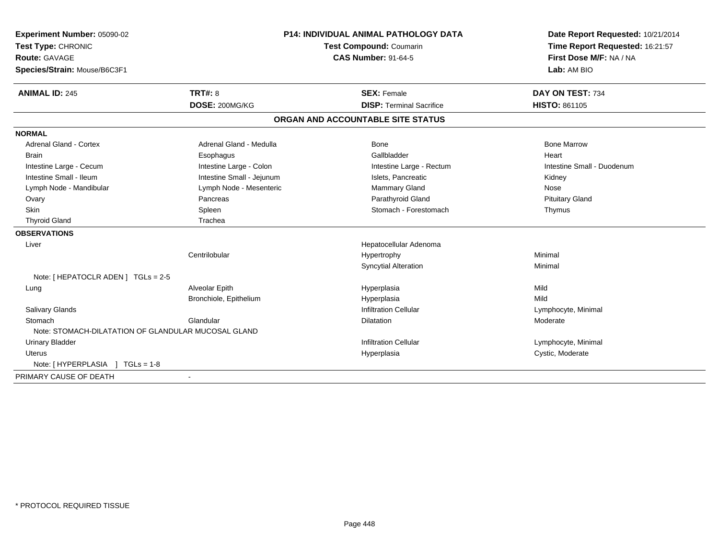| Experiment Number: 05090-02                         |                           | P14: INDIVIDUAL ANIMAL PATHOLOGY DATA | Date Report Requested: 10/21/2014 |  |
|-----------------------------------------------------|---------------------------|---------------------------------------|-----------------------------------|--|
| Test Type: CHRONIC                                  | Test Compound: Coumarin   |                                       | Time Report Requested: 16:21:57   |  |
| Route: GAVAGE                                       |                           | <b>CAS Number: 91-64-5</b>            | First Dose M/F: NA / NA           |  |
| Species/Strain: Mouse/B6C3F1                        |                           |                                       | Lab: AM BIO                       |  |
| <b>ANIMAL ID: 245</b>                               | <b>TRT#: 8</b>            | <b>SEX: Female</b>                    | DAY ON TEST: 734                  |  |
|                                                     | DOSE: 200MG/KG            | <b>DISP: Terminal Sacrifice</b>       | <b>HISTO: 861105</b>              |  |
|                                                     |                           | ORGAN AND ACCOUNTABLE SITE STATUS     |                                   |  |
| <b>NORMAL</b>                                       |                           |                                       |                                   |  |
| Adrenal Gland - Cortex                              | Adrenal Gland - Medulla   | Bone                                  | <b>Bone Marrow</b>                |  |
| <b>Brain</b>                                        | Esophagus                 | Gallbladder                           | Heart                             |  |
| Intestine Large - Cecum                             | Intestine Large - Colon   | Intestine Large - Rectum              | Intestine Small - Duodenum        |  |
| Intestine Small - Ileum                             | Intestine Small - Jejunum | Islets, Pancreatic                    | Kidney                            |  |
| Lymph Node - Mandibular                             | Lymph Node - Mesenteric   | Mammary Gland                         | Nose                              |  |
| Ovary                                               | Pancreas                  | Parathyroid Gland                     | <b>Pituitary Gland</b>            |  |
| Skin                                                | Spleen                    | Stomach - Forestomach                 | Thymus                            |  |
| <b>Thyroid Gland</b>                                | Trachea                   |                                       |                                   |  |
| <b>OBSERVATIONS</b>                                 |                           |                                       |                                   |  |
| Liver                                               |                           | Hepatocellular Adenoma                |                                   |  |
|                                                     | Centrilobular             | Hypertrophy                           | Minimal                           |  |
|                                                     |                           | <b>Syncytial Alteration</b>           | Minimal                           |  |
| Note: [ HEPATOCLR ADEN ] TGLs = 2-5                 |                           |                                       |                                   |  |
| Lung                                                | Alveolar Epith            | Hyperplasia                           | Mild                              |  |
|                                                     | Bronchiole, Epithelium    | Hyperplasia                           | Mild                              |  |
| <b>Salivary Glands</b>                              |                           | <b>Infiltration Cellular</b>          | Lymphocyte, Minimal               |  |
| Stomach                                             | Glandular                 | <b>Dilatation</b>                     | Moderate                          |  |
| Note: STOMACH-DILATATION OF GLANDULAR MUCOSAL GLAND |                           |                                       |                                   |  |
| <b>Urinary Bladder</b>                              |                           | <b>Infiltration Cellular</b>          | Lymphocyte, Minimal               |  |
| <b>Uterus</b>                                       |                           | Hyperplasia                           | Cystic, Moderate                  |  |
| Note: [HYPERPLASIA ] TGLs = 1-8                     |                           |                                       |                                   |  |
| PRIMARY CAUSE OF DEATH                              |                           |                                       |                                   |  |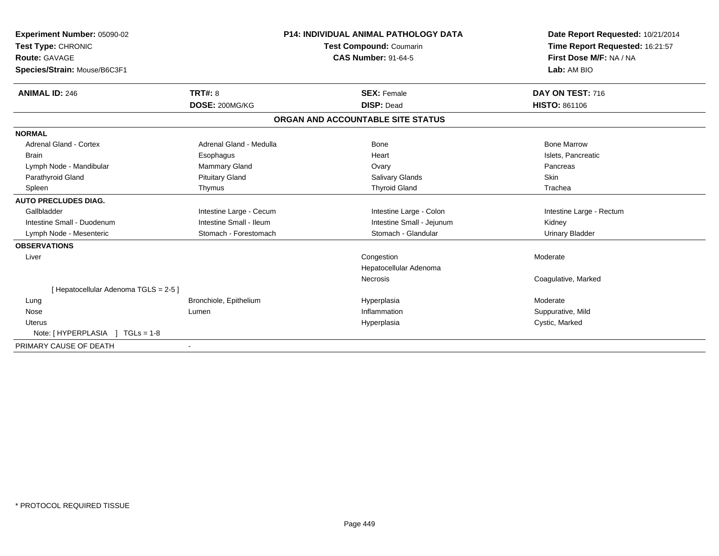| Experiment Number: 05090-02<br>Test Type: CHRONIC<br>Route: GAVAGE | <b>P14: INDIVIDUAL ANIMAL PATHOLOGY DATA</b><br><b>Test Compound: Coumarin</b><br><b>CAS Number: 91-64-5</b> |                                   | Date Report Requested: 10/21/2014<br>Time Report Requested: 16:21:57<br>First Dose M/F: NA / NA |  |
|--------------------------------------------------------------------|--------------------------------------------------------------------------------------------------------------|-----------------------------------|-------------------------------------------------------------------------------------------------|--|
| Species/Strain: Mouse/B6C3F1                                       |                                                                                                              |                                   | Lab: AM BIO                                                                                     |  |
| <b>ANIMAL ID: 246</b>                                              | <b>TRT#: 8</b>                                                                                               | <b>SEX: Female</b>                | DAY ON TEST: 716                                                                                |  |
|                                                                    | DOSE: 200MG/KG                                                                                               | <b>DISP: Dead</b>                 | <b>HISTO: 861106</b>                                                                            |  |
|                                                                    |                                                                                                              | ORGAN AND ACCOUNTABLE SITE STATUS |                                                                                                 |  |
| <b>NORMAL</b>                                                      |                                                                                                              |                                   |                                                                                                 |  |
| <b>Adrenal Gland - Cortex</b>                                      | Adrenal Gland - Medulla                                                                                      | Bone                              | <b>Bone Marrow</b>                                                                              |  |
| <b>Brain</b>                                                       | Esophagus                                                                                                    | Heart                             | Islets, Pancreatic                                                                              |  |
| Lymph Node - Mandibular                                            | Mammary Gland                                                                                                | Ovary                             | Pancreas                                                                                        |  |
| Parathyroid Gland                                                  | <b>Pituitary Gland</b>                                                                                       | <b>Salivary Glands</b>            | Skin                                                                                            |  |
| Spleen                                                             | Thymus                                                                                                       | <b>Thyroid Gland</b>              | Trachea                                                                                         |  |
| <b>AUTO PRECLUDES DIAG.</b>                                        |                                                                                                              |                                   |                                                                                                 |  |
| Gallbladder                                                        | Intestine Large - Cecum                                                                                      | Intestine Large - Colon           | Intestine Large - Rectum                                                                        |  |
| Intestine Small - Duodenum                                         | Intestine Small - Ileum                                                                                      | Intestine Small - Jejunum         | Kidney                                                                                          |  |
| Lymph Node - Mesenteric                                            | Stomach - Forestomach                                                                                        | Stomach - Glandular               | <b>Urinary Bladder</b>                                                                          |  |
| <b>OBSERVATIONS</b>                                                |                                                                                                              |                                   |                                                                                                 |  |
| Liver                                                              |                                                                                                              | Congestion                        | Moderate                                                                                        |  |
|                                                                    |                                                                                                              | Hepatocellular Adenoma            |                                                                                                 |  |
|                                                                    |                                                                                                              | <b>Necrosis</b>                   | Coagulative, Marked                                                                             |  |
| [ Hepatocellular Adenoma TGLS = 2-5 ]                              |                                                                                                              |                                   |                                                                                                 |  |
| Lung                                                               | Bronchiole, Epithelium                                                                                       | Hyperplasia                       | Moderate                                                                                        |  |
| Nose                                                               | Lumen                                                                                                        | Inflammation                      | Suppurative, Mild                                                                               |  |
| Uterus                                                             |                                                                                                              | Hyperplasia                       | Cystic, Marked                                                                                  |  |
| Note: [HYPERPLASIA ] TGLs = 1-8                                    |                                                                                                              |                                   |                                                                                                 |  |
| PRIMARY CAUSE OF DEATH                                             |                                                                                                              |                                   |                                                                                                 |  |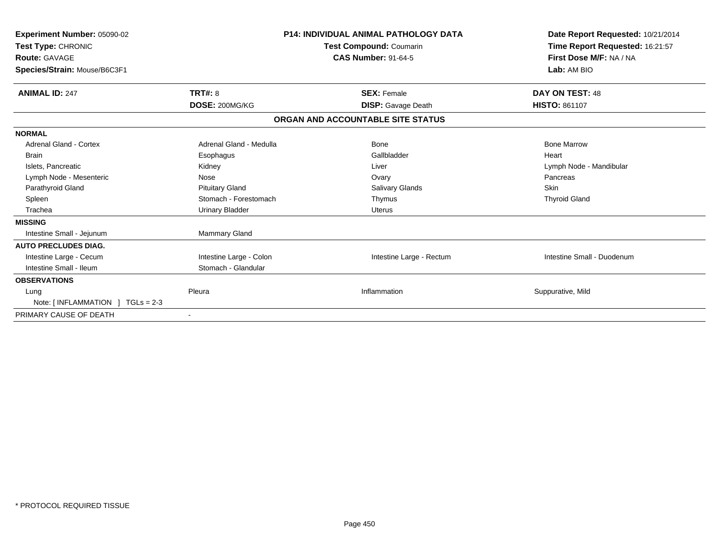| Experiment Number: 05090-02<br>Test Type: CHRONIC<br><b>Route: GAVAGE</b><br>Species/Strain: Mouse/B6C3F1 |                         | <b>P14: INDIVIDUAL ANIMAL PATHOLOGY DATA</b><br>Test Compound: Coumarin<br><b>CAS Number: 91-64-5</b> | Date Report Requested: 10/21/2014<br>Time Report Requested: 16:21:57<br>First Dose M/F: NA / NA<br>Lab: AM BIO |  |
|-----------------------------------------------------------------------------------------------------------|-------------------------|-------------------------------------------------------------------------------------------------------|----------------------------------------------------------------------------------------------------------------|--|
| <b>ANIMAL ID: 247</b>                                                                                     | <b>TRT#: 8</b>          | <b>SEX: Female</b>                                                                                    | <b>DAY ON TEST: 48</b>                                                                                         |  |
|                                                                                                           | DOSE: 200MG/KG          | <b>DISP:</b> Gavage Death                                                                             | <b>HISTO: 861107</b>                                                                                           |  |
|                                                                                                           |                         | ORGAN AND ACCOUNTABLE SITE STATUS                                                                     |                                                                                                                |  |
| <b>NORMAL</b>                                                                                             |                         |                                                                                                       |                                                                                                                |  |
| <b>Adrenal Gland - Cortex</b>                                                                             | Adrenal Gland - Medulla | Bone                                                                                                  | <b>Bone Marrow</b>                                                                                             |  |
| <b>Brain</b>                                                                                              | Esophagus               | Gallbladder                                                                                           | Heart                                                                                                          |  |
| Islets, Pancreatic                                                                                        | Kidney                  | Liver                                                                                                 | Lymph Node - Mandibular                                                                                        |  |
| Lymph Node - Mesenteric                                                                                   | Nose                    | Ovary                                                                                                 | Pancreas                                                                                                       |  |
| Parathyroid Gland                                                                                         | <b>Pituitary Gland</b>  | Salivary Glands                                                                                       | Skin                                                                                                           |  |
| Spleen                                                                                                    | Stomach - Forestomach   | Thymus                                                                                                | <b>Thyroid Gland</b>                                                                                           |  |
| Trachea                                                                                                   | <b>Urinary Bladder</b>  | <b>Uterus</b>                                                                                         |                                                                                                                |  |
| <b>MISSING</b>                                                                                            |                         |                                                                                                       |                                                                                                                |  |
| Intestine Small - Jejunum                                                                                 | Mammary Gland           |                                                                                                       |                                                                                                                |  |
| <b>AUTO PRECLUDES DIAG.</b>                                                                               |                         |                                                                                                       |                                                                                                                |  |
| Intestine Large - Cecum                                                                                   | Intestine Large - Colon | Intestine Large - Rectum                                                                              | Intestine Small - Duodenum                                                                                     |  |
| Intestine Small - Ileum                                                                                   | Stomach - Glandular     |                                                                                                       |                                                                                                                |  |
| <b>OBSERVATIONS</b>                                                                                       |                         |                                                                                                       |                                                                                                                |  |
| Lung                                                                                                      | Pleura                  | Inflammation                                                                                          | Suppurative, Mild                                                                                              |  |
| Note: $[INFLAMMATION] TGLs = 2-3$                                                                         |                         |                                                                                                       |                                                                                                                |  |
| PRIMARY CAUSE OF DEATH                                                                                    |                         |                                                                                                       |                                                                                                                |  |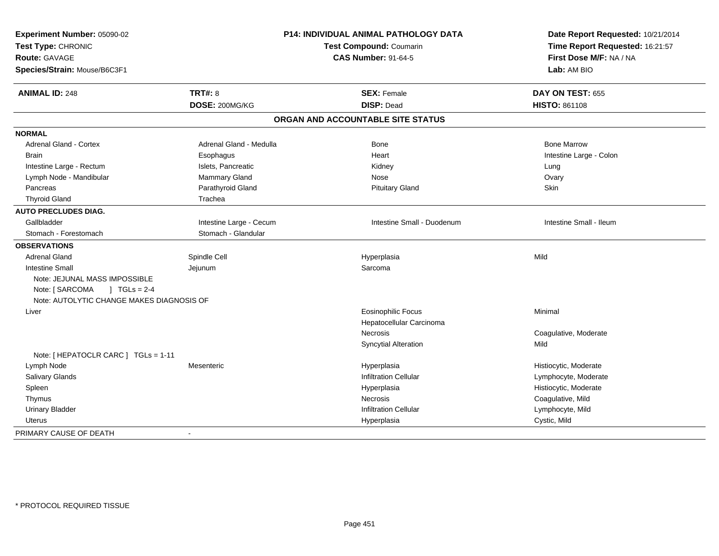| Experiment Number: 05090-02<br>Test Type: CHRONIC<br><b>Route: GAVAGE</b> |                         | <b>P14: INDIVIDUAL ANIMAL PATHOLOGY DATA</b><br><b>Test Compound: Coumarin</b><br><b>CAS Number: 91-64-5</b> |                         |
|---------------------------------------------------------------------------|-------------------------|--------------------------------------------------------------------------------------------------------------|-------------------------|
| Species/Strain: Mouse/B6C3F1                                              |                         |                                                                                                              | Lab: AM BIO             |
| <b>ANIMAL ID: 248</b>                                                     | <b>TRT#: 8</b>          | <b>SEX: Female</b>                                                                                           | DAY ON TEST: 655        |
|                                                                           | DOSE: 200MG/KG          | <b>DISP: Dead</b>                                                                                            | <b>HISTO: 861108</b>    |
|                                                                           |                         | ORGAN AND ACCOUNTABLE SITE STATUS                                                                            |                         |
| <b>NORMAL</b>                                                             |                         |                                                                                                              |                         |
| Adrenal Gland - Cortex                                                    | Adrenal Gland - Medulla | <b>Bone</b>                                                                                                  | <b>Bone Marrow</b>      |
| <b>Brain</b>                                                              | Esophagus               | Heart                                                                                                        | Intestine Large - Colon |
| Intestine Large - Rectum                                                  | Islets, Pancreatic      | Kidney                                                                                                       | Lung                    |
| Lymph Node - Mandibular                                                   | Mammary Gland           | Nose                                                                                                         | Ovary                   |
| Pancreas                                                                  | Parathyroid Gland       | <b>Pituitary Gland</b>                                                                                       | Skin                    |
| <b>Thyroid Gland</b>                                                      | Trachea                 |                                                                                                              |                         |
| <b>AUTO PRECLUDES DIAG.</b>                                               |                         |                                                                                                              |                         |
| Gallbladder                                                               | Intestine Large - Cecum | Intestine Small - Duodenum                                                                                   | Intestine Small - Ileum |
| Stomach - Forestomach                                                     | Stomach - Glandular     |                                                                                                              |                         |
| <b>OBSERVATIONS</b>                                                       |                         |                                                                                                              |                         |
| <b>Adrenal Gland</b>                                                      | Spindle Cell            | Hyperplasia                                                                                                  | Mild                    |
| <b>Intestine Small</b>                                                    | Jejunum                 | Sarcoma                                                                                                      |                         |
| Note: JEJUNAL MASS IMPOSSIBLE<br>Note: [ SARCOMA<br>$1 TGLs = 2-4$        |                         |                                                                                                              |                         |
| Note: AUTOLYTIC CHANGE MAKES DIAGNOSIS OF                                 |                         |                                                                                                              |                         |
| Liver                                                                     |                         | <b>Eosinophilic Focus</b>                                                                                    | Minimal                 |
|                                                                           |                         | Hepatocellular Carcinoma                                                                                     |                         |
|                                                                           |                         | <b>Necrosis</b>                                                                                              | Coagulative, Moderate   |
|                                                                           |                         | <b>Syncytial Alteration</b>                                                                                  | Mild                    |
| Note: [ HEPATOCLR CARC ] TGLs = 1-11                                      |                         |                                                                                                              |                         |
| Lymph Node                                                                | Mesenteric              | Hyperplasia                                                                                                  | Histiocytic, Moderate   |
| Salivary Glands                                                           |                         | <b>Infiltration Cellular</b>                                                                                 | Lymphocyte, Moderate    |
| Spleen                                                                    |                         | Hyperplasia                                                                                                  | Histiocytic, Moderate   |
| Thymus                                                                    |                         | <b>Necrosis</b>                                                                                              | Coagulative, Mild       |
| <b>Urinary Bladder</b>                                                    |                         | <b>Infiltration Cellular</b>                                                                                 | Lymphocyte, Mild        |
| Uterus                                                                    |                         | Hyperplasia                                                                                                  | Cystic, Mild            |
| PRIMARY CAUSE OF DEATH                                                    |                         |                                                                                                              |                         |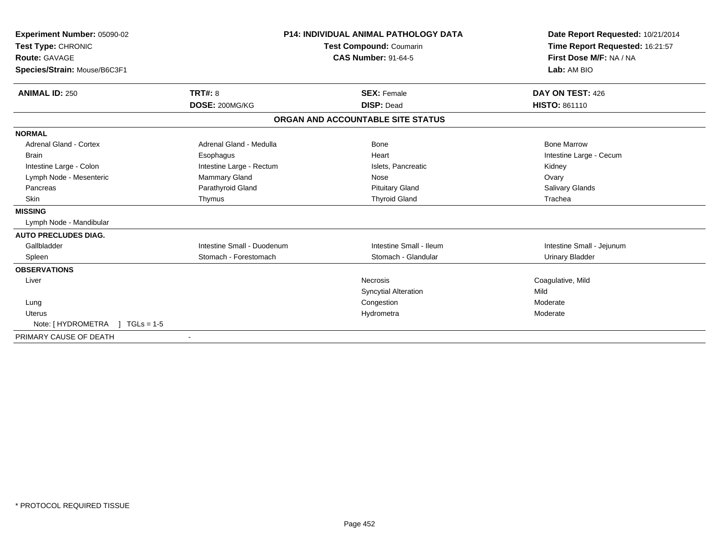| Experiment Number: 05090-02<br>Test Type: CHRONIC<br><b>Route: GAVAGE</b> |                            | <b>P14: INDIVIDUAL ANIMAL PATHOLOGY DATA</b><br><b>Test Compound: Coumarin</b><br><b>CAS Number: 91-64-5</b> | Date Report Requested: 10/21/2014<br>Time Report Requested: 16:21:57<br>First Dose M/F: NA / NA |
|---------------------------------------------------------------------------|----------------------------|--------------------------------------------------------------------------------------------------------------|-------------------------------------------------------------------------------------------------|
| Species/Strain: Mouse/B6C3F1                                              |                            |                                                                                                              | Lab: AM BIO                                                                                     |
| <b>ANIMAL ID: 250</b>                                                     | <b>TRT#: 8</b>             | <b>SEX: Female</b>                                                                                           | DAY ON TEST: 426                                                                                |
|                                                                           | DOSE: 200MG/KG             | <b>DISP: Dead</b>                                                                                            | <b>HISTO: 861110</b>                                                                            |
|                                                                           |                            | ORGAN AND ACCOUNTABLE SITE STATUS                                                                            |                                                                                                 |
| <b>NORMAL</b>                                                             |                            |                                                                                                              |                                                                                                 |
| <b>Adrenal Gland - Cortex</b>                                             | Adrenal Gland - Medulla    | Bone                                                                                                         | <b>Bone Marrow</b>                                                                              |
| <b>Brain</b>                                                              | Esophagus                  | Heart                                                                                                        | Intestine Large - Cecum                                                                         |
| Intestine Large - Colon                                                   | Intestine Large - Rectum   | Islets, Pancreatic                                                                                           | Kidney                                                                                          |
| Lymph Node - Mesenteric                                                   | Mammary Gland              | Nose                                                                                                         | Ovary                                                                                           |
| Pancreas                                                                  | Parathyroid Gland          | <b>Pituitary Gland</b>                                                                                       | <b>Salivary Glands</b>                                                                          |
| Skin                                                                      | Thymus                     | <b>Thyroid Gland</b>                                                                                         | Trachea                                                                                         |
| <b>MISSING</b>                                                            |                            |                                                                                                              |                                                                                                 |
| Lymph Node - Mandibular                                                   |                            |                                                                                                              |                                                                                                 |
| <b>AUTO PRECLUDES DIAG.</b>                                               |                            |                                                                                                              |                                                                                                 |
| Gallbladder                                                               | Intestine Small - Duodenum | Intestine Small - Ileum                                                                                      | Intestine Small - Jejunum                                                                       |
| Spleen                                                                    | Stomach - Forestomach      | Stomach - Glandular                                                                                          | <b>Urinary Bladder</b>                                                                          |
| <b>OBSERVATIONS</b>                                                       |                            |                                                                                                              |                                                                                                 |
| Liver                                                                     |                            | <b>Necrosis</b>                                                                                              | Coagulative, Mild                                                                               |
|                                                                           |                            | <b>Syncytial Alteration</b>                                                                                  | Mild                                                                                            |
| Lung                                                                      |                            | Congestion                                                                                                   | Moderate                                                                                        |
| <b>Uterus</b>                                                             |                            | Hydrometra                                                                                                   | Moderate                                                                                        |
| Note: [ HYDROMETRA<br>$TGLs = 1-5$                                        |                            |                                                                                                              |                                                                                                 |
| PRIMARY CAUSE OF DEATH                                                    |                            |                                                                                                              |                                                                                                 |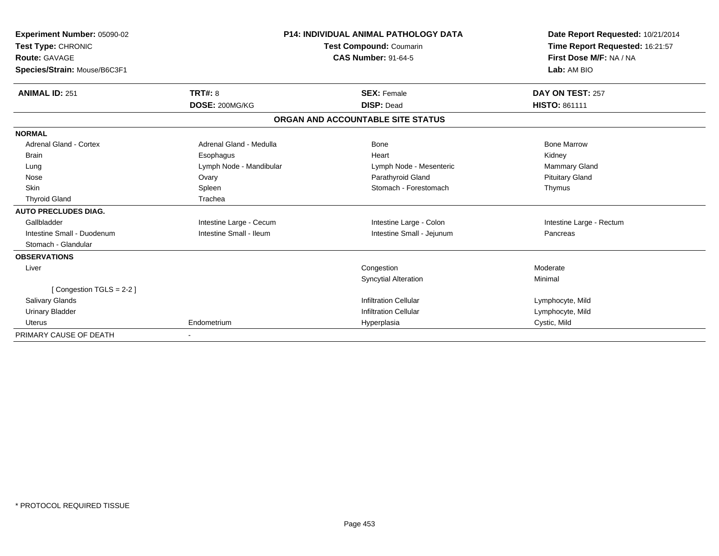| <b>Experiment Number: 05090-02</b> |                                | <b>P14: INDIVIDUAL ANIMAL PATHOLOGY DATA</b> | Date Report Requested: 10/21/2014 |
|------------------------------------|--------------------------------|----------------------------------------------|-----------------------------------|
| Test Type: CHRONIC                 | <b>Test Compound: Coumarin</b> |                                              | Time Report Requested: 16:21:57   |
| <b>Route: GAVAGE</b>               |                                | <b>CAS Number: 91-64-5</b>                   | First Dose M/F: NA / NA           |
| Species/Strain: Mouse/B6C3F1       |                                |                                              | Lab: AM BIO                       |
| <b>ANIMAL ID: 251</b>              | <b>TRT#: 8</b>                 | <b>SEX: Female</b>                           | DAY ON TEST: 257                  |
|                                    | DOSE: 200MG/KG                 | <b>DISP: Dead</b>                            | <b>HISTO: 861111</b>              |
|                                    |                                | ORGAN AND ACCOUNTABLE SITE STATUS            |                                   |
| <b>NORMAL</b>                      |                                |                                              |                                   |
| Adrenal Gland - Cortex             | Adrenal Gland - Medulla        | Bone                                         | <b>Bone Marrow</b>                |
| <b>Brain</b>                       | Esophagus                      | Heart                                        | Kidney                            |
| Lung                               | Lymph Node - Mandibular        | Lymph Node - Mesenteric                      | <b>Mammary Gland</b>              |
| Nose                               | Ovary                          | Parathyroid Gland                            | <b>Pituitary Gland</b>            |
| <b>Skin</b>                        | Spleen                         | Stomach - Forestomach                        | Thymus                            |
| <b>Thyroid Gland</b>               | Trachea                        |                                              |                                   |
| <b>AUTO PRECLUDES DIAG.</b>        |                                |                                              |                                   |
| Gallbladder                        | Intestine Large - Cecum        | Intestine Large - Colon                      | Intestine Large - Rectum          |
| Intestine Small - Duodenum         | Intestine Small - Ileum        | Intestine Small - Jejunum                    | Pancreas                          |
| Stomach - Glandular                |                                |                                              |                                   |
| <b>OBSERVATIONS</b>                |                                |                                              |                                   |
| Liver                              |                                | Congestion                                   | Moderate                          |
|                                    |                                | <b>Syncytial Alteration</b>                  | Minimal                           |
| [Congestion TGLS = 2-2]            |                                |                                              |                                   |
| Salivary Glands                    |                                | <b>Infiltration Cellular</b>                 | Lymphocyte, Mild                  |
| <b>Urinary Bladder</b>             |                                | <b>Infiltration Cellular</b>                 | Lymphocyte, Mild                  |
| <b>Uterus</b>                      | Endometrium                    | Hyperplasia                                  | Cystic, Mild                      |
| PRIMARY CAUSE OF DEATH             |                                |                                              |                                   |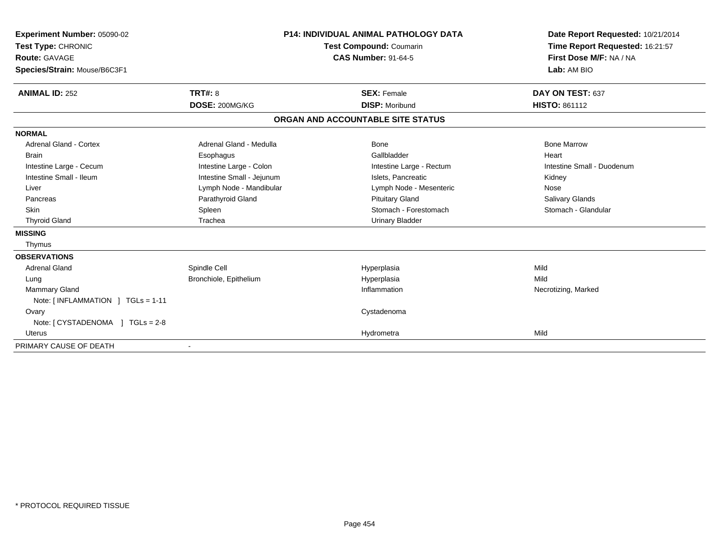| Experiment Number: 05090-02<br>Test Type: CHRONIC<br><b>Route: GAVAGE</b><br>Species/Strain: Mouse/B6C3F1 |                           | <b>P14: INDIVIDUAL ANIMAL PATHOLOGY DATA</b><br><b>Test Compound: Coumarin</b><br><b>CAS Number: 91-64-5</b> | Date Report Requested: 10/21/2014<br>Time Report Requested: 16:21:57<br>First Dose M/F: NA / NA<br>Lab: AM BIO |  |
|-----------------------------------------------------------------------------------------------------------|---------------------------|--------------------------------------------------------------------------------------------------------------|----------------------------------------------------------------------------------------------------------------|--|
|                                                                                                           |                           |                                                                                                              |                                                                                                                |  |
| <b>ANIMAL ID: 252</b>                                                                                     | <b>TRT#: 8</b>            | <b>SEX: Female</b>                                                                                           | DAY ON TEST: 637                                                                                               |  |
|                                                                                                           | DOSE: 200MG/KG            | <b>DISP: Moribund</b>                                                                                        | <b>HISTO: 861112</b>                                                                                           |  |
|                                                                                                           |                           | ORGAN AND ACCOUNTABLE SITE STATUS                                                                            |                                                                                                                |  |
| <b>NORMAL</b>                                                                                             |                           |                                                                                                              |                                                                                                                |  |
| Adrenal Gland - Cortex                                                                                    | Adrenal Gland - Medulla   | Bone                                                                                                         | <b>Bone Marrow</b>                                                                                             |  |
| <b>Brain</b>                                                                                              | Esophagus                 | Gallbladder                                                                                                  | Heart                                                                                                          |  |
| Intestine Large - Cecum                                                                                   | Intestine Large - Colon   | Intestine Large - Rectum                                                                                     | Intestine Small - Duodenum                                                                                     |  |
| Intestine Small - Ileum                                                                                   | Intestine Small - Jejunum | Islets, Pancreatic                                                                                           | Kidney                                                                                                         |  |
| Liver                                                                                                     | Lymph Node - Mandibular   | Lymph Node - Mesenteric                                                                                      | Nose                                                                                                           |  |
| Pancreas                                                                                                  | Parathyroid Gland         | <b>Pituitary Gland</b>                                                                                       | Salivary Glands                                                                                                |  |
| <b>Skin</b>                                                                                               | Spleen                    | Stomach - Forestomach                                                                                        | Stomach - Glandular                                                                                            |  |
| <b>Thyroid Gland</b>                                                                                      | Trachea                   | <b>Urinary Bladder</b>                                                                                       |                                                                                                                |  |
| <b>MISSING</b>                                                                                            |                           |                                                                                                              |                                                                                                                |  |
| Thymus                                                                                                    |                           |                                                                                                              |                                                                                                                |  |
| <b>OBSERVATIONS</b>                                                                                       |                           |                                                                                                              |                                                                                                                |  |
| <b>Adrenal Gland</b>                                                                                      | Spindle Cell              | Hyperplasia                                                                                                  | Mild                                                                                                           |  |
| Lung                                                                                                      | Bronchiole, Epithelium    | Hyperplasia                                                                                                  | Mild                                                                                                           |  |
| <b>Mammary Gland</b>                                                                                      |                           | Inflammation                                                                                                 | Necrotizing, Marked                                                                                            |  |
| Note: [INFLAMMATION ] TGLs = 1-11                                                                         |                           |                                                                                                              |                                                                                                                |  |
| Ovary                                                                                                     |                           | Cystadenoma                                                                                                  |                                                                                                                |  |
|                                                                                                           |                           |                                                                                                              |                                                                                                                |  |
| <b>Uterus</b>                                                                                             |                           | Hydrometra                                                                                                   | Mild                                                                                                           |  |
| PRIMARY CAUSE OF DEATH                                                                                    |                           |                                                                                                              |                                                                                                                |  |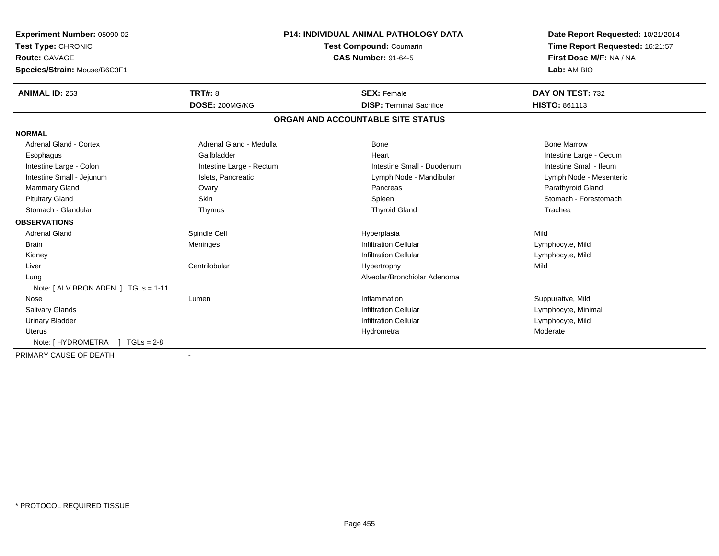| Experiment Number: 05090-02<br>Test Type: CHRONIC<br>Route: GAVAGE<br>Species/Strain: Mouse/B6C3F1 |                                  | <b>P14: INDIVIDUAL ANIMAL PATHOLOGY DATA</b><br><b>Test Compound: Coumarin</b><br><b>CAS Number: 91-64-5</b> | Date Report Requested: 10/21/2014<br>Time Report Requested: 16:21:57<br>First Dose M/F: NA / NA<br>Lab: AM BIO |
|----------------------------------------------------------------------------------------------------|----------------------------------|--------------------------------------------------------------------------------------------------------------|----------------------------------------------------------------------------------------------------------------|
| <b>ANIMAL ID: 253</b>                                                                              | <b>TRT#: 8</b><br>DOSE: 200MG/KG | <b>SEX: Female</b><br><b>DISP: Terminal Sacrifice</b>                                                        | DAY ON TEST: 732<br>HISTO: 861113                                                                              |
|                                                                                                    |                                  |                                                                                                              |                                                                                                                |
|                                                                                                    |                                  | ORGAN AND ACCOUNTABLE SITE STATUS                                                                            |                                                                                                                |
| <b>NORMAL</b>                                                                                      |                                  |                                                                                                              |                                                                                                                |
| Adrenal Gland - Cortex                                                                             | Adrenal Gland - Medulla          | Bone                                                                                                         | <b>Bone Marrow</b>                                                                                             |
| Esophagus                                                                                          | Gallbladder                      | Heart                                                                                                        | Intestine Large - Cecum                                                                                        |
| Intestine Large - Colon                                                                            | Intestine Large - Rectum         | Intestine Small - Duodenum                                                                                   | Intestine Small - Ileum                                                                                        |
| Intestine Small - Jejunum                                                                          | Islets, Pancreatic               | Lymph Node - Mandibular                                                                                      | Lymph Node - Mesenteric                                                                                        |
| Mammary Gland                                                                                      | Ovary                            | Pancreas                                                                                                     | Parathyroid Gland                                                                                              |
| <b>Pituitary Gland</b>                                                                             | <b>Skin</b>                      | Spleen                                                                                                       | Stomach - Forestomach                                                                                          |
| Stomach - Glandular                                                                                | Thymus                           | <b>Thyroid Gland</b>                                                                                         | Trachea                                                                                                        |
| <b>OBSERVATIONS</b>                                                                                |                                  |                                                                                                              |                                                                                                                |
| <b>Adrenal Gland</b>                                                                               | Spindle Cell                     | Hyperplasia                                                                                                  | Mild                                                                                                           |
| <b>Brain</b>                                                                                       | Meninges                         | <b>Infiltration Cellular</b>                                                                                 | Lymphocyte, Mild                                                                                               |
| Kidney                                                                                             |                                  | <b>Infiltration Cellular</b>                                                                                 | Lymphocyte, Mild                                                                                               |
| Liver                                                                                              | Centrilobular                    | Hypertrophy                                                                                                  | Mild                                                                                                           |
| Lung                                                                                               |                                  | Alveolar/Bronchiolar Adenoma                                                                                 |                                                                                                                |
| Note: $[ALV$ BRON ADEN $]$ TGLs = 1-11                                                             |                                  |                                                                                                              |                                                                                                                |
| Nose                                                                                               | Lumen                            | Inflammation                                                                                                 | Suppurative, Mild                                                                                              |
| <b>Salivary Glands</b>                                                                             |                                  | <b>Infiltration Cellular</b>                                                                                 | Lymphocyte, Minimal                                                                                            |
| <b>Urinary Bladder</b>                                                                             |                                  | <b>Infiltration Cellular</b>                                                                                 | Lymphocyte, Mild                                                                                               |
| <b>Uterus</b>                                                                                      |                                  | Hydrometra                                                                                                   | Moderate                                                                                                       |
| Note: [HYDROMETRA<br>$1 TGLs = 2-8$                                                                |                                  |                                                                                                              |                                                                                                                |
| PRIMARY CAUSE OF DEATH                                                                             | $\overline{\phantom{a}}$         |                                                                                                              |                                                                                                                |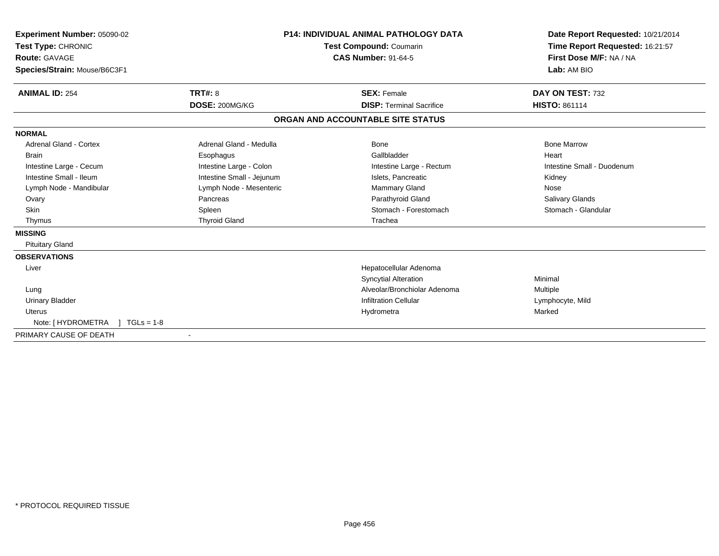| Experiment Number: 05090-02<br>Test Type: CHRONIC<br><b>Route: GAVAGE</b><br>Species/Strain: Mouse/B6C3F1 |                           | <b>P14: INDIVIDUAL ANIMAL PATHOLOGY DATA</b><br><b>Test Compound: Coumarin</b><br><b>CAS Number: 91-64-5</b> | Date Report Requested: 10/21/2014<br>Time Report Requested: 16:21:57<br>First Dose M/F: NA / NA<br>Lab: AM BIO |  |
|-----------------------------------------------------------------------------------------------------------|---------------------------|--------------------------------------------------------------------------------------------------------------|----------------------------------------------------------------------------------------------------------------|--|
| <b>ANIMAL ID: 254</b>                                                                                     | <b>TRT#: 8</b>            | <b>SEX: Female</b>                                                                                           | DAY ON TEST: 732                                                                                               |  |
|                                                                                                           | DOSE: 200MG/KG            | <b>DISP: Terminal Sacrifice</b>                                                                              | <b>HISTO: 861114</b>                                                                                           |  |
|                                                                                                           |                           | ORGAN AND ACCOUNTABLE SITE STATUS                                                                            |                                                                                                                |  |
| <b>NORMAL</b>                                                                                             |                           |                                                                                                              |                                                                                                                |  |
| <b>Adrenal Gland - Cortex</b>                                                                             | Adrenal Gland - Medulla   | Bone                                                                                                         | <b>Bone Marrow</b>                                                                                             |  |
| <b>Brain</b>                                                                                              | Esophagus                 | Gallbladder                                                                                                  | Heart                                                                                                          |  |
| Intestine Large - Cecum                                                                                   | Intestine Large - Colon   | Intestine Large - Rectum                                                                                     | Intestine Small - Duodenum                                                                                     |  |
| Intestine Small - Ileum                                                                                   | Intestine Small - Jejunum | Islets, Pancreatic                                                                                           | Kidney                                                                                                         |  |
| Lymph Node - Mandibular                                                                                   | Lymph Node - Mesenteric   | Mammary Gland                                                                                                | Nose                                                                                                           |  |
| Ovary                                                                                                     | Pancreas                  | Parathyroid Gland                                                                                            | <b>Salivary Glands</b>                                                                                         |  |
| <b>Skin</b>                                                                                               | Spleen                    | Stomach - Forestomach                                                                                        | Stomach - Glandular                                                                                            |  |
| Thymus                                                                                                    | <b>Thyroid Gland</b>      | Trachea                                                                                                      |                                                                                                                |  |
| <b>MISSING</b>                                                                                            |                           |                                                                                                              |                                                                                                                |  |
| <b>Pituitary Gland</b>                                                                                    |                           |                                                                                                              |                                                                                                                |  |
| <b>OBSERVATIONS</b>                                                                                       |                           |                                                                                                              |                                                                                                                |  |
| Liver                                                                                                     |                           | Hepatocellular Adenoma                                                                                       |                                                                                                                |  |
|                                                                                                           |                           | <b>Syncytial Alteration</b>                                                                                  | Minimal                                                                                                        |  |
| Lung                                                                                                      |                           | Alveolar/Bronchiolar Adenoma                                                                                 | Multiple                                                                                                       |  |
| <b>Urinary Bladder</b>                                                                                    |                           | <b>Infiltration Cellular</b>                                                                                 | Lymphocyte, Mild                                                                                               |  |
| <b>Uterus</b>                                                                                             |                           | Hydrometra                                                                                                   | Marked                                                                                                         |  |
| Note: [ HYDROMETRA<br>$1 TGLs = 1-8$                                                                      |                           |                                                                                                              |                                                                                                                |  |
| PRIMARY CAUSE OF DEATH                                                                                    |                           |                                                                                                              |                                                                                                                |  |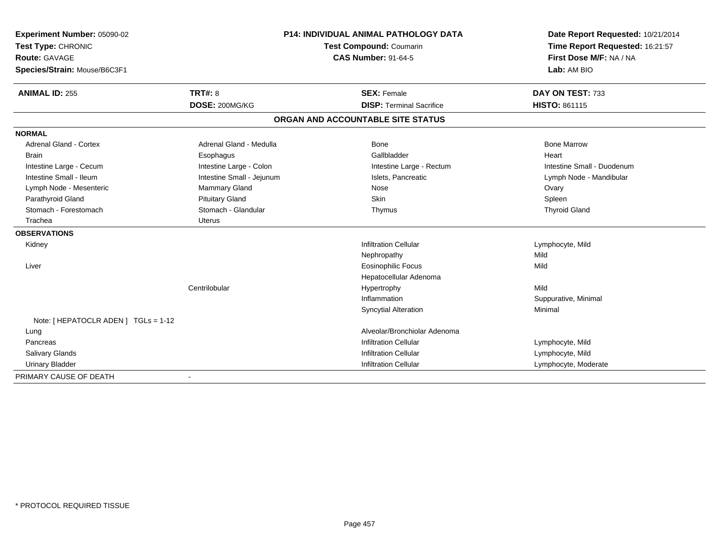| Experiment Number: 05090-02          | <b>P14: INDIVIDUAL ANIMAL PATHOLOGY DATA</b><br><b>Test Compound: Coumarin</b> |                                   | Date Report Requested: 10/21/2014 |  |
|--------------------------------------|--------------------------------------------------------------------------------|-----------------------------------|-----------------------------------|--|
| Test Type: CHRONIC                   |                                                                                |                                   | Time Report Requested: 16:21:57   |  |
| <b>Route: GAVAGE</b>                 |                                                                                | <b>CAS Number: 91-64-5</b>        | First Dose M/F: NA / NA           |  |
| Species/Strain: Mouse/B6C3F1         |                                                                                |                                   | Lab: AM BIO                       |  |
| <b>ANIMAL ID: 255</b>                | <b>TRT#: 8</b>                                                                 | <b>SEX: Female</b>                | DAY ON TEST: 733                  |  |
|                                      | DOSE: 200MG/KG                                                                 | <b>DISP: Terminal Sacrifice</b>   | HISTO: 861115                     |  |
|                                      |                                                                                | ORGAN AND ACCOUNTABLE SITE STATUS |                                   |  |
| <b>NORMAL</b>                        |                                                                                |                                   |                                   |  |
| <b>Adrenal Gland - Cortex</b>        | Adrenal Gland - Medulla                                                        | Bone                              | <b>Bone Marrow</b>                |  |
| <b>Brain</b>                         | Esophagus                                                                      | Gallbladder                       | Heart                             |  |
| Intestine Large - Cecum              | Intestine Large - Colon                                                        | Intestine Large - Rectum          | Intestine Small - Duodenum        |  |
| Intestine Small - Ileum              | Intestine Small - Jejunum                                                      | Islets, Pancreatic                | Lymph Node - Mandibular           |  |
| Lymph Node - Mesenteric              | Mammary Gland                                                                  | Nose                              | Ovary                             |  |
| Parathyroid Gland                    | <b>Pituitary Gland</b>                                                         | <b>Skin</b>                       | Spleen                            |  |
| Stomach - Forestomach                | Stomach - Glandular                                                            | Thymus                            | <b>Thyroid Gland</b>              |  |
| Trachea                              | <b>Uterus</b>                                                                  |                                   |                                   |  |
| <b>OBSERVATIONS</b>                  |                                                                                |                                   |                                   |  |
| Kidney                               |                                                                                | <b>Infiltration Cellular</b>      | Lymphocyte, Mild                  |  |
|                                      |                                                                                | Nephropathy                       | Mild                              |  |
| Liver                                |                                                                                | <b>Eosinophilic Focus</b>         | Mild                              |  |
|                                      |                                                                                | Hepatocellular Adenoma            |                                   |  |
|                                      | Centrilobular                                                                  | Hypertrophy                       | Mild                              |  |
|                                      |                                                                                | Inflammation                      | Suppurative, Minimal              |  |
|                                      |                                                                                | <b>Syncytial Alteration</b>       | Minimal                           |  |
| Note: [ HEPATOCLR ADEN ] TGLs = 1-12 |                                                                                |                                   |                                   |  |
| Lung                                 |                                                                                | Alveolar/Bronchiolar Adenoma      |                                   |  |
| Pancreas                             |                                                                                | <b>Infiltration Cellular</b>      | Lymphocyte, Mild                  |  |
| Salivary Glands                      |                                                                                | <b>Infiltration Cellular</b>      | Lymphocyte, Mild                  |  |
| <b>Urinary Bladder</b>               |                                                                                | <b>Infiltration Cellular</b>      | Lymphocyte, Moderate              |  |
| PRIMARY CAUSE OF DEATH               |                                                                                |                                   |                                   |  |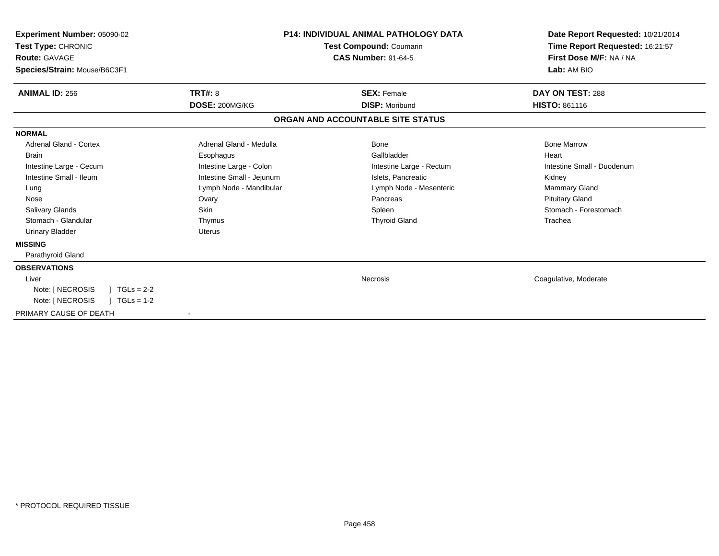| Experiment Number: 05090-02<br>Test Type: CHRONIC<br>Route: GAVAGE<br>Species/Strain: Mouse/B6C3F1 |                           | <b>P14: INDIVIDUAL ANIMAL PATHOLOGY DATA</b><br>Test Compound: Coumarin<br><b>CAS Number: 91-64-5</b> | Date Report Requested: 10/21/2014<br>Time Report Requested: 16:21:57<br>First Dose M/F: NA / NA<br>Lab: AM BIO |
|----------------------------------------------------------------------------------------------------|---------------------------|-------------------------------------------------------------------------------------------------------|----------------------------------------------------------------------------------------------------------------|
| <b>ANIMAL ID: 256</b>                                                                              | <b>TRT#: 8</b>            | <b>SEX: Female</b>                                                                                    | DAY ON TEST: 288                                                                                               |
|                                                                                                    | DOSE: 200MG/KG            | <b>DISP: Moribund</b>                                                                                 | <b>HISTO: 861116</b>                                                                                           |
|                                                                                                    |                           | ORGAN AND ACCOUNTABLE SITE STATUS                                                                     |                                                                                                                |
| <b>NORMAL</b>                                                                                      |                           |                                                                                                       |                                                                                                                |
| <b>Adrenal Gland - Cortex</b>                                                                      | Adrenal Gland - Medulla   | Bone                                                                                                  | <b>Bone Marrow</b>                                                                                             |
| <b>Brain</b>                                                                                       | Esophagus                 | Gallbladder                                                                                           | Heart                                                                                                          |
| Intestine Large - Cecum                                                                            | Intestine Large - Colon   | Intestine Large - Rectum                                                                              | Intestine Small - Duodenum                                                                                     |
| Intestine Small - Ileum                                                                            | Intestine Small - Jejunum | Islets, Pancreatic                                                                                    | Kidney                                                                                                         |
| Lung                                                                                               | Lymph Node - Mandibular   | Lymph Node - Mesenteric                                                                               | <b>Mammary Gland</b>                                                                                           |
| Nose                                                                                               | Ovary                     | Pancreas                                                                                              | <b>Pituitary Gland</b>                                                                                         |
| <b>Salivary Glands</b>                                                                             | <b>Skin</b>               | Spleen                                                                                                | Stomach - Forestomach                                                                                          |
| Stomach - Glandular                                                                                | Thymus                    | <b>Thyroid Gland</b>                                                                                  | Trachea                                                                                                        |
| Urinary Bladder                                                                                    | <b>Uterus</b>             |                                                                                                       |                                                                                                                |
| <b>MISSING</b>                                                                                     |                           |                                                                                                       |                                                                                                                |
| Parathyroid Gland                                                                                  |                           |                                                                                                       |                                                                                                                |
| <b>OBSERVATIONS</b>                                                                                |                           |                                                                                                       |                                                                                                                |
| Liver                                                                                              |                           | Necrosis                                                                                              | Coagulative, Moderate                                                                                          |
| $TGLs = 2-2$<br>Note: [ NECROSIS                                                                   |                           |                                                                                                       |                                                                                                                |
| Note: [ NECROSIS<br>$TGLs = 1-2$                                                                   |                           |                                                                                                       |                                                                                                                |
| PRIMARY CAUSE OF DEATH                                                                             | $\overline{\phantom{a}}$  |                                                                                                       |                                                                                                                |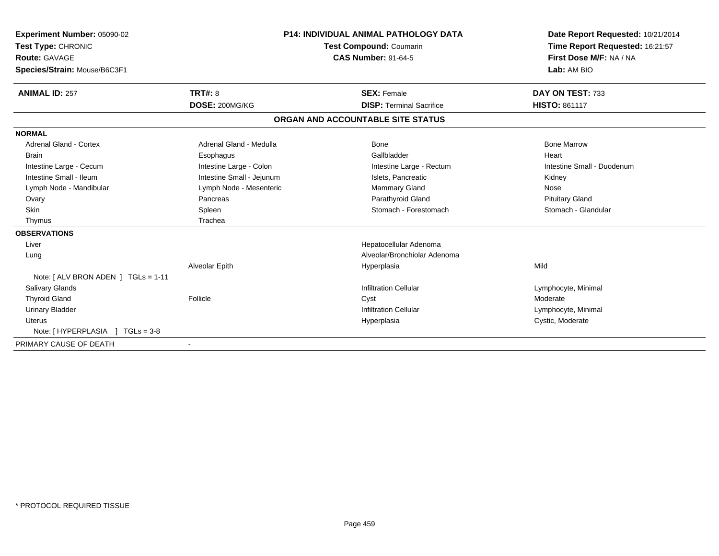| Experiment Number: 05090-02<br>Test Type: CHRONIC<br>Route: GAVAGE<br>Species/Strain: Mouse/B6C3F1 |                           | <b>P14: INDIVIDUAL ANIMAL PATHOLOGY DATA</b><br><b>Test Compound: Coumarin</b><br><b>CAS Number: 91-64-5</b> | Date Report Requested: 10/21/2014<br>Time Report Requested: 16:21:57<br>First Dose M/F: NA / NA<br>Lab: AM BIO |
|----------------------------------------------------------------------------------------------------|---------------------------|--------------------------------------------------------------------------------------------------------------|----------------------------------------------------------------------------------------------------------------|
| <b>ANIMAL ID: 257</b>                                                                              | <b>TRT#: 8</b>            | <b>SEX: Female</b>                                                                                           | DAY ON TEST: 733                                                                                               |
|                                                                                                    | DOSE: 200MG/KG            | <b>DISP: Terminal Sacrifice</b>                                                                              | <b>HISTO: 861117</b>                                                                                           |
|                                                                                                    |                           | ORGAN AND ACCOUNTABLE SITE STATUS                                                                            |                                                                                                                |
| <b>NORMAL</b>                                                                                      |                           |                                                                                                              |                                                                                                                |
| <b>Adrenal Gland - Cortex</b>                                                                      | Adrenal Gland - Medulla   | <b>Bone</b>                                                                                                  | <b>Bone Marrow</b>                                                                                             |
| <b>Brain</b>                                                                                       | Esophagus                 | Gallbladder                                                                                                  | Heart                                                                                                          |
| Intestine Large - Cecum                                                                            | Intestine Large - Colon   | Intestine Large - Rectum                                                                                     | Intestine Small - Duodenum                                                                                     |
| Intestine Small - Ileum                                                                            | Intestine Small - Jejunum | Islets, Pancreatic                                                                                           | Kidney                                                                                                         |
| Lymph Node - Mandibular                                                                            | Lymph Node - Mesenteric   | Mammary Gland                                                                                                | Nose                                                                                                           |
| Ovary                                                                                              | Pancreas                  | Parathyroid Gland                                                                                            | <b>Pituitary Gland</b>                                                                                         |
| Skin                                                                                               | Spleen                    | Stomach - Forestomach                                                                                        | Stomach - Glandular                                                                                            |
| Thymus                                                                                             | Trachea                   |                                                                                                              |                                                                                                                |
| <b>OBSERVATIONS</b>                                                                                |                           |                                                                                                              |                                                                                                                |
| Liver                                                                                              |                           | Hepatocellular Adenoma                                                                                       |                                                                                                                |
| Lung                                                                                               |                           | Alveolar/Bronchiolar Adenoma                                                                                 |                                                                                                                |
|                                                                                                    | Alveolar Epith            | Hyperplasia                                                                                                  | Mild                                                                                                           |
| Note: [ ALV BRON ADEN ] TGLs = 1-11                                                                |                           |                                                                                                              |                                                                                                                |
| <b>Salivary Glands</b>                                                                             |                           | <b>Infiltration Cellular</b>                                                                                 | Lymphocyte, Minimal                                                                                            |
| <b>Thyroid Gland</b>                                                                               | Follicle                  | Cyst                                                                                                         | Moderate                                                                                                       |
| <b>Urinary Bladder</b>                                                                             |                           | <b>Infiltration Cellular</b>                                                                                 | Lymphocyte, Minimal                                                                                            |
| <b>Uterus</b>                                                                                      |                           | Hyperplasia                                                                                                  | Cystic, Moderate                                                                                               |
| Note: [HYPERPLASIA ] TGLs = 3-8                                                                    |                           |                                                                                                              |                                                                                                                |
| PRIMARY CAUSE OF DEATH                                                                             | $\blacksquare$            |                                                                                                              |                                                                                                                |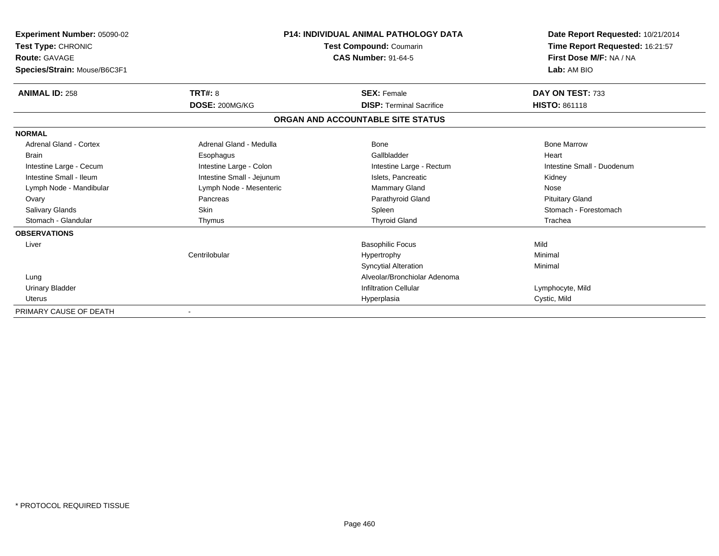| <b>Experiment Number: 05090-02</b><br>Test Type: CHRONIC<br><b>Route: GAVAGE</b><br>Species/Strain: Mouse/B6C3F1 |                           | <b>P14: INDIVIDUAL ANIMAL PATHOLOGY DATA</b><br><b>Test Compound: Coumarin</b><br><b>CAS Number: 91-64-5</b> | Date Report Requested: 10/21/2014<br>Time Report Requested: 16:21:57<br>First Dose M/F: NA / NA<br>Lab: AM BIO |
|------------------------------------------------------------------------------------------------------------------|---------------------------|--------------------------------------------------------------------------------------------------------------|----------------------------------------------------------------------------------------------------------------|
| <b>ANIMAL ID: 258</b>                                                                                            | <b>TRT#: 8</b>            | <b>SEX: Female</b>                                                                                           | DAY ON TEST: 733                                                                                               |
|                                                                                                                  | DOSE: 200MG/KG            | <b>DISP: Terminal Sacrifice</b>                                                                              | HISTO: 861118                                                                                                  |
|                                                                                                                  |                           | ORGAN AND ACCOUNTABLE SITE STATUS                                                                            |                                                                                                                |
| <b>NORMAL</b>                                                                                                    |                           |                                                                                                              |                                                                                                                |
| <b>Adrenal Gland - Cortex</b>                                                                                    | Adrenal Gland - Medulla   | Bone                                                                                                         | <b>Bone Marrow</b>                                                                                             |
| <b>Brain</b>                                                                                                     | Esophagus                 | Gallbladder                                                                                                  | Heart                                                                                                          |
| Intestine Large - Cecum                                                                                          | Intestine Large - Colon   | Intestine Large - Rectum                                                                                     | Intestine Small - Duodenum                                                                                     |
| Intestine Small - Ileum                                                                                          | Intestine Small - Jejunum | Islets, Pancreatic                                                                                           | Kidney                                                                                                         |
| Lymph Node - Mandibular                                                                                          | Lymph Node - Mesenteric   | <b>Mammary Gland</b>                                                                                         | Nose                                                                                                           |
| Ovary                                                                                                            | Pancreas                  | Parathyroid Gland                                                                                            | <b>Pituitary Gland</b>                                                                                         |
| <b>Salivary Glands</b>                                                                                           | Skin                      | Spleen                                                                                                       | Stomach - Forestomach                                                                                          |
| Stomach - Glandular                                                                                              | Thymus                    | <b>Thyroid Gland</b>                                                                                         | Trachea                                                                                                        |
| <b>OBSERVATIONS</b>                                                                                              |                           |                                                                                                              |                                                                                                                |
| Liver                                                                                                            |                           | <b>Basophilic Focus</b>                                                                                      | Mild                                                                                                           |
|                                                                                                                  | Centrilobular             | Hypertrophy                                                                                                  | Minimal                                                                                                        |
|                                                                                                                  |                           | <b>Syncytial Alteration</b>                                                                                  | Minimal                                                                                                        |
| Lung                                                                                                             |                           | Alveolar/Bronchiolar Adenoma                                                                                 |                                                                                                                |
| <b>Urinary Bladder</b>                                                                                           |                           | <b>Infiltration Cellular</b>                                                                                 | Lymphocyte, Mild                                                                                               |
| Uterus                                                                                                           |                           | Hyperplasia                                                                                                  | Cystic, Mild                                                                                                   |
| PRIMARY CAUSE OF DEATH                                                                                           |                           |                                                                                                              |                                                                                                                |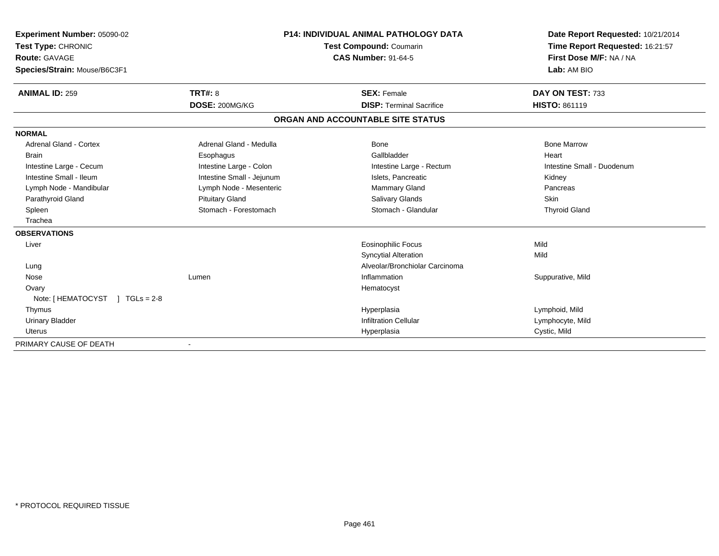| Experiment Number: 05090-02    |                           | <b>P14: INDIVIDUAL ANIMAL PATHOLOGY DATA</b> | Date Report Requested: 10/21/2014 |
|--------------------------------|---------------------------|----------------------------------------------|-----------------------------------|
| Test Type: CHRONIC             | Test Compound: Coumarin   |                                              | Time Report Requested: 16:21:57   |
| Route: GAVAGE                  |                           | <b>CAS Number: 91-64-5</b>                   | First Dose M/F: NA / NA           |
| Species/Strain: Mouse/B6C3F1   |                           |                                              | Lab: AM BIO                       |
| <b>ANIMAL ID: 259</b>          | TRT#: 8                   | <b>SEX: Female</b>                           | DAY ON TEST: 733                  |
|                                | DOSE: 200MG/KG            | <b>DISP: Terminal Sacrifice</b>              | <b>HISTO: 861119</b>              |
|                                |                           | ORGAN AND ACCOUNTABLE SITE STATUS            |                                   |
| <b>NORMAL</b>                  |                           |                                              |                                   |
| <b>Adrenal Gland - Cortex</b>  | Adrenal Gland - Medulla   | Bone                                         | <b>Bone Marrow</b>                |
| <b>Brain</b>                   | Esophagus                 | Gallbladder                                  | Heart                             |
| Intestine Large - Cecum        | Intestine Large - Colon   | Intestine Large - Rectum                     | Intestine Small - Duodenum        |
| Intestine Small - Ileum        | Intestine Small - Jejunum | Islets. Pancreatic                           | Kidney                            |
| Lymph Node - Mandibular        | Lymph Node - Mesenteric   | Mammary Gland                                | Pancreas                          |
| Parathyroid Gland              | <b>Pituitary Gland</b>    | <b>Salivary Glands</b>                       | Skin                              |
| Spleen                         | Stomach - Forestomach     | Stomach - Glandular                          | <b>Thyroid Gland</b>              |
| Trachea                        |                           |                                              |                                   |
| <b>OBSERVATIONS</b>            |                           |                                              |                                   |
| Liver                          |                           | <b>Eosinophilic Focus</b>                    | Mild                              |
|                                |                           | <b>Syncytial Alteration</b>                  | Mild                              |
| Lung                           |                           | Alveolar/Bronchiolar Carcinoma               |                                   |
| Nose                           | Lumen                     | Inflammation                                 | Suppurative, Mild                 |
| Ovary                          |                           | Hematocyst                                   |                                   |
| Note: [HEMATOCYST ] TGLs = 2-8 |                           |                                              |                                   |
| Thymus                         |                           | Hyperplasia                                  | Lymphoid, Mild                    |
| <b>Urinary Bladder</b>         |                           | <b>Infiltration Cellular</b>                 | Lymphocyte, Mild                  |
| <b>Uterus</b>                  |                           | Hyperplasia                                  | Cystic, Mild                      |
| PRIMARY CAUSE OF DEATH         |                           |                                              |                                   |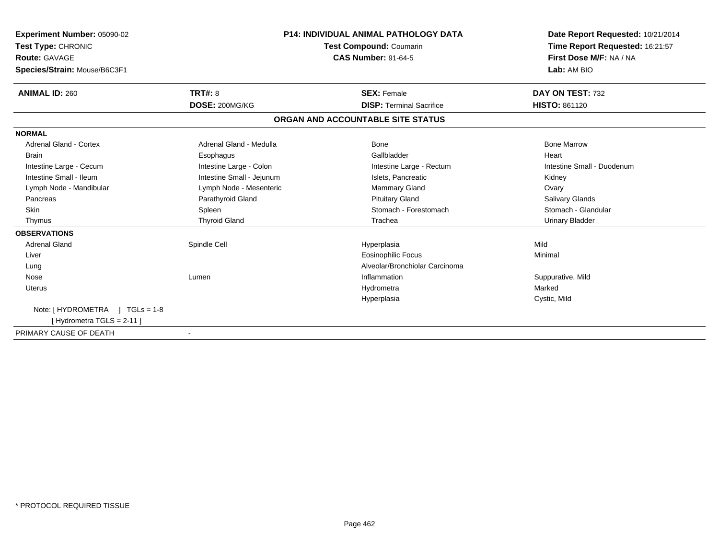| Experiment Number: 05090-02<br>Test Type: CHRONIC    |                           | <b>P14: INDIVIDUAL ANIMAL PATHOLOGY DATA</b><br><b>Test Compound: Coumarin</b> | Date Report Requested: 10/21/2014<br>Time Report Requested: 16:21:57 |
|------------------------------------------------------|---------------------------|--------------------------------------------------------------------------------|----------------------------------------------------------------------|
| <b>Route: GAVAGE</b><br>Species/Strain: Mouse/B6C3F1 |                           | <b>CAS Number: 91-64-5</b>                                                     | First Dose M/F: NA / NA<br>Lab: AM BIO                               |
|                                                      |                           |                                                                                |                                                                      |
| <b>ANIMAL ID: 260</b>                                | TRT#: 8                   | <b>SEX: Female</b>                                                             | DAY ON TEST: 732                                                     |
|                                                      | DOSE: 200MG/KG            | <b>DISP: Terminal Sacrifice</b>                                                | <b>HISTO: 861120</b>                                                 |
|                                                      |                           | ORGAN AND ACCOUNTABLE SITE STATUS                                              |                                                                      |
| <b>NORMAL</b>                                        |                           |                                                                                |                                                                      |
| <b>Adrenal Gland - Cortex</b>                        | Adrenal Gland - Medulla   | Bone                                                                           | <b>Bone Marrow</b>                                                   |
| <b>Brain</b>                                         | Esophagus                 | Gallbladder                                                                    | Heart                                                                |
| Intestine Large - Cecum                              | Intestine Large - Colon   | Intestine Large - Rectum                                                       | Intestine Small - Duodenum                                           |
| Intestine Small - Ileum                              | Intestine Small - Jejunum | Islets, Pancreatic                                                             | Kidney                                                               |
| Lymph Node - Mandibular                              | Lymph Node - Mesenteric   | <b>Mammary Gland</b>                                                           | Ovary                                                                |
| Pancreas                                             | Parathyroid Gland         | <b>Pituitary Gland</b>                                                         | <b>Salivary Glands</b>                                               |
| <b>Skin</b>                                          | Spleen                    | Stomach - Forestomach                                                          | Stomach - Glandular                                                  |
| Thymus                                               | <b>Thyroid Gland</b>      | Trachea                                                                        | <b>Urinary Bladder</b>                                               |
| <b>OBSERVATIONS</b>                                  |                           |                                                                                |                                                                      |
| <b>Adrenal Gland</b>                                 | Spindle Cell              | Hyperplasia                                                                    | Mild                                                                 |
| Liver                                                |                           | <b>Eosinophilic Focus</b>                                                      | Minimal                                                              |
| Lung                                                 |                           | Alveolar/Bronchiolar Carcinoma                                                 |                                                                      |
| Nose                                                 | Lumen                     | Inflammation                                                                   | Suppurative, Mild                                                    |
| <b>Uterus</b>                                        |                           | Hydrometra                                                                     | Marked                                                               |
|                                                      |                           | Hyperplasia                                                                    | Cystic, Mild                                                         |
| Note: [HYDROMETRA ] TGLs = 1-8                       |                           |                                                                                |                                                                      |
| [Hydrometra TGLS = 2-11]                             |                           |                                                                                |                                                                      |
| PRIMARY CAUSE OF DEATH                               |                           |                                                                                |                                                                      |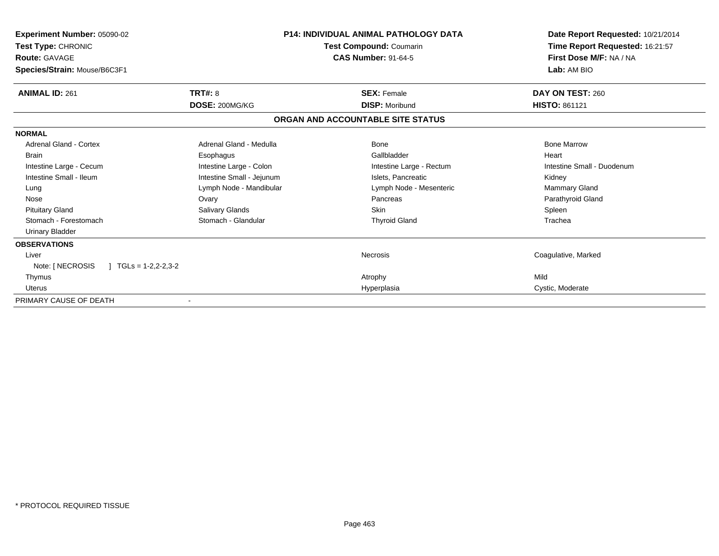| Experiment Number: 05090-02<br>Test Type: CHRONIC<br><b>Route: GAVAGE</b><br>Species/Strain: Mouse/B6C3F1 |                           | <b>P14: INDIVIDUAL ANIMAL PATHOLOGY DATA</b><br>Test Compound: Coumarin<br><b>CAS Number: 91-64-5</b> | Date Report Requested: 10/21/2014<br>Time Report Requested: 16:21:57<br>First Dose M/F: NA / NA<br>Lab: AM BIO |
|-----------------------------------------------------------------------------------------------------------|---------------------------|-------------------------------------------------------------------------------------------------------|----------------------------------------------------------------------------------------------------------------|
| <b>ANIMAL ID: 261</b>                                                                                     | TRT#: 8                   | <b>SEX: Female</b>                                                                                    | DAY ON TEST: 260                                                                                               |
|                                                                                                           | DOSE: 200MG/KG            | <b>DISP: Moribund</b>                                                                                 | <b>HISTO: 861121</b>                                                                                           |
|                                                                                                           |                           | ORGAN AND ACCOUNTABLE SITE STATUS                                                                     |                                                                                                                |
| <b>NORMAL</b>                                                                                             |                           |                                                                                                       |                                                                                                                |
| Adrenal Gland - Cortex                                                                                    | Adrenal Gland - Medulla   | Bone                                                                                                  | <b>Bone Marrow</b>                                                                                             |
| <b>Brain</b>                                                                                              | Esophagus                 | Gallbladder                                                                                           | Heart                                                                                                          |
| Intestine Large - Cecum                                                                                   | Intestine Large - Colon   | Intestine Large - Rectum                                                                              | Intestine Small - Duodenum                                                                                     |
| Intestine Small - Ileum                                                                                   | Intestine Small - Jejunum | Islets, Pancreatic                                                                                    | Kidney                                                                                                         |
| Lung                                                                                                      | Lymph Node - Mandibular   | Lymph Node - Mesenteric                                                                               | <b>Mammary Gland</b>                                                                                           |
| Nose                                                                                                      | Ovary                     | Pancreas                                                                                              | Parathyroid Gland                                                                                              |
| <b>Pituitary Gland</b>                                                                                    | Salivary Glands           | <b>Skin</b>                                                                                           | Spleen                                                                                                         |
| Stomach - Forestomach                                                                                     | Stomach - Glandular       | <b>Thyroid Gland</b>                                                                                  | Trachea                                                                                                        |
| <b>Urinary Bladder</b>                                                                                    |                           |                                                                                                       |                                                                                                                |
| <b>OBSERVATIONS</b>                                                                                       |                           |                                                                                                       |                                                                                                                |
| Liver                                                                                                     |                           | <b>Necrosis</b>                                                                                       | Coagulative, Marked                                                                                            |
| Note: [ NECROSIS<br>$\mid$ TGLs = 1-2,2-2,3-2                                                             |                           |                                                                                                       |                                                                                                                |
| Thymus                                                                                                    |                           | Atrophy                                                                                               | Mild                                                                                                           |
| <b>Uterus</b>                                                                                             |                           | Hyperplasia                                                                                           | Cystic, Moderate                                                                                               |
| PRIMARY CAUSE OF DEATH                                                                                    |                           |                                                                                                       |                                                                                                                |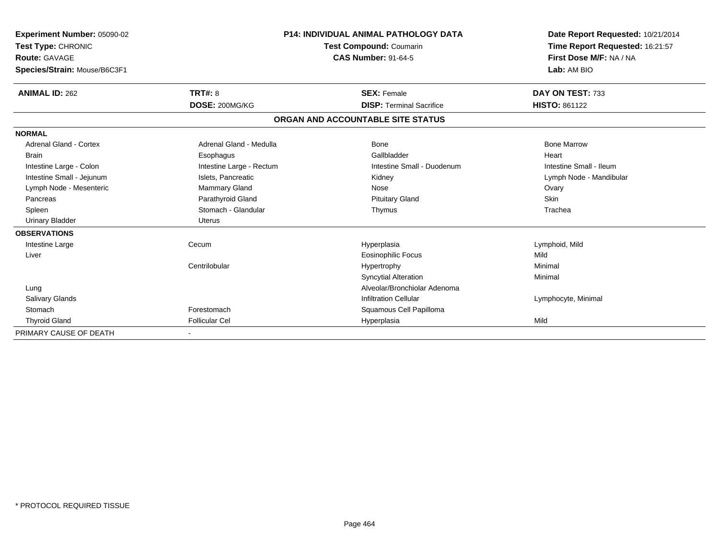| <b>Experiment Number: 05090-02</b> |                          | <b>P14: INDIVIDUAL ANIMAL PATHOLOGY DATA</b> | Date Report Requested: 10/21/2014 |
|------------------------------------|--------------------------|----------------------------------------------|-----------------------------------|
| Test Type: CHRONIC                 |                          | <b>Test Compound: Coumarin</b>               | Time Report Requested: 16:21:57   |
| <b>Route: GAVAGE</b>               |                          | <b>CAS Number: 91-64-5</b>                   | First Dose M/F: NA / NA           |
| Species/Strain: Mouse/B6C3F1       |                          |                                              | Lab: AM BIO                       |
| <b>ANIMAL ID: 262</b>              | TRT#: 8                  | <b>SEX: Female</b>                           | DAY ON TEST: 733                  |
|                                    | DOSE: 200MG/KG           | <b>DISP: Terminal Sacrifice</b>              | <b>HISTO: 861122</b>              |
|                                    |                          | ORGAN AND ACCOUNTABLE SITE STATUS            |                                   |
| <b>NORMAL</b>                      |                          |                                              |                                   |
| Adrenal Gland - Cortex             | Adrenal Gland - Medulla  | Bone                                         | <b>Bone Marrow</b>                |
| <b>Brain</b>                       | Esophagus                | Gallbladder                                  | Heart                             |
| Intestine Large - Colon            | Intestine Large - Rectum | Intestine Small - Duodenum                   | Intestine Small - Ileum           |
| Intestine Small - Jejunum          | Islets, Pancreatic       | Kidney                                       | Lymph Node - Mandibular           |
| Lymph Node - Mesenteric            | Mammary Gland            | Nose                                         | Ovary                             |
| Pancreas                           | Parathyroid Gland        | <b>Pituitary Gland</b>                       | Skin                              |
| Spleen                             | Stomach - Glandular      | Thymus                                       | Trachea                           |
| <b>Urinary Bladder</b>             | <b>Uterus</b>            |                                              |                                   |
| <b>OBSERVATIONS</b>                |                          |                                              |                                   |
| Intestine Large                    | Cecum                    | Hyperplasia                                  | Lymphoid, Mild                    |
| Liver                              |                          | <b>Eosinophilic Focus</b>                    | Mild                              |
|                                    | Centrilobular            | Hypertrophy                                  | Minimal                           |
|                                    |                          | <b>Syncytial Alteration</b>                  | Minimal                           |
| Lung                               |                          | Alveolar/Bronchiolar Adenoma                 |                                   |
| Salivary Glands                    |                          | <b>Infiltration Cellular</b>                 | Lymphocyte, Minimal               |
| Stomach                            | Forestomach              | Squamous Cell Papilloma                      |                                   |
| <b>Thyroid Gland</b>               | <b>Follicular Cel</b>    | Hyperplasia                                  | Mild                              |
| PRIMARY CAUSE OF DEATH             |                          |                                              |                                   |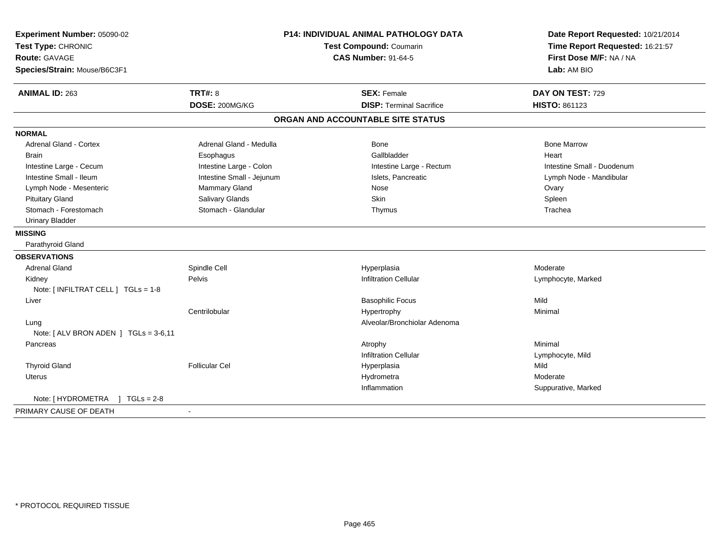| Experiment Number: 05090-02           |                           | <b>P14: INDIVIDUAL ANIMAL PATHOLOGY DATA</b> | Date Report Requested: 10/21/2014                          |
|---------------------------------------|---------------------------|----------------------------------------------|------------------------------------------------------------|
| Test Type: CHRONIC                    |                           | Test Compound: Coumarin                      | Time Report Requested: 16:21:57<br>First Dose M/F: NA / NA |
| <b>Route: GAVAGE</b>                  |                           | <b>CAS Number: 91-64-5</b>                   |                                                            |
| Species/Strain: Mouse/B6C3F1          |                           |                                              | Lab: AM BIO                                                |
| <b>ANIMAL ID: 263</b>                 | <b>TRT#: 8</b>            | <b>SEX: Female</b>                           | DAY ON TEST: 729                                           |
|                                       | DOSE: 200MG/KG            | <b>DISP: Terminal Sacrifice</b>              | HISTO: 861123                                              |
|                                       |                           | ORGAN AND ACCOUNTABLE SITE STATUS            |                                                            |
| <b>NORMAL</b>                         |                           |                                              |                                                            |
| <b>Adrenal Gland - Cortex</b>         | Adrenal Gland - Medulla   | <b>Bone</b>                                  | <b>Bone Marrow</b>                                         |
| <b>Brain</b>                          | Esophagus                 | Gallbladder                                  | Heart                                                      |
| Intestine Large - Cecum               | Intestine Large - Colon   | Intestine Large - Rectum                     | Intestine Small - Duodenum                                 |
| Intestine Small - Ileum               | Intestine Small - Jejunum | Islets, Pancreatic                           | Lymph Node - Mandibular                                    |
| Lymph Node - Mesenteric               | <b>Mammary Gland</b>      | Nose                                         | Ovary                                                      |
| <b>Pituitary Gland</b>                | <b>Salivary Glands</b>    | <b>Skin</b>                                  | Spleen                                                     |
| Stomach - Forestomach                 | Stomach - Glandular       | Thymus                                       | Trachea                                                    |
| <b>Urinary Bladder</b>                |                           |                                              |                                                            |
| <b>MISSING</b>                        |                           |                                              |                                                            |
| Parathyroid Gland                     |                           |                                              |                                                            |
| <b>OBSERVATIONS</b>                   |                           |                                              |                                                            |
| <b>Adrenal Gland</b>                  | Spindle Cell              | Hyperplasia                                  | Moderate                                                   |
| Kidney                                | Pelvis                    | <b>Infiltration Cellular</b>                 | Lymphocyte, Marked                                         |
| Note: [ INFILTRAT CELL ] TGLs = 1-8   |                           |                                              |                                                            |
| Liver                                 |                           | <b>Basophilic Focus</b>                      | Mild                                                       |
|                                       | Centrilobular             | Hypertrophy                                  | Minimal                                                    |
| Lung                                  |                           | Alveolar/Bronchiolar Adenoma                 |                                                            |
| Note: [ ALV BRON ADEN ] TGLs = 3-6,11 |                           |                                              |                                                            |
| Pancreas                              |                           | Atrophy                                      | Minimal                                                    |
|                                       |                           | <b>Infiltration Cellular</b>                 | Lymphocyte, Mild                                           |
| <b>Thyroid Gland</b>                  | <b>Follicular Cel</b>     | Hyperplasia                                  | Mild                                                       |
| Uterus                                |                           | Hydrometra                                   | Moderate                                                   |
|                                       |                           | Inflammation                                 | Suppurative, Marked                                        |
| Note: [ HYDROMETRA<br>$1 TGLs = 2-8$  |                           |                                              |                                                            |
| PRIMARY CAUSE OF DEATH                | $\sim$                    |                                              |                                                            |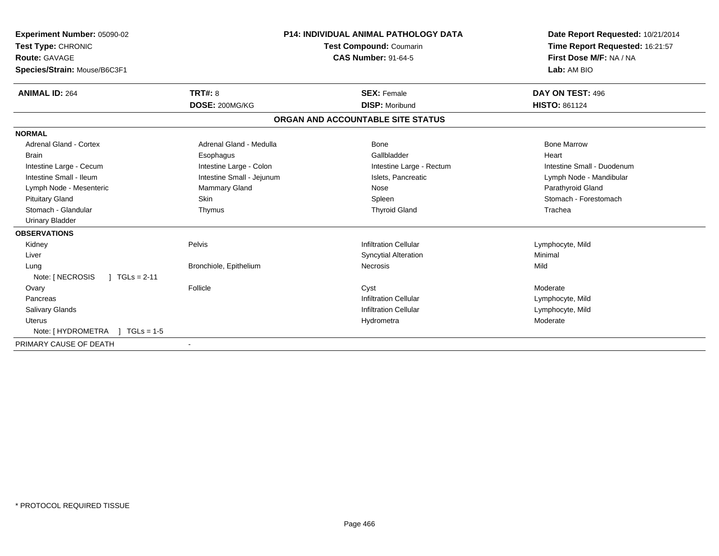| Experiment Number: 05090-02          | <b>P14: INDIVIDUAL ANIMAL PATHOLOGY DATA</b><br>Test Compound: Coumarin |                                   | Date Report Requested: 10/21/2014 |
|--------------------------------------|-------------------------------------------------------------------------|-----------------------------------|-----------------------------------|
| Test Type: CHRONIC                   |                                                                         |                                   | Time Report Requested: 16:21:57   |
| <b>Route: GAVAGE</b>                 |                                                                         | <b>CAS Number: 91-64-5</b>        | First Dose M/F: NA / NA           |
| Species/Strain: Mouse/B6C3F1         |                                                                         |                                   | Lab: AM BIO                       |
| <b>ANIMAL ID: 264</b>                | <b>TRT#: 8</b>                                                          | <b>SEX: Female</b>                | DAY ON TEST: 496                  |
|                                      | DOSE: 200MG/KG                                                          | <b>DISP: Moribund</b>             | <b>HISTO: 861124</b>              |
|                                      |                                                                         | ORGAN AND ACCOUNTABLE SITE STATUS |                                   |
| <b>NORMAL</b>                        |                                                                         |                                   |                                   |
| Adrenal Gland - Cortex               | Adrenal Gland - Medulla                                                 | Bone                              | <b>Bone Marrow</b>                |
| <b>Brain</b>                         | Esophagus                                                               | Gallbladder                       | Heart                             |
| Intestine Large - Cecum              | Intestine Large - Colon                                                 | Intestine Large - Rectum          | Intestine Small - Duodenum        |
| Intestine Small - Ileum              | Intestine Small - Jejunum                                               | Islets, Pancreatic                | Lymph Node - Mandibular           |
| Lymph Node - Mesenteric              | Mammary Gland                                                           | Nose                              | Parathyroid Gland                 |
| <b>Pituitary Gland</b>               | Skin                                                                    | Spleen                            | Stomach - Forestomach             |
| Stomach - Glandular                  | Thymus                                                                  | <b>Thyroid Gland</b>              | Trachea                           |
| <b>Urinary Bladder</b>               |                                                                         |                                   |                                   |
| <b>OBSERVATIONS</b>                  |                                                                         |                                   |                                   |
| Kidney                               | Pelvis                                                                  | <b>Infiltration Cellular</b>      | Lymphocyte, Mild                  |
| Liver                                |                                                                         | <b>Syncytial Alteration</b>       | Minimal                           |
| Lung                                 | Bronchiole, Epithelium                                                  | <b>Necrosis</b>                   | Mild                              |
| Note: [ NECROSIS<br>$1 TGLs = 2-11$  |                                                                         |                                   |                                   |
| Ovary                                | Follicle                                                                | Cyst                              | Moderate                          |
| Pancreas                             |                                                                         | <b>Infiltration Cellular</b>      | Lymphocyte, Mild                  |
| <b>Salivary Glands</b>               |                                                                         | <b>Infiltration Cellular</b>      | Lymphocyte, Mild                  |
| <b>Uterus</b>                        |                                                                         | Hydrometra                        | Moderate                          |
| Note: [ HYDROMETRA<br>$1 TGLs = 1.5$ |                                                                         |                                   |                                   |
| PRIMARY CAUSE OF DEATH               | $\blacksquare$                                                          |                                   |                                   |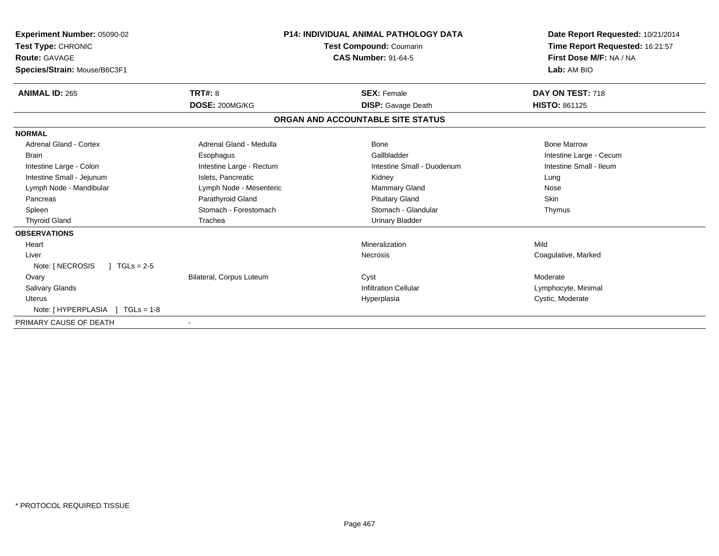| Experiment Number: 05090-02<br>Test Type: CHRONIC<br><b>Route: GAVAGE</b><br>Species/Strain: Mouse/B6C3F1 |                          | <b>P14: INDIVIDUAL ANIMAL PATHOLOGY DATA</b><br><b>Test Compound: Coumarin</b><br><b>CAS Number: 91-64-5</b> | Date Report Requested: 10/21/2014<br>Time Report Requested: 16:21:57<br>First Dose M/F: NA / NA<br>Lab: AM BIO |
|-----------------------------------------------------------------------------------------------------------|--------------------------|--------------------------------------------------------------------------------------------------------------|----------------------------------------------------------------------------------------------------------------|
| <b>ANIMAL ID: 265</b>                                                                                     | <b>TRT#: 8</b>           | <b>SEX: Female</b>                                                                                           | DAY ON TEST: 718                                                                                               |
|                                                                                                           | DOSE: 200MG/KG           | <b>DISP:</b> Gavage Death                                                                                    | <b>HISTO: 861125</b>                                                                                           |
|                                                                                                           |                          | ORGAN AND ACCOUNTABLE SITE STATUS                                                                            |                                                                                                                |
| <b>NORMAL</b>                                                                                             |                          |                                                                                                              |                                                                                                                |
| Adrenal Gland - Cortex                                                                                    | Adrenal Gland - Medulla  | Bone                                                                                                         | <b>Bone Marrow</b>                                                                                             |
| <b>Brain</b>                                                                                              | Esophagus                | Gallbladder                                                                                                  | Intestine Large - Cecum                                                                                        |
| Intestine Large - Colon                                                                                   | Intestine Large - Rectum | Intestine Small - Duodenum                                                                                   | Intestine Small - Ileum                                                                                        |
| Intestine Small - Jejunum                                                                                 | Islets, Pancreatic       | Kidney                                                                                                       | Lung                                                                                                           |
| Lymph Node - Mandibular                                                                                   | Lymph Node - Mesenteric  | <b>Mammary Gland</b>                                                                                         | Nose                                                                                                           |
| Pancreas                                                                                                  | Parathyroid Gland        | <b>Pituitary Gland</b>                                                                                       | Skin                                                                                                           |
| Spleen                                                                                                    | Stomach - Forestomach    | Stomach - Glandular                                                                                          | Thymus                                                                                                         |
| <b>Thyroid Gland</b>                                                                                      | Trachea                  | <b>Urinary Bladder</b>                                                                                       |                                                                                                                |
| <b>OBSERVATIONS</b>                                                                                       |                          |                                                                                                              |                                                                                                                |
| Heart                                                                                                     |                          | Mineralization                                                                                               | Mild                                                                                                           |
| Liver                                                                                                     |                          | <b>Necrosis</b>                                                                                              | Coagulative, Marked                                                                                            |
| Note: [ NECROSIS<br>$1 TGLs = 2-5$                                                                        |                          |                                                                                                              |                                                                                                                |
| Ovary                                                                                                     | Bilateral, Corpus Luteum | Cyst                                                                                                         | Moderate                                                                                                       |
| <b>Salivary Glands</b>                                                                                    |                          | <b>Infiltration Cellular</b>                                                                                 | Lymphocyte, Minimal                                                                                            |
| <b>Uterus</b>                                                                                             |                          | Hyperplasia                                                                                                  | Cystic, Moderate                                                                                               |
| Note: [HYPERPLASIA ]<br>$TGLs = 1-8$                                                                      |                          |                                                                                                              |                                                                                                                |
| PRIMARY CAUSE OF DEATH                                                                                    |                          |                                                                                                              |                                                                                                                |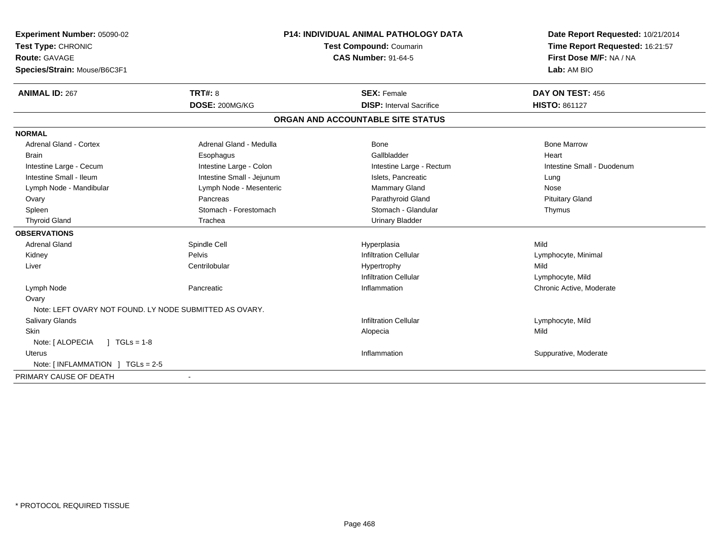| Experiment Number: 05090-02                              | <b>P14: INDIVIDUAL ANIMAL PATHOLOGY DATA</b> | Date Report Requested: 10/21/2014<br>Time Report Requested: 16:21:57<br>First Dose M/F: NA / NA |
|----------------------------------------------------------|----------------------------------------------|-------------------------------------------------------------------------------------------------|
| Test Type: CHRONIC                                       | Test Compound: Coumarin                      |                                                                                                 |
| <b>Route: GAVAGE</b>                                     | <b>CAS Number: 91-64-5</b>                   |                                                                                                 |
| Species/Strain: Mouse/B6C3F1                             |                                              | Lab: AM BIO                                                                                     |
| <b>TRT#: 8</b><br><b>ANIMAL ID: 267</b>                  | <b>SEX: Female</b>                           | DAY ON TEST: 456                                                                                |
| DOSE: 200MG/KG                                           | <b>DISP:</b> Interval Sacrifice              | <b>HISTO: 861127</b>                                                                            |
|                                                          | ORGAN AND ACCOUNTABLE SITE STATUS            |                                                                                                 |
| <b>NORMAL</b>                                            |                                              |                                                                                                 |
| <b>Adrenal Gland - Cortex</b><br>Adrenal Gland - Medulla | <b>Bone</b>                                  | <b>Bone Marrow</b>                                                                              |
| <b>Brain</b><br>Esophagus                                | Gallbladder                                  | Heart                                                                                           |
| Intestine Large - Colon<br>Intestine Large - Cecum       | Intestine Large - Rectum                     | Intestine Small - Duodenum                                                                      |
| Intestine Small - Ileum<br>Intestine Small - Jejunum     | Islets, Pancreatic                           | Lung                                                                                            |
| Lymph Node - Mesenteric<br>Lymph Node - Mandibular       | Mammary Gland                                | Nose                                                                                            |
| Ovary<br>Pancreas                                        | Parathyroid Gland                            | <b>Pituitary Gland</b>                                                                          |
| Stomach - Forestomach<br>Spleen                          | Stomach - Glandular                          | Thymus                                                                                          |
| <b>Thyroid Gland</b><br>Trachea                          | <b>Urinary Bladder</b>                       |                                                                                                 |
| <b>OBSERVATIONS</b>                                      |                                              |                                                                                                 |
| Adrenal Gland<br>Spindle Cell                            | Hyperplasia                                  | Mild                                                                                            |
| Pelvis<br>Kidney                                         | <b>Infiltration Cellular</b>                 | Lymphocyte, Minimal                                                                             |
| Centrilobular<br>Liver                                   | Hypertrophy                                  | Mild                                                                                            |
|                                                          | <b>Infiltration Cellular</b>                 | Lymphocyte, Mild                                                                                |
| Lymph Node<br>Pancreatic                                 | Inflammation                                 | Chronic Active, Moderate                                                                        |
| Ovary                                                    |                                              |                                                                                                 |
| Note: LEFT OVARY NOT FOUND. LY NODE SUBMITTED AS OVARY.  |                                              |                                                                                                 |
| Salivary Glands                                          | <b>Infiltration Cellular</b>                 | Lymphocyte, Mild                                                                                |
| Skin                                                     | Alopecia                                     | Mild                                                                                            |
| Note: [ ALOPECIA<br>$1 TGLs = 1-8$                       |                                              |                                                                                                 |
| Uterus                                                   | Inflammation                                 | Suppurative, Moderate                                                                           |
| Note: [INFLAMMATION ] TGLs = 2-5                         |                                              |                                                                                                 |
| PRIMARY CAUSE OF DEATH                                   |                                              |                                                                                                 |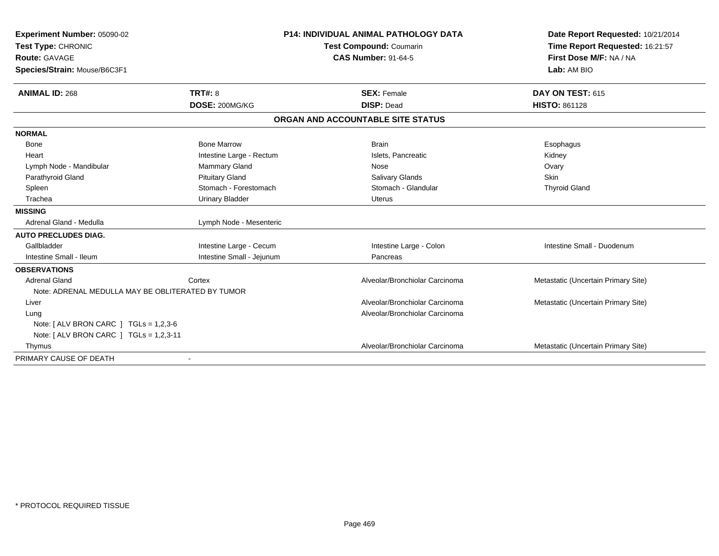| Experiment Number: 05090-02<br>Test Type: CHRONIC<br>Route: GAVAGE<br>Species/Strain: Mouse/B6C3F1 | <b>P14: INDIVIDUAL ANIMAL PATHOLOGY DATA</b><br>Test Compound: Coumarin<br><b>CAS Number: 91-64-5</b> |                                   | Date Report Requested: 10/21/2014<br>Time Report Requested: 16:21:57<br>First Dose M/F: NA / NA<br>Lab: AM BIO |
|----------------------------------------------------------------------------------------------------|-------------------------------------------------------------------------------------------------------|-----------------------------------|----------------------------------------------------------------------------------------------------------------|
| <b>ANIMAL ID: 268</b>                                                                              | <b>TRT#: 8</b>                                                                                        | <b>SEX: Female</b>                | DAY ON TEST: 615                                                                                               |
|                                                                                                    | DOSE: 200MG/KG                                                                                        | <b>DISP: Dead</b>                 | <b>HISTO: 861128</b>                                                                                           |
|                                                                                                    |                                                                                                       | ORGAN AND ACCOUNTABLE SITE STATUS |                                                                                                                |
| <b>NORMAL</b>                                                                                      |                                                                                                       |                                   |                                                                                                                |
| Bone                                                                                               | <b>Bone Marrow</b>                                                                                    | <b>Brain</b>                      | Esophagus                                                                                                      |
| Heart                                                                                              | Intestine Large - Rectum                                                                              | Islets, Pancreatic                | Kidney                                                                                                         |
| Lymph Node - Mandibular                                                                            | <b>Mammary Gland</b>                                                                                  | Nose                              | Ovary                                                                                                          |
| Parathyroid Gland                                                                                  | <b>Pituitary Gland</b>                                                                                | <b>Salivary Glands</b>            | <b>Skin</b>                                                                                                    |
| Spleen                                                                                             | Stomach - Forestomach                                                                                 | Stomach - Glandular               | <b>Thyroid Gland</b>                                                                                           |
| Trachea                                                                                            | <b>Urinary Bladder</b>                                                                                | <b>Uterus</b>                     |                                                                                                                |
| <b>MISSING</b>                                                                                     |                                                                                                       |                                   |                                                                                                                |
| Adrenal Gland - Medulla                                                                            | Lymph Node - Mesenteric                                                                               |                                   |                                                                                                                |
| <b>AUTO PRECLUDES DIAG.</b>                                                                        |                                                                                                       |                                   |                                                                                                                |
| Gallbladder                                                                                        | Intestine Large - Cecum                                                                               | Intestine Large - Colon           | Intestine Small - Duodenum                                                                                     |
| Intestine Small - Ileum                                                                            | Intestine Small - Jejunum                                                                             | Pancreas                          |                                                                                                                |
| <b>OBSERVATIONS</b>                                                                                |                                                                                                       |                                   |                                                                                                                |
| <b>Adrenal Gland</b>                                                                               | Cortex                                                                                                | Alveolar/Bronchiolar Carcinoma    | Metastatic (Uncertain Primary Site)                                                                            |
| Note: ADRENAL MEDULLA MAY BE OBLITERATED BY TUMOR                                                  |                                                                                                       |                                   |                                                                                                                |
| Liver                                                                                              |                                                                                                       | Alveolar/Bronchiolar Carcinoma    | Metastatic (Uncertain Primary Site)                                                                            |
| Lung                                                                                               |                                                                                                       | Alveolar/Bronchiolar Carcinoma    |                                                                                                                |
| Note: $[ALV$ BRON CARC $]$ TGLs = 1,2,3-6                                                          |                                                                                                       |                                   |                                                                                                                |
| Note: $[ALV$ BRON CARC $]$ TGLs = 1,2,3-11                                                         |                                                                                                       |                                   |                                                                                                                |
| Thymus                                                                                             |                                                                                                       | Alveolar/Bronchiolar Carcinoma    | Metastatic (Uncertain Primary Site)                                                                            |
| PRIMARY CAUSE OF DEATH                                                                             |                                                                                                       |                                   |                                                                                                                |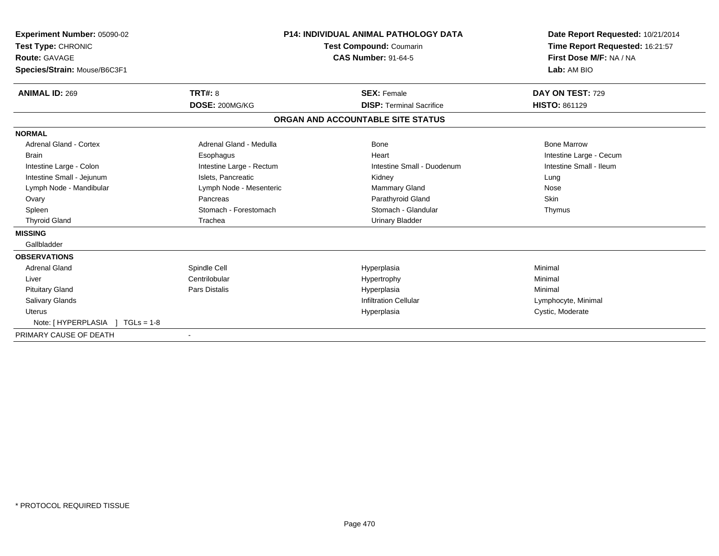| <b>Experiment Number: 05090-02</b><br>Test Type: CHRONIC<br>Route: GAVAGE<br>Species/Strain: Mouse/B6C3F1 |                          | <b>P14: INDIVIDUAL ANIMAL PATHOLOGY DATA</b><br>Test Compound: Coumarin<br><b>CAS Number: 91-64-5</b> | Date Report Requested: 10/21/2014<br>Time Report Requested: 16:21:57<br>First Dose M/F: NA / NA<br>Lab: AM BIO |
|-----------------------------------------------------------------------------------------------------------|--------------------------|-------------------------------------------------------------------------------------------------------|----------------------------------------------------------------------------------------------------------------|
| <b>ANIMAL ID: 269</b>                                                                                     | TRT#: 8                  | <b>SEX: Female</b>                                                                                    | DAY ON TEST: 729                                                                                               |
|                                                                                                           | DOSE: 200MG/KG           | <b>DISP: Terminal Sacrifice</b>                                                                       | <b>HISTO: 861129</b>                                                                                           |
|                                                                                                           |                          | ORGAN AND ACCOUNTABLE SITE STATUS                                                                     |                                                                                                                |
| <b>NORMAL</b>                                                                                             |                          |                                                                                                       |                                                                                                                |
| Adrenal Gland - Cortex                                                                                    | Adrenal Gland - Medulla  | Bone                                                                                                  | <b>Bone Marrow</b>                                                                                             |
| <b>Brain</b>                                                                                              | Esophagus                | Heart                                                                                                 | Intestine Large - Cecum                                                                                        |
| Intestine Large - Colon                                                                                   | Intestine Large - Rectum | Intestine Small - Duodenum                                                                            | Intestine Small - Ileum                                                                                        |
| Intestine Small - Jejunum                                                                                 | Islets, Pancreatic       | Kidney                                                                                                | Lung                                                                                                           |
| Lymph Node - Mandibular                                                                                   | Lymph Node - Mesenteric  | <b>Mammary Gland</b>                                                                                  | Nose                                                                                                           |
| Ovary                                                                                                     | Pancreas                 | Parathyroid Gland                                                                                     | Skin                                                                                                           |
| Spleen                                                                                                    | Stomach - Forestomach    | Stomach - Glandular                                                                                   | Thymus                                                                                                         |
| <b>Thyroid Gland</b>                                                                                      | Trachea                  | <b>Urinary Bladder</b>                                                                                |                                                                                                                |
| <b>MISSING</b>                                                                                            |                          |                                                                                                       |                                                                                                                |
| Gallbladder                                                                                               |                          |                                                                                                       |                                                                                                                |
| <b>OBSERVATIONS</b>                                                                                       |                          |                                                                                                       |                                                                                                                |
| <b>Adrenal Gland</b>                                                                                      | Spindle Cell             | Hyperplasia                                                                                           | Minimal                                                                                                        |
| Liver                                                                                                     | Centrilobular            | Hypertrophy                                                                                           | Minimal                                                                                                        |
| <b>Pituitary Gland</b>                                                                                    | <b>Pars Distalis</b>     | Hyperplasia                                                                                           | Minimal                                                                                                        |
| Salivary Glands                                                                                           |                          | <b>Infiltration Cellular</b>                                                                          | Lymphocyte, Minimal                                                                                            |
| Uterus                                                                                                    |                          | Hyperplasia                                                                                           | Cystic, Moderate                                                                                               |
| Note: [HYPERPLASIA ] TGLs = 1-8                                                                           |                          |                                                                                                       |                                                                                                                |
| PRIMARY CAUSE OF DEATH                                                                                    |                          |                                                                                                       |                                                                                                                |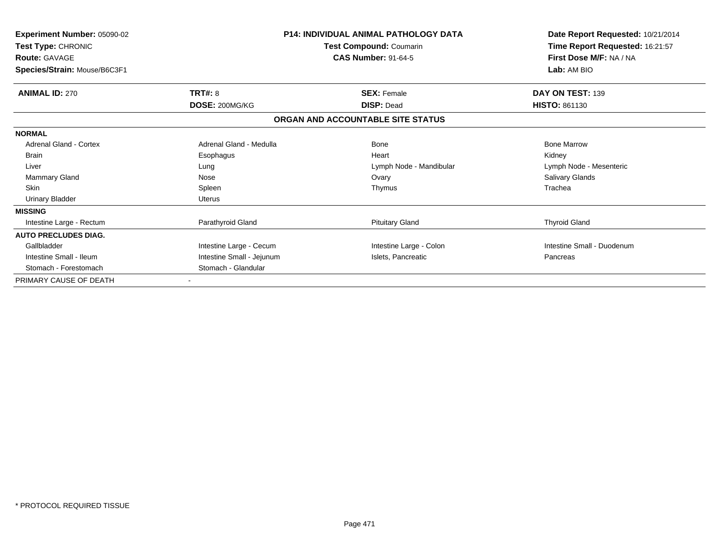| <b>Experiment Number: 05090-02</b><br>Test Type: CHRONIC<br><b>Route: GAVAGE</b><br>Species/Strain: Mouse/B6C3F1 | <b>P14: INDIVIDUAL ANIMAL PATHOLOGY DATA</b><br>Test Compound: Coumarin<br><b>CAS Number: 91-64-5</b> |                                   | Date Report Requested: 10/21/2014<br>Time Report Requested: 16:21:57<br>First Dose M/F: NA / NA<br>Lab: AM BIO |
|------------------------------------------------------------------------------------------------------------------|-------------------------------------------------------------------------------------------------------|-----------------------------------|----------------------------------------------------------------------------------------------------------------|
| <b>ANIMAL ID: 270</b>                                                                                            | TRT#: 8                                                                                               | <b>SEX: Female</b>                | DAY ON TEST: 139                                                                                               |
|                                                                                                                  | DOSE: 200MG/KG                                                                                        | <b>DISP: Dead</b>                 | <b>HISTO: 861130</b>                                                                                           |
|                                                                                                                  |                                                                                                       | ORGAN AND ACCOUNTABLE SITE STATUS |                                                                                                                |
| <b>NORMAL</b>                                                                                                    |                                                                                                       |                                   |                                                                                                                |
| <b>Adrenal Gland - Cortex</b>                                                                                    | Adrenal Gland - Medulla                                                                               | <b>Bone</b>                       | <b>Bone Marrow</b>                                                                                             |
| <b>Brain</b>                                                                                                     | Esophagus                                                                                             | Heart                             | Kidney                                                                                                         |
| Liver                                                                                                            | Lung                                                                                                  | Lymph Node - Mandibular           | Lymph Node - Mesenteric                                                                                        |
| Mammary Gland                                                                                                    | Nose                                                                                                  | Ovary                             | <b>Salivary Glands</b>                                                                                         |
| <b>Skin</b>                                                                                                      | Spleen                                                                                                | Thymus                            | Trachea                                                                                                        |
| <b>Urinary Bladder</b>                                                                                           | <b>Uterus</b>                                                                                         |                                   |                                                                                                                |
| <b>MISSING</b>                                                                                                   |                                                                                                       |                                   |                                                                                                                |
| Intestine Large - Rectum                                                                                         | Parathyroid Gland                                                                                     | <b>Pituitary Gland</b>            | <b>Thyroid Gland</b>                                                                                           |
| <b>AUTO PRECLUDES DIAG.</b>                                                                                      |                                                                                                       |                                   |                                                                                                                |
| Gallbladder                                                                                                      | Intestine Large - Cecum                                                                               | Intestine Large - Colon           | Intestine Small - Duodenum                                                                                     |
| Intestine Small - Ileum                                                                                          | Intestine Small - Jejunum                                                                             | Islets, Pancreatic                | Pancreas                                                                                                       |
| Stomach - Forestomach                                                                                            | Stomach - Glandular                                                                                   |                                   |                                                                                                                |
| PRIMARY CAUSE OF DEATH                                                                                           |                                                                                                       |                                   |                                                                                                                |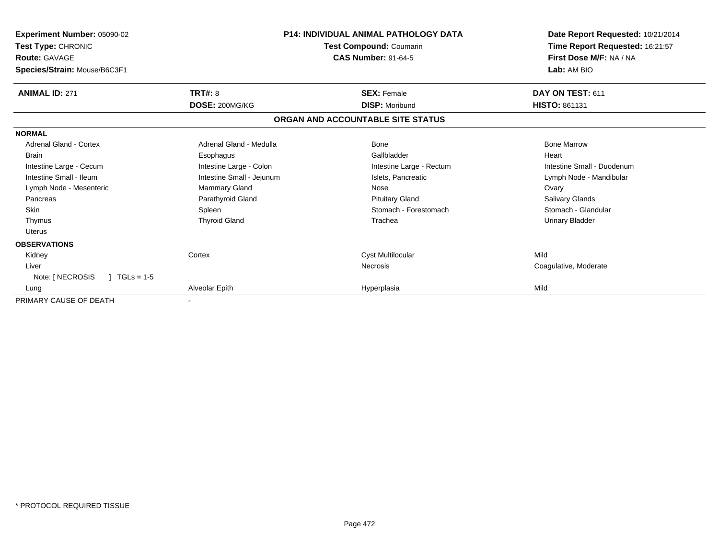| <b>Experiment Number: 05090-02</b><br>Test Type: CHRONIC<br><b>Route: GAVAGE</b><br>Species/Strain: Mouse/B6C3F1 | <b>P14: INDIVIDUAL ANIMAL PATHOLOGY DATA</b><br><b>Test Compound: Coumarin</b><br><b>CAS Number: 91-64-5</b> |                                   | Date Report Requested: 10/21/2014<br>Time Report Requested: 16:21:57<br>First Dose M/F: NA / NA<br>Lab: AM BIO |  |
|------------------------------------------------------------------------------------------------------------------|--------------------------------------------------------------------------------------------------------------|-----------------------------------|----------------------------------------------------------------------------------------------------------------|--|
| <b>ANIMAL ID: 271</b>                                                                                            | <b>TRT#: 8</b>                                                                                               | <b>SEX: Female</b>                | DAY ON TEST: 611                                                                                               |  |
|                                                                                                                  | DOSE: 200MG/KG                                                                                               | <b>DISP: Moribund</b>             | <b>HISTO: 861131</b>                                                                                           |  |
|                                                                                                                  |                                                                                                              | ORGAN AND ACCOUNTABLE SITE STATUS |                                                                                                                |  |
| <b>NORMAL</b>                                                                                                    |                                                                                                              |                                   |                                                                                                                |  |
| Adrenal Gland - Cortex                                                                                           | Adrenal Gland - Medulla                                                                                      | Bone                              | <b>Bone Marrow</b>                                                                                             |  |
| <b>Brain</b>                                                                                                     | Esophagus                                                                                                    | Gallbladder                       | Heart                                                                                                          |  |
| Intestine Large - Cecum                                                                                          | Intestine Large - Colon                                                                                      | Intestine Large - Rectum          | Intestine Small - Duodenum                                                                                     |  |
| Intestine Small - Ileum                                                                                          | Intestine Small - Jejunum                                                                                    | Islets. Pancreatic                | Lymph Node - Mandibular                                                                                        |  |
| Lymph Node - Mesenteric                                                                                          | Mammary Gland                                                                                                | Nose                              | Ovary                                                                                                          |  |
| Pancreas                                                                                                         | Parathyroid Gland                                                                                            | <b>Pituitary Gland</b>            | Salivary Glands                                                                                                |  |
| <b>Skin</b>                                                                                                      | Spleen                                                                                                       | Stomach - Forestomach             | Stomach - Glandular                                                                                            |  |
| Thymus                                                                                                           | <b>Thyroid Gland</b>                                                                                         | Trachea                           | <b>Urinary Bladder</b>                                                                                         |  |
| <b>Uterus</b>                                                                                                    |                                                                                                              |                                   |                                                                                                                |  |
| <b>OBSERVATIONS</b>                                                                                              |                                                                                                              |                                   |                                                                                                                |  |
| Kidney                                                                                                           | Cortex                                                                                                       | Cyst Multilocular                 | Mild                                                                                                           |  |
| Liver                                                                                                            |                                                                                                              | Necrosis                          | Coagulative, Moderate                                                                                          |  |
| Note: [ NECROSIS<br>$TGLs = 1-5$                                                                                 |                                                                                                              |                                   |                                                                                                                |  |
| Lung                                                                                                             | Alveolar Epith                                                                                               | Hyperplasia                       | Mild                                                                                                           |  |
| PRIMARY CAUSE OF DEATH                                                                                           | $\blacksquare$                                                                                               |                                   |                                                                                                                |  |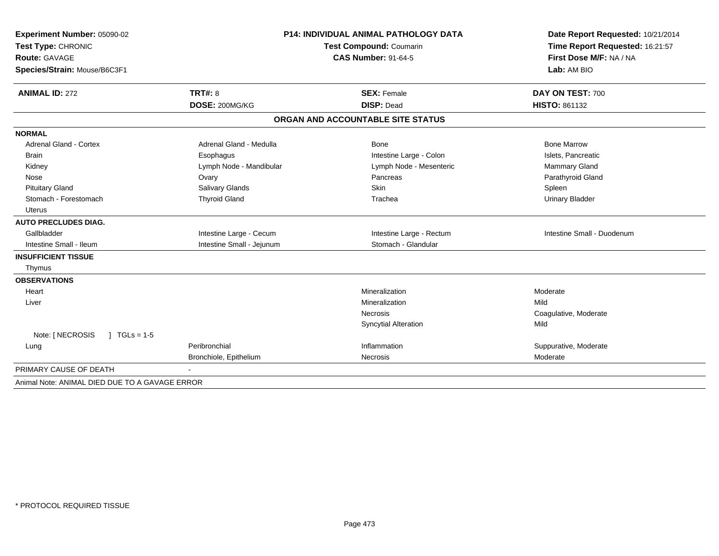| Experiment Number: 05090-02                    |                           | <b>P14: INDIVIDUAL ANIMAL PATHOLOGY DATA</b> | Date Report Requested: 10/21/2014<br>Time Report Requested: 16:21:57<br>First Dose M/F: NA / NA<br>Lab: AM BIO |  |
|------------------------------------------------|---------------------------|----------------------------------------------|----------------------------------------------------------------------------------------------------------------|--|
| Test Type: CHRONIC                             |                           | <b>Test Compound: Coumarin</b>               |                                                                                                                |  |
| <b>Route: GAVAGE</b>                           |                           | <b>CAS Number: 91-64-5</b>                   |                                                                                                                |  |
| Species/Strain: Mouse/B6C3F1                   |                           |                                              |                                                                                                                |  |
| <b>ANIMAL ID: 272</b>                          | TRT#: 8                   | <b>SEX: Female</b>                           | DAY ON TEST: 700                                                                                               |  |
|                                                | DOSE: 200MG/KG            | <b>DISP: Dead</b>                            | HISTO: 861132                                                                                                  |  |
|                                                |                           | ORGAN AND ACCOUNTABLE SITE STATUS            |                                                                                                                |  |
| <b>NORMAL</b>                                  |                           |                                              |                                                                                                                |  |
| <b>Adrenal Gland - Cortex</b>                  | Adrenal Gland - Medulla   | <b>Bone</b>                                  | <b>Bone Marrow</b>                                                                                             |  |
| <b>Brain</b>                                   | Esophagus                 | Intestine Large - Colon                      | Islets, Pancreatic                                                                                             |  |
| Kidney                                         | Lymph Node - Mandibular   | Lymph Node - Mesenteric                      | Mammary Gland                                                                                                  |  |
| Nose                                           | Ovary                     | Pancreas                                     | Parathyroid Gland                                                                                              |  |
| <b>Pituitary Gland</b>                         | Salivary Glands           | Skin                                         | Spleen                                                                                                         |  |
| Stomach - Forestomach                          | <b>Thyroid Gland</b>      | Trachea                                      | <b>Urinary Bladder</b>                                                                                         |  |
| Uterus                                         |                           |                                              |                                                                                                                |  |
| <b>AUTO PRECLUDES DIAG.</b>                    |                           |                                              |                                                                                                                |  |
| Gallbladder                                    | Intestine Large - Cecum   | Intestine Large - Rectum                     | Intestine Small - Duodenum                                                                                     |  |
| Intestine Small - Ileum                        | Intestine Small - Jejunum | Stomach - Glandular                          |                                                                                                                |  |
| <b>INSUFFICIENT TISSUE</b>                     |                           |                                              |                                                                                                                |  |
| Thymus                                         |                           |                                              |                                                                                                                |  |
| <b>OBSERVATIONS</b>                            |                           |                                              |                                                                                                                |  |
| Heart                                          |                           | Mineralization                               | Moderate                                                                                                       |  |
| Liver                                          |                           | Mineralization                               | Mild                                                                                                           |  |
|                                                |                           | <b>Necrosis</b>                              | Coagulative, Moderate                                                                                          |  |
|                                                |                           | <b>Syncytial Alteration</b>                  | Mild                                                                                                           |  |
| Note: [ NECROSIS<br>$1 TGLs = 1-5$             |                           |                                              |                                                                                                                |  |
| Lung                                           | Peribronchial             | Inflammation                                 | Suppurative, Moderate                                                                                          |  |
|                                                | Bronchiole, Epithelium    | Necrosis                                     | Moderate                                                                                                       |  |
| PRIMARY CAUSE OF DEATH                         |                           |                                              |                                                                                                                |  |
| Animal Note: ANIMAL DIED DUE TO A GAVAGE ERROR |                           |                                              |                                                                                                                |  |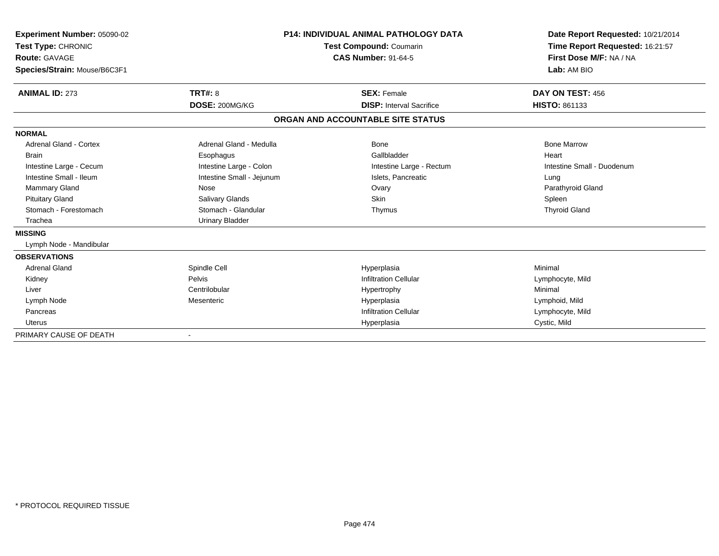| Experiment Number: 05090-02<br>Test Type: CHRONIC<br>Route: GAVAGE<br>Species/Strain: Mouse/B6C3F1 |                           | <b>P14: INDIVIDUAL ANIMAL PATHOLOGY DATA</b><br>Test Compound: Coumarin<br><b>CAS Number: 91-64-5</b> | Date Report Requested: 10/21/2014<br>Time Report Requested: 16:21:57<br>First Dose M/F: NA / NA<br>Lab: AM BIO |
|----------------------------------------------------------------------------------------------------|---------------------------|-------------------------------------------------------------------------------------------------------|----------------------------------------------------------------------------------------------------------------|
| <b>ANIMAL ID: 273</b>                                                                              | <b>TRT#: 8</b>            | <b>SEX: Female</b>                                                                                    | DAY ON TEST: 456                                                                                               |
|                                                                                                    | DOSE: 200MG/KG            | <b>DISP:</b> Interval Sacrifice                                                                       | <b>HISTO: 861133</b>                                                                                           |
|                                                                                                    |                           | ORGAN AND ACCOUNTABLE SITE STATUS                                                                     |                                                                                                                |
| <b>NORMAL</b>                                                                                      |                           |                                                                                                       |                                                                                                                |
| Adrenal Gland - Cortex                                                                             | Adrenal Gland - Medulla   | Bone                                                                                                  | <b>Bone Marrow</b>                                                                                             |
| <b>Brain</b>                                                                                       | Esophagus                 | Gallbladder                                                                                           | Heart                                                                                                          |
| Intestine Large - Cecum                                                                            | Intestine Large - Colon   | Intestine Large - Rectum                                                                              | Intestine Small - Duodenum                                                                                     |
| Intestine Small - Ileum                                                                            | Intestine Small - Jejunum | Islets, Pancreatic                                                                                    | Lung                                                                                                           |
| <b>Mammary Gland</b>                                                                               | Nose                      | Ovary                                                                                                 | Parathyroid Gland                                                                                              |
| <b>Pituitary Gland</b>                                                                             | Salivary Glands           | <b>Skin</b>                                                                                           | Spleen                                                                                                         |
| Stomach - Forestomach                                                                              | Stomach - Glandular       | Thymus                                                                                                | <b>Thyroid Gland</b>                                                                                           |
| Trachea                                                                                            | <b>Urinary Bladder</b>    |                                                                                                       |                                                                                                                |
| <b>MISSING</b>                                                                                     |                           |                                                                                                       |                                                                                                                |
| Lymph Node - Mandibular                                                                            |                           |                                                                                                       |                                                                                                                |
| <b>OBSERVATIONS</b>                                                                                |                           |                                                                                                       |                                                                                                                |
| <b>Adrenal Gland</b>                                                                               | Spindle Cell              | Hyperplasia                                                                                           | Minimal                                                                                                        |
| Kidney                                                                                             | Pelvis                    | <b>Infiltration Cellular</b>                                                                          | Lymphocyte, Mild                                                                                               |
| Liver                                                                                              | Centrilobular             | Hypertrophy                                                                                           | Minimal                                                                                                        |
| Lymph Node                                                                                         | Mesenteric                | Hyperplasia                                                                                           | Lymphoid, Mild                                                                                                 |
| Pancreas                                                                                           |                           | <b>Infiltration Cellular</b>                                                                          | Lymphocyte, Mild                                                                                               |
| <b>Uterus</b>                                                                                      |                           | Hyperplasia                                                                                           | Cystic, Mild                                                                                                   |
| PRIMARY CAUSE OF DEATH                                                                             |                           |                                                                                                       |                                                                                                                |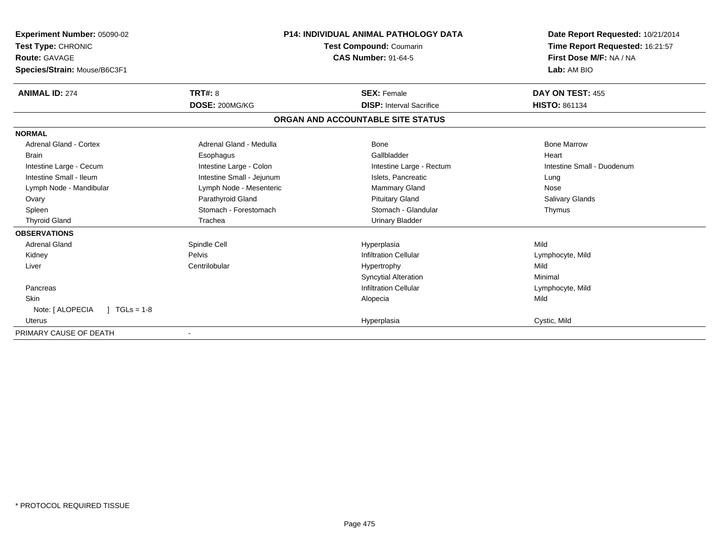| Experiment Number: 05090-02        |                           | <b>P14: INDIVIDUAL ANIMAL PATHOLOGY DATA</b> | Date Report Requested: 10/21/2014                          |  |
|------------------------------------|---------------------------|----------------------------------------------|------------------------------------------------------------|--|
| Test Type: CHRONIC                 |                           | <b>Test Compound: Coumarin</b>               | Time Report Requested: 16:21:57<br>First Dose M/F: NA / NA |  |
| <b>Route: GAVAGE</b>               |                           | <b>CAS Number: 91-64-5</b>                   |                                                            |  |
| Species/Strain: Mouse/B6C3F1       |                           |                                              | Lab: AM BIO                                                |  |
| <b>ANIMAL ID: 274</b>              | TRT#: 8                   | <b>SEX: Female</b>                           | DAY ON TEST: 455                                           |  |
|                                    | DOSE: 200MG/KG            | <b>DISP: Interval Sacrifice</b>              | <b>HISTO: 861134</b>                                       |  |
|                                    |                           | ORGAN AND ACCOUNTABLE SITE STATUS            |                                                            |  |
| <b>NORMAL</b>                      |                           |                                              |                                                            |  |
| <b>Adrenal Gland - Cortex</b>      | Adrenal Gland - Medulla   | Bone                                         | <b>Bone Marrow</b>                                         |  |
| <b>Brain</b>                       | Esophagus                 | Gallbladder                                  | Heart                                                      |  |
| Intestine Large - Cecum            | Intestine Large - Colon   | Intestine Large - Rectum                     | Intestine Small - Duodenum                                 |  |
| Intestine Small - Ileum            | Intestine Small - Jejunum | Islets, Pancreatic                           | Lung                                                       |  |
| Lymph Node - Mandibular            | Lymph Node - Mesenteric   | <b>Mammary Gland</b>                         | Nose                                                       |  |
| Ovary                              | Parathyroid Gland         | <b>Pituitary Gland</b>                       | Salivary Glands                                            |  |
| Spleen                             | Stomach - Forestomach     | Stomach - Glandular                          | Thymus                                                     |  |
| <b>Thyroid Gland</b>               | Trachea                   | <b>Urinary Bladder</b>                       |                                                            |  |
| <b>OBSERVATIONS</b>                |                           |                                              |                                                            |  |
| <b>Adrenal Gland</b>               | Spindle Cell              | Hyperplasia                                  | Mild                                                       |  |
| Kidney                             | Pelvis                    | <b>Infiltration Cellular</b>                 | Lymphocyte, Mild                                           |  |
| Liver                              | Centrilobular             | Hypertrophy                                  | Mild                                                       |  |
|                                    |                           | <b>Syncytial Alteration</b>                  | Minimal                                                    |  |
| Pancreas                           |                           | <b>Infiltration Cellular</b>                 | Lymphocyte, Mild                                           |  |
| Skin                               |                           | Alopecia                                     | Mild                                                       |  |
| Note: [ ALOPECIA<br>$1 TGLs = 1-8$ |                           |                                              |                                                            |  |
| Uterus                             |                           | Hyperplasia                                  | Cystic, Mild                                               |  |
| PRIMARY CAUSE OF DEATH             |                           |                                              |                                                            |  |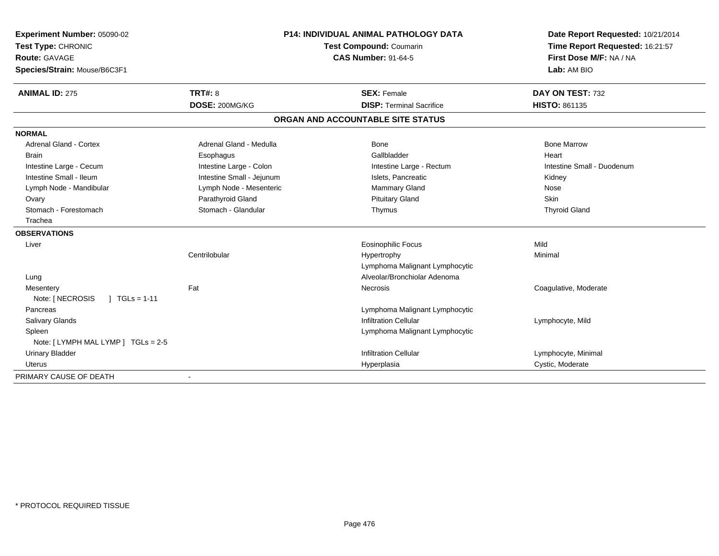| Experiment Number: 05090-02         |                           | P14: INDIVIDUAL ANIMAL PATHOLOGY DATA | Date Report Requested: 10/21/2014 |  |
|-------------------------------------|---------------------------|---------------------------------------|-----------------------------------|--|
| Test Type: CHRONIC                  |                           | Test Compound: Coumarin               | Time Report Requested: 16:21:57   |  |
| Route: GAVAGE                       |                           | <b>CAS Number: 91-64-5</b>            | First Dose M/F: NA / NA           |  |
| Species/Strain: Mouse/B6C3F1        |                           |                                       | Lab: AM BIO                       |  |
| <b>ANIMAL ID: 275</b>               | <b>TRT#: 8</b>            | <b>SEX: Female</b>                    | DAY ON TEST: 732                  |  |
|                                     | DOSE: 200MG/KG            | <b>DISP: Terminal Sacrifice</b>       | <b>HISTO: 861135</b>              |  |
|                                     |                           | ORGAN AND ACCOUNTABLE SITE STATUS     |                                   |  |
| <b>NORMAL</b>                       |                           |                                       |                                   |  |
| Adrenal Gland - Cortex              | Adrenal Gland - Medulla   | Bone                                  | <b>Bone Marrow</b>                |  |
| <b>Brain</b>                        | Esophagus                 | Gallbladder                           | Heart                             |  |
| Intestine Large - Cecum             | Intestine Large - Colon   | Intestine Large - Rectum              | Intestine Small - Duodenum        |  |
| Intestine Small - Ileum             | Intestine Small - Jejunum | Islets, Pancreatic                    | Kidney                            |  |
| Lymph Node - Mandibular             | Lymph Node - Mesenteric   | <b>Mammary Gland</b>                  | Nose                              |  |
| Ovary                               | Parathyroid Gland         | <b>Pituitary Gland</b>                | Skin                              |  |
| Stomach - Forestomach               | Stomach - Glandular       | Thymus                                | <b>Thyroid Gland</b>              |  |
| Trachea                             |                           |                                       |                                   |  |
| <b>OBSERVATIONS</b>                 |                           |                                       |                                   |  |
| Liver                               |                           | Eosinophilic Focus                    | Mild                              |  |
|                                     | Centrilobular             | Hypertrophy                           | Minimal                           |  |
|                                     |                           | Lymphoma Malignant Lymphocytic        |                                   |  |
| Lung                                |                           | Alveolar/Bronchiolar Adenoma          |                                   |  |
| Mesentery                           | Fat                       | Necrosis                              | Coagulative, Moderate             |  |
| Note: [ NECROSIS<br>$1 TGLs = 1-11$ |                           |                                       |                                   |  |
| Pancreas                            |                           | Lymphoma Malignant Lymphocytic        |                                   |  |
| Salivary Glands                     |                           | <b>Infiltration Cellular</b>          | Lymphocyte, Mild                  |  |
| Spleen                              |                           | Lymphoma Malignant Lymphocytic        |                                   |  |
| Note: [ LYMPH MAL LYMP ] TGLs = 2-5 |                           |                                       |                                   |  |
| <b>Urinary Bladder</b>              |                           | <b>Infiltration Cellular</b>          | Lymphocyte, Minimal               |  |
| Uterus                              |                           | Hyperplasia                           | Cystic, Moderate                  |  |
| PRIMARY CAUSE OF DEATH              |                           |                                       |                                   |  |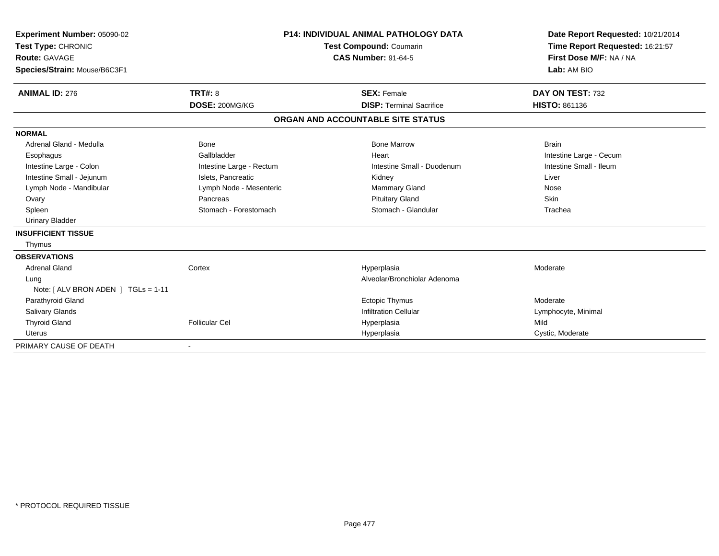| Experiment Number: 05090-02<br>Test Type: CHRONIC<br><b>Route: GAVAGE</b><br>Species/Strain: Mouse/B6C3F1 |                                  | <b>P14: INDIVIDUAL ANIMAL PATHOLOGY DATA</b><br><b>Test Compound: Coumarin</b><br><b>CAS Number: 91-64-5</b> | Date Report Requested: 10/21/2014<br>Time Report Requested: 16:21:57<br>First Dose M/F: NA / NA<br>Lab: AM BIO |
|-----------------------------------------------------------------------------------------------------------|----------------------------------|--------------------------------------------------------------------------------------------------------------|----------------------------------------------------------------------------------------------------------------|
| <b>ANIMAL ID: 276</b>                                                                                     | <b>TRT#: 8</b><br>DOSE: 200MG/KG | <b>SEX: Female</b><br><b>DISP: Terminal Sacrifice</b>                                                        | DAY ON TEST: 732<br>HISTO: 861136                                                                              |
|                                                                                                           |                                  | ORGAN AND ACCOUNTABLE SITE STATUS                                                                            |                                                                                                                |
| <b>NORMAL</b>                                                                                             |                                  |                                                                                                              |                                                                                                                |
| Adrenal Gland - Medulla                                                                                   | Bone                             | <b>Bone Marrow</b>                                                                                           | <b>Brain</b>                                                                                                   |
| Esophagus                                                                                                 | Gallbladder                      | Heart                                                                                                        | Intestine Large - Cecum                                                                                        |
| Intestine Large - Colon                                                                                   | Intestine Large - Rectum         | Intestine Small - Duodenum                                                                                   | Intestine Small - Ileum                                                                                        |
| Intestine Small - Jejunum                                                                                 | Islets, Pancreatic               | Kidney                                                                                                       | Liver                                                                                                          |
| Lymph Node - Mandibular                                                                                   | Lymph Node - Mesenteric          | <b>Mammary Gland</b>                                                                                         | Nose                                                                                                           |
| Ovary                                                                                                     | Pancreas                         | <b>Pituitary Gland</b>                                                                                       | Skin                                                                                                           |
| Spleen                                                                                                    | Stomach - Forestomach            | Stomach - Glandular                                                                                          | Trachea                                                                                                        |
| <b>Urinary Bladder</b>                                                                                    |                                  |                                                                                                              |                                                                                                                |
| <b>INSUFFICIENT TISSUE</b>                                                                                |                                  |                                                                                                              |                                                                                                                |
| Thymus                                                                                                    |                                  |                                                                                                              |                                                                                                                |
| <b>OBSERVATIONS</b>                                                                                       |                                  |                                                                                                              |                                                                                                                |
| <b>Adrenal Gland</b>                                                                                      | Cortex                           | Hyperplasia                                                                                                  | Moderate                                                                                                       |
| Lung                                                                                                      |                                  | Alveolar/Bronchiolar Adenoma                                                                                 |                                                                                                                |
| Note: [ ALV BRON ADEN ] TGLs = 1-11                                                                       |                                  |                                                                                                              |                                                                                                                |
| Parathyroid Gland                                                                                         |                                  | <b>Ectopic Thymus</b>                                                                                        | Moderate                                                                                                       |
| <b>Salivary Glands</b>                                                                                    |                                  | <b>Infiltration Cellular</b>                                                                                 | Lymphocyte, Minimal                                                                                            |
| <b>Thyroid Gland</b>                                                                                      | <b>Follicular Cel</b>            | Hyperplasia                                                                                                  | Mild                                                                                                           |
| <b>Uterus</b>                                                                                             |                                  | Hyperplasia                                                                                                  | Cystic, Moderate                                                                                               |
| PRIMARY CAUSE OF DEATH                                                                                    |                                  |                                                                                                              |                                                                                                                |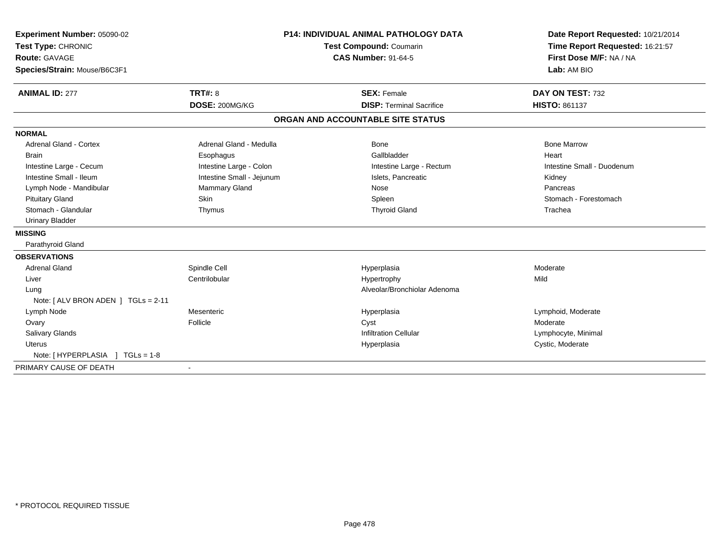| Experiment Number: 05090-02<br>Test Type: CHRONIC<br><b>Route: GAVAGE</b><br>Species/Strain: Mouse/B6C3F1<br><b>ANIMAL ID: 277</b> | <b>TRT#: 8</b>            | <b>P14: INDIVIDUAL ANIMAL PATHOLOGY DATA</b><br><b>Test Compound: Coumarin</b><br><b>CAS Number: 91-64-5</b><br><b>SEX: Female</b> |                                   | Date Report Requested: 10/21/2014<br>Time Report Requested: 16:21:57<br>First Dose M/F: NA / NA<br>Lab: AM BIO<br>DAY ON TEST: 732 |
|------------------------------------------------------------------------------------------------------------------------------------|---------------------------|------------------------------------------------------------------------------------------------------------------------------------|-----------------------------------|------------------------------------------------------------------------------------------------------------------------------------|
|                                                                                                                                    | DOSE: 200MG/KG            |                                                                                                                                    | <b>DISP: Terminal Sacrifice</b>   | HISTO: 861137                                                                                                                      |
|                                                                                                                                    |                           |                                                                                                                                    | ORGAN AND ACCOUNTABLE SITE STATUS |                                                                                                                                    |
| <b>NORMAL</b>                                                                                                                      |                           |                                                                                                                                    |                                   |                                                                                                                                    |
| <b>Adrenal Gland - Cortex</b>                                                                                                      | Adrenal Gland - Medulla   |                                                                                                                                    | Bone                              | <b>Bone Marrow</b>                                                                                                                 |
| <b>Brain</b>                                                                                                                       | Esophagus                 |                                                                                                                                    | Gallbladder                       | Heart                                                                                                                              |
| Intestine Large - Cecum                                                                                                            | Intestine Large - Colon   |                                                                                                                                    | Intestine Large - Rectum          | Intestine Small - Duodenum                                                                                                         |
| Intestine Small - Ileum                                                                                                            | Intestine Small - Jejunum |                                                                                                                                    | Islets, Pancreatic                | Kidney                                                                                                                             |
| Lymph Node - Mandibular                                                                                                            | <b>Mammary Gland</b>      |                                                                                                                                    | Nose                              | Pancreas                                                                                                                           |
| <b>Pituitary Gland</b>                                                                                                             | <b>Skin</b>               |                                                                                                                                    | Spleen                            | Stomach - Forestomach                                                                                                              |
| Stomach - Glandular                                                                                                                | Thymus                    |                                                                                                                                    | <b>Thyroid Gland</b>              | Trachea                                                                                                                            |
| <b>Urinary Bladder</b>                                                                                                             |                           |                                                                                                                                    |                                   |                                                                                                                                    |
| <b>MISSING</b>                                                                                                                     |                           |                                                                                                                                    |                                   |                                                                                                                                    |
| Parathyroid Gland                                                                                                                  |                           |                                                                                                                                    |                                   |                                                                                                                                    |
| <b>OBSERVATIONS</b>                                                                                                                |                           |                                                                                                                                    |                                   |                                                                                                                                    |
| <b>Adrenal Gland</b>                                                                                                               | Spindle Cell              |                                                                                                                                    | Hyperplasia                       | Moderate                                                                                                                           |
| Liver                                                                                                                              | Centrilobular             |                                                                                                                                    | Hypertrophy                       | Mild                                                                                                                               |
| Lung                                                                                                                               |                           |                                                                                                                                    | Alveolar/Bronchiolar Adenoma      |                                                                                                                                    |
| Note: [ ALV BRON ADEN ] TGLs = 2-11                                                                                                |                           |                                                                                                                                    |                                   |                                                                                                                                    |
| Lymph Node                                                                                                                         | Mesenteric                |                                                                                                                                    | Hyperplasia                       | Lymphoid, Moderate                                                                                                                 |
| Ovary                                                                                                                              | Follicle                  |                                                                                                                                    | Cyst                              | Moderate                                                                                                                           |
| Salivary Glands                                                                                                                    |                           |                                                                                                                                    | <b>Infiltration Cellular</b>      | Lymphocyte, Minimal                                                                                                                |
| <b>Uterus</b>                                                                                                                      |                           |                                                                                                                                    | Hyperplasia                       | Cystic, Moderate                                                                                                                   |
| Note: [HYPERPLASIA ] TGLs = 1-8                                                                                                    |                           |                                                                                                                                    |                                   |                                                                                                                                    |
| PRIMARY CAUSE OF DEATH                                                                                                             | $\blacksquare$            |                                                                                                                                    |                                   |                                                                                                                                    |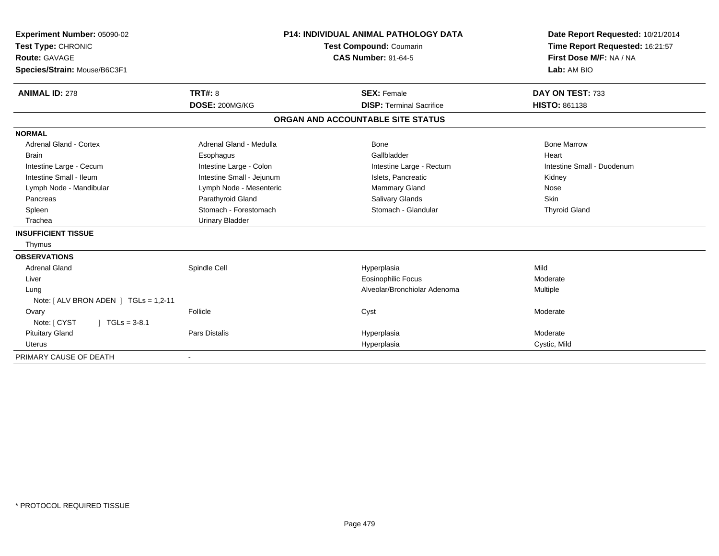| Experiment Number: 05090-02              | <b>P14: INDIVIDUAL ANIMAL PATHOLOGY DATA</b> |                                                              |                                 | Date Report Requested: 10/21/2014 |
|------------------------------------------|----------------------------------------------|--------------------------------------------------------------|---------------------------------|-----------------------------------|
| Test Type: CHRONIC                       |                                              | <b>Test Compound: Coumarin</b><br><b>CAS Number: 91-64-5</b> |                                 | Time Report Requested: 16:21:57   |
| <b>Route: GAVAGE</b>                     |                                              |                                                              |                                 | First Dose M/F: NA / NA           |
| Species/Strain: Mouse/B6C3F1             |                                              |                                                              |                                 | Lab: AM BIO                       |
|                                          |                                              |                                                              |                                 |                                   |
| <b>ANIMAL ID: 278</b>                    | <b>TRT#: 8</b>                               | <b>SEX: Female</b>                                           |                                 | DAY ON TEST: 733                  |
|                                          | DOSE: 200MG/KG                               |                                                              | <b>DISP: Terminal Sacrifice</b> | <b>HISTO: 861138</b>              |
|                                          |                                              | ORGAN AND ACCOUNTABLE SITE STATUS                            |                                 |                                   |
| <b>NORMAL</b>                            |                                              |                                                              |                                 |                                   |
| <b>Adrenal Gland - Cortex</b>            | Adrenal Gland - Medulla                      | Bone                                                         |                                 | <b>Bone Marrow</b>                |
| <b>Brain</b>                             | Esophagus                                    | Gallbladder                                                  |                                 | Heart                             |
| Intestine Large - Cecum                  | Intestine Large - Colon                      |                                                              | Intestine Large - Rectum        | Intestine Small - Duodenum        |
| Intestine Small - Ileum                  | Intestine Small - Jejunum                    |                                                              | Islets, Pancreatic              | Kidney                            |
| Lymph Node - Mandibular                  | Lymph Node - Mesenteric                      |                                                              | Mammary Gland                   | Nose                              |
| Pancreas                                 | Parathyroid Gland                            |                                                              | Salivary Glands                 | <b>Skin</b>                       |
| Spleen                                   | Stomach - Forestomach                        |                                                              | Stomach - Glandular             | <b>Thyroid Gland</b>              |
| Trachea                                  | <b>Urinary Bladder</b>                       |                                                              |                                 |                                   |
| <b>INSUFFICIENT TISSUE</b>               |                                              |                                                              |                                 |                                   |
| Thymus                                   |                                              |                                                              |                                 |                                   |
| <b>OBSERVATIONS</b>                      |                                              |                                                              |                                 |                                   |
| <b>Adrenal Gland</b>                     | Spindle Cell                                 | Hyperplasia                                                  |                                 | Mild                              |
| Liver                                    |                                              | <b>Eosinophilic Focus</b>                                    |                                 | Moderate                          |
| Lung                                     |                                              |                                                              | Alveolar/Bronchiolar Adenoma    | Multiple                          |
| Note: $[ALV$ BRON ADEN $]$ TGLs = 1,2-11 |                                              |                                                              |                                 |                                   |
| Ovary                                    | Follicle                                     | Cyst                                                         |                                 | Moderate                          |
| Note: [ CYST<br>$1 \text{ TGLs} = 3-8.1$ |                                              |                                                              |                                 |                                   |
| <b>Pituitary Gland</b>                   | Pars Distalis                                | Hyperplasia                                                  |                                 | Moderate                          |
| <b>Uterus</b>                            |                                              | Hyperplasia                                                  |                                 | Cystic, Mild                      |
| PRIMARY CAUSE OF DEATH                   |                                              |                                                              |                                 |                                   |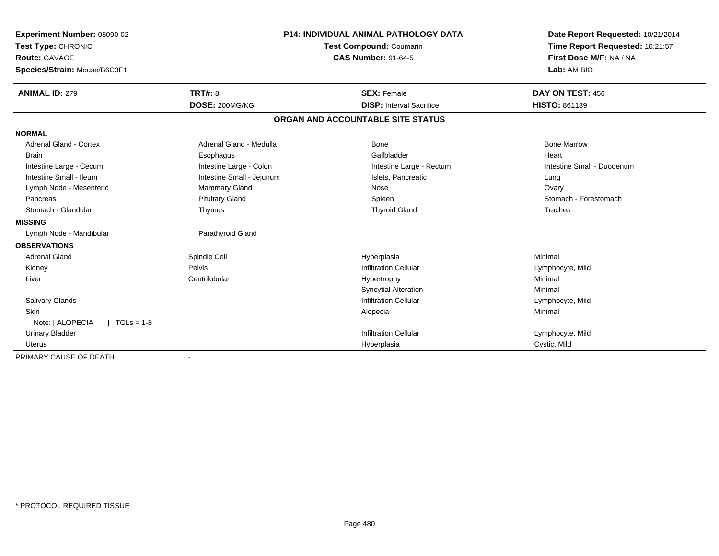| Experiment Number: 05090-02<br>Test Type: CHRONIC |                           | <b>P14: INDIVIDUAL ANIMAL PATHOLOGY DATA</b> | Date Report Requested: 10/21/2014<br>Time Report Requested: 16:21:57 |  |
|---------------------------------------------------|---------------------------|----------------------------------------------|----------------------------------------------------------------------|--|
|                                                   |                           | Test Compound: Coumarin                      |                                                                      |  |
| <b>Route: GAVAGE</b>                              |                           | <b>CAS Number: 91-64-5</b>                   | First Dose M/F: NA / NA                                              |  |
| Species/Strain: Mouse/B6C3F1                      |                           |                                              | Lab: AM BIO                                                          |  |
| <b>ANIMAL ID: 279</b>                             | TRT#: 8                   | <b>SEX: Female</b>                           | DAY ON TEST: 456                                                     |  |
|                                                   | DOSE: 200MG/KG            | <b>DISP:</b> Interval Sacrifice              | <b>HISTO: 861139</b>                                                 |  |
|                                                   |                           | ORGAN AND ACCOUNTABLE SITE STATUS            |                                                                      |  |
| <b>NORMAL</b>                                     |                           |                                              |                                                                      |  |
| <b>Adrenal Gland - Cortex</b>                     | Adrenal Gland - Medulla   | Bone                                         | <b>Bone Marrow</b>                                                   |  |
| <b>Brain</b>                                      | Esophagus                 | Gallbladder                                  | Heart                                                                |  |
| Intestine Large - Cecum                           | Intestine Large - Colon   | Intestine Large - Rectum                     | Intestine Small - Duodenum                                           |  |
| Intestine Small - Ileum                           | Intestine Small - Jejunum | Islets, Pancreatic                           | Lung                                                                 |  |
| Lymph Node - Mesenteric                           | <b>Mammary Gland</b>      | Nose                                         | Ovary                                                                |  |
| Pancreas                                          | <b>Pituitary Gland</b>    | Spleen                                       | Stomach - Forestomach                                                |  |
| Stomach - Glandular                               | Thymus                    | <b>Thyroid Gland</b>                         | Trachea                                                              |  |
| <b>MISSING</b>                                    |                           |                                              |                                                                      |  |
| Lymph Node - Mandibular                           | Parathyroid Gland         |                                              |                                                                      |  |
| <b>OBSERVATIONS</b>                               |                           |                                              |                                                                      |  |
| Adrenal Gland                                     | Spindle Cell              | Hyperplasia                                  | Minimal                                                              |  |
| Kidney                                            | Pelvis                    | <b>Infiltration Cellular</b>                 | Lymphocyte, Mild                                                     |  |
| Liver                                             | Centrilobular             | Hypertrophy                                  | Minimal                                                              |  |
|                                                   |                           | <b>Syncytial Alteration</b>                  | Minimal                                                              |  |
| Salivary Glands                                   |                           | <b>Infiltration Cellular</b>                 | Lymphocyte, Mild                                                     |  |
| <b>Skin</b>                                       |                           | Alopecia                                     | Minimal                                                              |  |
| Note: [ ALOPECIA<br>$1 TGLs = 1-8$                |                           |                                              |                                                                      |  |
| <b>Urinary Bladder</b>                            |                           | <b>Infiltration Cellular</b>                 | Lymphocyte, Mild                                                     |  |
| <b>Uterus</b>                                     |                           | Hyperplasia                                  | Cystic, Mild                                                         |  |
| PRIMARY CAUSE OF DEATH                            |                           |                                              |                                                                      |  |